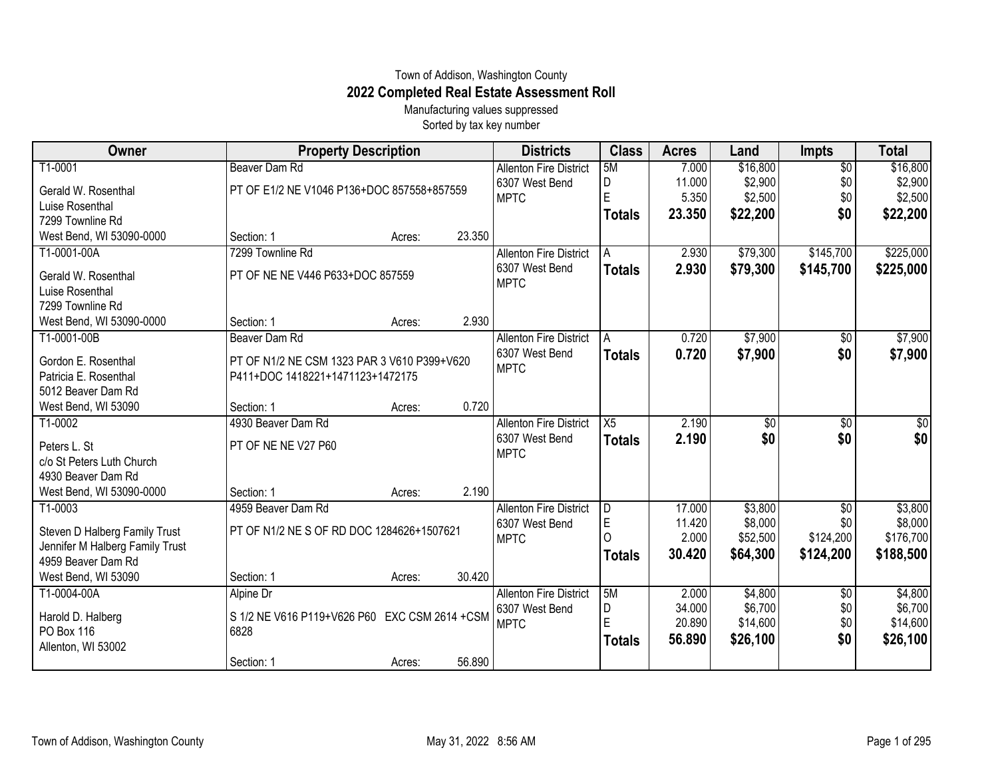## Town of Addison, Washington County **2022 Completed Real Estate Assessment Roll**

Manufacturing values suppressed Sorted by tax key number

| Owner                           | <b>Property Description</b>                   |        |        | <b>Districts</b>              | <b>Class</b>  | <b>Acres</b> | Land     | <b>Impts</b>    | <b>Total</b> |
|---------------------------------|-----------------------------------------------|--------|--------|-------------------------------|---------------|--------------|----------|-----------------|--------------|
| T1-0001                         | Beaver Dam Rd                                 |        |        | <b>Allenton Fire District</b> | 5M            | 7.000        | \$16,800 | $\overline{50}$ | \$16,800     |
| Gerald W. Rosenthal             | PT OF E1/2 NE V1046 P136+DOC 857558+857559    |        |        | 6307 West Bend                | D             | 11.000       | \$2,900  | \$0             | \$2,900      |
| Luise Rosenthal                 |                                               |        |        | <b>MPTC</b>                   | $\mathsf E$   | 5.350        | \$2,500  | \$0             | \$2,500      |
| 7299 Townline Rd                |                                               |        |        |                               | <b>Totals</b> | 23.350       | \$22,200 | \$0             | \$22,200     |
| West Bend, WI 53090-0000        | Section: 1                                    | Acres: | 23.350 |                               |               |              |          |                 |              |
| T1-0001-00A                     | 7299 Townline Rd                              |        |        | <b>Allenton Fire District</b> | A             | 2.930        | \$79,300 | \$145,700       | \$225,000    |
| Gerald W. Rosenthal             | PT OF NE NE V446 P633+DOC 857559              |        |        | 6307 West Bend                | <b>Totals</b> | 2.930        | \$79,300 | \$145,700       | \$225,000    |
| Luise Rosenthal                 |                                               |        |        | <b>MPTC</b>                   |               |              |          |                 |              |
| 7299 Townline Rd                |                                               |        |        |                               |               |              |          |                 |              |
| West Bend, WI 53090-0000        | Section: 1                                    | Acres: | 2.930  |                               |               |              |          |                 |              |
| T1-0001-00B                     | Beaver Dam Rd                                 |        |        | <b>Allenton Fire District</b> | A             | 0.720        | \$7,900  | $\overline{50}$ | \$7,900      |
| Gordon E. Rosenthal             | PT OF N1/2 NE CSM 1323 PAR 3 V610 P399+V620   |        |        | 6307 West Bend                | <b>Totals</b> | 0.720        | \$7,900  | \$0             | \$7,900      |
| Patricia E. Rosenthal           | P411+DOC 1418221+1471123+1472175              |        |        | <b>MPTC</b>                   |               |              |          |                 |              |
| 5012 Beaver Dam Rd              |                                               |        |        |                               |               |              |          |                 |              |
| West Bend, WI 53090             | Section: 1                                    | Acres: | 0.720  |                               |               |              |          |                 |              |
| T1-0002                         | 4930 Beaver Dam Rd                            |        |        | <b>Allenton Fire District</b> | X5            | 2.190        | \$0      | \$0             | $\sqrt{50}$  |
| Peters L. St                    | PT OF NE NE V27 P60                           |        |        | 6307 West Bend                | <b>Totals</b> | 2.190        | \$0      | \$0             | \$0          |
| c/o St Peters Luth Church       |                                               |        |        | <b>MPTC</b>                   |               |              |          |                 |              |
| 4930 Beaver Dam Rd              |                                               |        |        |                               |               |              |          |                 |              |
| West Bend, WI 53090-0000        | Section: 1                                    | Acres: | 2.190  |                               |               |              |          |                 |              |
| T1-0003                         | 4959 Beaver Dam Rd                            |        |        | <b>Allenton Fire District</b> | D             | 17.000       | \$3,800  | \$0             | \$3,800      |
| Steven D Halberg Family Trust   | PT OF N1/2 NE S OF RD DOC 1284626+1507621     |        |        | 6307 West Bend                | $\mathsf E$   | 11.420       | \$8,000  | \$0             | \$8,000      |
| Jennifer M Halberg Family Trust |                                               |        |        | <b>MPTC</b>                   | 0             | 2.000        | \$52,500 | \$124,200       | \$176,700    |
| 4959 Beaver Dam Rd              |                                               |        |        |                               | <b>Totals</b> | 30.420       | \$64,300 | \$124,200       | \$188,500    |
| West Bend, WI 53090             | Section: 1                                    | Acres: | 30.420 |                               |               |              |          |                 |              |
| T1-0004-00A                     | Alpine Dr                                     |        |        | <b>Allenton Fire District</b> | 5M            | 2.000        | \$4,800  | $\sqrt[6]{}$    | \$4,800      |
| Harold D. Halberg               | S 1/2 NE V616 P119+V626 P60 EXC CSM 2614 +CSM |        |        | 6307 West Bend                | D             | 34.000       | \$6,700  | \$0             | \$6,700      |
| PO Box 116                      | 6828                                          |        |        | <b>MPTC</b>                   | $\mathsf E$   | 20.890       | \$14,600 | \$0             | \$14,600     |
| Allenton, WI 53002              |                                               |        |        |                               | <b>Totals</b> | 56.890       | \$26,100 | \$0             | \$26,100     |
|                                 | Section: 1                                    | Acres: | 56.890 |                               |               |              |          |                 |              |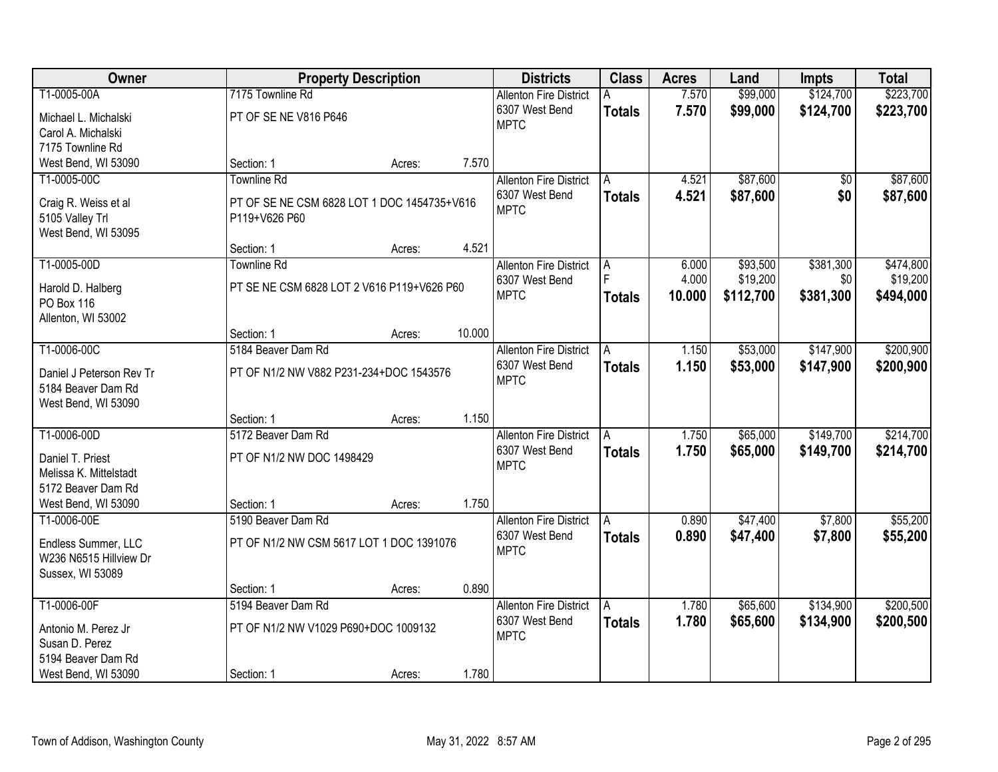| Owner                                      |                                             | <b>Property Description</b> |        | <b>Districts</b>                                | <b>Class</b>  | <b>Acres</b>   | Land                 | <b>Impts</b>     | <b>Total</b>          |
|--------------------------------------------|---------------------------------------------|-----------------------------|--------|-------------------------------------------------|---------------|----------------|----------------------|------------------|-----------------------|
| T1-0005-00A                                | 7175 Townline Rd                            |                             |        | <b>Allenton Fire District</b>                   |               | 7.570          | \$99,000             | \$124,700        | \$223,700             |
| Michael L. Michalski                       | PT OF SE NE V816 P646                       |                             |        | 6307 West Bend                                  | <b>Totals</b> | 7.570          | \$99,000             | \$124,700        | \$223,700             |
| Carol A. Michalski                         |                                             |                             |        | <b>MPTC</b>                                     |               |                |                      |                  |                       |
| 7175 Townline Rd                           |                                             |                             |        |                                                 |               |                |                      |                  |                       |
| West Bend, WI 53090                        | Section: 1                                  | Acres:                      | 7.570  |                                                 |               |                |                      |                  |                       |
| T1-0005-00C                                | <b>Townline Rd</b>                          |                             |        | <b>Allenton Fire District</b>                   | A             | 4.521          | \$87,600             | $\overline{50}$  | \$87,600              |
| Craig R. Weiss et al                       | PT OF SE NE CSM 6828 LOT 1 DOC 1454735+V616 |                             |        | 6307 West Bend<br><b>MPTC</b>                   | <b>Totals</b> | 4.521          | \$87,600             | \$0              | \$87,600              |
| 5105 Valley Trl                            | P119+V626 P60                               |                             |        |                                                 |               |                |                      |                  |                       |
| West Bend, WI 53095                        |                                             |                             |        |                                                 |               |                |                      |                  |                       |
|                                            | Section: 1                                  | Acres:                      | 4.521  |                                                 |               |                |                      |                  |                       |
| T1-0005-00D                                | <b>Townline Rd</b>                          |                             |        | <b>Allenton Fire District</b><br>6307 West Bend | A             | 6.000<br>4.000 | \$93,500<br>\$19,200 | \$381,300<br>\$0 | \$474,800<br>\$19,200 |
| Harold D. Halberg                          | PT SE NE CSM 6828 LOT 2 V616 P119+V626 P60  |                             |        | <b>MPTC</b>                                     | <b>Totals</b> | 10.000         | \$112,700            | \$381,300        | \$494,000             |
| <b>PO Box 116</b>                          |                                             |                             |        |                                                 |               |                |                      |                  |                       |
| Allenton, WI 53002                         |                                             |                             | 10.000 |                                                 |               |                |                      |                  |                       |
| T1-0006-00C                                | Section: 1<br>5184 Beaver Dam Rd            | Acres:                      |        | <b>Allenton Fire District</b>                   | A             | 1.150          | \$53,000             | \$147,900        | \$200,900             |
|                                            |                                             |                             |        | 6307 West Bend                                  | <b>Totals</b> | 1.150          | \$53,000             | \$147,900        | \$200,900             |
| Daniel J Peterson Rev Tr                   | PT OF N1/2 NW V882 P231-234+DOC 1543576     |                             |        | <b>MPTC</b>                                     |               |                |                      |                  |                       |
| 5184 Beaver Dam Rd                         |                                             |                             |        |                                                 |               |                |                      |                  |                       |
| West Bend, WI 53090                        | Section: 1                                  | Acres:                      | 1.150  |                                                 |               |                |                      |                  |                       |
| T1-0006-00D                                | 5172 Beaver Dam Rd                          |                             |        | <b>Allenton Fire District</b>                   | A             | 1.750          | \$65,000             | \$149,700        | \$214,700             |
|                                            |                                             |                             |        | 6307 West Bend                                  | <b>Totals</b> | 1.750          | \$65,000             | \$149,700        | \$214,700             |
| Daniel T. Priest<br>Melissa K. Mittelstadt | PT OF N1/2 NW DOC 1498429                   |                             |        | <b>MPTC</b>                                     |               |                |                      |                  |                       |
| 5172 Beaver Dam Rd                         |                                             |                             |        |                                                 |               |                |                      |                  |                       |
| West Bend, WI 53090                        | Section: 1                                  | Acres:                      | 1.750  |                                                 |               |                |                      |                  |                       |
| T1-0006-00E                                | 5190 Beaver Dam Rd                          |                             |        | <b>Allenton Fire District</b>                   | l A           | 0.890          | \$47,400             | \$7,800          | \$55,200              |
| Endless Summer, LLC                        | PT OF N1/2 NW CSM 5617 LOT 1 DOC 1391076    |                             |        | 6307 West Bend                                  | <b>Totals</b> | 0.890          | \$47,400             | \$7,800          | \$55,200              |
| W236 N6515 Hillview Dr                     |                                             |                             |        | <b>MPTC</b>                                     |               |                |                      |                  |                       |
| Sussex, WI 53089                           |                                             |                             |        |                                                 |               |                |                      |                  |                       |
|                                            | Section: 1                                  | Acres:                      | 0.890  |                                                 |               |                |                      |                  |                       |
| T1-0006-00F                                | 5194 Beaver Dam Rd                          |                             |        | <b>Allenton Fire District</b>                   | A             | 1.780          | \$65,600             | \$134,900        | \$200,500             |
| Antonio M. Perez Jr                        | PT OF N1/2 NW V1029 P690+DOC 1009132        |                             |        | 6307 West Bend                                  | <b>Totals</b> | 1.780          | \$65,600             | \$134,900        | \$200,500             |
| Susan D. Perez                             |                                             |                             |        | <b>MPTC</b>                                     |               |                |                      |                  |                       |
| 5194 Beaver Dam Rd                         |                                             |                             |        |                                                 |               |                |                      |                  |                       |
| West Bend, WI 53090                        | Section: 1                                  | Acres:                      | 1.780  |                                                 |               |                |                      |                  |                       |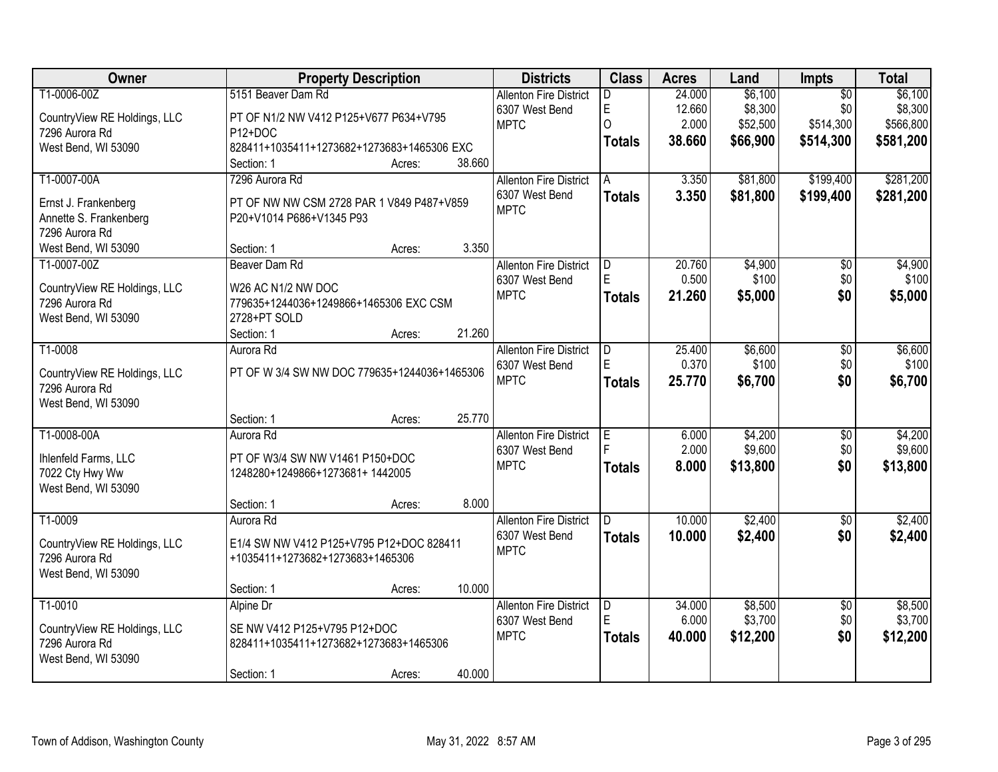| Owner                                          | <b>Property Description</b>                                  |        |        | <b>Districts</b>                                | <b>Class</b>  | <b>Acres</b> | Land     | <b>Impts</b>    | <b>Total</b> |
|------------------------------------------------|--------------------------------------------------------------|--------|--------|-------------------------------------------------|---------------|--------------|----------|-----------------|--------------|
| T1-0006-00Z                                    | 5151 Beaver Dam Rd                                           |        |        | <b>Allenton Fire District</b>                   | D.            | 24.000       | \$6,100  | $\overline{50}$ | \$6,100      |
| CountryView RE Holdings, LLC                   | PT OF N1/2 NW V412 P125+V677 P634+V795                       |        |        | 6307 West Bend                                  | E             | 12.660       | \$8,300  | \$0             | \$8,300      |
| 7296 Aurora Rd                                 | P <sub>12+DOC</sub>                                          |        |        | <b>MPTC</b>                                     | 0             | 2.000        | \$52,500 | \$514,300       | \$566,800    |
| West Bend, WI 53090                            | 828411+1035411+1273682+1273683+1465306 EXC                   |        |        |                                                 | <b>Totals</b> | 38.660       | \$66,900 | \$514,300       | \$581,200    |
|                                                | Section: 1                                                   | Acres: | 38.660 |                                                 |               |              |          |                 |              |
| T1-0007-00A                                    | 7296 Aurora Rd                                               |        |        | <b>Allenton Fire District</b>                   | A             | 3.350        | \$81,800 | \$199,400       | \$281,200    |
| Ernst J. Frankenberg                           | PT OF NW NW CSM 2728 PAR 1 V849 P487+V859                    |        |        | 6307 West Bend                                  | <b>Totals</b> | 3.350        | \$81,800 | \$199,400       | \$281,200    |
| Annette S. Frankenberg                         | P20+V1014 P686+V1345 P93                                     |        |        | <b>MPTC</b>                                     |               |              |          |                 |              |
| 7296 Aurora Rd                                 |                                                              |        |        |                                                 |               |              |          |                 |              |
| West Bend, WI 53090                            | Section: 1                                                   | Acres: | 3.350  |                                                 |               |              |          |                 |              |
| T1-0007-00Z                                    | Beaver Dam Rd                                                |        |        | <b>Allenton Fire District</b>                   | D             | 20.760       | \$4,900  | $\overline{50}$ | \$4,900      |
|                                                |                                                              |        |        | 6307 West Bend                                  | E             | 0.500        | \$100    | \$0             | \$100        |
| CountryView RE Holdings, LLC<br>7296 Aurora Rd | W26 AC N1/2 NW DOC<br>779635+1244036+1249866+1465306 EXC CSM |        |        | <b>MPTC</b>                                     | <b>Totals</b> | 21.260       | \$5,000  | \$0             | \$5,000      |
| West Bend, WI 53090                            | 2728+PT SOLD                                                 |        |        |                                                 |               |              |          |                 |              |
|                                                | Section: 1                                                   | Acres: | 21.260 |                                                 |               |              |          |                 |              |
| T1-0008                                        | Aurora Rd                                                    |        |        | <b>Allenton Fire District</b>                   | D             | 25.400       | \$6,600  | \$0             | \$6,600      |
|                                                |                                                              |        |        | 6307 West Bend                                  | E             | 0.370        | \$100    | \$0             | \$100        |
| CountryView RE Holdings, LLC                   | PT OF W 3/4 SW NW DOC 779635+1244036+1465306                 |        |        | <b>MPTC</b>                                     | <b>Totals</b> | 25.770       | \$6,700  | \$0             | \$6,700      |
| 7296 Aurora Rd                                 |                                                              |        |        |                                                 |               |              |          |                 |              |
| West Bend, WI 53090                            |                                                              |        | 25.770 |                                                 |               |              |          |                 |              |
| T1-0008-00A                                    | Section: 1<br>Aurora Rd                                      | Acres: |        |                                                 |               | 6.000        | \$4,200  | $\overline{50}$ | \$4,200      |
|                                                |                                                              |        |        | <b>Allenton Fire District</b><br>6307 West Bend | E<br>F.       | 2.000        | \$9,600  | \$0             | \$9,600      |
| Ihlenfeld Farms, LLC                           | PT OF W3/4 SW NW V1461 P150+DOC                              |        |        | <b>MPTC</b>                                     |               | 8.000        | \$13,800 | \$0             | \$13,800     |
| 7022 Cty Hwy Ww                                | 1248280+1249866+1273681+1442005                              |        |        |                                                 | <b>Totals</b> |              |          |                 |              |
| West Bend, WI 53090                            |                                                              |        |        |                                                 |               |              |          |                 |              |
|                                                | Section: 1                                                   | Acres: | 8.000  |                                                 |               |              |          |                 |              |
| T1-0009                                        | Aurora Rd                                                    |        |        | <b>Allenton Fire District</b>                   | D             | 10.000       | \$2,400  | $\overline{50}$ | \$2,400      |
| CountryView RE Holdings, LLC                   | E1/4 SW NW V412 P125+V795 P12+DOC 828411                     |        |        | 6307 West Bend                                  | <b>Totals</b> | 10.000       | \$2,400  | \$0             | \$2,400      |
| 7296 Aurora Rd                                 | +1035411+1273682+1273683+1465306                             |        |        | <b>MPTC</b>                                     |               |              |          |                 |              |
| West Bend, WI 53090                            |                                                              |        |        |                                                 |               |              |          |                 |              |
|                                                | Section: 1                                                   | Acres: | 10.000 |                                                 |               |              |          |                 |              |
| T1-0010                                        | Alpine Dr                                                    |        |        | <b>Allenton Fire District</b>                   | D             | 34.000       | \$8,500  | $\overline{50}$ | \$8,500      |
| CountryView RE Holdings, LLC                   | SE NW V412 P125+V795 P12+DOC                                 |        |        | 6307 West Bend                                  | E             | 6.000        | \$3,700  | \$0             | \$3,700      |
| 7296 Aurora Rd                                 | 828411+1035411+1273682+1273683+1465306                       |        |        | <b>MPTC</b>                                     | <b>Totals</b> | 40.000       | \$12,200 | \$0             | \$12,200     |
| West Bend, WI 53090                            |                                                              |        |        |                                                 |               |              |          |                 |              |
|                                                | Section: 1                                                   | Acres: | 40.000 |                                                 |               |              |          |                 |              |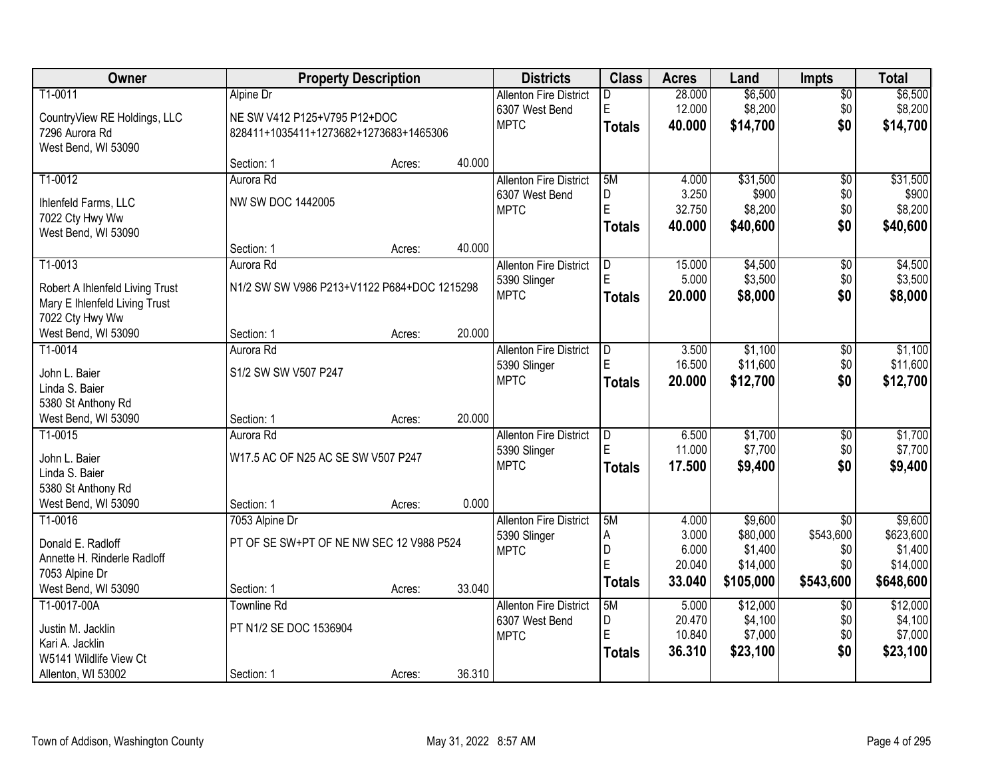| Owner                           | <b>Property Description</b>                 |        |        | <b>Districts</b>              | <b>Class</b>  | <b>Acres</b>    | Land                | <b>Impts</b>    | <b>Total</b>        |
|---------------------------------|---------------------------------------------|--------|--------|-------------------------------|---------------|-----------------|---------------------|-----------------|---------------------|
| T1-0011                         | Alpine Dr                                   |        |        | <b>Allenton Fire District</b> | D             | 28.000          | \$6,500             | $\overline{50}$ | \$6,500             |
| CountryView RE Holdings, LLC    | NE SW V412 P125+V795 P12+DOC                |        |        | 6307 West Bend                | E             | 12.000          | \$8,200             | \$0             | \$8,200             |
| 7296 Aurora Rd                  | 828411+1035411+1273682+1273683+1465306      |        |        | <b>MPTC</b>                   | <b>Totals</b> | 40.000          | \$14,700            | \$0             | \$14,700            |
| West Bend, WI 53090             |                                             |        |        |                               |               |                 |                     |                 |                     |
|                                 | Section: 1                                  | Acres: | 40.000 |                               |               |                 |                     |                 |                     |
| T1-0012                         | Aurora Rd                                   |        |        | <b>Allenton Fire District</b> | 5M            | 4.000           | \$31,500            | $\overline{50}$ | \$31,500            |
| Ihlenfeld Farms, LLC            | NW SW DOC 1442005                           |        |        | 6307 West Bend                | D             | 3.250           | \$900               | \$0             | \$900               |
| 7022 Cty Hwy Ww                 |                                             |        |        | <b>MPTC</b>                   | E             | 32.750          | \$8,200             | \$0             | \$8,200             |
| West Bend, WI 53090             |                                             |        |        |                               | <b>Totals</b> | 40.000          | \$40,600            | \$0             | \$40,600            |
|                                 | Section: 1                                  | Acres: | 40.000 |                               |               |                 |                     |                 |                     |
| T1-0013                         | Aurora Rd                                   |        |        | <b>Allenton Fire District</b> | D             | 15.000          | \$4,500             | \$0             | \$4,500             |
| Robert A Ihlenfeld Living Trust | N1/2 SW SW V986 P213+V1122 P684+DOC 1215298 |        |        | 5390 Slinger                  | E             | 5.000           | \$3,500             | \$0             | \$3,500             |
| Mary E Ihlenfeld Living Trust   |                                             |        |        | <b>MPTC</b>                   | <b>Totals</b> | 20.000          | \$8,000             | \$0             | \$8,000             |
| 7022 Cty Hwy Ww                 |                                             |        |        |                               |               |                 |                     |                 |                     |
| West Bend, WI 53090             | Section: 1                                  | Acres: | 20.000 |                               |               |                 |                     |                 |                     |
| T1-0014                         | Aurora Rd                                   |        |        | <b>Allenton Fire District</b> | D             | 3.500           | \$1,100             | \$0             | \$1,100             |
| John L. Baier                   | S1/2 SW SW V507 P247                        |        |        | 5390 Slinger                  | Е             | 16.500          | \$11,600            | \$0             | \$11,600            |
| Linda S. Baier                  |                                             |        |        | <b>MPTC</b>                   | Totals        | 20.000          | \$12,700            | \$0             | \$12,700            |
| 5380 St Anthony Rd              |                                             |        |        |                               |               |                 |                     |                 |                     |
| West Bend, WI 53090             | Section: 1                                  | Acres: | 20.000 |                               |               |                 |                     |                 |                     |
| T1-0015                         | Aurora Rd                                   |        |        | <b>Allenton Fire District</b> | D             | 6.500           | \$1,700             | \$0             | \$1,700             |
| John L. Baier                   | W17.5 AC OF N25 AC SE SW V507 P247          |        |        | 5390 Slinger                  | E             | 11.000          | \$7,700             | \$0             | \$7,700             |
| Linda S. Baier                  |                                             |        |        | <b>MPTC</b>                   | <b>Totals</b> | 17.500          | \$9,400             | \$0             | \$9,400             |
| 5380 St Anthony Rd              |                                             |        |        |                               |               |                 |                     |                 |                     |
| West Bend, WI 53090             | Section: 1                                  | Acres: | 0.000  |                               |               |                 |                     |                 |                     |
| T1-0016                         | 7053 Alpine Dr                              |        |        | <b>Allenton Fire District</b> | 5M            | 4.000           | \$9,600             | $\overline{50}$ | \$9,600             |
| Donald E. Radloff               | PT OF SE SW+PT OF NE NW SEC 12 V988 P524    |        |        | 5390 Slinger                  | Α             | 3.000           | \$80,000            | \$543,600       | \$623,600           |
| Annette H. Rinderle Radloff     |                                             |        |        | <b>MPTC</b>                   | D<br>E        | 6.000<br>20.040 | \$1,400<br>\$14,000 | \$0<br>\$0      | \$1,400<br>\$14,000 |
| 7053 Alpine Dr                  |                                             |        |        |                               | <b>Totals</b> | 33.040          | \$105,000           | \$543,600       | \$648,600           |
| West Bend, WI 53090             | Section: 1                                  | Acres: | 33.040 |                               |               |                 |                     |                 |                     |
| T1-0017-00A                     | <b>Townline Rd</b>                          |        |        | <b>Allenton Fire District</b> | 5M            | 5.000           | \$12,000            | $\overline{50}$ | \$12,000            |
| Justin M. Jacklin               | PT N1/2 SE DOC 1536904                      |        |        | 6307 West Bend                | D             | 20.470          | \$4,100             | \$0             | \$4,100             |
| Kari A. Jacklin                 |                                             |        |        | <b>MPTC</b>                   | E             | 10.840          | \$7,000             | \$0             | \$7,000             |
| W5141 Wildlife View Ct          |                                             |        |        |                               | <b>Totals</b> | 36.310          | \$23,100            | \$0             | \$23,100            |
| Allenton, WI 53002              | Section: 1                                  | Acres: | 36.310 |                               |               |                 |                     |                 |                     |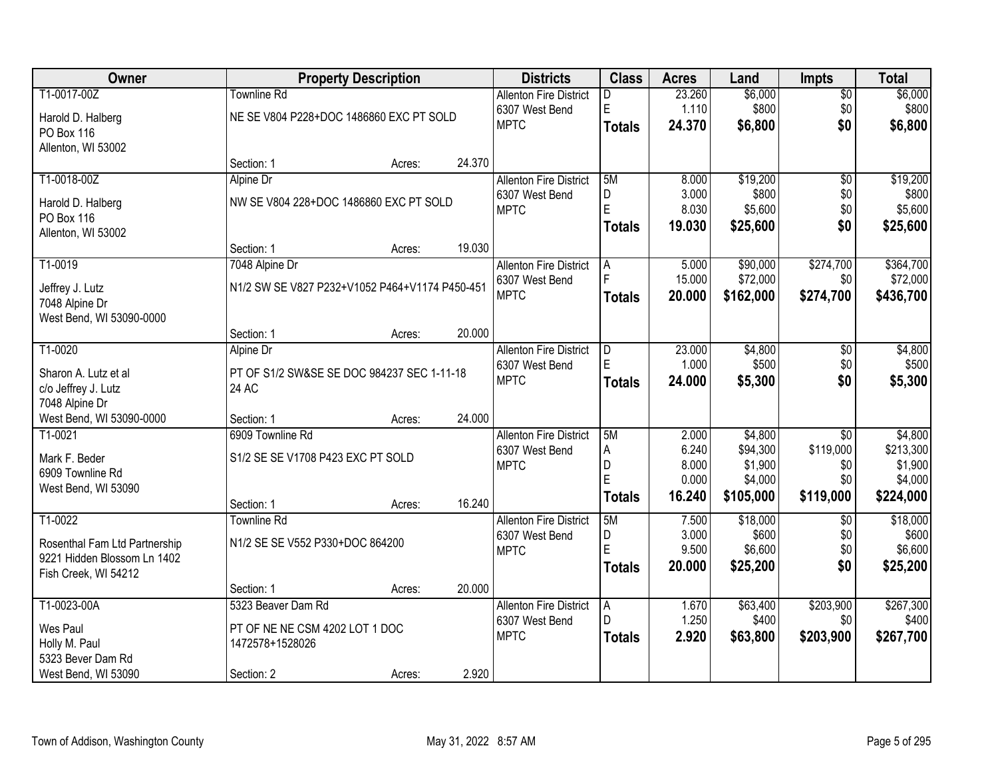| <b>Owner</b>                  |                                                | <b>Property Description</b> |        | <b>Districts</b>              | <b>Class</b>        | <b>Acres</b>    | Land                | Impts            | <b>Total</b>         |
|-------------------------------|------------------------------------------------|-----------------------------|--------|-------------------------------|---------------------|-----------------|---------------------|------------------|----------------------|
| T1-0017-00Z                   | <b>Townline Rd</b>                             |                             |        | <b>Allenton Fire District</b> | D.                  | 23.260          | \$6,000             | $\overline{50}$  | \$6,000              |
| Harold D. Halberg             | NE SE V804 P228+DOC 1486860 EXC PT SOLD        |                             |        | 6307 West Bend                | E                   | 1.110           | \$800               | \$0              | \$800                |
| PO Box 116                    |                                                |                             |        | <b>MPTC</b>                   | <b>Totals</b>       | 24.370          | \$6,800             | \$0              | \$6,800              |
| Allenton, WI 53002            |                                                |                             |        |                               |                     |                 |                     |                  |                      |
|                               | Section: 1                                     | Acres:                      | 24.370 |                               |                     |                 |                     |                  |                      |
| T1-0018-00Z                   | Alpine Dr                                      |                             |        | <b>Allenton Fire District</b> | 5M                  | 8.000           | \$19,200            | $\overline{50}$  | \$19,200             |
| Harold D. Halberg             | NW SE V804 228+DOC 1486860 EXC PT SOLD         |                             |        | 6307 West Bend                | D<br>E              | 3.000           | \$800               | \$0              | \$800                |
| PO Box 116                    |                                                |                             |        | <b>MPTC</b>                   |                     | 8.030<br>19.030 | \$5,600             | \$0<br>\$0       | \$5,600              |
| Allenton, WI 53002            |                                                |                             |        |                               | <b>Totals</b>       |                 | \$25,600            |                  | \$25,600             |
|                               | Section: 1                                     | Acres:                      | 19.030 |                               |                     |                 |                     |                  |                      |
| T1-0019                       | 7048 Alpine Dr                                 |                             |        | <b>Allenton Fire District</b> | Α                   | 5.000           | \$90,000            | \$274,700        | \$364,700            |
| Jeffrey J. Lutz               | N1/2 SW SE V827 P232+V1052 P464+V1174 P450-451 |                             |        | 6307 West Bend                | F                   | 15.000          | \$72,000            | \$0              | \$72,000             |
| 7048 Alpine Dr                |                                                |                             |        | <b>MPTC</b>                   | <b>Totals</b>       | 20.000          | \$162,000           | \$274,700        | \$436,700            |
| West Bend, WI 53090-0000      |                                                |                             |        |                               |                     |                 |                     |                  |                      |
|                               | Section: 1                                     | Acres:                      | 20.000 |                               |                     |                 |                     |                  |                      |
| T1-0020                       | Alpine Dr                                      |                             |        | <b>Allenton Fire District</b> | D                   | 23.000          | \$4,800             | \$0              | \$4,800              |
| Sharon A. Lutz et al          | PT OF S1/2 SW&SE SE DOC 984237 SEC 1-11-18     |                             |        | 6307 West Bend<br><b>MPTC</b> | F.                  | 1.000           | \$500               | \$0              | \$500                |
| c/o Jeffrey J. Lutz           | 24 AC                                          |                             |        |                               | <b>Totals</b>       | 24.000          | \$5,300             | \$0              | \$5,300              |
| 7048 Alpine Dr                |                                                |                             |        |                               |                     |                 |                     |                  |                      |
| West Bend, WI 53090-0000      | Section: 1                                     | Acres:                      | 24.000 |                               |                     |                 |                     |                  |                      |
| T1-0021                       | 6909 Townline Rd                               |                             |        | <b>Allenton Fire District</b> | 5M                  | 2.000           | \$4,800             | $\overline{30}$  | \$4,800              |
| Mark F. Beder                 | S1/2 SE SE V1708 P423 EXC PT SOLD              |                             |        | 6307 West Bend<br><b>MPTC</b> | $\overline{A}$<br>D | 6.240<br>8.000  | \$94,300<br>\$1,900 | \$119,000<br>\$0 | \$213,300<br>\$1,900 |
| 6909 Townline Rd              |                                                |                             |        |                               | Ė                   | 0.000           | \$4,000             | \$0              | \$4,000              |
| West Bend, WI 53090           |                                                |                             |        |                               | <b>Totals</b>       | 16.240          | \$105,000           | \$119,000        | \$224,000            |
|                               | Section: 1                                     | Acres:                      | 16.240 |                               |                     |                 |                     |                  |                      |
| T1-0022                       | <b>Townline Rd</b>                             |                             |        | <b>Allenton Fire District</b> | 5M                  | 7.500<br>3.000  | \$18,000<br>\$600   | $\overline{50}$  | \$18,000             |
| Rosenthal Fam Ltd Partnership | N1/2 SE SE V552 P330+DOC 864200                |                             |        | 6307 West Bend<br><b>MPTC</b> | D<br>E              | 9.500           | \$6,600             | \$0<br>\$0       | \$600<br>\$6,600     |
| 9221 Hidden Blossom Ln 1402   |                                                |                             |        |                               | <b>Totals</b>       | 20.000          | \$25,200            | \$0              | \$25,200             |
| Fish Creek, WI 54212          |                                                |                             |        |                               |                     |                 |                     |                  |                      |
|                               | Section: 1                                     | Acres:                      | 20.000 |                               |                     |                 |                     |                  |                      |
| T1-0023-00A                   | 5323 Beaver Dam Rd                             |                             |        | <b>Allenton Fire District</b> | Α<br>D              | 1.670<br>1.250  | \$63,400<br>\$400   | \$203,900<br>\$0 | \$267,300<br>\$400   |
| Wes Paul                      | PT OF NE NE CSM 4202 LOT 1 DOC                 |                             |        | 6307 West Bend<br><b>MPTC</b> |                     | 2.920           |                     |                  |                      |
| Holly M. Paul                 | 1472578+1528026                                |                             |        |                               | <b>Totals</b>       |                 | \$63,800            | \$203,900        | \$267,700            |
| 5323 Bever Dam Rd             |                                                |                             |        |                               |                     |                 |                     |                  |                      |
| West Bend, WI 53090           | Section: 2                                     | Acres:                      | 2.920  |                               |                     |                 |                     |                  |                      |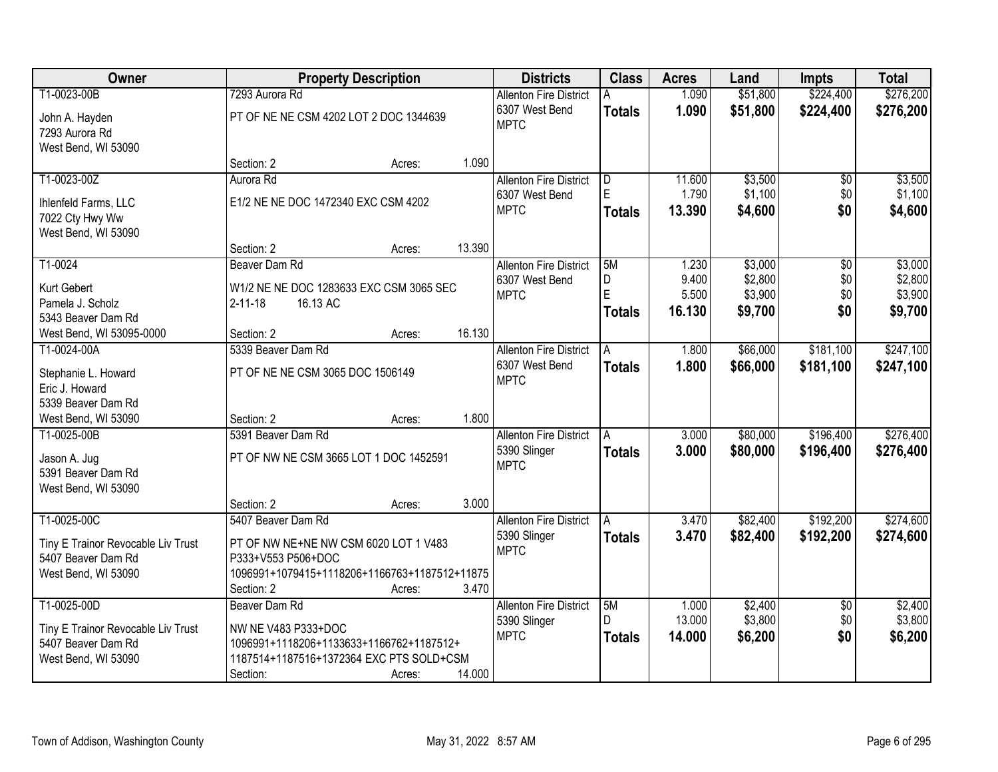| Owner                              |                                               | <b>Property Description</b> |        | <b>Districts</b>              | <b>Class</b>  | <b>Acres</b> | Land     | <b>Impts</b>    | <b>Total</b> |
|------------------------------------|-----------------------------------------------|-----------------------------|--------|-------------------------------|---------------|--------------|----------|-----------------|--------------|
| T1-0023-00B                        | 7293 Aurora Rd                                |                             |        | <b>Allenton Fire District</b> | А             | 1.090        | \$51,800 | \$224,400       | \$276,200    |
| John A. Hayden                     | PT OF NE NE CSM 4202 LOT 2 DOC 1344639        |                             |        | 6307 West Bend                | <b>Totals</b> | 1.090        | \$51,800 | \$224,400       | \$276,200    |
| 7293 Aurora Rd                     |                                               |                             |        | <b>MPTC</b>                   |               |              |          |                 |              |
| West Bend, WI 53090                |                                               |                             |        |                               |               |              |          |                 |              |
|                                    | Section: 2                                    | Acres:                      | 1.090  |                               |               |              |          |                 |              |
| T1-0023-00Z                        | Aurora Rd                                     |                             |        | <b>Allenton Fire District</b> | D             | 11.600       | \$3,500  | $\overline{50}$ | \$3,500      |
| Ihlenfeld Farms, LLC               | E1/2 NE NE DOC 1472340 EXC CSM 4202           |                             |        | 6307 West Bend                | E             | 1.790        | \$1,100  | \$0             | \$1,100      |
| 7022 Cty Hwy Ww                    |                                               |                             |        | <b>MPTC</b>                   | <b>Totals</b> | 13.390       | \$4,600  | \$0             | \$4,600      |
| West Bend, WI 53090                |                                               |                             |        |                               |               |              |          |                 |              |
|                                    | Section: 2                                    | Acres:                      | 13.390 |                               |               |              |          |                 |              |
| T1-0024                            | Beaver Dam Rd                                 |                             |        | <b>Allenton Fire District</b> | 5M            | 1.230        | \$3,000  | \$0             | \$3,000      |
| Kurt Gebert                        | W1/2 NE NE DOC 1283633 EXC CSM 3065 SEC       |                             |        | 6307 West Bend                | D             | 9.400        | \$2,800  | \$0             | \$2,800      |
| Pamela J. Scholz                   | $2 - 11 - 18$<br>16.13 AC                     |                             |        | <b>MPTC</b>                   | E             | 5.500        | \$3,900  | \$0             | \$3,900      |
| 5343 Beaver Dam Rd                 |                                               |                             |        |                               | Totals        | 16.130       | \$9,700  | \$0             | \$9,700      |
| West Bend, WI 53095-0000           | Section: 2                                    | Acres:                      | 16.130 |                               |               |              |          |                 |              |
| T1-0024-00A                        | 5339 Beaver Dam Rd                            |                             |        | <b>Allenton Fire District</b> | A             | 1.800        | \$66,000 | \$181,100       | \$247,100    |
| Stephanie L. Howard                | PT OF NE NE CSM 3065 DOC 1506149              |                             |        | 6307 West Bend                | <b>Totals</b> | 1.800        | \$66,000 | \$181,100       | \$247,100    |
| Eric J. Howard                     |                                               |                             |        | <b>MPTC</b>                   |               |              |          |                 |              |
| 5339 Beaver Dam Rd                 |                                               |                             |        |                               |               |              |          |                 |              |
| West Bend, WI 53090                | Section: 2                                    | Acres:                      | 1.800  |                               |               |              |          |                 |              |
| T1-0025-00B                        | 5391 Beaver Dam Rd                            |                             |        | <b>Allenton Fire District</b> | A             | 3.000        | \$80,000 | \$196,400       | \$276,400    |
| Jason A. Jug                       | PT OF NW NE CSM 3665 LOT 1 DOC 1452591        |                             |        | 5390 Slinger                  | <b>Totals</b> | 3.000        | \$80,000 | \$196,400       | \$276,400    |
| 5391 Beaver Dam Rd                 |                                               |                             |        | <b>MPTC</b>                   |               |              |          |                 |              |
| West Bend, WI 53090                |                                               |                             |        |                               |               |              |          |                 |              |
|                                    | Section: 2                                    | Acres:                      | 3.000  |                               |               |              |          |                 |              |
| T1-0025-00C                        | 5407 Beaver Dam Rd                            |                             |        | <b>Allenton Fire District</b> | A             | 3.470        | \$82,400 | \$192,200       | \$274,600    |
| Tiny E Trainor Revocable Liv Trust | PT OF NW NE+NE NW CSM 6020 LOT 1 V483         |                             |        | 5390 Slinger                  | <b>Totals</b> | 3.470        | \$82,400 | \$192,200       | \$274,600    |
| 5407 Beaver Dam Rd                 | P333+V553 P506+DOC                            |                             |        | <b>MPTC</b>                   |               |              |          |                 |              |
| West Bend, WI 53090                | 1096991+1079415+1118206+1166763+1187512+11875 |                             |        |                               |               |              |          |                 |              |
|                                    | Section: 2                                    | Acres:                      | 3.470  |                               |               |              |          |                 |              |
| T1-0025-00D                        | Beaver Dam Rd                                 |                             |        | <b>Allenton Fire District</b> | 5M            | 1.000        | \$2,400  | $\overline{30}$ | \$2,400      |
| Tiny E Trainor Revocable Liv Trust | NW NE V483 P333+DOC                           |                             |        | 5390 Slinger                  | D.            | 13.000       | \$3,800  | \$0             | \$3,800      |
| 5407 Beaver Dam Rd                 | 1096991+1118206+1133633+1166762+1187512+      |                             |        | <b>MPTC</b>                   | <b>Totals</b> | 14.000       | \$6,200  | \$0             | \$6,200      |
| West Bend, WI 53090                | 1187514+1187516+1372364 EXC PTS SOLD+CSM      |                             |        |                               |               |              |          |                 |              |
|                                    | Section:                                      | Acres:                      | 14.000 |                               |               |              |          |                 |              |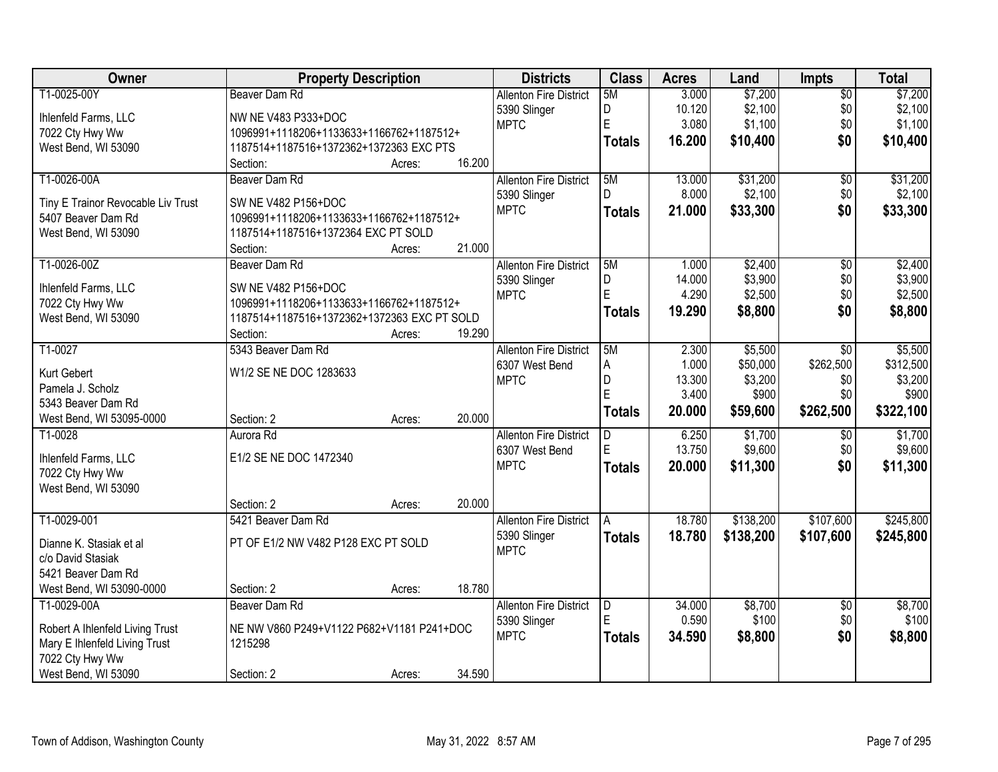| Owner                                  | <b>Property Description</b>                 |                  | <b>Districts</b>              | <b>Class</b>  | <b>Acres</b> | Land      | <b>Impts</b>    | <b>Total</b> |
|----------------------------------------|---------------------------------------------|------------------|-------------------------------|---------------|--------------|-----------|-----------------|--------------|
| T1-0025-00Y                            | Beaver Dam Rd                               |                  | <b>Allenton Fire District</b> | 5M            | 3.000        | \$7,200   | $\overline{50}$ | \$7,200      |
| Ihlenfeld Farms, LLC                   | NW NE V483 P333+DOC                         |                  | 5390 Slinger                  | D             | 10.120       | \$2,100   | \$0             | \$2,100      |
| 7022 Cty Hwy Ww                        | 1096991+1118206+1133633+1166762+1187512+    |                  | <b>MPTC</b>                   | E             | 3.080        | \$1,100   | \$0             | \$1,100      |
| West Bend, WI 53090                    | 1187514+1187516+1372362+1372363 EXC PTS     |                  |                               | <b>Totals</b> | 16.200       | \$10,400  | \$0             | \$10,400     |
|                                        | Section:                                    | 16.200<br>Acres: |                               |               |              |           |                 |              |
| T1-0026-00A                            | Beaver Dam Rd                               |                  | <b>Allenton Fire District</b> | 5M            | 13.000       | \$31,200  | $\overline{50}$ | \$31,200     |
| Tiny E Trainor Revocable Liv Trust     | SW NE V482 P156+DOC                         |                  | 5390 Slinger                  | D.            | 8.000        | \$2,100   | \$0             | \$2,100      |
| 5407 Beaver Dam Rd                     | 1096991+1118206+1133633+1166762+1187512+    |                  | <b>MPTC</b>                   | <b>Totals</b> | 21.000       | \$33,300  | \$0             | \$33,300     |
| West Bend, WI 53090                    | 1187514+1187516+1372364 EXC PT SOLD         |                  |                               |               |              |           |                 |              |
|                                        | Section:                                    | 21.000<br>Acres: |                               |               |              |           |                 |              |
| T1-0026-00Z                            | Beaver Dam Rd                               |                  | <b>Allenton Fire District</b> | 5M            | 1.000        | \$2,400   | $\overline{50}$ | \$2,400      |
| Ihlenfeld Farms, LLC                   | SW NE V482 P156+DOC                         |                  | 5390 Slinger                  | D             | 14.000       | \$3,900   | \$0             | \$3,900      |
| 7022 Cty Hwy Ww                        | 1096991+1118206+1133633+1166762+1187512+    |                  | <b>MPTC</b>                   | E             | 4.290        | \$2,500   | \$0             | \$2,500      |
| West Bend, WI 53090                    | 1187514+1187516+1372362+1372363 EXC PT SOLD |                  |                               | <b>Totals</b> | 19.290       | \$8,800   | \$0             | \$8,800      |
|                                        | Section:                                    | 19.290<br>Acres: |                               |               |              |           |                 |              |
| T1-0027                                | 5343 Beaver Dam Rd                          |                  | <b>Allenton Fire District</b> | 5M            | 2.300        | \$5,500   | \$0             | \$5,500      |
|                                        |                                             |                  | 6307 West Bend                | A             | 1.000        | \$50,000  | \$262,500       | \$312,500    |
| Kurt Gebert                            | W1/2 SE NE DOC 1283633                      |                  | <b>MPTC</b>                   | D             | 13.300       | \$3,200   | \$0             | \$3,200      |
| Pamela J. Scholz<br>5343 Beaver Dam Rd |                                             |                  |                               | E             | 3.400        | \$900     | \$0             | \$900        |
| West Bend, WI 53095-0000               | Section: 2                                  | 20.000<br>Acres: |                               | <b>Totals</b> | 20.000       | \$59,600  | \$262,500       | \$322,100    |
| T1-0028                                | Aurora Rd                                   |                  | <b>Allenton Fire District</b> | D.            | 6.250        | \$1,700   | \$0             | \$1,700      |
|                                        |                                             |                  | 6307 West Bend                | E             | 13.750       | \$9,600   | \$0             | \$9,600      |
| Ihlenfeld Farms, LLC                   | E1/2 SE NE DOC 1472340                      |                  | <b>MPTC</b>                   | <b>Totals</b> | 20.000       | \$11,300  | \$0             | \$11,300     |
| 7022 Cty Hwy Ww                        |                                             |                  |                               |               |              |           |                 |              |
| West Bend, WI 53090                    |                                             |                  |                               |               |              |           |                 |              |
|                                        | Section: 2                                  | 20.000<br>Acres: |                               |               |              |           |                 |              |
| T1-0029-001                            | 5421 Beaver Dam Rd                          |                  | <b>Allenton Fire District</b> | A             | 18.780       | \$138,200 | \$107,600       | \$245,800    |
| Dianne K. Stasiak et al                | PT OF E1/2 NW V482 P128 EXC PT SOLD         |                  | 5390 Slinger                  | <b>Totals</b> | 18.780       | \$138,200 | \$107,600       | \$245,800    |
| c/o David Stasiak                      |                                             |                  | <b>MPTC</b>                   |               |              |           |                 |              |
| 5421 Beaver Dam Rd                     |                                             |                  |                               |               |              |           |                 |              |
| West Bend, WI 53090-0000               | Section: 2                                  | 18.780<br>Acres: |                               |               |              |           |                 |              |
| T1-0029-00A                            | Beaver Dam Rd                               |                  | <b>Allenton Fire District</b> | ID.           | 34.000       | \$8,700   | $\overline{60}$ | \$8,700      |
| Robert A Ihlenfeld Living Trust        | NE NW V860 P249+V1122 P682+V1181 P241+DOC   |                  | 5390 Slinger                  | E             | 0.590        | \$100     | \$0             | \$100        |
| Mary E Ihlenfeld Living Trust          | 1215298                                     |                  | <b>MPTC</b>                   | <b>Totals</b> | 34.590       | \$8,800   | \$0             | \$8,800      |
| 7022 Cty Hwy Ww                        |                                             |                  |                               |               |              |           |                 |              |
| West Bend, WI 53090                    | Section: 2                                  | 34.590<br>Acres: |                               |               |              |           |                 |              |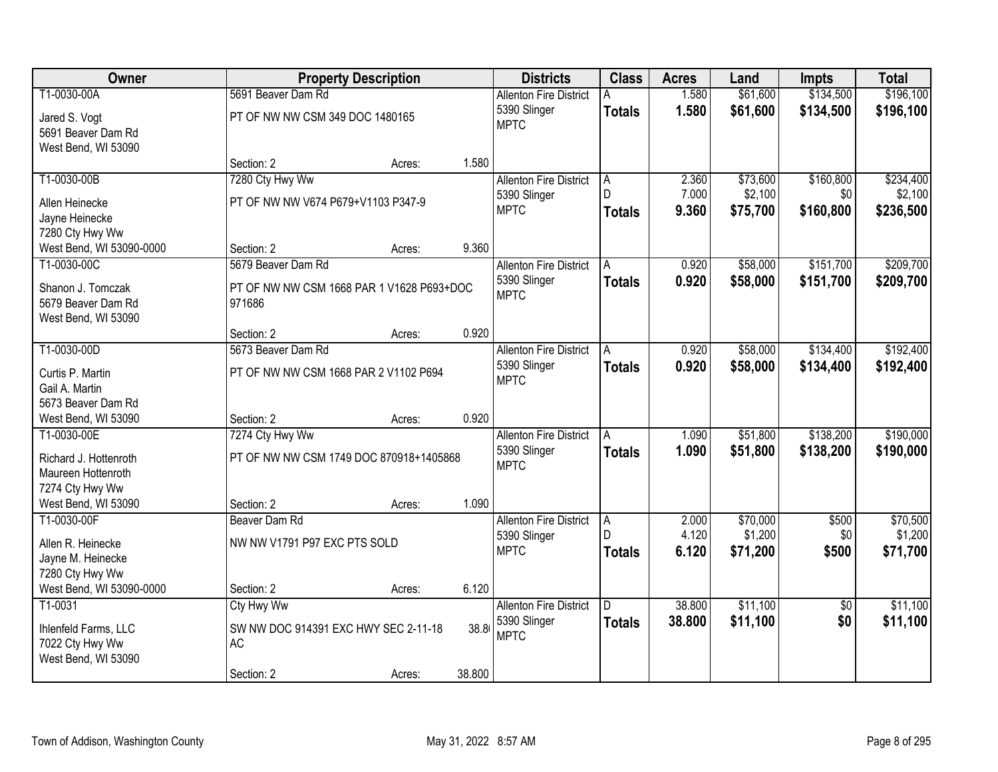| Owner                               |                                           | <b>Property Description</b> |        | <b>Districts</b>              | <b>Class</b>  | <b>Acres</b> | Land     | Impts           | <b>Total</b> |
|-------------------------------------|-------------------------------------------|-----------------------------|--------|-------------------------------|---------------|--------------|----------|-----------------|--------------|
| T1-0030-00A                         | 5691 Beaver Dam Rd                        |                             |        | <b>Allenton Fire District</b> |               | 1.580        | \$61,600 | \$134,500       | \$196,100    |
| Jared S. Vogt<br>5691 Beaver Dam Rd | PT OF NW NW CSM 349 DOC 1480165           |                             |        | 5390 Slinger<br><b>MPTC</b>   | <b>Totals</b> | 1.580        | \$61,600 | \$134,500       | \$196,100    |
| West Bend, WI 53090                 |                                           |                             |        |                               |               |              |          |                 |              |
|                                     | Section: 2                                | Acres:                      | 1.580  |                               |               |              |          |                 |              |
| T1-0030-00B                         | 7280 Cty Hwy Ww                           |                             |        | <b>Allenton Fire District</b> | A             | 2.360        | \$73,600 | \$160,800       | \$234,400    |
| Allen Heinecke                      | PT OF NW NW V674 P679+V1103 P347-9        |                             |        | 5390 Slinger                  | D.            | 7.000        | \$2,100  | \$0             | \$2,100      |
| Jayne Heinecke                      |                                           |                             |        | <b>MPTC</b>                   | <b>Totals</b> | 9.360        | \$75,700 | \$160,800       | \$236,500    |
| 7280 Cty Hwy Ww                     |                                           |                             |        |                               |               |              |          |                 |              |
| West Bend, WI 53090-0000            | Section: 2                                | Acres:                      | 9.360  |                               |               |              |          |                 |              |
| T1-0030-00C                         | 5679 Beaver Dam Rd                        |                             |        | <b>Allenton Fire District</b> | A             | 0.920        | \$58,000 | \$151,700       | \$209,700    |
| Shanon J. Tomczak                   | PT OF NW NW CSM 1668 PAR 1 V1628 P693+DOC |                             |        | 5390 Slinger                  | <b>Totals</b> | 0.920        | \$58,000 | \$151,700       | \$209,700    |
| 5679 Beaver Dam Rd                  | 971686                                    |                             |        | <b>MPTC</b>                   |               |              |          |                 |              |
| West Bend, WI 53090                 |                                           |                             |        |                               |               |              |          |                 |              |
|                                     | Section: 2                                | Acres:                      | 0.920  |                               |               |              |          |                 |              |
| T1-0030-00D                         | 5673 Beaver Dam Rd                        |                             |        | <b>Allenton Fire District</b> | A             | 0.920        | \$58,000 | \$134,400       | \$192,400    |
| Curtis P. Martin                    | PT OF NW NW CSM 1668 PAR 2 V1102 P694     |                             |        | 5390 Slinger                  | <b>Totals</b> | 0.920        | \$58,000 | \$134,400       | \$192,400    |
| Gail A. Martin                      |                                           |                             |        | <b>MPTC</b>                   |               |              |          |                 |              |
| 5673 Beaver Dam Rd                  |                                           |                             |        |                               |               |              |          |                 |              |
| West Bend, WI 53090                 | Section: 2                                | Acres:                      | 0.920  |                               |               |              |          |                 |              |
| T1-0030-00E                         | 7274 Cty Hwy Ww                           |                             |        | <b>Allenton Fire District</b> | A             | 1.090        | \$51,800 | \$138,200       | \$190,000    |
| Richard J. Hottenroth               | PT OF NW NW CSM 1749 DOC 870918+1405868   |                             |        | 5390 Slinger                  | <b>Totals</b> | 1.090        | \$51,800 | \$138,200       | \$190,000    |
| Maureen Hottenroth                  |                                           |                             |        | <b>MPTC</b>                   |               |              |          |                 |              |
| 7274 Cty Hwy Ww                     |                                           |                             |        |                               |               |              |          |                 |              |
| West Bend, WI 53090                 | Section: 2                                | Acres:                      | 1.090  |                               |               |              |          |                 |              |
| T1-0030-00F                         | Beaver Dam Rd                             |                             |        | <b>Allenton Fire District</b> | A             | 2.000        | \$70,000 | \$500           | \$70,500     |
| Allen R. Heinecke                   | NW NW V1791 P97 EXC PTS SOLD              |                             |        | 5390 Slinger                  | D             | 4.120        | \$1,200  | \$0             | \$1,200      |
| Jayne M. Heinecke                   |                                           |                             |        | <b>MPTC</b>                   | <b>Totals</b> | 6.120        | \$71,200 | \$500           | \$71,700     |
| 7280 Cty Hwy Ww                     |                                           |                             |        |                               |               |              |          |                 |              |
| West Bend, WI 53090-0000            | Section: 2                                | Acres:                      | 6.120  |                               |               |              |          |                 |              |
| T1-0031                             | Cty Hwy Ww                                |                             |        | <b>Allenton Fire District</b> | D.            | 38,800       | \$11,100 | $\overline{50}$ | \$11,100     |
| Ihlenfeld Farms, LLC                | SW NW DOC 914391 EXC HWY SEC 2-11-18      |                             | 38.8   | 5390 Slinger<br><b>MPTC</b>   | <b>Totals</b> | 38.800       | \$11,100 | \$0             | \$11,100     |
| 7022 Cty Hwy Ww                     | <b>AC</b>                                 |                             |        |                               |               |              |          |                 |              |
| West Bend, WI 53090                 |                                           |                             |        |                               |               |              |          |                 |              |
|                                     | Section: 2                                | Acres:                      | 38.800 |                               |               |              |          |                 |              |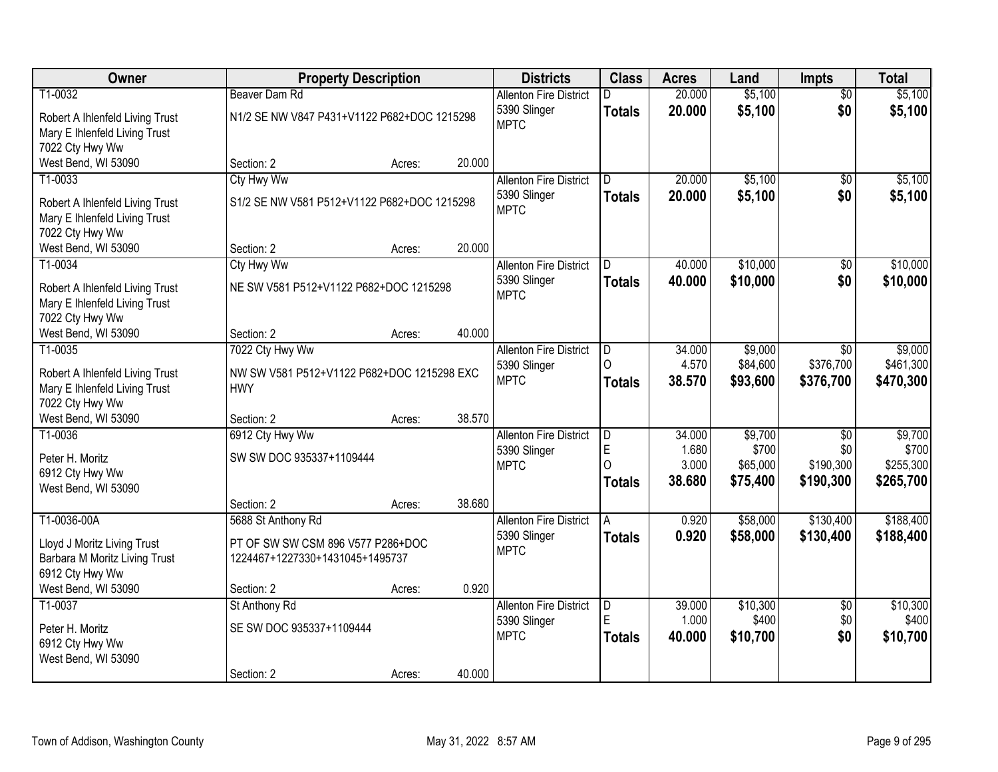| Owner                                                            | <b>Property Description</b>                 |        |        | <b>Districts</b>                              | <b>Class</b>  | <b>Acres</b>    | Land                 | <b>Impts</b>           | <b>Total</b>           |
|------------------------------------------------------------------|---------------------------------------------|--------|--------|-----------------------------------------------|---------------|-----------------|----------------------|------------------------|------------------------|
| T1-0032                                                          | <b>Beaver Dam Rd</b>                        |        |        | <b>Allenton Fire District</b>                 | n             | 20.000          | \$5,100              | $\overline{50}$        | \$5,100                |
| Robert A Ihlenfeld Living Trust                                  | N1/2 SE NW V847 P431+V1122 P682+DOC 1215298 |        |        | 5390 Slinger<br><b>MPTC</b>                   | <b>Totals</b> | 20.000          | \$5,100              | \$0                    | \$5,100                |
| Mary E Ihlenfeld Living Trust<br>7022 Cty Hwy Ww                 |                                             |        |        |                                               |               |                 |                      |                        |                        |
| West Bend, WI 53090                                              | Section: 2                                  | Acres: | 20.000 |                                               |               |                 |                      |                        |                        |
| T1-0033                                                          | <b>Cty Hwy Ww</b>                           |        |        | <b>Allenton Fire District</b>                 | D.            | 20.000          | \$5,100              | $\overline{50}$        | \$5,100                |
| Robert A Ihlenfeld Living Trust                                  | S1/2 SE NW V581 P512+V1122 P682+DOC 1215298 |        |        | 5390 Slinger                                  | <b>Totals</b> | 20.000          | \$5,100              | \$0                    | \$5,100                |
| Mary E Ihlenfeld Living Trust                                    |                                             |        |        | <b>MPTC</b>                                   |               |                 |                      |                        |                        |
| 7022 Cty Hwy Ww                                                  |                                             |        |        |                                               |               |                 |                      |                        |                        |
| West Bend, WI 53090<br>T1-0034                                   | Section: 2<br><b>Cty Hwy Ww</b>             | Acres: | 20.000 | <b>Allenton Fire District</b>                 | D             | 40.000          | \$10,000             | \$0                    | \$10,000               |
|                                                                  |                                             |        |        | 5390 Slinger                                  | <b>Totals</b> | 40.000          | \$10,000             | \$0                    | \$10,000               |
| Robert A Ihlenfeld Living Trust<br>Mary E Ihlenfeld Living Trust | NE SW V581 P512+V1122 P682+DOC 1215298      |        |        | <b>MPTC</b>                                   |               |                 |                      |                        |                        |
| 7022 Cty Hwy Ww                                                  |                                             |        |        |                                               |               |                 |                      |                        |                        |
| West Bend, WI 53090                                              | Section: 2                                  | Acres: | 40.000 |                                               |               |                 |                      |                        |                        |
| T1-0035                                                          | 7022 Cty Hwy Ww                             |        |        | <b>Allenton Fire District</b><br>5390 Slinger | ID.<br>∩      | 34.000<br>4.570 | \$9,000<br>\$84,600  | \$0<br>\$376,700       | \$9,000<br>\$461,300   |
| Robert A Ihlenfeld Living Trust                                  | NW SW V581 P512+V1122 P682+DOC 1215298 EXC  |        |        | <b>MPTC</b>                                   | <b>Totals</b> | 38.570          | \$93,600             | \$376,700              | \$470,300              |
| Mary E Ihlenfeld Living Trust<br>7022 Cty Hwy Ww                 | <b>HWY</b>                                  |        |        |                                               |               |                 |                      |                        |                        |
| West Bend, WI 53090                                              | Section: 2                                  | Acres: | 38.570 |                                               |               |                 |                      |                        |                        |
| T1-0036                                                          | 6912 Cty Hwy Ww                             |        |        | <b>Allenton Fire District</b>                 | D             | 34.000          | \$9,700              | $\overline{30}$        | \$9,700                |
| Peter H. Moritz                                                  | SW SW DOC 935337+1109444                    |        |        | 5390 Slinger                                  | E<br>$\Omega$ | 1.680<br>3.000  | \$700                | \$0<br>\$190,300       | \$700                  |
| 6912 Cty Hwy Ww                                                  |                                             |        |        | <b>MPTC</b>                                   | <b>Totals</b> | 38.680          | \$65,000<br>\$75,400 | \$190,300              | \$255,300<br>\$265,700 |
| West Bend, WI 53090                                              |                                             |        | 38.680 |                                               |               |                 |                      |                        |                        |
| T1-0036-00A                                                      | Section: 2<br>5688 St Anthony Rd            | Acres: |        | <b>Allenton Fire District</b>                 | A             | 0.920           | \$58,000             | \$130,400              | \$188,400              |
|                                                                  | PT OF SW SW CSM 896 V577 P286+DOC           |        |        | 5390 Slinger                                  | <b>Totals</b> | 0.920           | \$58,000             | \$130,400              | \$188,400              |
| Lloyd J Moritz Living Trust<br>Barbara M Moritz Living Trust     | 1224467+1227330+1431045+1495737             |        |        | <b>MPTC</b>                                   |               |                 |                      |                        |                        |
| 6912 Cty Hwy Ww                                                  |                                             |        |        |                                               |               |                 |                      |                        |                        |
| West Bend, WI 53090                                              | Section: 2                                  | Acres: | 0.920  |                                               |               |                 |                      |                        |                        |
| T1-0037                                                          | St Anthony Rd                               |        |        | <b>Allenton Fire District</b><br>5390 Slinger | D<br>E        | 39.000<br>1.000 | \$10,300<br>\$400    | $\overline{50}$<br>\$0 | \$10,300<br>\$400      |
| Peter H. Moritz                                                  | SE SW DOC 935337+1109444                    |        |        | <b>MPTC</b>                                   | <b>Totals</b> | 40.000          | \$10,700             | \$0                    | \$10,700               |
| 6912 Cty Hwy Ww<br>West Bend, WI 53090                           |                                             |        |        |                                               |               |                 |                      |                        |                        |
|                                                                  | Section: 2                                  | Acres: | 40.000 |                                               |               |                 |                      |                        |                        |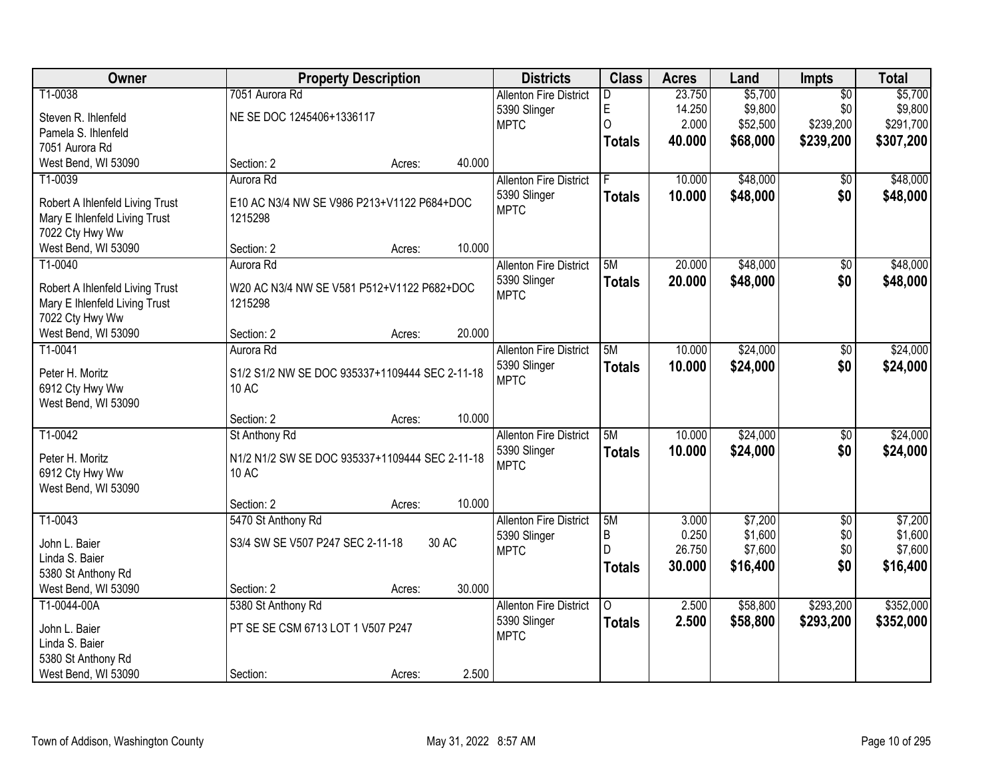| Owner                                                            | <b>Property Description</b>                           |        |        | <b>Districts</b>              | <b>Class</b>  | <b>Acres</b> | Land     | Impts           | <b>Total</b> |
|------------------------------------------------------------------|-------------------------------------------------------|--------|--------|-------------------------------|---------------|--------------|----------|-----------------|--------------|
| T1-0038                                                          | 7051 Aurora Rd                                        |        |        | <b>Allenton Fire District</b> | D             | 23.750       | \$5,700  | $\overline{50}$ | \$5,700      |
| Steven R. Ihlenfeld                                              | NE SE DOC 1245406+1336117                             |        |        | 5390 Slinger                  | E             | 14.250       | \$9,800  | \$0             | \$9,800      |
| Pamela S. Ihlenfeld                                              |                                                       |        |        | <b>MPTC</b>                   | 0             | 2.000        | \$52,500 | \$239,200       | \$291,700    |
| 7051 Aurora Rd                                                   |                                                       |        |        |                               | <b>Totals</b> | 40.000       | \$68,000 | \$239,200       | \$307,200    |
| West Bend, WI 53090                                              | Section: 2                                            | Acres: | 40.000 |                               |               |              |          |                 |              |
| T1-0039                                                          | Aurora Rd                                             |        |        | <b>Allenton Fire District</b> |               | 10.000       | \$48,000 | \$0             | \$48,000     |
|                                                                  |                                                       |        |        | 5390 Slinger                  | <b>Totals</b> | 10.000       | \$48,000 | \$0             | \$48,000     |
| Robert A Ihlenfeld Living Trust<br>Mary E Ihlenfeld Living Trust | E10 AC N3/4 NW SE V986 P213+V1122 P684+DOC<br>1215298 |        |        | <b>MPTC</b>                   |               |              |          |                 |              |
| 7022 Cty Hwy Ww                                                  |                                                       |        |        |                               |               |              |          |                 |              |
| West Bend, WI 53090                                              | Section: 2                                            | Acres: | 10.000 |                               |               |              |          |                 |              |
| T1-0040                                                          | Aurora Rd                                             |        |        | <b>Allenton Fire District</b> | 5M            | 20.000       | \$48,000 | $\overline{50}$ | \$48,000     |
|                                                                  |                                                       |        |        | 5390 Slinger                  | <b>Totals</b> | 20.000       | \$48,000 | \$0             | \$48,000     |
| Robert A Ihlenfeld Living Trust                                  | W20 AC N3/4 NW SE V581 P512+V1122 P682+DOC            |        |        | <b>MPTC</b>                   |               |              |          |                 |              |
| Mary E Ihlenfeld Living Trust                                    | 1215298                                               |        |        |                               |               |              |          |                 |              |
| 7022 Cty Hwy Ww                                                  |                                                       |        |        |                               |               |              |          |                 |              |
| West Bend, WI 53090                                              | Section: 2                                            | Acres: | 20.000 |                               |               |              |          |                 |              |
| T1-0041                                                          | Aurora Rd                                             |        |        | <b>Allenton Fire District</b> | 5M            | 10.000       | \$24,000 | \$0             | \$24,000     |
| Peter H. Moritz                                                  | S1/2 S1/2 NW SE DOC 935337+1109444 SEC 2-11-18        |        |        | 5390 Slinger                  | <b>Totals</b> | 10.000       | \$24,000 | \$0             | \$24,000     |
| 6912 Cty Hwy Ww                                                  | 10 AC                                                 |        |        | <b>MPTC</b>                   |               |              |          |                 |              |
| West Bend, WI 53090                                              |                                                       |        |        |                               |               |              |          |                 |              |
|                                                                  | Section: 2                                            | Acres: | 10.000 |                               |               |              |          |                 |              |
| $T1-0042$                                                        | St Anthony Rd                                         |        |        | <b>Allenton Fire District</b> | 5M            | 10.000       | \$24,000 | $\overline{50}$ | \$24,000     |
| Peter H. Moritz                                                  | N1/2 N1/2 SW SE DOC 935337+1109444 SEC 2-11-18        |        |        | 5390 Slinger                  | <b>Totals</b> | 10.000       | \$24,000 | \$0             | \$24,000     |
| 6912 Cty Hwy Ww                                                  | <b>10 AC</b>                                          |        |        | <b>MPTC</b>                   |               |              |          |                 |              |
| West Bend, WI 53090                                              |                                                       |        |        |                               |               |              |          |                 |              |
|                                                                  | Section: 2                                            | Acres: | 10.000 |                               |               |              |          |                 |              |
| T1-0043                                                          | 5470 St Anthony Rd                                    |        |        | <b>Allenton Fire District</b> | 5M            | 3.000        | \$7,200  | $\overline{50}$ | \$7,200      |
|                                                                  |                                                       |        |        | 5390 Slinger                  | B             | 0.250        | \$1,600  | \$0             | \$1,600      |
| John L. Baier                                                    | S3/4 SW SE V507 P247 SEC 2-11-18                      |        | 30 AC  | <b>MPTC</b>                   | D             | 26.750       | \$7,600  | \$0             | \$7,600      |
| Linda S. Baier                                                   |                                                       |        |        |                               | <b>Totals</b> | 30.000       | \$16,400 | \$0             | \$16,400     |
| 5380 St Anthony Rd<br>West Bend, WI 53090                        | Section: 2                                            | Acres: | 30.000 |                               |               |              |          |                 |              |
| T1-0044-00A                                                      | 5380 St Anthony Rd                                    |        |        | <b>Allenton Fire District</b> | 0             | 2.500        | \$58,800 | \$293,200       | \$352,000    |
|                                                                  |                                                       |        |        | 5390 Slinger                  |               |              |          |                 |              |
| John L. Baier                                                    | PT SE SE CSM 6713 LOT 1 V507 P247                     |        |        | <b>MPTC</b>                   | <b>Totals</b> | 2.500        | \$58,800 | \$293,200       | \$352,000    |
| Linda S. Baier                                                   |                                                       |        |        |                               |               |              |          |                 |              |
| 5380 St Anthony Rd                                               |                                                       |        |        |                               |               |              |          |                 |              |
| West Bend, WI 53090                                              | Section:                                              | Acres: | 2.500  |                               |               |              |          |                 |              |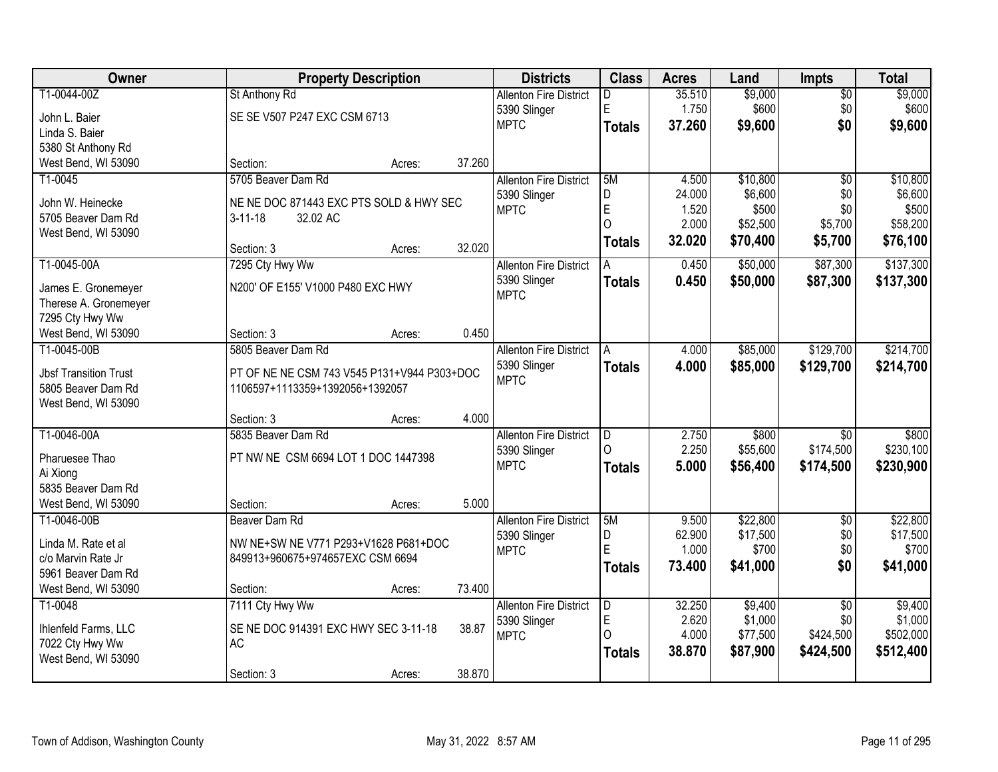| Owner                                     |                                                                          | <b>Property Description</b> |        | <b>Districts</b>              | <b>Class</b>  | <b>Acres</b> | Land     | <b>Impts</b>    | <b>Total</b> |
|-------------------------------------------|--------------------------------------------------------------------------|-----------------------------|--------|-------------------------------|---------------|--------------|----------|-----------------|--------------|
| T1-0044-00Z                               | St Anthony Rd                                                            |                             |        | <b>Allenton Fire District</b> | D             | 35.510       | \$9,000  | $\overline{50}$ | \$9,000      |
| John L. Baier                             | SE SE V507 P247 EXC CSM 6713                                             |                             |        | 5390 Slinger                  | E             | 1.750        | \$600    | \$0             | \$600        |
| Linda S. Baier                            |                                                                          |                             |        | <b>MPTC</b>                   | <b>Totals</b> | 37.260       | \$9,600  | \$0             | \$9,600      |
| 5380 St Anthony Rd                        |                                                                          |                             |        |                               |               |              |          |                 |              |
| West Bend, WI 53090                       | Section:                                                                 | Acres:                      | 37.260 |                               |               |              |          |                 |              |
| T1-0045                                   | 5705 Beaver Dam Rd                                                       |                             |        | <b>Allenton Fire District</b> | 5M            | 4.500        | \$10,800 | $\overline{30}$ | \$10,800     |
|                                           |                                                                          |                             |        | 5390 Slinger                  | D             | 24.000       | \$6,600  | \$0             | \$6,600      |
| John W. Heinecke                          | NE NE DOC 871443 EXC PTS SOLD & HWY SEC                                  |                             |        | <b>MPTC</b>                   | E             | 1.520        | \$500    | \$0             | \$500        |
| 5705 Beaver Dam Rd                        | $3 - 11 - 18$<br>32.02 AC                                                |                             |        |                               | $\Omega$      | 2.000        | \$52,500 | \$5,700         | \$58,200     |
| West Bend, WI 53090                       |                                                                          |                             |        |                               | <b>Totals</b> | 32.020       | \$70,400 | \$5,700         | \$76,100     |
|                                           | Section: 3                                                               | Acres:                      | 32.020 |                               |               |              |          |                 |              |
| T1-0045-00A                               | 7295 Cty Hwy Ww                                                          |                             |        | <b>Allenton Fire District</b> |               | 0.450        | \$50,000 | \$87,300        | \$137,300    |
| James E. Gronemeyer                       | N200' OF E155' V1000 P480 EXC HWY                                        |                             |        | 5390 Slinger                  | <b>Totals</b> | 0.450        | \$50,000 | \$87,300        | \$137,300    |
| Therese A. Gronemeyer                     |                                                                          |                             |        | <b>MPTC</b>                   |               |              |          |                 |              |
| 7295 Cty Hwy Ww                           |                                                                          |                             |        |                               |               |              |          |                 |              |
| West Bend, WI 53090                       | Section: 3                                                               | Acres:                      | 0.450  |                               |               |              |          |                 |              |
| T1-0045-00B                               | 5805 Beaver Dam Rd                                                       |                             |        | <b>Allenton Fire District</b> | A             | 4.000        | \$85,000 | \$129,700       | \$214,700    |
|                                           |                                                                          |                             |        | 5390 Slinger                  | <b>Totals</b> | 4.000        | \$85,000 | \$129,700       | \$214,700    |
| <b>Jbsf Transition Trust</b>              | PT OF NE NE CSM 743 V545 P131+V944 P303+DOC                              |                             |        | <b>MPTC</b>                   |               |              |          |                 |              |
| 5805 Beaver Dam Rd                        | 1106597+1113359+1392056+1392057                                          |                             |        |                               |               |              |          |                 |              |
| West Bend, WI 53090                       |                                                                          |                             |        |                               |               |              |          |                 |              |
|                                           | Section: 3                                                               | Acres:                      | 4.000  |                               |               |              |          |                 |              |
| T1-0046-00A                               | 5835 Beaver Dam Rd                                                       |                             |        | <b>Allenton Fire District</b> | D<br>$\Omega$ | 2.750        | \$800    | $\overline{50}$ | \$800        |
| Pharuesee Thao                            | PT NW NE CSM 6694 LOT 1 DOC 1447398                                      |                             |        | 5390 Slinger                  |               | 2.250        | \$55,600 | \$174,500       | \$230,100    |
| Ai Xiong                                  |                                                                          |                             |        | <b>MPTC</b>                   | <b>Totals</b> | 5.000        | \$56,400 | \$174,500       | \$230,900    |
| 5835 Beaver Dam Rd                        |                                                                          |                             |        |                               |               |              |          |                 |              |
| West Bend, WI 53090                       | Section:                                                                 | Acres:                      | 5.000  |                               |               |              |          |                 |              |
| T1-0046-00B                               | Beaver Dam Rd                                                            |                             |        | <b>Allenton Fire District</b> | 5M            | 9.500        | \$22,800 | $\overline{60}$ | \$22,800     |
|                                           |                                                                          |                             |        | 5390 Slinger                  | D             | 62.900       | \$17,500 | \$0             | \$17,500     |
| Linda M. Rate et al<br>c/o Marvin Rate Jr | NW NE+SW NE V771 P293+V1628 P681+DOC<br>849913+960675+974657EXC CSM 6694 |                             |        | <b>MPTC</b>                   | E             | 1.000        | \$700    | \$0             | \$700        |
| 5961 Beaver Dam Rd                        |                                                                          |                             |        |                               | <b>Totals</b> | 73.400       | \$41,000 | \$0             | \$41,000     |
| West Bend, WI 53090                       | Section:                                                                 | Acres:                      | 73.400 |                               |               |              |          |                 |              |
| T1-0048                                   | 7111 Cty Hwy Ww                                                          |                             |        | <b>Allenton Fire District</b> | D             | 32.250       | \$9,400  | $\overline{30}$ | \$9,400      |
|                                           |                                                                          |                             |        |                               | $\mathsf E$   | 2.620        | \$1,000  | \$0             | \$1,000      |
| Ihlenfeld Farms, LLC                      | SE NE DOC 914391 EXC HWY SEC 3-11-18                                     |                             | 38.87  | 5390 Slinger<br><b>MPTC</b>   | $\Omega$      | 4.000        | \$77,500 | \$424,500       | \$502,000    |
| 7022 Cty Hwy Ww                           | <b>AC</b>                                                                |                             |        |                               |               | 38.870       | \$87,900 | \$424,500       | \$512,400    |
| West Bend, WI 53090                       |                                                                          |                             |        |                               | <b>Totals</b> |              |          |                 |              |
|                                           | Section: 3                                                               | Acres:                      | 38.870 |                               |               |              |          |                 |              |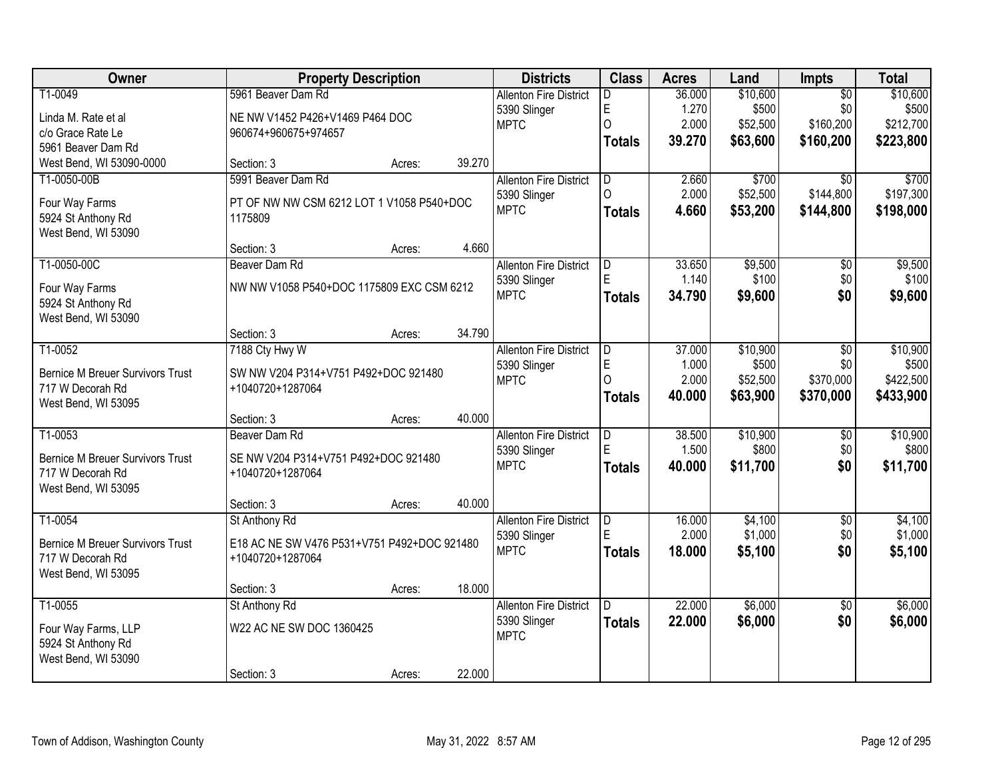| Owner                                     |                                                      | <b>Property Description</b> |        | <b>Districts</b>              | <b>Class</b>            | <b>Acres</b> | Land              | Impts           | <b>Total</b> |
|-------------------------------------------|------------------------------------------------------|-----------------------------|--------|-------------------------------|-------------------------|--------------|-------------------|-----------------|--------------|
| T1-0049                                   | 5961 Beaver Dam Rd                                   |                             |        | <b>Allenton Fire District</b> | D.                      | 36.000       | \$10,600          | $\overline{50}$ | \$10,600     |
| Linda M. Rate et al                       | NE NW V1452 P426+V1469 P464 DOC                      |                             |        | 5390 Slinger                  | E                       | 1.270        | \$500             | \$0             | \$500        |
| c/o Grace Rate Le                         | 960674+960675+974657                                 |                             |        | <b>MPTC</b>                   | 0                       | 2.000        | \$52,500          | \$160,200       | \$212,700    |
| 5961 Beaver Dam Rd                        |                                                      |                             |        |                               | <b>Totals</b>           | 39.270       | \$63,600          | \$160,200       | \$223,800    |
| West Bend, WI 53090-0000                  | Section: 3                                           | Acres:                      | 39.270 |                               |                         |              |                   |                 |              |
| T1-0050-00B                               | 5991 Beaver Dam Rd                                   |                             |        | <b>Allenton Fire District</b> | $\overline{D}$          | 2.660        | \$700             | $\overline{30}$ | \$700        |
|                                           |                                                      |                             |        | 5390 Slinger                  | $\Omega$                | 2.000        | \$52,500          | \$144,800       | \$197,300    |
| Four Way Farms                            | PT OF NW NW CSM 6212 LOT 1 V1058 P540+DOC<br>1175809 |                             |        | <b>MPTC</b>                   | <b>Totals</b>           | 4.660        | \$53,200          | \$144,800       | \$198,000    |
| 5924 St Anthony Rd<br>West Bend, WI 53090 |                                                      |                             |        |                               |                         |              |                   |                 |              |
|                                           | Section: 3                                           | Acres:                      | 4.660  |                               |                         |              |                   |                 |              |
| T1-0050-00C                               | Beaver Dam Rd                                        |                             |        | <b>Allenton Fire District</b> | D                       | 33.650       | \$9,500           | \$0             | \$9,500      |
|                                           |                                                      |                             |        | 5390 Slinger                  | E                       | 1.140        | \$100             | \$0             | \$100        |
| Four Way Farms                            | NW NW V1058 P540+DOC 1175809 EXC CSM 6212            |                             |        | <b>MPTC</b>                   | <b>Totals</b>           | 34.790       | \$9,600           | \$0             | \$9,600      |
| 5924 St Anthony Rd                        |                                                      |                             |        |                               |                         |              |                   |                 |              |
| West Bend, WI 53090                       | Section: 3                                           | Acres:                      | 34.790 |                               |                         |              |                   |                 |              |
| T1-0052                                   | 7188 Cty Hwy W                                       |                             |        | <b>Allenton Fire District</b> | D                       | 37.000       | \$10,900          | \$0             | \$10,900     |
|                                           |                                                      |                             |        | 5390 Slinger                  | E                       | 1.000        | \$500             | \$0             | \$500        |
| <b>Bernice M Breuer Survivors Trust</b>   | SW NW V204 P314+V751 P492+DOC 921480                 |                             |        | <b>MPTC</b>                   | 0                       | 2.000        | \$52,500          | \$370,000       | \$422,500    |
| 717 W Decorah Rd                          | +1040720+1287064                                     |                             |        |                               | <b>Totals</b>           | 40.000       | \$63,900          | \$370,000       | \$433,900    |
| West Bend, WI 53095                       |                                                      |                             |        |                               |                         |              |                   |                 |              |
|                                           | Section: 3                                           | Acres:                      | 40.000 |                               |                         |              |                   |                 |              |
| T1-0053                                   | Beaver Dam Rd                                        |                             |        | <b>Allenton Fire District</b> | D<br>F                  | 38.500       | \$10,900<br>\$800 | $\overline{50}$ | \$10,900     |
| <b>Bernice M Breuer Survivors Trust</b>   | SE NW V204 P314+V751 P492+DOC 921480                 |                             |        | 5390 Slinger<br><b>MPTC</b>   |                         | 1.500        |                   | \$0             | \$800        |
| 717 W Decorah Rd                          | +1040720+1287064                                     |                             |        |                               | <b>Totals</b>           | 40.000       | \$11,700          | \$0             | \$11,700     |
| West Bend, WI 53095                       |                                                      |                             |        |                               |                         |              |                   |                 |              |
|                                           | Section: 3                                           | Acres:                      | 40.000 |                               |                         |              |                   |                 |              |
| T1-0054                                   | St Anthony Rd                                        |                             |        | <b>Allenton Fire District</b> | $\overline{\mathsf{D}}$ | 16.000       | \$4,100           | $\overline{50}$ | \$4,100      |
| <b>Bernice M Breuer Survivors Trust</b>   | E18 AC NE SW V476 P531+V751 P492+DOC 921480          |                             |        | 5390 Slinger                  | E                       | 2.000        | \$1,000           | \$0             | \$1,000      |
| 717 W Decorah Rd                          | +1040720+1287064                                     |                             |        | <b>MPTC</b>                   | <b>Totals</b>           | 18,000       | \$5,100           | \$0             | \$5,100      |
| West Bend, WI 53095                       |                                                      |                             |        |                               |                         |              |                   |                 |              |
|                                           | Section: 3                                           | Acres:                      | 18.000 |                               |                         |              |                   |                 |              |
| T1-0055                                   | St Anthony Rd                                        |                             |        | <b>Allenton Fire District</b> | D.                      | 22.000       | \$6,000           | $\overline{50}$ | \$6,000      |
| Four Way Farms, LLP                       | W22 AC NE SW DOC 1360425                             |                             |        | 5390 Slinger                  | <b>Totals</b>           | 22,000       | \$6,000           | \$0             | \$6,000      |
| 5924 St Anthony Rd                        |                                                      |                             |        | <b>MPTC</b>                   |                         |              |                   |                 |              |
| West Bend, WI 53090                       |                                                      |                             |        |                               |                         |              |                   |                 |              |
|                                           | Section: 3                                           | Acres:                      | 22.000 |                               |                         |              |                   |                 |              |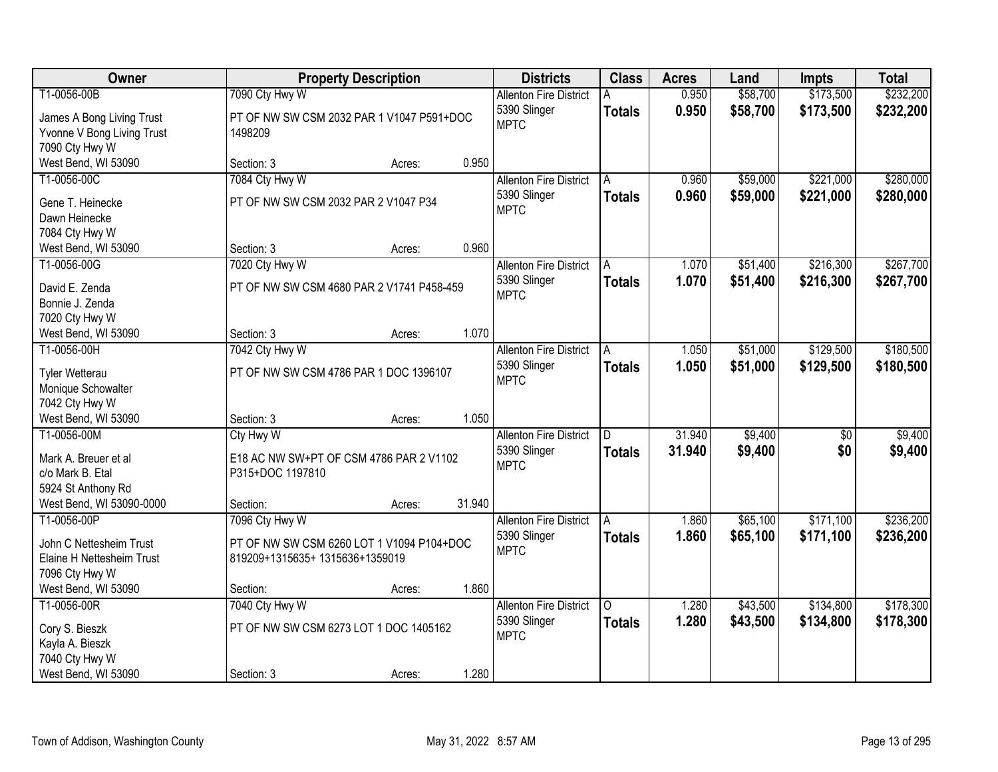| Owner                                   |                                           | <b>Property Description</b> |        | <b>Districts</b>              | <b>Class</b>  | <b>Acres</b> | Land     | Impts           | <b>Total</b> |
|-----------------------------------------|-------------------------------------------|-----------------------------|--------|-------------------------------|---------------|--------------|----------|-----------------|--------------|
| T1-0056-00B                             | 7090 Cty Hwy W                            |                             |        | <b>Allenton Fire District</b> |               | 0.950        | \$58,700 | \$173,500       | \$232,200    |
| James A Bong Living Trust               | PT OF NW SW CSM 2032 PAR 1 V1047 P591+DOC |                             |        | 5390 Slinger                  | <b>Totals</b> | 0.950        | \$58,700 | \$173,500       | \$232,200    |
| Yvonne V Bong Living Trust              | 1498209                                   |                             |        | <b>MPTC</b>                   |               |              |          |                 |              |
| 7090 Cty Hwy W                          |                                           |                             |        |                               |               |              |          |                 |              |
| West Bend, WI 53090                     | Section: 3                                | Acres:                      | 0.950  |                               |               |              |          |                 |              |
| T1-0056-00C                             | 7084 Cty Hwy W                            |                             |        | <b>Allenton Fire District</b> | A             | 0.960        | \$59,000 | \$221,000       | \$280,000    |
| Gene T. Heinecke                        | PT OF NW SW CSM 2032 PAR 2 V1047 P34      |                             |        | 5390 Slinger                  | <b>Totals</b> | 0.960        | \$59,000 | \$221,000       | \$280,000    |
| Dawn Heinecke                           |                                           |                             |        | <b>MPTC</b>                   |               |              |          |                 |              |
| 7084 Cty Hwy W                          |                                           |                             |        |                               |               |              |          |                 |              |
| West Bend, WI 53090                     | Section: 3                                | Acres:                      | 0.960  |                               |               |              |          |                 |              |
| T1-0056-00G                             | 7020 Cty Hwy W                            |                             |        | <b>Allenton Fire District</b> | A             | 1.070        | \$51,400 | \$216,300       | \$267,700    |
| David E. Zenda                          | PT OF NW SW CSM 4680 PAR 2 V1741 P458-459 |                             |        | 5390 Slinger                  | <b>Totals</b> | 1.070        | \$51,400 | \$216,300       | \$267,700    |
| Bonnie J. Zenda                         |                                           |                             |        | <b>MPTC</b>                   |               |              |          |                 |              |
| 7020 Cty Hwy W                          |                                           |                             |        |                               |               |              |          |                 |              |
| West Bend, WI 53090                     | Section: 3                                | Acres:                      | 1.070  |                               |               |              |          |                 |              |
| T1-0056-00H                             | 7042 Cty Hwy W                            |                             |        | <b>Allenton Fire District</b> | Α             | 1.050        | \$51,000 | \$129,500       | \$180,500    |
|                                         |                                           |                             |        | 5390 Slinger                  | <b>Totals</b> | 1.050        | \$51,000 | \$129,500       | \$180,500    |
| <b>Tyler Wetterau</b>                   | PT OF NW SW CSM 4786 PAR 1 DOC 1396107    |                             |        | <b>MPTC</b>                   |               |              |          |                 |              |
| Monique Schowalter<br>7042 Cty Hwy W    |                                           |                             |        |                               |               |              |          |                 |              |
| West Bend, WI 53090                     | Section: 3                                | Acres:                      | 1.050  |                               |               |              |          |                 |              |
| T1-0056-00M                             | Cty Hwy W                                 |                             |        | <b>Allenton Fire District</b> | D.            | 31.940       | \$9,400  | $\overline{50}$ | \$9,400      |
|                                         |                                           |                             |        | 5390 Slinger                  | <b>Totals</b> | 31.940       | \$9,400  | \$0             | \$9,400      |
| Mark A. Breuer et al                    | E18 AC NW SW+PT OF CSM 4786 PAR 2 V1102   |                             |        | <b>MPTC</b>                   |               |              |          |                 |              |
| c/o Mark B. Etal                        | P315+DOC 1197810                          |                             |        |                               |               |              |          |                 |              |
| 5924 St Anthony Rd                      |                                           |                             | 31.940 |                               |               |              |          |                 |              |
| West Bend, WI 53090-0000<br>T1-0056-00P | Section:<br>7096 Cty Hwy W                | Acres:                      |        | <b>Allenton Fire District</b> | A             | 1.860        | \$65,100 | \$171,100       | \$236,200    |
|                                         |                                           |                             |        | 5390 Slinger                  |               | 1.860        | \$65,100 | \$171,100       | \$236,200    |
| John C Nettesheim Trust                 | PT OF NW SW CSM 6260 LOT 1 V1094 P104+DOC |                             |        | <b>MPTC</b>                   | <b>Totals</b> |              |          |                 |              |
| Elaine H Nettesheim Trust               | 819209+1315635+1315636+1359019            |                             |        |                               |               |              |          |                 |              |
| 7096 Cty Hwy W                          |                                           |                             |        |                               |               |              |          |                 |              |
| West Bend, WI 53090                     | Section:                                  | Acres:                      | 1.860  |                               |               |              |          |                 |              |
| T1-0056-00R                             | 7040 Cty Hwy W                            |                             |        | <b>Allenton Fire District</b> | 0             | 1.280        | \$43,500 | \$134,800       | \$178,300    |
| Cory S. Bieszk                          | PT OF NW SW CSM 6273 LOT 1 DOC 1405162    |                             |        | 5390 Slinger<br><b>MPTC</b>   | <b>Totals</b> | 1.280        | \$43,500 | \$134,800       | \$178,300    |
| Kayla A. Bieszk                         |                                           |                             |        |                               |               |              |          |                 |              |
| 7040 Cty Hwy W                          |                                           |                             |        |                               |               |              |          |                 |              |
| West Bend, WI 53090                     | Section: 3                                | Acres:                      | 1.280  |                               |               |              |          |                 |              |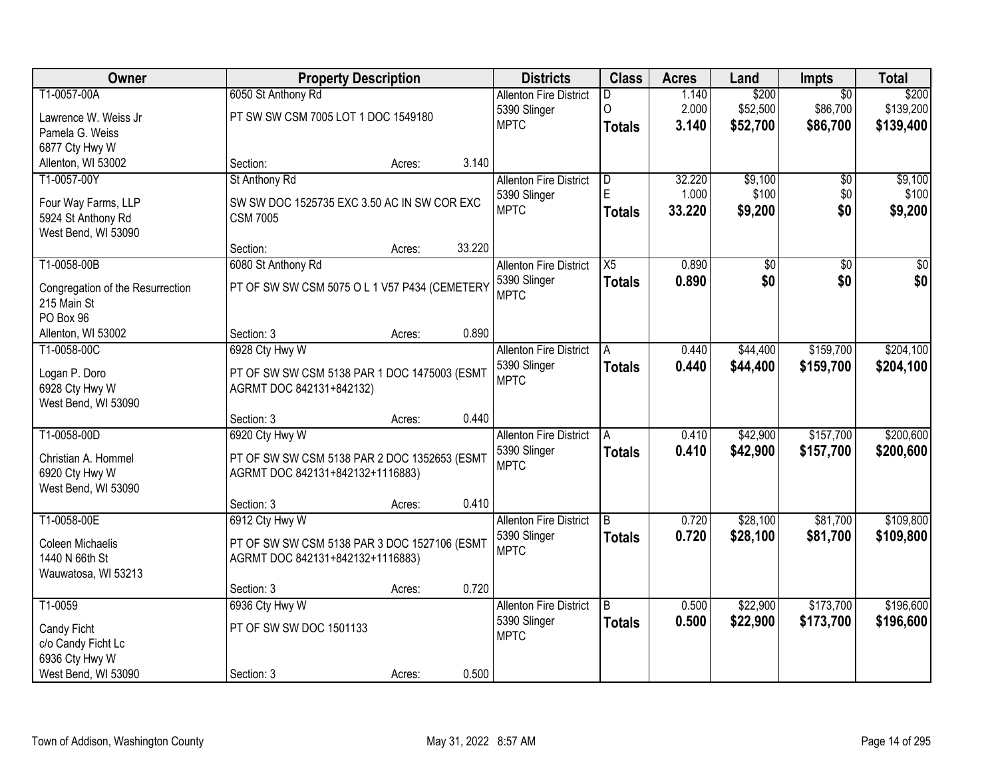| Owner                                           |                                               | <b>Property Description</b> |        | <b>Districts</b>              | <b>Class</b>    | <b>Acres</b> | Land     | Impts           | <b>Total</b> |
|-------------------------------------------------|-----------------------------------------------|-----------------------------|--------|-------------------------------|-----------------|--------------|----------|-----------------|--------------|
| T1-0057-00A                                     | 6050 St Anthony Rd                            |                             |        | <b>Allenton Fire District</b> | D               | 1.140        | \$200    | $\overline{50}$ | \$200        |
| Lawrence W. Weiss Jr                            | PT SW SW CSM 7005 LOT 1 DOC 1549180           |                             |        | 5390 Slinger                  | 0               | 2.000        | \$52,500 | \$86,700        | \$139,200    |
| Pamela G. Weiss                                 |                                               |                             |        | <b>MPTC</b>                   | <b>Totals</b>   | 3.140        | \$52,700 | \$86,700        | \$139,400    |
| 6877 Cty Hwy W                                  |                                               |                             |        |                               |                 |              |          |                 |              |
| Allenton, WI 53002                              | Section:                                      | Acres:                      | 3.140  |                               |                 |              |          |                 |              |
| T1-0057-00Y                                     | St Anthony Rd                                 |                             |        | <b>Allenton Fire District</b> | D               | 32.220       | \$9,100  | \$0             | \$9,100      |
|                                                 | SW SW DOC 1525735 EXC 3.50 AC IN SW COR EXC   |                             |        | 5390 Slinger                  | E.              | 1.000        | \$100    | \$0             | \$100        |
| Four Way Farms, LLP<br>5924 St Anthony Rd       | <b>CSM 7005</b>                               |                             |        | <b>MPTC</b>                   | <b>Totals</b>   | 33.220       | \$9,200  | \$0             | \$9,200      |
| West Bend, WI 53090                             |                                               |                             |        |                               |                 |              |          |                 |              |
|                                                 | Section:                                      | Acres:                      | 33.220 |                               |                 |              |          |                 |              |
| T1-0058-00B                                     | 6080 St Anthony Rd                            |                             |        | <b>Allenton Fire District</b> | $\overline{X5}$ | 0.890        | \$0      | $\overline{50}$ | \$0          |
|                                                 | PT OF SW SW CSM 5075 O L 1 V57 P434 (CEMETERY |                             |        | 5390 Slinger                  | <b>Totals</b>   | 0.890        | \$0      | \$0             | \$0          |
| Congregation of the Resurrection<br>215 Main St |                                               |                             |        | <b>MPTC</b>                   |                 |              |          |                 |              |
| PO Box 96                                       |                                               |                             |        |                               |                 |              |          |                 |              |
| Allenton, WI 53002                              | Section: 3                                    | Acres:                      | 0.890  |                               |                 |              |          |                 |              |
| T1-0058-00C                                     | 6928 Cty Hwy W                                |                             |        | <b>Allenton Fire District</b> | Α               | 0.440        | \$44,400 | \$159,700       | \$204,100    |
|                                                 |                                               |                             |        | 5390 Slinger                  | <b>Totals</b>   | 0.440        | \$44,400 | \$159,700       | \$204,100    |
| Logan P. Doro<br>6928 Cty Hwy W                 | PT OF SW SW CSM 5138 PAR 1 DOC 1475003 (ESMT  |                             |        | <b>MPTC</b>                   |                 |              |          |                 |              |
| West Bend, WI 53090                             | AGRMT DOC 842131+842132)                      |                             |        |                               |                 |              |          |                 |              |
|                                                 | Section: 3                                    | Acres:                      | 0.440  |                               |                 |              |          |                 |              |
| T1-0058-00D                                     | 6920 Cty Hwy W                                |                             |        | <b>Allenton Fire District</b> | A               | 0.410        | \$42,900 | \$157,700       | \$200,600    |
|                                                 |                                               |                             |        | 5390 Slinger                  | <b>Totals</b>   | 0.410        | \$42,900 | \$157,700       | \$200,600    |
| Christian A. Hommel                             | PT OF SW SW CSM 5138 PAR 2 DOC 1352653 (ESMT  |                             |        | <b>MPTC</b>                   |                 |              |          |                 |              |
| 6920 Cty Hwy W                                  | AGRMT DOC 842131+842132+1116883)              |                             |        |                               |                 |              |          |                 |              |
| West Bend, WI 53090                             | Section: 3                                    |                             | 0.410  |                               |                 |              |          |                 |              |
| T1-0058-00E                                     | 6912 Cty Hwy W                                | Acres:                      |        | <b>Allenton Fire District</b> | B               | 0.720        | \$28,100 | \$81,700        | \$109,800    |
|                                                 |                                               |                             |        | 5390 Slinger                  | <b>Totals</b>   | 0.720        | \$28,100 | \$81,700        | \$109,800    |
| Coleen Michaelis                                | PT OF SW SW CSM 5138 PAR 3 DOC 1527106 (ESMT  |                             |        | <b>MPTC</b>                   |                 |              |          |                 |              |
| 1440 N 66th St                                  | AGRMT DOC 842131+842132+1116883)              |                             |        |                               |                 |              |          |                 |              |
| Wauwatosa, WI 53213                             |                                               |                             |        |                               |                 |              |          |                 |              |
|                                                 | Section: 3                                    | Acres:                      | 0.720  |                               |                 |              |          |                 |              |
| T1-0059                                         | 6936 Cty Hwy W                                |                             |        | <b>Allenton Fire District</b> | $\overline{B}$  | 0.500        | \$22,900 | \$173,700       | \$196,600    |
| Candy Ficht                                     | PT OF SW SW DOC 1501133                       |                             |        | 5390 Slinger<br><b>MPTC</b>   | <b>Totals</b>   | 0.500        | \$22,900 | \$173,700       | \$196,600    |
| c/o Candy Ficht Lc                              |                                               |                             |        |                               |                 |              |          |                 |              |
| 6936 Cty Hwy W                                  |                                               |                             |        |                               |                 |              |          |                 |              |
| West Bend, WI 53090                             | Section: 3                                    | Acres:                      | 0.500  |                               |                 |              |          |                 |              |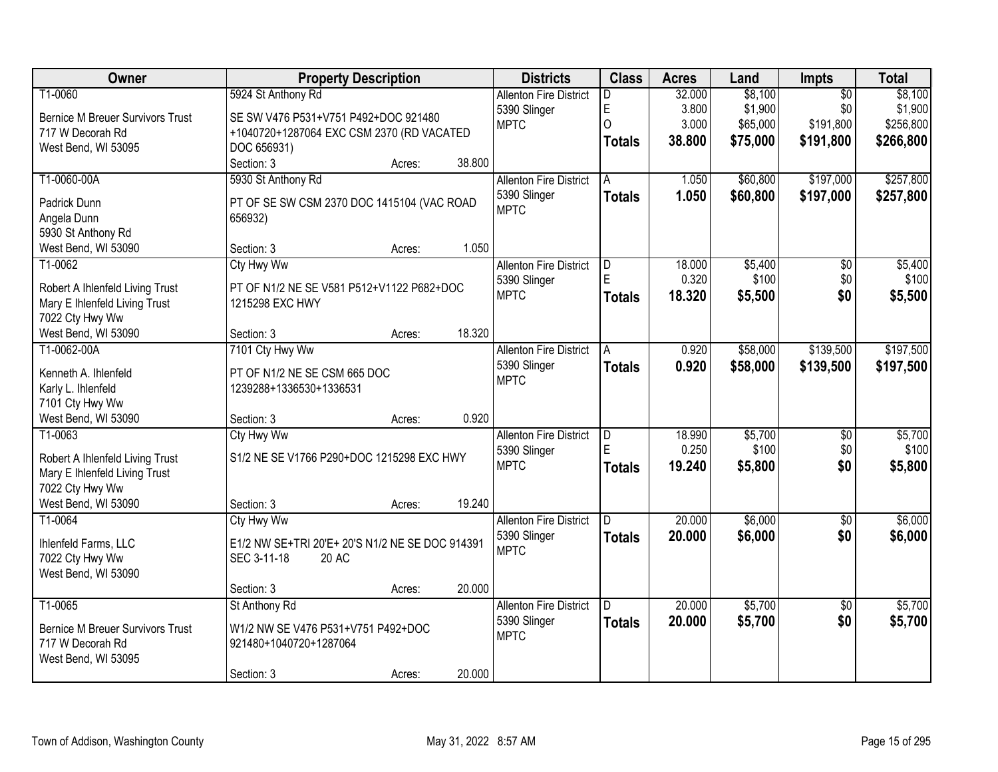| Owner                                   |                                                 | <b>Property Description</b> |        | <b>Districts</b>              | <b>Class</b>  | <b>Acres</b> | Land     | Impts           | <b>Total</b> |
|-----------------------------------------|-------------------------------------------------|-----------------------------|--------|-------------------------------|---------------|--------------|----------|-----------------|--------------|
| T1-0060                                 | 5924 St Anthony Rd                              |                             |        | <b>Allenton Fire District</b> | D             | 32.000       | \$8,100  | $\overline{50}$ | \$8,100      |
| <b>Bernice M Breuer Survivors Trust</b> | SE SW V476 P531+V751 P492+DOC 921480            |                             |        | 5390 Slinger                  | E             | 3.800        | \$1,900  | \$0             | \$1,900      |
| 717 W Decorah Rd                        | +1040720+1287064 EXC CSM 2370 (RD VACATED       |                             |        | <b>MPTC</b>                   | O             | 3.000        | \$65,000 | \$191,800       | \$256,800    |
| West Bend, WI 53095                     | DOC 656931)                                     |                             |        |                               | <b>Totals</b> | 38.800       | \$75,000 | \$191,800       | \$266,800    |
|                                         | Section: 3                                      | Acres:                      | 38.800 |                               |               |              |          |                 |              |
| T1-0060-00A                             | 5930 St Anthony Rd                              |                             |        | <b>Allenton Fire District</b> | A             | 1.050        | \$60,800 | \$197,000       | \$257,800    |
|                                         |                                                 |                             |        | 5390 Slinger                  | <b>Totals</b> | 1.050        | \$60,800 | \$197,000       | \$257,800    |
| Padrick Dunn                            | PT OF SE SW CSM 2370 DOC 1415104 (VAC ROAD      |                             |        | <b>MPTC</b>                   |               |              |          |                 |              |
| Angela Dunn                             | 656932)                                         |                             |        |                               |               |              |          |                 |              |
| 5930 St Anthony Rd                      |                                                 |                             |        |                               |               |              |          |                 |              |
| West Bend, WI 53090                     | Section: 3                                      | Acres:                      | 1.050  |                               |               |              |          |                 |              |
| T1-0062                                 | <b>Cty Hwy Ww</b>                               |                             |        | <b>Allenton Fire District</b> | D<br>Ē        | 18.000       | \$5,400  | \$0             | \$5,400      |
| Robert A Ihlenfeld Living Trust         | PT OF N1/2 NE SE V581 P512+V1122 P682+DOC       |                             |        | 5390 Slinger                  |               | 0.320        | \$100    | \$0             | \$100        |
| Mary E Ihlenfeld Living Trust           | 1215298 EXC HWY                                 |                             |        | <b>MPTC</b>                   | <b>Totals</b> | 18.320       | \$5,500  | \$0             | \$5,500      |
| 7022 Cty Hwy Ww                         |                                                 |                             |        |                               |               |              |          |                 |              |
| West Bend, WI 53090                     | Section: 3                                      | Acres:                      | 18.320 |                               |               |              |          |                 |              |
| T1-0062-00A                             | 7101 Cty Hwy Ww                                 |                             |        | <b>Allenton Fire District</b> | A             | 0.920        | \$58,000 | \$139,500       | \$197,500    |
|                                         |                                                 |                             |        | 5390 Slinger                  | <b>Totals</b> | 0.920        | \$58,000 | \$139,500       | \$197,500    |
| Kenneth A. Ihlenfeld                    | PT OF N1/2 NE SE CSM 665 DOC                    |                             |        | <b>MPTC</b>                   |               |              |          |                 |              |
| Karly L. Ihlenfeld<br>7101 Cty Hwy Ww   | 1239288+1336530+1336531                         |                             |        |                               |               |              |          |                 |              |
| West Bend, WI 53090                     | Section: 3                                      |                             | 0.920  |                               |               |              |          |                 |              |
| T1-0063                                 | <b>Ctv Hwy Ww</b>                               | Acres:                      |        | <b>Allenton Fire District</b> | D             | 18.990       | \$5,700  | \$0             | \$5,700      |
|                                         |                                                 |                             |        | 5390 Slinger                  | E             | 0.250        | \$100    | \$0             | \$100        |
| Robert A Ihlenfeld Living Trust         | S1/2 NE SE V1766 P290+DOC 1215298 EXC HWY       |                             |        | <b>MPTC</b>                   |               | 19.240       |          | \$0             | \$5,800      |
| Mary E Ihlenfeld Living Trust           |                                                 |                             |        |                               | <b>Totals</b> |              | \$5,800  |                 |              |
| 7022 Cty Hwy Ww                         |                                                 |                             |        |                               |               |              |          |                 |              |
| West Bend, WI 53090                     | Section: 3                                      | Acres:                      | 19.240 |                               |               |              |          |                 |              |
| T1-0064                                 | Cty Hwy Ww                                      |                             |        | <b>Allenton Fire District</b> | D.            | 20.000       | \$6,000  | $\overline{50}$ | \$6,000      |
| Ihlenfeld Farms, LLC                    | E1/2 NW SE+TRI 20'E+ 20'S N1/2 NE SE DOC 914391 |                             |        | 5390 Slinger                  | <b>Totals</b> | 20.000       | \$6,000  | \$0             | \$6,000      |
| 7022 Cty Hwy Ww                         | SEC 3-11-18<br>20 AC                            |                             |        | <b>MPTC</b>                   |               |              |          |                 |              |
| West Bend, WI 53090                     |                                                 |                             |        |                               |               |              |          |                 |              |
|                                         | Section: 3                                      | Acres:                      | 20.000 |                               |               |              |          |                 |              |
| T1-0065                                 | St Anthony Rd                                   |                             |        | <b>Allenton Fire District</b> | D.            | 20.000       | \$5,700  | $\overline{30}$ | \$5,700      |
|                                         |                                                 |                             |        | 5390 Slinger                  | <b>Totals</b> | 20.000       | \$5,700  | \$0             | \$5,700      |
| <b>Bernice M Breuer Survivors Trust</b> | W1/2 NW SE V476 P531+V751 P492+DOC              |                             |        | <b>MPTC</b>                   |               |              |          |                 |              |
| 717 W Decorah Rd                        | 921480+1040720+1287064                          |                             |        |                               |               |              |          |                 |              |
| West Bend, WI 53095                     |                                                 |                             |        |                               |               |              |          |                 |              |
|                                         | Section: 3                                      | Acres:                      | 20.000 |                               |               |              |          |                 |              |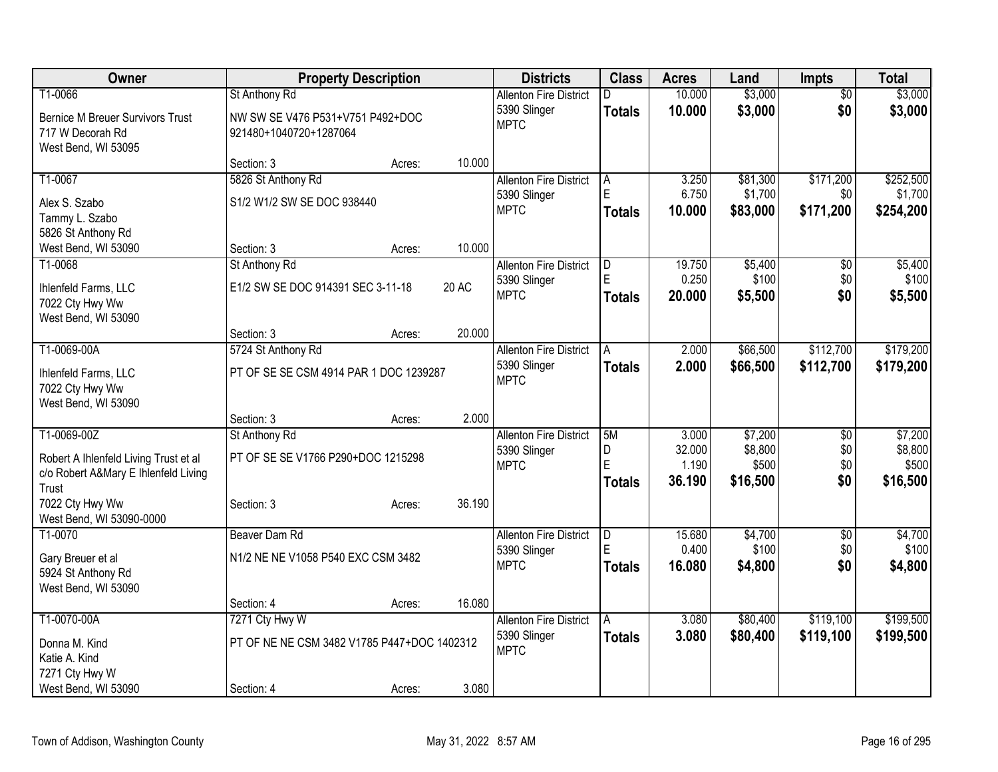| Owner                                                                         |                                             | <b>Property Description</b> |        | <b>Districts</b>                              | <b>Class</b>  | <b>Acres</b>    | Land                | <b>Impts</b>     | <b>Total</b>         |
|-------------------------------------------------------------------------------|---------------------------------------------|-----------------------------|--------|-----------------------------------------------|---------------|-----------------|---------------------|------------------|----------------------|
| T1-0066                                                                       | St Anthony Rd                               |                             |        | <b>Allenton Fire District</b>                 | D             | 10.000          | \$3,000             | $\overline{60}$  | \$3,000              |
| <b>Bernice M Breuer Survivors Trust</b>                                       | NW SW SE V476 P531+V751 P492+DOC            |                             |        | 5390 Slinger                                  | <b>Totals</b> | 10.000          | \$3,000             | \$0              | \$3,000              |
| 717 W Decorah Rd                                                              | 921480+1040720+1287064                      |                             |        | <b>MPTC</b>                                   |               |                 |                     |                  |                      |
| West Bend, WI 53095                                                           |                                             |                             |        |                                               |               |                 |                     |                  |                      |
|                                                                               | Section: 3                                  | Acres:                      | 10.000 |                                               |               |                 |                     |                  |                      |
| T1-0067                                                                       | 5826 St Anthony Rd                          |                             |        | <b>Allenton Fire District</b>                 | A<br>E        | 3.250           | \$81,300            | \$171,200        | \$252,500            |
| Alex S. Szabo                                                                 | S1/2 W1/2 SW SE DOC 938440                  |                             |        | 5390 Slinger<br><b>MPTC</b>                   |               | 6.750<br>10.000 | \$1,700<br>\$83,000 | \$0<br>\$171,200 | \$1,700<br>\$254,200 |
| Tammy L. Szabo                                                                |                                             |                             |        |                                               | <b>Totals</b> |                 |                     |                  |                      |
| 5826 St Anthony Rd                                                            |                                             |                             |        |                                               |               |                 |                     |                  |                      |
| West Bend, WI 53090                                                           | Section: 3                                  | Acres:                      | 10.000 |                                               |               |                 |                     |                  |                      |
| T1-0068                                                                       | St Anthony Rd                               |                             |        | <b>Allenton Fire District</b><br>5390 Slinger | D<br>E        | 19.750<br>0.250 | \$5,400<br>\$100    | \$0<br>\$0       | \$5,400<br>\$100     |
| Ihlenfeld Farms, LLC                                                          | E1/2 SW SE DOC 914391 SEC 3-11-18           |                             | 20 AC  | <b>MPTC</b>                                   | <b>Totals</b> | 20.000          | \$5,500             | \$0              | \$5,500              |
| 7022 Cty Hwy Ww                                                               |                                             |                             |        |                                               |               |                 |                     |                  |                      |
| West Bend, WI 53090                                                           | Section: 3                                  |                             | 20.000 |                                               |               |                 |                     |                  |                      |
| T1-0069-00A                                                                   | 5724 St Anthony Rd                          | Acres:                      |        | <b>Allenton Fire District</b>                 | A             | 2.000           | \$66,500            | \$112,700        | \$179,200            |
|                                                                               |                                             |                             |        | 5390 Slinger                                  | <b>Totals</b> | 2.000           | \$66,500            | \$112,700        | \$179,200            |
| Ihlenfeld Farms, LLC                                                          | PT OF SE SE CSM 4914 PAR 1 DOC 1239287      |                             |        | <b>MPTC</b>                                   |               |                 |                     |                  |                      |
| 7022 Cty Hwy Ww<br>West Bend, WI 53090                                        |                                             |                             |        |                                               |               |                 |                     |                  |                      |
|                                                                               | Section: 3                                  | Acres:                      | 2.000  |                                               |               |                 |                     |                  |                      |
| T1-0069-00Z                                                                   | St Anthony Rd                               |                             |        | <b>Allenton Fire District</b>                 | 5M            | 3.000           | \$7,200             | \$0              | \$7,200              |
|                                                                               |                                             |                             |        | 5390 Slinger                                  | D             | 32.000          | \$8,800             | \$0              | \$8,800              |
| Robert A Ihlenfeld Living Trust et al<br>c/o Robert A&Mary E Ihlenfeld Living | PT OF SE SE V1766 P290+DOC 1215298          |                             |        | <b>MPTC</b>                                   | E             | 1.190           | \$500               | \$0              | \$500                |
| Trust                                                                         |                                             |                             |        |                                               | <b>Totals</b> | 36.190          | \$16,500            | \$0              | \$16,500             |
| 7022 Cty Hwy Ww                                                               | Section: 3                                  | Acres:                      | 36.190 |                                               |               |                 |                     |                  |                      |
| West Bend, WI 53090-0000                                                      |                                             |                             |        |                                               |               |                 |                     |                  |                      |
| T1-0070                                                                       | Beaver Dam Rd                               |                             |        | <b>Allenton Fire District</b>                 | D             | 15.680          | \$4,700             | $\sqrt{6}$       | \$4,700              |
| Gary Breuer et al                                                             | N1/2 NE NE V1058 P540 EXC CSM 3482          |                             |        | 5390 Slinger                                  | E             | 0.400           | \$100               | \$0              | \$100                |
| 5924 St Anthony Rd                                                            |                                             |                             |        | <b>MPTC</b>                                   | <b>Totals</b> | 16.080          | \$4,800             | \$0              | \$4,800              |
| West Bend, WI 53090                                                           |                                             |                             |        |                                               |               |                 |                     |                  |                      |
|                                                                               | Section: 4                                  | Acres:                      | 16.080 |                                               |               |                 |                     |                  |                      |
| T1-0070-00A                                                                   | 7271 Cty Hwy W                              |                             |        | <b>Allenton Fire District</b>                 | A             | 3.080           | \$80,400            | \$119,100        | \$199,500            |
| Donna M. Kind                                                                 | PT OF NE NE CSM 3482 V1785 P447+DOC 1402312 |                             |        | 5390 Slinger                                  | <b>Totals</b> | 3.080           | \$80,400            | \$119,100        | \$199,500            |
| Katie A. Kind                                                                 |                                             |                             |        | <b>MPTC</b>                                   |               |                 |                     |                  |                      |
| 7271 Cty Hwy W                                                                |                                             |                             |        |                                               |               |                 |                     |                  |                      |
| West Bend, WI 53090                                                           | Section: 4                                  | Acres:                      | 3.080  |                                               |               |                 |                     |                  |                      |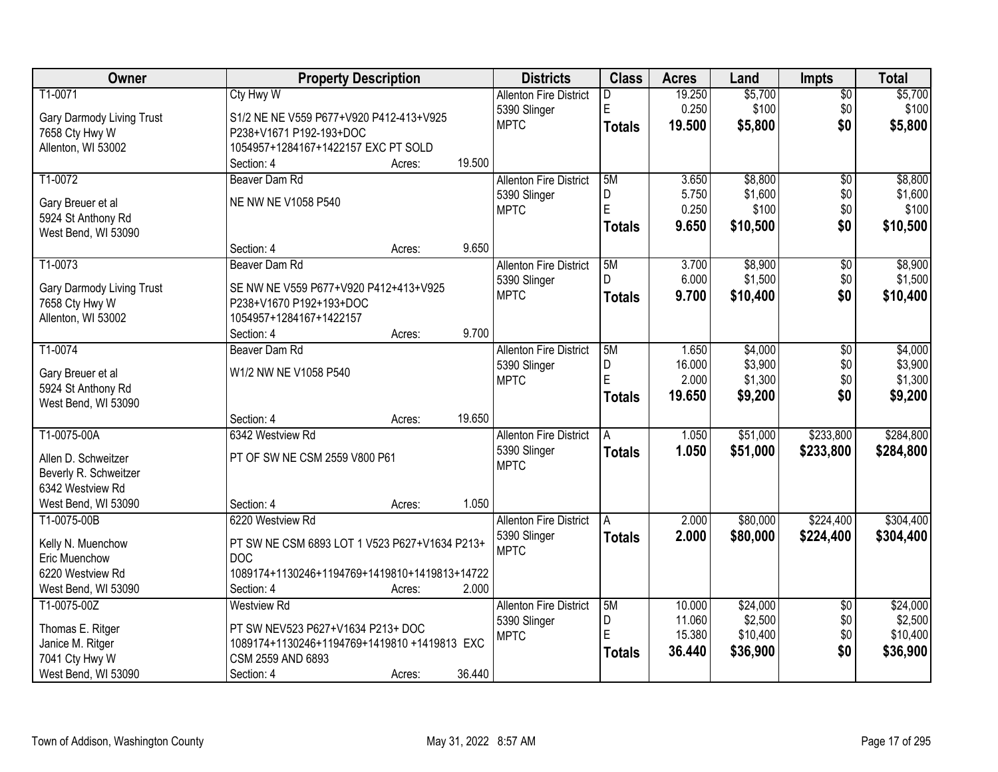| Owner                            | <b>Property Description</b>                   | <b>Districts</b>              | <b>Class</b>  | <b>Acres</b> | Land     | <b>Impts</b>    | <b>Total</b> |
|----------------------------------|-----------------------------------------------|-------------------------------|---------------|--------------|----------|-----------------|--------------|
| T1-0071                          | <b>Cty Hwy W</b>                              | <b>Allenton Fire District</b> | D             | 19.250       | \$5,700  | $\overline{60}$ | \$5,700      |
| Gary Darmody Living Trust        | S1/2 NE NE V559 P677+V920 P412-413+V925       | 5390 Slinger                  | E             | 0.250        | \$100    | \$0             | \$100        |
| 7658 Cty Hwy W                   | P238+V1671 P192-193+DOC                       | <b>MPTC</b>                   | <b>Totals</b> | 19.500       | \$5,800  | \$0             | \$5,800      |
| Allenton, WI 53002               | 1054957+1284167+1422157 EXC PT SOLD           |                               |               |              |          |                 |              |
|                                  | 19.500<br>Section: 4<br>Acres:                |                               |               |              |          |                 |              |
| T1-0072                          | Beaver Dam Rd                                 | <b>Allenton Fire District</b> | 5M            | 3.650        | \$8,800  | $\overline{50}$ | \$8,800      |
|                                  |                                               | 5390 Slinger                  | D             | 5.750        | \$1,600  | \$0             | \$1,600      |
| Gary Breuer et al                | NE NW NE V1058 P540                           | <b>MPTC</b>                   | E             | 0.250        | \$100    | \$0             | \$100        |
| 5924 St Anthony Rd               |                                               |                               | <b>Totals</b> | 9.650        | \$10,500 | \$0             | \$10,500     |
| West Bend, WI 53090              |                                               |                               |               |              |          |                 |              |
|                                  | 9.650<br>Section: 4<br>Acres:                 |                               |               |              |          |                 |              |
| T1-0073                          | Beaver Dam Rd                                 | <b>Allenton Fire District</b> | 5M            | 3.700        | \$8,900  | $\overline{50}$ | \$8,900      |
| <b>Gary Darmody Living Trust</b> | SE NW NE V559 P677+V920 P412+413+V925         | 5390 Slinger                  |               | 6.000        | \$1,500  | \$0             | \$1,500      |
| 7658 Cty Hwy W                   | P238+V1670 P192+193+DOC                       | <b>MPTC</b>                   | <b>Totals</b> | 9.700        | \$10,400 | \$0             | \$10,400     |
| Allenton, WI 53002               | 1054957+1284167+1422157                       |                               |               |              |          |                 |              |
|                                  | 9.700<br>Section: 4<br>Acres:                 |                               |               |              |          |                 |              |
| T1-0074                          | Beaver Dam Rd                                 | <b>Allenton Fire District</b> | 5M            | 1.650        | \$4,000  | \$0             | \$4,000      |
| Gary Breuer et al                | W1/2 NW NE V1058 P540                         | 5390 Slinger                  | D             | 16.000       | \$3,900  | \$0             | \$3,900      |
| 5924 St Anthony Rd               |                                               | <b>MPTC</b>                   | E             | 2.000        | \$1,300  | \$0             | \$1,300      |
| West Bend, WI 53090              |                                               |                               | <b>Totals</b> | 19.650       | \$9,200  | \$0             | \$9,200      |
|                                  | 19.650<br>Section: 4<br>Acres:                |                               |               |              |          |                 |              |
| T1-0075-00A                      | 6342 Westview Rd                              | <b>Allenton Fire District</b> | А             | 1.050        | \$51,000 | \$233,800       | \$284,800    |
|                                  |                                               | 5390 Slinger                  | <b>Totals</b> | 1.050        | \$51,000 | \$233,800       | \$284,800    |
| Allen D. Schweitzer              | PT OF SW NE CSM 2559 V800 P61                 | <b>MPTC</b>                   |               |              |          |                 |              |
| Beverly R. Schweitzer            |                                               |                               |               |              |          |                 |              |
| 6342 Westview Rd                 |                                               |                               |               |              |          |                 |              |
| West Bend, WI 53090              | 1.050<br>Section: 4<br>Acres:                 |                               |               |              |          |                 |              |
| T1-0075-00B                      | 6220 Westview Rd                              | <b>Allenton Fire District</b> |               | 2.000        | \$80,000 | \$224,400       | \$304,400    |
| Kelly N. Muenchow                | PT SW NE CSM 6893 LOT 1 V523 P627+V1634 P213+ | 5390 Slinger                  | <b>Totals</b> | 2.000        | \$80,000 | \$224,400       | \$304,400    |
| Eric Muenchow                    | <b>DOC</b>                                    | <b>MPTC</b>                   |               |              |          |                 |              |
| 6220 Westview Rd                 | 1089174+1130246+1194769+1419810+1419813+14722 |                               |               |              |          |                 |              |
| West Bend, WI 53090              | 2.000<br>Section: 4<br>Acres:                 |                               |               |              |          |                 |              |
| T1-0075-00Z                      | <b>Westview Rd</b>                            | <b>Allenton Fire District</b> | 5M            | 10.000       | \$24,000 | $\overline{50}$ | \$24,000     |
| Thomas E. Ritger                 | PT SW NEV523 P627+V1634 P213+ DOC             | 5390 Slinger                  | D             | 11.060       | \$2,500  | \$0             | \$2,500      |
| Janice M. Ritger                 | 1089174+1130246+1194769+1419810 +1419813 EXC  | <b>MPTC</b>                   | E             | 15.380       | \$10,400 | \$0             | \$10,400     |
| 7041 Cty Hwy W                   | CSM 2559 AND 6893                             |                               | <b>Totals</b> | 36.440       | \$36,900 | \$0             | \$36,900     |
| West Bend, WI 53090              | 36.440<br>Section: 4<br>Acres:                |                               |               |              |          |                 |              |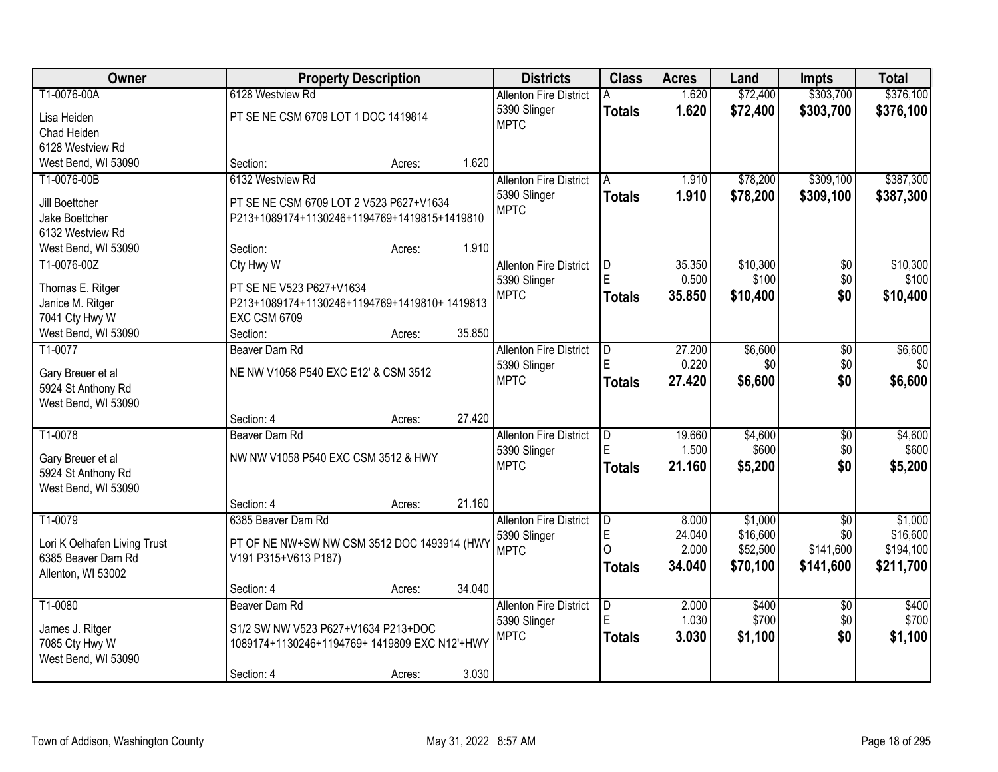| Owner                        | <b>Property Description</b>                   |        |        | <b>Districts</b>              | <b>Class</b>   | <b>Acres</b> | Land     | <b>Impts</b>    | <b>Total</b> |
|------------------------------|-----------------------------------------------|--------|--------|-------------------------------|----------------|--------------|----------|-----------------|--------------|
| T1-0076-00A                  | 6128 Westview Rd                              |        |        | <b>Allenton Fire District</b> | Α              | 1.620        | \$72,400 | \$303,700       | \$376,100    |
| Lisa Heiden                  | PT SE NE CSM 6709 LOT 1 DOC 1419814           |        |        | 5390 Slinger                  | <b>Totals</b>  | 1.620        | \$72,400 | \$303,700       | \$376,100    |
| Chad Heiden                  |                                               |        |        | <b>MPTC</b>                   |                |              |          |                 |              |
| 6128 Westview Rd             |                                               |        |        |                               |                |              |          |                 |              |
| West Bend, WI 53090          | Section:                                      | Acres: | 1.620  |                               |                |              |          |                 |              |
| T1-0076-00B                  | 6132 Westview Rd                              |        |        | <b>Allenton Fire District</b> | A              | 1.910        | \$78,200 | \$309,100       | \$387,300    |
|                              |                                               |        |        | 5390 Slinger                  | <b>Totals</b>  | 1.910        | \$78,200 | \$309,100       | \$387,300    |
| Jill Boettcher               | PT SE NE CSM 6709 LOT 2 V523 P627+V1634       |        |        | <b>MPTC</b>                   |                |              |          |                 |              |
| Jake Boettcher               | P213+1089174+1130246+1194769+1419815+1419810  |        |        |                               |                |              |          |                 |              |
| 6132 Westview Rd             |                                               |        |        |                               |                |              |          |                 |              |
| West Bend, WI 53090          | Section:                                      | Acres: | 1.910  |                               |                |              |          |                 |              |
| T1-0076-00Z                  | Cty Hwy W                                     |        |        | <b>Allenton Fire District</b> | D              | 35.350       | \$10,300 | \$0             | \$10,300     |
| Thomas E. Ritger             | PT SE NE V523 P627+V1634                      |        |        | 5390 Slinger                  | E              | 0.500        | \$100    | \$0             | \$100        |
| Janice M. Ritger             | P213+1089174+1130246+1194769+1419810+ 1419813 |        |        | <b>MPTC</b>                   | Totals         | 35.850       | \$10,400 | \$0             | \$10,400     |
| 7041 Cty Hwy W               | <b>EXC CSM 6709</b>                           |        |        |                               |                |              |          |                 |              |
| West Bend, WI 53090          | Section:                                      | Acres: | 35.850 |                               |                |              |          |                 |              |
| T1-0077                      | Beaver Dam Rd                                 |        |        | <b>Allenton Fire District</b> | D              | 27.200       | \$6,600  | \$0             | \$6,600      |
|                              |                                               |        |        | 5390 Slinger                  | E              | 0.220        | \$0      | \$0             | \$0          |
| Gary Breuer et al            | NE NW V1058 P540 EXC E12' & CSM 3512          |        |        | <b>MPTC</b>                   |                | 27.420       | \$6,600  | \$0             | \$6,600      |
| 5924 St Anthony Rd           |                                               |        |        |                               | <b>Totals</b>  |              |          |                 |              |
| West Bend, WI 53090          |                                               |        |        |                               |                |              |          |                 |              |
|                              | Section: 4                                    | Acres: | 27.420 |                               |                |              |          |                 |              |
| T1-0078                      | Beaver Dam Rd                                 |        |        | <b>Allenton Fire District</b> | D              | 19.660       | \$4,600  | $\overline{30}$ | \$4,600      |
| Gary Breuer et al            | NW NW V1058 P540 EXC CSM 3512 & HWY           |        |        | 5390 Slinger                  | E              | 1.500        | \$600    | \$0             | \$600        |
| 5924 St Anthony Rd           |                                               |        |        | <b>MPTC</b>                   | <b>Totals</b>  | 21.160       | \$5,200  | \$0             | \$5,200      |
| West Bend, WI 53090          |                                               |        |        |                               |                |              |          |                 |              |
|                              | Section: 4                                    | Acres: | 21.160 |                               |                |              |          |                 |              |
| T1-0079                      | 6385 Beaver Dam Rd                            |        |        | <b>Allenton Fire District</b> | $\overline{D}$ | 8.000        | \$1,000  | $\overline{60}$ | \$1,000      |
|                              |                                               |        |        | 5390 Slinger                  | E              | 24.040       | \$16,600 | \$0             | \$16,600     |
| Lori K Oelhafen Living Trust | PT OF NE NW+SW NW CSM 3512 DOC 1493914 (HWY   |        |        | <b>MPTC</b>                   | $\Omega$       | 2.000        | \$52,500 | \$141,600       | \$194,100    |
| 6385 Beaver Dam Rd           | V191 P315+V613 P187)                          |        |        |                               | Totals         | 34.040       | \$70,100 | \$141,600       | \$211,700    |
| Allenton, WI 53002           |                                               |        |        |                               |                |              |          |                 |              |
|                              | Section: 4                                    | Acres: | 34.040 |                               |                |              |          |                 |              |
| T1-0080                      | Beaver Dam Rd                                 |        |        | <b>Allenton Fire District</b> | D              | 2.000        | \$400    | $\overline{30}$ | \$400        |
| James J. Ritger              | S1/2 SW NW V523 P627+V1634 P213+DOC           |        |        | 5390 Slinger                  | E              | 1.030        | \$700    | \$0             | \$700        |
| 7085 Cty Hwy W               | 1089174+1130246+1194769+ 1419809 EXC N12'+HWY |        |        | <b>MPTC</b>                   | Totals         | 3.030        | \$1,100  | \$0             | \$1,100      |
| West Bend, WI 53090          |                                               |        |        |                               |                |              |          |                 |              |
|                              | Section: 4                                    | Acres: | 3.030  |                               |                |              |          |                 |              |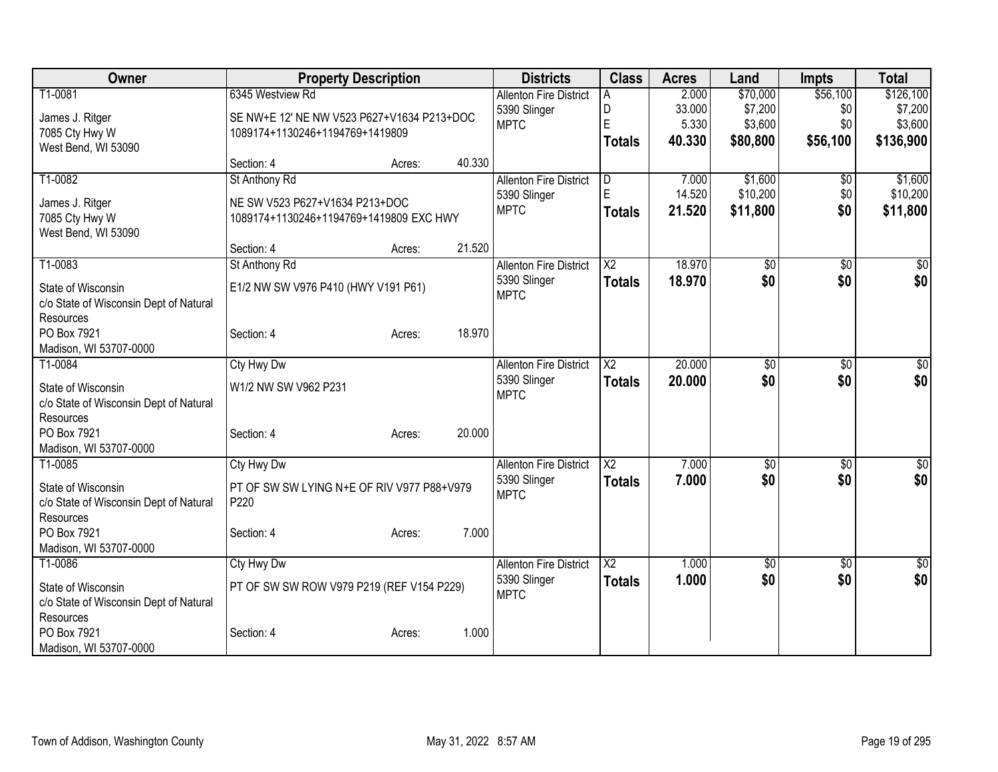| Owner                                  | <b>Property Description</b>                                                   |        | <b>Districts</b>                              | <b>Class</b>           | <b>Acres</b>    | Land                | <b>Impts</b>    | <b>Total</b>         |
|----------------------------------------|-------------------------------------------------------------------------------|--------|-----------------------------------------------|------------------------|-----------------|---------------------|-----------------|----------------------|
| T1-0081                                | 6345 Westview Rd                                                              |        | <b>Allenton Fire District</b><br>5390 Slinger | A<br>D                 | 2.000<br>33.000 | \$70,000<br>\$7,200 | \$56,100<br>\$0 | \$126,100<br>\$7,200 |
| James J. Ritger<br>7085 Cty Hwy W      | SE NW+E 12' NE NW V523 P627+V1634 P213+DOC<br>1089174+1130246+1194769+1419809 |        | <b>MPTC</b>                                   | E                      | 5.330           | \$3,600             | \$0             | \$3,600              |
| West Bend, WI 53090                    |                                                                               |        |                                               | <b>Totals</b>          | 40.330          | \$80,800            | \$56,100        | \$136,900            |
|                                        | Section: 4                                                                    | Acres: | 40.330                                        |                        |                 |                     |                 |                      |
| T1-0082                                | St Anthony Rd                                                                 |        | <b>Allenton Fire District</b>                 | D                      | 7.000           | \$1,600             | \$0             | \$1,600              |
| James J. Ritger                        | NE SW V523 P627+V1634 P213+DOC                                                |        | 5390 Slinger                                  | E                      | 14.520          | \$10,200            | \$0             | \$10,200             |
| 7085 Cty Hwy W                         | 1089174+1130246+1194769+1419809 EXC HWY                                       |        | <b>MPTC</b>                                   | <b>Totals</b>          | 21.520          | \$11,800            | \$0             | \$11,800             |
| West Bend, WI 53090                    |                                                                               |        |                                               |                        |                 |                     |                 |                      |
|                                        | Section: 4                                                                    | Acres: | 21.520                                        |                        |                 |                     |                 |                      |
| T1-0083                                | St Anthony Rd                                                                 |        | <b>Allenton Fire District</b>                 | $\overline{\text{X2}}$ | 18.970          | $\overline{50}$     | \$0             | $\sqrt{50}$          |
| State of Wisconsin                     | E1/2 NW SW V976 P410 (HWY V191 P61)                                           |        | 5390 Slinger                                  | <b>Totals</b>          | 18.970          | \$0                 | \$0             | \$0                  |
| c/o State of Wisconsin Dept of Natural |                                                                               |        | <b>MPTC</b>                                   |                        |                 |                     |                 |                      |
| Resources                              |                                                                               |        |                                               |                        |                 |                     |                 |                      |
| PO Box 7921                            | Section: 4                                                                    | Acres: | 18.970                                        |                        |                 |                     |                 |                      |
| Madison, WI 53707-0000                 |                                                                               |        |                                               |                        |                 |                     |                 |                      |
| T1-0084                                | Cty Hwy Dw                                                                    |        | <b>Allenton Fire District</b>                 | $\overline{\text{X2}}$ | 20.000          | \$0                 | \$0             | \$0                  |
| State of Wisconsin                     | W1/2 NW SW V962 P231                                                          |        | 5390 Slinger                                  | <b>Totals</b>          | 20.000          | \$0                 | \$0             | \$0                  |
| c/o State of Wisconsin Dept of Natural |                                                                               |        | <b>MPTC</b>                                   |                        |                 |                     |                 |                      |
| Resources                              |                                                                               |        |                                               |                        |                 |                     |                 |                      |
| PO Box 7921                            | Section: 4                                                                    | Acres: | 20.000                                        |                        |                 |                     |                 |                      |
| Madison, WI 53707-0000                 |                                                                               |        |                                               |                        |                 |                     |                 |                      |
| T1-0085                                | Cty Hwy Dw                                                                    |        | <b>Allenton Fire District</b>                 | $\overline{\text{X2}}$ | 7.000           | \$0                 | \$0             | $\sqrt{50}$          |
| State of Wisconsin                     | PT OF SW SW LYING N+E OF RIV V977 P88+V979                                    |        | 5390 Slinger                                  | <b>Totals</b>          | 7.000           | \$0                 | \$0             | \$0                  |
| c/o State of Wisconsin Dept of Natural | P220                                                                          |        | <b>MPTC</b>                                   |                        |                 |                     |                 |                      |
| Resources                              |                                                                               |        |                                               |                        |                 |                     |                 |                      |
| PO Box 7921                            | Section: 4                                                                    | Acres: | 7.000                                         |                        |                 |                     |                 |                      |
| Madison, WI 53707-0000                 |                                                                               |        |                                               |                        |                 |                     |                 |                      |
| T1-0086                                | Cty Hwy Dw                                                                    |        | <b>Allenton Fire District</b>                 | $\overline{X2}$        | 1.000           | \$0                 | \$0             | $\sqrt{50}$          |
| State of Wisconsin                     | PT OF SW SW ROW V979 P219 (REF V154 P229)                                     |        | 5390 Slinger                                  | <b>Totals</b>          | 1.000           | \$0                 | \$0             | \$0                  |
| c/o State of Wisconsin Dept of Natural |                                                                               |        | <b>MPTC</b>                                   |                        |                 |                     |                 |                      |
| Resources                              |                                                                               |        |                                               |                        |                 |                     |                 |                      |
| PO Box 7921                            | Section: 4                                                                    | Acres: | 1.000                                         |                        |                 |                     |                 |                      |
| Madison, WI 53707-0000                 |                                                                               |        |                                               |                        |                 |                     |                 |                      |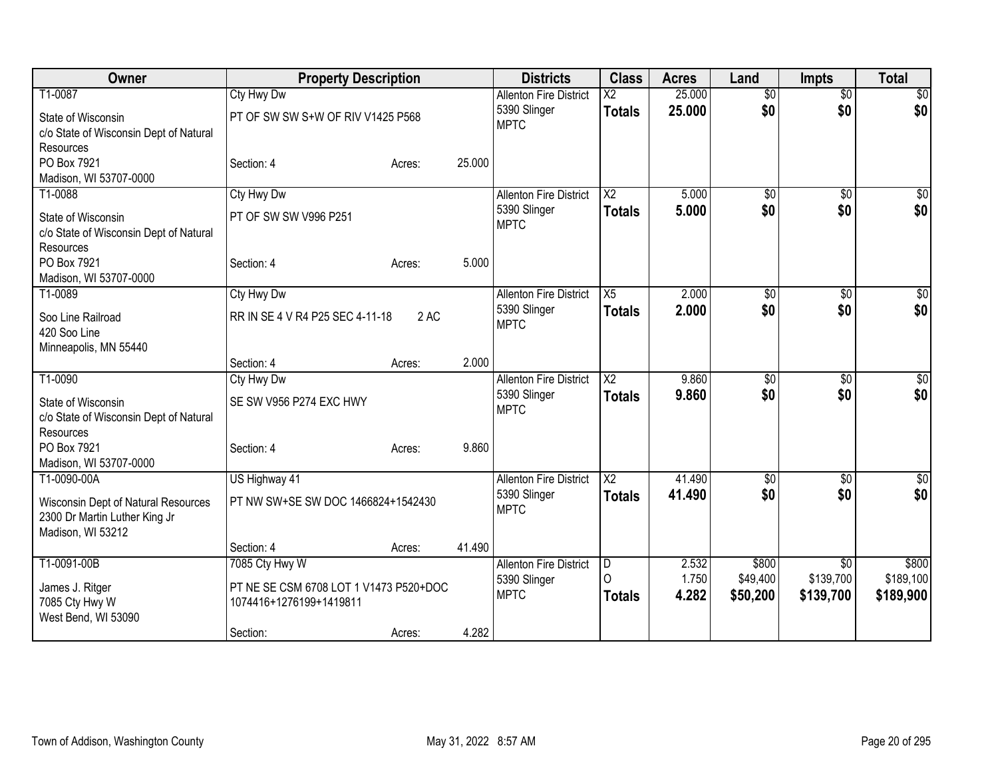| Owner                                                                                     | <b>Property Description</b>                                                         |                  | <b>Districts</b>                                             | <b>Class</b>            | <b>Acres</b>            | Land                          | <b>Impts</b>                  | <b>Total</b>                    |
|-------------------------------------------------------------------------------------------|-------------------------------------------------------------------------------------|------------------|--------------------------------------------------------------|-------------------------|-------------------------|-------------------------------|-------------------------------|---------------------------------|
| T1-0087                                                                                   | <b>Cty Hwy Dw</b>                                                                   |                  | <b>Allenton Fire District</b>                                | $\overline{\text{X2}}$  | 25,000                  | $\overline{50}$               | $\overline{50}$               | $\overline{30}$                 |
| State of Wisconsin<br>c/o State of Wisconsin Dept of Natural<br>Resources                 | PT OF SW SW S+W OF RIV V1425 P568                                                   |                  | 5390 Slinger<br><b>MPTC</b>                                  | <b>Totals</b>           | 25.000                  | \$0                           | \$0                           | \$0                             |
| PO Box 7921<br>Madison, WI 53707-0000                                                     | Section: 4                                                                          | 25.000<br>Acres: |                                                              |                         |                         |                               |                               |                                 |
| T1-0088                                                                                   | <b>Cty Hwy Dw</b>                                                                   |                  | <b>Allenton Fire District</b>                                | $\overline{\text{X2}}$  | 5.000                   | \$0                           | $\overline{50}$               | \$0                             |
| State of Wisconsin<br>c/o State of Wisconsin Dept of Natural<br>Resources                 | PT OF SW SW V996 P251                                                               |                  | 5390 Slinger<br><b>MPTC</b>                                  | <b>Totals</b>           | 5.000                   | \$0                           | \$0                           | \$0                             |
| PO Box 7921<br>Madison, WI 53707-0000                                                     | Section: 4                                                                          | 5.000<br>Acres:  |                                                              |                         |                         |                               |                               |                                 |
| T1-0089                                                                                   | <b>Cty Hwy Dw</b>                                                                   |                  | <b>Allenton Fire District</b>                                | X5                      | 2.000                   | \$0                           | $\overline{50}$               | \$0                             |
| Soo Line Railroad<br>420 Soo Line<br>Minneapolis, MN 55440                                | RR IN SE 4 V R4 P25 SEC 4-11-18                                                     | 2 AC             | 5390 Slinger<br><b>MPTC</b>                                  | <b>Totals</b>           | 2.000                   | \$0                           | \$0                           | \$0                             |
|                                                                                           | Section: 4                                                                          | 2.000<br>Acres:  |                                                              |                         |                         |                               |                               |                                 |
| T1-0090                                                                                   | Cty Hwy Dw                                                                          |                  | <b>Allenton Fire District</b>                                | $\overline{X2}$         | 9.860                   | $\overline{50}$               | $\overline{50}$               | $\sqrt{50}$                     |
| State of Wisconsin<br>c/o State of Wisconsin Dept of Natural<br>Resources                 | SE SW V956 P274 EXC HWY                                                             |                  | 5390 Slinger<br><b>MPTC</b>                                  | <b>Totals</b>           | 9.860                   | \$0                           | \$0                           | \$0                             |
| PO Box 7921                                                                               | Section: 4                                                                          | 9.860<br>Acres:  |                                                              |                         |                         |                               |                               |                                 |
| Madison, WI 53707-0000                                                                    |                                                                                     |                  |                                                              |                         |                         |                               |                               |                                 |
| T1-0090-00A                                                                               | US Highway 41                                                                       |                  | <b>Allenton Fire District</b>                                | $\overline{X2}$         | 41.490                  | \$0                           | \$0                           | \$0                             |
| Wisconsin Dept of Natural Resources<br>2300 Dr Martin Luther King Jr<br>Madison, WI 53212 | PT NW SW+SE SW DOC 1466824+1542430                                                  |                  | 5390 Slinger<br><b>MPTC</b>                                  | <b>Totals</b>           | 41.490                  | \$0                           | \$0                           | \$0                             |
|                                                                                           | Section: 4                                                                          | 41.490<br>Acres: |                                                              |                         |                         |                               |                               |                                 |
| T1-0091-00B<br>James J. Ritger<br>7085 Cty Hwy W<br>West Bend, WI 53090                   | 7085 Cty Hwy W<br>PT NE SE CSM 6708 LOT 1 V1473 P520+DOC<br>1074416+1276199+1419811 |                  | <b>Allenton Fire District</b><br>5390 Slinger<br><b>MPTC</b> | D<br>∩<br><b>Totals</b> | 2.532<br>1.750<br>4.282 | \$800<br>\$49,400<br>\$50,200 | \$0<br>\$139,700<br>\$139,700 | \$800<br>\$189,100<br>\$189,900 |
|                                                                                           | Section:                                                                            | 4.282<br>Acres:  |                                                              |                         |                         |                               |                               |                                 |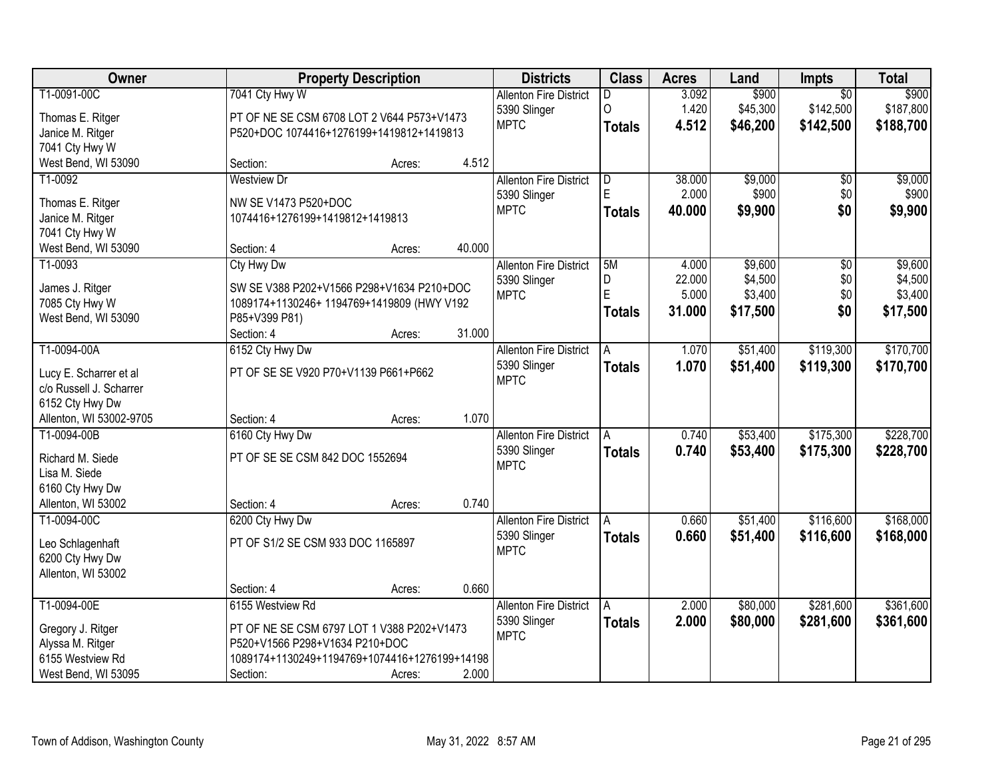| Owner                                |                                                                              | <b>Property Description</b> |        | <b>Districts</b>              | <b>Class</b>   | <b>Acres</b> | Land     | Impts           | <b>Total</b> |
|--------------------------------------|------------------------------------------------------------------------------|-----------------------------|--------|-------------------------------|----------------|--------------|----------|-----------------|--------------|
| T1-0091-00C                          | 7041 Cty Hwy W                                                               |                             |        | <b>Allenton Fire District</b> | D.             | 3.092        | \$900    | $\overline{50}$ | \$900        |
| Thomas E. Ritger                     | PT OF NE SE CSM 6708 LOT 2 V644 P573+V1473                                   |                             |        | 5390 Slinger                  | 0              | 1.420        | \$45,300 | \$142,500       | \$187,800    |
| Janice M. Ritger                     | P520+DOC 1074416+1276199+1419812+1419813                                     |                             |        | <b>MPTC</b>                   | <b>Totals</b>  | 4.512        | \$46,200 | \$142,500       | \$188,700    |
| 7041 Cty Hwy W                       |                                                                              |                             |        |                               |                |              |          |                 |              |
| West Bend, WI 53090                  | Section:                                                                     | Acres:                      | 4.512  |                               |                |              |          |                 |              |
| T1-0092                              | <b>Westview Dr</b>                                                           |                             |        | <b>Allenton Fire District</b> | $\overline{D}$ | 38,000       | \$9,000  | \$0             | \$9,000      |
| Thomas E. Ritger                     | NW SE V1473 P520+DOC                                                         |                             |        | 5390 Slinger                  | E.             | 2.000        | \$900    | \$0             | \$900        |
| Janice M. Ritger                     | 1074416+1276199+1419812+1419813                                              |                             |        | <b>MPTC</b>                   | <b>Totals</b>  | 40.000       | \$9,900  | \$0             | \$9,900      |
| 7041 Cty Hwy W                       |                                                                              |                             |        |                               |                |              |          |                 |              |
| West Bend, WI 53090                  | Section: 4                                                                   | Acres:                      | 40.000 |                               |                |              |          |                 |              |
| T1-0093                              | Cty Hwy Dw                                                                   |                             |        | <b>Allenton Fire District</b> | 5M             | 4.000        | \$9,600  | $\overline{50}$ | \$9,600      |
|                                      |                                                                              |                             |        | 5390 Slinger                  | D              | 22.000       | \$4,500  | \$0             | \$4,500      |
| James J. Ritger                      | SW SE V388 P202+V1566 P298+V1634 P210+DOC                                    |                             |        | <b>MPTC</b>                   | Ē              | 5.000        | \$3,400  | \$0             | \$3,400      |
| 7085 Cty Hwy W                       | 1089174+1130246+ 1194769+1419809 (HWY V192                                   |                             |        |                               | <b>Totals</b>  | 31.000       | \$17,500 | \$0             | \$17,500     |
| West Bend, WI 53090                  | P85+V399 P81)<br>Section: 4                                                  | Acres:                      | 31.000 |                               |                |              |          |                 |              |
| T1-0094-00A                          | 6152 Cty Hwy Dw                                                              |                             |        | <b>Allenton Fire District</b> | A              | 1.070        | \$51,400 | \$119,300       | \$170,700    |
|                                      |                                                                              |                             |        | 5390 Slinger                  |                | 1.070        | \$51,400 | \$119,300       |              |
| Lucy E. Scharrer et al               | PT OF SE SE V920 P70+V1139 P661+P662                                         |                             |        | <b>MPTC</b>                   | <b>Totals</b>  |              |          |                 | \$170,700    |
| c/o Russell J. Scharrer              |                                                                              |                             |        |                               |                |              |          |                 |              |
| 6152 Cty Hwy Dw                      |                                                                              |                             |        |                               |                |              |          |                 |              |
| Allenton, WI 53002-9705              | Section: 4                                                                   | Acres:                      | 1.070  |                               |                |              |          |                 |              |
| T1-0094-00B                          | 6160 Cty Hwy Dw                                                              |                             |        | <b>Allenton Fire District</b> | A              | 0.740        | \$53,400 | \$175,300       | \$228,700    |
| Richard M. Siede                     | PT OF SE SE CSM 842 DOC 1552694                                              |                             |        | 5390 Slinger                  | <b>Totals</b>  | 0.740        | \$53,400 | \$175,300       | \$228,700    |
| Lisa M. Siede                        |                                                                              |                             |        | <b>MPTC</b>                   |                |              |          |                 |              |
| 6160 Cty Hwy Dw                      |                                                                              |                             |        |                               |                |              |          |                 |              |
| Allenton, WI 53002                   | Section: 4                                                                   | Acres:                      | 0.740  |                               |                |              |          |                 |              |
| T1-0094-00C                          | 6200 Cty Hwy Dw                                                              |                             |        | <b>Allenton Fire District</b> | A              | 0.660        | \$51,400 | \$116,600       | \$168,000    |
| Leo Schlagenhaft                     | PT OF S1/2 SE CSM 933 DOC 1165897                                            |                             |        | 5390 Slinger                  | <b>Totals</b>  | 0.660        | \$51,400 | \$116,600       | \$168,000    |
| 6200 Cty Hwy Dw                      |                                                                              |                             |        | <b>MPTC</b>                   |                |              |          |                 |              |
| Allenton, WI 53002                   |                                                                              |                             |        |                               |                |              |          |                 |              |
|                                      | Section: 4                                                                   | Acres:                      | 0.660  |                               |                |              |          |                 |              |
| T1-0094-00E                          | 6155 Westview Rd                                                             |                             |        | <b>Allenton Fire District</b> | A              | 2.000        | \$80,000 | \$281,600       | \$361,600    |
|                                      |                                                                              |                             |        | 5390 Slinger                  | <b>Totals</b>  | 2.000        | \$80,000 | \$281,600       | \$361,600    |
| Gregory J. Ritger                    | PT OF NE SE CSM 6797 LOT 1 V388 P202+V1473<br>P520+V1566 P298+V1634 P210+DOC |                             |        | <b>MPTC</b>                   |                |              |          |                 |              |
| Alyssa M. Ritger<br>6155 Westview Rd | 1089174+1130249+1194769+1074416+1276199+14198                                |                             |        |                               |                |              |          |                 |              |
| West Bend, WI 53095                  | Section:                                                                     | Acres:                      | 2.000  |                               |                |              |          |                 |              |
|                                      |                                                                              |                             |        |                               |                |              |          |                 |              |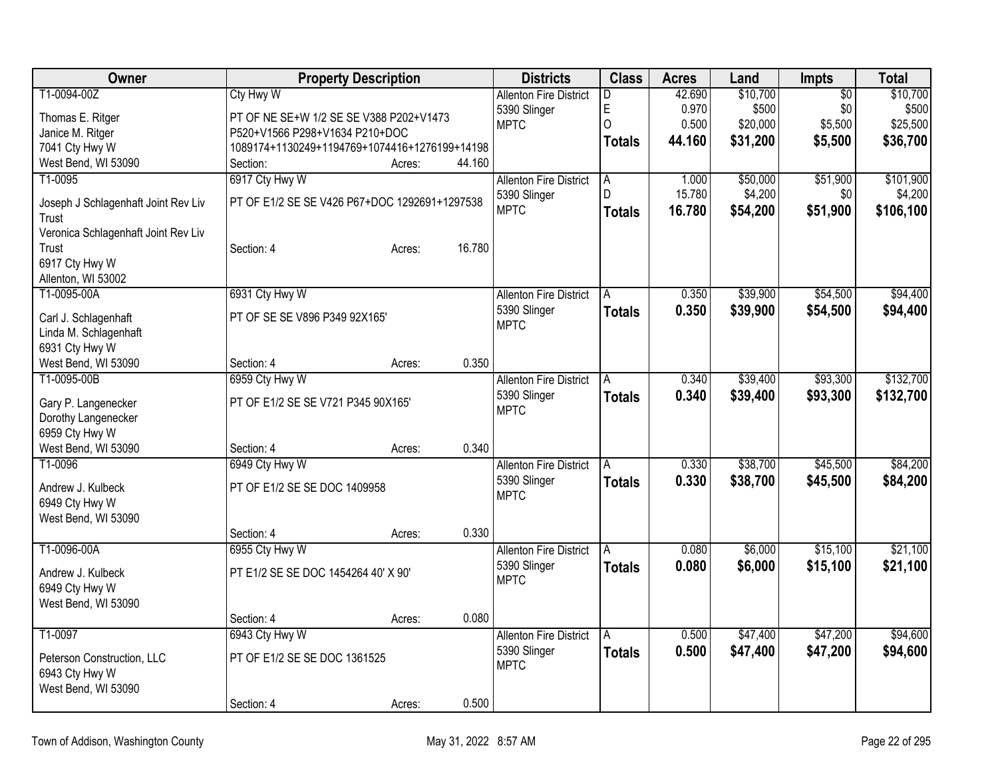| Owner                               |                                               | <b>Property Description</b> |        | <b>Districts</b>              | <b>Class</b>  | <b>Acres</b> | Land     | Impts           | <b>Total</b> |
|-------------------------------------|-----------------------------------------------|-----------------------------|--------|-------------------------------|---------------|--------------|----------|-----------------|--------------|
| T1-0094-00Z                         | Cty Hwy W                                     |                             |        | <b>Allenton Fire District</b> | D             | 42.690       | \$10,700 | $\overline{50}$ | \$10,700     |
| Thomas E. Ritger                    | PT OF NE SE+W 1/2 SE SE V388 P202+V1473       |                             |        | 5390 Slinger                  | E             | 0.970        | \$500    | \$0             | \$500        |
| Janice M. Ritger                    | P520+V1566 P298+V1634 P210+DOC                |                             |        | <b>MPTC</b>                   | O             | 0.500        | \$20,000 | \$5,500         | \$25,500     |
| 7041 Cty Hwy W                      | 1089174+1130249+1194769+1074416+1276199+14198 |                             |        |                               | <b>Totals</b> | 44.160       | \$31,200 | \$5,500         | \$36,700     |
| West Bend, WI 53090                 | Section:                                      | Acres:                      | 44.160 |                               |               |              |          |                 |              |
| T1-0095                             | 6917 Cty Hwy W                                |                             |        | <b>Allenton Fire District</b> | A             | 1.000        | \$50,000 | \$51,900        | \$101,900    |
| Joseph J Schlagenhaft Joint Rev Liv | PT OF E1/2 SE SE V426 P67+DOC 1292691+1297538 |                             |        | 5390 Slinger                  | D.            | 15.780       | \$4,200  | \$0             | \$4,200      |
| Trust                               |                                               |                             |        | <b>MPTC</b>                   | <b>Totals</b> | 16.780       | \$54,200 | \$51,900        | \$106,100    |
| Veronica Schlagenhaft Joint Rev Liv |                                               |                             |        |                               |               |              |          |                 |              |
| Trust                               | Section: 4                                    | Acres:                      | 16.780 |                               |               |              |          |                 |              |
| 6917 Cty Hwy W                      |                                               |                             |        |                               |               |              |          |                 |              |
| Allenton, WI 53002                  |                                               |                             |        |                               |               |              |          |                 |              |
| T1-0095-00A                         | 6931 Cty Hwy W                                |                             |        | <b>Allenton Fire District</b> | A             | 0.350        | \$39,900 | \$54,500        | \$94,400     |
| Carl J. Schlagenhaft                | PT OF SE SE V896 P349 92X165'                 |                             |        | 5390 Slinger                  | <b>Totals</b> | 0.350        | \$39,900 | \$54,500        | \$94,400     |
| Linda M. Schlagenhaft               |                                               |                             |        | <b>MPTC</b>                   |               |              |          |                 |              |
| 6931 Cty Hwy W                      |                                               |                             |        |                               |               |              |          |                 |              |
| West Bend, WI 53090                 | Section: 4                                    | Acres:                      | 0.350  |                               |               |              |          |                 |              |
| T1-0095-00B                         | 6959 Cty Hwy W                                |                             |        | <b>Allenton Fire District</b> | A             | 0.340        | \$39,400 | \$93,300        | \$132,700    |
| Gary P. Langenecker                 | PT OF E1/2 SE SE V721 P345 90X165'            |                             |        | 5390 Slinger                  | <b>Totals</b> | 0.340        | \$39,400 | \$93,300        | \$132,700    |
| Dorothy Langenecker                 |                                               |                             |        | <b>MPTC</b>                   |               |              |          |                 |              |
| 6959 Cty Hwy W                      |                                               |                             |        |                               |               |              |          |                 |              |
| West Bend, WI 53090                 | Section: 4                                    | Acres:                      | 0.340  |                               |               |              |          |                 |              |
| T1-0096                             | 6949 Cty Hwy W                                |                             |        | <b>Allenton Fire District</b> | A             | 0.330        | \$38,700 | \$45,500        | \$84,200     |
| Andrew J. Kulbeck                   | PT OF E1/2 SE SE DOC 1409958                  |                             |        | 5390 Slinger                  | <b>Totals</b> | 0.330        | \$38,700 | \$45,500        | \$84,200     |
| 6949 Cty Hwy W                      |                                               |                             |        | <b>MPTC</b>                   |               |              |          |                 |              |
| West Bend, WI 53090                 |                                               |                             |        |                               |               |              |          |                 |              |
|                                     | Section: 4                                    | Acres:                      | 0.330  |                               |               |              |          |                 |              |
| T1-0096-00A                         | 6955 Cty Hwy W                                |                             |        | <b>Allenton Fire District</b> | A             | 0.080        | \$6,000  | \$15,100        | \$21,100     |
| Andrew J. Kulbeck                   | PT E1/2 SE SE DOC 1454264 40' X 90'           |                             |        | 5390 Slinger                  | <b>Totals</b> | 0.080        | \$6,000  | \$15,100        | \$21,100     |
| 6949 Cty Hwy W                      |                                               |                             |        | <b>MPTC</b>                   |               |              |          |                 |              |
| West Bend, WI 53090                 |                                               |                             |        |                               |               |              |          |                 |              |
|                                     | Section: 4                                    | Acres:                      | 0.080  |                               |               |              |          |                 |              |
| T1-0097                             | 6943 Cty Hwy W                                |                             |        | <b>Allenton Fire District</b> | A             | 0.500        | \$47,400 | \$47,200        | \$94,600     |
| Peterson Construction, LLC          | PT OF E1/2 SE SE DOC 1361525                  |                             |        | 5390 Slinger                  | <b>Totals</b> | 0.500        | \$47,400 | \$47,200        | \$94,600     |
| 6943 Cty Hwy W                      |                                               |                             |        | <b>MPTC</b>                   |               |              |          |                 |              |
| West Bend, WI 53090                 |                                               |                             |        |                               |               |              |          |                 |              |
|                                     | Section: 4                                    | Acres:                      | 0.500  |                               |               |              |          |                 |              |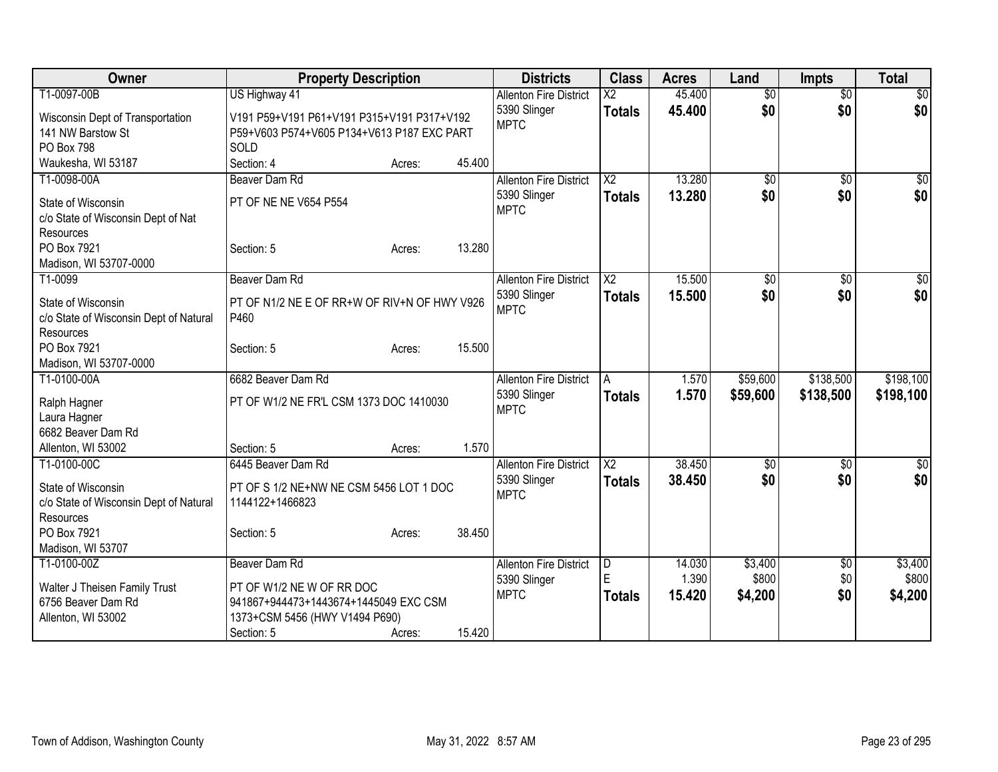| Owner                                                                                    | <b>Property Description</b>                                                                                           |        |        | <b>Districts</b>                                             | <b>Class</b>            | <b>Acres</b>              | Land                        | <b>Impts</b>      | <b>Total</b>                |
|------------------------------------------------------------------------------------------|-----------------------------------------------------------------------------------------------------------------------|--------|--------|--------------------------------------------------------------|-------------------------|---------------------------|-----------------------------|-------------------|-----------------------------|
| T1-0097-00B                                                                              | US Highway 41                                                                                                         |        |        | <b>Allenton Fire District</b>                                | $\overline{\text{X2}}$  | 45.400                    | $\overline{50}$             | $\overline{50}$   | $\overline{50}$             |
| Wisconsin Dept of Transportation<br>141 NW Barstow St<br><b>PO Box 798</b>               | V191 P59+V191 P61+V191 P315+V191 P317+V192<br>P59+V603 P574+V605 P134+V613 P187 EXC PART<br>SOLD                      |        |        | 5390 Slinger<br><b>MPTC</b>                                  | <b>Totals</b>           | 45.400                    | \$0                         | \$0               | \$0                         |
| Waukesha, WI 53187                                                                       | Section: 4                                                                                                            | Acres: | 45.400 |                                                              |                         |                           |                             |                   |                             |
| T1-0098-00A                                                                              | Beaver Dam Rd                                                                                                         |        |        | <b>Allenton Fire District</b>                                | $\overline{\text{X2}}$  | 13.280                    | $\overline{50}$             | $\overline{50}$   | \$0                         |
| State of Wisconsin<br>c/o State of Wisconsin Dept of Nat<br>Resources                    | PT OF NE NE V654 P554                                                                                                 |        |        | 5390 Slinger<br><b>MPTC</b>                                  | <b>Totals</b>           | 13.280                    | \$0                         | \$0               | \$0                         |
| PO Box 7921                                                                              | Section: 5                                                                                                            | Acres: | 13.280 |                                                              |                         |                           |                             |                   |                             |
| Madison, WI 53707-0000                                                                   |                                                                                                                       |        |        |                                                              |                         |                           |                             |                   |                             |
| T1-0099                                                                                  | Beaver Dam Rd                                                                                                         |        |        | <b>Allenton Fire District</b>                                | $\overline{\chi_2}$     | 15.500                    | $\overline{50}$             | $\overline{50}$   | \$0                         |
| State of Wisconsin<br>c/o State of Wisconsin Dept of Natural                             | PT OF N1/2 NE E OF RR+W OF RIV+N OF HWY V926<br>P460                                                                  |        |        | 5390 Slinger<br><b>MPTC</b>                                  | <b>Totals</b>           | 15.500                    | \$0                         | \$0               | \$0                         |
| Resources<br>PO Box 7921<br>Madison, WI 53707-0000                                       | Section: 5                                                                                                            | Acres: | 15.500 |                                                              |                         |                           |                             |                   |                             |
| T1-0100-00A                                                                              | 6682 Beaver Dam Rd                                                                                                    |        |        | <b>Allenton Fire District</b>                                | A                       | 1.570                     | \$59,600                    | \$138,500         | \$198,100                   |
| Ralph Hagner<br>Laura Hagner<br>6682 Beaver Dam Rd                                       | PT OF W1/2 NE FR'L CSM 1373 DOC 1410030                                                                               |        |        | 5390 Slinger<br><b>MPTC</b>                                  | <b>Totals</b>           | 1.570                     | \$59,600                    | \$138,500         | \$198,100                   |
| Allenton, WI 53002                                                                       | Section: 5                                                                                                            | Acres: | 1.570  |                                                              |                         |                           |                             |                   |                             |
| T1-0100-00C                                                                              | 6445 Beaver Dam Rd                                                                                                    |        |        | <b>Allenton Fire District</b>                                | $\overline{\chi_2}$     | 38.450                    | \$0                         | \$0               | $\sqrt{50}$                 |
| State of Wisconsin<br>c/o State of Wisconsin Dept of Natural<br>Resources<br>PO Box 7921 | PT OF S 1/2 NE+NW NE CSM 5456 LOT 1 DOC<br>1144122+1466823<br>Section: 5                                              | Acres: | 38.450 | 5390 Slinger<br><b>MPTC</b>                                  | <b>Totals</b>           | 38.450                    | \$0                         | \$0               | \$0                         |
| Madison, WI 53707                                                                        |                                                                                                                       |        |        |                                                              |                         |                           |                             |                   |                             |
| T1-0100-00Z<br>Walter J Theisen Family Trust<br>6756 Beaver Dam Rd                       | Beaver Dam Rd<br>PT OF W1/2 NE W OF RR DOC<br>941867+944473+1443674+1445049 EXC CSM<br>1373+CSM 5456 (HWY V1494 P690) |        |        | <b>Allenton Fire District</b><br>5390 Slinger<br><b>MPTC</b> | D<br>E<br><b>Totals</b> | 14.030<br>1.390<br>15.420 | \$3,400<br>\$800<br>\$4,200 | \$0<br>\$0<br>\$0 | \$3,400<br>\$800<br>\$4,200 |
| Allenton, WI 53002                                                                       | Section: 5                                                                                                            | Acres: | 15.420 |                                                              |                         |                           |                             |                   |                             |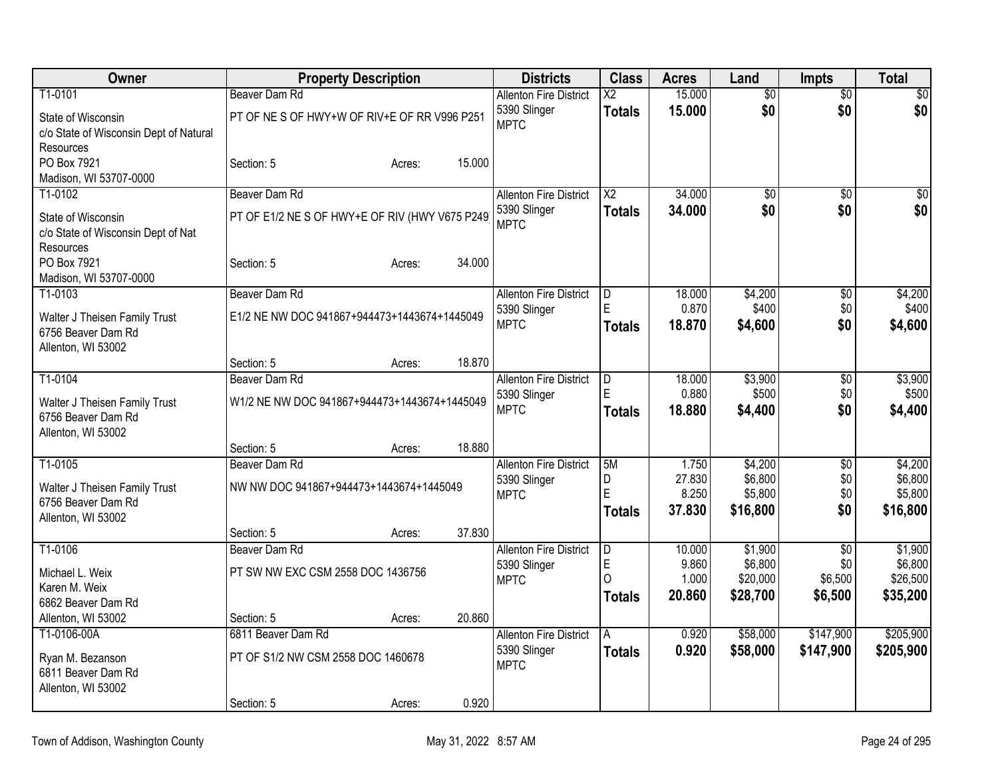| Owner                                                                     | <b>Property Description</b>                     |        |        | <b>Districts</b>                              | <b>Class</b>            | <b>Acres</b>              | Land                           | <b>Impts</b>           | Total                          |
|---------------------------------------------------------------------------|-------------------------------------------------|--------|--------|-----------------------------------------------|-------------------------|---------------------------|--------------------------------|------------------------|--------------------------------|
| T1-0101                                                                   | Beaver Dam Rd                                   |        |        | <b>Allenton Fire District</b>                 | $\overline{\text{X2}}$  | 15.000                    | $\overline{60}$                | $\overline{50}$        | $\overline{50}$                |
| State of Wisconsin<br>c/o State of Wisconsin Dept of Natural<br>Resources | PT OF NE S OF HWY+W OF RIV+E OF RR V996 P251    |        |        | 5390 Slinger<br><b>MPTC</b>                   | <b>Totals</b>           | 15,000                    | \$0                            | \$0                    | \$0                            |
| PO Box 7921<br>Madison, WI 53707-0000                                     | Section: 5                                      | Acres: | 15.000 |                                               |                         |                           |                                |                        |                                |
| T1-0102                                                                   | Beaver Dam Rd                                   |        |        | <b>Allenton Fire District</b>                 | $\overline{\text{X2}}$  | 34.000                    | $\overline{50}$                | $\overline{30}$        | $\sqrt{50}$                    |
| State of Wisconsin<br>c/o State of Wisconsin Dept of Nat<br>Resources     | PT OF E1/2 NE S OF HWY+E OF RIV (HWY V675 P249) |        |        | 5390 Slinger<br><b>MPTC</b>                   | <b>Totals</b>           | 34,000                    | \$0                            | \$0                    | \$0                            |
| PO Box 7921<br>Madison, WI 53707-0000                                     | Section: 5                                      | Acres: | 34.000 |                                               |                         |                           |                                |                        |                                |
| T1-0103                                                                   | Beaver Dam Rd                                   |        |        | <b>Allenton Fire District</b>                 | D                       | 18.000                    | \$4,200                        | $\overline{50}$        | \$4,200                        |
| Walter J Theisen Family Trust                                             | E1/2 NE NW DOC 941867+944473+1443674+1445049    |        |        | 5390 Slinger                                  | E                       | 0.870                     | \$400                          | \$0                    | \$400                          |
| 6756 Beaver Dam Rd<br>Allenton, WI 53002                                  |                                                 |        |        | <b>MPTC</b>                                   | <b>Totals</b>           | 18,870                    | \$4,600                        | \$0                    | \$4,600                        |
|                                                                           | Section: 5                                      | Acres: | 18.870 |                                               |                         |                           |                                |                        |                                |
| T1-0104                                                                   | Beaver Dam Rd                                   |        |        | <b>Allenton Fire District</b>                 | D                       | 18.000                    | \$3,900                        | \$0                    | \$3,900                        |
| Walter J Theisen Family Trust<br>6756 Beaver Dam Rd<br>Allenton, WI 53002 | W1/2 NE NW DOC 941867+944473+1443674+1445049    |        |        | 5390 Slinger<br><b>MPTC</b>                   | <b>Totals</b>           | 0.880<br>18.880           | \$500<br>\$4,400               | \$0<br>\$0             | \$500<br>\$4,400               |
|                                                                           | Section: 5                                      | Acres: | 18.880 |                                               |                         |                           |                                |                        |                                |
| T1-0105                                                                   | Beaver Dam Rd                                   |        |        | <b>Allenton Fire District</b>                 | 5M                      | 1.750                     | \$4,200                        | \$0                    | \$4,200                        |
| Walter J Theisen Family Trust<br>6756 Beaver Dam Rd                       | NW NW DOC 941867+944473+1443674+1445049         |        |        | 5390 Slinger<br><b>MPTC</b>                   | D<br>E<br><b>Totals</b> | 27.830<br>8.250<br>37.830 | \$6,800<br>\$5,800<br>\$16,800 | \$0<br>\$0<br>\$0      | \$6,800<br>\$5,800<br>\$16,800 |
| Allenton, WI 53002                                                        |                                                 |        |        |                                               |                         |                           |                                |                        |                                |
|                                                                           | Section: 5                                      | Acres: | 37.830 |                                               |                         |                           |                                |                        |                                |
| T1-0106                                                                   | Beaver Dam Rd                                   |        |        | <b>Allenton Fire District</b><br>5390 Slinger | D<br>E                  | 10.000<br>9.860           | \$1,900<br>\$6,800             | $\overline{50}$<br>\$0 | \$1,900<br>\$6,800             |
| Michael L. Weix                                                           | PT SW NW EXC CSM 2558 DOC 1436756               |        |        | <b>MPTC</b>                                   | $\Omega$                | 1.000                     | \$20,000                       | \$6,500                | \$26,500                       |
| Karen M. Weix                                                             |                                                 |        |        |                                               | <b>Totals</b>           | 20.860                    | \$28,700                       | \$6,500                | \$35,200                       |
| 6862 Beaver Dam Rd<br>Allenton, WI 53002                                  | Section: 5                                      | Acres: | 20.860 |                                               |                         |                           |                                |                        |                                |
| T1-0106-00A                                                               | 6811 Beaver Dam Rd                              |        |        | <b>Allenton Fire District</b>                 | A                       | 0.920                     | \$58,000                       | \$147,900              | \$205,900                      |
| Ryan M. Bezanson<br>6811 Beaver Dam Rd<br>Allenton, WI 53002              | PT OF S1/2 NW CSM 2558 DOC 1460678              |        |        | 5390 Slinger<br><b>MPTC</b>                   | <b>Totals</b>           | 0.920                     | \$58,000                       | \$147,900              | \$205,900                      |
|                                                                           | Section: 5                                      | Acres: | 0.920  |                                               |                         |                           |                                |                        |                                |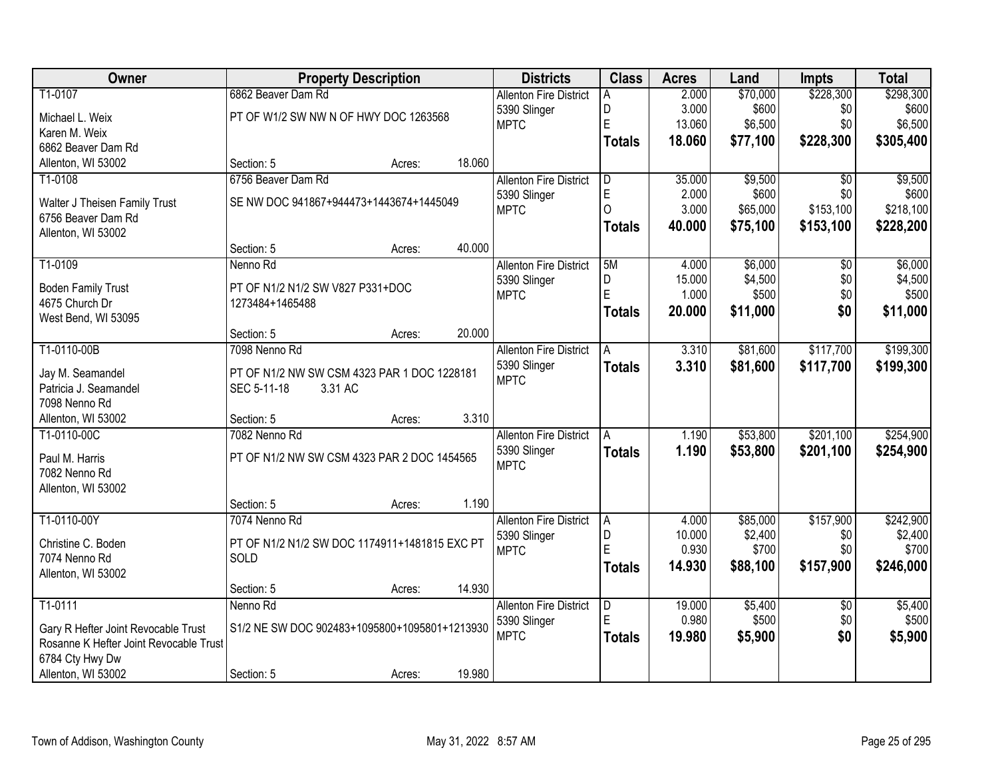| Owner                                     |                                               | <b>Property Description</b> |        | <b>Districts</b>              | <b>Class</b>  | <b>Acres</b>    | Land                | <b>Impts</b>     | <b>Total</b>         |
|-------------------------------------------|-----------------------------------------------|-----------------------------|--------|-------------------------------|---------------|-----------------|---------------------|------------------|----------------------|
| T1-0107                                   | 6862 Beaver Dam Rd                            |                             |        | <b>Allenton Fire District</b> | A             | 2.000           | \$70,000            | \$228,300        | \$298,300            |
| Michael L. Weix                           | PT OF W1/2 SW NW N OF HWY DOC 1263568         |                             |        | 5390 Slinger                  | D             | 3.000           | \$600               | \$0              | \$600                |
| Karen M. Weix                             |                                               |                             |        | <b>MPTC</b>                   | E             | 13.060          | \$6,500             | \$0              | \$6,500              |
| 6862 Beaver Dam Rd                        |                                               |                             |        |                               | Totals        | 18.060          | \$77,100            | \$228,300        | \$305,400            |
| Allenton, WI 53002                        | Section: 5                                    | Acres:                      | 18.060 |                               |               |                 |                     |                  |                      |
| T1-0108                                   | 6756 Beaver Dam Rd                            |                             |        | <b>Allenton Fire District</b> | D             | 35.000          | \$9,500             | $\overline{50}$  | \$9,500              |
| Walter J Theisen Family Trust             | SE NW DOC 941867+944473+1443674+1445049       |                             |        | 5390 Slinger                  | $\mathsf E$   | 2.000           | \$600               | \$0              | \$600                |
| 6756 Beaver Dam Rd                        |                                               |                             |        | <b>MPTC</b>                   | $\Omega$      | 3.000           | \$65,000            | \$153,100        | \$218,100            |
| Allenton, WI 53002                        |                                               |                             |        |                               | <b>Totals</b> | 40.000          | \$75,100            | \$153,100        | \$228,200            |
|                                           | Section: 5                                    | Acres:                      | 40.000 |                               |               |                 |                     |                  |                      |
| T1-0109                                   | Nenno Rd                                      |                             |        | <b>Allenton Fire District</b> | 5M            | 4.000           | \$6,000             | $\overline{50}$  | \$6,000              |
| <b>Boden Family Trust</b>                 | PT OF N1/2 N1/2 SW V827 P331+DOC              |                             |        | 5390 Slinger                  | D             | 15.000          | \$4,500             | \$0              | \$4,500              |
| 4675 Church Dr                            | 1273484+1465488                               |                             |        | <b>MPTC</b>                   | E             | 1.000           | \$500               | \$0              | \$500                |
| West Bend, WI 53095                       |                                               |                             |        |                               | Totals        | 20.000          | \$11,000            | \$0              | \$11,000             |
|                                           | Section: 5                                    | Acres:                      | 20.000 |                               |               |                 |                     |                  |                      |
| T1-0110-00B                               | 7098 Nenno Rd                                 |                             |        | <b>Allenton Fire District</b> | A             | 3.310           | \$81,600            | \$117,700        | \$199,300            |
|                                           | PT OF N1/2 NW SW CSM 4323 PAR 1 DOC 1228181   |                             |        | 5390 Slinger                  | <b>Totals</b> | 3.310           | \$81,600            | \$117,700        | \$199,300            |
| Jay M. Seamandel<br>Patricia J. Seamandel | SEC 5-11-18<br>3.31 AC                        |                             |        | <b>MPTC</b>                   |               |                 |                     |                  |                      |
| 7098 Nenno Rd                             |                                               |                             |        |                               |               |                 |                     |                  |                      |
| Allenton, WI 53002                        | Section: 5                                    | Acres:                      | 3.310  |                               |               |                 |                     |                  |                      |
| T1-0110-00C                               | 7082 Nenno Rd                                 |                             |        | <b>Allenton Fire District</b> | A             | 1.190           | \$53,800            | \$201,100        | \$254,900            |
|                                           |                                               |                             |        | 5390 Slinger                  | <b>Totals</b> | 1.190           | \$53,800            | \$201,100        | \$254,900            |
| Paul M. Harris                            | PT OF N1/2 NW SW CSM 4323 PAR 2 DOC 1454565   |                             |        | <b>MPTC</b>                   |               |                 |                     |                  |                      |
| 7082 Nenno Rd                             |                                               |                             |        |                               |               |                 |                     |                  |                      |
| Allenton, WI 53002                        |                                               |                             |        |                               |               |                 |                     |                  |                      |
|                                           | Section: 5                                    | Acres:                      | 1.190  |                               |               |                 |                     |                  |                      |
| T1-0110-00Y                               | 7074 Nenno Rd                                 |                             |        | <b>Allenton Fire District</b> | A.<br>D       | 4.000<br>10.000 | \$85,000<br>\$2,400 | \$157,900<br>\$0 | \$242,900<br>\$2,400 |
| Christine C. Boden                        | PT OF N1/2 N1/2 SW DOC 1174911+1481815 EXC PT |                             |        | 5390 Slinger<br><b>MPTC</b>   | E             | 0.930           | \$700               | \$0              | \$700                |
| 7074 Nenno Rd                             | SOLD                                          |                             |        |                               | <b>Totals</b> | 14.930          | \$88,100            | \$157,900        | \$246,000            |
| Allenton, WI 53002                        |                                               |                             |        |                               |               |                 |                     |                  |                      |
|                                           | Section: 5                                    | Acres:                      | 14.930 |                               |               |                 |                     |                  |                      |
| T1-0111                                   | Nenno Rd                                      |                             |        | <b>Allenton Fire District</b> | D             | 19.000          | \$5,400             | $\overline{50}$  | \$5,400              |
| Gary R Hefter Joint Revocable Trust       | S1/2 NE SW DOC 902483+1095800+1095801+1213930 |                             |        | 5390 Slinger                  | E             | 0.980           | \$500               | \$0              | \$500                |
| Rosanne K Hefter Joint Revocable Trust    |                                               |                             |        | <b>MPTC</b>                   | <b>Totals</b> | 19.980          | \$5,900             | \$0              | \$5,900              |
| 6784 Cty Hwy Dw                           |                                               |                             |        |                               |               |                 |                     |                  |                      |
| Allenton, WI 53002                        | Section: 5                                    | Acres:                      | 19.980 |                               |               |                 |                     |                  |                      |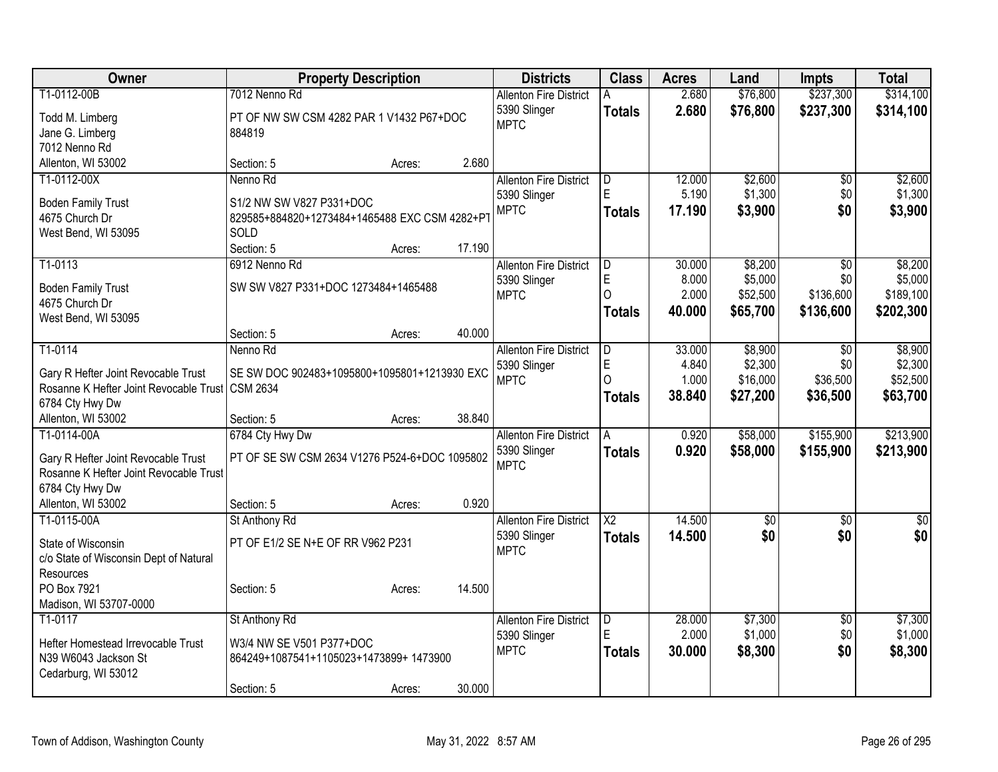| Owner                                                                         | <b>Property Description</b>                                     |        |        | <b>Districts</b>              | <b>Class</b>           | <b>Acres</b> | Land            | <b>Impts</b>    | <b>Total</b>     |
|-------------------------------------------------------------------------------|-----------------------------------------------------------------|--------|--------|-------------------------------|------------------------|--------------|-----------------|-----------------|------------------|
| T1-0112-00B                                                                   | 7012 Nenno Rd                                                   |        |        | <b>Allenton Fire District</b> | A                      | 2.680        | \$76,800        | \$237,300       | \$314,100        |
| Todd M. Limberg                                                               | PT OF NW SW CSM 4282 PAR 1 V1432 P67+DOC                        |        |        | 5390 Slinger                  | <b>Totals</b>          | 2.680        | \$76,800        | \$237,300       | \$314,100        |
| Jane G. Limberg                                                               | 884819                                                          |        |        | <b>MPTC</b>                   |                        |              |                 |                 |                  |
| 7012 Nenno Rd                                                                 |                                                                 |        |        |                               |                        |              |                 |                 |                  |
| Allenton, WI 53002                                                            | Section: 5                                                      | Acres: | 2.680  |                               |                        |              |                 |                 |                  |
| T1-0112-00X                                                                   | Nenno Rd                                                        |        |        | <b>Allenton Fire District</b> | D                      | 12.000       | \$2,600         | \$0             | \$2,600          |
| <b>Boden Family Trust</b>                                                     | S1/2 NW SW V827 P331+DOC                                        |        |        | 5390 Slinger                  | E                      | 5.190        | \$1,300         | \$0             | \$1,300          |
| 4675 Church Dr                                                                | 829585+884820+1273484+1465488 EXC CSM 4282+P                    |        |        | <b>MPTC</b>                   | <b>Totals</b>          | 17.190       | \$3,900         | \$0             | \$3,900          |
| West Bend, WI 53095                                                           | SOLD                                                            |        |        |                               |                        |              |                 |                 |                  |
|                                                                               | Section: 5                                                      | Acres: | 17.190 |                               |                        |              |                 |                 |                  |
| T1-0113                                                                       | 6912 Nenno Rd                                                   |        |        | <b>Allenton Fire District</b> | D                      | 30.000       | \$8,200         | \$0             | \$8,200          |
| <b>Boden Family Trust</b>                                                     | SW SW V827 P331+DOC 1273484+1465488                             |        |        | 5390 Slinger                  | E                      | 8.000        | \$5,000         | \$0             | \$5,000          |
| 4675 Church Dr                                                                |                                                                 |        |        | <b>MPTC</b>                   | $\Omega$               | 2.000        | \$52,500        | \$136,600       | \$189,100        |
| West Bend, WI 53095                                                           |                                                                 |        |        |                               | <b>Totals</b>          | 40.000       | \$65,700        | \$136,600       | \$202,300        |
|                                                                               | Section: 5                                                      | Acres: | 40.000 |                               |                        |              |                 |                 |                  |
| T1-0114                                                                       | Nenno Rd                                                        |        |        | <b>Allenton Fire District</b> | D                      | 33.000       | \$8,900         | $\overline{50}$ | \$8,900          |
|                                                                               |                                                                 |        |        | 5390 Slinger                  | E                      | 4.840        | \$2,300         | \$0             | \$2,300          |
| Gary R Hefter Joint Revocable Trust<br>Rosanne K Hefter Joint Revocable Trust | SE SW DOC 902483+1095800+1095801+1213930 EXC<br><b>CSM 2634</b> |        |        | <b>MPTC</b>                   | $\Omega$               | 1.000        | \$16,000        | \$36,500        | \$52,500         |
| 6784 Cty Hwy Dw                                                               |                                                                 |        |        |                               | <b>Totals</b>          | 38.840       | \$27,200        | \$36,500        | \$63,700         |
| Allenton, WI 53002                                                            | Section: 5                                                      | Acres: | 38.840 |                               |                        |              |                 |                 |                  |
| T1-0114-00A                                                                   | 6784 Cty Hwy Dw                                                 |        |        | <b>Allenton Fire District</b> | A                      | 0.920        | \$58,000        | \$155,900       | \$213,900        |
|                                                                               |                                                                 |        |        | 5390 Slinger                  | <b>Totals</b>          | 0.920        | \$58,000        | \$155,900       | \$213,900        |
| Gary R Hefter Joint Revocable Trust                                           | PT OF SE SW CSM 2634 V1276 P524-6+DOC 1095802                   |        |        | <b>MPTC</b>                   |                        |              |                 |                 |                  |
| Rosanne K Hefter Joint Revocable Trust                                        |                                                                 |        |        |                               |                        |              |                 |                 |                  |
| 6784 Cty Hwy Dw<br>Allenton, WI 53002                                         | Section: 5                                                      | Acres: | 0.920  |                               |                        |              |                 |                 |                  |
| T1-0115-00A                                                                   | St Anthony Rd                                                   |        |        | <b>Allenton Fire District</b> | $\overline{\text{X2}}$ | 14.500       | $\overline{50}$ | $\overline{50}$ | $\overline{\$0}$ |
|                                                                               |                                                                 |        |        | 5390 Slinger                  | <b>Totals</b>          | 14.500       | \$0             | \$0             | \$0              |
| State of Wisconsin                                                            | PT OF E1/2 SE N+E OF RR V962 P231                               |        |        | <b>MPTC</b>                   |                        |              |                 |                 |                  |
| c/o State of Wisconsin Dept of Natural                                        |                                                                 |        |        |                               |                        |              |                 |                 |                  |
| <b>Resources</b>                                                              |                                                                 |        |        |                               |                        |              |                 |                 |                  |
| PO Box 7921                                                                   | Section: 5                                                      | Acres: | 14.500 |                               |                        |              |                 |                 |                  |
| Madison, WI 53707-0000<br>T1-0117                                             | St Anthony Rd                                                   |        |        | <b>Allenton Fire District</b> |                        | 28.000       | \$7,300         | $\overline{50}$ | \$7,300          |
|                                                                               |                                                                 |        |        | 5390 Slinger                  | D<br>E                 | 2.000        | \$1,000         | \$0             | \$1,000          |
| Hefter Homestead Irrevocable Trust                                            | W3/4 NW SE V501 P377+DOC                                        |        |        | <b>MPTC</b>                   | <b>Totals</b>          | 30.000       | \$8,300         | \$0             | \$8,300          |
| N39 W6043 Jackson St                                                          | 864249+1087541+1105023+1473899+1473900                          |        |        |                               |                        |              |                 |                 |                  |
| Cedarburg, WI 53012                                                           |                                                                 |        |        |                               |                        |              |                 |                 |                  |
|                                                                               | Section: 5                                                      | Acres: | 30.000 |                               |                        |              |                 |                 |                  |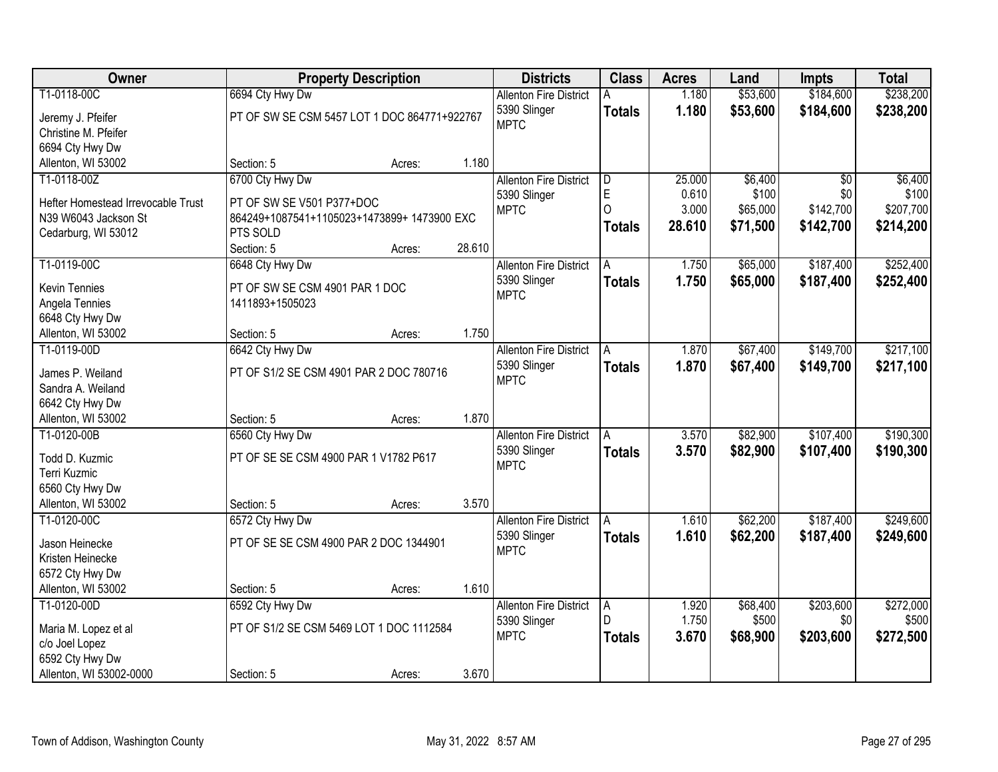| Owner                              | <b>Property Description</b>                  |        | <b>Districts</b> | <b>Class</b>                  | <b>Acres</b>  | Land   | <b>Impts</b> | <b>Total</b>    |           |
|------------------------------------|----------------------------------------------|--------|------------------|-------------------------------|---------------|--------|--------------|-----------------|-----------|
| T1-0118-00C                        | 6694 Cty Hwy Dw                              |        |                  | <b>Allenton Fire District</b> | Α             | 1.180  | \$53,600     | \$184,600       | \$238,200 |
| Jeremy J. Pfeifer                  | PT OF SW SE CSM 5457 LOT 1 DOC 864771+922767 |        |                  | 5390 Slinger                  | <b>Totals</b> | 1.180  | \$53,600     | \$184,600       | \$238,200 |
| Christine M. Pfeifer               |                                              |        |                  | <b>MPTC</b>                   |               |        |              |                 |           |
| 6694 Cty Hwy Dw                    |                                              |        |                  |                               |               |        |              |                 |           |
| Allenton, WI 53002                 | Section: 5                                   | Acres: | 1.180            |                               |               |        |              |                 |           |
| T1-0118-00Z                        | 6700 Cty Hwy Dw                              |        |                  | <b>Allenton Fire District</b> | ID.           | 25.000 | \$6,400      | $\overline{50}$ | \$6,400   |
|                                    |                                              |        |                  | 5390 Slinger                  | E             | 0.610  | \$100        | \$0             | \$100     |
| Hefter Homestead Irrevocable Trust | PT OF SW SE V501 P377+DOC                    |        |                  | <b>MPTC</b>                   | $\Omega$      | 3.000  | \$65,000     | \$142,700       | \$207,700 |
| N39 W6043 Jackson St               | 864249+1087541+1105023+1473899+1473900 EXC   |        |                  |                               | <b>Totals</b> | 28.610 | \$71,500     | \$142,700       | \$214,200 |
| Cedarburg, WI 53012                | PTS SOLD                                     |        |                  |                               |               |        |              |                 |           |
|                                    | Section: 5                                   | Acres: | 28.610           |                               |               |        |              |                 |           |
| T1-0119-00C                        | 6648 Cty Hwy Dw                              |        |                  | <b>Allenton Fire District</b> | A             | 1.750  | \$65,000     | \$187,400       | \$252,400 |
| <b>Kevin Tennies</b>               | PT OF SW SE CSM 4901 PAR 1 DOC               |        |                  | 5390 Slinger                  | <b>Totals</b> | 1.750  | \$65,000     | \$187,400       | \$252,400 |
| Angela Tennies                     | 1411893+1505023                              |        |                  | <b>MPTC</b>                   |               |        |              |                 |           |
| 6648 Cty Hwy Dw                    |                                              |        |                  |                               |               |        |              |                 |           |
| Allenton, WI 53002                 | Section: 5                                   | Acres: | 1.750            |                               |               |        |              |                 |           |
| T1-0119-00D                        | 6642 Cty Hwy Dw                              |        |                  | <b>Allenton Fire District</b> | A             | 1.870  | \$67,400     | \$149,700       | \$217,100 |
|                                    |                                              |        |                  | 5390 Slinger                  | <b>Totals</b> | 1.870  | \$67,400     | \$149,700       | \$217,100 |
| James P. Weiland                   | PT OF S1/2 SE CSM 4901 PAR 2 DOC 780716      |        |                  | <b>MPTC</b>                   |               |        |              |                 |           |
| Sandra A. Weiland                  |                                              |        |                  |                               |               |        |              |                 |           |
| 6642 Cty Hwy Dw                    | Section: 5                                   |        | 1.870            |                               |               |        |              |                 |           |
| Allenton, WI 53002<br>T1-0120-00B  |                                              | Acres: |                  |                               |               | 3.570  | \$82,900     | \$107,400       | \$190,300 |
|                                    | 6560 Cty Hwy Dw                              |        |                  | <b>Allenton Fire District</b> | A             |        |              |                 |           |
| Todd D. Kuzmic                     | PT OF SE SE CSM 4900 PAR 1 V1782 P617        |        |                  | 5390 Slinger<br><b>MPTC</b>   | Totals        | 3.570  | \$82,900     | \$107,400       | \$190,300 |
| Terri Kuzmic                       |                                              |        |                  |                               |               |        |              |                 |           |
| 6560 Cty Hwy Dw                    |                                              |        |                  |                               |               |        |              |                 |           |
| Allenton, WI 53002                 | Section: 5                                   | Acres: | 3.570            |                               |               |        |              |                 |           |
| T1-0120-00C                        | 6572 Cty Hwy Dw                              |        |                  | <b>Allenton Fire District</b> | A             | 1.610  | \$62,200     | \$187,400       | \$249,600 |
| Jason Heinecke                     | PT OF SE SE CSM 4900 PAR 2 DOC 1344901       |        |                  | 5390 Slinger                  | <b>Totals</b> | 1.610  | \$62,200     | \$187,400       | \$249,600 |
| Kristen Heinecke                   |                                              |        |                  | <b>MPTC</b>                   |               |        |              |                 |           |
| 6572 Cty Hwy Dw                    |                                              |        |                  |                               |               |        |              |                 |           |
| Allenton, WI 53002                 | Section: 5                                   | Acres: | 1.610            |                               |               |        |              |                 |           |
| T1-0120-00D                        | 6592 Cty Hwy Dw                              |        |                  | <b>Allenton Fire District</b> | A             | 1.920  | \$68,400     | \$203,600       | \$272,000 |
|                                    |                                              |        |                  | 5390 Slinger                  | D             | 1.750  | \$500        | \$0             | \$500     |
| Maria M. Lopez et al               | PT OF S1/2 SE CSM 5469 LOT 1 DOC 1112584     |        |                  | <b>MPTC</b>                   | <b>Totals</b> | 3.670  | \$68,900     | \$203,600       | \$272,500 |
| c/o Joel Lopez                     |                                              |        |                  |                               |               |        |              |                 |           |
| 6592 Cty Hwy Dw                    |                                              |        |                  |                               |               |        |              |                 |           |
| Allenton, WI 53002-0000            | Section: 5                                   | Acres: | 3.670            |                               |               |        |              |                 |           |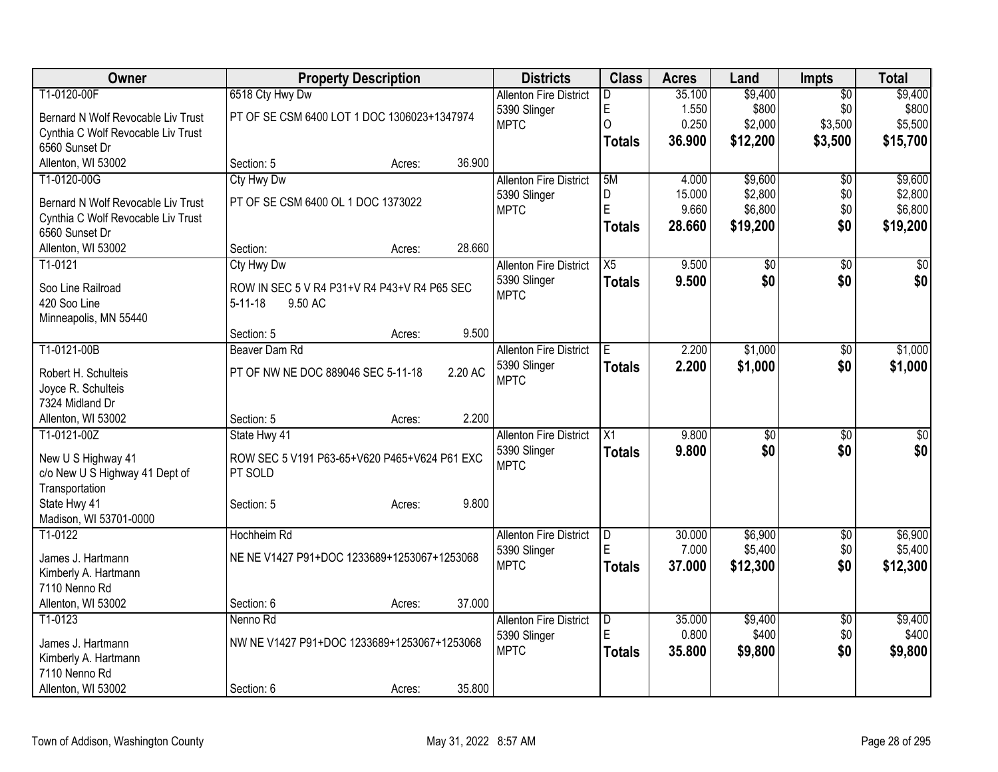| Owner                              | <b>Property Description</b>                  |        |         | <b>Districts</b>              | <b>Class</b>    | <b>Acres</b> | Land     | <b>Impts</b>    | <b>Total</b> |
|------------------------------------|----------------------------------------------|--------|---------|-------------------------------|-----------------|--------------|----------|-----------------|--------------|
| T1-0120-00F                        | 6518 Cty Hwy Dw                              |        |         | <b>Allenton Fire District</b> | D               | 35.100       | \$9,400  | $\overline{50}$ | \$9,400      |
| Bernard N Wolf Revocable Liv Trust | PT OF SE CSM 6400 LOT 1 DOC 1306023+1347974  |        |         | 5390 Slinger                  | E               | 1.550        | \$800    | \$0             | \$800        |
| Cynthia C Wolf Revocable Liv Trust |                                              |        |         | <b>MPTC</b>                   | $\Omega$        | 0.250        | \$2,000  | \$3,500         | \$5,500      |
| 6560 Sunset Dr                     |                                              |        |         |                               | <b>Totals</b>   | 36.900       | \$12,200 | \$3,500         | \$15,700     |
| Allenton, WI 53002                 | Section: 5                                   | Acres: | 36.900  |                               |                 |              |          |                 |              |
| T1-0120-00G                        | Cty Hwy Dw                                   |        |         | <b>Allenton Fire District</b> | 5M              | 4.000        | \$9,600  | \$0             | \$9,600      |
| Bernard N Wolf Revocable Liv Trust | PT OF SE CSM 6400 OL 1 DOC 1373022           |        |         | 5390 Slinger                  | D               | 15.000       | \$2,800  | \$0             | \$2,800      |
| Cynthia C Wolf Revocable Liv Trust |                                              |        |         | <b>MPTC</b>                   | E               | 9.660        | \$6,800  | \$0             | \$6,800      |
| 6560 Sunset Dr                     |                                              |        |         |                               | <b>Totals</b>   | 28.660       | \$19,200 | \$0             | \$19,200     |
| Allenton, WI 53002                 | Section:                                     | Acres: | 28.660  |                               |                 |              |          |                 |              |
| T1-0121                            | Cty Hwy Dw                                   |        |         | <b>Allenton Fire District</b> | $\overline{X5}$ | 9.500        | \$0      | \$0             | $\sqrt{50}$  |
|                                    |                                              |        |         | 5390 Slinger                  | <b>Totals</b>   | 9.500        | \$0      | \$0             | \$0          |
| Soo Line Railroad                  | ROW IN SEC 5 V R4 P31+V R4 P43+V R4 P65 SEC  |        |         | <b>MPTC</b>                   |                 |              |          |                 |              |
| 420 Soo Line                       | $5 - 11 - 18$<br>9.50 AC                     |        |         |                               |                 |              |          |                 |              |
| Minneapolis, MN 55440              | Section: 5                                   |        | 9.500   |                               |                 |              |          |                 |              |
| T1-0121-00B                        | Beaver Dam Rd                                | Acres: |         | <b>Allenton Fire District</b> | E.              | 2.200        | \$1,000  | \$0             | \$1,000      |
|                                    |                                              |        |         | 5390 Slinger                  |                 | 2.200        | \$1,000  | \$0             | \$1,000      |
| Robert H. Schulteis                | PT OF NW NE DOC 889046 SEC 5-11-18           |        | 2.20 AC | <b>MPTC</b>                   | <b>Totals</b>   |              |          |                 |              |
| Joyce R. Schulteis                 |                                              |        |         |                               |                 |              |          |                 |              |
| 7324 Midland Dr                    |                                              |        |         |                               |                 |              |          |                 |              |
| Allenton, WI 53002                 | Section: 5                                   | Acres: | 2.200   |                               |                 |              |          |                 |              |
| T1-0121-00Z                        | State Hwy 41                                 |        |         | <b>Allenton Fire District</b> | X1              | 9.800        | \$0      | $\overline{50}$ | \$0          |
| New U S Highway 41                 | ROW SEC 5 V191 P63-65+V620 P465+V624 P61 EXC |        |         | 5390 Slinger                  | <b>Totals</b>   | 9.800        | \$0      | \$0             | \$0          |
| c/o New U S Highway 41 Dept of     | PT SOLD                                      |        |         | <b>MPTC</b>                   |                 |              |          |                 |              |
| Transportation                     |                                              |        |         |                               |                 |              |          |                 |              |
| State Hwy 41                       | Section: 5                                   | Acres: | 9.800   |                               |                 |              |          |                 |              |
| Madison, WI 53701-0000             |                                              |        |         |                               |                 |              |          |                 |              |
| $T1-0122$                          | Hochheim Rd                                  |        |         | <b>Allenton Fire District</b> | D               | 30.000       | \$6,900  | \$0             | \$6,900      |
| James J. Hartmann                  | NE NE V1427 P91+DOC 1233689+1253067+1253068  |        |         | 5390 Slinger                  | E               | 7.000        | \$5,400  | \$0             | \$5,400      |
| Kimberly A. Hartmann               |                                              |        |         | <b>MPTC</b>                   | <b>Totals</b>   | 37.000       | \$12,300 | \$0             | \$12,300     |
| 7110 Nenno Rd                      |                                              |        |         |                               |                 |              |          |                 |              |
| Allenton, WI 53002                 | Section: 6                                   | Acres: | 37.000  |                               |                 |              |          |                 |              |
| T1-0123                            | Nenno Rd                                     |        |         | <b>Allenton Fire District</b> | D               | 35.000       | \$9,400  | \$0             | \$9,400      |
| James J. Hartmann                  | NW NE V1427 P91+DOC 1233689+1253067+1253068  |        |         | 5390 Slinger                  | E               | 0.800        | \$400    | \$0             | \$400        |
| Kimberly A. Hartmann               |                                              |        |         | <b>MPTC</b>                   | <b>Totals</b>   | 35.800       | \$9,800  | \$0             | \$9,800      |
| 7110 Nenno Rd                      |                                              |        |         |                               |                 |              |          |                 |              |
| Allenton, WI 53002                 | Section: 6                                   | Acres: | 35.800  |                               |                 |              |          |                 |              |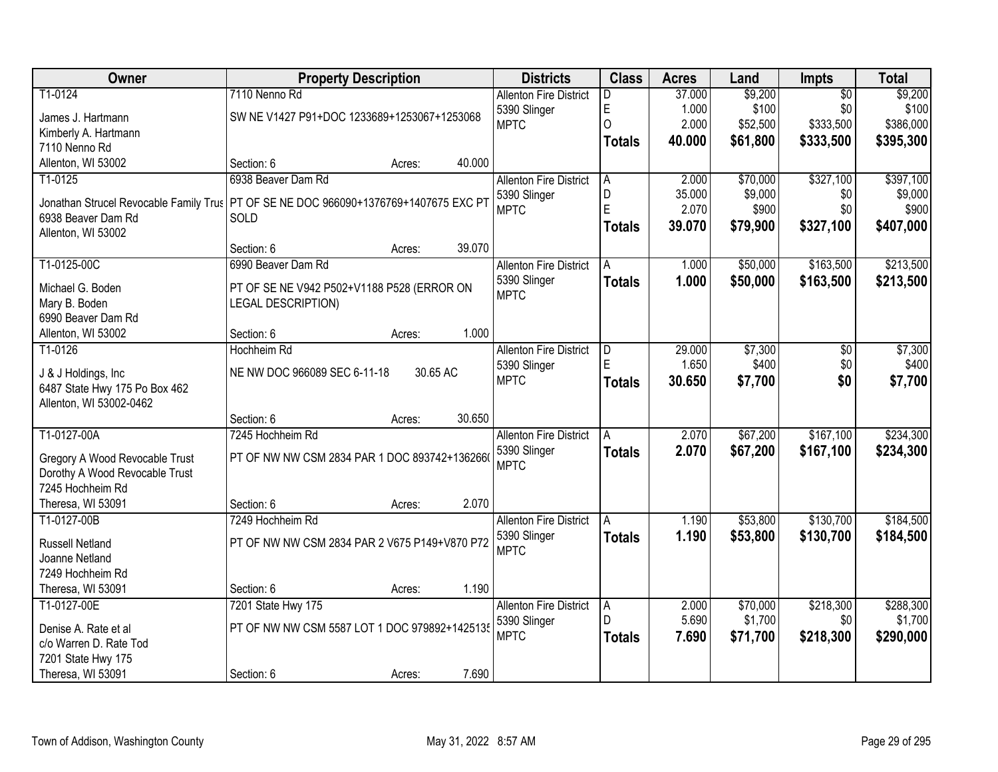| Owner                                                                                  | <b>Property Description</b>                   |          |        | <b>Districts</b>              | <b>Class</b>  | <b>Acres</b> | Land     | <b>Impts</b>    | <b>Total</b> |
|----------------------------------------------------------------------------------------|-----------------------------------------------|----------|--------|-------------------------------|---------------|--------------|----------|-----------------|--------------|
| T1-0124                                                                                | 7110 Nenno Rd                                 |          |        | <b>Allenton Fire District</b> | D             | 37.000       | \$9,200  | $\overline{50}$ | \$9,200      |
| James J. Hartmann                                                                      | SW NE V1427 P91+DOC 1233689+1253067+1253068   |          |        | 5390 Slinger                  | E             | 1.000        | \$100    | \$0             | \$100        |
| Kimberly A. Hartmann                                                                   |                                               |          |        | <b>MPTC</b>                   | $\Omega$      | 2.000        | \$52,500 | \$333,500       | \$386,000    |
| 7110 Nenno Rd                                                                          |                                               |          |        |                               | <b>Totals</b> | 40.000       | \$61,800 | \$333,500       | \$395,300    |
| Allenton, WI 53002                                                                     | Section: 6                                    | Acres:   | 40.000 |                               |               |              |          |                 |              |
| T1-0125                                                                                | 6938 Beaver Dam Rd                            |          |        | <b>Allenton Fire District</b> | A             | 2.000        | \$70,000 | \$327,100       | \$397,100    |
|                                                                                        |                                               |          |        | 5390 Slinger                  | D             | 35.000       | \$9,000  | \$0             | \$9,000      |
| Jonathan Strucel Revocable Family Trus   PT OF SE NE DOC 966090+1376769+1407675 EXC PT |                                               |          |        | <b>MPTC</b>                   | E             | 2.070        | \$900    | \$0             | \$900        |
| 6938 Beaver Dam Rd                                                                     | SOLD                                          |          |        |                               | <b>Totals</b> | 39.070       | \$79,900 | \$327,100       | \$407,000    |
| Allenton, WI 53002                                                                     |                                               |          |        |                               |               |              |          |                 |              |
|                                                                                        | Section: 6                                    | Acres:   | 39.070 |                               |               |              |          |                 |              |
| T1-0125-00C                                                                            | 6990 Beaver Dam Rd                            |          |        | <b>Allenton Fire District</b> | A             | 1.000        | \$50,000 | \$163,500       | \$213,500    |
| Michael G. Boden                                                                       | PT OF SE NE V942 P502+V1188 P528 (ERROR ON    |          |        | 5390 Slinger                  | <b>Totals</b> | 1.000        | \$50,000 | \$163,500       | \$213,500    |
| Mary B. Boden                                                                          | LEGAL DESCRIPTION)                            |          |        | <b>MPTC</b>                   |               |              |          |                 |              |
| 6990 Beaver Dam Rd                                                                     |                                               |          |        |                               |               |              |          |                 |              |
| Allenton, WI 53002                                                                     | Section: 6                                    | Acres:   | 1.000  |                               |               |              |          |                 |              |
| T1-0126                                                                                | Hochheim Rd                                   |          |        | <b>Allenton Fire District</b> | D             | 29.000       | \$7,300  | \$0             | \$7,300      |
|                                                                                        |                                               |          |        | 5390 Slinger                  | E             | 1.650        | \$400    | \$0             | \$400        |
| J & J Holdings, Inc.                                                                   | NE NW DOC 966089 SEC 6-11-18                  | 30.65 AC |        | <b>MPTC</b>                   | <b>Totals</b> | 30.650       | \$7,700  | \$0             | \$7,700      |
| 6487 State Hwy 175 Po Box 462<br>Allenton, WI 53002-0462                               |                                               |          |        |                               |               |              |          |                 |              |
|                                                                                        | Section: 6                                    |          | 30.650 |                               |               |              |          |                 |              |
| T1-0127-00A                                                                            | 7245 Hochheim Rd                              | Acres:   |        |                               | A             | 2.070        | \$67,200 | \$167,100       | \$234,300    |
|                                                                                        |                                               |          |        | <b>Allenton Fire District</b> |               |              |          |                 |              |
| Gregory A Wood Revocable Trust                                                         | PT OF NW NW CSM 2834 PAR 1 DOC 893742+1362660 |          |        | 5390 Slinger<br><b>MPTC</b>   | Totals        | 2.070        | \$67,200 | \$167,100       | \$234,300    |
| Dorothy A Wood Revocable Trust                                                         |                                               |          |        |                               |               |              |          |                 |              |
| 7245 Hochheim Rd                                                                       |                                               |          |        |                               |               |              |          |                 |              |
| Theresa, WI 53091                                                                      | Section: 6                                    | Acres:   | 2.070  |                               |               |              |          |                 |              |
| T1-0127-00B                                                                            | 7249 Hochheim Rd                              |          |        | <b>Allenton Fire District</b> | A             | 1.190        | \$53,800 | \$130,700       | \$184,500    |
| <b>Russell Netland</b>                                                                 | PT OF NW NW CSM 2834 PAR 2 V675 P149+V870 P72 |          |        | 5390 Slinger                  | <b>Totals</b> | 1.190        | \$53,800 | \$130,700       | \$184,500    |
| Joanne Netland                                                                         |                                               |          |        | <b>MPTC</b>                   |               |              |          |                 |              |
| 7249 Hochheim Rd                                                                       |                                               |          |        |                               |               |              |          |                 |              |
| Theresa, WI 53091                                                                      | Section: 6                                    | Acres:   | 1.190  |                               |               |              |          |                 |              |
| T1-0127-00E                                                                            | 7201 State Hwy 175                            |          |        | <b>Allenton Fire District</b> | A             | 2.000        | \$70,000 | \$218,300       | \$288,300    |
|                                                                                        |                                               |          |        | 5390 Slinger                  | D             | 5.690        | \$1,700  | \$0             | \$1,700      |
| Denise A. Rate et al                                                                   | PT OF NW NW CSM 5587 LOT 1 DOC 979892+1425135 |          |        | <b>MPTC</b>                   | Totals        | 7.690        | \$71,700 | \$218,300       | \$290,000    |
| c/o Warren D. Rate Tod                                                                 |                                               |          |        |                               |               |              |          |                 |              |
| 7201 State Hwy 175                                                                     |                                               |          |        |                               |               |              |          |                 |              |
| Theresa, WI 53091                                                                      | Section: 6                                    | Acres:   | 7.690  |                               |               |              |          |                 |              |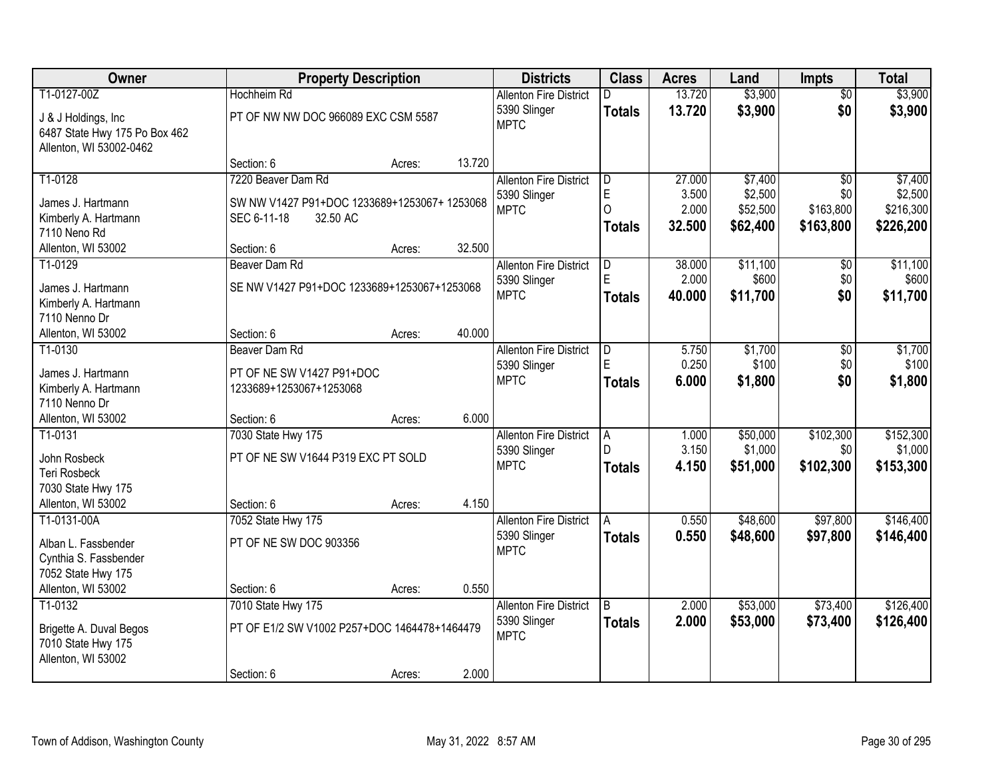| Owner                         | <b>Property Description</b>                  |        |        | <b>Districts</b>              | <b>Class</b>   | <b>Acres</b> | Land     | <b>Impts</b>    | <b>Total</b> |
|-------------------------------|----------------------------------------------|--------|--------|-------------------------------|----------------|--------------|----------|-----------------|--------------|
| T1-0127-00Z                   | Hochheim Rd                                  |        |        | <b>Allenton Fire District</b> | D              | 13.720       | \$3,900  | $\overline{50}$ | \$3,900      |
| J & J Holdings, Inc.          | PT OF NW NW DOC 966089 EXC CSM 5587          |        |        | 5390 Slinger                  | <b>Totals</b>  | 13.720       | \$3,900  | \$0             | \$3,900      |
| 6487 State Hwy 175 Po Box 462 |                                              |        |        | <b>MPTC</b>                   |                |              |          |                 |              |
| Allenton, WI 53002-0462       |                                              |        |        |                               |                |              |          |                 |              |
|                               | Section: 6                                   | Acres: | 13.720 |                               |                |              |          |                 |              |
| T1-0128                       | 7220 Beaver Dam Rd                           |        |        | <b>Allenton Fire District</b> | D              | 27.000       | \$7,400  | $\overline{50}$ | \$7,400      |
| James J. Hartmann             | SW NW V1427 P91+DOC 1233689+1253067+ 1253068 |        |        | 5390 Slinger                  | E              | 3.500        | \$2,500  | \$0             | \$2,500      |
| Kimberly A. Hartmann          | 32.50 AC<br>SEC 6-11-18                      |        |        | <b>MPTC</b>                   | $\Omega$       | 2.000        | \$52,500 | \$163,800       | \$216,300    |
| 7110 Neno Rd                  |                                              |        |        |                               | <b>Totals</b>  | 32.500       | \$62,400 | \$163,800       | \$226,200    |
| Allenton, WI 53002            | Section: 6                                   | Acres: | 32.500 |                               |                |              |          |                 |              |
| T1-0129                       | Beaver Dam Rd                                |        |        | <b>Allenton Fire District</b> | D              | 38.000       | \$11,100 | \$0             | \$11,100     |
|                               |                                              |        |        | 5390 Slinger                  | E              | 2.000        | \$600    | \$0             | \$600        |
| James J. Hartmann             | SE NW V1427 P91+DOC 1233689+1253067+1253068  |        |        | <b>MPTC</b>                   | <b>Totals</b>  | 40.000       | \$11,700 | \$0             | \$11,700     |
| Kimberly A. Hartmann          |                                              |        |        |                               |                |              |          |                 |              |
| 7110 Nenno Dr                 |                                              |        |        |                               |                |              |          |                 |              |
| Allenton, WI 53002            | Section: 6                                   | Acres: | 40.000 |                               |                |              |          |                 |              |
| T1-0130                       | Beaver Dam Rd                                |        |        | <b>Allenton Fire District</b> | D              | 5.750        | \$1,700  | $\sqrt[6]{3}$   | \$1,700      |
| James J. Hartmann             | PT OF NE SW V1427 P91+DOC                    |        |        | 5390 Slinger                  | E              | 0.250        | \$100    | \$0             | \$100        |
| Kimberly A. Hartmann          | 1233689+1253067+1253068                      |        |        | <b>MPTC</b>                   | <b>Totals</b>  | 6.000        | \$1,800  | \$0             | \$1,800      |
| 7110 Nenno Dr                 |                                              |        |        |                               |                |              |          |                 |              |
| Allenton, WI 53002            | Section: 6                                   | Acres: | 6.000  |                               |                |              |          |                 |              |
| T1-0131                       | 7030 State Hwy 175                           |        |        | <b>Allenton Fire District</b> | $\overline{A}$ | 1.000        | \$50,000 | \$102,300       | \$152,300    |
| John Rosbeck                  | PT OF NE SW V1644 P319 EXC PT SOLD           |        |        | 5390 Slinger                  | D.             | 3.150        | \$1,000  | \$0             | \$1,000      |
| <b>Teri Rosbeck</b>           |                                              |        |        | <b>MPTC</b>                   | <b>Totals</b>  | 4.150        | \$51,000 | \$102,300       | \$153,300    |
| 7030 State Hwy 175            |                                              |        |        |                               |                |              |          |                 |              |
| Allenton, WI 53002            | Section: 6                                   | Acres: | 4.150  |                               |                |              |          |                 |              |
| T1-0131-00A                   | 7052 State Hwy 175                           |        |        | <b>Allenton Fire District</b> | A              | 0.550        | \$48,600 | \$97,800        | \$146,400    |
|                               |                                              |        |        | 5390 Slinger                  | <b>Totals</b>  | 0.550        | \$48,600 | \$97,800        | \$146,400    |
| Alban L. Fassbender           | PT OF NE SW DOC 903356                       |        |        | <b>MPTC</b>                   |                |              |          |                 |              |
| Cynthia S. Fassbender         |                                              |        |        |                               |                |              |          |                 |              |
| 7052 State Hwy 175            |                                              |        |        |                               |                |              |          |                 |              |
| Allenton, WI 53002            | Section: 6                                   | Acres: | 0.550  |                               |                |              |          |                 |              |
| T1-0132                       | 7010 State Hwy 175                           |        |        | <b>Allenton Fire District</b> | B              | 2.000        | \$53,000 | \$73,400        | \$126,400    |
| Brigette A. Duval Begos       | PT OF E1/2 SW V1002 P257+DOC 1464478+1464479 |        |        | 5390 Slinger<br><b>MPTC</b>   | <b>Totals</b>  | 2.000        | \$53,000 | \$73,400        | \$126,400    |
| 7010 State Hwy 175            |                                              |        |        |                               |                |              |          |                 |              |
| Allenton, WI 53002            |                                              |        |        |                               |                |              |          |                 |              |
|                               | Section: 6                                   | Acres: | 2.000  |                               |                |              |          |                 |              |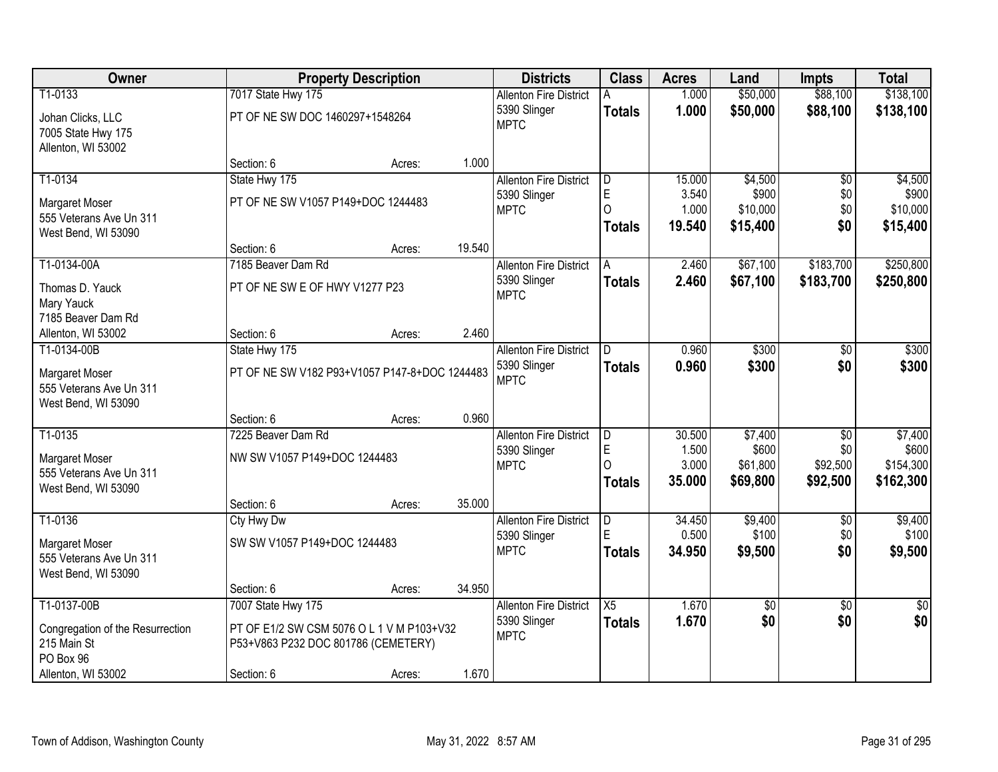| Owner                            |                                               | <b>Property Description</b> |        | <b>Districts</b>              | <b>Class</b>        | <b>Acres</b>    | Land              | <b>Impts</b>    | <b>Total</b>         |
|----------------------------------|-----------------------------------------------|-----------------------------|--------|-------------------------------|---------------------|-----------------|-------------------|-----------------|----------------------|
| T1-0133                          | 7017 State Hwy 175                            |                             |        | <b>Allenton Fire District</b> | A                   | 1.000           | \$50,000          | \$88,100        | \$138,100            |
| Johan Clicks, LLC                | PT OF NE SW DOC 1460297+1548264               |                             |        | 5390 Slinger                  | <b>Totals</b>       | 1.000           | \$50,000          | \$88,100        | \$138,100            |
| 7005 State Hwy 175               |                                               |                             |        | <b>MPTC</b>                   |                     |                 |                   |                 |                      |
| Allenton, WI 53002               |                                               |                             |        |                               |                     |                 |                   |                 |                      |
|                                  | Section: 6                                    | Acres:                      | 1.000  |                               |                     |                 |                   |                 |                      |
| T1-0134                          | State Hwy 175                                 |                             |        | <b>Allenton Fire District</b> | l D                 | 15.000          | \$4,500           | $\overline{50}$ | \$4,500              |
| Margaret Moser                   | PT OF NE SW V1057 P149+DOC 1244483            |                             |        | 5390 Slinger                  | E                   | 3.540           | \$900             | \$0             | \$900                |
| 555 Veterans Ave Un 311          |                                               |                             |        | <b>MPTC</b>                   | $\Omega$            | 1.000           | \$10,000          | \$0             | \$10,000             |
| West Bend, WI 53090              |                                               |                             |        |                               | <b>Totals</b>       | 19.540          | \$15,400          | \$0             | \$15,400             |
|                                  | Section: 6                                    | Acres:                      | 19.540 |                               |                     |                 |                   |                 |                      |
| T1-0134-00A                      | 7185 Beaver Dam Rd                            |                             |        | <b>Allenton Fire District</b> | A                   | 2.460           | \$67,100          | \$183,700       | \$250,800            |
| Thomas D. Yauck                  | PT OF NE SW E OF HWY V1277 P23                |                             |        | 5390 Slinger                  | <b>Totals</b>       | 2.460           | \$67,100          | \$183,700       | \$250,800            |
| Mary Yauck                       |                                               |                             |        | <b>MPTC</b>                   |                     |                 |                   |                 |                      |
| 7185 Beaver Dam Rd               |                                               |                             |        |                               |                     |                 |                   |                 |                      |
| Allenton, WI 53002               | Section: 6                                    | Acres:                      | 2.460  |                               |                     |                 |                   |                 |                      |
| T1-0134-00B                      | State Hwy 175                                 |                             |        | <b>Allenton Fire District</b> | D.                  | 0.960           | \$300             | \$0             | \$300                |
| Margaret Moser                   | PT OF NE SW V182 P93+V1057 P147-8+DOC 1244483 |                             |        | 5390 Slinger                  | <b>Totals</b>       | 0.960           | \$300             | \$0             | \$300                |
| 555 Veterans Ave Un 311          |                                               |                             |        | <b>MPTC</b>                   |                     |                 |                   |                 |                      |
| West Bend, WI 53090              |                                               |                             |        |                               |                     |                 |                   |                 |                      |
|                                  | Section: 6                                    | Acres:                      | 0.960  |                               |                     |                 |                   |                 |                      |
| T1-0135                          | 7225 Beaver Dam Rd                            |                             |        | <b>Allenton Fire District</b> | $\overline{D}$      | 30.500          | \$7,400           | $\overline{50}$ | \$7,400              |
| Margaret Moser                   | NW SW V1057 P149+DOC 1244483                  |                             |        | 5390 Slinger<br><b>MPTC</b>   | E<br>$\Omega$       | 1.500<br>3.000  | \$600<br>\$61,800 | \$0<br>\$92,500 | \$600<br>\$154,300   |
| 555 Veterans Ave Un 311          |                                               |                             |        |                               | <b>Totals</b>       | 35.000          | \$69,800          | \$92,500        | \$162,300            |
| West Bend, WI 53090              |                                               |                             |        |                               |                     |                 |                   |                 |                      |
|                                  | Section: 6                                    | Acres:                      | 35.000 |                               |                     |                 |                   |                 |                      |
| T1-0136                          | Cty Hwy Dw                                    |                             |        | <b>Allenton Fire District</b> | $\overline{D}$<br>E | 34.450<br>0.500 | \$9,400<br>\$100  | $\overline{60}$ | \$9,400<br>\$100     |
| Margaret Moser                   | SW SW V1057 P149+DOC 1244483                  |                             |        | 5390 Slinger<br><b>MPTC</b>   |                     | 34.950          | \$9,500           | \$0<br>\$0      | \$9,500              |
| 555 Veterans Ave Un 311          |                                               |                             |        |                               | <b>Totals</b>       |                 |                   |                 |                      |
| West Bend, WI 53090              |                                               |                             |        |                               |                     |                 |                   |                 |                      |
|                                  | Section: 6                                    | Acres:                      | 34.950 |                               |                     |                 |                   |                 |                      |
| T1-0137-00B                      | 7007 State Hwy 175                            |                             |        | <b>Allenton Fire District</b> | $\overline{X5}$     | 1.670           | $\overline{50}$   | $\overline{30}$ | $\frac{1}{6}$<br>\$0 |
| Congregation of the Resurrection | PT OF E1/2 SW CSM 5076 O L 1 V M P103+V32     |                             |        | 5390 Slinger<br><b>MPTC</b>   | <b>Totals</b>       | 1.670           | \$0               | \$0             |                      |
| 215 Main St                      | P53+V863 P232 DOC 801786 (CEMETERY)           |                             |        |                               |                     |                 |                   |                 |                      |
| PO Box 96                        |                                               |                             |        |                               |                     |                 |                   |                 |                      |
| Allenton, WI 53002               | Section: 6                                    | Acres:                      | 1.670  |                               |                     |                 |                   |                 |                      |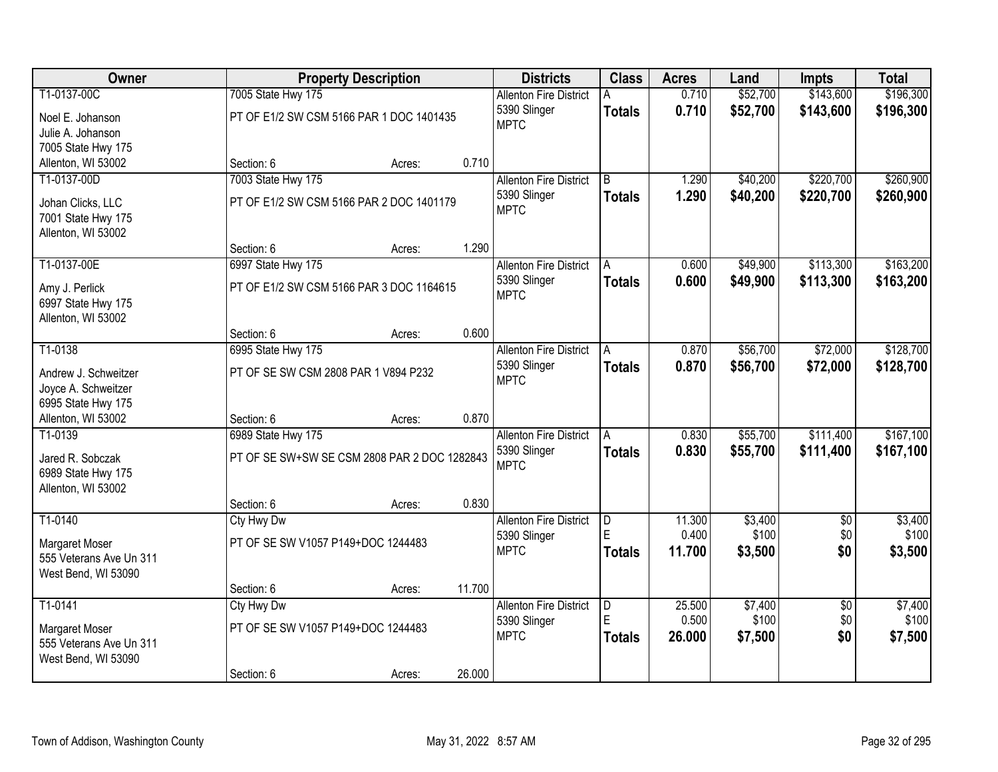| Owner                                          |                                              | <b>Property Description</b> |        | <b>Districts</b>              | <b>Class</b>  | <b>Acres</b> | Land     | <b>Impts</b>    | <b>Total</b> |
|------------------------------------------------|----------------------------------------------|-----------------------------|--------|-------------------------------|---------------|--------------|----------|-----------------|--------------|
| T1-0137-00C                                    | 7005 State Hwy 175                           |                             |        | <b>Allenton Fire District</b> |               | 0.710        | \$52,700 | \$143,600       | \$196,300    |
| Noel E. Johanson                               | PT OF E1/2 SW CSM 5166 PAR 1 DOC 1401435     |                             |        | 5390 Slinger                  | <b>Totals</b> | 0.710        | \$52,700 | \$143,600       | \$196,300    |
| Julie A. Johanson                              |                                              |                             |        | <b>MPTC</b>                   |               |              |          |                 |              |
| 7005 State Hwy 175                             |                                              |                             |        |                               |               |              |          |                 |              |
| Allenton, WI 53002                             | Section: 6                                   | Acres:                      | 0.710  |                               |               |              |          |                 |              |
| T1-0137-00D                                    | 7003 State Hwy 175                           |                             |        | <b>Allenton Fire District</b> | B             | 1.290        | \$40,200 | \$220,700       | \$260,900    |
| Johan Clicks, LLC                              | PT OF E1/2 SW CSM 5166 PAR 2 DOC 1401179     |                             |        | 5390 Slinger                  | <b>Totals</b> | 1.290        | \$40,200 | \$220,700       | \$260,900    |
| 7001 State Hwy 175                             |                                              |                             |        | <b>MPTC</b>                   |               |              |          |                 |              |
| Allenton, WI 53002                             |                                              |                             |        |                               |               |              |          |                 |              |
|                                                | Section: 6                                   | Acres:                      | 1.290  |                               |               |              |          |                 |              |
| T1-0137-00E                                    | 6997 State Hwy 175                           |                             |        | <b>Allenton Fire District</b> | A             | 0.600        | \$49,900 | \$113,300       | \$163,200    |
| Amy J. Perlick                                 | PT OF E1/2 SW CSM 5166 PAR 3 DOC 1164615     |                             |        | 5390 Slinger                  | <b>Totals</b> | 0.600        | \$49,900 | \$113,300       | \$163,200    |
| 6997 State Hwy 175                             |                                              |                             |        | <b>MPTC</b>                   |               |              |          |                 |              |
| Allenton, WI 53002                             |                                              |                             |        |                               |               |              |          |                 |              |
|                                                | Section: 6                                   | Acres:                      | 0.600  |                               |               |              |          |                 |              |
| T1-0138                                        | 6995 State Hwy 175                           |                             |        | <b>Allenton Fire District</b> | A             | 0.870        | \$56,700 | \$72,000        | \$128,700    |
|                                                | PT OF SE SW CSM 2808 PAR 1 V894 P232         |                             |        | 5390 Slinger                  | <b>Totals</b> | 0.870        | \$56,700 | \$72,000        | \$128,700    |
| Andrew J. Schweitzer<br>Joyce A. Schweitzer    |                                              |                             |        | <b>MPTC</b>                   |               |              |          |                 |              |
| 6995 State Hwy 175                             |                                              |                             |        |                               |               |              |          |                 |              |
| Allenton, WI 53002                             | Section: 6                                   | Acres:                      | 0.870  |                               |               |              |          |                 |              |
| $T1-0139$                                      | 6989 State Hwy 175                           |                             |        | <b>Allenton Fire District</b> | A             | 0.830        | \$55,700 | \$111,400       | \$167,100    |
|                                                |                                              |                             |        | 5390 Slinger                  | <b>Totals</b> | 0.830        | \$55,700 | \$111,400       | \$167,100    |
| Jared R. Sobczak                               | PT OF SE SW+SW SE CSM 2808 PAR 2 DOC 1282843 |                             |        | <b>MPTC</b>                   |               |              |          |                 |              |
| 6989 State Hwy 175<br>Allenton, WI 53002       |                                              |                             |        |                               |               |              |          |                 |              |
|                                                | Section: 6                                   | Acres:                      | 0.830  |                               |               |              |          |                 |              |
| T1-0140                                        | Cty Hwy Dw                                   |                             |        | <b>Allenton Fire District</b> | D             | 11.300       | \$3,400  | $\overline{50}$ | \$3,400      |
|                                                |                                              |                             |        | 5390 Slinger                  | F             | 0.400        | \$100    | \$0             | \$100        |
| Margaret Moser                                 | PT OF SE SW V1057 P149+DOC 1244483           |                             |        | <b>MPTC</b>                   | <b>Totals</b> | 11.700       | \$3,500  | \$0             | \$3,500      |
| 555 Veterans Ave Un 311<br>West Bend, WI 53090 |                                              |                             |        |                               |               |              |          |                 |              |
|                                                | Section: 6                                   | Acres:                      | 11.700 |                               |               |              |          |                 |              |
| T1-0141                                        | Cty Hwy Dw                                   |                             |        | <b>Allenton Fire District</b> | D             | 25.500       | \$7,400  | $\overline{50}$ | \$7,400      |
|                                                |                                              |                             |        | 5390 Slinger                  | F             | 0.500        | \$100    | \$0             | \$100        |
| Margaret Moser                                 | PT OF SE SW V1057 P149+DOC 1244483           |                             |        | <b>MPTC</b>                   | <b>Totals</b> | 26.000       | \$7,500  | \$0             | \$7,500      |
| 555 Veterans Ave Un 311<br>West Bend, WI 53090 |                                              |                             |        |                               |               |              |          |                 |              |
|                                                | Section: 6                                   | Acres:                      | 26.000 |                               |               |              |          |                 |              |
|                                                |                                              |                             |        |                               |               |              |          |                 |              |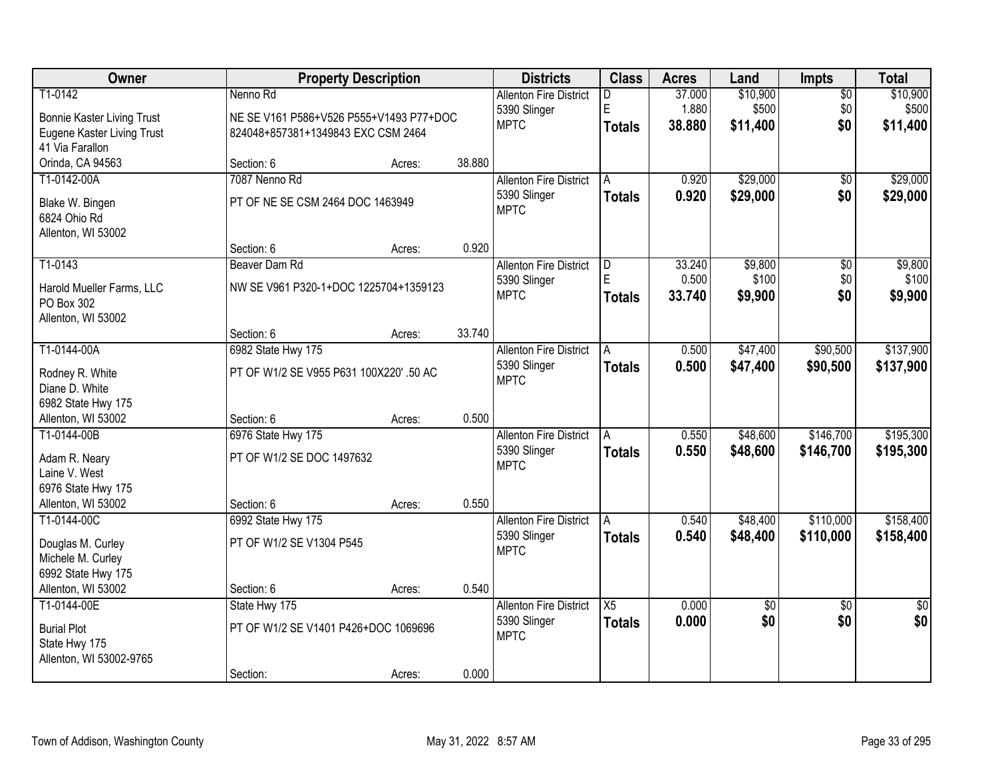| Owner                                   |                                         | <b>Property Description</b> |        | <b>Districts</b>              | <b>Class</b>            | <b>Acres</b> | Land        | Impts           | <b>Total</b>    |
|-----------------------------------------|-----------------------------------------|-----------------------------|--------|-------------------------------|-------------------------|--------------|-------------|-----------------|-----------------|
| T1-0142                                 | Nenno Rd                                |                             |        | <b>Allenton Fire District</b> | D.                      | 37.000       | \$10,900    | $\overline{50}$ | \$10,900        |
| <b>Bonnie Kaster Living Trust</b>       | NE SE V161 P586+V526 P555+V1493 P77+DOC |                             |        | 5390 Slinger                  | E                       | 1.880        | \$500       | \$0             | \$500           |
| Eugene Kaster Living Trust              | 824048+857381+1349843 EXC CSM 2464      |                             |        | <b>MPTC</b>                   | <b>Totals</b>           | 38.880       | \$11,400    | \$0             | \$11,400        |
| 41 Via Farallon                         |                                         |                             |        |                               |                         |              |             |                 |                 |
| Orinda, CA 94563                        | Section: 6                              | Acres:                      | 38.880 |                               |                         |              |             |                 |                 |
| T1-0142-00A                             | 7087 Nenno Rd                           |                             |        | <b>Allenton Fire District</b> | A                       | 0.920        | \$29,000    | \$0             | \$29,000        |
| Blake W. Bingen                         | PT OF NE SE CSM 2464 DOC 1463949        |                             |        | 5390 Slinger                  | <b>Totals</b>           | 0.920        | \$29,000    | \$0             | \$29,000        |
| 6824 Ohio Rd                            |                                         |                             |        | <b>MPTC</b>                   |                         |              |             |                 |                 |
| Allenton, WI 53002                      |                                         |                             |        |                               |                         |              |             |                 |                 |
|                                         | Section: 6                              | Acres:                      | 0.920  |                               |                         |              |             |                 |                 |
| T1-0143                                 | Beaver Dam Rd                           |                             |        | <b>Allenton Fire District</b> | $\overline{\mathsf{D}}$ | 33.240       | \$9,800     | $\overline{50}$ | \$9,800         |
|                                         | NW SE V961 P320-1+DOC 1225704+1359123   |                             |        | 5390 Slinger                  | E                       | 0.500        | \$100       | \$0             | \$100           |
| Harold Mueller Farms, LLC<br>PO Box 302 |                                         |                             |        | <b>MPTC</b>                   | <b>Totals</b>           | 33.740       | \$9,900     | \$0             | \$9,900         |
| Allenton, WI 53002                      |                                         |                             |        |                               |                         |              |             |                 |                 |
|                                         | Section: 6                              | Acres:                      | 33.740 |                               |                         |              |             |                 |                 |
| T1-0144-00A                             | 6982 State Hwy 175                      |                             |        | <b>Allenton Fire District</b> | A                       | 0.500        | \$47,400    | \$90,500        | \$137,900       |
|                                         | PT OF W1/2 SE V955 P631 100X220' .50 AC |                             |        | 5390 Slinger                  | <b>Totals</b>           | 0.500        | \$47,400    | \$90,500        | \$137,900       |
| Rodney R. White<br>Diane D. White       |                                         |                             |        | <b>MPTC</b>                   |                         |              |             |                 |                 |
| 6982 State Hwy 175                      |                                         |                             |        |                               |                         |              |             |                 |                 |
| Allenton, WI 53002                      | Section: 6                              | Acres:                      | 0.500  |                               |                         |              |             |                 |                 |
| T1-0144-00B                             | 6976 State Hwy 175                      |                             |        | <b>Allenton Fire District</b> | A                       | 0.550        | \$48,600    | \$146,700       | \$195,300       |
|                                         |                                         |                             |        | 5390 Slinger                  | <b>Totals</b>           | 0.550        | \$48,600    | \$146,700       | \$195,300       |
| Adam R. Neary                           | PT OF W1/2 SE DOC 1497632               |                             |        | <b>MPTC</b>                   |                         |              |             |                 |                 |
| Laine V. West<br>6976 State Hwy 175     |                                         |                             |        |                               |                         |              |             |                 |                 |
| Allenton, WI 53002                      | Section: 6                              | Acres:                      | 0.550  |                               |                         |              |             |                 |                 |
| T1-0144-00C                             | 6992 State Hwy 175                      |                             |        | <b>Allenton Fire District</b> | A                       | 0.540        | \$48,400    | \$110,000       | \$158,400       |
|                                         |                                         |                             |        | 5390 Slinger                  | <b>Totals</b>           | 0.540        | \$48,400    | \$110,000       | \$158,400       |
| Douglas M. Curley                       | PT OF W1/2 SE V1304 P545                |                             |        | <b>MPTC</b>                   |                         |              |             |                 |                 |
| Michele M. Curley                       |                                         |                             |        |                               |                         |              |             |                 |                 |
| 6992 State Hwy 175                      |                                         |                             | 0.540  |                               |                         |              |             |                 |                 |
| Allenton, WI 53002<br>T1-0144-00E       | Section: 6<br>State Hwy 175             | Acres:                      |        | <b>Allenton Fire District</b> | $\overline{X5}$         | 0.000        | $\sqrt{50}$ | $\overline{30}$ | $\overline{50}$ |
|                                         |                                         |                             |        | 5390 Slinger                  | <b>Totals</b>           | 0.000        | \$0         | \$0             | \$0             |
| <b>Burial Plot</b>                      | PT OF W1/2 SE V1401 P426+DOC 1069696    |                             |        | <b>MPTC</b>                   |                         |              |             |                 |                 |
| State Hwy 175                           |                                         |                             |        |                               |                         |              |             |                 |                 |
| Allenton, WI 53002-9765                 |                                         |                             |        |                               |                         |              |             |                 |                 |
|                                         | Section:                                | Acres:                      | 0.000  |                               |                         |              |             |                 |                 |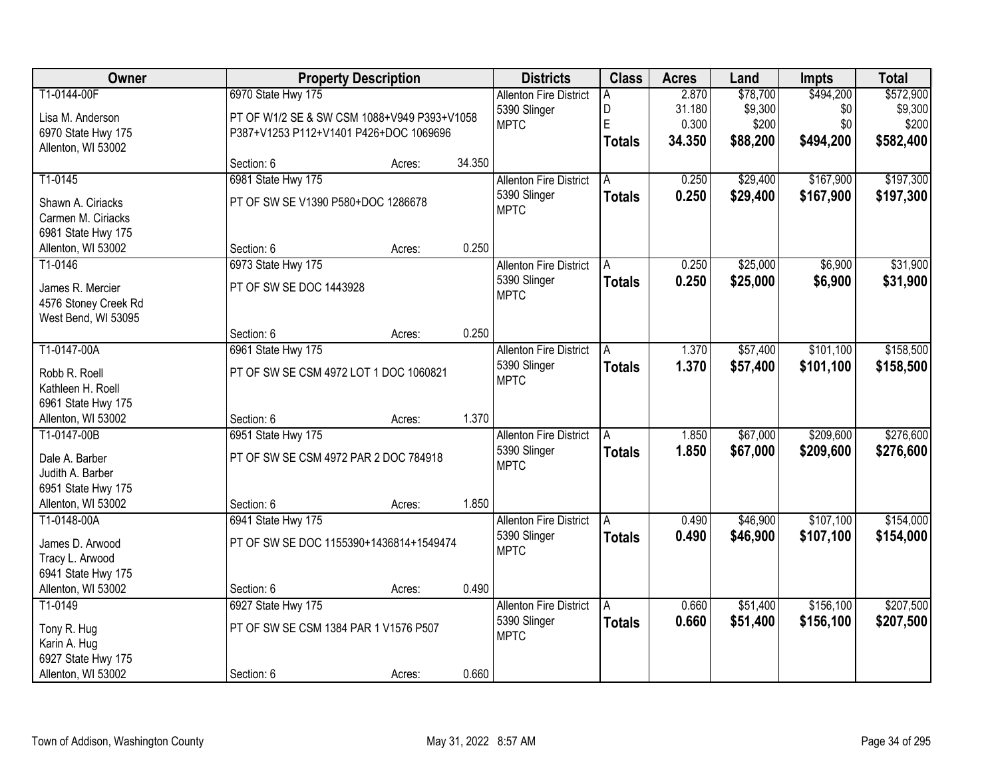| Owner                |                                             | <b>Property Description</b> |        | <b>Districts</b>              | <b>Class</b>  | <b>Acres</b> | Land     | <b>Impts</b> | <b>Total</b> |
|----------------------|---------------------------------------------|-----------------------------|--------|-------------------------------|---------------|--------------|----------|--------------|--------------|
| T1-0144-00F          | 6970 State Hwy 175                          |                             |        | <b>Allenton Fire District</b> | Α             | 2.870        | \$78,700 | \$494,200    | \$572,900    |
| Lisa M. Anderson     | PT OF W1/2 SE & SW CSM 1088+V949 P393+V1058 |                             |        | 5390 Slinger                  | D             | 31.180       | \$9,300  | \$0          | \$9,300      |
| 6970 State Hwy 175   | P387+V1253 P112+V1401 P426+DOC 1069696      |                             |        | <b>MPTC</b>                   | E             | 0.300        | \$200    | \$0          | \$200        |
| Allenton, WI 53002   |                                             |                             |        |                               | <b>Totals</b> | 34.350       | \$88,200 | \$494,200    | \$582,400    |
|                      | Section: 6                                  | Acres:                      | 34.350 |                               |               |              |          |              |              |
| T1-0145              | 6981 State Hwy 175                          |                             |        | <b>Allenton Fire District</b> | A             | 0.250        | \$29,400 | \$167,900    | \$197,300    |
| Shawn A. Ciriacks    | PT OF SW SE V1390 P580+DOC 1286678          |                             |        | 5390 Slinger                  | <b>Totals</b> | 0.250        | \$29,400 | \$167,900    | \$197,300    |
| Carmen M. Ciriacks   |                                             |                             |        | <b>MPTC</b>                   |               |              |          |              |              |
| 6981 State Hwy 175   |                                             |                             |        |                               |               |              |          |              |              |
| Allenton, WI 53002   | Section: 6                                  | Acres:                      | 0.250  |                               |               |              |          |              |              |
| T1-0146              | 6973 State Hwy 175                          |                             |        | <b>Allenton Fire District</b> | A             | 0.250        | \$25,000 | \$6,900      | \$31,900     |
|                      |                                             |                             |        | 5390 Slinger                  | <b>Totals</b> | 0.250        | \$25,000 | \$6,900      | \$31,900     |
| James R. Mercier     | PT OF SW SE DOC 1443928                     |                             |        | <b>MPTC</b>                   |               |              |          |              |              |
| 4576 Stoney Creek Rd |                                             |                             |        |                               |               |              |          |              |              |
| West Bend, WI 53095  |                                             |                             |        |                               |               |              |          |              |              |
|                      | Section: 6                                  | Acres:                      | 0.250  |                               |               |              |          |              |              |
| T1-0147-00A          | 6961 State Hwy 175                          |                             |        | <b>Allenton Fire District</b> | A             | 1.370        | \$57,400 | \$101,100    | \$158,500    |
| Robb R. Roell        | PT OF SW SE CSM 4972 LOT 1 DOC 1060821      |                             |        | 5390 Slinger                  | <b>Totals</b> | 1.370        | \$57,400 | \$101,100    | \$158,500    |
| Kathleen H. Roell    |                                             |                             |        | <b>MPTC</b>                   |               |              |          |              |              |
| 6961 State Hwy 175   |                                             |                             |        |                               |               |              |          |              |              |
| Allenton, WI 53002   | Section: 6                                  | Acres:                      | 1.370  |                               |               |              |          |              |              |
| T1-0147-00B          | 6951 State Hwy 175                          |                             |        | <b>Allenton Fire District</b> | A             | 1.850        | \$67,000 | \$209,600    | \$276,600    |
| Dale A. Barber       | PT OF SW SE CSM 4972 PAR 2 DOC 784918       |                             |        | 5390 Slinger                  | <b>Totals</b> | 1.850        | \$67,000 | \$209,600    | \$276,600    |
| Judith A. Barber     |                                             |                             |        | <b>MPTC</b>                   |               |              |          |              |              |
| 6951 State Hwy 175   |                                             |                             |        |                               |               |              |          |              |              |
| Allenton, WI 53002   | Section: 6                                  | Acres:                      | 1.850  |                               |               |              |          |              |              |
| T1-0148-00A          | 6941 State Hwy 175                          |                             |        | <b>Allenton Fire District</b> | A             | 0.490        | \$46,900 | \$107,100    | \$154,000    |
|                      |                                             |                             |        | 5390 Slinger                  | <b>Totals</b> | 0.490        | \$46,900 | \$107,100    | \$154,000    |
| James D. Arwood      | PT OF SW SE DOC 1155390+1436814+1549474     |                             |        | <b>MPTC</b>                   |               |              |          |              |              |
| Tracy L. Arwood      |                                             |                             |        |                               |               |              |          |              |              |
| 6941 State Hwy 175   |                                             |                             |        |                               |               |              |          |              |              |
| Allenton, WI 53002   | Section: 6                                  | Acres:                      | 0.490  |                               |               |              |          |              |              |
| T1-0149              | 6927 State Hwy 175                          |                             |        | <b>Allenton Fire District</b> | A             | 0.660        | \$51,400 | \$156,100    | \$207,500    |
| Tony R. Hug          | PT OF SW SE CSM 1384 PAR 1 V1576 P507       |                             |        | 5390 Slinger                  | <b>Totals</b> | 0.660        | \$51,400 | \$156,100    | \$207,500    |
| Karin A. Hug         |                                             |                             |        | <b>MPTC</b>                   |               |              |          |              |              |
| 6927 State Hwy 175   |                                             |                             |        |                               |               |              |          |              |              |
| Allenton, WI 53002   | Section: 6                                  | Acres:                      | 0.660  |                               |               |              |          |              |              |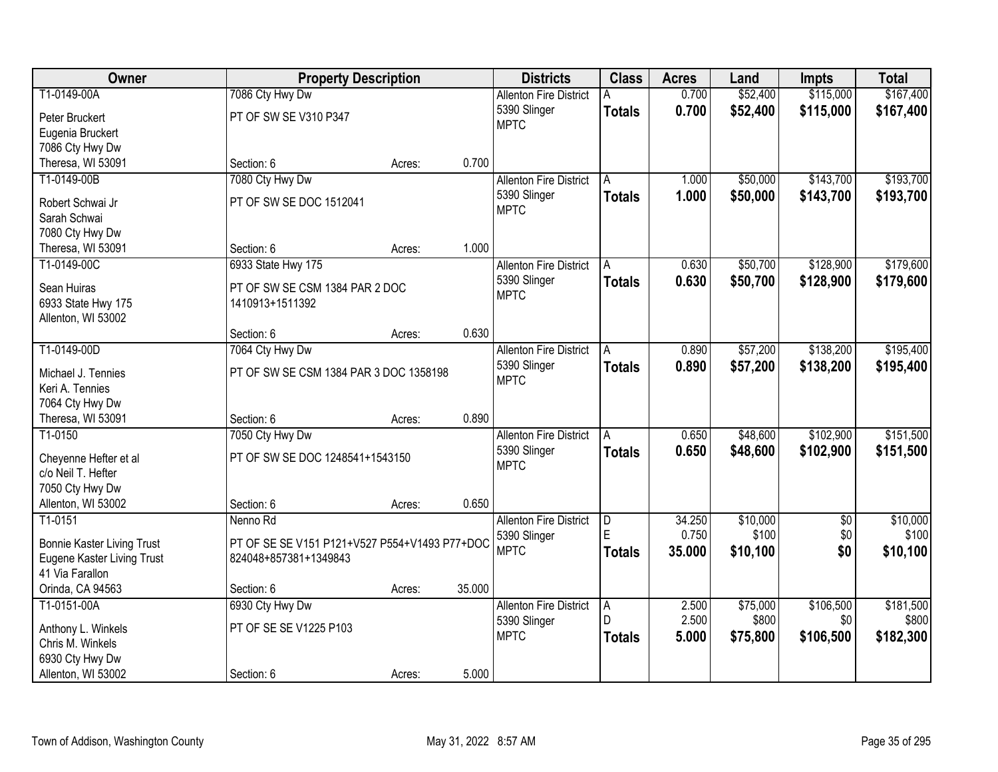| Owner                             |                                               | <b>Property Description</b> |        | <b>Districts</b>              | <b>Class</b>  | <b>Acres</b> | Land     | <b>Impts</b>    | <b>Total</b> |
|-----------------------------------|-----------------------------------------------|-----------------------------|--------|-------------------------------|---------------|--------------|----------|-----------------|--------------|
| T1-0149-00A                       | 7086 Cty Hwy Dw                               |                             |        | <b>Allenton Fire District</b> |               | 0.700        | \$52,400 | \$115,000       | \$167,400    |
| Peter Bruckert                    | PT OF SW SE V310 P347                         |                             |        | 5390 Slinger                  | <b>Totals</b> | 0.700        | \$52,400 | \$115,000       | \$167,400    |
| Eugenia Bruckert                  |                                               |                             |        | <b>MPTC</b>                   |               |              |          |                 |              |
| 7086 Cty Hwy Dw                   |                                               |                             |        |                               |               |              |          |                 |              |
| Theresa, WI 53091                 | Section: 6                                    | Acres:                      | 0.700  |                               |               |              |          |                 |              |
| T1-0149-00B                       | 7080 Cty Hwy Dw                               |                             |        | <b>Allenton Fire District</b> | A             | 1.000        | \$50,000 | \$143,700       | \$193,700    |
|                                   |                                               |                             |        | 5390 Slinger                  | <b>Totals</b> | 1.000        | \$50,000 | \$143,700       | \$193,700    |
| Robert Schwai Jr                  | PT OF SW SE DOC 1512041                       |                             |        | <b>MPTC</b>                   |               |              |          |                 |              |
| Sarah Schwai                      |                                               |                             |        |                               |               |              |          |                 |              |
| 7080 Cty Hwy Dw                   |                                               |                             |        |                               |               |              |          |                 |              |
| Theresa, WI 53091                 | Section: 6                                    | Acres:                      | 1.000  |                               |               |              |          |                 |              |
| T1-0149-00C                       | 6933 State Hwy 175                            |                             |        | <b>Allenton Fire District</b> | A             | 0.630        | \$50,700 | \$128,900       | \$179,600    |
| Sean Huiras                       | PT OF SW SE CSM 1384 PAR 2 DOC                |                             |        | 5390 Slinger                  | <b>Totals</b> | 0.630        | \$50,700 | \$128,900       | \$179,600    |
| 6933 State Hwy 175                | 1410913+1511392                               |                             |        | <b>MPTC</b>                   |               |              |          |                 |              |
| Allenton, WI 53002                |                                               |                             |        |                               |               |              |          |                 |              |
|                                   | Section: 6                                    | Acres:                      | 0.630  |                               |               |              |          |                 |              |
| T1-0149-00D                       | 7064 Cty Hwy Dw                               |                             |        | <b>Allenton Fire District</b> | A             | 0.890        | \$57,200 | \$138,200       | \$195,400    |
|                                   |                                               |                             |        | 5390 Slinger                  | <b>Totals</b> | 0.890        | \$57,200 | \$138,200       | \$195,400    |
| Michael J. Tennies                | PT OF SW SE CSM 1384 PAR 3 DOC 1358198        |                             |        | <b>MPTC</b>                   |               |              |          |                 |              |
| Keri A. Tennies                   |                                               |                             |        |                               |               |              |          |                 |              |
| 7064 Cty Hwy Dw                   |                                               |                             | 0.890  |                               |               |              |          |                 |              |
| Theresa, WI 53091                 | Section: 6                                    | Acres:                      |        |                               |               |              |          |                 |              |
| T1-0150                           | 7050 Cty Hwy Dw                               |                             |        | <b>Allenton Fire District</b> |               | 0.650        | \$48,600 | \$102,900       | \$151,500    |
| Cheyenne Hefter et al             | PT OF SW SE DOC 1248541+1543150               |                             |        | 5390 Slinger                  | <b>Totals</b> | 0.650        | \$48,600 | \$102,900       | \$151,500    |
| c/o Neil T. Hefter                |                                               |                             |        | <b>MPTC</b>                   |               |              |          |                 |              |
| 7050 Cty Hwy Dw                   |                                               |                             |        |                               |               |              |          |                 |              |
| Allenton, WI 53002                | Section: 6                                    | Acres:                      | 0.650  |                               |               |              |          |                 |              |
| $T1-0151$                         | Nenno Rd                                      |                             |        | <b>Allenton Fire District</b> | D             | 34.250       | \$10,000 | $\overline{50}$ | \$10,000     |
| <b>Bonnie Kaster Living Trust</b> | PT OF SE SE V151 P121+V527 P554+V1493 P77+DOC |                             |        | 5390 Slinger                  | F.            | 0.750        | \$100    | \$0             | \$100        |
| Eugene Kaster Living Trust        | 824048+857381+1349843                         |                             |        | <b>MPTC</b>                   | <b>Totals</b> | 35,000       | \$10,100 | \$0             | \$10,100     |
| 41 Via Farallon                   |                                               |                             |        |                               |               |              |          |                 |              |
| Orinda, CA 94563                  | Section: 6                                    | Acres:                      | 35.000 |                               |               |              |          |                 |              |
| T1-0151-00A                       | 6930 Cty Hwy Dw                               |                             |        | <b>Allenton Fire District</b> | A             | 2.500        | \$75,000 | \$106,500       | \$181,500    |
|                                   |                                               |                             |        | 5390 Slinger                  | D.            | 2.500        | \$800    | \$0             | \$800        |
| Anthony L. Winkels                | PT OF SE SE V1225 P103                        |                             |        | <b>MPTC</b>                   | <b>Totals</b> | 5.000        | \$75,800 | \$106,500       | \$182,300    |
| Chris M. Winkels                  |                                               |                             |        |                               |               |              |          |                 |              |
| 6930 Cty Hwy Dw                   |                                               |                             |        |                               |               |              |          |                 |              |
| Allenton, WI 53002                | Section: 6                                    | Acres:                      | 5.000  |                               |               |              |          |                 |              |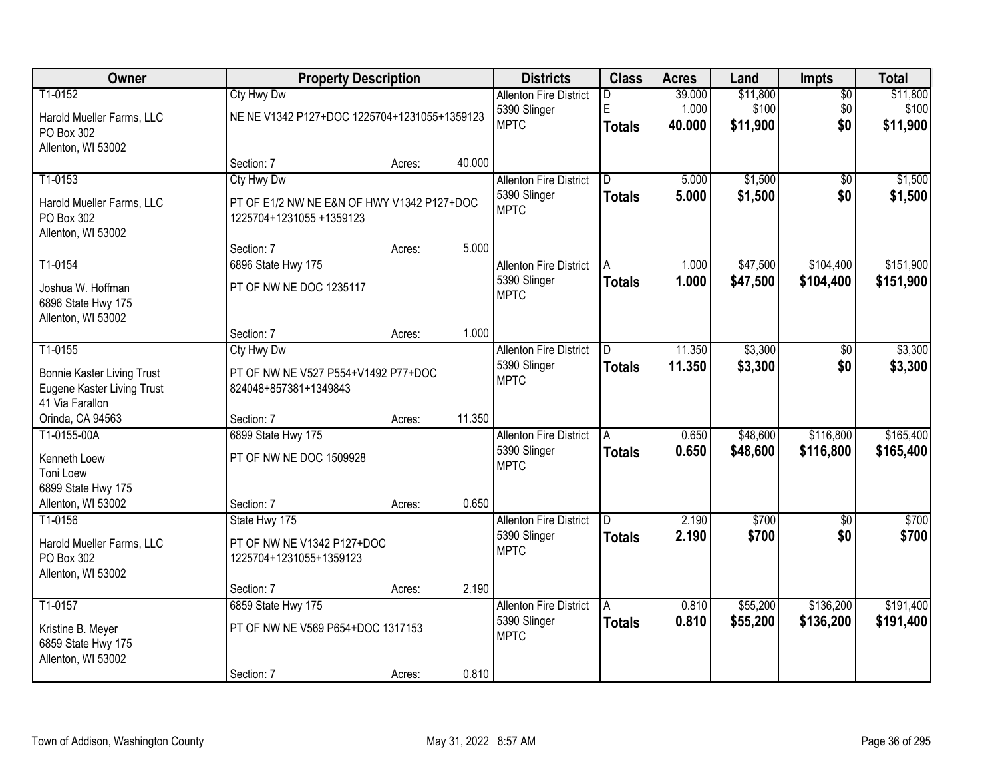| Owner                                                                                         |                                                                                      | <b>Property Description</b> |        | <b>Districts</b>                                             | <b>Class</b>                    | <b>Acres</b>              | Land                          | <b>Impts</b>                  | <b>Total</b>                  |
|-----------------------------------------------------------------------------------------------|--------------------------------------------------------------------------------------|-----------------------------|--------|--------------------------------------------------------------|---------------------------------|---------------------------|-------------------------------|-------------------------------|-------------------------------|
| T1-0152<br>Harold Mueller Farms, LLC<br>PO Box 302<br>Allenton, WI 53002                      | Cty Hwy Dw<br>NE NE V1342 P127+DOC 1225704+1231055+1359123                           |                             |        | <b>Allenton Fire District</b><br>5390 Slinger<br><b>MPTC</b> | D<br>E<br><b>Totals</b>         | 39.000<br>1.000<br>40.000 | \$11,800<br>\$100<br>\$11,900 | $\overline{50}$<br>\$0<br>\$0 | \$11,800<br>\$100<br>\$11,900 |
|                                                                                               | Section: 7                                                                           | Acres:                      | 40.000 |                                                              |                                 |                           |                               |                               |                               |
| T1-0153<br>Harold Mueller Farms, LLC<br>PO Box 302<br>Allenton, WI 53002                      | Cty Hwy Dw<br>PT OF E1/2 NW NE E&N OF HWY V1342 P127+DOC<br>1225704+1231055 +1359123 |                             |        | <b>Allenton Fire District</b><br>5390 Slinger<br><b>MPTC</b> | $\overline{D}$<br><b>Totals</b> | 5.000<br>5.000            | \$1,500<br>\$1,500            | $\overline{50}$<br>\$0        | \$1,500<br>\$1,500            |
| T1-0154                                                                                       | Section: 7                                                                           | Acres:                      | 5.000  |                                                              |                                 |                           |                               | \$104,400                     | \$151,900                     |
| Joshua W. Hoffman<br>6896 State Hwy 175<br>Allenton, WI 53002                                 | 6896 State Hwy 175<br>PT OF NW NE DOC 1235117                                        |                             |        | <b>Allenton Fire District</b><br>5390 Slinger<br><b>MPTC</b> | A<br><b>Totals</b>              | 1.000<br>1.000            | \$47,500<br>\$47,500          | \$104,400                     | \$151,900                     |
|                                                                                               | Section: 7                                                                           | Acres:                      | 1.000  |                                                              |                                 |                           |                               |                               |                               |
| T1-0155<br><b>Bonnie Kaster Living Trust</b><br>Eugene Kaster Living Trust<br>41 Via Farallon | Cty Hwy Dw<br>PT OF NW NE V527 P554+V1492 P77+DOC<br>824048+857381+1349843           |                             |        | <b>Allenton Fire District</b><br>5390 Slinger<br><b>MPTC</b> | D.<br><b>Totals</b>             | 11.350<br>11.350          | \$3,300<br>\$3,300            | \$0<br>\$0                    | \$3,300<br>\$3,300            |
| Orinda, CA 94563                                                                              | Section: 7                                                                           | Acres:                      | 11.350 |                                                              |                                 |                           |                               |                               |                               |
| T1-0155-00A<br>Kenneth Loew<br>Toni Loew<br>6899 State Hwy 175<br>Allenton, WI 53002          | 6899 State Hwy 175<br>PT OF NW NE DOC 1509928<br>Section: 7                          | Acres:                      | 0.650  | <b>Allenton Fire District</b><br>5390 Slinger<br><b>MPTC</b> | A<br><b>Totals</b>              | 0.650<br>0.650            | \$48,600<br>\$48,600          | \$116,800<br>\$116,800        | \$165,400<br>\$165,400        |
| T1-0156<br>Harold Mueller Farms, LLC<br>PO Box 302<br>Allenton, WI 53002                      | State Hwy 175<br>PT OF NW NE V1342 P127+DOC<br>1225704+1231055+1359123               |                             |        | <b>Allenton Fire District</b><br>5390 Slinger<br><b>MPTC</b> | D.<br><b>Totals</b>             | 2.190<br>2.190            | \$700<br>\$700                | $\overline{50}$<br>\$0        | \$700<br>\$700                |
|                                                                                               | Section: 7                                                                           | Acres:                      | 2.190  |                                                              |                                 |                           |                               |                               |                               |
| T1-0157<br>Kristine B. Meyer<br>6859 State Hwy 175<br>Allenton, WI 53002                      | 6859 State Hwy 175<br>PT OF NW NE V569 P654+DOC 1317153                              |                             |        | <b>Allenton Fire District</b><br>5390 Slinger<br><b>MPTC</b> | A<br><b>Totals</b>              | 0.810<br>0.810            | \$55,200<br>\$55,200          | \$136,200<br>\$136,200        | \$191,400<br>\$191,400        |
|                                                                                               | Section: 7                                                                           | Acres:                      | 0.810  |                                                              |                                 |                           |                               |                               |                               |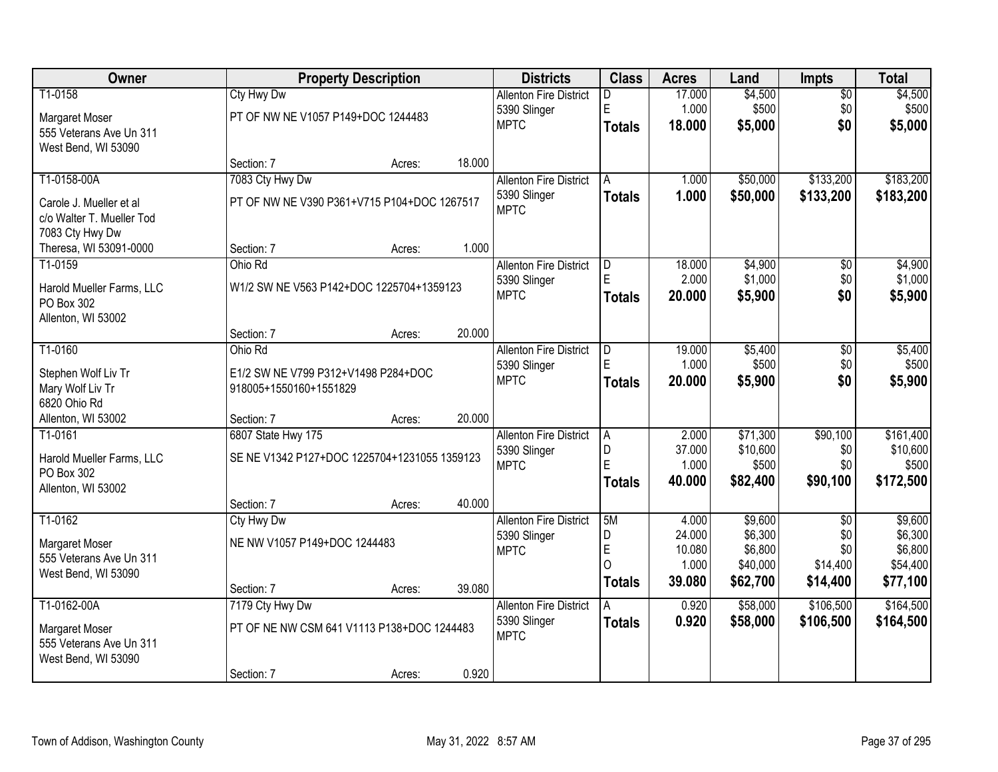| Owner                     |                                              | <b>Property Description</b> |        | <b>Districts</b>                              | <b>Class</b>  | <b>Acres</b>    | Land                 | Impts                  | <b>Total</b>       |
|---------------------------|----------------------------------------------|-----------------------------|--------|-----------------------------------------------|---------------|-----------------|----------------------|------------------------|--------------------|
| T1-0158                   | <b>Cty Hwy Dw</b>                            |                             |        | <b>Allenton Fire District</b>                 | D.            | 17.000          | \$4,500              | $\overline{50}$        | \$4,500            |
| Margaret Moser            | PT OF NW NE V1057 P149+DOC 1244483           |                             |        | 5390 Slinger                                  | E             | 1.000           | \$500                | \$0                    | \$500              |
| 555 Veterans Ave Un 311   |                                              |                             |        | <b>MPTC</b>                                   | <b>Totals</b> | 18.000          | \$5,000              | \$0                    | \$5,000            |
| West Bend, WI 53090       |                                              |                             |        |                                               |               |                 |                      |                        |                    |
|                           | Section: 7                                   | Acres:                      | 18.000 |                                               |               |                 |                      |                        |                    |
| T1-0158-00A               | 7083 Cty Hwy Dw                              |                             |        | <b>Allenton Fire District</b>                 | A             | 1.000           | \$50,000             | \$133,200              | \$183,200          |
| Carole J. Mueller et al   | PT OF NW NE V390 P361+V715 P104+DOC 1267517  |                             |        | 5390 Slinger                                  | <b>Totals</b> | 1.000           | \$50,000             | \$133,200              | \$183,200          |
| c/o Walter T. Mueller Tod |                                              |                             |        | <b>MPTC</b>                                   |               |                 |                      |                        |                    |
| 7083 Cty Hwy Dw           |                                              |                             |        |                                               |               |                 |                      |                        |                    |
| Theresa, WI 53091-0000    | Section: 7                                   | Acres:                      | 1.000  |                                               |               |                 |                      |                        |                    |
| T1-0159                   | Ohio Rd                                      |                             |        | <b>Allenton Fire District</b>                 | D             | 18.000          | \$4,900              | \$0                    | \$4,900            |
| Harold Mueller Farms, LLC | W1/2 SW NE V563 P142+DOC 1225704+1359123     |                             |        | 5390 Slinger                                  | E             | 2.000           | \$1,000              | \$0                    | \$1,000            |
| PO Box 302                |                                              |                             |        | <b>MPTC</b>                                   | <b>Totals</b> | 20.000          | \$5,900              | \$0                    | \$5,900            |
| Allenton, WI 53002        |                                              |                             |        |                                               |               |                 |                      |                        |                    |
|                           | Section: 7                                   | Acres:                      | 20.000 |                                               |               |                 |                      |                        |                    |
| T1-0160                   | Ohio Rd                                      |                             |        | <b>Allenton Fire District</b>                 | D             | 19.000          | \$5,400              | \$0                    | \$5,400            |
| Stephen Wolf Liv Tr       | E1/2 SW NE V799 P312+V1498 P284+DOC          |                             |        | 5390 Slinger                                  | F             | 1.000           | \$500                | \$0                    | \$500              |
| Mary Wolf Liv Tr          | 918005+1550160+1551829                       |                             |        | <b>MPTC</b>                                   | <b>Totals</b> | 20,000          | \$5,900              | \$0                    | \$5,900            |
| 6820 Ohio Rd              |                                              |                             |        |                                               |               |                 |                      |                        |                    |
| Allenton, WI 53002        | Section: 7                                   | Acres:                      | 20.000 |                                               |               |                 |                      |                        |                    |
| T1-0161                   | 6807 State Hwy 175                           |                             |        | <b>Allenton Fire District</b>                 | A             | 2.000           | \$71,300             | \$90,100               | \$161,400          |
| Harold Mueller Farms, LLC | SE NE V1342 P127+DOC 1225704+1231055 1359123 |                             |        | 5390 Slinger<br><b>MPTC</b>                   | D<br>Ē        | 37.000<br>1.000 | \$10,600<br>\$500    | \$0<br>\$0             | \$10,600<br>\$500  |
| PO Box 302                |                                              |                             |        |                                               | <b>Totals</b> | 40.000          | \$82,400             | \$90,100               | \$172,500          |
| Allenton, WI 53002        |                                              |                             |        |                                               |               |                 |                      |                        |                    |
|                           | Section: 7                                   | Acres:                      | 40.000 |                                               |               |                 |                      |                        |                    |
| T1-0162                   | Cty Hwy Dw                                   |                             |        | <b>Allenton Fire District</b>                 | 5M<br>D       | 4.000<br>24.000 | \$9,600<br>\$6,300   | $\overline{50}$<br>\$0 | \$9,600<br>\$6,300 |
| Margaret Moser            | NE NW V1057 P149+DOC 1244483                 |                             |        | 5390 Slinger<br><b>MPTC</b>                   | E             | 10.080          | \$6,800              | \$0                    | \$6,800            |
| 555 Veterans Ave Un 311   |                                              |                             |        |                                               | O             | 1.000           | \$40,000             | \$14,400               | \$54,400           |
| West Bend, WI 53090       |                                              |                             |        |                                               | <b>Totals</b> | 39.080          | \$62,700             | \$14,400               | \$77,100           |
|                           | Section: 7                                   | Acres:                      | 39.080 |                                               |               |                 |                      |                        |                    |
| T1-0162-00A               | 7179 Cty Hwy Dw                              |                             |        | <b>Allenton Fire District</b><br>5390 Slinger | A             | 0.920<br>0.920  | \$58,000<br>\$58,000 | \$106,500<br>\$106,500 | \$164,500          |
| Margaret Moser            | PT OF NE NW CSM 641 V1113 P138+DOC 1244483   |                             |        | <b>MPTC</b>                                   | <b>Totals</b> |                 |                      |                        | \$164,500          |
| 555 Veterans Ave Un 311   |                                              |                             |        |                                               |               |                 |                      |                        |                    |
| West Bend, WI 53090       |                                              |                             |        |                                               |               |                 |                      |                        |                    |
|                           | Section: 7                                   | Acres:                      | 0.920  |                                               |               |                 |                      |                        |                    |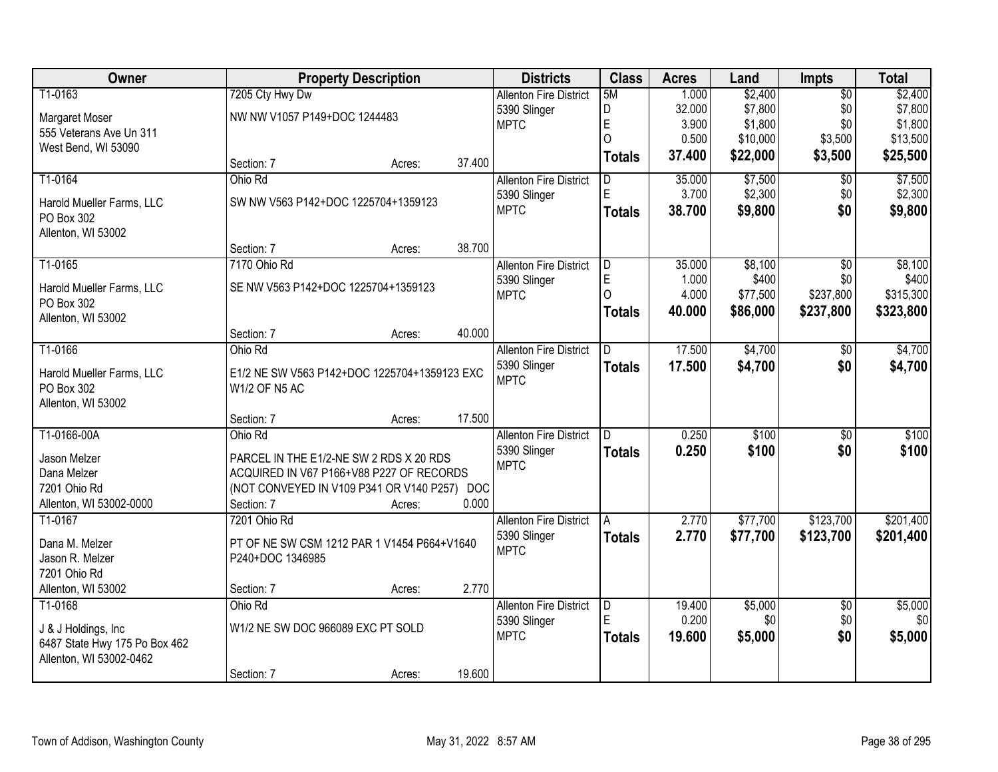| Owner                                   | <b>Property Description</b>                  |        |        | <b>Districts</b>              | <b>Class</b>  | <b>Acres</b> | Land     | <b>Impts</b>    | <b>Total</b> |
|-----------------------------------------|----------------------------------------------|--------|--------|-------------------------------|---------------|--------------|----------|-----------------|--------------|
| T1-0163                                 | 7205 Cty Hwy Dw                              |        |        | <b>Allenton Fire District</b> | 5M            | 1.000        | \$2,400  | $\overline{50}$ | \$2,400      |
| Margaret Moser                          | NW NW V1057 P149+DOC 1244483                 |        |        | 5390 Slinger                  | D             | 32.000       | \$7,800  | \$0             | \$7,800      |
| 555 Veterans Ave Un 311                 |                                              |        |        | <b>MPTC</b>                   | $\mathsf E$   | 3.900        | \$1,800  | \$0             | \$1,800      |
| West Bend, WI 53090                     |                                              |        |        |                               | $\Omega$      | 0.500        | \$10,000 | \$3,500         | \$13,500     |
|                                         | Section: 7                                   | Acres: | 37.400 |                               | Totals        | 37.400       | \$22,000 | \$3,500         | \$25,500     |
| T1-0164                                 | Ohio Rd                                      |        |        | <b>Allenton Fire District</b> | D.            | 35.000       | \$7,500  | $\overline{50}$ | \$7,500      |
|                                         | SW NW V563 P142+DOC 1225704+1359123          |        |        | 5390 Slinger                  | E             | 3.700        | \$2,300  | \$0             | \$2,300      |
| Harold Mueller Farms, LLC<br>PO Box 302 |                                              |        |        | <b>MPTC</b>                   | <b>Totals</b> | 38.700       | \$9,800  | \$0             | \$9,800      |
| Allenton, WI 53002                      |                                              |        |        |                               |               |              |          |                 |              |
|                                         | Section: 7                                   | Acres: | 38.700 |                               |               |              |          |                 |              |
| T1-0165                                 | 7170 Ohio Rd                                 |        |        | <b>Allenton Fire District</b> | ID.           | 35.000       | \$8,100  | \$0             | \$8,100      |
|                                         |                                              |        |        | 5390 Slinger                  | E             | 1.000        | \$400    | \$0             | \$400        |
| Harold Mueller Farms, LLC               | SE NW V563 P142+DOC 1225704+1359123          |        |        | <b>MPTC</b>                   | $\Omega$      | 4.000        | \$77,500 | \$237,800       | \$315,300    |
| PO Box 302                              |                                              |        |        |                               | Totals        | 40.000       | \$86,000 | \$237,800       | \$323,800    |
| Allenton, WI 53002                      | Section: 7                                   | Acres: | 40.000 |                               |               |              |          |                 |              |
| T1-0166                                 | Ohio Rd                                      |        |        | <b>Allenton Fire District</b> | D.            | 17.500       | \$4,700  | \$0             | \$4,700      |
|                                         |                                              |        |        | 5390 Slinger                  |               | 17.500       |          | \$0             |              |
| Harold Mueller Farms, LLC               | E1/2 NE SW V563 P142+DOC 1225704+1359123 EXC |        |        | <b>MPTC</b>                   | <b>Totals</b> |              | \$4,700  |                 | \$4,700      |
| PO Box 302                              | W1/2 OF N5 AC                                |        |        |                               |               |              |          |                 |              |
| Allenton, WI 53002                      |                                              |        |        |                               |               |              |          |                 |              |
|                                         | Section: 7                                   | Acres: | 17.500 |                               |               |              |          |                 |              |
| T1-0166-00A                             | Ohio Rd                                      |        |        | <b>Allenton Fire District</b> | D.            | 0.250        | \$100    | $\overline{50}$ | \$100        |
| Jason Melzer                            | PARCEL IN THE E1/2-NE SW 2 RDS X 20 RDS      |        |        | 5390 Slinger                  | Totals        | 0.250        | \$100    | \$0             | \$100        |
| Dana Melzer                             | ACQUIRED IN V67 P166+V88 P227 OF RECORDS     |        |        | <b>MPTC</b>                   |               |              |          |                 |              |
| 7201 Ohio Rd                            | (NOT CONVEYED IN V109 P341 OR V140 P257) DOC |        |        |                               |               |              |          |                 |              |
| Allenton, WI 53002-0000                 | Section: 7                                   | Acres: | 0.000  |                               |               |              |          |                 |              |
| T1-0167                                 | 7201 Ohio Rd                                 |        |        | <b>Allenton Fire District</b> | A             | 2.770        | \$77,700 | \$123,700       | \$201,400    |
| Dana M. Melzer                          | PT OF NE SW CSM 1212 PAR 1 V1454 P664+V1640  |        |        | 5390 Slinger                  | <b>Totals</b> | 2.770        | \$77,700 | \$123,700       | \$201,400    |
| Jason R. Melzer                         | P240+DOC 1346985                             |        |        | <b>MPTC</b>                   |               |              |          |                 |              |
| 7201 Ohio Rd                            |                                              |        |        |                               |               |              |          |                 |              |
| Allenton, WI 53002                      | Section: 7                                   | Acres: | 2.770  |                               |               |              |          |                 |              |
| T1-0168                                 | Ohio Rd                                      |        |        | <b>Allenton Fire District</b> | D             | 19.400       | \$5,000  | $\overline{50}$ | \$5,000      |
|                                         |                                              |        |        | 5390 Slinger                  | E             | 0.200        | \$0      | \$0             | \$0          |
| J & J Holdings, Inc.                    | W1/2 NE SW DOC 966089 EXC PT SOLD            |        |        | <b>MPTC</b>                   | <b>Totals</b> | 19.600       | \$5,000  | \$0             | \$5,000      |
| 6487 State Hwy 175 Po Box 462           |                                              |        |        |                               |               |              |          |                 |              |
| Allenton, WI 53002-0462                 |                                              |        |        |                               |               |              |          |                 |              |
|                                         | Section: 7                                   | Acres: | 19.600 |                               |               |              |          |                 |              |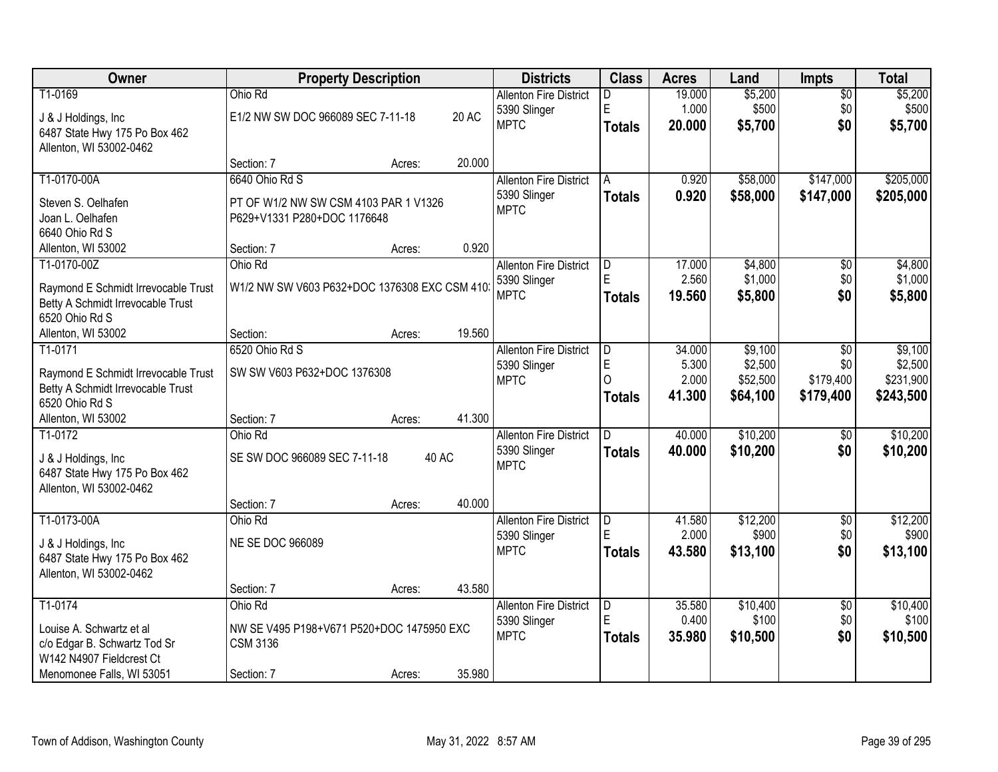| Owner                                                    |                                              | <b>Property Description</b> |              | <b>Districts</b>                              | <b>Class</b>   | <b>Acres</b>    | Land             | <b>Impts</b>           | <b>Total</b>     |
|----------------------------------------------------------|----------------------------------------------|-----------------------------|--------------|-----------------------------------------------|----------------|-----------------|------------------|------------------------|------------------|
| T1-0169<br>J & J Holdings, Inc.                          | Ohio Rd<br>E1/2 NW SW DOC 966089 SEC 7-11-18 |                             | <b>20 AC</b> | <b>Allenton Fire District</b><br>5390 Slinger | D<br>E         | 19.000<br>1.000 | \$5,200<br>\$500 | $\overline{50}$<br>\$0 | \$5,200<br>\$500 |
| 6487 State Hwy 175 Po Box 462<br>Allenton, WI 53002-0462 |                                              |                             |              | <b>MPTC</b>                                   | <b>Totals</b>  | 20.000          | \$5,700          | \$0                    | \$5,700          |
|                                                          | Section: 7                                   | Acres:                      | 20.000       |                                               |                |                 |                  |                        |                  |
| T1-0170-00A                                              | 6640 Ohio Rd S                               |                             |              | <b>Allenton Fire District</b>                 | A              | 0.920           | \$58,000         | \$147,000              | \$205,000        |
| Steven S. Oelhafen                                       | PT OF W1/2 NW SW CSM 4103 PAR 1 V1326        |                             |              | 5390 Slinger                                  | <b>Totals</b>  | 0.920           | \$58,000         | \$147,000              | \$205,000        |
| Joan L. Oelhafen                                         | P629+V1331 P280+DOC 1176648                  |                             |              | <b>MPTC</b>                                   |                |                 |                  |                        |                  |
| 6640 Ohio Rd S                                           |                                              |                             |              |                                               |                |                 |                  |                        |                  |
| Allenton, WI 53002                                       | Section: 7                                   | Acres:                      | 0.920        |                                               |                |                 |                  |                        |                  |
| T1-0170-00Z                                              | Ohio Rd                                      |                             |              | <b>Allenton Fire District</b>                 | D              | 17.000          | \$4,800          | $\overline{50}$        | \$4,800          |
| Raymond E Schmidt Irrevocable Trust                      | W1/2 NW SW V603 P632+DOC 1376308 EXC CSM 410 |                             |              | 5390 Slinger                                  | E              | 2.560           | \$1,000          | \$0                    | \$1,000          |
| Betty A Schmidt Irrevocable Trust                        |                                              |                             |              | <b>MPTC</b>                                   | Totals         | 19.560          | \$5,800          | \$0                    | \$5,800          |
| 6520 Ohio Rd S                                           |                                              |                             |              |                                               |                |                 |                  |                        |                  |
| Allenton, WI 53002                                       | Section:                                     | Acres:                      | 19.560       |                                               |                |                 |                  |                        |                  |
| T1-0171                                                  | 6520 Ohio Rd S                               |                             |              | <b>Allenton Fire District</b>                 | D              | 34.000          | \$9,100          | \$0                    | \$9,100          |
| Raymond E Schmidt Irrevocable Trust                      | SW SW V603 P632+DOC 1376308                  |                             |              | 5390 Slinger                                  | E              | 5.300           | \$2,500          | \$0                    | \$2,500          |
| Betty A Schmidt Irrevocable Trust                        |                                              |                             |              | <b>MPTC</b>                                   | $\Omega$       | 2.000           | \$52,500         | \$179,400              | \$231,900        |
| 6520 Ohio Rd S                                           |                                              |                             |              |                                               | Totals         | 41.300          | \$64,100         | \$179,400              | \$243,500        |
| Allenton, WI 53002                                       | Section: 7                                   | Acres:                      | 41.300       |                                               |                |                 |                  |                        |                  |
| T1-0172                                                  | Ohio Rd                                      |                             |              | <b>Allenton Fire District</b>                 | $\overline{D}$ | 40.000          | \$10,200         | $\overline{50}$        | \$10,200         |
| J & J Holdings, Inc.                                     | SE SW DOC 966089 SEC 7-11-18                 |                             | 40 AC        | 5390 Slinger                                  | <b>Totals</b>  | 40.000          | \$10,200         | \$0                    | \$10,200         |
| 6487 State Hwy 175 Po Box 462                            |                                              |                             |              | <b>MPTC</b>                                   |                |                 |                  |                        |                  |
| Allenton, WI 53002-0462                                  |                                              |                             |              |                                               |                |                 |                  |                        |                  |
|                                                          | Section: 7                                   | Acres:                      | 40.000       |                                               |                |                 |                  |                        |                  |
| T1-0173-00A                                              | Ohio Rd                                      |                             |              | <b>Allenton Fire District</b>                 | D              | 41.580          | \$12,200         | $\sqrt{6}$             | \$12,200         |
| J & J Holdings, Inc.                                     | <b>NE SE DOC 966089</b>                      |                             |              | 5390 Slinger                                  | E              | 2.000           | \$900            | \$0                    | \$900            |
| 6487 State Hwy 175 Po Box 462                            |                                              |                             |              | <b>MPTC</b>                                   | <b>Totals</b>  | 43.580          | \$13,100         | \$0                    | \$13,100         |
| Allenton, WI 53002-0462                                  |                                              |                             |              |                                               |                |                 |                  |                        |                  |
|                                                          | Section: 7                                   | Acres:                      | 43.580       |                                               |                |                 |                  |                        |                  |
| T1-0174                                                  | Ohio Rd                                      |                             |              | <b>Allenton Fire District</b>                 | D              | 35.580          | \$10,400         | $\sqrt{$0}$            | \$10,400         |
| Louise A. Schwartz et al                                 | NW SE V495 P198+V671 P520+DOC 1475950 EXC    |                             |              | 5390 Slinger                                  | E              | 0.400           | \$100            | \$0                    | \$100            |
| c/o Edgar B. Schwartz Tod Sr                             | <b>CSM 3136</b>                              |                             |              | <b>MPTC</b>                                   | <b>Totals</b>  | 35.980          | \$10,500         | \$0                    | \$10,500         |
| W142 N4907 Fieldcrest Ct                                 |                                              |                             |              |                                               |                |                 |                  |                        |                  |
| Menomonee Falls, WI 53051                                | Section: 7                                   | Acres:                      | 35.980       |                                               |                |                 |                  |                        |                  |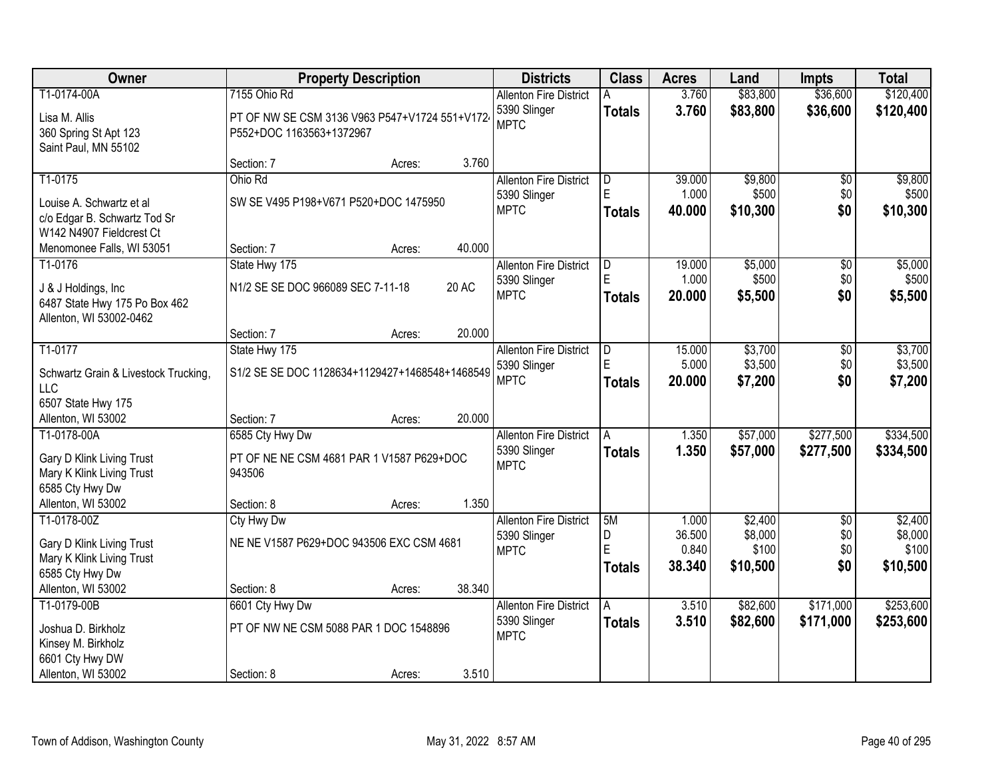| Owner                                |                                                | <b>Property Description</b> |        | <b>Districts</b>              | <b>Class</b>  | <b>Acres</b>    | Land             | Impts           | <b>Total</b>     |
|--------------------------------------|------------------------------------------------|-----------------------------|--------|-------------------------------|---------------|-----------------|------------------|-----------------|------------------|
| T1-0174-00A                          | 7155 Ohio Rd                                   |                             |        | <b>Allenton Fire District</b> | Α             | 3.760           | \$83,800         | \$36,600        | \$120,400        |
| Lisa M. Allis                        | PT OF NW SE CSM 3136 V963 P547+V1724 551+V172  |                             |        | 5390 Slinger                  | <b>Totals</b> | 3.760           | \$83,800         | \$36,600        | \$120,400        |
| 360 Spring St Apt 123                | P552+DOC 1163563+1372967                       |                             |        | <b>MPTC</b>                   |               |                 |                  |                 |                  |
| Saint Paul, MN 55102                 |                                                |                             |        |                               |               |                 |                  |                 |                  |
|                                      | Section: 7                                     | Acres:                      | 3.760  |                               |               |                 |                  |                 |                  |
| T1-0175                              | Ohio Rd                                        |                             |        | <b>Allenton Fire District</b> | D             | 39.000          | \$9,800          | $\overline{50}$ | \$9,800          |
| Louise A. Schwartz et al             | SW SE V495 P198+V671 P520+DOC 1475950          |                             |        | 5390 Slinger                  | E             | 1.000           | \$500            | \$0             | \$500            |
| c/o Edgar B. Schwartz Tod Sr         |                                                |                             |        | <b>MPTC</b>                   | <b>Totals</b> | 40.000          | \$10,300         | \$0             | \$10,300         |
| W142 N4907 Fieldcrest Ct             |                                                |                             |        |                               |               |                 |                  |                 |                  |
| Menomonee Falls, WI 53051            | Section: 7                                     | Acres:                      | 40.000 |                               |               |                 |                  |                 |                  |
| T1-0176                              | State Hwy 175                                  |                             |        | <b>Allenton Fire District</b> | ID.           | 19.000          | \$5,000          | \$0             | \$5,000          |
| J & J Holdings, Inc.                 | N1/2 SE SE DOC 966089 SEC 7-11-18              |                             | 20 AC  | 5390 Slinger                  | E             | 1.000           | \$500            | \$0             | \$500            |
| 6487 State Hwy 175 Po Box 462        |                                                |                             |        | <b>MPTC</b>                   | <b>Totals</b> | 20.000          | \$5,500          | \$0             | \$5,500          |
| Allenton, WI 53002-0462              |                                                |                             |        |                               |               |                 |                  |                 |                  |
|                                      | Section: 7                                     | Acres:                      | 20.000 |                               |               |                 |                  |                 |                  |
| T1-0177                              | State Hwy 175                                  |                             |        | <b>Allenton Fire District</b> | D             | 15.000          | \$3,700          | \$0             | \$3,700          |
| Schwartz Grain & Livestock Trucking, | S1/2 SE SE DOC 1128634+1129427+1468548+1468549 |                             |        | 5390 Slinger                  | E             | 5.000           | \$3,500          | \$0             | \$3,500          |
| LLC                                  |                                                |                             |        | <b>MPTC</b>                   | <b>Totals</b> | 20.000          | \$7,200          | \$0             | \$7,200          |
| 6507 State Hwy 175                   |                                                |                             |        |                               |               |                 |                  |                 |                  |
| Allenton, WI 53002                   | Section: 7                                     | Acres:                      | 20.000 |                               |               |                 |                  |                 |                  |
| T1-0178-00A                          | 6585 Cty Hwy Dw                                |                             |        | <b>Allenton Fire District</b> |               | 1.350           | \$57,000         | \$277,500       | \$334,500        |
| Gary D Klink Living Trust            | PT OF NE NE CSM 4681 PAR 1 V1587 P629+DOC      |                             |        | 5390 Slinger                  | Totals        | 1.350           | \$57,000         | \$277,500       | \$334,500        |
| Mary K Klink Living Trust            | 943506                                         |                             |        | <b>MPTC</b>                   |               |                 |                  |                 |                  |
| 6585 Cty Hwy Dw                      |                                                |                             |        |                               |               |                 |                  |                 |                  |
| Allenton, WI 53002                   | Section: 8                                     | Acres:                      | 1.350  |                               |               |                 |                  |                 |                  |
| T1-0178-00Z                          | Cty Hwy Dw                                     |                             |        | <b>Allenton Fire District</b> | 5M            | 1.000           | \$2,400          | $\overline{30}$ | \$2,400          |
| Gary D Klink Living Trust            | NE NE V1587 P629+DOC 943506 EXC CSM 4681       |                             |        | 5390 Slinger                  | D<br>E        | 36.500<br>0.840 | \$8,000<br>\$100 | \$0<br>\$0      | \$8,000<br>\$100 |
| Mary K Klink Living Trust            |                                                |                             |        | <b>MPTC</b>                   | Totals        | 38.340          | \$10,500         | \$0             | \$10,500         |
| 6585 Cty Hwy Dw                      |                                                |                             |        |                               |               |                 |                  |                 |                  |
| Allenton, WI 53002                   | Section: 8                                     | Acres:                      | 38.340 |                               |               |                 |                  |                 |                  |
| T1-0179-00B                          | 6601 Cty Hwy Dw                                |                             |        | <b>Allenton Fire District</b> | A             | 3.510           | \$82,600         | \$171,000       | \$253,600        |
| Joshua D. Birkholz                   | PT OF NW NE CSM 5088 PAR 1 DOC 1548896         |                             |        | 5390 Slinger<br><b>MPTC</b>   | <b>Totals</b> | 3.510           | \$82,600         | \$171,000       | \$253,600        |
| Kinsey M. Birkholz                   |                                                |                             |        |                               |               |                 |                  |                 |                  |
| 6601 Cty Hwy DW                      |                                                |                             |        |                               |               |                 |                  |                 |                  |
| Allenton, WI 53002                   | Section: 8                                     | Acres:                      | 3.510  |                               |               |                 |                  |                 |                  |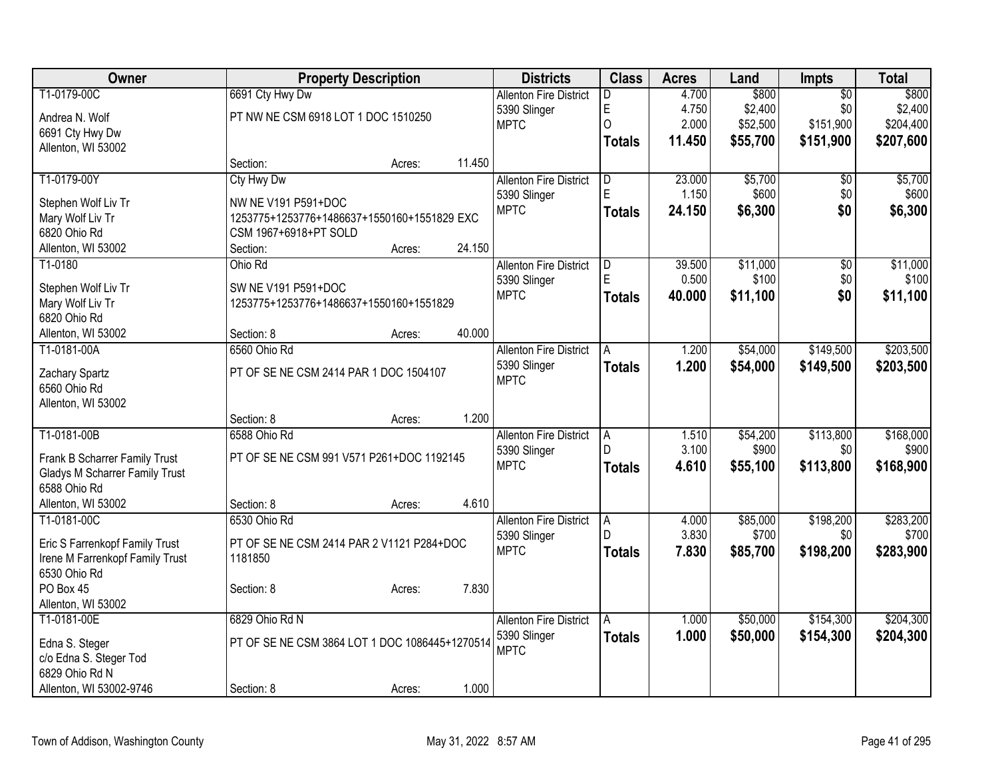| <b>Owner</b>                          | <b>Property Description</b>                    |        |        | <b>Districts</b>              | <b>Class</b>   | <b>Acres</b> | Land     | <b>Impts</b>    | <b>Total</b> |
|---------------------------------------|------------------------------------------------|--------|--------|-------------------------------|----------------|--------------|----------|-----------------|--------------|
| T1-0179-00C                           | 6691 Cty Hwy Dw                                |        |        | <b>Allenton Fire District</b> | D.             | 4.700        | \$800    | $\overline{50}$ | \$800        |
| Andrea N. Wolf                        | PT NW NE CSM 6918 LOT 1 DOC 1510250            |        |        | 5390 Slinger                  | E              | 4.750        | \$2,400  | \$0             | \$2,400      |
| 6691 Cty Hwy Dw                       |                                                |        |        | <b>MPTC</b>                   | O              | 2.000        | \$52,500 | \$151,900       | \$204,400    |
| Allenton, WI 53002                    |                                                |        |        |                               | <b>Totals</b>  | 11.450       | \$55,700 | \$151,900       | \$207,600    |
|                                       | Section:                                       | Acres: | 11.450 |                               |                |              |          |                 |              |
| T1-0179-00Y                           | Cty Hwy Dw                                     |        |        | <b>Allenton Fire District</b> | D              | 23.000       | \$5,700  | \$0             | \$5,700      |
| Stephen Wolf Liv Tr                   | NW NE V191 P591+DOC                            |        |        | 5390 Slinger                  | E              | 1.150        | \$600    | \$0             | \$600        |
| Mary Wolf Liv Tr                      | 1253775+1253776+1486637+1550160+1551829 EXC    |        |        | <b>MPTC</b>                   | <b>Totals</b>  | 24.150       | \$6,300  | \$0             | \$6,300      |
| 6820 Ohio Rd                          | CSM 1967+6918+PT SOLD                          |        |        |                               |                |              |          |                 |              |
| Allenton, WI 53002                    | Section:                                       | Acres: | 24.150 |                               |                |              |          |                 |              |
| T1-0180                               | Ohio Rd                                        |        |        | <b>Allenton Fire District</b> | D              | 39.500       | \$11,000 | \$0             | \$11,000     |
|                                       |                                                |        |        | 5390 Slinger                  | E              | 0.500        | \$100    | \$0             | \$100        |
| Stephen Wolf Liv Tr                   | SW NE V191 P591+DOC                            |        |        | <b>MPTC</b>                   | <b>Totals</b>  | 40.000       | \$11,100 | \$0             | \$11,100     |
| Mary Wolf Liv Tr                      | 1253775+1253776+1486637+1550160+1551829        |        |        |                               |                |              |          |                 |              |
| 6820 Ohio Rd                          |                                                |        |        |                               |                |              |          |                 |              |
| Allenton, WI 53002                    | Section: 8                                     | Acres: | 40.000 |                               |                |              |          |                 |              |
| T1-0181-00A                           | 6560 Ohio Rd                                   |        |        | <b>Allenton Fire District</b> | A              | 1.200        | \$54,000 | \$149,500       | \$203,500    |
| Zachary Spartz                        | PT OF SE NE CSM 2414 PAR 1 DOC 1504107         |        |        | 5390 Slinger                  | <b>Totals</b>  | 1.200        | \$54,000 | \$149,500       | \$203,500    |
| 6560 Ohio Rd                          |                                                |        |        | <b>MPTC</b>                   |                |              |          |                 |              |
| Allenton, WI 53002                    |                                                |        |        |                               |                |              |          |                 |              |
|                                       | Section: 8                                     | Acres: | 1.200  |                               |                |              |          |                 |              |
| T1-0181-00B                           | 6588 Ohio Rd                                   |        |        | <b>Allenton Fire District</b> | A              | 1.510        | \$54,200 | \$113,800       | \$168,000    |
| Frank B Scharrer Family Trust         | PT OF SE NE CSM 991 V571 P261+DOC 1192145      |        |        | 5390 Slinger                  | D.             | 3.100        | \$900    | \$0             | \$900        |
| <b>Gladys M Scharrer Family Trust</b> |                                                |        |        | <b>MPTC</b>                   | <b>Totals</b>  | 4.610        | \$55,100 | \$113,800       | \$168,900    |
| 6588 Ohio Rd                          |                                                |        |        |                               |                |              |          |                 |              |
| Allenton, WI 53002                    | Section: 8                                     | Acres: | 4.610  |                               |                |              |          |                 |              |
| T1-0181-00C                           | 6530 Ohio Rd                                   |        |        | <b>Allenton Fire District</b> | $\overline{A}$ | 4.000        | \$85,000 | \$198,200       | \$283,200    |
|                                       |                                                |        |        | 5390 Slinger                  | D.             | 3.830        | \$700    | \$0             | \$700        |
| Eric S Farrenkopf Family Trust        | PT OF SE NE CSM 2414 PAR 2 V1121 P284+DOC      |        |        | <b>MPTC</b>                   | <b>Totals</b>  | 7.830        | \$85,700 | \$198,200       | \$283,900    |
| Irene M Farrenkopf Family Trust       | 1181850                                        |        |        |                               |                |              |          |                 |              |
| 6530 Ohio Rd                          |                                                |        |        |                               |                |              |          |                 |              |
| PO Box 45                             | Section: 8                                     | Acres: | 7.830  |                               |                |              |          |                 |              |
| Allenton, WI 53002                    |                                                |        |        |                               |                |              |          |                 |              |
| T1-0181-00E                           | 6829 Ohio Rd N                                 |        |        | <b>Allenton Fire District</b> | A              | 1.000        | \$50,000 | \$154,300       | \$204,300    |
| Edna S. Steger                        | PT OF SE NE CSM 3864 LOT 1 DOC 1086445+1270514 |        |        | 5390 Slinger<br><b>MPTC</b>   | <b>Totals</b>  | 1.000        | \$50,000 | \$154,300       | \$204,300    |
| c/o Edna S. Steger Tod                |                                                |        |        |                               |                |              |          |                 |              |
| 6829 Ohio Rd N                        |                                                |        |        |                               |                |              |          |                 |              |
| Allenton, WI 53002-9746               | Section: 8                                     | Acres: | 1.000  |                               |                |              |          |                 |              |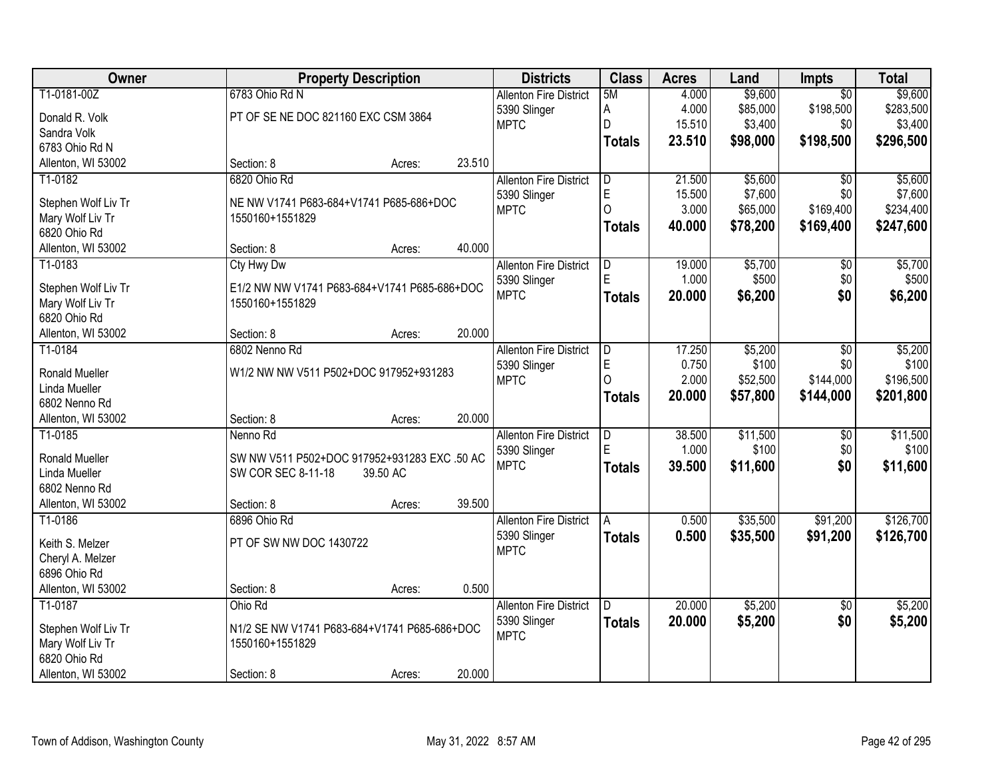| <b>Owner</b>          | <b>Property Description</b>                  |                  | <b>Districts</b>              | <b>Class</b>  | <b>Acres</b> | Land     | <b>Impts</b>    | <b>Total</b> |
|-----------------------|----------------------------------------------|------------------|-------------------------------|---------------|--------------|----------|-----------------|--------------|
| T1-0181-00Z           | 6783 Ohio Rd N                               |                  | <b>Allenton Fire District</b> | 5M            | 4.000        | \$9,600  | $\overline{50}$ | \$9,600      |
| Donald R. Volk        | PT OF SE NE DOC 821160 EXC CSM 3864          |                  | 5390 Slinger                  | A             | 4.000        | \$85,000 | \$198,500       | \$283,500    |
| Sandra Volk           |                                              |                  | <b>MPTC</b>                   | $\mathsf{D}$  | 15.510       | \$3,400  | \$0             | \$3,400      |
| 6783 Ohio Rd N        |                                              |                  |                               | <b>Totals</b> | 23.510       | \$98,000 | \$198,500       | \$296,500    |
| Allenton, WI 53002    | Section: 8                                   | 23.510<br>Acres: |                               |               |              |          |                 |              |
| T1-0182               | 6820 Ohio Rd                                 |                  | <b>Allenton Fire District</b> | D             | 21.500       | \$5,600  | $\overline{50}$ | \$5,600      |
|                       |                                              |                  | 5390 Slinger                  | $\mathsf E$   | 15.500       | \$7,600  | \$0             | \$7,600      |
| Stephen Wolf Liv Tr   | NE NW V1741 P683-684+V1741 P685-686+DOC      |                  | <b>MPTC</b>                   | $\Omega$      | 3.000        | \$65,000 | \$169,400       | \$234,400    |
| Mary Wolf Liv Tr      | 1550160+1551829                              |                  |                               | <b>Totals</b> | 40.000       | \$78,200 | \$169,400       | \$247,600    |
| 6820 Ohio Rd          |                                              | 40.000           |                               |               |              |          |                 |              |
| Allenton, WI 53002    | Section: 8                                   | Acres:           |                               |               |              |          |                 |              |
| T1-0183               | <b>Cty Hwy Dw</b>                            |                  | <b>Allenton Fire District</b> | D<br>E        | 19.000       | \$5,700  | \$0             | \$5,700      |
| Stephen Wolf Liv Tr   | E1/2 NW NW V1741 P683-684+V1741 P685-686+DOC |                  | 5390 Slinger                  |               | 1.000        | \$500    | \$0             | \$500        |
| Mary Wolf Liv Tr      | 1550160+1551829                              |                  | <b>MPTC</b>                   | <b>Totals</b> | 20,000       | \$6,200  | \$0             | \$6,200      |
| 6820 Ohio Rd          |                                              |                  |                               |               |              |          |                 |              |
| Allenton, WI 53002    | Section: 8                                   | 20.000<br>Acres: |                               |               |              |          |                 |              |
| T1-0184               | 6802 Nenno Rd                                |                  | <b>Allenton Fire District</b> | ID.           | 17.250       | \$5,200  | $\overline{50}$ | \$5,200      |
| <b>Ronald Mueller</b> | W1/2 NW NW V511 P502+DOC 917952+931283       |                  | 5390 Slinger                  | E             | 0.750        | \$100    | \$0             | \$100        |
| Linda Mueller         |                                              |                  | <b>MPTC</b>                   | $\Omega$      | 2.000        | \$52,500 | \$144,000       | \$196,500    |
| 6802 Nenno Rd         |                                              |                  |                               | Totals        | 20,000       | \$57,800 | \$144,000       | \$201,800    |
| Allenton, WI 53002    | Section: 8                                   | 20.000<br>Acres: |                               |               |              |          |                 |              |
| T1-0185               | Nenno Rd                                     |                  | <b>Allenton Fire District</b> | D             | 38.500       | \$11,500 | $\overline{30}$ | \$11,500     |
|                       |                                              |                  | 5390 Slinger                  | E             | 1.000        | \$100    | \$0             | \$100        |
| Ronald Mueller        | SW NW V511 P502+DOC 917952+931283 EXC .50 AC |                  | <b>MPTC</b>                   | <b>Totals</b> | 39.500       | \$11,600 | \$0             | \$11,600     |
| Linda Mueller         | SW COR SEC 8-11-18<br>39.50 AC               |                  |                               |               |              |          |                 |              |
| 6802 Nenno Rd         |                                              |                  |                               |               |              |          |                 |              |
| Allenton, WI 53002    | Section: 8                                   | 39.500<br>Acres: |                               |               |              |          |                 |              |
| T1-0186               | 6896 Ohio Rd                                 |                  | <b>Allenton Fire District</b> | A             | 0.500        | \$35,500 | \$91,200        | \$126,700    |
| Keith S. Melzer       | PT OF SW NW DOC 1430722                      |                  | 5390 Slinger                  | <b>Totals</b> | 0.500        | \$35,500 | \$91,200        | \$126,700    |
| Cheryl A. Melzer      |                                              |                  | <b>MPTC</b>                   |               |              |          |                 |              |
| 6896 Ohio Rd          |                                              |                  |                               |               |              |          |                 |              |
| Allenton, WI 53002    | Section: 8                                   | 0.500<br>Acres:  |                               |               |              |          |                 |              |
| T1-0187               | Ohio Rd                                      |                  | <b>Allenton Fire District</b> | D             | 20.000       | \$5,200  | $\overline{50}$ | \$5,200      |
|                       |                                              |                  | 5390 Slinger                  | <b>Totals</b> | 20.000       | \$5,200  | \$0             | \$5,200      |
| Stephen Wolf Liv Tr   | N1/2 SE NW V1741 P683-684+V1741 P685-686+DOC |                  | <b>MPTC</b>                   |               |              |          |                 |              |
| Mary Wolf Liv Tr      | 1550160+1551829                              |                  |                               |               |              |          |                 |              |
| 6820 Ohio Rd          |                                              |                  |                               |               |              |          |                 |              |
| Allenton, WI 53002    | Section: 8                                   | 20.000<br>Acres: |                               |               |              |          |                 |              |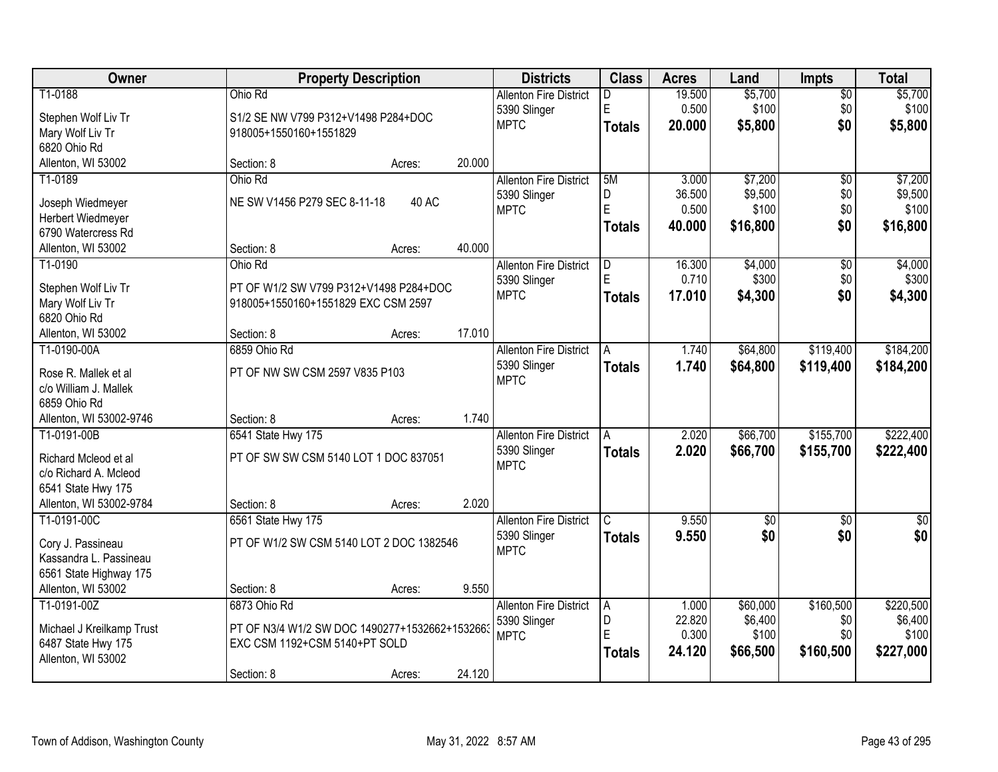| Owner                            | <b>Property Description</b>                    |        |        | <b>Districts</b>              | <b>Class</b>  | <b>Acres</b> | Land       | <b>Impts</b>    | <b>Total</b> |
|----------------------------------|------------------------------------------------|--------|--------|-------------------------------|---------------|--------------|------------|-----------------|--------------|
| T1-0188                          | Ohio Rd                                        |        |        | <b>Allenton Fire District</b> | D             | 19.500       | \$5,700    | $\overline{60}$ | \$5,700      |
| Stephen Wolf Liv Tr              | S1/2 SE NW V799 P312+V1498 P284+DOC            |        |        | 5390 Slinger                  | E             | 0.500        | \$100      | \$0             | \$100        |
| Mary Wolf Liv Tr                 | 918005+1550160+1551829                         |        |        | <b>MPTC</b>                   | <b>Totals</b> | 20.000       | \$5,800    | \$0             | \$5,800      |
| 6820 Ohio Rd                     |                                                |        |        |                               |               |              |            |                 |              |
| Allenton, WI 53002               | Section: 8                                     | Acres: | 20.000 |                               |               |              |            |                 |              |
| T1-0189                          | Ohio Rd                                        |        |        | <b>Allenton Fire District</b> | 5M            | 3.000        | \$7,200    | $\overline{50}$ | \$7,200      |
| Joseph Wiedmeyer                 | NE SW V1456 P279 SEC 8-11-18                   | 40 AC  |        | 5390 Slinger                  | D             | 36.500       | \$9,500    | \$0             | \$9,500      |
| Herbert Wiedmeyer                |                                                |        |        | <b>MPTC</b>                   | E             | 0.500        | \$100      | \$0             | \$100        |
| 6790 Watercress Rd               |                                                |        |        |                               | <b>Totals</b> | 40.000       | \$16,800   | \$0             | \$16,800     |
| Allenton, WI 53002               | Section: 8                                     | Acres: | 40.000 |                               |               |              |            |                 |              |
| T1-0190                          | Ohio Rd                                        |        |        | <b>Allenton Fire District</b> | D             | 16.300       | \$4,000    | \$0             | \$4,000      |
|                                  |                                                |        |        | 5390 Slinger                  |               | 0.710        | \$300      | \$0             | \$300        |
| Stephen Wolf Liv Tr              | PT OF W1/2 SW V799 P312+V1498 P284+DOC         |        |        | <b>MPTC</b>                   | <b>Totals</b> | 17.010       | \$4,300    | \$0             | \$4,300      |
| Mary Wolf Liv Tr<br>6820 Ohio Rd | 918005+1550160+1551829 EXC CSM 2597            |        |        |                               |               |              |            |                 |              |
| Allenton, WI 53002               | Section: 8                                     | Acres: | 17.010 |                               |               |              |            |                 |              |
| T1-0190-00A                      | 6859 Ohio Rd                                   |        |        | <b>Allenton Fire District</b> | A             | 1.740        | \$64,800   | \$119,400       | \$184,200    |
|                                  |                                                |        |        | 5390 Slinger                  | <b>Totals</b> | 1.740        | \$64,800   | \$119,400       | \$184,200    |
| Rose R. Mallek et al             | PT OF NW SW CSM 2597 V835 P103                 |        |        | <b>MPTC</b>                   |               |              |            |                 |              |
| c/o William J. Mallek            |                                                |        |        |                               |               |              |            |                 |              |
| 6859 Ohio Rd                     |                                                |        |        |                               |               |              |            |                 |              |
| Allenton, WI 53002-9746          | Section: 8                                     | Acres: | 1.740  |                               |               |              |            |                 |              |
| T1-0191-00B                      | 6541 State Hwy 175                             |        |        | <b>Allenton Fire District</b> | A             | 2.020        | \$66,700   | \$155,700       | \$222,400    |
| Richard Mcleod et al             | PT OF SW SW CSM 5140 LOT 1 DOC 837051          |        |        | 5390 Slinger<br><b>MPTC</b>   | <b>Totals</b> | 2.020        | \$66,700   | \$155,700       | \$222,400    |
| c/o Richard A. Mcleod            |                                                |        |        |                               |               |              |            |                 |              |
| 6541 State Hwy 175               |                                                |        |        |                               |               |              |            |                 |              |
| Allenton, WI 53002-9784          | Section: 8                                     | Acres: | 2.020  |                               |               |              |            |                 |              |
| T1-0191-00C                      | 6561 State Hwy 175                             |        |        | <b>Allenton Fire District</b> | C             | 9.550        | $\sqrt{6}$ | \$0             | $\sqrt{30}$  |
| Cory J. Passineau                | PT OF W1/2 SW CSM 5140 LOT 2 DOC 1382546       |        |        | 5390 Slinger                  | <b>Totals</b> | 9.550        | \$0        | \$0             | \$0          |
| Kassandra L. Passineau           |                                                |        |        | <b>MPTC</b>                   |               |              |            |                 |              |
| 6561 State Highway 175           |                                                |        |        |                               |               |              |            |                 |              |
| Allenton, WI 53002               | Section: 8                                     | Acres: | 9.550  |                               |               |              |            |                 |              |
| T1-0191-00Z                      | 6873 Ohio Rd                                   |        |        | <b>Allenton Fire District</b> | A             | 1.000        | \$60,000   | \$160,500       | \$220,500    |
| Michael J Kreilkamp Trust        | PT OF N3/4 W1/2 SW DOC 1490277+1532662+1532663 |        |        | 5390 Slinger                  | D             | 22.820       | \$6,400    | \$0             | \$6,400      |
| 6487 State Hwy 175               | EXC CSM 1192+CSM 5140+PT SOLD                  |        |        | <b>MPTC</b>                   | ΙE            | 0.300        | \$100      | \$0             | \$100        |
| Allenton, WI 53002               |                                                |        |        |                               | <b>Totals</b> | 24.120       | \$66,500   | \$160,500       | \$227,000    |
|                                  | Section: 8                                     | Acres: | 24.120 |                               |               |              |            |                 |              |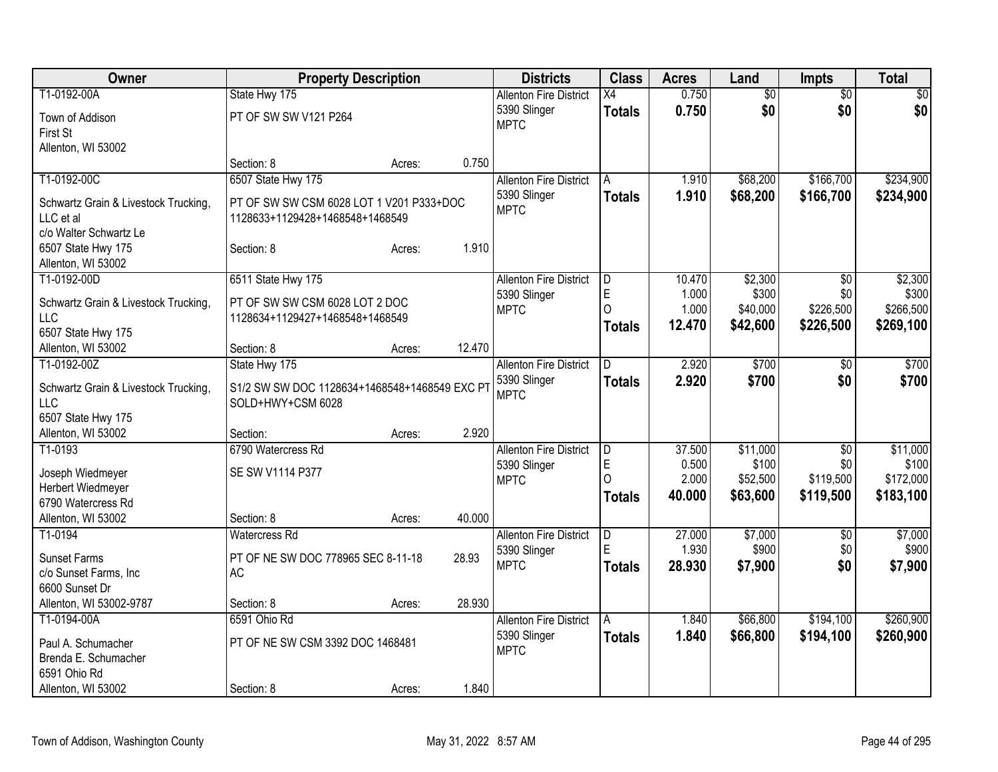| T1-0192-00A<br>State Hwy 175<br>$\overline{50}$<br>$\overline{60}$<br><b>Allenton Fire District</b><br>$\overline{X4}$<br>\$0<br>0.750<br>\$0<br>\$0<br>5390 Slinger<br><b>Totals</b><br>PT OF SW SW V121 P264<br>Town of Addison<br><b>MPTC</b><br>First St<br>Allenton, WI 53002<br>0.750<br>Section: 8<br>Acres:<br>6507 State Hwy 175<br>\$166,700<br>T1-0192-00C<br>\$68,200<br><b>Allenton Fire District</b><br>1.910<br>A<br>1.910<br>\$68,200<br>\$166,700<br>5390 Slinger<br><b>Totals</b><br>Schwartz Grain & Livestock Trucking,<br>PT OF SW SW CSM 6028 LOT 1 V201 P333+DOC<br><b>MPTC</b><br>LLC et al<br>1128633+1129428+1468548+1468549<br>c/o Walter Schwartz Le<br>1.910<br>6507 State Hwy 175<br>Section: 8<br>Acres:<br>Allenton, WI 53002<br>T1-0192-00D<br>\$2,300<br>6511 State Hwy 175<br><b>Allenton Fire District</b><br>10.470<br>\$0<br>D<br>E<br>\$300<br>1.000<br>\$0<br>5390 Slinger<br>PT OF SW SW CSM 6028 LOT 2 DOC<br>Schwartz Grain & Livestock Trucking,<br>$\Omega$<br>1.000<br>\$40,000<br>\$226,500<br><b>MPTC</b><br>LLC<br>1128634+1129427+1468548+1468549<br>12.470<br>\$42,600<br>\$269,100<br>\$226,500<br><b>Totals</b><br>6507 State Hwy 175<br>12.470<br>Allenton, WI 53002<br>Section: 8<br>Acres:<br>T1-0192-00Z<br>State Hwy 175<br>\$700<br>2.920<br><b>Allenton Fire District</b><br>D.<br>\$0<br>5390 Slinger<br>2.920<br>\$700<br>\$0<br><b>Totals</b><br>S1/2 SW SW DOC 1128634+1468548+1468549 EXC P<br>Schwartz Grain & Livestock Trucking,<br><b>MPTC</b><br><b>LLC</b><br>SOLD+HWY+CSM 6028<br>6507 State Hwy 175<br>2.920<br>Allenton, WI 53002<br>Section:<br>Acres:<br>6790 Watercress Rd<br>T1-0193<br>\$11,000<br><b>Allenton Fire District</b><br>37.500<br>\$0<br>D<br>E<br>\$100<br>0.500<br>\$0<br>5390 Slinger<br>SE SW V1114 P377<br>Joseph Wiedmeyer<br>\$119,500<br>$\Omega$<br>2.000<br>\$52,500<br><b>MPTC</b><br>Herbert Wiedmeyer<br>40.000<br>\$63,600<br>\$119,500<br>Totals<br>6790 Watercress Rd<br>Allenton, WI 53002<br>40.000<br>Section: 8<br>Acres:<br><b>Watercress Rd</b><br>27.000<br>\$7,000<br>T1-0194<br><b>Allenton Fire District</b><br>D<br>$\overline{50}$<br>E<br>1.930<br>\$900<br>\$0<br>5390 Slinger<br><b>Sunset Farms</b><br>PT OF NE SW DOC 778965 SEC 8-11-18<br>28.93<br><b>MPTC</b><br>\$0<br>28.930<br>\$7,900<br><b>Totals</b><br><b>AC</b><br>c/o Sunset Farms, Inc | Owner | <b>Property Description</b> |  | <b>Districts</b> | <b>Class</b> | <b>Acres</b> | Land | <b>Impts</b> | <b>Total</b> |
|---------------------------------------------------------------------------------------------------------------------------------------------------------------------------------------------------------------------------------------------------------------------------------------------------------------------------------------------------------------------------------------------------------------------------------------------------------------------------------------------------------------------------------------------------------------------------------------------------------------------------------------------------------------------------------------------------------------------------------------------------------------------------------------------------------------------------------------------------------------------------------------------------------------------------------------------------------------------------------------------------------------------------------------------------------------------------------------------------------------------------------------------------------------------------------------------------------------------------------------------------------------------------------------------------------------------------------------------------------------------------------------------------------------------------------------------------------------------------------------------------------------------------------------------------------------------------------------------------------------------------------------------------------------------------------------------------------------------------------------------------------------------------------------------------------------------------------------------------------------------------------------------------------------------------------------------------------------------------------------------------------------------------------------------------------------------------------------------------------------------------------------------------------------------------------------------------------------------------------------------------------------------------------------------------------------------------------------------------------------------------------|-------|-----------------------------|--|------------------|--------------|--------------|------|--------------|--------------|
|                                                                                                                                                                                                                                                                                                                                                                                                                                                                                                                                                                                                                                                                                                                                                                                                                                                                                                                                                                                                                                                                                                                                                                                                                                                                                                                                                                                                                                                                                                                                                                                                                                                                                                                                                                                                                                                                                                                                                                                                                                                                                                                                                                                                                                                                                                                                                                                 |       |                             |  |                  |              | 0.750        |      |              | $\sqrt{50}$  |
| \$7,900                                                                                                                                                                                                                                                                                                                                                                                                                                                                                                                                                                                                                                                                                                                                                                                                                                                                                                                                                                                                                                                                                                                                                                                                                                                                                                                                                                                                                                                                                                                                                                                                                                                                                                                                                                                                                                                                                                                                                                                                                                                                                                                                                                                                                                                                                                                                                                         |       |                             |  |                  |              |              |      |              |              |
|                                                                                                                                                                                                                                                                                                                                                                                                                                                                                                                                                                                                                                                                                                                                                                                                                                                                                                                                                                                                                                                                                                                                                                                                                                                                                                                                                                                                                                                                                                                                                                                                                                                                                                                                                                                                                                                                                                                                                                                                                                                                                                                                                                                                                                                                                                                                                                                 |       |                             |  |                  |              |              |      |              |              |
|                                                                                                                                                                                                                                                                                                                                                                                                                                                                                                                                                                                                                                                                                                                                                                                                                                                                                                                                                                                                                                                                                                                                                                                                                                                                                                                                                                                                                                                                                                                                                                                                                                                                                                                                                                                                                                                                                                                                                                                                                                                                                                                                                                                                                                                                                                                                                                                 |       |                             |  |                  |              |              |      |              |              |
|                                                                                                                                                                                                                                                                                                                                                                                                                                                                                                                                                                                                                                                                                                                                                                                                                                                                                                                                                                                                                                                                                                                                                                                                                                                                                                                                                                                                                                                                                                                                                                                                                                                                                                                                                                                                                                                                                                                                                                                                                                                                                                                                                                                                                                                                                                                                                                                 |       |                             |  |                  |              |              |      |              |              |
| \$234,900<br>\$2,300<br>\$300<br>\$266,500<br>\$700<br>\$700<br>\$11,000<br>\$183,100<br>\$7,000<br>\$900                                                                                                                                                                                                                                                                                                                                                                                                                                                                                                                                                                                                                                                                                                                                                                                                                                                                                                                                                                                                                                                                                                                                                                                                                                                                                                                                                                                                                                                                                                                                                                                                                                                                                                                                                                                                                                                                                                                                                                                                                                                                                                                                                                                                                                                                       |       |                             |  |                  |              |              |      |              | \$234,900    |
|                                                                                                                                                                                                                                                                                                                                                                                                                                                                                                                                                                                                                                                                                                                                                                                                                                                                                                                                                                                                                                                                                                                                                                                                                                                                                                                                                                                                                                                                                                                                                                                                                                                                                                                                                                                                                                                                                                                                                                                                                                                                                                                                                                                                                                                                                                                                                                                 |       |                             |  |                  |              |              |      |              |              |
|                                                                                                                                                                                                                                                                                                                                                                                                                                                                                                                                                                                                                                                                                                                                                                                                                                                                                                                                                                                                                                                                                                                                                                                                                                                                                                                                                                                                                                                                                                                                                                                                                                                                                                                                                                                                                                                                                                                                                                                                                                                                                                                                                                                                                                                                                                                                                                                 |       |                             |  |                  |              |              |      |              |              |
|                                                                                                                                                                                                                                                                                                                                                                                                                                                                                                                                                                                                                                                                                                                                                                                                                                                                                                                                                                                                                                                                                                                                                                                                                                                                                                                                                                                                                                                                                                                                                                                                                                                                                                                                                                                                                                                                                                                                                                                                                                                                                                                                                                                                                                                                                                                                                                                 |       |                             |  |                  |              |              |      |              |              |
|                                                                                                                                                                                                                                                                                                                                                                                                                                                                                                                                                                                                                                                                                                                                                                                                                                                                                                                                                                                                                                                                                                                                                                                                                                                                                                                                                                                                                                                                                                                                                                                                                                                                                                                                                                                                                                                                                                                                                                                                                                                                                                                                                                                                                                                                                                                                                                                 |       |                             |  |                  |              |              |      |              |              |
|                                                                                                                                                                                                                                                                                                                                                                                                                                                                                                                                                                                                                                                                                                                                                                                                                                                                                                                                                                                                                                                                                                                                                                                                                                                                                                                                                                                                                                                                                                                                                                                                                                                                                                                                                                                                                                                                                                                                                                                                                                                                                                                                                                                                                                                                                                                                                                                 |       |                             |  |                  |              |              |      |              |              |
|                                                                                                                                                                                                                                                                                                                                                                                                                                                                                                                                                                                                                                                                                                                                                                                                                                                                                                                                                                                                                                                                                                                                                                                                                                                                                                                                                                                                                                                                                                                                                                                                                                                                                                                                                                                                                                                                                                                                                                                                                                                                                                                                                                                                                                                                                                                                                                                 |       |                             |  |                  |              |              |      |              |              |
|                                                                                                                                                                                                                                                                                                                                                                                                                                                                                                                                                                                                                                                                                                                                                                                                                                                                                                                                                                                                                                                                                                                                                                                                                                                                                                                                                                                                                                                                                                                                                                                                                                                                                                                                                                                                                                                                                                                                                                                                                                                                                                                                                                                                                                                                                                                                                                                 |       |                             |  |                  |              |              |      |              |              |
|                                                                                                                                                                                                                                                                                                                                                                                                                                                                                                                                                                                                                                                                                                                                                                                                                                                                                                                                                                                                                                                                                                                                                                                                                                                                                                                                                                                                                                                                                                                                                                                                                                                                                                                                                                                                                                                                                                                                                                                                                                                                                                                                                                                                                                                                                                                                                                                 |       |                             |  |                  |              |              |      |              |              |
|                                                                                                                                                                                                                                                                                                                                                                                                                                                                                                                                                                                                                                                                                                                                                                                                                                                                                                                                                                                                                                                                                                                                                                                                                                                                                                                                                                                                                                                                                                                                                                                                                                                                                                                                                                                                                                                                                                                                                                                                                                                                                                                                                                                                                                                                                                                                                                                 |       |                             |  |                  |              |              |      |              |              |
|                                                                                                                                                                                                                                                                                                                                                                                                                                                                                                                                                                                                                                                                                                                                                                                                                                                                                                                                                                                                                                                                                                                                                                                                                                                                                                                                                                                                                                                                                                                                                                                                                                                                                                                                                                                                                                                                                                                                                                                                                                                                                                                                                                                                                                                                                                                                                                                 |       |                             |  |                  |              |              |      |              |              |
|                                                                                                                                                                                                                                                                                                                                                                                                                                                                                                                                                                                                                                                                                                                                                                                                                                                                                                                                                                                                                                                                                                                                                                                                                                                                                                                                                                                                                                                                                                                                                                                                                                                                                                                                                                                                                                                                                                                                                                                                                                                                                                                                                                                                                                                                                                                                                                                 |       |                             |  |                  |              |              |      |              |              |
|                                                                                                                                                                                                                                                                                                                                                                                                                                                                                                                                                                                                                                                                                                                                                                                                                                                                                                                                                                                                                                                                                                                                                                                                                                                                                                                                                                                                                                                                                                                                                                                                                                                                                                                                                                                                                                                                                                                                                                                                                                                                                                                                                                                                                                                                                                                                                                                 |       |                             |  |                  |              |              |      |              |              |
|                                                                                                                                                                                                                                                                                                                                                                                                                                                                                                                                                                                                                                                                                                                                                                                                                                                                                                                                                                                                                                                                                                                                                                                                                                                                                                                                                                                                                                                                                                                                                                                                                                                                                                                                                                                                                                                                                                                                                                                                                                                                                                                                                                                                                                                                                                                                                                                 |       |                             |  |                  |              |              |      |              |              |
|                                                                                                                                                                                                                                                                                                                                                                                                                                                                                                                                                                                                                                                                                                                                                                                                                                                                                                                                                                                                                                                                                                                                                                                                                                                                                                                                                                                                                                                                                                                                                                                                                                                                                                                                                                                                                                                                                                                                                                                                                                                                                                                                                                                                                                                                                                                                                                                 |       |                             |  |                  |              |              |      |              |              |
|                                                                                                                                                                                                                                                                                                                                                                                                                                                                                                                                                                                                                                                                                                                                                                                                                                                                                                                                                                                                                                                                                                                                                                                                                                                                                                                                                                                                                                                                                                                                                                                                                                                                                                                                                                                                                                                                                                                                                                                                                                                                                                                                                                                                                                                                                                                                                                                 |       |                             |  |                  |              |              |      |              |              |
| \$100<br>\$172,000                                                                                                                                                                                                                                                                                                                                                                                                                                                                                                                                                                                                                                                                                                                                                                                                                                                                                                                                                                                                                                                                                                                                                                                                                                                                                                                                                                                                                                                                                                                                                                                                                                                                                                                                                                                                                                                                                                                                                                                                                                                                                                                                                                                                                                                                                                                                                              |       |                             |  |                  |              |              |      |              |              |
|                                                                                                                                                                                                                                                                                                                                                                                                                                                                                                                                                                                                                                                                                                                                                                                                                                                                                                                                                                                                                                                                                                                                                                                                                                                                                                                                                                                                                                                                                                                                                                                                                                                                                                                                                                                                                                                                                                                                                                                                                                                                                                                                                                                                                                                                                                                                                                                 |       |                             |  |                  |              |              |      |              |              |
|                                                                                                                                                                                                                                                                                                                                                                                                                                                                                                                                                                                                                                                                                                                                                                                                                                                                                                                                                                                                                                                                                                                                                                                                                                                                                                                                                                                                                                                                                                                                                                                                                                                                                                                                                                                                                                                                                                                                                                                                                                                                                                                                                                                                                                                                                                                                                                                 |       |                             |  |                  |              |              |      |              |              |
|                                                                                                                                                                                                                                                                                                                                                                                                                                                                                                                                                                                                                                                                                                                                                                                                                                                                                                                                                                                                                                                                                                                                                                                                                                                                                                                                                                                                                                                                                                                                                                                                                                                                                                                                                                                                                                                                                                                                                                                                                                                                                                                                                                                                                                                                                                                                                                                 |       |                             |  |                  |              |              |      |              |              |
|                                                                                                                                                                                                                                                                                                                                                                                                                                                                                                                                                                                                                                                                                                                                                                                                                                                                                                                                                                                                                                                                                                                                                                                                                                                                                                                                                                                                                                                                                                                                                                                                                                                                                                                                                                                                                                                                                                                                                                                                                                                                                                                                                                                                                                                                                                                                                                                 |       |                             |  |                  |              |              |      |              |              |
|                                                                                                                                                                                                                                                                                                                                                                                                                                                                                                                                                                                                                                                                                                                                                                                                                                                                                                                                                                                                                                                                                                                                                                                                                                                                                                                                                                                                                                                                                                                                                                                                                                                                                                                                                                                                                                                                                                                                                                                                                                                                                                                                                                                                                                                                                                                                                                                 |       |                             |  |                  |              |              |      |              |              |
|                                                                                                                                                                                                                                                                                                                                                                                                                                                                                                                                                                                                                                                                                                                                                                                                                                                                                                                                                                                                                                                                                                                                                                                                                                                                                                                                                                                                                                                                                                                                                                                                                                                                                                                                                                                                                                                                                                                                                                                                                                                                                                                                                                                                                                                                                                                                                                                 |       |                             |  |                  |              |              |      |              |              |
|                                                                                                                                                                                                                                                                                                                                                                                                                                                                                                                                                                                                                                                                                                                                                                                                                                                                                                                                                                                                                                                                                                                                                                                                                                                                                                                                                                                                                                                                                                                                                                                                                                                                                                                                                                                                                                                                                                                                                                                                                                                                                                                                                                                                                                                                                                                                                                                 |       |                             |  |                  |              |              |      |              |              |
|                                                                                                                                                                                                                                                                                                                                                                                                                                                                                                                                                                                                                                                                                                                                                                                                                                                                                                                                                                                                                                                                                                                                                                                                                                                                                                                                                                                                                                                                                                                                                                                                                                                                                                                                                                                                                                                                                                                                                                                                                                                                                                                                                                                                                                                                                                                                                                                 |       |                             |  |                  |              |              |      |              |              |
| 6600 Sunset Dr                                                                                                                                                                                                                                                                                                                                                                                                                                                                                                                                                                                                                                                                                                                                                                                                                                                                                                                                                                                                                                                                                                                                                                                                                                                                                                                                                                                                                                                                                                                                                                                                                                                                                                                                                                                                                                                                                                                                                                                                                                                                                                                                                                                                                                                                                                                                                                  |       |                             |  |                  |              |              |      |              |              |
| Allenton, WI 53002-9787<br>28.930<br>Section: 8<br>Acres:                                                                                                                                                                                                                                                                                                                                                                                                                                                                                                                                                                                                                                                                                                                                                                                                                                                                                                                                                                                                                                                                                                                                                                                                                                                                                                                                                                                                                                                                                                                                                                                                                                                                                                                                                                                                                                                                                                                                                                                                                                                                                                                                                                                                                                                                                                                       |       |                             |  |                  |              |              |      |              |              |
| \$260,900<br>T1-0194-00A<br>6591 Ohio Rd<br>\$66,800<br>\$194,100<br><b>Allenton Fire District</b><br>1.840<br>A                                                                                                                                                                                                                                                                                                                                                                                                                                                                                                                                                                                                                                                                                                                                                                                                                                                                                                                                                                                                                                                                                                                                                                                                                                                                                                                                                                                                                                                                                                                                                                                                                                                                                                                                                                                                                                                                                                                                                                                                                                                                                                                                                                                                                                                                |       |                             |  |                  |              |              |      |              |              |
| 1.840<br>5390 Slinger<br><b>Totals</b><br>\$66,800<br>\$194,100<br>\$260,900<br>PT OF NE SW CSM 3392 DOC 1468481<br>Paul A. Schumacher                                                                                                                                                                                                                                                                                                                                                                                                                                                                                                                                                                                                                                                                                                                                                                                                                                                                                                                                                                                                                                                                                                                                                                                                                                                                                                                                                                                                                                                                                                                                                                                                                                                                                                                                                                                                                                                                                                                                                                                                                                                                                                                                                                                                                                          |       |                             |  |                  |              |              |      |              |              |
| <b>MPTC</b><br>Brenda E. Schumacher                                                                                                                                                                                                                                                                                                                                                                                                                                                                                                                                                                                                                                                                                                                                                                                                                                                                                                                                                                                                                                                                                                                                                                                                                                                                                                                                                                                                                                                                                                                                                                                                                                                                                                                                                                                                                                                                                                                                                                                                                                                                                                                                                                                                                                                                                                                                             |       |                             |  |                  |              |              |      |              |              |
| 6591 Ohio Rd                                                                                                                                                                                                                                                                                                                                                                                                                                                                                                                                                                                                                                                                                                                                                                                                                                                                                                                                                                                                                                                                                                                                                                                                                                                                                                                                                                                                                                                                                                                                                                                                                                                                                                                                                                                                                                                                                                                                                                                                                                                                                                                                                                                                                                                                                                                                                                    |       |                             |  |                  |              |              |      |              |              |
| 1.840<br>Allenton, WI 53002<br>Section: 8<br>Acres:                                                                                                                                                                                                                                                                                                                                                                                                                                                                                                                                                                                                                                                                                                                                                                                                                                                                                                                                                                                                                                                                                                                                                                                                                                                                                                                                                                                                                                                                                                                                                                                                                                                                                                                                                                                                                                                                                                                                                                                                                                                                                                                                                                                                                                                                                                                             |       |                             |  |                  |              |              |      |              |              |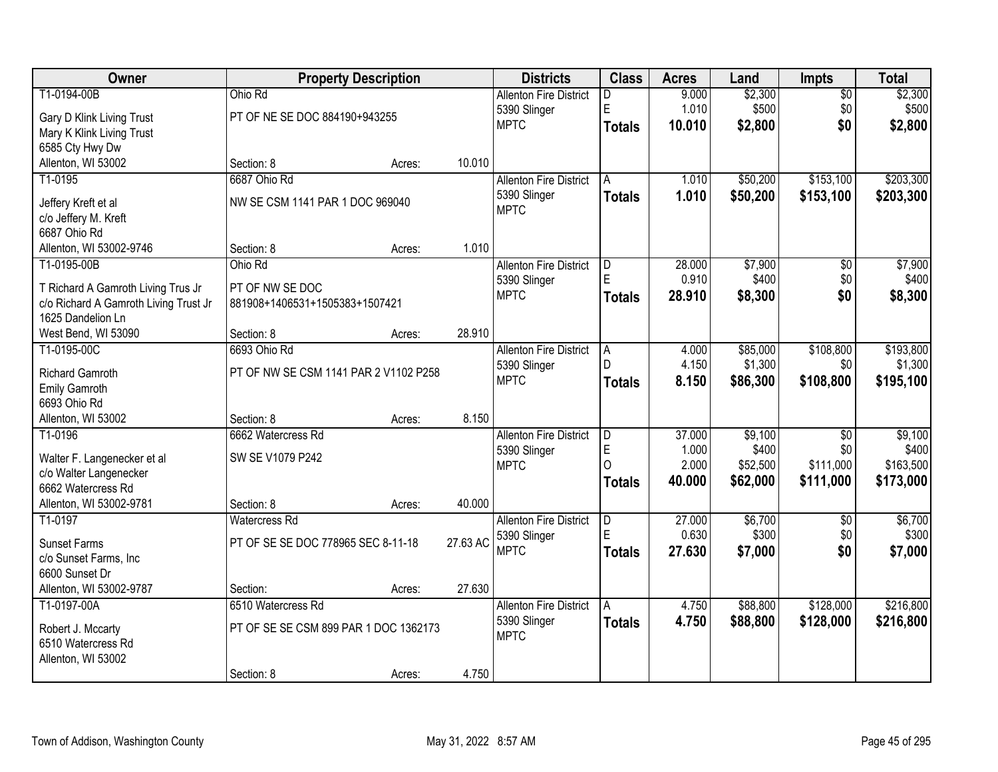| Owner                                       |                                       | <b>Property Description</b> |          | <b>Districts</b>              | <b>Class</b>   | <b>Acres</b>   | Land     | <b>Impts</b>    | <b>Total</b> |
|---------------------------------------------|---------------------------------------|-----------------------------|----------|-------------------------------|----------------|----------------|----------|-----------------|--------------|
| T1-0194-00B                                 | Ohio Rd                               |                             |          | <b>Allenton Fire District</b> | D              | 9.000          | \$2,300  | \$0             | \$2,300      |
| Gary D Klink Living Trust                   | PT OF NE SE DOC 884190+943255         |                             |          | 5390 Slinger                  | E              | 1.010          | \$500    | \$0             | \$500        |
| Mary K Klink Living Trust                   |                                       |                             |          | <b>MPTC</b>                   | <b>Totals</b>  | 10.010         | \$2,800  | \$0             | \$2,800      |
| 6585 Cty Hwy Dw                             |                                       |                             |          |                               |                |                |          |                 |              |
| Allenton, WI 53002                          | Section: 8                            | Acres:                      | 10.010   |                               |                |                |          |                 |              |
| T1-0195                                     | 6687 Ohio Rd                          |                             |          | <b>Allenton Fire District</b> | А              | 1.010          | \$50,200 | \$153,100       | \$203,300    |
|                                             | NW SE CSM 1141 PAR 1 DOC 969040       |                             |          | 5390 Slinger                  | <b>Totals</b>  | 1.010          | \$50,200 | \$153,100       | \$203,300    |
| Jeffery Kreft et al<br>c/o Jeffery M. Kreft |                                       |                             |          | <b>MPTC</b>                   |                |                |          |                 |              |
| 6687 Ohio Rd                                |                                       |                             |          |                               |                |                |          |                 |              |
| Allenton, WI 53002-9746                     | Section: 8                            | Acres:                      | 1.010    |                               |                |                |          |                 |              |
| T1-0195-00B                                 | Ohio Rd                               |                             |          | <b>Allenton Fire District</b> | D              | 28.000         | \$7,900  | \$0             | \$7,900      |
|                                             |                                       |                             |          | 5390 Slinger                  | E              | 0.910          | \$400    | \$0             | \$400        |
| T Richard A Gamroth Living Trus Jr          | PT OF NW SE DOC                       |                             |          | <b>MPTC</b>                   | <b>Totals</b>  | 28.910         | \$8,300  | \$0             | \$8,300      |
| c/o Richard A Gamroth Living Trust Jr       | 881908+1406531+1505383+1507421        |                             |          |                               |                |                |          |                 |              |
| 1625 Dandelion Ln                           |                                       |                             |          |                               |                |                |          |                 |              |
| West Bend, WI 53090                         | Section: 8                            | Acres:                      | 28.910   |                               |                |                |          |                 |              |
| T1-0195-00C                                 | 6693 Ohio Rd                          |                             |          | <b>Allenton Fire District</b> | A              | 4.000<br>4.150 | \$85,000 | \$108,800       | \$193,800    |
| Richard Gamroth                             | PT OF NW SE CSM 1141 PAR 2 V1102 P258 |                             |          | 5390 Slinger<br><b>MPTC</b>   |                |                | \$1,300  | \$0             | \$1,300      |
| Emily Gamroth                               |                                       |                             |          |                               | <b>Totals</b>  | 8.150          | \$86,300 | \$108,800       | \$195,100    |
| 6693 Ohio Rd                                |                                       |                             |          |                               |                |                |          |                 |              |
| Allenton, WI 53002                          | Section: 8                            | Acres:                      | 8.150    |                               |                |                |          |                 |              |
| T1-0196                                     | 6662 Watercress Rd                    |                             |          | <b>Allenton Fire District</b> | $\overline{D}$ | 37.000         | \$9,100  | $\overline{30}$ | \$9,100      |
| Walter F. Langenecker et al                 | SW SE V1079 P242                      |                             |          | 5390 Slinger                  | E              | 1.000          | \$400    | \$0             | \$400        |
| c/o Walter Langenecker                      |                                       |                             |          | <b>MPTC</b>                   | $\Omega$       | 2.000          | \$52,500 | \$111,000       | \$163,500    |
| 6662 Watercress Rd                          |                                       |                             |          |                               | <b>Totals</b>  | 40.000         | \$62,000 | \$111,000       | \$173,000    |
| Allenton, WI 53002-9781                     | Section: 8                            | Acres:                      | 40.000   |                               |                |                |          |                 |              |
| T1-0197                                     | <b>Watercress Rd</b>                  |                             |          | <b>Allenton Fire District</b> | D              | 27.000         | \$6,700  | $\overline{50}$ | \$6,700      |
| <b>Sunset Farms</b>                         | PT OF SE SE DOC 778965 SEC 8-11-18    |                             | 27.63 AC | 5390 Slinger                  | E              | 0.630          | \$300    | \$0             | \$300        |
| c/o Sunset Farms, Inc                       |                                       |                             |          | <b>MPTC</b>                   | <b>Totals</b>  | 27.630         | \$7,000  | \$0             | \$7,000      |
| 6600 Sunset Dr                              |                                       |                             |          |                               |                |                |          |                 |              |
| Allenton, WI 53002-9787                     | Section:                              | Acres:                      | 27.630   |                               |                |                |          |                 |              |
| T1-0197-00A                                 | 6510 Watercress Rd                    |                             |          | <b>Allenton Fire District</b> | A              | 4.750          | \$88,800 | \$128,000       | \$216,800    |
|                                             |                                       |                             |          | 5390 Slinger                  | <b>Totals</b>  | 4.750          | \$88,800 | \$128,000       | \$216,800    |
| Robert J. Mccarty                           | PT OF SE SE CSM 899 PAR 1 DOC 1362173 |                             |          | <b>MPTC</b>                   |                |                |          |                 |              |
| 6510 Watercress Rd                          |                                       |                             |          |                               |                |                |          |                 |              |
| Allenton, WI 53002                          |                                       |                             | 4.750    |                               |                |                |          |                 |              |
|                                             | Section: 8                            | Acres:                      |          |                               |                |                |          |                 |              |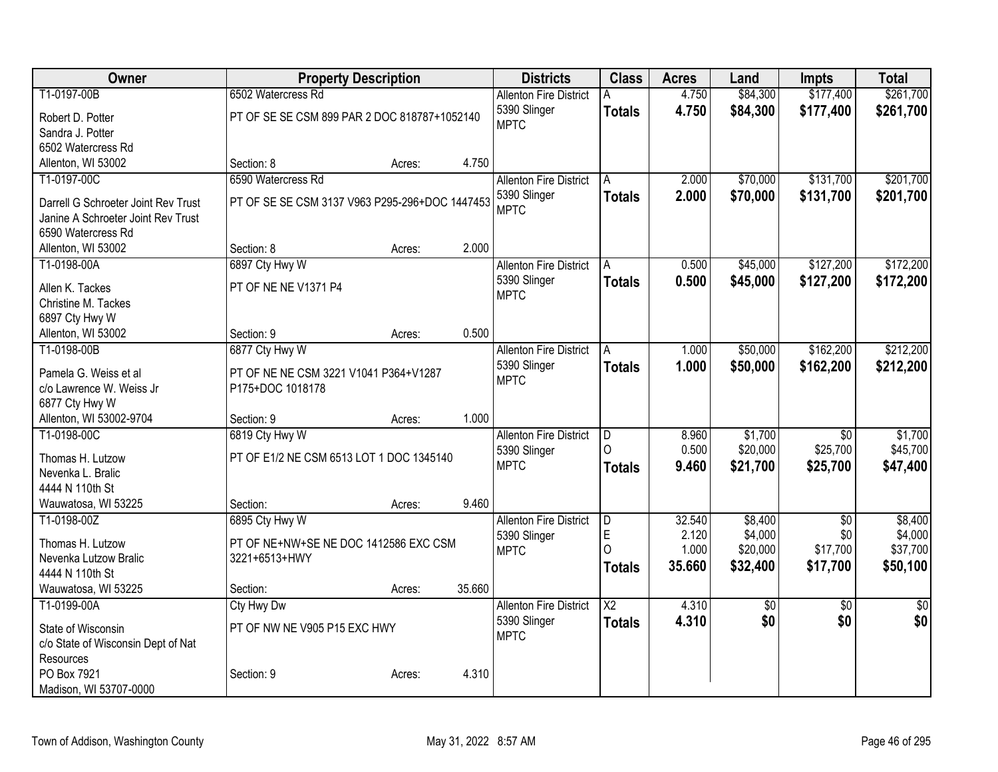| Owner                                | <b>Property Description</b>                    |        |        | <b>Districts</b>              | <b>Class</b>            | <b>Acres</b> | Land            | <b>Impts</b>    | <b>Total</b>    |
|--------------------------------------|------------------------------------------------|--------|--------|-------------------------------|-------------------------|--------------|-----------------|-----------------|-----------------|
| T1-0197-00B                          | 6502 Watercress Rd                             |        |        | <b>Allenton Fire District</b> | A                       | 4.750        | \$84,300        | \$177,400       | \$261,700       |
| Robert D. Potter                     | PT OF SE SE CSM 899 PAR 2 DOC 818787+1052140   |        |        | 5390 Slinger                  | <b>Totals</b>           | 4.750        | \$84,300        | \$177,400       | \$261,700       |
| Sandra J. Potter                     |                                                |        |        | <b>MPTC</b>                   |                         |              |                 |                 |                 |
| 6502 Watercress Rd                   |                                                |        |        |                               |                         |              |                 |                 |                 |
| Allenton, WI 53002                   | Section: 8                                     | Acres: | 4.750  |                               |                         |              |                 |                 |                 |
| T1-0197-00C                          | 6590 Watercress Rd                             |        |        | <b>Allenton Fire District</b> | A                       | 2.000        | \$70,000        | \$131,700       | \$201,700       |
| Darrell G Schroeter Joint Rev Trust  | PT OF SE SE CSM 3137 V963 P295-296+DOC 1447453 |        |        | 5390 Slinger                  | <b>Totals</b>           | 2.000        | \$70,000        | \$131,700       | \$201,700       |
| Janine A Schroeter Joint Rev Trust   |                                                |        |        | <b>MPTC</b>                   |                         |              |                 |                 |                 |
| 6590 Watercress Rd                   |                                                |        |        |                               |                         |              |                 |                 |                 |
| Allenton, WI 53002                   | Section: 8                                     | Acres: | 2.000  |                               |                         |              |                 |                 |                 |
| T1-0198-00A                          | 6897 Cty Hwy W                                 |        |        | <b>Allenton Fire District</b> | A                       | 0.500        | \$45,000        | \$127,200       | \$172,200       |
|                                      |                                                |        |        | 5390 Slinger                  | <b>Totals</b>           | 0.500        | \$45,000        | \$127,200       | \$172,200       |
| Allen K. Tackes                      | PT OF NE NE V1371 P4                           |        |        | <b>MPTC</b>                   |                         |              |                 |                 |                 |
| Christine M. Tackes                  |                                                |        |        |                               |                         |              |                 |                 |                 |
| 6897 Cty Hwy W<br>Allenton, WI 53002 | Section: 9                                     | Acres: | 0.500  |                               |                         |              |                 |                 |                 |
| T1-0198-00B                          | 6877 Cty Hwy W                                 |        |        | <b>Allenton Fire District</b> | A                       | 1.000        | \$50,000        | \$162,200       | \$212,200       |
|                                      |                                                |        |        | 5390 Slinger                  |                         | 1.000        |                 |                 |                 |
| Pamela G. Weiss et al                | PT OF NE NE CSM 3221 V1041 P364+V1287          |        |        | <b>MPTC</b>                   | <b>Totals</b>           |              | \$50,000        | \$162,200       | \$212,200       |
| c/o Lawrence W. Weiss Jr             | P175+DOC 1018178                               |        |        |                               |                         |              |                 |                 |                 |
| 6877 Cty Hwy W                       |                                                |        |        |                               |                         |              |                 |                 |                 |
| Allenton, WI 53002-9704              | Section: 9                                     | Acres: | 1.000  |                               |                         |              |                 |                 |                 |
| T1-0198-00C                          | 6819 Cty Hwy W                                 |        |        | <b>Allenton Fire District</b> | $\overline{\mathsf{D}}$ | 8.960        | \$1,700         | $\overline{30}$ | \$1,700         |
| Thomas H. Lutzow                     | PT OF E1/2 NE CSM 6513 LOT 1 DOC 1345140       |        |        | 5390 Slinger                  | $\Omega$                | 0.500        | \$20,000        | \$25,700        | \$45,700        |
| Nevenka L. Bralic                    |                                                |        |        | <b>MPTC</b>                   | <b>Totals</b>           | 9.460        | \$21,700        | \$25,700        | \$47,400        |
| 4444 N 110th St                      |                                                |        |        |                               |                         |              |                 |                 |                 |
| Wauwatosa, WI 53225                  | Section:                                       | Acres: | 9.460  |                               |                         |              |                 |                 |                 |
| T1-0198-00Z                          | 6895 Cty Hwy W                                 |        |        | <b>Allenton Fire District</b> | l D                     | 32.540       | \$8,400         | $\overline{50}$ | \$8,400         |
| Thomas H. Lutzow                     | PT OF NE+NW+SE NE DOC 1412586 EXC CSM          |        |        | 5390 Slinger                  | E                       | 2.120        | \$4,000         | \$0             | \$4,000         |
| Nevenka Lutzow Bralic                | 3221+6513+HWY                                  |        |        | <b>MPTC</b>                   | $\Omega$                | 1.000        | \$20,000        | \$17,700        | \$37,700        |
| 4444 N 110th St                      |                                                |        |        |                               | <b>Totals</b>           | 35.660       | \$32,400        | \$17,700        | \$50,100        |
| Wauwatosa, WI 53225                  | Section:                                       | Acres: | 35.660 |                               |                         |              |                 |                 |                 |
| T1-0199-00A                          | Cty Hwy Dw                                     |        |        | <b>Allenton Fire District</b> | $\overline{\text{X2}}$  | 4.310        | $\overline{50}$ | $\overline{50}$ | $\overline{50}$ |
| State of Wisconsin                   | PT OF NW NE V905 P15 EXC HWY                   |        |        | 5390 Slinger                  | <b>Totals</b>           | 4.310        | \$0             | \$0             | \$0             |
| c/o State of Wisconsin Dept of Nat   |                                                |        |        | <b>MPTC</b>                   |                         |              |                 |                 |                 |
| Resources                            |                                                |        |        |                               |                         |              |                 |                 |                 |
| PO Box 7921                          | Section: 9                                     | Acres: | 4.310  |                               |                         |              |                 |                 |                 |
| Madison, WI 53707-0000               |                                                |        |        |                               |                         |              |                 |                 |                 |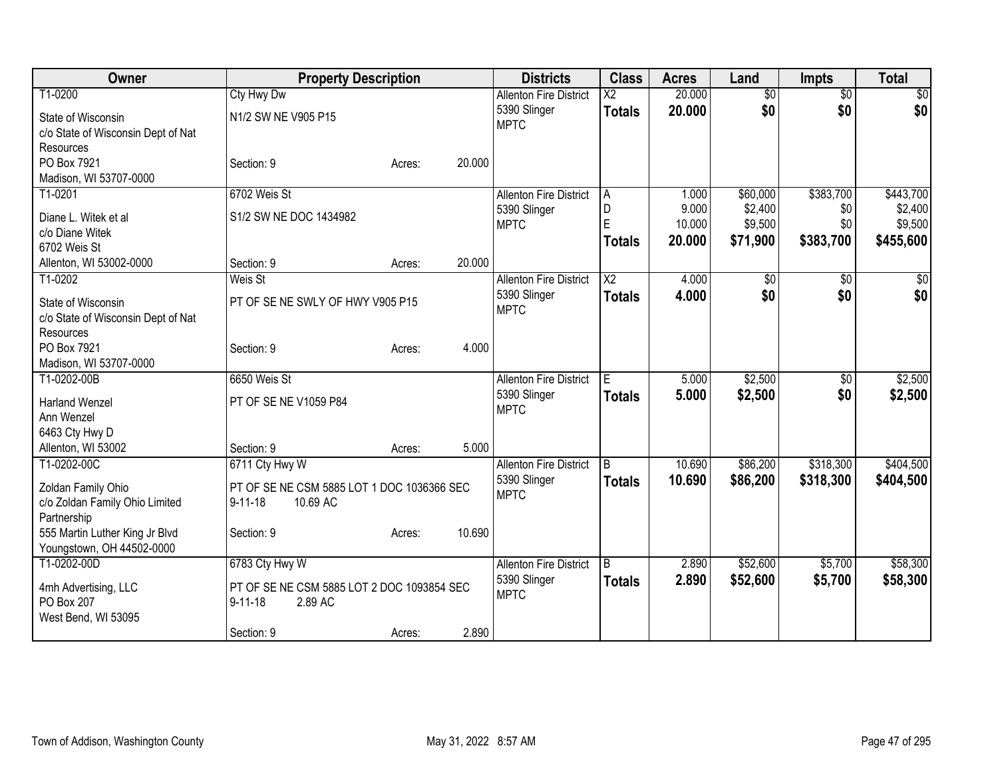| Owner                              | <b>Property Description</b>                |                  | <b>Districts</b>              | <b>Class</b>           | <b>Acres</b> | Land            | <b>Impts</b>    | <b>Total</b>    |
|------------------------------------|--------------------------------------------|------------------|-------------------------------|------------------------|--------------|-----------------|-----------------|-----------------|
| T1-0200                            | <b>Cty Hwy Dw</b>                          |                  | <b>Allenton Fire District</b> | $\overline{\text{X2}}$ | 20.000       | $\overline{50}$ | $\overline{50}$ | $\overline{30}$ |
| State of Wisconsin                 | N1/2 SW NE V905 P15                        |                  | 5390 Slinger                  | <b>Totals</b>          | 20.000       | \$0             | \$0             | \$0             |
| c/o State of Wisconsin Dept of Nat |                                            |                  | <b>MPTC</b>                   |                        |              |                 |                 |                 |
| Resources                          |                                            |                  |                               |                        |              |                 |                 |                 |
| PO Box 7921                        | Section: 9                                 | 20.000<br>Acres: |                               |                        |              |                 |                 |                 |
| Madison, WI 53707-0000             |                                            |                  |                               |                        |              |                 |                 |                 |
| T1-0201                            | 6702 Weis St                               |                  | <b>Allenton Fire District</b> | A                      | 1.000        | \$60,000        | \$383,700       | \$443,700       |
| Diane L. Witek et al               | S1/2 SW NE DOC 1434982                     |                  | 5390 Slinger                  | D                      | 9.000        | \$2,400         | \$0             | \$2,400         |
| c/o Diane Witek                    |                                            |                  | <b>MPTC</b>                   | E                      | 10.000       | \$9,500         | \$0             | \$9,500         |
| 6702 Weis St                       |                                            |                  |                               | <b>Totals</b>          | 20,000       | \$71,900        | \$383,700       | \$455,600       |
| Allenton, WI 53002-0000            | Section: 9                                 | 20.000<br>Acres: |                               |                        |              |                 |                 |                 |
| T1-0202                            | Weis St                                    |                  | <b>Allenton Fire District</b> | $\overline{\text{X2}}$ | 4.000        | $\overline{50}$ | $\overline{50}$ | \$0             |
| State of Wisconsin                 | PT OF SE NE SWLY OF HWY V905 P15           |                  | 5390 Slinger                  | <b>Totals</b>          | 4.000        | \$0             | \$0             | \$0             |
| c/o State of Wisconsin Dept of Nat |                                            |                  | <b>MPTC</b>                   |                        |              |                 |                 |                 |
| Resources                          |                                            |                  |                               |                        |              |                 |                 |                 |
| PO Box 7921                        | Section: 9                                 | 4.000<br>Acres:  |                               |                        |              |                 |                 |                 |
| Madison, WI 53707-0000             |                                            |                  |                               |                        |              |                 |                 |                 |
| T1-0202-00B                        | 6650 Weis St                               |                  | <b>Allenton Fire District</b> | E                      | 5.000        | \$2,500         | $\sqrt{6}$      | \$2,500         |
| <b>Harland Wenzel</b>              | PT OF SE NE V1059 P84                      |                  | 5390 Slinger                  | <b>Totals</b>          | 5.000        | \$2,500         | \$0             | \$2,500         |
| Ann Wenzel                         |                                            |                  | <b>MPTC</b>                   |                        |              |                 |                 |                 |
| 6463 Cty Hwy D                     |                                            |                  |                               |                        |              |                 |                 |                 |
| Allenton, WI 53002                 | Section: 9                                 | 5.000<br>Acres:  |                               |                        |              |                 |                 |                 |
| T1-0202-00C                        | 6711 Cty Hwy W                             |                  | <b>Allenton Fire District</b> | B                      | 10.690       | \$86,200        | \$318,300       | \$404,500       |
| Zoldan Family Ohio                 | PT OF SE NE CSM 5885 LOT 1 DOC 1036366 SEC |                  | 5390 Slinger                  | <b>Totals</b>          | 10.690       | \$86,200        | \$318,300       | \$404,500       |
| c/o Zoldan Family Ohio Limited     | $9 - 11 - 18$<br>10.69 AC                  |                  | <b>MPTC</b>                   |                        |              |                 |                 |                 |
| Partnership                        |                                            |                  |                               |                        |              |                 |                 |                 |
| 555 Martin Luther King Jr Blvd     | Section: 9                                 | 10.690<br>Acres: |                               |                        |              |                 |                 |                 |
| Youngstown, OH 44502-0000          |                                            |                  |                               |                        |              |                 |                 |                 |
| T1-0202-00D                        | 6783 Cty Hwy W                             |                  | <b>Allenton Fire District</b> | B                      | 2.890        | \$52,600        | \$5,700         | \$58,300        |
| 4mh Advertising, LLC               | PT OF SE NE CSM 5885 LOT 2 DOC 1093854 SEC |                  | 5390 Slinger                  | <b>Totals</b>          | 2.890        | \$52,600        | \$5,700         | \$58,300        |
| PO Box 207                         | $9 - 11 - 18$<br>2.89 AC                   |                  | <b>MPTC</b>                   |                        |              |                 |                 |                 |
| West Bend, WI 53095                |                                            |                  |                               |                        |              |                 |                 |                 |
|                                    | Section: 9                                 | 2.890<br>Acres:  |                               |                        |              |                 |                 |                 |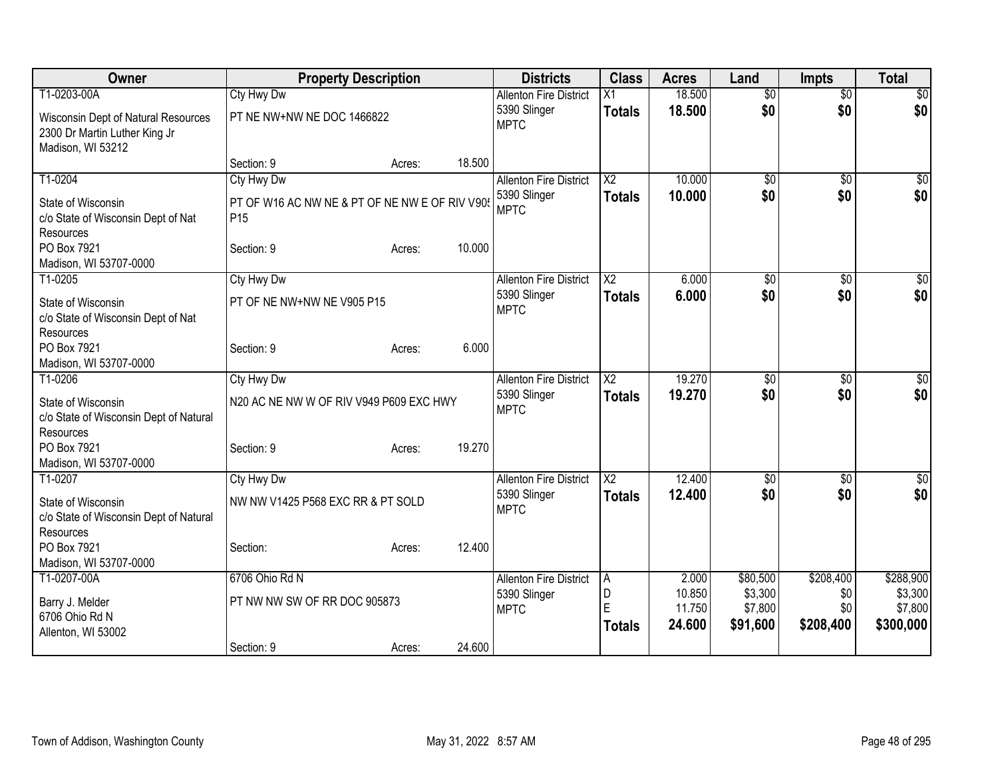| Owner                                                                                     | <b>Property Description</b>                                      |        |        | <b>Districts</b>              | <b>Class</b>            | <b>Acres</b>               | Land                           | <b>Impts</b>            | <b>Total</b>                    |
|-------------------------------------------------------------------------------------------|------------------------------------------------------------------|--------|--------|-------------------------------|-------------------------|----------------------------|--------------------------------|-------------------------|---------------------------------|
| T1-0203-00A                                                                               | <b>Cty Hwy Dw</b>                                                |        |        | <b>Allenton Fire District</b> | $\overline{X1}$         | 18.500                     | $\overline{50}$                | $\overline{50}$         | $\overline{30}$                 |
| Wisconsin Dept of Natural Resources<br>2300 Dr Martin Luther King Jr<br>Madison, WI 53212 | PT NE NW+NW NE DOC 1466822                                       |        |        | 5390 Slinger<br><b>MPTC</b>   | <b>Totals</b>           | 18.500                     | \$0                            | \$0                     | \$0                             |
|                                                                                           | Section: 9                                                       | Acres: | 18.500 |                               |                         |                            |                                |                         |                                 |
| T1-0204                                                                                   | Cty Hwy Dw                                                       |        |        | <b>Allenton Fire District</b> | $\overline{\text{X2}}$  | 10.000                     | $\overline{30}$                | $\sqrt{6}$              | \$0                             |
| State of Wisconsin<br>c/o State of Wisconsin Dept of Nat<br>Resources                     | PT OF W16 AC NW NE & PT OF NE NW E OF RIV V90<br>P <sub>15</sub> |        |        | 5390 Slinger<br><b>MPTC</b>   | <b>Totals</b>           | 10.000                     | \$0                            | \$0                     | \$0                             |
| PO Box 7921<br>Madison, WI 53707-0000                                                     | Section: 9                                                       | Acres: | 10.000 |                               |                         |                            |                                |                         |                                 |
| T1-0205                                                                                   | Cty Hwy Dw                                                       |        |        | <b>Allenton Fire District</b> | $\overline{\text{X2}}$  | 6.000                      | \$0                            | \$0                     | $\sqrt{50}$                     |
| State of Wisconsin<br>c/o State of Wisconsin Dept of Nat<br><b>Resources</b>              | PT OF NE NW+NW NE V905 P15                                       |        |        | 5390 Slinger<br><b>MPTC</b>   | <b>Totals</b>           | 6.000                      | \$0                            | \$0                     | \$0                             |
| PO Box 7921<br>Madison, WI 53707-0000                                                     | Section: 9                                                       | Acres: | 6.000  |                               |                         |                            |                                |                         |                                 |
| T1-0206                                                                                   | Cty Hwy Dw                                                       |        |        | <b>Allenton Fire District</b> | $\overline{\text{X2}}$  | 19.270                     | $\overline{50}$                | \$0                     | $\sqrt{50}$                     |
| State of Wisconsin<br>c/o State of Wisconsin Dept of Natural<br>Resources                 | N20 AC NE NW W OF RIV V949 P609 EXC HWY                          |        |        | 5390 Slinger<br><b>MPTC</b>   | <b>Totals</b>           | 19.270                     | \$0                            | \$0                     | \$0                             |
| PO Box 7921<br>Madison, WI 53707-0000                                                     | Section: 9                                                       | Acres: | 19.270 |                               |                         |                            |                                |                         |                                 |
| T1-0207                                                                                   | Cty Hwy Dw                                                       |        |        | <b>Allenton Fire District</b> | $\overline{\text{X2}}$  | 12.400                     | \$0                            | \$0                     | $\sqrt{50}$                     |
| State of Wisconsin<br>c/o State of Wisconsin Dept of Natural<br>Resources                 | NW NW V1425 P568 EXC RR & PT SOLD                                |        |        | 5390 Slinger<br><b>MPTC</b>   | <b>Totals</b>           | 12.400                     | \$0                            | \$0                     | \$0                             |
| PO Box 7921                                                                               | Section:                                                         | Acres: | 12.400 |                               |                         |                            |                                |                         |                                 |
| Madison, WI 53707-0000                                                                    |                                                                  |        |        |                               |                         |                            |                                |                         |                                 |
| T1-0207-00A                                                                               | 6706 Ohio Rd N                                                   |        |        | <b>Allenton Fire District</b> | A                       | 2.000                      | \$80,500                       | \$208,400               | \$288,900                       |
| Barry J. Melder<br>6706 Ohio Rd N                                                         | PT NW NW SW OF RR DOC 905873                                     |        |        | 5390 Slinger<br><b>MPTC</b>   | D<br>E<br><b>Totals</b> | 10.850<br>11.750<br>24.600 | \$3,300<br>\$7,800<br>\$91,600 | \$0<br>\$0<br>\$208,400 | \$3,300<br>\$7,800<br>\$300,000 |
| Allenton, WI 53002                                                                        | Section: 9                                                       | Acres: | 24.600 |                               |                         |                            |                                |                         |                                 |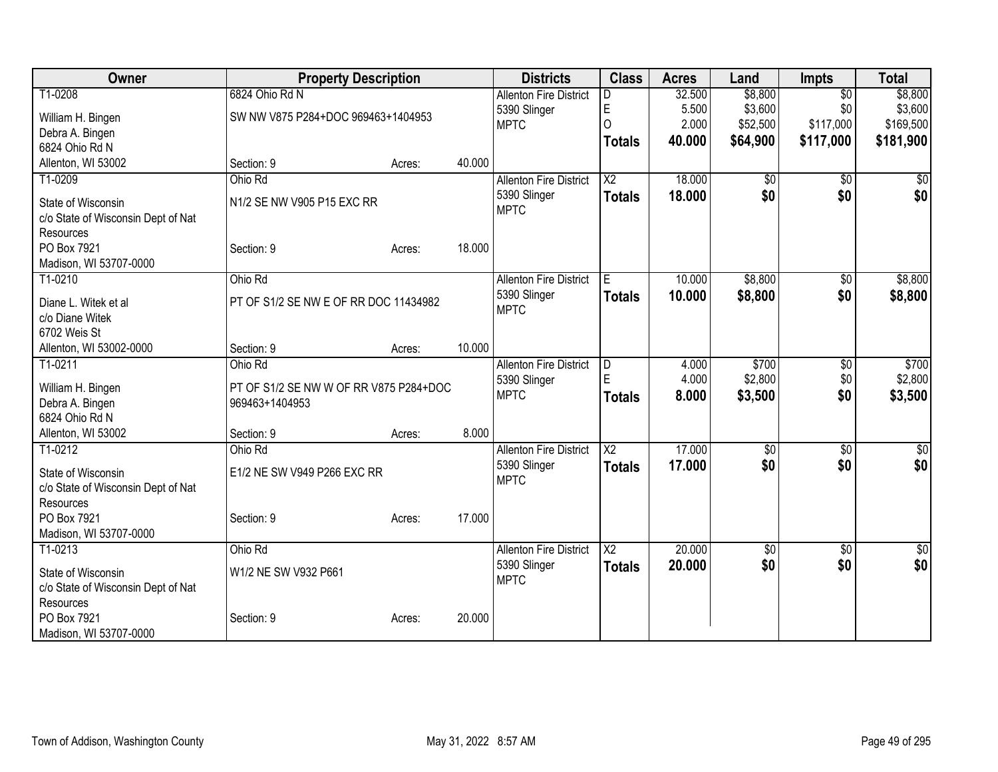| Owner                                                    | <b>Property Description</b>            |        |        | <b>Districts</b>              | <b>Class</b>           | <b>Acres</b> | Land            | <b>Impts</b>    | <b>Total</b>     |
|----------------------------------------------------------|----------------------------------------|--------|--------|-------------------------------|------------------------|--------------|-----------------|-----------------|------------------|
| T1-0208                                                  | 6824 Ohio Rd N                         |        |        | <b>Allenton Fire District</b> |                        | 32.500       | \$8,800         | $\overline{50}$ | \$8,800          |
| William H. Bingen                                        | SW NW V875 P284+DOC 969463+1404953     |        |        | 5390 Slinger                  | E                      | 5.500        | \$3,600         | \$0             | \$3,600          |
| Debra A. Bingen                                          |                                        |        |        | <b>MPTC</b>                   | $\Omega$               | 2.000        | \$52,500        | \$117,000       | \$169,500        |
| 6824 Ohio Rd N                                           |                                        |        |        |                               | <b>Totals</b>          | 40.000       | \$64,900        | \$117,000       | \$181,900        |
| Allenton, WI 53002                                       | Section: 9                             | Acres: | 40.000 |                               |                        |              |                 |                 |                  |
| T1-0209                                                  | Ohio Rd                                |        |        | <b>Allenton Fire District</b> | $\overline{\text{X2}}$ | 18.000       | \$0             | $\overline{50}$ | \$0              |
| State of Wisconsin<br>c/o State of Wisconsin Dept of Nat | N1/2 SE NW V905 P15 EXC RR             |        |        | 5390 Slinger<br><b>MPTC</b>   | <b>Totals</b>          | 18.000       | \$0             | \$0             | \$0              |
| Resources                                                |                                        |        |        |                               |                        |              |                 |                 |                  |
| PO Box 7921                                              | Section: 9                             | Acres: | 18.000 |                               |                        |              |                 |                 |                  |
| Madison, WI 53707-0000                                   |                                        |        |        |                               |                        |              |                 |                 |                  |
| T1-0210                                                  | Ohio Rd                                |        |        | <b>Allenton Fire District</b> | E                      | 10.000       | \$8,800         | \$0             | \$8,800          |
| Diane L. Witek et al                                     | PT OF S1/2 SE NW E OF RR DOC 11434982  |        |        | 5390 Slinger                  | <b>Totals</b>          | 10.000       | \$8,800         | \$0             | \$8,800          |
| c/o Diane Witek                                          |                                        |        |        | <b>MPTC</b>                   |                        |              |                 |                 |                  |
| 6702 Weis St                                             |                                        |        |        |                               |                        |              |                 |                 |                  |
| Allenton, WI 53002-0000                                  | Section: 9                             | Acres: | 10.000 |                               |                        |              |                 |                 |                  |
| T1-0211                                                  | Ohio Rd                                |        |        | <b>Allenton Fire District</b> | D                      | 4.000        | \$700           | \$0             | \$700            |
| William H. Bingen                                        | PT OF S1/2 SE NW W OF RR V875 P284+DOC |        |        | 5390 Slinger                  | E                      | 4.000        | \$2,800         | \$0             | \$2,800          |
| Debra A. Bingen                                          | 969463+1404953                         |        |        | <b>MPTC</b>                   | <b>Totals</b>          | 8.000        | \$3,500         | \$0             | \$3,500          |
| 6824 Ohio Rd N                                           |                                        |        |        |                               |                        |              |                 |                 |                  |
| Allenton, WI 53002                                       | Section: 9                             | Acres: | 8.000  |                               |                        |              |                 |                 |                  |
| T1-0212                                                  | Ohio Rd                                |        |        | <b>Allenton Fire District</b> | $\overline{\text{X2}}$ | 17.000       | $\overline{50}$ | $\overline{50}$ | $\overline{\$0}$ |
| State of Wisconsin                                       | E1/2 NE SW V949 P266 EXC RR            |        |        | 5390 Slinger                  | <b>Totals</b>          | 17.000       | \$0             | \$0             | \$0              |
| c/o State of Wisconsin Dept of Nat                       |                                        |        |        | <b>MPTC</b>                   |                        |              |                 |                 |                  |
| Resources                                                |                                        |        |        |                               |                        |              |                 |                 |                  |
| PO Box 7921                                              | Section: 9                             | Acres: | 17.000 |                               |                        |              |                 |                 |                  |
| Madison, WI 53707-0000                                   |                                        |        |        |                               |                        |              |                 |                 |                  |
| $T1-0213$                                                | Ohio Rd                                |        |        | <b>Allenton Fire District</b> | $\overline{\text{X2}}$ | 20.000       | $\overline{50}$ | $\overline{50}$ | $\overline{50}$  |
| State of Wisconsin                                       | W1/2 NE SW V932 P661                   |        |        | 5390 Slinger                  | <b>Totals</b>          | 20,000       | \$0             | \$0             | \$0              |
| c/o State of Wisconsin Dept of Nat                       |                                        |        |        | <b>MPTC</b>                   |                        |              |                 |                 |                  |
| Resources                                                |                                        |        |        |                               |                        |              |                 |                 |                  |
| PO Box 7921                                              | Section: 9                             | Acres: | 20.000 |                               |                        |              |                 |                 |                  |
| Madison, WI 53707-0000                                   |                                        |        |        |                               |                        |              |                 |                 |                  |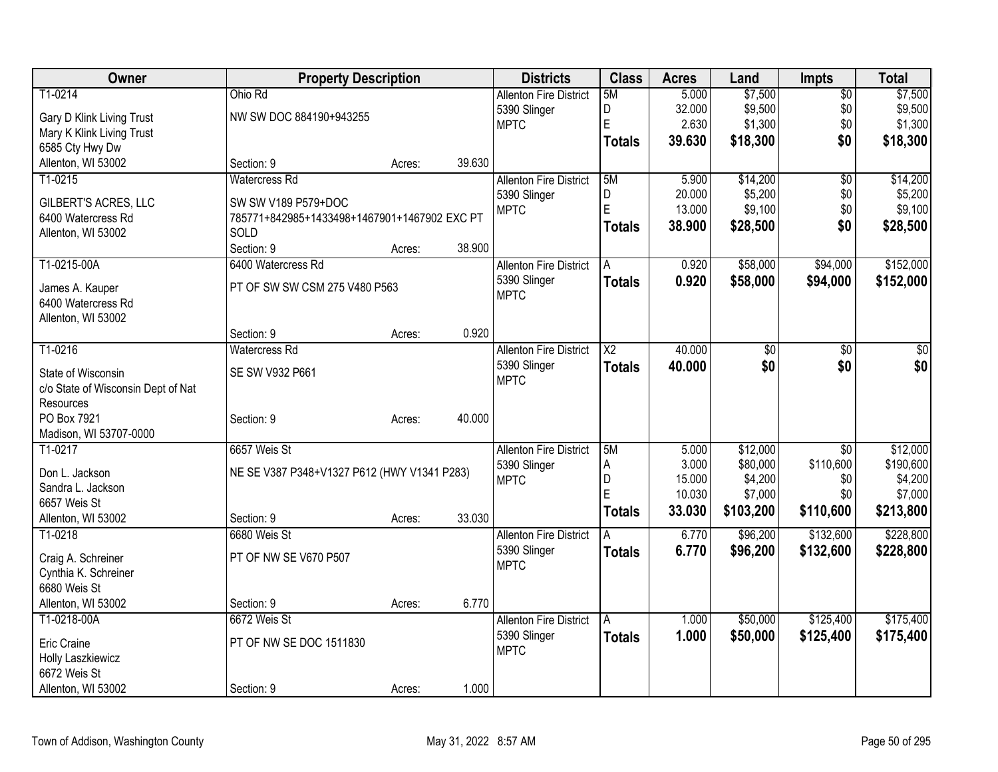| Owner                              | <b>Property Description</b>                                         |        |        | <b>Districts</b>              | <b>Class</b>           | <b>Acres</b> | Land            | <b>Impts</b>    | <b>Total</b>     |
|------------------------------------|---------------------------------------------------------------------|--------|--------|-------------------------------|------------------------|--------------|-----------------|-----------------|------------------|
| T1-0214                            | Ohio Rd                                                             |        |        | <b>Allenton Fire District</b> | 5M                     | 5.000        | \$7,500         | $\overline{30}$ | \$7,500          |
| Gary D Klink Living Trust          | NW SW DOC 884190+943255                                             |        |        | 5390 Slinger                  | D                      | 32.000       | \$9,500         | \$0             | \$9,500          |
| Mary K Klink Living Trust          |                                                                     |        |        | <b>MPTC</b>                   | E                      | 2.630        | \$1,300         | \$0             | \$1,300          |
| 6585 Cty Hwy Dw                    |                                                                     |        |        |                               | <b>Totals</b>          | 39,630       | \$18,300        | \$0             | \$18,300         |
| Allenton, WI 53002                 | Section: 9                                                          | Acres: | 39.630 |                               |                        |              |                 |                 |                  |
| T1-0215                            | <b>Watercress Rd</b>                                                |        |        | <b>Allenton Fire District</b> | 5M                     | 5.900        | \$14,200        | \$0             | \$14,200         |
| <b>GILBERT'S ACRES, LLC</b>        |                                                                     |        |        | 5390 Slinger                  | D                      | 20.000       | \$5,200         | \$0             | \$5,200          |
| 6400 Watercress Rd                 | SW SW V189 P579+DOC<br>785771+842985+1433498+1467901+1467902 EXC PT |        |        | <b>MPTC</b>                   | E                      | 13.000       | \$9,100         | \$0             | \$9,100          |
| Allenton, WI 53002                 | SOLD                                                                |        |        |                               | <b>Totals</b>          | 38.900       | \$28,500        | \$0             | \$28,500         |
|                                    | Section: 9                                                          | Acres: | 38.900 |                               |                        |              |                 |                 |                  |
| T1-0215-00A                        | 6400 Watercress Rd                                                  |        |        | <b>Allenton Fire District</b> | A                      | 0.920        | \$58,000        | \$94,000        | \$152,000        |
|                                    |                                                                     |        |        | 5390 Slinger                  | <b>Totals</b>          | 0.920        | \$58,000        | \$94,000        | \$152,000        |
| James A. Kauper                    | PT OF SW SW CSM 275 V480 P563                                       |        |        | <b>MPTC</b>                   |                        |              |                 |                 |                  |
| 6400 Watercress Rd                 |                                                                     |        |        |                               |                        |              |                 |                 |                  |
| Allenton, WI 53002                 |                                                                     |        |        |                               |                        |              |                 |                 |                  |
|                                    | Section: 9                                                          | Acres: | 0.920  |                               |                        |              |                 |                 |                  |
| T1-0216                            | <b>Watercress Rd</b>                                                |        |        | <b>Allenton Fire District</b> | $\overline{\text{X2}}$ | 40.000       | $\overline{50}$ | \$0             | $\overline{\$0}$ |
| State of Wisconsin                 | SE SW V932 P661                                                     |        |        | 5390 Slinger                  | <b>Totals</b>          | 40.000       | \$0             | \$0             | \$0              |
| c/o State of Wisconsin Dept of Nat |                                                                     |        |        | <b>MPTC</b>                   |                        |              |                 |                 |                  |
| Resources                          |                                                                     |        |        |                               |                        |              |                 |                 |                  |
| PO Box 7921                        | Section: 9                                                          | Acres: | 40.000 |                               |                        |              |                 |                 |                  |
| Madison, WI 53707-0000             |                                                                     |        |        |                               |                        |              |                 |                 |                  |
| T1-0217                            | 6657 Weis St                                                        |        |        | <b>Allenton Fire District</b> | 5M                     | 5.000        | \$12,000        | $\overline{30}$ | \$12,000         |
| Don L. Jackson                     | NE SE V387 P348+V1327 P612 (HWY V1341 P283)                         |        |        | 5390 Slinger                  | A                      | 3.000        | \$80,000        | \$110,600       | \$190,600        |
| Sandra L. Jackson                  |                                                                     |        |        | <b>MPTC</b>                   | $\overline{D}$         | 15.000       | \$4,200         | \$0             | \$4,200          |
| 6657 Weis St                       |                                                                     |        |        |                               | E                      | 10.030       | \$7,000         | \$0             | \$7,000          |
| Allenton, WI 53002                 | Section: 9                                                          | Acres: | 33.030 |                               | <b>Totals</b>          | 33.030       | \$103,200       | \$110,600       | \$213,800        |
| T1-0218                            | 6680 Weis St                                                        |        |        | <b>Allenton Fire District</b> |                        | 6.770        | \$96,200        | \$132,600       | \$228,800        |
|                                    |                                                                     |        |        | 5390 Slinger                  | <b>Totals</b>          | 6.770        | \$96,200        | \$132,600       | \$228,800        |
| Craig A. Schreiner                 | PT OF NW SE V670 P507                                               |        |        | <b>MPTC</b>                   |                        |              |                 |                 |                  |
| Cynthia K. Schreiner               |                                                                     |        |        |                               |                        |              |                 |                 |                  |
| 6680 Weis St                       |                                                                     |        |        |                               |                        |              |                 |                 |                  |
| Allenton, WI 53002                 | Section: 9                                                          | Acres: | 6.770  |                               |                        |              |                 |                 |                  |
| T1-0218-00A                        | 6672 Weis St                                                        |        |        | <b>Allenton Fire District</b> | A                      | 1.000        | \$50,000        | \$125,400       | \$175,400        |
| Eric Craine                        | PT OF NW SE DOC 1511830                                             |        |        | 5390 Slinger<br><b>MPTC</b>   | <b>Totals</b>          | 1.000        | \$50,000        | \$125,400       | \$175,400        |
| Holly Laszkiewicz                  |                                                                     |        |        |                               |                        |              |                 |                 |                  |
| 6672 Weis St                       |                                                                     |        |        |                               |                        |              |                 |                 |                  |
| Allenton, WI 53002                 | Section: 9                                                          | Acres: | 1.000  |                               |                        |              |                 |                 |                  |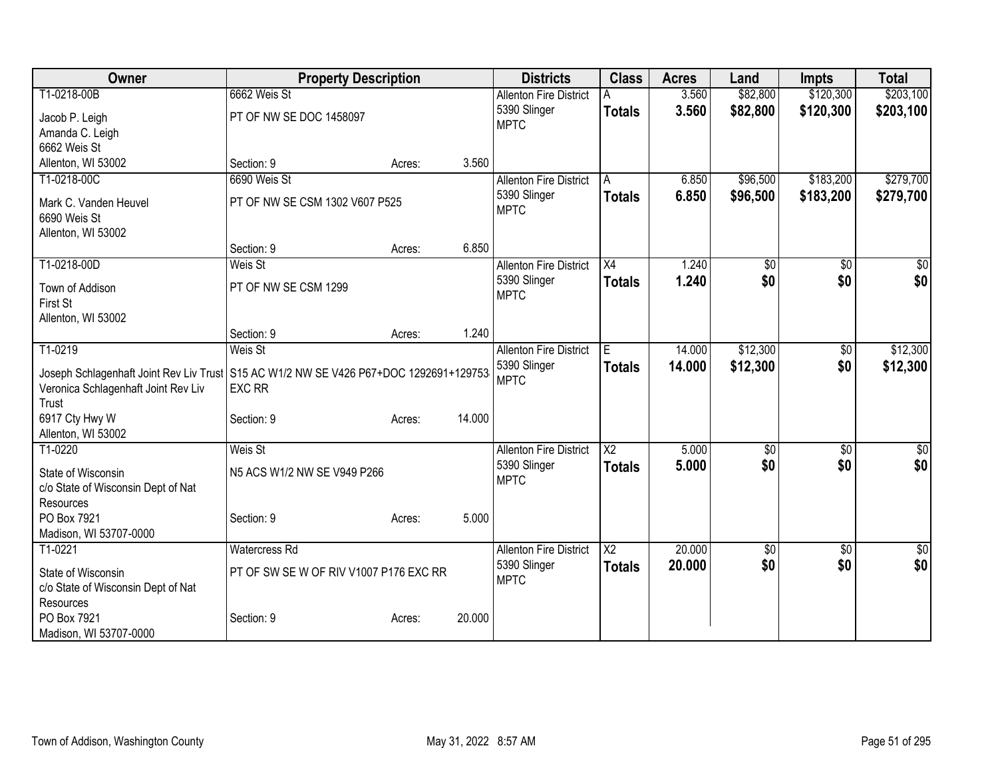| Owner                                                                                                                          | <b>Property Description</b>            |        |        | <b>Districts</b>              | <b>Class</b>           | <b>Acres</b> | Land     | <b>Impts</b> | <b>Total</b>    |
|--------------------------------------------------------------------------------------------------------------------------------|----------------------------------------|--------|--------|-------------------------------|------------------------|--------------|----------|--------------|-----------------|
| T1-0218-00B                                                                                                                    | 6662 Weis St                           |        |        | <b>Allenton Fire District</b> |                        | 3.560        | \$82,800 | \$120,300    | \$203,100       |
| Jacob P. Leigh                                                                                                                 | PT OF NW SE DOC 1458097                |        |        | 5390 Slinger                  | <b>Totals</b>          | 3.560        | \$82,800 | \$120,300    | \$203,100       |
| Amanda C. Leigh                                                                                                                |                                        |        |        | <b>MPTC</b>                   |                        |              |          |              |                 |
| 6662 Weis St                                                                                                                   |                                        |        |        |                               |                        |              |          |              |                 |
| Allenton, WI 53002                                                                                                             | Section: 9                             | Acres: | 3.560  |                               |                        |              |          |              |                 |
| T1-0218-00C                                                                                                                    | 6690 Weis St                           |        |        | <b>Allenton Fire District</b> | A                      | 6.850        | \$96,500 | \$183,200    | \$279,700       |
| Mark C. Vanden Heuvel                                                                                                          | PT OF NW SE CSM 1302 V607 P525         |        |        | 5390 Slinger                  | <b>Totals</b>          | 6.850        | \$96,500 | \$183,200    | \$279,700       |
| 6690 Weis St                                                                                                                   |                                        |        |        | <b>MPTC</b>                   |                        |              |          |              |                 |
| Allenton, WI 53002                                                                                                             |                                        |        |        |                               |                        |              |          |              |                 |
|                                                                                                                                | Section: 9                             | Acres: | 6.850  |                               |                        |              |          |              |                 |
| T1-0218-00D                                                                                                                    | Weis St                                |        |        | <b>Allenton Fire District</b> | $\overline{X4}$        | 1.240        | \$0      | \$0          | $\sqrt{50}$     |
| Town of Addison                                                                                                                | PT OF NW SE CSM 1299                   |        |        | 5390 Slinger                  | <b>Totals</b>          | 1.240        | \$0      | \$0          | \$0             |
| First St                                                                                                                       |                                        |        |        | <b>MPTC</b>                   |                        |              |          |              |                 |
| Allenton, WI 53002                                                                                                             |                                        |        |        |                               |                        |              |          |              |                 |
|                                                                                                                                | Section: 9                             | Acres: | 1.240  |                               |                        |              |          |              |                 |
| T1-0219                                                                                                                        | Weis St                                |        |        | <b>Allenton Fire District</b> | E                      | 14.000       | \$12,300 | \$0          | \$12,300        |
|                                                                                                                                |                                        |        |        | 5390 Slinger                  | <b>Totals</b>          | 14.000       | \$12,300 | \$0          | \$12,300        |
| Joseph Schlagenhaft Joint Rev Liv Trust   S15 AC W1/2 NW SE V426 P67+DOC 1292691+129753<br>Veronica Schlagenhaft Joint Rev Liv | <b>EXC RR</b>                          |        |        | <b>MPTC</b>                   |                        |              |          |              |                 |
| Trust                                                                                                                          |                                        |        |        |                               |                        |              |          |              |                 |
| 6917 Cty Hwy W                                                                                                                 | Section: 9                             | Acres: | 14.000 |                               |                        |              |          |              |                 |
| Allenton, WI 53002                                                                                                             |                                        |        |        |                               |                        |              |          |              |                 |
| T1-0220                                                                                                                        | Weis St                                |        |        | <b>Allenton Fire District</b> | $\overline{\text{X2}}$ | 5.000        | \$0      | \$0          | $\sqrt{50}$     |
| State of Wisconsin                                                                                                             | N5 ACS W1/2 NW SE V949 P266            |        |        | 5390 Slinger                  | <b>Totals</b>          | 5.000        | \$0      | \$0          | \$0             |
| c/o State of Wisconsin Dept of Nat                                                                                             |                                        |        |        | <b>MPTC</b>                   |                        |              |          |              |                 |
| Resources                                                                                                                      |                                        |        |        |                               |                        |              |          |              |                 |
| PO Box 7921                                                                                                                    | Section: 9                             | Acres: | 5.000  |                               |                        |              |          |              |                 |
| Madison, WI 53707-0000                                                                                                         |                                        |        |        |                               |                        |              |          |              |                 |
| T1-0221                                                                                                                        | <b>Watercress Rd</b>                   |        |        | <b>Allenton Fire District</b> | $\overline{\text{X2}}$ | 20.000       | \$0      | \$0          | $\overline{50}$ |
| State of Wisconsin                                                                                                             | PT OF SW SE W OF RIV V1007 P176 EXC RR |        |        | 5390 Slinger                  | <b>Totals</b>          | 20,000       | \$0      | \$0          | \$0             |
| c/o State of Wisconsin Dept of Nat                                                                                             |                                        |        |        | <b>MPTC</b>                   |                        |              |          |              |                 |
| <b>Resources</b>                                                                                                               |                                        |        |        |                               |                        |              |          |              |                 |
| PO Box 7921                                                                                                                    | Section: 9                             | Acres: | 20.000 |                               |                        |              |          |              |                 |
| Madison, WI 53707-0000                                                                                                         |                                        |        |        |                               |                        |              |          |              |                 |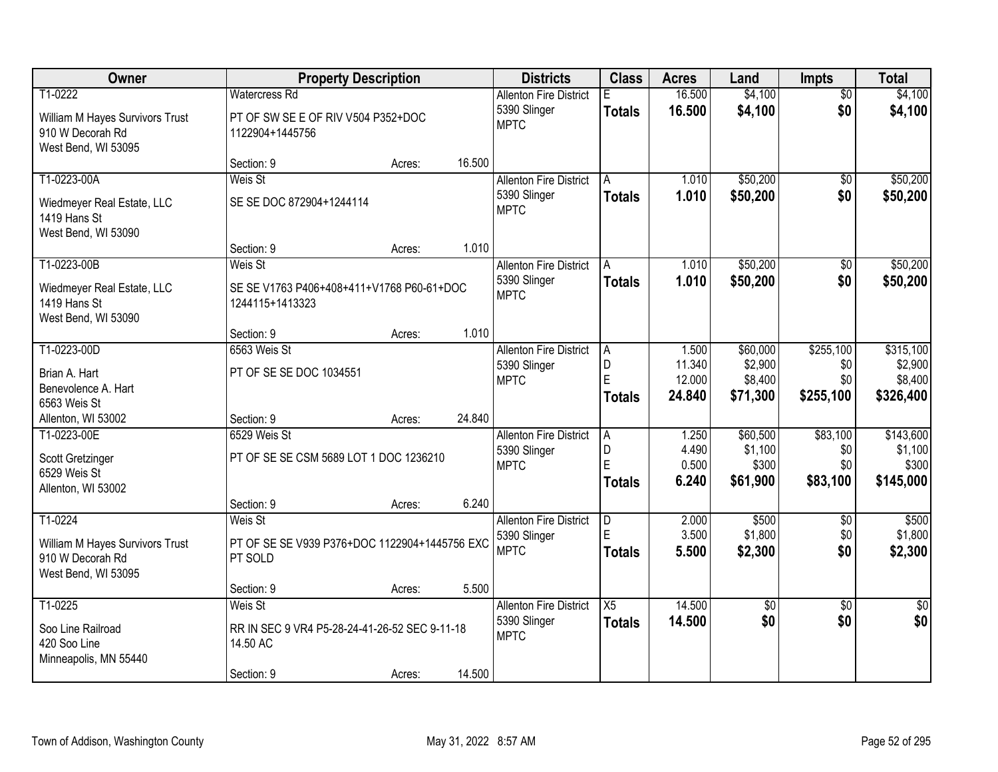| Owner                                                                                 |                                                                                    | <b>Property Description</b> |        | <b>Districts</b>                                             | <b>Class</b>                              | <b>Acres</b>                        | Land                                       | <b>Impts</b>                         | <b>Total</b>                                 |
|---------------------------------------------------------------------------------------|------------------------------------------------------------------------------------|-----------------------------|--------|--------------------------------------------------------------|-------------------------------------------|-------------------------------------|--------------------------------------------|--------------------------------------|----------------------------------------------|
| T1-0222<br>William M Hayes Survivors Trust<br>910 W Decorah Rd<br>West Bend, WI 53095 | <b>Watercress Rd</b><br>PT OF SW SE E OF RIV V504 P352+DOC<br>1122904+1445756      |                             |        | <b>Allenton Fire District</b><br>5390 Slinger<br><b>MPTC</b> | E.<br><b>Totals</b>                       | 16.500<br>16.500                    | \$4,100<br>\$4,100                         | $\overline{50}$<br>\$0               | \$4,100<br>\$4,100                           |
|                                                                                       | Section: 9                                                                         | Acres:                      | 16.500 |                                                              |                                           |                                     |                                            |                                      |                                              |
| T1-0223-00A<br>Wiedmeyer Real Estate, LLC<br>1419 Hans St<br>West Bend, WI 53090      | Weis St<br>SE SE DOC 872904+1244114                                                |                             |        | <b>Allenton Fire District</b><br>5390 Slinger<br><b>MPTC</b> | A<br><b>Totals</b>                        | 1.010<br>1.010                      | \$50,200<br>\$50,200                       | $\overline{50}$<br>\$0               | \$50,200<br>\$50,200                         |
|                                                                                       | Section: 9                                                                         | Acres:                      | 1.010  |                                                              |                                           |                                     |                                            |                                      |                                              |
| T1-0223-00B<br>Wiedmeyer Real Estate, LLC<br>1419 Hans St<br>West Bend, WI 53090      | Weis St<br>SE SE V1763 P406+408+411+V1768 P60-61+DOC<br>1244115+1413323            |                             |        | <b>Allenton Fire District</b><br>5390 Slinger<br><b>MPTC</b> | A<br><b>Totals</b>                        | 1.010<br>1.010                      | \$50,200<br>\$50,200                       | \$0<br>\$0                           | \$50,200<br>\$50,200                         |
|                                                                                       | Section: 9                                                                         | Acres:                      | 1.010  |                                                              |                                           |                                     |                                            |                                      |                                              |
| T1-0223-00D<br>Brian A. Hart<br>Benevolence A. Hart<br>6563 Weis St                   | 6563 Weis St<br>PT OF SE SE DOC 1034551                                            |                             |        | <b>Allenton Fire District</b><br>5390 Slinger<br><b>MPTC</b> | A<br>D<br>E<br><b>Totals</b>              | 1.500<br>11.340<br>12.000<br>24.840 | \$60,000<br>\$2,900<br>\$8,400<br>\$71,300 | \$255,100<br>\$0<br>\$0<br>\$255,100 | \$315,100<br>\$2,900<br>\$8,400<br>\$326,400 |
| Allenton, WI 53002                                                                    | Section: 9                                                                         | Acres:                      | 24.840 |                                                              |                                           |                                     |                                            |                                      |                                              |
| T1-0223-00E<br>Scott Gretzinger<br>6529 Weis St<br>Allenton, WI 53002                 | 6529 Weis St<br>PT OF SE SE CSM 5689 LOT 1 DOC 1236210                             |                             |        | <b>Allenton Fire District</b><br>5390 Slinger<br><b>MPTC</b> | $\overline{A}$<br>D<br>Ė<br><b>Totals</b> | 1.250<br>4.490<br>0.500<br>6.240    | \$60,500<br>\$1,100<br>\$300<br>\$61,900   | \$83,100<br>\$0<br>\$0<br>\$83,100   | \$143,600<br>\$1,100<br>\$300<br>\$145,000   |
|                                                                                       | Section: 9                                                                         | Acres:                      | 6.240  |                                                              |                                           |                                     |                                            |                                      |                                              |
| T1-0224<br>William M Hayes Survivors Trust<br>910 W Decorah Rd<br>West Bend, WI 53095 | Weis St<br>PT OF SE SE V939 P376+DOC 1122904+1445756 EXC<br>PT SOLD                |                             |        | <b>Allenton Fire District</b><br>5390 Slinger<br><b>MPTC</b> | D<br>Ė<br><b>Totals</b>                   | 2.000<br>3.500<br>5.500             | \$500<br>\$1,800<br>\$2,300                | $\overline{50}$<br>\$0<br>\$0        | \$500<br>\$1,800<br>\$2,300                  |
|                                                                                       | Section: 9                                                                         | Acres:                      | 5.500  |                                                              |                                           |                                     |                                            |                                      |                                              |
| T1-0225<br>Soo Line Railroad<br>420 Soo Line<br>Minneapolis, MN 55440                 | Weis St<br>RR IN SEC 9 VR4 P5-28-24-41-26-52 SEC 9-11-18<br>14.50 AC<br>Section: 9 | Acres:                      | 14.500 | <b>Allenton Fire District</b><br>5390 Slinger<br><b>MPTC</b> | $\overline{X5}$<br><b>Totals</b>          | 14.500<br>14.500                    | $\sqrt{50}$<br>\$0                         | $\overline{50}$<br>\$0               | \$0<br>\$0                                   |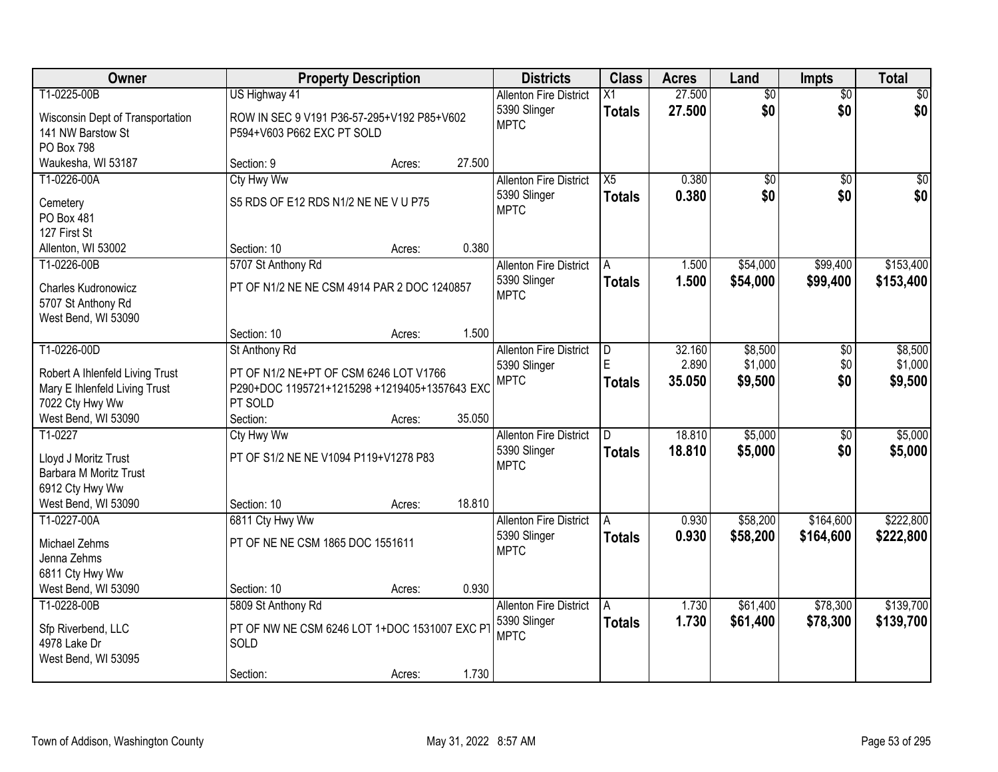| Owner                                     |                                               | <b>Property Description</b> |        | <b>Districts</b>              | <b>Class</b>  | <b>Acres</b> | Land            | <b>Impts</b>    | <b>Total</b>    |
|-------------------------------------------|-----------------------------------------------|-----------------------------|--------|-------------------------------|---------------|--------------|-----------------|-----------------|-----------------|
| T1-0225-00B                               | US Highway 41                                 |                             |        | <b>Allenton Fire District</b> | X1            | 27.500       | $\overline{50}$ | $\overline{50}$ | $\overline{30}$ |
| Wisconsin Dept of Transportation          | ROW IN SEC 9 V191 P36-57-295+V192 P85+V602    |                             |        | 5390 Slinger                  | <b>Totals</b> | 27.500       | \$0             | \$0             | \$0             |
| 141 NW Barstow St                         | P594+V603 P662 EXC PT SOLD                    |                             |        | <b>MPTC</b>                   |               |              |                 |                 |                 |
| PO Box 798                                |                                               |                             |        |                               |               |              |                 |                 |                 |
| Waukesha, WI 53187                        | Section: 9                                    | Acres:                      | 27.500 |                               |               |              |                 |                 |                 |
| T1-0226-00A                               | Cty Hwy Ww                                    |                             |        | <b>Allenton Fire District</b> | X5            | 0.380        | $\overline{50}$ | $\overline{30}$ | $\sqrt{50}$     |
| Cemetery                                  | S5 RDS OF E12 RDS N1/2 NE NE V U P75          |                             |        | 5390 Slinger                  | <b>Totals</b> | 0.380        | \$0             | \$0             | \$0             |
| PO Box 481                                |                                               |                             |        | <b>MPTC</b>                   |               |              |                 |                 |                 |
| 127 First St                              |                                               |                             |        |                               |               |              |                 |                 |                 |
| Allenton, WI 53002                        | Section: 10                                   | Acres:                      | 0.380  |                               |               |              |                 |                 |                 |
| T1-0226-00B                               | 5707 St Anthony Rd                            |                             |        | <b>Allenton Fire District</b> | A             | 1.500        | \$54,000        | \$99,400        | \$153,400       |
|                                           |                                               |                             |        | 5390 Slinger                  | <b>Totals</b> | 1.500        | \$54,000        | \$99,400        | \$153,400       |
| <b>Charles Kudronowicz</b>                | PT OF N1/2 NE NE CSM 4914 PAR 2 DOC 1240857   |                             |        | <b>MPTC</b>                   |               |              |                 |                 |                 |
| 5707 St Anthony Rd<br>West Bend, WI 53090 |                                               |                             |        |                               |               |              |                 |                 |                 |
|                                           | Section: 10                                   | Acres:                      | 1.500  |                               |               |              |                 |                 |                 |
| T1-0226-00D                               | St Anthony Rd                                 |                             |        | <b>Allenton Fire District</b> | D.            | 32.160       | \$8,500         | \$0             | \$8,500         |
|                                           |                                               |                             |        | 5390 Slinger                  | E             | 2.890        | \$1,000         | \$0             | \$1,000         |
| Robert A Ihlenfeld Living Trust           | PT OF N1/2 NE+PT OF CSM 6246 LOT V1766        |                             |        | <b>MPTC</b>                   | <b>Totals</b> | 35.050       | \$9,500         | \$0             | \$9,500         |
| Mary E Ihlenfeld Living Trust             | P290+DOC 1195721+1215298 +1219405+1357643 EXC |                             |        |                               |               |              |                 |                 |                 |
| 7022 Cty Hwy Ww                           | PT SOLD                                       |                             |        |                               |               |              |                 |                 |                 |
| West Bend, WI 53090<br>T1-0227            | Section:                                      | Acres:                      | 35.050 |                               |               | 18.810       | \$5,000         |                 | \$5,000         |
|                                           | Cty Hwy Ww                                    |                             |        | <b>Allenton Fire District</b> |               |              |                 | $\overline{30}$ |                 |
| Lloyd J Moritz Trust                      | PT OF S1/2 NE NE V1094 P119+V1278 P83         |                             |        | 5390 Slinger<br><b>MPTC</b>   | <b>Totals</b> | 18.810       | \$5,000         | \$0             | \$5,000         |
| Barbara M Moritz Trust                    |                                               |                             |        |                               |               |              |                 |                 |                 |
| 6912 Cty Hwy Ww                           |                                               |                             |        |                               |               |              |                 |                 |                 |
| West Bend, WI 53090                       | Section: 10                                   | Acres:                      | 18.810 |                               |               |              |                 |                 |                 |
| T1-0227-00A                               | 6811 Cty Hwy Ww                               |                             |        | <b>Allenton Fire District</b> | A             | 0.930        | \$58,200        | \$164,600       | \$222,800       |
| <b>Michael Zehms</b>                      | PT OF NE NE CSM 1865 DOC 1551611              |                             |        | 5390 Slinger                  | <b>Totals</b> | 0.930        | \$58,200        | \$164,600       | \$222,800       |
| Jenna Zehms                               |                                               |                             |        | <b>MPTC</b>                   |               |              |                 |                 |                 |
| 6811 Cty Hwy Ww                           |                                               |                             |        |                               |               |              |                 |                 |                 |
| West Bend, WI 53090                       | Section: 10                                   | Acres:                      | 0.930  |                               |               |              |                 |                 |                 |
| T1-0228-00B                               | 5809 St Anthony Rd                            |                             |        | <b>Allenton Fire District</b> | A             | 1.730        | \$61,400        | \$78,300        | \$139,700       |
| Sfp Riverbend, LLC                        | PT OF NW NE CSM 6246 LOT 1+DOC 1531007 EXC PT |                             |        | 5390 Slinger                  | <b>Totals</b> | 1.730        | \$61,400        | \$78,300        | \$139,700       |
| 4978 Lake Dr                              | SOLD                                          |                             |        | <b>MPTC</b>                   |               |              |                 |                 |                 |
| West Bend, WI 53095                       |                                               |                             |        |                               |               |              |                 |                 |                 |
|                                           | Section:                                      | Acres:                      | 1.730  |                               |               |              |                 |                 |                 |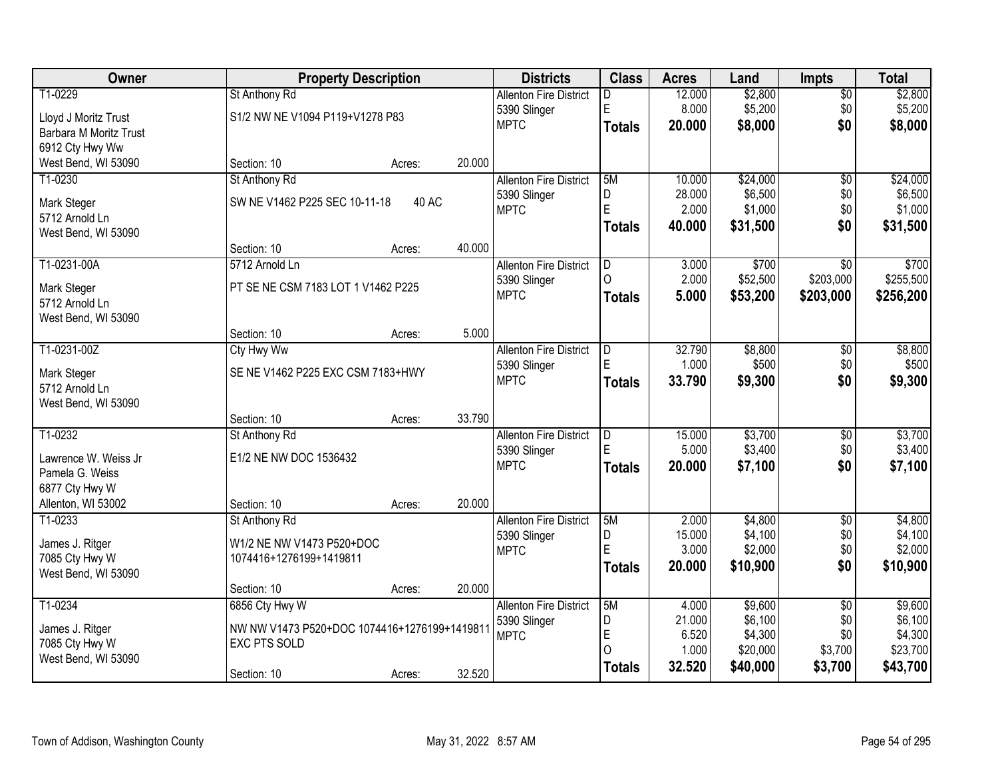| Owner                  | <b>Property Description</b>                  |        |        | <b>Districts</b>              | <b>Class</b>   | <b>Acres</b>    | Land               | <b>Impts</b>           | <b>Total</b>       |
|------------------------|----------------------------------------------|--------|--------|-------------------------------|----------------|-----------------|--------------------|------------------------|--------------------|
| T1-0229                | St Anthony Rd                                |        |        | <b>Allenton Fire District</b> | D              | 12.000          | \$2,800            | $\overline{60}$        | \$2,800            |
| Lloyd J Moritz Trust   | S1/2 NW NE V1094 P119+V1278 P83              |        |        | 5390 Slinger                  | E              | 8.000           | \$5,200            | \$0                    | \$5,200            |
| Barbara M Moritz Trust |                                              |        |        | <b>MPTC</b>                   | <b>Totals</b>  | 20.000          | \$8,000            | \$0                    | \$8,000            |
| 6912 Cty Hwy Ww        |                                              |        |        |                               |                |                 |                    |                        |                    |
| West Bend, WI 53090    | Section: 10                                  | Acres: | 20.000 |                               |                |                 |                    |                        |                    |
| T1-0230                | St Anthony Rd                                |        |        | <b>Allenton Fire District</b> | 5M             | 10.000          | \$24,000           | $\overline{50}$        | \$24,000           |
| Mark Steger            | SW NE V1462 P225 SEC 10-11-18                | 40 AC  |        | 5390 Slinger                  | D              | 28.000          | \$6,500            | \$0                    | \$6,500            |
| 5712 Arnold Ln         |                                              |        |        | <b>MPTC</b>                   | E              | 2.000           | \$1,000            | \$0                    | \$1,000            |
| West Bend, WI 53090    |                                              |        |        |                               | <b>Totals</b>  | 40.000          | \$31,500           | \$0                    | \$31,500           |
|                        | Section: 10                                  | Acres: | 40.000 |                               |                |                 |                    |                        |                    |
| T1-0231-00A            | 5712 Arnold Ln                               |        |        | <b>Allenton Fire District</b> | D              | 3.000           | \$700              | \$0                    | \$700              |
| Mark Steger            | PT SE NE CSM 7183 LOT 1 V1462 P225           |        |        | 5390 Slinger                  | $\Omega$       | 2.000           | \$52,500           | \$203,000              | \$255,500          |
| 5712 Arnold Ln         |                                              |        |        | <b>MPTC</b>                   | <b>Totals</b>  | 5.000           | \$53,200           | \$203,000              | \$256,200          |
| West Bend, WI 53090    |                                              |        |        |                               |                |                 |                    |                        |                    |
|                        | Section: 10                                  | Acres: | 5.000  |                               |                |                 |                    |                        |                    |
| T1-0231-00Z            | <b>Cty Hwy Ww</b>                            |        |        | <b>Allenton Fire District</b> | $\overline{D}$ | 32.790          | \$8,800            | \$0                    | \$8,800            |
| Mark Steger            | SE NE V1462 P225 EXC CSM 7183+HWY            |        |        | 5390 Slinger                  | E              | 1.000           | \$500              | \$0                    | \$500              |
| 5712 Arnold Ln         |                                              |        |        | <b>MPTC</b>                   | <b>Totals</b>  | 33.790          | \$9,300            | \$0                    | \$9,300            |
| West Bend, WI 53090    |                                              |        |        |                               |                |                 |                    |                        |                    |
|                        | Section: 10                                  | Acres: | 33.790 |                               |                |                 |                    |                        |                    |
| T1-0232                | St Anthony Rd                                |        |        | <b>Allenton Fire District</b> | $\overline{D}$ | 15.000          | \$3,700            | \$0                    | \$3,700            |
| Lawrence W. Weiss Jr   | E1/2 NE NW DOC 1536432                       |        |        | 5390 Slinger                  | E              | 5.000           | \$3,400            | \$0                    | \$3,400            |
| Pamela G. Weiss        |                                              |        |        | <b>MPTC</b>                   | <b>Totals</b>  | 20.000          | \$7,100            | \$0                    | \$7,100            |
| 6877 Cty Hwy W         |                                              |        |        |                               |                |                 |                    |                        |                    |
| Allenton, WI 53002     | Section: 10                                  | Acres: | 20.000 |                               |                |                 |                    |                        |                    |
| T1-0233                | St Anthony Rd                                |        |        | <b>Allenton Fire District</b> | 5M             | 2.000<br>15.000 | \$4,800<br>\$4,100 | $\sqrt{$0}$<br>\$0     | \$4,800<br>\$4,100 |
| James J. Ritger        | W1/2 NE NW V1473 P520+DOC                    |        |        | 5390 Slinger<br><b>MPTC</b>   | D<br>E         | 3.000           | \$2,000            | \$0                    | \$2,000            |
| 7085 Cty Hwy W         | 1074416+1276199+1419811                      |        |        |                               | Totals         | 20.000          | \$10,900           | \$0                    | \$10,900           |
| West Bend, WI 53090    |                                              |        |        |                               |                |                 |                    |                        |                    |
|                        | Section: 10                                  | Acres: | 20.000 |                               |                |                 |                    |                        |                    |
| T1-0234                | 6856 Cty Hwy W                               |        |        | <b>Allenton Fire District</b> | 5M<br>D        | 4.000<br>21.000 | \$9,600<br>\$6,100 | $\overline{50}$<br>\$0 | \$9,600<br>\$6,100 |
| James J. Ritger        | NW NW V1473 P520+DOC 1074416+1276199+1419811 |        |        | 5390 Slinger<br><b>MPTC</b>   | E              | 6.520           | \$4,300            | \$0                    | \$4,300            |
| 7085 Cty Hwy W         | <b>EXC PTS SOLD</b>                          |        |        |                               | $\Omega$       | 1.000           | \$20,000           | \$3,700                | \$23,700           |
| West Bend, WI 53090    |                                              |        |        |                               | <b>Totals</b>  | 32.520          | \$40,000           | \$3,700                | \$43,700           |
|                        | Section: 10                                  | Acres: | 32.520 |                               |                |                 |                    |                        |                    |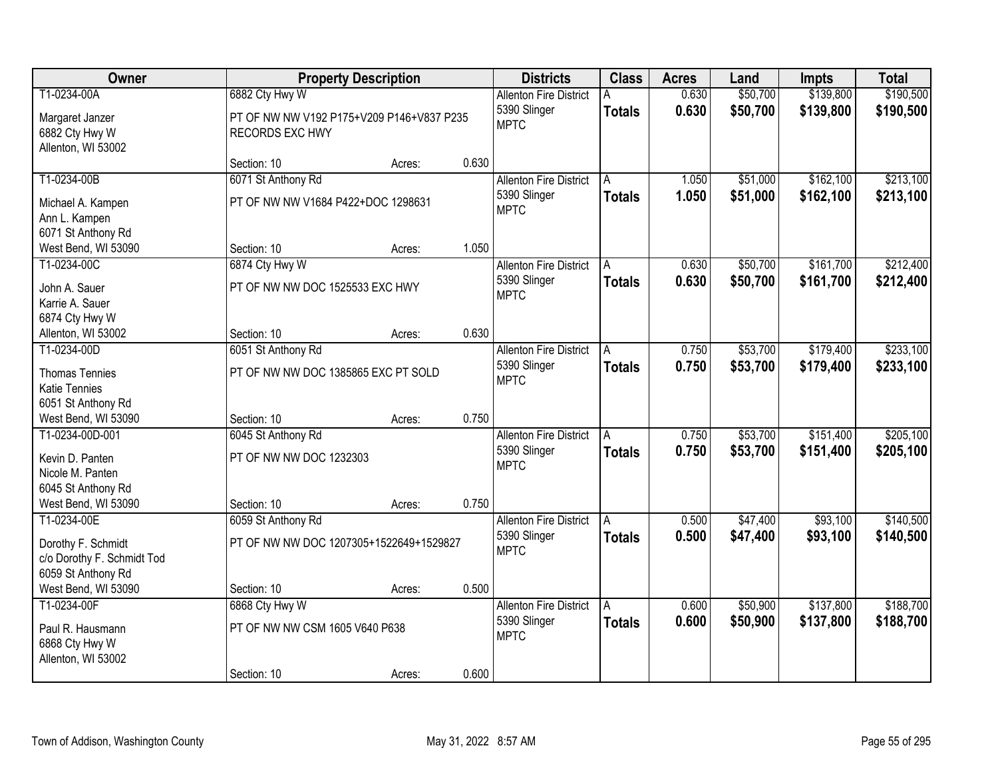| Owner                                                                                 |                                                                                       | <b>Property Description</b> |       | <b>Districts</b>                                             | <b>Class</b>       | <b>Acres</b>   | Land                 | <b>Impts</b>           | <b>Total</b>           |
|---------------------------------------------------------------------------------------|---------------------------------------------------------------------------------------|-----------------------------|-------|--------------------------------------------------------------|--------------------|----------------|----------------------|------------------------|------------------------|
| T1-0234-00A<br>Margaret Janzer<br>6882 Cty Hwy W<br>Allenton, WI 53002                | 6882 Cty Hwy W<br>PT OF NW NW V192 P175+V209 P146+V837 P235<br><b>RECORDS EXC HWY</b> |                             |       | <b>Allenton Fire District</b><br>5390 Slinger<br><b>MPTC</b> | <b>Totals</b>      | 0.630<br>0.630 | \$50,700<br>\$50,700 | \$139,800<br>\$139,800 | \$190,500<br>\$190,500 |
|                                                                                       | Section: 10                                                                           | Acres:                      | 0.630 |                                                              |                    |                |                      |                        |                        |
| T1-0234-00B<br>Michael A. Kampen                                                      | 6071 St Anthony Rd<br>PT OF NW NW V1684 P422+DOC 1298631                              |                             |       | <b>Allenton Fire District</b><br>5390 Slinger                | A<br><b>Totals</b> | 1.050<br>1.050 | \$51,000<br>\$51,000 | \$162,100<br>\$162,100 | \$213,100<br>\$213,100 |
| Ann L. Kampen<br>6071 St Anthony Rd                                                   |                                                                                       |                             |       | <b>MPTC</b>                                                  |                    |                |                      |                        |                        |
| West Bend, WI 53090                                                                   | Section: 10                                                                           | Acres:                      | 1.050 |                                                              |                    |                |                      |                        |                        |
| T1-0234-00C<br>John A. Sauer<br>Karrie A. Sauer                                       | 6874 Cty Hwy W<br>PT OF NW NW DOC 1525533 EXC HWY                                     |                             |       | <b>Allenton Fire District</b><br>5390 Slinger<br><b>MPTC</b> | A<br><b>Totals</b> | 0.630<br>0.630 | \$50,700<br>\$50,700 | \$161,700<br>\$161,700 | \$212,400<br>\$212,400 |
| 6874 Cty Hwy W<br>Allenton, WI 53002                                                  | Section: 10                                                                           | Acres:                      | 0.630 |                                                              |                    |                |                      |                        |                        |
| T1-0234-00D                                                                           | 6051 St Anthony Rd                                                                    |                             |       | <b>Allenton Fire District</b>                                | A                  | 0.750          | \$53,700             | \$179,400              | \$233,100              |
| <b>Thomas Tennies</b><br><b>Katie Tennies</b>                                         | PT OF NW NW DOC 1385865 EXC PT SOLD                                                   |                             |       | 5390 Slinger<br><b>MPTC</b>                                  | <b>Totals</b>      | 0.750          | \$53,700             | \$179,400              | \$233,100              |
| 6051 St Anthony Rd                                                                    |                                                                                       |                             | 0.750 |                                                              |                    |                |                      |                        |                        |
| West Bend, WI 53090<br>T1-0234-00D-001                                                | Section: 10<br>6045 St Anthony Rd                                                     | Acres:                      |       | <b>Allenton Fire District</b>                                |                    | 0.750          | \$53,700             | \$151,400              | \$205,100              |
| Kevin D. Panten<br>Nicole M. Panten<br>6045 St Anthony Rd                             | PT OF NW NW DOC 1232303                                                               |                             |       | 5390 Slinger<br><b>MPTC</b>                                  | <b>Totals</b>      | 0.750          | \$53,700             | \$151,400              | \$205,100              |
| West Bend, WI 53090                                                                   | Section: 10                                                                           | Acres:                      | 0.750 |                                                              |                    |                |                      |                        |                        |
| T1-0234-00E<br>Dorothy F. Schmidt<br>c/o Dorothy F. Schmidt Tod<br>6059 St Anthony Rd | 6059 St Anthony Rd<br>PT OF NW NW DOC 1207305+1522649+1529827                         |                             |       | <b>Allenton Fire District</b><br>5390 Slinger<br><b>MPTC</b> | A<br><b>Totals</b> | 0.500<br>0.500 | \$47,400<br>\$47,400 | \$93,100<br>\$93,100   | \$140,500<br>\$140,500 |
| West Bend, WI 53090                                                                   | Section: 10                                                                           | Acres:                      | 0.500 |                                                              |                    |                |                      |                        |                        |
| T1-0234-00F<br>Paul R. Hausmann<br>6868 Cty Hwy W<br>Allenton, WI 53002               | 6868 Cty Hwy W<br>PT OF NW NW CSM 1605 V640 P638                                      |                             |       | <b>Allenton Fire District</b><br>5390 Slinger<br><b>MPTC</b> | A<br><b>Totals</b> | 0.600<br>0.600 | \$50,900<br>\$50,900 | \$137,800<br>\$137,800 | \$188,700<br>\$188,700 |
|                                                                                       | Section: 10                                                                           | Acres:                      | 0.600 |                                                              |                    |                |                      |                        |                        |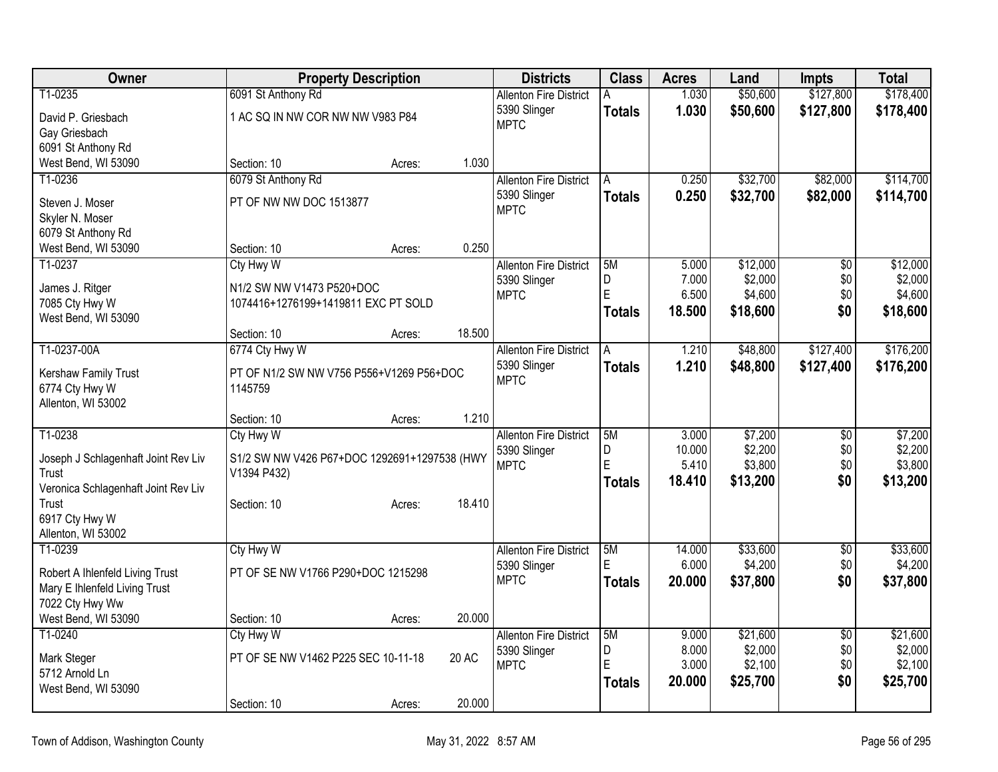| Owner                                        | <b>Property Description</b>                                 |        |              | <b>Districts</b>                              | <b>Class</b>  | <b>Acres</b>   | Land                | <b>Impts</b>           | <b>Total</b>        |
|----------------------------------------------|-------------------------------------------------------------|--------|--------------|-----------------------------------------------|---------------|----------------|---------------------|------------------------|---------------------|
| T1-0235                                      | 6091 St Anthony Rd                                          |        |              | <b>Allenton Fire District</b>                 | А             | 1.030          | \$50,600            | \$127,800              | \$178,400           |
| David P. Griesbach                           | 1 AC SQ IN NW COR NW NW V983 P84                            |        |              | 5390 Slinger                                  | <b>Totals</b> | 1.030          | \$50,600            | \$127,800              | \$178,400           |
| Gay Griesbach                                |                                                             |        |              | <b>MPTC</b>                                   |               |                |                     |                        |                     |
| 6091 St Anthony Rd                           |                                                             |        |              |                                               |               |                |                     |                        |                     |
| West Bend, WI 53090                          | Section: 10                                                 | Acres: | 1.030        |                                               |               |                |                     |                        |                     |
| T1-0236                                      | 6079 St Anthony Rd                                          |        |              | <b>Allenton Fire District</b>                 | A             | 0.250          | \$32,700            | \$82,000               | \$114,700           |
| Steven J. Moser                              | PT OF NW NW DOC 1513877                                     |        |              | 5390 Slinger<br><b>MPTC</b>                   | <b>Totals</b> | 0.250          | \$32,700            | \$82,000               | \$114,700           |
| Skyler N. Moser                              |                                                             |        |              |                                               |               |                |                     |                        |                     |
| 6079 St Anthony Rd                           |                                                             |        |              |                                               |               |                |                     |                        |                     |
| West Bend, WI 53090                          | Section: 10                                                 | Acres: | 0.250        |                                               |               |                |                     |                        |                     |
| T1-0237                                      | <b>Cty Hwy W</b>                                            |        |              | <b>Allenton Fire District</b><br>5390 Slinger | 5M<br>D       | 5.000<br>7.000 | \$12,000<br>\$2,000 | $\overline{50}$<br>\$0 | \$12,000<br>\$2,000 |
| James J. Ritger                              | N1/2 SW NW V1473 P520+DOC                                   |        |              | <b>MPTC</b>                                   | E             | 6.500          | \$4,600             | \$0                    | \$4,600             |
| 7085 Cty Hwy W                               | 1074416+1276199+1419811 EXC PT SOLD                         |        |              |                                               | <b>Totals</b> | 18.500         | \$18,600            | \$0                    | \$18,600            |
| West Bend, WI 53090                          |                                                             |        | 18.500       |                                               |               |                |                     |                        |                     |
| T1-0237-00A                                  | Section: 10<br>6774 Cty Hwy W                               | Acres: |              | <b>Allenton Fire District</b>                 | A             | 1.210          | \$48,800            | \$127,400              | \$176,200           |
|                                              |                                                             |        |              | 5390 Slinger                                  | <b>Totals</b> | 1.210          | \$48,800            | \$127,400              | \$176,200           |
| Kershaw Family Trust                         | PT OF N1/2 SW NW V756 P556+V1269 P56+DOC                    |        |              | <b>MPTC</b>                                   |               |                |                     |                        |                     |
| 6774 Cty Hwy W                               | 1145759                                                     |        |              |                                               |               |                |                     |                        |                     |
| Allenton, WI 53002                           | Section: 10                                                 | Acres: | 1.210        |                                               |               |                |                     |                        |                     |
| T1-0238                                      | <b>Cty Hwy W</b>                                            |        |              | <b>Allenton Fire District</b>                 | 5M            | 3.000          | \$7,200             | $\overline{50}$        | \$7,200             |
|                                              |                                                             |        |              | 5390 Slinger                                  | D             | 10.000         | \$2,200             | \$0                    | \$2,200             |
| Joseph J Schlagenhaft Joint Rev Liv<br>Trust | S1/2 SW NW V426 P67+DOC 1292691+1297538 (HWY<br>V1394 P432) |        |              | <b>MPTC</b>                                   | E             | 5.410          | \$3,800             | \$0                    | \$3,800             |
| Veronica Schlagenhaft Joint Rev Liv          |                                                             |        |              |                                               | <b>Totals</b> | 18.410         | \$13,200            | \$0                    | \$13,200            |
| Trust                                        | Section: 10                                                 | Acres: | 18.410       |                                               |               |                |                     |                        |                     |
| 6917 Cty Hwy W                               |                                                             |        |              |                                               |               |                |                     |                        |                     |
| Allenton, WI 53002                           |                                                             |        |              |                                               |               |                |                     |                        |                     |
| T1-0239                                      | <b>Cty Hwy W</b>                                            |        |              | <b>Allenton Fire District</b>                 | 5M            | 14.000         | \$33,600            | $\overline{60}$        | \$33,600            |
| Robert A Ihlenfeld Living Trust              | PT OF SE NW V1766 P290+DOC 1215298                          |        |              | 5390 Slinger<br><b>MPTC</b>                   | E             | 6.000          | \$4,200             | \$0                    | \$4,200             |
| Mary E Ihlenfeld Living Trust                |                                                             |        |              |                                               | Totals        | 20.000         | \$37,800            | \$0                    | \$37,800            |
| 7022 Cty Hwy Ww                              |                                                             |        |              |                                               |               |                |                     |                        |                     |
| West Bend, WI 53090                          | Section: 10                                                 | Acres: | 20.000       |                                               |               |                |                     |                        |                     |
| T1-0240                                      | <b>Cty Hwy W</b>                                            |        |              | <b>Allenton Fire District</b>                 | 5M<br>D       | 9.000<br>8.000 | \$21,600<br>\$2,000 | $\overline{50}$<br>\$0 | \$21,600<br>\$2,000 |
| Mark Steger                                  | PT OF SE NW V1462 P225 SEC 10-11-18                         |        | <b>20 AC</b> | 5390 Slinger<br><b>MPTC</b>                   | E             | 3.000          | \$2,100             | \$0                    | \$2,100             |
| 5712 Arnold Ln                               |                                                             |        |              |                                               | Totals        | 20.000         | \$25,700            | \$0                    | \$25,700            |
| West Bend, WI 53090                          |                                                             |        |              |                                               |               |                |                     |                        |                     |
|                                              | Section: 10                                                 | Acres: | 20.000       |                                               |               |                |                     |                        |                     |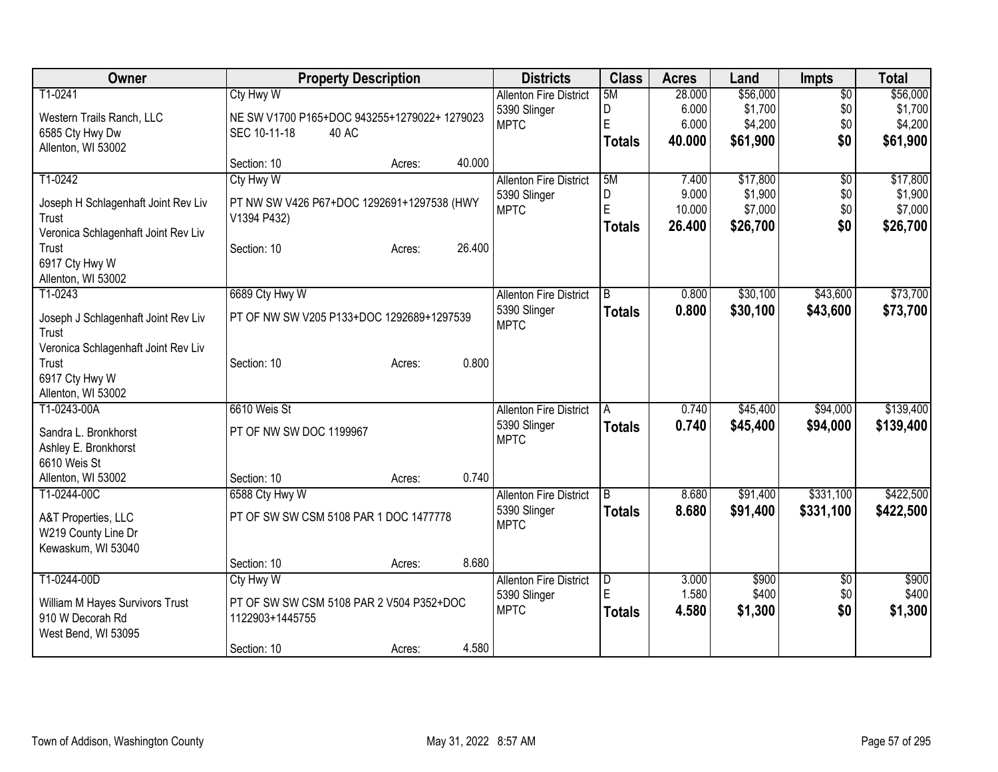| \$56,000<br>T1-0241<br>Cty Hwy W<br>5M<br>\$56,000<br>$\overline{50}$<br><b>Allenton Fire District</b><br>28.000<br>D<br>6.000<br>\$1,700<br>\$0<br>\$1,700<br>5390 Slinger<br>NE SW V1700 P165+DOC 943255+1279022+ 1279023<br>Western Trails Ranch, LLC<br>E<br>\$4,200<br>\$0<br>6.000<br><b>MPTC</b><br>6585 Cty Hwy Dw<br>SEC 10-11-18<br>40 AC<br>\$0<br>\$61,900<br>\$61,900<br>40.000<br><b>Totals</b><br>Allenton, WI 53002<br>40.000<br>Section: 10<br>Acres:<br>5M<br>\$17,800<br>T1-0242<br>Cty Hwy W<br><b>Allenton Fire District</b><br>7.400<br>$\overline{50}$<br>\$1,900<br>\$0<br>D<br>9.000<br>5390 Slinger<br>Joseph H Schlagenhaft Joint Rev Liv<br>PT NW SW V426 P67+DOC 1292691+1297538 (HWY<br>E<br>10.000<br>\$7,000<br>\$0<br><b>MPTC</b><br>V1394 P432)<br>Trust<br>\$0<br>26.400<br>\$26,700<br><b>Totals</b><br>Veronica Schlagenhaft Joint Rev Liv<br>26.400<br>Trust<br>Section: 10<br>Acres:<br>6917 Cty Hwy W<br>Allenton, WI 53002<br>6689 Cty Hwy W<br>\$30,100<br>\$43,600<br>T1-0243<br><b>Allenton Fire District</b><br>$\overline{B}$<br>0.800<br>5390 Slinger<br>0.800<br>\$30,100<br>\$43,600<br><b>Totals</b><br>PT OF NW SW V205 P133+DOC 1292689+1297539<br>Joseph J Schlagenhaft Joint Rev Liv<br><b>MPTC</b><br>Trust<br>Veronica Schlagenhaft Joint Rev Liv<br>0.800<br>Section: 10<br>Trust<br>Acres:<br>6917 Cty Hwy W<br>Allenton, WI 53002<br>\$94,000<br>T1-0243-00A<br>6610 Weis St<br>0.740<br>\$45,400<br><b>Allenton Fire District</b><br>A<br>5390 Slinger<br>0.740<br>\$45,400<br>\$94,000<br>\$139,400<br><b>Totals</b><br>PT OF NW SW DOC 1199967<br>Sandra L. Bronkhorst<br><b>MPTC</b><br>Ashley E. Bronkhorst<br>6610 Weis St<br>0.740<br>Section: 10<br>Allenton, WI 53002<br>Acres:<br>T1-0244-00C<br><b>Allenton Fire District</b><br>\$91,400<br>\$331,100<br>$\overline{B}$<br>8.680<br>6588 Cty Hwy W<br>5390 Slinger<br>8.680<br>\$331,100<br>\$91,400<br><b>Totals</b><br>PT OF SW SW CSM 5108 PAR 1 DOC 1477778<br>A&T Properties, LLC<br><b>MPTC</b><br>W219 County Line Dr<br>Kewaskum, WI 53040<br>8.680<br>Section: 10<br>Acres:<br>T1-0244-00D<br>\$900<br>\$900<br>Cty Hwy W<br><b>Allenton Fire District</b><br>$\overline{D}$<br>3.000<br>\$0<br>E<br>1.580<br>\$400<br>\$0<br>5390 Slinger<br>PT OF SW SW CSM 5108 PAR 2 V504 P352+DOC<br>William M Hayes Survivors Trust<br>\$1,300<br>\$0<br>\$1,300<br>4.580<br><b>MPTC</b><br><b>Totals</b><br>910 W Decorah Rd<br>1122903+1445755<br>West Bend, WI 53095 | Owner | <b>Property Description</b> | <b>Districts</b> | <b>Class</b> | <b>Acres</b> | Land | <b>Impts</b> | <b>Total</b> |
|-----------------------------------------------------------------------------------------------------------------------------------------------------------------------------------------------------------------------------------------------------------------------------------------------------------------------------------------------------------------------------------------------------------------------------------------------------------------------------------------------------------------------------------------------------------------------------------------------------------------------------------------------------------------------------------------------------------------------------------------------------------------------------------------------------------------------------------------------------------------------------------------------------------------------------------------------------------------------------------------------------------------------------------------------------------------------------------------------------------------------------------------------------------------------------------------------------------------------------------------------------------------------------------------------------------------------------------------------------------------------------------------------------------------------------------------------------------------------------------------------------------------------------------------------------------------------------------------------------------------------------------------------------------------------------------------------------------------------------------------------------------------------------------------------------------------------------------------------------------------------------------------------------------------------------------------------------------------------------------------------------------------------------------------------------------------------------------------------------------------------------------------------------------------------------------------------------------------------------------------------------------------------------------------------------------------------------------------------------------------------------------------------------------------------------------------------------------------------------------------------|-------|-----------------------------|------------------|--------------|--------------|------|--------------|--------------|
| \$4,200                                                                                                                                                                                                                                                                                                                                                                                                                                                                                                                                                                                                                                                                                                                                                                                                                                                                                                                                                                                                                                                                                                                                                                                                                                                                                                                                                                                                                                                                                                                                                                                                                                                                                                                                                                                                                                                                                                                                                                                                                                                                                                                                                                                                                                                                                                                                                                                                                                                                                       |       |                             |                  |              |              |      |              |              |
|                                                                                                                                                                                                                                                                                                                                                                                                                                                                                                                                                                                                                                                                                                                                                                                                                                                                                                                                                                                                                                                                                                                                                                                                                                                                                                                                                                                                                                                                                                                                                                                                                                                                                                                                                                                                                                                                                                                                                                                                                                                                                                                                                                                                                                                                                                                                                                                                                                                                                               |       |                             |                  |              |              |      |              |              |
| \$17,800<br>\$26,700<br>\$73,700<br>\$422,500<br>\$400                                                                                                                                                                                                                                                                                                                                                                                                                                                                                                                                                                                                                                                                                                                                                                                                                                                                                                                                                                                                                                                                                                                                                                                                                                                                                                                                                                                                                                                                                                                                                                                                                                                                                                                                                                                                                                                                                                                                                                                                                                                                                                                                                                                                                                                                                                                                                                                                                                        |       |                             |                  |              |              |      |              |              |
|                                                                                                                                                                                                                                                                                                                                                                                                                                                                                                                                                                                                                                                                                                                                                                                                                                                                                                                                                                                                                                                                                                                                                                                                                                                                                                                                                                                                                                                                                                                                                                                                                                                                                                                                                                                                                                                                                                                                                                                                                                                                                                                                                                                                                                                                                                                                                                                                                                                                                               |       |                             |                  |              |              |      |              |              |
| \$1,900<br>\$7,000<br>\$73,700                                                                                                                                                                                                                                                                                                                                                                                                                                                                                                                                                                                                                                                                                                                                                                                                                                                                                                                                                                                                                                                                                                                                                                                                                                                                                                                                                                                                                                                                                                                                                                                                                                                                                                                                                                                                                                                                                                                                                                                                                                                                                                                                                                                                                                                                                                                                                                                                                                                                |       |                             |                  |              |              |      |              |              |
|                                                                                                                                                                                                                                                                                                                                                                                                                                                                                                                                                                                                                                                                                                                                                                                                                                                                                                                                                                                                                                                                                                                                                                                                                                                                                                                                                                                                                                                                                                                                                                                                                                                                                                                                                                                                                                                                                                                                                                                                                                                                                                                                                                                                                                                                                                                                                                                                                                                                                               |       |                             |                  |              |              |      |              |              |
|                                                                                                                                                                                                                                                                                                                                                                                                                                                                                                                                                                                                                                                                                                                                                                                                                                                                                                                                                                                                                                                                                                                                                                                                                                                                                                                                                                                                                                                                                                                                                                                                                                                                                                                                                                                                                                                                                                                                                                                                                                                                                                                                                                                                                                                                                                                                                                                                                                                                                               |       |                             |                  |              |              |      |              |              |
|                                                                                                                                                                                                                                                                                                                                                                                                                                                                                                                                                                                                                                                                                                                                                                                                                                                                                                                                                                                                                                                                                                                                                                                                                                                                                                                                                                                                                                                                                                                                                                                                                                                                                                                                                                                                                                                                                                                                                                                                                                                                                                                                                                                                                                                                                                                                                                                                                                                                                               |       |                             |                  |              |              |      |              |              |
|                                                                                                                                                                                                                                                                                                                                                                                                                                                                                                                                                                                                                                                                                                                                                                                                                                                                                                                                                                                                                                                                                                                                                                                                                                                                                                                                                                                                                                                                                                                                                                                                                                                                                                                                                                                                                                                                                                                                                                                                                                                                                                                                                                                                                                                                                                                                                                                                                                                                                               |       |                             |                  |              |              |      |              |              |
|                                                                                                                                                                                                                                                                                                                                                                                                                                                                                                                                                                                                                                                                                                                                                                                                                                                                                                                                                                                                                                                                                                                                                                                                                                                                                                                                                                                                                                                                                                                                                                                                                                                                                                                                                                                                                                                                                                                                                                                                                                                                                                                                                                                                                                                                                                                                                                                                                                                                                               |       |                             |                  |              |              |      |              |              |
|                                                                                                                                                                                                                                                                                                                                                                                                                                                                                                                                                                                                                                                                                                                                                                                                                                                                                                                                                                                                                                                                                                                                                                                                                                                                                                                                                                                                                                                                                                                                                                                                                                                                                                                                                                                                                                                                                                                                                                                                                                                                                                                                                                                                                                                                                                                                                                                                                                                                                               |       |                             |                  |              |              |      |              |              |
|                                                                                                                                                                                                                                                                                                                                                                                                                                                                                                                                                                                                                                                                                                                                                                                                                                                                                                                                                                                                                                                                                                                                                                                                                                                                                                                                                                                                                                                                                                                                                                                                                                                                                                                                                                                                                                                                                                                                                                                                                                                                                                                                                                                                                                                                                                                                                                                                                                                                                               |       |                             |                  |              |              |      |              |              |
|                                                                                                                                                                                                                                                                                                                                                                                                                                                                                                                                                                                                                                                                                                                                                                                                                                                                                                                                                                                                                                                                                                                                                                                                                                                                                                                                                                                                                                                                                                                                                                                                                                                                                                                                                                                                                                                                                                                                                                                                                                                                                                                                                                                                                                                                                                                                                                                                                                                                                               |       |                             |                  |              |              |      |              |              |
|                                                                                                                                                                                                                                                                                                                                                                                                                                                                                                                                                                                                                                                                                                                                                                                                                                                                                                                                                                                                                                                                                                                                                                                                                                                                                                                                                                                                                                                                                                                                                                                                                                                                                                                                                                                                                                                                                                                                                                                                                                                                                                                                                                                                                                                                                                                                                                                                                                                                                               |       |                             |                  |              |              |      |              |              |
|                                                                                                                                                                                                                                                                                                                                                                                                                                                                                                                                                                                                                                                                                                                                                                                                                                                                                                                                                                                                                                                                                                                                                                                                                                                                                                                                                                                                                                                                                                                                                                                                                                                                                                                                                                                                                                                                                                                                                                                                                                                                                                                                                                                                                                                                                                                                                                                                                                                                                               |       |                             |                  |              |              |      |              |              |
|                                                                                                                                                                                                                                                                                                                                                                                                                                                                                                                                                                                                                                                                                                                                                                                                                                                                                                                                                                                                                                                                                                                                                                                                                                                                                                                                                                                                                                                                                                                                                                                                                                                                                                                                                                                                                                                                                                                                                                                                                                                                                                                                                                                                                                                                                                                                                                                                                                                                                               |       |                             |                  |              |              |      |              |              |
| \$139,400<br>\$422,500                                                                                                                                                                                                                                                                                                                                                                                                                                                                                                                                                                                                                                                                                                                                                                                                                                                                                                                                                                                                                                                                                                                                                                                                                                                                                                                                                                                                                                                                                                                                                                                                                                                                                                                                                                                                                                                                                                                                                                                                                                                                                                                                                                                                                                                                                                                                                                                                                                                                        |       |                             |                  |              |              |      |              |              |
|                                                                                                                                                                                                                                                                                                                                                                                                                                                                                                                                                                                                                                                                                                                                                                                                                                                                                                                                                                                                                                                                                                                                                                                                                                                                                                                                                                                                                                                                                                                                                                                                                                                                                                                                                                                                                                                                                                                                                                                                                                                                                                                                                                                                                                                                                                                                                                                                                                                                                               |       |                             |                  |              |              |      |              |              |
|                                                                                                                                                                                                                                                                                                                                                                                                                                                                                                                                                                                                                                                                                                                                                                                                                                                                                                                                                                                                                                                                                                                                                                                                                                                                                                                                                                                                                                                                                                                                                                                                                                                                                                                                                                                                                                                                                                                                                                                                                                                                                                                                                                                                                                                                                                                                                                                                                                                                                               |       |                             |                  |              |              |      |              |              |
|                                                                                                                                                                                                                                                                                                                                                                                                                                                                                                                                                                                                                                                                                                                                                                                                                                                                                                                                                                                                                                                                                                                                                                                                                                                                                                                                                                                                                                                                                                                                                                                                                                                                                                                                                                                                                                                                                                                                                                                                                                                                                                                                                                                                                                                                                                                                                                                                                                                                                               |       |                             |                  |              |              |      |              |              |
|                                                                                                                                                                                                                                                                                                                                                                                                                                                                                                                                                                                                                                                                                                                                                                                                                                                                                                                                                                                                                                                                                                                                                                                                                                                                                                                                                                                                                                                                                                                                                                                                                                                                                                                                                                                                                                                                                                                                                                                                                                                                                                                                                                                                                                                                                                                                                                                                                                                                                               |       |                             |                  |              |              |      |              |              |
|                                                                                                                                                                                                                                                                                                                                                                                                                                                                                                                                                                                                                                                                                                                                                                                                                                                                                                                                                                                                                                                                                                                                                                                                                                                                                                                                                                                                                                                                                                                                                                                                                                                                                                                                                                                                                                                                                                                                                                                                                                                                                                                                                                                                                                                                                                                                                                                                                                                                                               |       |                             |                  |              |              |      |              |              |
|                                                                                                                                                                                                                                                                                                                                                                                                                                                                                                                                                                                                                                                                                                                                                                                                                                                                                                                                                                                                                                                                                                                                                                                                                                                                                                                                                                                                                                                                                                                                                                                                                                                                                                                                                                                                                                                                                                                                                                                                                                                                                                                                                                                                                                                                                                                                                                                                                                                                                               |       |                             |                  |              |              |      |              |              |
|                                                                                                                                                                                                                                                                                                                                                                                                                                                                                                                                                                                                                                                                                                                                                                                                                                                                                                                                                                                                                                                                                                                                                                                                                                                                                                                                                                                                                                                                                                                                                                                                                                                                                                                                                                                                                                                                                                                                                                                                                                                                                                                                                                                                                                                                                                                                                                                                                                                                                               |       |                             |                  |              |              |      |              |              |
|                                                                                                                                                                                                                                                                                                                                                                                                                                                                                                                                                                                                                                                                                                                                                                                                                                                                                                                                                                                                                                                                                                                                                                                                                                                                                                                                                                                                                                                                                                                                                                                                                                                                                                                                                                                                                                                                                                                                                                                                                                                                                                                                                                                                                                                                                                                                                                                                                                                                                               |       |                             |                  |              |              |      |              |              |
|                                                                                                                                                                                                                                                                                                                                                                                                                                                                                                                                                                                                                                                                                                                                                                                                                                                                                                                                                                                                                                                                                                                                                                                                                                                                                                                                                                                                                                                                                                                                                                                                                                                                                                                                                                                                                                                                                                                                                                                                                                                                                                                                                                                                                                                                                                                                                                                                                                                                                               |       |                             |                  |              |              |      |              |              |
|                                                                                                                                                                                                                                                                                                                                                                                                                                                                                                                                                                                                                                                                                                                                                                                                                                                                                                                                                                                                                                                                                                                                                                                                                                                                                                                                                                                                                                                                                                                                                                                                                                                                                                                                                                                                                                                                                                                                                                                                                                                                                                                                                                                                                                                                                                                                                                                                                                                                                               |       |                             |                  |              |              |      |              |              |
|                                                                                                                                                                                                                                                                                                                                                                                                                                                                                                                                                                                                                                                                                                                                                                                                                                                                                                                                                                                                                                                                                                                                                                                                                                                                                                                                                                                                                                                                                                                                                                                                                                                                                                                                                                                                                                                                                                                                                                                                                                                                                                                                                                                                                                                                                                                                                                                                                                                                                               |       |                             |                  |              |              |      |              |              |
|                                                                                                                                                                                                                                                                                                                                                                                                                                                                                                                                                                                                                                                                                                                                                                                                                                                                                                                                                                                                                                                                                                                                                                                                                                                                                                                                                                                                                                                                                                                                                                                                                                                                                                                                                                                                                                                                                                                                                                                                                                                                                                                                                                                                                                                                                                                                                                                                                                                                                               |       |                             |                  |              |              |      |              |              |
|                                                                                                                                                                                                                                                                                                                                                                                                                                                                                                                                                                                                                                                                                                                                                                                                                                                                                                                                                                                                                                                                                                                                                                                                                                                                                                                                                                                                                                                                                                                                                                                                                                                                                                                                                                                                                                                                                                                                                                                                                                                                                                                                                                                                                                                                                                                                                                                                                                                                                               |       |                             |                  |              |              |      |              |              |
|                                                                                                                                                                                                                                                                                                                                                                                                                                                                                                                                                                                                                                                                                                                                                                                                                                                                                                                                                                                                                                                                                                                                                                                                                                                                                                                                                                                                                                                                                                                                                                                                                                                                                                                                                                                                                                                                                                                                                                                                                                                                                                                                                                                                                                                                                                                                                                                                                                                                                               |       |                             |                  |              |              |      |              |              |
| 4.580<br>Section: 10<br>Acres:                                                                                                                                                                                                                                                                                                                                                                                                                                                                                                                                                                                                                                                                                                                                                                                                                                                                                                                                                                                                                                                                                                                                                                                                                                                                                                                                                                                                                                                                                                                                                                                                                                                                                                                                                                                                                                                                                                                                                                                                                                                                                                                                                                                                                                                                                                                                                                                                                                                                |       |                             |                  |              |              |      |              |              |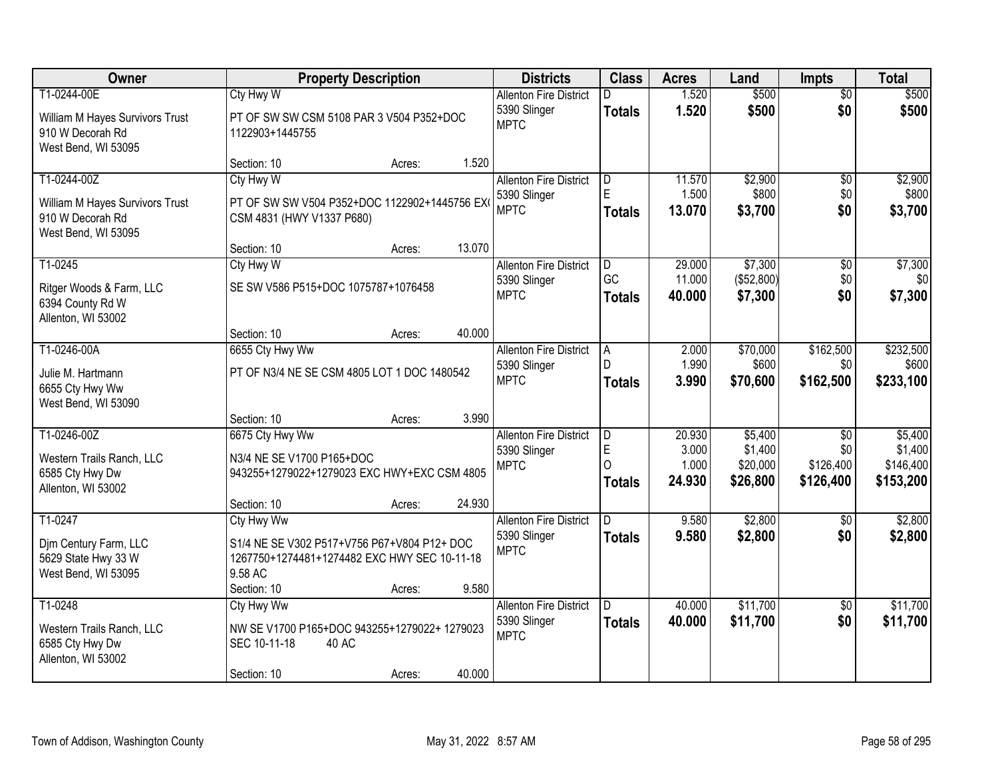| <b>Owner</b>                                                                              |                                                                                                                                     | <b>Property Description</b> |        | <b>Districts</b>                                             | <b>Class</b>                                  | <b>Acres</b>                       | Land                                       | <b>Impts</b>                                     | <b>Total</b>                                 |
|-------------------------------------------------------------------------------------------|-------------------------------------------------------------------------------------------------------------------------------------|-----------------------------|--------|--------------------------------------------------------------|-----------------------------------------------|------------------------------------|--------------------------------------------|--------------------------------------------------|----------------------------------------------|
| T1-0244-00E<br>William M Hayes Survivors Trust<br>910 W Decorah Rd<br>West Bend, WI 53095 | Cty Hwy W<br>PT OF SW SW CSM 5108 PAR 3 V504 P352+DOC<br>1122903+1445755                                                            |                             |        | <b>Allenton Fire District</b><br>5390 Slinger<br><b>MPTC</b> | <b>Totals</b>                                 | 1.520<br>1.520                     | \$500<br>\$500                             | $\overline{50}$<br>\$0                           | \$500<br>\$500                               |
|                                                                                           | Section: 10                                                                                                                         | Acres:                      | 1.520  |                                                              |                                               |                                    |                                            |                                                  |                                              |
| T1-0244-00Z<br>William M Hayes Survivors Trust<br>910 W Decorah Rd<br>West Bend, WI 53095 | Cty Hwy W<br>PT OF SW SW V504 P352+DOC 1122902+1445756 EX<br>CSM 4831 (HWY V1337 P680)                                              |                             |        | <b>Allenton Fire District</b><br>5390 Slinger<br><b>MPTC</b> | ID.<br>E<br>Totals                            | 11.570<br>1.500<br>13.070          | \$2,900<br>\$800<br>\$3,700                | \$0<br>\$0<br>\$0                                | \$2,900<br>\$800<br>\$3,700                  |
|                                                                                           | Section: 10                                                                                                                         | Acres:                      | 13.070 |                                                              |                                               |                                    |                                            |                                                  |                                              |
| T1-0245<br>Ritger Woods & Farm, LLC<br>6394 County Rd W<br>Allenton, WI 53002             | Cty Hwy W<br>SE SW V586 P515+DOC 1075787+1076458                                                                                    |                             |        | <b>Allenton Fire District</b><br>5390 Slinger<br><b>MPTC</b> | D<br>GC<br><b>Totals</b>                      | 29.000<br>11.000<br>40.000         | \$7,300<br>(\$52,800)<br>\$7,300           | \$0<br>\$0<br>\$0                                | \$7,300<br>\$0<br>\$7,300                    |
|                                                                                           | Section: 10                                                                                                                         | Acres:                      | 40.000 |                                                              |                                               |                                    |                                            |                                                  |                                              |
| T1-0246-00A<br>Julie M. Hartmann<br>6655 Cty Hwy Ww<br>West Bend, WI 53090                | 6655 Cty Hwy Ww<br>PT OF N3/4 NE SE CSM 4805 LOT 1 DOC 1480542                                                                      |                             |        | <b>Allenton Fire District</b><br>5390 Slinger<br><b>MPTC</b> | $\overline{A}$<br>D<br><b>Totals</b>          | 2.000<br>1.990<br>3.990            | \$70,000<br>\$600<br>\$70,600              | \$162,500<br>\$0<br>\$162,500                    | \$232,500<br>\$600<br>\$233,100              |
|                                                                                           | Section: 10                                                                                                                         | Acres:                      | 3.990  |                                                              |                                               |                                    |                                            |                                                  |                                              |
| T1-0246-00Z<br>Western Trails Ranch, LLC<br>6585 Cty Hwy Dw<br>Allenton, WI 53002         | 6675 Cty Hwy Ww<br>N3/4 NE SE V1700 P165+DOC<br>943255+1279022+1279023 EXC HWY+EXC CSM 4805<br>Section: 10                          | Acres:                      | 24.930 | <b>Allenton Fire District</b><br>5390 Slinger<br><b>MPTC</b> | D<br>$\mathsf E$<br>$\Omega$<br><b>Totals</b> | 20.930<br>3.000<br>1.000<br>24.930 | \$5,400<br>\$1,400<br>\$20,000<br>\$26,800 | $\overline{50}$<br>\$0<br>\$126,400<br>\$126,400 | \$5,400<br>\$1,400<br>\$146,400<br>\$153,200 |
| T1-0247<br>Djm Century Farm, LLC<br>5629 State Hwy 33 W<br>West Bend, WI 53095            | Cty Hwy Ww<br>S1/4 NE SE V302 P517+V756 P67+V804 P12+ DOC<br>1267750+1274481+1274482 EXC HWY SEC 10-11-18<br>9.58 AC<br>Section: 10 | Acres:                      | 9.580  | <b>Allenton Fire District</b><br>5390 Slinger<br><b>MPTC</b> | ID.<br><b>Totals</b>                          | 9.580<br>9.580                     | \$2,800<br>\$2,800                         | \$0<br>\$0                                       | \$2,800<br>\$2,800                           |
| T1-0248<br>Western Trails Ranch, LLC<br>6585 Cty Hwy Dw<br>Allenton, WI 53002             | Cty Hwy Ww<br>NW SE V1700 P165+DOC 943255+1279022+ 1279023<br>SEC 10-11-18<br>Section: 10                                           | 40 AC<br>Acres:             | 40.000 | <b>Allenton Fire District</b><br>5390 Slinger<br><b>MPTC</b> | ID.<br><b>Totals</b>                          | 40.000<br>40.000                   | \$11,700<br>\$11,700                       | $\overline{30}$<br>\$0                           | \$11,700<br>\$11,700                         |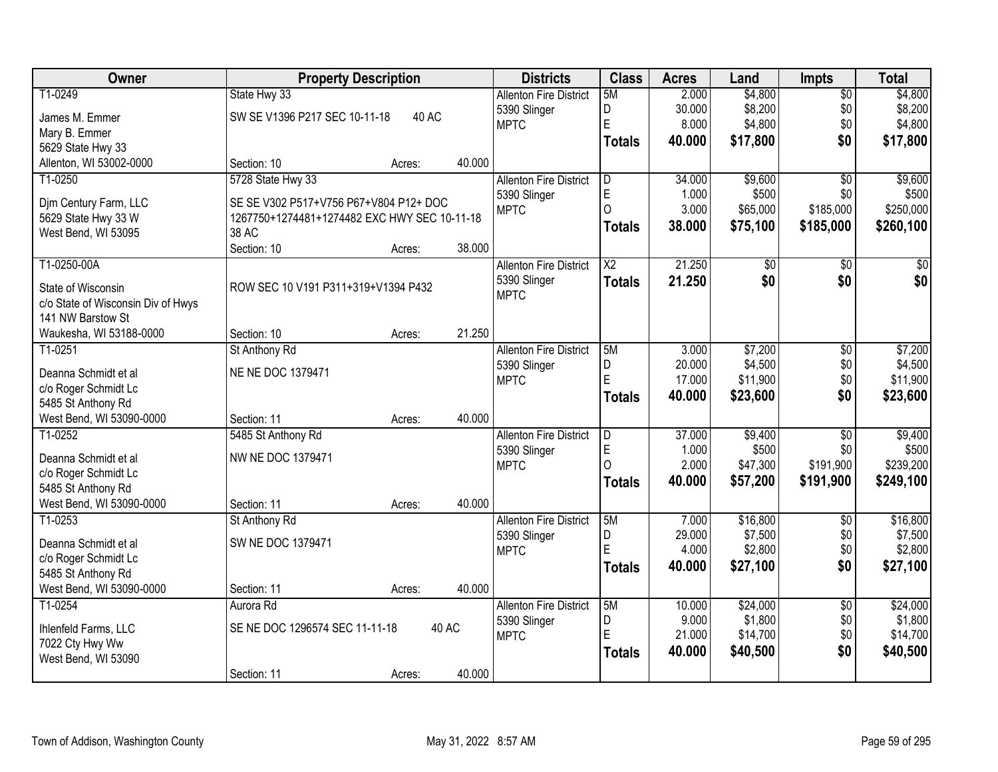| Owner                              | <b>Property Description</b>                  |        |        | <b>Districts</b>              | <b>Class</b>   | <b>Acres</b>    | Land                | <b>Impts</b>    | <b>Total</b>        |
|------------------------------------|----------------------------------------------|--------|--------|-------------------------------|----------------|-----------------|---------------------|-----------------|---------------------|
| T1-0249                            | State Hwy 33                                 |        |        | <b>Allenton Fire District</b> | 5M             | 2.000           | \$4,800             | $\overline{50}$ | \$4,800             |
| James M. Emmer                     | SW SE V1396 P217 SEC 10-11-18                | 40 AC  |        | 5390 Slinger                  | D              | 30.000          | \$8,200             | \$0             | \$8,200             |
| Mary B. Emmer                      |                                              |        |        | <b>MPTC</b>                   | E              | 8.000           | \$4,800             | \$0             | \$4,800             |
| 5629 State Hwy 33                  |                                              |        |        |                               | <b>Totals</b>  | 40.000          | \$17,800            | \$0             | \$17,800            |
| Allenton, WI 53002-0000            | Section: 10                                  | Acres: | 40.000 |                               |                |                 |                     |                 |                     |
| T1-0250                            | 5728 State Hwy 33                            |        |        | <b>Allenton Fire District</b> | D              | 34,000          | \$9,600             | $\overline{30}$ | \$9,600             |
|                                    |                                              |        |        | 5390 Slinger                  | $\mathsf E$    | 1.000           | \$500               | \$0             | \$500               |
| Dim Century Farm, LLC              | SE SE V302 P517+V756 P67+V804 P12+ DOC       |        |        | <b>MPTC</b>                   | $\Omega$       | 3.000           | \$65,000            | \$185,000       | \$250,000           |
| 5629 State Hwy 33 W                | 1267750+1274481+1274482 EXC HWY SEC 10-11-18 |        |        |                               | <b>Totals</b>  | 38.000          | \$75,100            | \$185,000       | \$260,100           |
| West Bend, WI 53095                | 38 AC<br>Section: 10                         |        | 38.000 |                               |                |                 |                     |                 |                     |
| T1-0250-00A                        |                                              | Acres: |        | <b>Allenton Fire District</b> | X <sub>2</sub> | 21.250          | \$0                 | \$0             | $\overline{50}$     |
|                                    |                                              |        |        | 5390 Slinger                  |                |                 | \$0                 | \$0             | \$0                 |
| State of Wisconsin                 | ROW SEC 10 V191 P311+319+V1394 P432          |        |        | <b>MPTC</b>                   | <b>Totals</b>  | 21.250          |                     |                 |                     |
| c/o State of Wisconsin Div of Hwys |                                              |        |        |                               |                |                 |                     |                 |                     |
| 141 NW Barstow St                  |                                              |        |        |                               |                |                 |                     |                 |                     |
| Waukesha, WI 53188-0000            | Section: 10                                  | Acres: | 21.250 |                               |                |                 |                     |                 |                     |
| $T1-0251$                          | St Anthony Rd                                |        |        | <b>Allenton Fire District</b> | 5M             | 3.000           | \$7,200             | \$0             | \$7,200             |
| Deanna Schmidt et al               | NE NE DOC 1379471                            |        |        | 5390 Slinger                  | D              | 20.000          | \$4,500             | \$0             | \$4,500             |
| c/o Roger Schmidt Lc               |                                              |        |        | <b>MPTC</b>                   | E              | 17.000          | \$11,900            | \$0             | \$11,900            |
| 5485 St Anthony Rd                 |                                              |        |        |                               | Totals         | 40.000          | \$23,600            | \$0             | \$23,600            |
| West Bend, WI 53090-0000           | Section: 11                                  | Acres: | 40.000 |                               |                |                 |                     |                 |                     |
| T1-0252                            | 5485 St Anthony Rd                           |        |        | <b>Allenton Fire District</b> | D              | 37.000          | \$9,400             | $\overline{50}$ | \$9,400             |
|                                    |                                              |        |        | 5390 Slinger                  | E              | 1.000           | \$500               | \$0             | \$500               |
| Deanna Schmidt et al               | NW NE DOC 1379471                            |        |        | <b>MPTC</b>                   | $\Omega$       | 2.000           | \$47,300            | \$191,900       | \$239,200           |
| c/o Roger Schmidt Lc               |                                              |        |        |                               | <b>Totals</b>  | 40.000          | \$57,200            | \$191,900       | \$249,100           |
| 5485 St Anthony Rd                 |                                              |        |        |                               |                |                 |                     |                 |                     |
| West Bend, WI 53090-0000           | Section: 11                                  | Acres: | 40.000 |                               |                |                 |                     |                 |                     |
| T1-0253                            | St Anthony Rd                                |        |        | <b>Allenton Fire District</b> | 5M             | 7.000           | \$16,800<br>\$7,500 | $\overline{50}$ | \$16,800<br>\$7,500 |
| Deanna Schmidt et al               | SW NE DOC 1379471                            |        |        | 5390 Slinger<br><b>MPTC</b>   | D<br>E         | 29.000<br>4.000 | \$2,800             | \$0<br>\$0      | \$2,800             |
| c/o Roger Schmidt Lc               |                                              |        |        |                               |                |                 |                     |                 |                     |
| 5485 St Anthony Rd                 |                                              |        |        |                               | Totals         | 40.000          | \$27,100            | \$0             | \$27,100            |
| West Bend, WI 53090-0000           | Section: 11                                  | Acres: | 40.000 |                               |                |                 |                     |                 |                     |
| T1-0254                            | Aurora Rd                                    |        |        | <b>Allenton Fire District</b> | 5M             | 10.000          | \$24,000            | $\overline{50}$ | \$24,000            |
| Ihlenfeld Farms, LLC               | SE NE DOC 1296574 SEC 11-11-18               |        | 40 AC  | 5390 Slinger                  | D              | 9.000           | \$1,800             | \$0             | \$1,800             |
| 7022 Cty Hwy Ww                    |                                              |        |        | <b>MPTC</b>                   | E              | 21.000          | \$14,700            | \$0             | \$14,700            |
| West Bend, WI 53090                |                                              |        |        |                               | <b>Totals</b>  | 40.000          | \$40,500            | \$0             | \$40,500            |
|                                    | Section: 11                                  | Acres: | 40.000 |                               |                |                 |                     |                 |                     |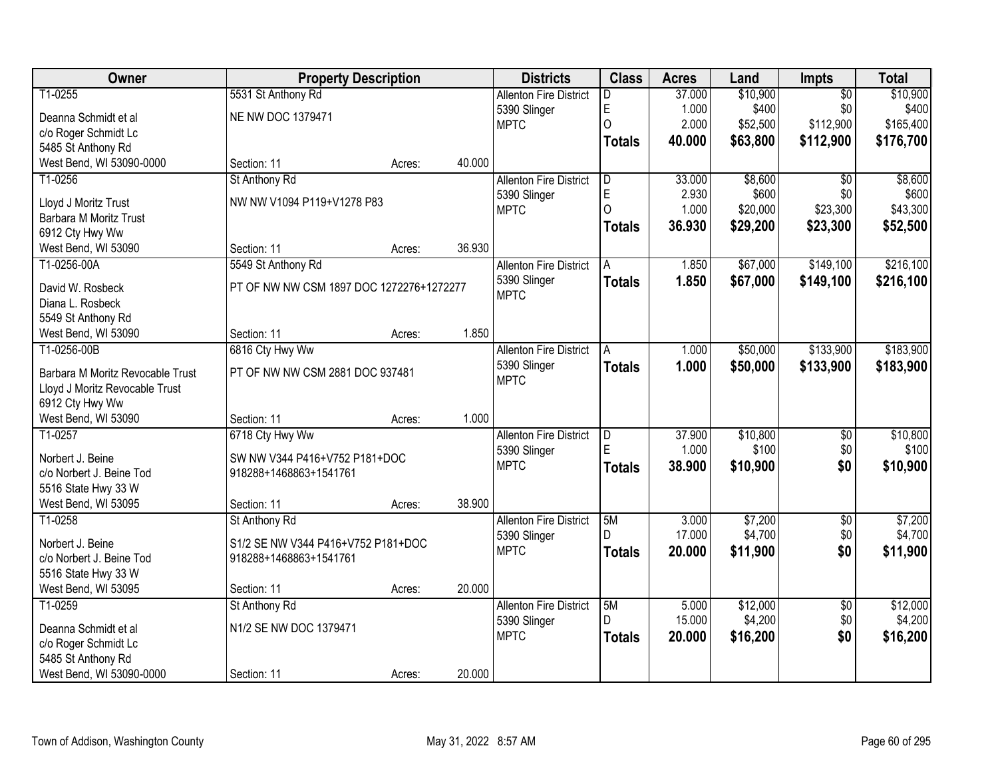| Owner                            | <b>Property Description</b>              |        |        | <b>Districts</b>              | <b>Class</b>  | <b>Acres</b> | Land     | <b>Impts</b>    | <b>Total</b> |
|----------------------------------|------------------------------------------|--------|--------|-------------------------------|---------------|--------------|----------|-----------------|--------------|
| T1-0255                          | 5531 St Anthony Rd                       |        |        | <b>Allenton Fire District</b> | D             | 37.000       | \$10,900 | $\overline{50}$ | \$10,900     |
| Deanna Schmidt et al             | <b>NE NW DOC 1379471</b>                 |        |        | 5390 Slinger                  | E             | 1.000        | \$400    | \$0             | \$400        |
| c/o Roger Schmidt Lc             |                                          |        |        | <b>MPTC</b>                   | $\Omega$      | 2.000        | \$52,500 | \$112,900       | \$165,400    |
| 5485 St Anthony Rd               |                                          |        |        |                               | <b>Totals</b> | 40.000       | \$63,800 | \$112,900       | \$176,700    |
| West Bend, WI 53090-0000         | Section: 11                              | Acres: | 40.000 |                               |               |              |          |                 |              |
| T1-0256                          | St Anthony Rd                            |        |        | <b>Allenton Fire District</b> | D             | 33.000       | \$8,600  | $\overline{50}$ | \$8,600      |
| Lloyd J Moritz Trust             | NW NW V1094 P119+V1278 P83               |        |        | 5390 Slinger                  | $\mathsf E$   | 2.930        | \$600    | \$0             | \$600        |
| Barbara M Moritz Trust           |                                          |        |        | <b>MPTC</b>                   | $\Omega$      | 1.000        | \$20,000 | \$23,300        | \$43,300     |
| 6912 Cty Hwy Ww                  |                                          |        |        |                               | <b>Totals</b> | 36.930       | \$29,200 | \$23,300        | \$52,500     |
| West Bend, WI 53090              | Section: 11                              | Acres: | 36.930 |                               |               |              |          |                 |              |
| T1-0256-00A                      | 5549 St Anthony Rd                       |        |        | <b>Allenton Fire District</b> | A             | 1.850        | \$67,000 | \$149,100       | \$216,100    |
|                                  |                                          |        |        | 5390 Slinger                  | Totals        | 1.850        | \$67,000 | \$149,100       | \$216,100    |
| David W. Rosbeck                 | PT OF NW NW CSM 1897 DOC 1272276+1272277 |        |        | <b>MPTC</b>                   |               |              |          |                 |              |
| Diana L. Rosbeck                 |                                          |        |        |                               |               |              |          |                 |              |
| 5549 St Anthony Rd               |                                          |        |        |                               |               |              |          |                 |              |
| West Bend, WI 53090              | Section: 11                              | Acres: | 1.850  |                               |               |              |          |                 |              |
| T1-0256-00B                      | 6816 Cty Hwy Ww                          |        |        | <b>Allenton Fire District</b> | A             | 1.000        | \$50,000 | \$133,900       | \$183,900    |
| Barbara M Moritz Revocable Trust | PT OF NW NW CSM 2881 DOC 937481          |        |        | 5390 Slinger<br><b>MPTC</b>   | <b>Totals</b> | 1.000        | \$50,000 | \$133,900       | \$183,900    |
| Lloyd J Moritz Revocable Trust   |                                          |        |        |                               |               |              |          |                 |              |
| 6912 Cty Hwy Ww                  |                                          |        |        |                               |               |              |          |                 |              |
| West Bend, WI 53090              | Section: 11                              | Acres: | 1.000  |                               |               |              |          |                 |              |
| T1-0257                          | 6718 Cty Hwy Ww                          |        |        | <b>Allenton Fire District</b> | D             | 37.900       | \$10,800 | $\overline{50}$ | \$10,800     |
| Norbert J. Beine                 | SW NW V344 P416+V752 P181+DOC            |        |        | 5390 Slinger                  | E             | 1.000        | \$100    | \$0             | \$100        |
| c/o Norbert J. Beine Tod         | 918288+1468863+1541761                   |        |        | <b>MPTC</b>                   | <b>Totals</b> | 38.900       | \$10,900 | \$0             | \$10,900     |
| 5516 State Hwy 33 W              |                                          |        |        |                               |               |              |          |                 |              |
| West Bend, WI 53095              | Section: 11                              | Acres: | 38.900 |                               |               |              |          |                 |              |
| T1-0258                          | St Anthony Rd                            |        |        | <b>Allenton Fire District</b> | 5M            | 3.000        | \$7,200  | $\overline{50}$ | \$7,200      |
| Norbert J. Beine                 | S1/2 SE NW V344 P416+V752 P181+DOC       |        |        | 5390 Slinger                  |               | 17.000       | \$4,700  | \$0             | \$4,700      |
| c/o Norbert J. Beine Tod         | 918288+1468863+1541761                   |        |        | <b>MPTC</b>                   | <b>Totals</b> | 20.000       | \$11,900 | \$0             | \$11,900     |
| 5516 State Hwy 33 W              |                                          |        |        |                               |               |              |          |                 |              |
| West Bend, WI 53095              | Section: 11                              | Acres: | 20.000 |                               |               |              |          |                 |              |
| T1-0259                          | St Anthony Rd                            |        |        | <b>Allenton Fire District</b> | 5M            | 5.000        | \$12,000 | $\overline{50}$ | \$12,000     |
|                                  |                                          |        |        | 5390 Slinger                  | D.            | 15.000       | \$4,200  | \$0             | \$4,200      |
| Deanna Schmidt et al             | N1/2 SE NW DOC 1379471                   |        |        | <b>MPTC</b>                   | <b>Totals</b> | 20.000       | \$16,200 | \$0             | \$16,200     |
| c/o Roger Schmidt Lc             |                                          |        |        |                               |               |              |          |                 |              |
| 5485 St Anthony Rd               |                                          |        |        |                               |               |              |          |                 |              |
| West Bend, WI 53090-0000         | Section: 11                              | Acres: | 20.000 |                               |               |              |          |                 |              |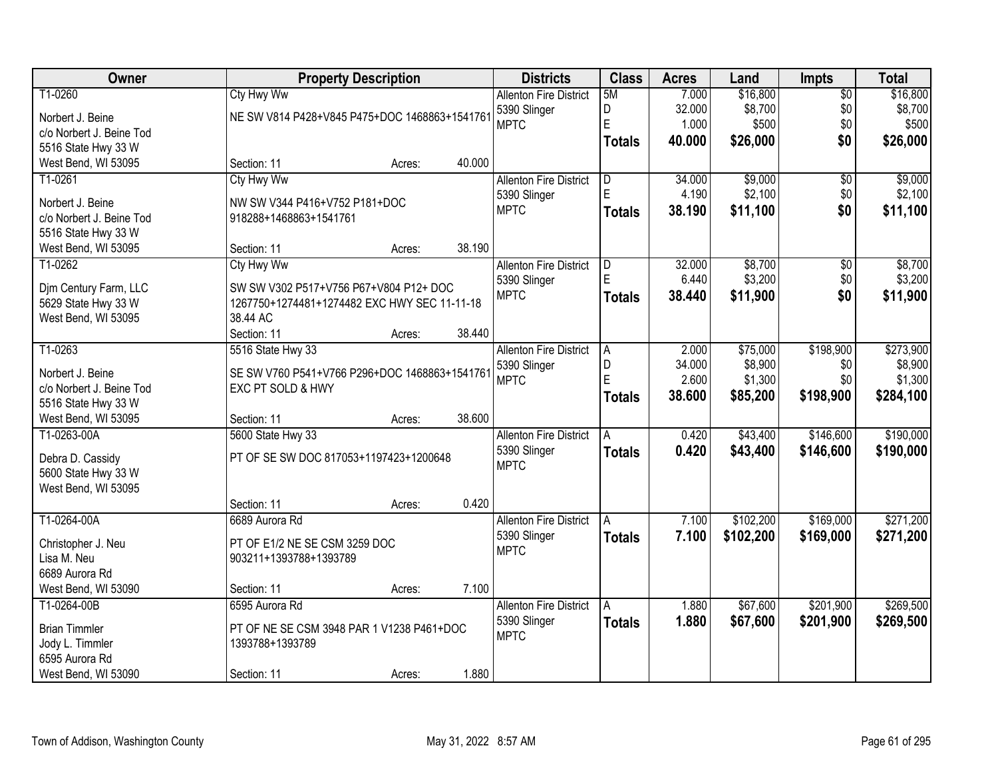| Owner                             | <b>Property Description</b>                   |                  | <b>Districts</b>              | <b>Class</b>   | <b>Acres</b> | Land      | <b>Impts</b>    | <b>Total</b> |
|-----------------------------------|-----------------------------------------------|------------------|-------------------------------|----------------|--------------|-----------|-----------------|--------------|
| T1-0260                           | <b>Cty Hwy Ww</b>                             |                  | <b>Allenton Fire District</b> | 5M             | 7.000        | \$16,800  | $\overline{50}$ | \$16,800     |
| Norbert J. Beine                  | NE SW V814 P428+V845 P475+DOC 1468863+1541761 |                  | 5390 Slinger                  | D              | 32.000       | \$8,700   | \$0             | \$8,700      |
| c/o Norbert J. Beine Tod          |                                               |                  | <b>MPTC</b>                   | E              | 1.000        | \$500     | \$0             | \$500        |
| 5516 State Hwy 33 W               |                                               |                  |                               | <b>Totals</b>  | 40.000       | \$26,000  | \$0             | \$26,000     |
| West Bend, WI 53095               | Section: 11                                   | 40.000<br>Acres: |                               |                |              |           |                 |              |
| T1-0261                           | Cty Hwy Ww                                    |                  | <b>Allenton Fire District</b> | D              | 34.000       | \$9,000   | \$0             | \$9,000      |
| Norbert J. Beine                  | NW SW V344 P416+V752 P181+DOC                 |                  | 5390 Slinger                  | E              | 4.190        | \$2,100   | \$0             | \$2,100      |
| c/o Norbert J. Beine Tod          | 918288+1468863+1541761                        |                  | <b>MPTC</b>                   | <b>Totals</b>  | 38.190       | \$11,100  | \$0             | \$11,100     |
| 5516 State Hwy 33 W               |                                               |                  |                               |                |              |           |                 |              |
| West Bend, WI 53095               | Section: 11                                   | 38.190<br>Acres: |                               |                |              |           |                 |              |
| T1-0262                           | Cty Hwy Ww                                    |                  | <b>Allenton Fire District</b> | D              | 32.000       | \$8,700   | \$0             | \$8,700      |
|                                   |                                               |                  | 5390 Slinger                  | E              | 6.440        | \$3,200   | \$0             | \$3,200      |
| Djm Century Farm, LLC             | SW SW V302 P517+V756 P67+V804 P12+ DOC        |                  | <b>MPTC</b>                   | <b>Totals</b>  | 38.440       | \$11,900  | \$0             | \$11,900     |
| 5629 State Hwy 33 W               | 1267750+1274481+1274482 EXC HWY SEC 11-11-18  |                  |                               |                |              |           |                 |              |
| West Bend, WI 53095               | 38.44 AC                                      |                  |                               |                |              |           |                 |              |
|                                   | Section: 11                                   | 38.440<br>Acres: |                               |                |              |           |                 |              |
| T1-0263                           | 5516 State Hwy 33                             |                  | <b>Allenton Fire District</b> | $\overline{A}$ | 2.000        | \$75,000  | \$198,900       | \$273,900    |
| Norbert J. Beine                  | SE SW V760 P541+V766 P296+DOC 1468863+1541761 |                  | 5390 Slinger                  | D              | 34.000       | \$8,900   | \$0             | \$8,900      |
| c/o Norbert J. Beine Tod          | EXC PT SOLD & HWY                             |                  | <b>MPTC</b>                   | E              | 2.600        | \$1,300   | \$0             | \$1,300      |
| 5516 State Hwy 33 W               |                                               |                  |                               | <b>Totals</b>  | 38.600       | \$85,200  | \$198,900       | \$284,100    |
| West Bend, WI 53095               | Section: 11                                   | 38.600<br>Acres: |                               |                |              |           |                 |              |
| T1-0263-00A                       | 5600 State Hwy 33                             |                  | <b>Allenton Fire District</b> | A              | 0.420        | \$43,400  | \$146,600       | \$190,000    |
| Debra D. Cassidy                  | PT OF SE SW DOC 817053+1197423+1200648        |                  | 5390 Slinger                  | <b>Totals</b>  | 0.420        | \$43,400  | \$146,600       | \$190,000    |
| 5600 State Hwy 33 W               |                                               |                  | <b>MPTC</b>                   |                |              |           |                 |              |
| West Bend, WI 53095               |                                               |                  |                               |                |              |           |                 |              |
|                                   | Section: 11                                   | 0.420<br>Acres:  |                               |                |              |           |                 |              |
| T1-0264-00A                       | 6689 Aurora Rd                                |                  | <b>Allenton Fire District</b> | A              | 7.100        | \$102,200 | \$169,000       | \$271,200    |
| Christopher J. Neu                | PT OF E1/2 NE SE CSM 3259 DOC                 |                  | 5390 Slinger                  | <b>Totals</b>  | 7.100        | \$102,200 | \$169,000       | \$271,200    |
| Lisa M. Neu                       | 903211+1393788+1393789                        |                  | <b>MPTC</b>                   |                |              |           |                 |              |
| 6689 Aurora Rd                    |                                               |                  |                               |                |              |           |                 |              |
| West Bend, WI 53090               | Section: 11                                   | 7.100<br>Acres:  |                               |                |              |           |                 |              |
| T1-0264-00B                       | 6595 Aurora Rd                                |                  | <b>Allenton Fire District</b> | A              | 1.880        | \$67,600  | \$201,900       | \$269,500    |
|                                   |                                               |                  | 5390 Slinger                  | <b>Totals</b>  | 1.880        | \$67,600  | \$201,900       | \$269,500    |
| <b>Brian Timmler</b>              | PT OF NE SE CSM 3948 PAR 1 V1238 P461+DOC     |                  | <b>MPTC</b>                   |                |              |           |                 |              |
| Jody L. Timmler<br>6595 Aurora Rd | 1393788+1393789                               |                  |                               |                |              |           |                 |              |
| West Bend, WI 53090               | Section: 11                                   | 1.880            |                               |                |              |           |                 |              |
|                                   |                                               | Acres:           |                               |                |              |           |                 |              |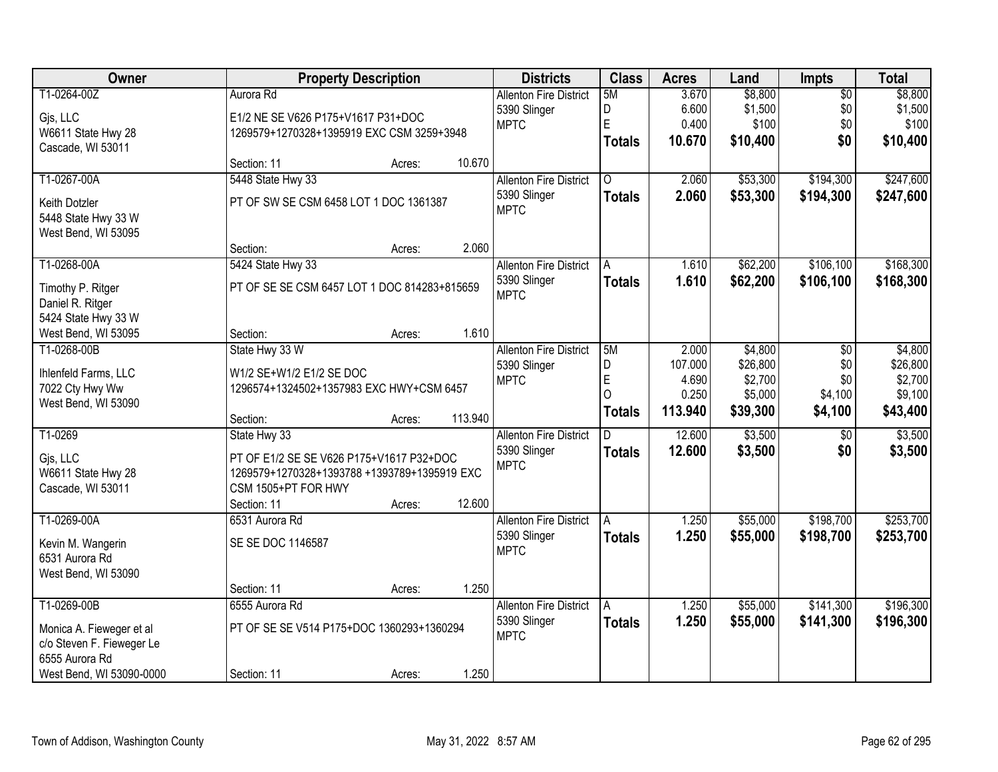| Owner                     |                                              | <b>Property Description</b> |         | <b>Districts</b>              | <b>Class</b>   | <b>Acres</b> | Land     | Impts           | <b>Total</b> |
|---------------------------|----------------------------------------------|-----------------------------|---------|-------------------------------|----------------|--------------|----------|-----------------|--------------|
| T1-0264-00Z               | Aurora Rd                                    |                             |         | <b>Allenton Fire District</b> | 5M             | 3.670        | \$8,800  | $\overline{50}$ | \$8,800      |
| Gjs, LLC                  | E1/2 NE SE V626 P175+V1617 P31+DOC           |                             |         | 5390 Slinger                  | D              | 6.600        | \$1,500  | \$0             | \$1,500      |
| W6611 State Hwy 28        | 1269579+1270328+1395919 EXC CSM 3259+3948    |                             |         | <b>MPTC</b>                   | E              | 0.400        | \$100    | \$0             | \$100        |
| Cascade, WI 53011         |                                              |                             |         |                               | <b>Totals</b>  | 10.670       | \$10,400 | \$0             | \$10,400     |
|                           | Section: 11                                  | Acres:                      | 10.670  |                               |                |              |          |                 |              |
| T1-0267-00A               | 5448 State Hwy 33                            |                             |         | <b>Allenton Fire District</b> | $\overline{0}$ | 2.060        | \$53,300 | \$194,300       | \$247,600    |
| Keith Dotzler             | PT OF SW SE CSM 6458 LOT 1 DOC 1361387       |                             |         | 5390 Slinger                  | <b>Totals</b>  | 2.060        | \$53,300 | \$194,300       | \$247,600    |
| 5448 State Hwy 33 W       |                                              |                             |         | <b>MPTC</b>                   |                |              |          |                 |              |
| West Bend, WI 53095       |                                              |                             |         |                               |                |              |          |                 |              |
|                           | Section:                                     | Acres:                      | 2.060   |                               |                |              |          |                 |              |
| T1-0268-00A               | 5424 State Hwy 33                            |                             |         | <b>Allenton Fire District</b> | A              | 1.610        | \$62,200 | \$106,100       | \$168,300    |
| Timothy P. Ritger         | PT OF SE SE CSM 6457 LOT 1 DOC 814283+815659 |                             |         | 5390 Slinger                  | <b>Totals</b>  | 1.610        | \$62,200 | \$106,100       | \$168,300    |
| Daniel R. Ritger          |                                              |                             |         | <b>MPTC</b>                   |                |              |          |                 |              |
| 5424 State Hwy 33 W       |                                              |                             |         |                               |                |              |          |                 |              |
| West Bend, WI 53095       | Section:                                     | Acres:                      | 1.610   |                               |                |              |          |                 |              |
| T1-0268-00B               | State Hwy 33 W                               |                             |         | <b>Allenton Fire District</b> | 5M             | 2.000        | \$4,800  | \$0             | \$4,800      |
|                           |                                              |                             |         | 5390 Slinger                  | D              | 107.000      | \$26,800 | \$0             | \$26,800     |
| Ihlenfeld Farms, LLC      | W1/2 SE+W1/2 E1/2 SE DOC                     |                             |         | <b>MPTC</b>                   | E              | 4.690        | \$2,700  | \$0             | \$2,700      |
| 7022 Cty Hwy Ww           | 1296574+1324502+1357983 EXC HWY+CSM 6457     |                             |         |                               | $\Omega$       | 0.250        | \$5,000  | \$4,100         | \$9,100      |
| West Bend, WI 53090       |                                              |                             |         |                               | <b>Totals</b>  | 113.940      | \$39,300 | \$4,100         | \$43,400     |
|                           | Section:                                     | Acres:                      | 113.940 |                               |                |              |          |                 |              |
| T1-0269                   | State Hwy 33                                 |                             |         | <b>Allenton Fire District</b> | D              | 12.600       | \$3,500  | $\overline{50}$ | \$3,500      |
| Gjs, LLC                  | PT OF E1/2 SE SE V626 P175+V1617 P32+DOC     |                             |         | 5390 Slinger<br><b>MPTC</b>   | <b>Totals</b>  | 12.600       | \$3,500  | \$0             | \$3,500      |
| W6611 State Hwy 28        | 1269579+1270328+1393788 +1393789+1395919 EXC |                             |         |                               |                |              |          |                 |              |
| Cascade, WI 53011         | CSM 1505+PT FOR HWY                          |                             |         |                               |                |              |          |                 |              |
|                           | Section: 11                                  | Acres:                      | 12.600  |                               |                |              |          |                 |              |
| T1-0269-00A               | 6531 Aurora Rd                               |                             |         | <b>Allenton Fire District</b> | A              | 1.250        | \$55,000 | \$198,700       | \$253,700    |
| Kevin M. Wangerin         | SE SE DOC 1146587                            |                             |         | 5390 Slinger                  | <b>Totals</b>  | 1.250        | \$55,000 | \$198,700       | \$253,700    |
| 6531 Aurora Rd            |                                              |                             |         | <b>MPTC</b>                   |                |              |          |                 |              |
| West Bend, WI 53090       |                                              |                             |         |                               |                |              |          |                 |              |
|                           | Section: 11                                  | Acres:                      | 1.250   |                               |                |              |          |                 |              |
| T1-0269-00B               | 6555 Aurora Rd                               |                             |         | <b>Allenton Fire District</b> | A              | 1.250        | \$55,000 | \$141,300       | \$196,300    |
| Monica A. Fieweger et al  | PT OF SE SE V514 P175+DOC 1360293+1360294    |                             |         | 5390 Slinger                  | <b>Totals</b>  | 1.250        | \$55,000 | \$141,300       | \$196,300    |
| c/o Steven F. Fieweger Le |                                              |                             |         | <b>MPTC</b>                   |                |              |          |                 |              |
| 6555 Aurora Rd            |                                              |                             |         |                               |                |              |          |                 |              |
| West Bend, WI 53090-0000  | Section: 11                                  | Acres:                      | 1.250   |                               |                |              |          |                 |              |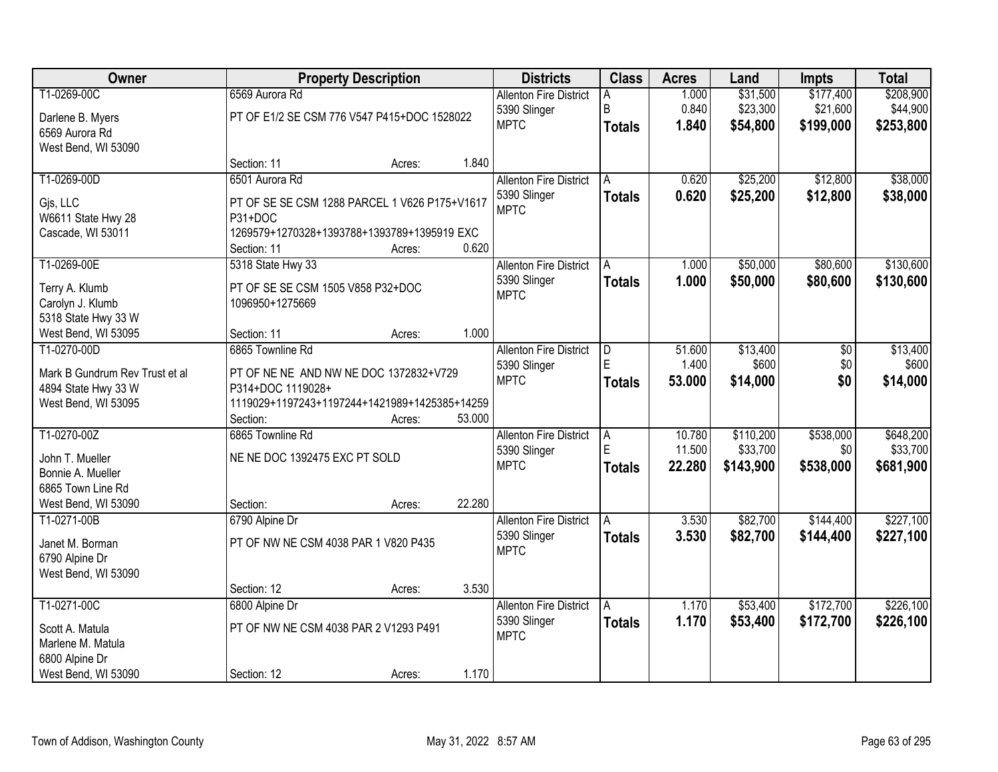| <b>Owner</b>                   |                                               | <b>Property Description</b> |        | <b>Districts</b>              | <b>Class</b>  | <b>Acres</b>     | Land                  | <b>Impts</b>     | <b>Total</b>          |
|--------------------------------|-----------------------------------------------|-----------------------------|--------|-------------------------------|---------------|------------------|-----------------------|------------------|-----------------------|
| T1-0269-00C                    | 6569 Aurora Rd                                |                             |        | <b>Allenton Fire District</b> |               | 1.000            | \$31,500              | \$177,400        | \$208,900             |
| Darlene B. Myers               | PT OF E1/2 SE CSM 776 V547 P415+DOC 1528022   |                             |        | 5390 Slinger                  | B             | 0.840            | \$23,300              | \$21,600         | \$44,900              |
| 6569 Aurora Rd                 |                                               |                             |        | <b>MPTC</b>                   | <b>Totals</b> | 1.840            | \$54,800              | \$199,000        | \$253,800             |
| West Bend, WI 53090            |                                               |                             |        |                               |               |                  |                       |                  |                       |
|                                | Section: 11                                   | Acres:                      | 1.840  |                               |               |                  |                       |                  |                       |
| T1-0269-00D                    | 6501 Aurora Rd                                |                             |        | <b>Allenton Fire District</b> | A             | 0.620            | \$25,200              | \$12,800         | \$38,000              |
| Gjs, LLC                       | PT OF SE SE CSM 1288 PARCEL 1 V626 P175+V1617 |                             |        | 5390 Slinger                  | <b>Totals</b> | 0.620            | \$25,200              | \$12,800         | \$38,000              |
| W6611 State Hwy 28             | P31+DOC                                       |                             |        | <b>MPTC</b>                   |               |                  |                       |                  |                       |
| Cascade, WI 53011              | 1269579+1270328+1393788+1393789+1395919 EXC   |                             |        |                               |               |                  |                       |                  |                       |
|                                | Section: 11                                   | Acres:                      | 0.620  |                               |               |                  |                       |                  |                       |
| T1-0269-00E                    | 5318 State Hwy 33                             |                             |        | <b>Allenton Fire District</b> | A             | 1.000            | \$50,000              | \$80,600         | \$130,600             |
| Terry A. Klumb                 | PT OF SE SE CSM 1505 V858 P32+DOC             |                             |        | 5390 Slinger                  | <b>Totals</b> | 1.000            | \$50,000              | \$80,600         | \$130,600             |
| Carolyn J. Klumb               | 1096950+1275669                               |                             |        | <b>MPTC</b>                   |               |                  |                       |                  |                       |
| 5318 State Hwy 33 W            |                                               |                             |        |                               |               |                  |                       |                  |                       |
| West Bend, WI 53095            | Section: 11                                   | Acres:                      | 1.000  |                               |               |                  |                       |                  |                       |
| T1-0270-00D                    | 6865 Townline Rd                              |                             |        | <b>Allenton Fire District</b> | D             | 51.600           | \$13,400              | $\overline{60}$  | \$13,400              |
|                                |                                               |                             |        | 5390 Slinger                  | E             | 1.400            | \$600                 | \$0              | \$600                 |
| Mark B Gundrum Rev Trust et al | PT OF NE NE AND NW NE DOC 1372832+V729        |                             |        | <b>MPTC</b>                   | <b>Totals</b> | 53.000           | \$14,000              | \$0              | \$14,000              |
| 4894 State Hwy 33 W            | P314+DOC 1119028+                             |                             |        |                               |               |                  |                       |                  |                       |
| West Bend, WI 53095            | 1119029+1197243+1197244+1421989+1425385+14259 |                             |        |                               |               |                  |                       |                  |                       |
| T1-0270-00Z                    | Section:<br>6865 Townline Rd                  | Acres:                      | 53.000 |                               |               |                  |                       |                  |                       |
|                                |                                               |                             |        | <b>Allenton Fire District</b> | l A<br>E      | 10.780<br>11.500 | \$110,200<br>\$33,700 | \$538,000<br>\$0 | \$648,200<br>\$33,700 |
| John T. Mueller                | NE NE DOC 1392475 EXC PT SOLD                 |                             |        | 5390 Slinger<br><b>MPTC</b>   |               |                  |                       |                  |                       |
| Bonnie A. Mueller              |                                               |                             |        |                               | <b>Totals</b> | 22.280           | \$143,900             | \$538,000        | \$681,900             |
| 6865 Town Line Rd              |                                               |                             |        |                               |               |                  |                       |                  |                       |
| West Bend, WI 53090            | Section:                                      | Acres:                      | 22.280 |                               |               |                  |                       |                  |                       |
| T1-0271-00B                    | 6790 Alpine Dr                                |                             |        | <b>Allenton Fire District</b> | l A           | 3.530            | \$82,700              | \$144,400        | \$227,100             |
| Janet M. Borman                | PT OF NW NE CSM 4038 PAR 1 V820 P435          |                             |        | 5390 Slinger                  | <b>Totals</b> | 3.530            | \$82,700              | \$144,400        | \$227,100             |
| 6790 Alpine Dr                 |                                               |                             |        | <b>MPTC</b>                   |               |                  |                       |                  |                       |
| West Bend, WI 53090            |                                               |                             |        |                               |               |                  |                       |                  |                       |
|                                | Section: 12                                   | Acres:                      | 3.530  |                               |               |                  |                       |                  |                       |
| T1-0271-00C                    | 6800 Alpine Dr                                |                             |        | <b>Allenton Fire District</b> | A             | 1.170            | \$53,400              | \$172,700        | \$226,100             |
| Scott A. Matula                | PT OF NW NE CSM 4038 PAR 2 V1293 P491         |                             |        | 5390 Slinger                  | <b>Totals</b> | 1.170            | \$53,400              | \$172,700        | \$226,100             |
| Marlene M. Matula              |                                               |                             |        | <b>MPTC</b>                   |               |                  |                       |                  |                       |
| 6800 Alpine Dr                 |                                               |                             |        |                               |               |                  |                       |                  |                       |
| West Bend, WI 53090            | Section: 12                                   | Acres:                      | 1.170  |                               |               |                  |                       |                  |                       |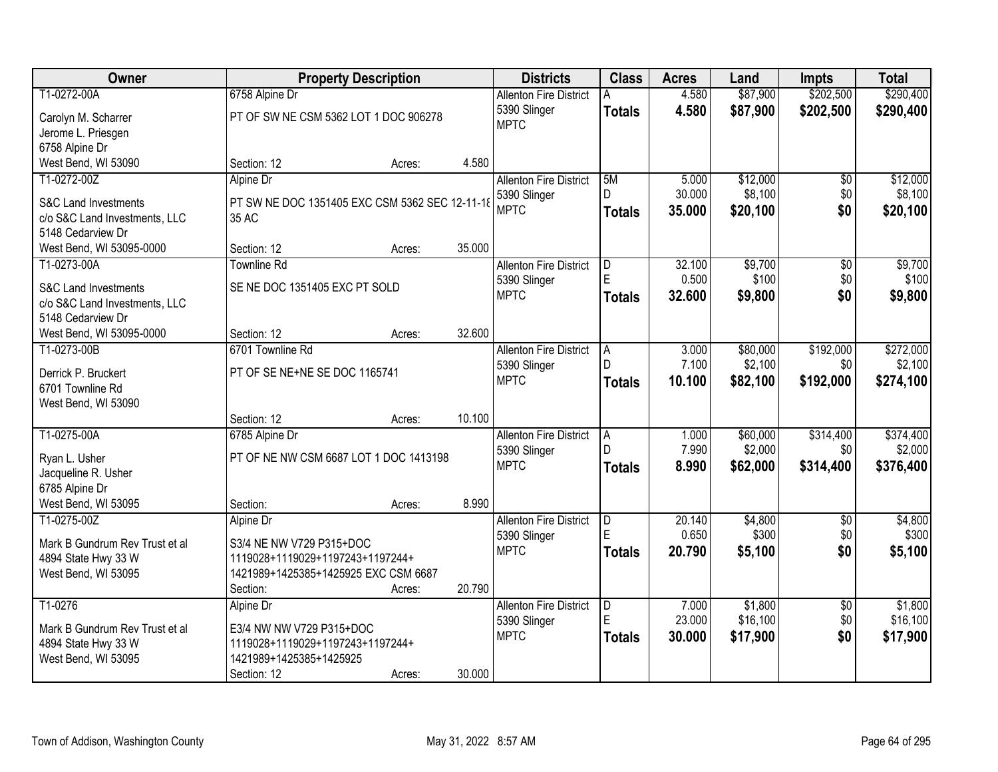| Owner                                   |                                                  | <b>Property Description</b> |        | <b>Districts</b>              | <b>Class</b>            | <b>Acres</b> | Land     | <b>Impts</b>    | <b>Total</b> |
|-----------------------------------------|--------------------------------------------------|-----------------------------|--------|-------------------------------|-------------------------|--------------|----------|-----------------|--------------|
| T1-0272-00A                             | 6758 Alpine Dr                                   |                             |        | <b>Allenton Fire District</b> |                         | 4.580        | \$87,900 | \$202,500       | \$290,400    |
| Carolyn M. Scharrer                     | PT OF SW NE CSM 5362 LOT 1 DOC 906278            |                             |        | 5390 Slinger                  | <b>Totals</b>           | 4.580        | \$87,900 | \$202,500       | \$290,400    |
| Jerome L. Priesgen                      |                                                  |                             |        | <b>MPTC</b>                   |                         |              |          |                 |              |
| 6758 Alpine Dr                          |                                                  |                             |        |                               |                         |              |          |                 |              |
| West Bend, WI 53090                     | Section: 12                                      | Acres:                      | 4.580  |                               |                         |              |          |                 |              |
| T1-0272-00Z                             | Alpine Dr                                        |                             |        | <b>Allenton Fire District</b> | 5M                      | 5.000        | \$12,000 | $\overline{50}$ | \$12,000     |
| <b>S&amp;C Land Investments</b>         | PT SW NE DOC 1351405 EXC CSM 5362 SEC 12-11-18   |                             |        | 5390 Slinger                  | D.                      | 30.000       | \$8,100  | \$0             | \$8,100      |
| c/o S&C Land Investments, LLC           | 35 AC                                            |                             |        | <b>MPTC</b>                   | <b>Totals</b>           | 35.000       | \$20,100 | \$0             | \$20,100     |
| 5148 Cedarview Dr                       |                                                  |                             |        |                               |                         |              |          |                 |              |
| West Bend, WI 53095-0000                | Section: 12                                      | Acres:                      | 35.000 |                               |                         |              |          |                 |              |
| T1-0273-00A                             | <b>Townline Rd</b>                               |                             |        | <b>Allenton Fire District</b> | $\overline{\mathsf{D}}$ | 32.100       | \$9,700  | $\overline{50}$ | \$9,700      |
| <b>S&amp;C Land Investments</b>         | SE NE DOC 1351405 EXC PT SOLD                    |                             |        | 5390 Slinger                  | F                       | 0.500        | \$100    | \$0             | \$100        |
| c/o S&C Land Investments, LLC           |                                                  |                             |        | <b>MPTC</b>                   | <b>Totals</b>           | 32.600       | \$9,800  | \$0             | \$9,800      |
| 5148 Cedarview Dr                       |                                                  |                             |        |                               |                         |              |          |                 |              |
| West Bend, WI 53095-0000                | Section: 12                                      | Acres:                      | 32.600 |                               |                         |              |          |                 |              |
| T1-0273-00B                             | 6701 Townline Rd                                 |                             |        | <b>Allenton Fire District</b> | A                       | 3.000        | \$80,000 | \$192,000       | \$272,000    |
|                                         |                                                  |                             |        | 5390 Slinger                  | D                       | 7.100        | \$2,100  | \$0             | \$2,100      |
| Derrick P. Bruckert<br>6701 Townline Rd | PT OF SE NE+NE SE DOC 1165741                    |                             |        | <b>MPTC</b>                   | <b>Totals</b>           | 10.100       | \$82,100 | \$192,000       | \$274,100    |
| West Bend, WI 53090                     |                                                  |                             |        |                               |                         |              |          |                 |              |
|                                         | Section: 12                                      | Acres:                      | 10.100 |                               |                         |              |          |                 |              |
| T1-0275-00A                             | 6785 Alpine Dr                                   |                             |        | <b>Allenton Fire District</b> | $\overline{A}$          | 1.000        | \$60,000 | \$314,400       | \$374,400    |
|                                         |                                                  |                             |        | 5390 Slinger                  | D.                      | 7.990        | \$2,000  | \$0             | \$2,000      |
| Ryan L. Usher                           | PT OF NE NW CSM 6687 LOT 1 DOC 1413198           |                             |        | <b>MPTC</b>                   | <b>Totals</b>           | 8.990        | \$62,000 | \$314,400       | \$376,400    |
| Jacqueline R. Usher<br>6785 Alpine Dr   |                                                  |                             |        |                               |                         |              |          |                 |              |
| West Bend, WI 53095                     | Section:                                         | Acres:                      | 8.990  |                               |                         |              |          |                 |              |
| T1-0275-00Z                             | Alpine Dr                                        |                             |        | <b>Allenton Fire District</b> | D                       | 20.140       | \$4,800  | $\overline{60}$ | \$4,800      |
|                                         |                                                  |                             |        | 5390 Slinger                  | E                       | 0.650        | \$300    | \$0             | \$300        |
| Mark B Gundrum Rev Trust et al          | S3/4 NE NW V729 P315+DOC                         |                             |        | <b>MPTC</b>                   | <b>Totals</b>           | 20.790       | \$5,100  | \$0             | \$5,100      |
| 4894 State Hwy 33 W                     | 1119028+1119029+1197243+1197244+                 |                             |        |                               |                         |              |          |                 |              |
| West Bend, WI 53095                     | 1421989+1425385+1425925 EXC CSM 6687<br>Section: |                             | 20.790 |                               |                         |              |          |                 |              |
| T1-0276                                 | Alpine Dr                                        | Acres:                      |        | <b>Allenton Fire District</b> | D                       | 7.000        | \$1,800  | $\overline{50}$ | \$1,800      |
|                                         |                                                  |                             |        | 5390 Slinger                  | F                       | 23.000       | \$16,100 | \$0             | \$16,100     |
| Mark B Gundrum Rev Trust et al          | E3/4 NW NW V729 P315+DOC                         |                             |        | <b>MPTC</b>                   | <b>Totals</b>           | 30,000       | \$17,900 | \$0             | \$17,900     |
| 4894 State Hwy 33 W                     | 1119028+1119029+1197243+1197244+                 |                             |        |                               |                         |              |          |                 |              |
| West Bend, WI 53095                     | 1421989+1425385+1425925                          |                             |        |                               |                         |              |          |                 |              |
|                                         | Section: 12                                      | Acres:                      | 30.000 |                               |                         |              |          |                 |              |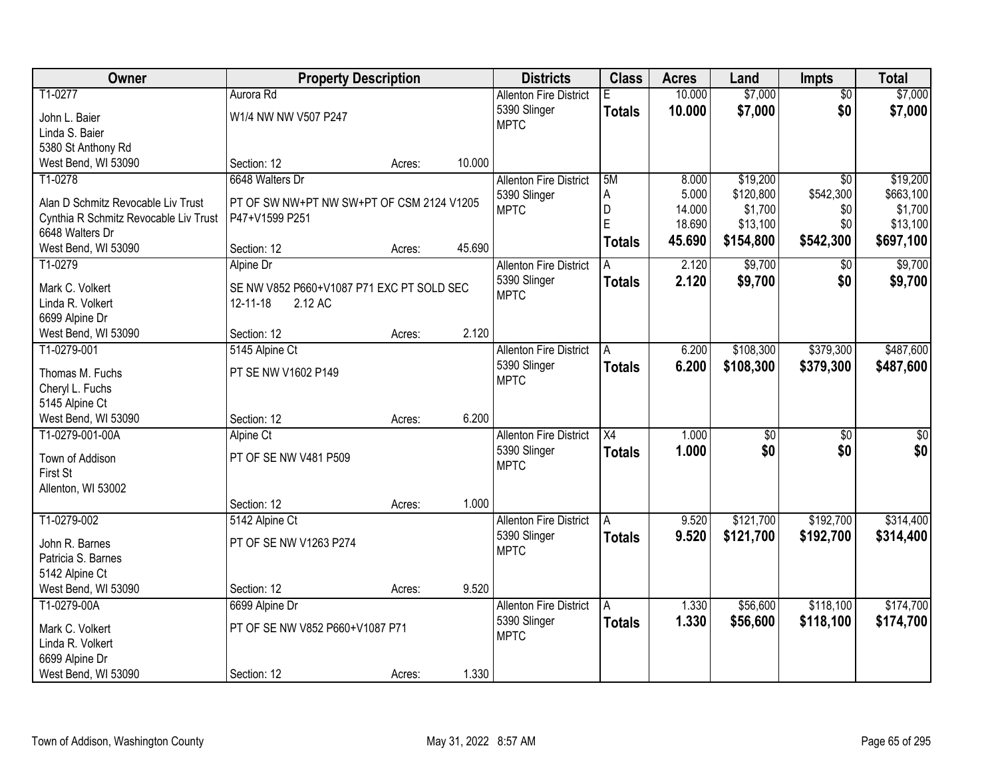| Owner                                                    | <b>Property Description</b>                                 |        |        | <b>Districts</b>              | <b>Class</b>    | <b>Acres</b> | Land            | <b>Impts</b>    | <b>Total</b>    |
|----------------------------------------------------------|-------------------------------------------------------------|--------|--------|-------------------------------|-----------------|--------------|-----------------|-----------------|-----------------|
| T1-0277                                                  | Aurora Rd                                                   |        |        | <b>Allenton Fire District</b> | Е               | 10.000       | \$7,000         | $\overline{50}$ | \$7,000         |
| John L. Baier                                            | W1/4 NW NW V507 P247                                        |        |        | 5390 Slinger                  | <b>Totals</b>   | 10.000       | \$7,000         | \$0             | \$7,000         |
| Linda S. Baier                                           |                                                             |        |        | <b>MPTC</b>                   |                 |              |                 |                 |                 |
| 5380 St Anthony Rd                                       |                                                             |        |        |                               |                 |              |                 |                 |                 |
| West Bend, WI 53090                                      | Section: 12                                                 | Acres: | 10.000 |                               |                 |              |                 |                 |                 |
| T1-0278                                                  | 6648 Walters Dr                                             |        |        | <b>Allenton Fire District</b> | 5M              | 8.000        | \$19,200        | $\overline{50}$ | \$19,200        |
|                                                          |                                                             |        |        | 5390 Slinger                  | A               | 5.000        | \$120,800       | \$542,300       | \$663,100       |
| Alan D Schmitz Revocable Liv Trust                       | PT OF SW NW+PT NW SW+PT OF CSM 2124 V1205<br>P47+V1599 P251 |        |        | <b>MPTC</b>                   | D               | 14.000       | \$1,700         | \$0             | \$1,700         |
| Cynthia R Schmitz Revocable Liv Trust<br>6648 Walters Dr |                                                             |        |        |                               | E               | 18.690       | \$13,100        | \$0             | \$13,100        |
| West Bend, WI 53090                                      | Section: 12                                                 | Acres: | 45.690 |                               | <b>Totals</b>   | 45.690       | \$154,800       | \$542,300       | \$697,100       |
| T1-0279                                                  | Alpine Dr                                                   |        |        | <b>Allenton Fire District</b> |                 | 2.120        | \$9,700         | $\sqrt[6]{3}$   | \$9,700         |
|                                                          |                                                             |        |        | 5390 Slinger                  | <b>Totals</b>   | 2.120        | \$9,700         | \$0             | \$9,700         |
| Mark C. Volkert                                          | SE NW V852 P660+V1087 P71 EXC PT SOLD SEC                   |        |        | <b>MPTC</b>                   |                 |              |                 |                 |                 |
| Linda R. Volkert                                         | 2.12 AC<br>12-11-18                                         |        |        |                               |                 |              |                 |                 |                 |
| 6699 Alpine Dr                                           |                                                             |        |        |                               |                 |              |                 |                 |                 |
| West Bend, WI 53090                                      | Section: 12                                                 | Acres: | 2.120  |                               |                 |              |                 |                 |                 |
| T1-0279-001                                              | 5145 Alpine Ct                                              |        |        | <b>Allenton Fire District</b> | A               | 6.200        | \$108,300       | \$379,300       | \$487,600       |
| Thomas M. Fuchs                                          | PT SE NW V1602 P149                                         |        |        | 5390 Slinger                  | <b>Totals</b>   | 6.200        | \$108,300       | \$379,300       | \$487,600       |
| Cheryl L. Fuchs                                          |                                                             |        |        | <b>MPTC</b>                   |                 |              |                 |                 |                 |
| 5145 Alpine Ct                                           |                                                             |        |        |                               |                 |              |                 |                 |                 |
| West Bend, WI 53090                                      | Section: 12                                                 | Acres: | 6.200  |                               |                 |              |                 |                 |                 |
| T1-0279-001-00A                                          | Alpine Ct                                                   |        |        | <b>Allenton Fire District</b> | $\overline{X4}$ | 1.000        | $\overline{50}$ | $\overline{30}$ | $\overline{50}$ |
| Town of Addison                                          | PT OF SE NW V481 P509                                       |        |        | 5390 Slinger                  | <b>Totals</b>   | 1.000        | \$0             | \$0             | \$0             |
| First St                                                 |                                                             |        |        | <b>MPTC</b>                   |                 |              |                 |                 |                 |
| Allenton, WI 53002                                       |                                                             |        |        |                               |                 |              |                 |                 |                 |
|                                                          | Section: 12                                                 | Acres: | 1.000  |                               |                 |              |                 |                 |                 |
| T1-0279-002                                              | 5142 Alpine Ct                                              |        |        | <b>Allenton Fire District</b> | A               | 9.520        | \$121,700       | \$192,700       | \$314,400       |
|                                                          |                                                             |        |        | 5390 Slinger                  | <b>Totals</b>   | 9.520        | \$121,700       | \$192,700       | \$314,400       |
| John R. Barnes                                           | PT OF SE NW V1263 P274                                      |        |        | <b>MPTC</b>                   |                 |              |                 |                 |                 |
| Patricia S. Barnes                                       |                                                             |        |        |                               |                 |              |                 |                 |                 |
| 5142 Alpine Ct                                           |                                                             |        |        |                               |                 |              |                 |                 |                 |
| West Bend, WI 53090                                      | Section: 12                                                 | Acres: | 9.520  |                               |                 |              |                 |                 |                 |
| T1-0279-00A                                              | 6699 Alpine Dr                                              |        |        | <b>Allenton Fire District</b> | A               | 1.330        | \$56,600        | \$118,100       | \$174,700       |
| Mark C. Volkert                                          | PT OF SE NW V852 P660+V1087 P71                             |        |        | 5390 Slinger                  | <b>Totals</b>   | 1.330        | \$56,600        | \$118,100       | \$174,700       |
| Linda R. Volkert                                         |                                                             |        |        | <b>MPTC</b>                   |                 |              |                 |                 |                 |
| 6699 Alpine Dr                                           |                                                             |        |        |                               |                 |              |                 |                 |                 |
| West Bend, WI 53090                                      | Section: 12                                                 | Acres: | 1.330  |                               |                 |              |                 |                 |                 |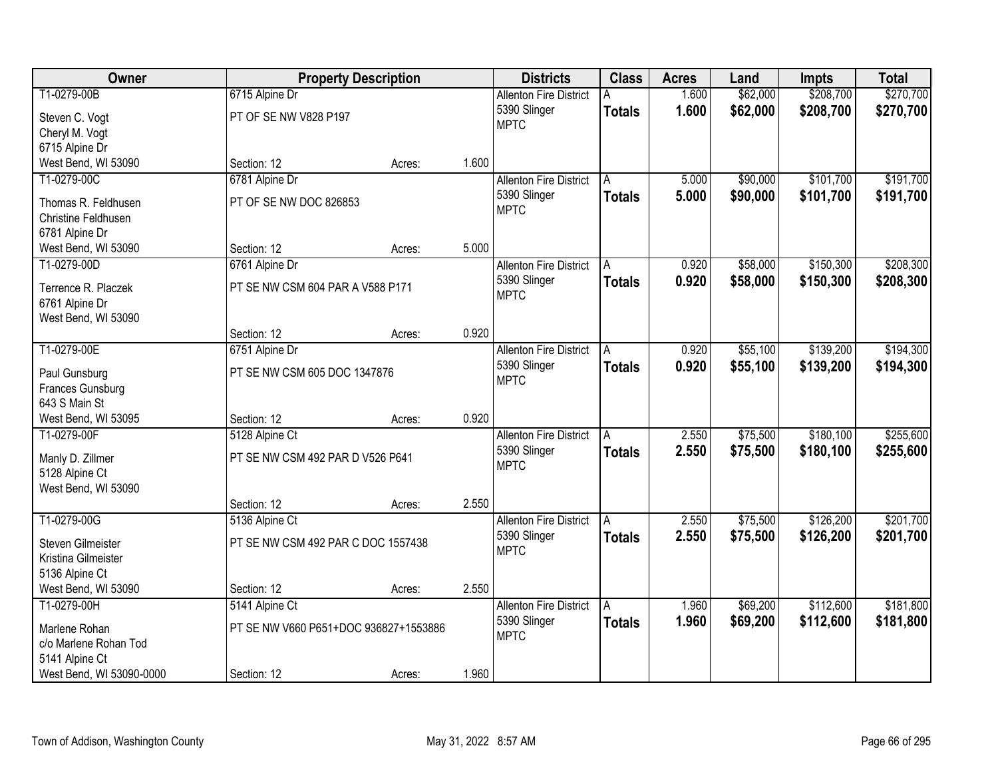| Owner                    |                                       | <b>Property Description</b> |       | <b>Districts</b>              | <b>Class</b>  | <b>Acres</b> | Land     | <b>Impts</b> | <b>Total</b> |
|--------------------------|---------------------------------------|-----------------------------|-------|-------------------------------|---------------|--------------|----------|--------------|--------------|
| T1-0279-00B              | 6715 Alpine Dr                        |                             |       | <b>Allenton Fire District</b> |               | 1.600        | \$62,000 | \$208,700    | \$270,700    |
| Steven C. Vogt           | PT OF SE NW V828 P197                 |                             |       | 5390 Slinger                  | <b>Totals</b> | 1.600        | \$62,000 | \$208,700    | \$270,700    |
| Cheryl M. Vogt           |                                       |                             |       | <b>MPTC</b>                   |               |              |          |              |              |
| 6715 Alpine Dr           |                                       |                             |       |                               |               |              |          |              |              |
| West Bend, WI 53090      | Section: 12                           | Acres:                      | 1.600 |                               |               |              |          |              |              |
| T1-0279-00C              | 6781 Alpine Dr                        |                             |       | <b>Allenton Fire District</b> | A             | 5.000        | \$90,000 | \$101,700    | \$191,700    |
| Thomas R. Feldhusen      | PT OF SE NW DOC 826853                |                             |       | 5390 Slinger                  | <b>Totals</b> | 5.000        | \$90,000 | \$101,700    | \$191,700    |
| Christine Feldhusen      |                                       |                             |       | <b>MPTC</b>                   |               |              |          |              |              |
| 6781 Alpine Dr           |                                       |                             |       |                               |               |              |          |              |              |
| West Bend, WI 53090      | Section: 12                           | Acres:                      | 5.000 |                               |               |              |          |              |              |
| T1-0279-00D              | 6761 Alpine Dr                        |                             |       | <b>Allenton Fire District</b> | l A           | 0.920        | \$58,000 | \$150,300    | \$208,300    |
| Terrence R. Placzek      | PT SE NW CSM 604 PAR A V588 P171      |                             |       | 5390 Slinger                  | <b>Totals</b> | 0.920        | \$58,000 | \$150,300    | \$208,300    |
| 6761 Alpine Dr           |                                       |                             |       | <b>MPTC</b>                   |               |              |          |              |              |
| West Bend, WI 53090      |                                       |                             |       |                               |               |              |          |              |              |
|                          | Section: 12                           | Acres:                      | 0.920 |                               |               |              |          |              |              |
| T1-0279-00E              | 6751 Alpine Dr                        |                             |       | <b>Allenton Fire District</b> | A             | 0.920        | \$55,100 | \$139,200    | \$194,300    |
| Paul Gunsburg            | PT SE NW CSM 605 DOC 1347876          |                             |       | 5390 Slinger                  | <b>Totals</b> | 0.920        | \$55,100 | \$139,200    | \$194,300    |
| Frances Gunsburg         |                                       |                             |       | <b>MPTC</b>                   |               |              |          |              |              |
| 643 S Main St            |                                       |                             |       |                               |               |              |          |              |              |
| West Bend, WI 53095      | Section: 12                           | Acres:                      | 0.920 |                               |               |              |          |              |              |
| T1-0279-00F              | 5128 Alpine Ct                        |                             |       | <b>Allenton Fire District</b> | A             | 2.550        | \$75,500 | \$180,100    | \$255,600    |
| Manly D. Zillmer         | PT SE NW CSM 492 PAR D V526 P641      |                             |       | 5390 Slinger                  | <b>Totals</b> | 2.550        | \$75,500 | \$180,100    | \$255,600    |
| 5128 Alpine Ct           |                                       |                             |       | <b>MPTC</b>                   |               |              |          |              |              |
| West Bend, WI 53090      |                                       |                             |       |                               |               |              |          |              |              |
|                          | Section: 12                           | Acres:                      | 2.550 |                               |               |              |          |              |              |
| T1-0279-00G              | 5136 Alpine Ct                        |                             |       | <b>Allenton Fire District</b> | A             | 2.550        | \$75,500 | \$126,200    | \$201,700    |
| Steven Gilmeister        | PT SE NW CSM 492 PAR C DOC 1557438    |                             |       | 5390 Slinger                  | <b>Totals</b> | 2.550        | \$75,500 | \$126,200    | \$201,700    |
| Kristina Gilmeister      |                                       |                             |       | <b>MPTC</b>                   |               |              |          |              |              |
| 5136 Alpine Ct           |                                       |                             |       |                               |               |              |          |              |              |
| West Bend, WI 53090      | Section: 12                           | Acres:                      | 2.550 |                               |               |              |          |              |              |
| T1-0279-00H              | 5141 Alpine Ct                        |                             |       | <b>Allenton Fire District</b> | A             | 1.960        | \$69,200 | \$112,600    | \$181,800    |
| Marlene Rohan            | PT SE NW V660 P651+DOC 936827+1553886 |                             |       | 5390 Slinger                  | <b>Totals</b> | 1.960        | \$69,200 | \$112,600    | \$181,800    |
| c/o Marlene Rohan Tod    |                                       |                             |       | <b>MPTC</b>                   |               |              |          |              |              |
| 5141 Alpine Ct           |                                       |                             |       |                               |               |              |          |              |              |
| West Bend, WI 53090-0000 | Section: 12                           | Acres:                      | 1.960 |                               |               |              |          |              |              |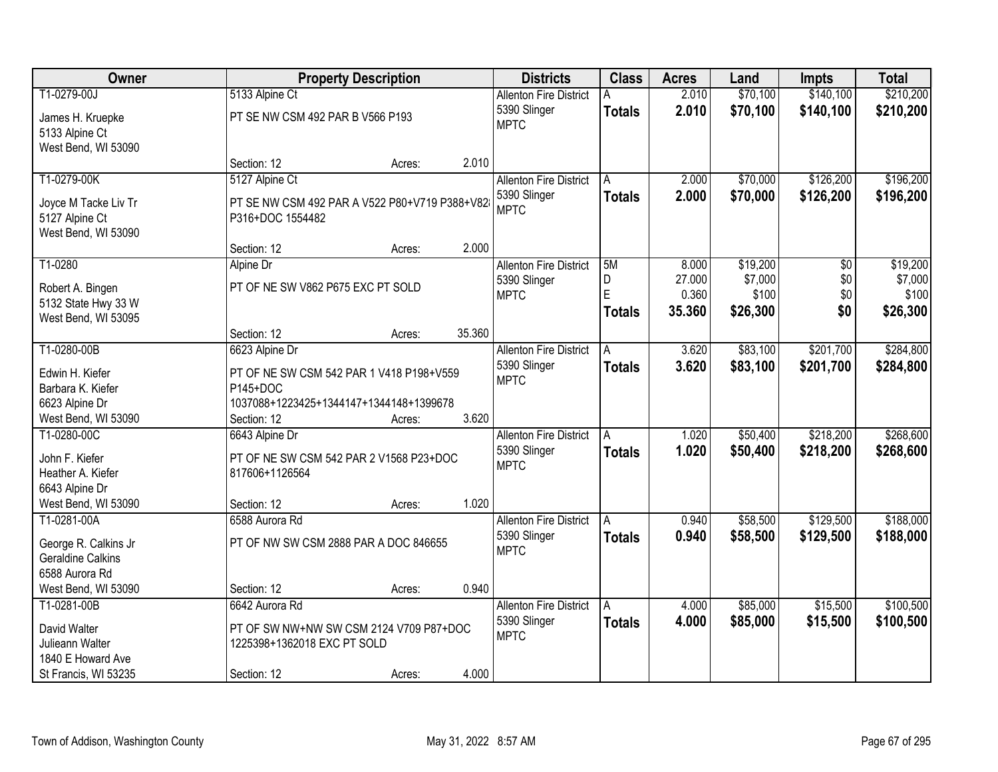| Owner                                 |                                               | <b>Property Description</b> |        | <b>Districts</b>              | <b>Class</b>  | <b>Acres</b> | Land     | <b>Impts</b> | <b>Total</b> |
|---------------------------------------|-----------------------------------------------|-----------------------------|--------|-------------------------------|---------------|--------------|----------|--------------|--------------|
| T1-0279-00J                           | 5133 Alpine Ct                                |                             |        | <b>Allenton Fire District</b> |               | 2.010        | \$70,100 | \$140,100    | \$210,200    |
| James H. Kruepke                      | PT SE NW CSM 492 PAR B V566 P193              |                             |        | 5390 Slinger                  | <b>Totals</b> | 2.010        | \$70,100 | \$140,100    | \$210,200    |
| 5133 Alpine Ct                        |                                               |                             |        | <b>MPTC</b>                   |               |              |          |              |              |
| West Bend, WI 53090                   |                                               |                             |        |                               |               |              |          |              |              |
|                                       | Section: 12                                   | Acres:                      | 2.010  |                               |               |              |          |              |              |
| T1-0279-00K                           | 5127 Alpine Ct                                |                             |        | <b>Allenton Fire District</b> | A             | 2.000        | \$70,000 | \$126,200    | \$196,200    |
|                                       |                                               |                             |        | 5390 Slinger                  | <b>Totals</b> | 2.000        | \$70,000 | \$126,200    | \$196,200    |
| Joyce M Tacke Liv Tr                  | PT SE NW CSM 492 PAR A V522 P80+V719 P388+V82 |                             |        | <b>MPTC</b>                   |               |              |          |              |              |
| 5127 Alpine Ct<br>West Bend, WI 53090 | P316+DOC 1554482                              |                             |        |                               |               |              |          |              |              |
|                                       | Section: 12                                   | Acres:                      | 2.000  |                               |               |              |          |              |              |
| T1-0280                               | Alpine Dr                                     |                             |        | <b>Allenton Fire District</b> | 5M            | 8.000        | \$19,200 | \$0          | \$19,200     |
|                                       |                                               |                             |        | 5390 Slinger                  | D             | 27.000       | \$7,000  | \$0          | \$7,000      |
| Robert A. Bingen                      | PT OF NE SW V862 P675 EXC PT SOLD             |                             |        | <b>MPTC</b>                   | Ė             | 0.360        | \$100    | \$0          | \$100        |
| 5132 State Hwy 33 W                   |                                               |                             |        |                               | <b>Totals</b> | 35.360       | \$26,300 | \$0          | \$26,300     |
| West Bend, WI 53095                   |                                               |                             |        |                               |               |              |          |              |              |
|                                       | Section: 12                                   | Acres:                      | 35.360 |                               |               |              |          |              |              |
| T1-0280-00B                           | 6623 Alpine Dr                                |                             |        | <b>Allenton Fire District</b> | A             | 3.620        | \$83,100 | \$201,700    | \$284,800    |
| Edwin H. Kiefer                       | PT OF NE SW CSM 542 PAR 1 V418 P198+V559      |                             |        | 5390 Slinger                  | <b>Totals</b> | 3.620        | \$83,100 | \$201,700    | \$284,800    |
| Barbara K. Kiefer                     | P145+DOC                                      |                             |        | <b>MPTC</b>                   |               |              |          |              |              |
| 6623 Alpine Dr                        | 1037088+1223425+1344147+1344148+1399678       |                             |        |                               |               |              |          |              |              |
| West Bend, WI 53090                   | Section: 12                                   | Acres:                      | 3.620  |                               |               |              |          |              |              |
| T1-0280-00C                           | 6643 Alpine Dr                                |                             |        | <b>Allenton Fire District</b> |               | 1.020        | \$50,400 | \$218,200    | \$268,600    |
| John F. Kiefer                        | PT OF NE SW CSM 542 PAR 2 V1568 P23+DOC       |                             |        | 5390 Slinger                  | <b>Totals</b> | 1.020        | \$50,400 | \$218,200    | \$268,600    |
| Heather A. Kiefer                     | 817606+1126564                                |                             |        | <b>MPTC</b>                   |               |              |          |              |              |
| 6643 Alpine Dr                        |                                               |                             |        |                               |               |              |          |              |              |
| West Bend, WI 53090                   | Section: 12                                   | Acres:                      | 1.020  |                               |               |              |          |              |              |
| T1-0281-00A                           | 6588 Aurora Rd                                |                             |        | <b>Allenton Fire District</b> | A             | 0.940        | \$58,500 | \$129,500    | \$188,000    |
|                                       |                                               |                             |        | 5390 Slinger                  | <b>Totals</b> | 0.940        | \$58,500 | \$129,500    | \$188,000    |
| George R. Calkins Jr                  | PT OF NW SW CSM 2888 PAR A DOC 846655         |                             |        | <b>MPTC</b>                   |               |              |          |              |              |
| <b>Geraldine Calkins</b>              |                                               |                             |        |                               |               |              |          |              |              |
| 6588 Aurora Rd                        |                                               |                             |        |                               |               |              |          |              |              |
| West Bend, WI 53090                   | Section: 12                                   | Acres:                      | 0.940  |                               |               |              |          |              |              |
| T1-0281-00B                           | 6642 Aurora Rd                                |                             |        | <b>Allenton Fire District</b> | A             | 4.000        | \$85,000 | \$15,500     | \$100,500    |
| David Walter                          | PT OF SW NW+NW SW CSM 2124 V709 P87+DOC       |                             |        | 5390 Slinger                  | <b>Totals</b> | 4.000        | \$85,000 | \$15,500     | \$100,500    |
| Julieann Walter                       | 1225398+1362018 EXC PT SOLD                   |                             |        | <b>MPTC</b>                   |               |              |          |              |              |
| 1840 E Howard Ave                     |                                               |                             |        |                               |               |              |          |              |              |
| St Francis, WI 53235                  | Section: 12                                   | Acres:                      | 4.000  |                               |               |              |          |              |              |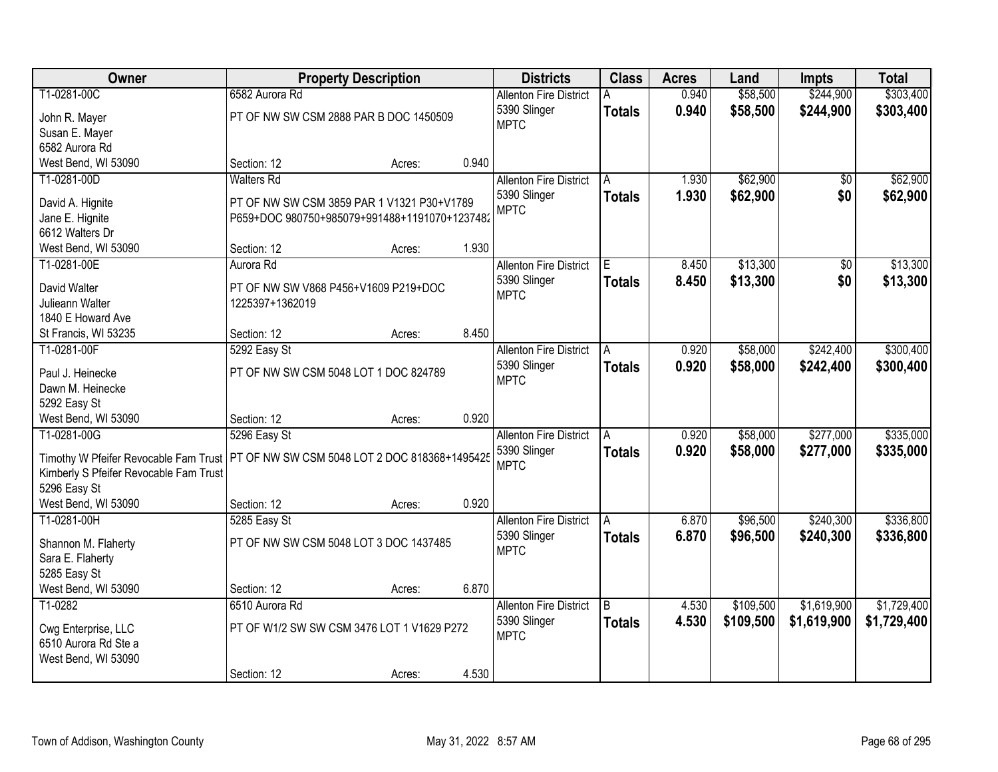| Owner                                                                                 | <b>Property Description</b>                              |        | <b>Districts</b> | <b>Class</b>                                                 | <b>Acres</b>   | Land           | <b>Impts</b>         | <b>Total</b>           |                        |
|---------------------------------------------------------------------------------------|----------------------------------------------------------|--------|------------------|--------------------------------------------------------------|----------------|----------------|----------------------|------------------------|------------------------|
| T1-0281-00C<br>John R. Mayer                                                          | 6582 Aurora Rd<br>PT OF NW SW CSM 2888 PAR B DOC 1450509 |        |                  | <b>Allenton Fire District</b><br>5390 Slinger<br><b>MPTC</b> | <b>Totals</b>  | 0.940<br>0.940 | \$58,500<br>\$58,500 | \$244,900<br>\$244,900 | \$303,400<br>\$303,400 |
| Susan E. Mayer                                                                        |                                                          |        |                  |                                                              |                |                |                      |                        |                        |
| 6582 Aurora Rd                                                                        |                                                          |        |                  |                                                              |                |                |                      |                        |                        |
| West Bend, WI 53090                                                                   | Section: 12                                              | Acres: | 0.940            |                                                              |                |                |                      |                        |                        |
| T1-0281-00D                                                                           | <b>Walters Rd</b>                                        |        |                  | <b>Allenton Fire District</b>                                | A              | 1.930          | \$62,900             | \$0                    | \$62,900               |
| David A. Hignite                                                                      | PT OF NW SW CSM 3859 PAR 1 V1321 P30+V1789               |        |                  | 5390 Slinger                                                 | <b>Totals</b>  | 1.930          | \$62,900             | \$0                    | \$62,900               |
| Jane E. Hignite                                                                       | P659+DOC 980750+985079+991488+1191070+1237482            |        |                  | <b>MPTC</b>                                                  |                |                |                      |                        |                        |
| 6612 Walters Dr                                                                       |                                                          |        |                  |                                                              |                |                |                      |                        |                        |
| West Bend, WI 53090                                                                   | Section: 12                                              | Acres: | 1.930            |                                                              |                |                |                      |                        |                        |
| T1-0281-00E                                                                           | Aurora Rd                                                |        |                  | <b>Allenton Fire District</b>                                | E              | 8.450          | \$13,300             | \$0                    | \$13,300               |
|                                                                                       |                                                          |        |                  | 5390 Slinger                                                 | <b>Totals</b>  | 8.450          | \$13,300             | \$0                    | \$13,300               |
| David Walter                                                                          | PT OF NW SW V868 P456+V1609 P219+DOC                     |        |                  | <b>MPTC</b>                                                  |                |                |                      |                        |                        |
| Julieann Walter                                                                       | 1225397+1362019                                          |        |                  |                                                              |                |                |                      |                        |                        |
| 1840 E Howard Ave                                                                     |                                                          |        |                  |                                                              |                |                |                      |                        |                        |
| St Francis, WI 53235                                                                  | Section: 12                                              | Acres: | 8.450            |                                                              |                |                |                      |                        |                        |
| T1-0281-00F                                                                           | 5292 Easy St                                             |        |                  | <b>Allenton Fire District</b>                                | Α              | 0.920          | \$58,000             | \$242,400              | \$300,400              |
| Paul J. Heinecke                                                                      | PT OF NW SW CSM 5048 LOT 1 DOC 824789                    |        |                  | 5390 Slinger                                                 | <b>Totals</b>  | 0.920          | \$58,000             | \$242,400              | \$300,400              |
| Dawn M. Heinecke                                                                      |                                                          |        |                  | <b>MPTC</b>                                                  |                |                |                      |                        |                        |
| 5292 Easy St                                                                          |                                                          |        |                  |                                                              |                |                |                      |                        |                        |
| West Bend, WI 53090                                                                   | Section: 12                                              | Acres: | 0.920            |                                                              |                |                |                      |                        |                        |
| T1-0281-00G                                                                           | 5296 Easy St                                             |        |                  | <b>Allenton Fire District</b>                                | A              | 0.920          | \$58,000             | \$277,000              | \$335,000              |
|                                                                                       |                                                          |        |                  | 5390 Slinger                                                 | <b>Totals</b>  | 0.920          | \$58,000             | \$277,000              | \$335,000              |
| Timothy W Pfeifer Revocable Fam Trust   PT OF NW SW CSM 5048 LOT 2 DOC 818368+1495425 |                                                          |        |                  | <b>MPTC</b>                                                  |                |                |                      |                        |                        |
| Kimberly S Pfeifer Revocable Fam Trust                                                |                                                          |        |                  |                                                              |                |                |                      |                        |                        |
| 5296 Easy St                                                                          |                                                          |        |                  |                                                              |                |                |                      |                        |                        |
| West Bend, WI 53090                                                                   | Section: 12                                              | Acres: | 0.920            |                                                              |                |                |                      |                        |                        |
| T1-0281-00H                                                                           | 5285 Easy St                                             |        |                  | <b>Allenton Fire District</b>                                | A              | 6.870          | \$96,500             | \$240,300              | \$336,800              |
| Shannon M. Flaherty                                                                   | PT OF NW SW CSM 5048 LOT 3 DOC 1437485                   |        |                  | 5390 Slinger                                                 | <b>Totals</b>  | 6.870          | \$96,500             | \$240,300              | \$336,800              |
| Sara E. Flaherty                                                                      |                                                          |        |                  | <b>MPTC</b>                                                  |                |                |                      |                        |                        |
| 5285 Easy St                                                                          |                                                          |        |                  |                                                              |                |                |                      |                        |                        |
| West Bend, WI 53090                                                                   | Section: 12                                              | Acres: | 6.870            |                                                              |                |                |                      |                        |                        |
| T1-0282                                                                               | 6510 Aurora Rd                                           |        |                  | <b>Allenton Fire District</b>                                | $\overline{B}$ | 4.530          | \$109,500            | \$1,619,900            | \$1,729,400            |
|                                                                                       | PT OF W1/2 SW SW CSM 3476 LOT 1 V1629 P272               |        |                  | 5390 Slinger                                                 | <b>Totals</b>  | 4.530          | \$109,500            | \$1,619,900            | \$1,729,400            |
| Cwg Enterprise, LLC<br>6510 Aurora Rd Ste a                                           |                                                          |        |                  | <b>MPTC</b>                                                  |                |                |                      |                        |                        |
|                                                                                       |                                                          |        |                  |                                                              |                |                |                      |                        |                        |
| West Bend, WI 53090                                                                   | Section: 12                                              |        | 4.530            |                                                              |                |                |                      |                        |                        |
|                                                                                       |                                                          | Acres: |                  |                                                              |                |                |                      |                        |                        |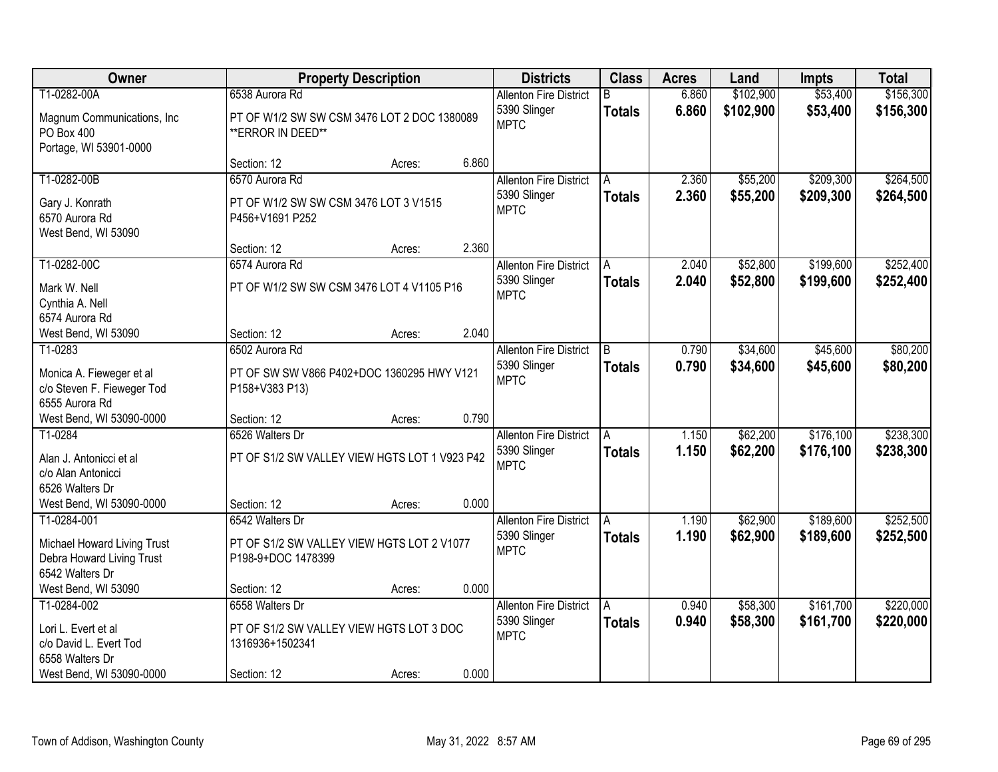| Owner                                                                                                       |                                                                                               | <b>Property Description</b> |       | <b>Districts</b>                                             | <b>Class</b>        | <b>Acres</b>   | Land                   | <b>Impts</b>           | <b>Total</b>           |
|-------------------------------------------------------------------------------------------------------------|-----------------------------------------------------------------------------------------------|-----------------------------|-------|--------------------------------------------------------------|---------------------|----------------|------------------------|------------------------|------------------------|
| T1-0282-00A<br>Magnum Communications, Inc.<br>PO Box 400<br>Portage, WI 53901-0000                          | 6538 Aurora Rd<br>PT OF W1/2 SW SW CSM 3476 LOT 2 DOC 1380089<br>** ERROR IN DEED**           |                             |       | <b>Allenton Fire District</b><br>5390 Slinger<br><b>MPTC</b> | R.<br><b>Totals</b> | 6.860<br>6.860 | \$102,900<br>\$102,900 | \$53,400<br>\$53,400   | \$156,300<br>\$156,300 |
|                                                                                                             | Section: 12                                                                                   | Acres:                      | 6.860 |                                                              |                     |                |                        |                        |                        |
| T1-0282-00B<br>Gary J. Konrath<br>6570 Aurora Rd<br>West Bend, WI 53090                                     | 6570 Aurora Rd<br>PT OF W1/2 SW SW CSM 3476 LOT 3 V1515<br>P456+V1691 P252                    |                             |       | <b>Allenton Fire District</b><br>5390 Slinger<br><b>MPTC</b> | A<br><b>Totals</b>  | 2.360<br>2.360 | \$55,200<br>\$55,200   | \$209,300<br>\$209,300 | \$264,500<br>\$264,500 |
|                                                                                                             | Section: 12                                                                                   | Acres:                      | 2.360 |                                                              |                     |                |                        |                        |                        |
| T1-0282-00C<br>Mark W. Nell<br>Cynthia A. Nell<br>6574 Aurora Rd                                            | 6574 Aurora Rd<br>PT OF W1/2 SW SW CSM 3476 LOT 4 V1105 P16                                   |                             |       | <b>Allenton Fire District</b><br>5390 Slinger<br><b>MPTC</b> | A<br><b>Totals</b>  | 2.040<br>2.040 | \$52,800<br>\$52,800   | \$199,600<br>\$199,600 | \$252,400<br>\$252,400 |
| West Bend, WI 53090                                                                                         | Section: 12                                                                                   | Acres:                      | 2.040 |                                                              |                     |                |                        |                        |                        |
| T1-0283<br>Monica A. Fieweger et al<br>c/o Steven F. Fieweger Tod<br>6555 Aurora Rd                         | 6502 Aurora Rd<br>PT OF SW SW V866 P402+DOC 1360295 HWY V121<br>P158+V383 P13)                |                             |       | <b>Allenton Fire District</b><br>5390 Slinger<br><b>MPTC</b> | B<br><b>Totals</b>  | 0.790<br>0.790 | \$34,600<br>\$34,600   | \$45,600<br>\$45,600   | \$80,200<br>\$80,200   |
| West Bend, WI 53090-0000                                                                                    | Section: 12                                                                                   | Acres:                      | 0.790 |                                                              |                     |                |                        |                        |                        |
| T1-0284<br>Alan J. Antonicci et al<br>c/o Alan Antonicci<br>6526 Walters Dr                                 | 6526 Walters Dr<br>PT OF S1/2 SW VALLEY VIEW HGTS LOT 1 V923 P42                              |                             |       | <b>Allenton Fire District</b><br>5390 Slinger<br><b>MPTC</b> | <b>Totals</b>       | 1.150<br>1.150 | \$62,200<br>\$62,200   | \$176,100<br>\$176,100 | \$238,300<br>\$238,300 |
| West Bend, WI 53090-0000<br>T1-0284-001                                                                     | Section: 12<br>6542 Walters Dr                                                                | Acres:                      | 0.000 | <b>Allenton Fire District</b>                                | A                   | 1.190          | \$62,900               | \$189,600              | \$252,500              |
| Michael Howard Living Trust<br>Debra Howard Living Trust<br>6542 Walters Dr                                 | PT OF S1/2 SW VALLEY VIEW HGTS LOT 2 V1077<br>P198-9+DOC 1478399                              |                             |       | 5390 Slinger<br><b>MPTC</b>                                  | <b>Totals</b>       | 1.190          | \$62,900               | \$189,600              | \$252,500              |
| West Bend, WI 53090                                                                                         | Section: 12                                                                                   | Acres:                      | 0.000 |                                                              |                     |                |                        |                        |                        |
| T1-0284-002<br>Lori L. Evert et al<br>c/o David L. Evert Tod<br>6558 Walters Dr<br>West Bend, WI 53090-0000 | 6558 Walters Dr<br>PT OF S1/2 SW VALLEY VIEW HGTS LOT 3 DOC<br>1316936+1502341<br>Section: 12 | Acres:                      | 0.000 | <b>Allenton Fire District</b><br>5390 Slinger<br><b>MPTC</b> | A<br><b>Totals</b>  | 0.940<br>0.940 | \$58,300<br>\$58,300   | \$161,700<br>\$161,700 | \$220,000<br>\$220,000 |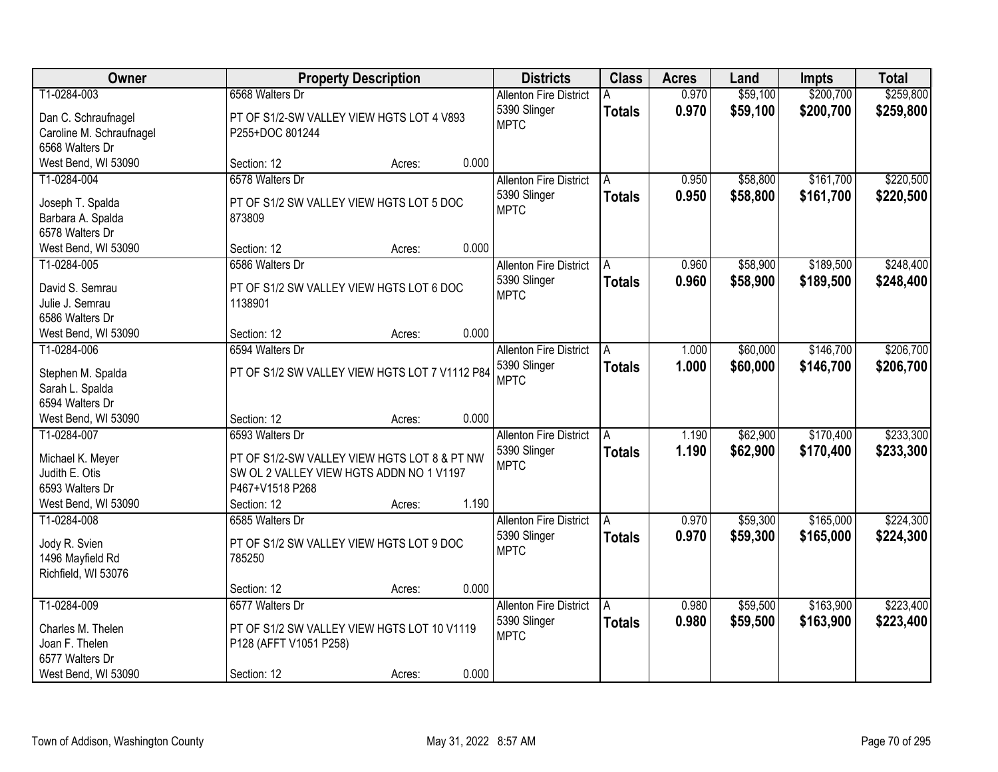| Owner                                                                                        |                                                                                                                                               | <b>Property Description</b> |       | <b>Districts</b>                                             | <b>Class</b>       | <b>Acres</b>   | Land                 | <b>Impts</b>           | <b>Total</b>           |
|----------------------------------------------------------------------------------------------|-----------------------------------------------------------------------------------------------------------------------------------------------|-----------------------------|-------|--------------------------------------------------------------|--------------------|----------------|----------------------|------------------------|------------------------|
| T1-0284-003<br>Dan C. Schraufnagel<br>Caroline M. Schraufnagel                               | 6568 Walters Dr<br>PT OF S1/2-SW VALLEY VIEW HGTS LOT 4 V893<br>P255+DOC 801244                                                               |                             |       | <b>Allenton Fire District</b><br>5390 Slinger<br><b>MPTC</b> | <b>Totals</b>      | 0.970<br>0.970 | \$59,100<br>\$59,100 | \$200,700<br>\$200,700 | \$259,800<br>\$259,800 |
| 6568 Walters Dr<br>West Bend, WI 53090                                                       | Section: 12                                                                                                                                   | Acres:                      | 0.000 |                                                              |                    |                |                      |                        |                        |
| T1-0284-004<br>Joseph T. Spalda<br>Barbara A. Spalda<br>6578 Walters Dr                      | 6578 Walters Dr<br>PT OF S1/2 SW VALLEY VIEW HGTS LOT 5 DOC<br>873809                                                                         |                             |       | <b>Allenton Fire District</b><br>5390 Slinger<br><b>MPTC</b> | A<br><b>Totals</b> | 0.950<br>0.950 | \$58,800<br>\$58,800 | \$161,700<br>\$161,700 | \$220,500<br>\$220,500 |
| West Bend, WI 53090                                                                          | Section: 12                                                                                                                                   | Acres:                      | 0.000 |                                                              |                    |                |                      |                        |                        |
| T1-0284-005<br>David S. Semrau<br>Julie J. Semrau<br>6586 Walters Dr                         | 6586 Walters Dr<br>PT OF S1/2 SW VALLEY VIEW HGTS LOT 6 DOC<br>1138901                                                                        |                             |       | <b>Allenton Fire District</b><br>5390 Slinger<br><b>MPTC</b> | Α<br><b>Totals</b> | 0.960<br>0.960 | \$58,900<br>\$58,900 | \$189,500<br>\$189,500 | \$248,400<br>\$248,400 |
| West Bend, WI 53090                                                                          | Section: 12                                                                                                                                   | Acres:                      | 0.000 |                                                              |                    |                |                      |                        |                        |
| T1-0284-006<br>Stephen M. Spalda<br>Sarah L. Spalda<br>6594 Walters Dr                       | 6594 Walters Dr<br>PT OF S1/2 SW VALLEY VIEW HGTS LOT 7 V1112 P84                                                                             |                             |       | <b>Allenton Fire District</b><br>5390 Slinger<br><b>MPTC</b> | A<br><b>Totals</b> | 1.000<br>1.000 | \$60,000<br>\$60,000 | \$146,700<br>\$146,700 | \$206,700<br>\$206,700 |
| West Bend, WI 53090                                                                          | Section: 12                                                                                                                                   | Acres:                      | 0.000 |                                                              |                    |                |                      |                        |                        |
| T1-0284-007<br>Michael K. Meyer<br>Judith E. Otis<br>6593 Walters Dr<br>West Bend, WI 53090  | 6593 Walters Dr<br>PT OF S1/2-SW VALLEY VIEW HGTS LOT 8 & PT NW<br>SW OL 2 VALLEY VIEW HGTS ADDN NO 1 V1197<br>P467+V1518 P268<br>Section: 12 | Acres:                      | 1.190 | <b>Allenton Fire District</b><br>5390 Slinger<br><b>MPTC</b> | A<br><b>Totals</b> | 1.190<br>1.190 | \$62,900<br>\$62,900 | \$170,400<br>\$170,400 | \$233,300<br>\$233,300 |
| T1-0284-008<br>Jody R. Svien<br>1496 Mayfield Rd<br>Richfield, WI 53076                      | 6585 Walters Dr<br>PT OF S1/2 SW VALLEY VIEW HGTS LOT 9 DOC<br>785250<br>Section: 12                                                          | Acres:                      | 0.000 | <b>Allenton Fire District</b><br>5390 Slinger<br><b>MPTC</b> | A<br><b>Totals</b> | 0.970<br>0.970 | \$59,300<br>\$59,300 | \$165,000<br>\$165,000 | \$224,300<br>\$224,300 |
| T1-0284-009<br>Charles M. Thelen<br>Joan F. Thelen<br>6577 Walters Dr<br>West Bend, WI 53090 | 6577 Walters Dr<br>PT OF S1/2 SW VALLEY VIEW HGTS LOT 10 V1119<br>P128 (AFFT V1051 P258)<br>Section: 12                                       | Acres:                      | 0.000 | <b>Allenton Fire District</b><br>5390 Slinger<br><b>MPTC</b> | A<br><b>Totals</b> | 0.980<br>0.980 | \$59,500<br>\$59,500 | \$163,900<br>\$163,900 | \$223,400<br>\$223,400 |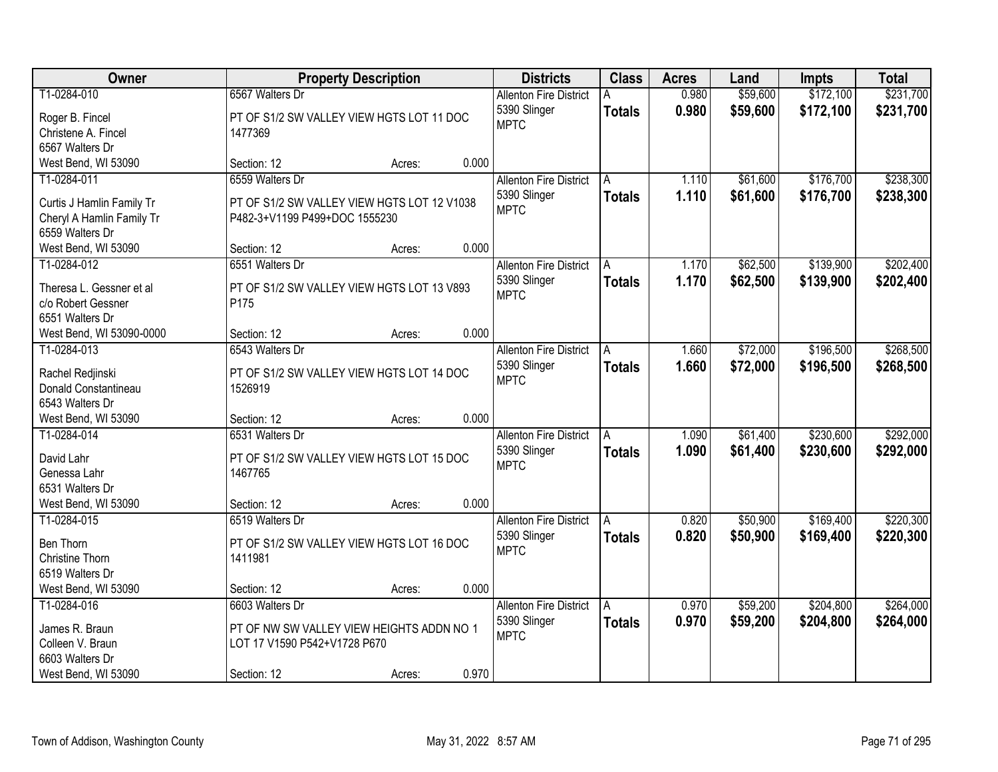| Owner                     | <b>Property Description</b>                 |        |       | <b>Districts</b>              | <b>Class</b>  | <b>Acres</b> | Land     | <b>Impts</b> | <b>Total</b> |
|---------------------------|---------------------------------------------|--------|-------|-------------------------------|---------------|--------------|----------|--------------|--------------|
| T1-0284-010               | 6567 Walters Dr                             |        |       | <b>Allenton Fire District</b> | A             | 0.980        | \$59,600 | \$172,100    | \$231,700    |
| Roger B. Fincel           | PT OF S1/2 SW VALLEY VIEW HGTS LOT 11 DOC   |        |       | 5390 Slinger                  | <b>Totals</b> | 0.980        | \$59,600 | \$172,100    | \$231,700    |
| Christene A. Fincel       | 1477369                                     |        |       | <b>MPTC</b>                   |               |              |          |              |              |
| 6567 Walters Dr           |                                             |        |       |                               |               |              |          |              |              |
| West Bend, WI 53090       | Section: 12                                 | Acres: | 0.000 |                               |               |              |          |              |              |
| T1-0284-011               | 6559 Walters Dr                             |        |       | <b>Allenton Fire District</b> | A             | 1.110        | \$61,600 | \$176,700    | \$238,300    |
|                           |                                             |        |       | 5390 Slinger                  | <b>Totals</b> | 1.110        | \$61,600 | \$176,700    | \$238,300    |
| Curtis J Hamlin Family Tr | PT OF S1/2 SW VALLEY VIEW HGTS LOT 12 V1038 |        |       | <b>MPTC</b>                   |               |              |          |              |              |
| Cheryl A Hamlin Family Tr | P482-3+V1199 P499+DOC 1555230               |        |       |                               |               |              |          |              |              |
| 6559 Walters Dr           |                                             |        |       |                               |               |              |          |              |              |
| West Bend, WI 53090       | Section: 12                                 | Acres: | 0.000 |                               |               |              |          |              |              |
| T1-0284-012               | 6551 Walters Dr                             |        |       | <b>Allenton Fire District</b> | A             | 1.170        | \$62,500 | \$139,900    | \$202,400    |
| Theresa L. Gessner et al  | PT OF S1/2 SW VALLEY VIEW HGTS LOT 13 V893  |        |       | 5390 Slinger                  | <b>Totals</b> | 1.170        | \$62,500 | \$139,900    | \$202,400    |
| c/o Robert Gessner        | P175                                        |        |       | <b>MPTC</b>                   |               |              |          |              |              |
| 6551 Walters Dr           |                                             |        |       |                               |               |              |          |              |              |
| West Bend, WI 53090-0000  | Section: 12                                 | Acres: | 0.000 |                               |               |              |          |              |              |
| T1-0284-013               | 6543 Walters Dr                             |        |       | <b>Allenton Fire District</b> | A             | 1.660        | \$72,000 | \$196,500    | \$268,500    |
|                           |                                             |        |       | 5390 Slinger                  | <b>Totals</b> | 1.660        | \$72,000 | \$196,500    | \$268,500    |
| Rachel Redjinski          | PT OF S1/2 SW VALLEY VIEW HGTS LOT 14 DOC   |        |       | <b>MPTC</b>                   |               |              |          |              |              |
| Donald Constantineau      | 1526919                                     |        |       |                               |               |              |          |              |              |
| 6543 Walters Dr           |                                             |        |       |                               |               |              |          |              |              |
| West Bend, WI 53090       | Section: 12                                 | Acres: | 0.000 |                               |               |              |          |              |              |
| T1-0284-014               | 6531 Walters Dr                             |        |       | <b>Allenton Fire District</b> | A             | 1.090        | \$61,400 | \$230,600    | \$292,000    |
| David Lahr                | PT OF S1/2 SW VALLEY VIEW HGTS LOT 15 DOC   |        |       | 5390 Slinger                  | Totals        | 1.090        | \$61,400 | \$230,600    | \$292,000    |
| Genessa Lahr              | 1467765                                     |        |       | <b>MPTC</b>                   |               |              |          |              |              |
| 6531 Walters Dr           |                                             |        |       |                               |               |              |          |              |              |
| West Bend, WI 53090       | Section: 12                                 | Acres: | 0.000 |                               |               |              |          |              |              |
| T1-0284-015               | 6519 Walters Dr                             |        |       | <b>Allenton Fire District</b> | A             | 0.820        | \$50,900 | \$169,400    | \$220,300    |
|                           |                                             |        |       | 5390 Slinger                  | <b>Totals</b> | 0.820        | \$50,900 | \$169,400    | \$220,300    |
| Ben Thorn                 | PT OF S1/2 SW VALLEY VIEW HGTS LOT 16 DOC   |        |       | <b>MPTC</b>                   |               |              |          |              |              |
| Christine Thorn           | 1411981                                     |        |       |                               |               |              |          |              |              |
| 6519 Walters Dr           |                                             |        |       |                               |               |              |          |              |              |
| West Bend, WI 53090       | Section: 12                                 | Acres: | 0.000 |                               |               |              |          |              |              |
| T1-0284-016               | 6603 Walters Dr                             |        |       | <b>Allenton Fire District</b> | A             | 0.970        | \$59,200 | \$204,800    | \$264,000    |
| James R. Braun            | PT OF NW SW VALLEY VIEW HEIGHTS ADDN NO 1   |        |       | 5390 Slinger                  | <b>Totals</b> | 0.970        | \$59,200 | \$204,800    | \$264,000    |
| Colleen V. Braun          | LOT 17 V1590 P542+V1728 P670                |        |       | <b>MPTC</b>                   |               |              |          |              |              |
| 6603 Walters Dr           |                                             |        |       |                               |               |              |          |              |              |
| West Bend, WI 53090       | Section: 12                                 | Acres: | 0.970 |                               |               |              |          |              |              |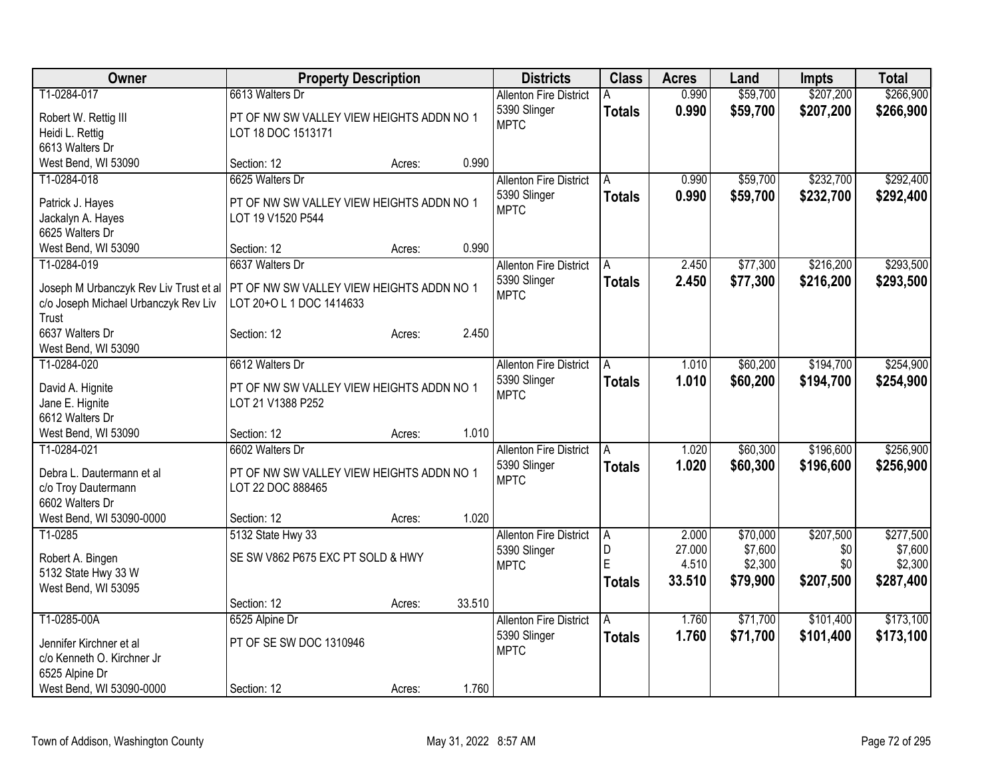| Owner                                                 | <b>Property Description</b>                                    |        |        | <b>Districts</b>              | <b>Class</b>  | <b>Acres</b> | Land     | <b>Impts</b> | <b>Total</b> |
|-------------------------------------------------------|----------------------------------------------------------------|--------|--------|-------------------------------|---------------|--------------|----------|--------------|--------------|
| T1-0284-017                                           | 6613 Walters Dr                                                |        |        | <b>Allenton Fire District</b> |               | 0.990        | \$59,700 | \$207,200    | \$266,900    |
| Robert W. Rettig III                                  | PT OF NW SW VALLEY VIEW HEIGHTS ADDN NO 1                      |        |        | 5390 Slinger                  | <b>Totals</b> | 0.990        | \$59,700 | \$207,200    | \$266,900    |
| Heidi L. Rettig                                       | LOT 18 DOC 1513171                                             |        |        | <b>MPTC</b>                   |               |              |          |              |              |
| 6613 Walters Dr                                       |                                                                |        |        |                               |               |              |          |              |              |
| West Bend, WI 53090                                   | Section: 12                                                    | Acres: | 0.990  |                               |               |              |          |              |              |
| T1-0284-018                                           | 6625 Walters Dr                                                |        |        | <b>Allenton Fire District</b> | A             | 0.990        | \$59,700 | \$232,700    | \$292,400    |
|                                                       |                                                                |        |        | 5390 Slinger                  | <b>Totals</b> | 0.990        | \$59,700 | \$232,700    | \$292,400    |
| Patrick J. Hayes                                      | PT OF NW SW VALLEY VIEW HEIGHTS ADDN NO 1<br>LOT 19 V1520 P544 |        |        | <b>MPTC</b>                   |               |              |          |              |              |
| Jackalyn A. Hayes<br>6625 Walters Dr                  |                                                                |        |        |                               |               |              |          |              |              |
| West Bend, WI 53090                                   | Section: 12                                                    | Acres: | 0.990  |                               |               |              |          |              |              |
| T1-0284-019                                           | 6637 Walters Dr                                                |        |        | <b>Allenton Fire District</b> | A             | 2.450        | \$77,300 | \$216,200    | \$293,500    |
|                                                       |                                                                |        |        |                               |               |              |          |              |              |
| Joseph M Urbanczyk Rev Liv Trust et al                | PT OF NW SW VALLEY VIEW HEIGHTS ADDN NO 1                      |        |        | 5390 Slinger<br><b>MPTC</b>   | <b>Totals</b> | 2.450        | \$77,300 | \$216,200    | \$293,500    |
| c/o Joseph Michael Urbanczyk Rev Liv                  | LOT 20+O L 1 DOC 1414633                                       |        |        |                               |               |              |          |              |              |
| Trust                                                 |                                                                |        |        |                               |               |              |          |              |              |
| 6637 Walters Dr                                       | Section: 12                                                    | Acres: | 2.450  |                               |               |              |          |              |              |
| West Bend, WI 53090                                   |                                                                |        |        |                               |               |              |          |              |              |
| T1-0284-020                                           | 6612 Walters Dr                                                |        |        | <b>Allenton Fire District</b> | A             | 1.010        | \$60,200 | \$194,700    | \$254,900    |
| David A. Hignite                                      | PT OF NW SW VALLEY VIEW HEIGHTS ADDN NO 1                      |        |        | 5390 Slinger                  | <b>Totals</b> | 1.010        | \$60,200 | \$194,700    | \$254,900    |
| Jane E. Hignite                                       | LOT 21 V1388 P252                                              |        |        | <b>MPTC</b>                   |               |              |          |              |              |
| 6612 Walters Dr                                       |                                                                |        |        |                               |               |              |          |              |              |
| West Bend, WI 53090                                   | Section: 12                                                    | Acres: | 1.010  |                               |               |              |          |              |              |
| T1-0284-021                                           | 6602 Walters Dr                                                |        |        | <b>Allenton Fire District</b> | A             | 1.020        | \$60,300 | \$196,600    | \$256,900    |
|                                                       |                                                                |        |        | 5390 Slinger                  | <b>Totals</b> | 1.020        | \$60,300 | \$196,600    | \$256,900    |
| Debra L. Dautermann et al                             | PT OF NW SW VALLEY VIEW HEIGHTS ADDN NO 1                      |        |        | <b>MPTC</b>                   |               |              |          |              |              |
| c/o Troy Dautermann                                   | LOT 22 DOC 888465                                              |        |        |                               |               |              |          |              |              |
| 6602 Walters Dr                                       |                                                                |        |        |                               |               |              |          |              |              |
| West Bend, WI 53090-0000                              | Section: 12                                                    | Acres: | 1.020  |                               |               |              |          |              |              |
| T1-0285                                               | 5132 State Hwy 33                                              |        |        | <b>Allenton Fire District</b> | A             | 2.000        | \$70,000 | \$207,500    | \$277,500    |
| Robert A. Bingen                                      | SE SW V862 P675 EXC PT SOLD & HWY                              |        |        | 5390 Slinger                  | D             | 27.000       | \$7,600  | \$0          | \$7,600      |
| 5132 State Hwy 33 W                                   |                                                                |        |        | <b>MPTC</b>                   | E             | 4.510        | \$2,300  | \$0          | \$2,300      |
| West Bend, WI 53095                                   |                                                                |        |        |                               | <b>Totals</b> | 33.510       | \$79,900 | \$207,500    | \$287,400    |
|                                                       | Section: 12                                                    | Acres: | 33.510 |                               |               |              |          |              |              |
| T1-0285-00A                                           | 6525 Alpine Dr                                                 |        |        | <b>Allenton Fire District</b> | A             | 1.760        | \$71,700 | \$101,400    | \$173,100    |
|                                                       | PT OF SE SW DOC 1310946                                        |        |        | 5390 Slinger                  | <b>Totals</b> | 1.760        | \$71,700 | \$101,400    | \$173,100    |
| Jennifer Kirchner et al<br>c/o Kenneth O. Kirchner Jr |                                                                |        |        | <b>MPTC</b>                   |               |              |          |              |              |
| 6525 Alpine Dr                                        |                                                                |        |        |                               |               |              |          |              |              |
| West Bend, WI 53090-0000                              | Section: 12                                                    |        | 1.760  |                               |               |              |          |              |              |
|                                                       |                                                                | Acres: |        |                               |               |              |          |              |              |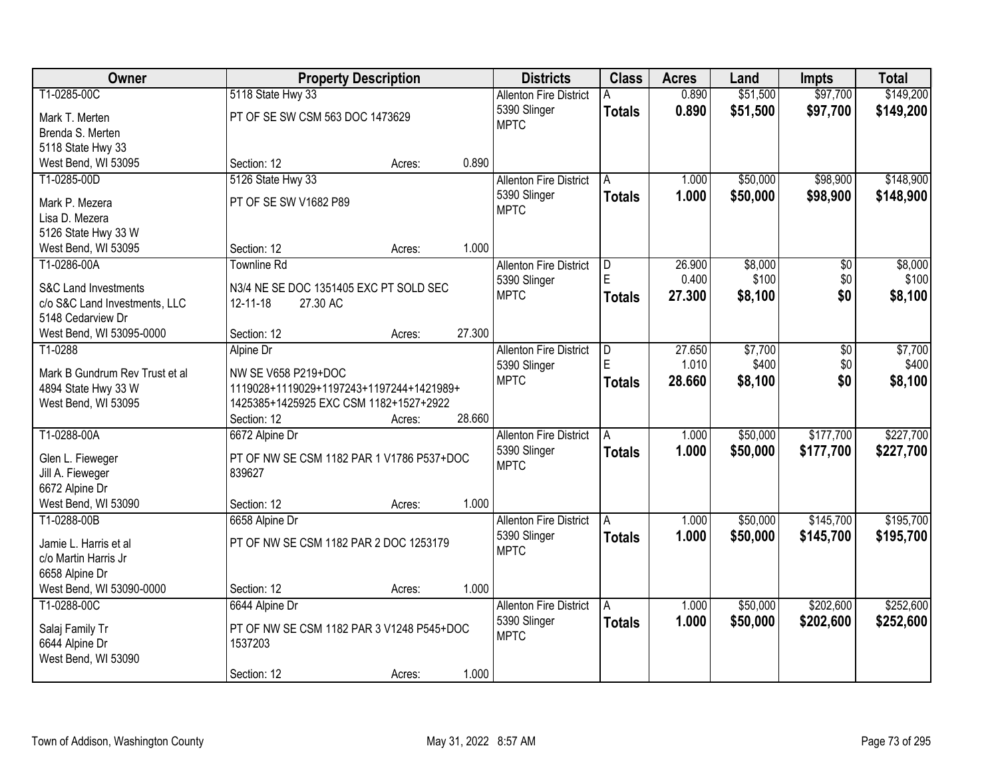| Owner                           |                                                       | <b>Property Description</b> |        | <b>Districts</b>              | <b>Class</b>  | <b>Acres</b> | Land     | <b>Impts</b> | <b>Total</b> |
|---------------------------------|-------------------------------------------------------|-----------------------------|--------|-------------------------------|---------------|--------------|----------|--------------|--------------|
| T1-0285-00C                     | 5118 State Hwy 33                                     |                             |        | <b>Allenton Fire District</b> |               | 0.890        | \$51,500 | \$97,700     | \$149,200    |
| Mark T. Merten                  | PT OF SE SW CSM 563 DOC 1473629                       |                             |        | 5390 Slinger                  | <b>Totals</b> | 0.890        | \$51,500 | \$97,700     | \$149,200    |
| Brenda S. Merten                |                                                       |                             |        | <b>MPTC</b>                   |               |              |          |              |              |
| 5118 State Hwy 33               |                                                       |                             |        |                               |               |              |          |              |              |
| West Bend, WI 53095             | Section: 12                                           | Acres:                      | 0.890  |                               |               |              |          |              |              |
| T1-0285-00D                     | 5126 State Hwy 33                                     |                             |        | <b>Allenton Fire District</b> | A             | 1.000        | \$50,000 | \$98,900     | \$148,900    |
|                                 |                                                       |                             |        | 5390 Slinger                  | <b>Totals</b> | 1.000        | \$50,000 | \$98,900     | \$148,900    |
| Mark P. Mezera                  | PT OF SE SW V1682 P89                                 |                             |        | <b>MPTC</b>                   |               |              |          |              |              |
| Lisa D. Mezera                  |                                                       |                             |        |                               |               |              |          |              |              |
| 5126 State Hwy 33 W             |                                                       |                             |        |                               |               |              |          |              |              |
| West Bend, WI 53095             | Section: 12                                           | Acres:                      | 1.000  |                               |               |              |          |              |              |
| T1-0286-00A                     | <b>Townline Rd</b>                                    |                             |        | <b>Allenton Fire District</b> | D<br>E        | 26,900       | \$8,000  | \$0          | \$8,000      |
| <b>S&amp;C Land Investments</b> | N3/4 NE SE DOC 1351405 EXC PT SOLD SEC                |                             |        | 5390 Slinger                  |               | 0.400        | \$100    | \$0          | \$100        |
| c/o S&C Land Investments, LLC   | 27.30 AC<br>12-11-18                                  |                             |        | <b>MPTC</b>                   | <b>Totals</b> | 27.300       | \$8,100  | \$0          | \$8,100      |
| 5148 Cedarview Dr               |                                                       |                             |        |                               |               |              |          |              |              |
| West Bend, WI 53095-0000        | Section: 12                                           | Acres:                      | 27.300 |                               |               |              |          |              |              |
| T1-0288                         | Alpine Dr                                             |                             |        | <b>Allenton Fire District</b> | D             | 27.650       | \$7,700  | \$0          | \$7,700      |
|                                 |                                                       |                             |        | 5390 Slinger                  | F.            | 1.010        | \$400    | \$0          | \$400        |
| Mark B Gundrum Rev Trust et al  | NW SE V658 P219+DOC                                   |                             |        | <b>MPTC</b>                   | <b>Totals</b> | 28.660       | \$8,100  | \$0          | \$8,100      |
| 4894 State Hwy 33 W             | 1119028+1119029+1197243+1197244+1421989+              |                             |        |                               |               |              |          |              |              |
| West Bend, WI 53095             | 1425385+1425925 EXC CSM 1182+1527+2922<br>Section: 12 |                             | 28.660 |                               |               |              |          |              |              |
| T1-0288-00A                     |                                                       | Acres:                      |        |                               |               | 1.000        | \$50,000 | \$177,700    | \$227,700    |
|                                 | 6672 Alpine Dr                                        |                             |        | <b>Allenton Fire District</b> |               |              |          |              |              |
| Glen L. Fieweger                | PT OF NW SE CSM 1182 PAR 1 V1786 P537+DOC             |                             |        | 5390 Slinger<br><b>MPTC</b>   | <b>Totals</b> | 1.000        | \$50,000 | \$177,700    | \$227,700    |
| Jill A. Fieweger                | 839627                                                |                             |        |                               |               |              |          |              |              |
| 6672 Alpine Dr                  |                                                       |                             |        |                               |               |              |          |              |              |
| West Bend, WI 53090             | Section: 12                                           | Acres:                      | 1.000  |                               |               |              |          |              |              |
| T1-0288-00B                     | 6658 Alpine Dr                                        |                             |        | <b>Allenton Fire District</b> | A             | 1.000        | \$50,000 | \$145,700    | \$195,700    |
| Jamie L. Harris et al           | PT OF NW SE CSM 1182 PAR 2 DOC 1253179                |                             |        | 5390 Slinger                  | <b>Totals</b> | 1.000        | \$50,000 | \$145,700    | \$195,700    |
| c/o Martin Harris Jr            |                                                       |                             |        | <b>MPTC</b>                   |               |              |          |              |              |
| 6658 Alpine Dr                  |                                                       |                             |        |                               |               |              |          |              |              |
| West Bend, WI 53090-0000        | Section: 12                                           | Acres:                      | 1.000  |                               |               |              |          |              |              |
| T1-0288-00C                     | 6644 Alpine Dr                                        |                             |        | <b>Allenton Fire District</b> | A             | 1.000        | \$50,000 | \$202,600    | \$252,600    |
|                                 |                                                       |                             |        | 5390 Slinger                  |               | 1.000        |          |              |              |
| Salaj Family Tr                 | PT OF NW SE CSM 1182 PAR 3 V1248 P545+DOC             |                             |        | <b>MPTC</b>                   | <b>Totals</b> |              | \$50,000 | \$202,600    | \$252,600    |
| 6644 Alpine Dr                  | 1537203                                               |                             |        |                               |               |              |          |              |              |
| West Bend, WI 53090             |                                                       |                             |        |                               |               |              |          |              |              |
|                                 | Section: 12                                           | Acres:                      | 1.000  |                               |               |              |          |              |              |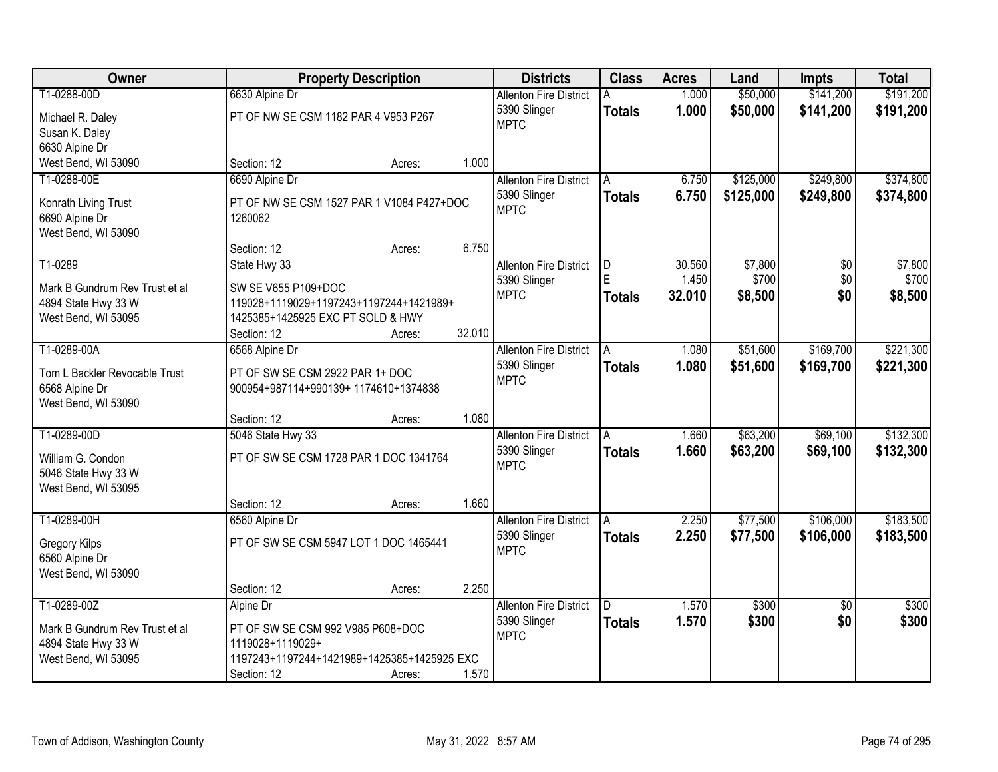| Owner                          |                                             | <b>Property Description</b> |        | <b>Districts</b>              | <b>Class</b>            | <b>Acres</b> | Land      | <b>Impts</b>    | <b>Total</b> |
|--------------------------------|---------------------------------------------|-----------------------------|--------|-------------------------------|-------------------------|--------------|-----------|-----------------|--------------|
| T1-0288-00D                    | 6630 Alpine Dr                              |                             |        | <b>Allenton Fire District</b> |                         | 1.000        | \$50,000  | \$141,200       | \$191,200    |
| Michael R. Daley               | PT OF NW SE CSM 1182 PAR 4 V953 P267        |                             |        | 5390 Slinger                  | <b>Totals</b>           | 1.000        | \$50,000  | \$141,200       | \$191,200    |
| Susan K. Daley                 |                                             |                             |        | <b>MPTC</b>                   |                         |              |           |                 |              |
| 6630 Alpine Dr                 |                                             |                             |        |                               |                         |              |           |                 |              |
| West Bend, WI 53090            | Section: 12                                 | Acres:                      | 1.000  |                               |                         |              |           |                 |              |
| T1-0288-00E                    | 6690 Alpine Dr                              |                             |        | <b>Allenton Fire District</b> | A                       | 6.750        | \$125,000 | \$249,800       | \$374,800    |
| Konrath Living Trust           | PT OF NW SE CSM 1527 PAR 1 V1084 P427+DOC   |                             |        | 5390 Slinger                  | <b>Totals</b>           | 6.750        | \$125,000 | \$249,800       | \$374,800    |
| 6690 Alpine Dr                 | 1260062                                     |                             |        | <b>MPTC</b>                   |                         |              |           |                 |              |
| West Bend, WI 53090            |                                             |                             |        |                               |                         |              |           |                 |              |
|                                | Section: 12                                 | Acres:                      | 6.750  |                               |                         |              |           |                 |              |
| T1-0289                        | State Hwy 33                                |                             |        | <b>Allenton Fire District</b> | $\overline{\mathsf{D}}$ | 30.560       | \$7,800   | $\overline{50}$ | \$7,800      |
| Mark B Gundrum Rev Trust et al | SW SE V655 P109+DOC                         |                             |        | 5390 Slinger                  | F                       | 1.450        | \$700     | \$0             | \$700        |
| 4894 State Hwy 33 W            | 119028+1119029+1197243+1197244+1421989+     |                             |        | <b>MPTC</b>                   | <b>Totals</b>           | 32.010       | \$8,500   | \$0             | \$8,500      |
| West Bend, WI 53095            | 1425385+1425925 EXC PT SOLD & HWY           |                             |        |                               |                         |              |           |                 |              |
|                                | Section: 12                                 | Acres:                      | 32.010 |                               |                         |              |           |                 |              |
| T1-0289-00A                    | 6568 Alpine Dr                              |                             |        | <b>Allenton Fire District</b> | A                       | 1.080        | \$51,600  | \$169,700       | \$221,300    |
| Tom L Backler Revocable Trust  | PT OF SW SE CSM 2922 PAR 1+ DOC             |                             |        | 5390 Slinger                  | <b>Totals</b>           | 1.080        | \$51,600  | \$169,700       | \$221,300    |
| 6568 Alpine Dr                 | 900954+987114+990139+1174610+1374838        |                             |        | <b>MPTC</b>                   |                         |              |           |                 |              |
| West Bend, WI 53090            |                                             |                             |        |                               |                         |              |           |                 |              |
|                                | Section: 12                                 | Acres:                      | 1.080  |                               |                         |              |           |                 |              |
| T1-0289-00D                    | 5046 State Hwy 33                           |                             |        | <b>Allenton Fire District</b> | A                       | 1.660        | \$63,200  | \$69,100        | \$132,300    |
| William G. Condon              | PT OF SW SE CSM 1728 PAR 1 DOC 1341764      |                             |        | 5390 Slinger                  | <b>Totals</b>           | 1.660        | \$63,200  | \$69,100        | \$132,300    |
| 5046 State Hwy 33 W            |                                             |                             |        | <b>MPTC</b>                   |                         |              |           |                 |              |
| West Bend, WI 53095            |                                             |                             |        |                               |                         |              |           |                 |              |
|                                | Section: 12                                 | Acres:                      | 1.660  |                               |                         |              |           |                 |              |
| T1-0289-00H                    | 6560 Alpine Dr                              |                             |        | <b>Allenton Fire District</b> | A                       | 2.250        | \$77,500  | \$106,000       | \$183,500    |
| Gregory Kilps                  | PT OF SW SE CSM 5947 LOT 1 DOC 1465441      |                             |        | 5390 Slinger                  | <b>Totals</b>           | 2.250        | \$77,500  | \$106,000       | \$183,500    |
| 6560 Alpine Dr                 |                                             |                             |        | <b>MPTC</b>                   |                         |              |           |                 |              |
| West Bend, WI 53090            |                                             |                             |        |                               |                         |              |           |                 |              |
|                                | Section: 12                                 | Acres:                      | 2.250  |                               |                         |              |           |                 |              |
| T1-0289-00Z                    | Alpine Dr                                   |                             |        | <b>Allenton Fire District</b> | D.                      | 1.570        | \$300     | $\overline{50}$ | \$300        |
| Mark B Gundrum Rev Trust et al | PT OF SW SE CSM 992 V985 P608+DOC           |                             |        | 5390 Slinger                  | <b>Totals</b>           | 1.570        | \$300     | \$0             | \$300        |
| 4894 State Hwy 33 W            | 1119028+1119029+                            |                             |        | <b>MPTC</b>                   |                         |              |           |                 |              |
| West Bend, WI 53095            | 1197243+1197244+1421989+1425385+1425925 EXC |                             |        |                               |                         |              |           |                 |              |
|                                | Section: 12                                 | Acres:                      | 1.570  |                               |                         |              |           |                 |              |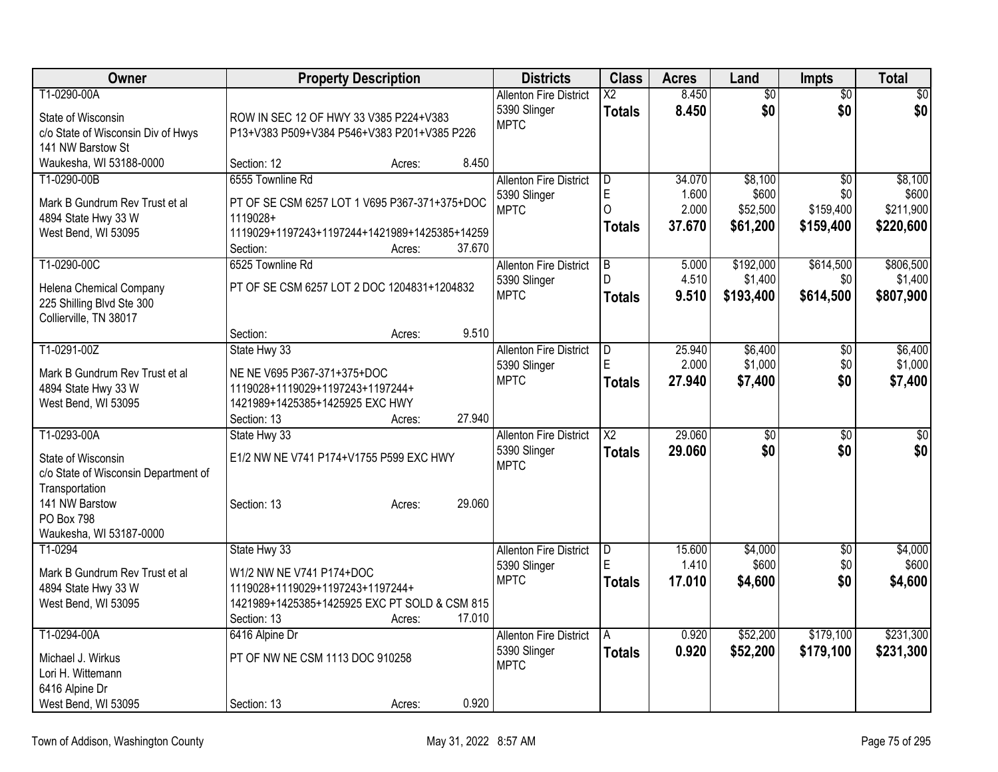| <b>Owner</b>                         | <b>Property Description</b>                   | <b>Districts</b>              | <b>Class</b>           | <b>Acres</b> | Land            | <b>Impts</b>    | <b>Total</b> |
|--------------------------------------|-----------------------------------------------|-------------------------------|------------------------|--------------|-----------------|-----------------|--------------|
| T1-0290-00A                          |                                               | <b>Allenton Fire District</b> | $\overline{\text{X2}}$ | 8.450        | $\overline{50}$ | $\overline{50}$ | $\sqrt{50}$  |
| State of Wisconsin                   | ROW IN SEC 12 OF HWY 33 V385 P224+V383        | 5390 Slinger                  | <b>Totals</b>          | 8.450        | \$0             | \$0             | \$0          |
| c/o State of Wisconsin Div of Hwys   | P13+V383 P509+V384 P546+V383 P201+V385 P226   | <b>MPTC</b>                   |                        |              |                 |                 |              |
| 141 NW Barstow St                    |                                               |                               |                        |              |                 |                 |              |
| Waukesha, WI 53188-0000              | 8.450<br>Section: 12<br>Acres:                |                               |                        |              |                 |                 |              |
| T1-0290-00B                          | 6555 Townline Rd                              | <b>Allenton Fire District</b> | D                      | 34.070       | \$8,100         | $\overline{50}$ | \$8,100      |
| Mark B Gundrum Rev Trust et al       | PT OF SE CSM 6257 LOT 1 V695 P367-371+375+DOC | 5390 Slinger                  | $\mathsf E$            | 1.600        | \$600           | \$0             | \$600        |
| 4894 State Hwy 33 W                  | 1119028+                                      | <b>MPTC</b>                   | $\Omega$               | 2.000        | \$52,500        | \$159,400       | \$211,900    |
| West Bend, WI 53095                  | 1119029+1197243+1197244+1421989+1425385+14259 |                               | <b>Totals</b>          | 37.670       | \$61,200        | \$159,400       | \$220,600    |
|                                      | 37.670<br>Section:<br>Acres:                  |                               |                        |              |                 |                 |              |
| T1-0290-00C                          | 6525 Townline Rd                              | <b>Allenton Fire District</b> | l B                    | 5.000        | \$192,000       | \$614,500       | \$806,500    |
| Helena Chemical Company              | PT OF SE CSM 6257 LOT 2 DOC 1204831+1204832   | 5390 Slinger                  | $\mathsf{D}$           | 4.510        | \$1,400         | \$0             | \$1,400      |
| 225 Shilling Blvd Ste 300            |                                               | <b>MPTC</b>                   | <b>Totals</b>          | 9.510        | \$193,400       | \$614,500       | \$807,900    |
| Collierville, TN 38017               |                                               |                               |                        |              |                 |                 |              |
|                                      | 9.510<br>Section:<br>Acres:                   |                               |                        |              |                 |                 |              |
| T1-0291-00Z                          | State Hwy 33                                  | <b>Allenton Fire District</b> | D                      | 25.940       | \$6,400         | \$0             | \$6,400      |
| Mark B Gundrum Rev Trust et al       | NE NE V695 P367-371+375+DOC                   | 5390 Slinger                  | E                      | 2.000        | \$1,000         | \$0             | \$1,000      |
| 4894 State Hwy 33 W                  | 1119028+1119029+1197243+1197244+              | <b>MPTC</b>                   | <b>Totals</b>          | 27.940       | \$7,400         | \$0             | \$7,400      |
| West Bend, WI 53095                  | 1421989+1425385+1425925 EXC HWY               |                               |                        |              |                 |                 |              |
|                                      | 27.940<br>Section: 13<br>Acres:               |                               |                        |              |                 |                 |              |
| T1-0293-00A                          | State Hwy 33                                  | <b>Allenton Fire District</b> | $\overline{\text{X2}}$ | 29.060       | $\overline{50}$ | $\overline{30}$ | \$0          |
| State of Wisconsin                   | E1/2 NW NE V741 P174+V1755 P599 EXC HWY       | 5390 Slinger                  | <b>Totals</b>          | 29,060       | \$0             | \$0             | \$0          |
| c/o State of Wisconsin Department of |                                               | <b>MPTC</b>                   |                        |              |                 |                 |              |
| Transportation                       |                                               |                               |                        |              |                 |                 |              |
| 141 NW Barstow                       | 29.060<br>Section: 13<br>Acres:               |                               |                        |              |                 |                 |              |
| PO Box 798                           |                                               |                               |                        |              |                 |                 |              |
| Waukesha, WI 53187-0000              |                                               |                               |                        |              |                 |                 |              |
| T1-0294                              | State Hwy 33                                  | <b>Allenton Fire District</b> | ID.                    | 15.600       | \$4,000         | $\overline{50}$ | \$4,000      |
| Mark B Gundrum Rev Trust et al       | W1/2 NW NE V741 P174+DOC                      | 5390 Slinger                  | E                      | 1.410        | \$600           | \$0             | \$600        |
| 4894 State Hwy 33 W                  | 1119028+1119029+1197243+1197244+              | <b>MPTC</b>                   | <b>Totals</b>          | 17.010       | \$4,600         | \$0             | \$4,600      |
| West Bend, WI 53095                  | 1421989+1425385+1425925 EXC PT SOLD & CSM 815 |                               |                        |              |                 |                 |              |
|                                      | Section: 13<br>17.010<br>Acres:               |                               |                        |              |                 |                 |              |
| T1-0294-00A                          | 6416 Alpine Dr                                | <b>Allenton Fire District</b> | A                      | 0.920        | \$52,200        | \$179,100       | \$231,300    |
| Michael J. Wirkus                    | PT OF NW NE CSM 1113 DOC 910258               | 5390 Slinger                  | <b>Totals</b>          | 0.920        | \$52,200        | \$179,100       | \$231,300    |
| Lori H. Wittemann                    |                                               | <b>MPTC</b>                   |                        |              |                 |                 |              |
| 6416 Alpine Dr                       |                                               |                               |                        |              |                 |                 |              |
| West Bend, WI 53095                  | 0.920<br>Section: 13<br>Acres:                |                               |                        |              |                 |                 |              |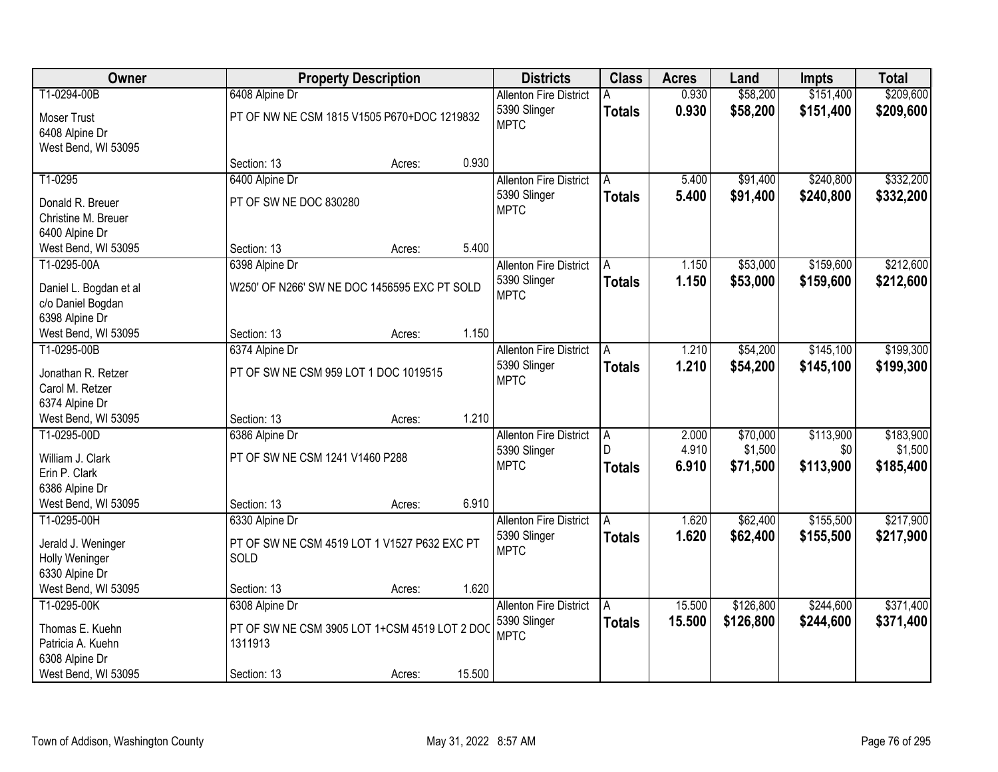| Owner                                                                                        | <b>Property Description</b>                                                               |        |        | <b>Districts</b>                                             | <b>Class</b>                          | <b>Acres</b>            | Land                            | <b>Impts</b>                  | <b>Total</b>                      |
|----------------------------------------------------------------------------------------------|-------------------------------------------------------------------------------------------|--------|--------|--------------------------------------------------------------|---------------------------------------|-------------------------|---------------------------------|-------------------------------|-----------------------------------|
| T1-0294-00B<br><b>Moser Trust</b><br>6408 Alpine Dr                                          | 6408 Alpine Dr<br>PT OF NW NE CSM 1815 V1505 P670+DOC 1219832                             |        |        | <b>Allenton Fire District</b><br>5390 Slinger<br><b>MPTC</b> | <b>Totals</b>                         | 0.930<br>0.930          | \$58,200<br>\$58,200            | \$151,400<br>\$151,400        | \$209,600<br>\$209,600            |
| West Bend, WI 53095                                                                          | Section: 13                                                                               | Acres: | 0.930  |                                                              |                                       |                         |                                 |                               |                                   |
| T1-0295                                                                                      | 6400 Alpine Dr                                                                            |        |        | <b>Allenton Fire District</b>                                | A                                     | 5.400                   | \$91,400                        | \$240,800                     | \$332,200                         |
| Donald R. Breuer<br>Christine M. Breuer                                                      | PT OF SW NE DOC 830280                                                                    |        |        | 5390 Slinger<br><b>MPTC</b>                                  | <b>Totals</b>                         | 5.400                   | \$91,400                        | \$240,800                     | \$332,200                         |
| 6400 Alpine Dr<br>West Bend, WI 53095                                                        | Section: 13                                                                               | Acres: | 5.400  |                                                              |                                       |                         |                                 |                               |                                   |
| T1-0295-00A                                                                                  | 6398 Alpine Dr                                                                            |        |        | <b>Allenton Fire District</b>                                | Α                                     | 1.150                   | \$53,000                        | \$159,600                     | \$212,600                         |
| Daniel L. Bogdan et al<br>c/o Daniel Bogdan<br>6398 Alpine Dr                                | W250' OF N266' SW NE DOC 1456595 EXC PT SOLD                                              |        |        | 5390 Slinger<br><b>MPTC</b>                                  | <b>Totals</b>                         | 1.150                   | \$53,000                        | \$159,600                     | \$212,600                         |
| West Bend, WI 53095                                                                          | Section: 13                                                                               | Acres: | 1.150  |                                                              |                                       |                         |                                 |                               |                                   |
| T1-0295-00B                                                                                  | 6374 Alpine Dr                                                                            |        |        | <b>Allenton Fire District</b>                                | A                                     | 1.210                   | \$54,200                        | \$145,100                     | \$199,300                         |
| Jonathan R. Retzer<br>Carol M. Retzer<br>6374 Alpine Dr                                      | PT OF SW NE CSM 959 LOT 1 DOC 1019515                                                     |        |        | 5390 Slinger<br><b>MPTC</b>                                  | <b>Totals</b>                         | 1.210                   | \$54,200                        | \$145,100                     | \$199,300                         |
| West Bend, WI 53095                                                                          | Section: 13                                                                               | Acres: | 1.210  |                                                              |                                       |                         |                                 |                               |                                   |
| T1-0295-00D<br>William J. Clark<br>Erin P. Clark<br>6386 Alpine Dr                           | 6386 Alpine Dr<br>PT OF SW NE CSM 1241 V1460 P288                                         |        |        | <b>Allenton Fire District</b><br>5390 Slinger<br><b>MPTC</b> | $\overline{A}$<br>D.<br><b>Totals</b> | 2.000<br>4.910<br>6.910 | \$70,000<br>\$1,500<br>\$71,500 | \$113,900<br>\$0<br>\$113,900 | \$183,900<br>\$1,500<br>\$185,400 |
| West Bend, WI 53095                                                                          | Section: 13                                                                               | Acres: | 6.910  |                                                              |                                       |                         |                                 |                               |                                   |
| T1-0295-00H<br>Jerald J. Weninger<br>Holly Weninger<br>6330 Alpine Dr                        | 6330 Alpine Dr<br>PT OF SW NE CSM 4519 LOT 1 V1527 P632 EXC PT<br>SOLD                    |        |        | <b>Allenton Fire District</b><br>5390 Slinger<br><b>MPTC</b> | A<br><b>Totals</b>                    | 1.620<br>1.620          | \$62,400<br>\$62,400            | \$155,500<br>\$155,500        | \$217,900<br>\$217,900            |
| West Bend, WI 53095                                                                          | Section: 13                                                                               | Acres: | 1.620  |                                                              |                                       |                         |                                 |                               |                                   |
| T1-0295-00K<br>Thomas E. Kuehn<br>Patricia A. Kuehn<br>6308 Alpine Dr<br>West Bend, WI 53095 | 6308 Alpine Dr<br>PT OF SW NE CSM 3905 LOT 1+CSM 4519 LOT 2 DOC<br>1311913<br>Section: 13 | Acres: | 15.500 | <b>Allenton Fire District</b><br>5390 Slinger<br><b>MPTC</b> | A<br><b>Totals</b>                    | 15.500<br>15.500        | \$126,800<br>\$126,800          | \$244,600<br>\$244,600        | \$371,400<br>\$371,400            |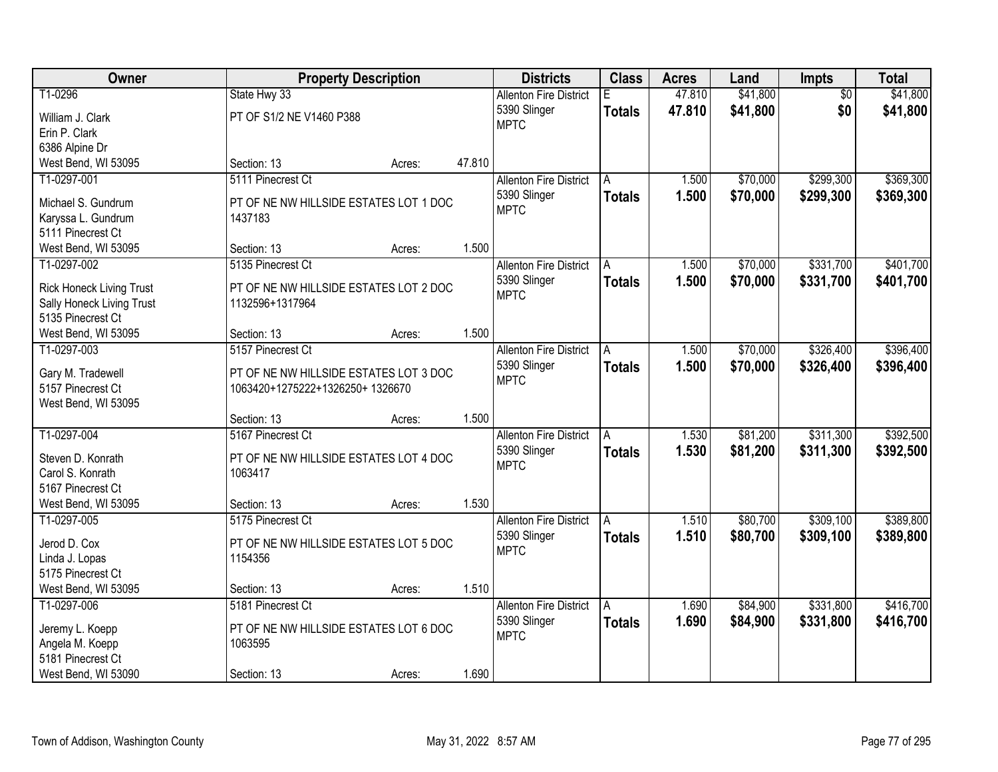| Owner                                  |                                                                           | <b>Property Description</b> |        | <b>Districts</b>                              | <b>Class</b>  | <b>Acres</b> | Land     | Impts           | <b>Total</b> |
|----------------------------------------|---------------------------------------------------------------------------|-----------------------------|--------|-----------------------------------------------|---------------|--------------|----------|-----------------|--------------|
| T1-0296                                | State Hwy 33                                                              |                             |        | <b>Allenton Fire District</b>                 |               | 47.810       | \$41,800 | $\overline{50}$ | \$41,800     |
| William J. Clark                       | PT OF S1/2 NE V1460 P388                                                  |                             |        | 5390 Slinger                                  | <b>Totals</b> | 47.810       | \$41,800 | \$0             | \$41,800     |
| Erin P. Clark                          |                                                                           |                             |        | <b>MPTC</b>                                   |               |              |          |                 |              |
| 6386 Alpine Dr                         |                                                                           |                             |        |                                               |               |              |          |                 |              |
| West Bend, WI 53095                    | Section: 13                                                               | Acres:                      | 47.810 |                                               |               |              |          |                 |              |
| T1-0297-001                            | 5111 Pinecrest Ct                                                         |                             |        | <b>Allenton Fire District</b>                 | A             | 1.500        | \$70,000 | \$299,300       | \$369,300    |
| Michael S. Gundrum                     | PT OF NE NW HILLSIDE ESTATES LOT 1 DOC                                    |                             |        | 5390 Slinger                                  | <b>Totals</b> | 1.500        | \$70,000 | \$299,300       | \$369,300    |
| Karyssa L. Gundrum                     | 1437183                                                                   |                             |        | <b>MPTC</b>                                   |               |              |          |                 |              |
| 5111 Pinecrest Ct                      |                                                                           |                             |        |                                               |               |              |          |                 |              |
| West Bend, WI 53095                    | Section: 13                                                               | Acres:                      | 1.500  |                                               |               |              |          |                 |              |
| T1-0297-002                            | 5135 Pinecrest Ct                                                         |                             |        | <b>Allenton Fire District</b>                 | A             | 1.500        | \$70,000 | \$331,700       | \$401,700    |
| <b>Rick Honeck Living Trust</b>        | PT OF NE NW HILLSIDE ESTATES LOT 2 DOC                                    |                             |        | 5390 Slinger                                  | <b>Totals</b> | 1.500        | \$70,000 | \$331,700       | \$401,700    |
| Sally Honeck Living Trust              | 1132596+1317964                                                           |                             |        | <b>MPTC</b>                                   |               |              |          |                 |              |
| 5135 Pinecrest Ct                      |                                                                           |                             |        |                                               |               |              |          |                 |              |
| West Bend, WI 53095                    | Section: 13                                                               | Acres:                      | 1.500  |                                               |               |              |          |                 |              |
| T1-0297-003                            | 5157 Pinecrest Ct                                                         |                             |        | <b>Allenton Fire District</b>                 | A             | 1.500        | \$70,000 | \$326,400       | \$396,400    |
|                                        |                                                                           |                             |        | 5390 Slinger                                  | <b>Totals</b> | 1.500        | \$70,000 | \$326,400       | \$396,400    |
| Gary M. Tradewell<br>5157 Pinecrest Ct | PT OF NE NW HILLSIDE ESTATES LOT 3 DOC<br>1063420+1275222+1326250+1326670 |                             |        | <b>MPTC</b>                                   |               |              |          |                 |              |
| West Bend, WI 53095                    |                                                                           |                             |        |                                               |               |              |          |                 |              |
|                                        | Section: 13                                                               | Acres:                      | 1.500  |                                               |               |              |          |                 |              |
| T1-0297-004                            | 5167 Pinecrest Ct                                                         |                             |        | <b>Allenton Fire District</b>                 | A             | 1.530        | \$81,200 | \$311,300       | \$392,500    |
|                                        |                                                                           |                             |        | 5390 Slinger                                  | <b>Totals</b> | 1.530        | \$81,200 | \$311,300       | \$392,500    |
| Steven D. Konrath                      | PT OF NE NW HILLSIDE ESTATES LOT 4 DOC                                    |                             |        | <b>MPTC</b>                                   |               |              |          |                 |              |
| Carol S. Konrath                       | 1063417                                                                   |                             |        |                                               |               |              |          |                 |              |
| 5167 Pinecrest Ct                      |                                                                           |                             |        |                                               |               |              |          |                 |              |
| West Bend, WI 53095                    | Section: 13                                                               | Acres:                      | 1.530  |                                               |               |              |          |                 |              |
| T1-0297-005                            | 5175 Pinecrest Ct                                                         |                             |        | <b>Allenton Fire District</b><br>5390 Slinger | A             | 1.510        | \$80,700 | \$309,100       | \$389,800    |
| Jerod D. Cox                           | PT OF NE NW HILLSIDE ESTATES LOT 5 DOC                                    |                             |        | <b>MPTC</b>                                   | <b>Totals</b> | 1.510        | \$80,700 | \$309,100       | \$389,800    |
| Linda J. Lopas                         | 1154356                                                                   |                             |        |                                               |               |              |          |                 |              |
| 5175 Pinecrest Ct                      |                                                                           |                             |        |                                               |               |              |          |                 |              |
| West Bend, WI 53095                    | Section: 13                                                               | Acres:                      | 1.510  |                                               |               |              |          |                 |              |
| T1-0297-006                            | 5181 Pinecrest Ct                                                         |                             |        | <b>Allenton Fire District</b>                 | A             | 1.690        | \$84,900 | \$331,800       | \$416,700    |
| Jeremy L. Koepp                        | PT OF NE NW HILLSIDE ESTATES LOT 6 DOC                                    |                             |        | 5390 Slinger                                  | <b>Totals</b> | 1.690        | \$84,900 | \$331,800       | \$416,700    |
| Angela M. Koepp                        | 1063595                                                                   |                             |        | <b>MPTC</b>                                   |               |              |          |                 |              |
| 5181 Pinecrest Ct                      |                                                                           |                             |        |                                               |               |              |          |                 |              |
| West Bend, WI 53090                    | Section: 13                                                               | Acres:                      | 1.690  |                                               |               |              |          |                 |              |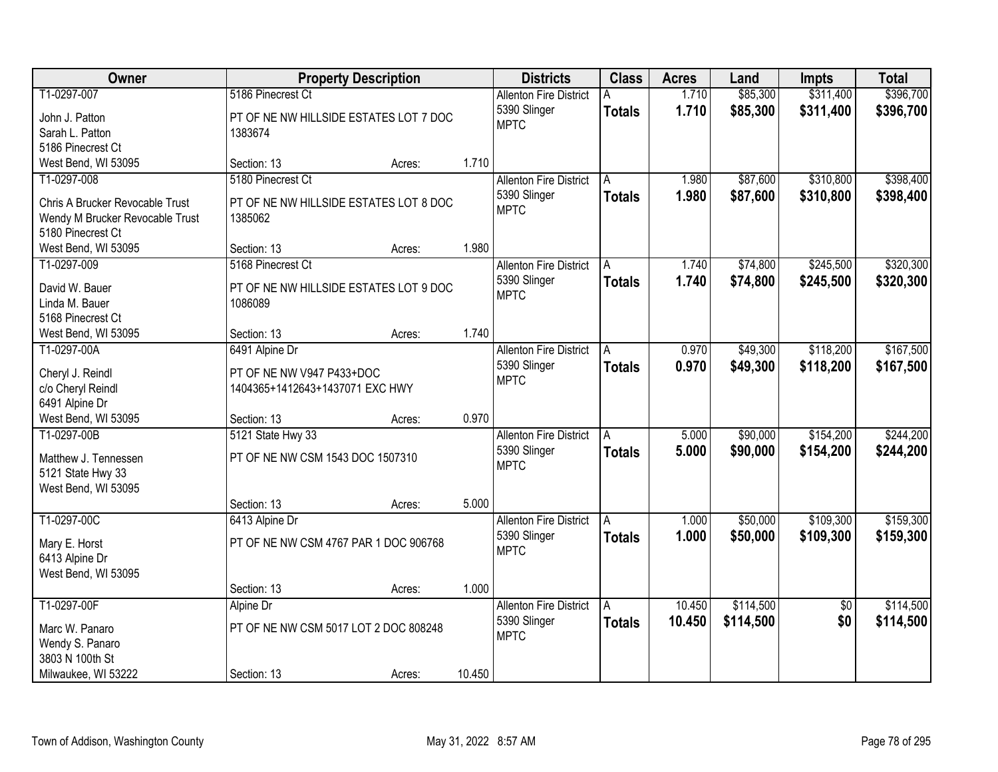| Owner                                 | <b>Property Description</b>                                  |        |        | <b>Districts</b>              | <b>Class</b>  | <b>Acres</b> | Land      | <b>Impts</b>    | <b>Total</b> |
|---------------------------------------|--------------------------------------------------------------|--------|--------|-------------------------------|---------------|--------------|-----------|-----------------|--------------|
| T1-0297-007                           | 5186 Pinecrest Ct                                            |        |        | <b>Allenton Fire District</b> |               | 1.710        | \$85,300  | \$311,400       | \$396,700    |
| John J. Patton                        | PT OF NE NW HILLSIDE ESTATES LOT 7 DOC                       |        |        | 5390 Slinger                  | <b>Totals</b> | 1.710        | \$85,300  | \$311,400       | \$396,700    |
| Sarah L. Patton                       | 1383674                                                      |        |        | <b>MPTC</b>                   |               |              |           |                 |              |
| 5186 Pinecrest Ct                     |                                                              |        |        |                               |               |              |           |                 |              |
| West Bend, WI 53095                   | Section: 13                                                  | Acres: | 1.710  |                               |               |              |           |                 |              |
| T1-0297-008                           | 5180 Pinecrest Ct                                            |        |        | <b>Allenton Fire District</b> | A             | 1.980        | \$87,600  | \$310,800       | \$398,400    |
|                                       |                                                              |        |        | 5390 Slinger                  | <b>Totals</b> | 1.980        | \$87,600  | \$310,800       | \$398,400    |
| Chris A Brucker Revocable Trust       | PT OF NE NW HILLSIDE ESTATES LOT 8 DOC                       |        |        | <b>MPTC</b>                   |               |              |           |                 |              |
| Wendy M Brucker Revocable Trust       | 1385062                                                      |        |        |                               |               |              |           |                 |              |
| 5180 Pinecrest Ct                     |                                                              |        |        |                               |               |              |           |                 |              |
| West Bend, WI 53095                   | Section: 13                                                  | Acres: | 1.980  |                               |               |              |           |                 |              |
| T1-0297-009                           | 5168 Pinecrest Ct                                            |        |        | <b>Allenton Fire District</b> | A             | 1.740        | \$74,800  | \$245,500       | \$320,300    |
| David W. Bauer                        | PT OF NE NW HILLSIDE ESTATES LOT 9 DOC                       |        |        | 5390 Slinger                  | <b>Totals</b> | 1.740        | \$74,800  | \$245,500       | \$320,300    |
| Linda M. Bauer                        | 1086089                                                      |        |        | <b>MPTC</b>                   |               |              |           |                 |              |
| 5168 Pinecrest Ct                     |                                                              |        |        |                               |               |              |           |                 |              |
| West Bend, WI 53095                   | Section: 13                                                  | Acres: | 1.740  |                               |               |              |           |                 |              |
| T1-0297-00A                           | 6491 Alpine Dr                                               |        |        | <b>Allenton Fire District</b> | A             | 0.970        | \$49,300  | \$118,200       | \$167,500    |
|                                       |                                                              |        |        | 5390 Slinger                  | <b>Totals</b> | 0.970        | \$49,300  | \$118,200       | \$167,500    |
| Cheryl J. Reindl<br>c/o Cheryl Reindl | PT OF NE NW V947 P433+DOC<br>1404365+1412643+1437071 EXC HWY |        |        | <b>MPTC</b>                   |               |              |           |                 |              |
| 6491 Alpine Dr                        |                                                              |        |        |                               |               |              |           |                 |              |
| West Bend, WI 53095                   | Section: 13                                                  | Acres: | 0.970  |                               |               |              |           |                 |              |
| T1-0297-00B                           | 5121 State Hwy 33                                            |        |        | <b>Allenton Fire District</b> | A             | 5.000        | \$90,000  | \$154,200       | \$244,200    |
|                                       |                                                              |        |        | 5390 Slinger                  |               | 5.000        | \$90,000  | \$154,200       | \$244,200    |
| Matthew J. Tennessen                  | PT OF NE NW CSM 1543 DOC 1507310                             |        |        | <b>MPTC</b>                   | <b>Totals</b> |              |           |                 |              |
| 5121 State Hwy 33                     |                                                              |        |        |                               |               |              |           |                 |              |
| West Bend, WI 53095                   |                                                              |        |        |                               |               |              |           |                 |              |
|                                       | Section: 13                                                  | Acres: | 5.000  |                               |               |              |           |                 |              |
| T1-0297-00C                           | 6413 Alpine Dr                                               |        |        | <b>Allenton Fire District</b> | A             | 1.000        | \$50,000  | \$109,300       | \$159,300    |
| Mary E. Horst                         | PT OF NE NW CSM 4767 PAR 1 DOC 906768                        |        |        | 5390 Slinger                  | <b>Totals</b> | 1.000        | \$50,000  | \$109,300       | \$159,300    |
| 6413 Alpine Dr                        |                                                              |        |        | <b>MPTC</b>                   |               |              |           |                 |              |
| West Bend, WI 53095                   |                                                              |        |        |                               |               |              |           |                 |              |
|                                       | Section: 13                                                  | Acres: | 1.000  |                               |               |              |           |                 |              |
| T1-0297-00F                           | Alpine Dr                                                    |        |        | <b>Allenton Fire District</b> | A             | 10.450       | \$114,500 | $\overline{50}$ | \$114,500    |
|                                       |                                                              |        |        | 5390 Slinger                  | <b>Totals</b> | 10.450       | \$114,500 | \$0             | \$114,500    |
| Marc W. Panaro                        | PT OF NE NW CSM 5017 LOT 2 DOC 808248                        |        |        | <b>MPTC</b>                   |               |              |           |                 |              |
| Wendy S. Panaro                       |                                                              |        |        |                               |               |              |           |                 |              |
| 3803 N 100th St                       |                                                              |        |        |                               |               |              |           |                 |              |
| Milwaukee, WI 53222                   | Section: 13                                                  | Acres: | 10.450 |                               |               |              |           |                 |              |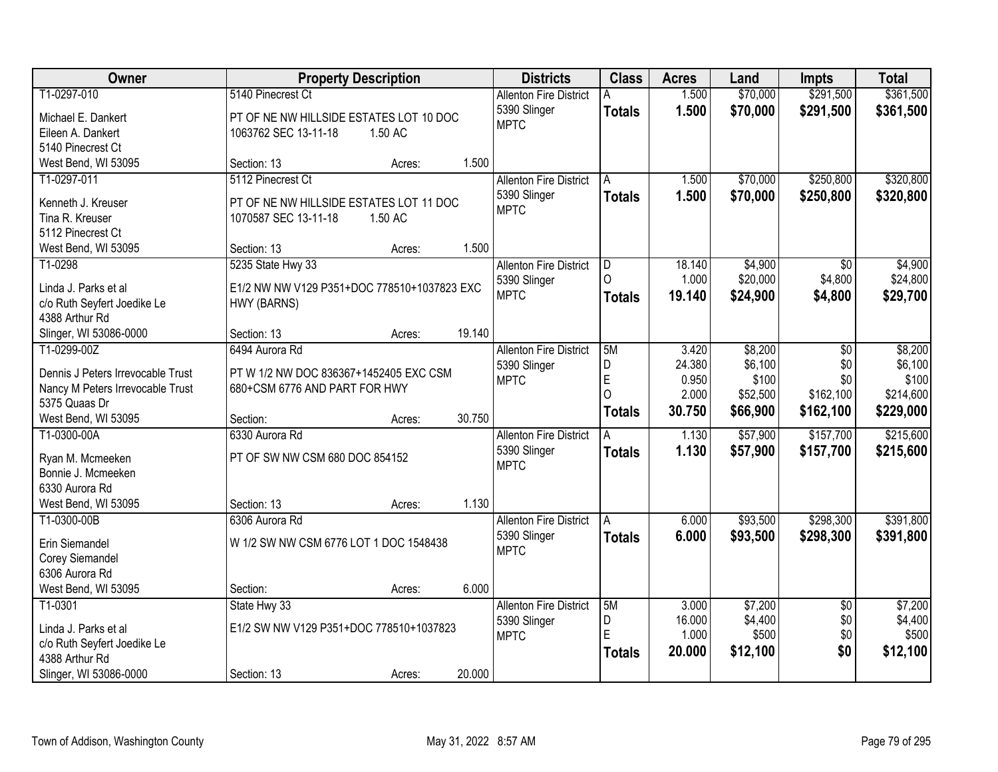| <b>Owner</b>                         | <b>Property Description</b>                 | <b>Districts</b>              | <b>Class</b>            | <b>Acres</b> | Land     | <b>Impts</b>    | <b>Total</b> |
|--------------------------------------|---------------------------------------------|-------------------------------|-------------------------|--------------|----------|-----------------|--------------|
| T1-0297-010                          | 5140 Pinecrest Ct                           | <b>Allenton Fire District</b> | A                       | 1.500        | \$70,000 | \$291,500       | \$361,500    |
| Michael E. Dankert                   | PT OF NE NW HILLSIDE ESTATES LOT 10 DOC     | 5390 Slinger                  | <b>Totals</b>           | 1.500        | \$70,000 | \$291,500       | \$361,500    |
| Eileen A. Dankert                    | 1063762 SEC 13-11-18<br>1.50 AC             | <b>MPTC</b>                   |                         |              |          |                 |              |
| 5140 Pinecrest Ct                    |                                             |                               |                         |              |          |                 |              |
| West Bend, WI 53095                  | 1.500<br>Section: 13<br>Acres:              |                               |                         |              |          |                 |              |
| T1-0297-011                          | 5112 Pinecrest Ct                           | <b>Allenton Fire District</b> | A                       | 1.500        | \$70,000 | \$250,800       | \$320,800    |
|                                      |                                             | 5390 Slinger                  | <b>Totals</b>           | 1.500        | \$70,000 | \$250,800       | \$320,800    |
| Kenneth J. Kreuser                   | PT OF NE NW HILLSIDE ESTATES LOT 11 DOC     | <b>MPTC</b>                   |                         |              |          |                 |              |
| Tina R. Kreuser<br>5112 Pinecrest Ct | 1070587 SEC 13-11-18<br>1.50 AC             |                               |                         |              |          |                 |              |
| West Bend, WI 53095                  | 1.500<br>Section: 13<br>Acres:              |                               |                         |              |          |                 |              |
| T1-0298                              | 5235 State Hwy 33                           | <b>Allenton Fire District</b> | $\overline{\mathsf{D}}$ | 18.140       | \$4,900  | \$0             | \$4,900      |
|                                      |                                             | 5390 Slinger                  | ∩                       | 1.000        | \$20,000 | \$4,800         | \$24,800     |
| Linda J. Parks et al                 | E1/2 NW NW V129 P351+DOC 778510+1037823 EXC | <b>MPTC</b>                   | <b>Totals</b>           | 19.140       | \$24,900 | \$4,800         | \$29,700     |
| c/o Ruth Seyfert Joedike Le          | HWY (BARNS)                                 |                               |                         |              |          |                 |              |
| 4388 Arthur Rd                       |                                             |                               |                         |              |          |                 |              |
| Slinger, WI 53086-0000               | 19.140<br>Section: 13<br>Acres:             |                               |                         |              |          |                 |              |
| T1-0299-00Z                          | 6494 Aurora Rd                              | <b>Allenton Fire District</b> | 5M                      | 3.420        | \$8,200  | \$0             | \$8,200      |
| Dennis J Peters Irrevocable Trust    | PT W 1/2 NW DOC 836367+1452405 EXC CSM      | 5390 Slinger                  | D                       | 24.380       | \$6,100  | \$0             | \$6,100      |
| Nancy M Peters Irrevocable Trust     | 680+CSM 6776 AND PART FOR HWY               | <b>MPTC</b>                   | E                       | 0.950        | \$100    | \$0             | \$100        |
| 5375 Quaas Dr                        |                                             |                               | O                       | 2.000        | \$52,500 | \$162,100       | \$214,600    |
| West Bend, WI 53095                  | 30.750<br>Section:<br>Acres:                |                               | <b>Totals</b>           | 30.750       | \$66,900 | \$162,100       | \$229,000    |
| T1-0300-00A                          | 6330 Aurora Rd                              | <b>Allenton Fire District</b> |                         | 1.130        | \$57,900 | \$157,700       | \$215,600    |
|                                      |                                             | 5390 Slinger                  | <b>Totals</b>           | 1.130        | \$57,900 | \$157,700       | \$215,600    |
| Ryan M. Mcmeeken                     | PT OF SW NW CSM 680 DOC 854152              | <b>MPTC</b>                   |                         |              |          |                 |              |
| Bonnie J. Mcmeeken                   |                                             |                               |                         |              |          |                 |              |
| 6330 Aurora Rd                       | 1.130                                       |                               |                         |              |          |                 |              |
| West Bend, WI 53095                  | Section: 13<br>Acres:                       |                               |                         |              |          |                 |              |
| T1-0300-00B                          | 6306 Aurora Rd                              | <b>Allenton Fire District</b> | Α                       | 6.000        | \$93,500 | \$298,300       | \$391,800    |
| Erin Siemandel                       | W 1/2 SW NW CSM 6776 LOT 1 DOC 1548438      | 5390 Slinger<br><b>MPTC</b>   | <b>Totals</b>           | 6.000        | \$93,500 | \$298,300       | \$391,800    |
| Corey Siemandel                      |                                             |                               |                         |              |          |                 |              |
| 6306 Aurora Rd                       |                                             |                               |                         |              |          |                 |              |
| West Bend, WI 53095                  | 6.000<br>Section:<br>Acres:                 |                               |                         |              |          |                 |              |
| T1-0301                              | State Hwy 33                                | <b>Allenton Fire District</b> | 5M                      | 3.000        | \$7,200  | $\overline{50}$ | \$7,200      |
| Linda J. Parks et al                 | E1/2 SW NW V129 P351+DOC 778510+1037823     | 5390 Slinger                  | D                       | 16.000       | \$4,400  | \$0             | \$4,400      |
| c/o Ruth Seyfert Joedike Le          |                                             | <b>MPTC</b>                   | E                       | 1.000        | \$500    | \$0             | \$500        |
| 4388 Arthur Rd                       |                                             |                               | <b>Totals</b>           | 20.000       | \$12,100 | \$0             | \$12,100     |
| Slinger, WI 53086-0000               | 20.000<br>Section: 13<br>Acres:             |                               |                         |              |          |                 |              |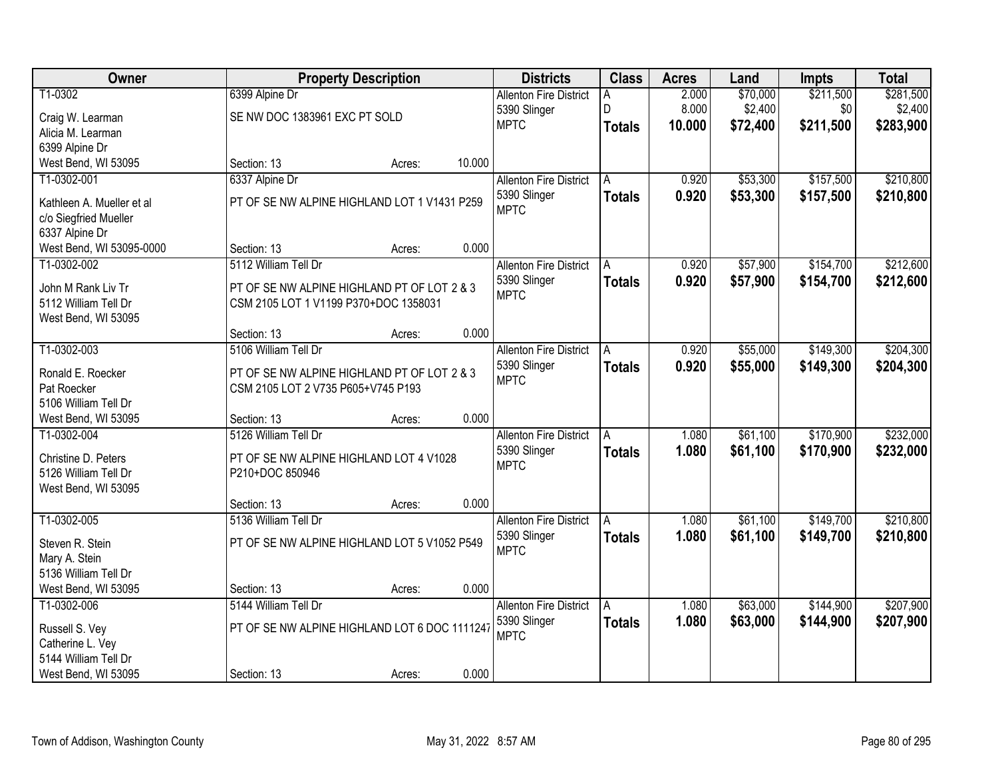| Owner                     |                                               | <b>Property Description</b> |        | <b>Districts</b>              | <b>Class</b>  | <b>Acres</b> | Land     | Impts     | <b>Total</b> |
|---------------------------|-----------------------------------------------|-----------------------------|--------|-------------------------------|---------------|--------------|----------|-----------|--------------|
| T1-0302                   | 6399 Alpine Dr                                |                             |        | <b>Allenton Fire District</b> | A             | 2.000        | \$70,000 | \$211,500 | \$281,500    |
| Craig W. Learman          | SE NW DOC 1383961 EXC PT SOLD                 |                             |        | 5390 Slinger                  | D             | 8.000        | \$2,400  | \$0       | \$2,400      |
| Alicia M. Learman         |                                               |                             |        | <b>MPTC</b>                   | <b>Totals</b> | 10.000       | \$72,400 | \$211,500 | \$283,900    |
| 6399 Alpine Dr            |                                               |                             |        |                               |               |              |          |           |              |
| West Bend, WI 53095       | Section: 13                                   | Acres:                      | 10.000 |                               |               |              |          |           |              |
| T1-0302-001               | 6337 Alpine Dr                                |                             |        | <b>Allenton Fire District</b> | A             | 0.920        | \$53,300 | \$157,500 | \$210,800    |
| Kathleen A. Mueller et al | PT OF SE NW ALPINE HIGHLAND LOT 1 V1431 P259  |                             |        | 5390 Slinger                  | <b>Totals</b> | 0.920        | \$53,300 | \$157,500 | \$210,800    |
| c/o Siegfried Mueller     |                                               |                             |        | <b>MPTC</b>                   |               |              |          |           |              |
| 6337 Alpine Dr            |                                               |                             |        |                               |               |              |          |           |              |
| West Bend, WI 53095-0000  | Section: 13                                   | Acres:                      | 0.000  |                               |               |              |          |           |              |
| T1-0302-002               | 5112 William Tell Dr                          |                             |        | <b>Allenton Fire District</b> | A             | 0.920        | \$57,900 | \$154,700 | \$212,600    |
| John M Rank Liv Tr        | PT OF SE NW ALPINE HIGHLAND PT OF LOT 2 & 3   |                             |        | 5390 Slinger                  | <b>Totals</b> | 0.920        | \$57,900 | \$154,700 | \$212,600    |
| 5112 William Tell Dr      | CSM 2105 LOT 1 V1199 P370+DOC 1358031         |                             |        | <b>MPTC</b>                   |               |              |          |           |              |
| West Bend, WI 53095       |                                               |                             |        |                               |               |              |          |           |              |
|                           | Section: 13                                   | Acres:                      | 0.000  |                               |               |              |          |           |              |
| T1-0302-003               | 5106 William Tell Dr                          |                             |        | <b>Allenton Fire District</b> | A             | 0.920        | \$55,000 | \$149,300 | \$204,300    |
| Ronald E. Roecker         | PT OF SE NW ALPINE HIGHLAND PT OF LOT 2 & 3   |                             |        | 5390 Slinger                  | <b>Totals</b> | 0.920        | \$55,000 | \$149,300 | \$204,300    |
| Pat Roecker               | CSM 2105 LOT 2 V735 P605+V745 P193            |                             |        | <b>MPTC</b>                   |               |              |          |           |              |
| 5106 William Tell Dr      |                                               |                             |        |                               |               |              |          |           |              |
| West Bend, WI 53095       | Section: 13                                   | Acres:                      | 0.000  |                               |               |              |          |           |              |
| T1-0302-004               | 5126 William Tell Dr                          |                             |        | <b>Allenton Fire District</b> | A             | 1.080        | \$61,100 | \$170,900 | \$232,000    |
| Christine D. Peters       | PT OF SE NW ALPINE HIGHLAND LOT 4 V1028       |                             |        | 5390 Slinger                  | <b>Totals</b> | 1.080        | \$61,100 | \$170,900 | \$232,000    |
| 5126 William Tell Dr      | P210+DOC 850946                               |                             |        | <b>MPTC</b>                   |               |              |          |           |              |
| West Bend, WI 53095       |                                               |                             |        |                               |               |              |          |           |              |
|                           | Section: 13                                   | Acres:                      | 0.000  |                               |               |              |          |           |              |
| T1-0302-005               | 5136 William Tell Dr                          |                             |        | <b>Allenton Fire District</b> | A             | 1.080        | \$61,100 | \$149,700 | \$210,800    |
| Steven R. Stein           | PT OF SE NW ALPINE HIGHLAND LOT 5 V1052 P549  |                             |        | 5390 Slinger                  | <b>Totals</b> | 1.080        | \$61,100 | \$149,700 | \$210,800    |
| Mary A. Stein             |                                               |                             |        | <b>MPTC</b>                   |               |              |          |           |              |
| 5136 William Tell Dr      |                                               |                             |        |                               |               |              |          |           |              |
| West Bend, WI 53095       | Section: 13                                   | Acres:                      | 0.000  |                               |               |              |          |           |              |
| T1-0302-006               | 5144 William Tell Dr                          |                             |        | <b>Allenton Fire District</b> | A             | 1.080        | \$63,000 | \$144,900 | \$207,900    |
| Russell S. Vey            | PT OF SE NW ALPINE HIGHLAND LOT 6 DOC 1111247 |                             |        | 5390 Slinger                  | <b>Totals</b> | 1.080        | \$63,000 | \$144,900 | \$207,900    |
| Catherine L. Vey          |                                               |                             |        | <b>MPTC</b>                   |               |              |          |           |              |
| 5144 William Tell Dr      |                                               |                             |        |                               |               |              |          |           |              |
| West Bend, WI 53095       | Section: 13                                   | Acres:                      | 0.000  |                               |               |              |          |           |              |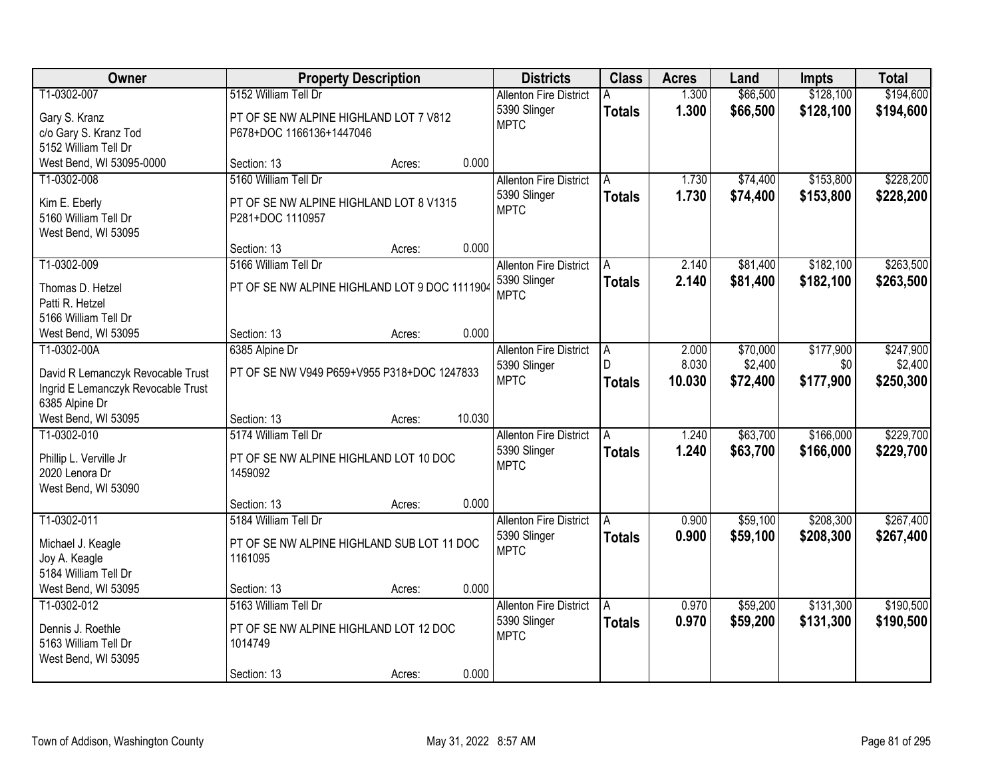| Owner                                     |                                                   | <b>Property Description</b> |        | <b>Districts</b>              | <b>Class</b>  | <b>Acres</b> | Land     | <b>Impts</b> | <b>Total</b> |
|-------------------------------------------|---------------------------------------------------|-----------------------------|--------|-------------------------------|---------------|--------------|----------|--------------|--------------|
| T1-0302-007                               | 5152 William Tell Dr                              |                             |        | <b>Allenton Fire District</b> |               | 1.300        | \$66,500 | \$128,100    | \$194,600    |
| Gary S. Kranz                             | PT OF SE NW ALPINE HIGHLAND LOT 7 V812            |                             |        | 5390 Slinger                  | <b>Totals</b> | 1.300        | \$66,500 | \$128,100    | \$194,600    |
| c/o Gary S. Kranz Tod                     | P678+DOC 1166136+1447046                          |                             |        | <b>MPTC</b>                   |               |              |          |              |              |
| 5152 William Tell Dr                      |                                                   |                             |        |                               |               |              |          |              |              |
| West Bend, WI 53095-0000                  | Section: 13                                       | Acres:                      | 0.000  |                               |               |              |          |              |              |
| T1-0302-008                               | 5160 William Tell Dr                              |                             |        | <b>Allenton Fire District</b> | A             | 1.730        | \$74,400 | \$153,800    | \$228,200    |
| Kim E. Eberly                             | PT OF SE NW ALPINE HIGHLAND LOT 8 V1315           |                             |        | 5390 Slinger                  | <b>Totals</b> | 1.730        | \$74,400 | \$153,800    | \$228,200    |
| 5160 William Tell Dr                      | P281+DOC 1110957                                  |                             |        | <b>MPTC</b>                   |               |              |          |              |              |
| West Bend, WI 53095                       |                                                   |                             |        |                               |               |              |          |              |              |
|                                           | Section: 13                                       | Acres:                      | 0.000  |                               |               |              |          |              |              |
| T1-0302-009                               | 5166 William Tell Dr                              |                             |        | <b>Allenton Fire District</b> | A             | 2.140        | \$81,400 | \$182,100    | \$263,500    |
| Thomas D. Hetzel                          | PT OF SE NW ALPINE HIGHLAND LOT 9 DOC 1111904     |                             |        | 5390 Slinger                  | <b>Totals</b> | 2.140        | \$81,400 | \$182,100    | \$263,500    |
| Patti R. Hetzel                           |                                                   |                             |        | <b>MPTC</b>                   |               |              |          |              |              |
| 5166 William Tell Dr                      |                                                   |                             |        |                               |               |              |          |              |              |
| West Bend, WI 53095                       | Section: 13                                       | Acres:                      | 0.000  |                               |               |              |          |              |              |
| T1-0302-00A                               | 6385 Alpine Dr                                    |                             |        | <b>Allenton Fire District</b> | A             | 2.000        | \$70,000 | \$177,900    | \$247,900    |
| David R Lemanczyk Revocable Trust         | PT OF SE NW V949 P659+V955 P318+DOC 1247833       |                             |        | 5390 Slinger                  | D             | 8.030        | \$2,400  | \$0          | \$2,400      |
| Ingrid E Lemanczyk Revocable Trust        |                                                   |                             |        | <b>MPTC</b>                   | <b>Totals</b> | 10.030       | \$72,400 | \$177,900    | \$250,300    |
| 6385 Alpine Dr                            |                                                   |                             |        |                               |               |              |          |              |              |
| West Bend, WI 53095                       | Section: 13                                       | Acres:                      | 10.030 |                               |               |              |          |              |              |
| T1-0302-010                               | 5174 William Tell Dr                              |                             |        | <b>Allenton Fire District</b> |               | 1.240        | \$63,700 | \$166,000    | \$229,700    |
| Phillip L. Verville Jr                    | PT OF SE NW ALPINE HIGHLAND LOT 10 DOC            |                             |        | 5390 Slinger                  | <b>Totals</b> | 1.240        | \$63,700 | \$166,000    | \$229,700    |
| 2020 Lenora Dr                            | 1459092                                           |                             |        | <b>MPTC</b>                   |               |              |          |              |              |
| West Bend, WI 53090                       |                                                   |                             |        |                               |               |              |          |              |              |
|                                           | Section: 13                                       | Acres:                      | 0.000  |                               |               |              |          |              |              |
| T1-0302-011                               | 5184 William Tell Dr                              |                             |        | <b>Allenton Fire District</b> | A             | 0.900        | \$59,100 | \$208,300    | \$267,400    |
| Michael J. Keagle                         | PT OF SE NW ALPINE HIGHLAND SUB LOT 11 DOC        |                             |        | 5390 Slinger                  | <b>Totals</b> | 0.900        | \$59,100 | \$208,300    | \$267,400    |
| Joy A. Keagle                             | 1161095                                           |                             |        | <b>MPTC</b>                   |               |              |          |              |              |
| 5184 William Tell Dr                      |                                                   |                             |        |                               |               |              |          |              |              |
| West Bend, WI 53095                       | Section: 13                                       | Acres:                      | 0.000  |                               |               |              |          |              |              |
| T1-0302-012                               | 5163 William Tell Dr                              |                             |        | <b>Allenton Fire District</b> | A             | 0.970        | \$59,200 | \$131,300    | \$190,500    |
|                                           |                                                   |                             |        | 5390 Slinger                  | <b>Totals</b> | 0.970        | \$59,200 | \$131,300    | \$190,500    |
| Dennis J. Roethle<br>5163 William Tell Dr | PT OF SE NW ALPINE HIGHLAND LOT 12 DOC<br>1014749 |                             |        | <b>MPTC</b>                   |               |              |          |              |              |
| West Bend, WI 53095                       |                                                   |                             |        |                               |               |              |          |              |              |
|                                           | Section: 13                                       | Acres:                      | 0.000  |                               |               |              |          |              |              |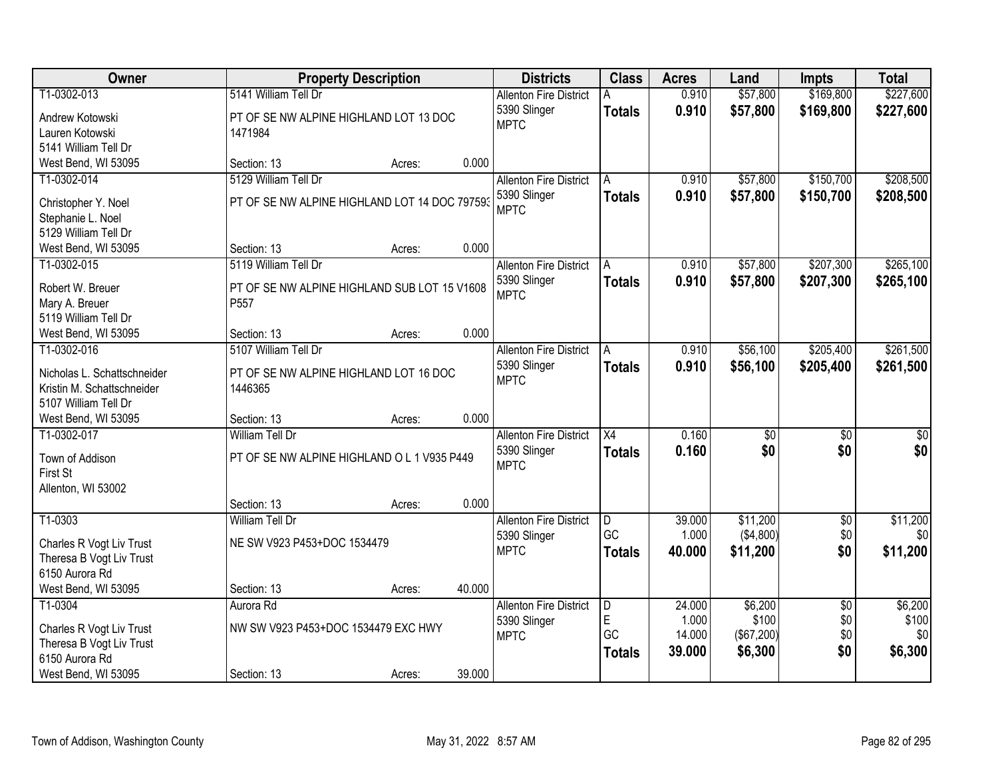| <b>Owner</b>                               |                                               | <b>Property Description</b> |        | <b>Districts</b>              | <b>Class</b>    | <b>Acres</b> | Land            | <b>Impts</b>    | <b>Total</b>     |
|--------------------------------------------|-----------------------------------------------|-----------------------------|--------|-------------------------------|-----------------|--------------|-----------------|-----------------|------------------|
| T1-0302-013                                | 5141 William Tell Dr                          |                             |        | <b>Allenton Fire District</b> |                 | 0.910        | \$57,800        | \$169,800       | \$227,600        |
| Andrew Kotowski                            | PT OF SE NW ALPINE HIGHLAND LOT 13 DOC        |                             |        | 5390 Slinger                  | <b>Totals</b>   | 0.910        | \$57,800        | \$169,800       | \$227,600        |
| Lauren Kotowski                            | 1471984                                       |                             |        | <b>MPTC</b>                   |                 |              |                 |                 |                  |
| 5141 William Tell Dr                       |                                               |                             |        |                               |                 |              |                 |                 |                  |
| West Bend, WI 53095                        | Section: 13                                   | Acres:                      | 0.000  |                               |                 |              |                 |                 |                  |
| T1-0302-014                                | 5129 William Tell Dr                          |                             |        | <b>Allenton Fire District</b> | A               | 0.910        | \$57,800        | \$150,700       | \$208,500        |
| Christopher Y. Noel                        | PT OF SE NW ALPINE HIGHLAND LOT 14 DOC 797593 |                             |        | 5390 Slinger                  | <b>Totals</b>   | 0.910        | \$57,800        | \$150,700       | \$208,500        |
| Stephanie L. Noel                          |                                               |                             |        | <b>MPTC</b>                   |                 |              |                 |                 |                  |
| 5129 William Tell Dr                       |                                               |                             |        |                               |                 |              |                 |                 |                  |
| West Bend, WI 53095                        | Section: 13                                   | Acres:                      | 0.000  |                               |                 |              |                 |                 |                  |
| T1-0302-015                                | 5119 William Tell Dr                          |                             |        | <b>Allenton Fire District</b> | A               | 0.910        | \$57,800        | \$207,300       | \$265,100        |
| Robert W. Breuer                           | PT OF SE NW ALPINE HIGHLAND SUB LOT 15 V1608  |                             |        | 5390 Slinger                  | <b>Totals</b>   | 0.910        | \$57,800        | \$207,300       | \$265,100        |
| Mary A. Breuer                             | P <sub>557</sub>                              |                             |        | <b>MPTC</b>                   |                 |              |                 |                 |                  |
| 5119 William Tell Dr                       |                                               |                             |        |                               |                 |              |                 |                 |                  |
| West Bend, WI 53095                        | Section: 13                                   | Acres:                      | 0.000  |                               |                 |              |                 |                 |                  |
| T1-0302-016                                | 5107 William Tell Dr                          |                             |        | <b>Allenton Fire District</b> | A               | 0.910        | \$56,100        | \$205,400       | \$261,500        |
| Nicholas L. Schattschneider                | PT OF SE NW ALPINE HIGHLAND LOT 16 DOC        |                             |        | 5390 Slinger                  | <b>Totals</b>   | 0.910        | \$56,100        | \$205,400       | \$261,500        |
| Kristin M. Schattschneider                 | 1446365                                       |                             |        | <b>MPTC</b>                   |                 |              |                 |                 |                  |
| 5107 William Tell Dr                       |                                               |                             |        |                               |                 |              |                 |                 |                  |
| West Bend, WI 53095                        | Section: 13                                   | Acres:                      | 0.000  |                               |                 |              |                 |                 |                  |
| T1-0302-017                                | <b>William Tell Dr</b>                        |                             |        | <b>Allenton Fire District</b> | $\overline{X4}$ | 0.160        | $\overline{50}$ | $\overline{50}$ | $\overline{\$0}$ |
|                                            |                                               |                             |        | 5390 Slinger                  | <b>Totals</b>   | 0.160        | \$0             | \$0             | \$0              |
| Town of Addison<br>First St                | PT OF SE NW ALPINE HIGHLAND O L 1 V935 P449   |                             |        | <b>MPTC</b>                   |                 |              |                 |                 |                  |
| Allenton, WI 53002                         |                                               |                             |        |                               |                 |              |                 |                 |                  |
|                                            | Section: 13                                   | Acres:                      | 0.000  |                               |                 |              |                 |                 |                  |
| T1-0303                                    | William Tell Dr                               |                             |        | <b>Allenton Fire District</b> | D               | 39.000       | \$11,200        | $\overline{60}$ | \$11,200         |
|                                            |                                               |                             |        | 5390 Slinger                  | GC              | 1.000        | (\$4,800)       | \$0             | \$0]             |
| Charles R Vogt Liv Trust                   | NE SW V923 P453+DOC 1534479                   |                             |        | <b>MPTC</b>                   | <b>Totals</b>   | 40.000       | \$11,200        | \$0             | \$11,200         |
| Theresa B Vogt Liv Trust<br>6150 Aurora Rd |                                               |                             |        |                               |                 |              |                 |                 |                  |
| West Bend, WI 53095                        | Section: 13                                   | Acres:                      | 40.000 |                               |                 |              |                 |                 |                  |
| T1-0304                                    | Aurora Rd                                     |                             |        | <b>Allenton Fire District</b> | D               | 24.000       | \$6,200         | $\sqrt{$0}$     | \$6,200          |
|                                            |                                               |                             |        | 5390 Slinger                  | E               | 1.000        | \$100           | \$0             | \$100            |
| Charles R Vogt Liv Trust                   | NW SW V923 P453+DOC 1534479 EXC HWY           |                             |        | <b>MPTC</b>                   | GC              | 14.000       | (\$67,200)      | \$0             | \$0              |
| Theresa B Vogt Liv Trust                   |                                               |                             |        |                               | <b>Totals</b>   | 39.000       | \$6,300         | \$0             | \$6,300          |
| 6150 Aurora Rd<br>West Bend, WI 53095      | Section: 13                                   |                             | 39.000 |                               |                 |              |                 |                 |                  |
|                                            |                                               | Acres:                      |        |                               |                 |              |                 |                 |                  |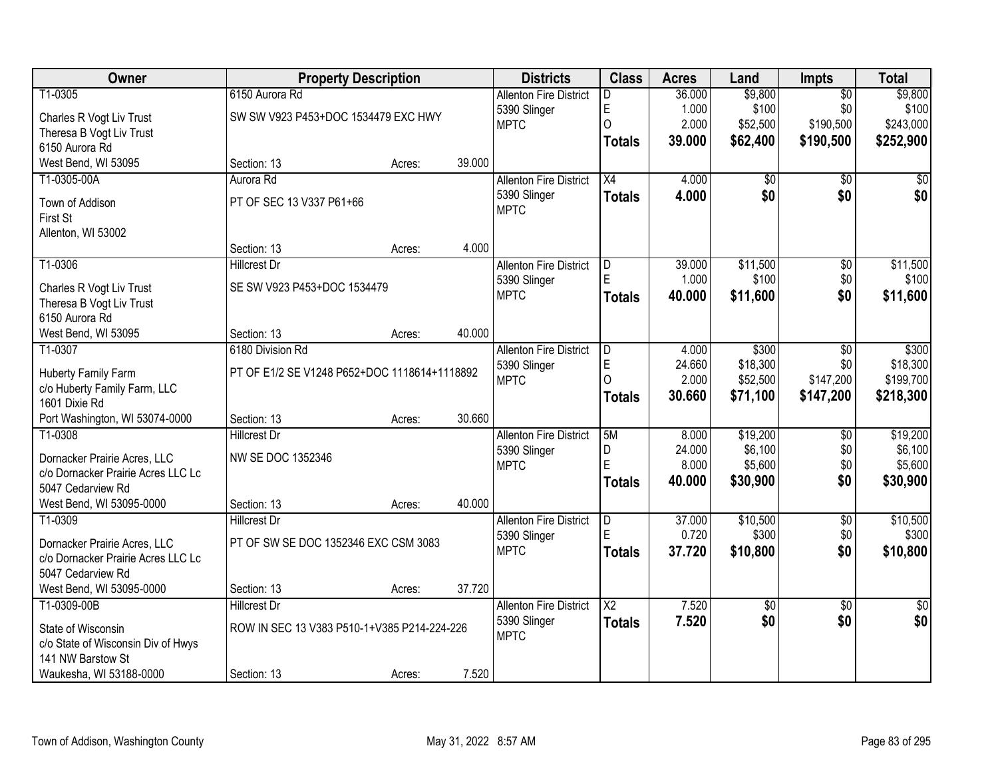| Owner                              |                                              | <b>Property Description</b> |        | <b>Districts</b>              | <b>Class</b>           | <b>Acres</b> | Land            | Impts           | <b>Total</b> |
|------------------------------------|----------------------------------------------|-----------------------------|--------|-------------------------------|------------------------|--------------|-----------------|-----------------|--------------|
| T1-0305                            | 6150 Aurora Rd                               |                             |        | <b>Allenton Fire District</b> | D                      | 36.000       | \$9,800         | $\overline{50}$ | \$9,800      |
| Charles R Vogt Liv Trust           | SW SW V923 P453+DOC 1534479 EXC HWY          |                             |        | 5390 Slinger                  | E                      | 1.000        | \$100           | \$0             | \$100        |
| Theresa B Vogt Liv Trust           |                                              |                             |        | <b>MPTC</b>                   | $\overline{O}$         | 2.000        | \$52,500        | \$190,500       | \$243,000    |
| 6150 Aurora Rd                     |                                              |                             |        |                               | <b>Totals</b>          | 39.000       | \$62,400        | \$190,500       | \$252,900    |
| West Bend, WI 53095                | Section: 13                                  | Acres:                      | 39.000 |                               |                        |              |                 |                 |              |
| T1-0305-00A                        | Aurora Rd                                    |                             |        | <b>Allenton Fire District</b> | $\overline{X4}$        | 4.000        | \$0             | $\overline{50}$ | \$0          |
| Town of Addison                    | PT OF SEC 13 V337 P61+66                     |                             |        | 5390 Slinger                  | <b>Totals</b>          | 4.000        | \$0             | \$0             | \$0          |
| First St                           |                                              |                             |        | <b>MPTC</b>                   |                        |              |                 |                 |              |
| Allenton, WI 53002                 |                                              |                             |        |                               |                        |              |                 |                 |              |
|                                    | Section: 13                                  | Acres:                      | 4.000  |                               |                        |              |                 |                 |              |
| T1-0306                            | <b>Hillcrest Dr</b>                          |                             |        | <b>Allenton Fire District</b> | D                      | 39.000       | \$11,500        | $\overline{50}$ | \$11,500     |
| Charles R Vogt Liv Trust           | SE SW V923 P453+DOC 1534479                  |                             |        | 5390 Slinger                  | E                      | 1.000        | \$100           | \$0             | \$100        |
| Theresa B Vogt Liv Trust           |                                              |                             |        | <b>MPTC</b>                   | <b>Totals</b>          | 40.000       | \$11,600        | \$0             | \$11,600     |
| 6150 Aurora Rd                     |                                              |                             |        |                               |                        |              |                 |                 |              |
| West Bend, WI 53095                | Section: 13                                  | Acres:                      | 40.000 |                               |                        |              |                 |                 |              |
| T1-0307                            | 6180 Division Rd                             |                             |        | <b>Allenton Fire District</b> | D                      | 4.000        | \$300           | \$0             | \$300        |
| Huberty Family Farm                | PT OF E1/2 SE V1248 P652+DOC 1118614+1118892 |                             |        | 5390 Slinger                  | E                      | 24.660       | \$18,300        | \$0             | \$18,300     |
| c/o Huberty Family Farm, LLC       |                                              |                             |        | <b>MPTC</b>                   | $\Omega$               | 2.000        | \$52,500        | \$147,200       | \$199,700    |
| 1601 Dixie Rd                      |                                              |                             |        |                               | <b>Totals</b>          | 30.660       | \$71,100        | \$147,200       | \$218,300    |
| Port Washington, WI 53074-0000     | Section: 13                                  | Acres:                      | 30.660 |                               |                        |              |                 |                 |              |
| T1-0308                            | <b>Hillcrest Dr</b>                          |                             |        | <b>Allenton Fire District</b> | 5M                     | 8.000        | \$19,200        | $\overline{50}$ | \$19,200     |
| Dornacker Prairie Acres, LLC       | NW SE DOC 1352346                            |                             |        | 5390 Slinger                  | D                      | 24.000       | \$6,100         | \$0             | \$6,100      |
| c/o Dornacker Prairie Acres LLC Lc |                                              |                             |        | <b>MPTC</b>                   | Ė                      | 8.000        | \$5,600         | \$0             | \$5,600      |
| 5047 Cedarview Rd                  |                                              |                             |        |                               | <b>Totals</b>          | 40.000       | \$30,900        | \$0             | \$30,900     |
| West Bend, WI 53095-0000           | Section: 13                                  | Acres:                      | 40.000 |                               |                        |              |                 |                 |              |
| T1-0309                            | Hillcrest Dr                                 |                             |        | <b>Allenton Fire District</b> | D                      | 37.000       | \$10,500        | $\overline{60}$ | \$10,500     |
| Dornacker Prairie Acres, LLC       | PT OF SW SE DOC 1352346 EXC CSM 3083         |                             |        | 5390 Slinger                  | E                      | 0.720        | \$300           | \$0             | \$300        |
| c/o Dornacker Prairie Acres LLC Lc |                                              |                             |        | <b>MPTC</b>                   | <b>Totals</b>          | 37.720       | \$10,800        | \$0             | \$10,800     |
| 5047 Cedarview Rd                  |                                              |                             |        |                               |                        |              |                 |                 |              |
| West Bend, WI 53095-0000           | Section: 13                                  | Acres:                      | 37.720 |                               |                        |              |                 |                 |              |
| T1-0309-00B                        | <b>Hillcrest Dr</b>                          |                             |        | <b>Allenton Fire District</b> | $\overline{\text{X2}}$ | 7.520        | $\overline{60}$ | $\overline{30}$ | \$0          |
| State of Wisconsin                 | ROW IN SEC 13 V383 P510-1+V385 P214-224-226  |                             |        | 5390 Slinger                  | <b>Totals</b>          | 7.520        | \$0             | \$0             | \$0          |
| c/o State of Wisconsin Div of Hwys |                                              |                             |        | <b>MPTC</b>                   |                        |              |                 |                 |              |
| 141 NW Barstow St                  |                                              |                             |        |                               |                        |              |                 |                 |              |
| Waukesha, WI 53188-0000            | Section: 13                                  | Acres:                      | 7.520  |                               |                        |              |                 |                 |              |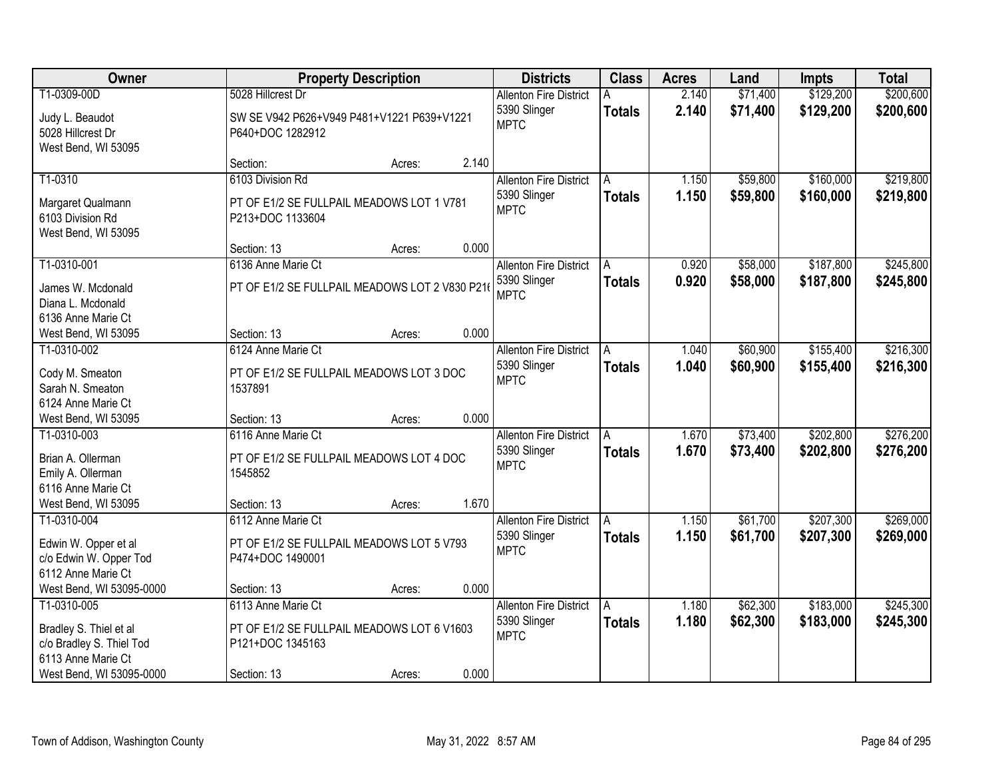| Owner                                                                                                               |                                                                                                     | <b>Property Description</b> |       | <b>Districts</b>                                             | <b>Class</b>       | <b>Acres</b>   | Land                 | <b>Impts</b>           | <b>Total</b>           |
|---------------------------------------------------------------------------------------------------------------------|-----------------------------------------------------------------------------------------------------|-----------------------------|-------|--------------------------------------------------------------|--------------------|----------------|----------------------|------------------------|------------------------|
| T1-0309-00D                                                                                                         | 5028 Hillcrest Dr                                                                                   |                             |       | <b>Allenton Fire District</b>                                |                    | 2.140          | \$71,400             | \$129,200              | \$200,600              |
| Judy L. Beaudot<br>5028 Hillcrest Dr<br>West Bend, WI 53095                                                         | SW SE V942 P626+V949 P481+V1221 P639+V1221<br>P640+DOC 1282912                                      |                             |       | 5390 Slinger<br><b>MPTC</b>                                  | <b>Totals</b>      | 2.140          | \$71,400             | \$129,200              | \$200,600              |
|                                                                                                                     | Section:                                                                                            | Acres:                      | 2.140 |                                                              |                    |                |                      |                        |                        |
| T1-0310                                                                                                             | 6103 Division Rd                                                                                    |                             |       | <b>Allenton Fire District</b>                                | A                  | 1.150          | \$59,800             | \$160,000              | \$219,800              |
| Margaret Qualmann<br>6103 Division Rd<br>West Bend, WI 53095                                                        | PT OF E1/2 SE FULLPAIL MEADOWS LOT 1 V781<br>P213+DOC 1133604                                       |                             |       | 5390 Slinger<br><b>MPTC</b>                                  | <b>Totals</b>      | 1.150          | \$59,800             | \$160,000              | \$219,800              |
|                                                                                                                     | Section: 13                                                                                         | Acres:                      | 0.000 |                                                              |                    |                |                      |                        |                        |
| T1-0310-001                                                                                                         | 6136 Anne Marie Ct                                                                                  |                             |       | <b>Allenton Fire District</b>                                | A                  | 0.920          | \$58,000             | \$187,800              | \$245,800              |
| James W. Mcdonald<br>Diana L. Mcdonald<br>6136 Anne Marie Ct                                                        | PT OF E1/2 SE FULLPAIL MEADOWS LOT 2 V830 P21                                                       |                             |       | 5390 Slinger<br><b>MPTC</b>                                  | <b>Totals</b>      | 0.920          | \$58,000             | \$187,800              | \$245,800              |
| West Bend, WI 53095                                                                                                 | Section: 13                                                                                         | Acres:                      | 0.000 |                                                              |                    |                |                      |                        |                        |
| T1-0310-002                                                                                                         | 6124 Anne Marie Ct                                                                                  |                             |       | <b>Allenton Fire District</b>                                | A                  | 1.040          | \$60,900             | \$155,400              | \$216,300              |
| Cody M. Smeaton<br>Sarah N. Smeaton<br>6124 Anne Marie Ct                                                           | PT OF E1/2 SE FULLPAIL MEADOWS LOT 3 DOC<br>1537891                                                 |                             |       | 5390 Slinger<br><b>MPTC</b>                                  | <b>Totals</b>      | 1.040          | \$60,900             | \$155,400              | \$216,300              |
| West Bend, WI 53095                                                                                                 | Section: 13                                                                                         | Acres:                      | 0.000 |                                                              |                    |                |                      |                        |                        |
| T1-0310-003<br>Brian A. Ollerman<br>Emily A. Ollerman<br>6116 Anne Marie Ct                                         | 6116 Anne Marie Ct<br>PT OF E1/2 SE FULLPAIL MEADOWS LOT 4 DOC<br>1545852                           |                             |       | <b>Allenton Fire District</b><br>5390 Slinger<br><b>MPTC</b> | A<br><b>Totals</b> | 1.670<br>1.670 | \$73,400<br>\$73,400 | \$202,800<br>\$202,800 | \$276,200<br>\$276,200 |
| West Bend, WI 53095                                                                                                 | Section: 13                                                                                         | Acres:                      | 1.670 |                                                              |                    |                |                      |                        |                        |
| T1-0310-004                                                                                                         | 6112 Anne Marie Ct                                                                                  |                             |       | <b>Allenton Fire District</b>                                | A                  | 1.150          | \$61,700             | \$207,300              | \$269,000              |
| Edwin W. Opper et al<br>c/o Edwin W. Opper Tod<br>6112 Anne Marie Ct                                                | PT OF E1/2 SE FULLPAIL MEADOWS LOT 5 V793<br>P474+DOC 1490001                                       |                             |       | 5390 Slinger<br><b>MPTC</b>                                  | <b>Totals</b>      | 1.150          | \$61,700             | \$207,300              | \$269,000              |
| West Bend, WI 53095-0000                                                                                            | Section: 13                                                                                         | Acres:                      | 0.000 |                                                              |                    |                |                      |                        |                        |
| T1-0310-005<br>Bradley S. Thiel et al<br>c/o Bradley S. Thiel Tod<br>6113 Anne Marie Ct<br>West Bend, WI 53095-0000 | 6113 Anne Marie Ct<br>PT OF E1/2 SE FULLPAIL MEADOWS LOT 6 V1603<br>P121+DOC 1345163<br>Section: 13 | Acres:                      | 0.000 | <b>Allenton Fire District</b><br>5390 Slinger<br><b>MPTC</b> | A<br><b>Totals</b> | 1.180<br>1.180 | \$62,300<br>\$62,300 | \$183,000<br>\$183,000 | \$245,300<br>\$245,300 |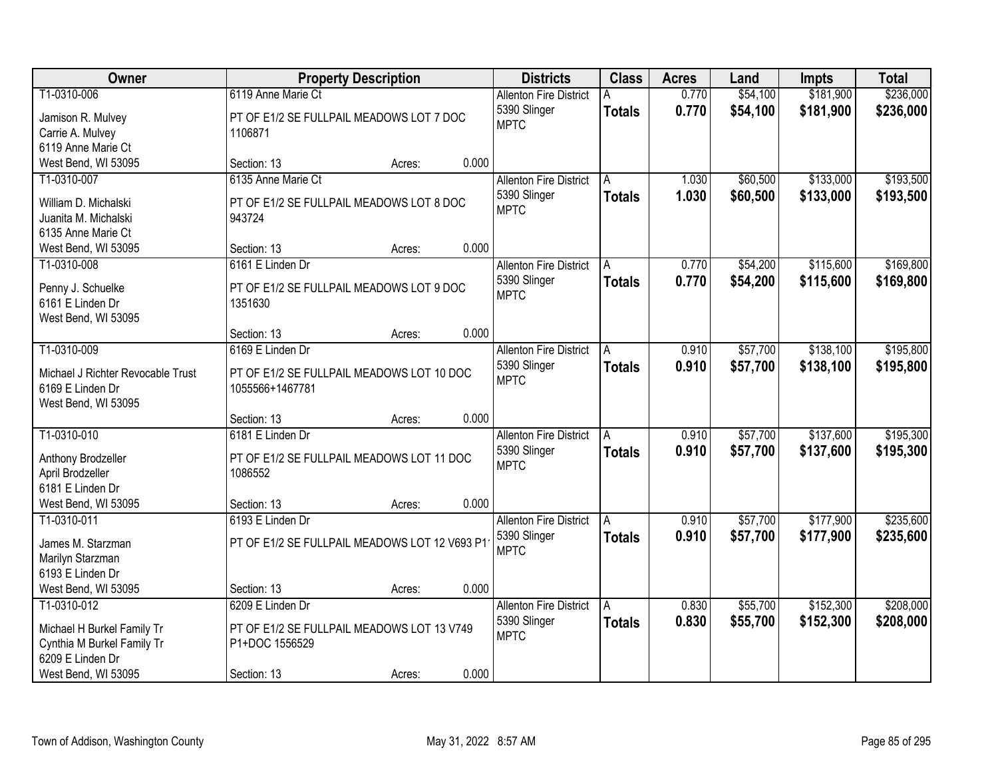| Owner                                          |                                                              | <b>Property Description</b> |       | <b>Districts</b>              | <b>Class</b>  | <b>Acres</b> | Land     | <b>Impts</b> | <b>Total</b> |
|------------------------------------------------|--------------------------------------------------------------|-----------------------------|-------|-------------------------------|---------------|--------------|----------|--------------|--------------|
| T1-0310-006                                    | 6119 Anne Marie Ct                                           |                             |       | <b>Allenton Fire District</b> |               | 0.770        | \$54,100 | \$181,900    | \$236,000    |
| Jamison R. Mulvey                              | PT OF E1/2 SE FULLPAIL MEADOWS LOT 7 DOC                     |                             |       | 5390 Slinger                  | <b>Totals</b> | 0.770        | \$54,100 | \$181,900    | \$236,000    |
| Carrie A. Mulvey                               | 1106871                                                      |                             |       | <b>MPTC</b>                   |               |              |          |              |              |
| 6119 Anne Marie Ct                             |                                                              |                             |       |                               |               |              |          |              |              |
| West Bend, WI 53095                            | Section: 13                                                  | Acres:                      | 0.000 |                               |               |              |          |              |              |
| T1-0310-007                                    | 6135 Anne Marie Ct                                           |                             |       | <b>Allenton Fire District</b> | A             | 1.030        | \$60,500 | \$133,000    | \$193,500    |
| William D. Michalski                           | PT OF E1/2 SE FULLPAIL MEADOWS LOT 8 DOC                     |                             |       | 5390 Slinger                  | <b>Totals</b> | 1.030        | \$60,500 | \$133,000    | \$193,500    |
| Juanita M. Michalski                           | 943724                                                       |                             |       | <b>MPTC</b>                   |               |              |          |              |              |
| 6135 Anne Marie Ct                             |                                                              |                             |       |                               |               |              |          |              |              |
| West Bend, WI 53095                            | Section: 13                                                  | Acres:                      | 0.000 |                               |               |              |          |              |              |
| T1-0310-008                                    | 6161 E Linden Dr                                             |                             |       | <b>Allenton Fire District</b> | A             | 0.770        | \$54,200 | \$115,600    | \$169,800    |
| Penny J. Schuelke                              | PT OF E1/2 SE FULLPAIL MEADOWS LOT 9 DOC                     |                             |       | 5390 Slinger                  | <b>Totals</b> | 0.770        | \$54,200 | \$115,600    | \$169,800    |
| 6161 E Linden Dr                               | 1351630                                                      |                             |       | <b>MPTC</b>                   |               |              |          |              |              |
| West Bend, WI 53095                            |                                                              |                             |       |                               |               |              |          |              |              |
|                                                | Section: 13                                                  | Acres:                      | 0.000 |                               |               |              |          |              |              |
| T1-0310-009                                    | 6169 E Linden Dr                                             |                             |       | <b>Allenton Fire District</b> | A             | 0.910        | \$57,700 | \$138,100    | \$195,800    |
| Michael J Richter Revocable Trust              |                                                              |                             |       | 5390 Slinger                  | <b>Totals</b> | 0.910        | \$57,700 | \$138,100    | \$195,800    |
| 6169 E Linden Dr                               | PT OF E1/2 SE FULLPAIL MEADOWS LOT 10 DOC<br>1055566+1467781 |                             |       | <b>MPTC</b>                   |               |              |          |              |              |
| West Bend, WI 53095                            |                                                              |                             |       |                               |               |              |          |              |              |
|                                                | Section: 13                                                  | Acres:                      | 0.000 |                               |               |              |          |              |              |
| T1-0310-010                                    | 6181 E Linden Dr                                             |                             |       | <b>Allenton Fire District</b> | A             | 0.910        | \$57,700 | \$137,600    | \$195,300    |
|                                                |                                                              |                             |       | 5390 Slinger                  | <b>Totals</b> | 0.910        | \$57,700 | \$137,600    | \$195,300    |
| Anthony Brodzeller<br>April Brodzeller         | PT OF E1/2 SE FULLPAIL MEADOWS LOT 11 DOC<br>1086552         |                             |       | <b>MPTC</b>                   |               |              |          |              |              |
| 6181 E Linden Dr                               |                                                              |                             |       |                               |               |              |          |              |              |
| West Bend, WI 53095                            | Section: 13                                                  | Acres:                      | 0.000 |                               |               |              |          |              |              |
| T1-0310-011                                    | 6193 E Linden Dr                                             |                             |       | <b>Allenton Fire District</b> | A             | 0.910        | \$57,700 | \$177,900    | \$235,600    |
|                                                |                                                              |                             |       | 5390 Slinger                  | <b>Totals</b> | 0.910        | \$57,700 | \$177,900    | \$235,600    |
| James M. Starzman                              | PT OF E1/2 SE FULLPAIL MEADOWS LOT 12 V693 P1                |                             |       | <b>MPTC</b>                   |               |              |          |              |              |
| Marilyn Starzman<br>6193 E Linden Dr           |                                                              |                             |       |                               |               |              |          |              |              |
| West Bend, WI 53095                            | Section: 13                                                  | Acres:                      | 0.000 |                               |               |              |          |              |              |
| T1-0310-012                                    | 6209 E Linden Dr                                             |                             |       | <b>Allenton Fire District</b> | A             | 0.830        | \$55,700 | \$152,300    | \$208,000    |
|                                                |                                                              |                             |       | 5390 Slinger                  | <b>Totals</b> | 0.830        | \$55,700 | \$152,300    | \$208,000    |
| Michael H Burkel Family Tr                     | PT OF E1/2 SE FULLPAIL MEADOWS LOT 13 V749                   |                             |       | <b>MPTC</b>                   |               |              |          |              |              |
| Cynthia M Burkel Family Tr<br>6209 E Linden Dr | P1+DOC 1556529                                               |                             |       |                               |               |              |          |              |              |
|                                                |                                                              |                             |       |                               |               |              |          |              |              |
| West Bend, WI 53095                            | Section: 13                                                  | Acres:                      | 0.000 |                               |               |              |          |              |              |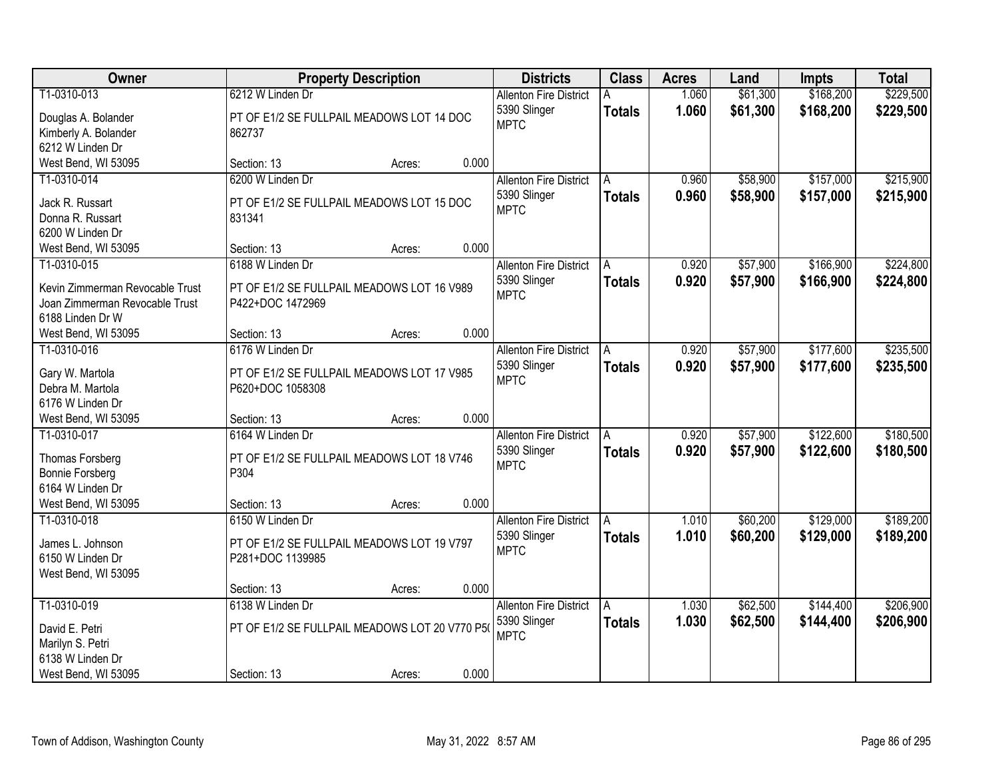| Owner                           |                                                | <b>Property Description</b> |       | <b>Districts</b>              | <b>Class</b>  | <b>Acres</b> | Land     | <b>Impts</b> | <b>Total</b> |
|---------------------------------|------------------------------------------------|-----------------------------|-------|-------------------------------|---------------|--------------|----------|--------------|--------------|
| T1-0310-013                     | 6212 W Linden Dr                               |                             |       | <b>Allenton Fire District</b> |               | 1.060        | \$61,300 | \$168,200    | \$229,500    |
| Douglas A. Bolander             | PT OF E1/2 SE FULLPAIL MEADOWS LOT 14 DOC      |                             |       | 5390 Slinger                  | <b>Totals</b> | 1.060        | \$61,300 | \$168,200    | \$229,500    |
| Kimberly A. Bolander            | 862737                                         |                             |       | <b>MPTC</b>                   |               |              |          |              |              |
| 6212 W Linden Dr                |                                                |                             |       |                               |               |              |          |              |              |
| West Bend, WI 53095             | Section: 13                                    | Acres:                      | 0.000 |                               |               |              |          |              |              |
| T1-0310-014                     | 6200 W Linden Dr                               |                             |       | <b>Allenton Fire District</b> | A             | 0.960        | \$58,900 | \$157,000    | \$215,900    |
|                                 |                                                |                             |       | 5390 Slinger                  | <b>Totals</b> | 0.960        | \$58,900 | \$157,000    | \$215,900    |
| Jack R. Russart                 | PT OF E1/2 SE FULLPAIL MEADOWS LOT 15 DOC      |                             |       | <b>MPTC</b>                   |               |              |          |              |              |
| Donna R. Russart                | 831341                                         |                             |       |                               |               |              |          |              |              |
| 6200 W Linden Dr                |                                                |                             |       |                               |               |              |          |              |              |
| West Bend, WI 53095             | Section: 13                                    | Acres:                      | 0.000 |                               |               |              |          |              |              |
| T1-0310-015                     | 6188 W Linden Dr                               |                             |       | <b>Allenton Fire District</b> | A             | 0.920        | \$57,900 | \$166,900    | \$224,800    |
| Kevin Zimmerman Revocable Trust | PT OF E1/2 SE FULLPAIL MEADOWS LOT 16 V989     |                             |       | 5390 Slinger                  | <b>Totals</b> | 0.920        | \$57,900 | \$166,900    | \$224,800    |
| Joan Zimmerman Revocable Trust  | P422+DOC 1472969                               |                             |       | <b>MPTC</b>                   |               |              |          |              |              |
| 6188 Linden Dr W                |                                                |                             |       |                               |               |              |          |              |              |
| West Bend, WI 53095             | Section: 13                                    | Acres:                      | 0.000 |                               |               |              |          |              |              |
| T1-0310-016                     | 6176 W Linden Dr                               |                             |       | <b>Allenton Fire District</b> | A             | 0.920        | \$57,900 | \$177,600    | \$235,500    |
|                                 |                                                |                             |       | 5390 Slinger                  | <b>Totals</b> | 0.920        | \$57,900 | \$177,600    | \$235,500    |
| Gary W. Martola                 | PT OF E1/2 SE FULLPAIL MEADOWS LOT 17 V985     |                             |       | <b>MPTC</b>                   |               |              |          |              |              |
| Debra M. Martola                | P620+DOC 1058308                               |                             |       |                               |               |              |          |              |              |
| 6176 W Linden Dr                |                                                |                             |       |                               |               |              |          |              |              |
| West Bend, WI 53095             | Section: 13                                    | Acres:                      | 0.000 |                               |               |              |          |              |              |
| T1-0310-017                     | 6164 W Linden Dr                               |                             |       | <b>Allenton Fire District</b> |               | 0.920        | \$57,900 | \$122,600    | \$180,500    |
| Thomas Forsberg                 | PT OF E1/2 SE FULLPAIL MEADOWS LOT 18 V746     |                             |       | 5390 Slinger                  | <b>Totals</b> | 0.920        | \$57,900 | \$122,600    | \$180,500    |
| <b>Bonnie Forsberg</b>          | P304                                           |                             |       | <b>MPTC</b>                   |               |              |          |              |              |
| 6164 W Linden Dr                |                                                |                             |       |                               |               |              |          |              |              |
| West Bend, WI 53095             | Section: 13                                    | Acres:                      | 0.000 |                               |               |              |          |              |              |
| T1-0310-018                     | 6150 W Linden Dr                               |                             |       | <b>Allenton Fire District</b> | A             | 1.010        | \$60,200 | \$129,000    | \$189,200    |
|                                 |                                                |                             |       | 5390 Slinger                  | <b>Totals</b> | 1.010        | \$60,200 | \$129,000    | \$189,200    |
| James L. Johnson                | PT OF E1/2 SE FULLPAIL MEADOWS LOT 19 V797     |                             |       | <b>MPTC</b>                   |               |              |          |              |              |
| 6150 W Linden Dr                | P281+DOC 1139985                               |                             |       |                               |               |              |          |              |              |
| West Bend, WI 53095             |                                                |                             |       |                               |               |              |          |              |              |
|                                 | Section: 13                                    | Acres:                      | 0.000 |                               |               |              |          |              |              |
| T1-0310-019                     | 6138 W Linden Dr                               |                             |       | <b>Allenton Fire District</b> | A             | 1.030        | \$62,500 | \$144,400    | \$206,900    |
| David E. Petri                  | PT OF E1/2 SE FULLPAIL MEADOWS LOT 20 V770 P5( |                             |       | 5390 Slinger                  | <b>Totals</b> | 1.030        | \$62,500 | \$144,400    | \$206,900    |
| Marilyn S. Petri                |                                                |                             |       | <b>MPTC</b>                   |               |              |          |              |              |
| 6138 W Linden Dr                |                                                |                             |       |                               |               |              |          |              |              |
| West Bend, WI 53095             | Section: 13                                    | Acres:                      | 0.000 |                               |               |              |          |              |              |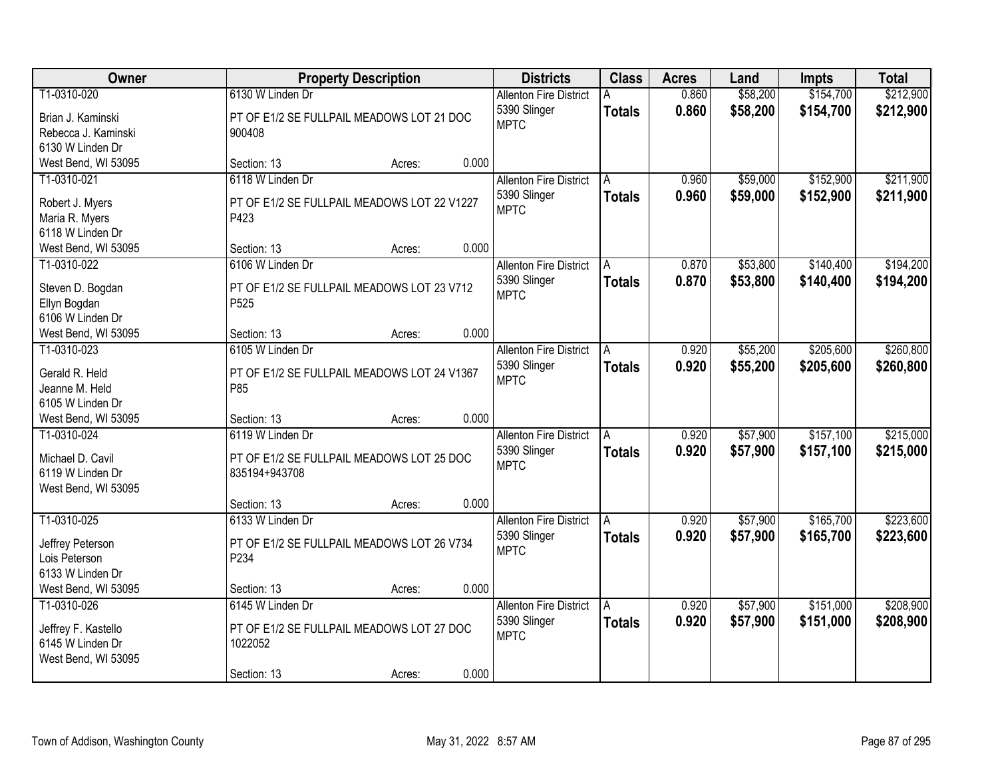| Owner                                    | <b>Property Description</b>                         | <b>Districts</b>                              | <b>Class</b>  | <b>Acres</b>   | Land                 | <b>Impts</b>           | <b>Total</b>           |
|------------------------------------------|-----------------------------------------------------|-----------------------------------------------|---------------|----------------|----------------------|------------------------|------------------------|
| T1-0310-020                              | 6130 W Linden Dr                                    | <b>Allenton Fire District</b><br>5390 Slinger | <b>Totals</b> | 0.860<br>0.860 | \$58,200<br>\$58,200 | \$154,700<br>\$154,700 | \$212,900<br>\$212,900 |
| Brian J. Kaminski<br>Rebecca J. Kaminski | PT OF E1/2 SE FULLPAIL MEADOWS LOT 21 DOC<br>900408 | <b>MPTC</b>                                   |               |                |                      |                        |                        |
| 6130 W Linden Dr                         |                                                     |                                               |               |                |                      |                        |                        |
| West Bend, WI 53095                      | 0.000<br>Section: 13<br>Acres:                      |                                               |               |                |                      |                        |                        |
| T1-0310-021                              | 6118 W Linden Dr                                    | <b>Allenton Fire District</b>                 | A             | 0.960          | \$59,000             | \$152,900              | \$211,900              |
|                                          |                                                     | 5390 Slinger                                  | <b>Totals</b> | 0.960          | \$59,000             | \$152,900              | \$211,900              |
| Robert J. Myers                          | PT OF E1/2 SE FULLPAIL MEADOWS LOT 22 V1227         | <b>MPTC</b>                                   |               |                |                      |                        |                        |
| Maria R. Myers                           | P423                                                |                                               |               |                |                      |                        |                        |
| 6118 W Linden Dr                         | 0.000                                               |                                               |               |                |                      |                        |                        |
| West Bend, WI 53095                      | Section: 13<br>Acres:                               |                                               |               |                |                      |                        |                        |
| T1-0310-022                              | 6106 W Linden Dr                                    | <b>Allenton Fire District</b>                 | A             | 0.870          | \$53,800             | \$140,400              | \$194,200              |
| Steven D. Bogdan                         | PT OF E1/2 SE FULLPAIL MEADOWS LOT 23 V712          | 5390 Slinger<br><b>MPTC</b>                   | <b>Totals</b> | 0.870          | \$53,800             | \$140,400              | \$194,200              |
| Ellyn Bogdan                             | P525                                                |                                               |               |                |                      |                        |                        |
| 6106 W Linden Dr                         |                                                     |                                               |               |                |                      |                        |                        |
| West Bend, WI 53095                      | 0.000<br>Section: 13<br>Acres:                      |                                               |               |                |                      |                        |                        |
| T1-0310-023                              | 6105 W Linden Dr                                    | <b>Allenton Fire District</b>                 | A             | 0.920          | \$55,200             | \$205,600              | \$260,800              |
| Gerald R. Held                           | PT OF E1/2 SE FULLPAIL MEADOWS LOT 24 V1367         | 5390 Slinger                                  | <b>Totals</b> | 0.920          | \$55,200             | \$205,600              | \$260,800              |
| Jeanne M. Held                           | P85                                                 | <b>MPTC</b>                                   |               |                |                      |                        |                        |
| 6105 W Linden Dr                         |                                                     |                                               |               |                |                      |                        |                        |
| West Bend, WI 53095                      | 0.000<br>Section: 13<br>Acres:                      |                                               |               |                |                      |                        |                        |
| T1-0310-024                              | 6119 W Linden Dr                                    | <b>Allenton Fire District</b>                 |               | 0.920          | \$57,900             | \$157,100              | \$215,000              |
|                                          |                                                     | 5390 Slinger                                  | <b>Totals</b> | 0.920          | \$57,900             | \$157,100              | \$215,000              |
| Michael D. Cavil                         | PT OF E1/2 SE FULLPAIL MEADOWS LOT 25 DOC           | <b>MPTC</b>                                   |               |                |                      |                        |                        |
| 6119 W Linden Dr                         | 835194+943708                                       |                                               |               |                |                      |                        |                        |
| West Bend, WI 53095                      |                                                     |                                               |               |                |                      |                        |                        |
|                                          | 0.000<br>Section: 13<br>Acres:                      |                                               |               |                |                      |                        |                        |
| T1-0310-025                              | 6133 W Linden Dr                                    | <b>Allenton Fire District</b>                 | A             | 0.920          | \$57,900             | \$165,700              | \$223,600              |
| Jeffrey Peterson                         | PT OF E1/2 SE FULLPAIL MEADOWS LOT 26 V734          | 5390 Slinger                                  | <b>Totals</b> | 0.920          | \$57,900             | \$165,700              | \$223,600              |
| Lois Peterson                            | P234                                                | <b>MPTC</b>                                   |               |                |                      |                        |                        |
| 6133 W Linden Dr                         |                                                     |                                               |               |                |                      |                        |                        |
| West Bend, WI 53095                      | 0.000<br>Section: 13<br>Acres:                      |                                               |               |                |                      |                        |                        |
| T1-0310-026                              | 6145 W Linden Dr                                    | <b>Allenton Fire District</b>                 | A             | 0.920          | \$57,900             | \$151,000              | \$208,900              |
| Jeffrey F. Kastello                      | PT OF E1/2 SE FULLPAIL MEADOWS LOT 27 DOC           | 5390 Slinger                                  | <b>Totals</b> | 0.920          | \$57,900             | \$151,000              | \$208,900              |
| 6145 W Linden Dr                         | 1022052                                             | <b>MPTC</b>                                   |               |                |                      |                        |                        |
| West Bend, WI 53095                      |                                                     |                                               |               |                |                      |                        |                        |
|                                          | 0.000<br>Section: 13<br>Acres:                      |                                               |               |                |                      |                        |                        |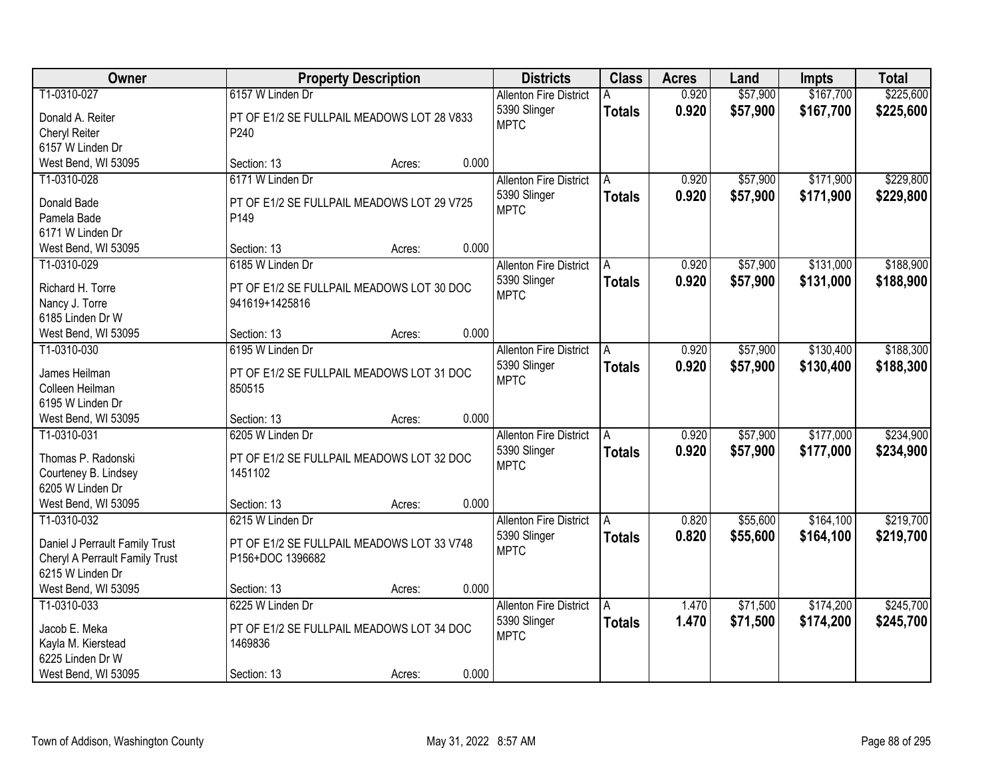| Owner                          | <b>Property Description</b>                |        |       | <b>Districts</b>              | <b>Class</b>  | <b>Acres</b> | Land     | <b>Impts</b> | <b>Total</b> |
|--------------------------------|--------------------------------------------|--------|-------|-------------------------------|---------------|--------------|----------|--------------|--------------|
| T1-0310-027                    | 6157 W Linden Dr                           |        |       | <b>Allenton Fire District</b> |               | 0.920        | \$57,900 | \$167,700    | \$225,600    |
| Donald A. Reiter               | PT OF E1/2 SE FULLPAIL MEADOWS LOT 28 V833 |        |       | 5390 Slinger                  | <b>Totals</b> | 0.920        | \$57,900 | \$167,700    | \$225,600    |
| Cheryl Reiter                  | P240                                       |        |       | <b>MPTC</b>                   |               |              |          |              |              |
| 6157 W Linden Dr               |                                            |        |       |                               |               |              |          |              |              |
| West Bend, WI 53095            | Section: 13                                | Acres: | 0.000 |                               |               |              |          |              |              |
| T1-0310-028                    | 6171 W Linden Dr                           |        |       | <b>Allenton Fire District</b> | A             | 0.920        | \$57,900 | \$171,900    | \$229,800    |
|                                |                                            |        |       | 5390 Slinger                  | <b>Totals</b> | 0.920        | \$57,900 | \$171,900    | \$229,800    |
| Donald Bade                    | PT OF E1/2 SE FULLPAIL MEADOWS LOT 29 V725 |        |       | <b>MPTC</b>                   |               |              |          |              |              |
| Pamela Bade                    | P <sub>149</sub>                           |        |       |                               |               |              |          |              |              |
| 6171 W Linden Dr               |                                            |        | 0.000 |                               |               |              |          |              |              |
| West Bend, WI 53095            | Section: 13                                | Acres: |       |                               |               | 0.920        |          | \$131,000    | \$188,900    |
| T1-0310-029                    | 6185 W Linden Dr                           |        |       | <b>Allenton Fire District</b> | A             |              | \$57,900 |              |              |
| Richard H. Torre               | PT OF E1/2 SE FULLPAIL MEADOWS LOT 30 DOC  |        |       | 5390 Slinger<br><b>MPTC</b>   | <b>Totals</b> | 0.920        | \$57,900 | \$131,000    | \$188,900    |
| Nancy J. Torre                 | 941619+1425816                             |        |       |                               |               |              |          |              |              |
| 6185 Linden Dr W               |                                            |        |       |                               |               |              |          |              |              |
| West Bend, WI 53095            | Section: 13                                | Acres: | 0.000 |                               |               |              |          |              |              |
| T1-0310-030                    | 6195 W Linden Dr                           |        |       | <b>Allenton Fire District</b> | A             | 0.920        | \$57,900 | \$130,400    | \$188,300    |
| James Heilman                  | PT OF E1/2 SE FULLPAIL MEADOWS LOT 31 DOC  |        |       | 5390 Slinger                  | <b>Totals</b> | 0.920        | \$57,900 | \$130,400    | \$188,300    |
| Colleen Heilman                | 850515                                     |        |       | <b>MPTC</b>                   |               |              |          |              |              |
| 6195 W Linden Dr               |                                            |        |       |                               |               |              |          |              |              |
| West Bend, WI 53095            | Section: 13                                | Acres: | 0.000 |                               |               |              |          |              |              |
| T1-0310-031                    | 6205 W Linden Dr                           |        |       | <b>Allenton Fire District</b> |               | 0.920        | \$57,900 | \$177,000    | \$234,900    |
|                                |                                            |        |       | 5390 Slinger                  | <b>Totals</b> | 0.920        | \$57,900 | \$177,000    | \$234,900    |
| Thomas P. Radonski             | PT OF E1/2 SE FULLPAIL MEADOWS LOT 32 DOC  |        |       | <b>MPTC</b>                   |               |              |          |              |              |
| Courteney B. Lindsey           | 1451102                                    |        |       |                               |               |              |          |              |              |
| 6205 W Linden Dr               |                                            |        |       |                               |               |              |          |              |              |
| West Bend, WI 53095            | Section: 13                                | Acres: | 0.000 |                               |               |              |          |              |              |
| T1-0310-032                    | 6215 W Linden Dr                           |        |       | <b>Allenton Fire District</b> | A             | 0.820        | \$55,600 | \$164,100    | \$219,700    |
| Daniel J Perrault Family Trust | PT OF E1/2 SE FULLPAIL MEADOWS LOT 33 V748 |        |       | 5390 Slinger                  | <b>Totals</b> | 0.820        | \$55,600 | \$164,100    | \$219,700    |
| Cheryl A Perrault Family Trust | P156+DOC 1396682                           |        |       | <b>MPTC</b>                   |               |              |          |              |              |
| 6215 W Linden Dr               |                                            |        |       |                               |               |              |          |              |              |
| West Bend, WI 53095            | Section: 13                                | Acres: | 0.000 |                               |               |              |          |              |              |
| T1-0310-033                    | 6225 W Linden Dr                           |        |       | <b>Allenton Fire District</b> | A             | 1.470        | \$71,500 | \$174,200    | \$245,700    |
|                                |                                            |        |       | 5390 Slinger                  | <b>Totals</b> | 1.470        | \$71,500 | \$174,200    | \$245,700    |
| Jacob E. Meka                  | PT OF E1/2 SE FULLPAIL MEADOWS LOT 34 DOC  |        |       | <b>MPTC</b>                   |               |              |          |              |              |
| Kayla M. Kierstead             | 1469836                                    |        |       |                               |               |              |          |              |              |
| 6225 Linden Dr W               |                                            |        |       |                               |               |              |          |              |              |
| West Bend, WI 53095            | Section: 13                                | Acres: | 0.000 |                               |               |              |          |              |              |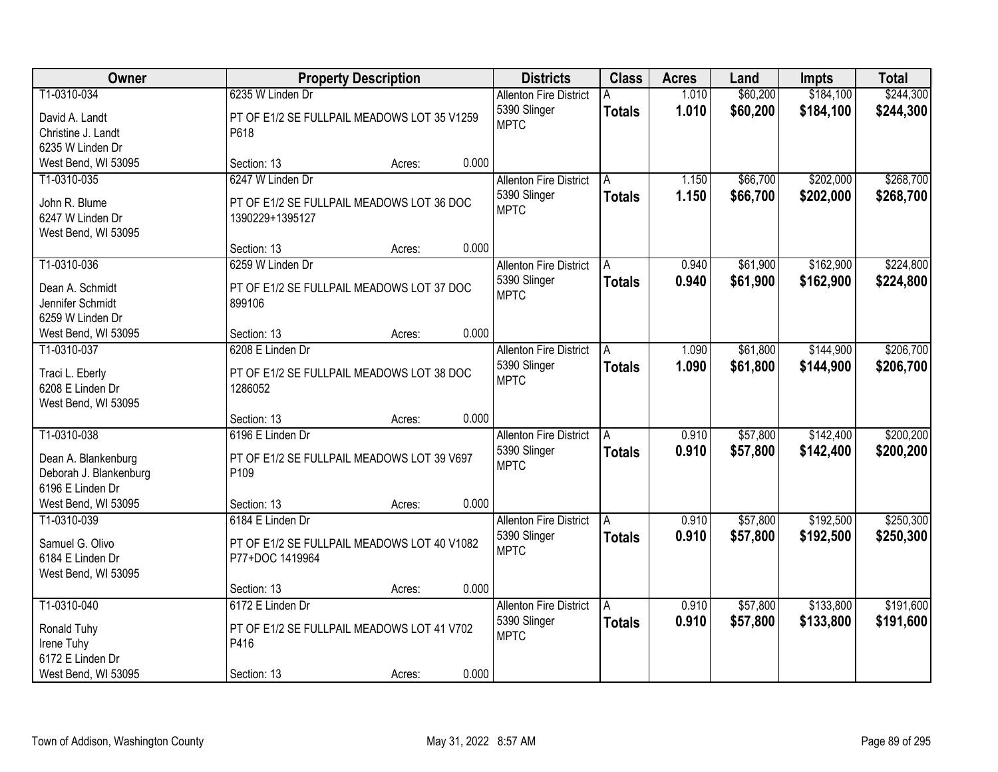| \$60,200<br>\$184,100<br>\$244,300<br>T1-0310-034<br>6235 W Linden Dr<br>1.010<br><b>Allenton Fire District</b><br>1.010<br>\$60,200<br>5390 Slinger<br>\$184,100<br>\$244,300<br><b>Totals</b><br>David A. Landt<br>PT OF E1/2 SE FULLPAIL MEADOWS LOT 35 V1259<br><b>MPTC</b><br>Christine J. Landt<br>P618<br>6235 W Linden Dr<br>0.000<br>West Bend, WI 53095<br>Section: 13<br>Acres:<br>\$202,000<br>\$268,700<br>6247 W Linden Dr<br>\$66,700<br>T1-0310-035<br><b>Allenton Fire District</b><br>1.150<br>A<br>1.150<br>\$66,700<br>\$202,000<br>5390 Slinger<br>\$268,700<br><b>Totals</b><br>John R. Blume<br>PT OF E1/2 SE FULLPAIL MEADOWS LOT 36 DOC<br><b>MPTC</b><br>6247 W Linden Dr<br>1390229+1395127<br>West Bend, WI 53095<br>0.000<br>Section: 13<br>Acres:<br>\$162,900<br>\$224,800<br>T1-0310-036<br>\$61,900<br>6259 W Linden Dr<br><b>Allenton Fire District</b><br>0.940<br>A<br>5390 Slinger<br>0.940<br>\$61,900<br>\$162,900<br>\$224,800<br><b>Totals</b><br>Dean A. Schmidt<br>PT OF E1/2 SE FULLPAIL MEADOWS LOT 37 DOC<br><b>MPTC</b><br>Jennifer Schmidt<br>899106<br>6259 W Linden Dr<br>0.000<br>West Bend, WI 53095<br>Section: 13<br>Acres:<br>\$61,800<br>\$144,900<br>6208 E Linden Dr<br>T1-0310-037<br><b>Allenton Fire District</b><br>1.090<br>A<br>5390 Slinger<br>1.090<br>\$61,800<br>\$144,900<br><b>Totals</b><br>Traci L. Eberly<br>PT OF E1/2 SE FULLPAIL MEADOWS LOT 38 DOC<br><b>MPTC</b><br>6208 E Linden Dr<br>1286052<br>West Bend, WI 53095<br>0.000<br>Section: 13<br>Acres:<br>\$142,400<br>T1-0310-038<br>6196 E Linden Dr<br>0.910<br>\$57,800<br><b>Allenton Fire District</b><br>0.910<br>\$57,800<br>\$142,400<br>5390 Slinger<br><b>Totals</b><br>PT OF E1/2 SE FULLPAIL MEADOWS LOT 39 V697<br>Dean A. Blankenburg<br><b>MPTC</b><br>P109<br>Deborah J. Blankenburg |
|---------------------------------------------------------------------------------------------------------------------------------------------------------------------------------------------------------------------------------------------------------------------------------------------------------------------------------------------------------------------------------------------------------------------------------------------------------------------------------------------------------------------------------------------------------------------------------------------------------------------------------------------------------------------------------------------------------------------------------------------------------------------------------------------------------------------------------------------------------------------------------------------------------------------------------------------------------------------------------------------------------------------------------------------------------------------------------------------------------------------------------------------------------------------------------------------------------------------------------------------------------------------------------------------------------------------------------------------------------------------------------------------------------------------------------------------------------------------------------------------------------------------------------------------------------------------------------------------------------------------------------------------------------------------------------------------------------------------------------------------------------------------------------------------------------------------------------------|
|                                                                                                                                                                                                                                                                                                                                                                                                                                                                                                                                                                                                                                                                                                                                                                                                                                                                                                                                                                                                                                                                                                                                                                                                                                                                                                                                                                                                                                                                                                                                                                                                                                                                                                                                                                                                                                       |
|                                                                                                                                                                                                                                                                                                                                                                                                                                                                                                                                                                                                                                                                                                                                                                                                                                                                                                                                                                                                                                                                                                                                                                                                                                                                                                                                                                                                                                                                                                                                                                                                                                                                                                                                                                                                                                       |
|                                                                                                                                                                                                                                                                                                                                                                                                                                                                                                                                                                                                                                                                                                                                                                                                                                                                                                                                                                                                                                                                                                                                                                                                                                                                                                                                                                                                                                                                                                                                                                                                                                                                                                                                                                                                                                       |
|                                                                                                                                                                                                                                                                                                                                                                                                                                                                                                                                                                                                                                                                                                                                                                                                                                                                                                                                                                                                                                                                                                                                                                                                                                                                                                                                                                                                                                                                                                                                                                                                                                                                                                                                                                                                                                       |
|                                                                                                                                                                                                                                                                                                                                                                                                                                                                                                                                                                                                                                                                                                                                                                                                                                                                                                                                                                                                                                                                                                                                                                                                                                                                                                                                                                                                                                                                                                                                                                                                                                                                                                                                                                                                                                       |
|                                                                                                                                                                                                                                                                                                                                                                                                                                                                                                                                                                                                                                                                                                                                                                                                                                                                                                                                                                                                                                                                                                                                                                                                                                                                                                                                                                                                                                                                                                                                                                                                                                                                                                                                                                                                                                       |
|                                                                                                                                                                                                                                                                                                                                                                                                                                                                                                                                                                                                                                                                                                                                                                                                                                                                                                                                                                                                                                                                                                                                                                                                                                                                                                                                                                                                                                                                                                                                                                                                                                                                                                                                                                                                                                       |
|                                                                                                                                                                                                                                                                                                                                                                                                                                                                                                                                                                                                                                                                                                                                                                                                                                                                                                                                                                                                                                                                                                                                                                                                                                                                                                                                                                                                                                                                                                                                                                                                                                                                                                                                                                                                                                       |
|                                                                                                                                                                                                                                                                                                                                                                                                                                                                                                                                                                                                                                                                                                                                                                                                                                                                                                                                                                                                                                                                                                                                                                                                                                                                                                                                                                                                                                                                                                                                                                                                                                                                                                                                                                                                                                       |
|                                                                                                                                                                                                                                                                                                                                                                                                                                                                                                                                                                                                                                                                                                                                                                                                                                                                                                                                                                                                                                                                                                                                                                                                                                                                                                                                                                                                                                                                                                                                                                                                                                                                                                                                                                                                                                       |
|                                                                                                                                                                                                                                                                                                                                                                                                                                                                                                                                                                                                                                                                                                                                                                                                                                                                                                                                                                                                                                                                                                                                                                                                                                                                                                                                                                                                                                                                                                                                                                                                                                                                                                                                                                                                                                       |
| \$206,700<br>\$206,700<br>\$200,200<br>\$200,200                                                                                                                                                                                                                                                                                                                                                                                                                                                                                                                                                                                                                                                                                                                                                                                                                                                                                                                                                                                                                                                                                                                                                                                                                                                                                                                                                                                                                                                                                                                                                                                                                                                                                                                                                                                      |
|                                                                                                                                                                                                                                                                                                                                                                                                                                                                                                                                                                                                                                                                                                                                                                                                                                                                                                                                                                                                                                                                                                                                                                                                                                                                                                                                                                                                                                                                                                                                                                                                                                                                                                                                                                                                                                       |
|                                                                                                                                                                                                                                                                                                                                                                                                                                                                                                                                                                                                                                                                                                                                                                                                                                                                                                                                                                                                                                                                                                                                                                                                                                                                                                                                                                                                                                                                                                                                                                                                                                                                                                                                                                                                                                       |
|                                                                                                                                                                                                                                                                                                                                                                                                                                                                                                                                                                                                                                                                                                                                                                                                                                                                                                                                                                                                                                                                                                                                                                                                                                                                                                                                                                                                                                                                                                                                                                                                                                                                                                                                                                                                                                       |
|                                                                                                                                                                                                                                                                                                                                                                                                                                                                                                                                                                                                                                                                                                                                                                                                                                                                                                                                                                                                                                                                                                                                                                                                                                                                                                                                                                                                                                                                                                                                                                                                                                                                                                                                                                                                                                       |
|                                                                                                                                                                                                                                                                                                                                                                                                                                                                                                                                                                                                                                                                                                                                                                                                                                                                                                                                                                                                                                                                                                                                                                                                                                                                                                                                                                                                                                                                                                                                                                                                                                                                                                                                                                                                                                       |
|                                                                                                                                                                                                                                                                                                                                                                                                                                                                                                                                                                                                                                                                                                                                                                                                                                                                                                                                                                                                                                                                                                                                                                                                                                                                                                                                                                                                                                                                                                                                                                                                                                                                                                                                                                                                                                       |
|                                                                                                                                                                                                                                                                                                                                                                                                                                                                                                                                                                                                                                                                                                                                                                                                                                                                                                                                                                                                                                                                                                                                                                                                                                                                                                                                                                                                                                                                                                                                                                                                                                                                                                                                                                                                                                       |
|                                                                                                                                                                                                                                                                                                                                                                                                                                                                                                                                                                                                                                                                                                                                                                                                                                                                                                                                                                                                                                                                                                                                                                                                                                                                                                                                                                                                                                                                                                                                                                                                                                                                                                                                                                                                                                       |
|                                                                                                                                                                                                                                                                                                                                                                                                                                                                                                                                                                                                                                                                                                                                                                                                                                                                                                                                                                                                                                                                                                                                                                                                                                                                                                                                                                                                                                                                                                                                                                                                                                                                                                                                                                                                                                       |
|                                                                                                                                                                                                                                                                                                                                                                                                                                                                                                                                                                                                                                                                                                                                                                                                                                                                                                                                                                                                                                                                                                                                                                                                                                                                                                                                                                                                                                                                                                                                                                                                                                                                                                                                                                                                                                       |
|                                                                                                                                                                                                                                                                                                                                                                                                                                                                                                                                                                                                                                                                                                                                                                                                                                                                                                                                                                                                                                                                                                                                                                                                                                                                                                                                                                                                                                                                                                                                                                                                                                                                                                                                                                                                                                       |
|                                                                                                                                                                                                                                                                                                                                                                                                                                                                                                                                                                                                                                                                                                                                                                                                                                                                                                                                                                                                                                                                                                                                                                                                                                                                                                                                                                                                                                                                                                                                                                                                                                                                                                                                                                                                                                       |
| 6196 E Linden Dr                                                                                                                                                                                                                                                                                                                                                                                                                                                                                                                                                                                                                                                                                                                                                                                                                                                                                                                                                                                                                                                                                                                                                                                                                                                                                                                                                                                                                                                                                                                                                                                                                                                                                                                                                                                                                      |
| West Bend, WI 53095<br>0.000<br>Section: 13<br>Acres:                                                                                                                                                                                                                                                                                                                                                                                                                                                                                                                                                                                                                                                                                                                                                                                                                                                                                                                                                                                                                                                                                                                                                                                                                                                                                                                                                                                                                                                                                                                                                                                                                                                                                                                                                                                 |
| \$192,500<br>\$250,300<br>T1-0310-039<br>0.910<br>\$57,800<br>6184 E Linden Dr<br><b>Allenton Fire District</b><br>A                                                                                                                                                                                                                                                                                                                                                                                                                                                                                                                                                                                                                                                                                                                                                                                                                                                                                                                                                                                                                                                                                                                                                                                                                                                                                                                                                                                                                                                                                                                                                                                                                                                                                                                  |
| 5390 Slinger<br>0.910<br>\$57,800<br>\$192,500<br>\$250,300<br><b>Totals</b><br>Samuel G. Olivo<br>PT OF E1/2 SE FULLPAIL MEADOWS LOT 40 V1082                                                                                                                                                                                                                                                                                                                                                                                                                                                                                                                                                                                                                                                                                                                                                                                                                                                                                                                                                                                                                                                                                                                                                                                                                                                                                                                                                                                                                                                                                                                                                                                                                                                                                        |
| <b>MPTC</b><br>P77+DOC 1419964<br>6184 E Linden Dr                                                                                                                                                                                                                                                                                                                                                                                                                                                                                                                                                                                                                                                                                                                                                                                                                                                                                                                                                                                                                                                                                                                                                                                                                                                                                                                                                                                                                                                                                                                                                                                                                                                                                                                                                                                    |
| West Bend, WI 53095                                                                                                                                                                                                                                                                                                                                                                                                                                                                                                                                                                                                                                                                                                                                                                                                                                                                                                                                                                                                                                                                                                                                                                                                                                                                                                                                                                                                                                                                                                                                                                                                                                                                                                                                                                                                                   |
| 0.000<br>Section: 13<br>Acres:                                                                                                                                                                                                                                                                                                                                                                                                                                                                                                                                                                                                                                                                                                                                                                                                                                                                                                                                                                                                                                                                                                                                                                                                                                                                                                                                                                                                                                                                                                                                                                                                                                                                                                                                                                                                        |
| T1-0310-040<br>\$57,800<br>\$133,800<br>\$191,600<br>6172 E Linden Dr<br><b>Allenton Fire District</b><br>0.910<br>A                                                                                                                                                                                                                                                                                                                                                                                                                                                                                                                                                                                                                                                                                                                                                                                                                                                                                                                                                                                                                                                                                                                                                                                                                                                                                                                                                                                                                                                                                                                                                                                                                                                                                                                  |
| 5390 Slinger<br>0.910<br>\$57,800<br>\$133,800<br>\$191,600<br><b>Totals</b>                                                                                                                                                                                                                                                                                                                                                                                                                                                                                                                                                                                                                                                                                                                                                                                                                                                                                                                                                                                                                                                                                                                                                                                                                                                                                                                                                                                                                                                                                                                                                                                                                                                                                                                                                          |
| PT OF E1/2 SE FULLPAIL MEADOWS LOT 41 V702<br>Ronald Tuhy<br><b>MPTC</b><br>Irene Tuhy<br>P416                                                                                                                                                                                                                                                                                                                                                                                                                                                                                                                                                                                                                                                                                                                                                                                                                                                                                                                                                                                                                                                                                                                                                                                                                                                                                                                                                                                                                                                                                                                                                                                                                                                                                                                                        |
| 6172 E Linden Dr                                                                                                                                                                                                                                                                                                                                                                                                                                                                                                                                                                                                                                                                                                                                                                                                                                                                                                                                                                                                                                                                                                                                                                                                                                                                                                                                                                                                                                                                                                                                                                                                                                                                                                                                                                                                                      |
| 0.000<br>West Bend, WI 53095<br>Section: 13<br>Acres:                                                                                                                                                                                                                                                                                                                                                                                                                                                                                                                                                                                                                                                                                                                                                                                                                                                                                                                                                                                                                                                                                                                                                                                                                                                                                                                                                                                                                                                                                                                                                                                                                                                                                                                                                                                 |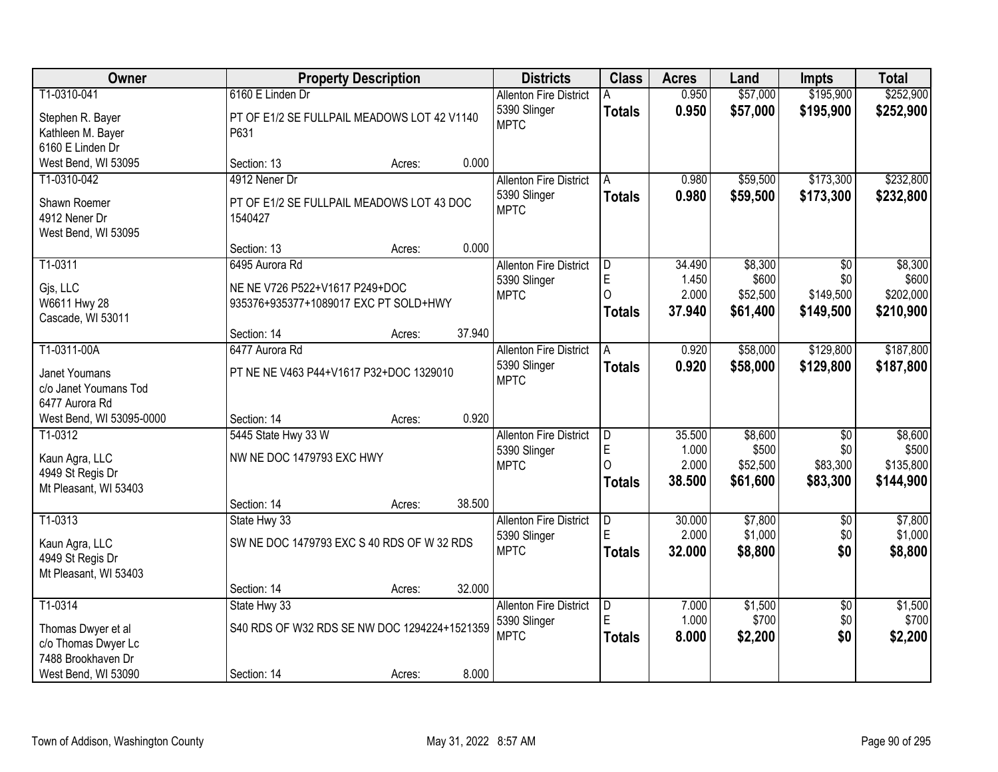| <b>Owner</b>                                                                                      |                                                                 | <b>Property Description</b>                            |        | <b>Districts</b>                                             | <b>Class</b>                                       | <b>Acres</b>                       | Land                                     | <b>Impts</b>                         | <b>Total</b>                               |
|---------------------------------------------------------------------------------------------------|-----------------------------------------------------------------|--------------------------------------------------------|--------|--------------------------------------------------------------|----------------------------------------------------|------------------------------------|------------------------------------------|--------------------------------------|--------------------------------------------|
| T1-0310-041                                                                                       | 6160 E Linden Dr                                                |                                                        |        | <b>Allenton Fire District</b><br>5390 Slinger                | <b>Totals</b>                                      | 0.950<br>0.950                     | \$57,000<br>\$57,000                     | \$195,900<br>\$195,900               | \$252,900<br>\$252,900                     |
| Stephen R. Bayer<br>Kathleen M. Bayer<br>6160 E Linden Dr                                         | P631                                                            | PT OF E1/2 SE FULLPAIL MEADOWS LOT 42 V1140            |        | <b>MPTC</b>                                                  |                                                    |                                    |                                          |                                      |                                            |
| West Bend, WI 53095                                                                               | Section: 13                                                     | Acres:                                                 | 0.000  |                                                              |                                                    |                                    |                                          |                                      |                                            |
| T1-0310-042<br>Shawn Roemer<br>4912 Nener Dr<br>West Bend, WI 53095                               | 4912 Nener Dr<br>1540427                                        | PT OF E1/2 SE FULLPAIL MEADOWS LOT 43 DOC              |        | <b>Allenton Fire District</b><br>5390 Slinger<br><b>MPTC</b> | A<br><b>Totals</b>                                 | 0.980<br>0.980                     | \$59,500<br>\$59,500                     | \$173,300<br>\$173,300               | \$232,800<br>\$232,800                     |
|                                                                                                   | Section: 13                                                     | Acres:                                                 | 0.000  |                                                              |                                                    |                                    |                                          |                                      |                                            |
| T1-0311<br>Gjs, LLC<br>W6611 Hwy 28<br>Cascade, WI 53011                                          | 6495 Aurora Rd<br>NE NE V726 P522+V1617 P249+DOC                | 935376+935377+1089017 EXC PT SOLD+HWY                  |        | <b>Allenton Fire District</b><br>5390 Slinger<br><b>MPTC</b> | $\overline{\mathsf{D}}$<br>E<br>O<br><b>Totals</b> | 34.490<br>1.450<br>2.000<br>37.940 | \$8,300<br>\$600<br>\$52,500<br>\$61,400 | \$0<br>\$0<br>\$149,500<br>\$149,500 | \$8,300<br>\$600<br>\$202,000<br>\$210,900 |
|                                                                                                   | Section: 14                                                     | Acres:                                                 | 37.940 |                                                              |                                                    |                                    |                                          |                                      |                                            |
| T1-0311-00A<br><b>Janet Youmans</b><br>c/o Janet Youmans Tod<br>6477 Aurora Rd                    | 6477 Aurora Rd                                                  | PT NE NE V463 P44+V1617 P32+DOC 1329010                |        | <b>Allenton Fire District</b><br>5390 Slinger<br><b>MPTC</b> | A<br><b>Totals</b>                                 | 0.920<br>0.920                     | \$58,000<br>\$58,000                     | \$129,800<br>\$129,800               | \$187,800<br>\$187,800                     |
| West Bend, WI 53095-0000                                                                          | Section: 14                                                     | Acres:                                                 | 0.920  |                                                              |                                                    |                                    |                                          |                                      |                                            |
| T1-0312<br>Kaun Agra, LLC<br>4949 St Regis Dr<br>Mt Pleasant, WI 53403                            | 5445 State Hwy 33 W<br>NW NE DOC 1479793 EXC HWY<br>Section: 14 |                                                        | 38.500 | <b>Allenton Fire District</b><br>5390 Slinger<br><b>MPTC</b> | D<br>E<br>$\Omega$<br><b>Totals</b>                | 35.500<br>1.000<br>2.000<br>38.500 | \$8,600<br>\$500<br>\$52,500<br>\$61,600 | \$0<br>\$0<br>\$83,300<br>\$83,300   | \$8,600<br>\$500<br>\$135,800<br>\$144,900 |
| T1-0313                                                                                           | State Hwy 33                                                    | Acres:                                                 |        | <b>Allenton Fire District</b>                                | D                                                  | 30.000                             | \$7,800                                  | $\overline{50}$                      | \$7,800                                    |
| Kaun Agra, LLC<br>4949 St Regis Dr<br>Mt Pleasant, WI 53403                                       |                                                                 | SW NE DOC 1479793 EXC S 40 RDS OF W 32 RDS             |        | 5390 Slinger<br><b>MPTC</b>                                  | E<br><b>Totals</b>                                 | 2.000<br>32.000                    | \$1,000<br>\$8,800                       | \$0<br>\$0                           | \$1,000<br>\$8,800                         |
|                                                                                                   | Section: 14                                                     | Acres:                                                 | 32.000 |                                                              |                                                    |                                    |                                          |                                      |                                            |
| T1-0314<br>Thomas Dwyer et al<br>c/o Thomas Dwyer Lc<br>7488 Brookhaven Dr<br>West Bend, WI 53090 | State Hwy 33<br>Section: 14                                     | S40 RDS OF W32 RDS SE NW DOC 1294224+1521359<br>Acres: | 8.000  | <b>Allenton Fire District</b><br>5390 Slinger<br><b>MPTC</b> | D.<br>E<br><b>Totals</b>                           | 7.000<br>1.000<br>8.000            | \$1,500<br>\$700<br>\$2,200              | $\overline{50}$<br>\$0<br>\$0        | \$1,500<br>\$700<br>\$2,200                |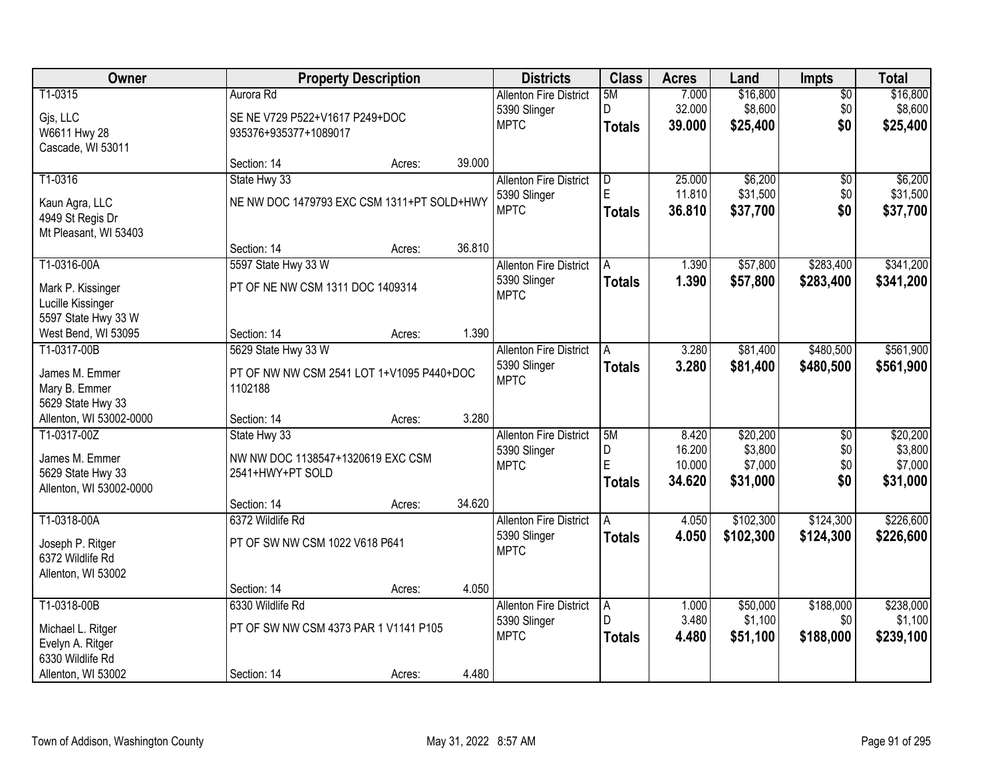| Owner                           |                                                      | <b>Property Description</b> |        | <b>Districts</b>              | <b>Class</b>   | <b>Acres</b> | Land      | <b>Impts</b>    | <b>Total</b> |
|---------------------------------|------------------------------------------------------|-----------------------------|--------|-------------------------------|----------------|--------------|-----------|-----------------|--------------|
| T1-0315                         | Aurora Rd                                            |                             |        | <b>Allenton Fire District</b> | 5M             | 7.000        | \$16,800  | $\overline{50}$ | \$16,800     |
| Gjs, LLC                        | SE NE V729 P522+V1617 P249+DOC                       |                             |        | 5390 Slinger                  | D.             | 32.000       | \$8,600   | \$0             | \$8,600      |
| W6611 Hwy 28                    | 935376+935377+1089017                                |                             |        | <b>MPTC</b>                   | <b>Totals</b>  | 39.000       | \$25,400  | \$0             | \$25,400     |
| Cascade, WI 53011               |                                                      |                             |        |                               |                |              |           |                 |              |
|                                 | Section: 14                                          | Acres:                      | 39.000 |                               |                |              |           |                 |              |
| T1-0316                         | State Hwy 33                                         |                             |        | <b>Allenton Fire District</b> | $\overline{D}$ | 25.000       | \$6,200   | $\overline{50}$ | \$6,200      |
| Kaun Agra, LLC                  | NE NW DOC 1479793 EXC CSM 1311+PT SOLD+HWY           |                             |        | 5390 Slinger                  | E              | 11.810       | \$31,500  | \$0             | \$31,500     |
| 4949 St Regis Dr                |                                                      |                             |        | <b>MPTC</b>                   | <b>Totals</b>  | 36.810       | \$37,700  | \$0             | \$37,700     |
| Mt Pleasant, WI 53403           |                                                      |                             |        |                               |                |              |           |                 |              |
|                                 | Section: 14                                          | Acres:                      | 36.810 |                               |                |              |           |                 |              |
| T1-0316-00A                     | 5597 State Hwy 33 W                                  |                             |        | <b>Allenton Fire District</b> | A              | 1.390        | \$57,800  | \$283,400       | \$341,200    |
| Mark P. Kissinger               | PT OF NE NW CSM 1311 DOC 1409314                     |                             |        | 5390 Slinger                  | <b>Totals</b>  | 1.390        | \$57,800  | \$283,400       | \$341,200    |
| Lucille Kissinger               |                                                      |                             |        | <b>MPTC</b>                   |                |              |           |                 |              |
| 5597 State Hwy 33 W             |                                                      |                             |        |                               |                |              |           |                 |              |
| West Bend, WI 53095             | Section: 14                                          | Acres:                      | 1.390  |                               |                |              |           |                 |              |
| T1-0317-00B                     | 5629 State Hwy 33 W                                  |                             |        | <b>Allenton Fire District</b> | A              | 3.280        | \$81,400  | \$480,500       | \$561,900    |
|                                 |                                                      |                             |        | 5390 Slinger                  | <b>Totals</b>  | 3.280        | \$81,400  | \$480,500       | \$561,900    |
| James M. Emmer<br>Mary B. Emmer | PT OF NW NW CSM 2541 LOT 1+V1095 P440+DOC<br>1102188 |                             |        | <b>MPTC</b>                   |                |              |           |                 |              |
| 5629 State Hwy 33               |                                                      |                             |        |                               |                |              |           |                 |              |
| Allenton, WI 53002-0000         | Section: 14                                          | Acres:                      | 3.280  |                               |                |              |           |                 |              |
| T1-0317-00Z                     | State Hwy 33                                         |                             |        | <b>Allenton Fire District</b> | 5M             | 8.420        | \$20,200  | $\overline{30}$ | \$20,200     |
|                                 |                                                      |                             |        | 5390 Slinger                  | D              | 16.200       | \$3,800   | \$0             | \$3,800      |
| James M. Emmer                  | NW NW DOC 1138547+1320619 EXC CSM                    |                             |        | <b>MPTC</b>                   | E              | 10.000       | \$7,000   | \$0             | \$7,000      |
| 5629 State Hwy 33               | 2541+HWY+PT SOLD                                     |                             |        |                               | <b>Totals</b>  | 34.620       | \$31,000  | \$0             | \$31,000     |
| Allenton, WI 53002-0000         |                                                      |                             |        |                               |                |              |           |                 |              |
| T1-0318-00A                     | Section: 14<br>6372 Wildlife Rd                      | Acres:                      | 34.620 | <b>Allenton Fire District</b> |                | 4.050        | \$102,300 | \$124,300       | \$226,600    |
|                                 |                                                      |                             |        |                               | A              |              |           |                 |              |
| Joseph P. Ritger                | PT OF SW NW CSM 1022 V618 P641                       |                             |        | 5390 Slinger<br><b>MPTC</b>   | <b>Totals</b>  | 4.050        | \$102,300 | \$124,300       | \$226,600    |
| 6372 Wildlife Rd                |                                                      |                             |        |                               |                |              |           |                 |              |
| Allenton, WI 53002              |                                                      |                             |        |                               |                |              |           |                 |              |
|                                 | Section: 14                                          | Acres:                      | 4.050  |                               |                |              |           |                 |              |
| T1-0318-00B                     | 6330 Wildlife Rd                                     |                             |        | <b>Allenton Fire District</b> | A<br>D         | 1.000        | \$50,000  | \$188,000       | \$238,000    |
| Michael L. Ritger               | PT OF SW NW CSM 4373 PAR 1 V1141 P105                |                             |        | 5390 Slinger                  |                | 3.480        | \$1,100   | \$0             | \$1,100      |
| Evelyn A. Ritger                |                                                      |                             |        | <b>MPTC</b>                   | <b>Totals</b>  | 4.480        | \$51,100  | \$188,000       | \$239,100    |
| 6330 Wildlife Rd                |                                                      |                             |        |                               |                |              |           |                 |              |
| Allenton, WI 53002              | Section: 14                                          | Acres:                      | 4.480  |                               |                |              |           |                 |              |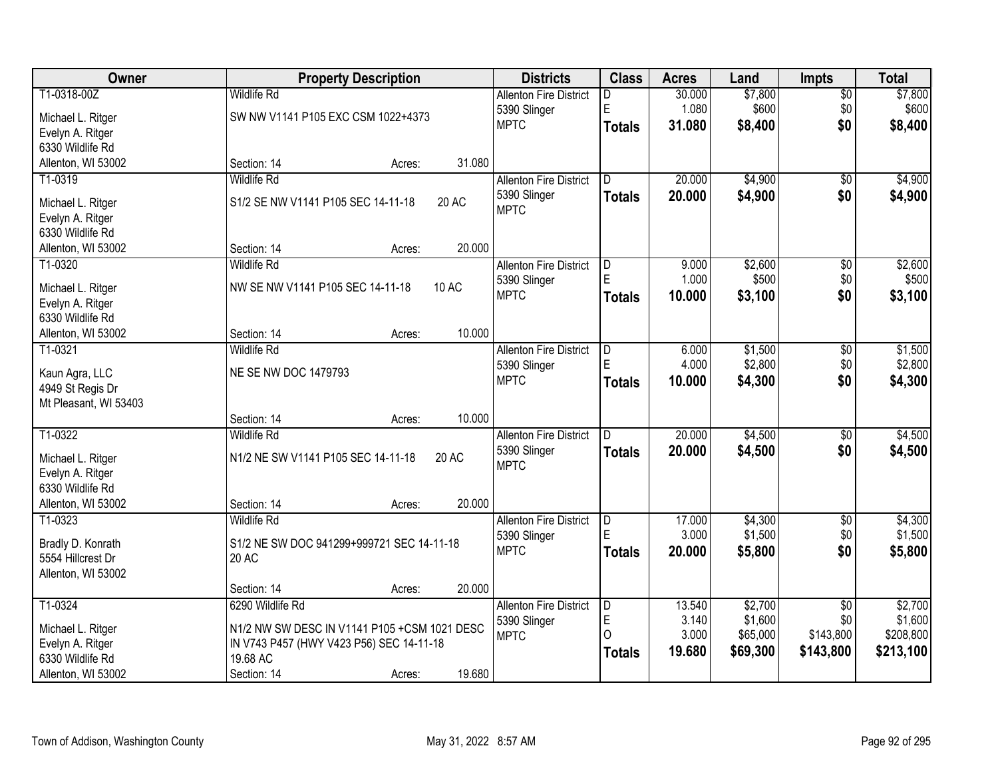| Owner                 |                                              | <b>Property Description</b> |        | <b>Districts</b>              | <b>Class</b>  | <b>Acres</b> | Land     | <b>Impts</b>    | <b>Total</b> |
|-----------------------|----------------------------------------------|-----------------------------|--------|-------------------------------|---------------|--------------|----------|-----------------|--------------|
| T1-0318-00Z           | <b>Wildlife Rd</b>                           |                             |        | <b>Allenton Fire District</b> | D.            | 30.000       | \$7,800  | $\overline{$0}$ | \$7,800      |
| Michael L. Ritger     | SW NW V1141 P105 EXC CSM 1022+4373           |                             |        | 5390 Slinger                  | E             | 1.080        | \$600    | \$0             | \$600        |
| Evelyn A. Ritger      |                                              |                             |        | <b>MPTC</b>                   | <b>Totals</b> | 31.080       | \$8,400  | \$0             | \$8,400      |
| 6330 Wildlife Rd      |                                              |                             |        |                               |               |              |          |                 |              |
| Allenton, WI 53002    | Section: 14                                  | Acres:                      | 31.080 |                               |               |              |          |                 |              |
| T1-0319               | <b>Wildlife Rd</b>                           |                             |        | <b>Allenton Fire District</b> | D.            | 20.000       | \$4,900  | \$0             | \$4,900      |
| Michael L. Ritger     | S1/2 SE NW V1141 P105 SEC 14-11-18           |                             | 20 AC  | 5390 Slinger                  | <b>Totals</b> | 20.000       | \$4,900  | \$0             | \$4,900      |
| Evelyn A. Ritger      |                                              |                             |        | <b>MPTC</b>                   |               |              |          |                 |              |
| 6330 Wildlife Rd      |                                              |                             |        |                               |               |              |          |                 |              |
| Allenton, WI 53002    | Section: 14                                  | Acres:                      | 20.000 |                               |               |              |          |                 |              |
| T1-0320               | <b>Wildlife Rd</b>                           |                             |        | <b>Allenton Fire District</b> | D             | 9.000        | \$2,600  | \$0             | \$2,600      |
| Michael L. Ritger     | NW SE NW V1141 P105 SEC 14-11-18             |                             | 10 AC  | 5390 Slinger                  |               | 1.000        | \$500    | \$0             | \$500        |
| Evelyn A. Ritger      |                                              |                             |        | <b>MPTC</b>                   | <b>Totals</b> | 10.000       | \$3,100  | \$0             | \$3,100      |
| 6330 Wildlife Rd      |                                              |                             |        |                               |               |              |          |                 |              |
| Allenton, WI 53002    | Section: 14                                  | Acres:                      | 10.000 |                               |               |              |          |                 |              |
| T1-0321               | <b>Wildlife Rd</b>                           |                             |        | <b>Allenton Fire District</b> | D             | 6.000        | \$1,500  | $\sqrt[6]{3}$   | \$1,500      |
| Kaun Agra, LLC        | NE SE NW DOC 1479793                         |                             |        | 5390 Slinger                  |               | 4.000        | \$2,800  | \$0             | \$2,800      |
| 4949 St Regis Dr      |                                              |                             |        | <b>MPTC</b>                   | <b>Totals</b> | 10.000       | \$4,300  | \$0             | \$4,300      |
| Mt Pleasant, WI 53403 |                                              |                             |        |                               |               |              |          |                 |              |
|                       | Section: 14                                  | Acres:                      | 10.000 |                               |               |              |          |                 |              |
| T1-0322               | <b>Wildlife Rd</b>                           |                             |        | <b>Allenton Fire District</b> | D.            | 20.000       | \$4,500  | $\overline{50}$ | \$4,500      |
| Michael L. Ritger     | N1/2 NE SW V1141 P105 SEC 14-11-18           |                             | 20 AC  | 5390 Slinger                  | <b>Totals</b> | 20,000       | \$4,500  | \$0             | \$4,500      |
| Evelyn A. Ritger      |                                              |                             |        | <b>MPTC</b>                   |               |              |          |                 |              |
| 6330 Wildlife Rd      |                                              |                             |        |                               |               |              |          |                 |              |
| Allenton, WI 53002    | Section: 14                                  | Acres:                      | 20.000 |                               |               |              |          |                 |              |
| $T1-0323$             | <b>Wildlife Rd</b>                           |                             |        | <b>Allenton Fire District</b> | D             | 17.000       | \$4,300  | $\sqrt{6}$      | \$4,300      |
| Bradly D. Konrath     | S1/2 NE SW DOC 941299+999721 SEC 14-11-18    |                             |        | 5390 Slinger                  | E             | 3.000        | \$1,500  | \$0             | \$1,500      |
| 5554 Hillcrest Dr     | 20 AC                                        |                             |        | <b>MPTC</b>                   | <b>Totals</b> | 20.000       | \$5,800  | \$0             | \$5,800      |
| Allenton, WI 53002    |                                              |                             |        |                               |               |              |          |                 |              |
|                       | Section: 14                                  | Acres:                      | 20.000 |                               |               |              |          |                 |              |
| T1-0324               | 6290 Wildlife Rd                             |                             |        | <b>Allenton Fire District</b> | D             | 13.540       | \$2,700  | $\overline{50}$ | \$2,700      |
| Michael L. Ritger     | N1/2 NW SW DESC IN V1141 P105 +CSM 1021 DESC |                             |        | 5390 Slinger                  | E             | 3.140        | \$1,600  | \$0             | \$1,600      |
| Evelyn A. Ritger      | IN V743 P457 (HWY V423 P56) SEC 14-11-18     |                             |        | <b>MPTC</b>                   | $\Omega$      | 3.000        | \$65,000 | \$143,800       | \$208,800    |
| 6330 Wildlife Rd      | 19.68 AC                                     |                             |        |                               | <b>Totals</b> | 19.680       | \$69,300 | \$143,800       | \$213,100    |
| Allenton, WI 53002    | Section: 14                                  | Acres:                      | 19.680 |                               |               |              |          |                 |              |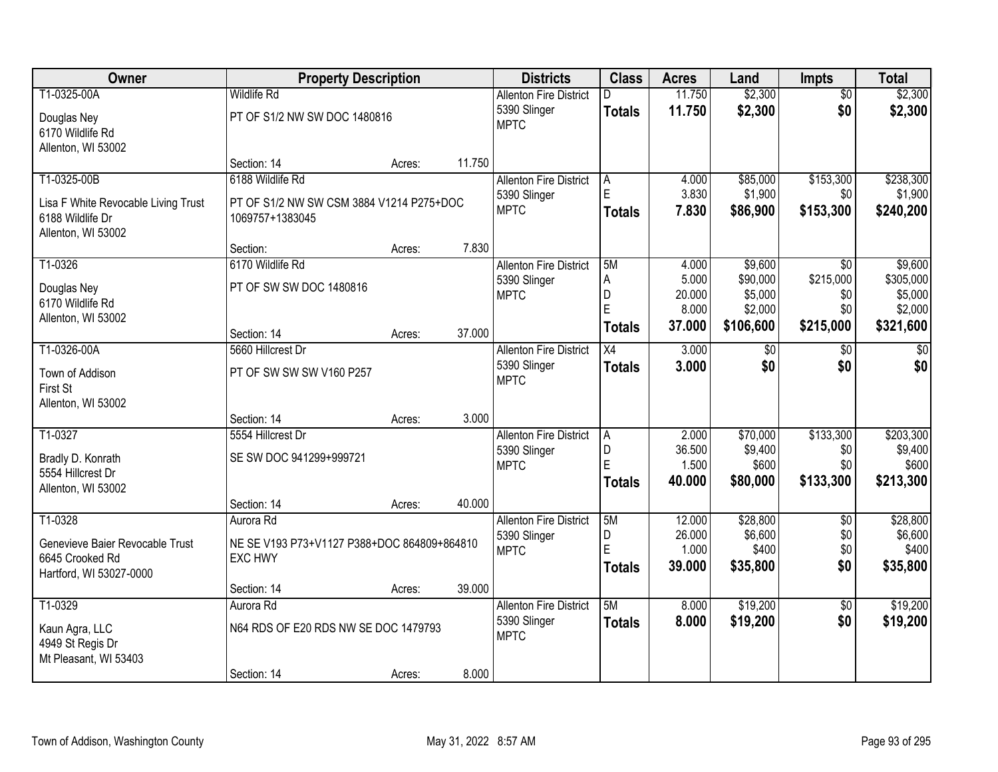| Owner                               | <b>Property Description</b>                 |        |        | <b>Districts</b>                              | <b>Class</b>        | <b>Acres</b>     | Land                 | Impts                  | <b>Total</b>         |
|-------------------------------------|---------------------------------------------|--------|--------|-----------------------------------------------|---------------------|------------------|----------------------|------------------------|----------------------|
| T1-0325-00A                         | <b>Wildlife Rd</b>                          |        |        | <b>Allenton Fire District</b>                 |                     | 11.750           | \$2,300              | $\overline{50}$        | \$2,300              |
| Douglas Ney                         | PT OF S1/2 NW SW DOC 1480816                |        |        | 5390 Slinger                                  | <b>Totals</b>       | 11.750           | \$2,300              | \$0                    | \$2,300              |
| 6170 Wildlife Rd                    |                                             |        |        | <b>MPTC</b>                                   |                     |                  |                      |                        |                      |
| Allenton, WI 53002                  |                                             |        |        |                                               |                     |                  |                      |                        |                      |
|                                     | Section: 14                                 | Acres: | 11.750 |                                               |                     |                  |                      |                        |                      |
| T1-0325-00B                         | 6188 Wildlife Rd                            |        |        | <b>Allenton Fire District</b>                 | A                   | 4.000            | \$85,000             | \$153,300              | \$238,300            |
| Lisa F White Revocable Living Trust | PT OF S1/2 NW SW CSM 3884 V1214 P275+DOC    |        |        | 5390 Slinger<br><b>MPTC</b>                   | E                   | 3.830            | \$1,900              | \$0                    | \$1,900              |
| 6188 Wildlife Dr                    | 1069757+1383045                             |        |        |                                               | <b>Totals</b>       | 7.830            | \$86,900             | \$153,300              | \$240,200            |
| Allenton, WI 53002                  |                                             |        |        |                                               |                     |                  |                      |                        |                      |
|                                     | Section:                                    | Acres: | 7.830  |                                               |                     |                  |                      |                        |                      |
| T1-0326                             | 6170 Wildlife Rd                            |        |        | <b>Allenton Fire District</b>                 | 5M                  | 4.000            | \$9,600              | \$0<br>\$215,000       | \$9,600              |
| Douglas Ney                         | PT OF SW SW DOC 1480816                     |        |        | 5390 Slinger<br><b>MPTC</b>                   | $\overline{A}$<br>D | 5.000<br>20.000  | \$90,000<br>\$5,000  | \$0                    | \$305,000<br>\$5,000 |
| 6170 Wildlife Rd                    |                                             |        |        |                                               | E                   | 8.000            | \$2,000              | \$0                    | \$2,000              |
| Allenton, WI 53002                  |                                             |        |        |                                               | <b>Totals</b>       | 37.000           | \$106,600            | \$215,000              | \$321,600            |
|                                     | Section: 14                                 | Acres: | 37.000 |                                               |                     |                  |                      |                        |                      |
| T1-0326-00A                         | 5660 Hillcrest Dr                           |        |        | <b>Allenton Fire District</b>                 | $\overline{X4}$     | 3.000            | $\sqrt[6]{3}$<br>\$0 | \$0<br>\$0             | $\overline{50}$      |
| Town of Addison                     | PT OF SW SW SW V160 P257                    |        |        | 5390 Slinger<br><b>MPTC</b>                   | <b>Totals</b>       | 3.000            |                      |                        | \$0                  |
| First St                            |                                             |        |        |                                               |                     |                  |                      |                        |                      |
| Allenton, WI 53002                  |                                             |        |        |                                               |                     |                  |                      |                        |                      |
|                                     | Section: 14                                 | Acres: | 3.000  |                                               |                     |                  |                      |                        |                      |
| T1-0327                             | 5554 Hillcrest Dr                           |        |        | <b>Allenton Fire District</b><br>5390 Slinger | $\overline{A}$<br>D | 2.000<br>36.500  | \$70,000<br>\$9,400  | \$133,300<br>\$0       | \$203,300<br>\$9,400 |
| Bradly D. Konrath                   | SE SW DOC 941299+999721                     |        |        | <b>MPTC</b>                                   | E                   | 1.500            | \$600                | \$0                    | \$600                |
| 5554 Hillcrest Dr                   |                                             |        |        |                                               | <b>Totals</b>       | 40.000           | \$80,000             | \$133,300              | \$213,300            |
| Allenton, WI 53002                  |                                             |        |        |                                               |                     |                  |                      |                        |                      |
|                                     | Section: 14                                 | Acres: | 40.000 |                                               | 5M                  |                  |                      |                        |                      |
| T1-0328                             | Aurora Rd                                   |        |        | <b>Allenton Fire District</b><br>5390 Slinger | D                   | 12.000<br>26.000 | \$28,800<br>\$6,600  | $\overline{50}$<br>\$0 | \$28,800<br>\$6,600  |
| Genevieve Baier Revocable Trust     | NE SE V193 P73+V1127 P388+DOC 864809+864810 |        |        | <b>MPTC</b>                                   | Ė                   | 1.000            | \$400                | \$0                    | \$400                |
| 6645 Crooked Rd                     | EXC HWY                                     |        |        |                                               | <b>Totals</b>       | 39.000           | \$35,800             | \$0                    | \$35,800             |
| Hartford, WI 53027-0000             |                                             |        |        |                                               |                     |                  |                      |                        |                      |
| T1-0329                             | Section: 14<br>Aurora Rd                    | Acres: | 39.000 | <b>Allenton Fire District</b>                 | 5M                  | 8.000            | \$19,200             | $\overline{50}$        | \$19,200             |
|                                     |                                             |        |        | 5390 Slinger                                  | <b>Totals</b>       | 8.000            | \$19,200             | \$0                    | \$19,200             |
| Kaun Agra, LLC                      | N64 RDS OF E20 RDS NW SE DOC 1479793        |        |        | <b>MPTC</b>                                   |                     |                  |                      |                        |                      |
| 4949 St Regis Dr                    |                                             |        |        |                                               |                     |                  |                      |                        |                      |
| Mt Pleasant, WI 53403               |                                             |        |        |                                               |                     |                  |                      |                        |                      |
|                                     | Section: 14                                 | Acres: | 8.000  |                                               |                     |                  |                      |                        |                      |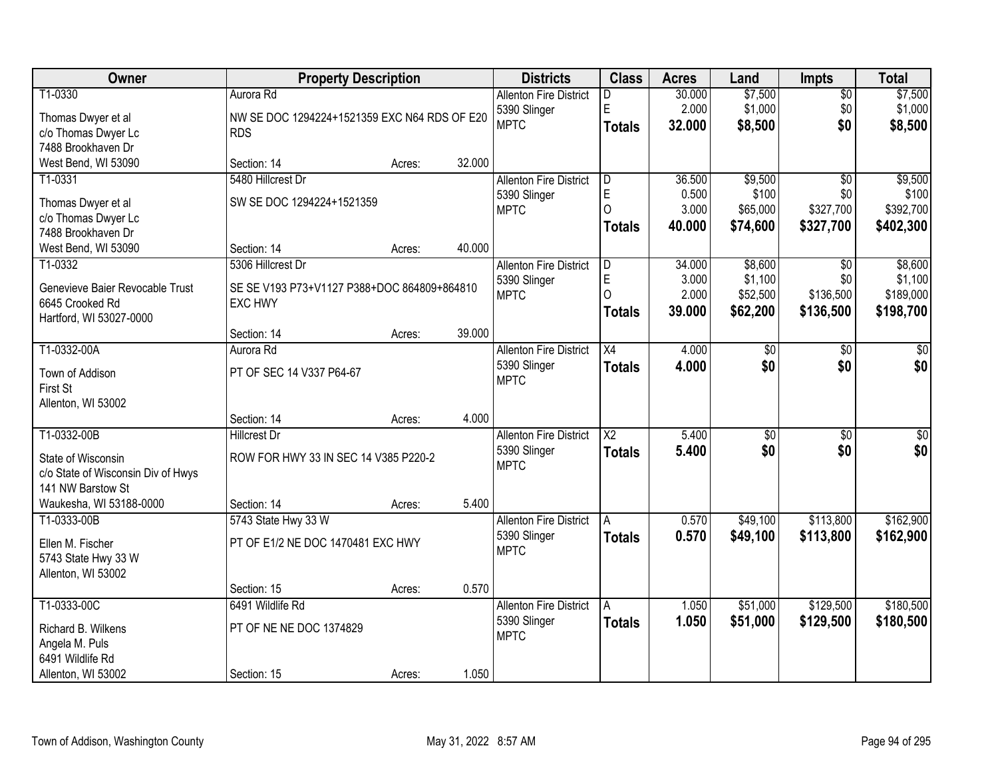| Owner                                      | <b>Property Description</b>                  |        |        | <b>Districts</b>              | <b>Class</b>    | <b>Acres</b> | Land            | <b>Impts</b>    | <b>Total</b> |
|--------------------------------------------|----------------------------------------------|--------|--------|-------------------------------|-----------------|--------------|-----------------|-----------------|--------------|
| T1-0330                                    | Aurora Rd                                    |        |        | <b>Allenton Fire District</b> | D               | 30.000       | \$7,500         | $\sqrt{$0}$     | \$7,500      |
| Thomas Dwyer et al                         | NW SE DOC 1294224+1521359 EXC N64 RDS OF E20 |        |        | 5390 Slinger                  | E               | 2.000        | \$1,000         | \$0             | \$1,000      |
| c/o Thomas Dwyer Lc                        | <b>RDS</b>                                   |        |        | <b>MPTC</b>                   | <b>Totals</b>   | 32.000       | \$8,500         | \$0             | \$8,500      |
| 7488 Brookhaven Dr                         |                                              |        |        |                               |                 |              |                 |                 |              |
| West Bend, WI 53090                        | Section: 14                                  | Acres: | 32.000 |                               |                 |              |                 |                 |              |
| T1-0331                                    | 5480 Hillcrest Dr                            |        |        | <b>Allenton Fire District</b> | D               | 36.500       | \$9,500         | $\overline{50}$ | \$9,500      |
| Thomas Dwyer et al                         | SW SE DOC 1294224+1521359                    |        |        | 5390 Slinger                  | E               | 0.500        | \$100           | \$0             | \$100        |
| c/o Thomas Dwyer Lc                        |                                              |        |        | <b>MPTC</b>                   | $\Omega$        | 3.000        | \$65,000        | \$327,700       | \$392,700    |
| 7488 Brookhaven Dr                         |                                              |        |        |                               | <b>Totals</b>   | 40.000       | \$74,600        | \$327,700       | \$402,300    |
| West Bend, WI 53090                        | Section: 14                                  | Acres: | 40.000 |                               |                 |              |                 |                 |              |
| T1-0332                                    | 5306 Hillcrest Dr                            |        |        | <b>Allenton Fire District</b> | D               | 34.000       | \$8,600         | \$0             | \$8,600      |
|                                            |                                              |        |        | 5390 Slinger                  | E               | 3.000        | \$1,100         | \$0             | \$1,100      |
| Genevieve Baier Revocable Trust            | SE SE V193 P73+V1127 P388+DOC 864809+864810  |        |        | <b>MPTC</b>                   | $\Omega$        | 2.000        | \$52,500        | \$136,500       | \$189,000    |
| 6645 Crooked Rd<br>Hartford, WI 53027-0000 | <b>EXC HWY</b>                               |        |        |                               | Totals          | 39.000       | \$62,200        | \$136,500       | \$198,700    |
|                                            | Section: 14                                  | Acres: | 39.000 |                               |                 |              |                 |                 |              |
| T1-0332-00A                                | Aurora Rd                                    |        |        | <b>Allenton Fire District</b> | X4              | 4.000        | \$0             | \$0             | $\sqrt{50}$  |
|                                            |                                              |        |        | 5390 Slinger                  | <b>Totals</b>   | 4.000        | \$0             | \$0             | \$0          |
| Town of Addison                            | PT OF SEC 14 V337 P64-67                     |        |        | <b>MPTC</b>                   |                 |              |                 |                 |              |
| First St                                   |                                              |        |        |                               |                 |              |                 |                 |              |
| Allenton, WI 53002                         |                                              |        | 4.000  |                               |                 |              |                 |                 |              |
| T1-0332-00B                                | Section: 14<br><b>Hillcrest Dr</b>           | Acres: |        | <b>Allenton Fire District</b> | $\overline{X2}$ | 5.400        | $\overline{50}$ | \$0             | $\sqrt{50}$  |
|                                            |                                              |        |        |                               |                 |              | \$0             | \$0             |              |
| State of Wisconsin                         | ROW FOR HWY 33 IN SEC 14 V385 P220-2         |        |        | 5390 Slinger<br><b>MPTC</b>   | <b>Totals</b>   | 5.400        |                 |                 | \$0          |
| c/o State of Wisconsin Div of Hwys         |                                              |        |        |                               |                 |              |                 |                 |              |
| 141 NW Barstow St                          |                                              |        |        |                               |                 |              |                 |                 |              |
| Waukesha, WI 53188-0000                    | Section: 14                                  | Acres: | 5.400  |                               |                 |              |                 |                 |              |
| T1-0333-00B                                | 5743 State Hwy 33 W                          |        |        | <b>Allenton Fire District</b> | A               | 0.570        | \$49,100        | \$113,800       | \$162,900    |
| Ellen M. Fischer                           | PT OF E1/2 NE DOC 1470481 EXC HWY            |        |        | 5390 Slinger                  | <b>Totals</b>   | 0.570        | \$49,100        | \$113,800       | \$162,900    |
| 5743 State Hwy 33 W                        |                                              |        |        | <b>MPTC</b>                   |                 |              |                 |                 |              |
| Allenton, WI 53002                         |                                              |        |        |                               |                 |              |                 |                 |              |
|                                            | Section: 15                                  | Acres: | 0.570  |                               |                 |              |                 |                 |              |
| T1-0333-00C                                | 6491 Wildlife Rd                             |        |        | <b>Allenton Fire District</b> | A               | 1.050        | \$51,000        | \$129,500       | \$180,500    |
| Richard B. Wilkens                         | PT OF NE NE DOC 1374829                      |        |        | 5390 Slinger                  | <b>Totals</b>   | 1.050        | \$51,000        | \$129,500       | \$180,500    |
| Angela M. Puls                             |                                              |        |        | <b>MPTC</b>                   |                 |              |                 |                 |              |
| 6491 Wildlife Rd                           |                                              |        |        |                               |                 |              |                 |                 |              |
| Allenton, WI 53002                         | Section: 15                                  | Acres: | 1.050  |                               |                 |              |                 |                 |              |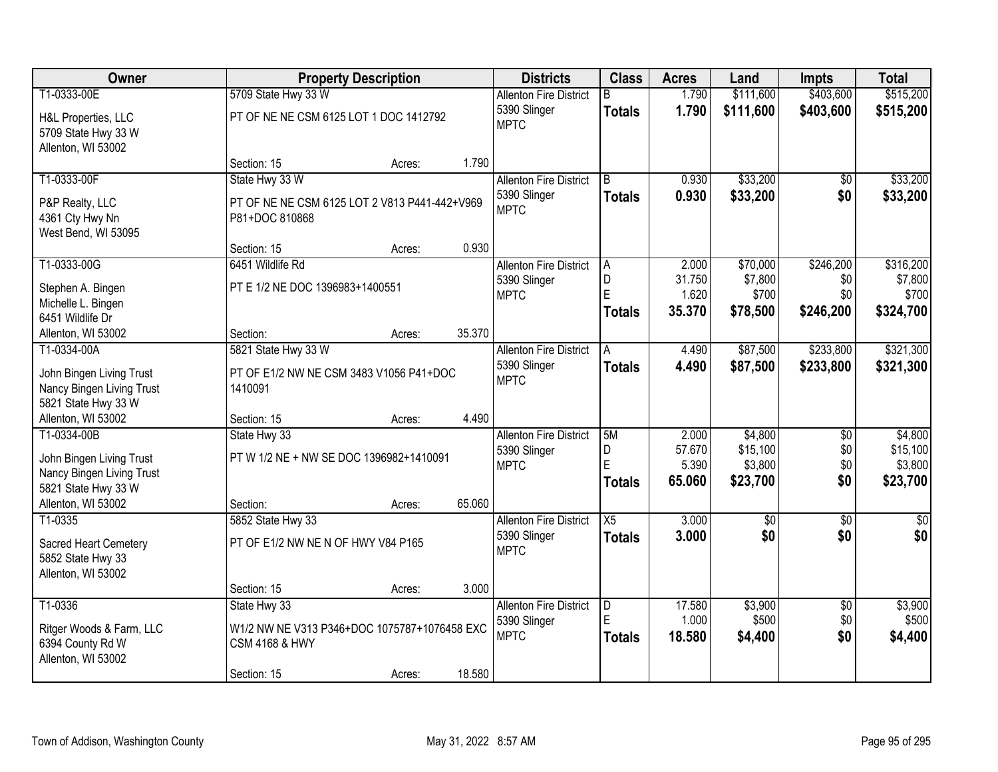| <b>Owner</b>                                                                                                      |                                                                                                          | <b>Property Description</b> |        | <b>Districts</b>                                             | <b>Class</b>                  | <b>Acres</b>                       | Land                                       | <b>Impts</b>                         | <b>Total</b>                               |
|-------------------------------------------------------------------------------------------------------------------|----------------------------------------------------------------------------------------------------------|-----------------------------|--------|--------------------------------------------------------------|-------------------------------|------------------------------------|--------------------------------------------|--------------------------------------|--------------------------------------------|
| T1-0333-00E                                                                                                       | 5709 State Hwy 33 W                                                                                      |                             |        | <b>Allenton Fire District</b>                                | B.                            | 1.790                              | \$111,600                                  | \$403,600                            | \$515,200                                  |
| H&L Properties, LLC<br>5709 State Hwy 33 W<br>Allenton, WI 53002                                                  | PT OF NE NE CSM 6125 LOT 1 DOC 1412792                                                                   |                             |        | 5390 Slinger<br><b>MPTC</b>                                  | <b>Totals</b>                 | 1.790                              | \$111,600                                  | \$403,600                            | \$515,200                                  |
|                                                                                                                   | Section: 15                                                                                              | Acres:                      | 1.790  |                                                              |                               |                                    |                                            |                                      |                                            |
| T1-0333-00F                                                                                                       | State Hwy 33 W                                                                                           |                             |        | <b>Allenton Fire District</b>                                | B                             | 0.930                              | \$33,200                                   | $\overline{50}$                      | \$33,200                                   |
| P&P Realty, LLC<br>4361 Cty Hwy Nn<br>West Bend, WI 53095                                                         | PT OF NE NE CSM 6125 LOT 2 V813 P441-442+V969<br>P81+DOC 810868                                          |                             |        | 5390 Slinger<br><b>MPTC</b>                                  | Totals                        | 0.930                              | \$33,200                                   | \$0                                  | \$33,200                                   |
|                                                                                                                   | Section: 15                                                                                              | Acres:                      | 0.930  |                                                              |                               |                                    |                                            |                                      |                                            |
| T1-0333-00G<br>Stephen A. Bingen<br>Michelle L. Bingen<br>6451 Wildlife Dr                                        | 6451 Wildlife Rd<br>PT E 1/2 NE DOC 1396983+1400551                                                      |                             |        | <b>Allenton Fire District</b><br>5390 Slinger<br><b>MPTC</b> | l A<br>D<br>E<br>Totals       | 2.000<br>31.750<br>1.620<br>35,370 | \$70,000<br>\$7,800<br>\$700<br>\$78,500   | \$246,200<br>\$0<br>\$0<br>\$246,200 | \$316,200<br>\$7,800<br>\$700<br>\$324,700 |
| Allenton, WI 53002                                                                                                | Section:                                                                                                 | Acres:                      | 35.370 |                                                              |                               |                                    |                                            |                                      |                                            |
| T1-0334-00A<br>John Bingen Living Trust<br>Nancy Bingen Living Trust                                              | 5821 State Hwy 33 W<br>PT OF E1/2 NW NE CSM 3483 V1056 P41+DOC<br>1410091                                |                             |        | <b>Allenton Fire District</b><br>5390 Slinger<br><b>MPTC</b> | A<br><b>Totals</b>            | 4.490<br>4.490                     | \$87,500<br>\$87,500                       | \$233,800<br>\$233,800               | \$321,300<br>\$321,300                     |
| 5821 State Hwy 33 W                                                                                               |                                                                                                          |                             |        |                                                              |                               |                                    |                                            |                                      |                                            |
| Allenton, WI 53002                                                                                                | Section: 15                                                                                              | Acres:                      | 4.490  |                                                              |                               |                                    |                                            |                                      |                                            |
| T1-0334-00B<br>John Bingen Living Trust<br>Nancy Bingen Living Trust<br>5821 State Hwy 33 W<br>Allenton, WI 53002 | State Hwy 33<br>PT W 1/2 NE + NW SE DOC 1396982+1410091<br>Section:                                      | Acres:                      | 65.060 | <b>Allenton Fire District</b><br>5390 Slinger<br><b>MPTC</b> | 5M<br>D<br>E<br><b>Totals</b> | 2.000<br>57.670<br>5.390<br>65.060 | \$4,800<br>\$15,100<br>\$3,800<br>\$23,700 | \$0<br>\$0<br>\$0<br>\$0             | \$4,800<br>\$15,100<br>\$3,800<br>\$23,700 |
| T1-0335                                                                                                           | 5852 State Hwy 33                                                                                        |                             |        | <b>Allenton Fire District</b>                                | $\overline{X5}$               | 3.000                              | $\overline{60}$                            | $\overline{50}$                      | $\sqrt{50}$                                |
| Sacred Heart Cemetery<br>5852 State Hwy 33<br>Allenton, WI 53002                                                  | PT OF E1/2 NW NE N OF HWY V84 P165                                                                       |                             |        | 5390 Slinger<br><b>MPTC</b>                                  | <b>Totals</b>                 | 3.000                              | \$0                                        | \$0                                  | \$0                                        |
|                                                                                                                   | Section: 15                                                                                              | Acres:                      | 3.000  |                                                              |                               |                                    |                                            |                                      |                                            |
| T1-0336<br>Ritger Woods & Farm, LLC<br>6394 County Rd W<br>Allenton, WI 53002                                     | State Hwy 33<br>W1/2 NW NE V313 P346+DOC 1075787+1076458 EXC<br><b>CSM 4168 &amp; HWY</b><br>Section: 15 | Acres:                      | 18.580 | <b>Allenton Fire District</b><br>5390 Slinger<br><b>MPTC</b> | D<br>E<br>Totals              | 17.580<br>1.000<br>18.580          | \$3,900<br>\$500<br>\$4,400                | $\overline{30}$<br>\$0<br>\$0        | \$3,900<br>\$500<br>\$4,400                |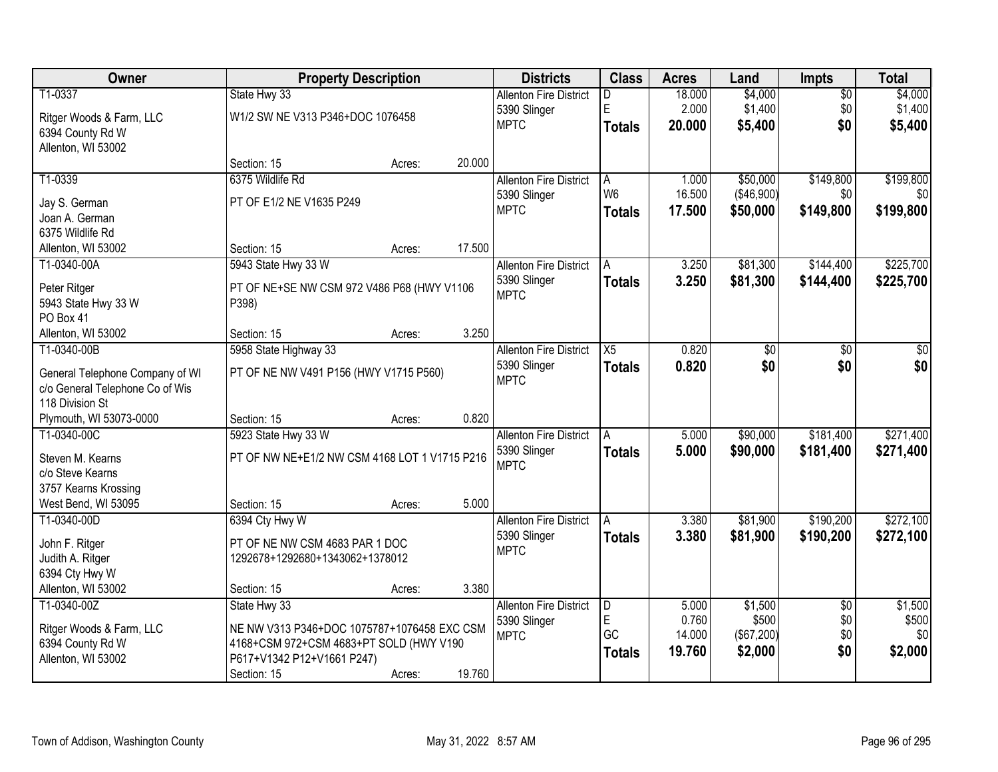| Owner                           |                                               | <b>Property Description</b> |        | <b>Districts</b>              | <b>Class</b>    | <b>Acres</b> | Land       | <b>Impts</b>    | <b>Total</b> |
|---------------------------------|-----------------------------------------------|-----------------------------|--------|-------------------------------|-----------------|--------------|------------|-----------------|--------------|
| T1-0337                         | State Hwy 33                                  |                             |        | <b>Allenton Fire District</b> | D               | 18.000       | \$4,000    | $\overline{50}$ | \$4,000      |
| Ritger Woods & Farm, LLC        | W1/2 SW NE V313 P346+DOC 1076458              |                             |        | 5390 Slinger                  | E               | 2.000        | \$1,400    | \$0             | \$1,400      |
| 6394 County Rd W                |                                               |                             |        | <b>MPTC</b>                   | <b>Totals</b>   | 20.000       | \$5,400    | \$0             | \$5,400      |
| Allenton, WI 53002              |                                               |                             |        |                               |                 |              |            |                 |              |
|                                 | Section: 15                                   | Acres:                      | 20.000 |                               |                 |              |            |                 |              |
| T1-0339                         | 6375 Wildlife Rd                              |                             |        | <b>Allenton Fire District</b> | A               | 1.000        | \$50,000   | \$149,800       | \$199,800    |
| Jay S. German                   | PT OF E1/2 NE V1635 P249                      |                             |        | 5390 Slinger                  | W <sub>6</sub>  | 16.500       | (\$46,900) | \$0             | \$0          |
| Joan A. German                  |                                               |                             |        | <b>MPTC</b>                   | <b>Totals</b>   | 17.500       | \$50,000   | \$149,800       | \$199,800    |
| 6375 Wildlife Rd                |                                               |                             |        |                               |                 |              |            |                 |              |
| Allenton, WI 53002              | Section: 15                                   | Acres:                      | 17.500 |                               |                 |              |            |                 |              |
| T1-0340-00A                     | 5943 State Hwy 33 W                           |                             |        | <b>Allenton Fire District</b> | IA.             | 3.250        | \$81,300   | \$144,400       | \$225,700    |
| Peter Ritger                    | PT OF NE+SE NW CSM 972 V486 P68 (HWY V1106    |                             |        | 5390 Slinger                  | <b>Totals</b>   | 3.250        | \$81,300   | \$144,400       | \$225,700    |
| 5943 State Hwy 33 W             | P398)                                         |                             |        | <b>MPTC</b>                   |                 |              |            |                 |              |
| PO Box 41                       |                                               |                             |        |                               |                 |              |            |                 |              |
| Allenton, WI 53002              | Section: 15                                   | Acres:                      | 3.250  |                               |                 |              |            |                 |              |
| T1-0340-00B                     | 5958 State Highway 33                         |                             |        | <b>Allenton Fire District</b> | $\overline{X5}$ | 0.820        | \$0        | \$0             | \$0          |
| General Telephone Company of WI | PT OF NE NW V491 P156 (HWY V1715 P560)        |                             |        | 5390 Slinger                  | <b>Totals</b>   | 0.820        | \$0        | \$0             | \$0          |
| c/o General Telephone Co of Wis |                                               |                             |        | <b>MPTC</b>                   |                 |              |            |                 |              |
| 118 Division St                 |                                               |                             |        |                               |                 |              |            |                 |              |
| Plymouth, WI 53073-0000         | Section: 15                                   | Acres:                      | 0.820  |                               |                 |              |            |                 |              |
| T1-0340-00C                     | 5923 State Hwy 33 W                           |                             |        | <b>Allenton Fire District</b> | A               | 5.000        | \$90,000   | \$181,400       | \$271,400    |
| Steven M. Kearns                | PT OF NW NE+E1/2 NW CSM 4168 LOT 1 V1715 P216 |                             |        | 5390 Slinger                  | <b>Totals</b>   | 5.000        | \$90,000   | \$181,400       | \$271,400    |
| c/o Steve Kearns                |                                               |                             |        | <b>MPTC</b>                   |                 |              |            |                 |              |
| 3757 Kearns Krossing            |                                               |                             |        |                               |                 |              |            |                 |              |
| West Bend, WI 53095             | Section: 15                                   | Acres:                      | 5.000  |                               |                 |              |            |                 |              |
| T1-0340-00D                     | 6394 Cty Hwy W                                |                             |        | <b>Allenton Fire District</b> | A               | 3.380        | \$81,900   | \$190,200       | \$272,100    |
| John F. Ritger                  | PT OF NE NW CSM 4683 PAR 1 DOC                |                             |        | 5390 Slinger                  | <b>Totals</b>   | 3.380        | \$81,900   | \$190,200       | \$272,100    |
| Judith A. Ritger                | 1292678+1292680+1343062+1378012               |                             |        | <b>MPTC</b>                   |                 |              |            |                 |              |
| 6394 Cty Hwy W                  |                                               |                             |        |                               |                 |              |            |                 |              |
| Allenton, WI 53002              | Section: 15                                   | Acres:                      | 3.380  |                               |                 |              |            |                 |              |
| T1-0340-00Z                     | State Hwy 33                                  |                             |        | <b>Allenton Fire District</b> | D               | 5.000        | \$1,500    | $\overline{50}$ | \$1,500      |
| Ritger Woods & Farm, LLC        | NE NW V313 P346+DOC 1075787+1076458 EXC CSM   |                             |        | 5390 Slinger                  | $\mathsf E$     | 0.760        | \$500      | \$0             | \$500        |
| 6394 County Rd W                | 4168+CSM 972+CSM 4683+PT SOLD (HWY V190       |                             |        | <b>MPTC</b>                   | <b>GC</b>       | 14.000       | (\$67,200) | \$0             | \$0          |
| Allenton, WI 53002              | P617+V1342 P12+V1661 P247)                    |                             |        |                               | <b>Totals</b>   | 19.760       | \$2,000    | \$0             | \$2,000      |
|                                 | Section: 15                                   | Acres:                      | 19.760 |                               |                 |              |            |                 |              |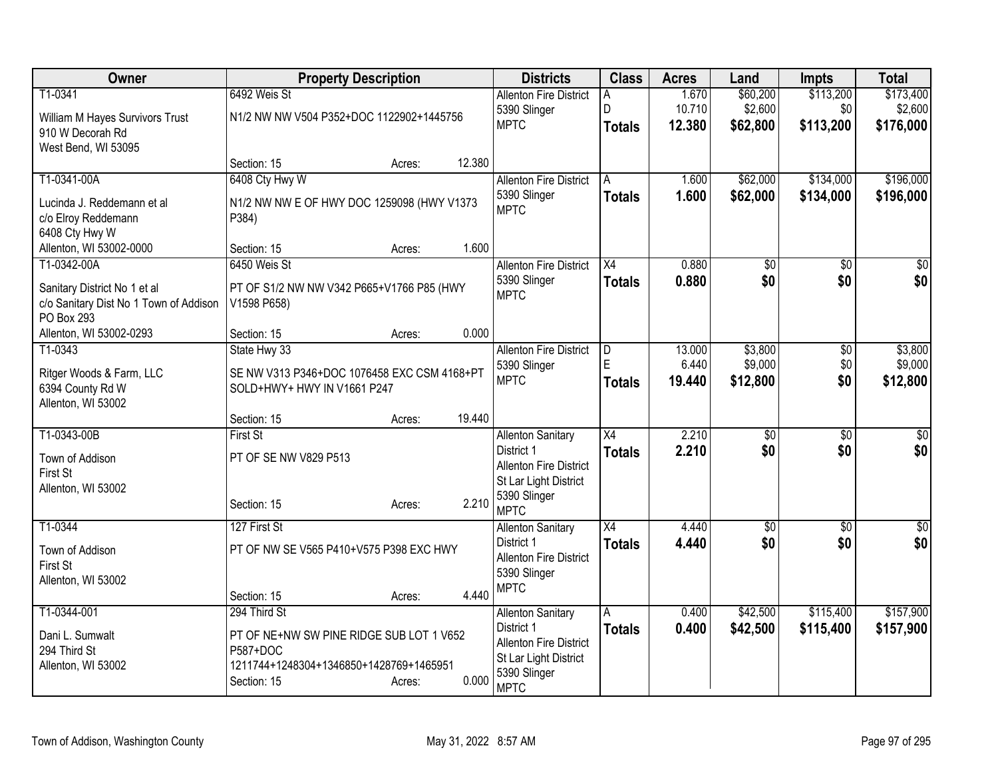| Owner                                               | <b>Property Description</b>                 | <b>Districts</b>                                       | <b>Class</b>        | <b>Acres</b>    | Land                   | <b>Impts</b>           | <b>Total</b>         |
|-----------------------------------------------------|---------------------------------------------|--------------------------------------------------------|---------------------|-----------------|------------------------|------------------------|----------------------|
| T1-0341                                             | 6492 Weis St                                | <b>Allenton Fire District</b><br>5390 Slinger          | A<br>D              | 1.670<br>10.710 | \$60,200<br>\$2,600    | \$113,200<br>\$0       | \$173,400<br>\$2,600 |
| William M Hayes Survivors Trust<br>910 W Decorah Rd | N1/2 NW NW V504 P352+DOC 1122902+1445756    | <b>MPTC</b>                                            | <b>Totals</b>       | 12.380          | \$62,800               | \$113,200              | \$176,000            |
| West Bend, WI 53095                                 |                                             |                                                        |                     |                 |                        |                        |                      |
|                                                     | 12.380<br>Section: 15<br>Acres:             |                                                        |                     |                 |                        |                        |                      |
| T1-0341-00A                                         | 6408 Cty Hwy W                              | <b>Allenton Fire District</b>                          | l A                 | 1.600           | \$62,000               | \$134,000              | \$196,000            |
| Lucinda J. Reddemann et al                          | N1/2 NW NW E OF HWY DOC 1259098 (HWY V1373  | 5390 Slinger<br><b>MPTC</b>                            | <b>Totals</b>       | 1.600           | \$62,000               | \$134,000              | \$196,000            |
| c/o Elroy Reddemann                                 | P384)                                       |                                                        |                     |                 |                        |                        |                      |
| 6408 Cty Hwy W<br>Allenton, WI 53002-0000           | 1.600<br>Section: 15<br>Acres:              |                                                        |                     |                 |                        |                        |                      |
| T1-0342-00A                                         | 6450 Weis St                                | <b>Allenton Fire District</b>                          | X4                  | 0.880           | \$0                    | \$0                    | \$0                  |
| Sanitary District No 1 et al                        | PT OF S1/2 NW NW V342 P665+V1766 P85 (HWY   | 5390 Slinger                                           | <b>Totals</b>       | 0.880           | \$0                    | \$0                    | \$0                  |
| c/o Sanitary Dist No 1 Town of Addison              | V1598 P658)                                 | <b>MPTC</b>                                            |                     |                 |                        |                        |                      |
| PO Box 293                                          |                                             |                                                        |                     |                 |                        |                        |                      |
| Allenton, WI 53002-0293                             | 0.000<br>Section: 15<br>Acres:              |                                                        |                     |                 |                        |                        |                      |
| T1-0343                                             | State Hwy 33                                | <b>Allenton Fire District</b><br>5390 Slinger          | $\overline{D}$<br>E | 13.000<br>6.440 | \$3,800<br>\$9,000     | \$0<br>\$0             | \$3,800<br>\$9,000   |
| Ritger Woods & Farm, LLC                            | SE NW V313 P346+DOC 1076458 EXC CSM 4168+PT | <b>MPTC</b>                                            | <b>Totals</b>       | 19.440          | \$12,800               | \$0                    | \$12,800             |
| 6394 County Rd W<br>Allenton, WI 53002              | SOLD+HWY+ HWY IN V1661 P247                 |                                                        |                     |                 |                        |                        |                      |
|                                                     | 19.440<br>Section: 15<br>Acres:             |                                                        |                     |                 |                        |                        |                      |
| T1-0343-00B                                         | <b>First St</b>                             | <b>Allenton Sanitary</b>                               | $\overline{X4}$     | 2.210           | $\overline{50}$        | $\overline{50}$        | $\overline{30}$      |
| Town of Addison                                     | PT OF SE NW V829 P513                       | District 1                                             | <b>Totals</b>       | 2.210           | \$0                    | \$0                    | \$0                  |
| First St                                            |                                             | <b>Allenton Fire District</b><br>St Lar Light District |                     |                 |                        |                        |                      |
| Allenton, WI 53002                                  | 2.210                                       | 5390 Slinger                                           |                     |                 |                        |                        |                      |
|                                                     | Section: 15<br>Acres:                       | <b>MPTC</b>                                            |                     |                 |                        |                        |                      |
| T1-0344                                             | 127 First St                                | <b>Allenton Sanitary</b><br>District 1                 | X4                  | 4.440<br>4.440  | $\overline{50}$<br>\$0 | $\overline{50}$<br>\$0 | $\sqrt{50}$          |
| Town of Addison                                     | PT OF NW SE V565 P410+V575 P398 EXC HWY     | <b>Allenton Fire District</b>                          | <b>Totals</b>       |                 |                        |                        | \$0                  |
| First St<br>Allenton, WI 53002                      |                                             | 5390 Slinger                                           |                     |                 |                        |                        |                      |
|                                                     | 4.440<br>Section: 15<br>Acres:              | <b>MPTC</b>                                            |                     |                 |                        |                        |                      |
| T1-0344-001                                         | 294 Third St                                | <b>Allenton Sanitary</b>                               | A                   | 0.400           | \$42,500               | \$115,400              | \$157,900            |
| Dani L. Sumwalt                                     | PT OF NE+NW SW PINE RIDGE SUB LOT 1 V652    | District 1                                             | <b>Totals</b>       | 0.400           | \$42,500               | \$115,400              | \$157,900            |
| 294 Third St                                        | P587+DOC                                    | <b>Allenton Fire District</b><br>St Lar Light District |                     |                 |                        |                        |                      |
| Allenton, WI 53002                                  | 1211744+1248304+1346850+1428769+1465951     | 5390 Slinger                                           |                     |                 |                        |                        |                      |
|                                                     | 0.000<br>Section: 15<br>Acres:              | <b>MPTC</b>                                            |                     |                 |                        |                        |                      |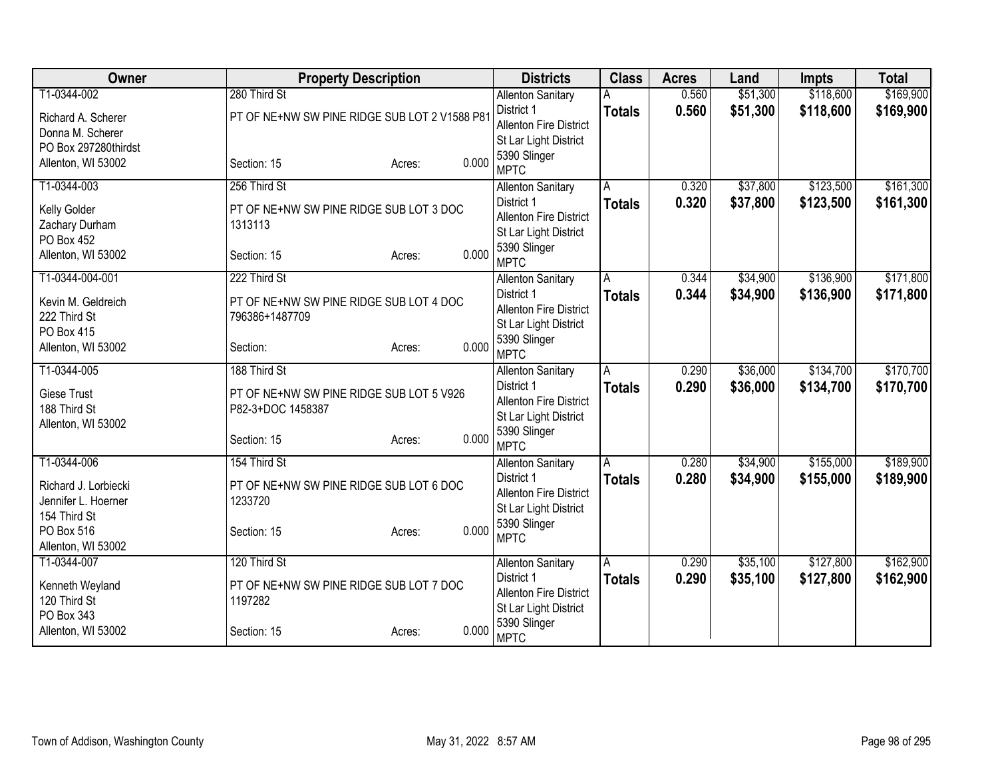| Owner                               | <b>Property Description</b>                   |                 | <b>Districts</b>                      | <b>Class</b>  | <b>Acres</b> | Land     | Impts     | <b>Total</b> |
|-------------------------------------|-----------------------------------------------|-----------------|---------------------------------------|---------------|--------------|----------|-----------|--------------|
| T1-0344-002                         | 280 Third St                                  |                 | <b>Allenton Sanitary</b>              |               | 0.560        | \$51,300 | \$118,600 | \$169,900    |
| Richard A. Scherer                  | PT OF NE+NW SW PINE RIDGE SUB LOT 2 V1588 P81 |                 | District 1                            | <b>Totals</b> | 0.560        | \$51,300 | \$118,600 | \$169,900    |
| Donna M. Scherer                    |                                               |                 | <b>Allenton Fire District</b>         |               |              |          |           |              |
| PO Box 297280thirdst                |                                               |                 | St Lar Light District                 |               |              |          |           |              |
| Allenton, WI 53002                  | Section: 15                                   | 0.000<br>Acres: | 5390 Slinger<br><b>MPTC</b>           |               |              |          |           |              |
| T1-0344-003                         | 256 Third St                                  |                 | <b>Allenton Sanitary</b>              | A             | 0.320        | \$37,800 | \$123,500 | \$161,300    |
| Kelly Golder                        | PT OF NE+NW SW PINE RIDGE SUB LOT 3 DOC       |                 | District 1                            | <b>Totals</b> | 0.320        | \$37,800 | \$123,500 | \$161,300    |
| Zachary Durham                      | 1313113                                       |                 | <b>Allenton Fire District</b>         |               |              |          |           |              |
| PO Box 452                          |                                               |                 | St Lar Light District                 |               |              |          |           |              |
| Allenton, WI 53002                  | Section: 15                                   | 0.000<br>Acres: | 5390 Slinger<br><b>MPTC</b>           |               |              |          |           |              |
| T1-0344-004-001                     | 222 Third St                                  |                 | <b>Allenton Sanitary</b>              | A             | 0.344        | \$34,900 | \$136,900 | \$171,800    |
|                                     |                                               |                 | District 1                            | <b>Totals</b> | 0.344        | \$34,900 | \$136,900 | \$171,800    |
| Kevin M. Geldreich<br>222 Third St  | PT OF NE+NW SW PINE RIDGE SUB LOT 4 DOC       |                 | <b>Allenton Fire District</b>         |               |              |          |           |              |
| PO Box 415                          | 796386+1487709                                |                 | St Lar Light District                 |               |              |          |           |              |
| Allenton, WI 53002                  | Section:                                      | 0.000<br>Acres: | 5390 Slinger                          |               |              |          |           |              |
|                                     |                                               |                 | <b>MPTC</b>                           |               |              |          |           |              |
| T1-0344-005                         | 188 Third St                                  |                 | <b>Allenton Sanitary</b>              | A             | 0.290        | \$36,000 | \$134,700 | \$170,700    |
| Giese Trust                         | PT OF NE+NW SW PINE RIDGE SUB LOT 5 V926      |                 | District 1                            | <b>Totals</b> | 0.290        | \$36,000 | \$134,700 | \$170,700    |
| 188 Third St                        | P82-3+DOC 1458387                             |                 | <b>Allenton Fire District</b>         |               |              |          |           |              |
| Allenton, WI 53002                  |                                               |                 | St Lar Light District<br>5390 Slinger |               |              |          |           |              |
|                                     | Section: 15<br>Acres:                         | 0.000           | <b>MPTC</b>                           |               |              |          |           |              |
| T1-0344-006                         | 154 Third St                                  |                 | <b>Allenton Sanitary</b>              | A             | 0.280        | \$34,900 | \$155,000 | \$189,900    |
|                                     |                                               |                 | District 1                            | <b>Totals</b> | 0.280        | \$34,900 | \$155,000 | \$189,900    |
| Richard J. Lorbiecki                | PT OF NE+NW SW PINE RIDGE SUB LOT 6 DOC       |                 | <b>Allenton Fire District</b>         |               |              |          |           |              |
| Jennifer L. Hoerner<br>154 Third St | 1233720                                       |                 | St Lar Light District                 |               |              |          |           |              |
| PO Box 516                          | Section: 15                                   | 0.000           | 5390 Slinger                          |               |              |          |           |              |
| Allenton, WI 53002                  |                                               | Acres:          | <b>MPTC</b>                           |               |              |          |           |              |
| T1-0344-007                         | 120 Third St                                  |                 | <b>Allenton Sanitary</b>              | Α             | 0.290        | \$35,100 | \$127,800 | \$162,900    |
|                                     |                                               |                 | District 1                            | <b>Totals</b> | 0.290        | \$35,100 | \$127,800 | \$162,900    |
| Kenneth Weyland                     | PT OF NE+NW SW PINE RIDGE SUB LOT 7 DOC       |                 | <b>Allenton Fire District</b>         |               |              |          |           |              |
| 120 Third St                        | 1197282                                       |                 | St Lar Light District                 |               |              |          |           |              |
| PO Box 343                          |                                               |                 | 5390 Slinger                          |               |              |          |           |              |
| Allenton, WI 53002                  | Section: 15<br>Acres:                         | 0.000           | <b>MPTC</b>                           |               |              |          |           |              |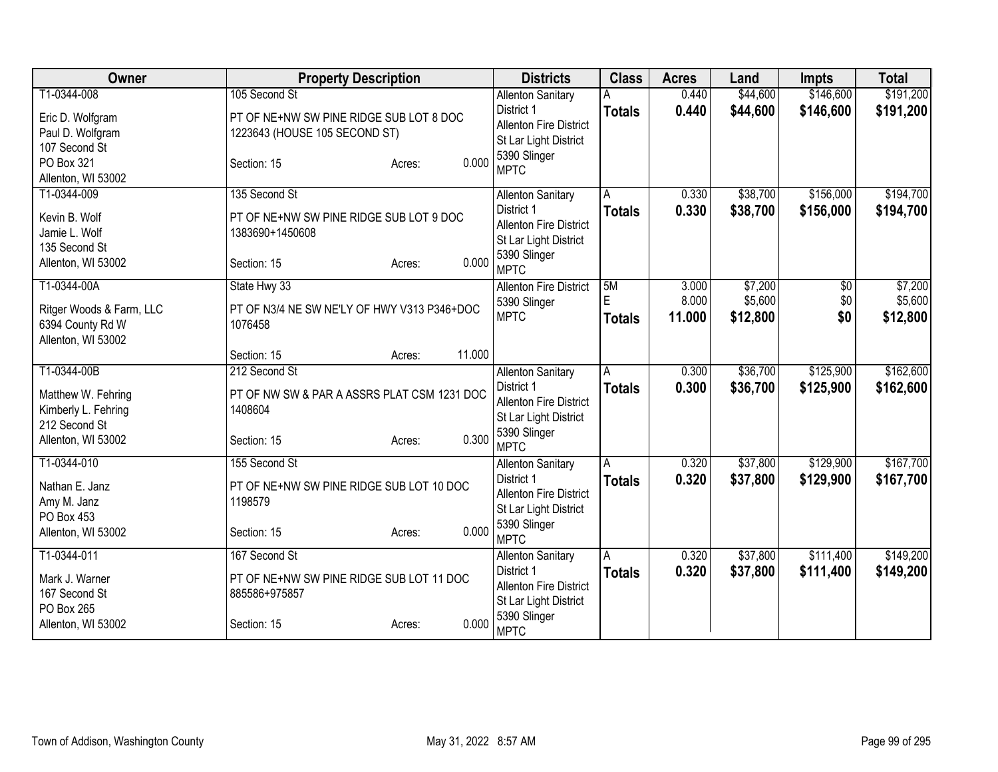| Owner                                | <b>Property Description</b>                 | <b>Districts</b>                            | <b>Class</b>   | <b>Acres</b>   | Land                 | <b>Impts</b>           | <b>Total</b>           |
|--------------------------------------|---------------------------------------------|---------------------------------------------|----------------|----------------|----------------------|------------------------|------------------------|
| T1-0344-008                          | 105 Second St                               | <b>Allenton Sanitary</b>                    |                | 0.440          | \$44,600             | \$146,600              | \$191,200              |
| Eric D. Wolfgram                     | PT OF NE+NW SW PINE RIDGE SUB LOT 8 DOC     | District 1<br><b>Allenton Fire District</b> | <b>Totals</b>  | 0.440          | \$44,600             | \$146,600              | \$191,200              |
| Paul D. Wolfgram                     | 1223643 (HOUSE 105 SECOND ST)               | St Lar Light District                       |                |                |                      |                        |                        |
| 107 Second St                        |                                             | 5390 Slinger                                |                |                |                      |                        |                        |
| PO Box 321<br>Allenton, WI 53002     | 0.000<br>Section: 15<br>Acres:              | <b>MPTC</b>                                 |                |                |                      |                        |                        |
| T1-0344-009                          | 135 Second St                               | <b>Allenton Sanitary</b>                    | A              | 0.330          | \$38,700             | \$156,000              | \$194,700              |
| Kevin B. Wolf                        | PT OF NE+NW SW PINE RIDGE SUB LOT 9 DOC     | District 1                                  | <b>Totals</b>  | 0.330          | \$38,700             | \$156,000              | \$194,700              |
| Jamie L. Wolf                        | 1383690+1450608                             | <b>Allenton Fire District</b>               |                |                |                      |                        |                        |
| 135 Second St                        |                                             | St Lar Light District                       |                |                |                      |                        |                        |
| Allenton, WI 53002                   | 0.000<br>Section: 15<br>Acres:              | 5390 Slinger<br><b>MPTC</b>                 |                |                |                      |                        |                        |
| T1-0344-00A                          | State Hwy 33                                | <b>Allenton Fire District</b>               | 5M             | 3.000          | \$7,200              | $\overline{50}$        | \$7,200                |
| Ritger Woods & Farm, LLC             | PT OF N3/4 NE SW NE'LY OF HWY V313 P346+DOC | 5390 Slinger                                | E              | 8.000          | \$5,600              | \$0                    | \$5,600                |
| 6394 County Rd W                     | 1076458                                     | <b>MPTC</b>                                 | <b>Totals</b>  | 11.000         | \$12,800             | \$0                    | \$12,800               |
| Allenton, WI 53002                   |                                             |                                             |                |                |                      |                        |                        |
|                                      | 11.000<br>Section: 15<br>Acres:             |                                             |                |                |                      |                        |                        |
| T1-0344-00B                          | 212 Second St                               | <b>Allenton Sanitary</b><br>District 1      | $\overline{A}$ | 0.300<br>0.300 | \$36,700<br>\$36,700 | \$125,900<br>\$125,900 | \$162,600<br>\$162,600 |
| Matthew W. Fehring                   | PT OF NW SW & PAR A ASSRS PLAT CSM 1231 DOC | <b>Allenton Fire District</b>               | <b>Totals</b>  |                |                      |                        |                        |
| Kimberly L. Fehring<br>212 Second St | 1408604                                     | St Lar Light District                       |                |                |                      |                        |                        |
| Allenton, WI 53002                   | 0.300<br>Section: 15<br>Acres:              | 5390 Slinger                                |                |                |                      |                        |                        |
|                                      |                                             | <b>MPTC</b>                                 |                |                |                      |                        |                        |
| T1-0344-010                          | 155 Second St                               | <b>Allenton Sanitary</b><br>District 1      | A              | 0.320<br>0.320 | \$37,800<br>\$37,800 | \$129,900<br>\$129,900 | \$167,700<br>\$167,700 |
| Nathan E. Janz                       | PT OF NE+NW SW PINE RIDGE SUB LOT 10 DOC    | <b>Allenton Fire District</b>               | <b>Totals</b>  |                |                      |                        |                        |
| Amy M. Janz<br>PO Box 453            | 1198579                                     | St Lar Light District                       |                |                |                      |                        |                        |
| Allenton, WI 53002                   | 0.000<br>Section: 15<br>Acres:              | 5390 Slinger                                |                |                |                      |                        |                        |
|                                      |                                             | <b>MPTC</b>                                 |                |                |                      |                        |                        |
| T1-0344-011                          | 167 Second St                               | <b>Allenton Sanitary</b><br>District 1      | A              | 0.320          | \$37,800             | \$111,400              | \$149,200              |
| Mark J. Warner                       | PT OF NE+NW SW PINE RIDGE SUB LOT 11 DOC    | <b>Allenton Fire District</b>               | <b>Totals</b>  | 0.320          | \$37,800             | \$111,400              | \$149,200              |
| 167 Second St                        | 885586+975857                               | St Lar Light District                       |                |                |                      |                        |                        |
| PO Box 265<br>Allenton, WI 53002     | 0.000<br>Section: 15<br>Acres:              | 5390 Slinger                                |                |                |                      |                        |                        |
|                                      |                                             | <b>MPTC</b>                                 |                |                |                      |                        |                        |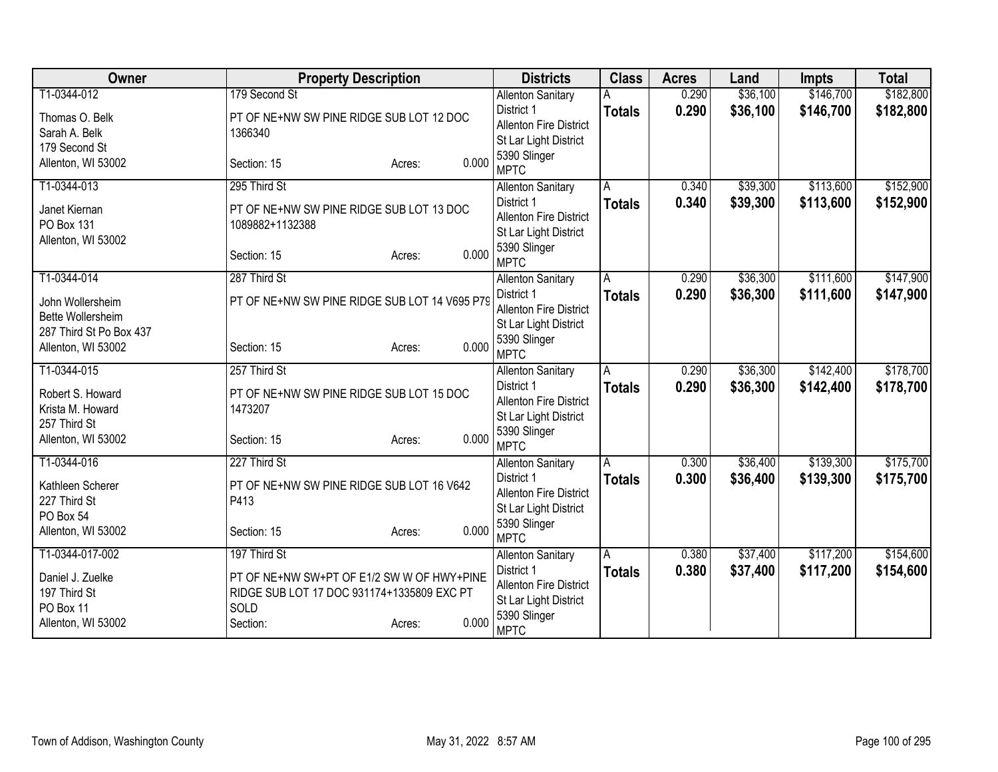| Owner                   | <b>Property Description</b>                   |                 | <b>Districts</b>                            | <b>Class</b>  | <b>Acres</b> | Land     | <b>Impts</b> | <b>Total</b> |
|-------------------------|-----------------------------------------------|-----------------|---------------------------------------------|---------------|--------------|----------|--------------|--------------|
| T1-0344-012             | 179 Second St                                 |                 | <b>Allenton Sanitary</b>                    |               | 0.290        | \$36,100 | \$146,700    | \$182,800    |
| Thomas O. Belk          | PT OF NE+NW SW PINE RIDGE SUB LOT 12 DOC      |                 | District 1                                  | <b>Totals</b> | 0.290        | \$36,100 | \$146,700    | \$182,800    |
| Sarah A. Belk           | 1366340                                       |                 | <b>Allenton Fire District</b>               |               |              |          |              |              |
| 179 Second St           |                                               |                 | St Lar Light District                       |               |              |          |              |              |
| Allenton, WI 53002      | Section: 15                                   | 0.000<br>Acres: | 5390 Slinger                                |               |              |          |              |              |
|                         |                                               |                 | <b>MPTC</b>                                 |               |              |          |              |              |
| T1-0344-013             | 295 Third St                                  |                 | <b>Allenton Sanitary</b>                    | A             | 0.340        | \$39,300 | \$113,600    | \$152,900    |
| Janet Kiernan           | PT OF NE+NW SW PINE RIDGE SUB LOT 13 DOC      |                 | District 1<br><b>Allenton Fire District</b> | <b>Totals</b> | 0.340        | \$39,300 | \$113,600    | \$152,900    |
| PO Box 131              | 1089882+1132388                               |                 | St Lar Light District                       |               |              |          |              |              |
| Allenton, WI 53002      |                                               |                 | 5390 Slinger                                |               |              |          |              |              |
|                         | Section: 15                                   | 0.000<br>Acres: | <b>MPTC</b>                                 |               |              |          |              |              |
| T1-0344-014             | 287 Third St                                  |                 | <b>Allenton Sanitary</b>                    | A             | 0.290        | \$36,300 | \$111,600    | \$147,900    |
|                         |                                               |                 | District 1                                  | <b>Totals</b> | 0.290        | \$36,300 | \$111,600    | \$147,900    |
| John Wollersheim        | PT OF NE+NW SW PINE RIDGE SUB LOT 14 V695 P79 |                 | <b>Allenton Fire District</b>               |               |              |          |              |              |
| Bette Wollersheim       |                                               |                 | St Lar Light District                       |               |              |          |              |              |
| 287 Third St Po Box 437 |                                               |                 | 5390 Slinger                                |               |              |          |              |              |
| Allenton, WI 53002      | Section: 15                                   | 0.000<br>Acres: | <b>MPTC</b>                                 |               |              |          |              |              |
| T1-0344-015             | 257 Third St                                  |                 | <b>Allenton Sanitary</b>                    | A             | 0.290        | \$36,300 | \$142,400    | \$178,700    |
| Robert S. Howard        | PT OF NE+NW SW PINE RIDGE SUB LOT 15 DOC      |                 | District 1                                  | <b>Totals</b> | 0.290        | \$36,300 | \$142,400    | \$178,700    |
| Krista M. Howard        | 1473207                                       |                 | <b>Allenton Fire District</b>               |               |              |          |              |              |
| 257 Third St            |                                               |                 | St Lar Light District                       |               |              |          |              |              |
| Allenton, WI 53002      | Section: 15                                   | 0.000<br>Acres: | 5390 Slinger                                |               |              |          |              |              |
|                         |                                               |                 | <b>MPTC</b>                                 |               |              |          |              |              |
| T1-0344-016             | 227 Third St                                  |                 | <b>Allenton Sanitary</b>                    | А             | 0.300        | \$36,400 | \$139,300    | \$175,700    |
| Kathleen Scherer        | PT OF NE+NW SW PINE RIDGE SUB LOT 16 V642     |                 | District 1                                  | <b>Totals</b> | 0.300        | \$36,400 | \$139,300    | \$175,700    |
| 227 Third St            | P413                                          |                 | <b>Allenton Fire District</b>               |               |              |          |              |              |
| PO Box 54               |                                               |                 | St Lar Light District                       |               |              |          |              |              |
| Allenton, WI 53002      | Section: 15                                   | 0.000<br>Acres: | 5390 Slinger<br><b>MPTC</b>                 |               |              |          |              |              |
| T1-0344-017-002         | 197 Third St                                  |                 | <b>Allenton Sanitary</b>                    | A             | 0.380        | \$37,400 | \$117,200    | \$154,600    |
|                         |                                               |                 | District 1                                  | <b>Totals</b> | 0.380        | \$37,400 | \$117,200    | \$154,600    |
| Daniel J. Zuelke        | PT OF NE+NW SW+PT OF E1/2 SW W OF HWY+PINE    |                 | <b>Allenton Fire District</b>               |               |              |          |              |              |
| 197 Third St            | RIDGE SUB LOT 17 DOC 931174+1335809 EXC PT    |                 | St Lar Light District                       |               |              |          |              |              |
| PO Box 11               | SOLD                                          |                 | 5390 Slinger                                |               |              |          |              |              |
| Allenton, WI 53002      | Section:                                      | 0.000<br>Acres: | <b>MPTC</b>                                 |               |              |          |              |              |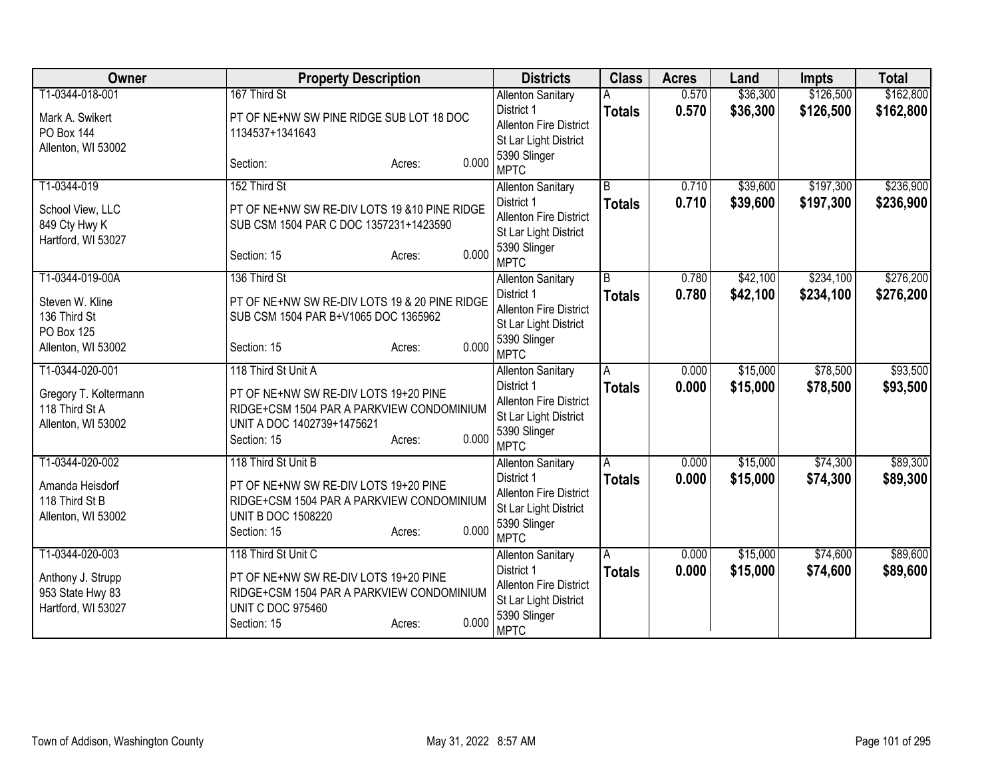| Owner                                                         | <b>Property Description</b>                                                                                                                        | <b>Districts</b>                                                                                    | <b>Class</b>   | <b>Acres</b> | Land     | <b>Impts</b> | <b>Total</b> |
|---------------------------------------------------------------|----------------------------------------------------------------------------------------------------------------------------------------------------|-----------------------------------------------------------------------------------------------------|----------------|--------------|----------|--------------|--------------|
| T1-0344-018-001                                               | 167 Third St                                                                                                                                       | <b>Allenton Sanitary</b>                                                                            |                | 0.570        | \$36,300 | \$126,500    | \$162,800    |
| Mark A. Swikert<br><b>PO Box 144</b><br>Allenton, WI 53002    | PT OF NE+NW SW PINE RIDGE SUB LOT 18 DOC<br>1134537+1341643                                                                                        | District 1<br><b>Allenton Fire District</b><br>St Lar Light District                                | <b>Totals</b>  | 0.570        | \$36,300 | \$126,500    | \$162,800    |
|                                                               | 0.000<br>Section:<br>Acres:                                                                                                                        | 5390 Slinger<br><b>MPTC</b>                                                                         |                |              |          |              |              |
| T1-0344-019                                                   | 152 Third St                                                                                                                                       | <b>Allenton Sanitary</b>                                                                            | $\overline{B}$ | 0.710        | \$39,600 | \$197,300    | \$236,900    |
| School View, LLC<br>849 Cty Hwy K<br>Hartford, WI 53027       | PT OF NE+NW SW RE-DIV LOTS 19 & 10 PINE RIDGE<br>SUB CSM 1504 PAR C DOC 1357231+1423590                                                            | District 1<br>Allenton Fire District<br>St Lar Light District                                       | <b>Totals</b>  | 0.710        | \$39,600 | \$197,300    | \$236,900    |
|                                                               | 0.000<br>Section: 15<br>Acres:                                                                                                                     | 5390 Slinger<br><b>MPTC</b>                                                                         |                |              |          |              |              |
| T1-0344-019-00A                                               | 136 Third St                                                                                                                                       | <b>Allenton Sanitary</b>                                                                            | $\overline{B}$ | 0.780        | \$42,100 | \$234,100    | \$276,200    |
| Steven W. Kline<br>136 Third St<br>PO Box 125                 | PT OF NE+NW SW RE-DIV LOTS 19 & 20 PINE RIDGE<br>SUB CSM 1504 PAR B+V1065 DOC 1365962                                                              | District 1<br><b>Allenton Fire District</b><br>St Lar Light District                                | <b>Totals</b>  | 0.780        | \$42,100 | \$234,100    | \$276,200    |
| Allenton, WI 53002                                            | 0.000<br>Section: 15<br>Acres:                                                                                                                     | 5390 Slinger<br><b>MPTC</b>                                                                         |                |              |          |              |              |
| T1-0344-020-001                                               | 118 Third St Unit A                                                                                                                                | <b>Allenton Sanitary</b>                                                                            | A              | 0.000        | \$15,000 | \$78,500     | \$93,500     |
| Gregory T. Koltermann<br>118 Third St A<br>Allenton, WI 53002 | PT OF NE+NW SW RE-DIV LOTS 19+20 PINE<br>RIDGE+CSM 1504 PAR A PARKVIEW CONDOMINIUM<br>UNIT A DOC 1402739+1475621<br>0.000<br>Section: 15<br>Acres: | District 1<br><b>Allenton Fire District</b><br>St Lar Light District<br>5390 Slinger<br><b>MPTC</b> | <b>Totals</b>  | 0.000        | \$15,000 | \$78,500     | \$93,500     |
| T1-0344-020-002                                               | 118 Third St Unit B                                                                                                                                | <b>Allenton Sanitary</b>                                                                            | А              | 0.000        | \$15,000 | \$74,300     | \$89,300     |
| Amanda Heisdorf<br>118 Third St B<br>Allenton, WI 53002       | PT OF NE+NW SW RE-DIV LOTS 19+20 PINE<br>RIDGE+CSM 1504 PAR A PARKVIEW CONDOMINIUM<br><b>UNIT B DOC 1508220</b><br>0.000<br>Section: 15<br>Acres:  | District 1<br>Allenton Fire District<br>St Lar Light District<br>5390 Slinger<br><b>MPTC</b>        | <b>Totals</b>  | 0.000        | \$15,000 | \$74,300     | \$89,300     |
| T1-0344-020-003                                               | 118 Third St Unit C                                                                                                                                | <b>Allenton Sanitary</b>                                                                            | A              | 0.000        | \$15,000 | \$74,600     | \$89,600     |
| Anthony J. Strupp<br>953 State Hwy 83<br>Hartford, WI 53027   | PT OF NE+NW SW RE-DIV LOTS 19+20 PINE<br>RIDGE+CSM 1504 PAR A PARKVIEW CONDOMINIUM<br><b>UNIT C DOC 975460</b><br>0.000<br>Section: 15<br>Acres:   | District 1<br><b>Allenton Fire District</b><br>St Lar Light District<br>5390 Slinger<br><b>MPTC</b> | <b>Totals</b>  | 0.000        | \$15,000 | \$74,600     | \$89,600     |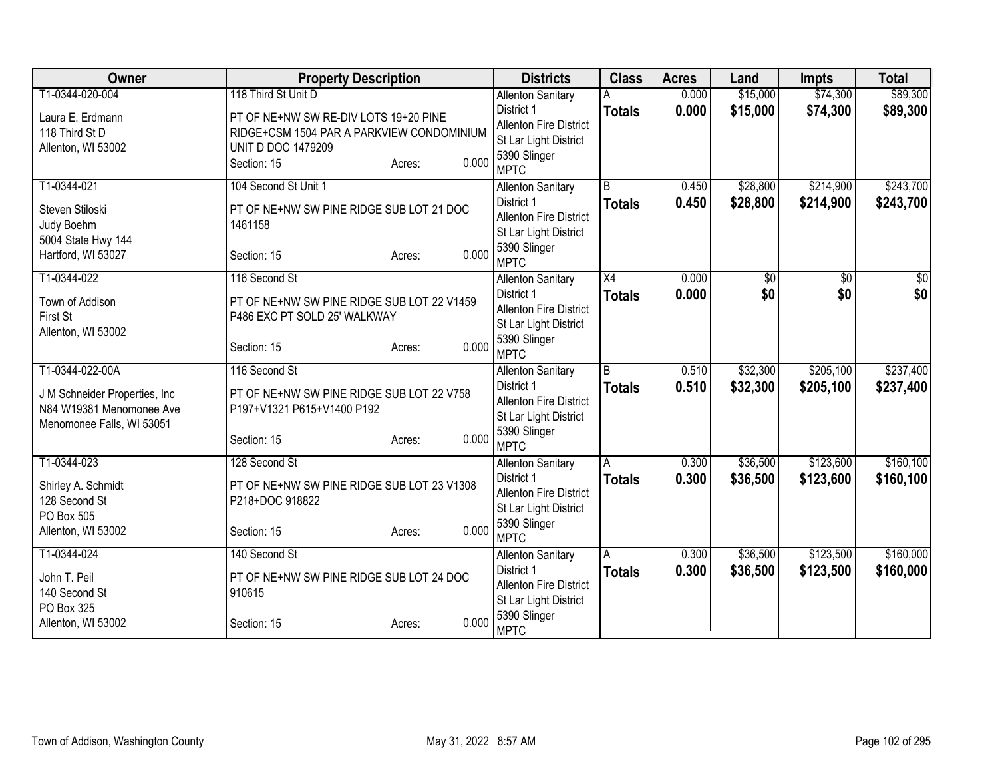| Owner                            | <b>Property Description</b>                |                 | <b>Districts</b>                       | <b>Class</b>    | <b>Acres</b> | Land            | <b>Impts</b> | <b>Total</b>    |
|----------------------------------|--------------------------------------------|-----------------|----------------------------------------|-----------------|--------------|-----------------|--------------|-----------------|
| T1-0344-020-004                  | 118 Third St Unit D                        |                 | <b>Allenton Sanitary</b>               |                 | 0.000        | \$15,000        | \$74,300     | \$89,300        |
| Laura E. Erdmann                 | PT OF NE+NW SW RE-DIV LOTS 19+20 PINE      |                 | District 1                             | <b>Totals</b>   | 0.000        | \$15,000        | \$74,300     | \$89,300        |
| 118 Third St D                   | RIDGE+CSM 1504 PAR A PARKVIEW CONDOMINIUM  |                 | Allenton Fire District                 |                 |              |                 |              |                 |
| Allenton, WI 53002               | <b>UNIT D DOC 1479209</b>                  |                 | St Lar Light District                  |                 |              |                 |              |                 |
|                                  | Section: 15                                | 0.000<br>Acres: | 5390 Slinger<br><b>MPTC</b>            |                 |              |                 |              |                 |
| T1-0344-021                      | 104 Second St Unit 1                       |                 |                                        | $\overline{B}$  | 0.450        | \$28,800        | \$214,900    | \$243,700       |
|                                  |                                            |                 | <b>Allenton Sanitary</b><br>District 1 |                 | 0.450        | \$28,800        |              |                 |
| Steven Stiloski                  | PT OF NE+NW SW PINE RIDGE SUB LOT 21 DOC   |                 | <b>Allenton Fire District</b>          | <b>Totals</b>   |              |                 | \$214,900    | \$243,700       |
| Judy Boehm                       | 1461158                                    |                 | St Lar Light District                  |                 |              |                 |              |                 |
| 5004 State Hwy 144               |                                            |                 | 5390 Slinger                           |                 |              |                 |              |                 |
| Hartford, WI 53027               | Section: 15                                | 0.000<br>Acres: | <b>MPTC</b>                            |                 |              |                 |              |                 |
| T1-0344-022                      | 116 Second St                              |                 | <b>Allenton Sanitary</b>               | $\overline{X4}$ | 0.000        | $\overline{30}$ | \$0          | $\overline{50}$ |
| Town of Addison                  | PT OF NE+NW SW PINE RIDGE SUB LOT 22 V1459 |                 | District 1                             | <b>Totals</b>   | 0.000        | \$0             | \$0          | \$0             |
| First St                         | P486 EXC PT SOLD 25' WALKWAY               |                 | <b>Allenton Fire District</b>          |                 |              |                 |              |                 |
| Allenton, WI 53002               |                                            |                 | St Lar Light District                  |                 |              |                 |              |                 |
|                                  | Section: 15                                | 0.000<br>Acres: | 5390 Slinger                           |                 |              |                 |              |                 |
|                                  |                                            |                 | <b>MPTC</b>                            |                 |              |                 |              |                 |
| T1-0344-022-00A                  | 116 Second St                              |                 | <b>Allenton Sanitary</b>               | $\overline{B}$  | 0.510        | \$32,300        | \$205,100    | \$237,400       |
| J M Schneider Properties, Inc.   | PT OF NE+NW SW PINE RIDGE SUB LOT 22 V758  |                 | District 1                             | <b>Totals</b>   | 0.510        | \$32,300        | \$205,100    | \$237,400       |
| N84 W19381 Menomonee Ave         | P197+V1321 P615+V1400 P192                 |                 | <b>Allenton Fire District</b>          |                 |              |                 |              |                 |
| Menomonee Falls, WI 53051        |                                            |                 | St Lar Light District<br>5390 Slinger  |                 |              |                 |              |                 |
|                                  | Section: 15                                | 0.000<br>Acres: | <b>MPTC</b>                            |                 |              |                 |              |                 |
| T1-0344-023                      | 128 Second St                              |                 | <b>Allenton Sanitary</b>               | A               | 0.300        | \$36,500        | \$123,600    | \$160, 100      |
|                                  |                                            |                 | District 1                             | <b>Totals</b>   | 0.300        | \$36,500        | \$123,600    | \$160,100       |
| Shirley A. Schmidt               | PT OF NE+NW SW PINE RIDGE SUB LOT 23 V1308 |                 | <b>Allenton Fire District</b>          |                 |              |                 |              |                 |
| 128 Second St                    | P218+DOC 918822                            |                 | St Lar Light District                  |                 |              |                 |              |                 |
| PO Box 505<br>Allenton, WI 53002 | Section: 15                                | 0.000           | 5390 Slinger                           |                 |              |                 |              |                 |
|                                  |                                            | Acres:          | <b>MPTC</b>                            |                 |              |                 |              |                 |
| T1-0344-024                      | 140 Second St                              |                 | <b>Allenton Sanitary</b>               | Ā               | 0.300        | \$36,500        | \$123,500    | \$160,000       |
| John T. Peil                     | PT OF NE+NW SW PINE RIDGE SUB LOT 24 DOC   |                 | District 1                             | <b>Totals</b>   | 0.300        | \$36,500        | \$123,500    | \$160,000       |
| 140 Second St                    | 910615                                     |                 | <b>Allenton Fire District</b>          |                 |              |                 |              |                 |
| PO Box 325                       |                                            |                 | St Lar Light District                  |                 |              |                 |              |                 |
| Allenton, WI 53002               | Section: 15                                | 0.000<br>Acres: | 5390 Slinger<br><b>MPTC</b>            |                 |              |                 |              |                 |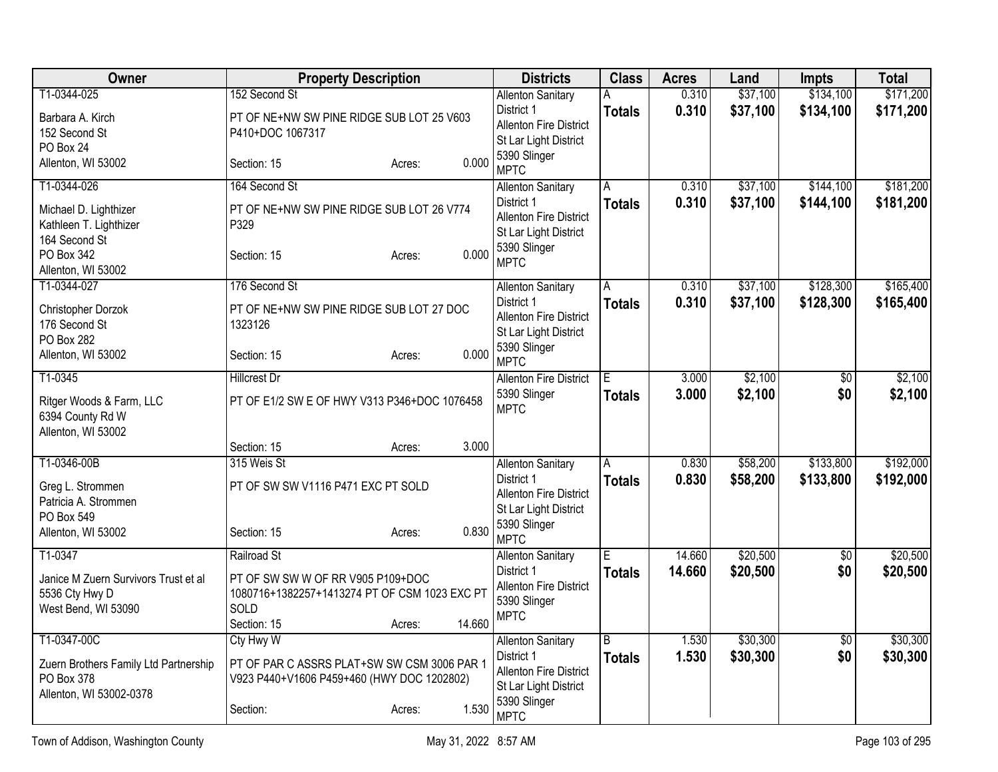| Owner                                    | <b>Property Description</b>                           |        |        | <b>Districts</b>                                       | <b>Class</b>  | <b>Acres</b>   | Land               | Impts           | <b>Total</b> |
|------------------------------------------|-------------------------------------------------------|--------|--------|--------------------------------------------------------|---------------|----------------|--------------------|-----------------|--------------|
| T1-0344-025                              | 152 Second St                                         |        |        | <b>Allenton Sanitary</b>                               | Α             | 0.310          | \$37,100           | \$134,100       | \$171,200    |
| Barbara A. Kirch                         | PT OF NE+NW SW PINE RIDGE SUB LOT 25 V603             |        |        | District 1                                             | <b>Totals</b> | 0.310          | \$37,100           | \$134,100       | \$171,200    |
| 152 Second St                            | P410+DOC 1067317                                      |        |        | <b>Allenton Fire District</b><br>St Lar Light District |               |                |                    |                 |              |
| PO Box 24                                |                                                       |        |        | 5390 Slinger                                           |               |                |                    |                 |              |
| Allenton, WI 53002                       | Section: 15                                           | Acres: | 0.000  | <b>MPTC</b>                                            |               |                |                    |                 |              |
| T1-0344-026                              | 164 Second St                                         |        |        | <b>Allenton Sanitary</b>                               | A             | 0.310          | \$37,100           | \$144,100       | \$181,200    |
| Michael D. Lighthizer                    | PT OF NE+NW SW PINE RIDGE SUB LOT 26 V774             |        |        | District 1                                             | <b>Totals</b> | 0.310          | \$37,100           | \$144,100       | \$181,200    |
| Kathleen T. Lighthizer                   | P329                                                  |        |        | <b>Allenton Fire District</b><br>St Lar Light District |               |                |                    |                 |              |
| 164 Second St                            |                                                       |        |        | 5390 Slinger                                           |               |                |                    |                 |              |
| PO Box 342                               | Section: 15                                           | Acres: | 0.000  | <b>MPTC</b>                                            |               |                |                    |                 |              |
| Allenton, WI 53002<br>T1-0344-027        | 176 Second St                                         |        |        |                                                        | A             | 0.310          | \$37,100           | \$128,300       | \$165,400    |
|                                          |                                                       |        |        | <b>Allenton Sanitary</b><br>District 1                 | <b>Totals</b> | 0.310          | \$37,100           | \$128,300       | \$165,400    |
| Christopher Dorzok                       | PT OF NE+NW SW PINE RIDGE SUB LOT 27 DOC              |        |        | <b>Allenton Fire District</b>                          |               |                |                    |                 |              |
| 176 Second St<br>PO Box 282              | 1323126                                               |        |        | St Lar Light District                                  |               |                |                    |                 |              |
| Allenton, WI 53002                       | Section: 15                                           | Acres: | 0.000  | 5390 Slinger                                           |               |                |                    |                 |              |
|                                          |                                                       |        |        | <b>MPTC</b>                                            |               |                |                    |                 |              |
| T1-0345                                  | <b>Hillcrest Dr</b>                                   |        |        | <b>Allenton Fire District</b><br>5390 Slinger          | E.            | 3.000<br>3.000 | \$2,100<br>\$2,100 | \$0<br>\$0      | \$2,100      |
| Ritger Woods & Farm, LLC                 | PT OF E1/2 SW E OF HWY V313 P346+DOC 1076458          |        |        | <b>MPTC</b>                                            | <b>Totals</b> |                |                    |                 | \$2,100      |
| 6394 County Rd W                         |                                                       |        |        |                                                        |               |                |                    |                 |              |
| Allenton, WI 53002                       | Section: 15                                           | Acres: | 3.000  |                                                        |               |                |                    |                 |              |
| T1-0346-00B                              | 315 Weis St                                           |        |        | <b>Allenton Sanitary</b>                               | A             | 0.830          | \$58,200           | \$133,800       | \$192,000    |
|                                          |                                                       |        |        | District 1                                             | <b>Totals</b> | 0.830          | \$58,200           | \$133,800       | \$192,000    |
| Greg L. Strommen<br>Patricia A. Strommen | PT OF SW SW V1116 P471 EXC PT SOLD                    |        |        | Allenton Fire District                                 |               |                |                    |                 |              |
| PO Box 549                               |                                                       |        |        | St Lar Light District                                  |               |                |                    |                 |              |
| Allenton, WI 53002                       | Section: 15                                           | Acres: | 0.830  | 5390 Slinger<br><b>MPTC</b>                            |               |                |                    |                 |              |
| T1-0347                                  | Railroad St                                           |        |        | <b>Allenton Sanitary</b>                               | E             | 14.660         | \$20,500           | $\overline{50}$ | \$20,500     |
|                                          |                                                       |        |        | District 1                                             | <b>Totals</b> | 14.660         | \$20,500           | \$0             | \$20,500     |
| Janice M Zuern Survivors Trust et al     | PT OF SW SW W OF RR V905 P109+DOC                     |        |        | Allenton Fire District                                 |               |                |                    |                 |              |
| 5536 Cty Hwy D<br>West Bend, WI 53090    | 1080716+1382257+1413274 PT OF CSM 1023 EXC PT<br>SOLD |        |        | 5390 Slinger                                           |               |                |                    |                 |              |
|                                          | Section: 15                                           | Acres: | 14.660 | <b>MPTC</b>                                            |               |                |                    |                 |              |
| T1-0347-00C                              | Cty Hwy W                                             |        |        | <b>Allenton Sanitary</b>                               | B             | 1.530          | \$30,300           | \$0             | \$30,300     |
| Zuern Brothers Family Ltd Partnership    | PT OF PAR C ASSRS PLAT+SW SW CSM 3006 PAR 1           |        |        | District 1                                             | <b>Totals</b> | 1.530          | \$30,300           | \$0             | \$30,300     |
| PO Box 378                               | V923 P440+V1606 P459+460 (HWY DOC 1202802)            |        |        | Allenton Fire District                                 |               |                |                    |                 |              |
| Allenton, WI 53002-0378                  |                                                       |        |        | St Lar Light District<br>5390 Slinger                  |               |                |                    |                 |              |
|                                          | Section:                                              | Acres: | 1.530  | <b>MPTC</b>                                            |               |                |                    |                 |              |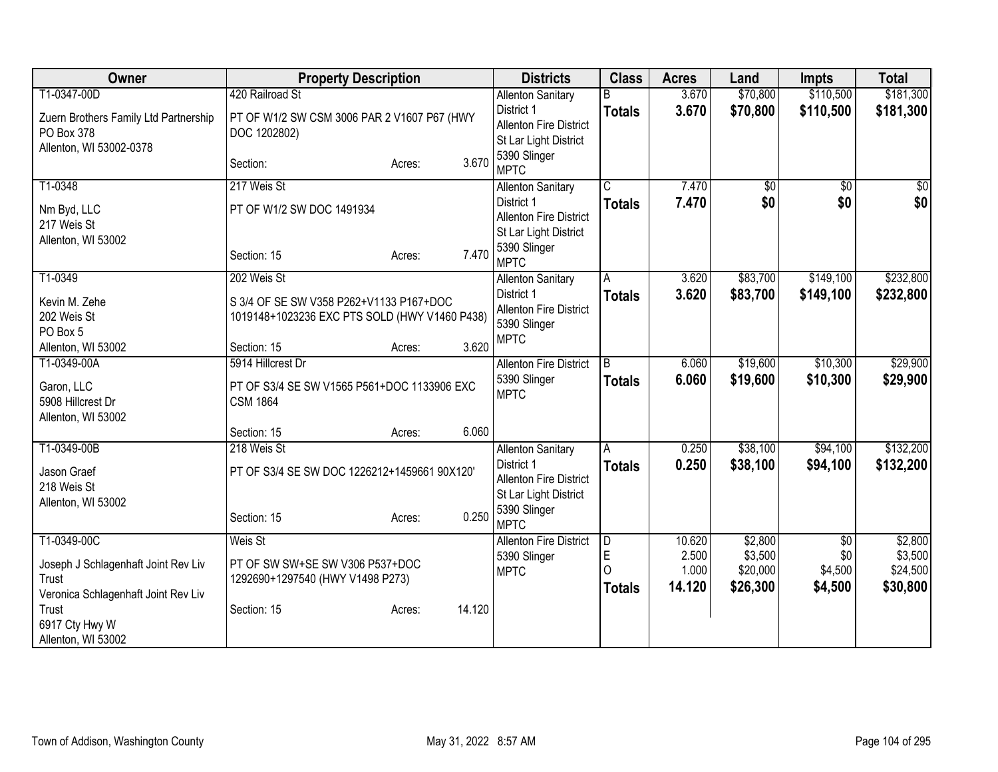| Owner                                 | <b>Property Description</b>                   |        |        | <b>Districts</b>                       | <b>Class</b>            | <b>Acres</b> | Land     | <b>Impts</b> | <b>Total</b>  |
|---------------------------------------|-----------------------------------------------|--------|--------|----------------------------------------|-------------------------|--------------|----------|--------------|---------------|
| T1-0347-00D                           | 420 Railroad St                               |        |        | <b>Allenton Sanitary</b>               |                         | 3.670        | \$70,800 | \$110,500    | \$181,300     |
| Zuern Brothers Family Ltd Partnership | PT OF W1/2 SW CSM 3006 PAR 2 V1607 P67 (HWY   |        |        | District 1                             | <b>Totals</b>           | 3.670        | \$70,800 | \$110,500    | \$181,300     |
| PO Box 378                            | DOC 1202802)                                  |        |        | <b>Allenton Fire District</b>          |                         |              |          |              |               |
| Allenton, WI 53002-0378               |                                               |        |        | St Lar Light District                  |                         |              |          |              |               |
|                                       | Section:                                      | Acres: | 3.670  | 5390 Slinger<br><b>MPTC</b>            |                         |              |          |              |               |
| T1-0348                               | 217 Weis St                                   |        |        | <b>Allenton Sanitary</b>               | $\overline{\mathsf{C}}$ | 7.470        | \$0      | $\sqrt{6}$   | $\frac{1}{6}$ |
| Nm Byd, LLC                           | PT OF W1/2 SW DOC 1491934                     |        |        | District 1                             | <b>Totals</b>           | 7.470        | \$0      | \$0          | \$0           |
| 217 Weis St                           |                                               |        |        | <b>Allenton Fire District</b>          |                         |              |          |              |               |
| Allenton, WI 53002                    |                                               |        |        | St Lar Light District                  |                         |              |          |              |               |
|                                       | Section: 15                                   | Acres: | 7.470  | 5390 Slinger<br><b>MPTC</b>            |                         |              |          |              |               |
| T1-0349                               | 202 Weis St                                   |        |        | <b>Allenton Sanitary</b>               | A                       | 3.620        | \$83,700 | \$149,100    | \$232,800     |
|                                       |                                               |        |        | District 1                             | <b>Totals</b>           | 3.620        | \$83,700 | \$149,100    | \$232,800     |
| Kevin M. Zehe                         | S 3/4 OF SE SW V358 P262+V1133 P167+DOC       |        |        | <b>Allenton Fire District</b>          |                         |              |          |              |               |
| 202 Weis St                           | 1019148+1023236 EXC PTS SOLD (HWY V1460 P438) |        |        | 5390 Slinger                           |                         |              |          |              |               |
| PO Box 5                              |                                               |        | 3.620  | <b>MPTC</b>                            |                         |              |          |              |               |
| Allenton, WI 53002<br>T1-0349-00A     | Section: 15<br>5914 Hillcrest Dr              | Acres: |        | <b>Allenton Fire District</b>          | $\overline{B}$          | 6.060        | \$19,600 | \$10,300     | \$29,900      |
|                                       |                                               |        |        | 5390 Slinger                           |                         | 6.060        | \$19,600 | \$10,300     | \$29,900      |
| Garon, LLC                            | PT OF S3/4 SE SW V1565 P561+DOC 1133906 EXC   |        |        | <b>MPTC</b>                            | <b>Totals</b>           |              |          |              |               |
| 5908 Hillcrest Dr                     | <b>CSM 1864</b>                               |        |        |                                        |                         |              |          |              |               |
| Allenton, WI 53002                    |                                               |        |        |                                        |                         |              |          |              |               |
|                                       | Section: 15                                   | Acres: | 6.060  |                                        |                         |              |          |              |               |
| T1-0349-00B                           | 218 Weis St                                   |        |        | <b>Allenton Sanitary</b><br>District 1 | A                       | 0.250        | \$38,100 | \$94,100     | \$132,200     |
| Jason Graef                           | PT OF S3/4 SE SW DOC 1226212+1459661 90X120'  |        |        | Allenton Fire District                 | <b>Totals</b>           | 0.250        | \$38,100 | \$94,100     | \$132,200     |
| 218 Weis St                           |                                               |        |        | St Lar Light District                  |                         |              |          |              |               |
| Allenton, WI 53002                    |                                               |        |        | 5390 Slinger                           |                         |              |          |              |               |
|                                       | Section: 15                                   | Acres: | 0.250  | <b>MPTC</b>                            |                         |              |          |              |               |
| T1-0349-00C                           | Weis St                                       |        |        | <b>Allenton Fire District</b>          | $\overline{D}$          | 10.620       | \$2,800  | \$0          | \$2,800       |
| Joseph J Schlagenhaft Joint Rev Liv   | PT OF SW SW+SE SW V306 P537+DOC               |        |        | 5390 Slinger                           | $\mathsf E$             | 2.500        | \$3,500  | \$0          | \$3,500       |
| Trust                                 | 1292690+1297540 (HWY V1498 P273)              |        |        | <b>MPTC</b>                            | C                       | 1.000        | \$20,000 | \$4,500      | \$24,500      |
| Veronica Schlagenhaft Joint Rev Liv   |                                               |        |        |                                        | <b>Totals</b>           | 14.120       | \$26,300 | \$4,500      | \$30,800      |
| Trust                                 | Section: 15                                   | Acres: | 14.120 |                                        |                         |              |          |              |               |
| 6917 Cty Hwy W                        |                                               |        |        |                                        |                         |              |          |              |               |
| Allenton, WI 53002                    |                                               |        |        |                                        |                         |              |          |              |               |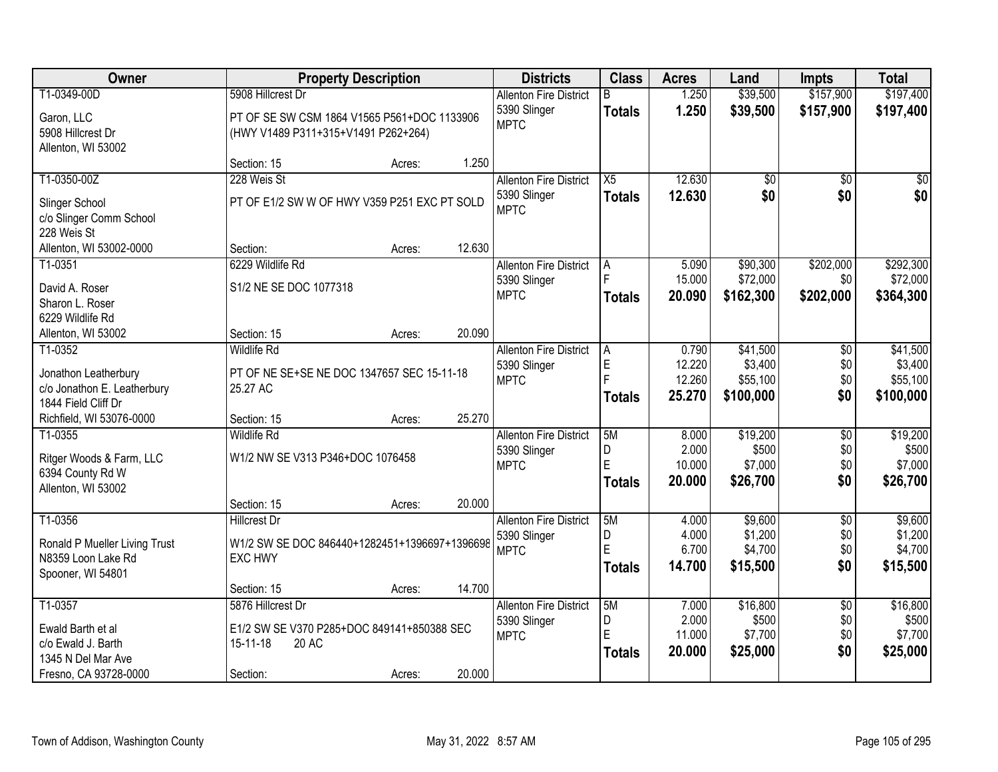| Owner                                                    |                                                                                    | <b>Property Description</b> |        |                                               | <b>Class</b>       | <b>Acres</b>    | Land                 | <b>Impts</b>           | <b>Total</b>           |
|----------------------------------------------------------|------------------------------------------------------------------------------------|-----------------------------|--------|-----------------------------------------------|--------------------|-----------------|----------------------|------------------------|------------------------|
| T1-0349-00D                                              | 5908 Hillcrest Dr                                                                  |                             |        | <b>Allenton Fire District</b><br>5390 Slinger | R<br><b>Totals</b> | 1.250<br>1.250  | \$39,500<br>\$39,500 | \$157,900<br>\$157,900 | \$197,400<br>\$197,400 |
| Garon, LLC<br>5908 Hillcrest Dr<br>Allenton, WI 53002    | PT OF SE SW CSM 1864 V1565 P561+DOC 1133906<br>(HWY V1489 P311+315+V1491 P262+264) |                             |        | <b>MPTC</b>                                   |                    |                 |                      |                        |                        |
|                                                          | Section: 15                                                                        | Acres:                      | 1.250  |                                               |                    |                 |                      |                        |                        |
| T1-0350-00Z                                              | 228 Weis St                                                                        |                             |        | <b>Allenton Fire District</b>                 | $\overline{X5}$    | 12.630          | $\overline{50}$      | $\overline{50}$        | $\sqrt{50}$            |
| Slinger School<br>c/o Slinger Comm School<br>228 Weis St | PT OF E1/2 SW W OF HWY V359 P251 EXC PT SOLD                                       |                             |        | 5390 Slinger<br><b>MPTC</b>                   | <b>Totals</b>      | 12.630          | \$0                  | \$0                    | \$0                    |
| Allenton, WI 53002-0000                                  | Section:                                                                           | Acres:                      | 12.630 |                                               |                    |                 |                      |                        |                        |
| T1-0351                                                  | 6229 Wildlife Rd                                                                   |                             |        | <b>Allenton Fire District</b>                 | A                  | 5.090           | \$90,300             | \$202,000              | \$292,300              |
| David A. Roser                                           | S1/2 NE SE DOC 1077318                                                             |                             |        | 5390 Slinger                                  |                    | 15.000          | \$72,000             | \$0                    | \$72,000               |
| Sharon L. Roser                                          |                                                                                    |                             |        | <b>MPTC</b>                                   | <b>Totals</b>      | 20.090          | \$162,300            | \$202,000              | \$364,300              |
| 6229 Wildlife Rd                                         |                                                                                    |                             |        |                                               |                    |                 |                      |                        |                        |
| Allenton, WI 53002                                       | Section: 15                                                                        | Acres:                      | 20.090 |                                               |                    |                 |                      |                        |                        |
| T1-0352                                                  | <b>Wildlife Rd</b>                                                                 |                             |        | <b>Allenton Fire District</b><br>5390 Slinger | A<br>$\mathsf E$   | 0.790<br>12.220 | \$41,500<br>\$3,400  | $\sqrt{6}$<br>\$0      | \$41,500<br>\$3,400    |
| Jonathon Leatherbury                                     | PT OF NE SE+SE NE DOC 1347657 SEC 15-11-18                                         |                             |        | <b>MPTC</b>                                   |                    | 12.260          | \$55,100             | \$0                    | \$55,100               |
| c/o Jonathon E. Leatherbury                              | 25.27 AC                                                                           |                             |        |                                               | <b>Totals</b>      | 25.270          | \$100,000            | \$0                    | \$100,000              |
| 1844 Field Cliff Dr<br>Richfield, WI 53076-0000          | Section: 15                                                                        | Acres:                      | 25.270 |                                               |                    |                 |                      |                        |                        |
| T1-0355                                                  | <b>Wildlife Rd</b>                                                                 |                             |        | <b>Allenton Fire District</b>                 | 5M                 | 8.000           | \$19,200             | $\overline{50}$        | \$19,200               |
|                                                          |                                                                                    |                             |        | 5390 Slinger                                  | D                  | 2.000           | \$500                | \$0                    | \$500                  |
| Ritger Woods & Farm, LLC                                 | W1/2 NW SE V313 P346+DOC 1076458                                                   |                             |        | <b>MPTC</b>                                   | E                  | 10.000          | \$7,000              | \$0                    | \$7,000                |
| 6394 County Rd W<br>Allenton, WI 53002                   |                                                                                    |                             |        |                                               | <b>Totals</b>      | 20.000          | \$26,700             | \$0                    | \$26,700               |
|                                                          | Section: 15                                                                        | Acres:                      | 20.000 |                                               |                    |                 |                      |                        |                        |
| T1-0356                                                  | <b>Hillcrest Dr</b>                                                                |                             |        | <b>Allenton Fire District</b>                 | 5M                 | 4.000           | \$9,600              | $\overline{50}$        | \$9,600                |
|                                                          | W1/2 SW SE DOC 846440+1282451+1396697+1396698                                      |                             |        | 5390 Slinger                                  | D                  | 4.000           | \$1,200              | \$0                    | \$1,200                |
| Ronald P Mueller Living Trust<br>N8359 Loon Lake Rd      | <b>EXC HWY</b>                                                                     |                             |        | <b>MPTC</b>                                   | E                  | 6.700           | \$4,700              | \$0                    | \$4,700                |
| Spooner, WI 54801                                        |                                                                                    |                             |        |                                               | <b>Totals</b>      | 14.700          | \$15,500             | \$0                    | \$15,500               |
|                                                          | Section: 15                                                                        | Acres:                      | 14.700 |                                               |                    |                 |                      |                        |                        |
| T1-0357                                                  | 5876 Hillcrest Dr                                                                  |                             |        | <b>Allenton Fire District</b>                 | 5M                 | 7.000           | \$16,800             | $\overline{50}$        | \$16,800               |
| Ewald Barth et al                                        | E1/2 SW SE V370 P285+DOC 849141+850388 SEC                                         |                             |        | 5390 Slinger                                  | D                  | 2.000           | \$500                | \$0                    | \$500                  |
| c/o Ewald J. Barth                                       | 20 AC<br>15-11-18                                                                  |                             |        | <b>MPTC</b>                                   | E                  | 11.000          | \$7,700              | \$0                    | \$7,700                |
| 1345 N Del Mar Ave                                       |                                                                                    |                             |        |                                               | <b>Totals</b>      | 20.000          | \$25,000             | \$0                    | \$25,000               |
| Fresno, CA 93728-0000                                    | Section:                                                                           | Acres:                      | 20.000 |                                               |                    |                 |                      |                        |                        |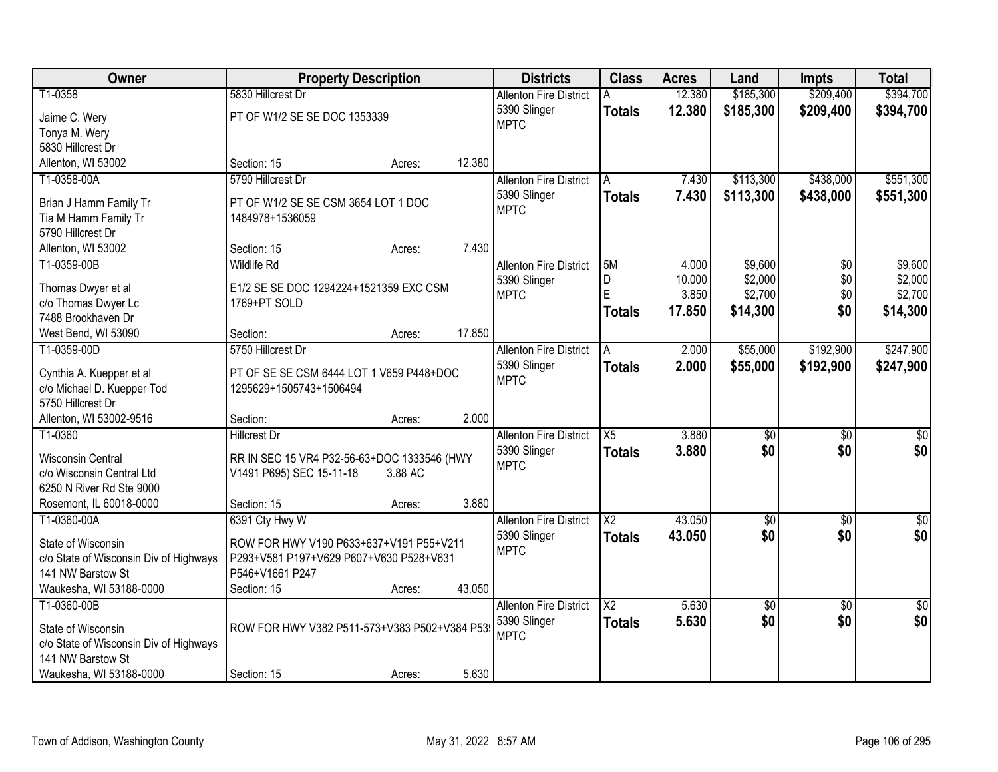| Owner                                                  | <b>Property Description</b>                  |         |        | <b>Districts</b>              | <b>Class</b>           | <b>Acres</b>    | Land               | Impts           | <b>Total</b>       |
|--------------------------------------------------------|----------------------------------------------|---------|--------|-------------------------------|------------------------|-----------------|--------------------|-----------------|--------------------|
| T1-0358                                                | 5830 Hillcrest Dr                            |         |        | <b>Allenton Fire District</b> |                        | 12.380          | \$185,300          | \$209,400       | \$394,700          |
| Jaime C. Wery                                          | PT OF W1/2 SE SE DOC 1353339                 |         |        | 5390 Slinger                  | <b>Totals</b>          | 12.380          | \$185,300          | \$209,400       | \$394,700          |
| Tonya M. Wery                                          |                                              |         |        | <b>MPTC</b>                   |                        |                 |                    |                 |                    |
| 5830 Hillcrest Dr                                      |                                              |         |        |                               |                        |                 |                    |                 |                    |
| Allenton, WI 53002                                     | Section: 15                                  | Acres:  | 12.380 |                               |                        |                 |                    |                 |                    |
| T1-0358-00A                                            | 5790 Hillcrest Dr                            |         |        | <b>Allenton Fire District</b> | A                      | 7.430           | \$113,300          | \$438,000       | \$551,300          |
|                                                        |                                              |         |        | 5390 Slinger                  | <b>Totals</b>          | 7.430           | \$113,300          | \$438,000       | \$551,300          |
| Brian J Hamm Family Tr                                 | PT OF W1/2 SE SE CSM 3654 LOT 1 DOC          |         |        | <b>MPTC</b>                   |                        |                 |                    |                 |                    |
| Tia M Hamm Family Tr                                   | 1484978+1536059                              |         |        |                               |                        |                 |                    |                 |                    |
| 5790 Hillcrest Dr                                      |                                              |         |        |                               |                        |                 |                    |                 |                    |
| Allenton, WI 53002                                     | Section: 15                                  | Acres:  | 7.430  |                               |                        |                 |                    |                 |                    |
| T1-0359-00B                                            | Wildlife Rd                                  |         |        | <b>Allenton Fire District</b> | 5M                     | 4.000           | \$9,600            | \$0             | \$9,600            |
| Thomas Dwyer et al                                     | E1/2 SE SE DOC 1294224+1521359 EXC CSM       |         |        | 5390 Slinger                  | D<br>E                 | 10.000<br>3.850 | \$2,000<br>\$2,700 | \$0<br>\$0      | \$2,000<br>\$2,700 |
| c/o Thomas Dwyer Lc                                    | 1769+PT SOLD                                 |         |        | <b>MPTC</b>                   |                        |                 |                    |                 |                    |
| 7488 Brookhaven Dr                                     |                                              |         |        |                               | <b>Totals</b>          | 17.850          | \$14,300           | \$0             | \$14,300           |
| West Bend, WI 53090                                    | Section:                                     | Acres:  | 17.850 |                               |                        |                 |                    |                 |                    |
| T1-0359-00D                                            | 5750 Hillcrest Dr                            |         |        | <b>Allenton Fire District</b> | A                      | 2.000           | \$55,000           | \$192,900       | \$247,900          |
|                                                        | PT OF SE SE CSM 6444 LOT 1 V659 P448+DOC     |         |        | 5390 Slinger                  | <b>Totals</b>          | 2.000           | \$55,000           | \$192,900       | \$247,900          |
| Cynthia A. Kuepper et al<br>c/o Michael D. Kuepper Tod | 1295629+1505743+1506494                      |         |        | <b>MPTC</b>                   |                        |                 |                    |                 |                    |
| 5750 Hillcrest Dr                                      |                                              |         |        |                               |                        |                 |                    |                 |                    |
| Allenton, WI 53002-9516                                | Section:                                     | Acres:  | 2.000  |                               |                        |                 |                    |                 |                    |
| T1-0360                                                | <b>Hillcrest Dr</b>                          |         |        | <b>Allenton Fire District</b> | $\overline{X5}$        | 3.880           | $\overline{50}$    | $\overline{50}$ | $\overline{50}$    |
|                                                        |                                              |         |        | 5390 Slinger                  | <b>Totals</b>          | 3.880           | \$0                | \$0             | \$0                |
| <b>Wisconsin Central</b>                               | RR IN SEC 15 VR4 P32-56-63+DOC 1333546 (HWY  |         |        | <b>MPTC</b>                   |                        |                 |                    |                 |                    |
| c/o Wisconsin Central Ltd                              | V1491 P695) SEC 15-11-18                     | 3.88 AC |        |                               |                        |                 |                    |                 |                    |
| 6250 N River Rd Ste 9000                               |                                              |         |        |                               |                        |                 |                    |                 |                    |
| Rosemont, IL 60018-0000                                | Section: 15                                  | Acres:  | 3.880  |                               |                        |                 |                    |                 |                    |
| T1-0360-00A                                            | 6391 Cty Hwy W                               |         |        | <b>Allenton Fire District</b> | $\overline{\text{X2}}$ | 43.050          | $\overline{50}$    | $\overline{50}$ | $\overline{\$0}$   |
| State of Wisconsin                                     | ROW FOR HWY V190 P633+637+V191 P55+V211      |         |        | 5390 Slinger                  | <b>Totals</b>          | 43.050          | \$0                | \$0             | \$0                |
| c/o State of Wisconsin Div of Highways                 | P293+V581 P197+V629 P607+V630 P528+V631      |         |        | <b>MPTC</b>                   |                        |                 |                    |                 |                    |
| 141 NW Barstow St                                      | P546+V1661 P247                              |         |        |                               |                        |                 |                    |                 |                    |
| Waukesha, WI 53188-0000                                | Section: 15                                  | Acres:  | 43.050 |                               |                        |                 |                    |                 |                    |
| T1-0360-00B                                            |                                              |         |        | <b>Allenton Fire District</b> | $\overline{\text{X2}}$ | 5.630           | $\sqrt{50}$        | $\overline{50}$ | $\overline{50}$    |
|                                                        |                                              |         |        | 5390 Slinger                  | <b>Totals</b>          | 5.630           | \$0                | \$0             | \$0                |
| State of Wisconsin                                     | ROW FOR HWY V382 P511-573+V383 P502+V384 P53 |         |        | <b>MPTC</b>                   |                        |                 |                    |                 |                    |
| c/o State of Wisconsin Div of Highways                 |                                              |         |        |                               |                        |                 |                    |                 |                    |
| 141 NW Barstow St                                      |                                              |         |        |                               |                        |                 |                    |                 |                    |
| Waukesha, WI 53188-0000                                | Section: 15                                  | Acres:  | 5.630  |                               |                        |                 |                    |                 |                    |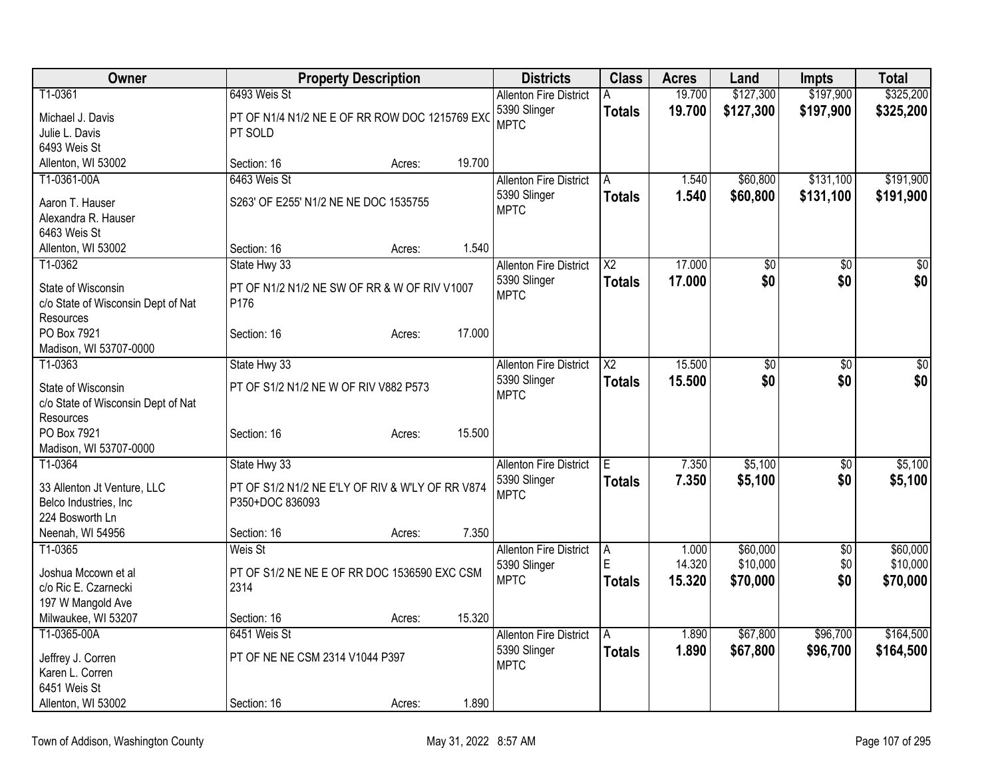| Owner                              | <b>Property Description</b>                      |        |        | <b>Districts</b>              | <b>Class</b>           | <b>Acres</b> | Land            | <b>Impts</b>    | <b>Total</b> |
|------------------------------------|--------------------------------------------------|--------|--------|-------------------------------|------------------------|--------------|-----------------|-----------------|--------------|
| T1-0361                            | 6493 Weis St                                     |        |        | <b>Allenton Fire District</b> | A                      | 19.700       | \$127,300       | \$197,900       | \$325,200    |
| Michael J. Davis                   | PT OF N1/4 N1/2 NE E OF RR ROW DOC 1215769 EXC   |        |        | 5390 Slinger                  | <b>Totals</b>          | 19.700       | \$127,300       | \$197,900       | \$325,200    |
| Julie L. Davis                     | PT SOLD                                          |        |        | <b>MPTC</b>                   |                        |              |                 |                 |              |
| 6493 Weis St                       |                                                  |        |        |                               |                        |              |                 |                 |              |
| Allenton, WI 53002                 | Section: 16                                      | Acres: | 19.700 |                               |                        |              |                 |                 |              |
| T1-0361-00A                        | 6463 Weis St                                     |        |        | <b>Allenton Fire District</b> | l A                    | 1.540        | \$60,800        | \$131,100       | \$191,900    |
| Aaron T. Hauser                    | S263' OF E255' N1/2 NE NE DOC 1535755            |        |        | 5390 Slinger                  | <b>Totals</b>          | 1.540        | \$60,800        | \$131,100       | \$191,900    |
| Alexandra R. Hauser                |                                                  |        |        | <b>MPTC</b>                   |                        |              |                 |                 |              |
| 6463 Weis St                       |                                                  |        |        |                               |                        |              |                 |                 |              |
| Allenton, WI 53002                 | Section: 16                                      | Acres: | 1.540  |                               |                        |              |                 |                 |              |
| T1-0362                            | State Hwy 33                                     |        |        | <b>Allenton Fire District</b> | $\overline{X2}$        | 17.000       | $\overline{50}$ | $\overline{50}$ | $\sqrt{50}$  |
| State of Wisconsin                 | PT OF N1/2 N1/2 NE SW OF RR & W OF RIV V1007     |        |        | 5390 Slinger                  | <b>Totals</b>          | 17.000       | \$0             | \$0             | \$0          |
| c/o State of Wisconsin Dept of Nat | P176                                             |        |        | <b>MPTC</b>                   |                        |              |                 |                 |              |
| Resources                          |                                                  |        |        |                               |                        |              |                 |                 |              |
| PO Box 7921                        | Section: 16                                      | Acres: | 17.000 |                               |                        |              |                 |                 |              |
| Madison, WI 53707-0000             |                                                  |        |        |                               |                        |              |                 |                 |              |
| T1-0363                            | State Hwy 33                                     |        |        | <b>Allenton Fire District</b> | $\overline{\text{X2}}$ | 15.500       | $\overline{50}$ | $\overline{50}$ | \$0          |
| State of Wisconsin                 | PT OF S1/2 N1/2 NE W OF RIV V882 P573            |        |        | 5390 Slinger                  | <b>Totals</b>          | 15.500       | \$0             | \$0             | \$0          |
| c/o State of Wisconsin Dept of Nat |                                                  |        |        | <b>MPTC</b>                   |                        |              |                 |                 |              |
| Resources                          |                                                  |        |        |                               |                        |              |                 |                 |              |
| PO Box 7921                        | Section: 16                                      | Acres: | 15.500 |                               |                        |              |                 |                 |              |
| Madison, WI 53707-0000             |                                                  |        |        |                               |                        |              |                 |                 |              |
| T1-0364                            | State Hwy 33                                     |        |        | <b>Allenton Fire District</b> | $\overline{E}$         | 7.350        | \$5,100         | \$0             | \$5,100      |
| 33 Allenton Jt Venture, LLC        | PT OF S1/2 N1/2 NE E'LY OF RIV & W'LY OF RR V874 |        |        | 5390 Slinger                  | <b>Totals</b>          | 7.350        | \$5,100         | \$0             | \$5,100      |
| Belco Industries, Inc.             | P350+DOC 836093                                  |        |        | <b>MPTC</b>                   |                        |              |                 |                 |              |
| 224 Bosworth Ln                    |                                                  |        |        |                               |                        |              |                 |                 |              |
| Neenah, WI 54956                   | Section: 16                                      | Acres: | 7.350  |                               |                        |              |                 |                 |              |
| T1-0365                            | Weis St                                          |        |        | <b>Allenton Fire District</b> | A                      | 1.000        | \$60,000        | \$0             | \$60,000     |
| Joshua Mccown et al                | PT OF S1/2 NE NE E OF RR DOC 1536590 EXC CSM     |        |        | 5390 Slinger                  | E                      | 14.320       | \$10,000        | \$0             | \$10,000     |
| c/o Ric E. Czarnecki               | 2314                                             |        |        | <b>MPTC</b>                   | <b>Totals</b>          | 15.320       | \$70,000        | \$0             | \$70,000     |
| 197 W Mangold Ave                  |                                                  |        |        |                               |                        |              |                 |                 |              |
| Milwaukee, WI 53207                | Section: 16                                      | Acres: | 15.320 |                               |                        |              |                 |                 |              |
| T1-0365-00A                        | 6451 Weis St                                     |        |        | <b>Allenton Fire District</b> | A                      | 1.890        | \$67,800        | \$96,700        | \$164,500    |
|                                    |                                                  |        |        | 5390 Slinger                  | <b>Totals</b>          | 1.890        | \$67,800        | \$96,700        | \$164,500    |
| Jeffrey J. Corren                  | PT OF NE NE CSM 2314 V1044 P397                  |        |        | <b>MPTC</b>                   |                        |              |                 |                 |              |
| Karen L. Corren                    |                                                  |        |        |                               |                        |              |                 |                 |              |
| 6451 Weis St                       |                                                  |        |        |                               |                        |              |                 |                 |              |
| Allenton, WI 53002                 | Section: 16                                      | Acres: | 1.890  |                               |                        |              |                 |                 |              |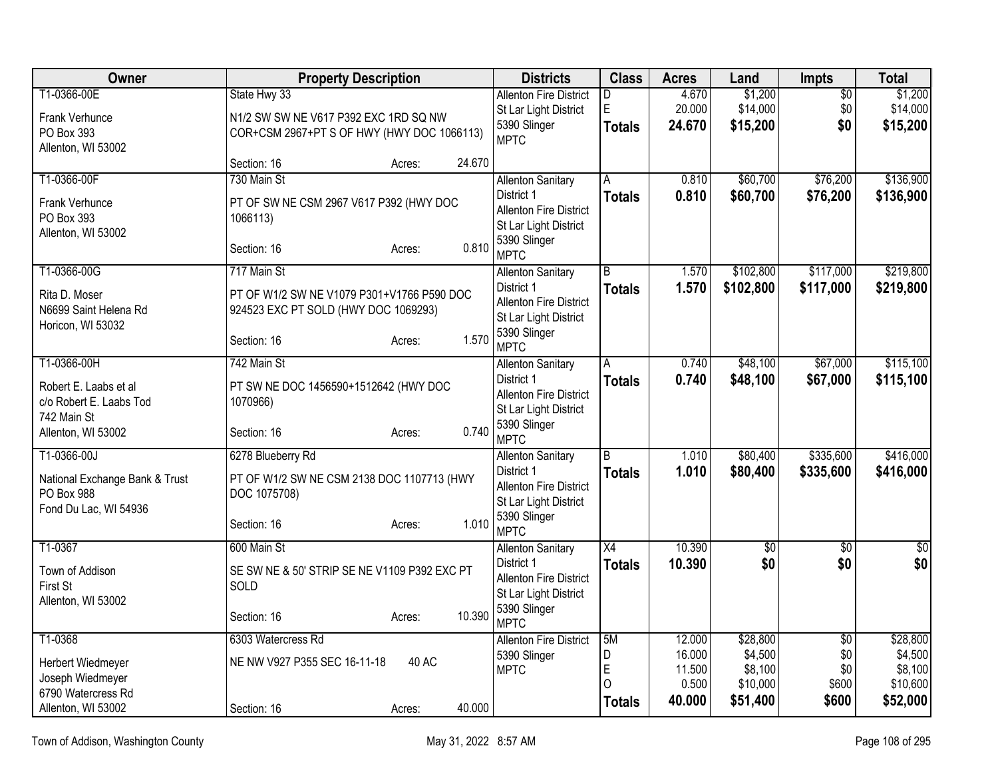| Owner                                            | <b>Property Description</b>                       | <b>Districts</b>                                       | <b>Class</b>    | <b>Acres</b>     | Land                | Impts                  | <b>Total</b>         |
|--------------------------------------------------|---------------------------------------------------|--------------------------------------------------------|-----------------|------------------|---------------------|------------------------|----------------------|
| T1-0366-00E                                      | State Hwy 33                                      | <b>Allenton Fire District</b>                          | D<br>E          | 4.670            | \$1,200<br>\$14,000 | $\overline{50}$<br>\$0 | \$1,200              |
| Frank Verhunce                                   | N1/2 SW SW NE V617 P392 EXC 1RD SQ NW             | St Lar Light District<br>5390 Slinger                  | <b>Totals</b>   | 20.000<br>24.670 | \$15,200            | \$0                    | \$14,000<br>\$15,200 |
| PO Box 393<br>Allenton, WI 53002                 | COR+CSM 2967+PT S OF HWY (HWY DOC 1066113)        | <b>MPTC</b>                                            |                 |                  |                     |                        |                      |
|                                                  | 24.670<br>Section: 16<br>Acres:                   |                                                        |                 |                  |                     |                        |                      |
| T1-0366-00F                                      | 730 Main St                                       | <b>Allenton Sanitary</b>                               | A               | 0.810            | \$60,700            | \$76,200               | \$136,900            |
| Frank Verhunce                                   | PT OF SW NE CSM 2967 V617 P392 (HWY DOC           | District 1<br><b>Allenton Fire District</b>            | <b>Totals</b>   | 0.810            | \$60,700            | \$76,200               | \$136,900            |
| PO Box 393                                       | 1066113)                                          | St Lar Light District                                  |                 |                  |                     |                        |                      |
| Allenton, WI 53002                               | 0.810<br>Section: 16                              | 5390 Slinger                                           |                 |                  |                     |                        |                      |
|                                                  | Acres:                                            | <b>MPTC</b>                                            |                 |                  |                     |                        |                      |
| T1-0366-00G                                      | 717 Main St                                       | <b>Allenton Sanitary</b>                               | $\overline{B}$  | 1.570            | \$102,800           | \$117,000              | \$219,800            |
| Rita D. Moser                                    | PT OF W1/2 SW NE V1079 P301+V1766 P590 DOC        | District 1<br><b>Allenton Fire District</b>            | <b>Totals</b>   | 1.570            | \$102,800           | \$117,000              | \$219,800            |
| N6699 Saint Helena Rd<br>Horicon, WI 53032       | 924523 EXC PT SOLD (HWY DOC 1069293)              | St Lar Light District                                  |                 |                  |                     |                        |                      |
|                                                  | 1.570<br>Section: 16<br>Acres:                    | 5390 Slinger                                           |                 |                  |                     |                        |                      |
| T1-0366-00H                                      | 742 Main St                                       | <b>MPTC</b>                                            | A               | 0.740            | \$48,100            | \$67,000               | \$115,100            |
|                                                  |                                                   | <b>Allenton Sanitary</b><br>District 1                 | <b>Totals</b>   | 0.740            | \$48,100            | \$67,000               | \$115,100            |
| Robert E. Laabs et al<br>c/o Robert E. Laabs Tod | PT SW NE DOC 1456590+1512642 (HWY DOC<br>1070966) | <b>Allenton Fire District</b>                          |                 |                  |                     |                        |                      |
| 742 Main St                                      |                                                   | St Lar Light District                                  |                 |                  |                     |                        |                      |
| Allenton, WI 53002                               | 0.740<br>Section: 16<br>Acres:                    | 5390 Slinger<br><b>MPTC</b>                            |                 |                  |                     |                        |                      |
| T1-0366-00J                                      | 6278 Blueberry Rd                                 | <b>Allenton Sanitary</b>                               | R.              | 1.010            | \$80,400            | \$335,600              | \$416,000            |
| National Exchange Bank & Trust                   | PT OF W1/2 SW NE CSM 2138 DOC 1107713 (HWY        | District 1                                             | <b>Totals</b>   | 1.010            | \$80,400            | \$335,600              | \$416,000            |
| PO Box 988                                       | DOC 1075708)                                      | <b>Allenton Fire District</b>                          |                 |                  |                     |                        |                      |
| Fond Du Lac, WI 54936                            |                                                   | St Lar Light District<br>5390 Slinger                  |                 |                  |                     |                        |                      |
|                                                  | 1.010<br>Section: 16<br>Acres:                    | <b>MPTC</b>                                            |                 |                  |                     |                        |                      |
| T1-0367                                          | 600 Main St                                       | <b>Allenton Sanitary</b>                               | $\overline{X4}$ | 10.390           | $\overline{50}$     | $\overline{50}$        | $\sqrt{50}$          |
| Town of Addison                                  | SE SW NE & 50' STRIP SE NE V1109 P392 EXC PT      | District 1                                             | <b>Totals</b>   | 10.390           | \$0                 | \$0                    | \$0                  |
| First St                                         | SOLD                                              | <b>Allenton Fire District</b><br>St Lar Light District |                 |                  |                     |                        |                      |
| Allenton, WI 53002                               |                                                   | 5390 Slinger                                           |                 |                  |                     |                        |                      |
|                                                  | 10.390<br>Section: 16<br>Acres:                   | <b>MPTC</b>                                            |                 |                  |                     |                        |                      |
| T1-0368                                          | 6303 Watercress Rd                                | <b>Allenton Fire District</b>                          | 5M              | 12.000           | \$28,800            | $\overline{30}$        | \$28,800             |
| Herbert Wiedmeyer                                | NE NW V927 P355 SEC 16-11-18<br>40 AC             | 5390 Slinger<br><b>MPTC</b>                            | D<br>E          | 16.000<br>11.500 | \$4,500<br>\$8,100  | \$0<br>\$0             | \$4,500<br>\$8,100   |
| Joseph Wiedmeyer                                 |                                                   |                                                        | $\Omega$        | 0.500            | \$10,000            | \$600                  | \$10,600             |
| 6790 Watercress Rd<br>Allenton, WI 53002         | 40.000<br>Section: 16<br>Acres:                   |                                                        | <b>Totals</b>   | 40.000           | \$51,400            | \$600                  | \$52,000             |
|                                                  |                                                   |                                                        |                 |                  |                     |                        |                      |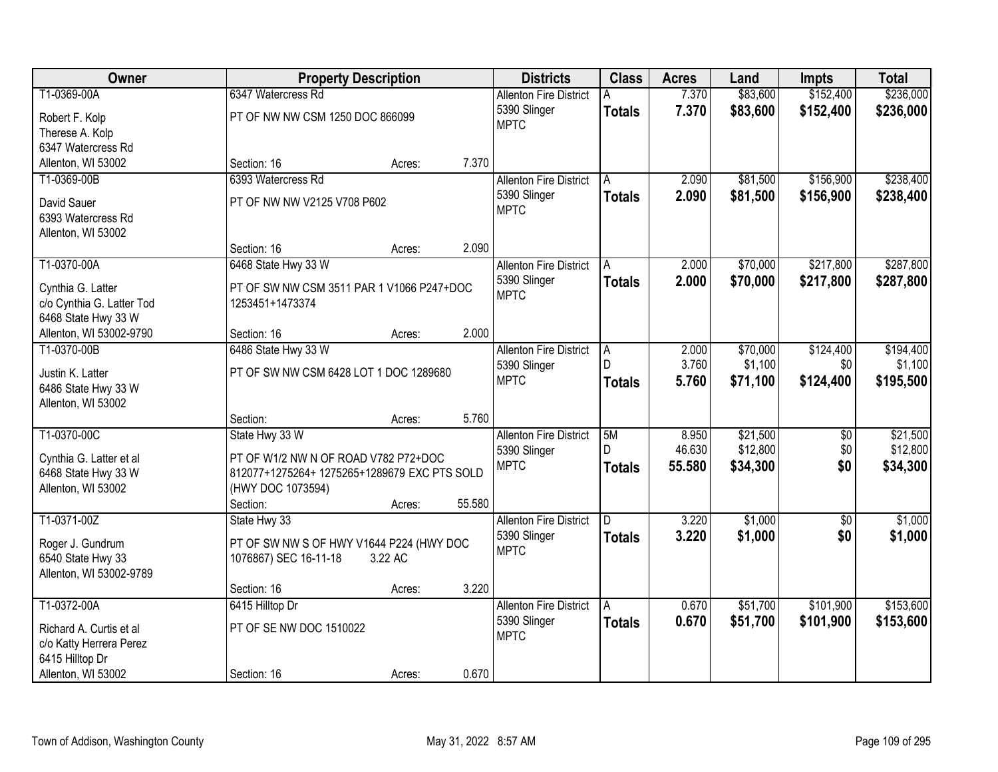| Owner                                              |                                              | <b>Property Description</b> |        | <b>Districts</b>              | <b>Class</b>  | <b>Acres</b> | Land     | <b>Impts</b>    | <b>Total</b> |
|----------------------------------------------------|----------------------------------------------|-----------------------------|--------|-------------------------------|---------------|--------------|----------|-----------------|--------------|
| T1-0369-00A                                        | 6347 Watercress Rd                           |                             |        | <b>Allenton Fire District</b> |               | 7.370        | \$83,600 | \$152,400       | \$236,000    |
| Robert F. Kolp                                     | PT OF NW NW CSM 1250 DOC 866099              |                             |        | 5390 Slinger                  | <b>Totals</b> | 7.370        | \$83,600 | \$152,400       | \$236,000    |
| Therese A. Kolp                                    |                                              |                             |        | <b>MPTC</b>                   |               |              |          |                 |              |
| 6347 Watercress Rd                                 |                                              |                             |        |                               |               |              |          |                 |              |
| Allenton, WI 53002                                 | Section: 16                                  | Acres:                      | 7.370  |                               |               |              |          |                 |              |
| T1-0369-00B                                        | 6393 Watercress Rd                           |                             |        | <b>Allenton Fire District</b> | A             | 2.090        | \$81,500 | \$156,900       | \$238,400    |
|                                                    |                                              |                             |        | 5390 Slinger                  | <b>Totals</b> | 2.090        | \$81,500 | \$156,900       | \$238,400    |
| David Sauer                                        | PT OF NW NW V2125 V708 P602                  |                             |        | <b>MPTC</b>                   |               |              |          |                 |              |
| 6393 Watercress Rd                                 |                                              |                             |        |                               |               |              |          |                 |              |
| Allenton, WI 53002                                 |                                              |                             |        |                               |               |              |          |                 |              |
|                                                    | Section: 16                                  | Acres:                      | 2.090  |                               |               |              |          |                 |              |
| T1-0370-00A                                        | 6468 State Hwy 33 W                          |                             |        | <b>Allenton Fire District</b> | A             | 2.000        | \$70,000 | \$217,800       | \$287,800    |
| Cynthia G. Latter                                  | PT OF SW NW CSM 3511 PAR 1 V1066 P247+DOC    |                             |        | 5390 Slinger                  | <b>Totals</b> | 2.000        | \$70,000 | \$217,800       | \$287,800    |
| c/o Cynthia G. Latter Tod                          | 1253451+1473374                              |                             |        | <b>MPTC</b>                   |               |              |          |                 |              |
| 6468 State Hwy 33 W                                |                                              |                             |        |                               |               |              |          |                 |              |
| Allenton, WI 53002-9790                            | Section: 16                                  | Acres:                      | 2.000  |                               |               |              |          |                 |              |
| T1-0370-00B                                        | 6486 State Hwy 33 W                          |                             |        | <b>Allenton Fire District</b> | Α             | 2.000        | \$70,000 | \$124,400       | \$194,400    |
| Justin K. Latter                                   | PT OF SW NW CSM 6428 LOT 1 DOC 1289680       |                             |        | 5390 Slinger                  | D             | 3.760        | \$1,100  | \$0             | \$1,100      |
| 6486 State Hwy 33 W                                |                                              |                             |        | <b>MPTC</b>                   | <b>Totals</b> | 5.760        | \$71,100 | \$124,400       | \$195,500    |
| Allenton, WI 53002                                 |                                              |                             |        |                               |               |              |          |                 |              |
|                                                    | Section:                                     | Acres:                      | 5.760  |                               |               |              |          |                 |              |
| T1-0370-00C                                        | State Hwy 33 W                               |                             |        | <b>Allenton Fire District</b> | 5M            | 8.950        | \$21,500 | $\overline{50}$ | \$21,500     |
|                                                    |                                              |                             |        | 5390 Slinger                  | D             | 46.630       | \$12,800 | \$0             | \$12,800     |
| Cynthia G. Latter et al                            | PT OF W1/2 NW N OF ROAD V782 P72+DOC         |                             |        | <b>MPTC</b>                   | <b>Totals</b> | 55.580       | \$34,300 | \$0             | \$34,300     |
| 6468 State Hwy 33 W                                | 812077+1275264+ 1275265+1289679 EXC PTS SOLD |                             |        |                               |               |              |          |                 |              |
| Allenton, WI 53002                                 | (HWY DOC 1073594)                            |                             |        |                               |               |              |          |                 |              |
|                                                    | Section:                                     | Acres:                      | 55.580 |                               |               |              |          |                 |              |
| T1-0371-00Z                                        | State Hwy 33                                 |                             |        | <b>Allenton Fire District</b> | D             | 3.220        | \$1,000  | $\sqrt{6}$      | \$1,000      |
| Roger J. Gundrum                                   | PT OF SW NW S OF HWY V1644 P224 (HWY DOC     |                             |        | 5390 Slinger                  | <b>Totals</b> | 3.220        | \$1,000  | \$0             | \$1,000      |
| 6540 State Hwy 33                                  | 1076867) SEC 16-11-18                        | 3.22 AC                     |        | <b>MPTC</b>                   |               |              |          |                 |              |
| Allenton, WI 53002-9789                            |                                              |                             |        |                               |               |              |          |                 |              |
|                                                    | Section: 16                                  | Acres:                      | 3.220  |                               |               |              |          |                 |              |
| T1-0372-00A                                        | 6415 Hilltop Dr                              |                             |        | <b>Allenton Fire District</b> | A             | 0.670        | \$51,700 | \$101,900       | \$153,600    |
|                                                    |                                              |                             |        | 5390 Slinger                  | <b>Totals</b> | 0.670        | \$51,700 | \$101,900       | \$153,600    |
| Richard A. Curtis et al<br>c/o Katty Herrera Perez | PT OF SE NW DOC 1510022                      |                             |        | <b>MPTC</b>                   |               |              |          |                 |              |
| 6415 Hilltop Dr                                    |                                              |                             |        |                               |               |              |          |                 |              |
| Allenton, WI 53002                                 | Section: 16                                  | Acres:                      | 0.670  |                               |               |              |          |                 |              |
|                                                    |                                              |                             |        |                               |               |              |          |                 |              |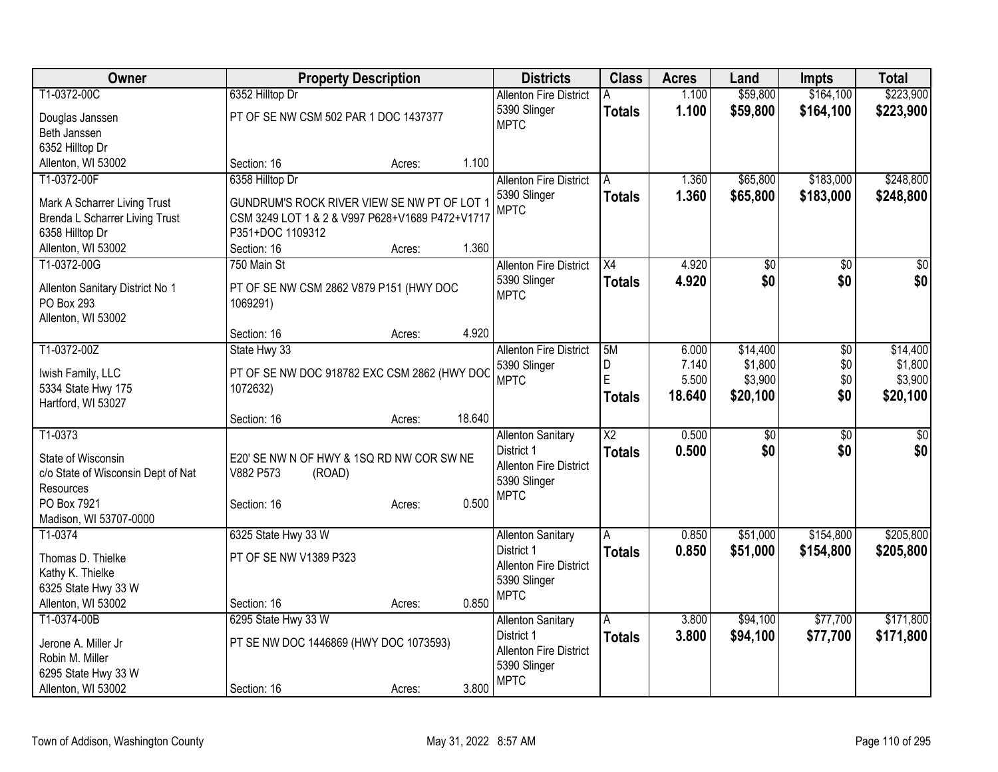| Owner                                         |                                                 | <b>Property Description</b> |        | <b>Districts</b>                            | <b>Class</b>    | <b>Acres</b> | Land            | <b>Impts</b>    | <b>Total</b> |
|-----------------------------------------------|-------------------------------------------------|-----------------------------|--------|---------------------------------------------|-----------------|--------------|-----------------|-----------------|--------------|
| T1-0372-00C                                   | 6352 Hilltop Dr                                 |                             |        | <b>Allenton Fire District</b>               | A               | 1.100        | \$59,800        | \$164,100       | \$223,900    |
| Douglas Janssen                               | PT OF SE NW CSM 502 PAR 1 DOC 1437377           |                             |        | 5390 Slinger                                | <b>Totals</b>   | 1.100        | \$59,800        | \$164,100       | \$223,900    |
| Beth Janssen                                  |                                                 |                             |        | <b>MPTC</b>                                 |                 |              |                 |                 |              |
| 6352 Hilltop Dr                               |                                                 |                             |        |                                             |                 |              |                 |                 |              |
| Allenton, WI 53002                            | Section: 16                                     | Acres:                      | 1.100  |                                             |                 |              |                 |                 |              |
| T1-0372-00F                                   | 6358 Hilltop Dr                                 |                             |        | <b>Allenton Fire District</b>               | A               | 1.360        | \$65,800        | \$183,000       | \$248,800    |
| Mark A Scharrer Living Trust                  | GUNDRUM'S ROCK RIVER VIEW SE NW PT OF LOT 1     |                             |        | 5390 Slinger                                | <b>Totals</b>   | 1.360        | \$65,800        | \$183,000       | \$248,800    |
| <b>Brenda L Scharrer Living Trust</b>         | CSM 3249 LOT 1 & 2 & V997 P628+V1689 P472+V1717 |                             |        | <b>MPTC</b>                                 |                 |              |                 |                 |              |
| 6358 Hilltop Dr                               | P351+DOC 1109312                                |                             |        |                                             |                 |              |                 |                 |              |
| Allenton, WI 53002                            | Section: 16                                     | Acres:                      | 1.360  |                                             |                 |              |                 |                 |              |
| T1-0372-00G                                   | 750 Main St                                     |                             |        | <b>Allenton Fire District</b>               | X4              | 4.920        | $\overline{50}$ | \$0             | $\sqrt{50}$  |
|                                               | PT OF SE NW CSM 2862 V879 P151 (HWY DOC         |                             |        | 5390 Slinger                                | <b>Totals</b>   | 4.920        | \$0             | \$0             | \$0          |
| Allenton Sanitary District No 1<br>PO Box 293 | 1069291)                                        |                             |        | <b>MPTC</b>                                 |                 |              |                 |                 |              |
| Allenton, WI 53002                            |                                                 |                             |        |                                             |                 |              |                 |                 |              |
|                                               | Section: 16                                     | Acres:                      | 4.920  |                                             |                 |              |                 |                 |              |
| T1-0372-00Z                                   | State Hwy 33                                    |                             |        | <b>Allenton Fire District</b>               | 5M              | 6.000        | \$14,400        | $\overline{30}$ | \$14,400     |
|                                               |                                                 |                             |        | 5390 Slinger                                | D               | 7.140        | \$1,800         | \$0             | \$1,800      |
| Iwish Family, LLC                             | PT OF SE NW DOC 918782 EXC CSM 2862 (HWY DOC    |                             |        | <b>MPTC</b>                                 | E               | 5.500        | \$3,900         | \$0             | \$3,900      |
| 5334 State Hwy 175<br>Hartford, WI 53027      | 1072632)                                        |                             |        |                                             | <b>Totals</b>   | 18.640       | \$20,100        | \$0             | \$20,100     |
|                                               | Section: 16                                     | Acres:                      | 18.640 |                                             |                 |              |                 |                 |              |
| T1-0373                                       |                                                 |                             |        | <b>Allenton Sanitary</b>                    | $\overline{X2}$ | 0.500        | $\overline{50}$ | \$0             | $\sqrt{50}$  |
|                                               |                                                 |                             |        | District 1                                  | <b>Totals</b>   | 0.500        | \$0             | \$0             | \$0          |
| State of Wisconsin                            | E20' SE NW N OF HWY & 1SQ RD NW COR SW NE       |                             |        | <b>Allenton Fire District</b>               |                 |              |                 |                 |              |
| c/o State of Wisconsin Dept of Nat            | V882 P573<br>(ROAD)                             |                             |        | 5390 Slinger                                |                 |              |                 |                 |              |
| Resources                                     |                                                 |                             |        | <b>MPTC</b>                                 |                 |              |                 |                 |              |
| PO Box 7921<br>Madison, WI 53707-0000         | Section: 16                                     | Acres:                      | 0.500  |                                             |                 |              |                 |                 |              |
| T1-0374                                       | 6325 State Hwy 33 W                             |                             |        | <b>Allenton Sanitary</b>                    | A               | 0.850        | \$51,000        | \$154,800       | \$205,800    |
|                                               |                                                 |                             |        | District 1                                  | <b>Totals</b>   | 0.850        | \$51,000        | \$154,800       | \$205,800    |
| Thomas D. Thielke                             | PT OF SE NW V1389 P323                          |                             |        | <b>Allenton Fire District</b>               |                 |              |                 |                 |              |
| Kathy K. Thielke                              |                                                 |                             |        | 5390 Slinger                                |                 |              |                 |                 |              |
| 6325 State Hwy 33 W                           |                                                 |                             |        | <b>MPTC</b>                                 |                 |              |                 |                 |              |
| Allenton, WI 53002                            | Section: 16                                     | Acres:                      | 0.850  |                                             |                 |              |                 |                 |              |
| T1-0374-00B                                   | 6295 State Hwy 33 W                             |                             |        | <b>Allenton Sanitary</b>                    | A               | 3.800        | \$94,100        | \$77,700        | \$171,800    |
| Jerone A. Miller Jr                           | PT SE NW DOC 1446869 (HWY DOC 1073593)          |                             |        | District 1<br><b>Allenton Fire District</b> | <b>Totals</b>   | 3.800        | \$94,100        | \$77,700        | \$171,800    |
| Robin M. Miller                               |                                                 |                             |        | 5390 Slinger                                |                 |              |                 |                 |              |
| 6295 State Hwy 33 W                           |                                                 |                             |        | <b>MPTC</b>                                 |                 |              |                 |                 |              |
| Allenton, WI 53002                            | Section: 16                                     | Acres:                      | 3.800  |                                             |                 |              |                 |                 |              |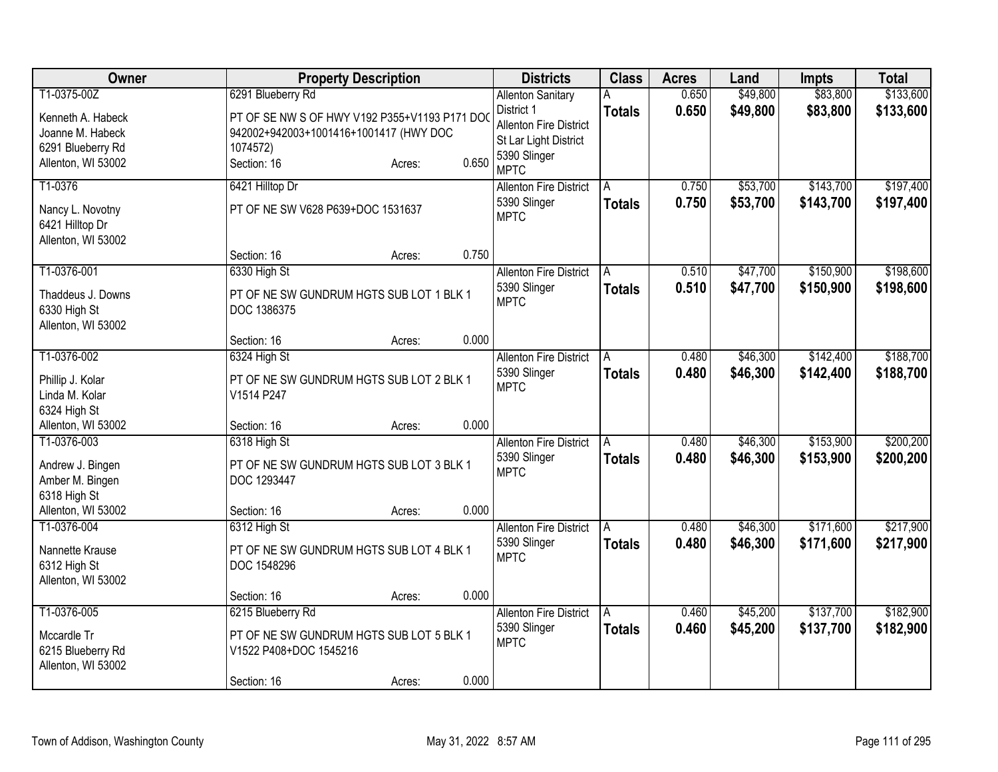| Owner                                                                                           | <b>Property Description</b>                                                                                                                       | <b>Districts</b>                                                                                                                         | <b>Class</b>       | <b>Acres</b>   | Land                 | <b>Impts</b>           | <b>Total</b>           |
|-------------------------------------------------------------------------------------------------|---------------------------------------------------------------------------------------------------------------------------------------------------|------------------------------------------------------------------------------------------------------------------------------------------|--------------------|----------------|----------------------|------------------------|------------------------|
| T1-0375-00Z<br>Kenneth A. Habeck<br>Joanne M. Habeck<br>6291 Blueberry Rd<br>Allenton, WI 53002 | 6291 Blueberry Rd<br>PT OF SE NW S OF HWY V192 P355+V1193 P171 DOC<br>942002+942003+1001416+1001417 (HWY DOC<br>1074572)<br>Section: 16<br>Acres: | <b>Allenton Sanitary</b><br>District 1<br><b>Allenton Fire District</b><br>St Lar Light District<br>5390 Slinger<br>0.650<br><b>MPTC</b> | А<br><b>Totals</b> | 0.650<br>0.650 | \$49,800<br>\$49,800 | \$83,800<br>\$83,800   | \$133,600<br>\$133,600 |
| T1-0376<br>Nancy L. Novotny<br>6421 Hilltop Dr<br>Allenton, WI 53002                            | 6421 Hilltop Dr<br>PT OF NE SW V628 P639+DOC 1531637<br>Section: 16<br>Acres:                                                                     | <b>Allenton Fire District</b><br>5390 Slinger<br><b>MPTC</b><br>0.750                                                                    | Α<br><b>Totals</b> | 0.750<br>0.750 | \$53,700<br>\$53,700 | \$143,700<br>\$143,700 | \$197,400<br>\$197,400 |
| T1-0376-001<br>Thaddeus J. Downs<br>6330 High St<br>Allenton, WI 53002                          | 6330 High St<br>PT OF NE SW GUNDRUM HGTS SUB LOT 1 BLK 1<br>DOC 1386375                                                                           | <b>Allenton Fire District</b><br>5390 Slinger<br><b>MPTC</b>                                                                             | A<br><b>Totals</b> | 0.510<br>0.510 | \$47,700<br>\$47,700 | \$150,900<br>\$150,900 | \$198,600<br>\$198,600 |
|                                                                                                 | Section: 16<br>Acres:                                                                                                                             | 0.000                                                                                                                                    |                    |                |                      |                        |                        |
| T1-0376-002<br>Phillip J. Kolar<br>Linda M. Kolar<br>6324 High St                               | 6324 High St<br>PT OF NE SW GUNDRUM HGTS SUB LOT 2 BLK 1<br>V1514 P247                                                                            | <b>Allenton Fire District</b><br>5390 Slinger<br><b>MPTC</b>                                                                             | <b>Totals</b>      | 0.480<br>0.480 | \$46,300<br>\$46,300 | \$142,400<br>\$142,400 | \$188,700<br>\$188,700 |
| Allenton, WI 53002                                                                              | Section: 16<br>Acres:                                                                                                                             | 0.000                                                                                                                                    |                    |                |                      |                        |                        |
| T1-0376-003<br>Andrew J. Bingen<br>Amber M. Bingen<br>6318 High St                              | 6318 High St<br>PT OF NE SW GUNDRUM HGTS SUB LOT 3 BLK 1<br>DOC 1293447                                                                           | <b>Allenton Fire District</b><br>5390 Slinger<br><b>MPTC</b>                                                                             | A<br><b>Totals</b> | 0.480<br>0.480 | \$46,300<br>\$46,300 | \$153,900<br>\$153,900 | \$200,200<br>\$200,200 |
| Allenton, WI 53002                                                                              | Section: 16<br>Acres:                                                                                                                             | 0.000                                                                                                                                    |                    |                |                      |                        |                        |
| T1-0376-004<br>Nannette Krause<br>6312 High St<br>Allenton, WI 53002                            | 6312 High St<br>PT OF NE SW GUNDRUM HGTS SUB LOT 4 BLK 1<br>DOC 1548296                                                                           | <b>Allenton Fire District</b><br>5390 Slinger<br><b>MPTC</b>                                                                             | A<br><b>Totals</b> | 0.480<br>0.480 | \$46,300<br>\$46,300 | \$171,600<br>\$171,600 | \$217,900<br>\$217,900 |
|                                                                                                 | Section: 16<br>Acres:                                                                                                                             | 0.000                                                                                                                                    |                    |                |                      |                        |                        |
| T1-0376-005<br>Mccardle Tr<br>6215 Blueberry Rd<br>Allenton, WI 53002                           | 6215 Blueberry Rd<br>PT OF NE SW GUNDRUM HGTS SUB LOT 5 BLK 1<br>V1522 P408+DOC 1545216<br>Section: 16<br>Acres:                                  | <b>Allenton Fire District</b><br>5390 Slinger<br><b>MPTC</b><br>0.000                                                                    | A<br><b>Totals</b> | 0.460<br>0.460 | \$45,200<br>\$45,200 | \$137,700<br>\$137,700 | \$182,900<br>\$182,900 |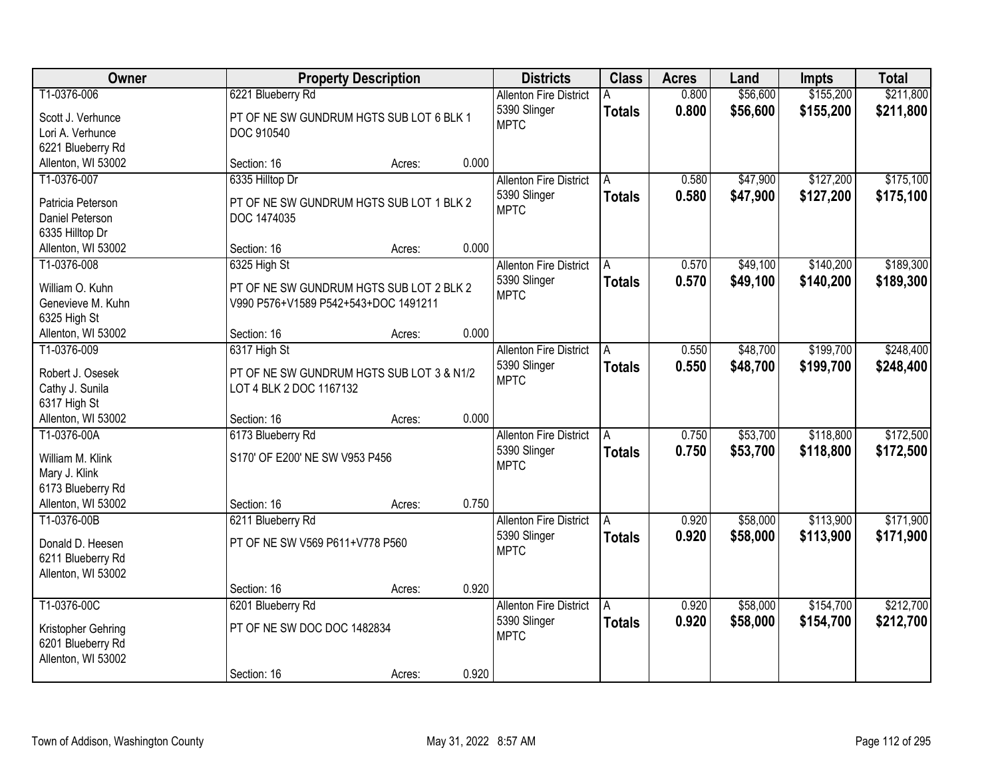| Owner                                                                                       |                                                                                                  | <b>Property Description</b> |       | <b>Districts</b>                                             | <b>Class</b>       | <b>Acres</b>   | Land                 | <b>Impts</b>           | <b>Total</b>           |
|---------------------------------------------------------------------------------------------|--------------------------------------------------------------------------------------------------|-----------------------------|-------|--------------------------------------------------------------|--------------------|----------------|----------------------|------------------------|------------------------|
| T1-0376-006<br>Scott J. Verhunce<br>Lori A. Verhunce<br>6221 Blueberry Rd                   | 6221 Blueberry Rd<br>PT OF NE SW GUNDRUM HGTS SUB LOT 6 BLK 1<br>DOC 910540                      |                             |       | <b>Allenton Fire District</b><br>5390 Slinger<br><b>MPTC</b> | <b>Totals</b>      | 0.800<br>0.800 | \$56,600<br>\$56,600 | \$155,200<br>\$155,200 | \$211,800<br>\$211,800 |
| Allenton, WI 53002                                                                          | Section: 16                                                                                      | Acres:                      | 0.000 |                                                              |                    |                |                      |                        |                        |
| T1-0376-007<br>Patricia Peterson<br>Daniel Peterson<br>6335 Hilltop Dr                      | 6335 Hilltop Dr<br>PT OF NE SW GUNDRUM HGTS SUB LOT 1 BLK 2<br>DOC 1474035                       |                             |       | <b>Allenton Fire District</b><br>5390 Slinger<br><b>MPTC</b> | A<br><b>Totals</b> | 0.580<br>0.580 | \$47,900<br>\$47,900 | \$127,200<br>\$127,200 | \$175,100<br>\$175,100 |
| Allenton, WI 53002                                                                          | Section: 16                                                                                      | Acres:                      | 0.000 |                                                              |                    |                |                      |                        |                        |
| T1-0376-008<br>William O. Kuhn<br>Genevieve M. Kuhn<br>6325 High St                         | 6325 High St<br>PT OF NE SW GUNDRUM HGTS SUB LOT 2 BLK 2<br>V990 P576+V1589 P542+543+DOC 1491211 |                             |       | <b>Allenton Fire District</b><br>5390 Slinger<br><b>MPTC</b> | A<br><b>Totals</b> | 0.570<br>0.570 | \$49,100<br>\$49,100 | \$140,200<br>\$140,200 | \$189,300<br>\$189,300 |
| Allenton, WI 53002                                                                          | Section: 16                                                                                      | Acres:                      | 0.000 |                                                              |                    |                |                      |                        |                        |
| T1-0376-009<br>Robert J. Osesek<br>Cathy J. Sunila<br>6317 High St                          | 6317 High St<br>PT OF NE SW GUNDRUM HGTS SUB LOT 3 & N1/2<br>LOT 4 BLK 2 DOC 1167132             |                             |       | <b>Allenton Fire District</b><br>5390 Slinger<br><b>MPTC</b> | Α<br><b>Totals</b> | 0.550<br>0.550 | \$48,700<br>\$48,700 | \$199,700<br>\$199,700 | \$248,400<br>\$248,400 |
| Allenton, WI 53002                                                                          | Section: 16                                                                                      | Acres:                      | 0.000 |                                                              |                    |                |                      |                        |                        |
| T1-0376-00A<br>William M. Klink<br>Mary J. Klink<br>6173 Blueberry Rd<br>Allenton, WI 53002 | 6173 Blueberry Rd<br>S170' OF E200' NE SW V953 P456<br>Section: 16                               | Acres:                      | 0.750 | <b>Allenton Fire District</b><br>5390 Slinger<br><b>MPTC</b> | A<br><b>Totals</b> | 0.750<br>0.750 | \$53,700<br>\$53,700 | \$118,800<br>\$118,800 | \$172,500<br>\$172,500 |
| T1-0376-00B                                                                                 | 6211 Blueberry Rd                                                                                |                             |       | <b>Allenton Fire District</b>                                | A                  | 0.920          | \$58,000             | \$113,900              | \$171,900              |
| Donald D. Heesen<br>6211 Blueberry Rd<br>Allenton, WI 53002                                 | PT OF NE SW V569 P611+V778 P560                                                                  |                             |       | 5390 Slinger<br><b>MPTC</b>                                  | <b>Totals</b>      | 0.920          | \$58,000             | \$113,900              | \$171,900              |
|                                                                                             | Section: 16                                                                                      | Acres:                      | 0.920 |                                                              |                    |                |                      |                        |                        |
| T1-0376-00C<br>Kristopher Gehring<br>6201 Blueberry Rd<br>Allenton, WI 53002                | 6201 Blueberry Rd<br>PT OF NE SW DOC DOC 1482834<br>Section: 16                                  | Acres:                      | 0.920 | <b>Allenton Fire District</b><br>5390 Slinger<br><b>MPTC</b> | A<br><b>Totals</b> | 0.920<br>0.920 | \$58,000<br>\$58,000 | \$154,700<br>\$154,700 | \$212,700<br>\$212,700 |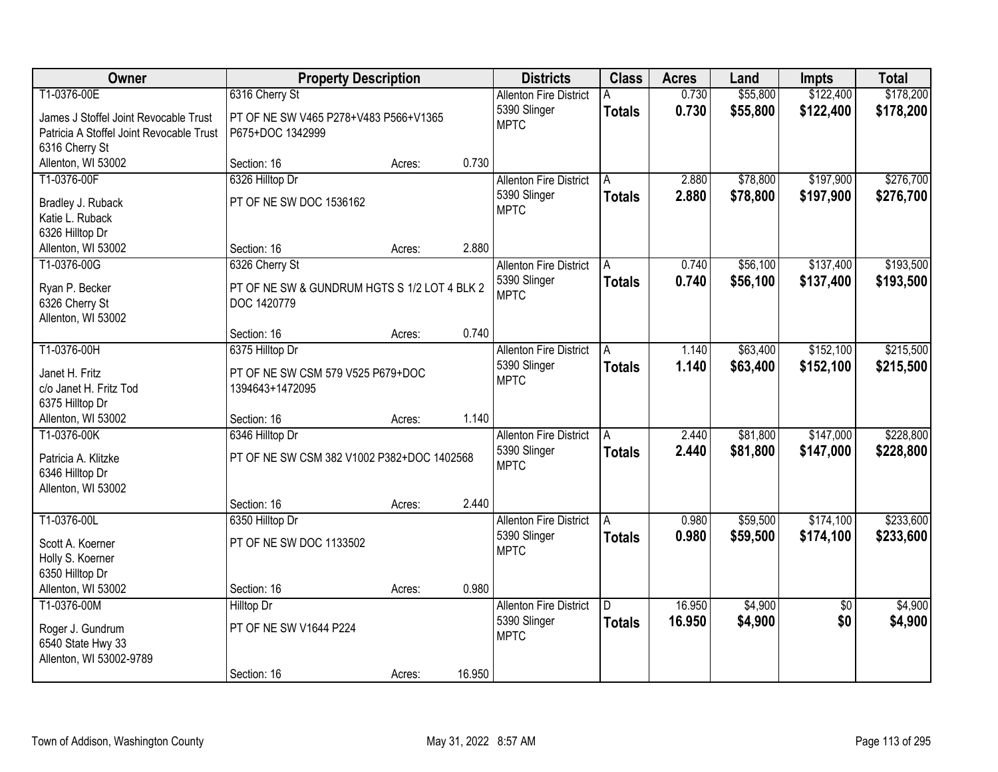| Owner                                    | <b>Property Description</b>                                 |        |        | <b>Districts</b>              | <b>Class</b>  | <b>Acres</b> | Land     | <b>Impts</b>    | <b>Total</b> |
|------------------------------------------|-------------------------------------------------------------|--------|--------|-------------------------------|---------------|--------------|----------|-----------------|--------------|
| T1-0376-00E                              | 6316 Cherry St                                              |        |        | <b>Allenton Fire District</b> |               | 0.730        | \$55,800 | \$122,400       | \$178,200    |
| James J Stoffel Joint Revocable Trust    | PT OF NE SW V465 P278+V483 P566+V1365                       |        |        | 5390 Slinger                  | <b>Totals</b> | 0.730        | \$55,800 | \$122,400       | \$178,200    |
| Patricia A Stoffel Joint Revocable Trust | P675+DOC 1342999                                            |        |        | <b>MPTC</b>                   |               |              |          |                 |              |
| 6316 Cherry St                           |                                                             |        |        |                               |               |              |          |                 |              |
| Allenton, WI 53002                       | Section: 16                                                 | Acres: | 0.730  |                               |               |              |          |                 |              |
| T1-0376-00F                              | 6326 Hilltop Dr                                             |        |        | <b>Allenton Fire District</b> | A             | 2.880        | \$78,800 | \$197,900       | \$276,700    |
| Bradley J. Ruback                        | PT OF NE SW DOC 1536162                                     |        |        | 5390 Slinger                  | <b>Totals</b> | 2.880        | \$78,800 | \$197,900       | \$276,700    |
| Katie L. Ruback                          |                                                             |        |        | <b>MPTC</b>                   |               |              |          |                 |              |
| 6326 Hilltop Dr                          |                                                             |        |        |                               |               |              |          |                 |              |
| Allenton, WI 53002                       | Section: 16                                                 | Acres: | 2.880  |                               |               |              |          |                 |              |
| T1-0376-00G                              | 6326 Cherry St                                              |        |        | <b>Allenton Fire District</b> | A             | 0.740        | \$56,100 | \$137,400       | \$193,500    |
|                                          |                                                             |        |        | 5390 Slinger                  | <b>Totals</b> | 0.740        | \$56,100 | \$137,400       | \$193,500    |
| Ryan P. Becker<br>6326 Cherry St         | PT OF NE SW & GUNDRUM HGTS S 1/2 LOT 4 BLK 2<br>DOC 1420779 |        |        | <b>MPTC</b>                   |               |              |          |                 |              |
| Allenton, WI 53002                       |                                                             |        |        |                               |               |              |          |                 |              |
|                                          | Section: 16                                                 | Acres: | 0.740  |                               |               |              |          |                 |              |
| T1-0376-00H                              | 6375 Hilltop Dr                                             |        |        | <b>Allenton Fire District</b> | A             | 1.140        | \$63,400 | \$152,100       | \$215,500    |
|                                          |                                                             |        |        | 5390 Slinger                  | <b>Totals</b> | 1.140        | \$63,400 | \$152,100       | \$215,500    |
| Janet H. Fritz                           | PT OF NE SW CSM 579 V525 P679+DOC                           |        |        | <b>MPTC</b>                   |               |              |          |                 |              |
| c/o Janet H. Fritz Tod                   | 1394643+1472095                                             |        |        |                               |               |              |          |                 |              |
| 6375 Hilltop Dr<br>Allenton, WI 53002    | Section: 16                                                 | Acres: | 1.140  |                               |               |              |          |                 |              |
| T1-0376-00K                              | 6346 Hilltop Dr                                             |        |        | <b>Allenton Fire District</b> |               | 2.440        | \$81,800 | \$147,000       | \$228,800    |
|                                          |                                                             |        |        | 5390 Slinger                  | <b>Totals</b> | 2.440        | \$81,800 | \$147,000       | \$228,800    |
| Patricia A. Klitzke                      | PT OF NE SW CSM 382 V1002 P382+DOC 1402568                  |        |        | <b>MPTC</b>                   |               |              |          |                 |              |
| 6346 Hilltop Dr                          |                                                             |        |        |                               |               |              |          |                 |              |
| Allenton, WI 53002                       |                                                             |        |        |                               |               |              |          |                 |              |
|                                          | Section: 16                                                 | Acres: | 2.440  |                               |               |              |          |                 |              |
| T1-0376-00L                              | 6350 Hilltop Dr                                             |        |        | <b>Allenton Fire District</b> | A             | 0.980        | \$59,500 | \$174,100       | \$233,600    |
| Scott A. Koerner                         | PT OF NE SW DOC 1133502                                     |        |        | 5390 Slinger<br><b>MPTC</b>   | <b>Totals</b> | 0.980        | \$59,500 | \$174,100       | \$233,600    |
| Holly S. Koerner                         |                                                             |        |        |                               |               |              |          |                 |              |
| 6350 Hilltop Dr                          |                                                             |        |        |                               |               |              |          |                 |              |
| Allenton, WI 53002                       | Section: 16                                                 | Acres: | 0.980  |                               |               |              |          |                 |              |
| T1-0376-00M                              | <b>Hilltop Dr</b>                                           |        |        | <b>Allenton Fire District</b> | D.            | 16.950       | \$4,900  | $\overline{30}$ | \$4,900      |
| Roger J. Gundrum                         | PT OF NE SW V1644 P224                                      |        |        | 5390 Slinger                  | <b>Totals</b> | 16.950       | \$4,900  | \$0             | \$4,900      |
| 6540 State Hwy 33                        |                                                             |        |        | <b>MPTC</b>                   |               |              |          |                 |              |
| Allenton, WI 53002-9789                  |                                                             |        |        |                               |               |              |          |                 |              |
|                                          | Section: 16                                                 | Acres: | 16.950 |                               |               |              |          |                 |              |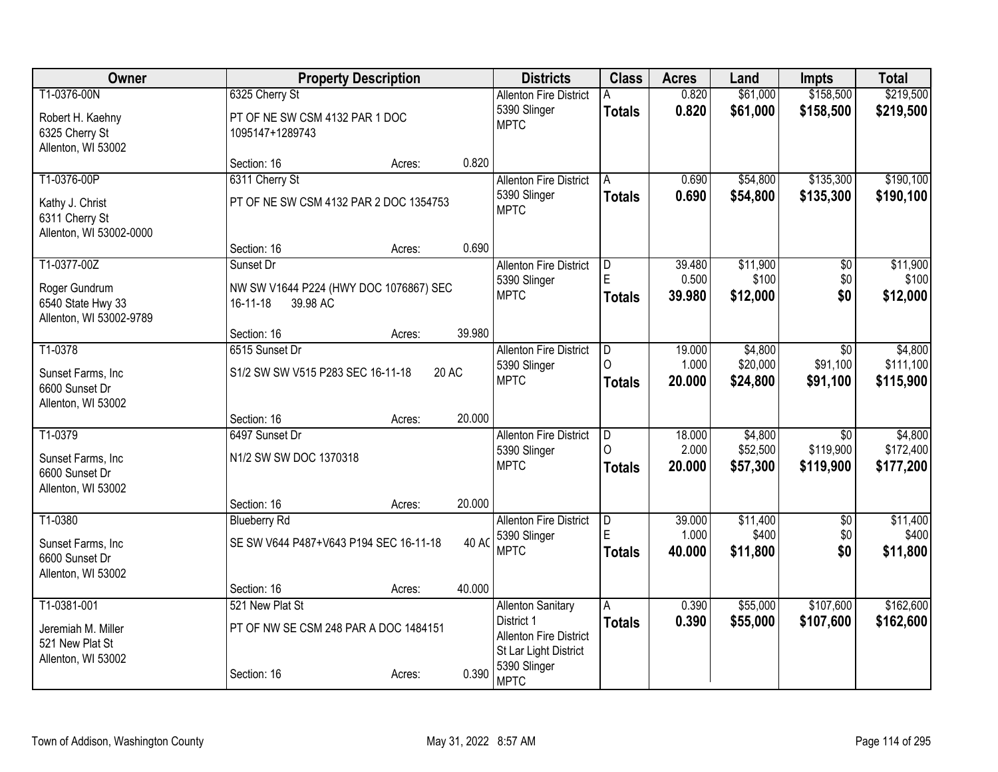| Owner                   |                                        | <b>Property Description</b> |        | <b>Districts</b>                            | <b>Class</b>            | <b>Acres</b> | Land     | Impts           | <b>Total</b> |
|-------------------------|----------------------------------------|-----------------------------|--------|---------------------------------------------|-------------------------|--------------|----------|-----------------|--------------|
| T1-0376-00N             | 6325 Cherry St                         |                             |        | <b>Allenton Fire District</b>               |                         | 0.820        | \$61,000 | \$158,500       | \$219,500    |
| Robert H. Kaehny        | PT OF NE SW CSM 4132 PAR 1 DOC         |                             |        | 5390 Slinger                                | <b>Totals</b>           | 0.820        | \$61,000 | \$158,500       | \$219,500    |
| 6325 Cherry St          | 1095147+1289743                        |                             |        | <b>MPTC</b>                                 |                         |              |          |                 |              |
| Allenton, WI 53002      |                                        |                             |        |                                             |                         |              |          |                 |              |
|                         | Section: 16                            | Acres:                      | 0.820  |                                             |                         |              |          |                 |              |
| T1-0376-00P             | 6311 Cherry St                         |                             |        | <b>Allenton Fire District</b>               | A                       | 0.690        | \$54,800 | \$135,300       | \$190,100    |
| Kathy J. Christ         | PT OF NE SW CSM 4132 PAR 2 DOC 1354753 |                             |        | 5390 Slinger                                | <b>Totals</b>           | 0.690        | \$54,800 | \$135,300       | \$190,100    |
| 6311 Cherry St          |                                        |                             |        | <b>MPTC</b>                                 |                         |              |          |                 |              |
| Allenton, WI 53002-0000 |                                        |                             |        |                                             |                         |              |          |                 |              |
|                         | Section: 16                            | Acres:                      | 0.690  |                                             |                         |              |          |                 |              |
| T1-0377-00Z             | Sunset Dr                              |                             |        | <b>Allenton Fire District</b>               | D                       | 39.480       | \$11,900 | $\overline{50}$ | \$11,900     |
| Roger Gundrum           | NW SW V1644 P224 (HWY DOC 1076867) SEC |                             |        | 5390 Slinger<br><b>MPTC</b>                 | E                       | 0.500        | \$100    | \$0             | \$100        |
| 6540 State Hwy 33       | 16-11-18<br>39.98 AC                   |                             |        |                                             | <b>Totals</b>           | 39.980       | \$12,000 | \$0             | \$12,000     |
| Allenton, WI 53002-9789 |                                        |                             |        |                                             |                         |              |          |                 |              |
|                         | Section: 16                            | Acres:                      | 39.980 |                                             |                         |              |          |                 |              |
| T1-0378                 | 6515 Sunset Dr                         |                             |        | <b>Allenton Fire District</b>               | $\overline{\mathsf{D}}$ | 19.000       | \$4,800  | \$0             | \$4,800      |
| Sunset Farms, Inc.      | S1/2 SW SW V515 P283 SEC 16-11-18      |                             | 20 AC  | 5390 Slinger<br><b>MPTC</b>                 | ∩                       | 1.000        | \$20,000 | \$91,100        | \$111,100    |
| 6600 Sunset Dr          |                                        |                             |        |                                             | <b>Totals</b>           | 20.000       | \$24,800 | \$91,100        | \$115,900    |
| Allenton, WI 53002      |                                        |                             |        |                                             |                         |              |          |                 |              |
|                         | Section: 16                            | Acres:                      | 20.000 |                                             |                         |              |          |                 |              |
| T1-0379                 | 6497 Sunset Dr                         |                             |        | <b>Allenton Fire District</b>               | D                       | 18.000       | \$4,800  | \$0             | \$4,800      |
| Sunset Farms, Inc.      | N1/2 SW SW DOC 1370318                 |                             |        | 5390 Slinger                                | ∩                       | 2.000        | \$52,500 | \$119,900       | \$172,400    |
| 6600 Sunset Dr          |                                        |                             |        | <b>MPTC</b>                                 | <b>Totals</b>           | 20.000       | \$57,300 | \$119,900       | \$177,200    |
| Allenton, WI 53002      |                                        |                             |        |                                             |                         |              |          |                 |              |
|                         | Section: 16                            | Acres:                      | 20.000 |                                             |                         |              |          |                 |              |
| T1-0380                 | <b>Blueberry Rd</b>                    |                             |        | <b>Allenton Fire District</b>               | $\overline{\mathsf{D}}$ | 39.000       | \$11,400 | $\overline{50}$ | \$11,400     |
| Sunset Farms, Inc       | SE SW V644 P487+V643 P194 SEC 16-11-18 |                             | 40 AC  | 5390 Slinger<br><b>MPTC</b>                 | E                       | 1.000        | \$400    | \$0             | \$400        |
| 6600 Sunset Dr          |                                        |                             |        |                                             | <b>Totals</b>           | 40.000       | \$11,800 | \$0             | \$11,800     |
| Allenton, WI 53002      |                                        |                             |        |                                             |                         |              |          |                 |              |
|                         | Section: 16                            | Acres:                      | 40.000 |                                             |                         |              |          |                 |              |
| T1-0381-001             | 521 New Plat St                        |                             |        | <b>Allenton Sanitary</b>                    | А                       | 0.390        | \$55,000 | \$107,600       | \$162,600    |
| Jeremiah M. Miller      | PT OF NW SE CSM 248 PAR A DOC 1484151  |                             |        | District 1<br><b>Allenton Fire District</b> | <b>Totals</b>           | 0.390        | \$55,000 | \$107,600       | \$162,600    |
| 521 New Plat St         |                                        |                             |        | St Lar Light District                       |                         |              |          |                 |              |
| Allenton, WI 53002      |                                        |                             |        | 5390 Slinger                                |                         |              |          |                 |              |
|                         | Section: 16                            | Acres:                      | 0.390  | <b>MPTC</b>                                 |                         |              |          |                 |              |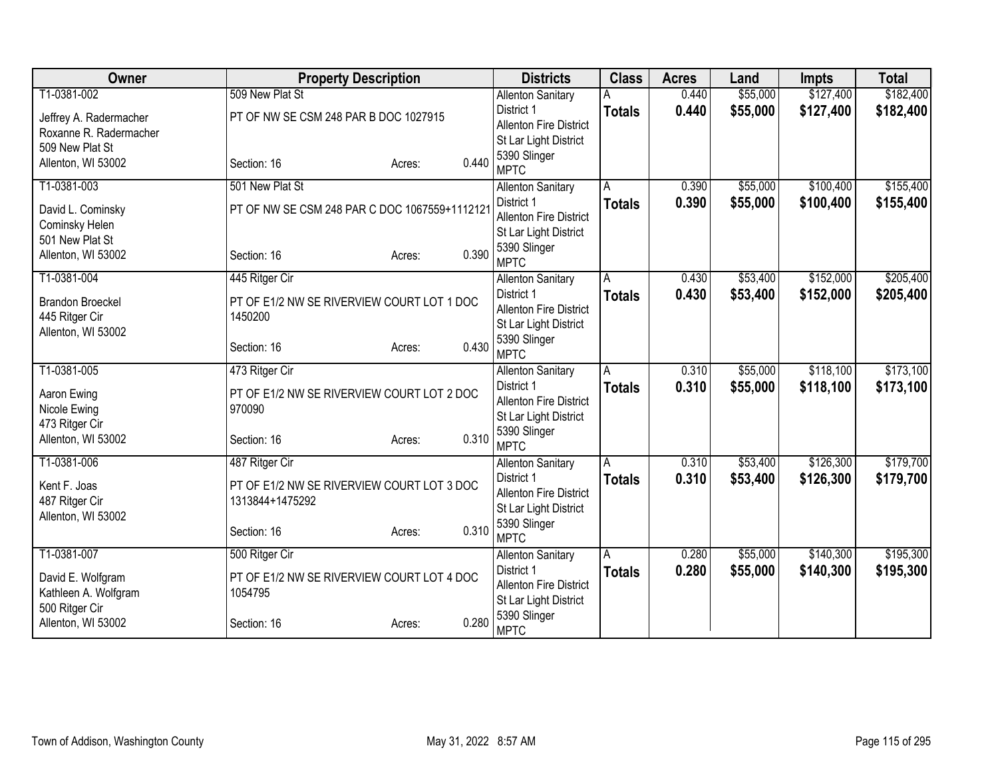| Owner                   | <b>Property Description</b>                   | <b>Districts</b>                            | <b>Class</b>  | <b>Acres</b> | Land     | <b>Impts</b> | <b>Total</b> |
|-------------------------|-----------------------------------------------|---------------------------------------------|---------------|--------------|----------|--------------|--------------|
| T1-0381-002             | 509 New Plat St                               | <b>Allenton Sanitary</b>                    |               | 0.440        | \$55,000 | \$127,400    | \$182,400    |
| Jeffrey A. Radermacher  | PT OF NW SE CSM 248 PAR B DOC 1027915         | District 1                                  | <b>Totals</b> | 0.440        | \$55,000 | \$127,400    | \$182,400    |
| Roxanne R. Radermacher  |                                               | <b>Allenton Fire District</b>               |               |              |          |              |              |
| 509 New Plat St         |                                               | St Lar Light District                       |               |              |          |              |              |
| Allenton, WI 53002      | Section: 16<br>Acres:                         | 5390 Slinger<br>0.440                       |               |              |          |              |              |
|                         |                                               | <b>MPTC</b>                                 |               |              |          |              |              |
| T1-0381-003             | 501 New Plat St                               | <b>Allenton Sanitary</b>                    | Α             | 0.390        | \$55,000 | \$100,400    | \$155,400    |
| David L. Cominsky       | PT OF NW SE CSM 248 PAR C DOC 1067559+1112121 | District 1<br><b>Allenton Fire District</b> | <b>Totals</b> | 0.390        | \$55,000 | \$100,400    | \$155,400    |
| Cominsky Helen          |                                               | St Lar Light District                       |               |              |          |              |              |
| 501 New Plat St         |                                               | 5390 Slinger                                |               |              |          |              |              |
| Allenton, WI 53002      | Section: 16<br>Acres:                         | 0.390<br><b>MPTC</b>                        |               |              |          |              |              |
| T1-0381-004             | 445 Ritger Cir                                | <b>Allenton Sanitary</b>                    | A             | 0.430        | \$53,400 | \$152,000    | \$205,400    |
| <b>Brandon Broeckel</b> | PT OF E1/2 NW SE RIVERVIEW COURT LOT 1 DOC    | District 1                                  | <b>Totals</b> | 0.430        | \$53,400 | \$152,000    | \$205,400    |
| 445 Ritger Cir          | 1450200                                       | Allenton Fire District                      |               |              |          |              |              |
| Allenton, WI 53002      |                                               | St Lar Light District                       |               |              |          |              |              |
|                         | Section: 16<br>Acres:                         | 5390 Slinger<br>0.430                       |               |              |          |              |              |
|                         |                                               | <b>MPTC</b>                                 |               |              |          |              |              |
| T1-0381-005             | 473 Ritger Cir                                | <b>Allenton Sanitary</b>                    | Α             | 0.310        | \$55,000 | \$118,100    | \$173,100    |
| Aaron Ewing             | PT OF E1/2 NW SE RIVERVIEW COURT LOT 2 DOC    | District 1                                  | <b>Totals</b> | 0.310        | \$55,000 | \$118,100    | \$173,100    |
| Nicole Ewing            | 970090                                        | Allenton Fire District                      |               |              |          |              |              |
| 473 Ritger Cir          |                                               | St Lar Light District<br>5390 Slinger       |               |              |          |              |              |
| Allenton, WI 53002      | Section: 16<br>Acres:                         | 0.310<br><b>MPTC</b>                        |               |              |          |              |              |
| T1-0381-006             | 487 Ritger Cir                                | <b>Allenton Sanitary</b>                    | A             | 0.310        | \$53,400 | \$126,300    | \$179,700    |
|                         |                                               | District 1                                  | <b>Totals</b> | 0.310        | \$53,400 | \$126,300    | \$179,700    |
| Kent F. Joas            | PT OF E1/2 NW SE RIVERVIEW COURT LOT 3 DOC    | Allenton Fire District                      |               |              |          |              |              |
| 487 Ritger Cir          | 1313844+1475292                               | St Lar Light District                       |               |              |          |              |              |
| Allenton, WI 53002      | Section: 16<br>Acres:                         | 5390 Slinger<br>0.310                       |               |              |          |              |              |
|                         |                                               | <b>MPTC</b>                                 |               |              |          |              |              |
| T1-0381-007             | 500 Ritger Cir                                | <b>Allenton Sanitary</b>                    | A             | 0.280        | \$55,000 | \$140,300    | \$195,300    |
| David E. Wolfgram       | PT OF E1/2 NW SE RIVERVIEW COURT LOT 4 DOC    | District 1                                  | <b>Totals</b> | 0.280        | \$55,000 | \$140,300    | \$195,300    |
| Kathleen A. Wolfgram    | 1054795                                       | <b>Allenton Fire District</b>               |               |              |          |              |              |
| 500 Ritger Cir          |                                               | St Lar Light District                       |               |              |          |              |              |
| Allenton, WI 53002      | Section: 16<br>Acres:                         | 5390 Slinger<br>0.280<br><b>MPTC</b>        |               |              |          |              |              |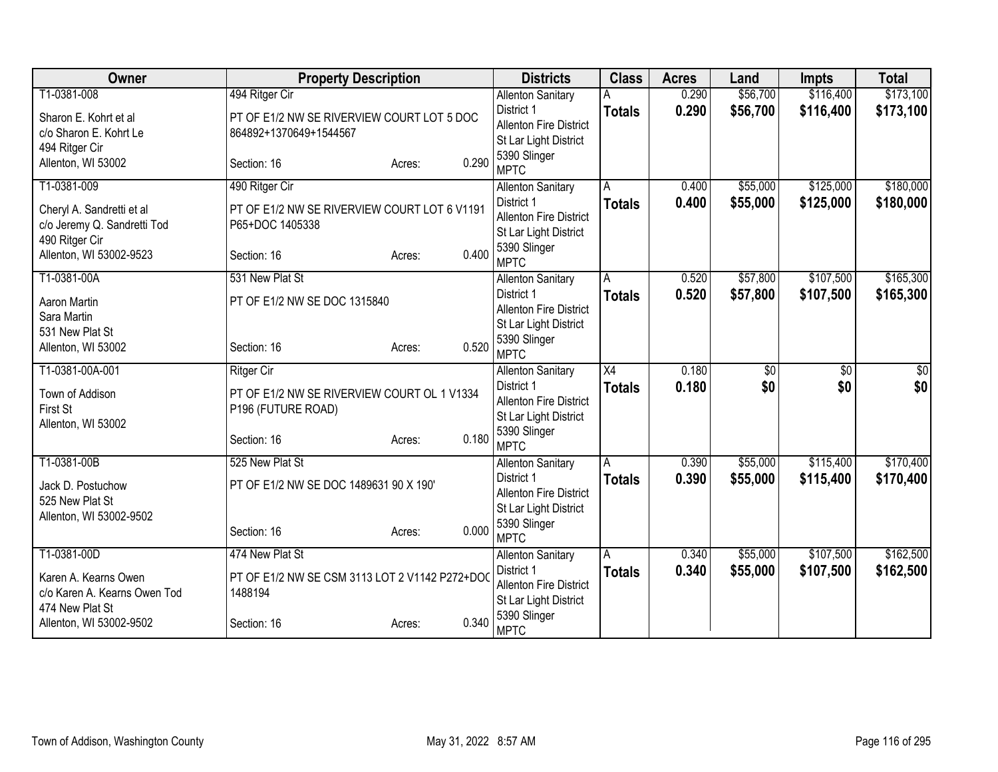| Owner                                | <b>Property Description</b>                    |                 | <b>Districts</b>                      | <b>Class</b>    | <b>Acres</b> | Land            | <b>Impts</b>    | <b>Total</b> |
|--------------------------------------|------------------------------------------------|-----------------|---------------------------------------|-----------------|--------------|-----------------|-----------------|--------------|
| T1-0381-008                          | 494 Ritger Cir                                 |                 | <b>Allenton Sanitary</b>              |                 | 0.290        | \$56,700        | \$116,400       | \$173,100    |
| Sharon E. Kohrt et al                | PT OF E1/2 NW SE RIVERVIEW COURT LOT 5 DOC     |                 | District 1                            | <b>Totals</b>   | 0.290        | \$56,700        | \$116,400       | \$173,100    |
| c/o Sharon E. Kohrt Le               | 864892+1370649+1544567                         |                 | <b>Allenton Fire District</b>         |                 |              |                 |                 |              |
| 494 Ritger Cir                       |                                                |                 | St Lar Light District                 |                 |              |                 |                 |              |
| Allenton, WI 53002                   | Section: 16                                    | 0.290<br>Acres: | 5390 Slinger<br><b>MPTC</b>           |                 |              |                 |                 |              |
| T1-0381-009                          | 490 Ritger Cir                                 |                 | <b>Allenton Sanitary</b>              | Α               | 0.400        | \$55,000        | \$125,000       | \$180,000    |
|                                      |                                                |                 | District 1                            | <b>Totals</b>   | 0.400        | \$55,000        | \$125,000       | \$180,000    |
| Cheryl A. Sandretti et al            | PT OF E1/2 NW SE RIVERVIEW COURT LOT 6 V1191   |                 | <b>Allenton Fire District</b>         |                 |              |                 |                 |              |
| c/o Jeremy Q. Sandretti Tod          | P65+DOC 1405338                                |                 | St Lar Light District                 |                 |              |                 |                 |              |
| 490 Ritger Cir                       |                                                |                 | 5390 Slinger                          |                 |              |                 |                 |              |
| Allenton, WI 53002-9523              | Section: 16                                    | 0.400<br>Acres: | <b>MPTC</b>                           |                 |              |                 |                 |              |
| T1-0381-00A                          | 531 New Plat St                                |                 | <b>Allenton Sanitary</b>              | A               | 0.520        | \$57,800        | \$107,500       | \$165,300    |
| Aaron Martin                         | PT OF E1/2 NW SE DOC 1315840                   |                 | District 1                            | <b>Totals</b>   | 0.520        | \$57,800        | \$107,500       | \$165,300    |
| Sara Martin                          |                                                |                 | Allenton Fire District                |                 |              |                 |                 |              |
| 531 New Plat St                      |                                                |                 | St Lar Light District                 |                 |              |                 |                 |              |
| Allenton, WI 53002                   | Section: 16                                    | 0.520<br>Acres: | 5390 Slinger                          |                 |              |                 |                 |              |
|                                      |                                                |                 | <b>MPTC</b>                           |                 |              |                 |                 |              |
| T1-0381-00A-001                      | <b>Ritger Cir</b>                              |                 | <b>Allenton Sanitary</b>              | $\overline{X4}$ | 0.180        | $\overline{60}$ | $\overline{50}$ | \$0          |
| Town of Addison                      | PT OF E1/2 NW SE RIVERVIEW COURT OL 1 V1334    |                 | District 1<br>Allenton Fire District  | <b>Totals</b>   | 0.180        | \$0             | \$0             | \$0          |
| First St                             | P196 (FUTURE ROAD)                             |                 | St Lar Light District                 |                 |              |                 |                 |              |
| Allenton, WI 53002                   |                                                |                 | 5390 Slinger                          |                 |              |                 |                 |              |
|                                      | Section: 16                                    | 0.180<br>Acres: | <b>MPTC</b>                           |                 |              |                 |                 |              |
| T1-0381-00B                          | 525 New Plat St                                |                 | <b>Allenton Sanitary</b>              | A               | 0.390        | \$55,000        | \$115,400       | \$170,400    |
|                                      |                                                |                 | District 1                            | <b>Totals</b>   | 0.390        | \$55,000        | \$115,400       | \$170,400    |
| Jack D. Postuchow<br>525 New Plat St | PT OF E1/2 NW SE DOC 1489631 90 X 190'         |                 | Allenton Fire District                |                 |              |                 |                 |              |
| Allenton, WI 53002-9502              |                                                |                 | St Lar Light District                 |                 |              |                 |                 |              |
|                                      | Section: 16                                    | 0.000<br>Acres: | 5390 Slinger                          |                 |              |                 |                 |              |
|                                      |                                                |                 | <b>MPTC</b>                           |                 |              |                 |                 |              |
| T1-0381-00D                          | 474 New Plat St                                |                 | <b>Allenton Sanitary</b>              | A               | 0.340        | \$55,000        | \$107,500       | \$162,500    |
| Karen A. Kearns Owen                 | PT OF E1/2 NW SE CSM 3113 LOT 2 V1142 P272+DO0 |                 | District 1                            | <b>Totals</b>   | 0.340        | \$55,000        | \$107,500       | \$162,500    |
| c/o Karen A. Kearns Owen Tod         | 1488194                                        |                 | <b>Allenton Fire District</b>         |                 |              |                 |                 |              |
| 474 New Plat St                      |                                                |                 | St Lar Light District<br>5390 Slinger |                 |              |                 |                 |              |
| Allenton, WI 53002-9502              | Section: 16                                    | 0.340<br>Acres: | <b>MPTC</b>                           |                 |              |                 |                 |              |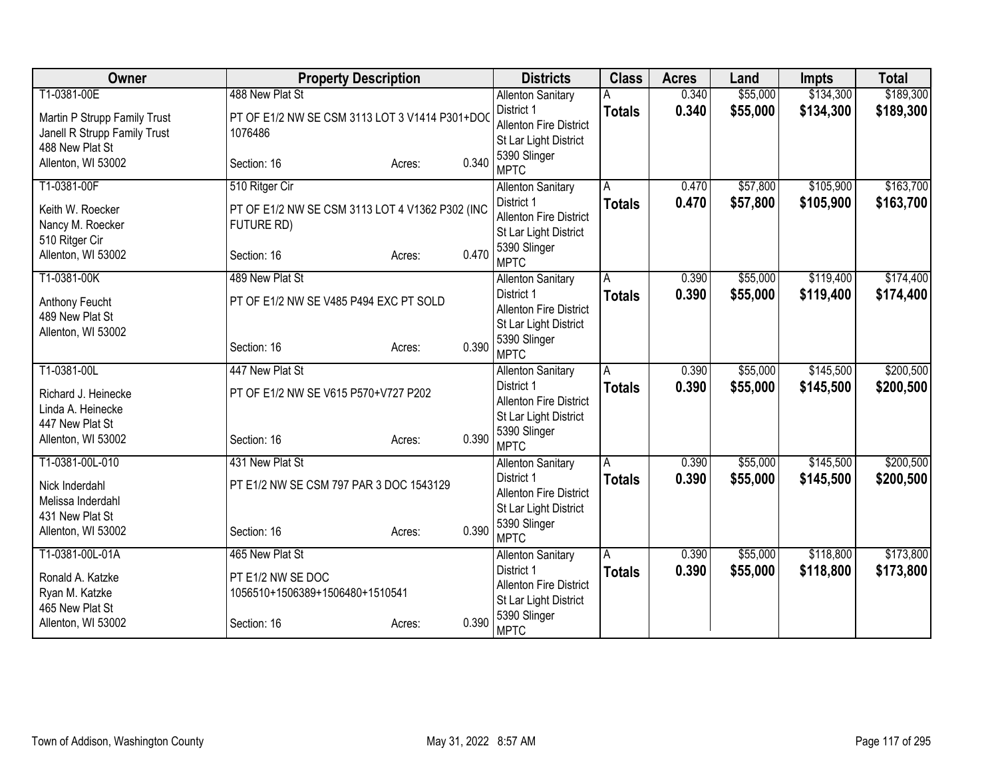| <b>Owner</b>                          | <b>Property Description</b>                     |        |       | <b>Districts</b>                            | <b>Class</b>  | <b>Acres</b> | Land     | <b>Impts</b> | <b>Total</b> |
|---------------------------------------|-------------------------------------------------|--------|-------|---------------------------------------------|---------------|--------------|----------|--------------|--------------|
| T1-0381-00E                           | 488 New Plat St                                 |        |       | <b>Allenton Sanitary</b>                    |               | 0.340        | \$55,000 | \$134,300    | \$189,300    |
| Martin P Strupp Family Trust          | PT OF E1/2 NW SE CSM 3113 LOT 3 V1414 P301+DO   |        |       | District 1                                  | <b>Totals</b> | 0.340        | \$55,000 | \$134,300    | \$189,300    |
| Janell R Strupp Family Trust          | 1076486                                         |        |       | <b>Allenton Fire District</b>               |               |              |          |              |              |
| 488 New Plat St                       |                                                 |        |       | St Lar Light District                       |               |              |          |              |              |
| Allenton, WI 53002                    | Section: 16                                     | Acres: | 0.340 | 5390 Slinger                                |               |              |          |              |              |
|                                       |                                                 |        |       | <b>MPTC</b>                                 |               |              |          |              |              |
| T1-0381-00F                           | 510 Ritger Cir                                  |        |       | <b>Allenton Sanitary</b>                    | A             | 0.470        | \$57,800 | \$105,900    | \$163,700    |
| Keith W. Roecker                      | PT OF E1/2 NW SE CSM 3113 LOT 4 V1362 P302 (INC |        |       | District 1                                  | <b>Totals</b> | 0.470        | \$57,800 | \$105,900    | \$163,700    |
| Nancy M. Roecker                      | FUTURE RD)                                      |        |       | <b>Allenton Fire District</b>               |               |              |          |              |              |
| 510 Ritger Cir                        |                                                 |        |       | St Lar Light District                       |               |              |          |              |              |
| Allenton, WI 53002                    | Section: 16                                     | Acres: | 0.470 | 5390 Slinger<br><b>MPTC</b>                 |               |              |          |              |              |
| T1-0381-00K                           | 489 New Plat St                                 |        |       | <b>Allenton Sanitary</b>                    | A             | 0.390        | \$55,000 | \$119,400    | \$174,400    |
|                                       |                                                 |        |       | District 1                                  | <b>Totals</b> | 0.390        | \$55,000 | \$119,400    | \$174,400    |
| Anthony Feucht                        | PT OF E1/2 NW SE V485 P494 EXC PT SOLD          |        |       | <b>Allenton Fire District</b>               |               |              |          |              |              |
| 489 New Plat St<br>Allenton, WI 53002 |                                                 |        |       | St Lar Light District                       |               |              |          |              |              |
|                                       | Section: 16                                     | Acres: | 0.390 | 5390 Slinger                                |               |              |          |              |              |
|                                       |                                                 |        |       | <b>MPTC</b>                                 |               |              |          |              |              |
| T1-0381-00L                           | 447 New Plat St                                 |        |       | <b>Allenton Sanitary</b>                    | A             | 0.390        | \$55,000 | \$145,500    | \$200,500    |
| Richard J. Heinecke                   | PT OF E1/2 NW SE V615 P570+V727 P202            |        |       | District 1                                  | <b>Totals</b> | 0.390        | \$55,000 | \$145,500    | \$200,500    |
| Linda A. Heinecke                     |                                                 |        |       | <b>Allenton Fire District</b>               |               |              |          |              |              |
| 447 New Plat St                       |                                                 |        |       | St Lar Light District                       |               |              |          |              |              |
| Allenton, WI 53002                    | Section: 16                                     | Acres: | 0.390 | 5390 Slinger                                |               |              |          |              |              |
|                                       |                                                 |        |       | <b>MPTC</b>                                 |               |              |          |              |              |
| T1-0381-00L-010                       | 431 New Plat St                                 |        |       | <b>Allenton Sanitary</b>                    | A             | 0.390        | \$55,000 | \$145,500    | \$200,500    |
| Nick Inderdahl                        | PT E1/2 NW SE CSM 797 PAR 3 DOC 1543129         |        |       | District 1<br><b>Allenton Fire District</b> | <b>Totals</b> | 0.390        | \$55,000 | \$145,500    | \$200,500    |
| Melissa Inderdahl                     |                                                 |        |       | St Lar Light District                       |               |              |          |              |              |
| 431 New Plat St                       |                                                 |        |       | 5390 Slinger                                |               |              |          |              |              |
| Allenton, WI 53002                    | Section: 16                                     | Acres: | 0.390 | <b>MPTC</b>                                 |               |              |          |              |              |
| T1-0381-00L-01A                       | 465 New Plat St                                 |        |       | <b>Allenton Sanitary</b>                    | A             | 0.390        | \$55,000 | \$118,800    | \$173,800    |
| Ronald A. Katzke                      | PT E1/2 NW SE DOC                               |        |       | District 1                                  | <b>Totals</b> | 0.390        | \$55,000 | \$118,800    | \$173,800    |
| Ryan M. Katzke                        | 1056510+1506389+1506480+1510541                 |        |       | <b>Allenton Fire District</b>               |               |              |          |              |              |
| 465 New Plat St                       |                                                 |        |       | St Lar Light District                       |               |              |          |              |              |
| Allenton, WI 53002                    | Section: 16                                     | Acres: | 0.390 | 5390 Slinger                                |               |              |          |              |              |
|                                       |                                                 |        |       | <b>MPTC</b>                                 |               |              |          |              |              |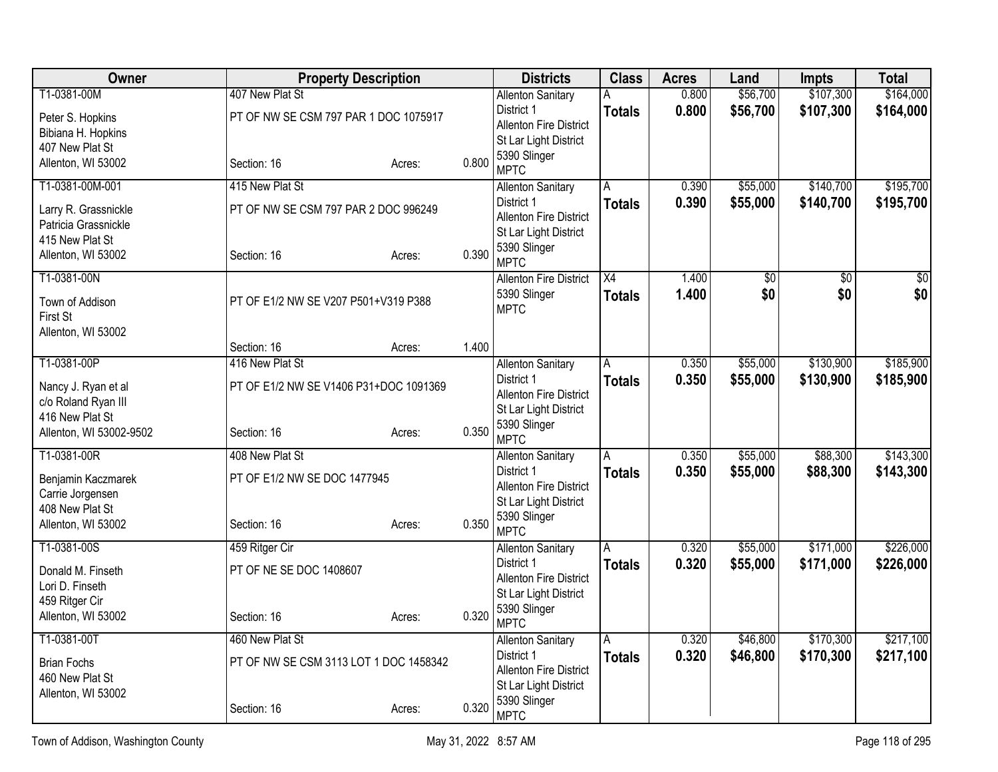| Owner                                      |                                                          | <b>Property Description</b> |       | <b>Districts</b>                                       | <b>Class</b>       | <b>Acres</b>   | Land                 | <b>Impts</b>           | <b>Total</b>           |
|--------------------------------------------|----------------------------------------------------------|-----------------------------|-------|--------------------------------------------------------|--------------------|----------------|----------------------|------------------------|------------------------|
| T1-0381-00M                                | 407 New Plat St<br>PT OF NW SE CSM 797 PAR 1 DOC 1075917 |                             |       | <b>Allenton Sanitary</b><br>District 1                 | Α<br><b>Totals</b> | 0.800<br>0.800 | \$56,700<br>\$56,700 | \$107,300<br>\$107,300 | \$164,000<br>\$164,000 |
| Peter S. Hopkins<br>Bibiana H. Hopkins     |                                                          |                             |       | <b>Allenton Fire District</b><br>St Lar Light District |                    |                |                      |                        |                        |
| 407 New Plat St<br>Allenton, WI 53002      | Section: 16                                              | Acres:                      | 0.800 | 5390 Slinger<br><b>MPTC</b>                            |                    |                |                      |                        |                        |
| T1-0381-00M-001                            | 415 New Plat St                                          |                             |       | <b>Allenton Sanitary</b>                               | A                  | 0.390          | \$55,000             | \$140,700              | \$195,700              |
| Larry R. Grassnickle                       | PT OF NW SE CSM 797 PAR 2 DOC 996249                     |                             |       | District 1<br>Allenton Fire District                   | <b>Totals</b>      | 0.390          | \$55,000             | \$140,700              | \$195,700              |
| Patricia Grassnickle<br>415 New Plat St    |                                                          |                             |       | St Lar Light District                                  |                    |                |                      |                        |                        |
| Allenton, WI 53002                         | Section: 16                                              | Acres:                      | 0.390 | 5390 Slinger<br><b>MPTC</b>                            |                    |                |                      |                        |                        |
| T1-0381-00N                                |                                                          |                             |       | <b>Allenton Fire District</b>                          | X4                 | 1.400          | \$0                  | \$0                    | \$0                    |
| Town of Addison<br>First St                | PT OF E1/2 NW SE V207 P501+V319 P388                     |                             |       | 5390 Slinger<br><b>MPTC</b>                            | <b>Totals</b>      | 1.400          | \$0                  | \$0                    | \$0                    |
| Allenton, WI 53002                         |                                                          |                             |       |                                                        |                    |                |                      |                        |                        |
| T1-0381-00P                                | Section: 16<br>416 New Plat St                           | Acres:                      | 1.400 | <b>Allenton Sanitary</b>                               | Α                  | 0.350          | \$55,000             | \$130,900              | \$185,900              |
|                                            |                                                          |                             |       | District 1                                             | <b>Totals</b>      | 0.350          | \$55,000             | \$130,900              | \$185,900              |
| Nancy J. Ryan et al<br>c/o Roland Ryan III | PT OF E1/2 NW SE V1406 P31+DOC 1091369                   |                             |       | <b>Allenton Fire District</b>                          |                    |                |                      |                        |                        |
| 416 New Plat St                            |                                                          |                             |       | St Lar Light District                                  |                    |                |                      |                        |                        |
| Allenton, WI 53002-9502                    | Section: 16                                              | Acres:                      | 0.350 | 5390 Slinger<br><b>MPTC</b>                            |                    |                |                      |                        |                        |
| T1-0381-00R                                | 408 New Plat St                                          |                             |       | <b>Allenton Sanitary</b>                               | A                  | 0.350          | \$55,000             | \$88,300               | \$143,300              |
| Benjamin Kaczmarek                         | PT OF E1/2 NW SE DOC 1477945                             |                             |       | District 1<br><b>Allenton Fire District</b>            | <b>Totals</b>      | 0.350          | \$55,000             | \$88,300               | \$143,300              |
| Carrie Jorgensen                           |                                                          |                             |       | St Lar Light District                                  |                    |                |                      |                        |                        |
| 408 New Plat St<br>Allenton, WI 53002      | Section: 16                                              | Acres:                      | 0.350 | 5390 Slinger                                           |                    |                |                      |                        |                        |
|                                            |                                                          |                             |       | <b>MPTC</b>                                            |                    |                |                      |                        |                        |
| T1-0381-00S                                | 459 Ritger Cir                                           |                             |       | <b>Allenton Sanitary</b><br>District 1                 | <b>Totals</b>      | 0.320<br>0.320 | \$55,000<br>\$55,000 | \$171,000<br>\$171,000 | \$226,000<br>\$226,000 |
| Donald M. Finseth                          | PT OF NE SE DOC 1408607                                  |                             |       | <b>Allenton Fire District</b>                          |                    |                |                      |                        |                        |
| Lori D. Finseth<br>459 Ritger Cir          |                                                          |                             |       | St Lar Light District                                  |                    |                |                      |                        |                        |
| Allenton, WI 53002                         | Section: 16                                              | Acres:                      | 0.320 | 5390 Slinger<br><b>MPTC</b>                            |                    |                |                      |                        |                        |
| T1-0381-00T                                | 460 New Plat St                                          |                             |       | <b>Allenton Sanitary</b>                               | A                  | 0.320          | \$46,800             | \$170,300              | \$217,100              |
| <b>Brian Fochs</b>                         | PT OF NW SE CSM 3113 LOT 1 DOC 1458342                   |                             |       | District 1                                             | <b>Totals</b>      | 0.320          | \$46,800             | \$170,300              | \$217,100              |
| 460 New Plat St                            |                                                          |                             |       | Allenton Fire District<br>St Lar Light District        |                    |                |                      |                        |                        |
| Allenton, WI 53002                         | Section: 16                                              | Acres:                      | 0.320 | 5390 Slinger<br><b>MPTC</b>                            |                    |                |                      |                        |                        |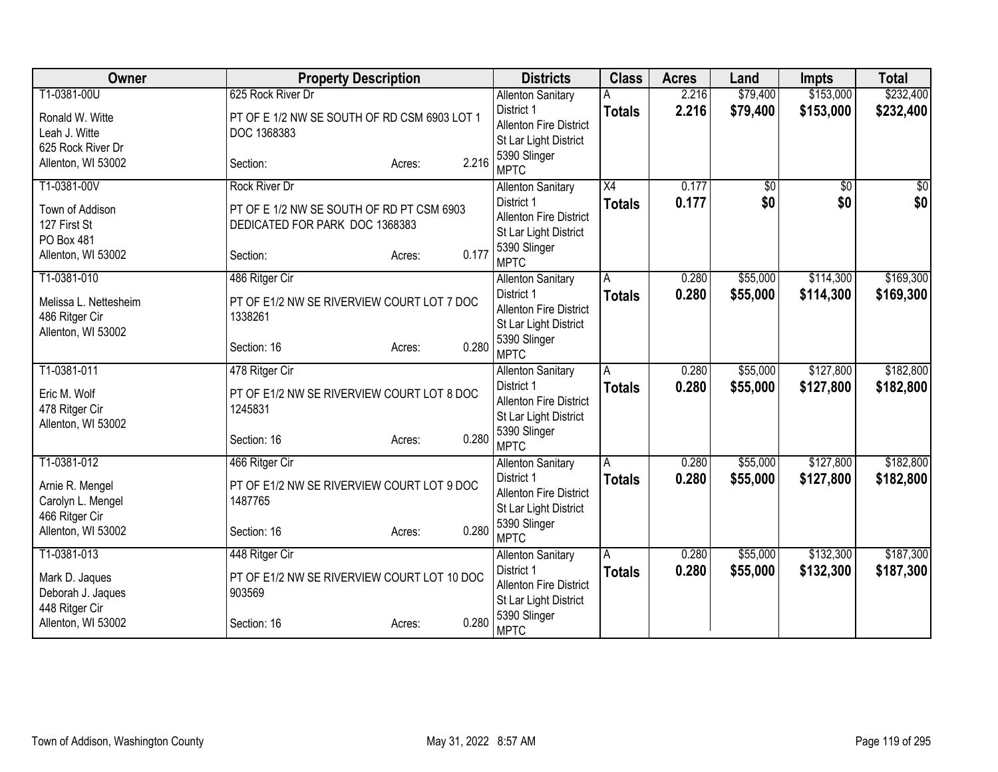| Owner                               | <b>Property Description</b>                           | <b>Districts</b>                      | <b>Class</b>    | <b>Acres</b> | Land            | <b>Impts</b>    | <b>Total</b>     |
|-------------------------------------|-------------------------------------------------------|---------------------------------------|-----------------|--------------|-----------------|-----------------|------------------|
| T1-0381-00U                         | 625 Rock River Dr                                     | <b>Allenton Sanitary</b>              |                 | 2.216        | \$79,400        | \$153,000       | \$232,400        |
| Ronald W. Witte                     | PT OF E 1/2 NW SE SOUTH OF RD CSM 6903 LOT 1          | District 1                            | <b>Totals</b>   | 2.216        | \$79,400        | \$153,000       | \$232,400        |
| Leah J. Witte                       | DOC 1368383                                           | <b>Allenton Fire District</b>         |                 |              |                 |                 |                  |
| 625 Rock River Dr                   |                                                       | St Lar Light District<br>5390 Slinger |                 |              |                 |                 |                  |
| Allenton, WI 53002                  | 2.216<br>Section:<br>Acres:                           | <b>MPTC</b>                           |                 |              |                 |                 |                  |
| T1-0381-00V                         | <b>Rock River Dr</b>                                  | <b>Allenton Sanitary</b>              | $\overline{X4}$ | 0.177        | $\overline{50}$ | $\overline{30}$ | $\overline{\$0}$ |
| Town of Addison                     | PT OF E 1/2 NW SE SOUTH OF RD PT CSM 6903             | District 1                            | <b>Totals</b>   | 0.177        | \$0             | \$0             | \$0              |
| 127 First St                        | DEDICATED FOR PARK DOC 1368383                        | <b>Allenton Fire District</b>         |                 |              |                 |                 |                  |
| PO Box 481                          |                                                       | St Lar Light District                 |                 |              |                 |                 |                  |
| Allenton, WI 53002                  | 0.177<br>Section:<br>Acres:                           | 5390 Slinger<br><b>MPTC</b>           |                 |              |                 |                 |                  |
| T1-0381-010                         | 486 Ritger Cir                                        | <b>Allenton Sanitary</b>              | A               | 0.280        | \$55,000        | \$114,300       | \$169,300        |
| Melissa L. Nettesheim               | PT OF E1/2 NW SE RIVERVIEW COURT LOT 7 DOC            | District 1                            | <b>Totals</b>   | 0.280        | \$55,000        | \$114,300       | \$169,300        |
| 486 Ritger Cir                      | 1338261                                               | <b>Allenton Fire District</b>         |                 |              |                 |                 |                  |
| Allenton, WI 53002                  |                                                       | St Lar Light District                 |                 |              |                 |                 |                  |
|                                     | 0.280<br>Section: 16<br>Acres:                        | 5390 Slinger<br><b>MPTC</b>           |                 |              |                 |                 |                  |
| T1-0381-011                         | 478 Ritger Cir                                        | <b>Allenton Sanitary</b>              | A               | 0.280        | \$55,000        | \$127,800       | \$182,800        |
|                                     |                                                       | District 1                            | <b>Totals</b>   | 0.280        | \$55,000        | \$127,800       | \$182,800        |
| Eric M. Wolf                        | PT OF E1/2 NW SE RIVERVIEW COURT LOT 8 DOC            | <b>Allenton Fire District</b>         |                 |              |                 |                 |                  |
| 478 Ritger Cir                      | 1245831                                               | St Lar Light District                 |                 |              |                 |                 |                  |
| Allenton, WI 53002                  | 0.280<br>Section: 16                                  | 5390 Slinger                          |                 |              |                 |                 |                  |
|                                     | Acres:                                                | <b>MPTC</b>                           |                 |              |                 |                 |                  |
| T1-0381-012                         | 466 Ritger Cir                                        | <b>Allenton Sanitary</b>              | A               | 0.280        | \$55,000        | \$127,800       | \$182,800        |
| Arnie R. Mengel                     | PT OF E1/2 NW SE RIVERVIEW COURT LOT 9 DOC            | District 1                            | <b>Totals</b>   | 0.280        | \$55,000        | \$127,800       | \$182,800        |
| Carolyn L. Mengel                   | 1487765                                               | <b>Allenton Fire District</b>         |                 |              |                 |                 |                  |
| 466 Ritger Cir                      |                                                       | St Lar Light District                 |                 |              |                 |                 |                  |
| Allenton, WI 53002                  | 0.280<br>Section: 16<br>Acres:                        | 5390 Slinger<br><b>MPTC</b>           |                 |              |                 |                 |                  |
| T1-0381-013                         | 448 Ritger Cir                                        | <b>Allenton Sanitary</b>              | Α               | 0.280        | \$55,000        | \$132,300       | \$187,300        |
|                                     |                                                       | District 1                            | <b>Totals</b>   | 0.280        | \$55,000        | \$132,300       | \$187,300        |
| Mark D. Jaques                      | PT OF E1/2 NW SE RIVERVIEW COURT LOT 10 DOC<br>903569 | <b>Allenton Fire District</b>         |                 |              |                 |                 |                  |
| Deborah J. Jaques<br>448 Ritger Cir |                                                       | St Lar Light District                 |                 |              |                 |                 |                  |
| Allenton, WI 53002                  | 0.280<br>Section: 16<br>Acres:                        | 5390 Slinger<br><b>MPTC</b>           |                 |              |                 |                 |                  |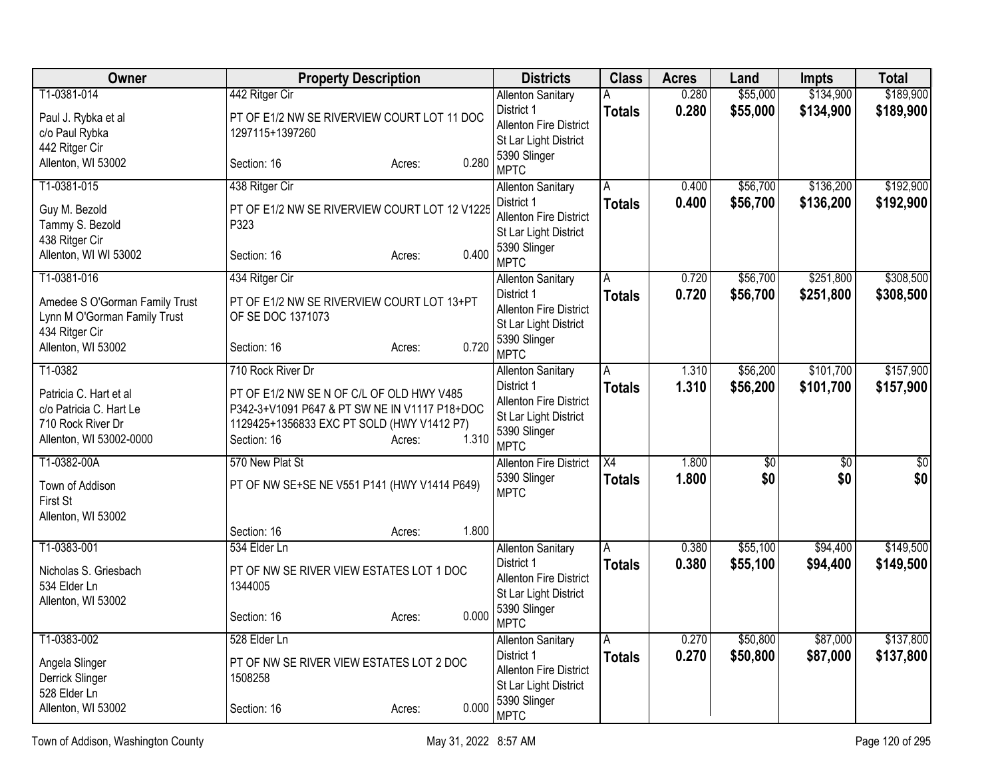| Owner                          | <b>Property Description</b>                   | <b>Districts</b>                                       | <b>Class</b>    | <b>Acres</b>   | Land                 | <b>Impts</b>         | <b>Total</b>           |
|--------------------------------|-----------------------------------------------|--------------------------------------------------------|-----------------|----------------|----------------------|----------------------|------------------------|
| T1-0381-014                    | 442 Ritger Cir                                | <b>Allenton Sanitary</b>                               | А               | 0.280          | \$55,000             | \$134,900            | \$189,900              |
| Paul J. Rybka et al            | PT OF E1/2 NW SE RIVERVIEW COURT LOT 11 DOC   | District 1                                             | <b>Totals</b>   | 0.280          | \$55,000             | \$134,900            | \$189,900              |
| c/o Paul Rybka                 | 1297115+1397260                               | Allenton Fire District<br>St Lar Light District        |                 |                |                      |                      |                        |
| 442 Ritger Cir                 |                                               | 5390 Slinger                                           |                 |                |                      |                      |                        |
| Allenton, WI 53002             | 0.280<br>Section: 16<br>Acres:                | <b>MPTC</b>                                            |                 |                |                      |                      |                        |
| T1-0381-015                    | 438 Ritger Cir                                | <b>Allenton Sanitary</b>                               | Α               | 0.400          | \$56,700             | \$136,200            | \$192,900              |
| Guy M. Bezold                  | PT OF E1/2 NW SE RIVERVIEW COURT LOT 12 V1225 | District 1                                             | <b>Totals</b>   | 0.400          | \$56,700             | \$136,200            | \$192,900              |
| Tammy S. Bezold                | P323                                          | <b>Allenton Fire District</b>                          |                 |                |                      |                      |                        |
| 438 Ritger Cir                 |                                               | St Lar Light District<br>5390 Slinger                  |                 |                |                      |                      |                        |
| Allenton, WI WI 53002          | 0.400<br>Section: 16<br>Acres:                | <b>MPTC</b>                                            |                 |                |                      |                      |                        |
| T1-0381-016                    | 434 Ritger Cir                                | <b>Allenton Sanitary</b>                               | A               | 0.720          | \$56,700             | \$251,800            | \$308,500              |
| Amedee S O'Gorman Family Trust | PT OF E1/2 NW SE RIVERVIEW COURT LOT 13+PT    | District 1                                             | <b>Totals</b>   | 0.720          | \$56,700             | \$251,800            | \$308,500              |
| Lynn M O'Gorman Family Trust   | OF SE DOC 1371073                             | <b>Allenton Fire District</b><br>St Lar Light District |                 |                |                      |                      |                        |
| 434 Ritger Cir                 |                                               | 5390 Slinger                                           |                 |                |                      |                      |                        |
| Allenton, WI 53002             | 0.720<br>Section: 16<br>Acres:                | <b>MPTC</b>                                            |                 |                |                      |                      |                        |
| T1-0382                        | 710 Rock River Dr                             | <b>Allenton Sanitary</b>                               | Α               | 1.310          | \$56,200             | \$101,700            | \$157,900              |
| Patricia C. Hart et al         | PT OF E1/2 NW SE N OF C/L OF OLD HWY V485     | District 1                                             | <b>Totals</b>   | 1.310          | \$56,200             | \$101,700            | \$157,900              |
| c/o Patricia C. Hart Le        | P342-3+V1091 P647 & PT SW NE IN V1117 P18+DOC | <b>Allenton Fire District</b><br>St Lar Light District |                 |                |                      |                      |                        |
| 710 Rock River Dr              | 1129425+1356833 EXC PT SOLD (HWY V1412 P7)    | 5390 Slinger                                           |                 |                |                      |                      |                        |
| Allenton, WI 53002-0000        | 1.310<br>Section: 16<br>Acres:                | <b>MPTC</b>                                            |                 |                |                      |                      |                        |
| T1-0382-00A                    | 570 New Plat St                               | <b>Allenton Fire District</b>                          | $\overline{X4}$ | 1.800          | $\sqrt{50}$          | $\overline{50}$      | $\overline{50}$        |
| Town of Addison                | PT OF NW SE+SE NE V551 P141 (HWY V1414 P649)  | 5390 Slinger                                           | <b>Totals</b>   | 1.800          | \$0                  | \$0                  | \$0                    |
| First St                       |                                               | <b>MPTC</b>                                            |                 |                |                      |                      |                        |
| Allenton, WI 53002             |                                               |                                                        |                 |                |                      |                      |                        |
|                                | 1.800<br>Section: 16<br>Acres:                |                                                        |                 |                |                      |                      |                        |
| T1-0383-001                    | 534 Elder Ln                                  | <b>Allenton Sanitary</b><br>District 1                 | A               | 0.380<br>0.380 | \$55,100<br>\$55,100 | \$94,400<br>\$94,400 | \$149,500<br>\$149,500 |
| Nicholas S. Griesbach          | PT OF NW SE RIVER VIEW ESTATES LOT 1 DOC      | Allenton Fire District                                 | <b>Totals</b>   |                |                      |                      |                        |
| 534 Elder Ln                   | 1344005                                       | St Lar Light District                                  |                 |                |                      |                      |                        |
| Allenton, WI 53002             | 0.000<br>Section: 16<br>Acres:                | 5390 Slinger                                           |                 |                |                      |                      |                        |
|                                |                                               | <b>MPTC</b>                                            |                 |                |                      |                      |                        |
| T1-0383-002                    | 528 Elder Ln                                  | <b>Allenton Sanitary</b><br>District 1                 | A               | 0.270          | \$50,800             | \$87,000             | \$137,800              |
| Angela Slinger                 | PT OF NW SE RIVER VIEW ESTATES LOT 2 DOC      | Allenton Fire District                                 | <b>Totals</b>   | 0.270          | \$50,800             | \$87,000             | \$137,800              |
| Derrick Slinger                | 1508258                                       | St Lar Light District                                  |                 |                |                      |                      |                        |
| 528 Elder Ln                   |                                               | 5390 Slinger                                           |                 |                |                      |                      |                        |
| Allenton, WI 53002             | 0.000<br>Section: 16<br>Acres:                | <b>MPTC</b>                                            |                 |                |                      |                      |                        |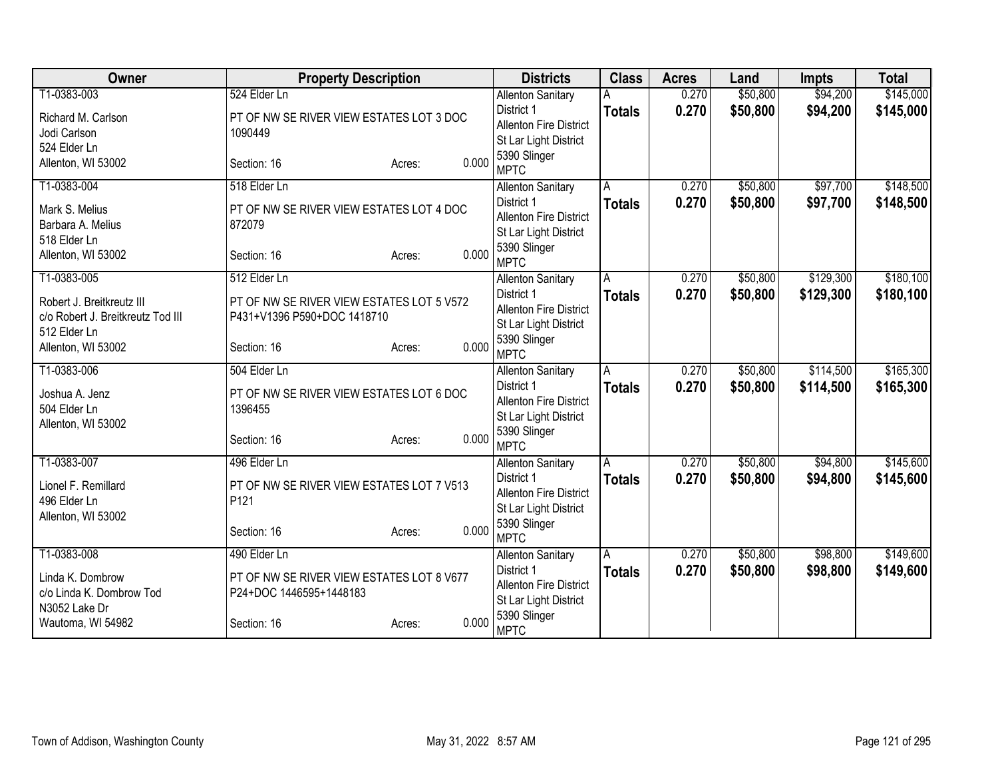| Owner                             | <b>Property Description</b>               |                 | <b>Districts</b>                       | <b>Class</b>  | <b>Acres</b> | Land     | <b>Impts</b> | <b>Total</b> |
|-----------------------------------|-------------------------------------------|-----------------|----------------------------------------|---------------|--------------|----------|--------------|--------------|
| T1-0383-003                       | 524 Elder Ln                              |                 | <b>Allenton Sanitary</b>               |               | 0.270        | \$50,800 | \$94,200     | \$145,000    |
| Richard M. Carlson                | PT OF NW SE RIVER VIEW ESTATES LOT 3 DOC  |                 | District 1                             | <b>Totals</b> | 0.270        | \$50,800 | \$94,200     | \$145,000    |
| Jodi Carlson                      | 1090449                                   |                 | <b>Allenton Fire District</b>          |               |              |          |              |              |
| 524 Elder Ln                      |                                           |                 | St Lar Light District<br>5390 Slinger  |               |              |          |              |              |
| Allenton, WI 53002                | Section: 16                               | 0.000<br>Acres: | <b>MPTC</b>                            |               |              |          |              |              |
| T1-0383-004                       | 518 Elder Ln                              |                 | <b>Allenton Sanitary</b>               | A             | 0.270        | \$50,800 | \$97,700     | \$148,500    |
| Mark S. Melius                    | PT OF NW SE RIVER VIEW ESTATES LOT 4 DOC  |                 | District 1                             | <b>Totals</b> | 0.270        | \$50,800 | \$97,700     | \$148,500    |
| Barbara A. Melius                 | 872079                                    |                 | <b>Allenton Fire District</b>          |               |              |          |              |              |
| 518 Elder Ln                      |                                           |                 | St Lar Light District                  |               |              |          |              |              |
| Allenton, WI 53002                | Section: 16                               | 0.000<br>Acres: | 5390 Slinger<br><b>MPTC</b>            |               |              |          |              |              |
| T1-0383-005                       | 512 Elder Ln                              |                 | <b>Allenton Sanitary</b>               | A             | 0.270        | \$50,800 | \$129,300    | \$180,100    |
| Robert J. Breitkreutz III         | PT OF NW SE RIVER VIEW ESTATES LOT 5 V572 |                 | District 1                             | <b>Totals</b> | 0.270        | \$50,800 | \$129,300    | \$180,100    |
| c/o Robert J. Breitkreutz Tod III | P431+V1396 P590+DOC 1418710               |                 | <b>Allenton Fire District</b>          |               |              |          |              |              |
| 512 Elder Ln                      |                                           |                 | St Lar Light District                  |               |              |          |              |              |
| Allenton, WI 53002                | Section: 16                               | 0.000<br>Acres: | 5390 Slinger                           |               |              |          |              |              |
| T1-0383-006                       | 504 Elder Ln                              |                 | <b>MPTC</b>                            | A             | 0.270        | \$50,800 | \$114,500    | \$165,300    |
|                                   |                                           |                 | <b>Allenton Sanitary</b><br>District 1 |               | 0.270        | \$50,800 | \$114,500    | \$165,300    |
| Joshua A. Jenz                    | PT OF NW SE RIVER VIEW ESTATES LOT 6 DOC  |                 | <b>Allenton Fire District</b>          | <b>Totals</b> |              |          |              |              |
| 504 Elder Ln                      | 1396455                                   |                 | St Lar Light District                  |               |              |          |              |              |
| Allenton, WI 53002                |                                           |                 | 5390 Slinger                           |               |              |          |              |              |
|                                   | Section: 16                               | 0.000<br>Acres: | <b>MPTC</b>                            |               |              |          |              |              |
| T1-0383-007                       | 496 Elder Ln                              |                 | <b>Allenton Sanitary</b>               | A             | 0.270        | \$50,800 | \$94,800     | \$145,600    |
| Lionel F. Remillard               | PT OF NW SE RIVER VIEW ESTATES LOT 7 V513 |                 | District 1                             | <b>Totals</b> | 0.270        | \$50,800 | \$94,800     | \$145,600    |
| 496 Elder Ln                      | P121                                      |                 | <b>Allenton Fire District</b>          |               |              |          |              |              |
| Allenton, WI 53002                |                                           |                 | St Lar Light District                  |               |              |          |              |              |
|                                   | Section: 16                               | 0.000<br>Acres: | 5390 Slinger<br><b>MPTC</b>            |               |              |          |              |              |
| T1-0383-008                       | 490 Elder Ln                              |                 | <b>Allenton Sanitary</b>               | Α             | 0.270        | \$50,800 | \$98,800     | \$149,600    |
|                                   |                                           |                 | District 1                             | <b>Totals</b> | 0.270        | \$50,800 | \$98,800     | \$149,600    |
| Linda K. Dombrow                  | PT OF NW SE RIVER VIEW ESTATES LOT 8 V677 |                 | <b>Allenton Fire District</b>          |               |              |          |              |              |
| c/o Linda K. Dombrow Tod          | P24+DOC 1446595+1448183                   |                 | St Lar Light District                  |               |              |          |              |              |
| N3052 Lake Dr                     |                                           | 0.000           | 5390 Slinger                           |               |              |          |              |              |
| Wautoma, WI 54982                 | Section: 16                               | Acres:          | <b>MPTC</b>                            |               |              |          |              |              |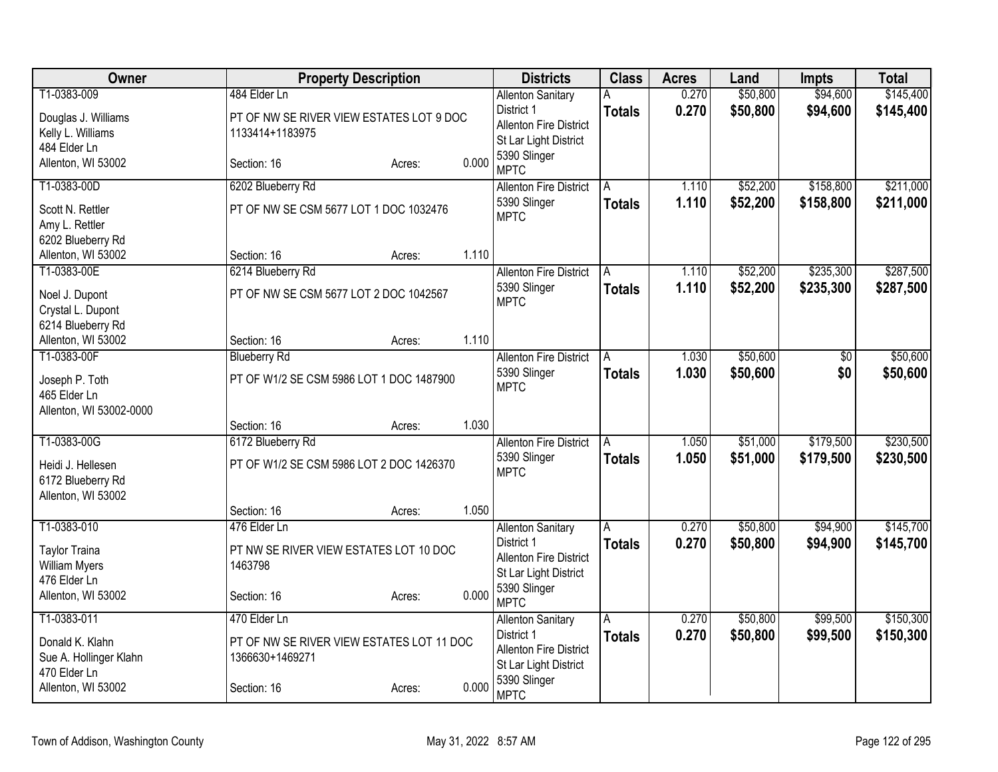| <b>Owner</b>                           |                                           | <b>Property Description</b> |       |                                                        | <b>Class</b>  | <b>Acres</b> | Land     | <b>Impts</b>    | <b>Total</b> |
|----------------------------------------|-------------------------------------------|-----------------------------|-------|--------------------------------------------------------|---------------|--------------|----------|-----------------|--------------|
| T1-0383-009                            | 484 Elder Ln                              |                             |       | <b>Allenton Sanitary</b>                               | Α             | 0.270        | \$50,800 | \$94,600        | \$145,400    |
| Douglas J. Williams                    | PT OF NW SE RIVER VIEW ESTATES LOT 9 DOC  |                             |       | District 1                                             | <b>Totals</b> | 0.270        | \$50,800 | \$94,600        | \$145,400    |
| Kelly L. Williams                      | 1133414+1183975                           |                             |       | <b>Allenton Fire District</b><br>St Lar Light District |               |              |          |                 |              |
| 484 Elder Ln                           |                                           |                             |       | 5390 Slinger                                           |               |              |          |                 |              |
| Allenton, WI 53002                     | Section: 16                               | Acres:                      | 0.000 | <b>MPTC</b>                                            |               |              |          |                 |              |
| T1-0383-00D                            | 6202 Blueberry Rd                         |                             |       | <b>Allenton Fire District</b>                          | A             | 1.110        | \$52,200 | \$158,800       | \$211,000    |
| Scott N. Rettler                       | PT OF NW SE CSM 5677 LOT 1 DOC 1032476    |                             |       | 5390 Slinger<br><b>MPTC</b>                            | <b>Totals</b> | 1.110        | \$52,200 | \$158,800       | \$211,000    |
| Amy L. Rettler                         |                                           |                             |       |                                                        |               |              |          |                 |              |
| 6202 Blueberry Rd                      |                                           |                             |       |                                                        |               |              |          |                 |              |
| Allenton, WI 53002                     | Section: 16                               | Acres:                      | 1.110 |                                                        |               |              |          |                 |              |
| T1-0383-00E                            | 6214 Blueberry Rd                         |                             |       | <b>Allenton Fire District</b>                          | A             | 1.110        | \$52,200 | \$235,300       | \$287,500    |
| Noel J. Dupont                         | PT OF NW SE CSM 5677 LOT 2 DOC 1042567    |                             |       | 5390 Slinger                                           | <b>Totals</b> | 1.110        | \$52,200 | \$235,300       | \$287,500    |
| Crystal L. Dupont                      |                                           |                             |       | <b>MPTC</b>                                            |               |              |          |                 |              |
| 6214 Blueberry Rd                      |                                           |                             |       |                                                        |               |              |          |                 |              |
| Allenton, WI 53002                     | Section: 16                               | Acres:                      | 1.110 |                                                        |               |              |          |                 |              |
| T1-0383-00F                            | <b>Blueberry Rd</b>                       |                             |       | <b>Allenton Fire District</b>                          | A             | 1.030        | \$50,600 | $\overline{50}$ | \$50,600     |
| Joseph P. Toth                         | PT OF W1/2 SE CSM 5986 LOT 1 DOC 1487900  |                             |       | 5390 Slinger                                           | <b>Totals</b> | 1.030        | \$50,600 | \$0             | \$50,600     |
| 465 Elder Ln                           |                                           |                             |       | <b>MPTC</b>                                            |               |              |          |                 |              |
| Allenton, WI 53002-0000                |                                           |                             |       |                                                        |               |              |          |                 |              |
|                                        | Section: 16                               | Acres:                      | 1.030 |                                                        |               |              |          |                 |              |
| T1-0383-00G                            | 6172 Blueberry Rd                         |                             |       | <b>Allenton Fire District</b>                          | A             | 1.050        | \$51,000 | \$179,500       | \$230,500    |
| Heidi J. Hellesen                      | PT OF W1/2 SE CSM 5986 LOT 2 DOC 1426370  |                             |       | 5390 Slinger                                           | <b>Totals</b> | 1.050        | \$51,000 | \$179,500       | \$230,500    |
| 6172 Blueberry Rd                      |                                           |                             |       | <b>MPTC</b>                                            |               |              |          |                 |              |
| Allenton, WI 53002                     |                                           |                             |       |                                                        |               |              |          |                 |              |
|                                        | Section: 16                               | Acres:                      | 1.050 |                                                        |               |              |          |                 |              |
| T1-0383-010                            | 476 Elder Ln                              |                             |       | <b>Allenton Sanitary</b>                               | Α             | 0.270        | \$50,800 | \$94,900        | \$145,700    |
| <b>Taylor Traina</b>                   | PT NW SE RIVER VIEW ESTATES LOT 10 DOC    |                             |       | District 1                                             | <b>Totals</b> | 0.270        | \$50,800 | \$94,900        | \$145,700    |
| <b>William Myers</b>                   | 1463798                                   |                             |       | <b>Allenton Fire District</b>                          |               |              |          |                 |              |
| 476 Elder Ln                           |                                           |                             |       | St Lar Light District                                  |               |              |          |                 |              |
| Allenton, WI 53002                     | Section: 16                               | Acres:                      | 0.000 | 5390 Slinger<br><b>MPTC</b>                            |               |              |          |                 |              |
| T1-0383-011                            | 470 Elder Ln                              |                             |       | <b>Allenton Sanitary</b>                               | A             | 0.270        | \$50,800 | \$99,500        | \$150,300    |
|                                        |                                           |                             |       | District 1                                             | <b>Totals</b> | 0.270        | \$50,800 | \$99,500        | \$150,300    |
| Donald K. Klahn                        | PT OF NW SE RIVER VIEW ESTATES LOT 11 DOC |                             |       | Allenton Fire District                                 |               |              |          |                 |              |
| Sue A. Hollinger Klahn<br>470 Elder Ln | 1366630+1469271                           |                             |       | St Lar Light District                                  |               |              |          |                 |              |
| Allenton, WI 53002                     | Section: 16                               | Acres:                      | 0.000 | 5390 Slinger                                           |               |              |          |                 |              |
|                                        |                                           |                             |       | <b>MPTC</b>                                            |               |              |          |                 |              |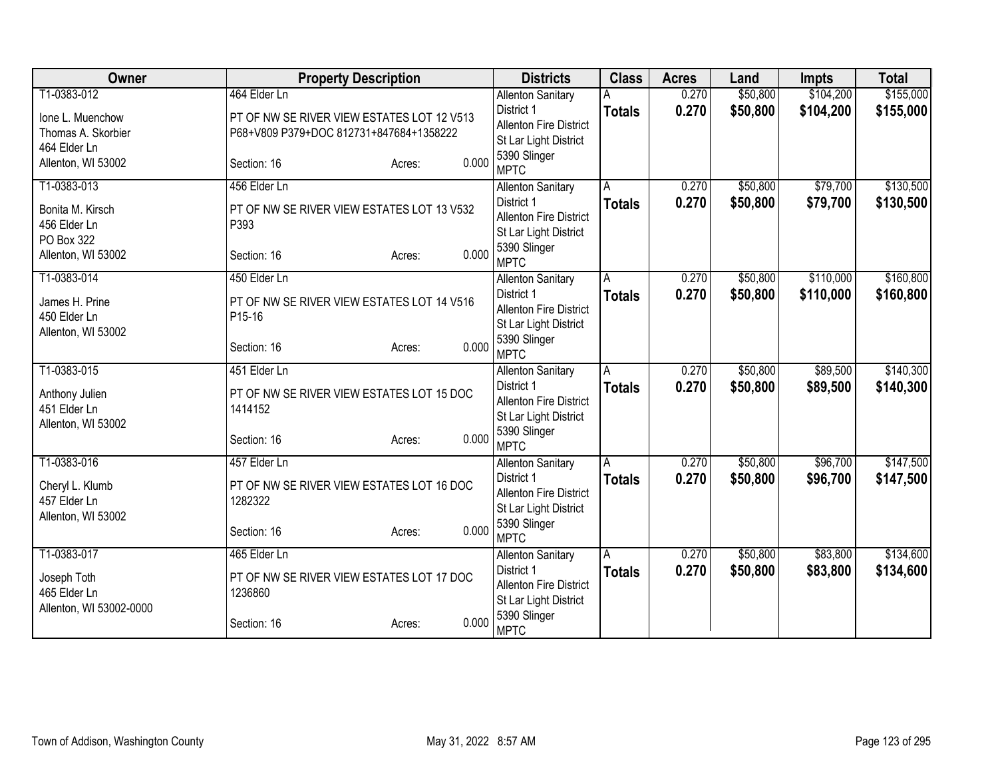| Owner                          | <b>Property Description</b>                          |       | <b>Districts</b>                       | <b>Class</b>  | <b>Acres</b> | Land     | <b>Impts</b> | <b>Total</b> |
|--------------------------------|------------------------------------------------------|-------|----------------------------------------|---------------|--------------|----------|--------------|--------------|
| T1-0383-012                    | 464 Elder Ln                                         |       | <b>Allenton Sanitary</b>               |               | 0.270        | \$50,800 | \$104,200    | \$155,000    |
| Ione L. Muenchow               | PT OF NW SE RIVER VIEW ESTATES LOT 12 V513           |       | District 1                             | <b>Totals</b> | 0.270        | \$50,800 | \$104,200    | \$155,000    |
| Thomas A. Skorbier             | P68+V809 P379+DOC 812731+847684+1358222              |       | <b>Allenton Fire District</b>          |               |              |          |              |              |
| 464 Elder Ln                   |                                                      |       | St Lar Light District                  |               |              |          |              |              |
| Allenton, WI 53002             | Section: 16<br>Acres:                                | 0.000 | 5390 Slinger                           |               |              |          |              |              |
|                                |                                                      |       | <b>MPTC</b>                            |               |              |          |              |              |
| T1-0383-013                    | 456 Elder Ln                                         |       | <b>Allenton Sanitary</b>               | A             | 0.270        | \$50,800 | \$79,700     | \$130,500    |
| Bonita M. Kirsch               | PT OF NW SE RIVER VIEW ESTATES LOT 13 V532           |       | District 1                             | <b>Totals</b> | 0.270        | \$50,800 | \$79,700     | \$130,500    |
| 456 Elder Ln                   | P393                                                 |       | <b>Allenton Fire District</b>          |               |              |          |              |              |
| PO Box 322                     |                                                      |       | St Lar Light District<br>5390 Slinger  |               |              |          |              |              |
| Allenton, WI 53002             | Section: 16<br>Acres:                                | 0.000 | <b>MPTC</b>                            |               |              |          |              |              |
| T1-0383-014                    | 450 Elder Ln                                         |       | <b>Allenton Sanitary</b>               | A             | 0.270        | \$50,800 | \$110,000    | \$160,800    |
|                                |                                                      |       | District 1                             | <b>Totals</b> | 0.270        | \$50,800 | \$110,000    | \$160,800    |
| James H. Prine<br>450 Elder Ln | PT OF NW SE RIVER VIEW ESTATES LOT 14 V516<br>P15-16 |       | <b>Allenton Fire District</b>          |               |              |          |              |              |
| Allenton, WI 53002             |                                                      |       | St Lar Light District                  |               |              |          |              |              |
|                                | Section: 16<br>Acres:                                | 0.000 | 5390 Slinger                           |               |              |          |              |              |
|                                |                                                      |       | <b>MPTC</b>                            |               |              |          |              |              |
| T1-0383-015                    | 451 Elder Ln                                         |       | <b>Allenton Sanitary</b>               | A             | 0.270        | \$50,800 | \$89,500     | \$140,300    |
| Anthony Julien                 | PT OF NW SE RIVER VIEW ESTATES LOT 15 DOC            |       | District 1                             | <b>Totals</b> | 0.270        | \$50,800 | \$89,500     | \$140,300    |
| 451 Elder Ln                   | 1414152                                              |       | <b>Allenton Fire District</b>          |               |              |          |              |              |
| Allenton, WI 53002             |                                                      |       | St Lar Light District                  |               |              |          |              |              |
|                                | Section: 16<br>Acres:                                | 0.000 | 5390 Slinger<br><b>MPTC</b>            |               |              |          |              |              |
| T1-0383-016                    | 457 Elder Ln                                         |       |                                        | A             | 0.270        | \$50,800 | \$96,700     | \$147,500    |
|                                |                                                      |       | <b>Allenton Sanitary</b><br>District 1 |               | 0.270        | \$50,800 | \$96,700     | \$147,500    |
| Cheryl L. Klumb                | PT OF NW SE RIVER VIEW ESTATES LOT 16 DOC            |       | Allenton Fire District                 | <b>Totals</b> |              |          |              |              |
| 457 Elder Ln                   | 1282322                                              |       | St Lar Light District                  |               |              |          |              |              |
| Allenton, WI 53002             |                                                      |       | 5390 Slinger                           |               |              |          |              |              |
|                                | Section: 16<br>Acres:                                | 0.000 | <b>MPTC</b>                            |               |              |          |              |              |
| T1-0383-017                    | 465 Elder Ln                                         |       | <b>Allenton Sanitary</b>               | A             | 0.270        | \$50,800 | \$83,800     | \$134,600    |
| Joseph Toth                    | PT OF NW SE RIVER VIEW ESTATES LOT 17 DOC            |       | District 1                             | <b>Totals</b> | 0.270        | \$50,800 | \$83,800     | \$134,600    |
| 465 Elder Ln                   | 1236860                                              |       | <b>Allenton Fire District</b>          |               |              |          |              |              |
| Allenton, WI 53002-0000        |                                                      |       | St Lar Light District                  |               |              |          |              |              |
|                                | Section: 16<br>Acres:                                | 0.000 | 5390 Slinger                           |               |              |          |              |              |
|                                |                                                      |       | <b>MPTC</b>                            |               |              |          |              |              |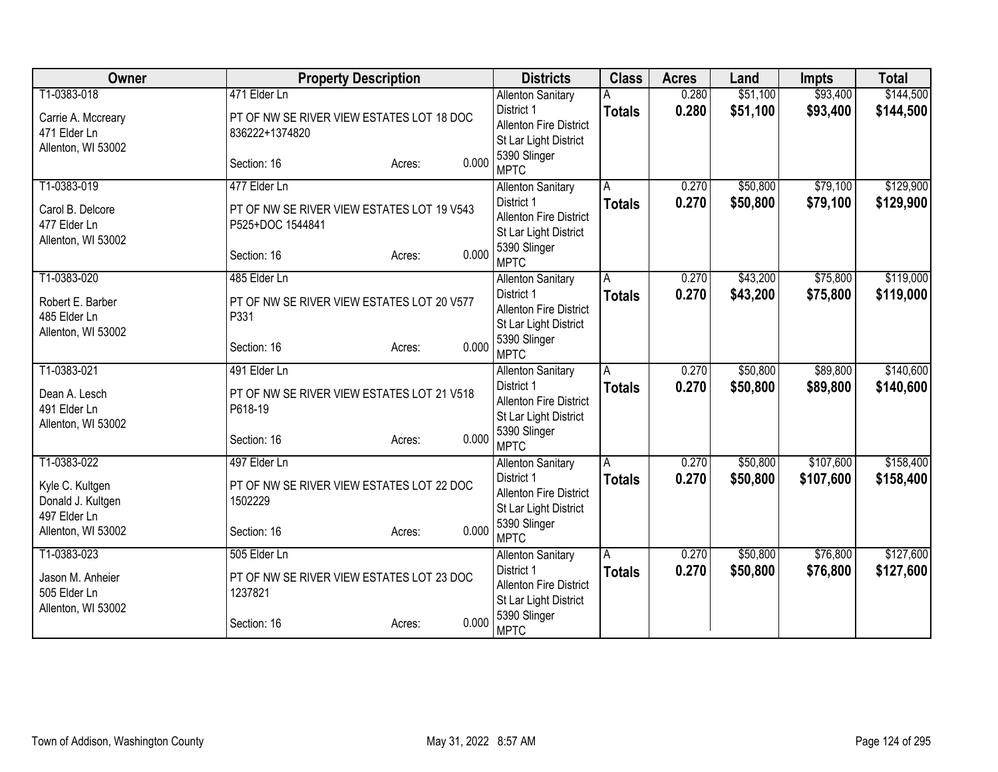| Owner                                | <b>Property Description</b>                          |       | <b>Districts</b>                                       | <b>Class</b>  | <b>Acres</b> | Land     | Impts     | <b>Total</b> |
|--------------------------------------|------------------------------------------------------|-------|--------------------------------------------------------|---------------|--------------|----------|-----------|--------------|
| T1-0383-018                          | 471 Elder Ln                                         |       | <b>Allenton Sanitary</b>                               |               | 0.280        | \$51,100 | \$93,400  | \$144,500    |
| Carrie A. Mccreary                   | PT OF NW SE RIVER VIEW ESTATES LOT 18 DOC            |       | District 1                                             | <b>Totals</b> | 0.280        | \$51,100 | \$93,400  | \$144,500    |
| 471 Elder Ln                         | 836222+1374820                                       |       | <b>Allenton Fire District</b>                          |               |              |          |           |              |
| Allenton, WI 53002                   |                                                      |       | St Lar Light District                                  |               |              |          |           |              |
|                                      | Section: 16<br>Acres:                                | 0.000 | 5390 Slinger<br><b>MPTC</b>                            |               |              |          |           |              |
| T1-0383-019                          | 477 Elder Ln                                         |       | <b>Allenton Sanitary</b>                               | A             | 0.270        | \$50,800 | \$79,100  | \$129,900    |
| Carol B. Delcore                     | PT OF NW SE RIVER VIEW ESTATES LOT 19 V543           |       | District 1                                             | <b>Totals</b> | 0.270        | \$50,800 | \$79,100  | \$129,900    |
| 477 Elder Ln                         | P525+DOC 1544841                                     |       | <b>Allenton Fire District</b>                          |               |              |          |           |              |
| Allenton, WI 53002                   |                                                      |       | St Lar Light District                                  |               |              |          |           |              |
|                                      | Section: 16<br>Acres:                                | 0.000 | 5390 Slinger<br><b>MPTC</b>                            |               |              |          |           |              |
| T1-0383-020                          | 485 Elder Ln                                         |       | <b>Allenton Sanitary</b>                               | A             | 0.270        | \$43,200 | \$75,800  | \$119,000    |
|                                      |                                                      |       | District 1                                             | <b>Totals</b> | 0.270        | \$43,200 | \$75,800  | \$119,000    |
| Robert E. Barber<br>485 Elder Ln     | PT OF NW SE RIVER VIEW ESTATES LOT 20 V577<br>P331   |       | <b>Allenton Fire District</b>                          |               |              |          |           |              |
| Allenton, WI 53002                   |                                                      |       | St Lar Light District                                  |               |              |          |           |              |
|                                      | Section: 16<br>Acres:                                | 0.000 | 5390 Slinger                                           |               |              |          |           |              |
|                                      |                                                      |       | <b>MPTC</b>                                            |               |              |          |           |              |
| T1-0383-021                          | 491 Elder Ln                                         |       | <b>Allenton Sanitary</b>                               | A             | 0.270        | \$50,800 | \$89,800  | \$140,600    |
| Dean A. Lesch                        | PT OF NW SE RIVER VIEW ESTATES LOT 21 V518           |       | District 1                                             | <b>Totals</b> | 0.270        | \$50,800 | \$89,800  | \$140,600    |
| 491 Elder Ln                         | P618-19                                              |       | <b>Allenton Fire District</b><br>St Lar Light District |               |              |          |           |              |
| Allenton, WI 53002                   |                                                      |       | 5390 Slinger                                           |               |              |          |           |              |
|                                      | Section: 16<br>Acres:                                | 0.000 | <b>MPTC</b>                                            |               |              |          |           |              |
| T1-0383-022                          | 497 Elder Ln                                         |       | <b>Allenton Sanitary</b>                               | A             | 0.270        | \$50,800 | \$107,600 | \$158,400    |
|                                      |                                                      |       | District 1                                             | <b>Totals</b> | 0.270        | \$50,800 | \$107,600 | \$158,400    |
| Kyle C. Kultgen<br>Donald J. Kultgen | PT OF NW SE RIVER VIEW ESTATES LOT 22 DOC<br>1502229 |       | <b>Allenton Fire District</b>                          |               |              |          |           |              |
| 497 Elder Ln                         |                                                      |       | St Lar Light District                                  |               |              |          |           |              |
| Allenton, WI 53002                   | Section: 16<br>Acres:                                | 0.000 | 5390 Slinger                                           |               |              |          |           |              |
|                                      |                                                      |       | <b>MPTC</b>                                            |               |              |          |           |              |
| T1-0383-023                          | 505 Elder Ln                                         |       | <b>Allenton Sanitary</b>                               | Ā             | 0.270        | \$50,800 | \$76,800  | \$127,600    |
| Jason M. Anheier                     | PT OF NW SE RIVER VIEW ESTATES LOT 23 DOC            |       | District 1<br><b>Allenton Fire District</b>            | <b>Totals</b> | 0.270        | \$50,800 | \$76,800  | \$127,600    |
| 505 Elder Ln                         | 1237821                                              |       | St Lar Light District                                  |               |              |          |           |              |
| Allenton, WI 53002                   |                                                      |       | 5390 Slinger                                           |               |              |          |           |              |
|                                      | Section: 16<br>Acres:                                | 0.000 | <b>MPTC</b>                                            |               |              |          |           |              |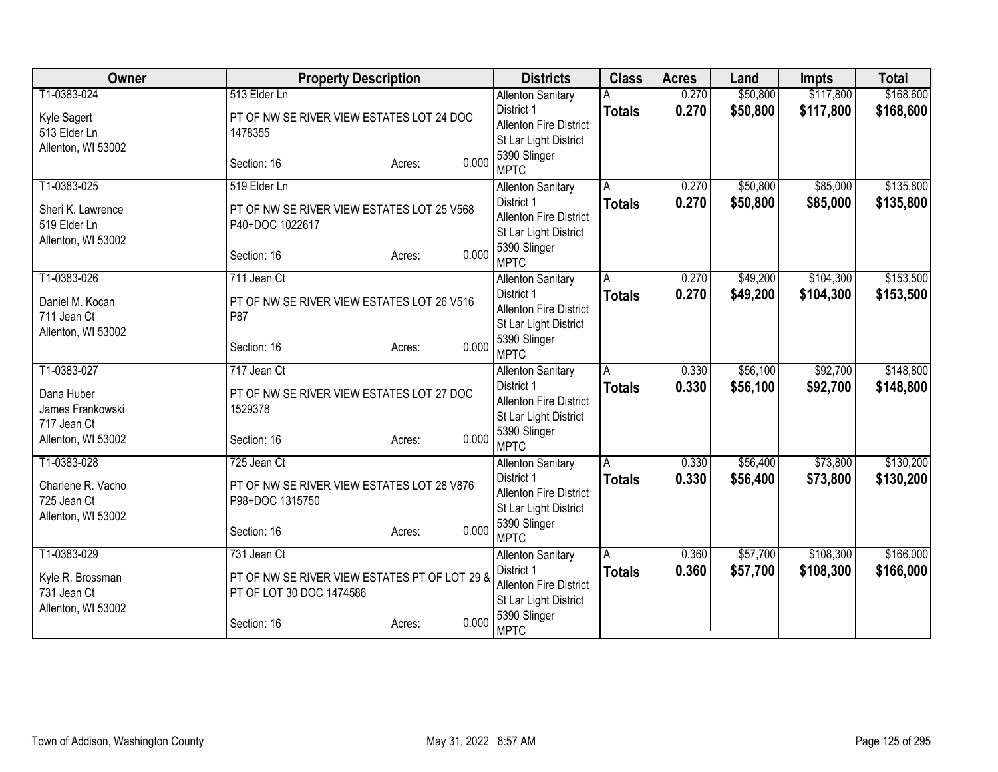| Owner                            | <b>Property Description</b>                                   | <b>Districts</b>                       | <b>Class</b>            | <b>Acres</b> | Land     | <b>Impts</b> | <b>Total</b> |
|----------------------------------|---------------------------------------------------------------|----------------------------------------|-------------------------|--------------|----------|--------------|--------------|
| T1-0383-024                      | 513 Elder Ln                                                  | <b>Allenton Sanitary</b>               |                         | 0.270        | \$50,800 | \$117,800    | \$168,600    |
| Kyle Sagert                      | PT OF NW SE RIVER VIEW ESTATES LOT 24 DOC                     | District 1                             | <b>Totals</b>           | 0.270        | \$50,800 | \$117,800    | \$168,600    |
| 513 Elder Ln                     | 1478355                                                       | <b>Allenton Fire District</b>          |                         |              |          |              |              |
| Allenton, WI 53002               |                                                               | St Lar Light District<br>5390 Slinger  |                         |              |          |              |              |
|                                  | 0.000<br>Section: 16<br>Acres:                                | <b>MPTC</b>                            |                         |              |          |              |              |
| T1-0383-025                      | 519 Elder Ln                                                  | <b>Allenton Sanitary</b>               | A                       | 0.270        | \$50,800 | \$85,000     | \$135,800    |
| Sheri K. Lawrence                | PT OF NW SE RIVER VIEW ESTATES LOT 25 V568                    | District 1                             | <b>Totals</b>           | 0.270        | \$50,800 | \$85,000     | \$135,800    |
| 519 Elder Ln                     | P40+DOC 1022617                                               | <b>Allenton Fire District</b>          |                         |              |          |              |              |
| Allenton, WI 53002               |                                                               | St Lar Light District                  |                         |              |          |              |              |
|                                  | 0.000<br>Section: 16<br>Acres:                                | 5390 Slinger<br><b>MPTC</b>            |                         |              |          |              |              |
| T1-0383-026                      | 711 Jean Ct                                                   | <b>Allenton Sanitary</b>               | A                       | 0.270        | \$49,200 | \$104,300    | \$153,500    |
| Daniel M. Kocan                  | PT OF NW SE RIVER VIEW ESTATES LOT 26 V516                    | District 1                             | <b>Totals</b>           | 0.270        | \$49,200 | \$104,300    | \$153,500    |
| 711 Jean Ct                      | P87                                                           | <b>Allenton Fire District</b>          |                         |              |          |              |              |
| Allenton, WI 53002               |                                                               | St Lar Light District                  |                         |              |          |              |              |
|                                  | 0.000<br>Section: 16<br>Acres:                                | 5390 Slinger<br><b>MPTC</b>            |                         |              |          |              |              |
| T1-0383-027                      | 717 Jean Ct                                                   | <b>Allenton Sanitary</b>               | $\overline{\mathsf{A}}$ | 0.330        | \$56,100 | \$92,700     | \$148,800    |
| Dana Huber                       | PT OF NW SE RIVER VIEW ESTATES LOT 27 DOC                     | District 1                             | <b>Totals</b>           | 0.330        | \$56,100 | \$92,700     | \$148,800    |
| James Frankowski                 | 1529378                                                       | <b>Allenton Fire District</b>          |                         |              |          |              |              |
| 717 Jean Ct                      |                                                               | St Lar Light District                  |                         |              |          |              |              |
| Allenton, WI 53002               | 0.000<br>Section: 16<br>Acres:                                | 5390 Slinger<br><b>MPTC</b>            |                         |              |          |              |              |
| T1-0383-028                      | 725 Jean Ct                                                   | <b>Allenton Sanitary</b>               | A                       | 0.330        | \$56,400 | \$73,800     | \$130,200    |
|                                  |                                                               | District 1                             | <b>Totals</b>           | 0.330        | \$56,400 | \$73,800     | \$130,200    |
| Charlene R. Vacho<br>725 Jean Ct | PT OF NW SE RIVER VIEW ESTATES LOT 28 V876<br>P98+DOC 1315750 | <b>Allenton Fire District</b>          |                         |              |          |              |              |
| Allenton, WI 53002               |                                                               | St Lar Light District                  |                         |              |          |              |              |
|                                  | 0.000<br>Section: 16<br>Acres:                                | 5390 Slinger                           |                         |              |          |              |              |
|                                  |                                                               | <b>MPTC</b>                            |                         |              |          |              |              |
| T1-0383-029                      | 731 Jean Ct                                                   | <b>Allenton Sanitary</b><br>District 1 | Α                       | 0.360        | \$57,700 | \$108,300    | \$166,000    |
| Kyle R. Brossman                 | PT OF NW SE RIVER VIEW ESTATES PT OF LOT 29 &                 | <b>Allenton Fire District</b>          | <b>Totals</b>           | 0.360        | \$57,700 | \$108,300    | \$166,000    |
| 731 Jean Ct                      | PT OF LOT 30 DOC 1474586                                      | St Lar Light District                  |                         |              |          |              |              |
| Allenton, WI 53002               |                                                               | 5390 Slinger                           |                         |              |          |              |              |
|                                  | 0.000<br>Section: 16<br>Acres:                                | <b>MPTC</b>                            |                         |              |          |              |              |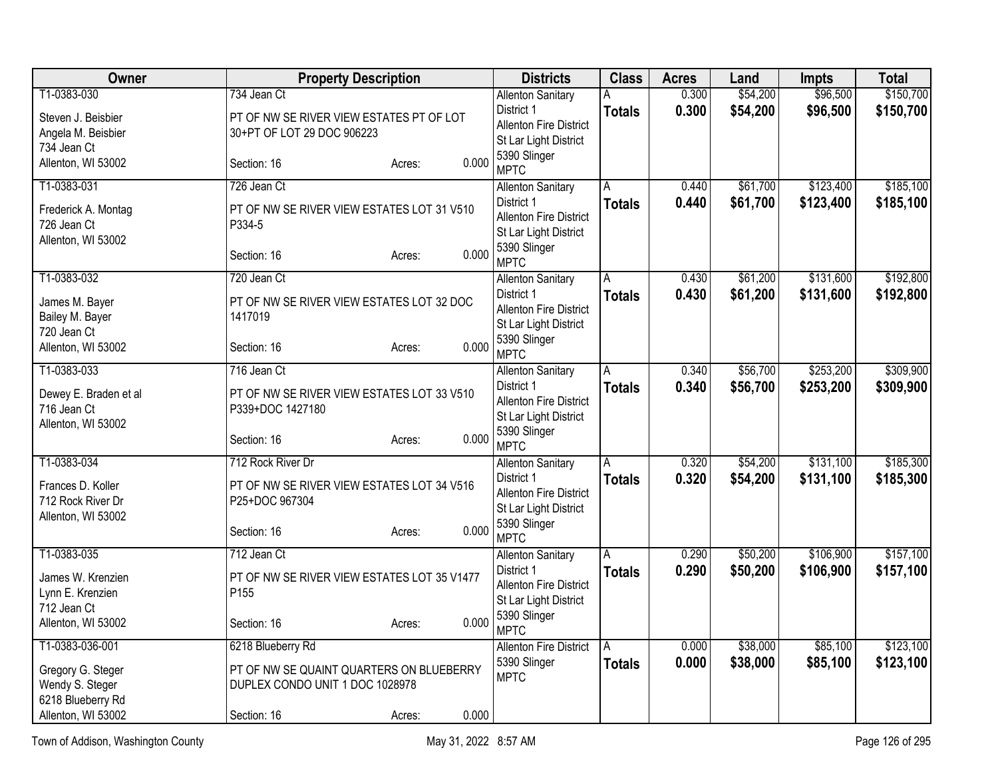| Owner                 | <b>Property Description</b>                 |        |       | <b>Districts</b>                                       | <b>Class</b>   | <b>Acres</b> | Land     | Impts     | <b>Total</b> |
|-----------------------|---------------------------------------------|--------|-------|--------------------------------------------------------|----------------|--------------|----------|-----------|--------------|
| T1-0383-030           | 734 Jean Ct                                 |        |       | <b>Allenton Sanitary</b>                               | Α              | 0.300        | \$54,200 | \$96,500  | \$150,700    |
| Steven J. Beisbier    | PT OF NW SE RIVER VIEW ESTATES PT OF LOT    |        |       | District 1                                             | <b>Totals</b>  | 0.300        | \$54,200 | \$96,500  | \$150,700    |
| Angela M. Beisbier    | 30+PT OF LOT 29 DOC 906223                  |        |       | <b>Allenton Fire District</b><br>St Lar Light District |                |              |          |           |              |
| 734 Jean Ct           |                                             |        |       | 5390 Slinger                                           |                |              |          |           |              |
| Allenton, WI 53002    | Section: 16                                 | Acres: | 0.000 | <b>MPTC</b>                                            |                |              |          |           |              |
| T1-0383-031           | 726 Jean Ct                                 |        |       | <b>Allenton Sanitary</b>                               | A              | 0.440        | \$61,700 | \$123,400 | \$185,100    |
| Frederick A. Montag   | PT OF NW SE RIVER VIEW ESTATES LOT 31 V510  |        |       | District 1                                             | <b>Totals</b>  | 0.440        | \$61,700 | \$123,400 | \$185,100    |
| 726 Jean Ct           | P334-5                                      |        |       | <b>Allenton Fire District</b>                          |                |              |          |           |              |
| Allenton, WI 53002    |                                             |        |       | St Lar Light District<br>5390 Slinger                  |                |              |          |           |              |
|                       | Section: 16                                 | Acres: | 0.000 | <b>MPTC</b>                                            |                |              |          |           |              |
| T1-0383-032           | 720 Jean Ct                                 |        |       | <b>Allenton Sanitary</b>                               | Α              | 0.430        | \$61,200 | \$131,600 | \$192,800    |
| James M. Bayer        | PT OF NW SE RIVER VIEW ESTATES LOT 32 DOC   |        |       | District 1                                             | <b>Totals</b>  | 0.430        | \$61,200 | \$131,600 | \$192,800    |
| Bailey M. Bayer       | 1417019                                     |        |       | <b>Allenton Fire District</b><br>St Lar Light District |                |              |          |           |              |
| 720 Jean Ct           |                                             |        |       | 5390 Slinger                                           |                |              |          |           |              |
| Allenton, WI 53002    | Section: 16                                 | Acres: | 0.000 | <b>MPTC</b>                                            |                |              |          |           |              |
| T1-0383-033           | 716 Jean Ct                                 |        |       | <b>Allenton Sanitary</b>                               | Α              | 0.340        | \$56,700 | \$253,200 | \$309,900    |
| Dewey E. Braden et al | PT OF NW SE RIVER VIEW ESTATES LOT 33 V510  |        |       | District 1<br><b>Allenton Fire District</b>            | <b>Totals</b>  | 0.340        | \$56,700 | \$253,200 | \$309,900    |
| 716 Jean Ct           | P339+DOC 1427180                            |        |       | St Lar Light District                                  |                |              |          |           |              |
| Allenton, WI 53002    |                                             |        |       | 5390 Slinger                                           |                |              |          |           |              |
|                       | Section: 16                                 | Acres: | 0.000 | <b>MPTC</b>                                            |                |              |          |           |              |
| T1-0383-034           | 712 Rock River Dr                           |        |       | <b>Allenton Sanitary</b>                               | $\overline{A}$ | 0.320        | \$54,200 | \$131,100 | \$185,300    |
| Frances D. Koller     | PT OF NW SE RIVER VIEW ESTATES LOT 34 V516  |        |       | District 1                                             | <b>Totals</b>  | 0.320        | \$54,200 | \$131,100 | \$185,300    |
| 712 Rock River Dr     | P25+DOC 967304                              |        |       | <b>Allenton Fire District</b><br>St Lar Light District |                |              |          |           |              |
| Allenton, WI 53002    |                                             |        |       | 5390 Slinger                                           |                |              |          |           |              |
|                       | Section: 16                                 | Acres: | 0.000 | <b>MPTC</b>                                            |                |              |          |           |              |
| T1-0383-035           | 712 Jean Ct                                 |        |       | <b>Allenton Sanitary</b>                               | Ā              | 0.290        | \$50,200 | \$106,900 | \$157,100    |
| James W. Krenzien     | PT OF NW SE RIVER VIEW ESTATES LOT 35 V1477 |        |       | District 1                                             | <b>Totals</b>  | 0.290        | \$50,200 | \$106,900 | \$157,100    |
| Lynn E. Krenzien      | P155                                        |        |       | <b>Allenton Fire District</b><br>St Lar Light District |                |              |          |           |              |
| 712 Jean Ct           |                                             |        |       | 5390 Slinger                                           |                |              |          |           |              |
| Allenton, WI 53002    | Section: 16                                 | Acres: | 0.000 | <b>MPTC</b>                                            |                |              |          |           |              |
| T1-0383-036-001       | 6218 Blueberry Rd                           |        |       | <b>Allenton Fire District</b>                          | A              | 0.000        | \$38,000 | \$85,100  | \$123,100    |
| Gregory G. Steger     | PT OF NW SE QUAINT QUARTERS ON BLUEBERRY    |        |       | 5390 Slinger<br><b>MPTC</b>                            | <b>Totals</b>  | 0.000        | \$38,000 | \$85,100  | \$123,100    |
| Wendy S. Steger       | DUPLEX CONDO UNIT 1 DOC 1028978             |        |       |                                                        |                |              |          |           |              |
| 6218 Blueberry Rd     |                                             |        |       |                                                        |                |              |          |           |              |
| Allenton, WI 53002    | Section: 16                                 | Acres: | 0.000 |                                                        |                |              |          |           |              |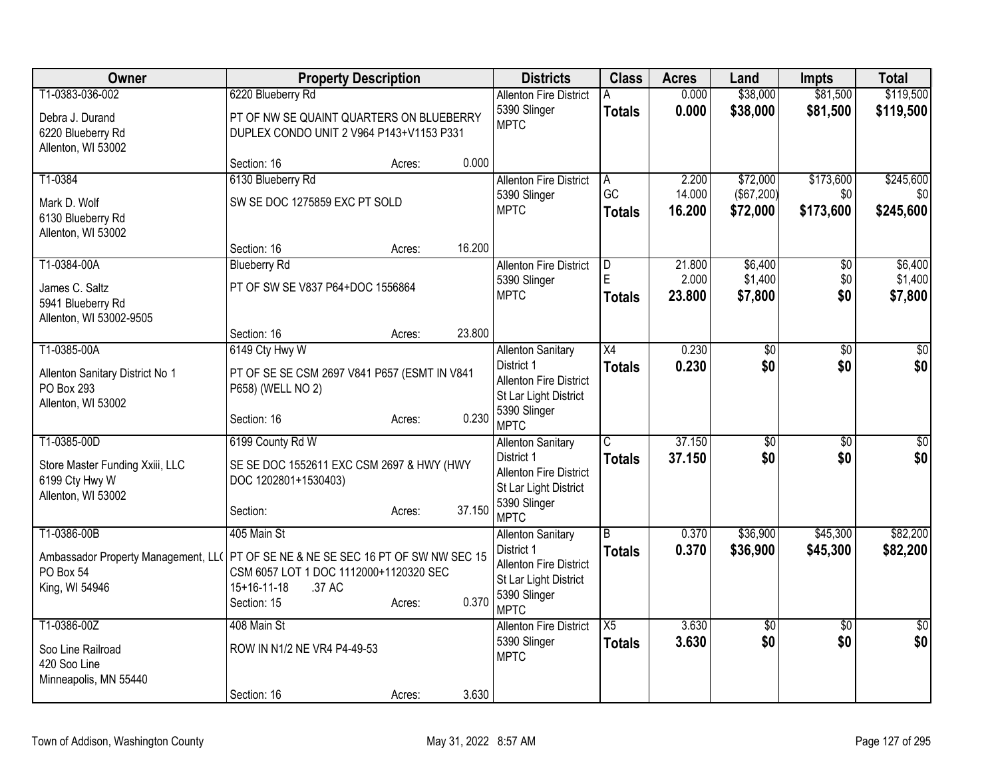| Owner                                                                              | <b>Property Description</b>                                                                                                       |        |        | <b>Districts</b>                                                                                                                | <b>Class</b>                     | <b>Acres</b>              | Land                          | <b>Impts</b>               | <b>Total</b>                  |
|------------------------------------------------------------------------------------|-----------------------------------------------------------------------------------------------------------------------------------|--------|--------|---------------------------------------------------------------------------------------------------------------------------------|----------------------------------|---------------------------|-------------------------------|----------------------------|-------------------------------|
| T1-0383-036-002<br>Debra J. Durand<br>6220 Blueberry Rd                            | 6220 Blueberry Rd<br>PT OF NW SE QUAINT QUARTERS ON BLUEBERRY<br>DUPLEX CONDO UNIT 2 V964 P143+V1153 P331                         |        |        | <b>Allenton Fire District</b><br>5390 Slinger<br><b>MPTC</b>                                                                    | <b>Totals</b>                    | 0.000<br>0.000            | \$38,000<br>\$38,000          | \$81,500<br>\$81,500       | \$119,500<br>\$119,500        |
| Allenton, WI 53002                                                                 | Section: 16                                                                                                                       | Acres: | 0.000  |                                                                                                                                 |                                  |                           |                               |                            |                               |
| T1-0384                                                                            | 6130 Blueberry Rd                                                                                                                 |        |        | <b>Allenton Fire District</b>                                                                                                   | A                                | 2.200                     | \$72,000                      | \$173,600                  | \$245,600                     |
| Mark D. Wolf<br>6130 Blueberry Rd<br>Allenton, WI 53002                            | SW SE DOC 1275859 EXC PT SOLD                                                                                                     |        |        | 5390 Slinger<br><b>MPTC</b>                                                                                                     | GC<br><b>Totals</b>              | 14.000<br>16.200          | (\$67,200)<br>\$72,000        | \$0<br>\$173,600           | \$0<br>\$245,600              |
|                                                                                    | Section: 16                                                                                                                       | Acres: | 16.200 |                                                                                                                                 |                                  |                           |                               |                            |                               |
| T1-0384-00A<br>James C. Saltz<br>5941 Blueberry Rd<br>Allenton, WI 53002-9505      | <b>Blueberry Rd</b><br>PT OF SW SE V837 P64+DOC 1556864                                                                           |        |        | <b>Allenton Fire District</b><br>5390 Slinger<br><b>MPTC</b>                                                                    | D<br>E<br><b>Totals</b>          | 21.800<br>2.000<br>23,800 | \$6,400<br>\$1,400<br>\$7,800 | $\sqrt[6]{}$<br>\$0<br>\$0 | \$6,400<br>\$1,400<br>\$7,800 |
|                                                                                    | Section: 16                                                                                                                       | Acres: | 23.800 |                                                                                                                                 |                                  |                           |                               |                            |                               |
| T1-0385-00A<br>Allenton Sanitary District No 1<br>PO Box 293<br>Allenton, WI 53002 | 6149 Cty Hwy W<br>PT OF SE SE CSM 2697 V841 P657 (ESMT IN V841<br>P658) (WELL NO 2)<br>Section: 16                                | Acres: | 0.230  | <b>Allenton Sanitary</b><br>District 1<br><b>Allenton Fire District</b><br>St Lar Light District<br>5390 Slinger<br><b>MPTC</b> | $\overline{X4}$<br><b>Totals</b> | 0.230<br>0.230            | \$0<br>\$0                    | \$0<br>\$0                 | $\overline{50}$<br>\$0        |
| T1-0385-00D                                                                        | 6199 County Rd W                                                                                                                  |        |        | <b>Allenton Sanitary</b>                                                                                                        | $\overline{\mathsf{C}}$          | 37.150                    | \$0                           | $\overline{50}$            | \$0                           |
| Store Master Funding Xxiii, LLC<br>6199 Cty Hwy W<br>Allenton, WI 53002            | SE SE DOC 1552611 EXC CSM 2697 & HWY (HWY<br>DOC 1202801+1530403)<br>Section:                                                     | Acres: | 37.150 | District 1<br><b>Allenton Fire District</b><br>St Lar Light District<br>5390 Slinger<br><b>MPTC</b>                             | <b>Totals</b>                    | 37.150                    | \$0                           | \$0                        | s <sub>0</sub>                |
| T1-0386-00B                                                                        | 405 Main St                                                                                                                       |        |        | <b>Allenton Sanitary</b>                                                                                                        | <sub>R</sub>                     | 0.370                     | \$36,900                      | \$45,300                   | \$82,200                      |
| Ambassador Property Management, LLC<br>PO Box 54<br>King, WI 54946                 | PT OF SE NE & NE SE SEC 16 PT OF SW NW SEC 15<br>CSM 6057 LOT 1 DOC 1112000+1120320 SEC<br>.37 AC<br>$15+16-11-18$<br>Section: 15 | Acres: | 0.370  | District 1<br><b>Allenton Fire District</b><br>St Lar Light District<br>5390 Slinger<br><b>MPTC</b>                             | <b>Totals</b>                    | 0.370                     | \$36,900                      | \$45,300                   | \$82,200                      |
| T1-0386-00Z                                                                        | 408 Main St                                                                                                                       |        |        | <b>Allenton Fire District</b>                                                                                                   | $\overline{X5}$                  | 3.630                     | \$0                           | $\overline{30}$            | \$0                           |
| Soo Line Railroad<br>420 Soo Line<br>Minneapolis, MN 55440                         | ROW IN N1/2 NE VR4 P4-49-53                                                                                                       |        |        | 5390 Slinger<br><b>MPTC</b>                                                                                                     | <b>Totals</b>                    | 3.630                     | \$0                           | \$0                        | \$0                           |
|                                                                                    | Section: 16                                                                                                                       | Acres: | 3.630  |                                                                                                                                 |                                  |                           |                               |                            |                               |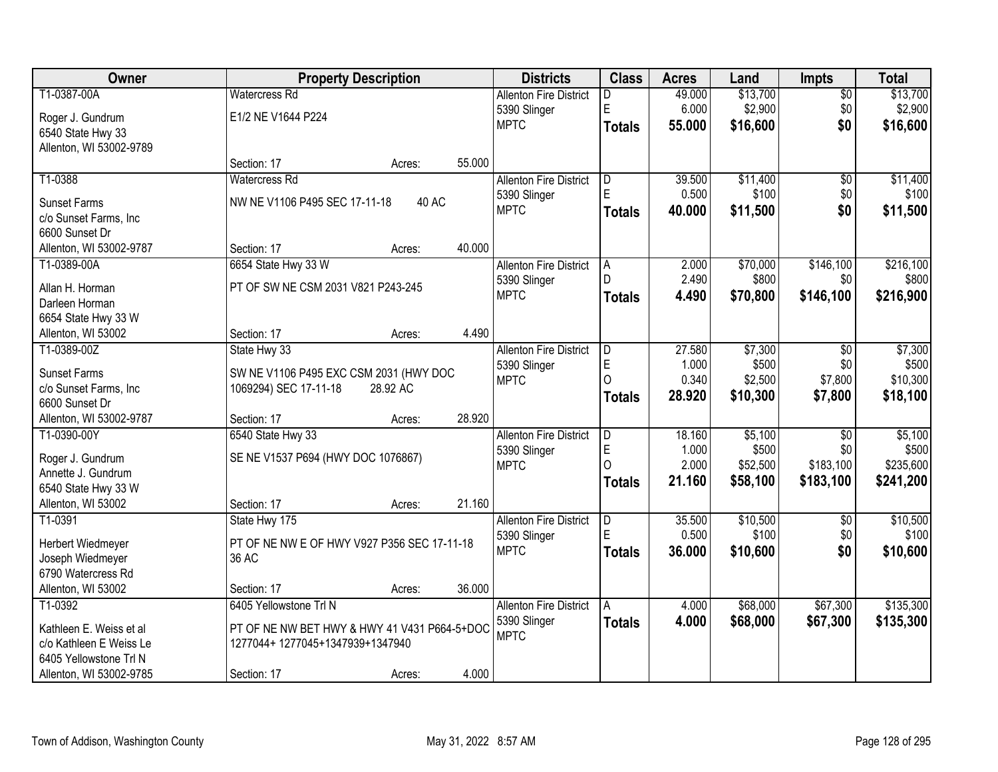| Owner                                             |                                              | <b>Property Description</b> |        |                               | <b>Class</b>   | <b>Acres</b>   | Land             | Impts           | <b>Total</b>      |
|---------------------------------------------------|----------------------------------------------|-----------------------------|--------|-------------------------------|----------------|----------------|------------------|-----------------|-------------------|
| T1-0387-00A                                       | <b>Watercress Rd</b>                         |                             |        | <b>Allenton Fire District</b> | D              | 49.000         | \$13,700         | $\overline{50}$ | \$13,700          |
| Roger J. Gundrum                                  | E1/2 NE V1644 P224                           |                             |        | 5390 Slinger                  | E              | 6.000          | \$2,900          | \$0             | \$2,900           |
| 6540 State Hwy 33                                 |                                              |                             |        | <b>MPTC</b>                   | <b>Totals</b>  | 55.000         | \$16,600         | \$0             | \$16,600          |
| Allenton, WI 53002-9789                           |                                              |                             |        |                               |                |                |                  |                 |                   |
|                                                   | Section: 17                                  | Acres:                      | 55.000 |                               |                |                |                  |                 |                   |
| T1-0388                                           | <b>Watercress Rd</b>                         |                             |        | <b>Allenton Fire District</b> | D              | 39.500         | \$11,400         | $\overline{50}$ | \$11,400          |
| <b>Sunset Farms</b>                               | NW NE V1106 P495 SEC 17-11-18                | 40 AC                       |        | 5390 Slinger                  | E              | 0.500          | \$100            | \$0             | \$100             |
| c/o Sunset Farms, Inc                             |                                              |                             |        | <b>MPTC</b>                   | <b>Totals</b>  | 40.000         | \$11,500         | \$0             | \$11,500          |
| 6600 Sunset Dr                                    |                                              |                             |        |                               |                |                |                  |                 |                   |
| Allenton, WI 53002-9787                           | Section: 17                                  | Acres:                      | 40.000 |                               |                |                |                  |                 |                   |
| T1-0389-00A                                       | 6654 State Hwy 33 W                          |                             |        | <b>Allenton Fire District</b> | A              | 2.000          | \$70,000         | \$146,100       | \$216,100         |
|                                                   |                                              |                             |        | 5390 Slinger                  |                | 2.490          | \$800            | \$0             | \$800             |
| Allan H. Horman                                   | PT OF SW NE CSM 2031 V821 P243-245           |                             |        | <b>MPTC</b>                   | <b>Totals</b>  | 4.490          | \$70,800         | \$146,100       | \$216,900         |
| Darleen Horman                                    |                                              |                             |        |                               |                |                |                  |                 |                   |
| 6654 State Hwy 33 W                               |                                              |                             | 4.490  |                               |                |                |                  |                 |                   |
| Allenton, WI 53002                                | Section: 17                                  | Acres:                      |        |                               |                |                |                  |                 |                   |
| T1-0389-00Z                                       | State Hwy 33                                 |                             |        | <b>Allenton Fire District</b> | D              | 27.580         | \$7,300          | \$0             | \$7,300           |
| <b>Sunset Farms</b>                               | SW NE V1106 P495 EXC CSM 2031 (HWY DOC       |                             |        | 5390 Slinger<br><b>MPTC</b>   | E<br>$\Omega$  | 1.000<br>0.340 | \$500<br>\$2,500 | \$0<br>\$7,800  | \$500<br>\$10,300 |
| c/o Sunset Farms, Inc                             | 1069294) SEC 17-11-18                        | 28.92 AC                    |        |                               |                | 28.920         | \$10,300         | \$7,800         | \$18,100          |
| 6600 Sunset Dr                                    |                                              |                             |        |                               | <b>Totals</b>  |                |                  |                 |                   |
| Allenton, WI 53002-9787                           | Section: 17                                  | Acres:                      | 28.920 |                               |                |                |                  |                 |                   |
| T1-0390-00Y                                       | 6540 State Hwy 33                            |                             |        | <b>Allenton Fire District</b> | D              | 18.160         | \$5,100          | $\overline{50}$ | \$5,100           |
| Roger J. Gundrum                                  | SE NE V1537 P694 (HWY DOC 1076867)           |                             |        | 5390 Slinger                  | E              | 1.000          | \$500            | \$0             | \$500             |
| Annette J. Gundrum                                |                                              |                             |        | <b>MPTC</b>                   | $\Omega$       | 2.000          | \$52,500         | \$183,100       | \$235,600         |
| 6540 State Hwy 33 W                               |                                              |                             |        |                               | <b>Totals</b>  | 21.160         | \$58,100         | \$183,100       | \$241,200         |
| Allenton, WI 53002                                | Section: 17                                  | Acres:                      | 21.160 |                               |                |                |                  |                 |                   |
| T1-0391                                           | State Hwy 175                                |                             |        | <b>Allenton Fire District</b> | $\overline{D}$ | 35.500         | \$10,500         | $\sqrt{$0}$     | \$10,500          |
| Herbert Wiedmeyer                                 | PT OF NE NW E OF HWY V927 P356 SEC 17-11-18  |                             |        | 5390 Slinger                  | E              | 0.500          | \$100            | \$0             | \$100             |
| Joseph Wiedmeyer                                  | 36 AC                                        |                             |        | <b>MPTC</b>                   | <b>Totals</b>  | 36.000         | \$10,600         | \$0             | \$10,600          |
| 6790 Watercress Rd                                |                                              |                             |        |                               |                |                |                  |                 |                   |
| Allenton, WI 53002                                | Section: 17                                  | Acres:                      | 36.000 |                               |                |                |                  |                 |                   |
| T1-0392                                           | 6405 Yellowstone Trl N                       |                             |        | <b>Allenton Fire District</b> | A              | 4.000          | \$68,000         | \$67,300        | \$135,300         |
|                                                   |                                              |                             |        | 5390 Slinger                  | <b>Totals</b>  | 4.000          | \$68,000         | \$67,300        | \$135,300         |
| Kathleen E. Weiss et al                           | PT OF NE NW BET HWY & HWY 41 V431 P664-5+DOC |                             |        | <b>MPTC</b>                   |                |                |                  |                 |                   |
| c/o Kathleen E Weiss Le<br>6405 Yellowstone Trl N | 1277044+ 1277045+1347939+1347940             |                             |        |                               |                |                |                  |                 |                   |
| Allenton, WI 53002-9785                           | Section: 17                                  |                             | 4.000  |                               |                |                |                  |                 |                   |
|                                                   |                                              | Acres:                      |        |                               |                |                |                  |                 |                   |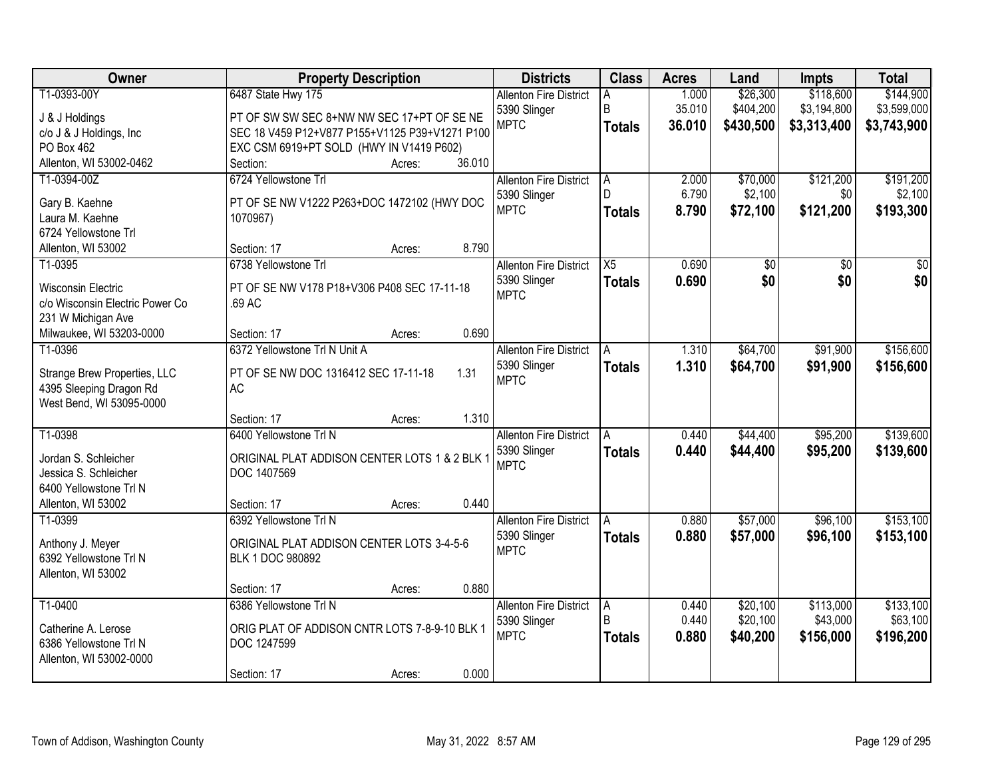| Owner                                                        | <b>Property Description</b>                               | <b>Districts</b>              | <b>Class</b>      | <b>Acres</b> | Land      | <b>Impts</b>    | <b>Total</b>    |
|--------------------------------------------------------------|-----------------------------------------------------------|-------------------------------|-------------------|--------------|-----------|-----------------|-----------------|
| T1-0393-00Y                                                  | 6487 State Hwy 175                                        | <b>Allenton Fire District</b> | A                 | 1.000        | \$26,300  | \$118,600       | \$144,900       |
| J & J Holdings                                               | PT OF SW SW SEC 8+NW NW SEC 17+PT OF SE NE                | 5390 Slinger                  | B                 | 35.010       | \$404,200 | \$3,194,800     | \$3,599,000     |
| c/o J & J Holdings, Inc                                      | SEC 18 V459 P12+V877 P155+V1125 P39+V1271 P100            | <b>MPTC</b>                   | <b>Totals</b>     | 36.010       | \$430,500 | \$3,313,400     | \$3,743,900     |
| PO Box 462                                                   | EXC CSM 6919+PT SOLD (HWY IN V1419 P602)                  |                               |                   |              |           |                 |                 |
| Allenton, WI 53002-0462                                      | 36.010<br>Section:<br>Acres:                              |                               |                   |              |           |                 |                 |
| T1-0394-00Z                                                  | 6724 Yellowstone Trl                                      | <b>Allenton Fire District</b> | Α                 | 2.000        | \$70,000  | \$121,200       | \$191,200       |
| Gary B. Kaehne                                               | PT OF SE NW V1222 P263+DOC 1472102 (HWY DOC               | 5390 Slinger                  | D                 | 6.790        | \$2,100   | \$0             | \$2,100         |
| Laura M. Kaehne                                              | 1070967)                                                  | <b>MPTC</b>                   | <b>Totals</b>     | 8.790        | \$72,100  | \$121,200       | \$193,300       |
| 6724 Yellowstone Trl                                         |                                                           |                               |                   |              |           |                 |                 |
| Allenton, WI 53002                                           | 8.790<br>Section: 17<br>Acres:                            |                               |                   |              |           |                 |                 |
| T1-0395                                                      | 6738 Yellowstone Trl                                      | <b>Allenton Fire District</b> | $\overline{X5}$   | 0.690        | \$0       | $\overline{50}$ | $\overline{50}$ |
|                                                              |                                                           | 5390 Slinger                  | <b>Totals</b>     | 0.690        | \$0       | \$0             | \$0             |
| <b>Wisconsin Electric</b><br>c/o Wisconsin Electric Power Co | PT OF SE NW V178 P18+V306 P408 SEC 17-11-18<br>.69 AC     | <b>MPTC</b>                   |                   |              |           |                 |                 |
| 231 W Michigan Ave                                           |                                                           |                               |                   |              |           |                 |                 |
| Milwaukee, WI 53203-0000                                     | 0.690<br>Section: 17<br>Acres:                            |                               |                   |              |           |                 |                 |
| T1-0396                                                      | 6372 Yellowstone Trl N Unit A                             | <b>Allenton Fire District</b> | A                 | 1.310        | \$64,700  | \$91,900        | \$156,600       |
|                                                              |                                                           | 5390 Slinger                  | <b>Totals</b>     | 1.310        | \$64,700  | \$91,900        | \$156,600       |
| Strange Brew Properties, LLC                                 | 1.31<br>PT OF SE NW DOC 1316412 SEC 17-11-18<br><b>AC</b> | <b>MPTC</b>                   |                   |              |           |                 |                 |
| 4395 Sleeping Dragon Rd<br>West Bend, WI 53095-0000          |                                                           |                               |                   |              |           |                 |                 |
|                                                              | 1.310<br>Section: 17<br>Acres:                            |                               |                   |              |           |                 |                 |
| T1-0398                                                      | 6400 Yellowstone Trl N                                    | <b>Allenton Fire District</b> | A                 | 0.440        | \$44,400  | \$95,200        | \$139,600       |
|                                                              |                                                           | 5390 Slinger                  | <b>Totals</b>     | 0.440        | \$44,400  | \$95,200        | \$139,600       |
| Jordan S. Schleicher                                         | ORIGINAL PLAT ADDISON CENTER LOTS 1 & 2 BLK 1             | <b>MPTC</b>                   |                   |              |           |                 |                 |
| Jessica S. Schleicher                                        | DOC 1407569                                               |                               |                   |              |           |                 |                 |
| 6400 Yellowstone Trl N<br>Allenton, WI 53002                 | 0.440<br>Section: 17                                      |                               |                   |              |           |                 |                 |
| T1-0399                                                      | Acres:<br>6392 Yellowstone Trl N                          | <b>Allenton Fire District</b> | A                 | 0.880        | \$57,000  | \$96,100        | \$153,100       |
|                                                              |                                                           | 5390 Slinger                  | <b>Totals</b>     | 0.880        | \$57,000  | \$96,100        | \$153,100       |
| Anthony J. Meyer                                             | ORIGINAL PLAT ADDISON CENTER LOTS 3-4-5-6                 | <b>MPTC</b>                   |                   |              |           |                 |                 |
| 6392 Yellowstone Trl N                                       | BLK 1 DOC 980892                                          |                               |                   |              |           |                 |                 |
| Allenton, WI 53002                                           |                                                           |                               |                   |              |           |                 |                 |
| T1-0400                                                      | 0.880<br>Section: 17<br>Acres:<br>6386 Yellowstone Trl N  | <b>Allenton Fire District</b> |                   | 0.440        | \$20,100  | \$113,000       | \$133,100       |
|                                                              |                                                           | 5390 Slinger                  | A<br><sub>R</sub> | 0.440        | \$20,100  | \$43,000        | \$63,100        |
| Catherine A. Lerose                                          | ORIG PLAT OF ADDISON CNTR LOTS 7-8-9-10 BLK 1             | <b>MPTC</b>                   | <b>Totals</b>     | 0.880        | \$40,200  | \$156,000       | \$196,200       |
| 6386 Yellowstone Trl N                                       | DOC 1247599                                               |                               |                   |              |           |                 |                 |
| Allenton, WI 53002-0000                                      |                                                           |                               |                   |              |           |                 |                 |
|                                                              | 0.000<br>Section: 17<br>Acres:                            |                               |                   |              |           |                 |                 |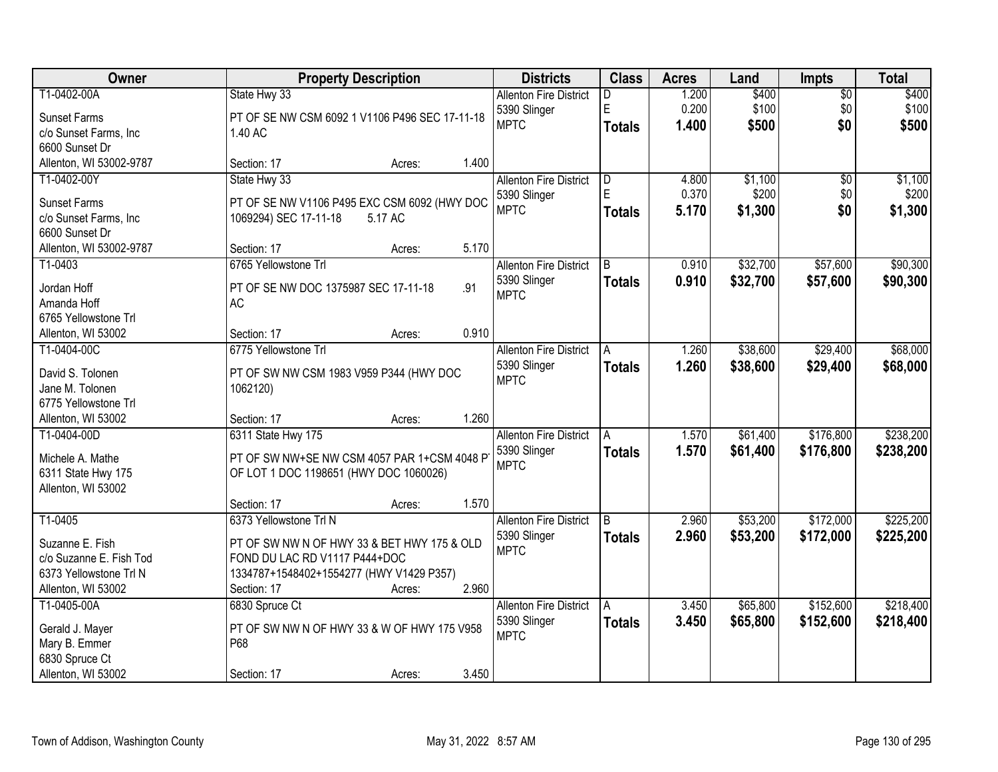| Owner                   |                                                | <b>Property Description</b> |                               |               | <b>Acres</b> | Land     | Impts           | <b>Total</b> |
|-------------------------|------------------------------------------------|-----------------------------|-------------------------------|---------------|--------------|----------|-----------------|--------------|
| T1-0402-00A             | State Hwy 33                                   |                             | <b>Allenton Fire District</b> | D             | 1.200        | \$400    | $\overline{50}$ | \$400        |
| <b>Sunset Farms</b>     | PT OF SE NW CSM 6092 1 V1106 P496 SEC 17-11-18 |                             | 5390 Slinger                  | E             | 0.200        | \$100    | \$0             | \$100        |
| c/o Sunset Farms, Inc   | 1.40 AC                                        |                             | <b>MPTC</b>                   | <b>Totals</b> | 1.400        | \$500    | \$0             | \$500        |
| 6600 Sunset Dr          |                                                |                             |                               |               |              |          |                 |              |
| Allenton, WI 53002-9787 | Section: 17                                    | 1.400<br>Acres:             |                               |               |              |          |                 |              |
| T1-0402-00Y             | State Hwy 33                                   |                             | <b>Allenton Fire District</b> | D             | 4.800        | \$1,100  | $\overline{30}$ | \$1,100      |
|                         |                                                |                             | 5390 Slinger                  | F             | 0.370        | \$200    | \$0             | \$200        |
| <b>Sunset Farms</b>     | PT OF SE NW V1106 P495 EXC CSM 6092 (HWY DOC   |                             | <b>MPTC</b>                   | <b>Totals</b> | 5.170        | \$1,300  | \$0             | \$1,300      |
| c/o Sunset Farms, Inc   | 1069294) SEC 17-11-18<br>5.17 AC               |                             |                               |               |              |          |                 |              |
| 6600 Sunset Dr          |                                                |                             |                               |               |              |          |                 |              |
| Allenton, WI 53002-9787 | Section: 17                                    | 5.170<br>Acres:             |                               |               |              |          |                 |              |
| T1-0403                 | 6765 Yellowstone Trl                           |                             | <b>Allenton Fire District</b> | B             | 0.910        | \$32,700 | \$57,600        | \$90,300     |
| Jordan Hoff             | PT OF SE NW DOC 1375987 SEC 17-11-18           | .91                         | 5390 Slinger                  | <b>Totals</b> | 0.910        | \$32,700 | \$57,600        | \$90,300     |
| Amanda Hoff             | <b>AC</b>                                      |                             | <b>MPTC</b>                   |               |              |          |                 |              |
| 6765 Yellowstone Trl    |                                                |                             |                               |               |              |          |                 |              |
| Allenton, WI 53002      | Section: 17                                    | 0.910<br>Acres:             |                               |               |              |          |                 |              |
| T1-0404-00C             | 6775 Yellowstone Trl                           |                             | <b>Allenton Fire District</b> | Α             | 1.260        | \$38,600 | \$29,400        | \$68,000     |
|                         |                                                |                             | 5390 Slinger                  | <b>Totals</b> | 1.260        | \$38,600 | \$29,400        | \$68,000     |
| David S. Tolonen        | PT OF SW NW CSM 1983 V959 P344 (HWY DOC        |                             | <b>MPTC</b>                   |               |              |          |                 |              |
| Jane M. Tolonen         | 1062120)                                       |                             |                               |               |              |          |                 |              |
| 6775 Yellowstone Trl    |                                                |                             |                               |               |              |          |                 |              |
| Allenton, WI 53002      | Section: 17                                    | 1.260<br>Acres:             |                               |               |              |          |                 |              |
| T1-0404-00D             | 6311 State Hwy 175                             |                             | <b>Allenton Fire District</b> | A             | 1.570        | \$61,400 | \$176,800       | \$238,200    |
| Michele A. Mathe        | PT OF SW NW+SE NW CSM 4057 PAR 1+CSM 4048 P    |                             | 5390 Slinger                  | <b>Totals</b> | 1.570        | \$61,400 | \$176,800       | \$238,200    |
| 6311 State Hwy 175      | OF LOT 1 DOC 1198651 (HWY DOC 1060026)         |                             | <b>MPTC</b>                   |               |              |          |                 |              |
| Allenton, WI 53002      |                                                |                             |                               |               |              |          |                 |              |
|                         | Section: 17                                    | 1.570<br>Acres:             |                               |               |              |          |                 |              |
| T1-0405                 | 6373 Yellowstone Trl N                         |                             | <b>Allenton Fire District</b> | B             | 2.960        | \$53,200 | \$172,000       | \$225,200    |
|                         |                                                |                             | 5390 Slinger                  | <b>Totals</b> | 2.960        | \$53,200 | \$172,000       | \$225,200    |
| Suzanne E. Fish         | PT OF SW NW N OF HWY 33 & BET HWY 175 & OLD    |                             | <b>MPTC</b>                   |               |              |          |                 |              |
| c/o Suzanne E. Fish Tod | FOND DU LAC RD V1117 P444+DOC                  |                             |                               |               |              |          |                 |              |
| 6373 Yellowstone Trl N  | 1334787+1548402+1554277 (HWY V1429 P357)       |                             |                               |               |              |          |                 |              |
| Allenton, WI 53002      | Section: 17                                    | 2.960<br>Acres:             |                               |               |              |          |                 |              |
| T1-0405-00A             | 6830 Spruce Ct                                 |                             | <b>Allenton Fire District</b> | A             | 3.450        | \$65,800 | \$152,600       | \$218,400    |
| Gerald J. Mayer         | PT OF SW NW N OF HWY 33 & W OF HWY 175 V958    |                             | 5390 Slinger                  | <b>Totals</b> | 3.450        | \$65,800 | \$152,600       | \$218,400    |
| Mary B. Emmer           | P68                                            |                             | <b>MPTC</b>                   |               |              |          |                 |              |
| 6830 Spruce Ct          |                                                |                             |                               |               |              |          |                 |              |
| Allenton, WI 53002      | Section: 17                                    | 3.450<br>Acres:             |                               |               |              |          |                 |              |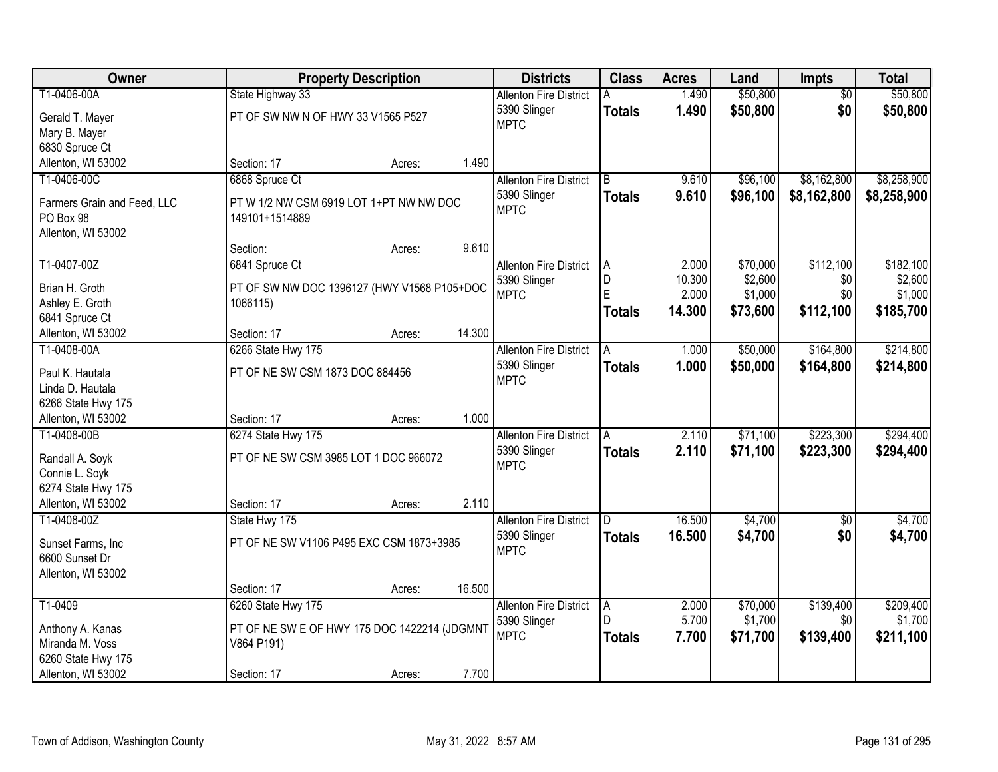| Owner                                    | <b>Property Description</b>                  |                  | <b>Districts</b>              | <b>Class</b>  | <b>Acres</b> | Land     | Impts           | <b>Total</b> |
|------------------------------------------|----------------------------------------------|------------------|-------------------------------|---------------|--------------|----------|-----------------|--------------|
| T1-0406-00A                              | State Highway 33                             |                  | <b>Allenton Fire District</b> |               | 1.490        | \$50,800 | $\overline{50}$ | \$50,800     |
| Gerald T. Mayer                          | PT OF SW NW N OF HWY 33 V1565 P527           |                  | 5390 Slinger                  | <b>Totals</b> | 1.490        | \$50,800 | \$0             | \$50,800     |
| Mary B. Mayer                            |                                              |                  | <b>MPTC</b>                   |               |              |          |                 |              |
| 6830 Spruce Ct                           |                                              |                  |                               |               |              |          |                 |              |
| Allenton, WI 53002                       | Section: 17                                  | 1.490<br>Acres:  |                               |               |              |          |                 |              |
| T1-0406-00C                              | 6868 Spruce Ct                               |                  | <b>Allenton Fire District</b> | R.            | 9.610        | \$96,100 | \$8,162,800     | \$8,258,900  |
|                                          | PT W 1/2 NW CSM 6919 LOT 1+PT NW NW DOC      |                  | 5390 Slinger                  | <b>Totals</b> | 9.610        | \$96,100 | \$8,162,800     | \$8,258,900  |
| Farmers Grain and Feed, LLC<br>PO Box 98 | 149101+1514889                               |                  | <b>MPTC</b>                   |               |              |          |                 |              |
| Allenton, WI 53002                       |                                              |                  |                               |               |              |          |                 |              |
|                                          | Section:                                     | 9.610<br>Acres:  |                               |               |              |          |                 |              |
| T1-0407-00Z                              | 6841 Spruce Ct                               |                  | <b>Allenton Fire District</b> | A             | 2.000        | \$70,000 | \$112,100       | \$182,100    |
|                                          |                                              |                  | 5390 Slinger                  | D             | 10.300       | \$2,600  | \$0             | \$2,600      |
| Brian H. Groth                           | PT OF SW NW DOC 1396127 (HWY V1568 P105+DOC  |                  | <b>MPTC</b>                   | E             | 2.000        | \$1,000  | \$0             | \$1,000      |
| Ashley E. Groth                          | 1066115)                                     |                  |                               | <b>Totals</b> | 14.300       | \$73,600 | \$112,100       | \$185,700    |
| 6841 Spruce Ct<br>Allenton, WI 53002     | Section: 17                                  | 14.300           |                               |               |              |          |                 |              |
| T1-0408-00A                              | 6266 State Hwy 175                           | Acres:           | <b>Allenton Fire District</b> | A             | 1.000        | \$50,000 | \$164,800       | \$214,800    |
|                                          |                                              |                  | 5390 Slinger                  |               | 1.000        |          |                 |              |
| Paul K. Hautala                          | PT OF NE SW CSM 1873 DOC 884456              |                  | <b>MPTC</b>                   | <b>Totals</b> |              | \$50,000 | \$164,800       | \$214,800    |
| Linda D. Hautala                         |                                              |                  |                               |               |              |          |                 |              |
| 6266 State Hwy 175                       |                                              |                  |                               |               |              |          |                 |              |
| Allenton, WI 53002                       | Section: 17                                  | 1.000<br>Acres:  |                               |               |              |          |                 |              |
| T1-0408-00B                              | 6274 State Hwy 175                           |                  | <b>Allenton Fire District</b> | A             | 2.110        | \$71,100 | \$223,300       | \$294,400    |
| Randall A. Soyk                          | PT OF NE SW CSM 3985 LOT 1 DOC 966072        |                  | 5390 Slinger                  | <b>Totals</b> | 2.110        | \$71,100 | \$223,300       | \$294,400    |
| Connie L. Soyk                           |                                              |                  | <b>MPTC</b>                   |               |              |          |                 |              |
| 6274 State Hwy 175                       |                                              |                  |                               |               |              |          |                 |              |
| Allenton, WI 53002                       | Section: 17                                  | 2.110<br>Acres:  |                               |               |              |          |                 |              |
| T1-0408-00Z                              | State Hwy 175                                |                  | <b>Allenton Fire District</b> | D             | 16.500       | \$4,700  | $\overline{60}$ | \$4,700      |
| Sunset Farms, Inc                        | PT OF NE SW V1106 P495 EXC CSM 1873+3985     |                  | 5390 Slinger                  | <b>Totals</b> | 16.500       | \$4,700  | \$0             | \$4,700      |
| 6600 Sunset Dr                           |                                              |                  | <b>MPTC</b>                   |               |              |          |                 |              |
| Allenton, WI 53002                       |                                              |                  |                               |               |              |          |                 |              |
|                                          | Section: 17                                  | 16.500<br>Acres: |                               |               |              |          |                 |              |
| T1-0409                                  | 6260 State Hwy 175                           |                  | <b>Allenton Fire District</b> | A             | 2.000        | \$70,000 | \$139,400       | \$209,400    |
|                                          |                                              |                  | 5390 Slinger                  | D.            | 5.700        | \$1,700  | \$0             | \$1,700      |
| Anthony A. Kanas                         | PT OF NE SW E OF HWY 175 DOC 1422214 (JDGMNT |                  | <b>MPTC</b>                   | <b>Totals</b> | 7.700        | \$71,700 | \$139,400       | \$211,100    |
| Miranda M. Voss                          | V864 P191)                                   |                  |                               |               |              |          |                 |              |
| 6260 State Hwy 175                       |                                              |                  |                               |               |              |          |                 |              |
| Allenton, WI 53002                       | Section: 17                                  | 7.700<br>Acres:  |                               |               |              |          |                 |              |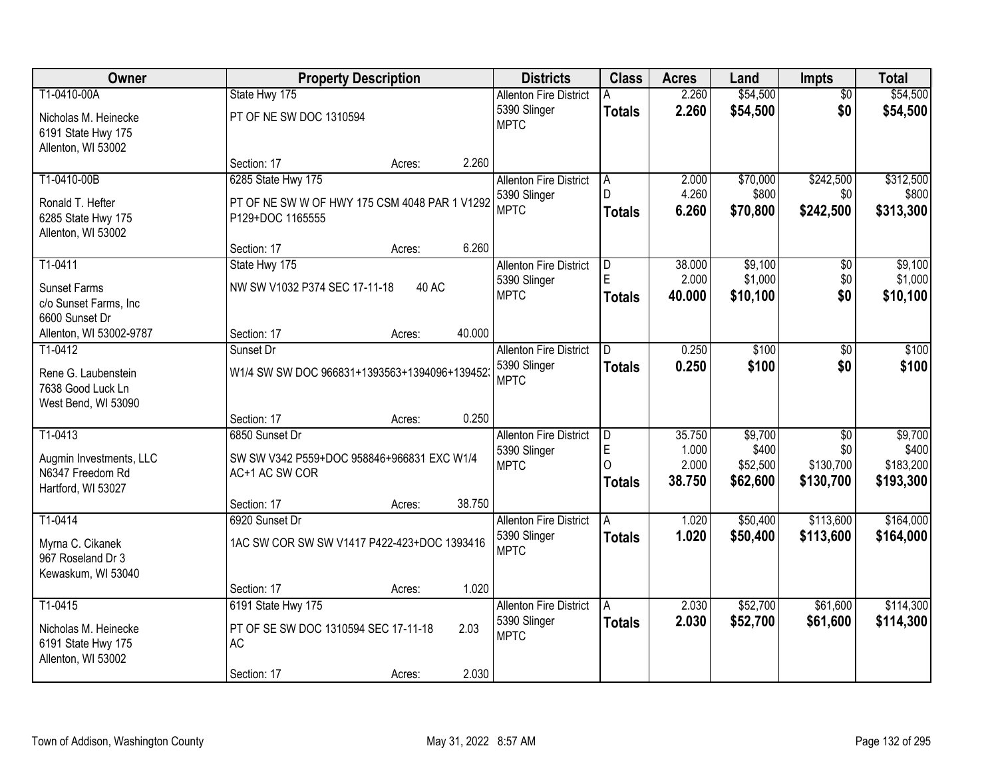| <b>Owner</b>                                |                                                              | <b>Property Description</b> |        |                                               | <b>Class</b>  | <b>Acres</b>    | Land               | Impts            | <b>Total</b>       |
|---------------------------------------------|--------------------------------------------------------------|-----------------------------|--------|-----------------------------------------------|---------------|-----------------|--------------------|------------------|--------------------|
| T1-0410-00A                                 | State Hwy 175                                                |                             |        | <b>Allenton Fire District</b>                 |               | 2.260           | \$54,500           | $\overline{50}$  | \$54,500           |
| Nicholas M. Heinecke                        | PT OF NE SW DOC 1310594                                      |                             |        | 5390 Slinger                                  | <b>Totals</b> | 2.260           | \$54,500           | \$0              | \$54,500           |
| 6191 State Hwy 175                          |                                                              |                             |        | <b>MPTC</b>                                   |               |                 |                    |                  |                    |
| Allenton, WI 53002                          |                                                              |                             |        |                                               |               |                 |                    |                  |                    |
|                                             | Section: 17                                                  | Acres:                      | 2.260  |                                               |               |                 |                    |                  |                    |
| T1-0410-00B                                 | 6285 State Hwy 175                                           |                             |        | <b>Allenton Fire District</b>                 | A             | 2.000           | \$70,000           | \$242,500        | \$312,500          |
| Ronald T. Hefter                            | PT OF NE SW W OF HWY 175 CSM 4048 PAR 1 V1292                |                             |        | 5390 Slinger<br><b>MPTC</b>                   | D.            | 4.260<br>6.260  | \$800              | \$0<br>\$242,500 | \$800<br>\$313,300 |
| 6285 State Hwy 175                          | P129+DOC 1165555                                             |                             |        |                                               | <b>Totals</b> |                 | \$70,800           |                  |                    |
| Allenton, WI 53002                          |                                                              |                             |        |                                               |               |                 |                    |                  |                    |
|                                             | Section: 17                                                  | Acres:                      | 6.260  |                                               |               |                 |                    |                  |                    |
| T1-0411                                     | State Hwy 175                                                |                             |        | <b>Allenton Fire District</b><br>5390 Slinger | D<br>E        | 38.000<br>2.000 | \$9,100<br>\$1,000 | \$0<br>\$0       | \$9,100<br>\$1,000 |
| <b>Sunset Farms</b>                         | NW SW V1032 P374 SEC 17-11-18                                | 40 AC                       |        | <b>MPTC</b>                                   | <b>Totals</b> | 40.000          | \$10,100           | \$0              | \$10,100           |
| c/o Sunset Farms, Inc                       |                                                              |                             |        |                                               |               |                 |                    |                  |                    |
| 6600 Sunset Dr                              |                                                              |                             | 40.000 |                                               |               |                 |                    |                  |                    |
| Allenton, WI 53002-9787<br>T1-0412          | Section: 17<br>Sunset Dr                                     | Acres:                      |        | <b>Allenton Fire District</b>                 | D             | 0.250           | \$100              | \$0              | \$100              |
|                                             |                                                              |                             |        | 5390 Slinger                                  | <b>Totals</b> | 0.250           | \$100              | \$0              | \$100              |
| Rene G. Laubenstein                         | W1/4 SW SW DOC 966831+1393563+1394096+1394523                |                             |        | <b>MPTC</b>                                   |               |                 |                    |                  |                    |
| 7638 Good Luck Ln<br>West Bend, WI 53090    |                                                              |                             |        |                                               |               |                 |                    |                  |                    |
|                                             | Section: 17                                                  | Acres:                      | 0.250  |                                               |               |                 |                    |                  |                    |
| T1-0413                                     | 6850 Sunset Dr                                               |                             |        | <b>Allenton Fire District</b>                 | D             | 35.750          | \$9,700            | $\overline{30}$  | \$9,700            |
|                                             |                                                              |                             |        | 5390 Slinger                                  | E             | 1.000           | \$400              | \$0              | \$400              |
| Augmin Investments, LLC<br>N6347 Freedom Rd | SW SW V342 P559+DOC 958846+966831 EXC W1/4<br>AC+1 AC SW COR |                             |        | <b>MPTC</b>                                   | $\Omega$      | 2.000           | \$52,500           | \$130,700        | \$183,200          |
| Hartford, WI 53027                          |                                                              |                             |        |                                               | <b>Totals</b> | 38.750          | \$62,600           | \$130,700        | \$193,300          |
|                                             | Section: 17                                                  | Acres:                      | 38.750 |                                               |               |                 |                    |                  |                    |
| T1-0414                                     | 6920 Sunset Dr                                               |                             |        | <b>Allenton Fire District</b>                 | A             | 1.020           | \$50,400           | \$113,600        | \$164,000          |
| Myrna C. Cikanek                            | 1AC SW COR SW SW V1417 P422-423+DOC 1393416                  |                             |        | 5390 Slinger                                  | <b>Totals</b> | 1.020           | \$50,400           | \$113,600        | \$164,000          |
| 967 Roseland Dr 3                           |                                                              |                             |        | <b>MPTC</b>                                   |               |                 |                    |                  |                    |
| Kewaskum, WI 53040                          |                                                              |                             |        |                                               |               |                 |                    |                  |                    |
|                                             | Section: 17                                                  | Acres:                      | 1.020  |                                               |               |                 |                    |                  |                    |
| T1-0415                                     | 6191 State Hwy 175                                           |                             |        | <b>Allenton Fire District</b>                 | A             | 2.030           | \$52,700           | \$61,600         | \$114,300          |
| Nicholas M. Heinecke                        | PT OF SE SW DOC 1310594 SEC 17-11-18                         |                             | 2.03   | 5390 Slinger                                  | <b>Totals</b> | 2.030           | \$52,700           | \$61,600         | \$114,300          |
| 6191 State Hwy 175                          | AC                                                           |                             |        | <b>MPTC</b>                                   |               |                 |                    |                  |                    |
| Allenton, WI 53002                          |                                                              |                             |        |                                               |               |                 |                    |                  |                    |
|                                             | Section: 17                                                  | Acres:                      | 2.030  |                                               |               |                 |                    |                  |                    |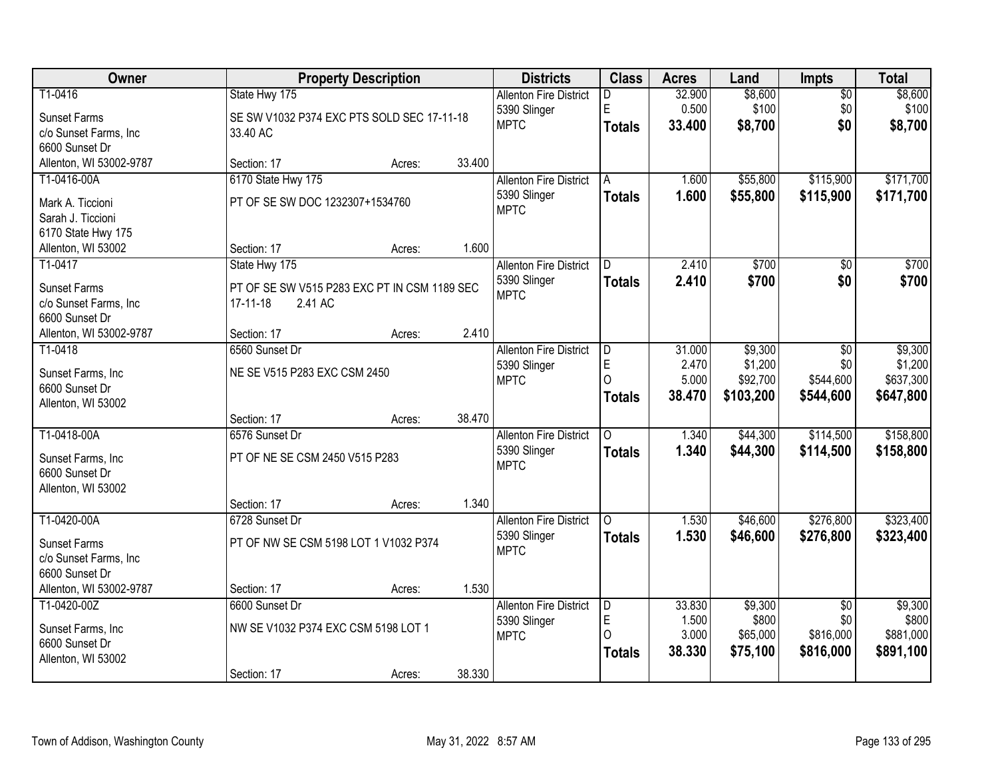| Owner                                   | <b>Property Description</b>                  |        |        | <b>Districts</b>              | <b>Class</b>   | <b>Acres</b> | Land      | Impts           | <b>Total</b> |
|-----------------------------------------|----------------------------------------------|--------|--------|-------------------------------|----------------|--------------|-----------|-----------------|--------------|
| T1-0416                                 | State Hwy 175                                |        |        | <b>Allenton Fire District</b> | D              | 32.900       | \$8,600   | $\overline{60}$ | \$8,600      |
| <b>Sunset Farms</b>                     | SE SW V1032 P374 EXC PTS SOLD SEC 17-11-18   |        |        | 5390 Slinger                  | E              | 0.500        | \$100     | \$0             | \$100        |
| c/o Sunset Farms, Inc                   | 33.40 AC                                     |        |        | <b>MPTC</b>                   | <b>Totals</b>  | 33.400       | \$8,700   | \$0             | \$8,700      |
| 6600 Sunset Dr                          |                                              |        |        |                               |                |              |           |                 |              |
| Allenton, WI 53002-9787                 | Section: 17                                  | Acres: | 33.400 |                               |                |              |           |                 |              |
| T1-0416-00A                             | 6170 State Hwy 175                           |        |        | <b>Allenton Fire District</b> | A              | 1.600        | \$55,800  | \$115,900       | \$171,700    |
| Mark A. Ticcioni                        | PT OF SE SW DOC 1232307+1534760              |        |        | 5390 Slinger                  | <b>Totals</b>  | 1.600        | \$55,800  | \$115,900       | \$171,700    |
| Sarah J. Ticcioni                       |                                              |        |        | <b>MPTC</b>                   |                |              |           |                 |              |
| 6170 State Hwy 175                      |                                              |        |        |                               |                |              |           |                 |              |
| Allenton, WI 53002                      | Section: 17                                  | Acres: | 1.600  |                               |                |              |           |                 |              |
| T1-0417                                 | State Hwy 175                                |        |        | <b>Allenton Fire District</b> |                | 2.410        | \$700     | \$0             | \$700        |
|                                         |                                              |        |        | 5390 Slinger                  | <b>Totals</b>  | 2.410        | \$700     | \$0             | \$700        |
| <b>Sunset Farms</b>                     | PT OF SE SW V515 P283 EXC PT IN CSM 1189 SEC |        |        | <b>MPTC</b>                   |                |              |           |                 |              |
| c/o Sunset Farms, Inc<br>6600 Sunset Dr | $17 - 11 - 18$<br>2.41 AC                    |        |        |                               |                |              |           |                 |              |
| Allenton, WI 53002-9787                 | Section: 17                                  | Acres: | 2.410  |                               |                |              |           |                 |              |
| T1-0418                                 | 6560 Sunset Dr                               |        |        | <b>Allenton Fire District</b> | D              | 31.000       | \$9,300   | \$0             | \$9,300      |
|                                         |                                              |        |        | 5390 Slinger                  | E              | 2.470        | \$1,200   | \$0             | \$1,200      |
| Sunset Farms, Inc                       | NE SE V515 P283 EXC CSM 2450                 |        |        | <b>MPTC</b>                   | O              | 5.000        | \$92,700  | \$544,600       | \$637,300    |
| 6600 Sunset Dr                          |                                              |        |        |                               | <b>Totals</b>  | 38.470       | \$103,200 | \$544,600       | \$647,800    |
| Allenton, WI 53002                      |                                              |        |        |                               |                |              |           |                 |              |
|                                         | Section: 17                                  | Acres: | 38.470 |                               |                |              |           |                 |              |
| T1-0418-00A                             | 6576 Sunset Dr                               |        |        | <b>Allenton Fire District</b> | $\overline{0}$ | 1.340        | \$44,300  | \$114,500       | \$158,800    |
| Sunset Farms, Inc                       | PT OF NE SE CSM 2450 V515 P283               |        |        | 5390 Slinger                  | <b>Totals</b>  | 1.340        | \$44,300  | \$114,500       | \$158,800    |
| 6600 Sunset Dr                          |                                              |        |        | <b>MPTC</b>                   |                |              |           |                 |              |
| Allenton, WI 53002                      |                                              |        |        |                               |                |              |           |                 |              |
|                                         | Section: 17                                  | Acres: | 1.340  |                               |                |              |           |                 |              |
| T1-0420-00A                             | 6728 Sunset Dr                               |        |        | <b>Allenton Fire District</b> | $\Omega$       | 1.530        | \$46,600  | \$276,800       | \$323,400    |
| <b>Sunset Farms</b>                     | PT OF NW SE CSM 5198 LOT 1 V1032 P374        |        |        | 5390 Slinger                  | <b>Totals</b>  | 1.530        | \$46,600  | \$276,800       | \$323,400    |
| c/o Sunset Farms, Inc                   |                                              |        |        | <b>MPTC</b>                   |                |              |           |                 |              |
| 6600 Sunset Dr                          |                                              |        |        |                               |                |              |           |                 |              |
| Allenton, WI 53002-9787                 | Section: 17                                  | Acres: | 1.530  |                               |                |              |           |                 |              |
| T1-0420-00Z                             | 6600 Sunset Dr                               |        |        | <b>Allenton Fire District</b> | D              | 33.830       | \$9,300   | $\overline{50}$ | \$9,300      |
| Sunset Farms, Inc                       | NW SE V1032 P374 EXC CSM 5198 LOT 1          |        |        | 5390 Slinger                  | E              | 1.500        | \$800     | \$0             | \$800        |
| 6600 Sunset Dr                          |                                              |        |        | <b>MPTC</b>                   | $\Omega$       | 3.000        | \$65,000  | \$816,000       | \$881,000    |
| Allenton, WI 53002                      |                                              |        |        |                               | <b>Totals</b>  | 38.330       | \$75,100  | \$816,000       | \$891,100    |
|                                         | Section: 17                                  | Acres: | 38.330 |                               |                |              |           |                 |              |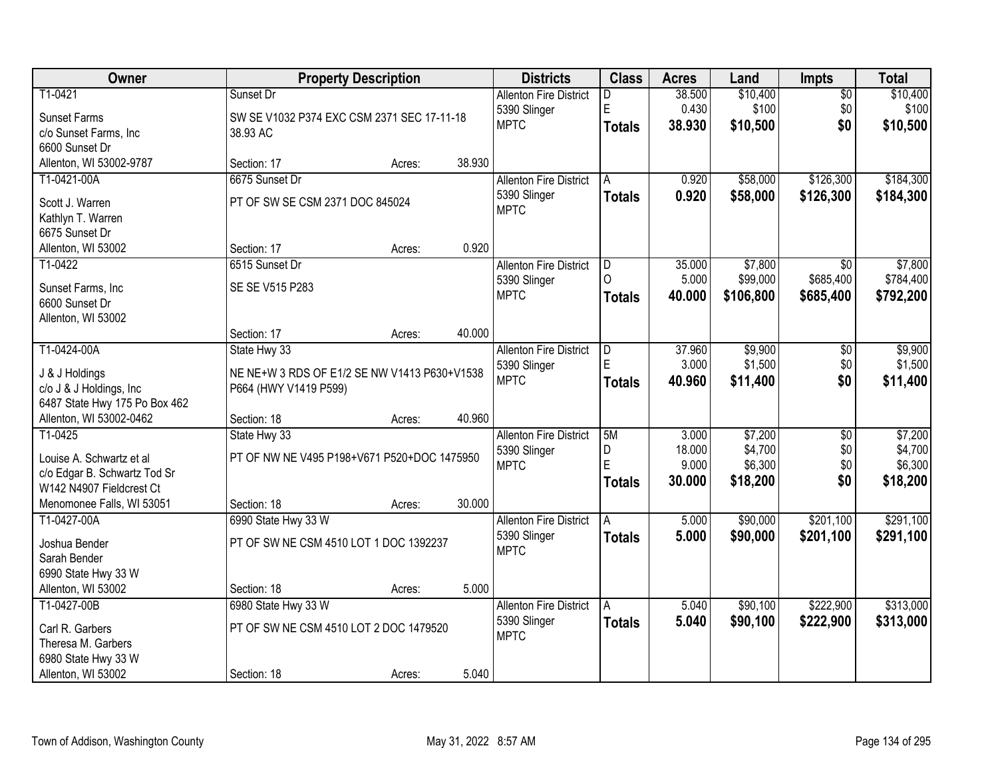| Owner                                |                                              | <b>Property Description</b> |        | <b>Districts</b>              | <b>Class</b>  | <b>Acres</b> | Land      | <b>Impts</b>    | <b>Total</b> |
|--------------------------------------|----------------------------------------------|-----------------------------|--------|-------------------------------|---------------|--------------|-----------|-----------------|--------------|
| T1-0421                              | Sunset Dr                                    |                             |        | <b>Allenton Fire District</b> | D             | 38.500       | \$10,400  | $\overline{50}$ | \$10,400     |
| <b>Sunset Farms</b>                  | SW SE V1032 P374 EXC CSM 2371 SEC 17-11-18   |                             |        | 5390 Slinger                  | E             | 0.430        | \$100     | \$0             | \$100        |
| c/o Sunset Farms, Inc                | 38.93 AC                                     |                             |        | <b>MPTC</b>                   | <b>Totals</b> | 38.930       | \$10,500  | \$0             | \$10,500     |
| 6600 Sunset Dr                       |                                              |                             |        |                               |               |              |           |                 |              |
| Allenton, WI 53002-9787              | Section: 17                                  | Acres:                      | 38.930 |                               |               |              |           |                 |              |
| T1-0421-00A                          | 6675 Sunset Dr                               |                             |        | <b>Allenton Fire District</b> | A             | 0.920        | \$58,000  | \$126,300       | \$184,300    |
|                                      | PT OF SW SE CSM 2371 DOC 845024              |                             |        | 5390 Slinger                  | <b>Totals</b> | 0.920        | \$58,000  | \$126,300       | \$184,300    |
| Scott J. Warren<br>Kathlyn T. Warren |                                              |                             |        | <b>MPTC</b>                   |               |              |           |                 |              |
| 6675 Sunset Dr                       |                                              |                             |        |                               |               |              |           |                 |              |
| Allenton, WI 53002                   | Section: 17                                  | Acres:                      | 0.920  |                               |               |              |           |                 |              |
| T1-0422                              | 6515 Sunset Dr                               |                             |        | <b>Allenton Fire District</b> | ID.           | 35.000       | \$7,800   | $\overline{30}$ | \$7,800      |
|                                      |                                              |                             |        | 5390 Slinger                  | $\Omega$      | 5.000        | \$99,000  | \$685,400       | \$784,400    |
| Sunset Farms, Inc                    | SE SE V515 P283                              |                             |        | <b>MPTC</b>                   | <b>Totals</b> | 40.000       | \$106,800 | \$685,400       | \$792,200    |
| 6600 Sunset Dr                       |                                              |                             |        |                               |               |              |           |                 |              |
| Allenton, WI 53002                   |                                              |                             |        |                               |               |              |           |                 |              |
|                                      | Section: 17                                  | Acres:                      | 40.000 |                               |               |              |           |                 |              |
| T1-0424-00A                          | State Hwy 33                                 |                             |        | <b>Allenton Fire District</b> | ID.           | 37.960       | \$9,900   | \$0             | \$9,900      |
| J & J Holdings                       | NE NE+W 3 RDS OF E1/2 SE NW V1413 P630+V1538 |                             |        | 5390 Slinger                  | E             | 3.000        | \$1,500   | \$0             | \$1,500      |
| c/o J & J Holdings, Inc              | P664 (HWY V1419 P599)                        |                             |        | <b>MPTC</b>                   | <b>Totals</b> | 40.960       | \$11,400  | \$0             | \$11,400     |
| 6487 State Hwy 175 Po Box 462        |                                              |                             |        |                               |               |              |           |                 |              |
| Allenton, WI 53002-0462              | Section: 18                                  | Acres:                      | 40.960 |                               |               |              |           |                 |              |
| T1-0425                              | State Hwy 33                                 |                             |        | <b>Allenton Fire District</b> | 5M            | 3.000        | \$7,200   | $\overline{30}$ | \$7,200      |
| Louise A. Schwartz et al             | PT OF NW NE V495 P198+V671 P520+DOC 1475950  |                             |        | 5390 Slinger                  | D             | 18.000       | \$4,700   | \$0             | \$4,700      |
| c/o Edgar B. Schwartz Tod Sr         |                                              |                             |        | <b>MPTC</b>                   | E             | 9.000        | \$6,300   | \$0             | \$6,300      |
| W142 N4907 Fieldcrest Ct             |                                              |                             |        |                               | <b>Totals</b> | 30.000       | \$18,200  | \$0             | \$18,200     |
| Menomonee Falls, WI 53051            | Section: 18                                  | Acres:                      | 30.000 |                               |               |              |           |                 |              |
| T1-0427-00A                          | 6990 State Hwy 33 W                          |                             |        | <b>Allenton Fire District</b> | A             | 5.000        | \$90,000  | \$201,100       | \$291,100    |
|                                      |                                              |                             |        | 5390 Slinger                  | <b>Totals</b> | 5.000        | \$90,000  | \$201,100       | \$291,100    |
| Joshua Bender                        | PT OF SW NE CSM 4510 LOT 1 DOC 1392237       |                             |        | <b>MPTC</b>                   |               |              |           |                 |              |
| Sarah Bender<br>6990 State Hwy 33 W  |                                              |                             |        |                               |               |              |           |                 |              |
| Allenton, WI 53002                   | Section: 18                                  | Acres:                      | 5.000  |                               |               |              |           |                 |              |
| T1-0427-00B                          | 6980 State Hwy 33 W                          |                             |        | <b>Allenton Fire District</b> | A             | 5.040        | \$90,100  | \$222,900       | \$313,000    |
|                                      |                                              |                             |        | 5390 Slinger                  |               | 5.040        | \$90,100  | \$222,900       | \$313,000    |
| Carl R. Garbers                      | PT OF SW NE CSM 4510 LOT 2 DOC 1479520       |                             |        | <b>MPTC</b>                   | <b>Totals</b> |              |           |                 |              |
| Theresa M. Garbers                   |                                              |                             |        |                               |               |              |           |                 |              |
| 6980 State Hwy 33 W                  |                                              |                             |        |                               |               |              |           |                 |              |
| Allenton, WI 53002                   | Section: 18                                  | Acres:                      | 5.040  |                               |               |              |           |                 |              |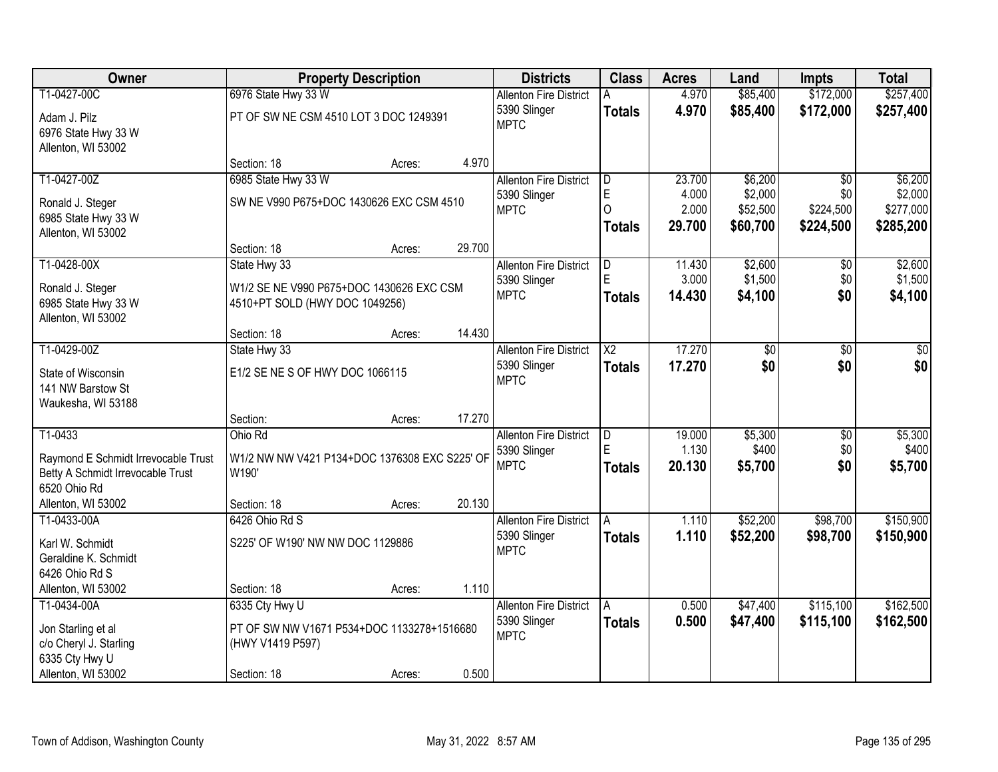| <b>Owner</b>                        |                                               | <b>Property Description</b> |        | <b>Districts</b>              | <b>Class</b>   | <b>Acres</b> | Land     | <b>Impts</b>    | <b>Total</b> |
|-------------------------------------|-----------------------------------------------|-----------------------------|--------|-------------------------------|----------------|--------------|----------|-----------------|--------------|
| T1-0427-00C                         | 6976 State Hwy 33 W                           |                             |        | <b>Allenton Fire District</b> | A              | 4.970        | \$85,400 | \$172,000       | \$257,400    |
| Adam J. Pilz                        | PT OF SW NE CSM 4510 LOT 3 DOC 1249391        |                             |        | 5390 Slinger                  | <b>Totals</b>  | 4.970        | \$85,400 | \$172,000       | \$257,400    |
| 6976 State Hwy 33 W                 |                                               |                             |        | <b>MPTC</b>                   |                |              |          |                 |              |
| Allenton, WI 53002                  |                                               |                             |        |                               |                |              |          |                 |              |
|                                     | Section: 18                                   | Acres:                      | 4.970  |                               |                |              |          |                 |              |
| T1-0427-00Z                         | 6985 State Hwy 33 W                           |                             |        | <b>Allenton Fire District</b> | $\overline{D}$ | 23.700       | \$6,200  | $\overline{50}$ | \$6,200      |
| Ronald J. Steger                    | SW NE V990 P675+DOC 1430626 EXC CSM 4510      |                             |        | 5390 Slinger                  | $\mathsf{E}$   | 4.000        | \$2,000  | \$0             | \$2,000      |
| 6985 State Hwy 33 W                 |                                               |                             |        | <b>MPTC</b>                   | $\Omega$       | 2.000        | \$52,500 | \$224,500       | \$277,000    |
| Allenton, WI 53002                  |                                               |                             |        |                               | <b>Totals</b>  | 29.700       | \$60,700 | \$224,500       | \$285,200    |
|                                     | Section: 18                                   | Acres:                      | 29.700 |                               |                |              |          |                 |              |
| T1-0428-00X                         | State Hwy 33                                  |                             |        | <b>Allenton Fire District</b> | D              | 11.430       | \$2,600  | \$0             | \$2,600      |
| Ronald J. Steger                    | W1/2 SE NE V990 P675+DOC 1430626 EXC CSM      |                             |        | 5390 Slinger                  |                | 3.000        | \$1,500  | \$0             | \$1,500      |
| 6985 State Hwy 33 W                 | 4510+PT SOLD (HWY DOC 1049256)                |                             |        | <b>MPTC</b>                   | <b>Totals</b>  | 14.430       | \$4,100  | \$0             | \$4,100      |
| Allenton, WI 53002                  |                                               |                             |        |                               |                |              |          |                 |              |
|                                     | Section: 18                                   | Acres:                      | 14.430 |                               |                |              |          |                 |              |
| T1-0429-00Z                         | State Hwy 33                                  |                             |        | <b>Allenton Fire District</b> | X2             | 17.270       | \$0      | \$0             | \$0          |
| State of Wisconsin                  | E1/2 SE NE S OF HWY DOC 1066115               |                             |        | 5390 Slinger                  | <b>Totals</b>  | 17.270       | \$0      | \$0             | \$0          |
| 141 NW Barstow St                   |                                               |                             |        | <b>MPTC</b>                   |                |              |          |                 |              |
| Waukesha, WI 53188                  |                                               |                             |        |                               |                |              |          |                 |              |
|                                     | Section:                                      | Acres:                      | 17.270 |                               |                |              |          |                 |              |
| T1-0433                             | Ohio Rd                                       |                             |        | <b>Allenton Fire District</b> | D              | 19.000       | \$5,300  | $\overline{30}$ | \$5,300      |
| Raymond E Schmidt Irrevocable Trust | W1/2 NW NW V421 P134+DOC 1376308 EXC S225' OF |                             |        | 5390 Slinger                  | E              | 1.130        | \$400    | \$0             | \$400        |
| Betty A Schmidt Irrevocable Trust   | W190'                                         |                             |        | <b>MPTC</b>                   | <b>Totals</b>  | 20.130       | \$5,700  | \$0             | \$5,700      |
| 6520 Ohio Rd                        |                                               |                             |        |                               |                |              |          |                 |              |
| Allenton, WI 53002                  | Section: 18                                   | Acres:                      | 20.130 |                               |                |              |          |                 |              |
| T1-0433-00A                         | 6426 Ohio Rd S                                |                             |        | <b>Allenton Fire District</b> | A              | 1.110        | \$52,200 | \$98,700        | \$150,900    |
| Karl W. Schmidt                     | S225' OF W190' NW NW DOC 1129886              |                             |        | 5390 Slinger<br><b>MPTC</b>   | <b>Totals</b>  | 1.110        | \$52,200 | \$98,700        | \$150,900    |
| Geraldine K. Schmidt                |                                               |                             |        |                               |                |              |          |                 |              |
| 6426 Ohio Rd S                      |                                               |                             |        |                               |                |              |          |                 |              |
| Allenton, WI 53002                  | Section: 18                                   | Acres:                      | 1.110  |                               |                |              |          |                 |              |
| T1-0434-00A                         | 6335 Cty Hwy U                                |                             |        | <b>Allenton Fire District</b> | A              | 0.500        | \$47,400 | \$115,100       | \$162,500    |
| Jon Starling et al                  | PT OF SW NW V1671 P534+DOC 1133278+1516680    |                             |        | 5390 Slinger<br><b>MPTC</b>   | <b>Totals</b>  | 0.500        | \$47,400 | \$115,100       | \$162,500    |
| c/o Cheryl J. Starling              | (HWY V1419 P597)                              |                             |        |                               |                |              |          |                 |              |
| 6335 Cty Hwy U                      |                                               |                             |        |                               |                |              |          |                 |              |
| Allenton, WI 53002                  | Section: 18                                   | Acres:                      | 0.500  |                               |                |              |          |                 |              |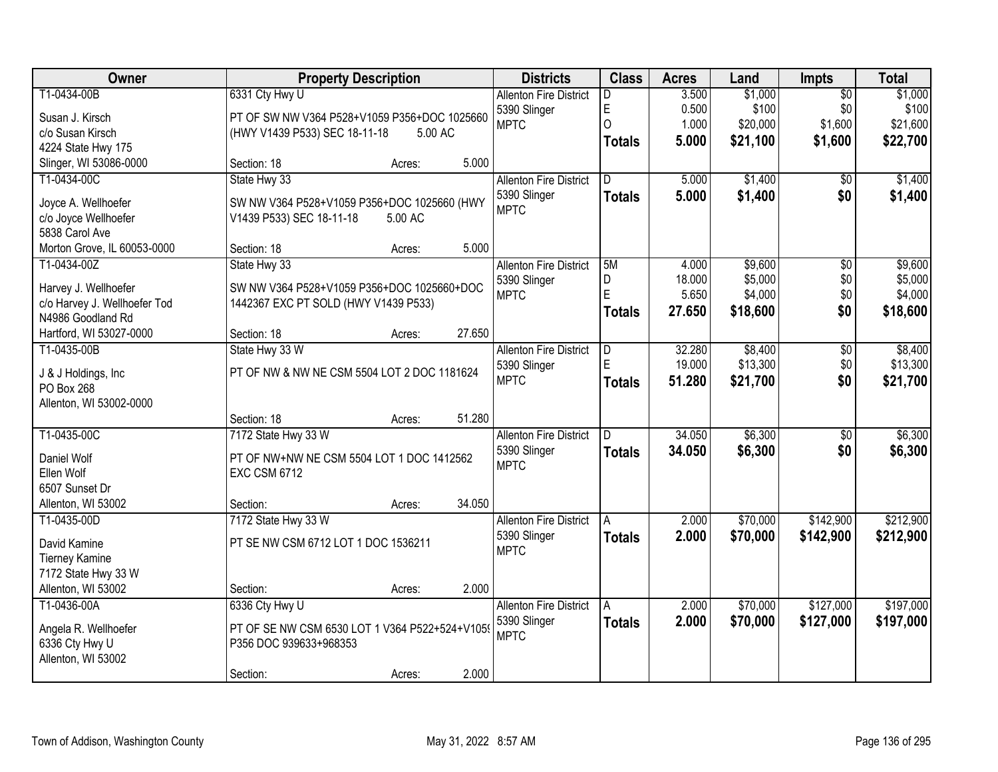| Owner                                             |                                                | <b>Property Description</b> |        | <b>Districts</b>              | <b>Class</b>   | <b>Acres</b> | Land     | <b>Impts</b>    | <b>Total</b> |
|---------------------------------------------------|------------------------------------------------|-----------------------------|--------|-------------------------------|----------------|--------------|----------|-----------------|--------------|
| T1-0434-00B                                       | 6331 Cty Hwy U                                 |                             |        | <b>Allenton Fire District</b> | D              | 3.500        | \$1,000  | $\overline{50}$ | \$1,000      |
| Susan J. Kirsch                                   | PT OF SW NW V364 P528+V1059 P356+DOC 1025660   |                             |        | 5390 Slinger                  | E              | 0.500        | \$100    | \$0             | \$100        |
| c/o Susan Kirsch                                  | (HWY V1439 P533) SEC 18-11-18                  | 5.00 AC                     |        | <b>MPTC</b>                   | $\overline{O}$ | 1.000        | \$20,000 | \$1,600         | \$21,600     |
| 4224 State Hwy 175                                |                                                |                             |        |                               | <b>Totals</b>  | 5.000        | \$21,100 | \$1,600         | \$22,700     |
| Slinger, WI 53086-0000                            | Section: 18                                    | Acres:                      | 5.000  |                               |                |              |          |                 |              |
| T1-0434-00C                                       | State Hwy 33                                   |                             |        | <b>Allenton Fire District</b> | D.             | 5.000        | \$1,400  | $\overline{50}$ | \$1,400      |
| Joyce A. Wellhoefer                               | SW NW V364 P528+V1059 P356+DOC 1025660 (HWY    |                             |        | 5390 Slinger                  | <b>Totals</b>  | 5.000        | \$1,400  | \$0             | \$1,400      |
| c/o Joyce Wellhoefer                              | V1439 P533) SEC 18-11-18                       | 5.00 AC                     |        | <b>MPTC</b>                   |                |              |          |                 |              |
| 5838 Carol Ave                                    |                                                |                             |        |                               |                |              |          |                 |              |
| Morton Grove, IL 60053-0000                       | Section: 18                                    | Acres:                      | 5.000  |                               |                |              |          |                 |              |
| T1-0434-00Z                                       | State Hwy 33                                   |                             |        | <b>Allenton Fire District</b> | 5M             | 4.000        | \$9,600  | \$0             | \$9,600      |
|                                                   |                                                |                             |        | 5390 Slinger                  | D              | 18.000       | \$5,000  | \$0             | \$5,000      |
| Harvey J. Wellhoefer                              | SW NW V364 P528+V1059 P356+DOC 1025660+DOC     |                             |        | <b>MPTC</b>                   | E              | 5.650        | \$4,000  | \$0             | \$4,000      |
| c/o Harvey J. Wellhoefer Tod<br>N4986 Goodland Rd | 1442367 EXC PT SOLD (HWY V1439 P533)           |                             |        |                               | <b>Totals</b>  | 27.650       | \$18,600 | \$0             | \$18,600     |
| Hartford, WI 53027-0000                           | Section: 18                                    | Acres:                      | 27.650 |                               |                |              |          |                 |              |
| T1-0435-00B                                       | State Hwy 33 W                                 |                             |        | <b>Allenton Fire District</b> | D              | 32.280       | \$8,400  | \$0             | \$8,400      |
|                                                   |                                                |                             |        | 5390 Slinger                  | E              | 19.000       | \$13,300 | \$0             | \$13,300     |
| J & J Holdings, Inc.                              | PT OF NW & NW NE CSM 5504 LOT 2 DOC 1181624    |                             |        | <b>MPTC</b>                   | <b>Totals</b>  | 51.280       | \$21,700 | \$0             | \$21,700     |
| PO Box 268                                        |                                                |                             |        |                               |                |              |          |                 |              |
| Allenton, WI 53002-0000                           |                                                |                             |        |                               |                |              |          |                 |              |
|                                                   | Section: 18                                    | Acres:                      | 51.280 |                               |                |              |          |                 |              |
| T1-0435-00C                                       | 7172 State Hwy 33 W                            |                             |        | <b>Allenton Fire District</b> |                | 34.050       | \$6,300  | $\overline{30}$ | \$6,300      |
| Daniel Wolf                                       | PT OF NW+NW NE CSM 5504 LOT 1 DOC 1412562      |                             |        | 5390 Slinger<br><b>MPTC</b>   | Totals         | 34.050       | \$6,300  | \$0             | \$6,300      |
| Ellen Wolf                                        | <b>EXC CSM 6712</b>                            |                             |        |                               |                |              |          |                 |              |
| 6507 Sunset Dr                                    |                                                |                             |        |                               |                |              |          |                 |              |
| Allenton, WI 53002                                | Section:                                       | Acres:                      | 34.050 |                               |                |              |          |                 |              |
| T1-0435-00D                                       | 7172 State Hwy 33 W                            |                             |        | <b>Allenton Fire District</b> | A              | 2.000        | \$70,000 | \$142,900       | \$212,900    |
| David Kamine                                      | PT SE NW CSM 6712 LOT 1 DOC 1536211            |                             |        | 5390 Slinger                  | <b>Totals</b>  | 2.000        | \$70,000 | \$142,900       | \$212,900    |
| <b>Tierney Kamine</b>                             |                                                |                             |        | <b>MPTC</b>                   |                |              |          |                 |              |
| 7172 State Hwy 33 W                               |                                                |                             |        |                               |                |              |          |                 |              |
| Allenton, WI 53002                                | Section:                                       | Acres:                      | 2.000  |                               |                |              |          |                 |              |
| T1-0436-00A                                       | 6336 Cty Hwy U                                 |                             |        | <b>Allenton Fire District</b> | A              | 2.000        | \$70,000 | \$127,000       | \$197,000    |
| Angela R. Wellhoefer                              | PT OF SE NW CSM 6530 LOT 1 V364 P522+524+V1059 |                             |        | 5390 Slinger                  | Totals         | 2.000        | \$70,000 | \$127,000       | \$197,000    |
| 6336 Cty Hwy U                                    | P356 DOC 939633+968353                         |                             |        | <b>MPTC</b>                   |                |              |          |                 |              |
| Allenton, WI 53002                                |                                                |                             |        |                               |                |              |          |                 |              |
|                                                   | Section:                                       | Acres:                      | 2.000  |                               |                |              |          |                 |              |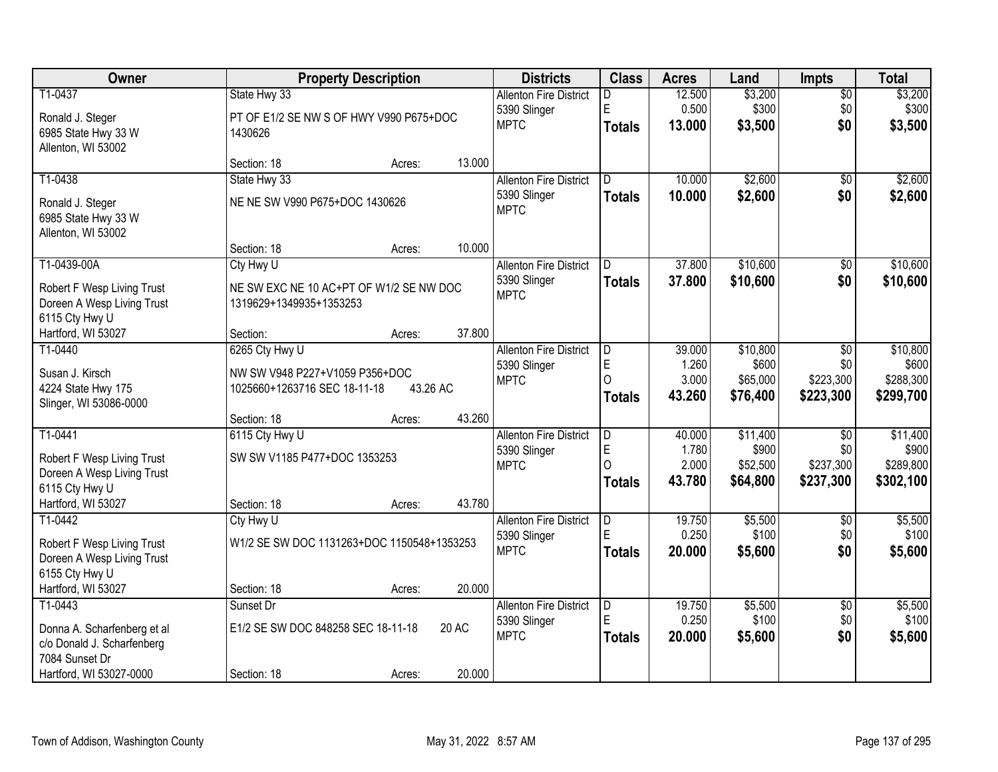| Owner                                     |                                            | <b>Property Description</b> |        | <b>Districts</b>                              | <b>Class</b>                 | <b>Acres</b>    | Land              | <b>Impts</b>           | <b>Total</b>      |
|-------------------------------------------|--------------------------------------------|-----------------------------|--------|-----------------------------------------------|------------------------------|-----------------|-------------------|------------------------|-------------------|
| T1-0437                                   | State Hwy 33                               |                             |        | <b>Allenton Fire District</b>                 | D                            | 12.500          | \$3,200           | $\overline{50}$        | \$3,200           |
| Ronald J. Steger                          | PT OF E1/2 SE NW S OF HWY V990 P675+DOC    |                             |        | 5390 Slinger                                  | E                            | 0.500           | \$300             | \$0                    | \$300             |
| 6985 State Hwy 33 W                       | 1430626                                    |                             |        | <b>MPTC</b>                                   | <b>Totals</b>                | 13.000          | \$3,500           | \$0                    | \$3,500           |
| Allenton, WI 53002                        |                                            |                             |        |                                               |                              |                 |                   |                        |                   |
|                                           | Section: 18                                | Acres:                      | 13.000 |                                               |                              |                 |                   |                        |                   |
| T1-0438                                   | State Hwy 33                               |                             |        | <b>Allenton Fire District</b>                 | D.                           | 10.000          | \$2,600           | $\overline{50}$        | \$2,600           |
| Ronald J. Steger                          | NE NE SW V990 P675+DOC 1430626             |                             |        | 5390 Slinger<br><b>MPTC</b>                   | <b>Totals</b>                | 10.000          | \$2,600           | \$0                    | \$2,600           |
| 6985 State Hwy 33 W                       |                                            |                             |        |                                               |                              |                 |                   |                        |                   |
| Allenton, WI 53002                        |                                            |                             |        |                                               |                              |                 |                   |                        |                   |
|                                           | Section: 18                                | Acres:                      | 10.000 |                                               |                              |                 |                   |                        |                   |
| T1-0439-00A                               | Cty Hwy U                                  |                             |        | <b>Allenton Fire District</b>                 | D                            | 37.800          | \$10,600          | \$0                    | \$10,600          |
| Robert F Wesp Living Trust                | NE SW EXC NE 10 AC+PT OF W1/2 SE NW DOC    |                             |        | 5390 Slinger<br><b>MPTC</b>                   | <b>Totals</b>                | 37.800          | \$10,600          | \$0                    | \$10,600          |
| Doreen A Wesp Living Trust                | 1319629+1349935+1353253                    |                             |        |                                               |                              |                 |                   |                        |                   |
| 6115 Cty Hwy U                            |                                            |                             |        |                                               |                              |                 |                   |                        |                   |
| Hartford, WI 53027                        | Section:                                   | Acres:                      | 37.800 |                                               |                              |                 |                   |                        |                   |
| T1-0440                                   | 6265 Cty Hwy U                             |                             |        | <b>Allenton Fire District</b>                 | ID.<br>E                     | 39.000<br>1.260 | \$10,800<br>\$600 | \$0<br>\$0             | \$10,800<br>\$600 |
| Susan J. Kirsch                           | NW SW V948 P227+V1059 P356+DOC             |                             |        | 5390 Slinger<br><b>MPTC</b>                   | $\Omega$                     | 3.000           | \$65,000          | \$223,300              | \$288,300         |
| 4224 State Hwy 175                        | 1025660+1263716 SEC 18-11-18               | 43.26 AC                    |        |                                               | <b>Totals</b>                | 43.260          | \$76,400          | \$223,300              | \$299,700         |
| Slinger, WI 53086-0000                    |                                            |                             |        |                                               |                              |                 |                   |                        |                   |
|                                           | Section: 18                                | Acres:                      | 43.260 |                                               |                              |                 |                   |                        |                   |
| T1-0441                                   | 6115 Cty Hwy U                             |                             |        | <b>Allenton Fire District</b>                 | $\overline{\mathsf{D}}$<br>E | 40.000<br>1.780 | \$11,400<br>\$900 | $\overline{50}$<br>\$0 | \$11,400<br>\$900 |
| Robert F Wesp Living Trust                | SW SW V1185 P477+DOC 1353253               |                             |        | 5390 Slinger<br><b>MPTC</b>                   | $\Omega$                     | 2.000           | \$52,500          | \$237,300              | \$289,800         |
| Doreen A Wesp Living Trust                |                                            |                             |        |                                               | <b>Totals</b>                | 43.780          | \$64,800          | \$237,300              | \$302,100         |
| 6115 Cty Hwy U                            |                                            |                             |        |                                               |                              |                 |                   |                        |                   |
| Hartford, WI 53027<br>T1-0442             | Section: 18                                | Acres:                      | 43.780 |                                               |                              |                 |                   |                        |                   |
|                                           | Cty Hwy U                                  |                             |        | <b>Allenton Fire District</b><br>5390 Slinger | D<br>E                       | 19.750<br>0.250 | \$5,500<br>\$100  | $\sqrt{6}$<br>\$0      | \$5,500<br>\$100  |
| Robert F Wesp Living Trust                | W1/2 SE SW DOC 1131263+DOC 1150548+1353253 |                             |        | <b>MPTC</b>                                   | <b>Totals</b>                | 20,000          | \$5,600           | \$0                    | \$5,600           |
| Doreen A Wesp Living Trust                |                                            |                             |        |                                               |                              |                 |                   |                        |                   |
| 6155 Cty Hwy U<br>Hartford, WI 53027      |                                            |                             | 20.000 |                                               |                              |                 |                   |                        |                   |
| T1-0443                                   | Section: 18<br>Sunset Dr                   | Acres:                      |        | <b>Allenton Fire District</b>                 | ID.                          | 19.750          | \$5,500           | $\overline{30}$        | \$5,500           |
|                                           |                                            |                             |        | 5390 Slinger                                  | E                            | 0.250           | \$100             | \$0                    | \$100             |
| Donna A. Scharfenberg et al               | E1/2 SE SW DOC 848258 SEC 18-11-18         |                             | 20 AC  | <b>MPTC</b>                                   | <b>Totals</b>                | 20,000          | \$5,600           | \$0                    | \$5,600           |
| c/o Donald J. Scharfenberg                |                                            |                             |        |                                               |                              |                 |                   |                        |                   |
| 7084 Sunset Dr<br>Hartford, WI 53027-0000 | Section: 18                                | Acres:                      | 20.000 |                                               |                              |                 |                   |                        |                   |
|                                           |                                            |                             |        |                                               |                              |                 |                   |                        |                   |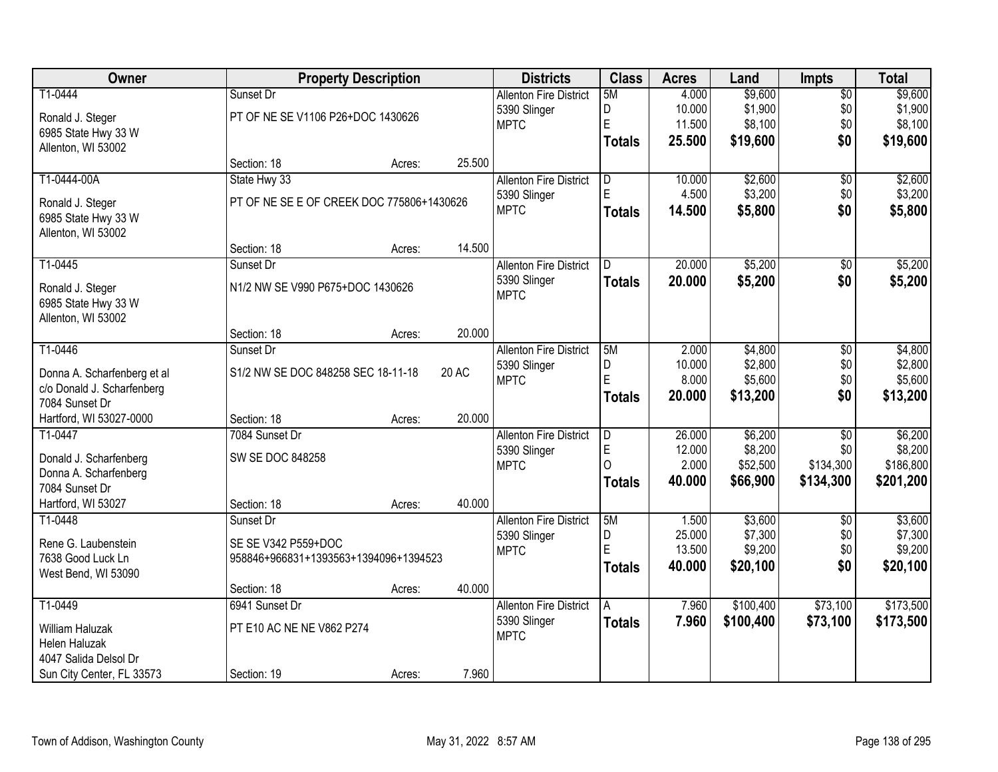| Owner                       |                                           | <b>Property Description</b> |        | <b>Districts</b>              | <b>Class</b>  | <b>Acres</b> | Land      | <b>Impts</b>    | <b>Total</b> |
|-----------------------------|-------------------------------------------|-----------------------------|--------|-------------------------------|---------------|--------------|-----------|-----------------|--------------|
| T1-0444                     | Sunset Dr                                 |                             |        | <b>Allenton Fire District</b> | 5M            | 4.000        | \$9,600   | \$0             | \$9,600      |
| Ronald J. Steger            | PT OF NE SE V1106 P26+DOC 1430626         |                             |        | 5390 Slinger                  | D             | 10.000       | \$1,900   | \$0             | \$1,900      |
| 6985 State Hwy 33 W         |                                           |                             |        | <b>MPTC</b>                   | E             | 11.500       | \$8,100   | \$0             | \$8,100      |
| Allenton, WI 53002          |                                           |                             |        |                               | <b>Totals</b> | 25.500       | \$19,600  | \$0             | \$19,600     |
|                             | Section: 18                               | Acres:                      | 25.500 |                               |               |              |           |                 |              |
| T1-0444-00A                 | State Hwy 33                              |                             |        | <b>Allenton Fire District</b> | D             | 10.000       | \$2,600   | $\overline{50}$ | \$2,600      |
| Ronald J. Steger            | PT OF NE SE E OF CREEK DOC 775806+1430626 |                             |        | 5390 Slinger                  | E             | 4.500        | \$3,200   | \$0             | \$3,200      |
| 6985 State Hwy 33 W         |                                           |                             |        | <b>MPTC</b>                   | <b>Totals</b> | 14.500       | \$5,800   | \$0             | \$5,800      |
| Allenton, WI 53002          |                                           |                             |        |                               |               |              |           |                 |              |
|                             | Section: 18                               | Acres:                      | 14.500 |                               |               |              |           |                 |              |
| T1-0445                     | Sunset Dr                                 |                             |        | <b>Allenton Fire District</b> | D             | 20.000       | \$5,200   | \$0             | \$5,200      |
| Ronald J. Steger            | N1/2 NW SE V990 P675+DOC 1430626          |                             |        | 5390 Slinger                  | <b>Totals</b> | 20.000       | \$5,200   | \$0             | \$5,200      |
| 6985 State Hwy 33 W         |                                           |                             |        | <b>MPTC</b>                   |               |              |           |                 |              |
| Allenton, WI 53002          |                                           |                             |        |                               |               |              |           |                 |              |
|                             | Section: 18                               | Acres:                      | 20.000 |                               |               |              |           |                 |              |
| T1-0446                     | Sunset Dr                                 |                             |        | <b>Allenton Fire District</b> | 5M            | 2.000        | \$4,800   | \$0             | \$4,800      |
| Donna A. Scharfenberg et al | S1/2 NW SE DOC 848258 SEC 18-11-18        |                             | 20 AC  | 5390 Slinger                  | D             | 10.000       | \$2,800   | \$0             | \$2,800      |
| c/o Donald J. Scharfenberg  |                                           |                             |        | <b>MPTC</b>                   | E             | 8.000        | \$5,600   | \$0             | \$5,600      |
| 7084 Sunset Dr              |                                           |                             |        |                               | <b>Totals</b> | 20.000       | \$13,200  | \$0             | \$13,200     |
| Hartford, WI 53027-0000     | Section: 18                               | Acres:                      | 20.000 |                               |               |              |           |                 |              |
| T1-0447                     | 7084 Sunset Dr                            |                             |        | <b>Allenton Fire District</b> | D             | 26.000       | \$6,200   | $\overline{50}$ | \$6,200      |
| Donald J. Scharfenberg      | SW SE DOC 848258                          |                             |        | 5390 Slinger                  | E             | 12.000       | \$8,200   | \$0             | \$8,200      |
| Donna A. Scharfenberg       |                                           |                             |        | <b>MPTC</b>                   | $\Omega$      | 2.000        | \$52,500  | \$134,300       | \$186,800    |
| 7084 Sunset Dr              |                                           |                             |        |                               | <b>Totals</b> | 40.000       | \$66,900  | \$134,300       | \$201,200    |
| Hartford, WI 53027          | Section: 18                               | Acres:                      | 40.000 |                               |               |              |           |                 |              |
| T1-0448                     | Sunset Dr                                 |                             |        | <b>Allenton Fire District</b> | 5M            | 1.500        | \$3,600   | $\overline{50}$ | \$3,600      |
| Rene G. Laubenstein         | SE SE V342 P559+DOC                       |                             |        | 5390 Slinger                  | D             | 25.000       | \$7,300   | \$0             | \$7,300      |
| 7638 Good Luck Ln           | 958846+966831+1393563+1394096+1394523     |                             |        | <b>MPTC</b>                   | E             | 13.500       | \$9,200   | \$0             | \$9,200      |
| West Bend, WI 53090         |                                           |                             |        |                               | <b>Totals</b> | 40.000       | \$20,100  | \$0             | \$20,100     |
|                             | Section: 18                               | Acres:                      | 40.000 |                               |               |              |           |                 |              |
| T1-0449                     | 6941 Sunset Dr                            |                             |        | <b>Allenton Fire District</b> | A             | 7.960        | \$100,400 | \$73,100        | \$173,500    |
| William Haluzak             | PT E10 AC NE NE V862 P274                 |                             |        | 5390 Slinger                  | <b>Totals</b> | 7.960        | \$100,400 | \$73,100        | \$173,500    |
| Helen Haluzak               |                                           |                             |        | <b>MPTC</b>                   |               |              |           |                 |              |
| 4047 Salida Delsol Dr       |                                           |                             |        |                               |               |              |           |                 |              |
| Sun City Center, FL 33573   | Section: 19                               | Acres:                      | 7.960  |                               |               |              |           |                 |              |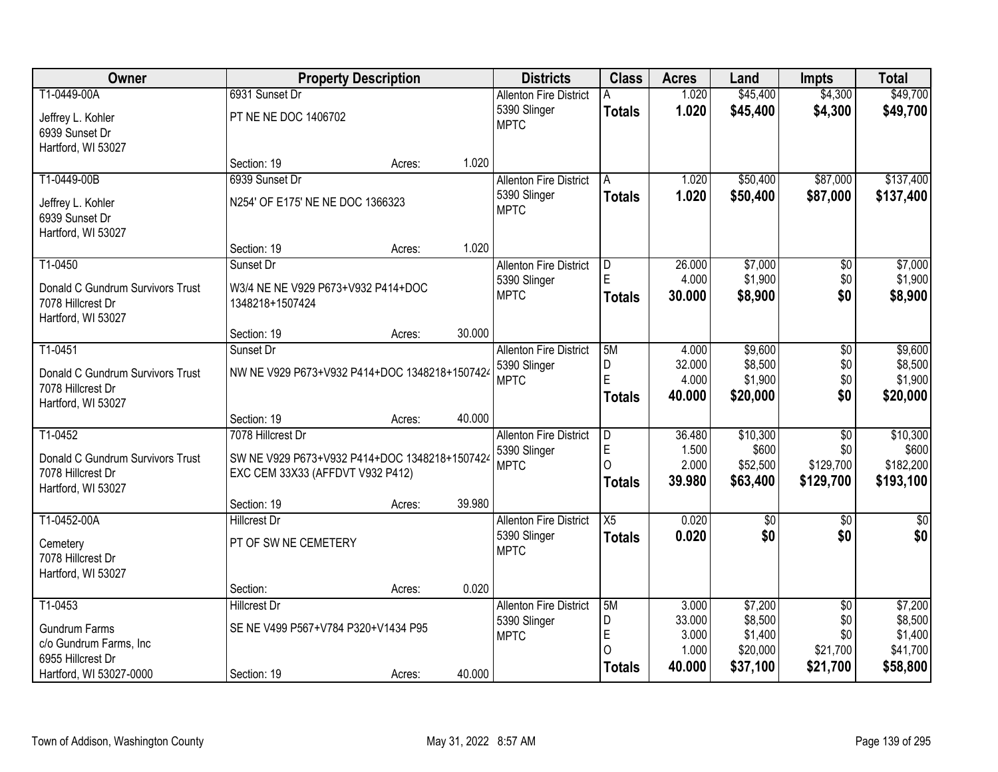| Owner                                | <b>Property Description</b>                   |        |        | <b>Districts</b>                              | <b>Class</b>    | <b>Acres</b>    | Land               | <b>Impts</b>           | <b>Total</b>       |
|--------------------------------------|-----------------------------------------------|--------|--------|-----------------------------------------------|-----------------|-----------------|--------------------|------------------------|--------------------|
| T1-0449-00A                          | 6931 Sunset Dr                                |        |        | <b>Allenton Fire District</b>                 |                 | 1.020           | \$45,400           | \$4,300                | \$49,700           |
| Jeffrey L. Kohler<br>6939 Sunset Dr  | PT NE NE DOC 1406702                          |        |        | 5390 Slinger<br><b>MPTC</b>                   | <b>Totals</b>   | 1.020           | \$45,400           | \$4,300                | \$49,700           |
| Hartford, WI 53027                   |                                               |        |        |                                               |                 |                 |                    |                        |                    |
|                                      | Section: 19                                   | Acres: | 1.020  |                                               |                 |                 |                    |                        |                    |
| T1-0449-00B                          | 6939 Sunset Dr                                |        |        | <b>Allenton Fire District</b>                 | A               | 1.020           | \$50,400           | \$87,000               | \$137,400          |
|                                      |                                               |        |        | 5390 Slinger                                  | <b>Totals</b>   | 1.020           | \$50,400           | \$87,000               | \$137,400          |
| Jeffrey L. Kohler                    | N254' OF E175' NE NE DOC 1366323              |        |        | <b>MPTC</b>                                   |                 |                 |                    |                        |                    |
| 6939 Sunset Dr<br>Hartford, WI 53027 |                                               |        |        |                                               |                 |                 |                    |                        |                    |
|                                      | Section: 19                                   | Acres: | 1.020  |                                               |                 |                 |                    |                        |                    |
| T1-0450                              | Sunset Dr                                     |        |        | <b>Allenton Fire District</b>                 | D               | 26.000          | \$7,000            | \$0                    | \$7,000            |
|                                      |                                               |        |        | 5390 Slinger                                  | E               | 4.000           | \$1,900            | \$0                    | \$1,900            |
| Donald C Gundrum Survivors Trust     | W3/4 NE NE V929 P673+V932 P414+DOC            |        |        | <b>MPTC</b>                                   | <b>Totals</b>   | 30.000          | \$8,900            | \$0                    | \$8,900            |
| 7078 Hillcrest Dr                    | 1348218+1507424                               |        |        |                                               |                 |                 |                    |                        |                    |
| Hartford, WI 53027                   | Section: 19                                   | Acres: | 30.000 |                                               |                 |                 |                    |                        |                    |
| T1-0451                              | Sunset Dr                                     |        |        | <b>Allenton Fire District</b>                 | 5M              | 4.000           | \$9,600            | \$0                    | \$9,600            |
|                                      |                                               |        |        | 5390 Slinger                                  | D               | 32.000          | \$8,500            | \$0                    | \$8,500            |
| Donald C Gundrum Survivors Trust     | NW NE V929 P673+V932 P414+DOC 1348218+1507424 |        |        | <b>MPTC</b>                                   | E               | 4.000           | \$1,900            | \$0                    | \$1,900            |
| 7078 Hillcrest Dr                    |                                               |        |        |                                               | <b>Totals</b>   | 40.000          | \$20,000           | \$0                    | \$20,000           |
| Hartford, WI 53027                   |                                               |        |        |                                               |                 |                 |                    |                        |                    |
| T1-0452                              | Section: 19<br>7078 Hillcrest Dr              | Acres: | 40.000 |                                               |                 |                 |                    |                        |                    |
|                                      |                                               |        |        | <b>Allenton Fire District</b><br>5390 Slinger | D<br>E          | 36.480<br>1.500 | \$10,300<br>\$600  | $\overline{50}$<br>\$0 | \$10,300<br>\$600  |
| Donald C Gundrum Survivors Trust     | SW NE V929 P673+V932 P414+DOC 1348218+1507424 |        |        | <b>MPTC</b>                                   | O               | 2.000           | \$52,500           | \$129,700              | \$182,200          |
| 7078 Hillcrest Dr                    | EXC CEM 33X33 (AFFDVT V932 P412)              |        |        |                                               | <b>Totals</b>   | 39.980          | \$63,400           | \$129,700              | \$193,100          |
| Hartford, WI 53027                   |                                               |        |        |                                               |                 |                 |                    |                        |                    |
|                                      | Section: 19                                   | Acres: | 39.980 |                                               |                 |                 |                    |                        |                    |
| T1-0452-00A                          | Hillcrest Dr                                  |        |        | <b>Allenton Fire District</b>                 | $\overline{X5}$ | 0.020           | $\overline{60}$    | $\overline{50}$        | $\overline{50}$    |
| Cemetery                             | PT OF SW NE CEMETERY                          |        |        | 5390 Slinger<br><b>MPTC</b>                   | <b>Totals</b>   | 0.020           | \$0                | \$0                    | \$0                |
| 7078 Hillcrest Dr                    |                                               |        |        |                                               |                 |                 |                    |                        |                    |
| Hartford, WI 53027                   |                                               |        |        |                                               |                 |                 |                    |                        |                    |
|                                      | Section:                                      | Acres: | 0.020  |                                               |                 |                 |                    |                        |                    |
| T1-0453                              | <b>Hillcrest Dr</b>                           |        |        | <b>Allenton Fire District</b>                 | 5M              | 3.000           | \$7,200            | $\overline{50}$        | \$7,200            |
| <b>Gundrum Farms</b>                 | SE NE V499 P567+V784 P320+V1434 P95           |        |        | 5390 Slinger                                  | D<br>E          | 33.000<br>3.000 | \$8,500<br>\$1,400 | \$0<br>\$0             | \$8,500<br>\$1,400 |
| c/o Gundrum Farms, Inc               |                                               |        |        | <b>MPTC</b>                                   | ∩               | 1.000           | \$20,000           | \$21,700               | \$41,700           |
| 6955 Hillcrest Dr                    |                                               |        |        |                                               | <b>Totals</b>   | 40.000          | \$37,100           | \$21,700               | \$58,800           |
| Hartford, WI 53027-0000              | Section: 19                                   | Acres: | 40.000 |                                               |                 |                 |                    |                        |                    |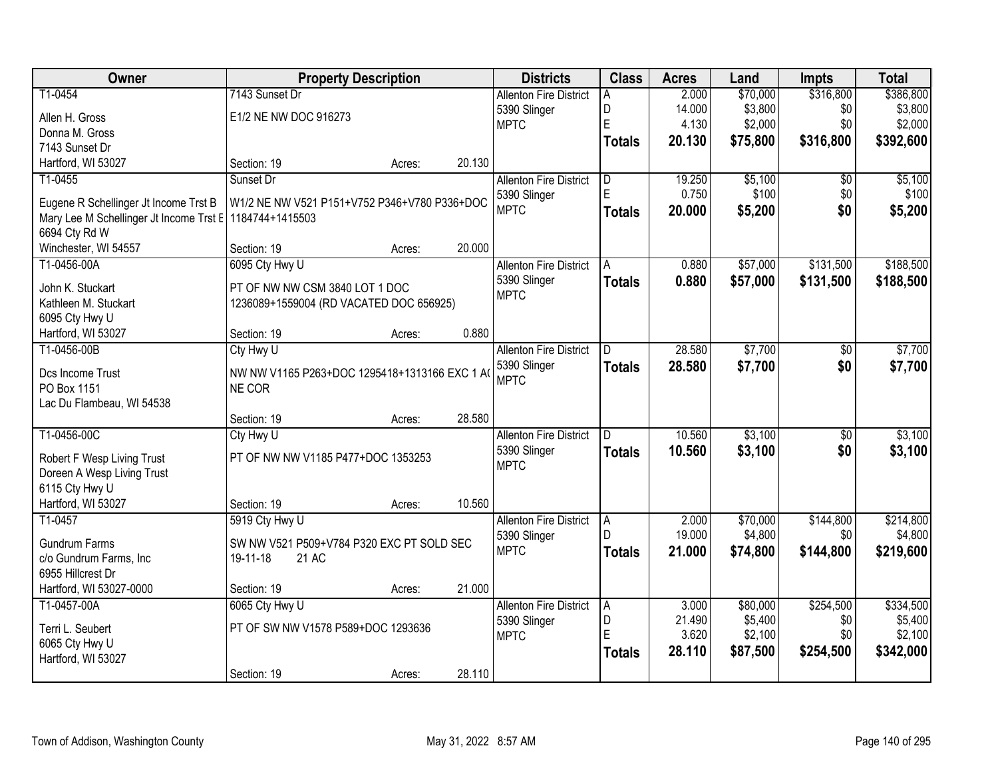| Owner                                   | <b>Property Description</b>                            |        |        | <b>Districts</b>              | <b>Class</b>  | <b>Acres</b> | Land     | <b>Impts</b>    | <b>Total</b> |
|-----------------------------------------|--------------------------------------------------------|--------|--------|-------------------------------|---------------|--------------|----------|-----------------|--------------|
| T1-0454                                 | 7143 Sunset Dr                                         |        |        | <b>Allenton Fire District</b> | A             | 2.000        | \$70,000 | \$316,800       | \$386,800    |
| Allen H. Gross                          | E1/2 NE NW DOC 916273                                  |        |        | 5390 Slinger                  | D             | 14.000       | \$3,800  | \$0             | \$3,800      |
| Donna M. Gross                          |                                                        |        |        | <b>MPTC</b>                   | E             | 4.130        | \$2,000  | \$0             | \$2,000      |
| 7143 Sunset Dr                          |                                                        |        |        |                               | <b>Totals</b> | 20.130       | \$75,800 | \$316,800       | \$392,600    |
| Hartford, WI 53027                      | Section: 19                                            | Acres: | 20.130 |                               |               |              |          |                 |              |
| T1-0455                                 | Sunset Dr                                              |        |        | <b>Allenton Fire District</b> | D             | 19.250       | \$5,100  | $\overline{30}$ | \$5,100      |
|                                         |                                                        |        |        | 5390 Slinger                  | E             | 0.750        | \$100    | \$0             | \$100        |
| Eugene R Schellinger Jt Income Trst B   | W1/2 NE NW V521 P151+V752 P346+V780 P336+DOC           |        |        | <b>MPTC</b>                   | <b>Totals</b> | 20.000       | \$5,200  | \$0             | \$5,200      |
| Mary Lee M Schellinger Jt Income Trst E | 1184744+1415503                                        |        |        |                               |               |              |          |                 |              |
| 6694 Cty Rd W                           |                                                        |        |        |                               |               |              |          |                 |              |
| Winchester, WI 54557                    | Section: 19                                            | Acres: | 20.000 |                               |               |              |          |                 |              |
| T1-0456-00A                             | 6095 Cty Hwy U                                         |        |        | <b>Allenton Fire District</b> | l A           | 0.880        | \$57,000 | \$131,500       | \$188,500    |
| John K. Stuckart                        | PT OF NW NW CSM 3840 LOT 1 DOC                         |        |        | 5390 Slinger                  | <b>Totals</b> | 0.880        | \$57,000 | \$131,500       | \$188,500    |
| Kathleen M. Stuckart                    | 1236089+1559004 (RD VACATED DOC 656925)                |        |        | <b>MPTC</b>                   |               |              |          |                 |              |
| 6095 Cty Hwy U                          |                                                        |        |        |                               |               |              |          |                 |              |
| Hartford, WI 53027                      | Section: 19                                            | Acres: | 0.880  |                               |               |              |          |                 |              |
| T1-0456-00B                             | Cty Hwy U                                              |        |        | <b>Allenton Fire District</b> | D             | 28.580       | \$7,700  | \$0             | \$7,700      |
| Dcs Income Trust                        |                                                        |        |        | 5390 Slinger                  | <b>Totals</b> | 28.580       | \$7,700  | \$0             | \$7,700      |
| PO Box 1151                             | NW NW V1165 P263+DOC 1295418+1313166 EXC 1 A<br>NE COR |        |        | <b>MPTC</b>                   |               |              |          |                 |              |
| Lac Du Flambeau, WI 54538               |                                                        |        |        |                               |               |              |          |                 |              |
|                                         | Section: 19                                            | Acres: | 28.580 |                               |               |              |          |                 |              |
| T1-0456-00C                             | Cty Hwy U                                              |        |        | <b>Allenton Fire District</b> | D.            | 10.560       | \$3,100  | $\overline{50}$ | \$3,100      |
|                                         |                                                        |        |        | 5390 Slinger                  | <b>Totals</b> | 10.560       | \$3,100  | \$0             | \$3,100      |
| Robert F Wesp Living Trust              | PT OF NW NW V1185 P477+DOC 1353253                     |        |        | <b>MPTC</b>                   |               |              |          |                 |              |
| Doreen A Wesp Living Trust              |                                                        |        |        |                               |               |              |          |                 |              |
| 6115 Cty Hwy U                          |                                                        |        |        |                               |               |              |          |                 |              |
| Hartford, WI 53027                      | Section: 19                                            | Acres: | 10.560 |                               |               |              |          |                 |              |
| T1-0457                                 | 5919 Cty Hwy U                                         |        |        | <b>Allenton Fire District</b> | A             | 2.000        | \$70,000 | \$144,800       | \$214,800    |
| <b>Gundrum Farms</b>                    | SW NW V521 P509+V784 P320 EXC PT SOLD SEC              |        |        | 5390 Slinger                  |               | 19.000       | \$4,800  | \$0             | \$4,800      |
| c/o Gundrum Farms, Inc                  | 21 AC<br>19-11-18                                      |        |        | <b>MPTC</b>                   | <b>Totals</b> | 21.000       | \$74,800 | \$144,800       | \$219,600    |
| 6955 Hillcrest Dr                       |                                                        |        |        |                               |               |              |          |                 |              |
| Hartford, WI 53027-0000                 | Section: 19                                            | Acres: | 21.000 |                               |               |              |          |                 |              |
| T1-0457-00A                             | 6065 Cty Hwy U                                         |        |        | <b>Allenton Fire District</b> | A             | 3.000        | \$80,000 | \$254,500       | \$334,500    |
|                                         |                                                        |        |        | 5390 Slinger                  | D             | 21.490       | \$5,400  | \$0             | \$5,400      |
| Terri L. Seubert                        | PT OF SW NW V1578 P589+DOC 1293636                     |        |        | <b>MPTC</b>                   | E             | 3.620        | \$2,100  | \$0             | \$2,100      |
| 6065 Cty Hwy U                          |                                                        |        |        |                               | <b>Totals</b> | 28.110       | \$87,500 | \$254,500       | \$342,000    |
| Hartford, WI 53027                      |                                                        |        | 28.110 |                               |               |              |          |                 |              |
|                                         | Section: 19                                            | Acres: |        |                               |               |              |          |                 |              |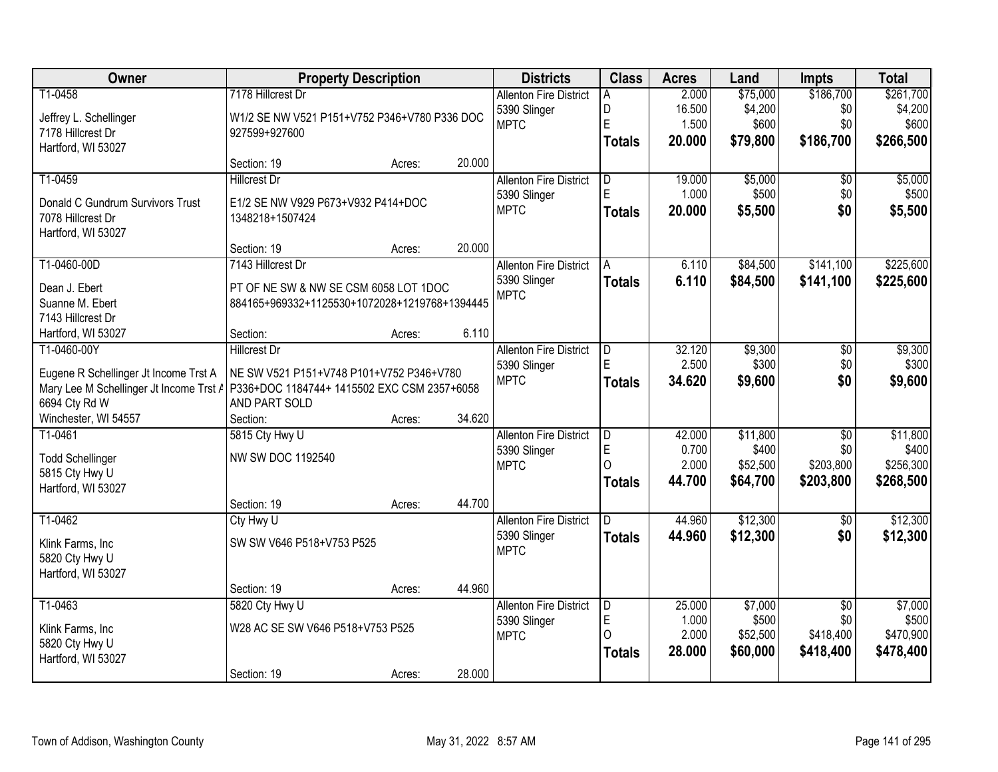| Owner                                                                               | <b>Property Description</b>                   |        |        | <b>Districts</b>              | <b>Class</b>  | <b>Acres</b> | Land     | Impts           | <b>Total</b> |
|-------------------------------------------------------------------------------------|-----------------------------------------------|--------|--------|-------------------------------|---------------|--------------|----------|-----------------|--------------|
| T1-0458                                                                             | 7178 Hillcrest Dr                             |        |        | <b>Allenton Fire District</b> | A             | 2.000        | \$75,000 | \$186,700       | \$261,700    |
| Jeffrey L. Schellinger                                                              | W1/2 SE NW V521 P151+V752 P346+V780 P336 DOC  |        |        | 5390 Slinger                  | D             | 16.500       | \$4,200  | \$0             | \$4,200      |
| 7178 Hillcrest Dr                                                                   | 927599+927600                                 |        |        | <b>MPTC</b>                   | E             | 1.500        | \$600    | \$0             | \$600        |
| Hartford, WI 53027                                                                  |                                               |        |        |                               | <b>Totals</b> | 20.000       | \$79,800 | \$186,700       | \$266,500    |
|                                                                                     | Section: 19                                   | Acres: | 20.000 |                               |               |              |          |                 |              |
| T1-0459                                                                             | <b>Hillcrest Dr</b>                           |        |        | <b>Allenton Fire District</b> | D             | 19.000       | \$5,000  | $\overline{50}$ | \$5,000      |
| Donald C Gundrum Survivors Trust                                                    | E1/2 SE NW V929 P673+V932 P414+DOC            |        |        | 5390 Slinger                  | E.            | 1.000        | \$500    | \$0             | \$500        |
| 7078 Hillcrest Dr                                                                   | 1348218+1507424                               |        |        | <b>MPTC</b>                   | <b>Totals</b> | 20.000       | \$5,500  | \$0             | \$5,500      |
| Hartford, WI 53027                                                                  |                                               |        |        |                               |               |              |          |                 |              |
|                                                                                     | Section: 19                                   | Acres: | 20.000 |                               |               |              |          |                 |              |
| T1-0460-00D                                                                         | 7143 Hillcrest Dr                             |        |        | <b>Allenton Fire District</b> | A             | 6.110        | \$84,500 | \$141,100       | \$225,600    |
| Dean J. Ebert                                                                       | PT OF NE SW & NW SE CSM 6058 LOT 1DOC         |        |        | 5390 Slinger                  | <b>Totals</b> | 6.110        | \$84,500 | \$141,100       | \$225,600    |
| Suanne M. Ebert                                                                     | 884165+969332+1125530+1072028+1219768+1394445 |        |        | <b>MPTC</b>                   |               |              |          |                 |              |
| 7143 Hillcrest Dr                                                                   |                                               |        |        |                               |               |              |          |                 |              |
| Hartford, WI 53027                                                                  | Section:                                      | Acres: | 6.110  |                               |               |              |          |                 |              |
| T1-0460-00Y                                                                         | <b>Hillcrest Dr</b>                           |        |        | <b>Allenton Fire District</b> | D             | 32.120       | \$9,300  | $\sqrt[6]{3}$   | \$9,300      |
|                                                                                     |                                               |        |        | 5390 Slinger                  |               | 2.500        | \$300    | \$0             | \$300        |
| Eugene R Schellinger Jt Income Trst A                                               | NE SW V521 P151+V748 P101+V752 P346+V780      |        |        | <b>MPTC</b>                   | <b>Totals</b> | 34.620       | \$9,600  | \$0             | \$9,600      |
| Mary Lee M Schellinger Jt Income Trst / P336+DOC 1184744+ 1415502 EXC CSM 2357+6058 |                                               |        |        |                               |               |              |          |                 |              |
| 6694 Cty Rd W<br>Winchester, WI 54557                                               | AND PART SOLD<br>Section:                     |        | 34.620 |                               |               |              |          |                 |              |
| T1-0461                                                                             | 5815 Cty Hwy U                                | Acres: |        | <b>Allenton Fire District</b> | D             | 42.000       | \$11,800 | $\overline{30}$ | \$11,800     |
|                                                                                     |                                               |        |        | 5390 Slinger                  | E             | 0.700        | \$400    | \$0             | \$400        |
| <b>Todd Schellinger</b>                                                             | NW SW DOC 1192540                             |        |        | <b>MPTC</b>                   | O             | 2.000        | \$52,500 | \$203,800       | \$256,300    |
| 5815 Cty Hwy U                                                                      |                                               |        |        |                               | <b>Totals</b> | 44.700       | \$64,700 | \$203,800       | \$268,500    |
| Hartford, WI 53027                                                                  |                                               |        |        |                               |               |              |          |                 |              |
|                                                                                     | Section: 19                                   | Acres: | 44.700 |                               |               |              |          |                 |              |
| T1-0462                                                                             | Cty Hwy U                                     |        |        | <b>Allenton Fire District</b> | D.            | 44.960       | \$12,300 | $\sqrt{6}$      | \$12,300     |
| Klink Farms, Inc                                                                    | SW SW V646 P518+V753 P525                     |        |        | 5390 Slinger                  | <b>Totals</b> | 44.960       | \$12,300 | \$0             | \$12,300     |
| 5820 Cty Hwy U                                                                      |                                               |        |        | <b>MPTC</b>                   |               |              |          |                 |              |
| Hartford, WI 53027                                                                  |                                               |        |        |                               |               |              |          |                 |              |
|                                                                                     | Section: 19                                   | Acres: | 44.960 |                               |               |              |          |                 |              |
| T1-0463                                                                             | 5820 Cty Hwy U                                |        |        | <b>Allenton Fire District</b> | D             | 25.000       | \$7,000  | $\overline{50}$ | \$7,000      |
| Klink Farms, Inc                                                                    | W28 AC SE SW V646 P518+V753 P525              |        |        | 5390 Slinger                  | E             | 1.000        | \$500    | \$0             | \$500        |
| 5820 Cty Hwy U                                                                      |                                               |        |        | <b>MPTC</b>                   | Ω             | 2.000        | \$52,500 | \$418,400       | \$470,900    |
| Hartford, WI 53027                                                                  |                                               |        |        |                               | <b>Totals</b> | 28.000       | \$60,000 | \$418,400       | \$478,400    |
|                                                                                     | Section: 19                                   | Acres: | 28.000 |                               |               |              |          |                 |              |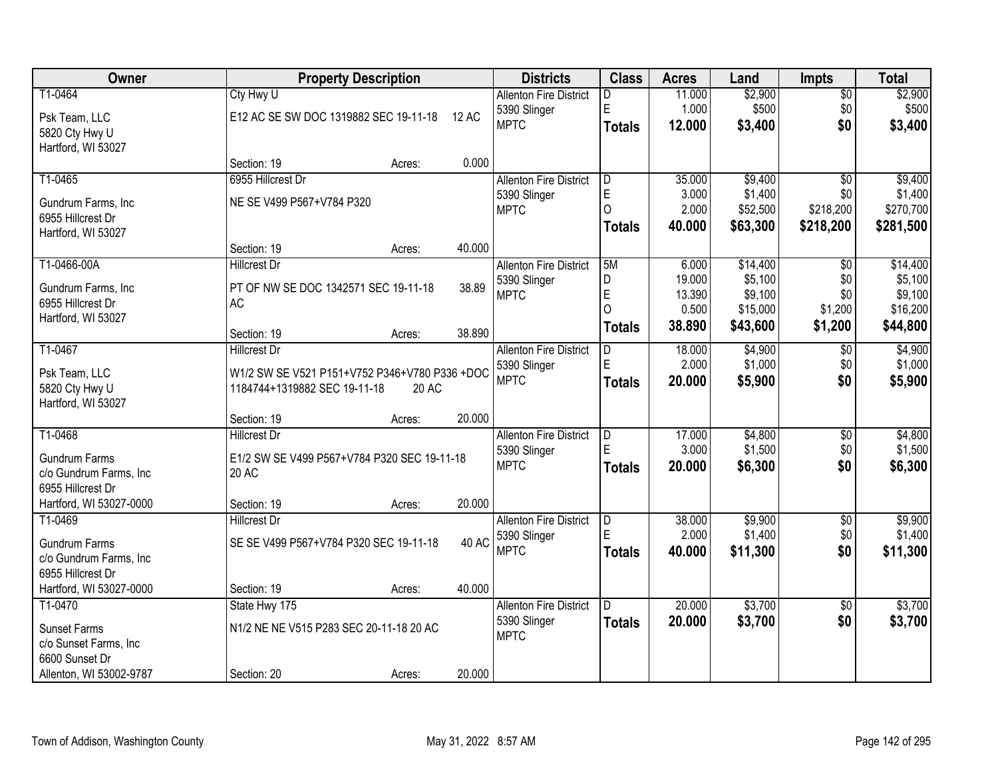| Owner                   |                                               | <b>Property Description</b> |              | <b>Districts</b>              | <b>Class</b>  | <b>Acres</b> | Land     | <b>Impts</b>    | <b>Total</b> |
|-------------------------|-----------------------------------------------|-----------------------------|--------------|-------------------------------|---------------|--------------|----------|-----------------|--------------|
| T1-0464                 | Cty Hwy U                                     |                             |              | <b>Allenton Fire District</b> | D             | 11.000       | \$2,900  | $\overline{50}$ | \$2,900      |
| Psk Team, LLC           | E12 AC SE SW DOC 1319882 SEC 19-11-18         |                             | <b>12 AC</b> | 5390 Slinger                  | E             | 1.000        | \$500    | \$0             | \$500        |
| 5820 Cty Hwy U          |                                               |                             |              | <b>MPTC</b>                   | <b>Totals</b> | 12.000       | \$3,400  | \$0             | \$3,400      |
| Hartford, WI 53027      |                                               |                             |              |                               |               |              |          |                 |              |
|                         | Section: 19                                   | Acres:                      | 0.000        |                               |               |              |          |                 |              |
| T1-0465                 | 6955 Hillcrest Dr                             |                             |              | <b>Allenton Fire District</b> | ID.           | 35.000       | \$9,400  | $\overline{30}$ | \$9,400      |
| Gundrum Farms, Inc      | NE SE V499 P567+V784 P320                     |                             |              | 5390 Slinger                  | E             | 3.000        | \$1,400  | \$0             | \$1,400      |
| 6955 Hillcrest Dr       |                                               |                             |              | <b>MPTC</b>                   | $\Omega$      | 2.000        | \$52,500 | \$218,200       | \$270,700    |
| Hartford, WI 53027      |                                               |                             |              |                               | <b>Totals</b> | 40.000       | \$63,300 | \$218,200       | \$281,500    |
|                         | Section: 19                                   | Acres:                      | 40.000       |                               |               |              |          |                 |              |
| T1-0466-00A             | Hillcrest Dr                                  |                             |              | <b>Allenton Fire District</b> | 5M            | 6.000        | \$14,400 | \$0             | \$14,400     |
| Gundrum Farms, Inc      | PT OF NW SE DOC 1342571 SEC 19-11-18          |                             | 38.89        | 5390 Slinger                  | D             | 19.000       | \$5,100  | \$0             | \$5,100      |
| 6955 Hillcrest Dr       | <b>AC</b>                                     |                             |              | <b>MPTC</b>                   | E             | 13.390       | \$9,100  | \$0             | \$9,100      |
| Hartford, WI 53027      |                                               |                             |              |                               | $\Omega$      | 0.500        | \$15,000 | \$1,200         | \$16,200     |
|                         | Section: 19                                   | Acres:                      | 38.890       |                               | Totals        | 38.890       | \$43,600 | \$1,200         | \$44,800     |
| T1-0467                 | <b>Hillcrest Dr</b>                           |                             |              | <b>Allenton Fire District</b> | D.            | 18.000       | \$4,900  | \$0             | \$4,900      |
| Psk Team, LLC           | W1/2 SW SE V521 P151+V752 P346+V780 P336 +DOC |                             |              | 5390 Slinger                  | E             | 2.000        | \$1,000  | \$0             | \$1,000      |
| 5820 Cty Hwy U          | 1184744+1319882 SEC 19-11-18                  | 20 AC                       |              | <b>MPTC</b>                   | <b>Totals</b> | 20.000       | \$5,900  | \$0             | \$5,900      |
| Hartford, WI 53027      |                                               |                             |              |                               |               |              |          |                 |              |
|                         | Section: 19                                   | Acres:                      | 20.000       |                               |               |              |          |                 |              |
| T1-0468                 | <b>Hillcrest Dr</b>                           |                             |              | <b>Allenton Fire District</b> | D             | 17.000       | \$4,800  | $\overline{30}$ | \$4,800      |
| <b>Gundrum Farms</b>    | E1/2 SW SE V499 P567+V784 P320 SEC 19-11-18   |                             |              | 5390 Slinger                  | E             | 3.000        | \$1,500  | \$0             | \$1,500      |
| c/o Gundrum Farms, Inc  | 20 AC                                         |                             |              | <b>MPTC</b>                   | <b>Totals</b> | 20.000       | \$6,300  | \$0             | \$6,300      |
| 6955 Hillcrest Dr       |                                               |                             |              |                               |               |              |          |                 |              |
| Hartford, WI 53027-0000 | Section: 19                                   | Acres:                      | 20.000       |                               |               |              |          |                 |              |
| T1-0469                 | <b>Hillcrest Dr</b>                           |                             |              | <b>Allenton Fire District</b> | D             | 38.000       | \$9,900  | $\overline{60}$ | \$9,900      |
| <b>Gundrum Farms</b>    | SE SE V499 P567+V784 P320 SEC 19-11-18        |                             | 40 AC        | 5390 Slinger                  | E             | 2.000        | \$1,400  | \$0             | \$1,400      |
| c/o Gundrum Farms, Inc  |                                               |                             |              | <b>MPTC</b>                   | <b>Totals</b> | 40,000       | \$11,300 | \$0             | \$11,300     |
| 6955 Hillcrest Dr       |                                               |                             |              |                               |               |              |          |                 |              |
| Hartford, WI 53027-0000 | Section: 19                                   | Acres:                      | 40.000       |                               |               |              |          |                 |              |
| T1-0470                 | State Hwy 175                                 |                             |              | <b>Allenton Fire District</b> | D.            | 20.000       | \$3,700  | $\overline{50}$ | \$3,700      |
| <b>Sunset Farms</b>     | N1/2 NE NE V515 P283 SEC 20-11-18 20 AC       |                             |              | 5390 Slinger                  | <b>Totals</b> | 20.000       | \$3,700  | \$0             | \$3,700      |
| c/o Sunset Farms, Inc   |                                               |                             |              | <b>MPTC</b>                   |               |              |          |                 |              |
| 6600 Sunset Dr          |                                               |                             |              |                               |               |              |          |                 |              |
| Allenton, WI 53002-9787 | Section: 20                                   | Acres:                      | 20.000       |                               |               |              |          |                 |              |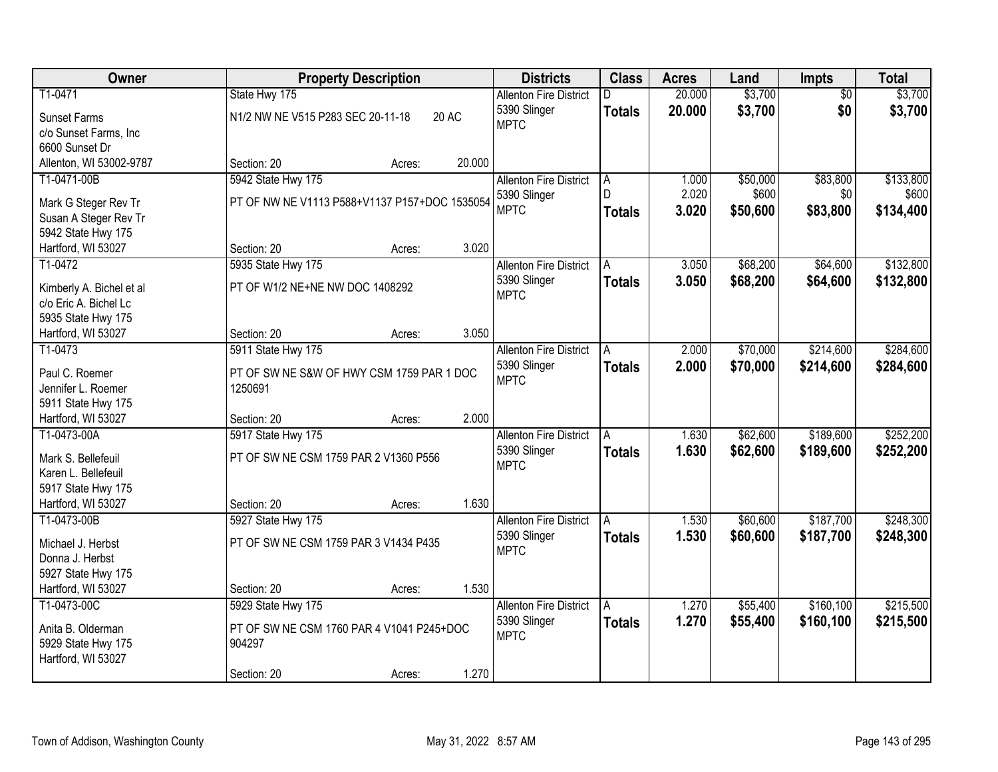| Owner                                     | <b>Property Description</b>                          | <b>Districts</b>              | <b>Class</b>  | <b>Acres</b> | Land     | Impts           | <b>Total</b> |
|-------------------------------------------|------------------------------------------------------|-------------------------------|---------------|--------------|----------|-----------------|--------------|
| T1-0471                                   | State Hwy 175                                        | <b>Allenton Fire District</b> |               | 20.000       | \$3,700  | $\overline{50}$ | \$3,700      |
| <b>Sunset Farms</b>                       | N1/2 NW NE V515 P283 SEC 20-11-18<br>20 AC           | 5390 Slinger                  | <b>Totals</b> | 20.000       | \$3,700  | \$0             | \$3,700      |
| c/o Sunset Farms, Inc                     |                                                      | <b>MPTC</b>                   |               |              |          |                 |              |
| 6600 Sunset Dr                            |                                                      |                               |               |              |          |                 |              |
| Allenton, WI 53002-9787                   | Section: 20<br>Acres:                                | 20.000                        |               |              |          |                 |              |
| T1-0471-00B                               | 5942 State Hwy 175                                   | <b>Allenton Fire District</b> | A             | 1.000        | \$50,000 | \$83,800        | \$133,800    |
| Mark G Steger Rev Tr                      | PT OF NW NE V1113 P588+V1137 P157+DOC 1535054        | 5390 Slinger                  | D.            | 2.020        | \$600    | \$0             | \$600        |
| Susan A Steger Rev Tr                     |                                                      | <b>MPTC</b>                   | <b>Totals</b> | 3.020        | \$50,600 | \$83,800        | \$134,400    |
| 5942 State Hwy 175                        |                                                      |                               |               |              |          |                 |              |
| Hartford, WI 53027                        | Section: 20<br>Acres:                                | 3.020                         |               |              |          |                 |              |
| T1-0472                                   | 5935 State Hwy 175                                   | <b>Allenton Fire District</b> | A             | 3.050        | \$68,200 | \$64,600        | \$132,800    |
| Kimberly A. Bichel et al                  | PT OF W1/2 NE+NE NW DOC 1408292                      | 5390 Slinger                  | <b>Totals</b> | 3.050        | \$68,200 | \$64,600        | \$132,800    |
| c/o Eric A. Bichel Lc                     |                                                      | <b>MPTC</b>                   |               |              |          |                 |              |
| 5935 State Hwy 175                        |                                                      |                               |               |              |          |                 |              |
| Hartford, WI 53027                        | Section: 20<br>Acres:                                | 3.050                         |               |              |          |                 |              |
| T1-0473                                   | 5911 State Hwy 175                                   | <b>Allenton Fire District</b> | A             | 2.000        | \$70,000 | \$214,600       | \$284,600    |
|                                           |                                                      | 5390 Slinger                  | <b>Totals</b> | 2.000        | \$70,000 | \$214,600       | \$284,600    |
| Paul C. Roemer<br>Jennifer L. Roemer      | PT OF SW NE S&W OF HWY CSM 1759 PAR 1 DOC<br>1250691 | <b>MPTC</b>                   |               |              |          |                 |              |
| 5911 State Hwy 175                        |                                                      |                               |               |              |          |                 |              |
| Hartford, WI 53027                        | Section: 20<br>Acres:                                | 2.000                         |               |              |          |                 |              |
| T1-0473-00A                               | 5917 State Hwy 175                                   | <b>Allenton Fire District</b> | A             | 1.630        | \$62,600 | \$189,600       | \$252,200    |
|                                           |                                                      | 5390 Slinger                  | <b>Totals</b> | 1.630        | \$62,600 | \$189,600       | \$252,200    |
| Mark S. Bellefeuil                        | PT OF SW NE CSM 1759 PAR 2 V1360 P556                | <b>MPTC</b>                   |               |              |          |                 |              |
| Karen L. Bellefeuil<br>5917 State Hwy 175 |                                                      |                               |               |              |          |                 |              |
| Hartford, WI 53027                        | Section: 20<br>Acres:                                | 1.630                         |               |              |          |                 |              |
| T1-0473-00B                               | 5927 State Hwy 175                                   | <b>Allenton Fire District</b> | A             | 1.530        | \$60,600 | \$187,700       | \$248,300    |
|                                           |                                                      | 5390 Slinger                  | <b>Totals</b> | 1.530        | \$60,600 | \$187,700       | \$248,300    |
| Michael J. Herbst                         | PT OF SW NE CSM 1759 PAR 3 V1434 P435                | <b>MPTC</b>                   |               |              |          |                 |              |
| Donna J. Herbst                           |                                                      |                               |               |              |          |                 |              |
| 5927 State Hwy 175<br>Hartford, WI 53027  | Section: 20                                          | 1.530                         |               |              |          |                 |              |
| T1-0473-00C                               | Acres:<br>5929 State Hwy 175                         | <b>Allenton Fire District</b> | A             | 1.270        | \$55,400 | \$160,100       | \$215,500    |
|                                           |                                                      | 5390 Slinger                  | <b>Totals</b> | 1.270        | \$55,400 | \$160,100       | \$215,500    |
| Anita B. Olderman                         | PT OF SW NE CSM 1760 PAR 4 V1041 P245+DOC            | <b>MPTC</b>                   |               |              |          |                 |              |
| 5929 State Hwy 175                        | 904297                                               |                               |               |              |          |                 |              |
| Hartford, WI 53027                        |                                                      |                               |               |              |          |                 |              |
|                                           | Section: 20<br>Acres:                                | 1.270                         |               |              |          |                 |              |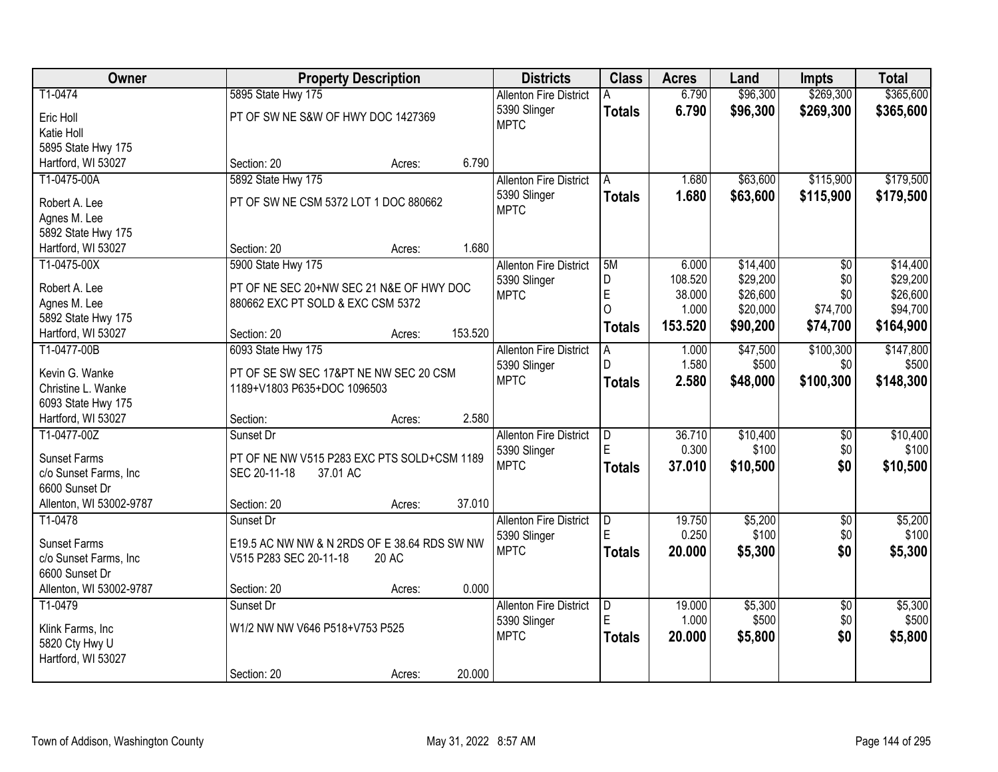| Owner                             | <b>Property Description</b>                  | <b>Districts</b>              | <b>Class</b>   | <b>Acres</b>      | Land                 | <b>Impts</b>           | <b>Total</b>         |
|-----------------------------------|----------------------------------------------|-------------------------------|----------------|-------------------|----------------------|------------------------|----------------------|
| T1-0474                           | 5895 State Hwy 175                           | <b>Allenton Fire District</b> |                | 6.790             | \$96,300             | \$269,300              | \$365,600            |
| Eric Holl                         | PT OF SW NE S&W OF HWY DOC 1427369           | 5390 Slinger                  | <b>Totals</b>  | 6.790             | \$96,300             | \$269,300              | \$365,600            |
| Katie Holl                        |                                              | <b>MPTC</b>                   |                |                   |                      |                        |                      |
| 5895 State Hwy 175                |                                              |                               |                |                   |                      |                        |                      |
| Hartford, WI 53027                | 6.790<br>Section: 20<br>Acres:               |                               |                |                   |                      |                        |                      |
| T1-0475-00A                       | 5892 State Hwy 175                           | <b>Allenton Fire District</b> | A              | 1.680             | \$63,600             | \$115,900              | \$179,500            |
|                                   |                                              | 5390 Slinger                  | <b>Totals</b>  | 1.680             | \$63,600             | \$115,900              | \$179,500            |
| Robert A. Lee                     | PT OF SW NE CSM 5372 LOT 1 DOC 880662        | <b>MPTC</b>                   |                |                   |                      |                        |                      |
| Agnes M. Lee                      |                                              |                               |                |                   |                      |                        |                      |
| 5892 State Hwy 175                |                                              |                               |                |                   |                      |                        |                      |
| Hartford, WI 53027                | 1.680<br>Section: 20<br>Acres:               |                               |                |                   |                      |                        |                      |
| T1-0475-00X                       | 5900 State Hwy 175                           | <b>Allenton Fire District</b> | 5M             | 6.000             | \$14,400             | $\overline{50}$        | \$14,400             |
| Robert A. Lee                     | PT OF NE SEC 20+NW SEC 21 N&E OF HWY DOC     | 5390 Slinger                  | D<br>E         | 108.520<br>38.000 | \$29,200<br>\$26,600 | \$0<br>\$0             | \$29,200             |
| Agnes M. Lee                      | 880662 EXC PT SOLD & EXC CSM 5372            | <b>MPTC</b>                   | $\Omega$       | 1.000             | \$20,000             |                        | \$26,600<br>\$94,700 |
| 5892 State Hwy 175                |                                              |                               |                |                   |                      | \$74,700               |                      |
| Hartford, WI 53027                | 153.520<br>Section: 20<br>Acres:             |                               | <b>Totals</b>  | 153.520           | \$90,200             | \$74,700               | \$164,900            |
| T1-0477-00B                       | 6093 State Hwy 175                           | <b>Allenton Fire District</b> | A              | 1.000             | \$47,500             | \$100,300              | \$147,800            |
|                                   |                                              | 5390 Slinger                  | D.             | 1.580             | \$500                | \$0                    | \$500                |
| Kevin G. Wanke                    | PT OF SE SW SEC 17&PT NE NW SEC 20 CSM       | <b>MPTC</b>                   | <b>Totals</b>  | 2.580             | \$48,000             | \$100,300              | \$148,300            |
| Christine L. Wanke                | 1189+V1803 P635+DOC 1096503                  |                               |                |                   |                      |                        |                      |
| 6093 State Hwy 175                | 2.580                                        |                               |                |                   |                      |                        |                      |
| Hartford, WI 53027<br>T1-0477-00Z | Section:<br>Acres:                           |                               |                |                   | \$10,400             |                        |                      |
|                                   | Sunset Dr                                    | <b>Allenton Fire District</b> | D<br>E         | 36.710<br>0.300   | \$100                | $\overline{60}$<br>\$0 | \$10,400<br>\$100    |
| <b>Sunset Farms</b>               | PT OF NE NW V515 P283 EXC PTS SOLD+CSM 1189  | 5390 Slinger<br><b>MPTC</b>   |                |                   |                      |                        |                      |
| c/o Sunset Farms, Inc             | SEC 20-11-18<br>37.01 AC                     |                               | <b>Totals</b>  | 37.010            | \$10,500             | \$0                    | \$10,500             |
| 6600 Sunset Dr                    |                                              |                               |                |                   |                      |                        |                      |
| Allenton, WI 53002-9787           | 37.010<br>Section: 20<br>Acres:              |                               |                |                   |                      |                        |                      |
| T1-0478                           | Sunset Dr                                    | <b>Allenton Fire District</b> | $\overline{D}$ | 19.750            | \$5,200              | $\sqrt{6}$             | \$5,200              |
| <b>Sunset Farms</b>               | E19.5 AC NW NW & N 2RDS OF E 38.64 RDS SW NW | 5390 Slinger                  | E              | 0.250             | \$100                | \$0                    | \$100                |
| c/o Sunset Farms, Inc             | V515 P283 SEC 20-11-18<br>20 AC              | <b>MPTC</b>                   | <b>Totals</b>  | 20,000            | \$5,300              | \$0                    | \$5,300              |
| 6600 Sunset Dr                    |                                              |                               |                |                   |                      |                        |                      |
| Allenton, WI 53002-9787           | 0.000<br>Section: 20<br>Acres:               |                               |                |                   |                      |                        |                      |
| T1-0479                           | Sunset Dr                                    | <b>Allenton Fire District</b> | D              | 19.000            | \$5,300              | $\overline{50}$        | \$5,300              |
|                                   |                                              | 5390 Slinger                  | F              | 1.000             | \$500                | \$0                    | \$500                |
| Klink Farms, Inc                  | W1/2 NW NW V646 P518+V753 P525               | <b>MPTC</b>                   | <b>Totals</b>  | 20.000            | \$5,800              | \$0                    | \$5,800              |
| 5820 Cty Hwy U                    |                                              |                               |                |                   |                      |                        |                      |
| Hartford, WI 53027                |                                              |                               |                |                   |                      |                        |                      |
|                                   | 20.000<br>Section: 20<br>Acres:              |                               |                |                   |                      |                        |                      |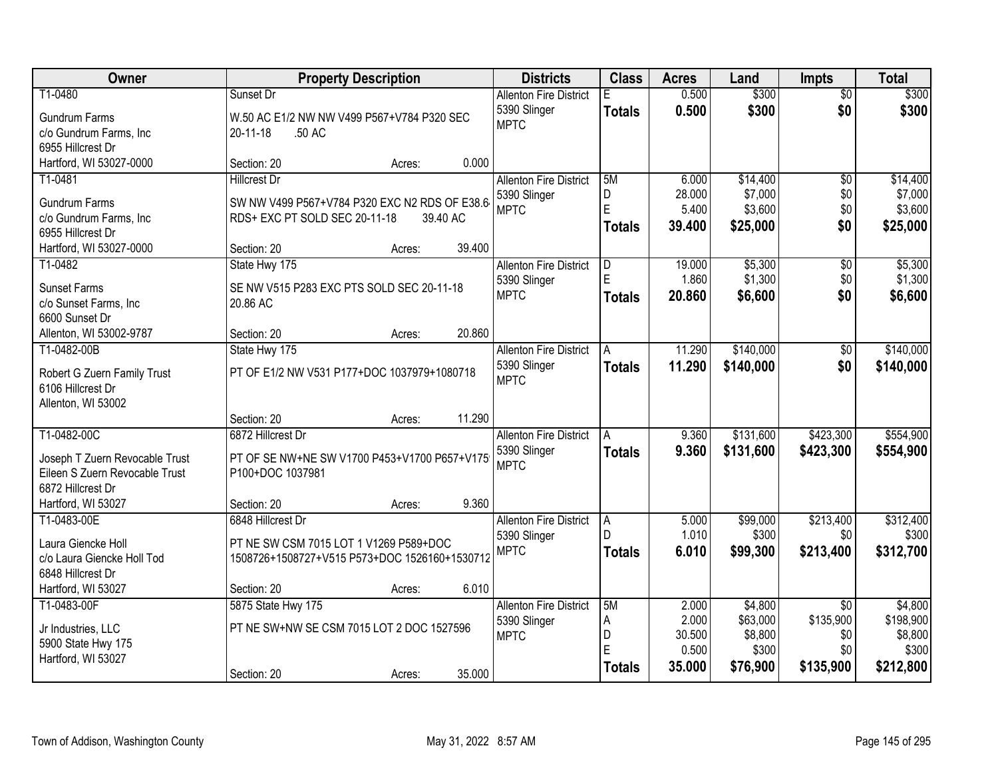| Owner                                   | <b>Property Description</b>                   | <b>Districts</b>                              | <b>Class</b>  | <b>Acres</b> | Land                | <b>Impts</b>                 | <b>Total</b>         |
|-----------------------------------------|-----------------------------------------------|-----------------------------------------------|---------------|--------------|---------------------|------------------------------|----------------------|
| T1-0480                                 | Sunset Dr                                     | <b>Allenton Fire District</b>                 | Е             | 0.500        | \$300               | $\overline{50}$              | \$300                |
| <b>Gundrum Farms</b>                    | W.50 AC E1/2 NW NW V499 P567+V784 P320 SEC    | 5390 Slinger                                  | <b>Totals</b> | 0.500        | \$300               | \$0                          | \$300                |
| c/o Gundrum Farms, Inc                  | 20-11-18<br>.50 AC                            | <b>MPTC</b>                                   |               |              |                     |                              |                      |
| 6955 Hillcrest Dr                       |                                               |                                               |               |              |                     |                              |                      |
| Hartford, WI 53027-0000                 | 0.000<br>Section: 20<br>Acres:                |                                               |               |              |                     |                              |                      |
| T1-0481                                 | <b>Hillcrest Dr</b>                           | <b>Allenton Fire District</b>                 | 5M            | 6.000        | \$14,400            | $\overline{50}$              | \$14,400             |
| <b>Gundrum Farms</b>                    | SW NW V499 P567+V784 P320 EXC N2 RDS OF E38.6 | 5390 Slinger                                  | D             | 28.000       | \$7,000             | \$0                          | \$7,000              |
| c/o Gundrum Farms, Inc                  | RDS+ EXC PT SOLD SEC 20-11-18<br>39.40 AC     | <b>MPTC</b>                                   | E             | 5.400        | \$3,600             | \$0                          | \$3,600              |
| 6955 Hillcrest Dr                       |                                               |                                               | <b>Totals</b> | 39.400       | \$25,000            | \$0                          | \$25,000             |
| Hartford, WI 53027-0000                 | 39.400<br>Section: 20<br>Acres:               |                                               |               |              |                     |                              |                      |
| T1-0482                                 | State Hwy 175                                 | <b>Allenton Fire District</b>                 | D             | 19.000       | \$5,300             | \$0                          | \$5,300              |
| <b>Sunset Farms</b>                     | SE NW V515 P283 EXC PTS SOLD SEC 20-11-18     | 5390 Slinger                                  | E             | 1.860        | \$1,300             | \$0                          | \$1,300              |
| c/o Sunset Farms, Inc                   | 20.86 AC                                      | <b>MPTC</b>                                   | <b>Totals</b> | 20,860       | \$6,600             | \$0                          | \$6,600              |
| 6600 Sunset Dr                          |                                               |                                               |               |              |                     |                              |                      |
| Allenton, WI 53002-9787                 | 20.860<br>Section: 20<br>Acres:               |                                               |               |              |                     |                              |                      |
| T1-0482-00B                             | State Hwy 175                                 | <b>Allenton Fire District</b>                 | A             | 11.290       | \$140,000           | \$0                          | \$140,000            |
|                                         |                                               | 5390 Slinger                                  | <b>Totals</b> | 11.290       | \$140,000           | \$0                          | \$140,000            |
| Robert G Zuern Family Trust             | PT OF E1/2 NW V531 P177+DOC 1037979+1080718   | <b>MPTC</b>                                   |               |              |                     |                              |                      |
| 6106 Hillcrest Dr<br>Allenton, WI 53002 |                                               |                                               |               |              |                     |                              |                      |
|                                         | 11.290<br>Section: 20<br>Acres:               |                                               |               |              |                     |                              |                      |
| T1-0482-00C                             | 6872 Hillcrest Dr                             | <b>Allenton Fire District</b>                 | A             | 9.360        | \$131,600           | \$423,300                    | \$554,900            |
|                                         |                                               | 5390 Slinger                                  | Totals        | 9.360        | \$131,600           | \$423,300                    | \$554,900            |
| Joseph T Zuern Revocable Trust          | PT OF SE NW+NE SW V1700 P453+V1700 P657+V175  | <b>MPTC</b>                                   |               |              |                     |                              |                      |
| Eileen S Zuern Revocable Trust          | P100+DOC 1037981                              |                                               |               |              |                     |                              |                      |
| 6872 Hillcrest Dr<br>Hartford, WI 53027 | 9.360<br>Section: 20<br>Acres:                |                                               |               |              |                     |                              |                      |
| T1-0483-00E                             | 6848 Hillcrest Dr                             | <b>Allenton Fire District</b>                 | A             | 5.000        | \$99,000            | \$213,400                    | \$312,400            |
|                                         |                                               | 5390 Slinger                                  |               | 1.010        | \$300               | \$0                          | \$300                |
| Laura Giencke Holl                      | PT NE SW CSM 7015 LOT 1 V1269 P589+DOC        | <b>MPTC</b>                                   | <b>Totals</b> | 6.010        | \$99,300            | \$213,400                    | \$312,700            |
| c/o Laura Giencke Holl Tod              | 1508726+1508727+V515 P573+DOC 1526160+1530712 |                                               |               |              |                     |                              |                      |
| 6848 Hillcrest Dr                       |                                               |                                               |               |              |                     |                              |                      |
| Hartford, WI 53027                      | 6.010<br>Section: 20<br>Acres:                |                                               | 5M            | 2.000        |                     |                              |                      |
| T1-0483-00F                             | 5875 State Hwy 175                            | <b>Allenton Fire District</b><br>5390 Slinger | A             | 2.000        | \$4,800<br>\$63,000 | $\overline{50}$<br>\$135,900 | \$4,800<br>\$198,900 |
| Jr Industries, LLC                      | PT NE SW+NW SE CSM 7015 LOT 2 DOC 1527596     | <b>MPTC</b>                                   | D             | 30.500       | \$8,800             | \$0                          | \$8,800              |
| 5900 State Hwy 175                      |                                               |                                               | E             | 0.500        | \$300               | \$0                          | \$300                |
| Hartford, WI 53027                      |                                               |                                               | <b>Totals</b> | 35.000       | \$76,900            | \$135,900                    | \$212,800            |
|                                         | 35.000<br>Section: 20<br>Acres:               |                                               |               |              |                     |                              |                      |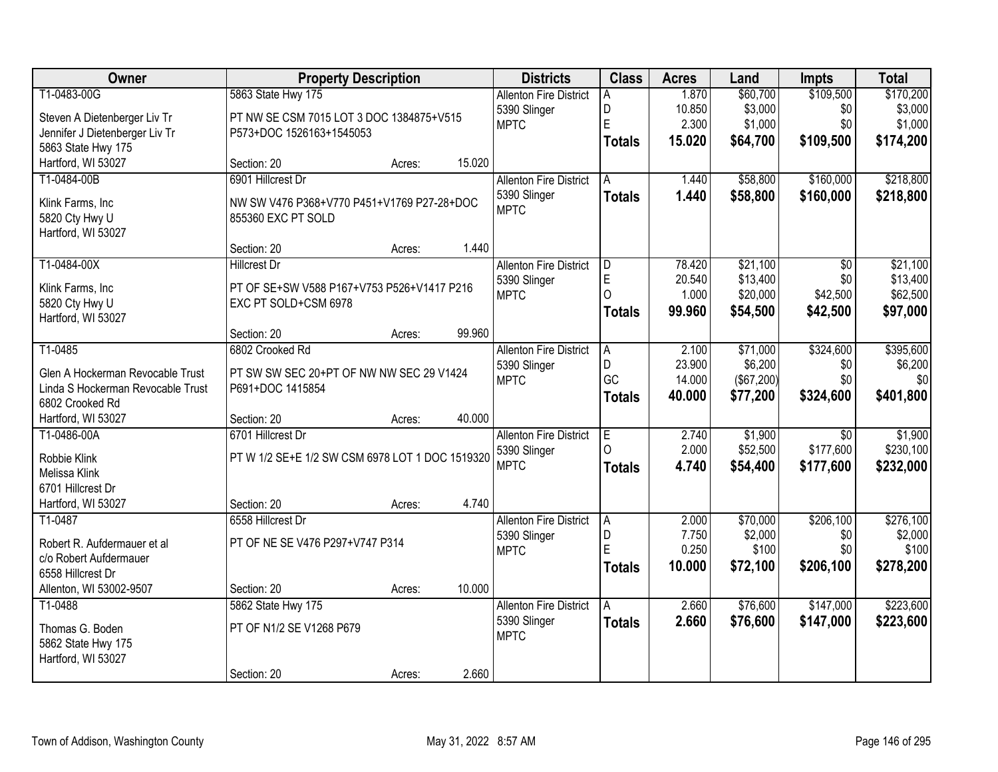| Owner                                 | <b>Property Description</b>                     |        |        | <b>Districts</b>              | <b>Class</b>  | <b>Acres</b>    | Land                 | <b>Impts</b>    | <b>Total</b>         |
|---------------------------------------|-------------------------------------------------|--------|--------|-------------------------------|---------------|-----------------|----------------------|-----------------|----------------------|
| T1-0483-00G                           | 5863 State Hwy 175                              |        |        | <b>Allenton Fire District</b> | A             | 1.870           | \$60,700             | \$109,500       | \$170,200            |
| Steven A Dietenberger Liv Tr          | PT NW SE CSM 7015 LOT 3 DOC 1384875+V515        |        |        | 5390 Slinger                  | D             | 10.850          | \$3,000              | \$0             | \$3,000              |
| Jennifer J Dietenberger Liv Tr        | P573+DOC 1526163+1545053                        |        |        | <b>MPTC</b>                   | E             | 2.300           | \$1,000              | \$0             | \$1,000              |
| 5863 State Hwy 175                    |                                                 |        |        |                               | <b>Totals</b> | 15.020          | \$64,700             | \$109,500       | \$174,200            |
| Hartford, WI 53027                    | Section: 20                                     | Acres: | 15.020 |                               |               |                 |                      |                 |                      |
| T1-0484-00B                           | 6901 Hillcrest Dr                               |        |        | <b>Allenton Fire District</b> | A             | 1.440           | \$58,800             | \$160,000       | \$218,800            |
|                                       |                                                 |        |        | 5390 Slinger                  | <b>Totals</b> | 1.440           | \$58,800             | \$160,000       | \$218,800            |
| Klink Farms, Inc                      | NW SW V476 P368+V770 P451+V1769 P27-28+DOC      |        |        | <b>MPTC</b>                   |               |                 |                      |                 |                      |
| 5820 Cty Hwy U                        | 855360 EXC PT SOLD                              |        |        |                               |               |                 |                      |                 |                      |
| Hartford, WI 53027                    |                                                 |        |        |                               |               |                 |                      |                 |                      |
|                                       | Section: 20                                     | Acres: | 1.440  |                               |               |                 |                      |                 |                      |
| T1-0484-00X                           | <b>Hillcrest Dr</b>                             |        |        | <b>Allenton Fire District</b> | D             | 78.420          | \$21,100             | \$0             | \$21,100             |
| Klink Farms, Inc                      | PT OF SE+SW V588 P167+V753 P526+V1417 P216      |        |        | 5390 Slinger<br><b>MPTC</b>   | E<br>$\Omega$ | 20.540<br>1.000 | \$13,400<br>\$20,000 | \$0<br>\$42,500 | \$13,400<br>\$62,500 |
| 5820 Cty Hwy U                        | EXC PT SOLD+CSM 6978                            |        |        |                               |               | 99.960          |                      |                 |                      |
| Hartford, WI 53027                    |                                                 |        |        |                               | <b>Totals</b> |                 | \$54,500             | \$42,500        | \$97,000             |
|                                       | Section: 20                                     | Acres: | 99.960 |                               |               |                 |                      |                 |                      |
| T1-0485                               | 6802 Crooked Rd                                 |        |        | <b>Allenton Fire District</b> | A             | 2.100           | \$71,000             | \$324,600       | \$395,600            |
| Glen A Hockerman Revocable Trust      | PT SW SW SEC 20+PT OF NW NW SEC 29 V1424        |        |        | 5390 Slinger                  | D             | 23.900          | \$6,200              | \$0             | \$6,200              |
| Linda S Hockerman Revocable Trust     | P691+DOC 1415854                                |        |        | <b>MPTC</b>                   | GC            | 14.000          | (\$67,200)           | \$0             | \$0                  |
| 6802 Crooked Rd                       |                                                 |        |        |                               | <b>Totals</b> | 40.000          | \$77,200             | \$324,600       | \$401,800            |
| Hartford, WI 53027                    | Section: 20                                     | Acres: | 40.000 |                               |               |                 |                      |                 |                      |
| T1-0486-00A                           | 6701 Hillcrest Dr                               |        |        | <b>Allenton Fire District</b> | Έ             | 2.740           | \$1,900              | $\overline{30}$ | \$1,900              |
|                                       |                                                 |        |        | 5390 Slinger                  | $\Omega$      | 2.000           | \$52,500             | \$177,600       | \$230,100            |
| Robbie Klink                          | PT W 1/2 SE+E 1/2 SW CSM 6978 LOT 1 DOC 1519320 |        |        | <b>MPTC</b>                   | <b>Totals</b> | 4.740           | \$54,400             | \$177,600       | \$232,000            |
| Melissa Klink                         |                                                 |        |        |                               |               |                 |                      |                 |                      |
| 6701 Hillcrest Dr                     |                                                 |        |        |                               |               |                 |                      |                 |                      |
| Hartford, WI 53027                    | Section: 20                                     | Acres: | 4.740  |                               |               |                 |                      |                 |                      |
| T1-0487                               | 6558 Hillcrest Dr                               |        |        | <b>Allenton Fire District</b> | A             | 2.000           | \$70,000             | \$206,100       | \$276,100            |
| Robert R. Aufdermauer et al           | PT OF NE SE V476 P297+V747 P314                 |        |        | 5390 Slinger                  | D<br>Ė        | 7.750           | \$2,000              | \$0             | \$2,000              |
| c/o Robert Aufdermauer                |                                                 |        |        | <b>MPTC</b>                   |               | 0.250           | \$100                | \$0             | \$100                |
| 6558 Hillcrest Dr                     |                                                 |        |        |                               | <b>Totals</b> | 10.000          | \$72,100             | \$206,100       | \$278,200            |
| Allenton, WI 53002-9507               | Section: 20                                     | Acres: | 10.000 |                               |               |                 |                      |                 |                      |
| T1-0488                               | 5862 State Hwy 175                              |        |        | <b>Allenton Fire District</b> | A             | 2.660           | \$76,600             | \$147,000       | \$223,600            |
|                                       | PT OF N1/2 SE V1268 P679                        |        |        | 5390 Slinger                  | <b>Totals</b> | 2.660           | \$76,600             | \$147,000       | \$223,600            |
| Thomas G. Boden<br>5862 State Hwy 175 |                                                 |        |        | <b>MPTC</b>                   |               |                 |                      |                 |                      |
| Hartford, WI 53027                    |                                                 |        |        |                               |               |                 |                      |                 |                      |
|                                       | Section: 20                                     | Acres: | 2.660  |                               |               |                 |                      |                 |                      |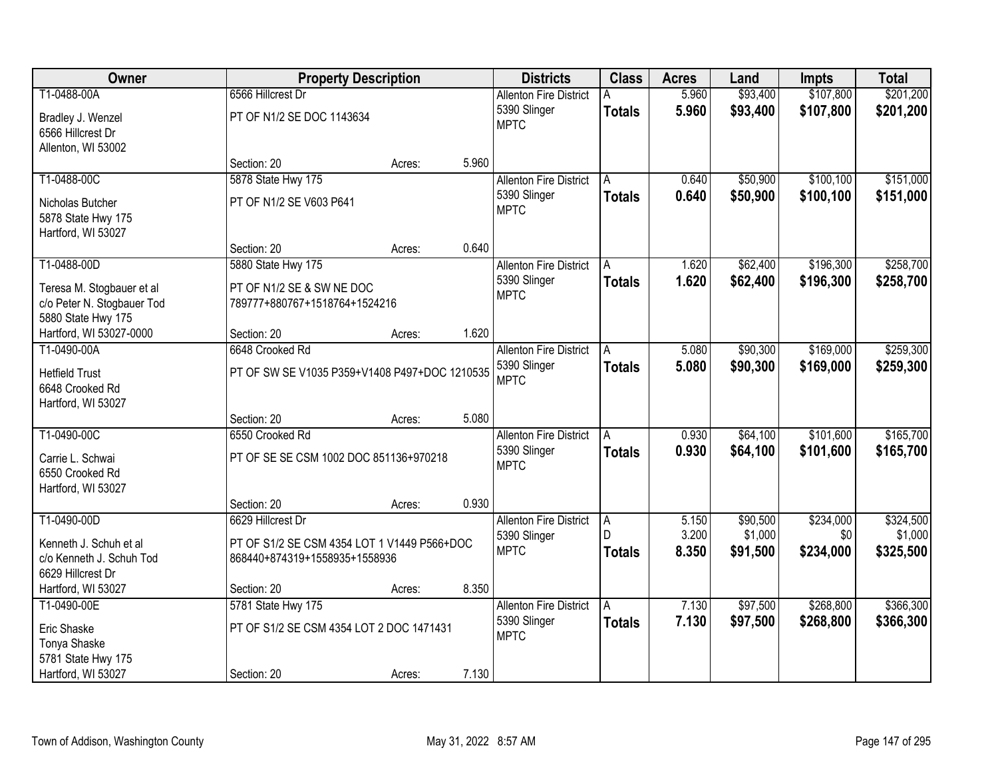| Owner                                                                         |                                                                              | <b>Property Description</b> |       | <b>Districts</b>              | <b>Class</b>       | <b>Acres</b>   | Land                | Impts            | <b>Total</b>         |
|-------------------------------------------------------------------------------|------------------------------------------------------------------------------|-----------------------------|-------|-------------------------------|--------------------|----------------|---------------------|------------------|----------------------|
| T1-0488-00A                                                                   | 6566 Hillcrest Dr                                                            |                             |       | <b>Allenton Fire District</b> |                    | 5.960          | \$93,400            | \$107,800        | \$201,200            |
| Bradley J. Wenzel<br>6566 Hillcrest Dr                                        | PT OF N1/2 SE DOC 1143634                                                    |                             |       | 5390 Slinger<br><b>MPTC</b>   | <b>Totals</b>      | 5.960          | \$93,400            | \$107,800        | \$201,200            |
| Allenton, WI 53002                                                            |                                                                              |                             |       |                               |                    |                |                     |                  |                      |
|                                                                               | Section: 20                                                                  | Acres:                      | 5.960 |                               |                    |                |                     |                  |                      |
| T1-0488-00C                                                                   | 5878 State Hwy 175                                                           |                             |       | <b>Allenton Fire District</b> | A                  | 0.640          | \$50,900            | \$100,100        | \$151,000            |
| Nicholas Butcher<br>5878 State Hwy 175<br>Hartford, WI 53027                  | PT OF N1/2 SE V603 P641                                                      |                             |       | 5390 Slinger<br><b>MPTC</b>   | <b>Totals</b>      | 0.640          | \$50,900            | \$100,100        | \$151,000            |
|                                                                               | Section: 20                                                                  | Acres:                      | 0.640 |                               |                    |                |                     |                  |                      |
| T1-0488-00D                                                                   | 5880 State Hwy 175                                                           |                             |       | <b>Allenton Fire District</b> | l A                | 1.620          | \$62,400            | \$196,300        | \$258,700            |
| Teresa M. Stogbauer et al<br>c/o Peter N. Stogbauer Tod<br>5880 State Hwy 175 | PT OF N1/2 SE & SW NE DOC<br>789777+880767+1518764+1524216                   |                             |       | 5390 Slinger<br><b>MPTC</b>   | <b>Totals</b>      | 1.620          | \$62,400            | \$196,300        | \$258,700            |
| Hartford, WI 53027-0000                                                       | Section: 20                                                                  | Acres:                      | 1.620 |                               |                    |                |                     |                  |                      |
| T1-0490-00A                                                                   | 6648 Crooked Rd                                                              |                             |       | <b>Allenton Fire District</b> | A                  | 5.080          | \$90,300            | \$169,000        | \$259,300            |
| <b>Hetfield Trust</b><br>6648 Crooked Rd<br>Hartford, WI 53027                | PT OF SW SE V1035 P359+V1408 P497+DOC 1210535                                |                             |       | 5390 Slinger<br><b>MPTC</b>   | <b>Totals</b>      | 5.080          | \$90,300            | \$169,000        | \$259,300            |
|                                                                               | Section: 20                                                                  | Acres:                      | 5.080 |                               |                    |                |                     |                  |                      |
| T1-0490-00C                                                                   | 6550 Crooked Rd                                                              |                             |       | <b>Allenton Fire District</b> | A                  | 0.930          | \$64,100            | \$101,600        | \$165,700            |
| Carrie L. Schwai<br>6550 Crooked Rd<br>Hartford, WI 53027                     | PT OF SE SE CSM 1002 DOC 851136+970218                                       |                             |       | 5390 Slinger<br><b>MPTC</b>   | <b>Totals</b>      | 0.930          | \$64,100            | \$101,600        | \$165,700            |
|                                                                               | Section: 20                                                                  | Acres:                      | 0.930 |                               |                    |                |                     |                  |                      |
| T1-0490-00D                                                                   | 6629 Hillcrest Dr                                                            |                             |       | <b>Allenton Fire District</b> | A                  | 5.150          | \$90,500            | \$234,000        | \$324,500            |
| Kenneth J. Schuh et al<br>c/o Kenneth J. Schuh Tod<br>6629 Hillcrest Dr       | PT OF S1/2 SE CSM 4354 LOT 1 V1449 P566+DOC<br>868440+874319+1558935+1558936 |                             |       | 5390 Slinger<br><b>MPTC</b>   | D<br><b>Totals</b> | 3.200<br>8.350 | \$1,000<br>\$91,500 | \$0<br>\$234,000 | \$1,000<br>\$325,500 |
| Hartford, WI 53027                                                            | Section: 20                                                                  | Acres:                      | 8.350 |                               |                    |                |                     |                  |                      |
| T1-0490-00E                                                                   | 5781 State Hwy 175                                                           |                             |       | <b>Allenton Fire District</b> | A                  | 7.130          | \$97,500            | \$268,800        | \$366,300            |
| Eric Shaske<br>Tonya Shaske<br>5781 State Hwy 175                             | PT OF S1/2 SE CSM 4354 LOT 2 DOC 1471431                                     |                             |       | 5390 Slinger<br><b>MPTC</b>   | <b>Totals</b>      | 7.130          | \$97,500            | \$268,800        | \$366,300            |
| Hartford, WI 53027                                                            | Section: 20                                                                  | Acres:                      | 7.130 |                               |                    |                |                     |                  |                      |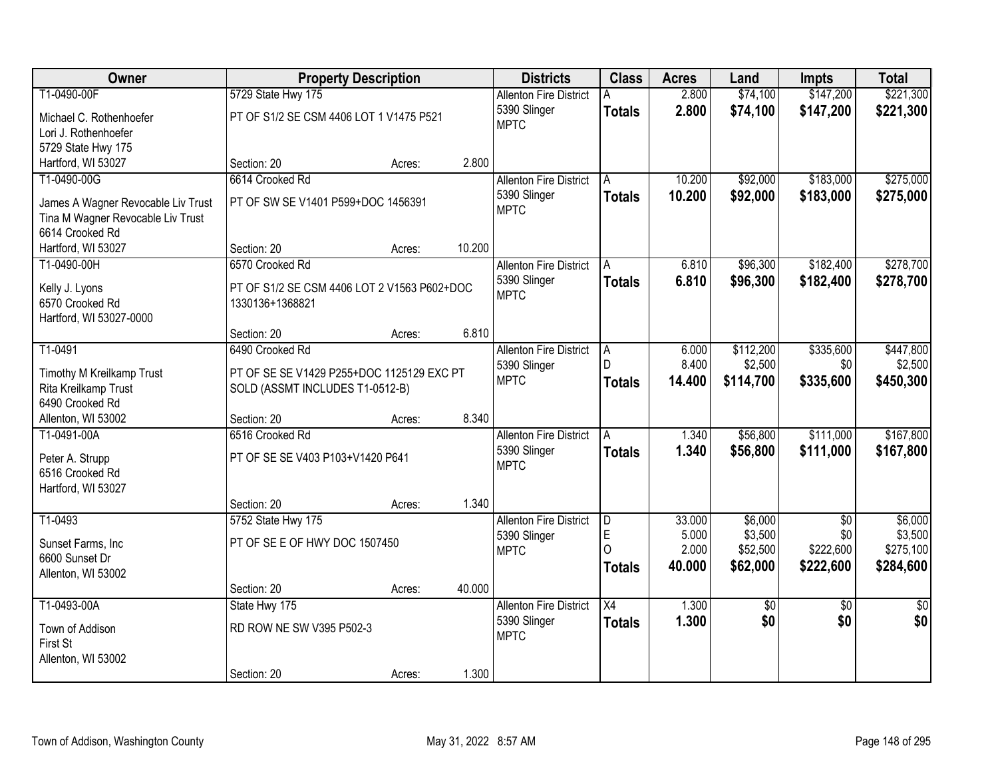| Owner                                             | <b>Property Description</b>                 |        |        | <b>Districts</b>              | <b>Class</b>    | <b>Acres</b> | Land      | <b>Impts</b>    | <b>Total</b>    |
|---------------------------------------------------|---------------------------------------------|--------|--------|-------------------------------|-----------------|--------------|-----------|-----------------|-----------------|
| T1-0490-00F                                       | 5729 State Hwy 175                          |        |        | <b>Allenton Fire District</b> |                 | 2.800        | \$74,100  | \$147,200       | \$221,300       |
| Michael C. Rothenhoefer                           | PT OF S1/2 SE CSM 4406 LOT 1 V1475 P521     |        |        | 5390 Slinger                  | <b>Totals</b>   | 2.800        | \$74,100  | \$147,200       | \$221,300       |
| Lori J. Rothenhoefer                              |                                             |        |        | <b>MPTC</b>                   |                 |              |           |                 |                 |
| 5729 State Hwy 175                                |                                             |        |        |                               |                 |              |           |                 |                 |
| Hartford, WI 53027                                | Section: 20                                 | Acres: | 2.800  |                               |                 |              |           |                 |                 |
| T1-0490-00G                                       | 6614 Crooked Rd                             |        |        | <b>Allenton Fire District</b> | A               | 10.200       | \$92,000  | \$183,000       | \$275,000       |
|                                                   |                                             |        |        | 5390 Slinger                  | <b>Totals</b>   | 10.200       | \$92,000  | \$183,000       | \$275,000       |
| James A Wagner Revocable Liv Trust                | PT OF SW SE V1401 P599+DOC 1456391          |        |        | <b>MPTC</b>                   |                 |              |           |                 |                 |
| Tina M Wagner Revocable Liv Trust                 |                                             |        |        |                               |                 |              |           |                 |                 |
| 6614 Crooked Rd                                   |                                             |        |        |                               |                 |              |           |                 |                 |
| Hartford, WI 53027                                | Section: 20                                 | Acres: | 10.200 |                               |                 |              |           |                 |                 |
| T1-0490-00H                                       | 6570 Crooked Rd                             |        |        | <b>Allenton Fire District</b> | A               | 6.810        | \$96,300  | \$182,400       | \$278,700       |
| Kelly J. Lyons                                    | PT OF S1/2 SE CSM 4406 LOT 2 V1563 P602+DOC |        |        | 5390 Slinger                  | <b>Totals</b>   | 6.810        | \$96,300  | \$182,400       | \$278,700       |
| 6570 Crooked Rd                                   | 1330136+1368821                             |        |        | <b>MPTC</b>                   |                 |              |           |                 |                 |
| Hartford, WI 53027-0000                           |                                             |        |        |                               |                 |              |           |                 |                 |
|                                                   | Section: 20                                 | Acres: | 6.810  |                               |                 |              |           |                 |                 |
| T1-0491                                           | 6490 Crooked Rd                             |        |        | <b>Allenton Fire District</b> | A               | 6.000        | \$112,200 | \$335,600       | \$447,800       |
|                                                   | PT OF SE SE V1429 P255+DOC 1125129 EXC PT   |        |        | 5390 Slinger                  | D               | 8.400        | \$2,500   | \$0             | \$2,500         |
| Timothy M Kreilkamp Trust<br>Rita Kreilkamp Trust | SOLD (ASSMT INCLUDES T1-0512-B)             |        |        | <b>MPTC</b>                   | <b>Totals</b>   | 14.400       | \$114,700 | \$335,600       | \$450,300       |
| 6490 Crooked Rd                                   |                                             |        |        |                               |                 |              |           |                 |                 |
| Allenton, WI 53002                                | Section: 20                                 | Acres: | 8.340  |                               |                 |              |           |                 |                 |
| T1-0491-00A                                       | 6516 Crooked Rd                             |        |        | <b>Allenton Fire District</b> | A               | 1.340        | \$56,800  | \$111,000       | \$167,800       |
|                                                   |                                             |        |        | 5390 Slinger                  | <b>Totals</b>   | 1.340        | \$56,800  | \$111,000       | \$167,800       |
| Peter A. Strupp                                   | PT OF SE SE V403 P103+V1420 P641            |        |        | <b>MPTC</b>                   |                 |              |           |                 |                 |
| 6516 Crooked Rd                                   |                                             |        |        |                               |                 |              |           |                 |                 |
| Hartford, WI 53027                                |                                             |        |        |                               |                 |              |           |                 |                 |
|                                                   | Section: 20                                 | Acres: | 1.340  |                               |                 |              |           |                 |                 |
| T1-0493                                           | 5752 State Hwy 175                          |        |        | <b>Allenton Fire District</b> | D               | 33.000       | \$6,000   | \$0             | \$6,000         |
| Sunset Farms, Inc                                 | PT OF SE E OF HWY DOC 1507450               |        |        | 5390 Slinger                  | E               | 5.000        | \$3,500   | \$0             | \$3,500         |
| 6600 Sunset Dr                                    |                                             |        |        | <b>MPTC</b>                   | ∩               | 2.000        | \$52,500  | \$222,600       | \$275,100       |
| Allenton, WI 53002                                |                                             |        |        |                               | <b>Totals</b>   | 40.000       | \$62,000  | \$222,600       | \$284,600       |
|                                                   | Section: 20                                 | Acres: | 40.000 |                               |                 |              |           |                 |                 |
| T1-0493-00A                                       | State Hwy 175                               |        |        | <b>Allenton Fire District</b> | $\overline{X4}$ | 1.300        | \$0       | $\overline{30}$ | $\overline{50}$ |
|                                                   |                                             |        |        | 5390 Slinger                  | <b>Totals</b>   | 1.300        | \$0       | \$0             | \$0             |
| Town of Addison                                   | RD ROW NE SW V395 P502-3                    |        |        | <b>MPTC</b>                   |                 |              |           |                 |                 |
| First St                                          |                                             |        |        |                               |                 |              |           |                 |                 |
| Allenton, WI 53002                                |                                             |        |        |                               |                 |              |           |                 |                 |
|                                                   | Section: 20                                 | Acres: | 1.300  |                               |                 |              |           |                 |                 |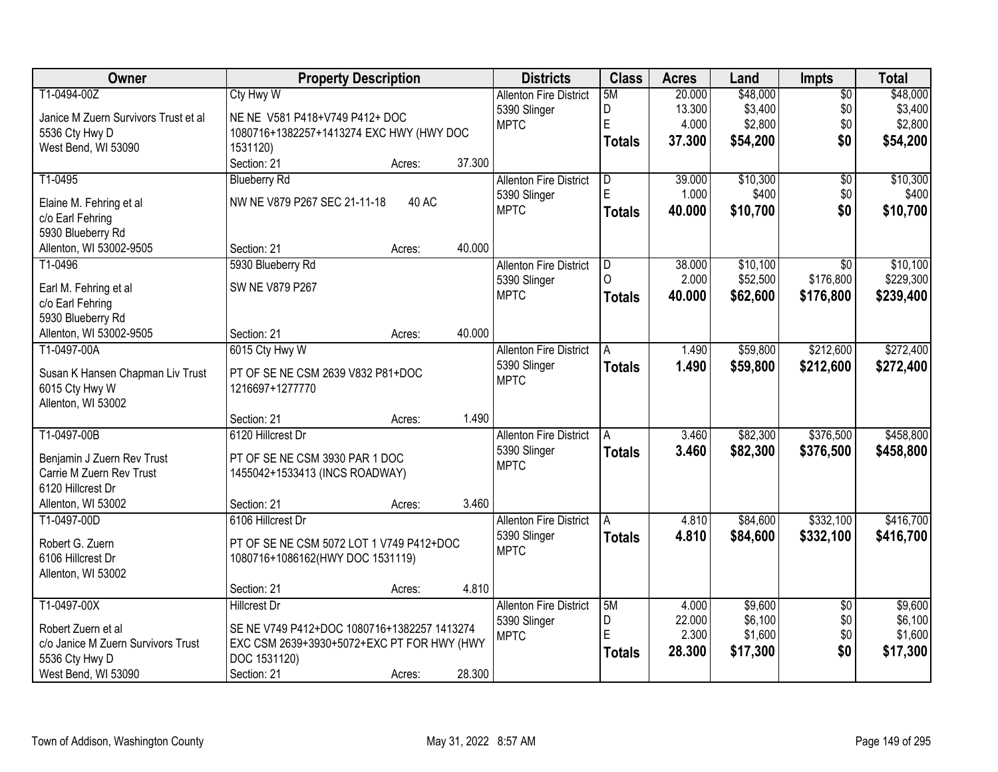| Owner                                | <b>Property Description</b>                 |        |        | <b>Districts</b>              | <b>Class</b>  | <b>Acres</b> | Land     | <b>Impts</b>    | <b>Total</b> |
|--------------------------------------|---------------------------------------------|--------|--------|-------------------------------|---------------|--------------|----------|-----------------|--------------|
| T1-0494-00Z                          | <b>Cty Hwy W</b>                            |        |        | <b>Allenton Fire District</b> | 5M            | 20.000       | \$48,000 | $\overline{50}$ | \$48,000     |
| Janice M Zuern Survivors Trust et al | NE NE V581 P418+V749 P412+ DOC              |        |        | 5390 Slinger                  | D             | 13.300       | \$3,400  | \$0             | \$3,400      |
| 5536 Cty Hwy D                       | 1080716+1382257+1413274 EXC HWY (HWY DOC    |        |        | <b>MPTC</b>                   | E             | 4.000        | \$2,800  | \$0             | \$2,800      |
| West Bend, WI 53090                  | 1531120)                                    |        |        |                               | <b>Totals</b> | 37.300       | \$54,200 | \$0             | \$54,200     |
|                                      | Section: 21                                 | Acres: | 37.300 |                               |               |              |          |                 |              |
| T1-0495                              | <b>Blueberry Rd</b>                         |        |        | <b>Allenton Fire District</b> | D             | 39.000       | \$10,300 | $\overline{50}$ | \$10,300     |
| Elaine M. Fehring et al              | NW NE V879 P267 SEC 21-11-18                | 40 AC  |        | 5390 Slinger                  | E             | 1.000        | \$400    | \$0             | \$400        |
| c/o Earl Fehring                     |                                             |        |        | <b>MPTC</b>                   | <b>Totals</b> | 40.000       | \$10,700 | \$0             | \$10,700     |
| 5930 Blueberry Rd                    |                                             |        |        |                               |               |              |          |                 |              |
| Allenton, WI 53002-9505              | Section: 21                                 | Acres: | 40.000 |                               |               |              |          |                 |              |
| T1-0496                              | 5930 Blueberry Rd                           |        |        | <b>Allenton Fire District</b> | ID            | 38.000       | \$10,100 | $\overline{30}$ | \$10,100     |
|                                      |                                             |        |        | 5390 Slinger                  | $\cap$        | 2.000        | \$52,500 | \$176,800       | \$229,300    |
| Earl M. Fehring et al                | SW NE V879 P267                             |        |        | <b>MPTC</b>                   | <b>Totals</b> | 40.000       | \$62,600 | \$176,800       | \$239,400    |
| c/o Earl Fehring                     |                                             |        |        |                               |               |              |          |                 |              |
| 5930 Blueberry Rd                    |                                             |        |        |                               |               |              |          |                 |              |
| Allenton, WI 53002-9505              | Section: 21                                 | Acres: | 40.000 |                               |               |              |          |                 |              |
| T1-0497-00A                          | 6015 Cty Hwy W                              |        |        | <b>Allenton Fire District</b> | A             | 1.490        | \$59,800 | \$212,600       | \$272,400    |
| Susan K Hansen Chapman Liv Trust     | PT OF SE NE CSM 2639 V832 P81+DOC           |        |        | 5390 Slinger                  | <b>Totals</b> | 1.490        | \$59,800 | \$212,600       | \$272,400    |
| 6015 Cty Hwy W                       | 1216697+1277770                             |        |        | <b>MPTC</b>                   |               |              |          |                 |              |
| Allenton, WI 53002                   |                                             |        |        |                               |               |              |          |                 |              |
|                                      | Section: 21                                 | Acres: | 1.490  |                               |               |              |          |                 |              |
| T1-0497-00B                          | 6120 Hillcrest Dr                           |        |        | <b>Allenton Fire District</b> | A             | 3.460        | \$82,300 | \$376,500       | \$458,800    |
| Benjamin J Zuern Rev Trust           | PT OF SE NE CSM 3930 PAR 1 DOC              |        |        | 5390 Slinger                  | <b>Totals</b> | 3.460        | \$82,300 | \$376,500       | \$458,800    |
| Carrie M Zuern Rev Trust             | 1455042+1533413 (INCS ROADWAY)              |        |        | <b>MPTC</b>                   |               |              |          |                 |              |
| 6120 Hillcrest Dr                    |                                             |        |        |                               |               |              |          |                 |              |
| Allenton, WI 53002                   | Section: 21                                 | Acres: | 3.460  |                               |               |              |          |                 |              |
| T1-0497-00D                          | 6106 Hillcrest Dr                           |        |        | <b>Allenton Fire District</b> | A             | 4.810        | \$84,600 | \$332,100       | \$416,700    |
|                                      |                                             |        |        | 5390 Slinger                  | <b>Totals</b> | 4.810        | \$84,600 | \$332,100       | \$416,700    |
| Robert G. Zuern                      | PT OF SE NE CSM 5072 LOT 1 V749 P412+DOC    |        |        | <b>MPTC</b>                   |               |              |          |                 |              |
| 6106 Hillcrest Dr                    | 1080716+1086162(HWY DOC 1531119)            |        |        |                               |               |              |          |                 |              |
| Allenton, WI 53002                   |                                             |        |        |                               |               |              |          |                 |              |
|                                      | Section: 21                                 | Acres: | 4.810  |                               |               |              |          |                 |              |
| T1-0497-00X                          | <b>Hillcrest Dr</b>                         |        |        | <b>Allenton Fire District</b> | 5M            | 4.000        | \$9,600  | $\overline{50}$ | \$9,600      |
| Robert Zuern et al                   | SE NE V749 P412+DOC 1080716+1382257 1413274 |        |        | 5390 Slinger                  | D             | 22.000       | \$6,100  | \$0             | \$6,100      |
| c/o Janice M Zuern Survivors Trust   | EXC CSM 2639+3930+5072+EXC PT FOR HWY (HWY  |        |        | <b>MPTC</b>                   | E             | 2.300        | \$1,600  | \$0             | \$1,600      |
| 5536 Cty Hwy D                       | DOC 1531120)                                |        |        |                               | <b>Totals</b> | 28.300       | \$17,300 | \$0             | \$17,300     |
| West Bend, WI 53090                  | Section: 21                                 | Acres: | 28.300 |                               |               |              |          |                 |              |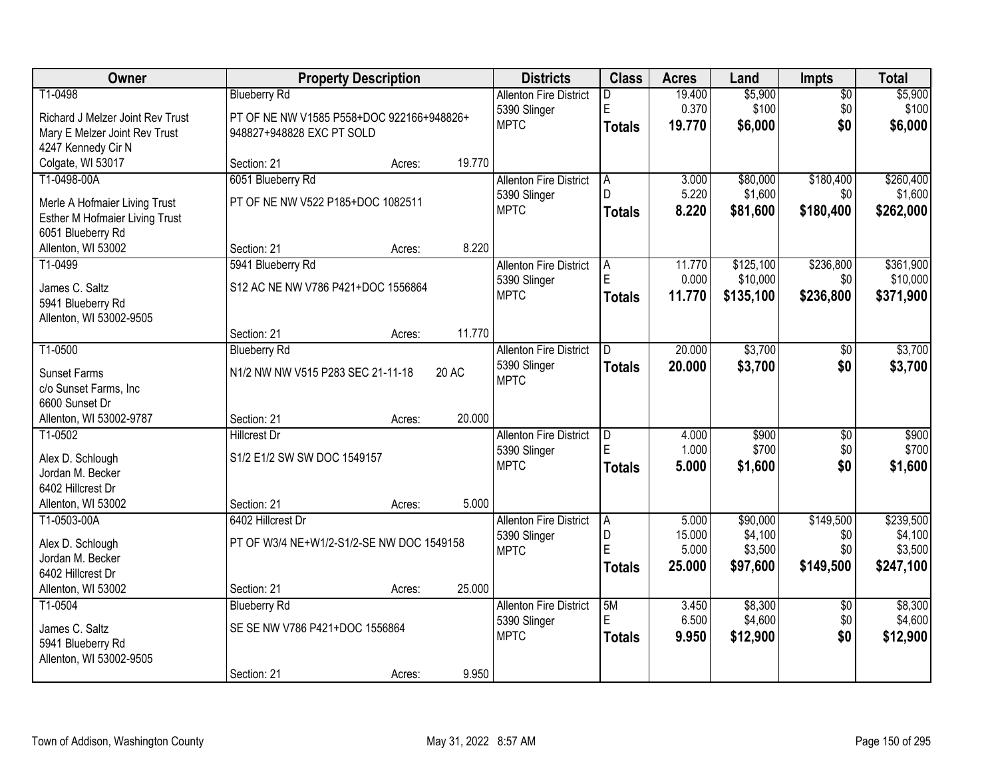| Owner                                               |                                           | <b>Property Description</b> |        | <b>Districts</b>              | <b>Class</b>  | <b>Acres</b> | Land      | <b>Impts</b>    | <b>Total</b> |
|-----------------------------------------------------|-------------------------------------------|-----------------------------|--------|-------------------------------|---------------|--------------|-----------|-----------------|--------------|
| T1-0498                                             | <b>Blueberry Rd</b>                       |                             |        | <b>Allenton Fire District</b> | D             | 19.400       | \$5,900   | $\overline{50}$ | \$5,900      |
| Richard J Melzer Joint Rev Trust                    | PT OF NE NW V1585 P558+DOC 922166+948826+ |                             |        | 5390 Slinger                  | E             | 0.370        | \$100     | \$0             | \$100        |
| Mary E Melzer Joint Rev Trust                       | 948827+948828 EXC PT SOLD                 |                             |        | <b>MPTC</b>                   | <b>Totals</b> | 19.770       | \$6,000   | \$0             | \$6,000      |
| 4247 Kennedy Cir N                                  |                                           |                             |        |                               |               |              |           |                 |              |
| Colgate, WI 53017                                   | Section: 21                               | Acres:                      | 19.770 |                               |               |              |           |                 |              |
| T1-0498-00A                                         | 6051 Blueberry Rd                         |                             |        | <b>Allenton Fire District</b> | A             | 3.000        | \$80,000  | \$180,400       | \$260,400    |
|                                                     | PT OF NE NW V522 P185+DOC 1082511         |                             |        | 5390 Slinger                  | D             | 5.220        | \$1,600   | \$0             | \$1,600      |
| Merle A Hofmaier Living Trust                       |                                           |                             |        | <b>MPTC</b>                   | <b>Totals</b> | 8.220        | \$81,600  | \$180,400       | \$262,000    |
| Esther M Hofmaier Living Trust<br>6051 Blueberry Rd |                                           |                             |        |                               |               |              |           |                 |              |
| Allenton, WI 53002                                  | Section: 21                               | Acres:                      | 8.220  |                               |               |              |           |                 |              |
| T1-0499                                             | 5941 Blueberry Rd                         |                             |        | <b>Allenton Fire District</b> | A             | 11.770       | \$125,100 | \$236,800       | \$361,900    |
|                                                     |                                           |                             |        | 5390 Slinger                  | E             | 0.000        | \$10,000  | \$0             | \$10,000     |
| James C. Saltz                                      | S12 AC NE NW V786 P421+DOC 1556864        |                             |        | <b>MPTC</b>                   | Totals        | 11.770       | \$135,100 | \$236,800       | \$371,900    |
| 5941 Blueberry Rd                                   |                                           |                             |        |                               |               |              |           |                 |              |
| Allenton, WI 53002-9505                             |                                           |                             |        |                               |               |              |           |                 |              |
|                                                     | Section: 21                               | Acres:                      | 11.770 |                               |               |              |           |                 |              |
| T1-0500                                             | <b>Blueberry Rd</b>                       |                             |        | <b>Allenton Fire District</b> | D.            | 20.000       | \$3,700   | \$0             | \$3,700      |
| <b>Sunset Farms</b>                                 | N1/2 NW NW V515 P283 SEC 21-11-18         |                             | 20 AC  | 5390 Slinger<br><b>MPTC</b>   | <b>Totals</b> | 20.000       | \$3,700   | \$0             | \$3,700      |
| c/o Sunset Farms, Inc                               |                                           |                             |        |                               |               |              |           |                 |              |
| 6600 Sunset Dr                                      |                                           |                             |        |                               |               |              |           |                 |              |
| Allenton, WI 53002-9787                             | Section: 21                               | Acres:                      | 20.000 |                               |               |              |           |                 |              |
| T1-0502                                             | <b>Hillcrest Dr</b>                       |                             |        | <b>Allenton Fire District</b> | D             | 4.000        | \$900     | $\overline{50}$ | \$900        |
| Alex D. Schlough                                    | S1/2 E1/2 SW SW DOC 1549157               |                             |        | 5390 Slinger                  | E             | 1.000        | \$700     | \$0             | \$700        |
| Jordan M. Becker                                    |                                           |                             |        | <b>MPTC</b>                   | <b>Totals</b> | 5.000        | \$1,600   | \$0             | \$1,600      |
| 6402 Hillcrest Dr                                   |                                           |                             |        |                               |               |              |           |                 |              |
| Allenton, WI 53002                                  | Section: 21                               | Acres:                      | 5.000  |                               |               |              |           |                 |              |
| T1-0503-00A                                         | 6402 Hillcrest Dr                         |                             |        | <b>Allenton Fire District</b> | l A           | 5.000        | \$90,000  | \$149,500       | \$239,500    |
| Alex D. Schlough                                    | PT OF W3/4 NE+W1/2-S1/2-SE NW DOC 1549158 |                             |        | 5390 Slinger                  | D             | 15.000       | \$4,100   | \$0             | \$4,100      |
| Jordan M. Becker                                    |                                           |                             |        | <b>MPTC</b>                   | E             | 5.000        | \$3,500   | \$0             | \$3,500      |
| 6402 Hillcrest Dr                                   |                                           |                             |        |                               | Totals        | 25.000       | \$97,600  | \$149,500       | \$247,100    |
| Allenton, WI 53002                                  | Section: 21                               | Acres:                      | 25.000 |                               |               |              |           |                 |              |
| T1-0504                                             | <b>Blueberry Rd</b>                       |                             |        | <b>Allenton Fire District</b> | 5M            | 3.450        | \$8,300   | $\overline{50}$ | \$8,300      |
|                                                     |                                           |                             |        | 5390 Slinger                  | E             | 6.500        | \$4,600   | \$0             | \$4,600      |
| James C. Saltz                                      | SE SE NW V786 P421+DOC 1556864            |                             |        | <b>MPTC</b>                   | <b>Totals</b> | 9.950        | \$12,900  | \$0             | \$12,900     |
| 5941 Blueberry Rd                                   |                                           |                             |        |                               |               |              |           |                 |              |
| Allenton, WI 53002-9505                             |                                           |                             |        |                               |               |              |           |                 |              |
|                                                     | Section: 21                               | Acres:                      | 9.950  |                               |               |              |           |                 |              |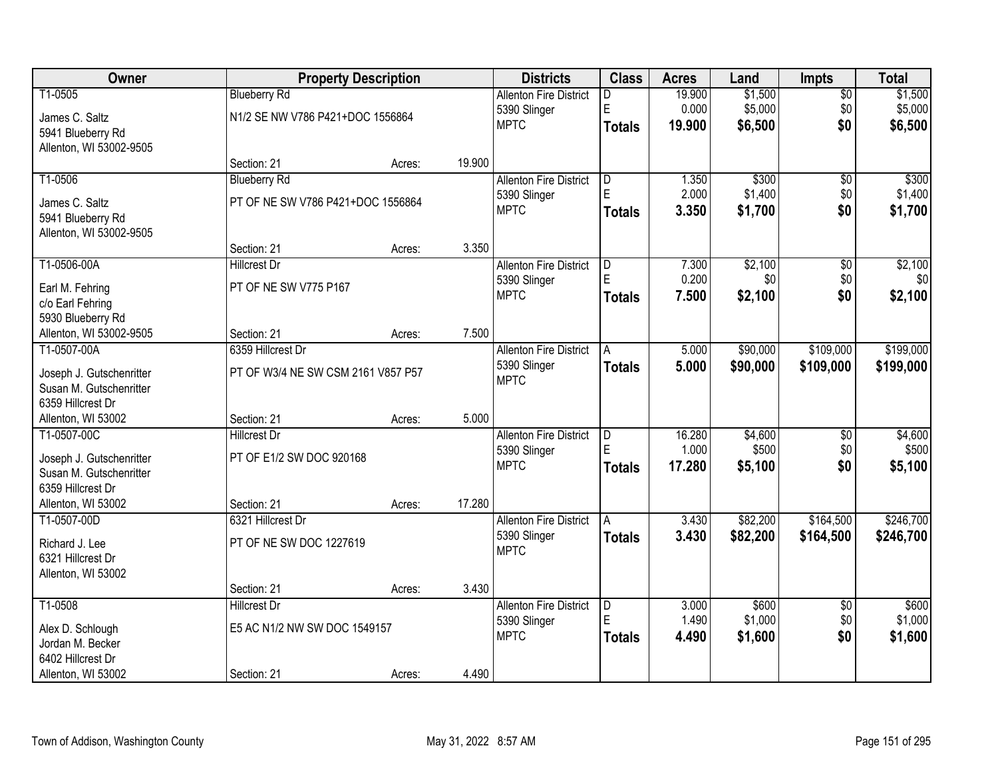| Owner                    |                                    | <b>Property Description</b> |        | <b>Districts</b>              | <b>Class</b>  | <b>Acres</b> | Land     | <b>Impts</b>    | <b>Total</b> |
|--------------------------|------------------------------------|-----------------------------|--------|-------------------------------|---------------|--------------|----------|-----------------|--------------|
| T1-0505                  | <b>Blueberry Rd</b>                |                             |        | <b>Allenton Fire District</b> | D             | 19.900       | \$1,500  | $\overline{50}$ | \$1,500      |
| James C. Saltz           | N1/2 SE NW V786 P421+DOC 1556864   |                             |        | 5390 Slinger                  | E             | 0.000        | \$5,000  | \$0             | \$5,000      |
| 5941 Blueberry Rd        |                                    |                             |        | <b>MPTC</b>                   | <b>Totals</b> | 19.900       | \$6,500  | \$0             | \$6,500      |
| Allenton, WI 53002-9505  |                                    |                             |        |                               |               |              |          |                 |              |
|                          | Section: 21                        | Acres:                      | 19.900 |                               |               |              |          |                 |              |
| T1-0506                  | <b>Blueberry Rd</b>                |                             |        | <b>Allenton Fire District</b> | D             | 1.350        | \$300    | $\overline{50}$ | \$300        |
| James C. Saltz           | PT OF NE SW V786 P421+DOC 1556864  |                             |        | 5390 Slinger                  | E             | 2.000        | \$1,400  | \$0             | \$1,400      |
| 5941 Blueberry Rd        |                                    |                             |        | <b>MPTC</b>                   | <b>Totals</b> | 3.350        | \$1,700  | \$0             | \$1,700      |
| Allenton, WI 53002-9505  |                                    |                             |        |                               |               |              |          |                 |              |
|                          | Section: 21                        | Acres:                      | 3.350  |                               |               |              |          |                 |              |
| T1-0506-00A              | <b>Hilcrest Dr</b>                 |                             |        | <b>Allenton Fire District</b> | D             | 7.300        | \$2,100  | \$0             | \$2,100      |
| Earl M. Fehring          | PT OF NE SW V775 P167              |                             |        | 5390 Slinger                  | E             | 0.200        | \$0      | \$0             | \$0          |
| c/o Earl Fehring         |                                    |                             |        | <b>MPTC</b>                   | <b>Totals</b> | 7.500        | \$2,100  | \$0             | \$2,100      |
| 5930 Blueberry Rd        |                                    |                             |        |                               |               |              |          |                 |              |
| Allenton, WI 53002-9505  | Section: 21                        | Acres:                      | 7.500  |                               |               |              |          |                 |              |
| T1-0507-00A              | 6359 Hillcrest Dr                  |                             |        | <b>Allenton Fire District</b> | A             | 5.000        | \$90,000 | \$109,000       | \$199,000    |
| Joseph J. Gutschenritter | PT OF W3/4 NE SW CSM 2161 V857 P57 |                             |        | 5390 Slinger                  | <b>Totals</b> | 5.000        | \$90,000 | \$109,000       | \$199,000    |
| Susan M. Gutschenritter  |                                    |                             |        | <b>MPTC</b>                   |               |              |          |                 |              |
| 6359 Hillcrest Dr        |                                    |                             |        |                               |               |              |          |                 |              |
| Allenton, WI 53002       | Section: 21                        | Acres:                      | 5.000  |                               |               |              |          |                 |              |
| T1-0507-00C              | <b>Hillcrest Dr</b>                |                             |        | <b>Allenton Fire District</b> | D             | 16.280       | \$4,600  | $\overline{30}$ | \$4,600      |
| Joseph J. Gutschenritter | PT OF E1/2 SW DOC 920168           |                             |        | 5390 Slinger                  | E             | 1.000        | \$500    | \$0             | \$500        |
| Susan M. Gutschenritter  |                                    |                             |        | <b>MPTC</b>                   | <b>Totals</b> | 17.280       | \$5,100  | \$0             | \$5,100      |
| 6359 Hillcrest Dr        |                                    |                             |        |                               |               |              |          |                 |              |
| Allenton, WI 53002       | Section: 21                        | Acres:                      | 17.280 |                               |               |              |          |                 |              |
| T1-0507-00D              | 6321 Hillcrest Dr                  |                             |        | <b>Allenton Fire District</b> | A             | 3.430        | \$82,200 | \$164,500       | \$246,700    |
| Richard J. Lee           | PT OF NE SW DOC 1227619            |                             |        | 5390 Slinger                  | <b>Totals</b> | 3.430        | \$82,200 | \$164,500       | \$246,700    |
| 6321 Hillcrest Dr        |                                    |                             |        | <b>MPTC</b>                   |               |              |          |                 |              |
| Allenton, WI 53002       |                                    |                             |        |                               |               |              |          |                 |              |
|                          | Section: 21                        | Acres:                      | 3.430  |                               |               |              |          |                 |              |
| T1-0508                  | <b>Hillcrest Dr</b>                |                             |        | <b>Allenton Fire District</b> | D             | 3.000        | \$600    | $\overline{50}$ | \$600        |
| Alex D. Schlough         | E5 AC N1/2 NW SW DOC 1549157       |                             |        | 5390 Slinger                  | E             | 1.490        | \$1,000  | \$0             | \$1,000      |
| Jordan M. Becker         |                                    |                             |        | <b>MPTC</b>                   | <b>Totals</b> | 4.490        | \$1,600  | \$0             | \$1,600      |
| 6402 Hillcrest Dr        |                                    |                             |        |                               |               |              |          |                 |              |
| Allenton, WI 53002       | Section: 21                        | Acres:                      | 4.490  |                               |               |              |          |                 |              |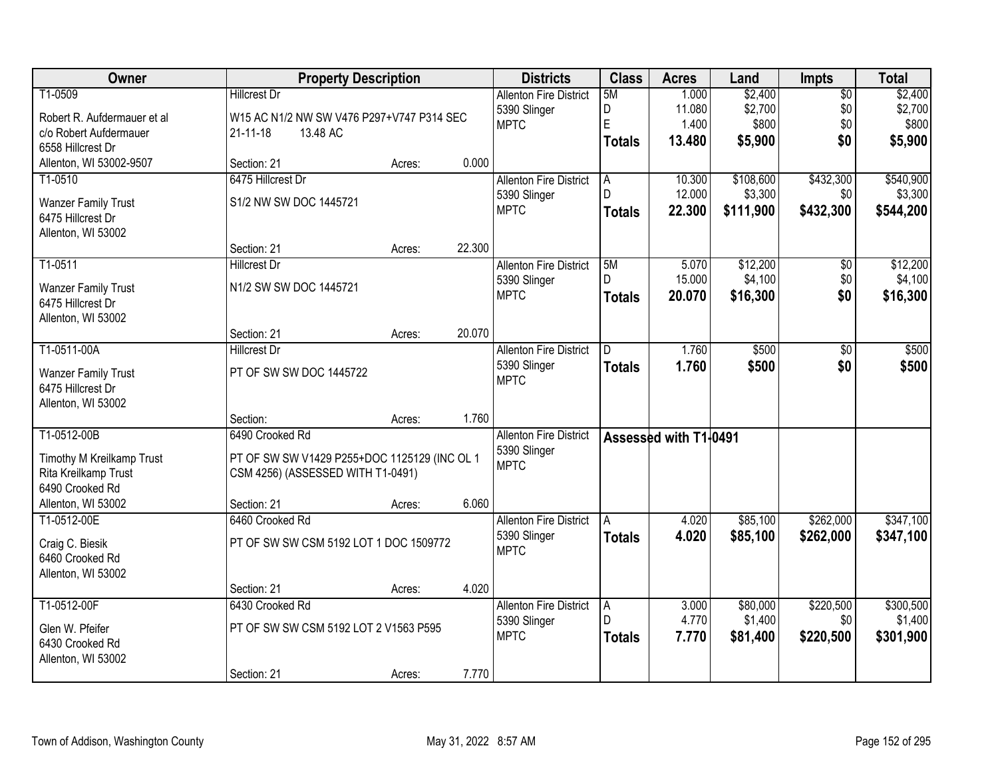| Owner                       | <b>Property Description</b>                  |        |        | <b>Districts</b>              | <b>Class</b>   | <b>Acres</b>          | Land      | <b>Impts</b>    | <b>Total</b> |
|-----------------------------|----------------------------------------------|--------|--------|-------------------------------|----------------|-----------------------|-----------|-----------------|--------------|
| T1-0509                     | <b>Hillcrest Dr</b>                          |        |        | <b>Allenton Fire District</b> | 5M             | 1.000                 | \$2,400   | $\overline{50}$ | \$2,400      |
| Robert R. Aufdermauer et al | W15 AC N1/2 NW SW V476 P297+V747 P314 SEC    |        |        | 5390 Slinger                  | D              | 11.080                | \$2,700   | \$0             | \$2,700      |
| c/o Robert Aufdermauer      | $21 - 11 - 18$<br>13.48 AC                   |        |        | <b>MPTC</b>                   | $\mathsf E$    | 1.400                 | \$800     | \$0             | \$800        |
| 6558 Hillcrest Dr           |                                              |        |        |                               | <b>Totals</b>  | 13.480                | \$5,900   | \$0             | \$5,900      |
| Allenton, WI 53002-9507     | Section: 21                                  | Acres: | 0.000  |                               |                |                       |           |                 |              |
| T1-0510                     | 6475 Hillcrest Dr                            |        |        | <b>Allenton Fire District</b> | l A            | 10.300                | \$108,600 | \$432,300       | \$540,900    |
| <b>Wanzer Family Trust</b>  | S1/2 NW SW DOC 1445721                       |        |        | 5390 Slinger                  | D.             | 12.000                | \$3,300   | \$0             | \$3,300      |
| 6475 Hillcrest Dr           |                                              |        |        | <b>MPTC</b>                   | Totals         | 22.300                | \$111,900 | \$432,300       | \$544,200    |
| Allenton, WI 53002          |                                              |        |        |                               |                |                       |           |                 |              |
|                             | Section: 21                                  | Acres: | 22.300 |                               |                |                       |           |                 |              |
| T1-0511                     | <b>Hillcrest Dr</b>                          |        |        | <b>Allenton Fire District</b> | 5M             | 5.070                 | \$12,200  | \$0             | \$12,200     |
| <b>Wanzer Family Trust</b>  | N1/2 SW SW DOC 1445721                       |        |        | 5390 Slinger                  |                | 15.000                | \$4,100   | \$0             | \$4,100      |
| 6475 Hillcrest Dr           |                                              |        |        | <b>MPTC</b>                   | <b>Totals</b>  | 20.070                | \$16,300  | \$0             | \$16,300     |
| Allenton, WI 53002          |                                              |        |        |                               |                |                       |           |                 |              |
|                             | Section: 21                                  | Acres: | 20.070 |                               |                |                       |           |                 |              |
| T1-0511-00A                 | <b>Hillcrest Dr</b>                          |        |        | <b>Allenton Fire District</b> | ID.            | 1.760                 | \$500     | \$0             | \$500        |
| <b>Wanzer Family Trust</b>  | PT OF SW SW DOC 1445722                      |        |        | 5390 Slinger                  | <b>Totals</b>  | 1.760                 | \$500     | \$0             | \$500        |
| 6475 Hillcrest Dr           |                                              |        |        | <b>MPTC</b>                   |                |                       |           |                 |              |
| Allenton, WI 53002          |                                              |        |        |                               |                |                       |           |                 |              |
|                             | Section:                                     | Acres: | 1.760  |                               |                |                       |           |                 |              |
| T1-0512-00B                 | 6490 Crooked Rd                              |        |        | <b>Allenton Fire District</b> |                | Assessed with T1-0491 |           |                 |              |
| Timothy M Kreilkamp Trust   | PT OF SW SW V1429 P255+DOC 1125129 (INC OL 1 |        |        | 5390 Slinger                  |                |                       |           |                 |              |
| Rita Kreilkamp Trust        | CSM 4256) (ASSESSED WITH T1-0491)            |        |        | <b>MPTC</b>                   |                |                       |           |                 |              |
| 6490 Crooked Rd             |                                              |        |        |                               |                |                       |           |                 |              |
| Allenton, WI 53002          | Section: 21                                  | Acres: | 6.060  |                               |                |                       |           |                 |              |
| T1-0512-00E                 | 6460 Crooked Rd                              |        |        | <b>Allenton Fire District</b> | l A            | 4.020                 | \$85,100  | \$262,000       | \$347,100    |
| Craig C. Biesik             | PT OF SW SW CSM 5192 LOT 1 DOC 1509772       |        |        | 5390 Slinger                  | <b>Totals</b>  | 4.020                 | \$85,100  | \$262,000       | \$347,100    |
| 6460 Crooked Rd             |                                              |        |        | <b>MPTC</b>                   |                |                       |           |                 |              |
| Allenton, WI 53002          |                                              |        |        |                               |                |                       |           |                 |              |
|                             | Section: 21                                  | Acres: | 4.020  |                               |                |                       |           |                 |              |
| T1-0512-00F                 | 6430 Crooked Rd                              |        |        | <b>Allenton Fire District</b> | $\overline{A}$ | 3.000                 | \$80,000  | \$220,500       | \$300,500    |
| Glen W. Pfeifer             | PT OF SW SW CSM 5192 LOT 2 V1563 P595        |        |        | 5390 Slinger                  | D              | 4.770                 | \$1,400   | \$0             | \$1,400      |
| 6430 Crooked Rd             |                                              |        |        | <b>MPTC</b>                   | <b>Totals</b>  | 7.770                 | \$81,400  | \$220,500       | \$301,900    |
| Allenton, WI 53002          |                                              |        |        |                               |                |                       |           |                 |              |
|                             | Section: 21                                  | Acres: | 7.770  |                               |                |                       |           |                 |              |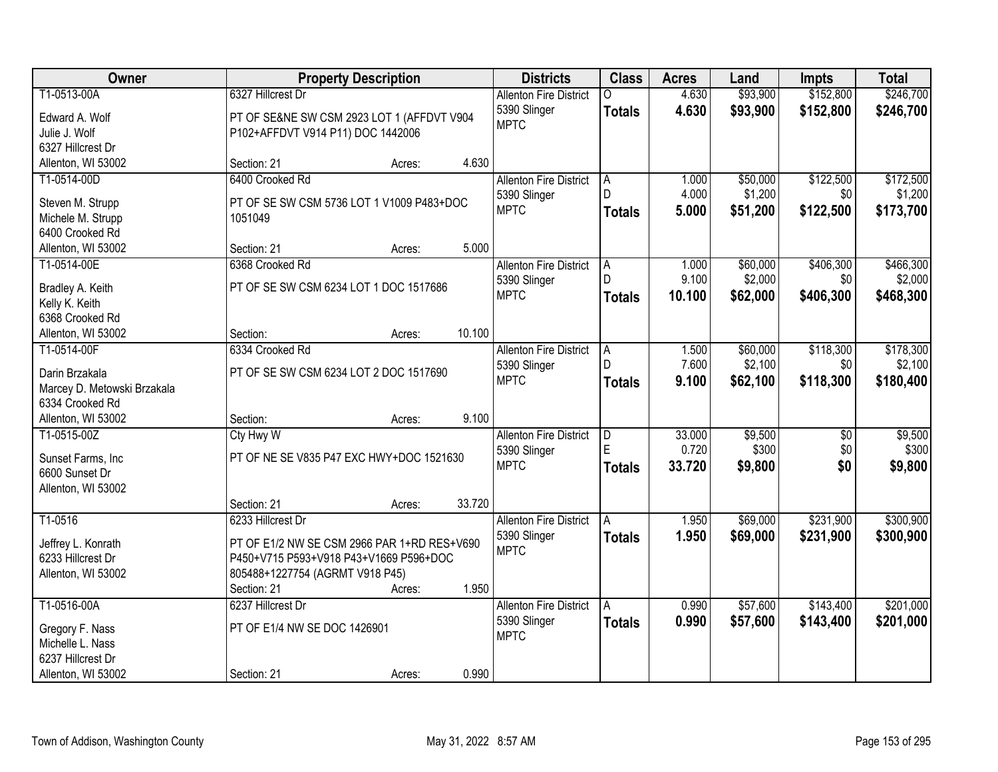| Owner                                |                                                      | <b>Property Description</b> |        | <b>Districts</b>              | <b>Class</b>  | <b>Acres</b> | Land     | <b>Impts</b>    | <b>Total</b> |
|--------------------------------------|------------------------------------------------------|-----------------------------|--------|-------------------------------|---------------|--------------|----------|-----------------|--------------|
| T1-0513-00A                          | 6327 Hillcrest Dr                                    |                             |        | <b>Allenton Fire District</b> |               | 4.630        | \$93,900 | \$152,800       | \$246,700    |
| Edward A. Wolf                       | PT OF SE&NE SW CSM 2923 LOT 1 (AFFDVT V904           |                             |        | 5390 Slinger                  | <b>Totals</b> | 4.630        | \$93,900 | \$152,800       | \$246,700    |
| Julie J. Wolf                        | P102+AFFDVT V914 P11) DOC 1442006                    |                             |        | <b>MPTC</b>                   |               |              |          |                 |              |
| 6327 Hillcrest Dr                    |                                                      |                             |        |                               |               |              |          |                 |              |
| Allenton, WI 53002                   | Section: 21                                          | Acres:                      | 4.630  |                               |               |              |          |                 |              |
| T1-0514-00D                          | 6400 Crooked Rd                                      |                             |        | <b>Allenton Fire District</b> | A             | 1.000        | \$50,000 | \$122,500       | \$172,500    |
|                                      |                                                      |                             |        | 5390 Slinger                  | D.            | 4.000        | \$1,200  | \$0             | \$1,200      |
| Steven M. Strupp                     | PT OF SE SW CSM 5736 LOT 1 V1009 P483+DOC<br>1051049 |                             |        | <b>MPTC</b>                   | <b>Totals</b> | 5.000        | \$51,200 | \$122,500       | \$173,700    |
| Michele M. Strupp<br>6400 Crooked Rd |                                                      |                             |        |                               |               |              |          |                 |              |
| Allenton, WI 53002                   | Section: 21                                          | Acres:                      | 5.000  |                               |               |              |          |                 |              |
| T1-0514-00E                          | 6368 Crooked Rd                                      |                             |        | <b>Allenton Fire District</b> | A             | 1.000        | \$60,000 | \$406,300       | \$466,300    |
|                                      |                                                      |                             |        | 5390 Slinger                  | D             | 9.100        | \$2,000  | \$0             | \$2,000      |
| Bradley A. Keith                     | PT OF SE SW CSM 6234 LOT 1 DOC 1517686               |                             |        | <b>MPTC</b>                   | <b>Totals</b> | 10.100       | \$62,000 | \$406,300       | \$468,300    |
| Kelly K. Keith                       |                                                      |                             |        |                               |               |              |          |                 |              |
| 6368 Crooked Rd                      |                                                      |                             |        |                               |               |              |          |                 |              |
| Allenton, WI 53002                   | Section:                                             | Acres:                      | 10.100 |                               |               |              |          |                 |              |
| T1-0514-00F                          | 6334 Crooked Rd                                      |                             |        | <b>Allenton Fire District</b> | Α             | 1.500        | \$60,000 | \$118,300       | \$178,300    |
| Darin Brzakala                       | PT OF SE SW CSM 6234 LOT 2 DOC 1517690               |                             |        | 5390 Slinger                  | D.            | 7.600        | \$2,100  | \$0             | \$2,100      |
| Marcey D. Metowski Brzakala          |                                                      |                             |        | <b>MPTC</b>                   | <b>Totals</b> | 9.100        | \$62,100 | \$118,300       | \$180,400    |
| 6334 Crooked Rd                      |                                                      |                             |        |                               |               |              |          |                 |              |
| Allenton, WI 53002                   | Section:                                             | Acres:                      | 9.100  |                               |               |              |          |                 |              |
| T1-0515-00Z                          | Cty Hwy W                                            |                             |        | <b>Allenton Fire District</b> | D             | 33.000       | \$9,500  | $\overline{50}$ | \$9,500      |
|                                      | PT OF NE SE V835 P47 EXC HWY+DOC 1521630             |                             |        | 5390 Slinger                  | E             | 0.720        | \$300    | \$0             | \$300        |
| Sunset Farms, Inc<br>6600 Sunset Dr  |                                                      |                             |        | <b>MPTC</b>                   | <b>Totals</b> | 33.720       | \$9,800  | \$0             | \$9,800      |
| Allenton, WI 53002                   |                                                      |                             |        |                               |               |              |          |                 |              |
|                                      | Section: 21                                          | Acres:                      | 33.720 |                               |               |              |          |                 |              |
| T1-0516                              | 6233 Hillcrest Dr                                    |                             |        | <b>Allenton Fire District</b> | A             | 1.950        | \$69,000 | \$231,900       | \$300,900    |
|                                      |                                                      |                             |        | 5390 Slinger                  | <b>Totals</b> | 1.950        | \$69,000 | \$231,900       | \$300,900    |
| Jeffrey L. Konrath                   | PT OF E1/2 NW SE CSM 2966 PAR 1+RD RES+V690          |                             |        | <b>MPTC</b>                   |               |              |          |                 |              |
| 6233 Hillcrest Dr                    | P450+V715 P593+V918 P43+V1669 P596+DOC               |                             |        |                               |               |              |          |                 |              |
| Allenton, WI 53002                   | 805488+1227754 (AGRMT V918 P45)                      |                             |        |                               |               |              |          |                 |              |
|                                      | Section: 21                                          | Acres:                      | 1.950  |                               |               |              |          |                 |              |
| T1-0516-00A                          | 6237 Hillcrest Dr                                    |                             |        | <b>Allenton Fire District</b> | A             | 0.990        | \$57,600 | \$143,400       | \$201,000    |
| Gregory F. Nass                      | PT OF E1/4 NW SE DOC 1426901                         |                             |        | 5390 Slinger                  | <b>Totals</b> | 0.990        | \$57,600 | \$143,400       | \$201,000    |
| Michelle L. Nass                     |                                                      |                             |        | <b>MPTC</b>                   |               |              |          |                 |              |
| 6237 Hillcrest Dr                    |                                                      |                             |        |                               |               |              |          |                 |              |
| Allenton, WI 53002                   | Section: 21                                          | Acres:                      | 0.990  |                               |               |              |          |                 |              |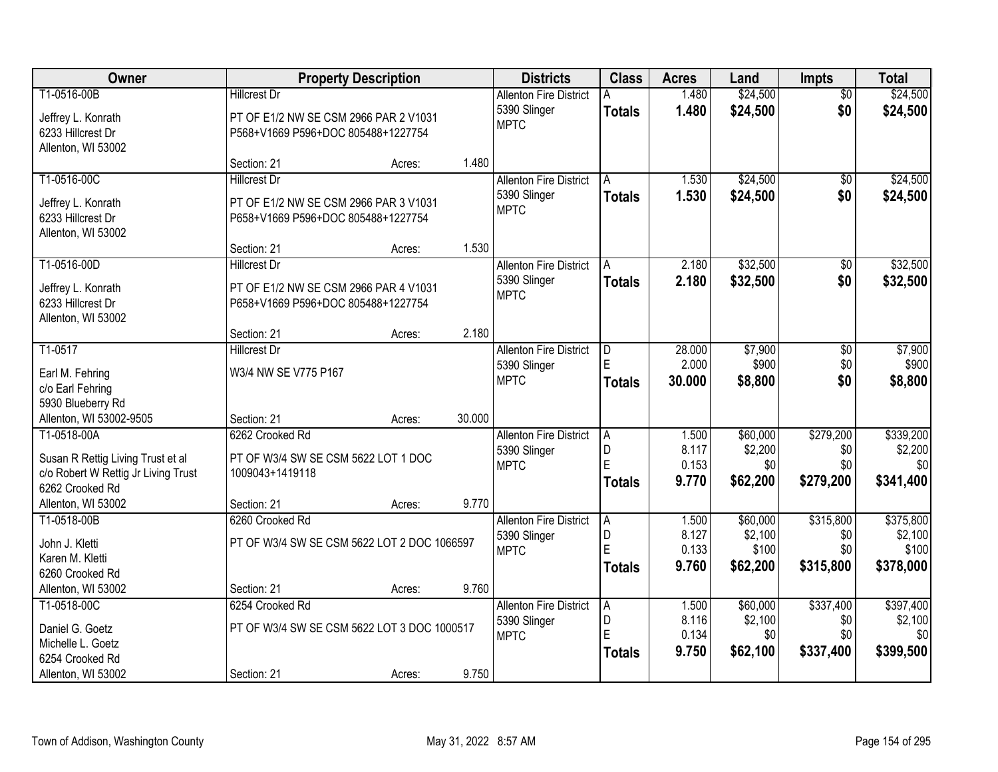| Owner                                                                    |                                                        | <b>Property Description</b> |        | <b>Districts</b>                              | <b>Class</b>   | <b>Acres</b>   | Land     | Impts                  | <b>Total</b> |
|--------------------------------------------------------------------------|--------------------------------------------------------|-----------------------------|--------|-----------------------------------------------|----------------|----------------|----------|------------------------|--------------|
| T1-0516-00B                                                              | <b>Hillcrest Dr</b>                                    |                             |        | <b>Allenton Fire District</b><br>5390 Slinger |                | 1.480<br>1.480 | \$24,500 | $\overline{50}$<br>\$0 | \$24,500     |
| Jeffrey L. Konrath                                                       | PT OF E1/2 NW SE CSM 2966 PAR 2 V1031                  |                             |        | <b>MPTC</b>                                   | <b>Totals</b>  |                | \$24,500 |                        | \$24,500     |
| 6233 Hillcrest Dr                                                        | P568+V1669 P596+DOC 805488+1227754                     |                             |        |                                               |                |                |          |                        |              |
| Allenton, WI 53002                                                       |                                                        |                             | 1.480  |                                               |                |                |          |                        |              |
| T1-0516-00C                                                              | Section: 21<br><b>Hillcrest Dr</b>                     | Acres:                      |        | <b>Allenton Fire District</b>                 | A              | 1.530          | \$24,500 | \$0                    | \$24,500     |
|                                                                          |                                                        |                             |        | 5390 Slinger                                  | <b>Totals</b>  | 1.530          | \$24,500 | \$0                    | \$24,500     |
| Jeffrey L. Konrath                                                       | PT OF E1/2 NW SE CSM 2966 PAR 3 V1031                  |                             |        | <b>MPTC</b>                                   |                |                |          |                        |              |
| 6233 Hillcrest Dr                                                        | P658+V1669 P596+DOC 805488+1227754                     |                             |        |                                               |                |                |          |                        |              |
| Allenton, WI 53002                                                       | Section: 21                                            |                             | 1.530  |                                               |                |                |          |                        |              |
| T1-0516-00D                                                              | <b>Hillcrest Dr</b>                                    | Acres:                      |        | <b>Allenton Fire District</b>                 | A              | 2.180          | \$32,500 | $\overline{50}$        | \$32,500     |
|                                                                          |                                                        |                             |        | 5390 Slinger                                  | <b>Totals</b>  | 2.180          | \$32,500 | \$0                    | \$32,500     |
| Jeffrey L. Konrath                                                       | PT OF E1/2 NW SE CSM 2966 PAR 4 V1031                  |                             |        | <b>MPTC</b>                                   |                |                |          |                        |              |
| 6233 Hillcrest Dr                                                        | P658+V1669 P596+DOC 805488+1227754                     |                             |        |                                               |                |                |          |                        |              |
| Allenton, WI 53002                                                       | Section: 21                                            | Acres:                      | 2.180  |                                               |                |                |          |                        |              |
| T1-0517                                                                  | <b>Hillcrest Dr</b>                                    |                             |        | <b>Allenton Fire District</b>                 | D              | 28.000         | \$7,900  | \$0                    | \$7,900      |
|                                                                          |                                                        |                             |        | 5390 Slinger                                  |                | 2.000          | \$900    | \$0                    | \$900        |
| Earl M. Fehring                                                          | W3/4 NW SE V775 P167                                   |                             |        | <b>MPTC</b>                                   | <b>Totals</b>  | 30.000         | \$8,800  | \$0                    | \$8,800      |
| c/o Earl Fehring<br>5930 Blueberry Rd                                    |                                                        |                             |        |                                               |                |                |          |                        |              |
| Allenton, WI 53002-9505                                                  | Section: 21                                            | Acres:                      | 30.000 |                                               |                |                |          |                        |              |
| T1-0518-00A                                                              | 6262 Crooked Rd                                        |                             |        | <b>Allenton Fire District</b>                 | $\overline{A}$ | 1.500          | \$60,000 | \$279,200              | \$339,200    |
|                                                                          |                                                        |                             |        | 5390 Slinger                                  | D              | 8.117          | \$2,200  | \$0                    | \$2,200      |
| Susan R Rettig Living Trust et al<br>c/o Robert W Rettig Jr Living Trust | PT OF W3/4 SW SE CSM 5622 LOT 1 DOC<br>1009043+1419118 |                             |        | <b>MPTC</b>                                   | Ē              | 0.153          | \$0      | \$0                    | \$0          |
| 6262 Crooked Rd                                                          |                                                        |                             |        |                                               | <b>Totals</b>  | 9.770          | \$62,200 | \$279,200              | \$341,400    |
| Allenton, WI 53002                                                       | Section: 21                                            | Acres:                      | 9.770  |                                               |                |                |          |                        |              |
| T1-0518-00B                                                              | 6260 Crooked Rd                                        |                             |        | <b>Allenton Fire District</b>                 | A              | 1.500          | \$60,000 | \$315,800              | \$375,800    |
| John J. Kletti                                                           | PT OF W3/4 SW SE CSM 5622 LOT 2 DOC 1066597            |                             |        | 5390 Slinger                                  | D              | 8.127          | \$2,100  | \$0                    | \$2,100      |
| Karen M. Kletti                                                          |                                                        |                             |        | <b>MPTC</b>                                   | E              | 0.133          | \$100    | \$0                    | \$100        |
| 6260 Crooked Rd                                                          |                                                        |                             |        |                                               | <b>Totals</b>  | 9.760          | \$62,200 | \$315,800              | \$378,000    |
| Allenton, WI 53002                                                       | Section: 21                                            | Acres:                      | 9.760  |                                               |                |                |          |                        |              |
| T1-0518-00C                                                              | 6254 Crooked Rd                                        |                             |        | <b>Allenton Fire District</b>                 | Α              | 1.500          | \$60,000 | \$337,400              | \$397,400    |
| Daniel G. Goetz                                                          | PT OF W3/4 SW SE CSM 5622 LOT 3 DOC 1000517            |                             |        | 5390 Slinger                                  | D              | 8.116          | \$2,100  | \$0                    | \$2,100      |
| Michelle L. Goetz                                                        |                                                        |                             |        | <b>MPTC</b>                                   | E              | 0.134          | \$0      | \$0                    | \$0          |
| 6254 Crooked Rd                                                          |                                                        |                             |        |                                               | <b>Totals</b>  | 9.750          | \$62,100 | \$337,400              | \$399,500    |
| Allenton, WI 53002                                                       | Section: 21                                            | Acres:                      | 9.750  |                                               |                |                |          |                        |              |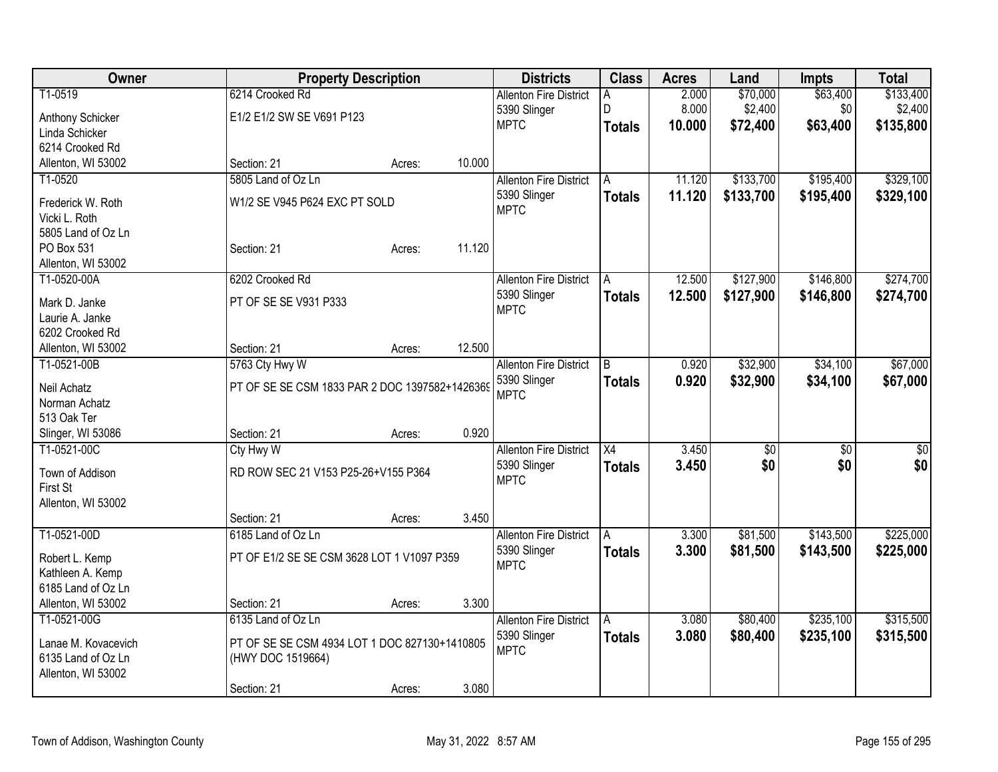| T1-0519<br>\$70,000<br>\$133,400<br>6214 Crooked Rd<br>2.000<br><b>Allenton Fire District</b><br>A<br>8.000<br>\$2,400<br>\$0<br>\$2,400<br>5390 Slinger<br>D<br>E1/2 E1/2 SW SE V691 P123<br>Anthony Schicker<br>\$63,400<br><b>MPTC</b><br>10.000<br>\$72,400<br>\$135,800<br><b>Totals</b><br>Linda Schicker<br>6214 Crooked Rd<br>10.000<br>Allenton, WI 53002<br>Section: 21<br>Acres:<br>T1-0520<br>5805 Land of Oz Ln<br>\$133,700<br>\$195,400<br><b>Allenton Fire District</b><br>11.120<br>A<br>11.120<br>\$133,700<br>\$195,400<br>5390 Slinger<br><b>Totals</b><br>W1/2 SE V945 P624 EXC PT SOLD<br>Frederick W. Roth<br><b>MPTC</b><br>Vicki L. Roth<br>5805 Land of Oz Ln<br>11.120<br>PO Box 531<br>Section: 21<br>Acres:<br>Allenton, WI 53002<br>T1-0520-00A<br>12.500<br>\$127,900<br>\$146,800<br>6202 Crooked Rd<br><b>Allenton Fire District</b><br>l A<br>5390 Slinger<br>12.500<br>\$127,900<br>\$146,800<br><b>Totals</b><br>PT OF SE SE V931 P333<br>Mark D. Janke<br><b>MPTC</b><br>Laurie A. Janke<br>6202 Crooked Rd<br>12.500<br>Allenton, WI 53002<br>Section: 21<br>Acres:<br>\$32,900<br>\$34,100<br>T1-0521-00B<br>5763 Cty Hwy W<br>0.920<br><b>Allenton Fire District</b><br>B<br>5390 Slinger<br>0.920<br>\$32,900<br>\$34,100<br><b>Totals</b><br>PT OF SE SE CSM 1833 PAR 2 DOC 1397582+1426369<br>Neil Achatz<br><b>MPTC</b><br>Norman Achatz<br>513 Oak Ter<br>0.920<br>Slinger, WI 53086<br>Section: 21<br>Acres:<br>T1-0521-00C<br>Cty Hwy W<br>3.450<br><b>Allenton Fire District</b><br>X4<br>\$0<br>\$0<br>\$0<br>5390 Slinger<br>3.450<br>\$0<br><b>Totals</b><br>RD ROW SEC 21 V153 P25-26+V155 P364<br>Town of Addison<br><b>MPTC</b><br>First St<br>Allenton, WI 53002<br>3.450<br>Section: 21<br>Acres:<br>T1-0521-00D<br>6185 Land of Oz Ln<br>\$81,500<br>\$143,500<br><b>Allenton Fire District</b><br>3.300<br>A<br>3.300<br>\$81,500<br>\$143,500<br>5390 Slinger<br><b>Totals</b><br>PT OF E1/2 SE SE CSM 3628 LOT 1 V1097 P359<br>Robert L. Kemp<br><b>MPTC</b><br>Kathleen A. Kemp<br>6185 Land of Oz Ln | Owner              | <b>Property Description</b> |                 | <b>Districts</b> | <b>Class</b> | <b>Acres</b> | Land | <b>Impts</b> | <b>Total</b> |
|--------------------------------------------------------------------------------------------------------------------------------------------------------------------------------------------------------------------------------------------------------------------------------------------------------------------------------------------------------------------------------------------------------------------------------------------------------------------------------------------------------------------------------------------------------------------------------------------------------------------------------------------------------------------------------------------------------------------------------------------------------------------------------------------------------------------------------------------------------------------------------------------------------------------------------------------------------------------------------------------------------------------------------------------------------------------------------------------------------------------------------------------------------------------------------------------------------------------------------------------------------------------------------------------------------------------------------------------------------------------------------------------------------------------------------------------------------------------------------------------------------------------------------------------------------------------------------------------------------------------------------------------------------------------------------------------------------------------------------------------------------------------------------------------------------------------------------------------------------------------------------------------------------------------------------------------------------------------------------------------------------------------------------------------------------------------|--------------------|-----------------------------|-----------------|------------------|--------------|--------------|------|--------------|--------------|
|                                                                                                                                                                                                                                                                                                                                                                                                                                                                                                                                                                                                                                                                                                                                                                                                                                                                                                                                                                                                                                                                                                                                                                                                                                                                                                                                                                                                                                                                                                                                                                                                                                                                                                                                                                                                                                                                                                                                                                                                                                                                    |                    |                             |                 |                  |              |              |      | \$63,400     |              |
| \$329,100<br>\$329,100<br>\$274,700<br>\$274,700<br>\$67,000<br>\$67,000<br>\$0<br>\$0<br>\$225,000<br>\$225,000                                                                                                                                                                                                                                                                                                                                                                                                                                                                                                                                                                                                                                                                                                                                                                                                                                                                                                                                                                                                                                                                                                                                                                                                                                                                                                                                                                                                                                                                                                                                                                                                                                                                                                                                                                                                                                                                                                                                                   |                    |                             |                 |                  |              |              |      |              |              |
|                                                                                                                                                                                                                                                                                                                                                                                                                                                                                                                                                                                                                                                                                                                                                                                                                                                                                                                                                                                                                                                                                                                                                                                                                                                                                                                                                                                                                                                                                                                                                                                                                                                                                                                                                                                                                                                                                                                                                                                                                                                                    |                    |                             |                 |                  |              |              |      |              |              |
|                                                                                                                                                                                                                                                                                                                                                                                                                                                                                                                                                                                                                                                                                                                                                                                                                                                                                                                                                                                                                                                                                                                                                                                                                                                                                                                                                                                                                                                                                                                                                                                                                                                                                                                                                                                                                                                                                                                                                                                                                                                                    |                    |                             |                 |                  |              |              |      |              |              |
|                                                                                                                                                                                                                                                                                                                                                                                                                                                                                                                                                                                                                                                                                                                                                                                                                                                                                                                                                                                                                                                                                                                                                                                                                                                                                                                                                                                                                                                                                                                                                                                                                                                                                                                                                                                                                                                                                                                                                                                                                                                                    |                    |                             |                 |                  |              |              |      |              |              |
|                                                                                                                                                                                                                                                                                                                                                                                                                                                                                                                                                                                                                                                                                                                                                                                                                                                                                                                                                                                                                                                                                                                                                                                                                                                                                                                                                                                                                                                                                                                                                                                                                                                                                                                                                                                                                                                                                                                                                                                                                                                                    |                    |                             |                 |                  |              |              |      |              |              |
|                                                                                                                                                                                                                                                                                                                                                                                                                                                                                                                                                                                                                                                                                                                                                                                                                                                                                                                                                                                                                                                                                                                                                                                                                                                                                                                                                                                                                                                                                                                                                                                                                                                                                                                                                                                                                                                                                                                                                                                                                                                                    |                    |                             |                 |                  |              |              |      |              |              |
|                                                                                                                                                                                                                                                                                                                                                                                                                                                                                                                                                                                                                                                                                                                                                                                                                                                                                                                                                                                                                                                                                                                                                                                                                                                                                                                                                                                                                                                                                                                                                                                                                                                                                                                                                                                                                                                                                                                                                                                                                                                                    |                    |                             |                 |                  |              |              |      |              |              |
|                                                                                                                                                                                                                                                                                                                                                                                                                                                                                                                                                                                                                                                                                                                                                                                                                                                                                                                                                                                                                                                                                                                                                                                                                                                                                                                                                                                                                                                                                                                                                                                                                                                                                                                                                                                                                                                                                                                                                                                                                                                                    |                    |                             |                 |                  |              |              |      |              |              |
|                                                                                                                                                                                                                                                                                                                                                                                                                                                                                                                                                                                                                                                                                                                                                                                                                                                                                                                                                                                                                                                                                                                                                                                                                                                                                                                                                                                                                                                                                                                                                                                                                                                                                                                                                                                                                                                                                                                                                                                                                                                                    |                    |                             |                 |                  |              |              |      |              |              |
|                                                                                                                                                                                                                                                                                                                                                                                                                                                                                                                                                                                                                                                                                                                                                                                                                                                                                                                                                                                                                                                                                                                                                                                                                                                                                                                                                                                                                                                                                                                                                                                                                                                                                                                                                                                                                                                                                                                                                                                                                                                                    |                    |                             |                 |                  |              |              |      |              |              |
|                                                                                                                                                                                                                                                                                                                                                                                                                                                                                                                                                                                                                                                                                                                                                                                                                                                                                                                                                                                                                                                                                                                                                                                                                                                                                                                                                                                                                                                                                                                                                                                                                                                                                                                                                                                                                                                                                                                                                                                                                                                                    |                    |                             |                 |                  |              |              |      |              |              |
|                                                                                                                                                                                                                                                                                                                                                                                                                                                                                                                                                                                                                                                                                                                                                                                                                                                                                                                                                                                                                                                                                                                                                                                                                                                                                                                                                                                                                                                                                                                                                                                                                                                                                                                                                                                                                                                                                                                                                                                                                                                                    |                    |                             |                 |                  |              |              |      |              |              |
|                                                                                                                                                                                                                                                                                                                                                                                                                                                                                                                                                                                                                                                                                                                                                                                                                                                                                                                                                                                                                                                                                                                                                                                                                                                                                                                                                                                                                                                                                                                                                                                                                                                                                                                                                                                                                                                                                                                                                                                                                                                                    |                    |                             |                 |                  |              |              |      |              |              |
|                                                                                                                                                                                                                                                                                                                                                                                                                                                                                                                                                                                                                                                                                                                                                                                                                                                                                                                                                                                                                                                                                                                                                                                                                                                                                                                                                                                                                                                                                                                                                                                                                                                                                                                                                                                                                                                                                                                                                                                                                                                                    |                    |                             |                 |                  |              |              |      |              |              |
|                                                                                                                                                                                                                                                                                                                                                                                                                                                                                                                                                                                                                                                                                                                                                                                                                                                                                                                                                                                                                                                                                                                                                                                                                                                                                                                                                                                                                                                                                                                                                                                                                                                                                                                                                                                                                                                                                                                                                                                                                                                                    |                    |                             |                 |                  |              |              |      |              |              |
|                                                                                                                                                                                                                                                                                                                                                                                                                                                                                                                                                                                                                                                                                                                                                                                                                                                                                                                                                                                                                                                                                                                                                                                                                                                                                                                                                                                                                                                                                                                                                                                                                                                                                                                                                                                                                                                                                                                                                                                                                                                                    |                    |                             |                 |                  |              |              |      |              |              |
|                                                                                                                                                                                                                                                                                                                                                                                                                                                                                                                                                                                                                                                                                                                                                                                                                                                                                                                                                                                                                                                                                                                                                                                                                                                                                                                                                                                                                                                                                                                                                                                                                                                                                                                                                                                                                                                                                                                                                                                                                                                                    |                    |                             |                 |                  |              |              |      |              |              |
|                                                                                                                                                                                                                                                                                                                                                                                                                                                                                                                                                                                                                                                                                                                                                                                                                                                                                                                                                                                                                                                                                                                                                                                                                                                                                                                                                                                                                                                                                                                                                                                                                                                                                                                                                                                                                                                                                                                                                                                                                                                                    |                    |                             |                 |                  |              |              |      |              |              |
|                                                                                                                                                                                                                                                                                                                                                                                                                                                                                                                                                                                                                                                                                                                                                                                                                                                                                                                                                                                                                                                                                                                                                                                                                                                                                                                                                                                                                                                                                                                                                                                                                                                                                                                                                                                                                                                                                                                                                                                                                                                                    |                    |                             |                 |                  |              |              |      |              |              |
|                                                                                                                                                                                                                                                                                                                                                                                                                                                                                                                                                                                                                                                                                                                                                                                                                                                                                                                                                                                                                                                                                                                                                                                                                                                                                                                                                                                                                                                                                                                                                                                                                                                                                                                                                                                                                                                                                                                                                                                                                                                                    |                    |                             |                 |                  |              |              |      |              |              |
|                                                                                                                                                                                                                                                                                                                                                                                                                                                                                                                                                                                                                                                                                                                                                                                                                                                                                                                                                                                                                                                                                                                                                                                                                                                                                                                                                                                                                                                                                                                                                                                                                                                                                                                                                                                                                                                                                                                                                                                                                                                                    |                    |                             |                 |                  |              |              |      |              |              |
|                                                                                                                                                                                                                                                                                                                                                                                                                                                                                                                                                                                                                                                                                                                                                                                                                                                                                                                                                                                                                                                                                                                                                                                                                                                                                                                                                                                                                                                                                                                                                                                                                                                                                                                                                                                                                                                                                                                                                                                                                                                                    |                    |                             |                 |                  |              |              |      |              |              |
|                                                                                                                                                                                                                                                                                                                                                                                                                                                                                                                                                                                                                                                                                                                                                                                                                                                                                                                                                                                                                                                                                                                                                                                                                                                                                                                                                                                                                                                                                                                                                                                                                                                                                                                                                                                                                                                                                                                                                                                                                                                                    |                    |                             |                 |                  |              |              |      |              |              |
|                                                                                                                                                                                                                                                                                                                                                                                                                                                                                                                                                                                                                                                                                                                                                                                                                                                                                                                                                                                                                                                                                                                                                                                                                                                                                                                                                                                                                                                                                                                                                                                                                                                                                                                                                                                                                                                                                                                                                                                                                                                                    |                    |                             |                 |                  |              |              |      |              |              |
|                                                                                                                                                                                                                                                                                                                                                                                                                                                                                                                                                                                                                                                                                                                                                                                                                                                                                                                                                                                                                                                                                                                                                                                                                                                                                                                                                                                                                                                                                                                                                                                                                                                                                                                                                                                                                                                                                                                                                                                                                                                                    |                    |                             |                 |                  |              |              |      |              |              |
|                                                                                                                                                                                                                                                                                                                                                                                                                                                                                                                                                                                                                                                                                                                                                                                                                                                                                                                                                                                                                                                                                                                                                                                                                                                                                                                                                                                                                                                                                                                                                                                                                                                                                                                                                                                                                                                                                                                                                                                                                                                                    |                    |                             |                 |                  |              |              |      |              |              |
|                                                                                                                                                                                                                                                                                                                                                                                                                                                                                                                                                                                                                                                                                                                                                                                                                                                                                                                                                                                                                                                                                                                                                                                                                                                                                                                                                                                                                                                                                                                                                                                                                                                                                                                                                                                                                                                                                                                                                                                                                                                                    |                    |                             |                 |                  |              |              |      |              |              |
|                                                                                                                                                                                                                                                                                                                                                                                                                                                                                                                                                                                                                                                                                                                                                                                                                                                                                                                                                                                                                                                                                                                                                                                                                                                                                                                                                                                                                                                                                                                                                                                                                                                                                                                                                                                                                                                                                                                                                                                                                                                                    |                    |                             |                 |                  |              |              |      |              |              |
|                                                                                                                                                                                                                                                                                                                                                                                                                                                                                                                                                                                                                                                                                                                                                                                                                                                                                                                                                                                                                                                                                                                                                                                                                                                                                                                                                                                                                                                                                                                                                                                                                                                                                                                                                                                                                                                                                                                                                                                                                                                                    |                    |                             |                 |                  |              |              |      |              |              |
|                                                                                                                                                                                                                                                                                                                                                                                                                                                                                                                                                                                                                                                                                                                                                                                                                                                                                                                                                                                                                                                                                                                                                                                                                                                                                                                                                                                                                                                                                                                                                                                                                                                                                                                                                                                                                                                                                                                                                                                                                                                                    |                    |                             |                 |                  |              |              |      |              |              |
|                                                                                                                                                                                                                                                                                                                                                                                                                                                                                                                                                                                                                                                                                                                                                                                                                                                                                                                                                                                                                                                                                                                                                                                                                                                                                                                                                                                                                                                                                                                                                                                                                                                                                                                                                                                                                                                                                                                                                                                                                                                                    | Allenton, WI 53002 | Section: 21                 | 3.300<br>Acres: |                  |              |              |      |              |              |
| T1-0521-00G<br>6135 Land of Oz Ln<br>3.080<br>\$80,400<br>\$235,100<br>\$315,500<br><b>Allenton Fire District</b><br>A                                                                                                                                                                                                                                                                                                                                                                                                                                                                                                                                                                                                                                                                                                                                                                                                                                                                                                                                                                                                                                                                                                                                                                                                                                                                                                                                                                                                                                                                                                                                                                                                                                                                                                                                                                                                                                                                                                                                             |                    |                             |                 |                  |              |              |      |              |              |
| 3.080<br>5390 Slinger<br><b>Totals</b><br>\$80,400<br>\$235,100<br>\$315,500<br>PT OF SE SE CSM 4934 LOT 1 DOC 827130+1410805<br>Lanae M. Kovacevich                                                                                                                                                                                                                                                                                                                                                                                                                                                                                                                                                                                                                                                                                                                                                                                                                                                                                                                                                                                                                                                                                                                                                                                                                                                                                                                                                                                                                                                                                                                                                                                                                                                                                                                                                                                                                                                                                                               |                    |                             |                 |                  |              |              |      |              |              |
| <b>MPTC</b><br>6135 Land of Oz Ln<br>(HWY DOC 1519664)                                                                                                                                                                                                                                                                                                                                                                                                                                                                                                                                                                                                                                                                                                                                                                                                                                                                                                                                                                                                                                                                                                                                                                                                                                                                                                                                                                                                                                                                                                                                                                                                                                                                                                                                                                                                                                                                                                                                                                                                             |                    |                             |                 |                  |              |              |      |              |              |
| Allenton, WI 53002                                                                                                                                                                                                                                                                                                                                                                                                                                                                                                                                                                                                                                                                                                                                                                                                                                                                                                                                                                                                                                                                                                                                                                                                                                                                                                                                                                                                                                                                                                                                                                                                                                                                                                                                                                                                                                                                                                                                                                                                                                                 |                    |                             |                 |                  |              |              |      |              |              |
| 3.080<br>Section: 21<br>Acres:                                                                                                                                                                                                                                                                                                                                                                                                                                                                                                                                                                                                                                                                                                                                                                                                                                                                                                                                                                                                                                                                                                                                                                                                                                                                                                                                                                                                                                                                                                                                                                                                                                                                                                                                                                                                                                                                                                                                                                                                                                     |                    |                             |                 |                  |              |              |      |              |              |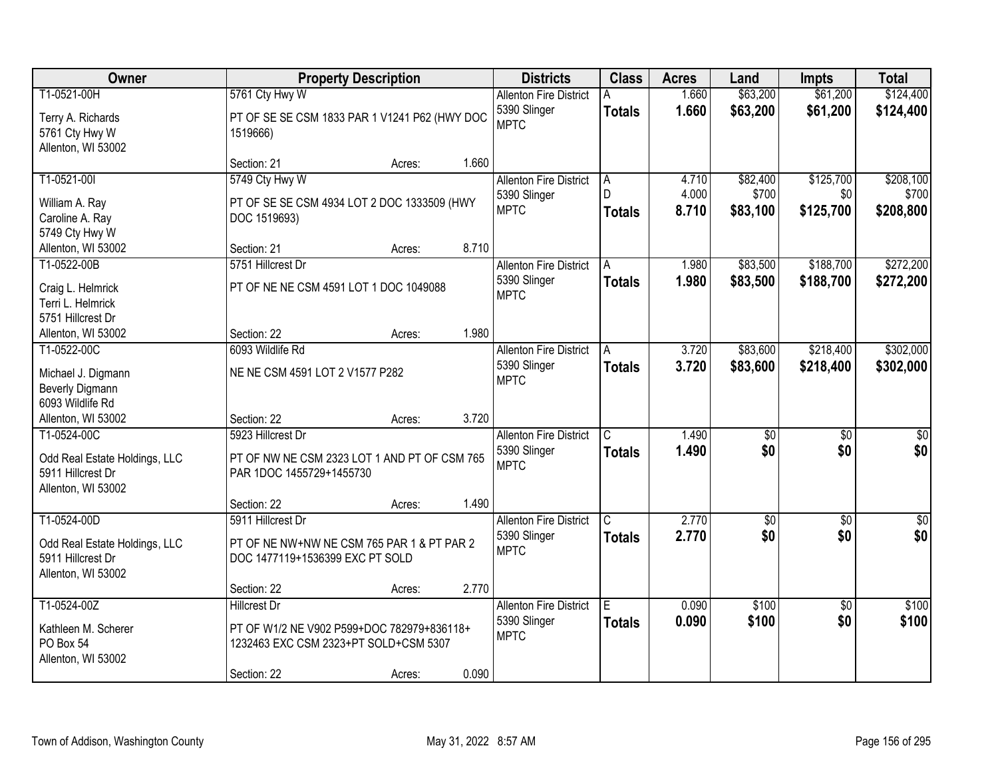| Owner                         |                                               | <b>Property Description</b> |       | <b>Districts</b>              | <b>Class</b>  | <b>Acres</b> | Land            | <b>Impts</b>    | <b>Total</b>    |
|-------------------------------|-----------------------------------------------|-----------------------------|-------|-------------------------------|---------------|--------------|-----------------|-----------------|-----------------|
| T1-0521-00H                   | 5761 Cty Hwy W                                |                             |       | <b>Allenton Fire District</b> |               | 1.660        | \$63,200        | \$61,200        | \$124,400       |
| Terry A. Richards             | PT OF SE SE CSM 1833 PAR 1 V1241 P62 (HWY DOC |                             |       | 5390 Slinger                  | <b>Totals</b> | 1.660        | \$63,200        | \$61,200        | \$124,400       |
| 5761 Cty Hwy W                | 1519666)                                      |                             |       | <b>MPTC</b>                   |               |              |                 |                 |                 |
| Allenton, WI 53002            |                                               |                             |       |                               |               |              |                 |                 |                 |
|                               | Section: 21                                   | Acres:                      | 1.660 |                               |               |              |                 |                 |                 |
| T1-0521-00I                   | 5749 Cty Hwy W                                |                             |       | <b>Allenton Fire District</b> | A             | 4.710        | \$82,400        | \$125,700       | \$208,100       |
| William A. Ray                | PT OF SE SE CSM 4934 LOT 2 DOC 1333509 (HWY   |                             |       | 5390 Slinger                  | D.            | 4.000        | \$700           | \$0             | \$700           |
| Caroline A. Ray               | DOC 1519693)                                  |                             |       | <b>MPTC</b>                   | Totals        | 8.710        | \$83,100        | \$125,700       | \$208,800       |
| 5749 Cty Hwy W                |                                               |                             |       |                               |               |              |                 |                 |                 |
| Allenton, WI 53002            | Section: 21                                   | Acres:                      | 8.710 |                               |               |              |                 |                 |                 |
| T1-0522-00B                   | 5751 Hillcrest Dr                             |                             |       | <b>Allenton Fire District</b> | A             | 1.980        | \$83,500        | \$188,700       | \$272,200       |
| Craig L. Helmrick             | PT OF NE NE CSM 4591 LOT 1 DOC 1049088        |                             |       | 5390 Slinger                  | <b>Totals</b> | 1.980        | \$83,500        | \$188,700       | \$272,200       |
| Terri L. Helmrick             |                                               |                             |       | <b>MPTC</b>                   |               |              |                 |                 |                 |
| 5751 Hillcrest Dr             |                                               |                             |       |                               |               |              |                 |                 |                 |
| Allenton, WI 53002            | Section: 22                                   | Acres:                      | 1.980 |                               |               |              |                 |                 |                 |
| T1-0522-00C                   | 6093 Wildlife Rd                              |                             |       | <b>Allenton Fire District</b> | A             | 3.720        | \$83,600        | \$218,400       | \$302,000       |
| Michael J. Digmann            | NE NE CSM 4591 LOT 2 V1577 P282               |                             |       | 5390 Slinger                  | <b>Totals</b> | 3.720        | \$83,600        | \$218,400       | \$302,000       |
| <b>Beverly Digmann</b>        |                                               |                             |       | <b>MPTC</b>                   |               |              |                 |                 |                 |
| 6093 Wildlife Rd              |                                               |                             |       |                               |               |              |                 |                 |                 |
| Allenton, WI 53002            | Section: 22                                   | Acres:                      | 3.720 |                               |               |              |                 |                 |                 |
| T1-0524-00C                   | 5923 Hillcrest Dr                             |                             |       | <b>Allenton Fire District</b> | C             | 1.490        | $\overline{50}$ | $\overline{30}$ | $\overline{30}$ |
| Odd Real Estate Holdings, LLC | PT OF NW NE CSM 2323 LOT 1 AND PT OF CSM 765  |                             |       | 5390 Slinger                  | <b>Totals</b> | 1.490        | \$0             | \$0             | \$0             |
| 5911 Hillcrest Dr             | PAR 1DOC 1455729+1455730                      |                             |       | <b>MPTC</b>                   |               |              |                 |                 |                 |
| Allenton, WI 53002            |                                               |                             |       |                               |               |              |                 |                 |                 |
|                               | Section: 22                                   | Acres:                      | 1.490 |                               |               |              |                 |                 |                 |
| T1-0524-00D                   | 5911 Hillcrest Dr                             |                             |       | <b>Allenton Fire District</b> | C.            | 2.770        | $\overline{60}$ | $\sqrt{6}$      | $\sqrt{50}$     |
| Odd Real Estate Holdings, LLC | PT OF NE NW+NW NE CSM 765 PAR 1 & PT PAR 2    |                             |       | 5390 Slinger                  | <b>Totals</b> | 2.770        | \$0             | \$0             | \$0             |
| 5911 Hillcrest Dr             | DOC 1477119+1536399 EXC PT SOLD               |                             |       | <b>MPTC</b>                   |               |              |                 |                 |                 |
| Allenton, WI 53002            |                                               |                             |       |                               |               |              |                 |                 |                 |
|                               | Section: 22                                   | Acres:                      | 2.770 |                               |               |              |                 |                 |                 |
| T1-0524-00Z                   | <b>Hillcrest Dr</b>                           |                             |       | <b>Allenton Fire District</b> | E             | 0.090        | \$100           | $\overline{50}$ | \$100           |
| Kathleen M. Scherer           | PT OF W1/2 NE V902 P599+DOC 782979+836118+    |                             |       | 5390 Slinger                  | <b>Totals</b> | 0.090        | \$100           | \$0             | \$100           |
| PO Box 54                     | 1232463 EXC CSM 2323+PT SOLD+CSM 5307         |                             |       | <b>MPTC</b>                   |               |              |                 |                 |                 |
| Allenton, WI 53002            |                                               |                             |       |                               |               |              |                 |                 |                 |
|                               | Section: 22                                   | Acres:                      | 0.090 |                               |               |              |                 |                 |                 |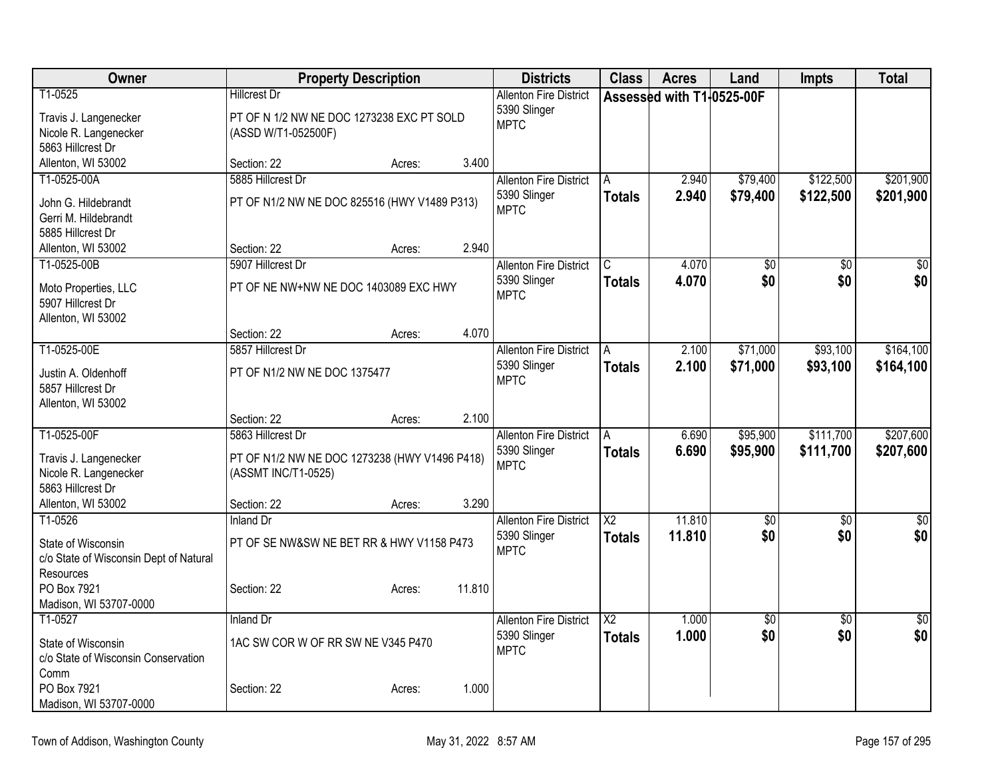| Owner                                     |                                               | <b>Property Description</b> |        | <b>Districts</b>              | <b>Class</b>           | <b>Acres</b>              | Land            | <b>Impts</b>    | <b>Total</b>           |
|-------------------------------------------|-----------------------------------------------|-----------------------------|--------|-------------------------------|------------------------|---------------------------|-----------------|-----------------|------------------------|
| T1-0525                                   | <b>Hillcrest Dr</b>                           |                             |        | <b>Allenton Fire District</b> |                        | Assessed with T1-0525-00F |                 |                 |                        |
| Travis J. Langenecker                     | PT OF N 1/2 NW NE DOC 1273238 EXC PT SOLD     |                             |        | 5390 Slinger                  |                        |                           |                 |                 |                        |
| Nicole R. Langenecker                     | (ASSD W/T1-052500F)                           |                             |        | <b>MPTC</b>                   |                        |                           |                 |                 |                        |
| 5863 Hillcrest Dr                         |                                               |                             |        |                               |                        |                           |                 |                 |                        |
| Allenton, WI 53002                        | Section: 22                                   | Acres:                      | 3.400  |                               |                        |                           |                 |                 |                        |
| T1-0525-00A                               | 5885 Hillcrest Dr                             |                             |        | <b>Allenton Fire District</b> | A                      | 2.940                     | \$79,400        | \$122,500       | \$201,900              |
| John G. Hildebrandt                       | PT OF N1/2 NW NE DOC 825516 (HWY V1489 P313)  |                             |        | 5390 Slinger                  | <b>Totals</b>          | 2.940                     | \$79,400        | \$122,500       | \$201,900              |
| Gerri M. Hildebrandt                      |                                               |                             |        | <b>MPTC</b>                   |                        |                           |                 |                 |                        |
| 5885 Hillcrest Dr                         |                                               |                             |        |                               |                        |                           |                 |                 |                        |
| Allenton, WI 53002                        | Section: 22                                   | Acres:                      | 2.940  |                               |                        |                           |                 |                 |                        |
| T1-0525-00B                               | 5907 Hillcrest Dr                             |                             |        | <b>Allenton Fire District</b> | C.                     | 4.070                     | $\overline{50}$ | \$0             | $\sqrt{50}$            |
|                                           | PT OF NE NW+NW NE DOC 1403089 EXC HWY         |                             |        | 5390 Slinger                  | Totals                 | 4.070                     | \$0             | \$0             | \$0                    |
| Moto Properties, LLC<br>5907 Hillcrest Dr |                                               |                             |        | <b>MPTC</b>                   |                        |                           |                 |                 |                        |
| Allenton, WI 53002                        |                                               |                             |        |                               |                        |                           |                 |                 |                        |
|                                           | Section: 22                                   | Acres:                      | 4.070  |                               |                        |                           |                 |                 |                        |
| T1-0525-00E                               | 5857 Hillcrest Dr                             |                             |        | <b>Allenton Fire District</b> | A                      | 2.100                     | \$71,000        | \$93,100        | \$164,100              |
|                                           |                                               |                             |        | 5390 Slinger                  | Totals                 | 2.100                     | \$71,000        | \$93,100        | \$164,100              |
| Justin A. Oldenhoff                       | PT OF N1/2 NW NE DOC 1375477                  |                             |        | <b>MPTC</b>                   |                        |                           |                 |                 |                        |
| 5857 Hillcrest Dr<br>Allenton, WI 53002   |                                               |                             |        |                               |                        |                           |                 |                 |                        |
|                                           | Section: 22                                   | Acres:                      | 2.100  |                               |                        |                           |                 |                 |                        |
| T1-0525-00F                               | 5863 Hillcrest Dr                             |                             |        | <b>Allenton Fire District</b> | A                      | 6.690                     | \$95,900        | \$111,700       | \$207,600              |
|                                           |                                               |                             |        | 5390 Slinger                  | Totals                 | 6.690                     | \$95,900        | \$111,700       | \$207,600              |
| Travis J. Langenecker                     | PT OF N1/2 NW NE DOC 1273238 (HWY V1496 P418) |                             |        | <b>MPTC</b>                   |                        |                           |                 |                 |                        |
| Nicole R. Langenecker                     | (ASSMT INC/T1-0525)                           |                             |        |                               |                        |                           |                 |                 |                        |
| 5863 Hillcrest Dr                         |                                               |                             | 3.290  |                               |                        |                           |                 |                 |                        |
| Allenton, WI 53002<br>T1-0526             | Section: 22<br><b>Inland Dr</b>               | Acres:                      |        | <b>Allenton Fire District</b> | $\overline{\text{X2}}$ | 11.810                    | $\overline{50}$ | $\overline{30}$ |                        |
|                                           |                                               |                             |        | 5390 Slinger                  |                        | 11.810                    | \$0             | \$0             | $\overline{50}$<br>\$0 |
| State of Wisconsin                        | PT OF SE NW&SW NE BET RR & HWY V1158 P473     |                             |        | <b>MPTC</b>                   | <b>Totals</b>          |                           |                 |                 |                        |
| c/o State of Wisconsin Dept of Natural    |                                               |                             |        |                               |                        |                           |                 |                 |                        |
| Resources                                 |                                               |                             |        |                               |                        |                           |                 |                 |                        |
| PO Box 7921                               | Section: 22                                   | Acres:                      | 11.810 |                               |                        |                           |                 |                 |                        |
| Madison, WI 53707-0000                    |                                               |                             |        |                               |                        |                           |                 |                 |                        |
| T1-0527                                   | <b>Inland Dr</b>                              |                             |        | <b>Allenton Fire District</b> | $\overline{X2}$        | 1.000                     | $\sqrt{$0}$     | $\overline{50}$ | $\sqrt{50}$            |
| State of Wisconsin                        | 1AC SW COR W OF RR SW NE V345 P470            |                             |        | 5390 Slinger<br><b>MPTC</b>   | <b>Totals</b>          | 1.000                     | \$0             | \$0             | \$0                    |
| c/o State of Wisconsin Conservation       |                                               |                             |        |                               |                        |                           |                 |                 |                        |
| Comm                                      |                                               |                             |        |                               |                        |                           |                 |                 |                        |
| PO Box 7921                               | Section: 22                                   | Acres:                      | 1.000  |                               |                        |                           |                 |                 |                        |
| Madison, WI 53707-0000                    |                                               |                             |        |                               |                        |                           |                 |                 |                        |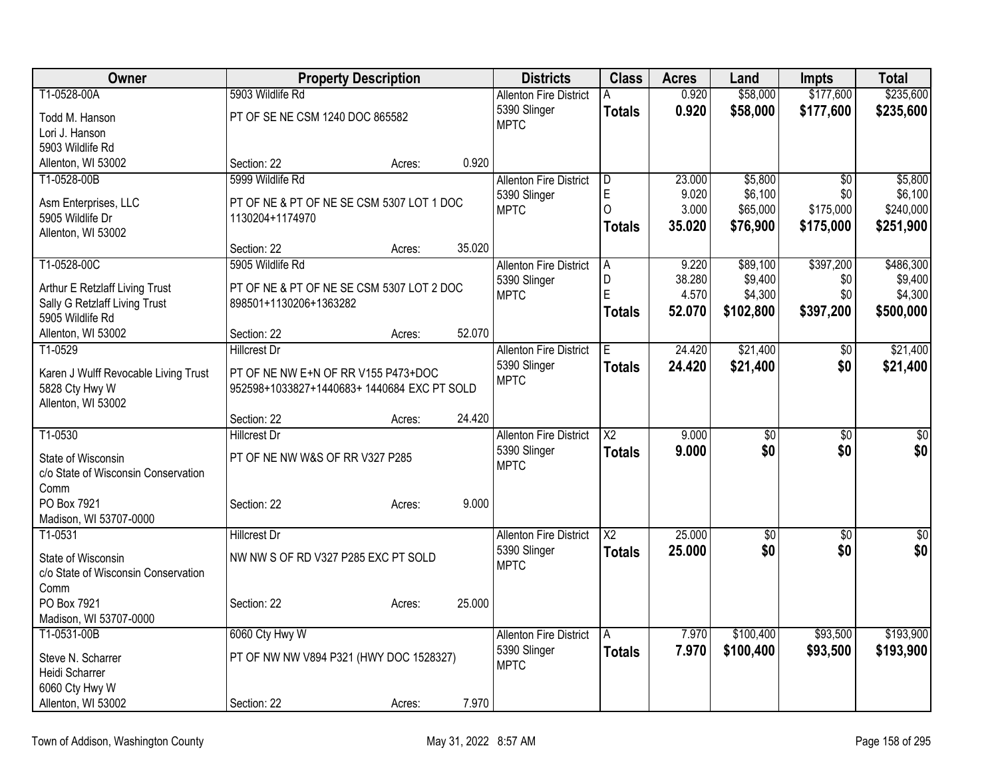| Owner                                                           | <b>Property Description</b>                 |        |        | <b>Districts</b>              | <b>Class</b>           | <b>Acres</b> | Land            | <b>Impts</b>    | <b>Total</b> |
|-----------------------------------------------------------------|---------------------------------------------|--------|--------|-------------------------------|------------------------|--------------|-----------------|-----------------|--------------|
| T1-0528-00A                                                     | 5903 Wildlife Rd                            |        |        | <b>Allenton Fire District</b> | А                      | 0.920        | \$58,000        | \$177,600       | \$235,600    |
| Todd M. Hanson                                                  | PT OF SE NE CSM 1240 DOC 865582             |        |        | 5390 Slinger                  | <b>Totals</b>          | 0.920        | \$58,000        | \$177,600       | \$235,600    |
| Lori J. Hanson                                                  |                                             |        |        | <b>MPTC</b>                   |                        |              |                 |                 |              |
| 5903 Wildlife Rd                                                |                                             |        |        |                               |                        |              |                 |                 |              |
| Allenton, WI 53002                                              | Section: 22                                 | Acres: | 0.920  |                               |                        |              |                 |                 |              |
| T1-0528-00B                                                     | 5999 Wildlife Rd                            |        |        | <b>Allenton Fire District</b> | D                      | 23.000       | \$5,800         | $\overline{50}$ | \$5,800      |
| Asm Enterprises, LLC                                            | PT OF NE & PT OF NE SE CSM 5307 LOT 1 DOC   |        |        | 5390 Slinger                  | E                      | 9.020        | \$6,100         | \$0             | \$6,100      |
| 5905 Wildlife Dr                                                | 1130204+1174970                             |        |        | <b>MPTC</b>                   | $\overline{O}$         | 3.000        | \$65,000        | \$175,000       | \$240,000    |
| Allenton, WI 53002                                              |                                             |        |        |                               | <b>Totals</b>          | 35.020       | \$76,900        | \$175,000       | \$251,900    |
|                                                                 | Section: 22                                 | Acres: | 35.020 |                               |                        |              |                 |                 |              |
| T1-0528-00C                                                     | 5905 Wildlife Rd                            |        |        | <b>Allenton Fire District</b> | A                      | 9.220        | \$89,100        | \$397,200       | \$486,300    |
|                                                                 | PT OF NE & PT OF NE SE CSM 5307 LOT 2 DOC   |        |        | 5390 Slinger                  | D                      | 38.280       | \$9,400         | \$0             | \$9,400      |
| Arthur E Retzlaff Living Trust<br>Sally G Retzlaff Living Trust | 898501+1130206+1363282                      |        |        | <b>MPTC</b>                   | E                      | 4.570        | \$4,300         | \$0             | \$4,300      |
| 5905 Wildlife Rd                                                |                                             |        |        |                               | <b>Totals</b>          | 52.070       | \$102,800       | \$397,200       | \$500,000    |
| Allenton, WI 53002                                              | Section: 22                                 | Acres: | 52.070 |                               |                        |              |                 |                 |              |
| T1-0529                                                         | <b>Hillcrest Dr</b>                         |        |        | <b>Allenton Fire District</b> | E                      | 24.420       | \$21,400        | \$0             | \$21,400     |
|                                                                 |                                             |        |        | 5390 Slinger                  | <b>Totals</b>          | 24.420       | \$21,400        | \$0             | \$21,400     |
| Karen J Wulff Revocable Living Trust                            | PT OF NE NW E+N OF RR V155 P473+DOC         |        |        | <b>MPTC</b>                   |                        |              |                 |                 |              |
| 5828 Cty Hwy W                                                  | 952598+1033827+1440683+ 1440684 EXC PT SOLD |        |        |                               |                        |              |                 |                 |              |
| Allenton, WI 53002                                              |                                             |        |        |                               |                        |              |                 |                 |              |
| T1-0530                                                         | Section: 22<br><b>Hillcrest Dr</b>          | Acres: | 24.420 | <b>Allenton Fire District</b> | $\overline{\text{X2}}$ | 9.000        | $\overline{50}$ | $\overline{50}$ | $\sqrt{50}$  |
|                                                                 |                                             |        |        | 5390 Slinger                  |                        | 9.000        | \$0             | \$0             |              |
| State of Wisconsin                                              | PT OF NE NW W&S OF RR V327 P285             |        |        | <b>MPTC</b>                   | <b>Totals</b>          |              |                 |                 | \$0          |
| c/o State of Wisconsin Conservation                             |                                             |        |        |                               |                        |              |                 |                 |              |
| Comm                                                            |                                             |        |        |                               |                        |              |                 |                 |              |
| PO Box 7921                                                     | Section: 22                                 | Acres: | 9.000  |                               |                        |              |                 |                 |              |
| Madison, WI 53707-0000                                          |                                             |        |        |                               |                        |              |                 |                 |              |
| T1-0531                                                         | <b>Hillcrest Dr</b>                         |        |        | <b>Allenton Fire District</b> | $\overline{X2}$        | 25.000       | $\sqrt{6}$      | $\overline{50}$ | $\sqrt{50}$  |
| State of Wisconsin                                              | NW NW S OF RD V327 P285 EXC PT SOLD         |        |        | 5390 Slinger                  | <b>Totals</b>          | 25.000       | \$0             | \$0             | \$0          |
| c/o State of Wisconsin Conservation                             |                                             |        |        | <b>MPTC</b>                   |                        |              |                 |                 |              |
| Comm                                                            |                                             |        |        |                               |                        |              |                 |                 |              |
| PO Box 7921                                                     | Section: 22                                 | Acres: | 25.000 |                               |                        |              |                 |                 |              |
| Madison, WI 53707-0000                                          |                                             |        |        |                               |                        |              |                 |                 |              |
| T1-0531-00B                                                     | 6060 Cty Hwy W                              |        |        | <b>Allenton Fire District</b> | A                      | 7.970        | \$100,400       | \$93,500        | \$193,900    |
| Steve N. Scharrer                                               | PT OF NW NW V894 P321 (HWY DOC 1528327)     |        |        | 5390 Slinger                  | <b>Totals</b>          | 7.970        | \$100,400       | \$93,500        | \$193,900    |
| Heidi Scharrer                                                  |                                             |        |        | <b>MPTC</b>                   |                        |              |                 |                 |              |
| 6060 Cty Hwy W                                                  |                                             |        |        |                               |                        |              |                 |                 |              |
| Allenton, WI 53002                                              | Section: 22                                 | Acres: | 7.970  |                               |                        |              |                 |                 |              |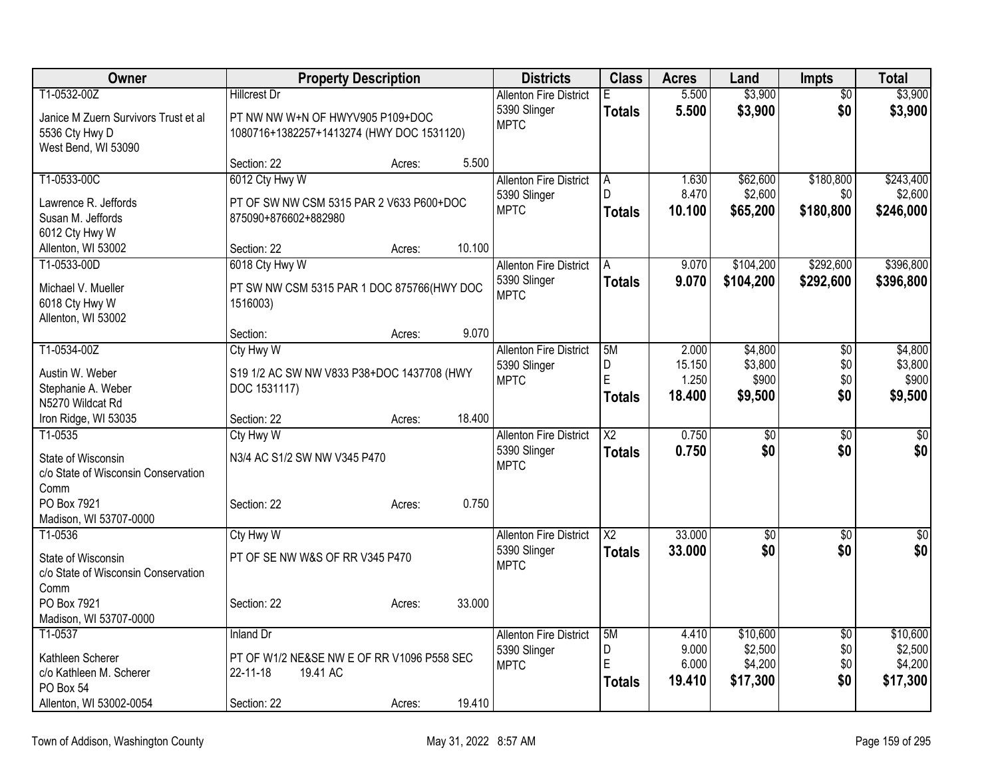| Owner                                | <b>Property Description</b>                |        |        | <b>Districts</b>                              | <b>Class</b>           | <b>Acres</b>   | Land                | <b>Impts</b>           | <b>Total</b>        |
|--------------------------------------|--------------------------------------------|--------|--------|-----------------------------------------------|------------------------|----------------|---------------------|------------------------|---------------------|
| T1-0532-00Z                          | <b>Hillcrest Dr</b>                        |        |        | <b>Allenton Fire District</b>                 | E                      | 5.500          | \$3,900             | \$0                    | \$3,900             |
| Janice M Zuern Survivors Trust et al | PT NW NW W+N OF HWYV905 P109+DOC           |        |        | 5390 Slinger                                  | <b>Totals</b>          | 5.500          | \$3,900             | \$0                    | \$3,900             |
| 5536 Cty Hwy D                       | 1080716+1382257+1413274 (HWY DOC 1531120)  |        |        | <b>MPTC</b>                                   |                        |                |                     |                        |                     |
| West Bend, WI 53090                  |                                            |        |        |                                               |                        |                |                     |                        |                     |
|                                      | Section: 22                                | Acres: | 5.500  |                                               |                        |                |                     |                        |                     |
| T1-0533-00C                          | 6012 Cty Hwy W                             |        |        | <b>Allenton Fire District</b>                 | A                      | 1.630          | \$62,600            | \$180,800              | \$243,400           |
| Lawrence R. Jeffords                 | PT OF SW NW CSM 5315 PAR 2 V633 P600+DOC   |        |        | 5390 Slinger                                  | D                      | 8.470          | \$2,600             | \$0                    | \$2,600             |
| Susan M. Jeffords                    | 875090+876602+882980                       |        |        | <b>MPTC</b>                                   | <b>Totals</b>          | 10.100         | \$65,200            | \$180,800              | \$246,000           |
| 6012 Cty Hwy W                       |                                            |        |        |                                               |                        |                |                     |                        |                     |
| Allenton, WI 53002                   | Section: 22                                | Acres: | 10.100 |                                               |                        |                |                     |                        |                     |
| T1-0533-00D                          | 6018 Cty Hwy W                             |        |        | <b>Allenton Fire District</b>                 | A                      | 9.070          | \$104,200           | \$292,600              | \$396,800           |
| Michael V. Mueller                   | PT SW NW CSM 5315 PAR 1 DOC 875766(HWY DOC |        |        | 5390 Slinger                                  | <b>Totals</b>          | 9.070          | \$104,200           | \$292,600              | \$396,800           |
| 6018 Cty Hwy W                       | 1516003)                                   |        |        | <b>MPTC</b>                                   |                        |                |                     |                        |                     |
| Allenton, WI 53002                   |                                            |        |        |                                               |                        |                |                     |                        |                     |
|                                      | Section:                                   | Acres: | 9.070  |                                               |                        |                |                     |                        |                     |
| T1-0534-00Z                          | Cty Hwy W                                  |        |        | <b>Allenton Fire District</b>                 | 5M                     | 2.000          | \$4,800             | \$0                    | \$4,800             |
| Austin W. Weber                      | S19 1/2 AC SW NW V833 P38+DOC 1437708 (HWY |        |        | 5390 Slinger                                  | D                      | 15.150         | \$3,800             | \$0                    | \$3,800             |
| Stephanie A. Weber                   | DOC 1531117)                               |        |        | <b>MPTC</b>                                   | E                      | 1.250          | \$900               | \$0                    | \$900               |
| N5270 Wildcat Rd                     |                                            |        |        |                                               | <b>Totals</b>          | 18.400         | \$9,500             | \$0                    | \$9,500             |
| Iron Ridge, WI 53035                 | Section: 22                                | Acres: | 18.400 |                                               |                        |                |                     |                        |                     |
| T1-0535                              | Cty Hwy W                                  |        |        | <b>Allenton Fire District</b>                 | $\overline{X2}$        | 0.750          | $\overline{50}$     | $\overline{50}$        | $\overline{50}$     |
| State of Wisconsin                   | N3/4 AC S1/2 SW NW V345 P470               |        |        | 5390 Slinger                                  | <b>Totals</b>          | 0.750          | \$0                 | \$0                    | \$0                 |
| c/o State of Wisconsin Conservation  |                                            |        |        | <b>MPTC</b>                                   |                        |                |                     |                        |                     |
| Comm                                 |                                            |        |        |                                               |                        |                |                     |                        |                     |
| PO Box 7921                          | Section: 22                                | Acres: | 0.750  |                                               |                        |                |                     |                        |                     |
| Madison, WI 53707-0000               |                                            |        |        |                                               |                        |                |                     |                        |                     |
| T1-0536                              | Cty Hwy W                                  |        |        | <b>Allenton Fire District</b>                 | $\overline{\text{X2}}$ | 33.000         | $\overline{30}$     | $\overline{50}$        | $\sqrt{50}$         |
| State of Wisconsin                   | PT OF SE NW W&S OF RR V345 P470            |        |        | 5390 Slinger<br><b>MPTC</b>                   | <b>Totals</b>          | 33.000         | \$0                 | \$0                    | \$0                 |
| c/o State of Wisconsin Conservation  |                                            |        |        |                                               |                        |                |                     |                        |                     |
| Comm                                 |                                            |        |        |                                               |                        |                |                     |                        |                     |
| PO Box 7921                          | Section: 22                                | Acres: | 33.000 |                                               |                        |                |                     |                        |                     |
| Madison, WI 53707-0000               |                                            |        |        |                                               |                        |                |                     |                        |                     |
| T1-0537                              | <b>Inland Dr</b>                           |        |        | <b>Allenton Fire District</b><br>5390 Slinger | 5M<br>D                | 4.410<br>9.000 | \$10,600<br>\$2,500 | $\overline{50}$<br>\$0 | \$10,600<br>\$2,500 |
| Kathleen Scherer                     | PT OF W1/2 NE&SE NW E OF RR V1096 P558 SEC |        |        | <b>MPTC</b>                                   | E                      | 6.000          | \$4,200             | \$0                    | \$4,200             |
| c/o Kathleen M. Scherer              | 22-11-18<br>19.41 AC                       |        |        |                                               | <b>Totals</b>          | 19.410         | \$17,300            | \$0                    | \$17,300            |
| PO Box 54                            |                                            |        |        |                                               |                        |                |                     |                        |                     |
| Allenton, WI 53002-0054              | Section: 22                                | Acres: | 19.410 |                                               |                        |                |                     |                        |                     |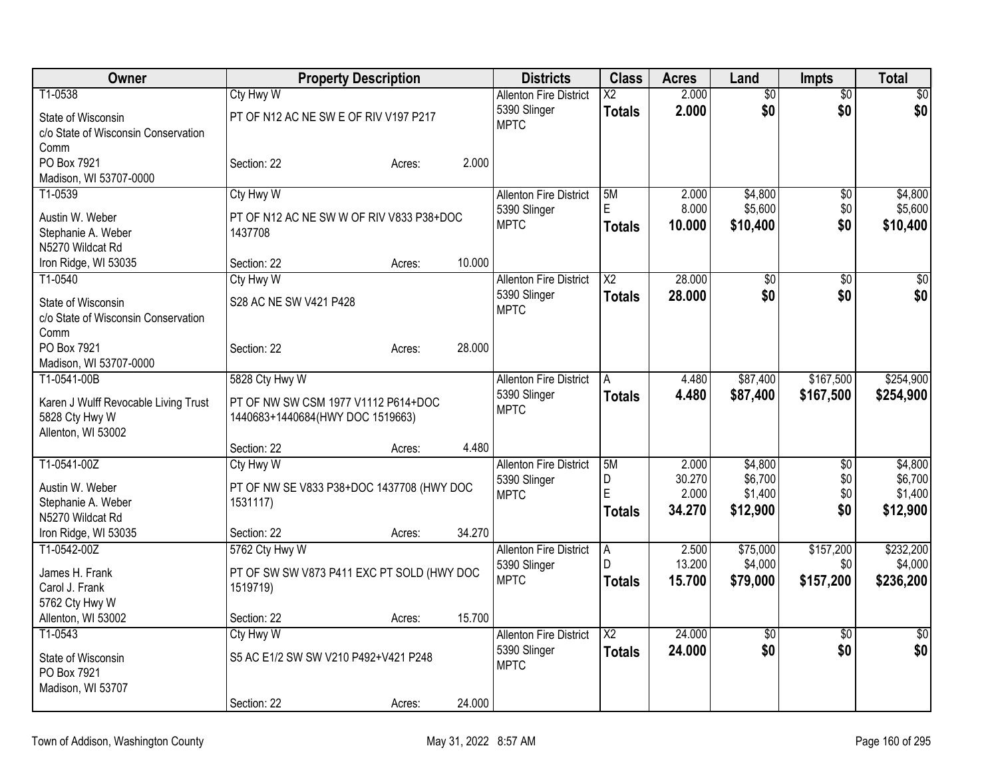| Owner                                       | <b>Property Description</b>                |        |        | <b>Districts</b>                              | <b>Class</b>             | <b>Acres</b>    | Land                | <b>Impts</b>     | <b>Total</b>         |
|---------------------------------------------|--------------------------------------------|--------|--------|-----------------------------------------------|--------------------------|-----------------|---------------------|------------------|----------------------|
| T1-0538                                     | Cty Hwy W                                  |        |        | <b>Allenton Fire District</b>                 | $\overline{\mathsf{x2}}$ | 2.000           | $\overline{60}$     | $\overline{50}$  | $\overline{\$0}$     |
| State of Wisconsin                          | PT OF N12 AC NE SW E OF RIV V197 P217      |        |        | 5390 Slinger                                  | <b>Totals</b>            | 2.000           | \$0                 | \$0              | \$0                  |
| c/o State of Wisconsin Conservation         |                                            |        |        | <b>MPTC</b>                                   |                          |                 |                     |                  |                      |
| Comm                                        |                                            |        |        |                                               |                          |                 |                     |                  |                      |
| PO Box 7921                                 | Section: 22                                | Acres: | 2.000  |                                               |                          |                 |                     |                  |                      |
| Madison, WI 53707-0000<br>T1-0539           |                                            |        |        |                                               |                          |                 |                     |                  |                      |
|                                             | Cty Hwy W                                  |        |        | <b>Allenton Fire District</b><br>5390 Slinger | 5M<br>E                  | 2.000<br>8.000  | \$4,800<br>\$5,600  | \$0<br>\$0       | \$4,800<br>\$5,600   |
| Austin W. Weber                             | PT OF N12 AC NE SW W OF RIV V833 P38+DOC   |        |        | <b>MPTC</b>                                   | <b>Totals</b>            | 10.000          | \$10,400            | \$0              | \$10,400             |
| Stephanie A. Weber                          | 1437708                                    |        |        |                                               |                          |                 |                     |                  |                      |
| N5270 Wildcat Rd                            | Section: 22                                |        | 10.000 |                                               |                          |                 |                     |                  |                      |
| Iron Ridge, WI 53035<br>T1-0540             | Cty Hwy W                                  | Acres: |        | <b>Allenton Fire District</b>                 | $\overline{\text{X2}}$   | 28,000          | $\overline{50}$     | \$0              | $\sqrt{50}$          |
|                                             |                                            |        |        | 5390 Slinger                                  | <b>Totals</b>            | 28,000          | \$0                 | \$0              | \$0                  |
| State of Wisconsin                          | S28 AC NE SW V421 P428                     |        |        | <b>MPTC</b>                                   |                          |                 |                     |                  |                      |
| c/o State of Wisconsin Conservation<br>Comm |                                            |        |        |                                               |                          |                 |                     |                  |                      |
| PO Box 7921                                 | Section: 22                                | Acres: | 28.000 |                                               |                          |                 |                     |                  |                      |
| Madison, WI 53707-0000                      |                                            |        |        |                                               |                          |                 |                     |                  |                      |
| T1-0541-00B                                 | 5828 Cty Hwy W                             |        |        | <b>Allenton Fire District</b>                 | A                        | 4.480           | \$87,400            | \$167,500        | \$254,900            |
| Karen J Wulff Revocable Living Trust        | PT OF NW SW CSM 1977 V1112 P614+DOC        |        |        | 5390 Slinger                                  | <b>Totals</b>            | 4.480           | \$87,400            | \$167,500        | \$254,900            |
| 5828 Cty Hwy W                              | 1440683+1440684(HWY DOC 1519663)           |        |        | <b>MPTC</b>                                   |                          |                 |                     |                  |                      |
| Allenton, WI 53002                          |                                            |        |        |                                               |                          |                 |                     |                  |                      |
|                                             | Section: 22                                | Acres: | 4.480  |                                               |                          |                 |                     |                  |                      |
| T1-0541-00Z                                 | <b>Cty Hwy W</b>                           |        |        | <b>Allenton Fire District</b>                 | 5M                       | 2.000           | \$4,800             | \$0              | \$4,800              |
| Austin W. Weber                             | PT OF NW SE V833 P38+DOC 1437708 (HWY DOC  |        |        | 5390 Slinger                                  | D<br>E                   | 30.270<br>2.000 | \$6,700             | \$0              | \$6,700              |
| Stephanie A. Weber                          | 1531117)                                   |        |        | <b>MPTC</b>                                   |                          | 34.270          | \$1,400<br>\$12,900 | \$0<br>\$0       | \$1,400<br>\$12,900  |
| N5270 Wildcat Rd                            |                                            |        |        |                                               | <b>Totals</b>            |                 |                     |                  |                      |
| Iron Ridge, WI 53035                        | Section: 22                                | Acres: | 34.270 |                                               |                          |                 |                     |                  |                      |
| T1-0542-00Z                                 | 5762 Cty Hwy W                             |        |        | <b>Allenton Fire District</b>                 | A<br>D                   | 2.500<br>13.200 | \$75,000<br>\$4,000 | \$157,200<br>\$0 | \$232,200<br>\$4,000 |
| James H. Frank                              | PT OF SW SW V873 P411 EXC PT SOLD (HWY DOC |        |        | 5390 Slinger<br><b>MPTC</b>                   | Totals                   | 15.700          | \$79,000            | \$157,200        | \$236,200            |
| Carol J. Frank                              | 1519719)                                   |        |        |                                               |                          |                 |                     |                  |                      |
| 5762 Cty Hwy W                              |                                            |        |        |                                               |                          |                 |                     |                  |                      |
| Allenton, WI 53002<br>T1-0543               | Section: 22                                | Acres: | 15.700 | <b>Allenton Fire District</b>                 | $\overline{X2}$          | 24.000          | $\overline{50}$     | $\overline{50}$  |                      |
|                                             | Cty Hwy W                                  |        |        | 5390 Slinger                                  | <b>Totals</b>            | 24.000          | \$0                 | \$0              | $\sqrt{30}$<br>\$0   |
| State of Wisconsin                          | S5 AC E1/2 SW SW V210 P492+V421 P248       |        |        | <b>MPTC</b>                                   |                          |                 |                     |                  |                      |
| PO Box 7921                                 |                                            |        |        |                                               |                          |                 |                     |                  |                      |
| Madison, WI 53707                           | Section: 22                                | Acres: | 24.000 |                                               |                          |                 |                     |                  |                      |
|                                             |                                            |        |        |                                               |                          |                 |                     |                  |                      |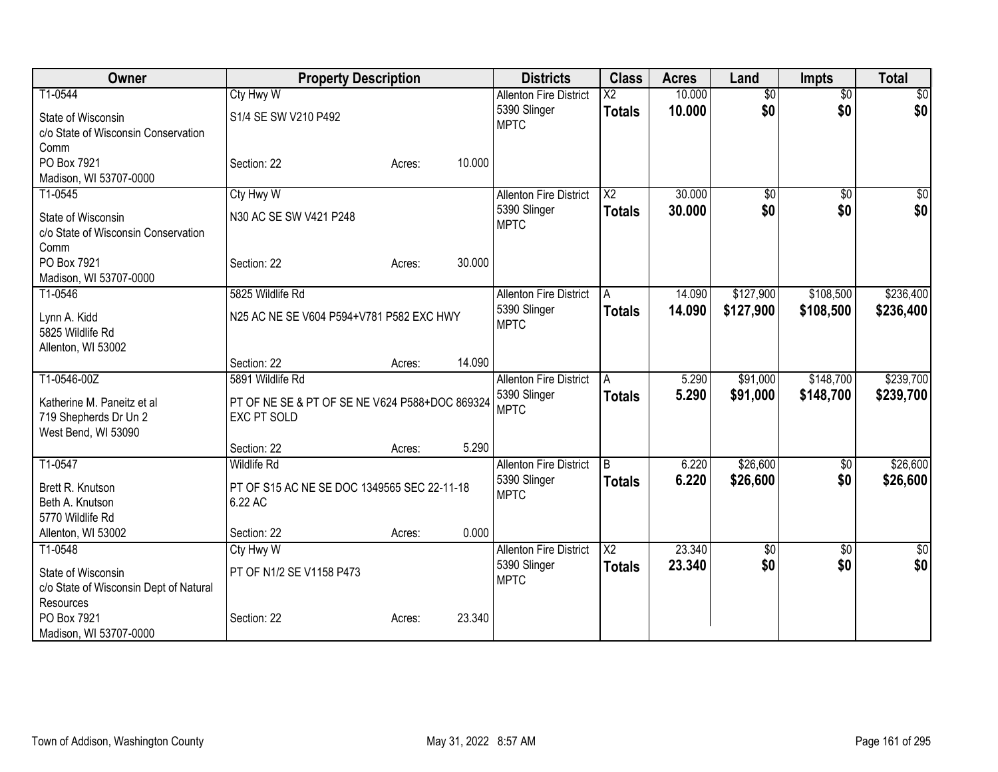| Owner                                                                      | <b>Property Description</b>                                          |                  | <b>Districts</b>                              | <b>Class</b>                            | <b>Acres</b>     | Land                   | <b>Impts</b>           | <b>Total</b>       |
|----------------------------------------------------------------------------|----------------------------------------------------------------------|------------------|-----------------------------------------------|-----------------------------------------|------------------|------------------------|------------------------|--------------------|
| T1-0544<br>State of Wisconsin                                              | <b>Cty Hwy W</b><br>S1/4 SE SW V210 P492                             |                  | <b>Allenton Fire District</b><br>5390 Slinger | $\overline{\text{X2}}$<br><b>Totals</b> | 10.000<br>10.000 | $\overline{30}$<br>\$0 | $\overline{50}$<br>\$0 | $\sqrt{30}$<br>\$0 |
| c/o State of Wisconsin Conservation<br>Comm                                |                                                                      |                  | <b>MPTC</b>                                   |                                         |                  |                        |                        |                    |
| PO Box 7921<br>Madison, WI 53707-0000                                      | Section: 22                                                          | 10.000<br>Acres: |                                               |                                         |                  |                        |                        |                    |
| T1-0545                                                                    | <b>Cty Hwy W</b>                                                     |                  | <b>Allenton Fire District</b><br>5390 Slinger | $\overline{\text{X2}}$                  | 30.000<br>30,000 | $\overline{50}$<br>\$0 | $\overline{50}$        | $\frac{1}{2}$      |
| State of Wisconsin<br>c/o State of Wisconsin Conservation<br>Comm          | N30 AC SE SW V421 P248                                               |                  | <b>MPTC</b>                                   | <b>Totals</b>                           |                  |                        | \$0                    | \$0                |
| PO Box 7921<br>Madison, WI 53707-0000                                      | Section: 22                                                          | 30.000<br>Acres: |                                               |                                         |                  |                        |                        |                    |
| T1-0546                                                                    | 5825 Wildlife Rd                                                     |                  | <b>Allenton Fire District</b>                 | A                                       | 14.090           | \$127,900              | \$108,500              | \$236,400          |
| Lynn A. Kidd<br>5825 Wildlife Rd<br>Allenton, WI 53002                     | N25 AC NE SE V604 P594+V781 P582 EXC HWY                             |                  | 5390 Slinger<br><b>MPTC</b>                   | <b>Totals</b>                           | 14.090           | \$127,900              | \$108,500              | \$236,400          |
|                                                                            | Section: 22                                                          | 14.090<br>Acres: |                                               |                                         |                  |                        |                        |                    |
| T1-0546-00Z                                                                | 5891 Wildlife Rd                                                     |                  | <b>Allenton Fire District</b>                 | A                                       | 5.290            | \$91,000               | \$148,700              | \$239,700          |
| Katherine M. Paneitz et al<br>719 Shepherds Dr Un 2<br>West Bend, WI 53090 | PT OF NE SE & PT OF SE NE V624 P588+DOC 869324<br><b>EXC PT SOLD</b> |                  | 5390 Slinger<br><b>MPTC</b>                   | <b>Totals</b>                           | 5.290            | \$91,000               | \$148,700              | \$239,700          |
|                                                                            | Section: 22                                                          | 5.290<br>Acres:  |                                               |                                         |                  |                        |                        |                    |
| T1-0547                                                                    | <b>Wildlife Rd</b>                                                   |                  | <b>Allenton Fire District</b>                 | B                                       | 6.220            | \$26,600               | \$0                    | \$26,600           |
| Brett R. Knutson<br>Beth A. Knutson<br>5770 Wildlife Rd                    | PT OF S15 AC NE SE DOC 1349565 SEC 22-11-18<br>6.22 AC               |                  | 5390 Slinger<br><b>MPTC</b>                   | <b>Totals</b>                           | 6.220            | \$26,600               | \$0                    | \$26,600           |
| Allenton, WI 53002                                                         | Section: 22                                                          | 0.000<br>Acres:  |                                               |                                         |                  |                        |                        |                    |
| T1-0548                                                                    | <b>Cty Hwy W</b>                                                     |                  | <b>Allenton Fire District</b>                 | $\overline{\text{X2}}$                  | 23.340           | \$0                    | \$0                    | \$0                |
| State of Wisconsin<br>c/o State of Wisconsin Dept of Natural<br>Resources  | PT OF N1/2 SE V1158 P473                                             |                  | 5390 Slinger<br><b>MPTC</b>                   | <b>Totals</b>                           | 23.340           | \$0                    | \$0                    | \$0                |
| PO Box 7921<br>Madison, WI 53707-0000                                      | Section: 22                                                          | 23.340<br>Acres: |                                               |                                         |                  |                        |                        |                    |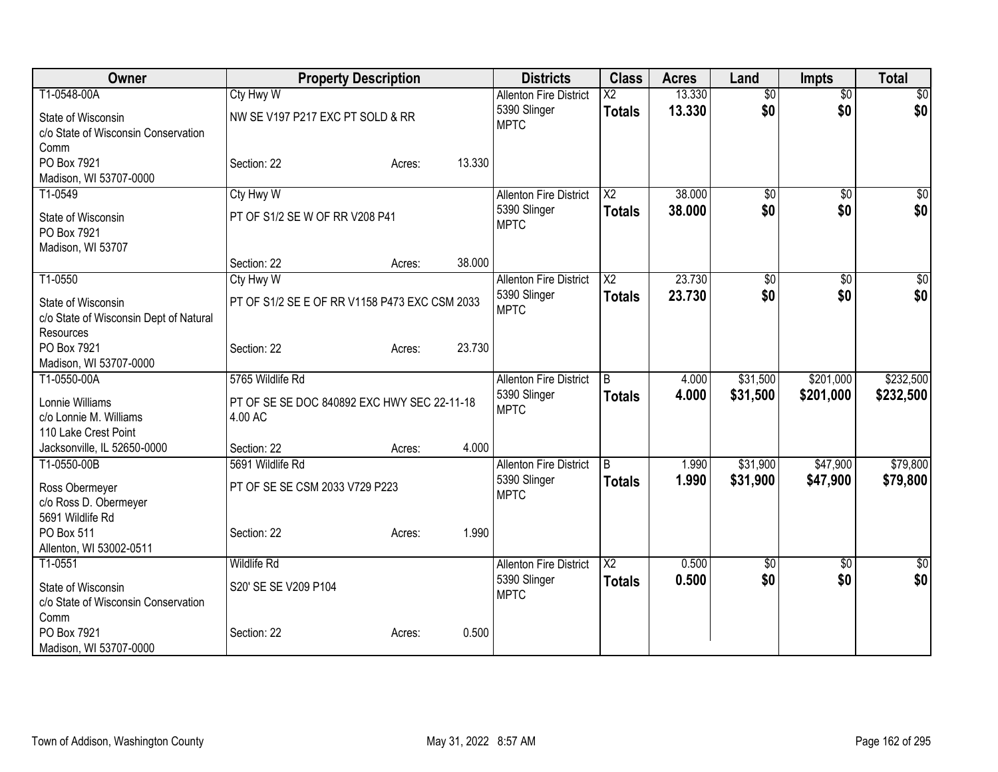| Owner                                   | <b>Property Description</b>                   |        |        | <b>Districts</b>              | <b>Class</b>           | <b>Acres</b> | Land            | <b>Impts</b>    | <b>Total</b>    |
|-----------------------------------------|-----------------------------------------------|--------|--------|-------------------------------|------------------------|--------------|-----------------|-----------------|-----------------|
| T1-0548-00A                             | Cty Hwy W                                     |        |        | <b>Allenton Fire District</b> | X2                     | 13.330       | $\overline{50}$ | $\overline{50}$ | $\overline{30}$ |
| State of Wisconsin                      | NW SE V197 P217 EXC PT SOLD & RR              |        |        | 5390 Slinger                  | <b>Totals</b>          | 13.330       | \$0             | \$0             | \$0             |
| c/o State of Wisconsin Conservation     |                                               |        |        | <b>MPTC</b>                   |                        |              |                 |                 |                 |
| Comm                                    |                                               |        |        |                               |                        |              |                 |                 |                 |
| PO Box 7921                             | Section: 22                                   | Acres: | 13.330 |                               |                        |              |                 |                 |                 |
| Madison, WI 53707-0000                  |                                               |        |        |                               |                        |              |                 |                 |                 |
| T1-0549                                 | Cty Hwy W                                     |        |        | <b>Allenton Fire District</b> | $\overline{\text{X2}}$ | 38.000       | \$0             | \$0             | \$0             |
| State of Wisconsin                      | PT OF S1/2 SE W OF RR V208 P41                |        |        | 5390 Slinger                  | <b>Totals</b>          | 38.000       | \$0             | \$0             | \$0             |
| PO Box 7921                             |                                               |        |        | <b>MPTC</b>                   |                        |              |                 |                 |                 |
| Madison, WI 53707                       |                                               |        |        |                               |                        |              |                 |                 |                 |
|                                         | Section: 22                                   | Acres: | 38.000 |                               |                        |              |                 |                 |                 |
| T1-0550                                 | Cty Hwy W                                     |        |        | <b>Allenton Fire District</b> | $\overline{X2}$        | 23.730       | $\overline{50}$ | $\overline{50}$ | \$0             |
| State of Wisconsin                      | PT OF S1/2 SE E OF RR V1158 P473 EXC CSM 2033 |        |        | 5390 Slinger                  | <b>Totals</b>          | 23.730       | \$0             | \$0             | \$0             |
| c/o State of Wisconsin Dept of Natural  |                                               |        |        | <b>MPTC</b>                   |                        |              |                 |                 |                 |
| Resources                               |                                               |        |        |                               |                        |              |                 |                 |                 |
| PO Box 7921                             | Section: 22                                   | Acres: | 23.730 |                               |                        |              |                 |                 |                 |
| Madison, WI 53707-0000                  |                                               |        |        |                               |                        |              |                 |                 |                 |
| T1-0550-00A                             | 5765 Wildlife Rd                              |        |        | <b>Allenton Fire District</b> | IB.                    | 4.000        | \$31,500        | \$201,000       | \$232,500       |
| Lonnie Williams                         | PT OF SE SE DOC 840892 EXC HWY SEC 22-11-18   |        |        | 5390 Slinger                  | <b>Totals</b>          | 4.000        | \$31,500        | \$201,000       | \$232,500       |
| c/o Lonnie M. Williams                  | 4.00 AC                                       |        |        | <b>MPTC</b>                   |                        |              |                 |                 |                 |
| 110 Lake Crest Point                    |                                               |        |        |                               |                        |              |                 |                 |                 |
| Jacksonville, IL 52650-0000             | Section: 22                                   | Acres: | 4.000  |                               |                        |              |                 |                 |                 |
| T1-0550-00B                             | 5691 Wildlife Rd                              |        |        | <b>Allenton Fire District</b> | $\overline{B}$         | 1.990        | \$31,900        | \$47,900        | \$79,800        |
|                                         | PT OF SE SE CSM 2033 V729 P223                |        |        | 5390 Slinger                  | <b>Totals</b>          | 1.990        | \$31,900        | \$47,900        | \$79,800        |
| Ross Obermeyer<br>c/o Ross D. Obermeyer |                                               |        |        | <b>MPTC</b>                   |                        |              |                 |                 |                 |
| 5691 Wildlife Rd                        |                                               |        |        |                               |                        |              |                 |                 |                 |
| PO Box 511                              | Section: 22                                   | Acres: | 1.990  |                               |                        |              |                 |                 |                 |
| Allenton, WI 53002-0511                 |                                               |        |        |                               |                        |              |                 |                 |                 |
| T1-0551                                 | <b>Wildlife Rd</b>                            |        |        | <b>Allenton Fire District</b> | $\overline{X2}$        | 0.500        | $\overline{50}$ | $\overline{50}$ | $\overline{50}$ |
| State of Wisconsin                      | S20' SE SE V209 P104                          |        |        | 5390 Slinger                  | <b>Totals</b>          | 0.500        | \$0             | \$0             | \$0             |
| c/o State of Wisconsin Conservation     |                                               |        |        | <b>MPTC</b>                   |                        |              |                 |                 |                 |
| Comm                                    |                                               |        |        |                               |                        |              |                 |                 |                 |
| PO Box 7921                             | Section: 22                                   | Acres: | 0.500  |                               |                        |              |                 |                 |                 |
| Madison, WI 53707-0000                  |                                               |        |        |                               |                        |              |                 |                 |                 |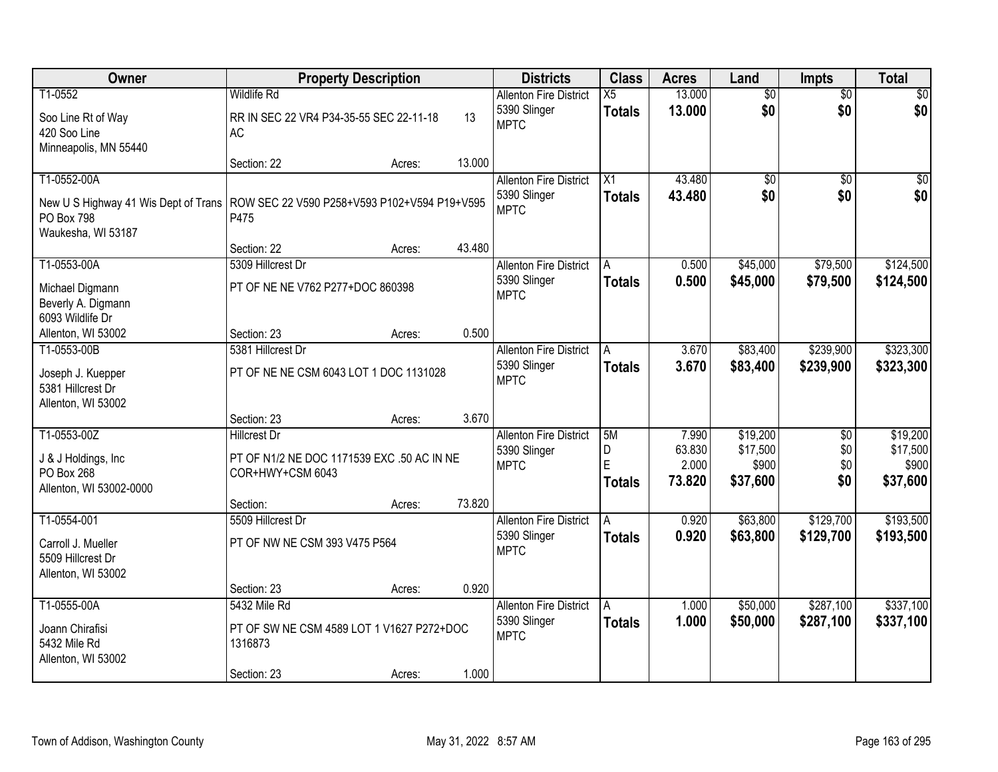| Owner                                |                                              | <b>Property Description</b> |        | <b>Districts</b>              | <b>Class</b>    | <b>Acres</b>    | Land              | <b>Impts</b>    | <b>Total</b>      |
|--------------------------------------|----------------------------------------------|-----------------------------|--------|-------------------------------|-----------------|-----------------|-------------------|-----------------|-------------------|
| T1-0552                              | <b>Wildlife Rd</b>                           |                             |        | <b>Allenton Fire District</b> | $\overline{X5}$ | 13.000          | $\overline{50}$   | $\overline{50}$ | $\sqrt{30}$       |
| Soo Line Rt of Way                   | RR IN SEC 22 VR4 P34-35-55 SEC 22-11-18      |                             | 13     | 5390 Slinger                  | <b>Totals</b>   | 13.000          | \$0               | \$0             | \$0               |
| 420 Soo Line                         | AC                                           |                             |        | <b>MPTC</b>                   |                 |                 |                   |                 |                   |
| Minneapolis, MN 55440                |                                              |                             |        |                               |                 |                 |                   |                 |                   |
|                                      | Section: 22                                  | Acres:                      | 13.000 |                               |                 |                 |                   |                 |                   |
| T1-0552-00A                          |                                              |                             |        | <b>Allenton Fire District</b> | $\overline{X1}$ | 43.480          | $\overline{50}$   | $\overline{50}$ | $\sqrt{50}$       |
| New U S Highway 41 Wis Dept of Trans | ROW SEC 22 V590 P258+V593 P102+V594 P19+V595 |                             |        | 5390 Slinger                  | <b>Totals</b>   | 43.480          | \$0               | \$0             | \$0               |
| PO Box 798                           | P475                                         |                             |        | <b>MPTC</b>                   |                 |                 |                   |                 |                   |
| Waukesha, WI 53187                   |                                              |                             |        |                               |                 |                 |                   |                 |                   |
|                                      | Section: 22                                  | Acres:                      | 43.480 |                               |                 |                 |                   |                 |                   |
| T1-0553-00A                          | 5309 Hillcrest Dr                            |                             |        | <b>Allenton Fire District</b> | ΙA              | 0.500           | \$45,000          | \$79,500        | \$124,500         |
| Michael Digmann                      | PT OF NE NE V762 P277+DOC 860398             |                             |        | 5390 Slinger                  | <b>Totals</b>   | 0.500           | \$45,000          | \$79,500        | \$124,500         |
| Beverly A. Digmann                   |                                              |                             |        | <b>MPTC</b>                   |                 |                 |                   |                 |                   |
| 6093 Wildlife Dr                     |                                              |                             |        |                               |                 |                 |                   |                 |                   |
| Allenton, WI 53002                   | Section: 23                                  | Acres:                      | 0.500  |                               |                 |                 |                   |                 |                   |
| T1-0553-00B                          | 5381 Hillcrest Dr                            |                             |        | <b>Allenton Fire District</b> | $\overline{A}$  | 3.670           | \$83,400          | \$239,900       | \$323,300         |
| Joseph J. Kuepper                    | PT OF NE NE CSM 6043 LOT 1 DOC 1131028       |                             |        | 5390 Slinger                  | <b>Totals</b>   | 3.670           | \$83,400          | \$239,900       | \$323,300         |
| 5381 Hillcrest Dr                    |                                              |                             |        | <b>MPTC</b>                   |                 |                 |                   |                 |                   |
| Allenton, WI 53002                   |                                              |                             |        |                               |                 |                 |                   |                 |                   |
|                                      | Section: 23                                  | Acres:                      | 3.670  |                               |                 |                 |                   |                 |                   |
| T1-0553-00Z                          | <b>Hillcrest Dr</b>                          |                             |        | <b>Allenton Fire District</b> | 5M              | 7.990           | \$19,200          | $\overline{30}$ | \$19,200          |
| J & J Holdings, Inc.                 | PT OF N1/2 NE DOC 1171539 EXC .50 AC IN NE   |                             |        | 5390 Slinger                  | D<br>E          | 63.830<br>2.000 | \$17,500          | \$0             | \$17,500          |
| PO Box 268                           | COR+HWY+CSM 6043                             |                             |        | <b>MPTC</b>                   | <b>Totals</b>   | 73.820          | \$900<br>\$37,600 | \$0<br>\$0      | \$900<br>\$37,600 |
| Allenton, WI 53002-0000              |                                              |                             |        |                               |                 |                 |                   |                 |                   |
|                                      | Section:                                     | Acres:                      | 73.820 |                               |                 |                 |                   |                 |                   |
| T1-0554-001                          | 5509 Hillcrest Dr                            |                             |        | <b>Allenton Fire District</b> | A               | 0.920           | \$63,800          | \$129,700       | \$193,500         |
| Carroll J. Mueller                   | PT OF NW NE CSM 393 V475 P564                |                             |        | 5390 Slinger                  | <b>Totals</b>   | 0.920           | \$63,800          | \$129,700       | \$193,500         |
| 5509 Hillcrest Dr                    |                                              |                             |        | <b>MPTC</b>                   |                 |                 |                   |                 |                   |
| Allenton, WI 53002                   |                                              |                             |        |                               |                 |                 |                   |                 |                   |
|                                      | Section: 23                                  | Acres:                      | 0.920  |                               |                 |                 |                   |                 |                   |
| T1-0555-00A                          | 5432 Mile Rd                                 |                             |        | <b>Allenton Fire District</b> | A               | 1.000           | \$50,000          | \$287,100       | \$337,100         |
| Joann Chirafisi                      | PT OF SW NE CSM 4589 LOT 1 V1627 P272+DOC    |                             |        | 5390 Slinger                  | <b>Totals</b>   | 1.000           | \$50,000          | \$287,100       | \$337,100         |
| 5432 Mile Rd                         | 1316873                                      |                             |        | <b>MPTC</b>                   |                 |                 |                   |                 |                   |
| Allenton, WI 53002                   |                                              |                             |        |                               |                 |                 |                   |                 |                   |
|                                      | Section: 23                                  | Acres:                      | 1.000  |                               |                 |                 |                   |                 |                   |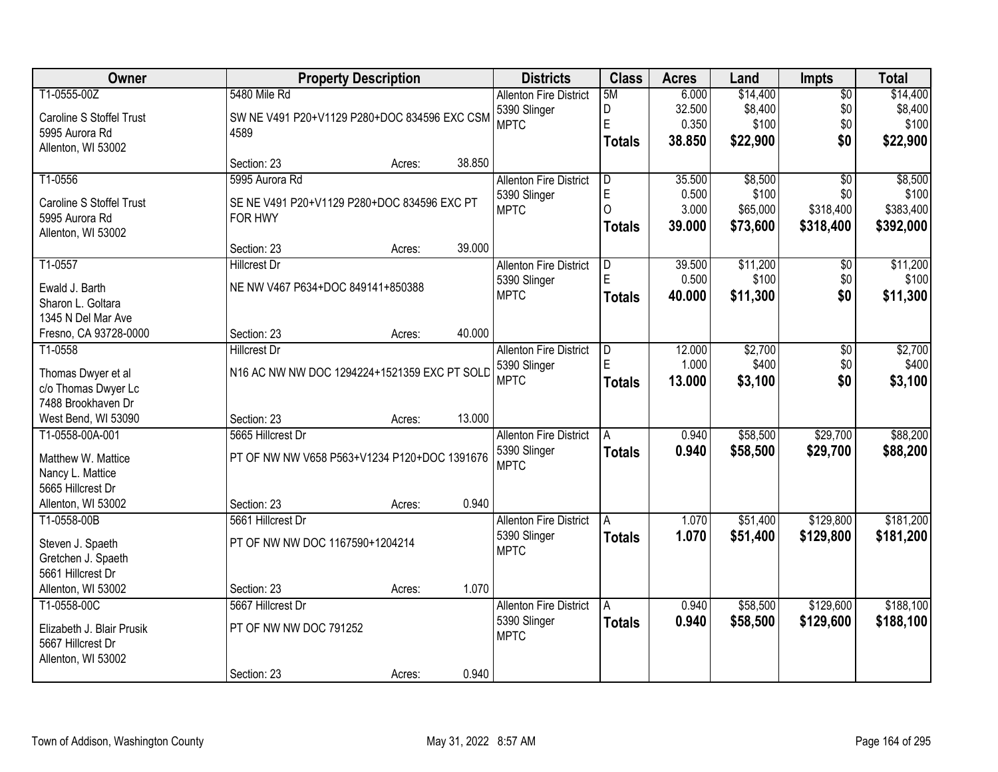| Owner                                     |                                              | <b>Property Description</b> |        | <b>Districts</b>              | <b>Class</b>  | <b>Acres</b> | Land     | <b>Impts</b>    | <b>Total</b> |
|-------------------------------------------|----------------------------------------------|-----------------------------|--------|-------------------------------|---------------|--------------|----------|-----------------|--------------|
| T1-0555-00Z                               | 5480 Mile Rd                                 |                             |        | <b>Allenton Fire District</b> | 5M            | 6.000        | \$14,400 | $\overline{50}$ | \$14,400     |
| Caroline S Stoffel Trust                  | SW NE V491 P20+V1129 P280+DOC 834596 EXC CSM |                             |        | 5390 Slinger                  | D             | 32.500       | \$8,400  | \$0             | \$8,400      |
| 5995 Aurora Rd                            | 4589                                         |                             |        | <b>MPTC</b>                   | $\mathsf E$   | 0.350        | \$100    | \$0             | \$100        |
| Allenton, WI 53002                        |                                              |                             |        |                               | <b>Totals</b> | 38.850       | \$22,900 | \$0             | \$22,900     |
|                                           | Section: 23                                  | Acres:                      | 38.850 |                               |               |              |          |                 |              |
| T1-0556                                   | 5995 Aurora Rd                               |                             |        | <b>Allenton Fire District</b> | D             | 35.500       | \$8,500  | $\overline{30}$ | \$8,500      |
| Caroline S Stoffel Trust                  | SE NE V491 P20+V1129 P280+DOC 834596 EXC PT  |                             |        | 5390 Slinger                  | $\mathsf E$   | 0.500        | \$100    | \$0             | \$100        |
| 5995 Aurora Rd                            | FOR HWY                                      |                             |        | <b>MPTC</b>                   | $\Omega$      | 3.000        | \$65,000 | \$318,400       | \$383,400    |
| Allenton, WI 53002                        |                                              |                             |        |                               | <b>Totals</b> | 39.000       | \$73,600 | \$318,400       | \$392,000    |
|                                           | Section: 23                                  | Acres:                      | 39.000 |                               |               |              |          |                 |              |
| T1-0557                                   | <b>Hillcrest Dr</b>                          |                             |        | <b>Allenton Fire District</b> | D             | 39.500       | \$11,200 | \$0             | \$11,200     |
| Ewald J. Barth                            | NE NW V467 P634+DOC 849141+850388            |                             |        | 5390 Slinger                  | E             | 0.500        | \$100    | \$0             | \$100        |
| Sharon L. Goltara                         |                                              |                             |        | <b>MPTC</b>                   | <b>Totals</b> | 40.000       | \$11,300 | \$0             | \$11,300     |
| 1345 N Del Mar Ave                        |                                              |                             |        |                               |               |              |          |                 |              |
| Fresno, CA 93728-0000                     | Section: 23                                  | Acres:                      | 40.000 |                               |               |              |          |                 |              |
| T1-0558                                   | <b>Hillcrest Dr</b>                          |                             |        | <b>Allenton Fire District</b> | D             | 12.000       | \$2,700  | \$0             | \$2,700      |
|                                           | N16 AC NW NW DOC 1294224+1521359 EXC PT SOLD |                             |        | 5390 Slinger                  | E             | 1.000        | \$400    | \$0             | \$400        |
| Thomas Dwyer et al<br>c/o Thomas Dwyer Lc |                                              |                             |        | <b>MPTC</b>                   | <b>Totals</b> | 13.000       | \$3,100  | \$0             | \$3,100      |
| 7488 Brookhaven Dr                        |                                              |                             |        |                               |               |              |          |                 |              |
| West Bend, WI 53090                       | Section: 23                                  | Acres:                      | 13.000 |                               |               |              |          |                 |              |
| T1-0558-00A-001                           | 5665 Hillcrest Dr                            |                             |        | <b>Allenton Fire District</b> | A             | 0.940        | \$58,500 | \$29,700        | \$88,200     |
|                                           |                                              |                             |        | 5390 Slinger                  | Totals        | 0.940        | \$58,500 | \$29,700        | \$88,200     |
| Matthew W. Mattice                        | PT OF NW NW V658 P563+V1234 P120+DOC 1391676 |                             |        | <b>MPTC</b>                   |               |              |          |                 |              |
| Nancy L. Mattice                          |                                              |                             |        |                               |               |              |          |                 |              |
| 5665 Hillcrest Dr                         |                                              |                             |        |                               |               |              |          |                 |              |
| Allenton, WI 53002                        | Section: 23                                  | Acres:                      | 0.940  |                               |               |              |          |                 |              |
| T1-0558-00B                               | 5661 Hillcrest Dr                            |                             |        | <b>Allenton Fire District</b> | A             | 1.070        | \$51,400 | \$129,800       | \$181,200    |
| Steven J. Spaeth                          | PT OF NW NW DOC 1167590+1204214              |                             |        | 5390 Slinger<br><b>MPTC</b>   | <b>Totals</b> | 1.070        | \$51,400 | \$129,800       | \$181,200    |
| Gretchen J. Spaeth                        |                                              |                             |        |                               |               |              |          |                 |              |
| 5661 Hillcrest Dr                         |                                              |                             |        |                               |               |              |          |                 |              |
| Allenton, WI 53002                        | Section: 23                                  | Acres:                      | 1.070  |                               |               |              |          |                 |              |
| T1-0558-00C                               | 5667 Hillcrest Dr                            |                             |        | <b>Allenton Fire District</b> | A             | 0.940        | \$58,500 | \$129,600       | \$188,100    |
| Elizabeth J. Blair Prusik                 | PT OF NW NW DOC 791252                       |                             |        | 5390 Slinger                  | <b>Totals</b> | 0.940        | \$58,500 | \$129,600       | \$188,100    |
| 5667 Hillcrest Dr                         |                                              |                             |        | <b>MPTC</b>                   |               |              |          |                 |              |
| Allenton, WI 53002                        |                                              |                             |        |                               |               |              |          |                 |              |
|                                           | Section: 23                                  | Acres:                      | 0.940  |                               |               |              |          |                 |              |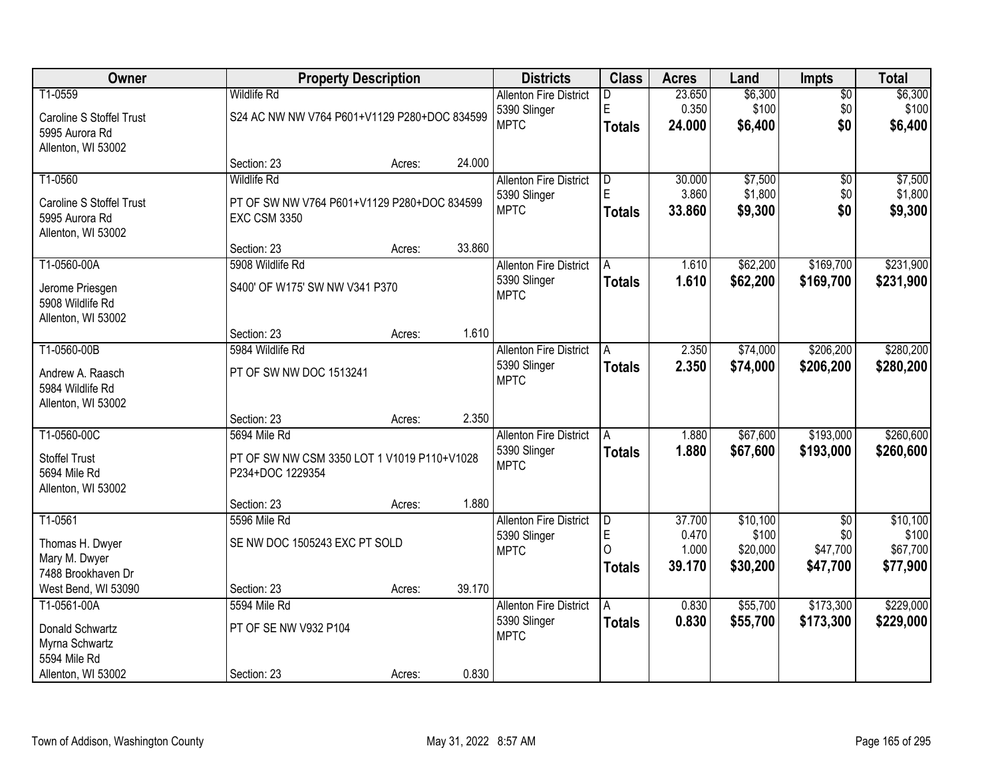| Owner                                |                                              | <b>Property Description</b> |        | <b>Districts</b>              | <b>Class</b>   | <b>Acres</b> | Land     | <b>Impts</b>    | <b>Total</b> |
|--------------------------------------|----------------------------------------------|-----------------------------|--------|-------------------------------|----------------|--------------|----------|-----------------|--------------|
| T1-0559                              | <b>Wildlife Rd</b>                           |                             |        | <b>Allenton Fire District</b> | D              | 23.650       | \$6,300  | $\overline{50}$ | \$6,300      |
| Caroline S Stoffel Trust             | S24 AC NW NW V764 P601+V1129 P280+DOC 834599 |                             |        | 5390 Slinger                  | E              | 0.350        | \$100    | \$0             | \$100        |
| 5995 Aurora Rd                       |                                              |                             |        | <b>MPTC</b>                   | <b>Totals</b>  | 24.000       | \$6,400  | \$0             | \$6,400      |
| Allenton, WI 53002                   |                                              |                             |        |                               |                |              |          |                 |              |
|                                      | Section: 23                                  | Acres:                      | 24.000 |                               |                |              |          |                 |              |
| T1-0560                              | <b>Wildlife Rd</b>                           |                             |        | <b>Allenton Fire District</b> | $\overline{D}$ | 30.000       | \$7,500  | $\overline{50}$ | \$7,500      |
| Caroline S Stoffel Trust             | PT OF SW NW V764 P601+V1129 P280+DOC 834599  |                             |        | 5390 Slinger                  | E              | 3.860        | \$1,800  | \$0             | \$1,800      |
| 5995 Aurora Rd                       | <b>EXC CSM 3350</b>                          |                             |        | <b>MPTC</b>                   | <b>Totals</b>  | 33.860       | \$9,300  | \$0             | \$9,300      |
| Allenton, WI 53002                   |                                              |                             |        |                               |                |              |          |                 |              |
|                                      | Section: 23                                  | Acres:                      | 33.860 |                               |                |              |          |                 |              |
| T1-0560-00A                          | 5908 Wildlife Rd                             |                             |        | <b>Allenton Fire District</b> | A              | 1.610        | \$62,200 | \$169,700       | \$231,900    |
| Jerome Priesgen                      | S400' OF W175' SW NW V341 P370               |                             |        | 5390 Slinger                  | <b>Totals</b>  | 1.610        | \$62,200 | \$169,700       | \$231,900    |
| 5908 Wildlife Rd                     |                                              |                             |        | <b>MPTC</b>                   |                |              |          |                 |              |
| Allenton, WI 53002                   |                                              |                             |        |                               |                |              |          |                 |              |
|                                      | Section: 23                                  | Acres:                      | 1.610  |                               |                |              |          |                 |              |
| T1-0560-00B                          | 5984 Wildlife Rd                             |                             |        | <b>Allenton Fire District</b> | A              | 2.350        | \$74,000 | \$206,200       | \$280,200    |
|                                      | PT OF SW NW DOC 1513241                      |                             |        | 5390 Slinger                  | <b>Totals</b>  | 2.350        | \$74,000 | \$206,200       | \$280,200    |
| Andrew A. Raasch<br>5984 Wildlife Rd |                                              |                             |        | <b>MPTC</b>                   |                |              |          |                 |              |
| Allenton, WI 53002                   |                                              |                             |        |                               |                |              |          |                 |              |
|                                      | Section: 23                                  | Acres:                      | 2.350  |                               |                |              |          |                 |              |
| T1-0560-00C                          | 5694 Mile Rd                                 |                             |        | <b>Allenton Fire District</b> | A              | 1.880        | \$67,600 | \$193,000       | \$260,600    |
|                                      |                                              |                             |        | 5390 Slinger                  | Totals         | 1.880        | \$67,600 | \$193,000       | \$260,600    |
| <b>Stoffel Trust</b>                 | PT OF SW NW CSM 3350 LOT 1 V1019 P110+V1028  |                             |        | <b>MPTC</b>                   |                |              |          |                 |              |
| 5694 Mile Rd<br>Allenton, WI 53002   | P234+DOC 1229354                             |                             |        |                               |                |              |          |                 |              |
|                                      | Section: 23                                  | Acres:                      | 1.880  |                               |                |              |          |                 |              |
| T1-0561                              | 5596 Mile Rd                                 |                             |        | <b>Allenton Fire District</b> | D              | 37.700       | \$10,100 | $\overline{50}$ | \$10,100     |
|                                      |                                              |                             |        | 5390 Slinger                  | $\mathsf E$    | 0.470        | \$100    | \$0             | \$100        |
| Thomas H. Dwyer                      | SE NW DOC 1505243 EXC PT SOLD                |                             |        | <b>MPTC</b>                   | $\Omega$       | 1.000        | \$20,000 | \$47,700        | \$67,700     |
| Mary M. Dwyer<br>7488 Brookhaven Dr  |                                              |                             |        |                               | <b>Totals</b>  | 39.170       | \$30,200 | \$47,700        | \$77,900     |
| West Bend, WI 53090                  | Section: 23                                  | Acres:                      | 39.170 |                               |                |              |          |                 |              |
| T1-0561-00A                          | 5594 Mile Rd                                 |                             |        | <b>Allenton Fire District</b> | A              | 0.830        | \$55,700 | \$173,300       | \$229,000    |
|                                      |                                              |                             |        | 5390 Slinger                  | <b>Totals</b>  | 0.830        | \$55,700 | \$173,300       | \$229,000    |
| Donald Schwartz                      | PT OF SE NW V932 P104                        |                             |        | <b>MPTC</b>                   |                |              |          |                 |              |
| Myrna Schwartz                       |                                              |                             |        |                               |                |              |          |                 |              |
| 5594 Mile Rd                         | Section: 23                                  |                             | 0.830  |                               |                |              |          |                 |              |
| Allenton, WI 53002                   |                                              | Acres:                      |        |                               |                |              |          |                 |              |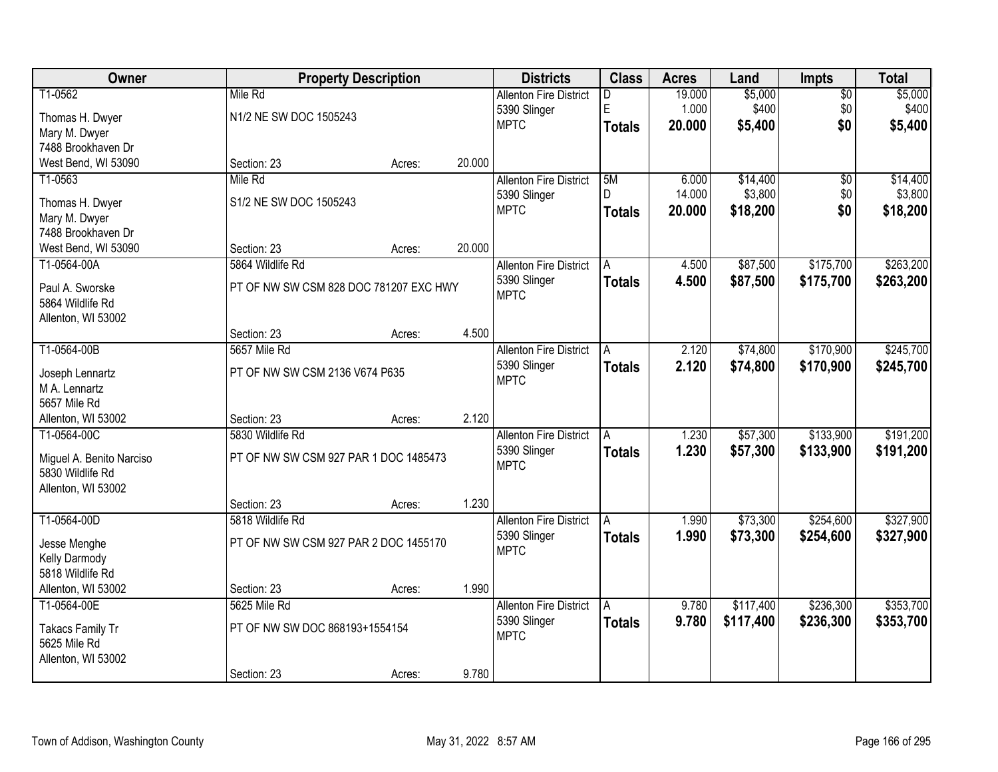| Owner                               |                                        | <b>Property Description</b> |        | <b>Districts</b>              | <b>Class</b>  | <b>Acres</b> | Land      | Impts           | <b>Total</b> |
|-------------------------------------|----------------------------------------|-----------------------------|--------|-------------------------------|---------------|--------------|-----------|-----------------|--------------|
| T1-0562                             | Mile Rd                                |                             |        | <b>Allenton Fire District</b> | D.            | 19.000       | \$5,000   | $\overline{50}$ | \$5,000      |
| Thomas H. Dwyer                     | N1/2 NE SW DOC 1505243                 |                             |        | 5390 Slinger                  | E             | 1.000        | \$400     | \$0             | \$400        |
| Mary M. Dwyer                       |                                        |                             |        | <b>MPTC</b>                   | <b>Totals</b> | 20.000       | \$5,400   | \$0             | \$5,400      |
| 7488 Brookhaven Dr                  |                                        |                             |        |                               |               |              |           |                 |              |
| West Bend, WI 53090                 | Section: 23                            | Acres:                      | 20.000 |                               |               |              |           |                 |              |
| T1-0563                             | Mile Rd                                |                             |        | <b>Allenton Fire District</b> | 5M            | 6.000        | \$14,400  | $\overline{50}$ | \$14,400     |
| Thomas H. Dwyer                     | S1/2 NE SW DOC 1505243                 |                             |        | 5390 Slinger                  | D.            | 14.000       | \$3,800   | \$0             | \$3,800      |
| Mary M. Dwyer                       |                                        |                             |        | <b>MPTC</b>                   | <b>Totals</b> | 20.000       | \$18,200  | \$0             | \$18,200     |
| 7488 Brookhaven Dr                  |                                        |                             |        |                               |               |              |           |                 |              |
| West Bend, WI 53090                 | Section: 23                            | Acres:                      | 20.000 |                               |               |              |           |                 |              |
| T1-0564-00A                         | 5864 Wildlife Rd                       |                             |        | <b>Allenton Fire District</b> | A             | 4.500        | \$87,500  | \$175,700       | \$263,200    |
|                                     |                                        |                             |        | 5390 Slinger                  | <b>Totals</b> | 4.500        | \$87,500  | \$175,700       | \$263,200    |
| Paul A. Sworske<br>5864 Wildlife Rd | PT OF NW SW CSM 828 DOC 781207 EXC HWY |                             |        | <b>MPTC</b>                   |               |              |           |                 |              |
| Allenton, WI 53002                  |                                        |                             |        |                               |               |              |           |                 |              |
|                                     | Section: 23                            | Acres:                      | 4.500  |                               |               |              |           |                 |              |
| T1-0564-00B                         | 5657 Mile Rd                           |                             |        | <b>Allenton Fire District</b> | Α             | 2.120        | \$74,800  | \$170,900       | \$245,700    |
|                                     |                                        |                             |        | 5390 Slinger                  | <b>Totals</b> | 2.120        | \$74,800  | \$170,900       | \$245,700    |
| Joseph Lennartz                     | PT OF NW SW CSM 2136 V674 P635         |                             |        | <b>MPTC</b>                   |               |              |           |                 |              |
| M A. Lennartz                       |                                        |                             |        |                               |               |              |           |                 |              |
| 5657 Mile Rd<br>Allenton, WI 53002  | Section: 23                            |                             | 2.120  |                               |               |              |           |                 |              |
| T1-0564-00C                         | 5830 Wildlife Rd                       | Acres:                      |        | <b>Allenton Fire District</b> | A             | 1.230        | \$57,300  | \$133,900       | \$191,200    |
|                                     |                                        |                             |        | 5390 Slinger                  |               | 1.230        |           | \$133,900       |              |
| Miguel A. Benito Narciso            | PT OF NW SW CSM 927 PAR 1 DOC 1485473  |                             |        | <b>MPTC</b>                   | <b>Totals</b> |              | \$57,300  |                 | \$191,200    |
| 5830 Wildlife Rd                    |                                        |                             |        |                               |               |              |           |                 |              |
| Allenton, WI 53002                  |                                        |                             |        |                               |               |              |           |                 |              |
|                                     | Section: 23                            | Acres:                      | 1.230  |                               |               |              |           |                 |              |
| T1-0564-00D                         | 5818 Wildlife Rd                       |                             |        | <b>Allenton Fire District</b> | A             | 1.990        | \$73,300  | \$254,600       | \$327,900    |
| Jesse Menghe                        | PT OF NW SW CSM 927 PAR 2 DOC 1455170  |                             |        | 5390 Slinger<br><b>MPTC</b>   | <b>Totals</b> | 1.990        | \$73,300  | \$254,600       | \$327,900    |
| Kelly Darmody                       |                                        |                             |        |                               |               |              |           |                 |              |
| 5818 Wildlife Rd                    |                                        |                             |        |                               |               |              |           |                 |              |
| Allenton, WI 53002                  | Section: 23                            | Acres:                      | 1.990  |                               |               |              |           |                 |              |
| T1-0564-00E                         | 5625 Mile Rd                           |                             |        | <b>Allenton Fire District</b> | A             | 9.780        | \$117,400 | \$236,300       | \$353,700    |
| Takacs Family Tr                    | PT OF NW SW DOC 868193+1554154         |                             |        | 5390 Slinger                  | <b>Totals</b> | 9.780        | \$117,400 | \$236,300       | \$353,700    |
| 5625 Mile Rd                        |                                        |                             |        | <b>MPTC</b>                   |               |              |           |                 |              |
| Allenton, WI 53002                  |                                        |                             |        |                               |               |              |           |                 |              |
|                                     | Section: 23                            | Acres:                      | 9.780  |                               |               |              |           |                 |              |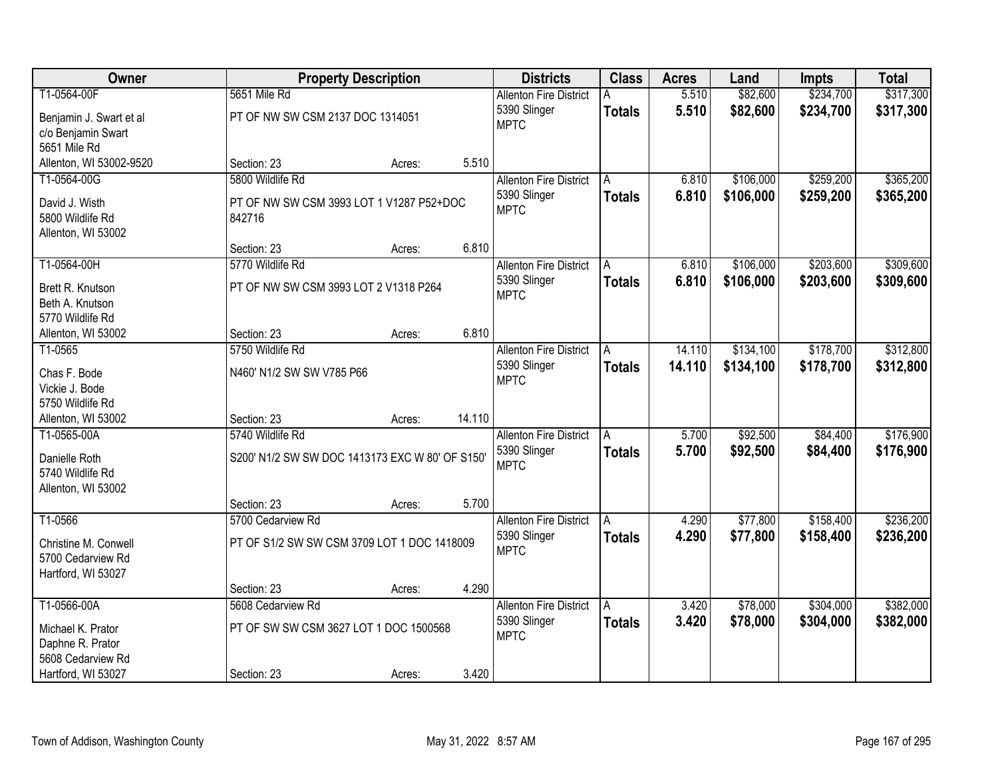| Owner                              |                                                 | <b>Property Description</b> |        | <b>Districts</b>              | <b>Class</b>  | <b>Acres</b> | Land      | <b>Impts</b> | <b>Total</b> |
|------------------------------------|-------------------------------------------------|-----------------------------|--------|-------------------------------|---------------|--------------|-----------|--------------|--------------|
| T1-0564-00F                        | 5651 Mile Rd                                    |                             |        | <b>Allenton Fire District</b> |               | 5.510        | \$82,600  | \$234,700    | \$317,300    |
| Benjamin J. Swart et al            | PT OF NW SW CSM 2137 DOC 1314051                |                             |        | 5390 Slinger                  | <b>Totals</b> | 5.510        | \$82,600  | \$234,700    | \$317,300    |
| c/o Benjamin Swart                 |                                                 |                             |        | <b>MPTC</b>                   |               |              |           |              |              |
| 5651 Mile Rd                       |                                                 |                             |        |                               |               |              |           |              |              |
| Allenton, WI 53002-9520            | Section: 23                                     | Acres:                      | 5.510  |                               |               |              |           |              |              |
| T1-0564-00G                        | 5800 Wildlife Rd                                |                             |        | <b>Allenton Fire District</b> | A             | 6.810        | \$106,000 | \$259,200    | \$365,200    |
| David J. Wisth                     | PT OF NW SW CSM 3993 LOT 1 V1287 P52+DOC        |                             |        | 5390 Slinger                  | <b>Totals</b> | 6.810        | \$106,000 | \$259,200    | \$365,200    |
| 5800 Wildlife Rd                   | 842716                                          |                             |        | <b>MPTC</b>                   |               |              |           |              |              |
| Allenton, WI 53002                 |                                                 |                             |        |                               |               |              |           |              |              |
|                                    | Section: 23                                     | Acres:                      | 6.810  |                               |               |              |           |              |              |
| T1-0564-00H                        | 5770 Wildlife Rd                                |                             |        | <b>Allenton Fire District</b> | A             | 6.810        | \$106,000 | \$203,600    | \$309,600    |
| Brett R. Knutson                   | PT OF NW SW CSM 3993 LOT 2 V1318 P264           |                             |        | 5390 Slinger                  | <b>Totals</b> | 6.810        | \$106,000 | \$203,600    | \$309,600    |
| Beth A. Knutson                    |                                                 |                             |        | <b>MPTC</b>                   |               |              |           |              |              |
| 5770 Wildlife Rd                   |                                                 |                             |        |                               |               |              |           |              |              |
| Allenton, WI 53002                 | Section: 23                                     | Acres:                      | 6.810  |                               |               |              |           |              |              |
| T1-0565                            | 5750 Wildlife Rd                                |                             |        | <b>Allenton Fire District</b> | A             | 14.110       | \$134,100 | \$178,700    | \$312,800    |
|                                    |                                                 |                             |        | 5390 Slinger                  | <b>Totals</b> | 14.110       | \$134,100 | \$178,700    | \$312,800    |
| Chas F. Bode                       | N460' N1/2 SW SW V785 P66                       |                             |        | <b>MPTC</b>                   |               |              |           |              |              |
| Vickie J. Bode<br>5750 Wildlife Rd |                                                 |                             |        |                               |               |              |           |              |              |
| Allenton, WI 53002                 | Section: 23                                     | Acres:                      | 14.110 |                               |               |              |           |              |              |
| T1-0565-00A                        | 5740 Wildlife Rd                                |                             |        | <b>Allenton Fire District</b> | A             | 5.700        | \$92,500  | \$84,400     | \$176,900    |
|                                    |                                                 |                             |        | 5390 Slinger                  | <b>Totals</b> | 5.700        | \$92,500  | \$84,400     | \$176,900    |
| Danielle Roth                      | S200' N1/2 SW SW DOC 1413173 EXC W 80' OF S150' |                             |        | <b>MPTC</b>                   |               |              |           |              |              |
| 5740 Wildlife Rd                   |                                                 |                             |        |                               |               |              |           |              |              |
| Allenton, WI 53002                 |                                                 |                             |        |                               |               |              |           |              |              |
|                                    | Section: 23                                     | Acres:                      | 5.700  |                               |               |              |           |              |              |
| T1-0566                            | 5700 Cedarview Rd                               |                             |        | <b>Allenton Fire District</b> | A             | 4.290        | \$77,800  | \$158,400    | \$236,200    |
| Christine M. Conwell               | PT OF S1/2 SW SW CSM 3709 LOT 1 DOC 1418009     |                             |        | 5390 Slinger                  | <b>Totals</b> | 4.290        | \$77,800  | \$158,400    | \$236,200    |
| 5700 Cedarview Rd                  |                                                 |                             |        | <b>MPTC</b>                   |               |              |           |              |              |
| Hartford, WI 53027                 |                                                 |                             |        |                               |               |              |           |              |              |
|                                    | Section: 23                                     | Acres:                      | 4.290  |                               |               |              |           |              |              |
| T1-0566-00A                        | 5608 Cedarview Rd                               |                             |        | <b>Allenton Fire District</b> | A             | 3.420        | \$78,000  | \$304,000    | \$382,000    |
| Michael K. Prator                  | PT OF SW SW CSM 3627 LOT 1 DOC 1500568          |                             |        | 5390 Slinger                  | <b>Totals</b> | 3.420        | \$78,000  | \$304,000    | \$382,000    |
| Daphne R. Prator                   |                                                 |                             |        | <b>MPTC</b>                   |               |              |           |              |              |
| 5608 Cedarview Rd                  |                                                 |                             |        |                               |               |              |           |              |              |
| Hartford, WI 53027                 | Section: 23                                     | Acres:                      | 3.420  |                               |               |              |           |              |              |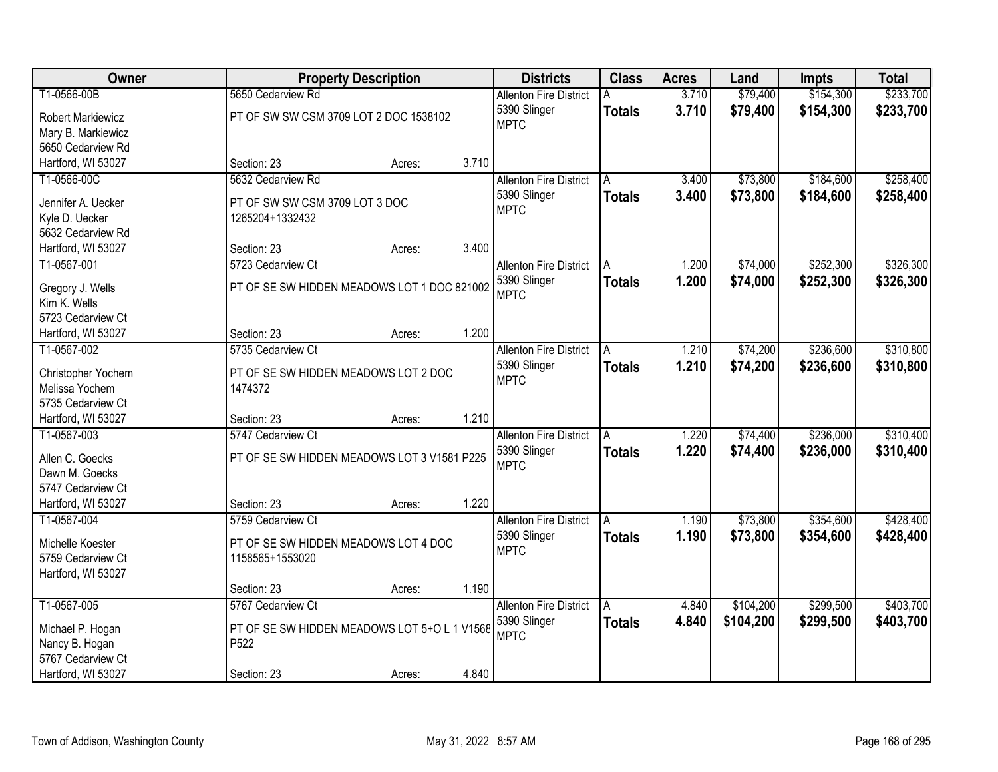| Owner                    | <b>Property Description</b>                  |        |              | <b>Districts</b>              | <b>Class</b>  | <b>Acres</b> | Land      | <b>Impts</b> | <b>Total</b> |
|--------------------------|----------------------------------------------|--------|--------------|-------------------------------|---------------|--------------|-----------|--------------|--------------|
| T1-0566-00B              | 5650 Cedarview Rd                            |        |              | <b>Allenton Fire District</b> |               | 3.710        | \$79,400  | \$154,300    | \$233,700    |
| <b>Robert Markiewicz</b> | PT OF SW SW CSM 3709 LOT 2 DOC 1538102       |        | 5390 Slinger |                               | <b>Totals</b> | 3.710        | \$79,400  | \$154,300    | \$233,700    |
| Mary B. Markiewicz       |                                              |        | <b>MPTC</b>  |                               |               |              |           |              |              |
| 5650 Cedarview Rd        |                                              |        |              |                               |               |              |           |              |              |
| Hartford, WI 53027       | Section: 23                                  | Acres: | 3.710        |                               |               |              |           |              |              |
| T1-0566-00C              | 5632 Cedarview Rd                            |        |              | <b>Allenton Fire District</b> | A             | 3.400        | \$73,800  | \$184,600    | \$258,400    |
|                          |                                              |        | 5390 Slinger |                               | <b>Totals</b> | 3.400        | \$73,800  | \$184,600    | \$258,400    |
| Jennifer A. Uecker       | PT OF SW SW CSM 3709 LOT 3 DOC               |        | <b>MPTC</b>  |                               |               |              |           |              |              |
| Kyle D. Uecker           | 1265204+1332432                              |        |              |                               |               |              |           |              |              |
| 5632 Cedarview Rd        |                                              |        |              |                               |               |              |           |              |              |
| Hartford, WI 53027       | Section: 23                                  | Acres: | 3.400        |                               |               |              |           |              |              |
| T1-0567-001              | 5723 Cedarview Ct                            |        |              | <b>Allenton Fire District</b> | A             | 1.200        | \$74,000  | \$252,300    | \$326,300    |
| Gregory J. Wells         | PT OF SE SW HIDDEN MEADOWS LOT 1 DOC 821002  |        | 5390 Slinger |                               | <b>Totals</b> | 1.200        | \$74,000  | \$252,300    | \$326,300    |
| Kim K. Wells             |                                              |        | <b>MPTC</b>  |                               |               |              |           |              |              |
| 5723 Cedarview Ct        |                                              |        |              |                               |               |              |           |              |              |
| Hartford, WI 53027       | Section: 23                                  | Acres: | 1.200        |                               |               |              |           |              |              |
| T1-0567-002              | 5735 Cedarview Ct                            |        |              | <b>Allenton Fire District</b> | A             | 1.210        | \$74,200  | \$236,600    | \$310,800    |
|                          |                                              |        | 5390 Slinger |                               | <b>Totals</b> | 1.210        | \$74,200  | \$236,600    | \$310,800    |
| Christopher Yochem       | PT OF SE SW HIDDEN MEADOWS LOT 2 DOC         |        | <b>MPTC</b>  |                               |               |              |           |              |              |
| Melissa Yochem           | 1474372                                      |        |              |                               |               |              |           |              |              |
| 5735 Cedarview Ct        |                                              |        |              |                               |               |              |           |              |              |
| Hartford, WI 53027       | Section: 23                                  | Acres: | 1.210        |                               |               |              |           |              |              |
| T1-0567-003              | 5747 Cedarview Ct                            |        |              | <b>Allenton Fire District</b> | A             | 1.220        | \$74,400  | \$236,000    | \$310,400    |
| Allen C. Goecks          | PT OF SE SW HIDDEN MEADOWS LOT 3 V1581 P225  |        | 5390 Slinger |                               | <b>Totals</b> | 1.220        | \$74,400  | \$236,000    | \$310,400    |
| Dawn M. Goecks           |                                              |        | <b>MPTC</b>  |                               |               |              |           |              |              |
| 5747 Cedarview Ct        |                                              |        |              |                               |               |              |           |              |              |
| Hartford, WI 53027       | Section: 23                                  | Acres: | 1.220        |                               |               |              |           |              |              |
| T1-0567-004              | 5759 Cedarview Ct                            |        |              | <b>Allenton Fire District</b> | A             | 1.190        | \$73,800  | \$354,600    | \$428,400    |
|                          |                                              |        | 5390 Slinger |                               | <b>Totals</b> | 1.190        | \$73,800  | \$354,600    | \$428,400    |
| Michelle Koester         | PT OF SE SW HIDDEN MEADOWS LOT 4 DOC         |        | <b>MPTC</b>  |                               |               |              |           |              |              |
| 5759 Cedarview Ct        | 1158565+1553020                              |        |              |                               |               |              |           |              |              |
| Hartford, WI 53027       |                                              |        |              |                               |               |              |           |              |              |
|                          | Section: 23                                  | Acres: | 1.190        |                               |               |              |           |              |              |
| T1-0567-005              | 5767 Cedarview Ct                            |        |              | <b>Allenton Fire District</b> | A             | 4.840        | \$104,200 | \$299,500    | \$403,700    |
| Michael P. Hogan         | PT OF SE SW HIDDEN MEADOWS LOT 5+O L 1 V1568 |        | 5390 Slinger |                               | <b>Totals</b> | 4.840        | \$104,200 | \$299,500    | \$403,700    |
| Nancy B. Hogan           | P522                                         |        | <b>MPTC</b>  |                               |               |              |           |              |              |
| 5767 Cedarview Ct        |                                              |        |              |                               |               |              |           |              |              |
| Hartford, WI 53027       | Section: 23                                  | Acres: | 4.840        |                               |               |              |           |              |              |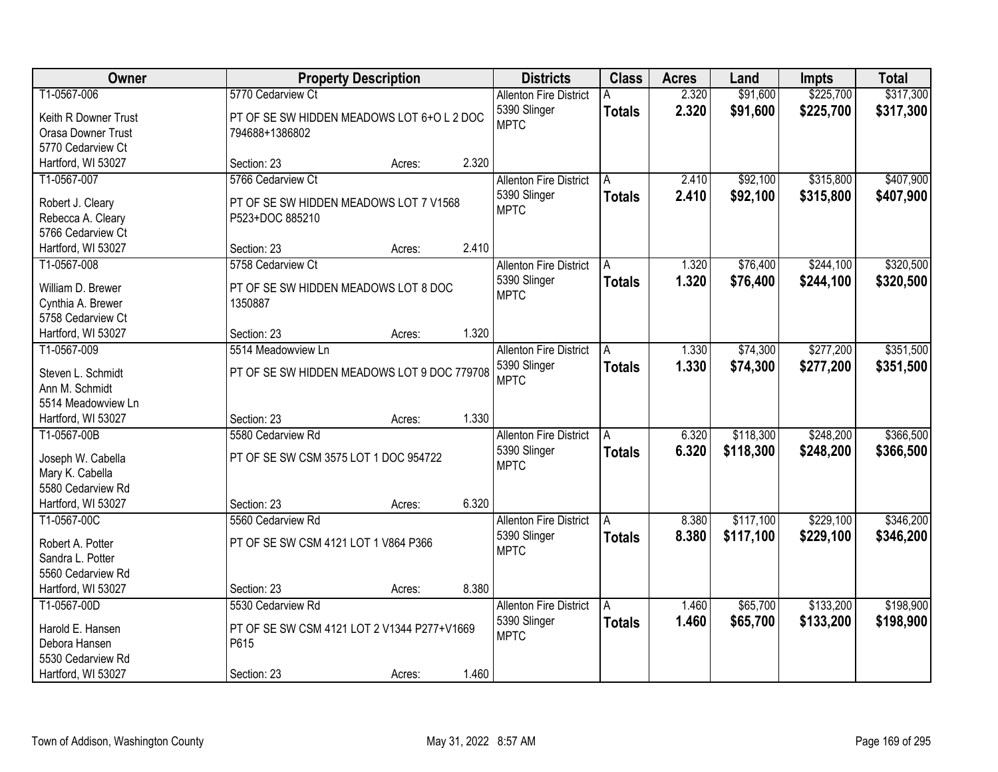| \$225,700<br>T1-0567-006<br>5770 Cedarview Ct<br>2.320<br>\$91,600<br><b>Allenton Fire District</b>                                   |           |
|---------------------------------------------------------------------------------------------------------------------------------------|-----------|
|                                                                                                                                       | \$317,300 |
| 2.320<br>5390 Slinger<br>\$91,600<br>\$225,700<br><b>Totals</b><br>PT OF SE SW HIDDEN MEADOWS LOT 6+O L 2 DOC<br>Keith R Downer Trust | \$317,300 |
| <b>MPTC</b><br>Orasa Downer Trust<br>794688+1386802                                                                                   |           |
| 5770 Cedarview Ct                                                                                                                     |           |
| 2.320<br>Hartford, WI 53027<br>Section: 23<br>Acres:                                                                                  |           |
| \$315,800<br>T1-0567-007<br>5766 Cedarview Ct<br>2.410<br>\$92,100<br><b>Allenton Fire District</b><br>A                              | \$407,900 |
| 5390 Slinger<br>2.410<br>\$92,100<br>\$315,800<br><b>Totals</b>                                                                       | \$407,900 |
| Robert J. Cleary<br>PT OF SE SW HIDDEN MEADOWS LOT 7 V1568<br><b>MPTC</b><br>P523+DOC 885210                                          |           |
| Rebecca A. Cleary<br>5766 Cedarview Ct                                                                                                |           |
| 2.410<br>Hartford, WI 53027<br>Section: 23<br>Acres:                                                                                  |           |
| \$76,400<br>\$244,100<br>T1-0567-008<br>5758 Cedarview Ct<br>1.320<br><b>Allenton Fire District</b><br>A                              | \$320,500 |
| 5390 Slinger<br>1.320<br>\$76,400<br>\$244,100                                                                                        | \$320,500 |
| <b>Totals</b><br>PT OF SE SW HIDDEN MEADOWS LOT 8 DOC<br>William D. Brewer<br><b>MPTC</b>                                             |           |
| Cynthia A. Brewer<br>1350887                                                                                                          |           |
| 5758 Cedarview Ct                                                                                                                     |           |
| 1.320<br>Hartford, WI 53027<br>Section: 23<br>Acres:                                                                                  |           |
| \$74,300<br>\$277,200<br>T1-0567-009<br>5514 Meadowview Ln<br><b>Allenton Fire District</b><br>1.330<br>A                             | \$351,500 |
| 5390 Slinger<br>1.330<br>\$74,300<br>\$277,200<br><b>Totals</b><br>PT OF SE SW HIDDEN MEADOWS LOT 9 DOC 779708<br>Steven L. Schmidt   | \$351,500 |
| <b>MPTC</b><br>Ann M. Schmidt                                                                                                         |           |
| 5514 Meadowview Ln                                                                                                                    |           |
| 1.330<br>Hartford, WI 53027<br>Section: 23<br>Acres:                                                                                  |           |
| \$118,300<br>\$248,200<br>T1-0567-00B<br>5580 Cedarview Rd<br>6.320<br><b>Allenton Fire District</b><br>A                             | \$366,500 |
| 5390 Slinger<br>6.320<br>\$118,300<br>\$248,200<br><b>Totals</b>                                                                      | \$366,500 |
| PT OF SE SW CSM 3575 LOT 1 DOC 954722<br>Joseph W. Cabella<br><b>MPTC</b>                                                             |           |
| Mary K. Cabella                                                                                                                       |           |
| 5580 Cedarview Rd                                                                                                                     |           |
| 6.320<br>Hartford, WI 53027<br>Section: 23<br>Acres:                                                                                  |           |
| \$117,100<br>\$229,100<br>T1-0567-00C<br>5560 Cedarview Rd<br><b>Allenton Fire District</b><br>8.380<br>A                             | \$346,200 |
| 8.380<br>5390 Slinger<br>\$117,100<br>\$229,100<br><b>Totals</b><br>PT OF SE SW CSM 4121 LOT 1 V864 P366<br>Robert A. Potter          | \$346,200 |
| <b>MPTC</b><br>Sandra L. Potter                                                                                                       |           |
| 5560 Cedarview Rd                                                                                                                     |           |
| 8.380<br>Hartford, WI 53027<br>Section: 23<br>Acres:                                                                                  |           |
| \$133,200<br>\$65,700<br>T1-0567-00D<br>5530 Cedarview Rd<br><b>Allenton Fire District</b><br>1.460<br>A                              | \$198,900 |
| 1.460<br>\$65,700<br>\$133,200<br>5390 Slinger<br><b>Totals</b><br>PT OF SE SW CSM 4121 LOT 2 V1344 P277+V1669<br>Harold E. Hansen    | \$198,900 |
| <b>MPTC</b><br>Debora Hansen<br>P615                                                                                                  |           |
| 5530 Cedarview Rd                                                                                                                     |           |
| 1.460<br>Hartford, WI 53027<br>Section: 23<br>Acres:                                                                                  |           |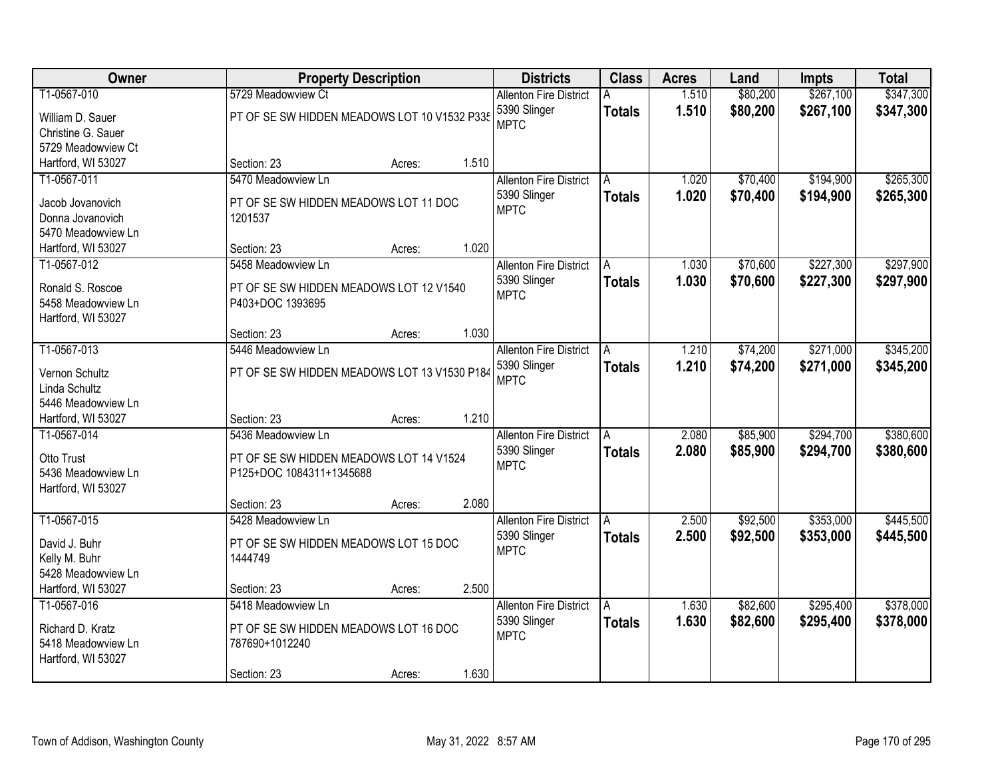| Owner                           |                                              | <b>Property Description</b> |       | <b>Districts</b>              | <b>Class</b>  | <b>Acres</b> | Land     | <b>Impts</b> | <b>Total</b> |
|---------------------------------|----------------------------------------------|-----------------------------|-------|-------------------------------|---------------|--------------|----------|--------------|--------------|
| T1-0567-010                     | 5729 Meadowview Ct                           |                             |       | <b>Allenton Fire District</b> |               | 1.510        | \$80,200 | \$267,100    | \$347,300    |
| William D. Sauer                | PT OF SE SW HIDDEN MEADOWS LOT 10 V1532 P335 |                             |       | 5390 Slinger                  | <b>Totals</b> | 1.510        | \$80,200 | \$267,100    | \$347,300    |
| Christine G. Sauer              |                                              |                             |       | <b>MPTC</b>                   |               |              |          |              |              |
| 5729 Meadowview Ct              |                                              |                             |       |                               |               |              |          |              |              |
| Hartford, WI 53027              | Section: 23                                  | Acres:                      | 1.510 |                               |               |              |          |              |              |
| T1-0567-011                     | 5470 Meadowview Ln                           |                             |       | <b>Allenton Fire District</b> | A             | 1.020        | \$70,400 | \$194,900    | \$265,300    |
| Jacob Jovanovich                | PT OF SE SW HIDDEN MEADOWS LOT 11 DOC        |                             |       | 5390 Slinger                  | <b>Totals</b> | 1.020        | \$70,400 | \$194,900    | \$265,300    |
| Donna Jovanovich                | 1201537                                      |                             |       | <b>MPTC</b>                   |               |              |          |              |              |
| 5470 Meadowview Ln              |                                              |                             |       |                               |               |              |          |              |              |
| Hartford, WI 53027              | Section: 23                                  | Acres:                      | 1.020 |                               |               |              |          |              |              |
| T1-0567-012                     | 5458 Meadowview Ln                           |                             |       | <b>Allenton Fire District</b> | A             | 1.030        | \$70,600 | \$227,300    | \$297,900    |
| Ronald S. Roscoe                | PT OF SE SW HIDDEN MEADOWS LOT 12 V1540      |                             |       | 5390 Slinger                  | <b>Totals</b> | 1.030        | \$70,600 | \$227,300    | \$297,900    |
| 5458 Meadowview Ln              | P403+DOC 1393695                             |                             |       | <b>MPTC</b>                   |               |              |          |              |              |
| Hartford, WI 53027              |                                              |                             |       |                               |               |              |          |              |              |
|                                 | Section: 23                                  | Acres:                      | 1.030 |                               |               |              |          |              |              |
| T1-0567-013                     | 5446 Meadowview Ln                           |                             |       | <b>Allenton Fire District</b> | A             | 1.210        | \$74,200 | \$271,000    | \$345,200    |
|                                 |                                              |                             |       | 5390 Slinger                  | <b>Totals</b> | 1.210        | \$74,200 | \$271,000    | \$345,200    |
| Vernon Schultz<br>Linda Schultz | PT OF SE SW HIDDEN MEADOWS LOT 13 V1530 P184 |                             |       | <b>MPTC</b>                   |               |              |          |              |              |
| 5446 Meadowview Ln              |                                              |                             |       |                               |               |              |          |              |              |
| Hartford, WI 53027              | Section: 23                                  | Acres:                      | 1.210 |                               |               |              |          |              |              |
| T1-0567-014                     | 5436 Meadowview Ln                           |                             |       | <b>Allenton Fire District</b> |               | 2.080        | \$85,900 | \$294,700    | \$380,600    |
|                                 |                                              |                             |       | 5390 Slinger                  | <b>Totals</b> | 2.080        | \$85,900 | \$294,700    | \$380,600    |
| Otto Trust                      | PT OF SE SW HIDDEN MEADOWS LOT 14 V1524      |                             |       | <b>MPTC</b>                   |               |              |          |              |              |
| 5436 Meadowview Ln              | P125+DOC 1084311+1345688                     |                             |       |                               |               |              |          |              |              |
| Hartford, WI 53027              |                                              |                             | 2.080 |                               |               |              |          |              |              |
| T1-0567-015                     | Section: 23<br>5428 Meadowview Ln            | Acres:                      |       | <b>Allenton Fire District</b> | A             | 2.500        | \$92,500 | \$353,000    | \$445,500    |
|                                 |                                              |                             |       | 5390 Slinger                  | <b>Totals</b> | 2.500        | \$92,500 | \$353,000    | \$445,500    |
| David J. Buhr                   | PT OF SE SW HIDDEN MEADOWS LOT 15 DOC        |                             |       | <b>MPTC</b>                   |               |              |          |              |              |
| Kelly M. Buhr                   | 1444749                                      |                             |       |                               |               |              |          |              |              |
| 5428 Meadowview Ln              |                                              |                             |       |                               |               |              |          |              |              |
| Hartford, WI 53027              | Section: 23                                  | Acres:                      | 2.500 |                               |               |              |          |              |              |
| T1-0567-016                     | 5418 Meadowview Ln                           |                             |       | <b>Allenton Fire District</b> | A             | 1.630        | \$82,600 | \$295,400    | \$378,000    |
| Richard D. Kratz                | PT OF SE SW HIDDEN MEADOWS LOT 16 DOC        |                             |       | 5390 Slinger<br><b>MPTC</b>   | <b>Totals</b> | 1.630        | \$82,600 | \$295,400    | \$378,000    |
| 5418 Meadowview Ln              | 787690+1012240                               |                             |       |                               |               |              |          |              |              |
| Hartford, WI 53027              |                                              |                             |       |                               |               |              |          |              |              |
|                                 | Section: 23                                  | Acres:                      | 1.630 |                               |               |              |          |              |              |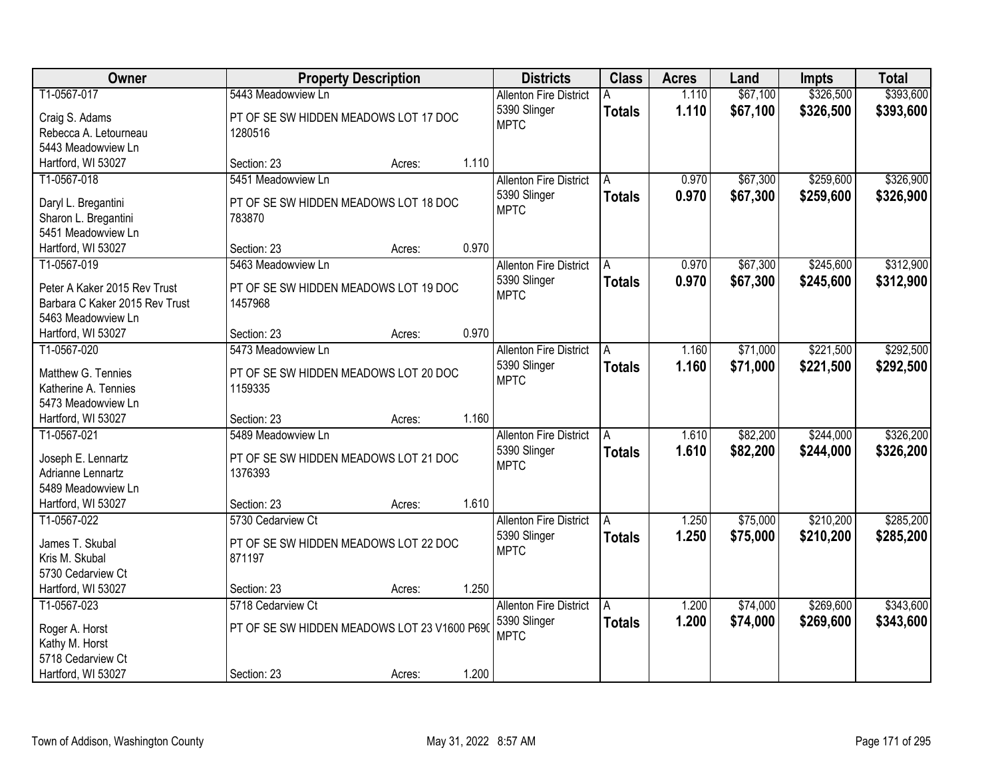| Owner                                      |                                                  | <b>Property Description</b> |       | <b>Districts</b>              | <b>Class</b>  | <b>Acres</b> | Land     | <b>Impts</b> | <b>Total</b> |
|--------------------------------------------|--------------------------------------------------|-----------------------------|-------|-------------------------------|---------------|--------------|----------|--------------|--------------|
| T1-0567-017                                | 5443 Meadowview Ln                               |                             |       | <b>Allenton Fire District</b> |               | 1.110        | \$67,100 | \$326,500    | \$393,600    |
| Craig S. Adams                             | PT OF SE SW HIDDEN MEADOWS LOT 17 DOC            |                             |       | 5390 Slinger                  | <b>Totals</b> | 1.110        | \$67,100 | \$326,500    | \$393,600    |
| Rebecca A. Letourneau                      | 1280516                                          |                             |       | <b>MPTC</b>                   |               |              |          |              |              |
| 5443 Meadowview Ln                         |                                                  |                             |       |                               |               |              |          |              |              |
| Hartford, WI 53027                         | Section: 23                                      | Acres:                      | 1.110 |                               |               |              |          |              |              |
| T1-0567-018                                | 5451 Meadowview Ln                               |                             |       | <b>Allenton Fire District</b> | A             | 0.970        | \$67,300 | \$259,600    | \$326,900    |
|                                            |                                                  |                             |       | 5390 Slinger                  | <b>Totals</b> | 0.970        | \$67,300 | \$259,600    | \$326,900    |
| Daryl L. Bregantini                        | PT OF SE SW HIDDEN MEADOWS LOT 18 DOC            |                             |       | <b>MPTC</b>                   |               |              |          |              |              |
| Sharon L. Bregantini                       | 783870                                           |                             |       |                               |               |              |          |              |              |
| 5451 Meadowview Ln                         |                                                  |                             |       |                               |               |              |          |              |              |
| Hartford, WI 53027                         | Section: 23                                      | Acres:                      | 0.970 |                               |               |              |          |              |              |
| T1-0567-019                                | 5463 Meadowview Ln                               |                             |       | <b>Allenton Fire District</b> | A             | 0.970        | \$67,300 | \$245,600    | \$312,900    |
| Peter A Kaker 2015 Rev Trust               | PT OF SE SW HIDDEN MEADOWS LOT 19 DOC            |                             |       | 5390 Slinger                  | <b>Totals</b> | 0.970        | \$67,300 | \$245,600    | \$312,900    |
| Barbara C Kaker 2015 Rev Trust             | 1457968                                          |                             |       | <b>MPTC</b>                   |               |              |          |              |              |
| 5463 Meadowview Ln                         |                                                  |                             |       |                               |               |              |          |              |              |
| Hartford, WI 53027                         | Section: 23                                      | Acres:                      | 0.970 |                               |               |              |          |              |              |
| T1-0567-020                                | 5473 Meadowview Ln                               |                             |       | <b>Allenton Fire District</b> | A             | 1.160        | \$71,000 | \$221,500    | \$292,500    |
|                                            |                                                  |                             |       | 5390 Slinger                  | <b>Totals</b> | 1.160        | \$71,000 | \$221,500    | \$292,500    |
| Matthew G. Tennies<br>Katherine A. Tennies | PT OF SE SW HIDDEN MEADOWS LOT 20 DOC<br>1159335 |                             |       | <b>MPTC</b>                   |               |              |          |              |              |
| 5473 Meadowview Ln                         |                                                  |                             |       |                               |               |              |          |              |              |
| Hartford, WI 53027                         | Section: 23                                      | Acres:                      | 1.160 |                               |               |              |          |              |              |
| T1-0567-021                                | 5489 Meadowview Ln                               |                             |       | <b>Allenton Fire District</b> | A             | 1.610        | \$82,200 | \$244,000    | \$326,200    |
|                                            |                                                  |                             |       | 5390 Slinger                  |               | 1.610        | \$82,200 | \$244,000    | \$326,200    |
| Joseph E. Lennartz                         | PT OF SE SW HIDDEN MEADOWS LOT 21 DOC            |                             |       | <b>MPTC</b>                   | <b>Totals</b> |              |          |              |              |
| Adrianne Lennartz                          | 1376393                                          |                             |       |                               |               |              |          |              |              |
| 5489 Meadowview Ln                         |                                                  |                             |       |                               |               |              |          |              |              |
| Hartford, WI 53027                         | Section: 23                                      | Acres:                      | 1.610 |                               |               |              |          |              |              |
| T1-0567-022                                | 5730 Cedarview Ct                                |                             |       | <b>Allenton Fire District</b> | A             | 1.250        | \$75,000 | \$210,200    | \$285,200    |
| James T. Skubal                            | PT OF SE SW HIDDEN MEADOWS LOT 22 DOC            |                             |       | 5390 Slinger                  | <b>Totals</b> | 1.250        | \$75,000 | \$210,200    | \$285,200    |
| Kris M. Skubal                             | 871197                                           |                             |       | <b>MPTC</b>                   |               |              |          |              |              |
| 5730 Cedarview Ct                          |                                                  |                             |       |                               |               |              |          |              |              |
| Hartford, WI 53027                         | Section: 23                                      | Acres:                      | 1.250 |                               |               |              |          |              |              |
| T1-0567-023                                | 5718 Cedarview Ct                                |                             |       | <b>Allenton Fire District</b> | A             | 1.200        | \$74,000 | \$269,600    | \$343,600    |
|                                            |                                                  |                             |       | 5390 Slinger                  | <b>Totals</b> | 1.200        | \$74,000 | \$269,600    | \$343,600    |
| Roger A. Horst                             | PT OF SE SW HIDDEN MEADOWS LOT 23 V1600 P690     |                             |       | <b>MPTC</b>                   |               |              |          |              |              |
| Kathy M. Horst                             |                                                  |                             |       |                               |               |              |          |              |              |
| 5718 Cedarview Ct                          |                                                  |                             |       |                               |               |              |          |              |              |
| Hartford, WI 53027                         | Section: 23                                      | Acres:                      | 1.200 |                               |               |              |          |              |              |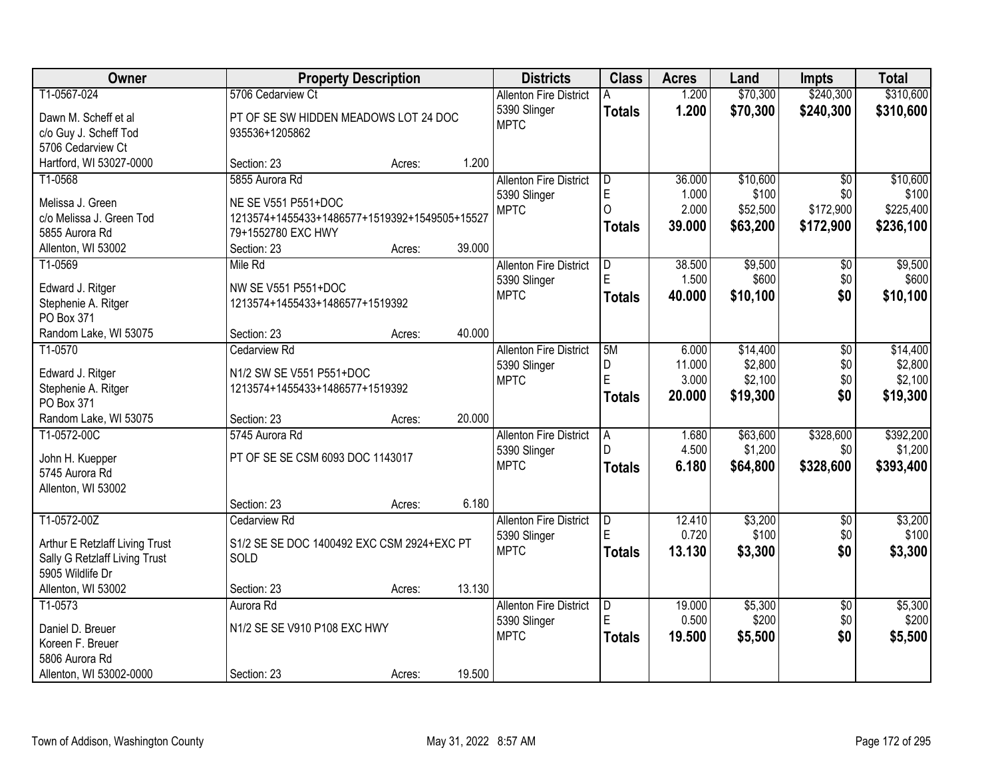| Owner                                   |                                                        | <b>Property Description</b> |        | <b>Districts</b>              | <b>Class</b>   | <b>Acres</b>    | Land             | <b>Impts</b>           | <b>Total</b>     |
|-----------------------------------------|--------------------------------------------------------|-----------------------------|--------|-------------------------------|----------------|-----------------|------------------|------------------------|------------------|
| T1-0567-024                             | 5706 Cedarview Ct                                      |                             |        | <b>Allenton Fire District</b> | A              | 1.200           | \$70,300         | \$240,300              | \$310,600        |
| Dawn M. Scheff et al                    | PT OF SE SW HIDDEN MEADOWS LOT 24 DOC                  |                             |        | 5390 Slinger                  | <b>Totals</b>  | 1.200           | \$70,300         | \$240,300              | \$310,600        |
| c/o Guy J. Scheff Tod                   | 935536+1205862                                         |                             |        | <b>MPTC</b>                   |                |                 |                  |                        |                  |
| 5706 Cedarview Ct                       |                                                        |                             |        |                               |                |                 |                  |                        |                  |
| Hartford, WI 53027-0000                 | Section: 23                                            | Acres:                      | 1.200  |                               |                |                 |                  |                        |                  |
| T1-0568                                 | 5855 Aurora Rd                                         |                             |        | <b>Allenton Fire District</b> | ID.            | 36.000          | \$10,600         | $\overline{30}$        | \$10,600         |
| Melissa J. Green                        | NE SE V551 P551+DOC                                    |                             |        | 5390 Slinger                  | E              | 1.000           | \$100            | \$0                    | \$100            |
| c/o Melissa J. Green Tod                | 1213574+1455433+1486577+1519392+1549505+15527          |                             |        | <b>MPTC</b>                   | $\Omega$       | 2.000           | \$52,500         | \$172,900              | \$225,400        |
| 5855 Aurora Rd                          | 79+1552780 EXC HWY                                     |                             |        |                               | <b>Totals</b>  | 39.000          | \$63,200         | \$172,900              | \$236,100        |
| Allenton, WI 53002                      | Section: 23                                            | Acres:                      | 39.000 |                               |                |                 |                  |                        |                  |
| T1-0569                                 | Mile Rd                                                |                             |        | <b>Allenton Fire District</b> | ID.            | 38.500          | \$9,500          | \$0                    | \$9,500          |
|                                         |                                                        |                             |        | 5390 Slinger                  | E              | 1.500           | \$600            | \$0                    | \$600            |
| Edward J. Ritger<br>Stephenie A. Ritger | NW SE V551 P551+DOC<br>1213574+1455433+1486577+1519392 |                             |        | <b>MPTC</b>                   | <b>Totals</b>  | 40.000          | \$10,100         | \$0                    | \$10,100         |
| PO Box 371                              |                                                        |                             |        |                               |                |                 |                  |                        |                  |
| Random Lake, WI 53075                   | Section: 23                                            | Acres:                      | 40.000 |                               |                |                 |                  |                        |                  |
| T1-0570                                 | <b>Cedarview Rd</b>                                    |                             |        | <b>Allenton Fire District</b> | 5M             | 6.000           | \$14,400         | \$0                    | \$14,400         |
|                                         |                                                        |                             |        | 5390 Slinger                  | D              | 11.000          | \$2,800          | \$0                    | \$2,800          |
| Edward J. Ritger                        | N1/2 SW SE V551 P551+DOC                               |                             |        | <b>MPTC</b>                   | E              | 3.000           | \$2,100          | \$0                    | \$2,100          |
| Stephenie A. Ritger<br>PO Box 371       | 1213574+1455433+1486577+1519392                        |                             |        |                               | Totals         | 20.000          | \$19,300         | \$0                    | \$19,300         |
| Random Lake, WI 53075                   | Section: 23                                            | Acres:                      | 20.000 |                               |                |                 |                  |                        |                  |
| T1-0572-00C                             | 5745 Aurora Rd                                         |                             |        | <b>Allenton Fire District</b> | $\overline{A}$ | 1.680           | \$63,600         | \$328,600              | \$392,200        |
|                                         |                                                        |                             |        | 5390 Slinger                  | D              | 4.500           | \$1,200          | \$0                    | \$1,200          |
| John H. Kuepper                         | PT OF SE SE CSM 6093 DOC 1143017                       |                             |        | <b>MPTC</b>                   | <b>Totals</b>  | 6.180           | \$64,800         | \$328,600              | \$393,400        |
| 5745 Aurora Rd                          |                                                        |                             |        |                               |                |                 |                  |                        |                  |
| Allenton, WI 53002                      | Section: 23                                            |                             | 6.180  |                               |                |                 |                  |                        |                  |
| T1-0572-00Z                             | Cedarview Rd                                           | Acres:                      |        | <b>Allenton Fire District</b> | D              | 12.410          | \$3,200          | $\overline{50}$        | \$3,200          |
|                                         |                                                        |                             |        | 5390 Slinger                  | E              | 0.720           | \$100            | \$0                    | \$100            |
| Arthur E Retzlaff Living Trust          | S1/2 SE SE DOC 1400492 EXC CSM 2924+EXC PT             |                             |        | <b>MPTC</b>                   | <b>Totals</b>  | 13.130          | \$3,300          | \$0                    | \$3,300          |
| Sally G Retzlaff Living Trust           | SOLD                                                   |                             |        |                               |                |                 |                  |                        |                  |
| 5905 Wildlife Dr                        |                                                        |                             |        |                               |                |                 |                  |                        |                  |
| Allenton, WI 53002                      | Section: 23                                            | Acres:                      | 13.130 |                               |                |                 |                  |                        |                  |
| T1-0573                                 | Aurora Rd                                              |                             |        | <b>Allenton Fire District</b> | D<br>E         | 19.000<br>0.500 | \$5,300<br>\$200 | $\overline{50}$<br>\$0 | \$5,300<br>\$200 |
| Daniel D. Breuer                        | N1/2 SE SE V910 P108 EXC HWY                           |                             |        | 5390 Slinger<br><b>MPTC</b>   |                | 19.500          |                  | \$0                    |                  |
| Koreen F. Breuer                        |                                                        |                             |        |                               | <b>Totals</b>  |                 | \$5,500          |                        | \$5,500          |
| 5806 Aurora Rd                          |                                                        |                             |        |                               |                |                 |                  |                        |                  |
| Allenton, WI 53002-0000                 | Section: 23                                            | Acres:                      | 19.500 |                               |                |                 |                  |                        |                  |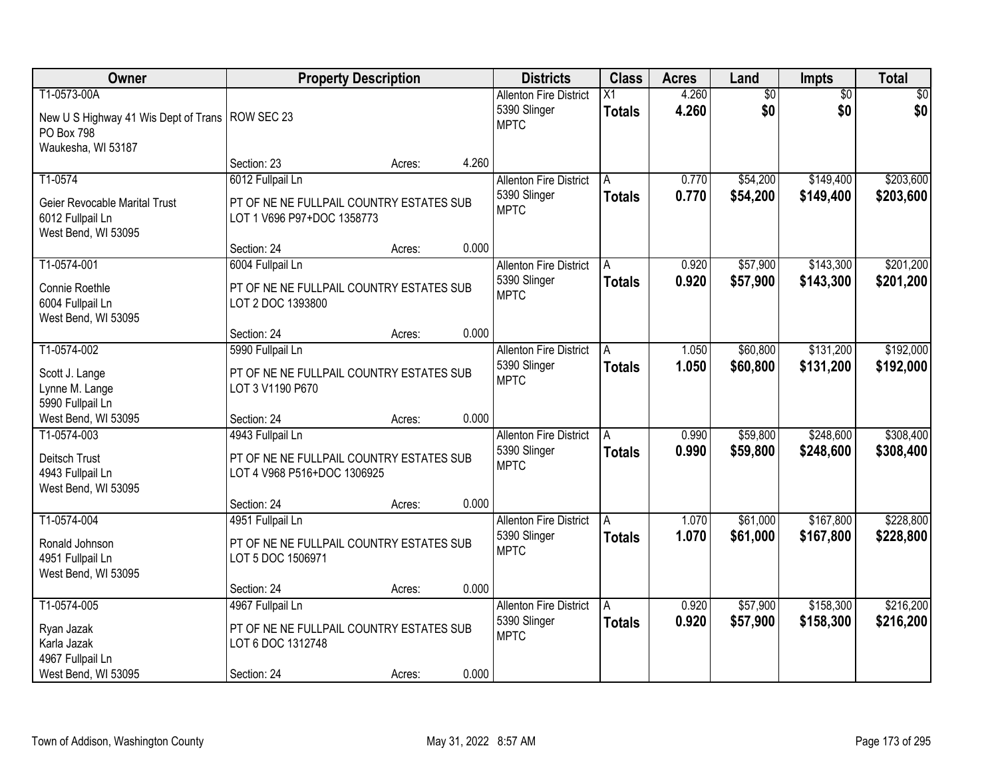| Owner                                                                                                |                                                                                                  | <b>Property Description</b> |       | <b>Districts</b>                                             | <b>Class</b>        | <b>Acres</b>   | Land                 | Impts                  | <b>Total</b>           |
|------------------------------------------------------------------------------------------------------|--------------------------------------------------------------------------------------------------|-----------------------------|-------|--------------------------------------------------------------|---------------------|----------------|----------------------|------------------------|------------------------|
| T1-0573-00A<br>New U S Highway 41 Wis Dept of Trans   ROW SEC 23<br>PO Box 798<br>Waukesha, WI 53187 |                                                                                                  |                             |       | <b>Allenton Fire District</b><br>5390 Slinger<br><b>MPTC</b> | X1<br><b>Totals</b> | 4.260<br>4.260 | \$0<br>\$0           | $\overline{30}$<br>\$0 | \$0<br>\$0             |
|                                                                                                      | Section: 23                                                                                      | Acres:                      | 4.260 |                                                              |                     |                |                      |                        |                        |
| T1-0574<br>Geier Revocable Marital Trust<br>6012 Fullpail Ln<br>West Bend, WI 53095                  | 6012 Fullpail Ln<br>PT OF NE NE FULLPAIL COUNTRY ESTATES SUB<br>LOT 1 V696 P97+DOC 1358773       |                             |       | <b>Allenton Fire District</b><br>5390 Slinger<br><b>MPTC</b> | A<br><b>Totals</b>  | 0.770<br>0.770 | \$54,200<br>\$54,200 | \$149,400<br>\$149,400 | \$203,600<br>\$203,600 |
|                                                                                                      | Section: 24                                                                                      | Acres:                      | 0.000 |                                                              |                     |                |                      |                        |                        |
| T1-0574-001<br>Connie Roethle<br>6004 Fullpail Ln<br>West Bend, WI 53095                             | 6004 Fullpail Ln<br>PT OF NE NE FULLPAIL COUNTRY ESTATES SUB<br>LOT 2 DOC 1393800                |                             |       | <b>Allenton Fire District</b><br>5390 Slinger<br><b>MPTC</b> | A<br><b>Totals</b>  | 0.920<br>0.920 | \$57,900<br>\$57,900 | \$143,300<br>\$143,300 | \$201,200<br>\$201,200 |
|                                                                                                      | Section: 24                                                                                      | Acres:                      | 0.000 |                                                              |                     |                |                      |                        |                        |
| T1-0574-002<br>Scott J. Lange<br>Lynne M. Lange<br>5990 Fullpail Ln                                  | 5990 Fullpail Ln<br>PT OF NE NE FULLPAIL COUNTRY ESTATES SUB<br>LOT 3 V1190 P670                 |                             |       | <b>Allenton Fire District</b><br>5390 Slinger<br><b>MPTC</b> | A<br><b>Totals</b>  | 1.050<br>1.050 | \$60,800<br>\$60,800 | \$131,200<br>\$131,200 | \$192,000<br>\$192,000 |
| West Bend, WI 53095                                                                                  | Section: 24                                                                                      | Acres:                      | 0.000 |                                                              |                     |                |                      |                        |                        |
| T1-0574-003<br>Deitsch Trust<br>4943 Fullpail Ln<br>West Bend, WI 53095                              | 4943 Fullpail Ln<br>PT OF NE NE FULLPAIL COUNTRY ESTATES SUB<br>LOT 4 V968 P516+DOC 1306925      |                             |       | <b>Allenton Fire District</b><br>5390 Slinger<br><b>MPTC</b> | A<br><b>Totals</b>  | 0.990<br>0.990 | \$59,800<br>\$59,800 | \$248,600<br>\$248,600 | \$308,400<br>\$308,400 |
|                                                                                                      | Section: 24                                                                                      | Acres:                      | 0.000 |                                                              |                     |                |                      |                        |                        |
| T1-0574-004<br>Ronald Johnson<br>4951 Fullpail Ln<br>West Bend, WI 53095                             | 4951 Fullpail Ln<br>PT OF NE NE FULLPAIL COUNTRY ESTATES SUB<br>LOT 5 DOC 1506971                |                             |       | <b>Allenton Fire District</b><br>5390 Slinger<br><b>MPTC</b> | A<br><b>Totals</b>  | 1.070<br>1.070 | \$61,000<br>\$61,000 | \$167,800<br>\$167,800 | \$228,800<br>\$228,800 |
|                                                                                                      | Section: 24                                                                                      | Acres:                      | 0.000 |                                                              |                     |                |                      |                        |                        |
| T1-0574-005<br>Ryan Jazak<br>Karla Jazak<br>4967 Fullpail Ln<br>West Bend, WI 53095                  | 4967 Fullpail Ln<br>PT OF NE NE FULLPAIL COUNTRY ESTATES SUB<br>LOT 6 DOC 1312748<br>Section: 24 | Acres:                      | 0.000 | <b>Allenton Fire District</b><br>5390 Slinger<br><b>MPTC</b> | A<br><b>Totals</b>  | 0.920<br>0.920 | \$57,900<br>\$57,900 | \$158,300<br>\$158,300 | \$216,200<br>\$216,200 |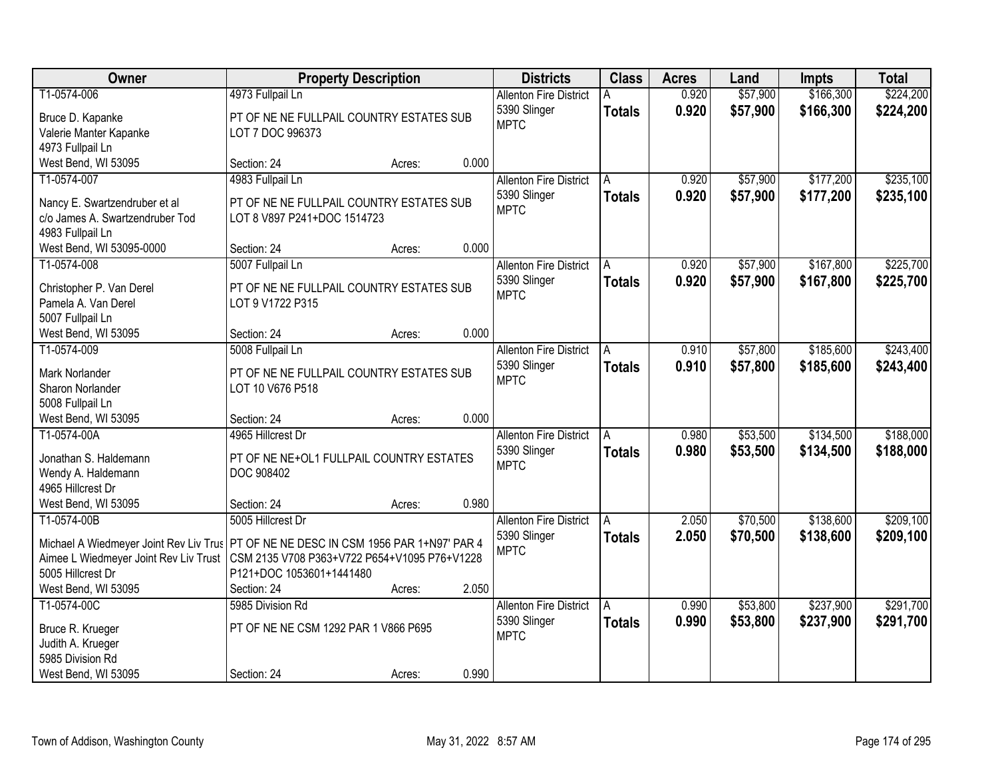| Owner                                                                                  | <b>Property Description</b>                                  |        |       | <b>Districts</b>              | <b>Class</b>  | <b>Acres</b> | Land     | <b>Impts</b> | <b>Total</b> |
|----------------------------------------------------------------------------------------|--------------------------------------------------------------|--------|-------|-------------------------------|---------------|--------------|----------|--------------|--------------|
| T1-0574-006                                                                            | 4973 Fullpail Ln                                             |        |       | <b>Allenton Fire District</b> |               | 0.920        | \$57,900 | \$166,300    | \$224,200    |
| Bruce D. Kapanke                                                                       | PT OF NE NE FULLPAIL COUNTRY ESTATES SUB                     |        |       | 5390 Slinger                  | <b>Totals</b> | 0.920        | \$57,900 | \$166,300    | \$224,200    |
| Valerie Manter Kapanke                                                                 | LOT 7 DOC 996373                                             |        |       | <b>MPTC</b>                   |               |              |          |              |              |
| 4973 Fullpail Ln                                                                       |                                                              |        |       |                               |               |              |          |              |              |
| West Bend, WI 53095                                                                    | Section: 24                                                  | Acres: | 0.000 |                               |               |              |          |              |              |
| T1-0574-007                                                                            | 4983 Fullpail Ln                                             |        |       | <b>Allenton Fire District</b> | A             | 0.920        | \$57,900 | \$177,200    | \$235,100    |
|                                                                                        |                                                              |        |       | 5390 Slinger                  | <b>Totals</b> | 0.920        | \$57,900 | \$177,200    | \$235,100    |
| Nancy E. Swartzendruber et al                                                          | PT OF NE NE FULLPAIL COUNTRY ESTATES SUB                     |        |       | <b>MPTC</b>                   |               |              |          |              |              |
| c/o James A. Swartzendruber Tod                                                        | LOT 8 V897 P241+DOC 1514723                                  |        |       |                               |               |              |          |              |              |
| 4983 Fullpail Ln                                                                       |                                                              |        |       |                               |               |              |          |              |              |
| West Bend, WI 53095-0000                                                               | Section: 24                                                  | Acres: | 0.000 |                               |               |              |          |              |              |
| T1-0574-008                                                                            | 5007 Fullpail Ln                                             |        |       | <b>Allenton Fire District</b> | A             | 0.920        | \$57,900 | \$167,800    | \$225,700    |
| Christopher P. Van Derel                                                               | PT OF NE NE FULLPAIL COUNTRY ESTATES SUB                     |        |       | 5390 Slinger                  | <b>Totals</b> | 0.920        | \$57,900 | \$167,800    | \$225,700    |
| Pamela A. Van Derel                                                                    | LOT 9 V1722 P315                                             |        |       | <b>MPTC</b>                   |               |              |          |              |              |
| 5007 Fullpail Ln                                                                       |                                                              |        |       |                               |               |              |          |              |              |
| West Bend, WI 53095                                                                    | Section: 24                                                  | Acres: | 0.000 |                               |               |              |          |              |              |
| T1-0574-009                                                                            | 5008 Fullpail Ln                                             |        |       | <b>Allenton Fire District</b> | A             | 0.910        | \$57,800 | \$185,600    | \$243,400    |
|                                                                                        |                                                              |        |       | 5390 Slinger                  | <b>Totals</b> | 0.910        | \$57,800 | \$185,600    | \$243,400    |
| Mark Norlander<br>Sharon Norlander                                                     | PT OF NE NE FULLPAIL COUNTRY ESTATES SUB<br>LOT 10 V676 P518 |        |       | <b>MPTC</b>                   |               |              |          |              |              |
| 5008 Fullpail Ln                                                                       |                                                              |        |       |                               |               |              |          |              |              |
| West Bend, WI 53095                                                                    | Section: 24                                                  | Acres: | 0.000 |                               |               |              |          |              |              |
| T1-0574-00A                                                                            | 4965 Hillcrest Dr                                            |        |       | <b>Allenton Fire District</b> | A             | 0.980        | \$53,500 | \$134,500    | \$188,000    |
|                                                                                        |                                                              |        |       | 5390 Slinger                  |               | 0.980        | \$53,500 | \$134,500    | \$188,000    |
| Jonathan S. Haldemann                                                                  | PT OF NE NE+OL1 FULLPAIL COUNTRY ESTATES                     |        |       | <b>MPTC</b>                   | <b>Totals</b> |              |          |              |              |
| Wendy A. Haldemann                                                                     | DOC 908402                                                   |        |       |                               |               |              |          |              |              |
| 4965 Hillcrest Dr                                                                      |                                                              |        |       |                               |               |              |          |              |              |
| West Bend, WI 53095                                                                    | Section: 24                                                  | Acres: | 0.980 |                               |               |              |          |              |              |
| T1-0574-00B                                                                            | 5005 Hillcrest Dr                                            |        |       | <b>Allenton Fire District</b> | A             | 2.050        | \$70,500 | \$138,600    | \$209,100    |
| Michael A Wiedmeyer Joint Rev Liv Trus   PT OF NE NE DESC IN CSM 1956 PAR 1+N97' PAR 4 |                                                              |        |       | 5390 Slinger                  | <b>Totals</b> | 2.050        | \$70,500 | \$138,600    | \$209,100    |
| Aimee L Wiedmeyer Joint Rev Liv Trust                                                  | CSM 2135 V708 P363+V722 P654+V1095 P76+V1228                 |        |       | <b>MPTC</b>                   |               |              |          |              |              |
| 5005 Hillcrest Dr                                                                      | P121+DOC 1053601+1441480                                     |        |       |                               |               |              |          |              |              |
| West Bend, WI 53095                                                                    | Section: 24                                                  | Acres: | 2.050 |                               |               |              |          |              |              |
| T1-0574-00C                                                                            | 5985 Division Rd                                             |        |       | <b>Allenton Fire District</b> | A             | 0.990        | \$53,800 | \$237,900    | \$291,700    |
|                                                                                        |                                                              |        |       | 5390 Slinger                  | <b>Totals</b> | 0.990        | \$53,800 | \$237,900    | \$291,700    |
| Bruce R. Krueger                                                                       | PT OF NE NE CSM 1292 PAR 1 V866 P695                         |        |       | <b>MPTC</b>                   |               |              |          |              |              |
| Judith A. Krueger                                                                      |                                                              |        |       |                               |               |              |          |              |              |
| 5985 Division Rd                                                                       |                                                              |        |       |                               |               |              |          |              |              |
| West Bend, WI 53095                                                                    | Section: 24                                                  | Acres: | 0.990 |                               |               |              |          |              |              |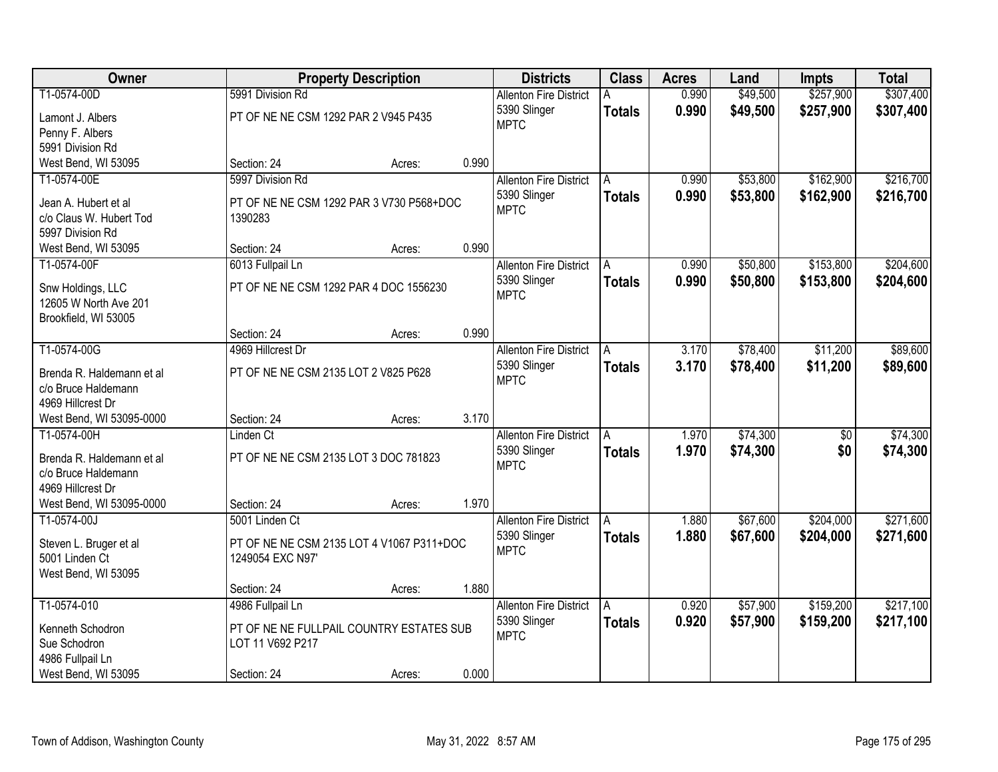| Owner                     |                                           | <b>Property Description</b> |       | <b>Districts</b>              | <b>Class</b>  | <b>Acres</b> | Land     | <b>Impts</b>    | <b>Total</b> |
|---------------------------|-------------------------------------------|-----------------------------|-------|-------------------------------|---------------|--------------|----------|-----------------|--------------|
| T1-0574-00D               | 5991 Division Rd                          |                             |       | <b>Allenton Fire District</b> |               | 0.990        | \$49,500 | \$257,900       | \$307,400    |
| Lamont J. Albers          | PT OF NE NE CSM 1292 PAR 2 V945 P435      |                             |       | 5390 Slinger                  | <b>Totals</b> | 0.990        | \$49,500 | \$257,900       | \$307,400    |
| Penny F. Albers           |                                           |                             |       | <b>MPTC</b>                   |               |              |          |                 |              |
| 5991 Division Rd          |                                           |                             |       |                               |               |              |          |                 |              |
| West Bend, WI 53095       | Section: 24                               | Acres:                      | 0.990 |                               |               |              |          |                 |              |
| T1-0574-00E               | 5997 Division Rd                          |                             |       | <b>Allenton Fire District</b> | A             | 0.990        | \$53,800 | \$162,900       | \$216,700    |
| Jean A. Hubert et al      | PT OF NE NE CSM 1292 PAR 3 V730 P568+DOC  |                             |       | 5390 Slinger                  | <b>Totals</b> | 0.990        | \$53,800 | \$162,900       | \$216,700    |
| c/o Claus W. Hubert Tod   | 1390283                                   |                             |       | <b>MPTC</b>                   |               |              |          |                 |              |
| 5997 Division Rd          |                                           |                             |       |                               |               |              |          |                 |              |
| West Bend, WI 53095       | Section: 24                               | Acres:                      | 0.990 |                               |               |              |          |                 |              |
| T1-0574-00F               | 6013 Fullpail Ln                          |                             |       | <b>Allenton Fire District</b> | A             | 0.990        | \$50,800 | \$153,800       | \$204,600    |
|                           |                                           |                             |       | 5390 Slinger                  | <b>Totals</b> | 0.990        | \$50,800 | \$153,800       | \$204,600    |
| Snw Holdings, LLC         | PT OF NE NE CSM 1292 PAR 4 DOC 1556230    |                             |       | <b>MPTC</b>                   |               |              |          |                 |              |
| 12605 W North Ave 201     |                                           |                             |       |                               |               |              |          |                 |              |
| Brookfield, WI 53005      | Section: 24                               | Acres:                      | 0.990 |                               |               |              |          |                 |              |
| T1-0574-00G               | 4969 Hillcrest Dr                         |                             |       | <b>Allenton Fire District</b> | A             | 3.170        | \$78,400 | \$11,200        | \$89,600     |
|                           |                                           |                             |       | 5390 Slinger                  | <b>Totals</b> | 3.170        | \$78,400 | \$11,200        | \$89,600     |
| Brenda R. Haldemann et al | PT OF NE NE CSM 2135 LOT 2 V825 P628      |                             |       | <b>MPTC</b>                   |               |              |          |                 |              |
| c/o Bruce Haldemann       |                                           |                             |       |                               |               |              |          |                 |              |
| 4969 Hillcrest Dr         |                                           |                             |       |                               |               |              |          |                 |              |
| West Bend, WI 53095-0000  | Section: 24                               | Acres:                      | 3.170 |                               |               |              |          |                 |              |
| T1-0574-00H               | Linden Ct                                 |                             |       | <b>Allenton Fire District</b> | A             | 1.970        | \$74,300 | $\overline{50}$ | \$74,300     |
| Brenda R. Haldemann et al | PT OF NE NE CSM 2135 LOT 3 DOC 781823     |                             |       | 5390 Slinger                  | <b>Totals</b> | 1.970        | \$74,300 | \$0             | \$74,300     |
| c/o Bruce Haldemann       |                                           |                             |       | <b>MPTC</b>                   |               |              |          |                 |              |
| 4969 Hillcrest Dr         |                                           |                             |       |                               |               |              |          |                 |              |
| West Bend, WI 53095-0000  | Section: 24                               | Acres:                      | 1.970 |                               |               |              |          |                 |              |
| T1-0574-00J               | 5001 Linden Ct                            |                             |       | <b>Allenton Fire District</b> | A             | 1.880        | \$67,600 | \$204,000       | \$271,600    |
| Steven L. Bruger et al    | PT OF NE NE CSM 2135 LOT 4 V1067 P311+DOC |                             |       | 5390 Slinger                  | <b>Totals</b> | 1.880        | \$67,600 | \$204,000       | \$271,600    |
| 5001 Linden Ct            | 1249054 EXC N97'                          |                             |       | <b>MPTC</b>                   |               |              |          |                 |              |
| West Bend, WI 53095       |                                           |                             |       |                               |               |              |          |                 |              |
|                           | Section: 24                               | Acres:                      | 1.880 |                               |               |              |          |                 |              |
| T1-0574-010               | 4986 Fullpail Ln                          |                             |       | <b>Allenton Fire District</b> | A             | 0.920        | \$57,900 | \$159,200       | \$217,100    |
| Kenneth Schodron          | PT OF NE NE FULLPAIL COUNTRY ESTATES SUB  |                             |       | 5390 Slinger                  | <b>Totals</b> | 0.920        | \$57,900 | \$159,200       | \$217,100    |
| Sue Schodron              | LOT 11 V692 P217                          |                             |       | <b>MPTC</b>                   |               |              |          |                 |              |
| 4986 Fullpail Ln          |                                           |                             |       |                               |               |              |          |                 |              |
| West Bend, WI 53095       | Section: 24                               | Acres:                      | 0.000 |                               |               |              |          |                 |              |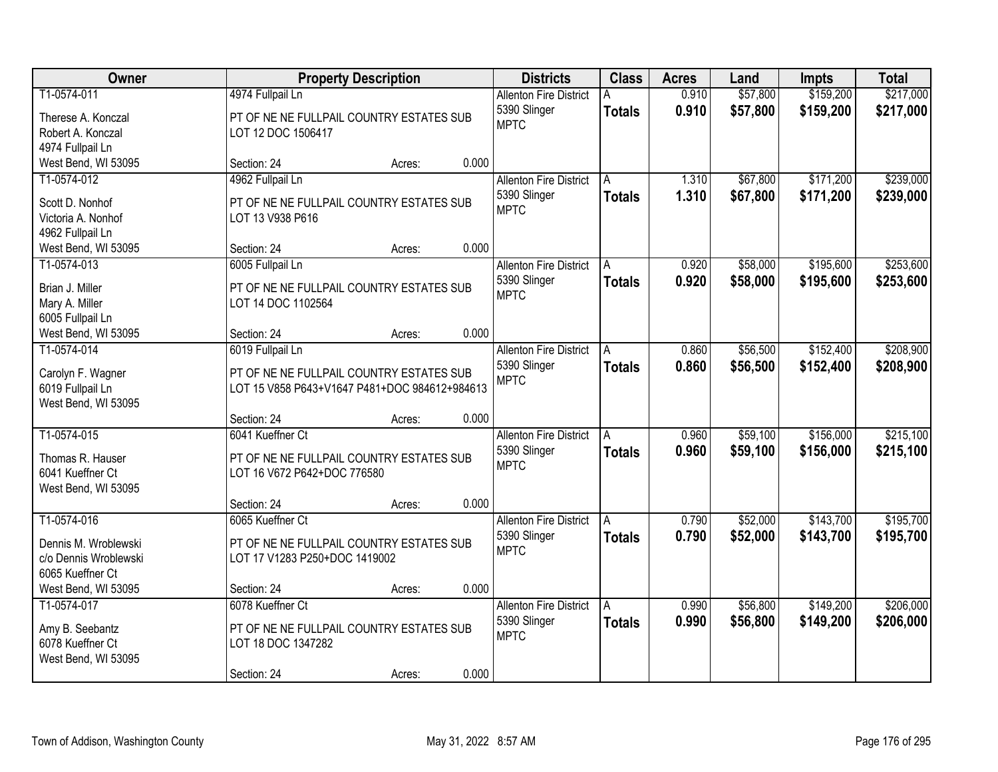| Owner                                 |                                               | <b>Property Description</b> |       | <b>Districts</b>                              | <b>Class</b>  | <b>Acres</b>   | Land                 | <b>Impts</b>           | <b>Total</b>           |
|---------------------------------------|-----------------------------------------------|-----------------------------|-------|-----------------------------------------------|---------------|----------------|----------------------|------------------------|------------------------|
| T1-0574-011                           | 4974 Fullpail Ln                              |                             |       | <b>Allenton Fire District</b><br>5390 Slinger | <b>Totals</b> | 0.910<br>0.910 | \$57,800<br>\$57,800 | \$159,200<br>\$159,200 | \$217,000<br>\$217,000 |
| Therese A. Konczal                    | PT OF NE NE FULLPAIL COUNTRY ESTATES SUB      |                             |       | <b>MPTC</b>                                   |               |                |                      |                        |                        |
| Robert A. Konczal<br>4974 Fullpail Ln | LOT 12 DOC 1506417                            |                             |       |                                               |               |                |                      |                        |                        |
| West Bend, WI 53095                   | Section: 24                                   | Acres:                      | 0.000 |                                               |               |                |                      |                        |                        |
| T1-0574-012                           | 4962 Fullpail Ln                              |                             |       | <b>Allenton Fire District</b>                 | A             | 1.310          | \$67,800             | \$171,200              | \$239,000              |
|                                       |                                               |                             |       | 5390 Slinger                                  | <b>Totals</b> | 1.310          | \$67,800             | \$171,200              | \$239,000              |
| Scott D. Nonhof                       | PT OF NE NE FULLPAIL COUNTRY ESTATES SUB      |                             |       | <b>MPTC</b>                                   |               |                |                      |                        |                        |
| Victoria A. Nonhof                    | LOT 13 V938 P616                              |                             |       |                                               |               |                |                      |                        |                        |
| 4962 Fullpail Ln                      |                                               |                             |       |                                               |               |                |                      |                        |                        |
| West Bend, WI 53095                   | Section: 24                                   | Acres:                      | 0.000 |                                               |               |                |                      |                        |                        |
| T1-0574-013                           | 6005 Fullpail Ln                              |                             |       | <b>Allenton Fire District</b>                 | A             | 0.920          | \$58,000             | \$195,600              | \$253,600              |
| Brian J. Miller                       | PT OF NE NE FULLPAIL COUNTRY ESTATES SUB      |                             |       | 5390 Slinger<br><b>MPTC</b>                   | <b>Totals</b> | 0.920          | \$58,000             | \$195,600              | \$253,600              |
| Mary A. Miller                        | LOT 14 DOC 1102564                            |                             |       |                                               |               |                |                      |                        |                        |
| 6005 Fullpail Ln                      |                                               |                             |       |                                               |               |                |                      |                        |                        |
| West Bend, WI 53095                   | Section: 24                                   | Acres:                      | 0.000 |                                               |               |                |                      |                        |                        |
| T1-0574-014                           | 6019 Fullpail Ln                              |                             |       | <b>Allenton Fire District</b>                 | A             | 0.860          | \$56,500             | \$152,400              | \$208,900              |
| Carolyn F. Wagner                     | PT OF NE NE FULLPAIL COUNTRY ESTATES SUB      |                             |       | 5390 Slinger                                  | <b>Totals</b> | 0.860          | \$56,500             | \$152,400              | \$208,900              |
| 6019 Fullpail Ln                      | LOT 15 V858 P643+V1647 P481+DOC 984612+984613 |                             |       | <b>MPTC</b>                                   |               |                |                      |                        |                        |
| West Bend, WI 53095                   |                                               |                             |       |                                               |               |                |                      |                        |                        |
|                                       | Section: 24                                   | Acres:                      | 0.000 |                                               |               |                |                      |                        |                        |
| T1-0574-015                           | 6041 Kueffner Ct                              |                             |       | <b>Allenton Fire District</b>                 |               | 0.960          | \$59,100             | \$156,000              | \$215,100              |
| Thomas R. Hauser                      | PT OF NE NE FULLPAIL COUNTRY ESTATES SUB      |                             |       | 5390 Slinger                                  | <b>Totals</b> | 0.960          | \$59,100             | \$156,000              | \$215,100              |
| 6041 Kueffner Ct                      | LOT 16 V672 P642+DOC 776580                   |                             |       | <b>MPTC</b>                                   |               |                |                      |                        |                        |
| West Bend, WI 53095                   |                                               |                             |       |                                               |               |                |                      |                        |                        |
|                                       | Section: 24                                   | Acres:                      | 0.000 |                                               |               |                |                      |                        |                        |
| T1-0574-016                           | 6065 Kueffner Ct                              |                             |       | <b>Allenton Fire District</b>                 | A             | 0.790          | \$52,000             | \$143,700              | \$195,700              |
| Dennis M. Wroblewski                  | PT OF NE NE FULLPAIL COUNTRY ESTATES SUB      |                             |       | 5390 Slinger                                  | <b>Totals</b> | 0.790          | \$52,000             | \$143,700              | \$195,700              |
| c/o Dennis Wroblewski                 | LOT 17 V1283 P250+DOC 1419002                 |                             |       | <b>MPTC</b>                                   |               |                |                      |                        |                        |
| 6065 Kueffner Ct                      |                                               |                             |       |                                               |               |                |                      |                        |                        |
| West Bend, WI 53095                   | Section: 24                                   | Acres:                      | 0.000 |                                               |               |                |                      |                        |                        |
| T1-0574-017                           | 6078 Kueffner Ct                              |                             |       | <b>Allenton Fire District</b>                 | A             | 0.990          | \$56,800             | \$149,200              | \$206,000              |
| Amy B. Seebantz                       | PT OF NE NE FULLPAIL COUNTRY ESTATES SUB      |                             |       | 5390 Slinger                                  | <b>Totals</b> | 0.990          | \$56,800             | \$149,200              | \$206,000              |
| 6078 Kueffner Ct                      | LOT 18 DOC 1347282                            |                             |       | <b>MPTC</b>                                   |               |                |                      |                        |                        |
| West Bend, WI 53095                   |                                               |                             |       |                                               |               |                |                      |                        |                        |
|                                       | Section: 24                                   | Acres:                      | 0.000 |                                               |               |                |                      |                        |                        |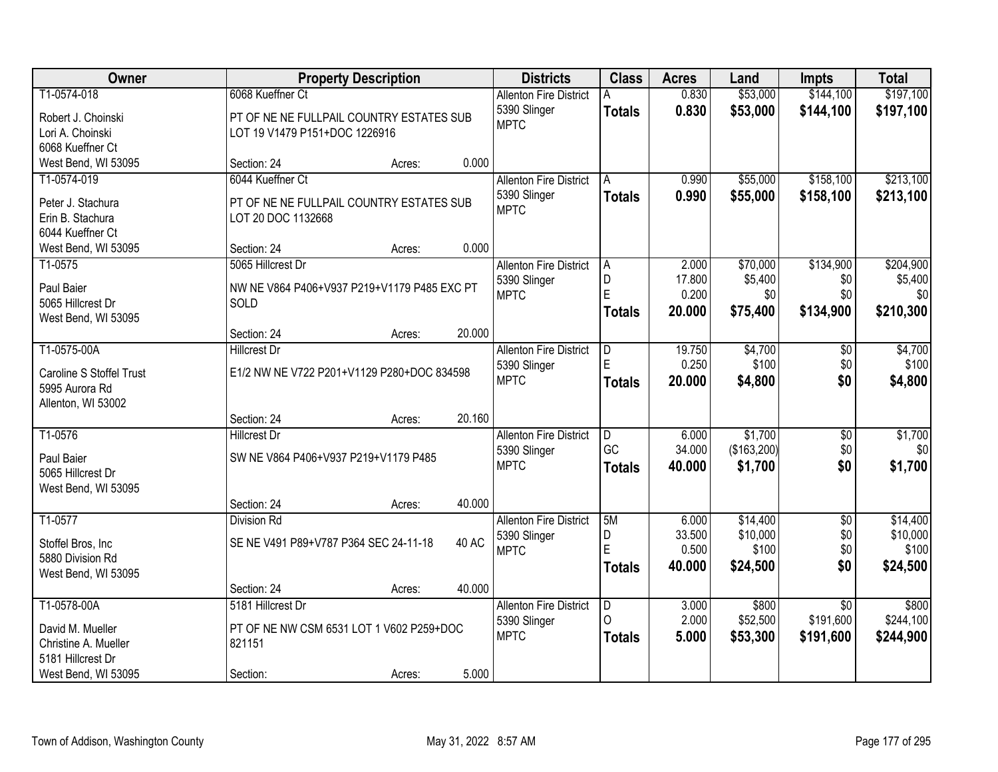| Owner                                 |                                             | <b>Property Description</b> |              | <b>Districts</b>              | <b>Class</b>  | <b>Acres</b> | Land        | Impts           | <b>Total</b> |
|---------------------------------------|---------------------------------------------|-----------------------------|--------------|-------------------------------|---------------|--------------|-------------|-----------------|--------------|
| T1-0574-018                           | 6068 Kueffner Ct                            |                             |              | <b>Allenton Fire District</b> |               | 0.830        | \$53,000    | \$144,100       | \$197,100    |
| Robert J. Choinski                    | PT OF NE NE FULLPAIL COUNTRY ESTATES SUB    |                             |              | 5390 Slinger                  | <b>Totals</b> | 0.830        | \$53,000    | \$144,100       | \$197,100    |
| Lori A. Choinski                      | LOT 19 V1479 P151+DOC 1226916               |                             |              | <b>MPTC</b>                   |               |              |             |                 |              |
| 6068 Kueffner Ct                      |                                             |                             |              |                               |               |              |             |                 |              |
| West Bend, WI 53095                   | Section: 24                                 | Acres:                      | 0.000        |                               |               |              |             |                 |              |
| T1-0574-019                           | 6044 Kueffner Ct                            |                             |              | <b>Allenton Fire District</b> | A             | 0.990        | \$55,000    | \$158,100       | \$213,100    |
|                                       |                                             |                             |              | 5390 Slinger                  | <b>Totals</b> | 0.990        | \$55,000    | \$158,100       | \$213,100    |
| Peter J. Stachura<br>Erin B. Stachura | PT OF NE NE FULLPAIL COUNTRY ESTATES SUB    |                             |              | <b>MPTC</b>                   |               |              |             |                 |              |
| 6044 Kueffner Ct                      | LOT 20 DOC 1132668                          |                             |              |                               |               |              |             |                 |              |
| West Bend, WI 53095                   | Section: 24                                 | Acres:                      | 0.000        |                               |               |              |             |                 |              |
| T1-0575                               | 5065 Hillcrest Dr                           |                             |              | <b>Allenton Fire District</b> | A             | 2.000        | \$70,000    | \$134,900       | \$204,900    |
|                                       |                                             |                             |              | 5390 Slinger                  | D             | 17.800       | \$5,400     | \$0             | \$5,400      |
| Paul Baier                            | NW NE V864 P406+V937 P219+V1179 P485 EXC PT |                             |              | <b>MPTC</b>                   | E             | 0.200        | \$0         | \$0             | \$0          |
| 5065 Hillcrest Dr                     | SOLD                                        |                             |              |                               | <b>Totals</b> | 20,000       | \$75,400    | \$134,900       | \$210,300    |
| West Bend, WI 53095                   |                                             |                             |              |                               |               |              |             |                 |              |
|                                       | Section: 24                                 | Acres:                      | 20.000       |                               |               |              |             |                 |              |
| T1-0575-00A                           | <b>Hillcrest Dr</b>                         |                             |              | <b>Allenton Fire District</b> | D             | 19.750       | \$4,700     | \$0             | \$4,700      |
| Caroline S Stoffel Trust              | E1/2 NW NE V722 P201+V1129 P280+DOC 834598  |                             |              | 5390 Slinger                  |               | 0.250        | \$100       | \$0             | \$100        |
| 5995 Aurora Rd                        |                                             |                             |              | <b>MPTC</b>                   | <b>Totals</b> | 20,000       | \$4,800     | \$0             | \$4,800      |
| Allenton, WI 53002                    |                                             |                             |              |                               |               |              |             |                 |              |
|                                       | Section: 24                                 | Acres:                      | 20.160       |                               |               |              |             |                 |              |
| T1-0576                               | <b>Hillcrest Dr</b>                         |                             |              | <b>Allenton Fire District</b> | D             | 6.000        | \$1,700     | $\overline{50}$ | \$1,700      |
| Paul Baier                            | SW NE V864 P406+V937 P219+V1179 P485        |                             |              | 5390 Slinger                  | GC            | 34.000       | (\$163,200) | \$0             | \$0          |
| 5065 Hillcrest Dr                     |                                             |                             |              | <b>MPTC</b>                   | <b>Totals</b> | 40.000       | \$1,700     | \$0             | \$1,700      |
| West Bend, WI 53095                   |                                             |                             |              |                               |               |              |             |                 |              |
|                                       | Section: 24                                 | Acres:                      | 40.000       |                               |               |              |             |                 |              |
| T1-0577                               | Division Rd                                 |                             |              | <b>Allenton Fire District</b> | 5M            | 6.000        | \$14,400    | $\overline{50}$ | \$14,400     |
| Stoffel Bros, Inc                     | SE NE V491 P89+V787 P364 SEC 24-11-18       |                             | <b>40 AC</b> | 5390 Slinger                  | D             | 33.500       | \$10,000    | \$0             | \$10,000     |
| 5880 Division Rd                      |                                             |                             |              | <b>MPTC</b>                   | E             | 0.500        | \$100       | \$0             | \$100        |
| West Bend, WI 53095                   |                                             |                             |              |                               | <b>Totals</b> | 40.000       | \$24,500    | \$0             | \$24,500     |
|                                       | Section: 24                                 | Acres:                      | 40.000       |                               |               |              |             |                 |              |
| T1-0578-00A                           | 5181 Hillcrest Dr                           |                             |              | <b>Allenton Fire District</b> | D             | 3.000        | \$800       | $\overline{50}$ | \$800        |
| David M. Mueller                      | PT OF NE NW CSM 6531 LOT 1 V602 P259+DOC    |                             |              | 5390 Slinger                  | $\Omega$      | 2.000        | \$52,500    | \$191,600       | \$244,100    |
| Christine A. Mueller                  | 821151                                      |                             |              | <b>MPTC</b>                   | <b>Totals</b> | 5.000        | \$53,300    | \$191,600       | \$244,900    |
| 5181 Hillcrest Dr                     |                                             |                             |              |                               |               |              |             |                 |              |
| West Bend, WI 53095                   | Section:                                    | Acres:                      | 5.000        |                               |               |              |             |                 |              |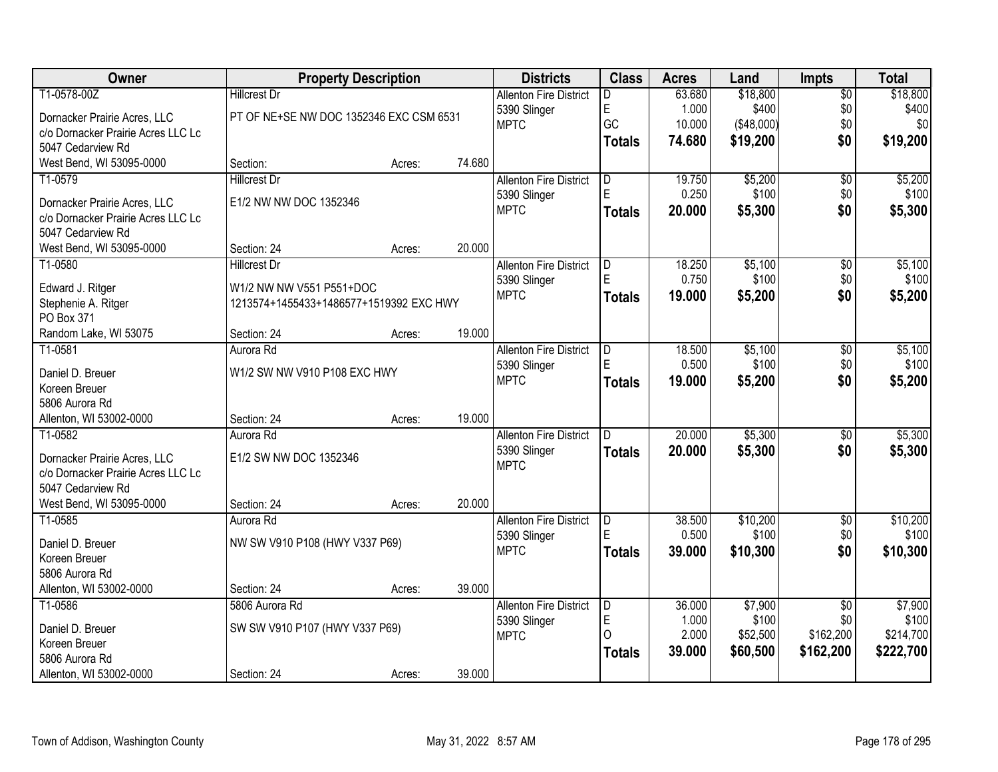| Owner                                                   |                                         | <b>Property Description</b> |        | <b>Districts</b>              | <b>Class</b>   | <b>Acres</b> | Land       | <b>Impts</b>    | <b>Total</b> |
|---------------------------------------------------------|-----------------------------------------|-----------------------------|--------|-------------------------------|----------------|--------------|------------|-----------------|--------------|
| T1-0578-00Z                                             | <b>Hillcrest Dr</b>                     |                             |        | <b>Allenton Fire District</b> | D.             | 63.680       | \$18,800   | $\overline{50}$ | \$18,800     |
| Dornacker Prairie Acres, LLC                            | PT OF NE+SE NW DOC 1352346 EXC CSM 6531 |                             |        | 5390 Slinger                  | $\mathsf E$    | 1.000        | \$400      | \$0             | \$400        |
| c/o Dornacker Prairie Acres LLC Lc                      |                                         |                             |        | <b>MPTC</b>                   | GC             | 10.000       | (\$48,000) | \$0             | \$0          |
| 5047 Cedarview Rd                                       |                                         |                             |        |                               | <b>Totals</b>  | 74.680       | \$19,200   | \$0             | \$19,200     |
| West Bend, WI 53095-0000                                | Section:                                | Acres:                      | 74.680 |                               |                |              |            |                 |              |
| T1-0579                                                 | <b>Hillcrest Dr</b>                     |                             |        | <b>Allenton Fire District</b> | D              | 19.750       | \$5,200    | $\overline{50}$ | \$5,200      |
|                                                         | E1/2 NW NW DOC 1352346                  |                             |        | 5390 Slinger                  | E              | 0.250        | \$100      | \$0             | \$100        |
| Dornacker Prairie Acres, LLC                            |                                         |                             |        | <b>MPTC</b>                   | <b>Totals</b>  | 20.000       | \$5,300    | \$0             | \$5,300      |
| c/o Dornacker Prairie Acres LLC Lc<br>5047 Cedarview Rd |                                         |                             |        |                               |                |              |            |                 |              |
| West Bend, WI 53095-0000                                | Section: 24                             | Acres:                      | 20.000 |                               |                |              |            |                 |              |
| T1-0580                                                 | <b>Hillcrest Dr</b>                     |                             |        | <b>Allenton Fire District</b> | D              | 18.250       | \$5,100    | $\overline{50}$ | \$5,100      |
|                                                         |                                         |                             |        | 5390 Slinger                  | E              | 0.750        | \$100      | \$0             | \$100        |
| Edward J. Ritger                                        | W1/2 NW NW V551 P551+DOC                |                             |        | <b>MPTC</b>                   | Totals         | 19,000       | \$5,200    | \$0             | \$5,200      |
| Stephenie A. Ritger                                     | 1213574+1455433+1486577+1519392 EXC HWY |                             |        |                               |                |              |            |                 |              |
| PO Box 371                                              |                                         |                             |        |                               |                |              |            |                 |              |
| Random Lake, WI 53075                                   | Section: 24                             | Acres:                      | 19.000 |                               |                |              |            |                 |              |
| T1-0581                                                 | Aurora Rd                               |                             |        | <b>Allenton Fire District</b> | ID.            | 18.500       | \$5,100    | \$0             | \$5,100      |
| Daniel D. Breuer                                        | W1/2 SW NW V910 P108 EXC HWY            |                             |        | 5390 Slinger                  |                | 0.500        | \$100      | \$0             | \$100        |
| Koreen Breuer                                           |                                         |                             |        | <b>MPTC</b>                   | <b>Totals</b>  | 19.000       | \$5,200    | \$0             | \$5,200      |
| 5806 Aurora Rd                                          |                                         |                             |        |                               |                |              |            |                 |              |
| Allenton, WI 53002-0000                                 | Section: 24                             | Acres:                      | 19.000 |                               |                |              |            |                 |              |
| T1-0582                                                 | Aurora Rd                               |                             |        | <b>Allenton Fire District</b> | $\overline{D}$ | 20.000       | \$5,300    | $\overline{30}$ | \$5,300      |
|                                                         |                                         |                             |        | 5390 Slinger                  | <b>Totals</b>  | 20.000       | \$5,300    | \$0             | \$5,300      |
| Dornacker Prairie Acres, LLC                            | E1/2 SW NW DOC 1352346                  |                             |        | <b>MPTC</b>                   |                |              |            |                 |              |
| c/o Dornacker Prairie Acres LLC Lc                      |                                         |                             |        |                               |                |              |            |                 |              |
| 5047 Cedarview Rd                                       |                                         |                             |        |                               |                |              |            |                 |              |
| West Bend, WI 53095-0000                                | Section: 24                             | Acres:                      | 20.000 |                               |                |              |            |                 |              |
| T1-0585                                                 | Aurora Rd                               |                             |        | <b>Allenton Fire District</b> | D<br>E         | 38.500       | \$10,200   | $\sqrt{6}$      | \$10,200     |
| Daniel D. Breuer                                        | NW SW V910 P108 (HWY V337 P69)          |                             |        | 5390 Slinger                  |                | 0.500        | \$100      | \$0             | \$100        |
| Koreen Breuer                                           |                                         |                             |        | <b>MPTC</b>                   | <b>Totals</b>  | 39.000       | \$10,300   | \$0             | \$10,300     |
| 5806 Aurora Rd                                          |                                         |                             |        |                               |                |              |            |                 |              |
| Allenton, WI 53002-0000                                 | Section: 24                             | Acres:                      | 39.000 |                               |                |              |            |                 |              |
| T1-0586                                                 | 5806 Aurora Rd                          |                             |        | <b>Allenton Fire District</b> | ID.            | 36.000       | \$7,900    | $\overline{50}$ | \$7,900      |
| Daniel D. Breuer                                        | SW SW V910 P107 (HWY V337 P69)          |                             |        | 5390 Slinger                  | $\mathsf E$    | 1.000        | \$100      | \$0             | \$100        |
| Koreen Breuer                                           |                                         |                             |        | <b>MPTC</b>                   | $\Omega$       | 2.000        | \$52,500   | \$162,200       | \$214,700    |
| 5806 Aurora Rd                                          |                                         |                             |        |                               | <b>Totals</b>  | 39.000       | \$60,500   | \$162,200       | \$222,700    |
| Allenton, WI 53002-0000                                 | Section: 24                             | Acres:                      | 39.000 |                               |                |              |            |                 |              |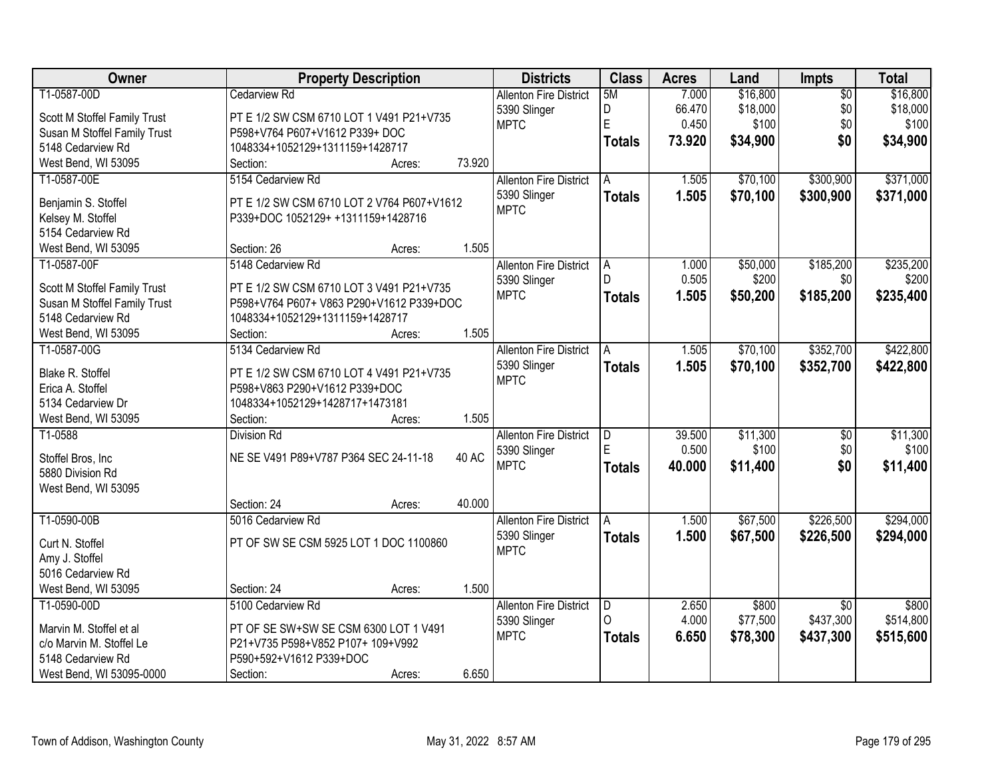| T1-0587-00D<br>7.000<br>\$16,800<br>\$16,800<br><b>Allenton Fire District</b><br>5M<br>$\overline{50}$<br>D<br>\$18,000<br>\$0<br>\$18,000<br>66.470<br>5390 Slinger<br>Scott M Stoffel Family Trust<br>PT E 1/2 SW CSM 6710 LOT 1 V491 P21+V735<br>E<br>0.450<br>\$100<br>\$0<br>\$100<br><b>MPTC</b><br>Susan M Stoffel Family Trust<br>P598+V764 P607+V1612 P339+ DOC<br>\$0<br>73.920<br>\$34,900<br>\$34,900<br><b>Totals</b><br>5148 Cedarview Rd<br>1048334+1052129+1311159+1428717<br>73.920<br>West Bend, WI 53095<br>Section:<br>Acres:<br>\$371,000<br>5154 Cedarview Rd<br>\$70,100<br>\$300,900<br>T1-0587-00E<br><b>Allenton Fire District</b><br>1.505<br>A<br>1.505<br>\$70,100<br>5390 Slinger<br>\$300,900<br>\$371,000<br><b>Totals</b><br>PT E 1/2 SW CSM 6710 LOT 2 V764 P607+V1612<br>Benjamin S. Stoffel<br><b>MPTC</b><br>Kelsey M. Stoffel<br>P339+DOC 1052129+ +1311159+1428716<br>5154 Cedarview Rd<br>1.505<br>West Bend, WI 53095<br>Section: 26<br>Acres:<br>\$185,200<br>T1-0587-00F<br>5148 Cedarview Rd<br>\$50,000<br><b>Allenton Fire District</b><br>1.000<br>A<br>D<br>0.505<br>\$200<br>\$0<br>\$200<br>5390 Slinger<br>PT E 1/2 SW CSM 6710 LOT 3 V491 P21+V735<br>Scott M Stoffel Family Trust<br><b>MPTC</b><br>1.505<br>\$50,200<br>\$185,200<br>\$235,400<br><b>Totals</b><br>Susan M Stoffel Family Trust<br>P598+V764 P607+ V863 P290+V1612 P339+DOC<br>5148 Cedarview Rd<br>1048334+1052129+1311159+1428717<br>1.505<br>Section:<br>West Bend, WI 53095<br>Acres:<br>\$352,700<br>5134 Cedarview Rd<br>\$70,100<br>\$422,800<br>T1-0587-00G<br><b>Allenton Fire District</b><br>1.505<br>A<br>5390 Slinger<br>1.505<br>\$70,100<br>\$352,700<br>\$422,800<br><b>Totals</b><br>Blake R. Stoffel<br>PT E 1/2 SW CSM 6710 LOT 4 V491 P21+V735<br><b>MPTC</b><br>P598+V863 P290+V1612 P339+DOC<br>Erica A. Stoffel<br>1048334+1052129+1428717+1473181<br>5134 Cedarview Dr<br>1.505<br>West Bend, WI 53095<br>Section:<br>Acres:<br>\$11,300<br>T1-0588<br>$\overline{\mathsf{D}}$<br>39.500<br>$\overline{50}$<br><b>Division Rd</b><br><b>Allenton Fire District</b><br>E<br>0.500<br>\$100<br>\$0<br>5390 Slinger<br><b>40 AC</b><br>NE SE V491 P89+V787 P364 SEC 24-11-18<br>Stoffel Bros, Inc<br>\$0<br><b>MPTC</b><br>40.000<br>\$11,400<br><b>Totals</b><br>5880 Division Rd<br>West Bend, WI 53095<br>40.000<br>Section: 24<br>Acres:<br>\$67,500<br>\$226,500<br>T1-0590-00B<br>5016 Cedarview Rd<br><b>Allenton Fire District</b><br>1.500<br>A<br>\$67,500<br>5390 Slinger<br>1.500<br>\$226,500<br><b>Totals</b><br>PT OF SW SE CSM 5925 LOT 1 DOC 1100860<br>Curt N. Stoffel<br><b>MPTC</b><br>Amy J. Stoffel<br>5016 Cedarview Rd | Owner | <b>Property Description</b> | <b>Districts</b> | <b>Class</b> | <b>Acres</b> | Land | <b>Impts</b> | <b>Total</b> |
|-------------------------------------------------------------------------------------------------------------------------------------------------------------------------------------------------------------------------------------------------------------------------------------------------------------------------------------------------------------------------------------------------------------------------------------------------------------------------------------------------------------------------------------------------------------------------------------------------------------------------------------------------------------------------------------------------------------------------------------------------------------------------------------------------------------------------------------------------------------------------------------------------------------------------------------------------------------------------------------------------------------------------------------------------------------------------------------------------------------------------------------------------------------------------------------------------------------------------------------------------------------------------------------------------------------------------------------------------------------------------------------------------------------------------------------------------------------------------------------------------------------------------------------------------------------------------------------------------------------------------------------------------------------------------------------------------------------------------------------------------------------------------------------------------------------------------------------------------------------------------------------------------------------------------------------------------------------------------------------------------------------------------------------------------------------------------------------------------------------------------------------------------------------------------------------------------------------------------------------------------------------------------------------------------------------------------------------------------------------------------------------------------------------------------------------------------------------------------------------------------------------------------------------------------------------------------------------------------------------------------------------------------------------------------------------------|-------|-----------------------------|------------------|--------------|--------------|------|--------------|--------------|
|                                                                                                                                                                                                                                                                                                                                                                                                                                                                                                                                                                                                                                                                                                                                                                                                                                                                                                                                                                                                                                                                                                                                                                                                                                                                                                                                                                                                                                                                                                                                                                                                                                                                                                                                                                                                                                                                                                                                                                                                                                                                                                                                                                                                                                                                                                                                                                                                                                                                                                                                                                                                                                                                                           |       | Cedarview Rd                |                  |              |              |      |              |              |
| \$235,200<br>\$11,300<br>\$100<br>\$11,400<br>\$294,000                                                                                                                                                                                                                                                                                                                                                                                                                                                                                                                                                                                                                                                                                                                                                                                                                                                                                                                                                                                                                                                                                                                                                                                                                                                                                                                                                                                                                                                                                                                                                                                                                                                                                                                                                                                                                                                                                                                                                                                                                                                                                                                                                                                                                                                                                                                                                                                                                                                                                                                                                                                                                                   |       |                             |                  |              |              |      |              |              |
|                                                                                                                                                                                                                                                                                                                                                                                                                                                                                                                                                                                                                                                                                                                                                                                                                                                                                                                                                                                                                                                                                                                                                                                                                                                                                                                                                                                                                                                                                                                                                                                                                                                                                                                                                                                                                                                                                                                                                                                                                                                                                                                                                                                                                                                                                                                                                                                                                                                                                                                                                                                                                                                                                           |       |                             |                  |              |              |      |              |              |
|                                                                                                                                                                                                                                                                                                                                                                                                                                                                                                                                                                                                                                                                                                                                                                                                                                                                                                                                                                                                                                                                                                                                                                                                                                                                                                                                                                                                                                                                                                                                                                                                                                                                                                                                                                                                                                                                                                                                                                                                                                                                                                                                                                                                                                                                                                                                                                                                                                                                                                                                                                                                                                                                                           |       |                             |                  |              |              |      |              |              |
|                                                                                                                                                                                                                                                                                                                                                                                                                                                                                                                                                                                                                                                                                                                                                                                                                                                                                                                                                                                                                                                                                                                                                                                                                                                                                                                                                                                                                                                                                                                                                                                                                                                                                                                                                                                                                                                                                                                                                                                                                                                                                                                                                                                                                                                                                                                                                                                                                                                                                                                                                                                                                                                                                           |       |                             |                  |              |              |      |              |              |
|                                                                                                                                                                                                                                                                                                                                                                                                                                                                                                                                                                                                                                                                                                                                                                                                                                                                                                                                                                                                                                                                                                                                                                                                                                                                                                                                                                                                                                                                                                                                                                                                                                                                                                                                                                                                                                                                                                                                                                                                                                                                                                                                                                                                                                                                                                                                                                                                                                                                                                                                                                                                                                                                                           |       |                             |                  |              |              |      |              |              |
|                                                                                                                                                                                                                                                                                                                                                                                                                                                                                                                                                                                                                                                                                                                                                                                                                                                                                                                                                                                                                                                                                                                                                                                                                                                                                                                                                                                                                                                                                                                                                                                                                                                                                                                                                                                                                                                                                                                                                                                                                                                                                                                                                                                                                                                                                                                                                                                                                                                                                                                                                                                                                                                                                           |       |                             |                  |              |              |      |              |              |
|                                                                                                                                                                                                                                                                                                                                                                                                                                                                                                                                                                                                                                                                                                                                                                                                                                                                                                                                                                                                                                                                                                                                                                                                                                                                                                                                                                                                                                                                                                                                                                                                                                                                                                                                                                                                                                                                                                                                                                                                                                                                                                                                                                                                                                                                                                                                                                                                                                                                                                                                                                                                                                                                                           |       |                             |                  |              |              |      |              |              |
|                                                                                                                                                                                                                                                                                                                                                                                                                                                                                                                                                                                                                                                                                                                                                                                                                                                                                                                                                                                                                                                                                                                                                                                                                                                                                                                                                                                                                                                                                                                                                                                                                                                                                                                                                                                                                                                                                                                                                                                                                                                                                                                                                                                                                                                                                                                                                                                                                                                                                                                                                                                                                                                                                           |       |                             |                  |              |              |      |              |              |
| \$294,000                                                                                                                                                                                                                                                                                                                                                                                                                                                                                                                                                                                                                                                                                                                                                                                                                                                                                                                                                                                                                                                                                                                                                                                                                                                                                                                                                                                                                                                                                                                                                                                                                                                                                                                                                                                                                                                                                                                                                                                                                                                                                                                                                                                                                                                                                                                                                                                                                                                                                                                                                                                                                                                                                 |       |                             |                  |              |              |      |              |              |
|                                                                                                                                                                                                                                                                                                                                                                                                                                                                                                                                                                                                                                                                                                                                                                                                                                                                                                                                                                                                                                                                                                                                                                                                                                                                                                                                                                                                                                                                                                                                                                                                                                                                                                                                                                                                                                                                                                                                                                                                                                                                                                                                                                                                                                                                                                                                                                                                                                                                                                                                                                                                                                                                                           |       |                             |                  |              |              |      |              |              |
|                                                                                                                                                                                                                                                                                                                                                                                                                                                                                                                                                                                                                                                                                                                                                                                                                                                                                                                                                                                                                                                                                                                                                                                                                                                                                                                                                                                                                                                                                                                                                                                                                                                                                                                                                                                                                                                                                                                                                                                                                                                                                                                                                                                                                                                                                                                                                                                                                                                                                                                                                                                                                                                                                           |       |                             |                  |              |              |      |              |              |
|                                                                                                                                                                                                                                                                                                                                                                                                                                                                                                                                                                                                                                                                                                                                                                                                                                                                                                                                                                                                                                                                                                                                                                                                                                                                                                                                                                                                                                                                                                                                                                                                                                                                                                                                                                                                                                                                                                                                                                                                                                                                                                                                                                                                                                                                                                                                                                                                                                                                                                                                                                                                                                                                                           |       |                             |                  |              |              |      |              |              |
|                                                                                                                                                                                                                                                                                                                                                                                                                                                                                                                                                                                                                                                                                                                                                                                                                                                                                                                                                                                                                                                                                                                                                                                                                                                                                                                                                                                                                                                                                                                                                                                                                                                                                                                                                                                                                                                                                                                                                                                                                                                                                                                                                                                                                                                                                                                                                                                                                                                                                                                                                                                                                                                                                           |       |                             |                  |              |              |      |              |              |
|                                                                                                                                                                                                                                                                                                                                                                                                                                                                                                                                                                                                                                                                                                                                                                                                                                                                                                                                                                                                                                                                                                                                                                                                                                                                                                                                                                                                                                                                                                                                                                                                                                                                                                                                                                                                                                                                                                                                                                                                                                                                                                                                                                                                                                                                                                                                                                                                                                                                                                                                                                                                                                                                                           |       |                             |                  |              |              |      |              |              |
|                                                                                                                                                                                                                                                                                                                                                                                                                                                                                                                                                                                                                                                                                                                                                                                                                                                                                                                                                                                                                                                                                                                                                                                                                                                                                                                                                                                                                                                                                                                                                                                                                                                                                                                                                                                                                                                                                                                                                                                                                                                                                                                                                                                                                                                                                                                                                                                                                                                                                                                                                                                                                                                                                           |       |                             |                  |              |              |      |              |              |
|                                                                                                                                                                                                                                                                                                                                                                                                                                                                                                                                                                                                                                                                                                                                                                                                                                                                                                                                                                                                                                                                                                                                                                                                                                                                                                                                                                                                                                                                                                                                                                                                                                                                                                                                                                                                                                                                                                                                                                                                                                                                                                                                                                                                                                                                                                                                                                                                                                                                                                                                                                                                                                                                                           |       |                             |                  |              |              |      |              |              |
|                                                                                                                                                                                                                                                                                                                                                                                                                                                                                                                                                                                                                                                                                                                                                                                                                                                                                                                                                                                                                                                                                                                                                                                                                                                                                                                                                                                                                                                                                                                                                                                                                                                                                                                                                                                                                                                                                                                                                                                                                                                                                                                                                                                                                                                                                                                                                                                                                                                                                                                                                                                                                                                                                           |       |                             |                  |              |              |      |              |              |
|                                                                                                                                                                                                                                                                                                                                                                                                                                                                                                                                                                                                                                                                                                                                                                                                                                                                                                                                                                                                                                                                                                                                                                                                                                                                                                                                                                                                                                                                                                                                                                                                                                                                                                                                                                                                                                                                                                                                                                                                                                                                                                                                                                                                                                                                                                                                                                                                                                                                                                                                                                                                                                                                                           |       |                             |                  |              |              |      |              |              |
|                                                                                                                                                                                                                                                                                                                                                                                                                                                                                                                                                                                                                                                                                                                                                                                                                                                                                                                                                                                                                                                                                                                                                                                                                                                                                                                                                                                                                                                                                                                                                                                                                                                                                                                                                                                                                                                                                                                                                                                                                                                                                                                                                                                                                                                                                                                                                                                                                                                                                                                                                                                                                                                                                           |       |                             |                  |              |              |      |              |              |
|                                                                                                                                                                                                                                                                                                                                                                                                                                                                                                                                                                                                                                                                                                                                                                                                                                                                                                                                                                                                                                                                                                                                                                                                                                                                                                                                                                                                                                                                                                                                                                                                                                                                                                                                                                                                                                                                                                                                                                                                                                                                                                                                                                                                                                                                                                                                                                                                                                                                                                                                                                                                                                                                                           |       |                             |                  |              |              |      |              |              |
|                                                                                                                                                                                                                                                                                                                                                                                                                                                                                                                                                                                                                                                                                                                                                                                                                                                                                                                                                                                                                                                                                                                                                                                                                                                                                                                                                                                                                                                                                                                                                                                                                                                                                                                                                                                                                                                                                                                                                                                                                                                                                                                                                                                                                                                                                                                                                                                                                                                                                                                                                                                                                                                                                           |       |                             |                  |              |              |      |              |              |
|                                                                                                                                                                                                                                                                                                                                                                                                                                                                                                                                                                                                                                                                                                                                                                                                                                                                                                                                                                                                                                                                                                                                                                                                                                                                                                                                                                                                                                                                                                                                                                                                                                                                                                                                                                                                                                                                                                                                                                                                                                                                                                                                                                                                                                                                                                                                                                                                                                                                                                                                                                                                                                                                                           |       |                             |                  |              |              |      |              |              |
|                                                                                                                                                                                                                                                                                                                                                                                                                                                                                                                                                                                                                                                                                                                                                                                                                                                                                                                                                                                                                                                                                                                                                                                                                                                                                                                                                                                                                                                                                                                                                                                                                                                                                                                                                                                                                                                                                                                                                                                                                                                                                                                                                                                                                                                                                                                                                                                                                                                                                                                                                                                                                                                                                           |       |                             |                  |              |              |      |              |              |
|                                                                                                                                                                                                                                                                                                                                                                                                                                                                                                                                                                                                                                                                                                                                                                                                                                                                                                                                                                                                                                                                                                                                                                                                                                                                                                                                                                                                                                                                                                                                                                                                                                                                                                                                                                                                                                                                                                                                                                                                                                                                                                                                                                                                                                                                                                                                                                                                                                                                                                                                                                                                                                                                                           |       |                             |                  |              |              |      |              |              |
|                                                                                                                                                                                                                                                                                                                                                                                                                                                                                                                                                                                                                                                                                                                                                                                                                                                                                                                                                                                                                                                                                                                                                                                                                                                                                                                                                                                                                                                                                                                                                                                                                                                                                                                                                                                                                                                                                                                                                                                                                                                                                                                                                                                                                                                                                                                                                                                                                                                                                                                                                                                                                                                                                           |       |                             |                  |              |              |      |              |              |
|                                                                                                                                                                                                                                                                                                                                                                                                                                                                                                                                                                                                                                                                                                                                                                                                                                                                                                                                                                                                                                                                                                                                                                                                                                                                                                                                                                                                                                                                                                                                                                                                                                                                                                                                                                                                                                                                                                                                                                                                                                                                                                                                                                                                                                                                                                                                                                                                                                                                                                                                                                                                                                                                                           |       |                             |                  |              |              |      |              |              |
|                                                                                                                                                                                                                                                                                                                                                                                                                                                                                                                                                                                                                                                                                                                                                                                                                                                                                                                                                                                                                                                                                                                                                                                                                                                                                                                                                                                                                                                                                                                                                                                                                                                                                                                                                                                                                                                                                                                                                                                                                                                                                                                                                                                                                                                                                                                                                                                                                                                                                                                                                                                                                                                                                           |       |                             |                  |              |              |      |              |              |
|                                                                                                                                                                                                                                                                                                                                                                                                                                                                                                                                                                                                                                                                                                                                                                                                                                                                                                                                                                                                                                                                                                                                                                                                                                                                                                                                                                                                                                                                                                                                                                                                                                                                                                                                                                                                                                                                                                                                                                                                                                                                                                                                                                                                                                                                                                                                                                                                                                                                                                                                                                                                                                                                                           |       |                             |                  |              |              |      |              |              |
|                                                                                                                                                                                                                                                                                                                                                                                                                                                                                                                                                                                                                                                                                                                                                                                                                                                                                                                                                                                                                                                                                                                                                                                                                                                                                                                                                                                                                                                                                                                                                                                                                                                                                                                                                                                                                                                                                                                                                                                                                                                                                                                                                                                                                                                                                                                                                                                                                                                                                                                                                                                                                                                                                           |       |                             |                  |              |              |      |              |              |
|                                                                                                                                                                                                                                                                                                                                                                                                                                                                                                                                                                                                                                                                                                                                                                                                                                                                                                                                                                                                                                                                                                                                                                                                                                                                                                                                                                                                                                                                                                                                                                                                                                                                                                                                                                                                                                                                                                                                                                                                                                                                                                                                                                                                                                                                                                                                                                                                                                                                                                                                                                                                                                                                                           |       |                             |                  |              |              |      |              |              |
|                                                                                                                                                                                                                                                                                                                                                                                                                                                                                                                                                                                                                                                                                                                                                                                                                                                                                                                                                                                                                                                                                                                                                                                                                                                                                                                                                                                                                                                                                                                                                                                                                                                                                                                                                                                                                                                                                                                                                                                                                                                                                                                                                                                                                                                                                                                                                                                                                                                                                                                                                                                                                                                                                           |       |                             |                  |              |              |      |              |              |
| West Bend, WI 53095<br>1.500<br>Section: 24<br>Acres:                                                                                                                                                                                                                                                                                                                                                                                                                                                                                                                                                                                                                                                                                                                                                                                                                                                                                                                                                                                                                                                                                                                                                                                                                                                                                                                                                                                                                                                                                                                                                                                                                                                                                                                                                                                                                                                                                                                                                                                                                                                                                                                                                                                                                                                                                                                                                                                                                                                                                                                                                                                                                                     |       |                             |                  |              |              |      |              |              |
| \$800<br>\$800<br>T1-0590-00D<br>5100 Cedarview Rd<br><b>Allenton Fire District</b><br>D<br>2.650<br>$\overline{50}$                                                                                                                                                                                                                                                                                                                                                                                                                                                                                                                                                                                                                                                                                                                                                                                                                                                                                                                                                                                                                                                                                                                                                                                                                                                                                                                                                                                                                                                                                                                                                                                                                                                                                                                                                                                                                                                                                                                                                                                                                                                                                                                                                                                                                                                                                                                                                                                                                                                                                                                                                                      |       |                             |                  |              |              |      |              |              |
| \$514,800<br>4.000<br>\$77,500<br>\$437,300<br>∩<br>5390 Slinger<br>Marvin M. Stoffel et al<br>PT OF SE SW+SW SE CSM 6300 LOT 1 V491                                                                                                                                                                                                                                                                                                                                                                                                                                                                                                                                                                                                                                                                                                                                                                                                                                                                                                                                                                                                                                                                                                                                                                                                                                                                                                                                                                                                                                                                                                                                                                                                                                                                                                                                                                                                                                                                                                                                                                                                                                                                                                                                                                                                                                                                                                                                                                                                                                                                                                                                                      |       |                             |                  |              |              |      |              |              |
| <b>MPTC</b><br>6.650<br>\$78,300<br>\$437,300<br>\$515,600<br><b>Totals</b><br>c/o Marvin M. Stoffel Le<br>P21+V735 P598+V852 P107+ 109+V992                                                                                                                                                                                                                                                                                                                                                                                                                                                                                                                                                                                                                                                                                                                                                                                                                                                                                                                                                                                                                                                                                                                                                                                                                                                                                                                                                                                                                                                                                                                                                                                                                                                                                                                                                                                                                                                                                                                                                                                                                                                                                                                                                                                                                                                                                                                                                                                                                                                                                                                                              |       |                             |                  |              |              |      |              |              |
| P590+592+V1612 P339+DOC<br>5148 Cedarview Rd                                                                                                                                                                                                                                                                                                                                                                                                                                                                                                                                                                                                                                                                                                                                                                                                                                                                                                                                                                                                                                                                                                                                                                                                                                                                                                                                                                                                                                                                                                                                                                                                                                                                                                                                                                                                                                                                                                                                                                                                                                                                                                                                                                                                                                                                                                                                                                                                                                                                                                                                                                                                                                              |       |                             |                  |              |              |      |              |              |
| 6.650<br>West Bend, WI 53095-0000<br>Section:<br>Acres:                                                                                                                                                                                                                                                                                                                                                                                                                                                                                                                                                                                                                                                                                                                                                                                                                                                                                                                                                                                                                                                                                                                                                                                                                                                                                                                                                                                                                                                                                                                                                                                                                                                                                                                                                                                                                                                                                                                                                                                                                                                                                                                                                                                                                                                                                                                                                                                                                                                                                                                                                                                                                                   |       |                             |                  |              |              |      |              |              |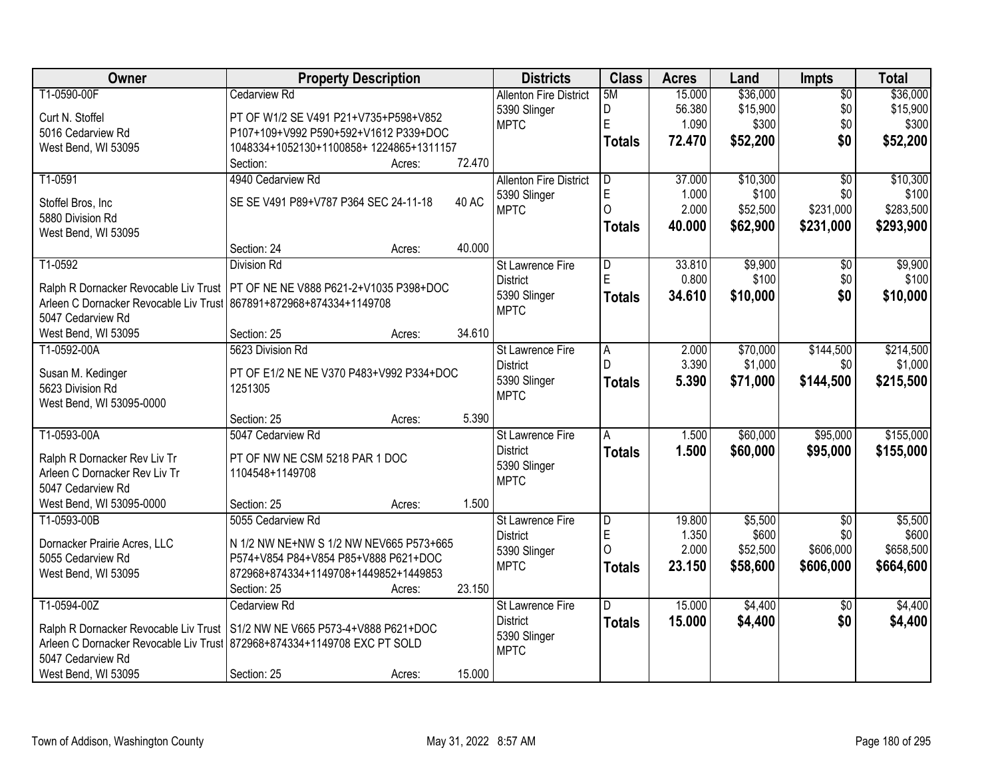| Owner                                  | <b>Property Description</b>                                                    |              | <b>Districts</b>              | <b>Class</b>   | <b>Acres</b> | Land     | Impts           | <b>Total</b> |
|----------------------------------------|--------------------------------------------------------------------------------|--------------|-------------------------------|----------------|--------------|----------|-----------------|--------------|
| T1-0590-00F                            | <b>Cedarview Rd</b>                                                            |              | <b>Allenton Fire District</b> | 5M             | 15.000       | \$36,000 | $\overline{50}$ | \$36,000     |
| Curt N. Stoffel                        | PT OF W1/2 SE V491 P21+V735+P598+V852                                          |              | 5390 Slinger                  | D              | 56.380       | \$15,900 | \$0             | \$15,900     |
| 5016 Cedarview Rd                      | P107+109+V992 P590+592+V1612 P339+DOC                                          |              | <b>MPTC</b>                   | E              | 1.090        | \$300    | \$0             | \$300        |
| West Bend, WI 53095                    | 1048334+1052130+1100858+1224865+1311157                                        |              |                               | <b>Totals</b>  | 72.470       | \$52,200 | \$0             | \$52,200     |
|                                        | Section:<br>Acres:                                                             | 72.470       |                               |                |              |          |                 |              |
| T1-0591                                | 4940 Cedarview Rd                                                              |              | <b>Allenton Fire District</b> | $\overline{D}$ | 37.000       | \$10,300 | $\overline{50}$ | \$10,300     |
|                                        |                                                                                |              | 5390 Slinger                  | E              | 1.000        | \$100    | \$0             | \$100        |
| Stoffel Bros, Inc                      | SE SE V491 P89+V787 P364 SEC 24-11-18                                          | <b>40 AC</b> | <b>MPTC</b>                   | 0              | 2.000        | \$52,500 | \$231,000       | \$283,500    |
| 5880 Division Rd                       |                                                                                |              |                               | <b>Totals</b>  | 40.000       | \$62,900 | \$231,000       | \$293,900    |
| West Bend, WI 53095                    |                                                                                |              |                               |                |              |          |                 |              |
|                                        | Section: 24<br>Acres:                                                          | 40.000       |                               |                |              |          |                 |              |
| T1-0592                                | <b>Division Rd</b>                                                             |              | St Lawrence Fire              | D              | 33.810       | \$9,900  | \$0             | \$9,900      |
|                                        | Ralph R Dornacker Revocable Liv Trust   PT OF NE NE V888 P621-2+V1035 P398+DOC |              | <b>District</b>               | Ė              | 0.800        | \$100    | \$0             | \$100        |
| Arleen C Dornacker Revocable Liv Trust | 867891+872968+874334+1149708                                                   |              | 5390 Slinger                  | <b>Totals</b>  | 34.610       | \$10,000 | \$0             | \$10,000     |
| 5047 Cedarview Rd                      |                                                                                |              | <b>MPTC</b>                   |                |              |          |                 |              |
| West Bend, WI 53095                    | Section: 25<br>Acres:                                                          | 34.610       |                               |                |              |          |                 |              |
| T1-0592-00A                            | 5623 Division Rd                                                               |              | St Lawrence Fire              | $\overline{A}$ | 2.000        | \$70,000 | \$144,500       | \$214,500    |
|                                        |                                                                                |              | <b>District</b>               | D              | 3.390        | \$1,000  | \$0             | \$1,000      |
| Susan M. Kedinger                      | PT OF E1/2 NE NE V370 P483+V992 P334+DOC                                       |              | 5390 Slinger                  | <b>Totals</b>  | 5.390        | \$71,000 | \$144,500       | \$215,500    |
| 5623 Division Rd                       | 1251305                                                                        |              | <b>MPTC</b>                   |                |              |          |                 |              |
| West Bend, WI 53095-0000               |                                                                                | 5.390        |                               |                |              |          |                 |              |
|                                        | Section: 25<br>Acres:                                                          |              |                               |                |              |          |                 |              |
| T1-0593-00A                            | 5047 Cedarview Rd                                                              |              | St Lawrence Fire              | A              | 1.500        | \$60,000 | \$95,000        | \$155,000    |
| Ralph R Dornacker Rev Liv Tr           | PT OF NW NE CSM 5218 PAR 1 DOC                                                 |              | <b>District</b>               | <b>Totals</b>  | 1.500        | \$60,000 | \$95,000        | \$155,000    |
| Arleen C Dornacker Rev Liv Tr          | 1104548+1149708                                                                |              | 5390 Slinger                  |                |              |          |                 |              |
| 5047 Cedarview Rd                      |                                                                                |              | <b>MPTC</b>                   |                |              |          |                 |              |
| West Bend, WI 53095-0000               | Section: 25<br>Acres:                                                          | 1.500        |                               |                |              |          |                 |              |
| T1-0593-00B                            | 5055 Cedarview Rd                                                              |              | <b>St Lawrence Fire</b>       | $\overline{D}$ | 19.800       | \$5,500  | $\overline{50}$ | \$5,500      |
| Dornacker Prairie Acres, LLC           | N 1/2 NW NE+NW S 1/2 NW NEV665 P573+665                                        |              | <b>District</b>               | E              | 1.350        | \$600    | \$0             | \$600        |
| 5055 Cedarview Rd                      | P574+V854 P84+V854 P85+V888 P621+DOC                                           |              | 5390 Slinger                  | $\Omega$       | 2.000        | \$52,500 | \$606,000       | \$658,500    |
| West Bend, WI 53095                    | 872968+874334+1149708+1449852+1449853                                          |              | <b>MPTC</b>                   | <b>Totals</b>  | 23.150       | \$58,600 | \$606,000       | \$664,600    |
|                                        | Section: 25<br>Acres:                                                          | 23.150       |                               |                |              |          |                 |              |
| T1-0594-00Z                            | Cedarview Rd                                                                   |              | St Lawrence Fire              | D.             | 15.000       | \$4,400  | $\overline{50}$ | \$4,400      |
|                                        |                                                                                |              | <b>District</b>               |                | 15.000       | \$4,400  | \$0             | \$4,400      |
| Ralph R Dornacker Revocable Liv Trust  | S1/2 NW NE V665 P573-4+V888 P621+DOC                                           |              | 5390 Slinger                  | <b>Totals</b>  |              |          |                 |              |
| Arleen C Dornacker Revocable Liv Trust | 872968+874334+1149708 EXC PT SOLD                                              |              | <b>MPTC</b>                   |                |              |          |                 |              |
| 5047 Cedarview Rd                      |                                                                                |              |                               |                |              |          |                 |              |
| West Bend, WI 53095                    | Section: 25<br>Acres:                                                          | 15.000       |                               |                |              |          |                 |              |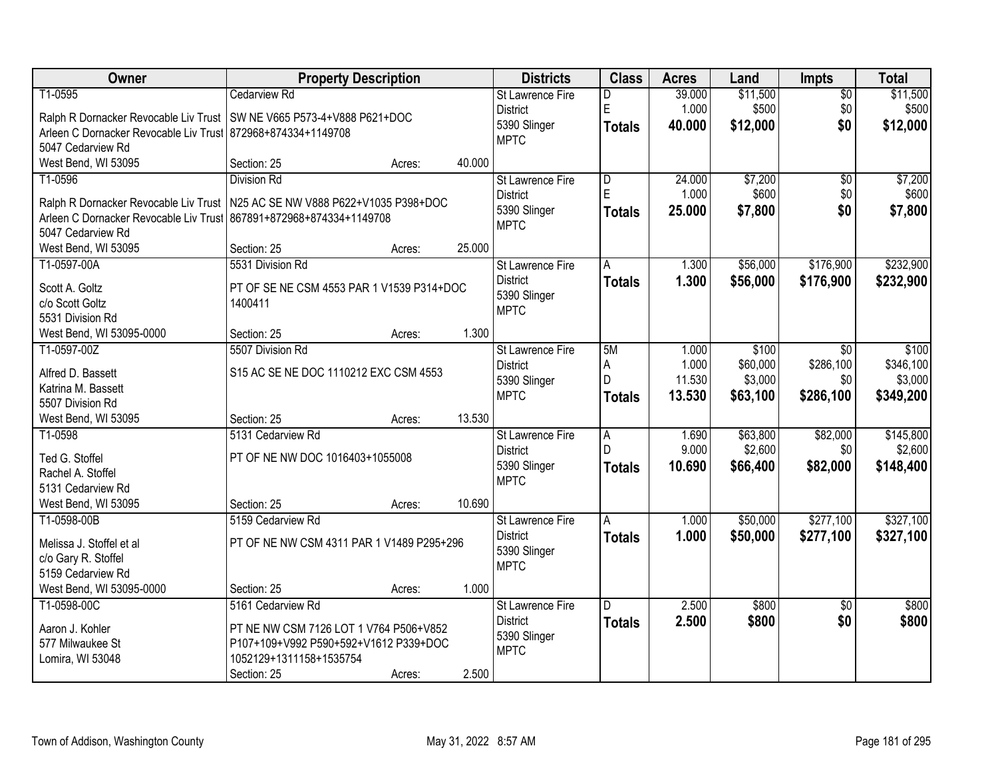| Owner                                                        | <b>Property Description</b>                                                   |        | <b>Districts</b>                    | <b>Class</b>       | <b>Acres</b>   | Land     | <b>Impts</b>    | <b>Total</b> |
|--------------------------------------------------------------|-------------------------------------------------------------------------------|--------|-------------------------------------|--------------------|----------------|----------|-----------------|--------------|
| T1-0595                                                      | <b>Cedarview Rd</b>                                                           |        | St Lawrence Fire                    | D                  | 39.000         | \$11,500 | $\overline{50}$ | \$11,500     |
|                                                              | Ralph R Dornacker Revocable Liv Trust   SW NE V665 P573-4+V888 P621+DOC       |        | <b>District</b>                     | E                  | 1.000          | \$500    | \$0             | \$500        |
| Arleen C Dornacker Revocable Liv Trust 872968+874334+1149708 |                                                                               |        | 5390 Slinger                        | <b>Totals</b>      | 40.000         | \$12,000 | \$0             | \$12,000     |
| 5047 Cedarview Rd                                            |                                                                               |        | <b>MPTC</b>                         |                    |                |          |                 |              |
| West Bend, WI 53095                                          | Section: 25<br>Acres:                                                         | 40.000 |                                     |                    |                |          |                 |              |
| T1-0596                                                      | <b>Division Rd</b>                                                            |        | St Lawrence Fire                    | $\overline{D}$     | 24.000         | \$7,200  | $\overline{50}$ | \$7,200      |
|                                                              | Ralph R Dornacker Revocable Liv Trust   N25 AC SE NW V888 P622+V1035 P398+DOC |        | <b>District</b>                     | E                  | 1.000          | \$600    | \$0             | \$600        |
| Arleen C Dornacker Revocable Liv Trust                       | 867891+872968+874334+1149708                                                  |        | 5390 Slinger                        | <b>Totals</b>      | 25.000         | \$7,800  | \$0             | \$7,800      |
| 5047 Cedarview Rd                                            |                                                                               |        | <b>MPTC</b>                         |                    |                |          |                 |              |
| West Bend, WI 53095                                          | Section: 25<br>Acres:                                                         | 25.000 |                                     |                    |                |          |                 |              |
| T1-0597-00A                                                  | 5531 Division Rd                                                              |        | St Lawrence Fire                    | A                  | 1.300          | \$56,000 | \$176,900       | \$232,900    |
| Scott A. Goltz                                               | PT OF SE NE CSM 4553 PAR 1 V1539 P314+DOC                                     |        | <b>District</b>                     | <b>Totals</b>      | 1.300          | \$56,000 | \$176,900       | \$232,900    |
| c/o Scott Goltz                                              | 1400411                                                                       |        | 5390 Slinger                        |                    |                |          |                 |              |
| 5531 Division Rd                                             |                                                                               |        | <b>MPTC</b>                         |                    |                |          |                 |              |
| West Bend, WI 53095-0000                                     | Section: 25<br>Acres:                                                         | 1.300  |                                     |                    |                |          |                 |              |
| T1-0597-00Z                                                  | 5507 Division Rd                                                              |        | St Lawrence Fire                    | 5M                 | 1.000          | \$100    | $\sqrt{6}$      | \$100        |
|                                                              |                                                                               |        | <b>District</b>                     | A                  | 1.000          | \$60,000 | \$286,100       | \$346,100    |
| Alfred D. Bassett<br>Katrina M. Bassett                      | S15 AC SE NE DOC 1110212 EXC CSM 4553                                         |        | 5390 Slinger                        | D                  | 11.530         | \$3,000  | \$0             | \$3,000      |
| 5507 Division Rd                                             |                                                                               |        | <b>MPTC</b>                         | <b>Totals</b>      | 13.530         | \$63,100 | \$286,100       | \$349,200    |
| West Bend, WI 53095                                          | Section: 25<br>Acres:                                                         | 13.530 |                                     |                    |                |          |                 |              |
| T1-0598                                                      | 5131 Cedarview Rd                                                             |        | St Lawrence Fire                    | $\overline{A}$     | 1.690          | \$63,800 | \$82,000        | \$145,800    |
|                                                              |                                                                               |        | <b>District</b>                     | D                  | 9.000          | \$2,600  | \$0             | \$2,600      |
| Ted G. Stoffel                                               | PT OF NE NW DOC 1016403+1055008                                               |        | 5390 Slinger                        | <b>Totals</b>      | 10.690         | \$66,400 | \$82,000        | \$148,400    |
| Rachel A. Stoffel                                            |                                                                               |        | <b>MPTC</b>                         |                    |                |          |                 |              |
| 5131 Cedarview Rd                                            | Section: 25                                                                   | 10.690 |                                     |                    |                |          |                 |              |
| West Bend, WI 53095<br>T1-0598-00B                           | Acres:<br>5159 Cedarview Rd                                                   |        |                                     |                    |                | \$50,000 | \$277,100       | \$327,100    |
|                                                              |                                                                               |        | St Lawrence Fire<br><b>District</b> | A<br><b>Totals</b> | 1.000<br>1.000 | \$50,000 | \$277,100       | \$327,100    |
| Melissa J. Stoffel et al                                     | PT OF NE NW CSM 4311 PAR 1 V1489 P295+296                                     |        | 5390 Slinger                        |                    |                |          |                 |              |
| c/o Gary R. Stoffel                                          |                                                                               |        | <b>MPTC</b>                         |                    |                |          |                 |              |
| 5159 Cedarview Rd                                            |                                                                               |        |                                     |                    |                |          |                 |              |
| West Bend, WI 53095-0000                                     | Section: 25<br>Acres:                                                         | 1.000  |                                     |                    |                |          |                 |              |
| T1-0598-00C                                                  | 5161 Cedarview Rd                                                             |        | <b>St Lawrence Fire</b>             | D                  | 2.500          | \$800    | $\overline{50}$ | \$800        |
| Aaron J. Kohler                                              | PT NE NW CSM 7126 LOT 1 V764 P506+V852                                        |        | <b>District</b>                     | <b>Totals</b>      | 2.500          | \$800    | \$0             | \$800        |
| 577 Milwaukee St                                             | P107+109+V992 P590+592+V1612 P339+DOC                                         |        | 5390 Slinger<br><b>MPTC</b>         |                    |                |          |                 |              |
| Lomira, WI 53048                                             | 1052129+1311158+1535754                                                       |        |                                     |                    |                |          |                 |              |
|                                                              | Section: 25<br>Acres:                                                         | 2.500  |                                     |                    |                |          |                 |              |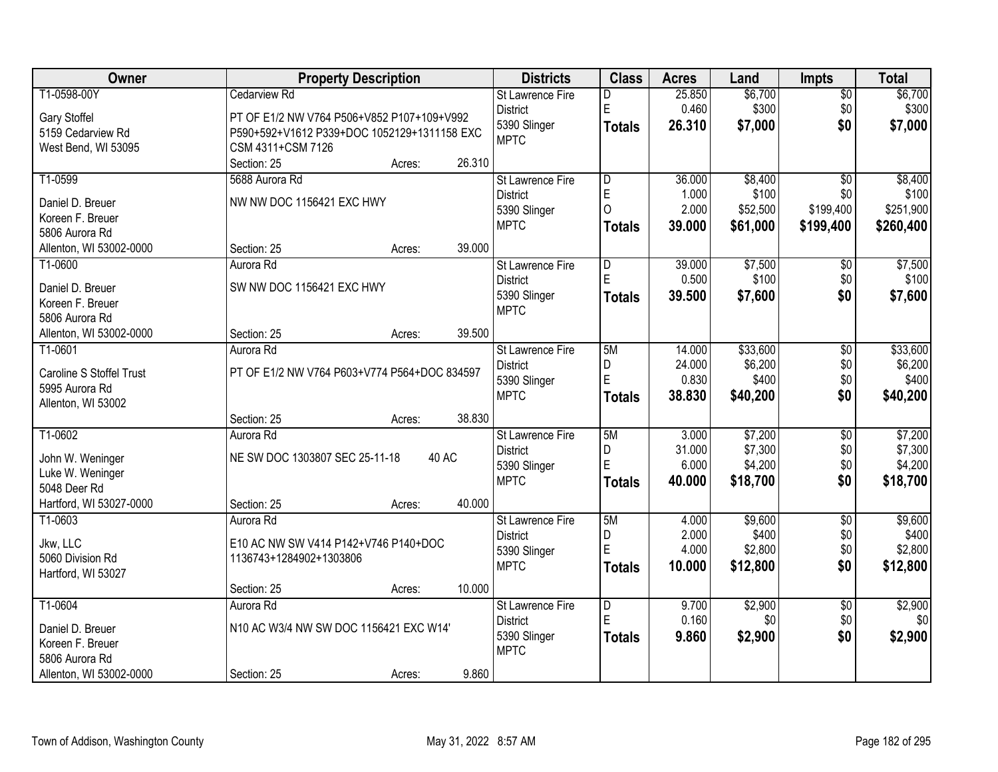| Owner                    | <b>Property Description</b>                  |        | <b>Districts</b>        | <b>Class</b>            | <b>Acres</b> | Land     | <b>Impts</b>    | <b>Total</b> |
|--------------------------|----------------------------------------------|--------|-------------------------|-------------------------|--------------|----------|-----------------|--------------|
| T1-0598-00Y              | <b>Cedarview Rd</b>                          |        | St Lawrence Fire        | D                       | 25.850       | \$6,700  | $\overline{50}$ | \$6,700      |
| Gary Stoffel             | PT OF E1/2 NW V764 P506+V852 P107+109+V992   |        | <b>District</b>         | E                       | 0.460        | \$300    | \$0             | \$300        |
| 5159 Cedarview Rd        | P590+592+V1612 P339+DOC 1052129+1311158 EXC  |        | 5390 Slinger            | <b>Totals</b>           | 26.310       | \$7,000  | \$0             | \$7,000      |
| West Bend, WI 53095      | CSM 4311+CSM 7126                            |        | <b>MPTC</b>             |                         |              |          |                 |              |
|                          | Section: 25<br>Acres:                        | 26.310 |                         |                         |              |          |                 |              |
| T1-0599                  | 5688 Aurora Rd                               |        | St Lawrence Fire        | $\overline{\mathsf{D}}$ | 36.000       | \$8,400  | $\overline{30}$ | \$8,400      |
|                          |                                              |        | <b>District</b>         | E                       | 1.000        | \$100    | \$0             | \$100        |
| Daniel D. Breuer         | NW NW DOC 1156421 EXC HWY                    |        | 5390 Slinger            | $\overline{O}$          | 2.000        | \$52,500 | \$199,400       | \$251,900    |
| Koreen F. Breuer         |                                              |        | <b>MPTC</b>             | <b>Totals</b>           | 39.000       | \$61,000 | \$199,400       | \$260,400    |
| 5806 Aurora Rd           |                                              |        |                         |                         |              |          |                 |              |
| Allenton, WI 53002-0000  | Section: 25<br>Acres:                        | 39.000 |                         |                         |              |          |                 |              |
| T1-0600                  | Aurora Rd                                    |        | St Lawrence Fire        | D                       | 39.000       | \$7,500  | \$0             | \$7,500      |
| Daniel D. Breuer         | SW NW DOC 1156421 EXC HWY                    |        | <b>District</b>         | E                       | 0.500        | \$100    | \$0             | \$100        |
| Koreen F. Breuer         |                                              |        | 5390 Slinger            | <b>Totals</b>           | 39.500       | \$7,600  | \$0             | \$7,600      |
| 5806 Aurora Rd           |                                              |        | <b>MPTC</b>             |                         |              |          |                 |              |
| Allenton, WI 53002-0000  | Section: 25<br>Acres:                        | 39.500 |                         |                         |              |          |                 |              |
| T1-0601                  | Aurora Rd                                    |        | St Lawrence Fire        | 5M                      | 14.000       | \$33,600 | \$0             | \$33,600     |
|                          |                                              |        | <b>District</b>         | D                       | 24.000       | \$6,200  | \$0             | \$6,200      |
| Caroline S Stoffel Trust | PT OF E1/2 NW V764 P603+V774 P564+DOC 834597 |        | 5390 Slinger            | E                       | 0.830        | \$400    | \$0             | \$400        |
| 5995 Aurora Rd           |                                              |        | <b>MPTC</b>             | <b>Totals</b>           | 38.830       | \$40,200 | \$0             | \$40,200     |
| Allenton, WI 53002       |                                              |        |                         |                         |              |          |                 |              |
|                          | Section: 25<br>Acres:                        | 38.830 |                         |                         |              |          |                 |              |
| T1-0602                  | Aurora Rd                                    |        | St Lawrence Fire        | 5M                      | 3.000        | \$7,200  | $\overline{30}$ | \$7,200      |
| John W. Weninger         | NE SW DOC 1303807 SEC 25-11-18<br>40 AC      |        | <b>District</b>         | D                       | 31.000       | \$7,300  | \$0             | \$7,300      |
| Luke W. Weninger         |                                              |        | 5390 Slinger            | E                       | 6.000        | \$4,200  | \$0             | \$4,200      |
| 5048 Deer Rd             |                                              |        | <b>MPTC</b>             | <b>Totals</b>           | 40.000       | \$18,700 | \$0             | \$18,700     |
| Hartford, WI 53027-0000  | Section: 25<br>Acres:                        | 40.000 |                         |                         |              |          |                 |              |
| T1-0603                  | Aurora Rd                                    |        | <b>St Lawrence Fire</b> | 5M                      | 4.000        | \$9,600  | $\overline{50}$ | \$9,600      |
|                          |                                              |        | <b>District</b>         | D                       | 2.000        | \$400    | \$0             | \$400        |
| Jkw, LLC                 | E10 AC NW SW V414 P142+V746 P140+DOC         |        | 5390 Slinger            | E                       | 4.000        | \$2,800  | \$0             | \$2,800      |
| 5060 Division Rd         | 1136743+1284902+1303806                      |        | <b>MPTC</b>             | <b>Totals</b>           | 10.000       | \$12,800 | \$0             | \$12,800     |
| Hartford, WI 53027       |                                              |        |                         |                         |              |          |                 |              |
|                          | Section: 25<br>Acres:                        | 10.000 |                         |                         |              |          |                 |              |
| T1-0604                  | Aurora Rd                                    |        | St Lawrence Fire        | D                       | 9.700        | \$2,900  | $\overline{30}$ | \$2,900      |
| Daniel D. Breuer         | N10 AC W3/4 NW SW DOC 1156421 EXC W14'       |        | <b>District</b>         | E                       | 0.160        | \$0      | \$0             | \$0          |
| Koreen F. Breuer         |                                              |        | 5390 Slinger            | <b>Totals</b>           | 9.860        | \$2,900  | \$0             | \$2,900      |
| 5806 Aurora Rd           |                                              |        | <b>MPTC</b>             |                         |              |          |                 |              |
| Allenton, WI 53002-0000  | Section: 25<br>Acres:                        | 9.860  |                         |                         |              |          |                 |              |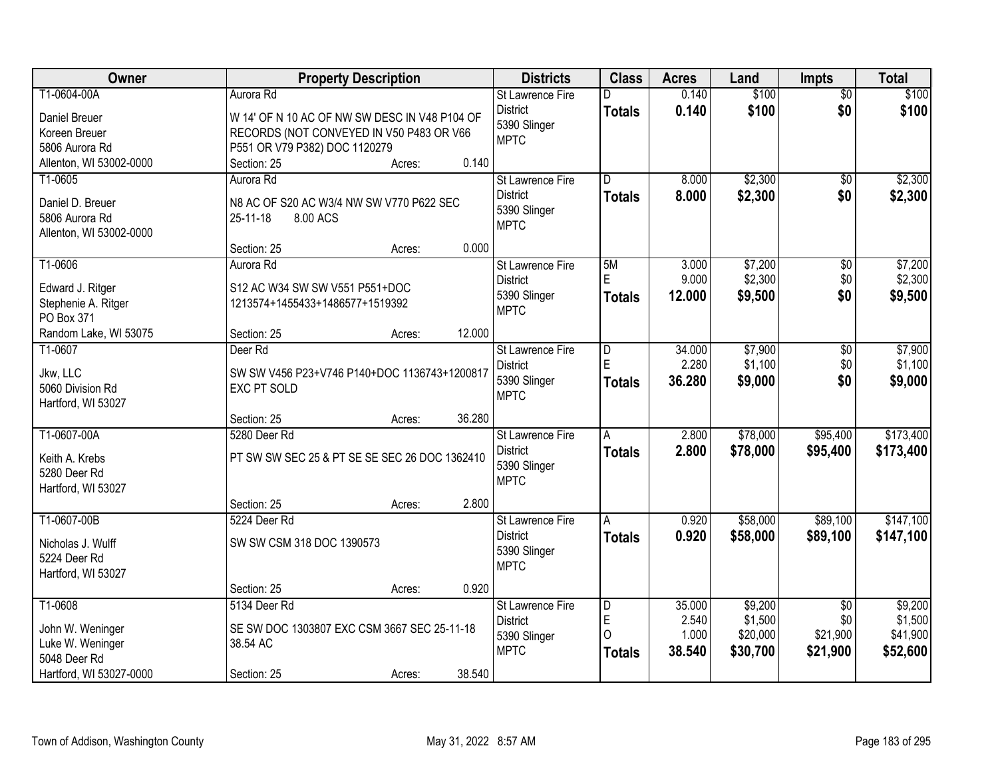| Owner                            | <b>Property Description</b>                   |        |        | <b>Districts</b>        | <b>Class</b>            | <b>Acres</b> | Land     | Impts           | <b>Total</b> |
|----------------------------------|-----------------------------------------------|--------|--------|-------------------------|-------------------------|--------------|----------|-----------------|--------------|
| T1-0604-00A                      | Aurora Rd                                     |        |        | St Lawrence Fire        | D                       | 0.140        | \$100    | $\overline{50}$ | \$100        |
| <b>Daniel Breuer</b>             | W 14' OF N 10 AC OF NW SW DESC IN V48 P104 OF |        |        | <b>District</b>         | <b>Totals</b>           | 0.140        | \$100    | \$0             | \$100        |
| Koreen Breuer                    | RECORDS (NOT CONVEYED IN V50 P483 OR V66      |        |        | 5390 Slinger            |                         |              |          |                 |              |
| 5806 Aurora Rd                   | P551 OR V79 P382) DOC 1120279                 |        |        | <b>MPTC</b>             |                         |              |          |                 |              |
| Allenton, WI 53002-0000          | Section: 25                                   | Acres: | 0.140  |                         |                         |              |          |                 |              |
| T1-0605                          | Aurora Rd                                     |        |        | <b>St Lawrence Fire</b> | $\overline{\mathsf{D}}$ | 8.000        | \$2,300  | $\overline{50}$ | \$2,300      |
| Daniel D. Breuer                 | N8 AC OF S20 AC W3/4 NW SW V770 P622 SEC      |        |        | <b>District</b>         | <b>Totals</b>           | 8.000        | \$2,300  | \$0             | \$2,300      |
| 5806 Aurora Rd                   | 25-11-18<br>8.00 ACS                          |        |        | 5390 Slinger            |                         |              |          |                 |              |
| Allenton, WI 53002-0000          |                                               |        |        | <b>MPTC</b>             |                         |              |          |                 |              |
|                                  | Section: 25                                   | Acres: | 0.000  |                         |                         |              |          |                 |              |
| T1-0606                          | Aurora Rd                                     |        |        | St Lawrence Fire        | 5M                      | 3.000        | \$7,200  | $\overline{50}$ | \$7,200      |
| Edward J. Ritger                 | S12 AC W34 SW SW V551 P551+DOC                |        |        | <b>District</b>         | E                       | 9.000        | \$2,300  | \$0             | \$2,300      |
| Stephenie A. Ritger              | 1213574+1455433+1486577+1519392               |        |        | 5390 Slinger            | <b>Totals</b>           | 12.000       | \$9,500  | \$0             | \$9,500      |
| PO Box 371                       |                                               |        |        | <b>MPTC</b>             |                         |              |          |                 |              |
| Random Lake, WI 53075            | Section: 25                                   | Acres: | 12.000 |                         |                         |              |          |                 |              |
| T1-0607                          | Deer Rd                                       |        |        | St Lawrence Fire        | $\overline{D}$          | 34.000       | \$7,900  | \$0             | \$7,900      |
|                                  | SW SW V456 P23+V746 P140+DOC 1136743+1200817  |        |        | <b>District</b>         | E                       | 2.280        | \$1,100  | \$0             | \$1,100      |
| Jkw, LLC<br>5060 Division Rd     | EXC PT SOLD                                   |        |        | 5390 Slinger            | <b>Totals</b>           | 36.280       | \$9,000  | \$0             | \$9,000      |
| Hartford, WI 53027               |                                               |        |        | <b>MPTC</b>             |                         |              |          |                 |              |
|                                  | Section: 25                                   | Acres: | 36.280 |                         |                         |              |          |                 |              |
| T1-0607-00A                      | 5280 Deer Rd                                  |        |        | St Lawrence Fire        | $\overline{A}$          | 2.800        | \$78,000 | \$95,400        | \$173,400    |
|                                  |                                               |        |        | <b>District</b>         | <b>Totals</b>           | 2.800        | \$78,000 | \$95,400        | \$173,400    |
| Keith A. Krebs<br>5280 Deer Rd   | PT SW SW SEC 25 & PT SE SE SEC 26 DOC 1362410 |        |        | 5390 Slinger            |                         |              |          |                 |              |
| Hartford, WI 53027               |                                               |        |        | <b>MPTC</b>             |                         |              |          |                 |              |
|                                  | Section: 25                                   | Acres: | 2.800  |                         |                         |              |          |                 |              |
| T1-0607-00B                      | 5224 Deer Rd                                  |        |        | <b>St Lawrence Fire</b> | A                       | 0.920        | \$58,000 | \$89,100        | \$147,100    |
| Nicholas J. Wulff                | SW SW CSM 318 DOC 1390573                     |        |        | <b>District</b>         | <b>Totals</b>           | 0.920        | \$58,000 | \$89,100        | \$147,100    |
| 5224 Deer Rd                     |                                               |        |        | 5390 Slinger            |                         |              |          |                 |              |
| Hartford, WI 53027               |                                               |        |        | <b>MPTC</b>             |                         |              |          |                 |              |
|                                  | Section: 25                                   | Acres: | 0.920  |                         |                         |              |          |                 |              |
| T1-0608                          | 5134 Deer Rd                                  |        |        | St Lawrence Fire        | D                       | 35.000       | \$9,200  | $\overline{50}$ | \$9,200      |
|                                  |                                               |        |        | <b>District</b>         | E                       | 2.540        | \$1,500  | \$0             | \$1,500      |
| John W. Weninger                 | SE SW DOC 1303807 EXC CSM 3667 SEC 25-11-18   |        |        | 5390 Slinger            | $\Omega$                | 1.000        | \$20,000 | \$21,900        | \$41,900     |
| Luke W. Weninger<br>5048 Deer Rd | 38.54 AC                                      |        |        | <b>MPTC</b>             | <b>Totals</b>           | 38.540       | \$30,700 | \$21,900        | \$52,600     |
| Hartford, WI 53027-0000          | Section: 25                                   | Acres: | 38.540 |                         |                         |              |          |                 |              |
|                                  |                                               |        |        |                         |                         |              |          |                 |              |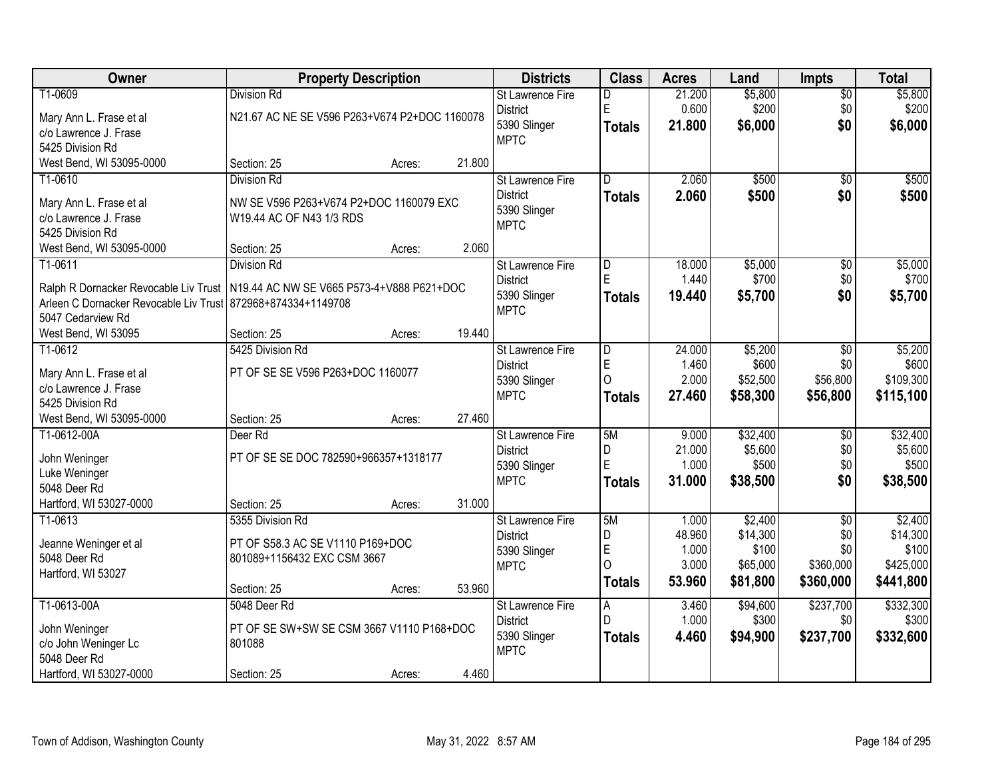| Owner                                                                             | <b>Property Description</b>                   |        |        | <b>Districts</b>        | <b>Class</b>   | <b>Acres</b> | Land     | <b>Impts</b>    | <b>Total</b> |
|-----------------------------------------------------------------------------------|-----------------------------------------------|--------|--------|-------------------------|----------------|--------------|----------|-----------------|--------------|
| T1-0609                                                                           | <b>Division Rd</b>                            |        |        | <b>St Lawrence Fire</b> | D              | 21.200       | \$5,800  | $\overline{50}$ | \$5,800      |
| Mary Ann L. Frase et al                                                           | N21.67 AC NE SE V596 P263+V674 P2+DOC 1160078 |        |        | <b>District</b>         | E              | 0.600        | \$200    | \$0             | \$200        |
| c/o Lawrence J. Frase                                                             |                                               |        |        | 5390 Slinger            | <b>Totals</b>  | 21.800       | \$6,000  | \$0             | \$6,000      |
| 5425 Division Rd                                                                  |                                               |        |        | <b>MPTC</b>             |                |              |          |                 |              |
| West Bend, WI 53095-0000                                                          | Section: 25                                   | Acres: | 21.800 |                         |                |              |          |                 |              |
| T1-0610                                                                           | <b>Division Rd</b>                            |        |        | St Lawrence Fire        | D.             | 2.060        | \$500    | $\overline{50}$ | \$500        |
|                                                                                   | NW SE V596 P263+V674 P2+DOC 1160079 EXC       |        |        | <b>District</b>         | <b>Totals</b>  | 2.060        | \$500    | \$0             | \$500        |
| Mary Ann L. Frase et al<br>c/o Lawrence J. Frase                                  | W19.44 AC OF N43 1/3 RDS                      |        |        | 5390 Slinger            |                |              |          |                 |              |
| 5425 Division Rd                                                                  |                                               |        |        | <b>MPTC</b>             |                |              |          |                 |              |
| West Bend, WI 53095-0000                                                          | Section: 25                                   | Acres: | 2.060  |                         |                |              |          |                 |              |
| T1-0611                                                                           | <b>Division Rd</b>                            |        |        | St Lawrence Fire        | D              | 18.000       | \$5,000  | \$0             | \$5,000      |
|                                                                                   |                                               |        |        | <b>District</b>         |                | 1.440        | \$700    | \$0             | \$700        |
| Ralph R Dornacker Revocable Liv Trust   N19.44 AC NW SE V665 P573-4+V888 P621+DOC |                                               |        |        | 5390 Slinger            | <b>Totals</b>  | 19.440       | \$5,700  | \$0             | \$5,700      |
| Arleen C Dornacker Revocable Liv Trust 872968+874334+1149708                      |                                               |        |        | <b>MPTC</b>             |                |              |          |                 |              |
| 5047 Cedarview Rd                                                                 |                                               |        |        |                         |                |              |          |                 |              |
| West Bend, WI 53095                                                               | Section: 25                                   | Acres: | 19.440 |                         |                |              |          |                 |              |
| T1-0612                                                                           | 5425 Division Rd                              |        |        | St Lawrence Fire        | $\overline{D}$ | 24.000       | \$5,200  | \$0             | \$5,200      |
| Mary Ann L. Frase et al                                                           | PT OF SE SE V596 P263+DOC 1160077             |        |        | <b>District</b>         | E              | 1.460        | \$600    | \$0             | \$600        |
| c/o Lawrence J. Frase                                                             |                                               |        |        | 5390 Slinger            | $\overline{O}$ | 2.000        | \$52,500 | \$56,800        | \$109,300    |
| 5425 Division Rd                                                                  |                                               |        |        | <b>MPTC</b>             | <b>Totals</b>  | 27.460       | \$58,300 | \$56,800        | \$115,100    |
| West Bend, WI 53095-0000                                                          | Section: 25                                   | Acres: | 27.460 |                         |                |              |          |                 |              |
| T1-0612-00A                                                                       | Deer Rd                                       |        |        | St Lawrence Fire        | 5M             | 9.000        | \$32,400 | $\overline{50}$ | \$32,400     |
| John Weninger                                                                     | PT OF SE SE DOC 782590+966357+1318177         |        |        | <b>District</b>         | D              | 21.000       | \$5,600  | \$0             | \$5,600      |
| Luke Weninger                                                                     |                                               |        |        | 5390 Slinger            | E              | 1.000        | \$500    | \$0             | \$500        |
| 5048 Deer Rd                                                                      |                                               |        |        | <b>MPTC</b>             | <b>Totals</b>  | 31.000       | \$38,500 | \$0             | \$38,500     |
| Hartford, WI 53027-0000                                                           | Section: 25                                   | Acres: | 31.000 |                         |                |              |          |                 |              |
| T1-0613                                                                           | 5355 Division Rd                              |        |        | St Lawrence Fire        | 5M             | 1.000        | \$2,400  | $\overline{50}$ | \$2,400      |
|                                                                                   |                                               |        |        | <b>District</b>         | D              | 48.960       | \$14,300 | \$0             | \$14,300     |
| Jeanne Weninger et al                                                             | PT OF S58.3 AC SE V1110 P169+DOC              |        |        | 5390 Slinger            | E              | 1.000        | \$100    | \$0             | \$100        |
| 5048 Deer Rd                                                                      | 801089+1156432 EXC CSM 3667                   |        |        | <b>MPTC</b>             | $\Omega$       | 3.000        | \$65,000 | \$360,000       | \$425,000    |
| Hartford, WI 53027                                                                |                                               |        |        |                         | <b>Totals</b>  | 53.960       | \$81,800 | \$360,000       | \$441,800    |
|                                                                                   | Section: 25                                   | Acres: | 53.960 |                         |                |              |          |                 |              |
| T1-0613-00A                                                                       | 5048 Deer Rd                                  |        |        | <b>St Lawrence Fire</b> | $\overline{A}$ | 3.460        | \$94,600 | \$237,700       | \$332,300    |
| John Weninger                                                                     | PT OF SE SW+SW SE CSM 3667 V1110 P168+DOC     |        |        | <b>District</b>         | D              | 1.000        | \$300    | \$0             | \$300        |
| c/o John Weninger Lc                                                              | 801088                                        |        |        | 5390 Slinger            | <b>Totals</b>  | 4.460        | \$94,900 | \$237,700       | \$332,600    |
| 5048 Deer Rd                                                                      |                                               |        |        | <b>MPTC</b>             |                |              |          |                 |              |
| Hartford, WI 53027-0000                                                           | Section: 25                                   | Acres: | 4.460  |                         |                |              |          |                 |              |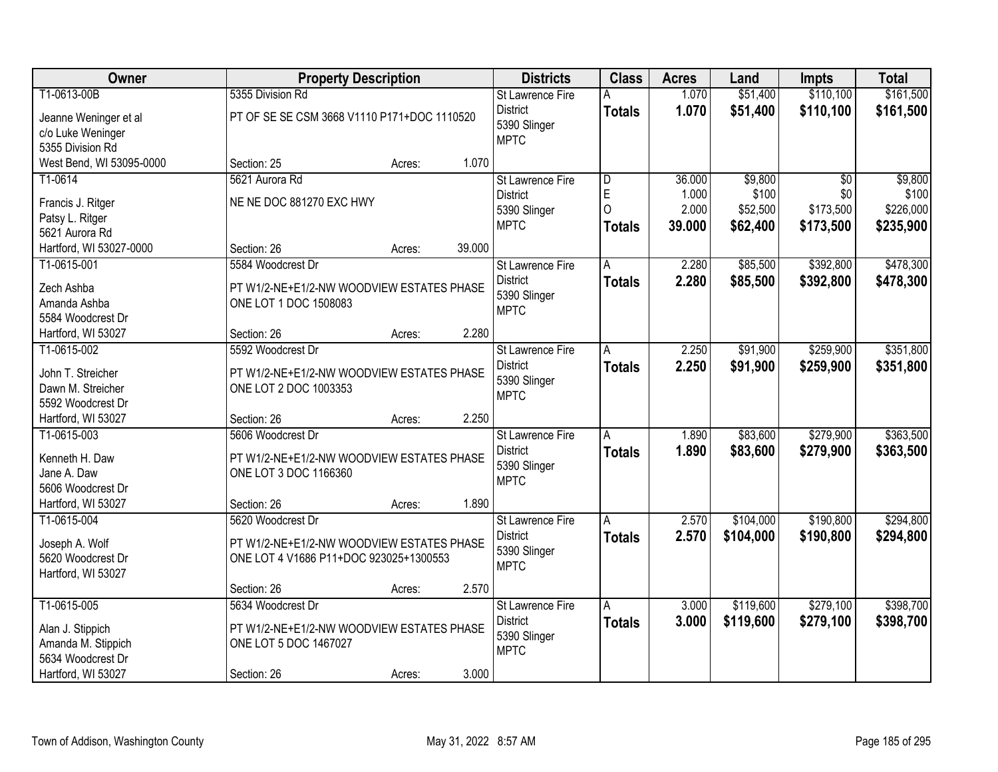| Owner                    | <b>Property Description</b>                 |                  | <b>Districts</b>        | <b>Class</b>  | <b>Acres</b> | Land      | <b>Impts</b>    | <b>Total</b> |
|--------------------------|---------------------------------------------|------------------|-------------------------|---------------|--------------|-----------|-----------------|--------------|
| T1-0613-00B              | 5355 Division Rd                            |                  | St Lawrence Fire        | Α             | 1.070        | \$51,400  | \$110,100       | \$161,500    |
| Jeanne Weninger et al    | PT OF SE SE CSM 3668 V1110 P171+DOC 1110520 |                  | <b>District</b>         | <b>Totals</b> | 1.070        | \$51,400  | \$110,100       | \$161,500    |
| c/o Luke Weninger        |                                             |                  | 5390 Slinger            |               |              |           |                 |              |
| 5355 Division Rd         |                                             |                  | <b>MPTC</b>             |               |              |           |                 |              |
| West Bend, WI 53095-0000 | Section: 25                                 | 1.070<br>Acres:  |                         |               |              |           |                 |              |
| T1-0614                  | 5621 Aurora Rd                              |                  | <b>St Lawrence Fire</b> | D             | 36.000       | \$9,800   | $\overline{50}$ | \$9,800      |
| Francis J. Ritger        | NE NE DOC 881270 EXC HWY                    |                  | <b>District</b>         | E             | 1.000        | \$100     | \$0             | \$100        |
| Patsy L. Ritger          |                                             |                  | 5390 Slinger            | $\Omega$      | 2.000        | \$52,500  | \$173,500       | \$226,000    |
| 5621 Aurora Rd           |                                             |                  | <b>MPTC</b>             | <b>Totals</b> | 39.000       | \$62,400  | \$173,500       | \$235,900    |
| Hartford, WI 53027-0000  | Section: 26                                 | 39.000<br>Acres: |                         |               |              |           |                 |              |
| T1-0615-001              | 5584 Woodcrest Dr                           |                  | St Lawrence Fire        | А             | 2.280        | \$85,500  | \$392,800       | \$478,300    |
| Zech Ashba               | PT W1/2-NE+E1/2-NW WOODVIEW ESTATES PHASE   |                  | <b>District</b>         | <b>Totals</b> | 2.280        | \$85,500  | \$392,800       | \$478,300    |
| Amanda Ashba             | ONE LOT 1 DOC 1508083                       |                  | 5390 Slinger            |               |              |           |                 |              |
| 5584 Woodcrest Dr        |                                             |                  | <b>MPTC</b>             |               |              |           |                 |              |
| Hartford, WI 53027       | Section: 26                                 | 2.280<br>Acres:  |                         |               |              |           |                 |              |
| T1-0615-002              | 5592 Woodcrest Dr                           |                  | St Lawrence Fire        | Α             | 2.250        | \$91,900  | \$259,900       | \$351,800    |
|                          |                                             |                  | <b>District</b>         | <b>Totals</b> | 2.250        | \$91,900  | \$259,900       | \$351,800    |
| John T. Streicher        | PT W1/2-NE+E1/2-NW WOODVIEW ESTATES PHASE   |                  | 5390 Slinger            |               |              |           |                 |              |
| Dawn M. Streicher        | ONE LOT 2 DOC 1003353                       |                  | <b>MPTC</b>             |               |              |           |                 |              |
| 5592 Woodcrest Dr        |                                             |                  |                         |               |              |           |                 |              |
| Hartford, WI 53027       | Section: 26                                 | 2.250<br>Acres:  |                         |               |              |           |                 |              |
| T1-0615-003              | 5606 Woodcrest Dr                           |                  | St Lawrence Fire        | A             | 1.890        | \$83,600  | \$279,900       | \$363,500    |
| Kenneth H. Daw           | PT W1/2-NE+E1/2-NW WOODVIEW ESTATES PHASE   |                  | <b>District</b>         | <b>Totals</b> | 1.890        | \$83,600  | \$279,900       | \$363,500    |
| Jane A. Daw              | ONE LOT 3 DOC 1166360                       |                  | 5390 Slinger            |               |              |           |                 |              |
| 5606 Woodcrest Dr        |                                             |                  | <b>MPTC</b>             |               |              |           |                 |              |
| Hartford, WI 53027       | Section: 26                                 | 1.890<br>Acres:  |                         |               |              |           |                 |              |
| T1-0615-004              | 5620 Woodcrest Dr                           |                  | <b>St Lawrence Fire</b> | A             | 2.570        | \$104,000 | \$190,800       | \$294,800    |
| Joseph A. Wolf           | PT W1/2-NE+E1/2-NW WOODVIEW ESTATES PHASE   |                  | <b>District</b>         | <b>Totals</b> | 2.570        | \$104,000 | \$190,800       | \$294,800    |
| 5620 Woodcrest Dr        | ONE LOT 4 V1686 P11+DOC 923025+1300553      |                  | 5390 Slinger            |               |              |           |                 |              |
| Hartford, WI 53027       |                                             |                  | <b>MPTC</b>             |               |              |           |                 |              |
|                          | Section: 26                                 | 2.570<br>Acres:  |                         |               |              |           |                 |              |
| T1-0615-005              | 5634 Woodcrest Dr                           |                  | <b>St Lawrence Fire</b> | A             | 3.000        | \$119,600 | \$279,100       | \$398,700    |
|                          |                                             |                  | <b>District</b>         | <b>Totals</b> | 3.000        | \$119,600 | \$279,100       | \$398,700    |
| Alan J. Stippich         | PT W1/2-NE+E1/2-NW WOODVIEW ESTATES PHASE   |                  | 5390 Slinger            |               |              |           |                 |              |
| Amanda M. Stippich       | ONE LOT 5 DOC 1467027                       |                  | <b>MPTC</b>             |               |              |           |                 |              |
| 5634 Woodcrest Dr        |                                             |                  |                         |               |              |           |                 |              |
| Hartford, WI 53027       | Section: 26                                 | 3.000<br>Acres:  |                         |               |              |           |                 |              |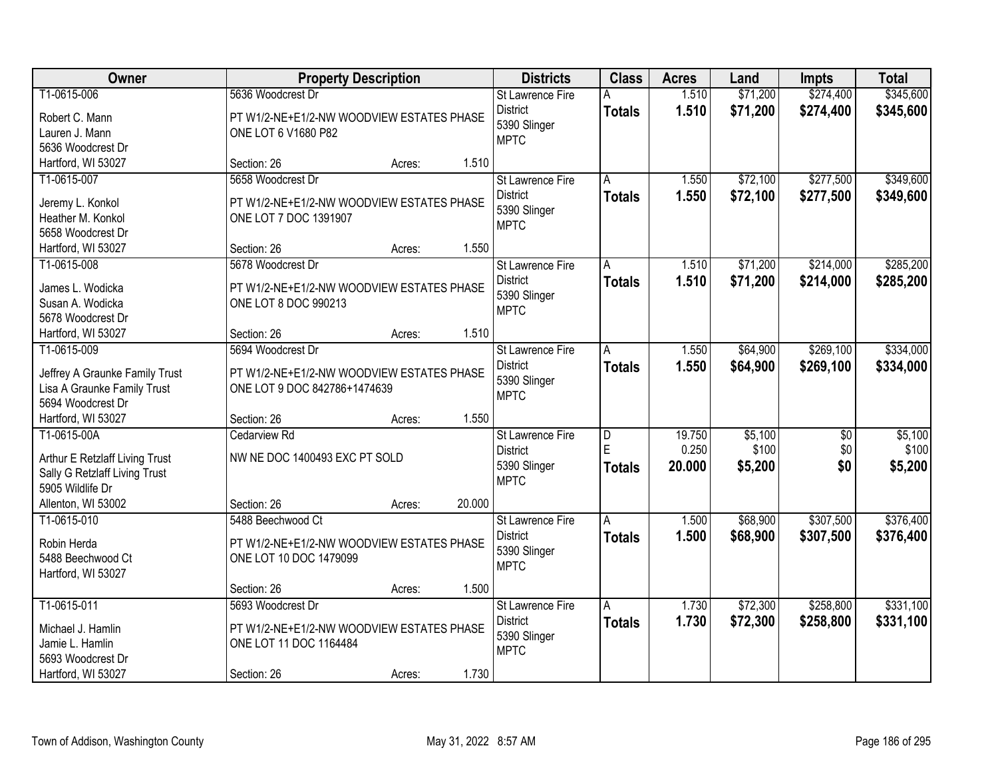| Owner                                                         |                                           | <b>Property Description</b> |        |                             | <b>Class</b>            | <b>Acres</b> | Land     | <b>Impts</b>    | <b>Total</b> |
|---------------------------------------------------------------|-------------------------------------------|-----------------------------|--------|-----------------------------|-------------------------|--------------|----------|-----------------|--------------|
| T1-0615-006                                                   | 5636 Woodcrest Dr                         |                             |        | St Lawrence Fire            | Α                       | 1.510        | \$71,200 | \$274,400       | \$345,600    |
| Robert C. Mann                                                | PT W1/2-NE+E1/2-NW WOODVIEW ESTATES PHASE |                             |        | <b>District</b>             | <b>Totals</b>           | 1.510        | \$71,200 | \$274,400       | \$345,600    |
| Lauren J. Mann                                                | ONE LOT 6 V1680 P82                       |                             |        | 5390 Slinger                |                         |              |          |                 |              |
| 5636 Woodcrest Dr                                             |                                           |                             |        | <b>MPTC</b>                 |                         |              |          |                 |              |
| Hartford, WI 53027                                            | Section: 26                               | Acres:                      | 1.510  |                             |                         |              |          |                 |              |
| T1-0615-007                                                   | 5658 Woodcrest Dr                         |                             |        | St Lawrence Fire            | A                       | 1.550        | \$72,100 | \$277,500       | \$349,600    |
|                                                               |                                           |                             |        | <b>District</b>             | <b>Totals</b>           | 1.550        | \$72,100 | \$277,500       | \$349,600    |
| Jeremy L. Konkol                                              | PT W1/2-NE+E1/2-NW WOODVIEW ESTATES PHASE |                             |        | 5390 Slinger                |                         |              |          |                 |              |
| Heather M. Konkol                                             | ONE LOT 7 DOC 1391907                     |                             |        | <b>MPTC</b>                 |                         |              |          |                 |              |
| 5658 Woodcrest Dr                                             |                                           |                             |        |                             |                         |              |          |                 |              |
| Hartford, WI 53027                                            | Section: 26                               | Acres:                      | 1.550  |                             |                         |              |          |                 |              |
| T1-0615-008                                                   | 5678 Woodcrest Dr                         |                             |        | St Lawrence Fire            | A                       | 1.510        | \$71,200 | \$214,000       | \$285,200    |
| James L. Wodicka                                              | PT W1/2-NE+E1/2-NW WOODVIEW ESTATES PHASE |                             |        | <b>District</b>             | <b>Totals</b>           | 1.510        | \$71,200 | \$214,000       | \$285,200    |
| Susan A. Wodicka                                              | ONE LOT 8 DOC 990213                      |                             |        | 5390 Slinger<br><b>MPTC</b> |                         |              |          |                 |              |
| 5678 Woodcrest Dr                                             |                                           |                             |        |                             |                         |              |          |                 |              |
| Hartford, WI 53027                                            | Section: 26                               | Acres:                      | 1.510  |                             |                         |              |          |                 |              |
| T1-0615-009                                                   | 5694 Woodcrest Dr                         |                             |        | St Lawrence Fire            | Ā                       | 1.550        | \$64,900 | \$269,100       | \$334,000    |
|                                                               | PT W1/2-NE+E1/2-NW WOODVIEW ESTATES PHASE |                             |        | <b>District</b>             | <b>Totals</b>           | 1.550        | \$64,900 | \$269,100       | \$334,000    |
| Jeffrey A Graunke Family Trust<br>Lisa A Graunke Family Trust | ONE LOT 9 DOC 842786+1474639              |                             |        | 5390 Slinger                |                         |              |          |                 |              |
| 5694 Woodcrest Dr                                             |                                           |                             |        | <b>MPTC</b>                 |                         |              |          |                 |              |
| Hartford, WI 53027                                            | Section: 26                               | Acres:                      | 1.550  |                             |                         |              |          |                 |              |
| T1-0615-00A                                                   | Cedarview Rd                              |                             |        | St Lawrence Fire            | $\overline{\mathsf{D}}$ | 19.750       | \$5,100  | $\overline{60}$ | \$5,100      |
|                                                               |                                           |                             |        | <b>District</b>             | Ē                       | 0.250        | \$100    | \$0             | \$100        |
| Arthur E Retzlaff Living Trust                                | NW NE DOC 1400493 EXC PT SOLD             |                             |        | 5390 Slinger                | <b>Totals</b>           | 20.000       | \$5,200  | \$0             | \$5,200      |
| Sally G Retzlaff Living Trust                                 |                                           |                             |        | <b>MPTC</b>                 |                         |              |          |                 |              |
| 5905 Wildlife Dr                                              |                                           |                             |        |                             |                         |              |          |                 |              |
| Allenton, WI 53002                                            | Section: 26                               | Acres:                      | 20.000 |                             |                         |              |          |                 |              |
| T1-0615-010                                                   | 5488 Beechwood Ct                         |                             |        | St Lawrence Fire            | A                       | 1.500        | \$68,900 | \$307,500       | \$376,400    |
| Robin Herda                                                   | PT W1/2-NE+E1/2-NW WOODVIEW ESTATES PHASE |                             |        | <b>District</b>             | <b>Totals</b>           | 1.500        | \$68,900 | \$307,500       | \$376,400    |
| 5488 Beechwood Ct                                             | ONE LOT 10 DOC 1479099                    |                             |        | 5390 Slinger                |                         |              |          |                 |              |
| Hartford, WI 53027                                            |                                           |                             |        | <b>MPTC</b>                 |                         |              |          |                 |              |
|                                                               | Section: 26                               | Acres:                      | 1.500  |                             |                         |              |          |                 |              |
| T1-0615-011                                                   | 5693 Woodcrest Dr                         |                             |        | <b>St Lawrence Fire</b>     | A                       | 1.730        | \$72,300 | \$258,800       | \$331,100    |
|                                                               |                                           |                             |        | <b>District</b>             | <b>Totals</b>           | 1.730        | \$72,300 | \$258,800       | \$331,100    |
| Michael J. Hamlin                                             | PT W1/2-NE+E1/2-NW WOODVIEW ESTATES PHASE |                             |        | 5390 Slinger                |                         |              |          |                 |              |
| Jamie L. Hamlin                                               | ONE LOT 11 DOC 1164484                    |                             |        | <b>MPTC</b>                 |                         |              |          |                 |              |
| 5693 Woodcrest Dr                                             |                                           |                             |        |                             |                         |              |          |                 |              |
| Hartford, WI 53027                                            | Section: 26                               | Acres:                      | 1.730  |                             |                         |              |          |                 |              |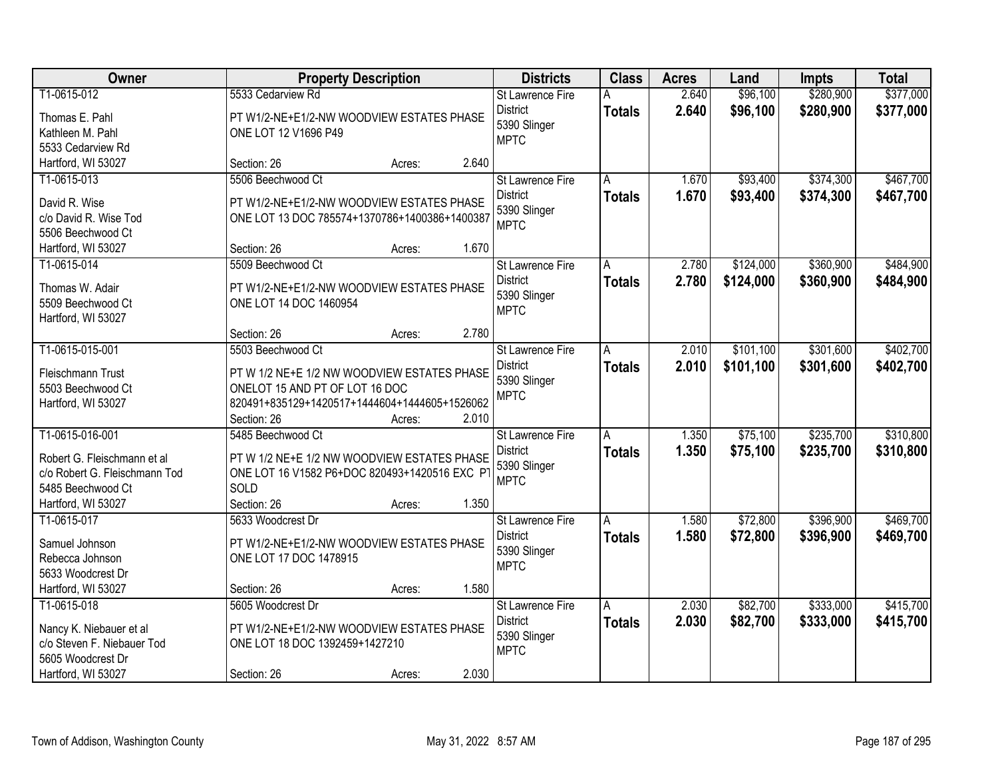| Owner                         |                                               | <b>Property Description</b> |       | <b>Districts</b>            | <b>Class</b>  | <b>Acres</b> | Land      | <b>Impts</b> | <b>Total</b> |
|-------------------------------|-----------------------------------------------|-----------------------------|-------|-----------------------------|---------------|--------------|-----------|--------------|--------------|
| T1-0615-012                   | 5533 Cedarview Rd                             |                             |       | <b>St Lawrence Fire</b>     | Α             | 2.640        | \$96,100  | \$280,900    | \$377,000    |
| Thomas E. Pahl                | PT W1/2-NE+E1/2-NW WOODVIEW ESTATES PHASE     |                             |       | <b>District</b>             | <b>Totals</b> | 2.640        | \$96,100  | \$280,900    | \$377,000    |
| Kathleen M. Pahl              | ONE LOT 12 V1696 P49                          |                             |       | 5390 Slinger                |               |              |           |              |              |
| 5533 Cedarview Rd             |                                               |                             |       | <b>MPTC</b>                 |               |              |           |              |              |
| Hartford, WI 53027            | Section: 26                                   | Acres:                      | 2.640 |                             |               |              |           |              |              |
| T1-0615-013                   | 5506 Beechwood Ct                             |                             |       | <b>St Lawrence Fire</b>     | A             | 1.670        | \$93,400  | \$374,300    | \$467,700    |
|                               |                                               |                             |       | <b>District</b>             | <b>Totals</b> | 1.670        | \$93,400  | \$374,300    | \$467,700    |
| David R. Wise                 | PT W1/2-NE+E1/2-NW WOODVIEW ESTATES PHASE     |                             |       | 5390 Slinger                |               |              |           |              |              |
| c/o David R. Wise Tod         | ONE LOT 13 DOC 785574+1370786+1400386+1400387 |                             |       | <b>MPTC</b>                 |               |              |           |              |              |
| 5506 Beechwood Ct             | Section: 26                                   |                             | 1.670 |                             |               |              |           |              |              |
| Hartford, WI 53027            |                                               | Acres:                      |       |                             |               |              |           |              |              |
| T1-0615-014                   | 5509 Beechwood Ct                             |                             |       | St Lawrence Fire            | A             | 2.780        | \$124,000 | \$360,900    | \$484,900    |
| Thomas W. Adair               | PT W1/2-NE+E1/2-NW WOODVIEW ESTATES PHASE     |                             |       | <b>District</b>             | <b>Totals</b> | 2.780        | \$124,000 | \$360,900    | \$484,900    |
| 5509 Beechwood Ct             | ONE LOT 14 DOC 1460954                        |                             |       | 5390 Slinger<br><b>MPTC</b> |               |              |           |              |              |
| Hartford, WI 53027            |                                               |                             |       |                             |               |              |           |              |              |
|                               | Section: 26                                   | Acres:                      | 2.780 |                             |               |              |           |              |              |
| T1-0615-015-001               | 5503 Beechwood Ct                             |                             |       | St Lawrence Fire            | Α             | 2.010        | \$101,100 | \$301,600    | \$402,700    |
| Fleischmann Trust             | PT W 1/2 NE+E 1/2 NW WOODVIEW ESTATES PHASE   |                             |       | <b>District</b>             | <b>Totals</b> | 2.010        | \$101,100 | \$301,600    | \$402,700    |
| 5503 Beechwood Ct             | ONELOT 15 AND PT OF LOT 16 DOC                |                             |       | 5390 Slinger                |               |              |           |              |              |
| Hartford, WI 53027            | 820491+835129+1420517+1444604+1444605+1526062 |                             |       | <b>MPTC</b>                 |               |              |           |              |              |
|                               | Section: 26                                   | Acres:                      | 2.010 |                             |               |              |           |              |              |
| T1-0615-016-001               | 5485 Beechwood Ct                             |                             |       | St Lawrence Fire            | A             | 1.350        | \$75,100  | \$235,700    | \$310,800    |
|                               |                                               |                             |       | <b>District</b>             | <b>Totals</b> | 1.350        | \$75,100  | \$235,700    | \$310,800    |
| Robert G. Fleischmann et al.  | PT W 1/2 NE+E 1/2 NW WOODVIEW ESTATES PHASE   |                             |       | 5390 Slinger                |               |              |           |              |              |
| c/o Robert G. Fleischmann Tod | ONE LOT 16 V1582 P6+DOC 820493+1420516 EXC P  |                             |       | <b>MPTC</b>                 |               |              |           |              |              |
| 5485 Beechwood Ct             | SOLD                                          |                             |       |                             |               |              |           |              |              |
| Hartford, WI 53027            | Section: 26                                   | Acres:                      | 1.350 |                             |               |              |           |              |              |
| T1-0615-017                   | 5633 Woodcrest Dr                             |                             |       | St Lawrence Fire            | A             | 1.580        | \$72,800  | \$396,900    | \$469,700    |
| Samuel Johnson                | PT W1/2-NE+E1/2-NW WOODVIEW ESTATES PHASE     |                             |       | <b>District</b>             | <b>Totals</b> | 1.580        | \$72,800  | \$396,900    | \$469,700    |
| Rebecca Johnson               | ONE LOT 17 DOC 1478915                        |                             |       | 5390 Slinger                |               |              |           |              |              |
| 5633 Woodcrest Dr             |                                               |                             |       | <b>MPTC</b>                 |               |              |           |              |              |
| Hartford, WI 53027            | Section: 26                                   | Acres:                      | 1.580 |                             |               |              |           |              |              |
| T1-0615-018                   | 5605 Woodcrest Dr                             |                             |       | <b>St Lawrence Fire</b>     | A             | 2.030        | \$82,700  | \$333,000    | \$415,700    |
|                               |                                               |                             |       | <b>District</b>             | <b>Totals</b> | 2.030        | \$82,700  | \$333,000    | \$415,700    |
| Nancy K. Niebauer et al       | PT W1/2-NE+E1/2-NW WOODVIEW ESTATES PHASE     |                             |       | 5390 Slinger                |               |              |           |              |              |
| c/o Steven F. Niebauer Tod    | ONE LOT 18 DOC 1392459+1427210                |                             |       | <b>MPTC</b>                 |               |              |           |              |              |
| 5605 Woodcrest Dr             |                                               |                             |       |                             |               |              |           |              |              |
| Hartford, WI 53027            | Section: 26                                   | Acres:                      | 2.030 |                             |               |              |           |              |              |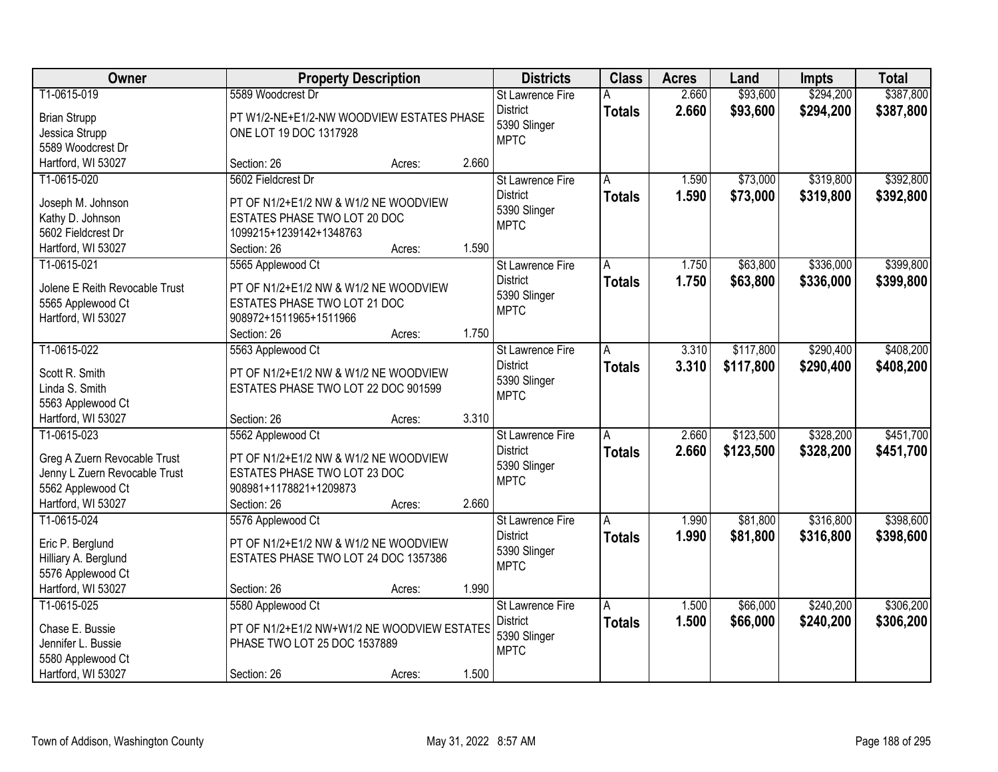| Owner                                   |                                             | <b>Property Description</b> |       |                         | <b>Class</b>  | <b>Acres</b> | Land      | <b>Impts</b> | <b>Total</b> |
|-----------------------------------------|---------------------------------------------|-----------------------------|-------|-------------------------|---------------|--------------|-----------|--------------|--------------|
| T1-0615-019                             | 5589 Woodcrest Dr                           |                             |       | St Lawrence Fire        | Α             | 2.660        | \$93,600  | \$294,200    | \$387,800    |
| <b>Brian Strupp</b>                     | PT W1/2-NE+E1/2-NW WOODVIEW ESTATES PHASE   |                             |       | <b>District</b>         | <b>Totals</b> | 2.660        | \$93,600  | \$294,200    | \$387,800    |
| Jessica Strupp                          | ONE LOT 19 DOC 1317928                      |                             |       | 5390 Slinger            |               |              |           |              |              |
| 5589 Woodcrest Dr                       |                                             |                             |       | <b>MPTC</b>             |               |              |           |              |              |
| Hartford, WI 53027                      | Section: 26                                 | Acres:                      | 2.660 |                         |               |              |           |              |              |
| T1-0615-020                             | 5602 Fieldcrest Dr                          |                             |       | St Lawrence Fire        | A             | 1.590        | \$73,000  | \$319,800    | \$392,800    |
| Joseph M. Johnson                       | PT OF N1/2+E1/2 NW & W1/2 NE WOODVIEW       |                             |       | <b>District</b>         | <b>Totals</b> | 1.590        | \$73,000  | \$319,800    | \$392,800    |
| Kathy D. Johnson                        | ESTATES PHASE TWO LOT 20 DOC                |                             |       | 5390 Slinger            |               |              |           |              |              |
| 5602 Fieldcrest Dr                      | 1099215+1239142+1348763                     |                             |       | <b>MPTC</b>             |               |              |           |              |              |
| Hartford, WI 53027                      | Section: 26                                 | Acres:                      | 1.590 |                         |               |              |           |              |              |
| T1-0615-021                             | 5565 Applewood Ct                           |                             |       | St Lawrence Fire        | A             | 1.750        | \$63,800  | \$336,000    | \$399,800    |
|                                         |                                             |                             |       | <b>District</b>         | <b>Totals</b> | 1.750        | \$63,800  | \$336,000    | \$399,800    |
| Jolene E Reith Revocable Trust          | PT OF N1/2+E1/2 NW & W1/2 NE WOODVIEW       |                             |       | 5390 Slinger            |               |              |           |              |              |
| 5565 Applewood Ct                       | ESTATES PHASE TWO LOT 21 DOC                |                             |       | <b>MPTC</b>             |               |              |           |              |              |
| Hartford, WI 53027                      | 908972+1511965+1511966<br>Section: 26       |                             | 1.750 |                         |               |              |           |              |              |
| T1-0615-022                             | 5563 Applewood Ct                           | Acres:                      |       | St Lawrence Fire        |               | 3.310        | \$117,800 | \$290,400    | \$408,200    |
|                                         |                                             |                             |       | <b>District</b>         | Α             | 3.310        |           |              |              |
| Scott R. Smith                          | PT OF N1/2+E1/2 NW & W1/2 NE WOODVIEW       |                             |       | 5390 Slinger            | <b>Totals</b> |              | \$117,800 | \$290,400    | \$408,200    |
| Linda S. Smith                          | ESTATES PHASE TWO LOT 22 DOC 901599         |                             |       | <b>MPTC</b>             |               |              |           |              |              |
| 5563 Applewood Ct                       |                                             |                             |       |                         |               |              |           |              |              |
| Hartford, WI 53027                      | Section: 26                                 | Acres:                      | 3.310 |                         |               |              |           |              |              |
| T1-0615-023                             | 5562 Applewood Ct                           |                             |       | St Lawrence Fire        | A             | 2.660        | \$123,500 | \$328,200    | \$451,700    |
| Greg A Zuern Revocable Trust            | PT OF N1/2+E1/2 NW & W1/2 NE WOODVIEW       |                             |       | <b>District</b>         | <b>Totals</b> | 2.660        | \$123,500 | \$328,200    | \$451,700    |
| Jenny L Zuern Revocable Trust           | ESTATES PHASE TWO LOT 23 DOC                |                             |       | 5390 Slinger            |               |              |           |              |              |
| 5562 Applewood Ct                       | 908981+1178821+1209873                      |                             |       | <b>MPTC</b>             |               |              |           |              |              |
| Hartford, WI 53027                      | Section: 26                                 | Acres:                      | 2.660 |                         |               |              |           |              |              |
| T1-0615-024                             | 5576 Applewood Ct                           |                             |       | St Lawrence Fire        | A             | 1.990        | \$81,800  | \$316,800    | \$398,600    |
| Eric P. Berglund                        | PT OF N1/2+E1/2 NW & W1/2 NE WOODVIEW       |                             |       | <b>District</b>         | <b>Totals</b> | 1.990        | \$81,800  | \$316,800    | \$398,600    |
| Hilliary A. Berglund                    | ESTATES PHASE TWO LOT 24 DOC 1357386        |                             |       | 5390 Slinger            |               |              |           |              |              |
| 5576 Applewood Ct                       |                                             |                             |       | <b>MPTC</b>             |               |              |           |              |              |
| Hartford, WI 53027                      | Section: 26                                 | Acres:                      | 1.990 |                         |               |              |           |              |              |
| T1-0615-025                             | 5580 Applewood Ct                           |                             |       | <b>St Lawrence Fire</b> | A             | 1.500        | \$66,000  | \$240,200    | \$306,200    |
|                                         |                                             |                             |       | <b>District</b>         | <b>Totals</b> | 1.500        | \$66,000  | \$240,200    | \$306,200    |
| Chase E. Bussie                         | PT OF N1/2+E1/2 NW+W1/2 NE WOODVIEW ESTATES |                             |       | 5390 Slinger            |               |              |           |              |              |
| Jennifer L. Bussie                      | PHASE TWO LOT 25 DOC 1537889                |                             |       | <b>MPTC</b>             |               |              |           |              |              |
| 5580 Applewood Ct<br>Hartford, WI 53027 | Section: 26                                 |                             | 1.500 |                         |               |              |           |              |              |
|                                         |                                             | Acres:                      |       |                         |               |              |           |              |              |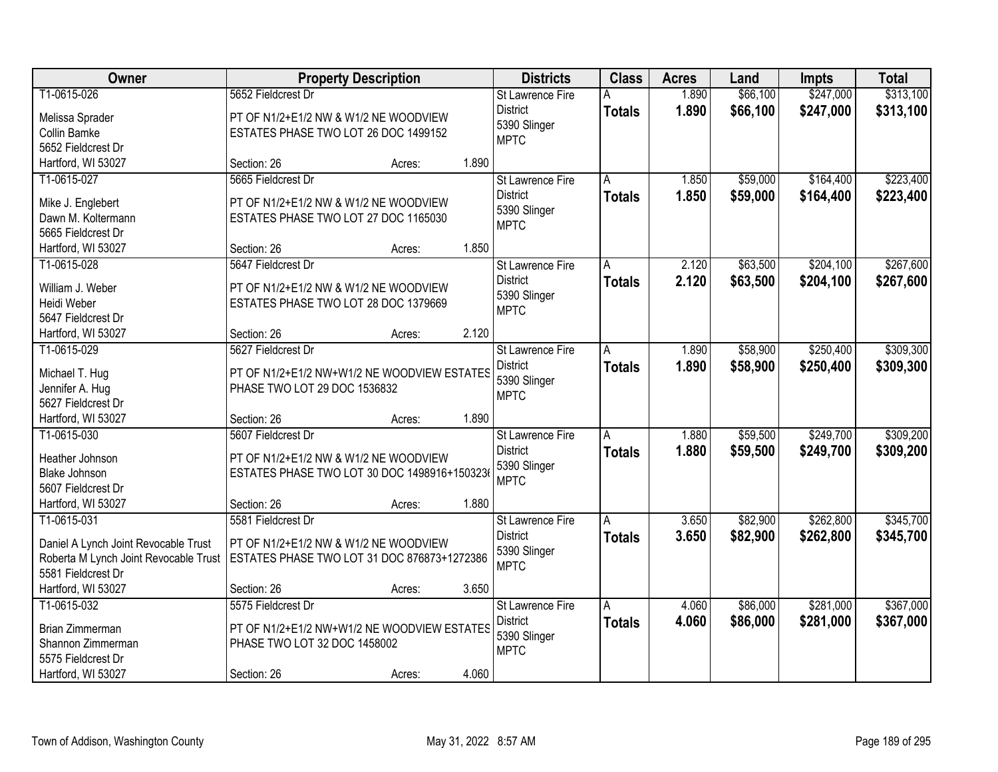| Owner                                 | <b>Property Description</b>                  |        |       | <b>Districts</b>        | <b>Class</b>  | <b>Acres</b> | Land     | <b>Impts</b> | <b>Total</b> |
|---------------------------------------|----------------------------------------------|--------|-------|-------------------------|---------------|--------------|----------|--------------|--------------|
| T1-0615-026                           | 5652 Fieldcrest Dr                           |        |       | <b>St Lawrence Fire</b> | Α             | 1.890        | \$66,100 | \$247,000    | \$313,100    |
| Melissa Sprader                       | PT OF N1/2+E1/2 NW & W1/2 NE WOODVIEW        |        |       | <b>District</b>         | <b>Totals</b> | 1.890        | \$66,100 | \$247,000    | \$313,100    |
| Collin Bamke                          | ESTATES PHASE TWO LOT 26 DOC 1499152         |        |       | 5390 Slinger            |               |              |          |              |              |
| 5652 Fieldcrest Dr                    |                                              |        |       | <b>MPTC</b>             |               |              |          |              |              |
| Hartford, WI 53027                    | Section: 26                                  | Acres: | 1.890 |                         |               |              |          |              |              |
| T1-0615-027                           | 5665 Fieldcrest Dr                           |        |       | St Lawrence Fire        | A             | 1.850        | \$59,000 | \$164,400    | \$223,400    |
|                                       |                                              |        |       | <b>District</b>         | <b>Totals</b> | 1.850        | \$59,000 | \$164,400    | \$223,400    |
| Mike J. Englebert                     | PT OF N1/2+E1/2 NW & W1/2 NE WOODVIEW        |        |       | 5390 Slinger            |               |              |          |              |              |
| Dawn M. Koltermann                    | ESTATES PHASE TWO LOT 27 DOC 1165030         |        |       | <b>MPTC</b>             |               |              |          |              |              |
| 5665 Fieldcrest Dr                    |                                              |        |       |                         |               |              |          |              |              |
| Hartford, WI 53027                    | Section: 26                                  | Acres: | 1.850 |                         |               |              |          |              |              |
| T1-0615-028                           | 5647 Fieldcrest Dr                           |        |       | St Lawrence Fire        | A             | 2.120        | \$63,500 | \$204,100    | \$267,600    |
| William J. Weber                      | PT OF N1/2+E1/2 NW & W1/2 NE WOODVIEW        |        |       | <b>District</b>         | <b>Totals</b> | 2.120        | \$63,500 | \$204,100    | \$267,600    |
| Heidi Weber                           | ESTATES PHASE TWO LOT 28 DOC 1379669         |        |       | 5390 Slinger            |               |              |          |              |              |
| 5647 Fieldcrest Dr                    |                                              |        |       | <b>MPTC</b>             |               |              |          |              |              |
| Hartford, WI 53027                    | Section: 26                                  | Acres: | 2.120 |                         |               |              |          |              |              |
| T1-0615-029                           | 5627 Fieldcrest Dr                           |        |       | St Lawrence Fire        | A             | 1.890        | \$58,900 | \$250,400    | \$309,300    |
|                                       |                                              |        |       | <b>District</b>         | <b>Totals</b> | 1.890        | \$58,900 | \$250,400    | \$309,300    |
| Michael T. Hug                        | PT OF N1/2+E1/2 NW+W1/2 NE WOODVIEW ESTATES  |        |       | 5390 Slinger            |               |              |          |              |              |
| Jennifer A. Hug                       | PHASE TWO LOT 29 DOC 1536832                 |        |       | <b>MPTC</b>             |               |              |          |              |              |
| 5627 Fieldcrest Dr                    |                                              |        |       |                         |               |              |          |              |              |
| Hartford, WI 53027                    | Section: 26                                  | Acres: | 1.890 |                         |               |              |          |              |              |
| T1-0615-030                           | 5607 Fieldcrest Dr                           |        |       | St Lawrence Fire        | Α             | 1.880        | \$59,500 | \$249,700    | \$309,200    |
| Heather Johnson                       | PT OF N1/2+E1/2 NW & W1/2 NE WOODVIEW        |        |       | <b>District</b>         | <b>Totals</b> | 1.880        | \$59,500 | \$249,700    | \$309,200    |
| <b>Blake Johnson</b>                  | ESTATES PHASE TWO LOT 30 DOC 1498916+1503236 |        |       | 5390 Slinger            |               |              |          |              |              |
| 5607 Fieldcrest Dr                    |                                              |        |       | <b>MPTC</b>             |               |              |          |              |              |
| Hartford, WI 53027                    | Section: 26                                  | Acres: | 1.880 |                         |               |              |          |              |              |
| T1-0615-031                           | 5581 Fieldcrest Dr                           |        |       | St Lawrence Fire        | A             | 3.650        | \$82,900 | \$262,800    | \$345,700    |
|                                       |                                              |        |       | <b>District</b>         | <b>Totals</b> | 3.650        | \$82,900 | \$262,800    | \$345,700    |
| Daniel A Lynch Joint Revocable Trust  | PT OF N1/2+E1/2 NW & W1/2 NE WOODVIEW        |        |       | 5390 Slinger            |               |              |          |              |              |
| Roberta M Lynch Joint Revocable Trust | ESTATES PHASE TWO LOT 31 DOC 876873+1272386  |        |       | <b>MPTC</b>             |               |              |          |              |              |
| 5581 Fieldcrest Dr                    |                                              |        |       |                         |               |              |          |              |              |
| Hartford, WI 53027                    | Section: 26                                  | Acres: | 3.650 |                         |               |              |          |              |              |
| T1-0615-032                           | 5575 Fieldcrest Dr                           |        |       | St Lawrence Fire        | A             | 4.060        | \$86,000 | \$281,000    | \$367,000    |
| Brian Zimmerman                       | PT OF N1/2+E1/2 NW+W1/2 NE WOODVIEW ESTATES  |        |       | <b>District</b>         | <b>Totals</b> | 4.060        | \$86,000 | \$281,000    | \$367,000    |
| Shannon Zimmerman                     | PHASE TWO LOT 32 DOC 1458002                 |        |       | 5390 Slinger            |               |              |          |              |              |
| 5575 Fieldcrest Dr                    |                                              |        |       | <b>MPTC</b>             |               |              |          |              |              |
| Hartford, WI 53027                    | Section: 26                                  | Acres: | 4.060 |                         |               |              |          |              |              |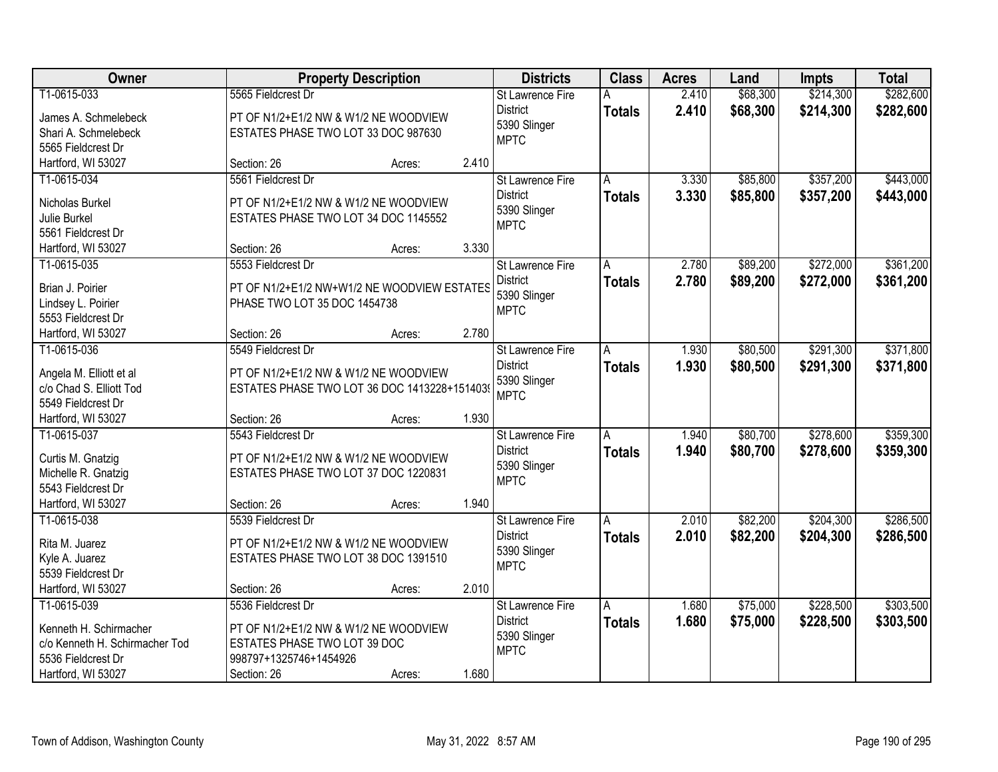| Owner                                              |                                                                                       | <b>Property Description</b> |       | <b>Districts</b>                | <b>Class</b>  | <b>Acres</b> | Land     | <b>Impts</b> | <b>Total</b> |
|----------------------------------------------------|---------------------------------------------------------------------------------------|-----------------------------|-------|---------------------------------|---------------|--------------|----------|--------------|--------------|
| T1-0615-033                                        | 5565 Fieldcrest Dr                                                                    |                             |       | <b>St Lawrence Fire</b>         | A             | 2.410        | \$68,300 | \$214,300    | \$282,600    |
| James A. Schmelebeck                               | PT OF N1/2+E1/2 NW & W1/2 NE WOODVIEW                                                 |                             |       | <b>District</b>                 | <b>Totals</b> | 2.410        | \$68,300 | \$214,300    | \$282,600    |
| Shari A. Schmelebeck                               | ESTATES PHASE TWO LOT 33 DOC 987630                                                   |                             |       | 5390 Slinger                    |               |              |          |              |              |
| 5565 Fieldcrest Dr                                 |                                                                                       |                             |       | <b>MPTC</b>                     |               |              |          |              |              |
| Hartford, WI 53027                                 | Section: 26                                                                           | Acres:                      | 2.410 |                                 |               |              |          |              |              |
| T1-0615-034                                        | 5561 Fieldcrest Dr                                                                    |                             |       | <b>St Lawrence Fire</b>         | A             | 3.330        | \$85,800 | \$357,200    | \$443,000    |
|                                                    |                                                                                       |                             |       | <b>District</b>                 | <b>Totals</b> | 3.330        | \$85,800 | \$357,200    | \$443,000    |
| Nicholas Burkel                                    | PT OF N1/2+E1/2 NW & W1/2 NE WOODVIEW                                                 |                             |       | 5390 Slinger                    |               |              |          |              |              |
| <b>Julie Burkel</b>                                | ESTATES PHASE TWO LOT 34 DOC 1145552                                                  |                             |       | <b>MPTC</b>                     |               |              |          |              |              |
| 5561 Fieldcrest Dr                                 |                                                                                       |                             | 3.330 |                                 |               |              |          |              |              |
| Hartford, WI 53027<br>T1-0615-035                  | Section: 26<br>5553 Fieldcrest Dr                                                     | Acres:                      |       |                                 |               | 2.780        |          | \$272,000    | \$361,200    |
|                                                    |                                                                                       |                             |       | St Lawrence Fire                | A             |              | \$89,200 |              |              |
| Brian J. Poirier                                   | PT OF N1/2+E1/2 NW+W1/2 NE WOODVIEW ESTATES                                           |                             |       | <b>District</b><br>5390 Slinger | <b>Totals</b> | 2.780        | \$89,200 | \$272,000    | \$361,200    |
| Lindsey L. Poirier                                 | PHASE TWO LOT 35 DOC 1454738                                                          |                             |       | <b>MPTC</b>                     |               |              |          |              |              |
| 5553 Fieldcrest Dr                                 |                                                                                       |                             |       |                                 |               |              |          |              |              |
| Hartford, WI 53027                                 | Section: 26                                                                           | Acres:                      | 2.780 |                                 |               |              |          |              |              |
| T1-0615-036                                        | 5549 Fieldcrest Dr                                                                    |                             |       | St Lawrence Fire                | A             | 1.930        | \$80,500 | \$291,300    | \$371,800    |
|                                                    |                                                                                       |                             |       | <b>District</b>                 | <b>Totals</b> | 1.930        | \$80,500 | \$291,300    | \$371,800    |
| Angela M. Elliott et al<br>c/o Chad S. Elliott Tod | PT OF N1/2+E1/2 NW & W1/2 NE WOODVIEW<br>ESTATES PHASE TWO LOT 36 DOC 1413228+1514039 |                             |       | 5390 Slinger                    |               |              |          |              |              |
| 5549 Fieldcrest Dr                                 |                                                                                       |                             |       | <b>MPTC</b>                     |               |              |          |              |              |
| Hartford, WI 53027                                 | Section: 26                                                                           | Acres:                      | 1.930 |                                 |               |              |          |              |              |
| T1-0615-037                                        | 5543 Fieldcrest Dr                                                                    |                             |       | St Lawrence Fire                | A             | 1.940        | \$80,700 | \$278,600    | \$359,300    |
|                                                    |                                                                                       |                             |       | <b>District</b>                 |               | 1.940        |          |              |              |
| Curtis M. Gnatzig                                  | PT OF N1/2+E1/2 NW & W1/2 NE WOODVIEW                                                 |                             |       | 5390 Slinger                    | <b>Totals</b> |              | \$80,700 | \$278,600    | \$359,300    |
| Michelle R. Gnatzig                                | ESTATES PHASE TWO LOT 37 DOC 1220831                                                  |                             |       | <b>MPTC</b>                     |               |              |          |              |              |
| 5543 Fieldcrest Dr                                 |                                                                                       |                             |       |                                 |               |              |          |              |              |
| Hartford, WI 53027                                 | Section: 26                                                                           | Acres:                      | 1.940 |                                 |               |              |          |              |              |
| T1-0615-038                                        | 5539 Fieldcrest Dr                                                                    |                             |       | <b>St Lawrence Fire</b>         | A             | 2.010        | \$82,200 | \$204,300    | \$286,500    |
| Rita M. Juarez                                     | PT OF N1/2+E1/2 NW & W1/2 NE WOODVIEW                                                 |                             |       | <b>District</b>                 | <b>Totals</b> | 2.010        | \$82,200 | \$204,300    | \$286,500    |
| Kyle A. Juarez                                     | ESTATES PHASE TWO LOT 38 DOC 1391510                                                  |                             |       | 5390 Slinger                    |               |              |          |              |              |
| 5539 Fieldcrest Dr                                 |                                                                                       |                             |       | <b>MPTC</b>                     |               |              |          |              |              |
| Hartford, WI 53027                                 | Section: 26                                                                           | Acres:                      | 2.010 |                                 |               |              |          |              |              |
| T1-0615-039                                        | 5536 Fieldcrest Dr                                                                    |                             |       | St Lawrence Fire                | A             | 1.680        | \$75,000 | \$228,500    | \$303,500    |
|                                                    |                                                                                       |                             |       | <b>District</b>                 | <b>Totals</b> | 1.680        | \$75,000 | \$228,500    | \$303,500    |
| Kenneth H. Schirmacher                             | PT OF N1/2+E1/2 NW & W1/2 NE WOODVIEW                                                 |                             |       | 5390 Slinger                    |               |              |          |              |              |
| c/o Kenneth H. Schirmacher Tod                     | ESTATES PHASE TWO LOT 39 DOC                                                          |                             |       | <b>MPTC</b>                     |               |              |          |              |              |
| 5536 Fieldcrest Dr                                 | 998797+1325746+1454926                                                                |                             |       |                                 |               |              |          |              |              |
| Hartford, WI 53027                                 | Section: 26                                                                           | Acres:                      | 1.680 |                                 |               |              |          |              |              |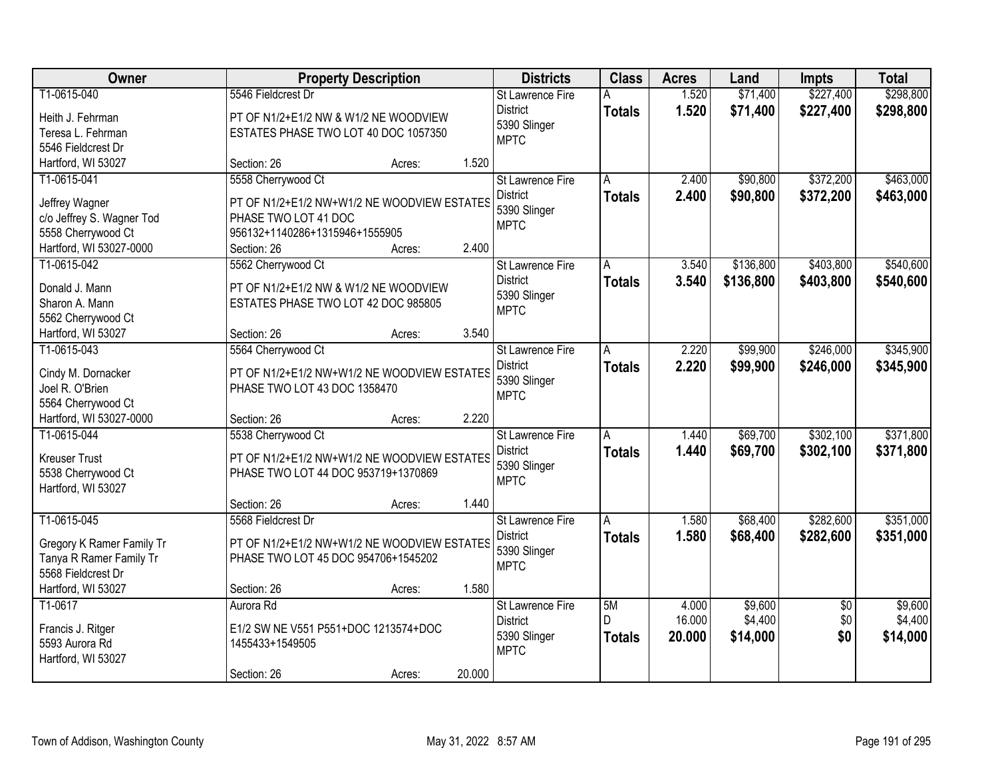| Owner                                         |                                                                     | <b>Property Description</b> |        | <b>Districts</b>        | <b>Class</b>  | <b>Acres</b> | Land      | <b>Impts</b>    | <b>Total</b> |
|-----------------------------------------------|---------------------------------------------------------------------|-----------------------------|--------|-------------------------|---------------|--------------|-----------|-----------------|--------------|
| T1-0615-040                                   | 5546 Fieldcrest Dr                                                  |                             |        | St Lawrence Fire        | А             | 1.520        | \$71,400  | \$227,400       | \$298,800    |
| Heith J. Fehrman                              | PT OF N1/2+E1/2 NW & W1/2 NE WOODVIEW                               |                             |        | <b>District</b>         | <b>Totals</b> | 1.520        | \$71,400  | \$227,400       | \$298,800    |
| Teresa L. Fehrman                             | ESTATES PHASE TWO LOT 40 DOC 1057350                                |                             |        | 5390 Slinger            |               |              |           |                 |              |
| 5546 Fieldcrest Dr                            |                                                                     |                             |        | <b>MPTC</b>             |               |              |           |                 |              |
| Hartford, WI 53027                            | Section: 26                                                         | Acres:                      | 1.520  |                         |               |              |           |                 |              |
| T1-0615-041                                   | 5558 Cherrywood Ct                                                  |                             |        | <b>St Lawrence Fire</b> | A             | 2.400        | \$90,800  | \$372,200       | \$463,000    |
|                                               |                                                                     |                             |        | <b>District</b>         | <b>Totals</b> | 2.400        | \$90,800  | \$372,200       | \$463,000    |
| Jeffrey Wagner                                | PT OF N1/2+E1/2 NW+W1/2 NE WOODVIEW ESTATES<br>PHASE TWO LOT 41 DOC |                             |        | 5390 Slinger            |               |              |           |                 |              |
| c/o Jeffrey S. Wagner Tod                     |                                                                     |                             |        | <b>MPTC</b>             |               |              |           |                 |              |
| 5558 Cherrywood Ct<br>Hartford, WI 53027-0000 | 956132+1140286+1315946+1555905<br>Section: 26                       | Acres:                      | 2.400  |                         |               |              |           |                 |              |
| T1-0615-042                                   | 5562 Cherrywood Ct                                                  |                             |        | St Lawrence Fire        |               | 3.540        | \$136,800 | \$403,800       | \$540,600    |
|                                               |                                                                     |                             |        | <b>District</b>         | А             |              |           |                 |              |
| Donald J. Mann                                | PT OF N1/2+E1/2 NW & W1/2 NE WOODVIEW                               |                             |        | 5390 Slinger            | <b>Totals</b> | 3.540        | \$136,800 | \$403,800       | \$540,600    |
| Sharon A. Mann                                | ESTATES PHASE TWO LOT 42 DOC 985805                                 |                             |        | <b>MPTC</b>             |               |              |           |                 |              |
| 5562 Cherrywood Ct                            |                                                                     |                             |        |                         |               |              |           |                 |              |
| Hartford, WI 53027                            | Section: 26                                                         | Acres:                      | 3.540  |                         |               |              |           |                 |              |
| T1-0615-043                                   | 5564 Cherrywood Ct                                                  |                             |        | St Lawrence Fire        | A             | 2.220        | \$99,900  | \$246,000       | \$345,900    |
| Cindy M. Dornacker                            | PT OF N1/2+E1/2 NW+W1/2 NE WOODVIEW ESTATES                         |                             |        | <b>District</b>         | <b>Totals</b> | 2.220        | \$99,900  | \$246,000       | \$345,900    |
| Joel R. O'Brien                               | PHASE TWO LOT 43 DOC 1358470                                        |                             |        | 5390 Slinger            |               |              |           |                 |              |
| 5564 Cherrywood Ct                            |                                                                     |                             |        | <b>MPTC</b>             |               |              |           |                 |              |
| Hartford, WI 53027-0000                       | Section: 26                                                         | Acres:                      | 2.220  |                         |               |              |           |                 |              |
| T1-0615-044                                   | 5538 Cherrywood Ct                                                  |                             |        | <b>St Lawrence Fire</b> | Ā             | 1.440        | \$69,700  | \$302,100       | \$371,800    |
|                                               |                                                                     |                             |        | <b>District</b>         | <b>Totals</b> | 1.440        | \$69,700  | \$302,100       | \$371,800    |
| <b>Kreuser Trust</b>                          | PT OF N1/2+E1/2 NW+W1/2 NE WOODVIEW ESTATES                         |                             |        | 5390 Slinger            |               |              |           |                 |              |
| 5538 Cherrywood Ct                            | PHASE TWO LOT 44 DOC 953719+1370869                                 |                             |        | <b>MPTC</b>             |               |              |           |                 |              |
| Hartford, WI 53027                            |                                                                     |                             |        |                         |               |              |           |                 |              |
|                                               | Section: 26                                                         | Acres:                      | 1.440  |                         |               |              |           |                 |              |
| T1-0615-045                                   | 5568 Fieldcrest Dr                                                  |                             |        | St Lawrence Fire        | A             | 1.580        | \$68,400  | \$282,600       | \$351,000    |
| Gregory K Ramer Family Tr                     | PT OF N1/2+E1/2 NW+W1/2 NE WOODVIEW ESTATES                         |                             |        | <b>District</b>         | <b>Totals</b> | 1.580        | \$68,400  | \$282,600       | \$351,000    |
| Tanya R Ramer Family Tr                       | PHASE TWO LOT 45 DOC 954706+1545202                                 |                             |        | 5390 Slinger            |               |              |           |                 |              |
| 5568 Fieldcrest Dr                            |                                                                     |                             |        | <b>MPTC</b>             |               |              |           |                 |              |
| Hartford, WI 53027                            | Section: 26                                                         | Acres:                      | 1.580  |                         |               |              |           |                 |              |
| T1-0617                                       | Aurora Rd                                                           |                             |        | <b>St Lawrence Fire</b> | 5M            | 4.000        | \$9,600   | $\overline{50}$ | \$9,600      |
|                                               |                                                                     |                             |        | <b>District</b>         | D.            | 16.000       | \$4,400   | \$0             | \$4,400      |
| Francis J. Ritger                             | E1/2 SW NE V551 P551+DOC 1213574+DOC                                |                             |        | 5390 Slinger            | <b>Totals</b> | 20,000       | \$14,000  | \$0             | \$14,000     |
| 5593 Aurora Rd<br>Hartford, WI 53027          | 1455433+1549505                                                     |                             |        | <b>MPTC</b>             |               |              |           |                 |              |
|                                               |                                                                     |                             | 20.000 |                         |               |              |           |                 |              |
|                                               | Section: 26                                                         | Acres:                      |        |                         |               |              |           |                 |              |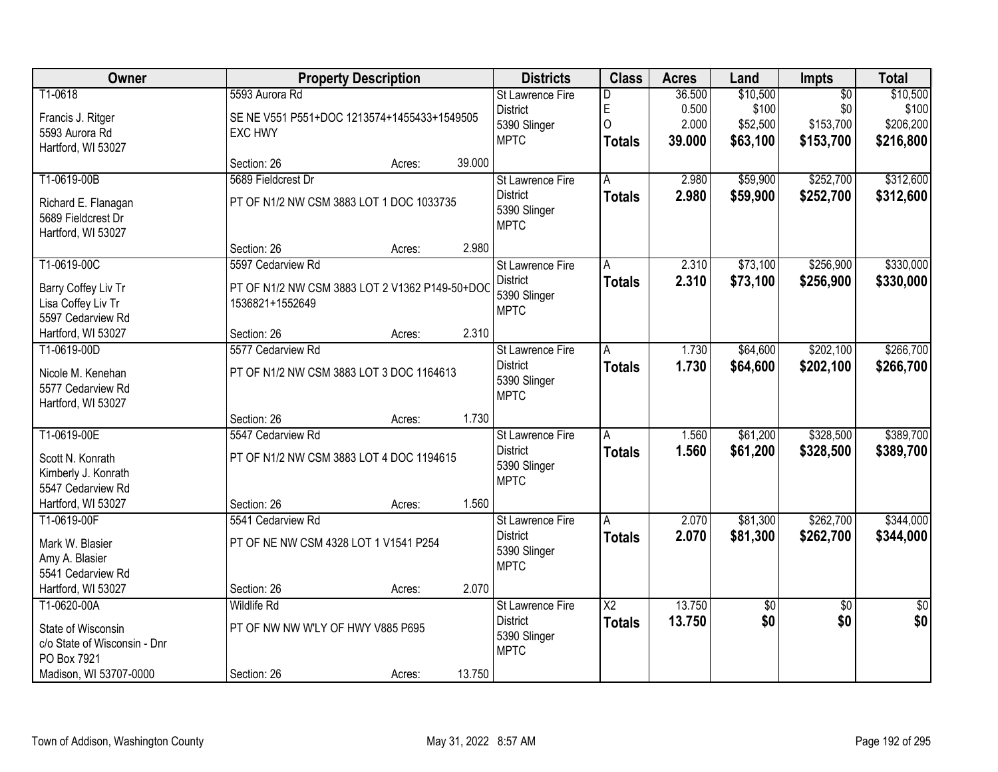| Owner                                   |                                                | <b>Property Description</b> |        | <b>Districts</b>            | <b>Class</b>           | <b>Acres</b> | Land        | Impts           | <b>Total</b>    |
|-----------------------------------------|------------------------------------------------|-----------------------------|--------|-----------------------------|------------------------|--------------|-------------|-----------------|-----------------|
| T1-0618                                 | 5593 Aurora Rd                                 |                             |        | St Lawrence Fire            | D                      | 36.500       | \$10,500    | $\overline{50}$ | \$10,500        |
| Francis J. Ritger                       | SE NE V551 P551+DOC 1213574+1455433+1549505    |                             |        | <b>District</b>             | E                      | 0.500        | \$100       | \$0             | \$100           |
| 5593 Aurora Rd                          | <b>EXC HWY</b>                                 |                             |        | 5390 Slinger                | 0                      | 2.000        | \$52,500    | \$153,700       | \$206,200       |
| Hartford, WI 53027                      |                                                |                             |        | <b>MPTC</b>                 | <b>Totals</b>          | 39.000       | \$63,100    | \$153,700       | \$216,800       |
|                                         | Section: 26                                    | Acres:                      | 39.000 |                             |                        |              |             |                 |                 |
| T1-0619-00B                             | 5689 Fieldcrest Dr                             |                             |        | St Lawrence Fire            | A                      | 2.980        | \$59,900    | \$252,700       | \$312,600       |
| Richard E. Flanagan                     | PT OF N1/2 NW CSM 3883 LOT 1 DOC 1033735       |                             |        | <b>District</b>             | <b>Totals</b>          | 2.980        | \$59,900    | \$252,700       | \$312,600       |
| 5689 Fieldcrest Dr                      |                                                |                             |        | 5390 Slinger                |                        |              |             |                 |                 |
| Hartford, WI 53027                      |                                                |                             |        | <b>MPTC</b>                 |                        |              |             |                 |                 |
|                                         | Section: 26                                    | Acres:                      | 2.980  |                             |                        |              |             |                 |                 |
| T1-0619-00C                             | 5597 Cedarview Rd                              |                             |        | St Lawrence Fire            | Α                      | 2.310        | \$73,100    | \$256,900       | \$330,000       |
| Barry Coffey Liv Tr                     | PT OF N1/2 NW CSM 3883 LOT 2 V1362 P149-50+DOC |                             |        | <b>District</b>             | <b>Totals</b>          | 2.310        | \$73,100    | \$256,900       | \$330,000       |
| Lisa Coffey Liv Tr                      | 1536821+1552649                                |                             |        | 5390 Slinger                |                        |              |             |                 |                 |
| 5597 Cedarview Rd                       |                                                |                             |        | <b>MPTC</b>                 |                        |              |             |                 |                 |
| Hartford, WI 53027                      | Section: 26                                    | Acres:                      | 2.310  |                             |                        |              |             |                 |                 |
| T1-0619-00D                             | 5577 Cedarview Rd                              |                             |        | St Lawrence Fire            | A                      | 1.730        | \$64,600    | \$202,100       | \$266,700       |
|                                         |                                                |                             |        | <b>District</b>             | <b>Totals</b>          | 1.730        | \$64,600    | \$202,100       | \$266,700       |
| Nicole M. Kenehan                       | PT OF N1/2 NW CSM 3883 LOT 3 DOC 1164613       |                             |        | 5390 Slinger                |                        |              |             |                 |                 |
| 5577 Cedarview Rd<br>Hartford, WI 53027 |                                                |                             |        | <b>MPTC</b>                 |                        |              |             |                 |                 |
|                                         | Section: 26                                    | Acres:                      | 1.730  |                             |                        |              |             |                 |                 |
| T1-0619-00E                             | 5547 Cedarview Rd                              |                             |        | <b>St Lawrence Fire</b>     | $\overline{A}$         | 1.560        | \$61,200    | \$328,500       | \$389,700       |
|                                         |                                                |                             |        | <b>District</b>             | <b>Totals</b>          | 1.560        | \$61,200    | \$328,500       | \$389,700       |
| Scott N. Konrath                        | PT OF N1/2 NW CSM 3883 LOT 4 DOC 1194615       |                             |        | 5390 Slinger                |                        |              |             |                 |                 |
| Kimberly J. Konrath                     |                                                |                             |        | <b>MPTC</b>                 |                        |              |             |                 |                 |
| 5547 Cedarview Rd                       |                                                |                             |        |                             |                        |              |             |                 |                 |
| Hartford, WI 53027                      | Section: 26                                    | Acres:                      | 1.560  |                             |                        |              |             |                 |                 |
| T1-0619-00F                             | 5541 Cedarview Rd                              |                             |        | St Lawrence Fire            | A                      | 2.070        | \$81,300    | \$262,700       | \$344,000       |
| Mark W. Blasier                         | PT OF NE NW CSM 4328 LOT 1 V1541 P254          |                             |        | <b>District</b>             | <b>Totals</b>          | 2.070        | \$81,300    | \$262,700       | \$344,000       |
| Amy A. Blasier                          |                                                |                             |        | 5390 Slinger<br><b>MPTC</b> |                        |              |             |                 |                 |
| 5541 Cedarview Rd                       |                                                |                             |        |                             |                        |              |             |                 |                 |
| Hartford, WI 53027                      | Section: 26                                    | Acres:                      | 2.070  |                             |                        |              |             |                 |                 |
| T1-0620-00A                             | <b>Wildlife Rd</b>                             |                             |        | <b>St Lawrence Fire</b>     | $\overline{\text{X2}}$ | 13.750       | $\sqrt{$0}$ | $\overline{50}$ | $\overline{50}$ |
| State of Wisconsin                      | PT OF NW NW W'LY OF HWY V885 P695              |                             |        | <b>District</b>             | <b>Totals</b>          | 13.750       | \$0         | \$0             | \$0             |
| c/o State of Wisconsin - Dnr            |                                                |                             |        | 5390 Slinger                |                        |              |             |                 |                 |
| PO Box 7921                             |                                                |                             |        | <b>MPTC</b>                 |                        |              |             |                 |                 |
| Madison, WI 53707-0000                  | Section: 26                                    | Acres:                      | 13.750 |                             |                        |              |             |                 |                 |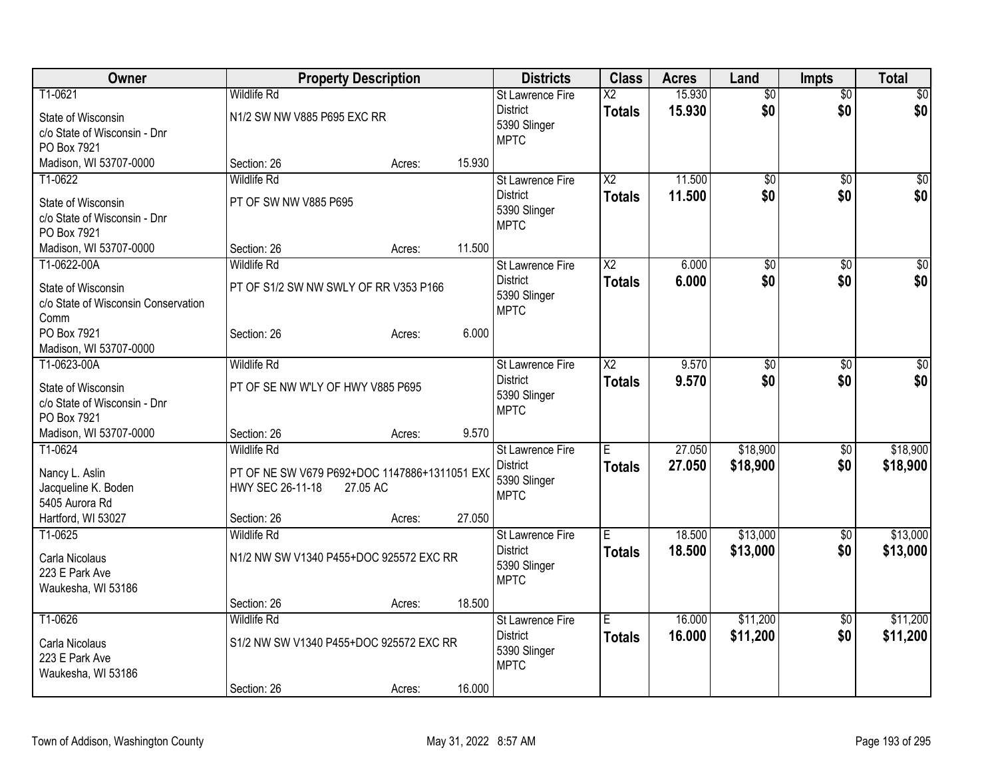| Owner                                 | <b>Property Description</b>                                       |          |        | <b>Districts</b>        | <b>Class</b>             | <b>Acres</b> | Land            | <b>Impts</b>    | <b>Total</b> |
|---------------------------------------|-------------------------------------------------------------------|----------|--------|-------------------------|--------------------------|--------------|-----------------|-----------------|--------------|
| T1-0621                               | <b>Wildlife Rd</b>                                                |          |        | <b>St Lawrence Fire</b> | $\overline{\mathsf{x2}}$ | 15.930       | $\overline{50}$ | $\overline{50}$ | $\sqrt{50}$  |
| State of Wisconsin                    | N1/2 SW NW V885 P695 EXC RR                                       |          |        | <b>District</b>         | <b>Totals</b>            | 15.930       | \$0             | \$0             | \$0          |
| c/o State of Wisconsin - Dnr          |                                                                   |          |        | 5390 Slinger            |                          |              |                 |                 |              |
| PO Box 7921                           |                                                                   |          |        | <b>MPTC</b>             |                          |              |                 |                 |              |
| Madison, WI 53707-0000                | Section: 26                                                       | Acres:   | 15.930 |                         |                          |              |                 |                 |              |
| T1-0622                               | <b>Wildlife Rd</b>                                                |          |        | <b>St Lawrence Fire</b> | X <sub>2</sub>           | 11.500       | \$0             | $\sqrt{6}$      | $\sqrt{50}$  |
| State of Wisconsin                    | PT OF SW NW V885 P695                                             |          |        | <b>District</b>         | <b>Totals</b>            | 11.500       | \$0             | \$0             | \$0          |
| c/o State of Wisconsin - Dnr          |                                                                   |          |        | 5390 Slinger            |                          |              |                 |                 |              |
| PO Box 7921                           |                                                                   |          |        | <b>MPTC</b>             |                          |              |                 |                 |              |
| Madison, WI 53707-0000                | Section: 26                                                       | Acres:   | 11.500 |                         |                          |              |                 |                 |              |
| T1-0622-00A                           | <b>Wildlife Rd</b>                                                |          |        | <b>St Lawrence Fire</b> | $\overline{X2}$          | 6.000        | \$0             | \$0             | $\sqrt{50}$  |
| State of Wisconsin                    | PT OF S1/2 SW NW SWLY OF RR V353 P166                             |          |        | <b>District</b>         | <b>Totals</b>            | 6.000        | \$0             | \$0             | \$0          |
| c/o State of Wisconsin Conservation   |                                                                   |          |        | 5390 Slinger            |                          |              |                 |                 |              |
| Comm                                  |                                                                   |          |        | <b>MPTC</b>             |                          |              |                 |                 |              |
| PO Box 7921                           | Section: 26                                                       | Acres:   | 6.000  |                         |                          |              |                 |                 |              |
| Madison, WI 53707-0000                |                                                                   |          |        |                         |                          |              |                 |                 |              |
| T1-0623-00A                           | <b>Wildlife Rd</b>                                                |          |        | St Lawrence Fire        | $\overline{X2}$          | 9.570        | \$0             | \$0             | $\sqrt{50}$  |
| State of Wisconsin                    | PT OF SE NW W'LY OF HWY V885 P695                                 |          |        | <b>District</b>         | <b>Totals</b>            | 9.570        | \$0             | \$0             | \$0          |
| c/o State of Wisconsin - Dnr          |                                                                   |          |        | 5390 Slinger            |                          |              |                 |                 |              |
| PO Box 7921                           |                                                                   |          |        | <b>MPTC</b>             |                          |              |                 |                 |              |
| Madison, WI 53707-0000                | Section: 26                                                       | Acres:   | 9.570  |                         |                          |              |                 |                 |              |
| T1-0624                               | <b>Wildlife Rd</b>                                                |          |        | <b>St Lawrence Fire</b> | E                        | 27.050       | \$18,900        | $\sqrt[6]{3}$   | \$18,900     |
|                                       |                                                                   |          |        | <b>District</b>         | <b>Totals</b>            | 27.050       | \$18,900        | \$0             | \$18,900     |
| Nancy L. Aslin<br>Jacqueline K. Boden | PT OF NE SW V679 P692+DOC 1147886+1311051 EXC<br>HWY SEC 26-11-18 | 27.05 AC |        | 5390 Slinger            |                          |              |                 |                 |              |
| 5405 Aurora Rd                        |                                                                   |          |        | <b>MPTC</b>             |                          |              |                 |                 |              |
| Hartford, WI 53027                    | Section: 26                                                       | Acres:   | 27.050 |                         |                          |              |                 |                 |              |
| T1-0625                               | <b>Wildlife Rd</b>                                                |          |        | St Lawrence Fire        | Ē                        | 18.500       | \$13,000        | $\sqrt{6}$      | \$13,000     |
|                                       |                                                                   |          |        | <b>District</b>         | <b>Totals</b>            | 18.500       | \$13,000        | \$0             | \$13,000     |
| Carla Nicolaus                        | N1/2 NW SW V1340 P455+DOC 925572 EXC RR                           |          |        | 5390 Slinger            |                          |              |                 |                 |              |
| 223 E Park Ave                        |                                                                   |          |        | <b>MPTC</b>             |                          |              |                 |                 |              |
| Waukesha, WI 53186                    | Section: 26                                                       | Acres:   | 18.500 |                         |                          |              |                 |                 |              |
| T1-0626                               | <b>Wildlife Rd</b>                                                |          |        | St Lawrence Fire        | E                        | 16.000       | \$11,200        | $\overline{50}$ | \$11,200     |
|                                       |                                                                   |          |        | <b>District</b>         | <b>Totals</b>            | 16.000       | \$11,200        | \$0             | \$11,200     |
| Carla Nicolaus                        | S1/2 NW SW V1340 P455+DOC 925572 EXC RR                           |          |        | 5390 Slinger            |                          |              |                 |                 |              |
| 223 E Park Ave                        |                                                                   |          |        | <b>MPTC</b>             |                          |              |                 |                 |              |
| Waukesha, WI 53186                    |                                                                   |          |        |                         |                          |              |                 |                 |              |
|                                       | Section: 26                                                       | Acres:   | 16.000 |                         |                          |              |                 |                 |              |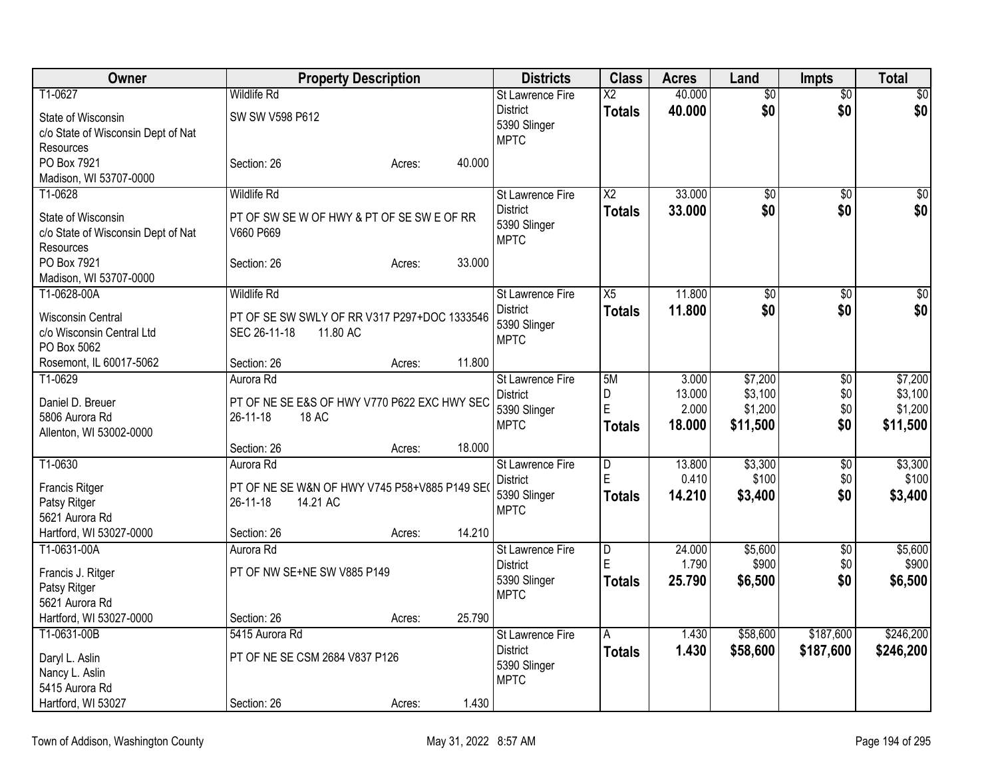| Owner                                                                 | <b>Property Description</b>                             | <b>Districts</b>                               | <b>Class</b>            | <b>Acres</b> | Land            | <b>Impts</b>    | <b>Total</b>    |
|-----------------------------------------------------------------------|---------------------------------------------------------|------------------------------------------------|-------------------------|--------------|-----------------|-----------------|-----------------|
| T1-0627                                                               | <b>Wildlife Rd</b>                                      | <b>St Lawrence Fire</b>                        | $\overline{\text{X2}}$  | 40.000       | $\overline{50}$ | $\overline{60}$ | $\overline{50}$ |
| State of Wisconsin<br>c/o State of Wisconsin Dept of Nat              | SW SW V598 P612                                         | <b>District</b><br>5390 Slinger                | <b>Totals</b>           | 40.000       | \$0             | \$0             | \$0             |
| Resources                                                             |                                                         | <b>MPTC</b>                                    |                         |              |                 |                 |                 |
| PO Box 7921                                                           | 40.000<br>Section: 26<br>Acres:                         |                                                |                         |              |                 |                 |                 |
| Madison, WI 53707-0000                                                |                                                         |                                                |                         |              |                 |                 |                 |
| T1-0628                                                               | <b>Wildlife Rd</b>                                      | <b>St Lawrence Fire</b>                        | $\overline{X2}$         | 33.000       | $\overline{50}$ | $\overline{50}$ | \$0             |
| State of Wisconsin<br>c/o State of Wisconsin Dept of Nat<br>Resources | PT OF SW SE W OF HWY & PT OF SE SW E OF RR<br>V660 P669 | <b>District</b><br>5390 Slinger<br><b>MPTC</b> | <b>Totals</b>           | 33.000       | \$0             | \$0             | \$0             |
| PO Box 7921                                                           | 33.000<br>Section: 26<br>Acres:                         |                                                |                         |              |                 |                 |                 |
| Madison, WI 53707-0000                                                |                                                         |                                                |                         |              |                 |                 |                 |
| T1-0628-00A                                                           | <b>Wildlife Rd</b>                                      | St Lawrence Fire                               | X5                      | 11.800       | $\overline{50}$ | $\overline{50}$ | $\sqrt{50}$     |
| <b>Wisconsin Central</b>                                              | PT OF SE SW SWLY OF RR V317 P297+DOC 1333546            | <b>District</b>                                | <b>Totals</b>           | 11.800       | \$0             | \$0             | \$0             |
| c/o Wisconsin Central Ltd                                             | SEC 26-11-18<br>11.80 AC                                | 5390 Slinger<br><b>MPTC</b>                    |                         |              |                 |                 |                 |
| PO Box 5062                                                           |                                                         |                                                |                         |              |                 |                 |                 |
| Rosemont, IL 60017-5062                                               | 11.800<br>Section: 26<br>Acres:                         |                                                |                         |              |                 |                 |                 |
| T1-0629                                                               | Aurora Rd                                               | St Lawrence Fire                               | 5M                      | 3.000        | \$7,200         | \$0             | \$7,200         |
| Daniel D. Breuer                                                      | PT OF NE SE E&S OF HWY V770 P622 EXC HWY SEC            | <b>District</b>                                | D<br>E                  | 13.000       | \$3,100         | \$0             | \$3,100         |
| 5806 Aurora Rd                                                        | 26-11-18<br>18 AC                                       | 5390 Slinger<br><b>MPTC</b>                    |                         | 2.000        | \$1,200         | \$0             | \$1,200         |
| Allenton, WI 53002-0000                                               |                                                         |                                                | <b>Totals</b>           | 18.000       | \$11,500        | \$0             | \$11,500        |
|                                                                       | 18.000<br>Section: 26<br>Acres:                         |                                                |                         |              |                 |                 |                 |
| T1-0630                                                               | Aurora Rd                                               | <b>St Lawrence Fire</b>                        | D                       | 13.800       | \$3,300         | \$0             | \$3,300         |
| <b>Francis Ritger</b>                                                 | PT OF NE SE W&N OF HWY V745 P58+V885 P149 SEO           | <b>District</b>                                | E                       | 0.410        | \$100           | \$0             | \$100           |
| Patsy Ritger                                                          | 26-11-18<br>14.21 AC                                    | 5390 Slinger<br><b>MPTC</b>                    | <b>Totals</b>           | 14.210       | \$3,400         | \$0             | \$3,400         |
| 5621 Aurora Rd                                                        |                                                         |                                                |                         |              |                 |                 |                 |
| Hartford, WI 53027-0000                                               | 14.210<br>Section: 26<br>Acres:                         |                                                |                         |              |                 |                 |                 |
| T1-0631-00A                                                           | Aurora Rd                                               | St Lawrence Fire                               | $\overline{\mathsf{D}}$ | 24.000       | \$5,600         | \$0             | \$5,600         |
| Francis J. Ritger                                                     | PT OF NW SE+NE SW V885 P149                             | <b>District</b>                                | E                       | 1.790        | \$900           | \$0             | \$900           |
| Patsy Ritger                                                          |                                                         | 5390 Slinger<br><b>MPTC</b>                    | <b>Totals</b>           | 25.790       | \$6,500         | \$0             | \$6,500         |
| 5621 Aurora Rd                                                        |                                                         |                                                |                         |              |                 |                 |                 |
| Hartford, WI 53027-0000                                               | 25.790<br>Section: 26<br>Acres:                         |                                                |                         |              |                 |                 |                 |
| T1-0631-00B                                                           | 5415 Aurora Rd                                          | <b>St Lawrence Fire</b>                        | A                       | 1.430        | \$58,600        | \$187,600       | \$246,200       |
| Daryl L. Aslin                                                        | PT OF NE SE CSM 2684 V837 P126                          | <b>District</b>                                | <b>Totals</b>           | 1.430        | \$58,600        | \$187,600       | \$246,200       |
| Nancy L. Aslin                                                        |                                                         | 5390 Slinger<br><b>MPTC</b>                    |                         |              |                 |                 |                 |
| 5415 Aurora Rd                                                        |                                                         |                                                |                         |              |                 |                 |                 |
| Hartford, WI 53027                                                    | 1.430<br>Section: 26<br>Acres:                          |                                                |                         |              |                 |                 |                 |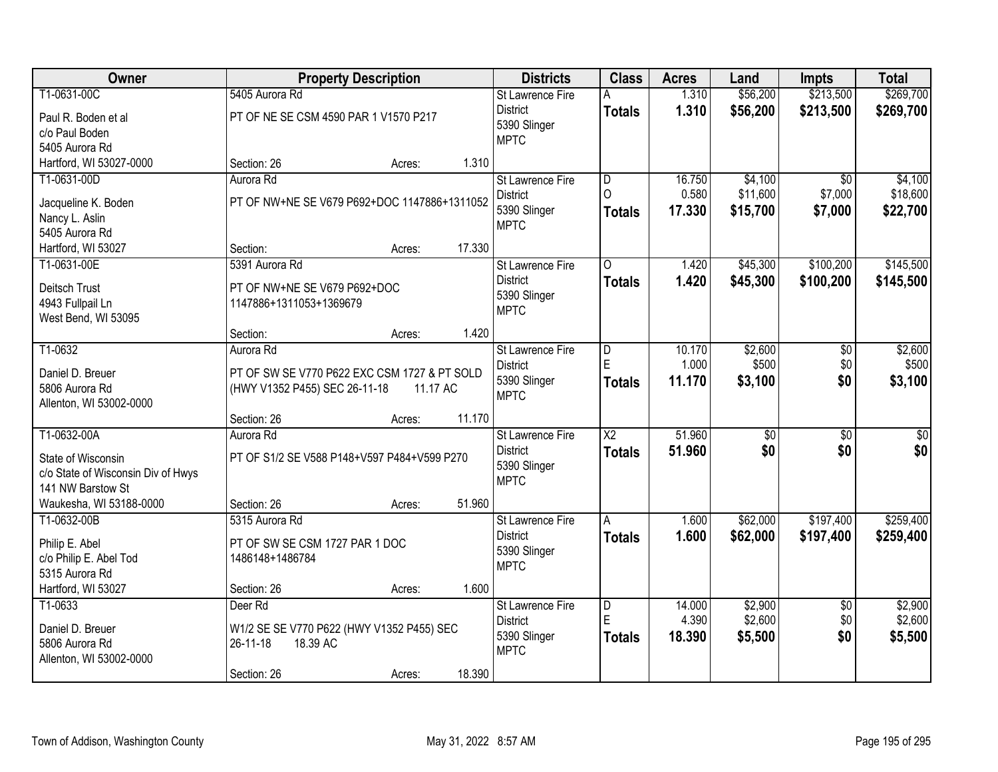| \$269,700<br>\$213,500<br>T1-0631-00C<br>5405 Aurora Rd<br>1.310<br>\$56,200<br><b>St Lawrence Fire</b><br>A<br><b>District</b><br>1.310<br>\$56,200<br>\$213,500<br>\$269,700<br><b>Totals</b><br>PT OF NE SE CSM 4590 PAR 1 V1570 P217<br>Paul R. Boden et al<br>5390 Slinger<br>c/o Paul Boden<br><b>MPTC</b><br>5405 Aurora Rd<br>Hartford, WI 53027-0000<br>1.310<br>Section: 26<br>Acres:<br>T1-0631-00D<br>\$4,100<br>Aurora Rd<br>$\overline{\mathsf{D}}$<br>16.750<br>$\overline{30}$<br><b>St Lawrence Fire</b><br>$\Omega$<br>0.580<br>\$11,600<br>\$7,000<br><b>District</b><br>PT OF NW+NE SE V679 P692+DOC 1147886+1311052<br>Jacqueline K. Boden<br>5390 Slinger<br>17.330<br>\$15,700<br>\$7,000<br><b>Totals</b><br>Nancy L. Aslin<br><b>MPTC</b><br>5405 Aurora Rd<br>17.330<br>Hartford, WI 53027<br>Section:<br>Acres:<br>5391 Aurora Rd<br>\$45,300<br>\$100,200<br>T1-0631-00E<br>St Lawrence Fire<br>1.420<br>$\Omega$<br><b>District</b><br>1.420<br>\$45,300<br>\$100,200<br><b>Totals</b><br>PT OF NW+NE SE V679 P692+DOC<br>Deitsch Trust<br>5390 Slinger<br>4943 Fullpail Ln<br>1147886+1311053+1369679<br><b>MPTC</b><br>West Bend, WI 53095<br>1.420<br>Section:<br>Acres:<br>T1-0632<br>Aurora Rd<br>10.170<br>\$2,600<br>St Lawrence Fire<br>$\overline{D}$<br>\$0<br>E<br>1.000<br>\$500<br>\$0<br>District<br>Daniel D. Breuer<br>PT OF SW SE V770 P622 EXC CSM 1727 & PT SOLD<br>5390 Slinger<br>11.170<br>\$0<br>\$3,100<br>Totals<br>5806 Aurora Rd<br>(HWY V1352 P455) SEC 26-11-18<br>11.17 AC<br><b>MPTC</b><br>Allenton, WI 53002-0000<br>11.170<br>Section: 26<br>Acres:<br>$\overline{\text{X2}}$<br>51.960<br>T1-0632-00A<br>$\overline{50}$<br>$\overline{30}$<br>Aurora Rd<br>St Lawrence Fire<br>\$0<br>\$0<br><b>District</b><br>51,960<br>\$0<br><b>Totals</b><br>PT OF S1/2 SE V588 P148+V597 P484+V599 P270<br>State of Wisconsin<br>5390 Slinger<br>c/o State of Wisconsin Div of Hwys<br><b>MPTC</b><br>141 NW Barstow St<br>51.960<br>Waukesha, WI 53188-0000<br>Section: 26<br>Acres:<br>\$62,000<br>\$197,400<br>T1-0632-00B<br>5315 Aurora Rd<br>1.600<br>St Lawrence Fire<br>A<br><b>District</b><br>1.600<br>\$62,000<br>\$197,400<br><b>Totals</b><br>Philip E. Abel<br>PT OF SW SE CSM 1727 PAR 1 DOC<br>5390 Slinger<br>c/o Philip E. Abel Tod<br>1486148+1486784<br><b>MPTC</b><br>5315 Aurora Rd<br>Hartford, WI 53027<br>1.600<br>Section: 26<br>Acres:<br>T1-0633<br>Deer Rd<br>14.000<br>\$2,900<br>St Lawrence Fire<br>$\overline{D}$<br>$\overline{50}$<br>E<br>4.390<br>\$2,600<br>\$0<br><b>District</b><br>Daniel D. Breuer<br>W1/2 SE SE V770 P622 (HWY V1352 P455) SEC<br>5390 Slinger<br>\$0<br>18.390<br>\$5,500<br>\$5,500<br><b>Totals</b><br>5806 Aurora Rd<br>26-11-18<br>18.39 AC<br><b>MPTC</b><br>Allenton, WI 53002-0000 | Owner |             | <b>Property Description</b> |        | <b>Districts</b> | <b>Class</b> | <b>Acres</b> | Land | <b>Impts</b> | <b>Total</b> |
|--------------------------------------------------------------------------------------------------------------------------------------------------------------------------------------------------------------------------------------------------------------------------------------------------------------------------------------------------------------------------------------------------------------------------------------------------------------------------------------------------------------------------------------------------------------------------------------------------------------------------------------------------------------------------------------------------------------------------------------------------------------------------------------------------------------------------------------------------------------------------------------------------------------------------------------------------------------------------------------------------------------------------------------------------------------------------------------------------------------------------------------------------------------------------------------------------------------------------------------------------------------------------------------------------------------------------------------------------------------------------------------------------------------------------------------------------------------------------------------------------------------------------------------------------------------------------------------------------------------------------------------------------------------------------------------------------------------------------------------------------------------------------------------------------------------------------------------------------------------------------------------------------------------------------------------------------------------------------------------------------------------------------------------------------------------------------------------------------------------------------------------------------------------------------------------------------------------------------------------------------------------------------------------------------------------------------------------------------------------------------------------------------------------------------------------------------------------------------------------------------------------------------------------------------------------------------------------------------------------------------------------------------------------------------------------------------------------------------------------------------------------------------------------------------------------|-------|-------------|-----------------------------|--------|------------------|--------------|--------------|------|--------------|--------------|
|                                                                                                                                                                                                                                                                                                                                                                                                                                                                                                                                                                                                                                                                                                                                                                                                                                                                                                                                                                                                                                                                                                                                                                                                                                                                                                                                                                                                                                                                                                                                                                                                                                                                                                                                                                                                                                                                                                                                                                                                                                                                                                                                                                                                                                                                                                                                                                                                                                                                                                                                                                                                                                                                                                                                                                                                              |       |             |                             |        |                  |              |              |      |              |              |
| \$22,700<br>\$3,100                                                                                                                                                                                                                                                                                                                                                                                                                                                                                                                                                                                                                                                                                                                                                                                                                                                                                                                                                                                                                                                                                                                                                                                                                                                                                                                                                                                                                                                                                                                                                                                                                                                                                                                                                                                                                                                                                                                                                                                                                                                                                                                                                                                                                                                                                                                                                                                                                                                                                                                                                                                                                                                                                                                                                                                          |       |             |                             |        |                  |              |              |      |              |              |
|                                                                                                                                                                                                                                                                                                                                                                                                                                                                                                                                                                                                                                                                                                                                                                                                                                                                                                                                                                                                                                                                                                                                                                                                                                                                                                                                                                                                                                                                                                                                                                                                                                                                                                                                                                                                                                                                                                                                                                                                                                                                                                                                                                                                                                                                                                                                                                                                                                                                                                                                                                                                                                                                                                                                                                                                              |       |             |                             |        |                  |              |              |      |              |              |
|                                                                                                                                                                                                                                                                                                                                                                                                                                                                                                                                                                                                                                                                                                                                                                                                                                                                                                                                                                                                                                                                                                                                                                                                                                                                                                                                                                                                                                                                                                                                                                                                                                                                                                                                                                                                                                                                                                                                                                                                                                                                                                                                                                                                                                                                                                                                                                                                                                                                                                                                                                                                                                                                                                                                                                                                              |       |             |                             |        |                  |              |              |      |              |              |
|                                                                                                                                                                                                                                                                                                                                                                                                                                                                                                                                                                                                                                                                                                                                                                                                                                                                                                                                                                                                                                                                                                                                                                                                                                                                                                                                                                                                                                                                                                                                                                                                                                                                                                                                                                                                                                                                                                                                                                                                                                                                                                                                                                                                                                                                                                                                                                                                                                                                                                                                                                                                                                                                                                                                                                                                              |       |             |                             |        |                  |              |              |      |              |              |
| \$18,600<br>\$145,500<br>\$145,500                                                                                                                                                                                                                                                                                                                                                                                                                                                                                                                                                                                                                                                                                                                                                                                                                                                                                                                                                                                                                                                                                                                                                                                                                                                                                                                                                                                                                                                                                                                                                                                                                                                                                                                                                                                                                                                                                                                                                                                                                                                                                                                                                                                                                                                                                                                                                                                                                                                                                                                                                                                                                                                                                                                                                                           |       |             |                             |        |                  |              |              |      |              | \$4,100      |
|                                                                                                                                                                                                                                                                                                                                                                                                                                                                                                                                                                                                                                                                                                                                                                                                                                                                                                                                                                                                                                                                                                                                                                                                                                                                                                                                                                                                                                                                                                                                                                                                                                                                                                                                                                                                                                                                                                                                                                                                                                                                                                                                                                                                                                                                                                                                                                                                                                                                                                                                                                                                                                                                                                                                                                                                              |       |             |                             |        |                  |              |              |      |              |              |
|                                                                                                                                                                                                                                                                                                                                                                                                                                                                                                                                                                                                                                                                                                                                                                                                                                                                                                                                                                                                                                                                                                                                                                                                                                                                                                                                                                                                                                                                                                                                                                                                                                                                                                                                                                                                                                                                                                                                                                                                                                                                                                                                                                                                                                                                                                                                                                                                                                                                                                                                                                                                                                                                                                                                                                                                              |       |             |                             |        |                  |              |              |      |              |              |
|                                                                                                                                                                                                                                                                                                                                                                                                                                                                                                                                                                                                                                                                                                                                                                                                                                                                                                                                                                                                                                                                                                                                                                                                                                                                                                                                                                                                                                                                                                                                                                                                                                                                                                                                                                                                                                                                                                                                                                                                                                                                                                                                                                                                                                                                                                                                                                                                                                                                                                                                                                                                                                                                                                                                                                                                              |       |             |                             |        |                  |              |              |      |              |              |
|                                                                                                                                                                                                                                                                                                                                                                                                                                                                                                                                                                                                                                                                                                                                                                                                                                                                                                                                                                                                                                                                                                                                                                                                                                                                                                                                                                                                                                                                                                                                                                                                                                                                                                                                                                                                                                                                                                                                                                                                                                                                                                                                                                                                                                                                                                                                                                                                                                                                                                                                                                                                                                                                                                                                                                                                              |       |             |                             |        |                  |              |              |      |              |              |
|                                                                                                                                                                                                                                                                                                                                                                                                                                                                                                                                                                                                                                                                                                                                                                                                                                                                                                                                                                                                                                                                                                                                                                                                                                                                                                                                                                                                                                                                                                                                                                                                                                                                                                                                                                                                                                                                                                                                                                                                                                                                                                                                                                                                                                                                                                                                                                                                                                                                                                                                                                                                                                                                                                                                                                                                              |       |             |                             |        |                  |              |              |      |              |              |
| \$2,600<br>\$500<br>$\overline{50}$<br>\$259,400<br>\$259,400<br>\$2,900<br>\$2,600                                                                                                                                                                                                                                                                                                                                                                                                                                                                                                                                                                                                                                                                                                                                                                                                                                                                                                                                                                                                                                                                                                                                                                                                                                                                                                                                                                                                                                                                                                                                                                                                                                                                                                                                                                                                                                                                                                                                                                                                                                                                                                                                                                                                                                                                                                                                                                                                                                                                                                                                                                                                                                                                                                                          |       |             |                             |        |                  |              |              |      |              |              |
|                                                                                                                                                                                                                                                                                                                                                                                                                                                                                                                                                                                                                                                                                                                                                                                                                                                                                                                                                                                                                                                                                                                                                                                                                                                                                                                                                                                                                                                                                                                                                                                                                                                                                                                                                                                                                                                                                                                                                                                                                                                                                                                                                                                                                                                                                                                                                                                                                                                                                                                                                                                                                                                                                                                                                                                                              |       |             |                             |        |                  |              |              |      |              |              |
|                                                                                                                                                                                                                                                                                                                                                                                                                                                                                                                                                                                                                                                                                                                                                                                                                                                                                                                                                                                                                                                                                                                                                                                                                                                                                                                                                                                                                                                                                                                                                                                                                                                                                                                                                                                                                                                                                                                                                                                                                                                                                                                                                                                                                                                                                                                                                                                                                                                                                                                                                                                                                                                                                                                                                                                                              |       |             |                             |        |                  |              |              |      |              |              |
|                                                                                                                                                                                                                                                                                                                                                                                                                                                                                                                                                                                                                                                                                                                                                                                                                                                                                                                                                                                                                                                                                                                                                                                                                                                                                                                                                                                                                                                                                                                                                                                                                                                                                                                                                                                                                                                                                                                                                                                                                                                                                                                                                                                                                                                                                                                                                                                                                                                                                                                                                                                                                                                                                                                                                                                                              |       |             |                             |        |                  |              |              |      |              |              |
|                                                                                                                                                                                                                                                                                                                                                                                                                                                                                                                                                                                                                                                                                                                                                                                                                                                                                                                                                                                                                                                                                                                                                                                                                                                                                                                                                                                                                                                                                                                                                                                                                                                                                                                                                                                                                                                                                                                                                                                                                                                                                                                                                                                                                                                                                                                                                                                                                                                                                                                                                                                                                                                                                                                                                                                                              |       |             |                             |        |                  |              |              |      |              |              |
|                                                                                                                                                                                                                                                                                                                                                                                                                                                                                                                                                                                                                                                                                                                                                                                                                                                                                                                                                                                                                                                                                                                                                                                                                                                                                                                                                                                                                                                                                                                                                                                                                                                                                                                                                                                                                                                                                                                                                                                                                                                                                                                                                                                                                                                                                                                                                                                                                                                                                                                                                                                                                                                                                                                                                                                                              |       |             |                             |        |                  |              |              |      |              |              |
|                                                                                                                                                                                                                                                                                                                                                                                                                                                                                                                                                                                                                                                                                                                                                                                                                                                                                                                                                                                                                                                                                                                                                                                                                                                                                                                                                                                                                                                                                                                                                                                                                                                                                                                                                                                                                                                                                                                                                                                                                                                                                                                                                                                                                                                                                                                                                                                                                                                                                                                                                                                                                                                                                                                                                                                                              |       |             |                             |        |                  |              |              |      |              |              |
|                                                                                                                                                                                                                                                                                                                                                                                                                                                                                                                                                                                                                                                                                                                                                                                                                                                                                                                                                                                                                                                                                                                                                                                                                                                                                                                                                                                                                                                                                                                                                                                                                                                                                                                                                                                                                                                                                                                                                                                                                                                                                                                                                                                                                                                                                                                                                                                                                                                                                                                                                                                                                                                                                                                                                                                                              |       |             |                             |        |                  |              |              |      |              |              |
|                                                                                                                                                                                                                                                                                                                                                                                                                                                                                                                                                                                                                                                                                                                                                                                                                                                                                                                                                                                                                                                                                                                                                                                                                                                                                                                                                                                                                                                                                                                                                                                                                                                                                                                                                                                                                                                                                                                                                                                                                                                                                                                                                                                                                                                                                                                                                                                                                                                                                                                                                                                                                                                                                                                                                                                                              |       |             |                             |        |                  |              |              |      |              |              |
|                                                                                                                                                                                                                                                                                                                                                                                                                                                                                                                                                                                                                                                                                                                                                                                                                                                                                                                                                                                                                                                                                                                                                                                                                                                                                                                                                                                                                                                                                                                                                                                                                                                                                                                                                                                                                                                                                                                                                                                                                                                                                                                                                                                                                                                                                                                                                                                                                                                                                                                                                                                                                                                                                                                                                                                                              |       |             |                             |        |                  |              |              |      |              |              |
|                                                                                                                                                                                                                                                                                                                                                                                                                                                                                                                                                                                                                                                                                                                                                                                                                                                                                                                                                                                                                                                                                                                                                                                                                                                                                                                                                                                                                                                                                                                                                                                                                                                                                                                                                                                                                                                                                                                                                                                                                                                                                                                                                                                                                                                                                                                                                                                                                                                                                                                                                                                                                                                                                                                                                                                                              |       |             |                             |        |                  |              |              |      |              |              |
|                                                                                                                                                                                                                                                                                                                                                                                                                                                                                                                                                                                                                                                                                                                                                                                                                                                                                                                                                                                                                                                                                                                                                                                                                                                                                                                                                                                                                                                                                                                                                                                                                                                                                                                                                                                                                                                                                                                                                                                                                                                                                                                                                                                                                                                                                                                                                                                                                                                                                                                                                                                                                                                                                                                                                                                                              |       |             |                             |        |                  |              |              |      |              |              |
|                                                                                                                                                                                                                                                                                                                                                                                                                                                                                                                                                                                                                                                                                                                                                                                                                                                                                                                                                                                                                                                                                                                                                                                                                                                                                                                                                                                                                                                                                                                                                                                                                                                                                                                                                                                                                                                                                                                                                                                                                                                                                                                                                                                                                                                                                                                                                                                                                                                                                                                                                                                                                                                                                                                                                                                                              |       |             |                             |        |                  |              |              |      |              |              |
|                                                                                                                                                                                                                                                                                                                                                                                                                                                                                                                                                                                                                                                                                                                                                                                                                                                                                                                                                                                                                                                                                                                                                                                                                                                                                                                                                                                                                                                                                                                                                                                                                                                                                                                                                                                                                                                                                                                                                                                                                                                                                                                                                                                                                                                                                                                                                                                                                                                                                                                                                                                                                                                                                                                                                                                                              |       |             |                             |        |                  |              |              |      |              |              |
|                                                                                                                                                                                                                                                                                                                                                                                                                                                                                                                                                                                                                                                                                                                                                                                                                                                                                                                                                                                                                                                                                                                                                                                                                                                                                                                                                                                                                                                                                                                                                                                                                                                                                                                                                                                                                                                                                                                                                                                                                                                                                                                                                                                                                                                                                                                                                                                                                                                                                                                                                                                                                                                                                                                                                                                                              |       |             |                             |        |                  |              |              |      |              |              |
|                                                                                                                                                                                                                                                                                                                                                                                                                                                                                                                                                                                                                                                                                                                                                                                                                                                                                                                                                                                                                                                                                                                                                                                                                                                                                                                                                                                                                                                                                                                                                                                                                                                                                                                                                                                                                                                                                                                                                                                                                                                                                                                                                                                                                                                                                                                                                                                                                                                                                                                                                                                                                                                                                                                                                                                                              |       |             |                             |        |                  |              |              |      |              |              |
|                                                                                                                                                                                                                                                                                                                                                                                                                                                                                                                                                                                                                                                                                                                                                                                                                                                                                                                                                                                                                                                                                                                                                                                                                                                                                                                                                                                                                                                                                                                                                                                                                                                                                                                                                                                                                                                                                                                                                                                                                                                                                                                                                                                                                                                                                                                                                                                                                                                                                                                                                                                                                                                                                                                                                                                                              |       |             |                             |        |                  |              |              |      |              |              |
|                                                                                                                                                                                                                                                                                                                                                                                                                                                                                                                                                                                                                                                                                                                                                                                                                                                                                                                                                                                                                                                                                                                                                                                                                                                                                                                                                                                                                                                                                                                                                                                                                                                                                                                                                                                                                                                                                                                                                                                                                                                                                                                                                                                                                                                                                                                                                                                                                                                                                                                                                                                                                                                                                                                                                                                                              |       |             |                             |        |                  |              |              |      |              |              |
|                                                                                                                                                                                                                                                                                                                                                                                                                                                                                                                                                                                                                                                                                                                                                                                                                                                                                                                                                                                                                                                                                                                                                                                                                                                                                                                                                                                                                                                                                                                                                                                                                                                                                                                                                                                                                                                                                                                                                                                                                                                                                                                                                                                                                                                                                                                                                                                                                                                                                                                                                                                                                                                                                                                                                                                                              |       |             |                             |        |                  |              |              |      |              |              |
|                                                                                                                                                                                                                                                                                                                                                                                                                                                                                                                                                                                                                                                                                                                                                                                                                                                                                                                                                                                                                                                                                                                                                                                                                                                                                                                                                                                                                                                                                                                                                                                                                                                                                                                                                                                                                                                                                                                                                                                                                                                                                                                                                                                                                                                                                                                                                                                                                                                                                                                                                                                                                                                                                                                                                                                                              |       |             |                             |        |                  |              |              |      |              |              |
|                                                                                                                                                                                                                                                                                                                                                                                                                                                                                                                                                                                                                                                                                                                                                                                                                                                                                                                                                                                                                                                                                                                                                                                                                                                                                                                                                                                                                                                                                                                                                                                                                                                                                                                                                                                                                                                                                                                                                                                                                                                                                                                                                                                                                                                                                                                                                                                                                                                                                                                                                                                                                                                                                                                                                                                                              |       |             |                             |        |                  |              |              |      |              |              |
|                                                                                                                                                                                                                                                                                                                                                                                                                                                                                                                                                                                                                                                                                                                                                                                                                                                                                                                                                                                                                                                                                                                                                                                                                                                                                                                                                                                                                                                                                                                                                                                                                                                                                                                                                                                                                                                                                                                                                                                                                                                                                                                                                                                                                                                                                                                                                                                                                                                                                                                                                                                                                                                                                                                                                                                                              |       |             |                             |        |                  |              |              |      |              |              |
|                                                                                                                                                                                                                                                                                                                                                                                                                                                                                                                                                                                                                                                                                                                                                                                                                                                                                                                                                                                                                                                                                                                                                                                                                                                                                                                                                                                                                                                                                                                                                                                                                                                                                                                                                                                                                                                                                                                                                                                                                                                                                                                                                                                                                                                                                                                                                                                                                                                                                                                                                                                                                                                                                                                                                                                                              |       |             |                             |        |                  |              |              |      |              |              |
|                                                                                                                                                                                                                                                                                                                                                                                                                                                                                                                                                                                                                                                                                                                                                                                                                                                                                                                                                                                                                                                                                                                                                                                                                                                                                                                                                                                                                                                                                                                                                                                                                                                                                                                                                                                                                                                                                                                                                                                                                                                                                                                                                                                                                                                                                                                                                                                                                                                                                                                                                                                                                                                                                                                                                                                                              |       |             |                             |        |                  |              |              |      |              |              |
| Acres:                                                                                                                                                                                                                                                                                                                                                                                                                                                                                                                                                                                                                                                                                                                                                                                                                                                                                                                                                                                                                                                                                                                                                                                                                                                                                                                                                                                                                                                                                                                                                                                                                                                                                                                                                                                                                                                                                                                                                                                                                                                                                                                                                                                                                                                                                                                                                                                                                                                                                                                                                                                                                                                                                                                                                                                                       |       | Section: 26 |                             | 18.390 |                  |              |              |      |              |              |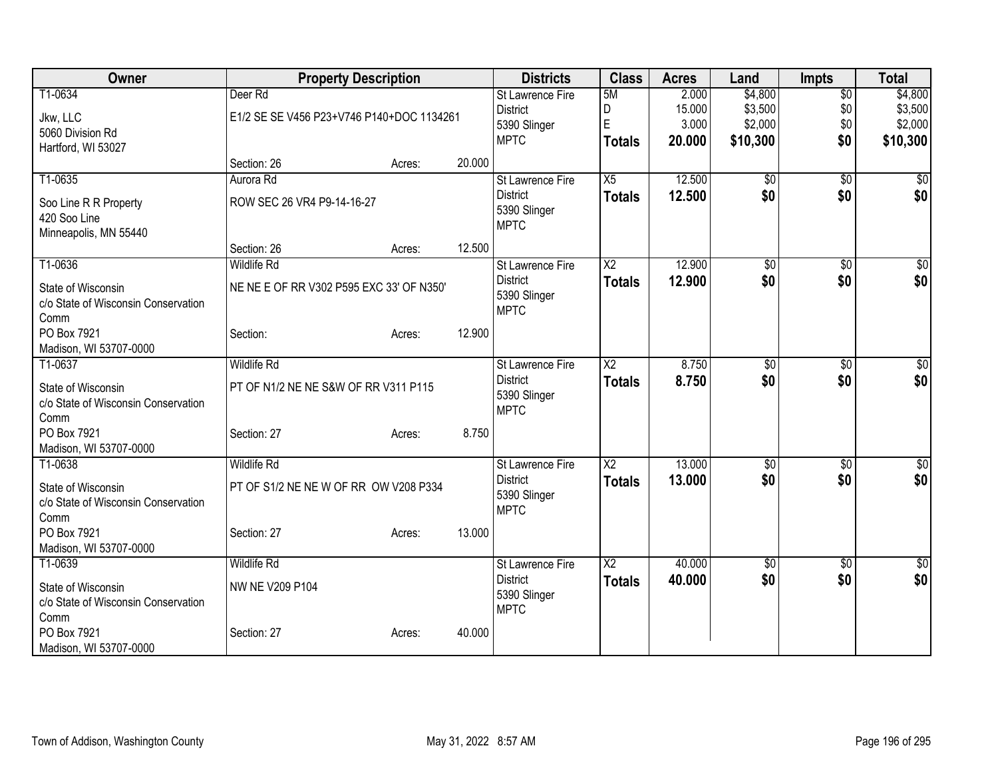| Owner                               |                                           | <b>Property Description</b> |        | <b>Districts</b>                | <b>Class</b>           | <b>Acres</b>    | Land            | <b>Impts</b>    | <b>Total</b> |
|-------------------------------------|-------------------------------------------|-----------------------------|--------|---------------------------------|------------------------|-----------------|-----------------|-----------------|--------------|
| T1-0634                             | Deer Rd                                   |                             |        | St Lawrence Fire                | 5M                     | 2.000           | \$4,800         | $\overline{50}$ | \$4,800      |
| Jkw, LLC                            | E1/2 SE SE V456 P23+V746 P140+DOC 1134261 |                             |        | <b>District</b>                 | D<br>E                 | 15.000<br>3.000 | \$3,500         | \$0             | \$3,500      |
| 5060 Division Rd                    |                                           |                             |        | 5390 Slinger<br><b>MPTC</b>     |                        | 20.000          | \$2,000         | \$0<br>\$0      | \$2,000      |
| Hartford, WI 53027                  |                                           |                             |        |                                 | <b>Totals</b>          |                 | \$10,300        |                 | \$10,300     |
|                                     | Section: 26                               | Acres:                      | 20.000 |                                 |                        |                 |                 |                 |              |
| T1-0635                             | Aurora Rd                                 |                             |        | <b>St Lawrence Fire</b>         | X5                     | 12.500          | \$0             | $\overline{50}$ | \$0          |
| Soo Line R R Property               | ROW SEC 26 VR4 P9-14-16-27                |                             |        | <b>District</b><br>5390 Slinger | <b>Totals</b>          | 12.500          | \$0             | \$0             | \$0          |
| 420 Soo Line                        |                                           |                             |        | <b>MPTC</b>                     |                        |                 |                 |                 |              |
| Minneapolis, MN 55440               |                                           |                             |        |                                 |                        |                 |                 |                 |              |
| T1-0636                             | Section: 26<br><b>Wildlife Rd</b>         | Acres:                      | 12.500 | <b>St Lawrence Fire</b>         | $\overline{\text{X2}}$ | 12.900          | \$0             |                 | $\sqrt{50}$  |
|                                     |                                           |                             |        | <b>District</b>                 |                        | 12.900          | \$0             | \$0<br>\$0      | \$0          |
| State of Wisconsin                  | NE NE E OF RR V302 P595 EXC 33' OF N350'  |                             |        | 5390 Slinger                    | <b>Totals</b>          |                 |                 |                 |              |
| c/o State of Wisconsin Conservation |                                           |                             |        | <b>MPTC</b>                     |                        |                 |                 |                 |              |
| Comm<br>PO Box 7921                 | Section:                                  | Acres:                      | 12.900 |                                 |                        |                 |                 |                 |              |
| Madison, WI 53707-0000              |                                           |                             |        |                                 |                        |                 |                 |                 |              |
| T1-0637                             | <b>Wildlife Rd</b>                        |                             |        | St Lawrence Fire                | $\overline{\text{X2}}$ | 8.750           | $\overline{50}$ | \$0             | $\sqrt{50}$  |
| State of Wisconsin                  | PT OF N1/2 NE NE S&W OF RR V311 P115      |                             |        | <b>District</b>                 | <b>Totals</b>          | 8.750           | \$0             | \$0             | \$0          |
| c/o State of Wisconsin Conservation |                                           |                             |        | 5390 Slinger                    |                        |                 |                 |                 |              |
| Comm                                |                                           |                             |        | <b>MPTC</b>                     |                        |                 |                 |                 |              |
| PO Box 7921                         | Section: 27                               | Acres:                      | 8.750  |                                 |                        |                 |                 |                 |              |
| Madison, WI 53707-0000              |                                           |                             |        |                                 |                        |                 |                 |                 |              |
| T1-0638                             | <b>Wildlife Rd</b>                        |                             |        | <b>St Lawrence Fire</b>         | $\overline{X2}$        | 13.000          | \$0             | \$0             | $\sqrt{50}$  |
| State of Wisconsin                  | PT OF S1/2 NE NE W OF RR OW V208 P334     |                             |        | <b>District</b>                 | <b>Totals</b>          | 13.000          | \$0             | \$0             | \$0          |
| c/o State of Wisconsin Conservation |                                           |                             |        | 5390 Slinger<br><b>MPTC</b>     |                        |                 |                 |                 |              |
| Comm                                |                                           |                             |        |                                 |                        |                 |                 |                 |              |
| PO Box 7921                         | Section: 27                               | Acres:                      | 13.000 |                                 |                        |                 |                 |                 |              |
| Madison, WI 53707-0000<br>T1-0639   | <b>Wildlife Rd</b>                        |                             |        | St Lawrence Fire                | $\overline{X2}$        | 40.000          | $\overline{50}$ | $\overline{50}$ | $\sqrt{50}$  |
|                                     |                                           |                             |        | <b>District</b>                 | <b>Totals</b>          | 40.000          | \$0             | \$0             | \$0          |
| State of Wisconsin                  | NW NE V209 P104                           |                             |        | 5390 Slinger                    |                        |                 |                 |                 |              |
| c/o State of Wisconsin Conservation |                                           |                             |        | <b>MPTC</b>                     |                        |                 |                 |                 |              |
| Comm<br>PO Box 7921                 | Section: 27                               | Acres:                      | 40.000 |                                 |                        |                 |                 |                 |              |
| Madison, WI 53707-0000              |                                           |                             |        |                                 |                        |                 |                 |                 |              |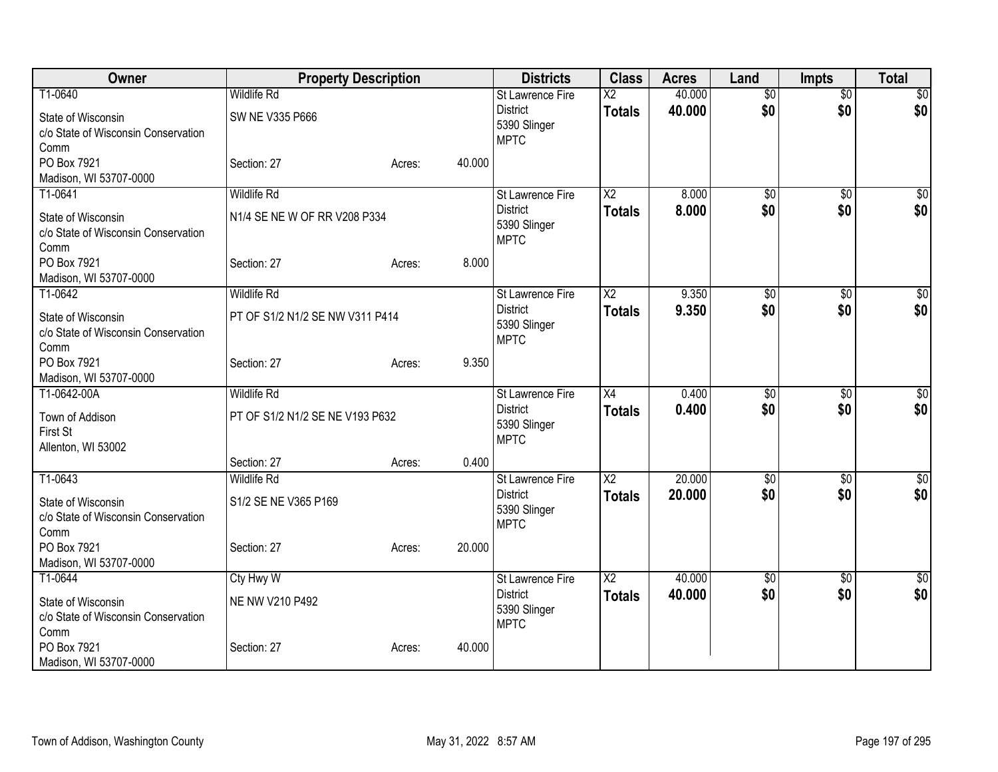| Owner                                       |                                 | <b>Property Description</b> |        | <b>Districts</b>                    | <b>Class</b>           | <b>Acres</b> | Land            | <b>Impts</b>           | <b>Total</b>    |
|---------------------------------------------|---------------------------------|-----------------------------|--------|-------------------------------------|------------------------|--------------|-----------------|------------------------|-----------------|
| T1-0640                                     | <b>Wildlife Rd</b>              |                             |        | St Lawrence Fire                    | $\overline{X2}$        | 40.000       | $\overline{50}$ | $\overline{50}$        | $\sqrt{50}$     |
| State of Wisconsin                          | SW NE V335 P666                 |                             |        | <b>District</b><br>5390 Slinger     | <b>Totals</b>          | 40.000       | \$0             | \$0                    | \$0             |
| c/o State of Wisconsin Conservation         |                                 |                             |        | <b>MPTC</b>                         |                        |              |                 |                        |                 |
| Comm                                        |                                 |                             |        |                                     |                        |              |                 |                        |                 |
| PO Box 7921                                 | Section: 27                     | Acres:                      | 40.000 |                                     |                        |              |                 |                        |                 |
| Madison, WI 53707-0000                      |                                 |                             |        |                                     |                        |              |                 |                        |                 |
| T1-0641                                     | <b>Wildlife Rd</b>              |                             |        | <b>St Lawrence Fire</b>             | $\overline{X2}$        | 8.000        | $\overline{50}$ | $\overline{50}$        | \$0             |
| State of Wisconsin                          | N1/4 SE NE W OF RR V208 P334    |                             |        | <b>District</b><br>5390 Slinger     | <b>Totals</b>          | 8.000        | \$0             | \$0                    | \$0             |
| c/o State of Wisconsin Conservation         |                                 |                             |        | <b>MPTC</b>                         |                        |              |                 |                        |                 |
| Comm                                        |                                 |                             |        |                                     |                        |              |                 |                        |                 |
| PO Box 7921                                 | Section: 27                     | Acres:                      | 8.000  |                                     |                        |              |                 |                        |                 |
| Madison, WI 53707-0000<br>T1-0642           | <b>Wildlife Rd</b>              |                             |        |                                     | $\overline{X2}$        | 9.350        | $\overline{50}$ |                        | $\overline{50}$ |
|                                             |                                 |                             |        | St Lawrence Fire<br><b>District</b> |                        | 9.350        | \$0             | $\overline{50}$<br>\$0 | \$0             |
| State of Wisconsin                          | PT OF S1/2 N1/2 SE NW V311 P414 |                             |        | 5390 Slinger                        | <b>Totals</b>          |              |                 |                        |                 |
| c/o State of Wisconsin Conservation         |                                 |                             |        | <b>MPTC</b>                         |                        |              |                 |                        |                 |
| Comm                                        |                                 |                             |        |                                     |                        |              |                 |                        |                 |
| PO Box 7921                                 | Section: 27                     | Acres:                      | 9.350  |                                     |                        |              |                 |                        |                 |
| Madison, WI 53707-0000<br>T1-0642-00A       | <b>Wildlife Rd</b>              |                             |        | <b>St Lawrence Fire</b>             | X4                     | 0.400        | \$0             | \$0                    | $\sqrt{50}$     |
|                                             |                                 |                             |        | <b>District</b>                     | <b>Totals</b>          | 0.400        | \$0             | \$0                    | \$0             |
| Town of Addison                             | PT OF S1/2 N1/2 SE NE V193 P632 |                             |        | 5390 Slinger                        |                        |              |                 |                        |                 |
| First St                                    |                                 |                             |        | <b>MPTC</b>                         |                        |              |                 |                        |                 |
| Allenton, WI 53002                          | Section: 27                     | Acres:                      | 0.400  |                                     |                        |              |                 |                        |                 |
| T1-0643                                     | <b>Wildlife Rd</b>              |                             |        | <b>St Lawrence Fire</b>             | $\overline{X2}$        | 20.000       | $\overline{50}$ | $\overline{50}$        | $\sqrt{50}$     |
|                                             |                                 |                             |        | <b>District</b>                     | <b>Totals</b>          | 20,000       | \$0             | \$0                    | \$0             |
| State of Wisconsin                          | S1/2 SE NE V365 P169            |                             |        | 5390 Slinger                        |                        |              |                 |                        |                 |
| c/o State of Wisconsin Conservation         |                                 |                             |        | <b>MPTC</b>                         |                        |              |                 |                        |                 |
| Comm<br>PO Box 7921                         | Section: 27                     |                             | 20.000 |                                     |                        |              |                 |                        |                 |
| Madison, WI 53707-0000                      |                                 | Acres:                      |        |                                     |                        |              |                 |                        |                 |
| T1-0644                                     | Cty Hwy W                       |                             |        | <b>St Lawrence Fire</b>             | $\overline{\text{X2}}$ | 40.000       | \$0             | \$0                    | $\sqrt{50}$     |
|                                             |                                 |                             |        | <b>District</b>                     | <b>Totals</b>          | 40.000       | \$0             | \$0                    | \$0             |
| State of Wisconsin                          | NE NW V210 P492                 |                             |        | 5390 Slinger                        |                        |              |                 |                        |                 |
| c/o State of Wisconsin Conservation<br>Comm |                                 |                             |        | <b>MPTC</b>                         |                        |              |                 |                        |                 |
| PO Box 7921                                 | Section: 27                     | Acres:                      | 40.000 |                                     |                        |              |                 |                        |                 |
| Madison, WI 53707-0000                      |                                 |                             |        |                                     |                        |              |                 |                        |                 |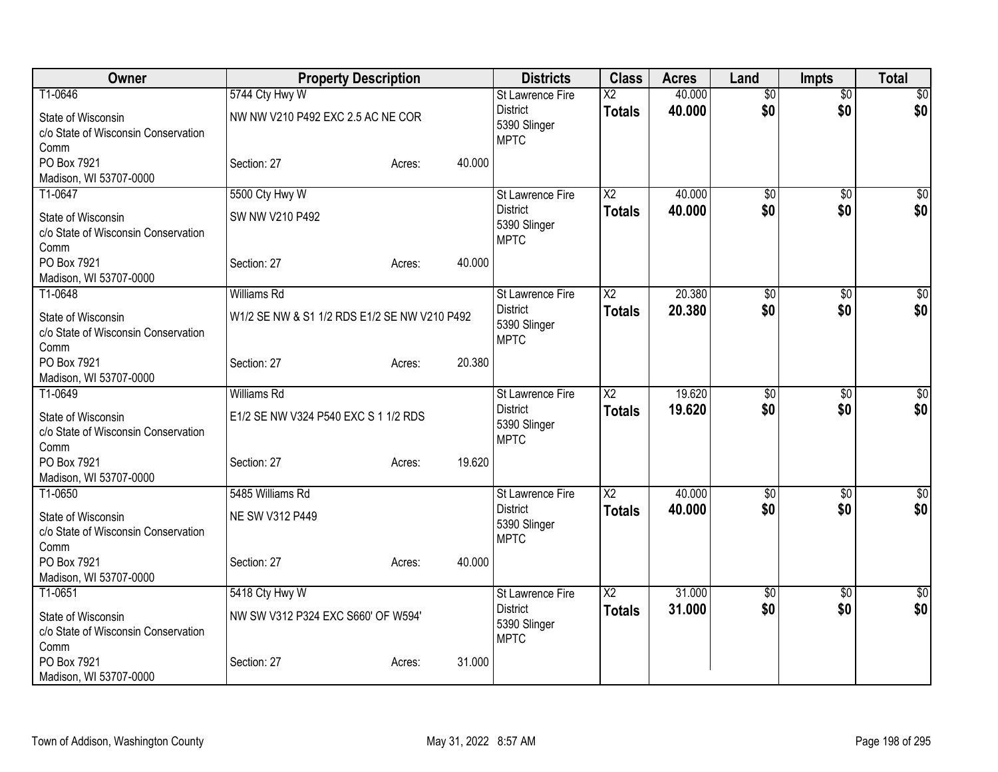| Owner                                                                                       | <b>Property Description</b>                                               |        |        | <b>Districts</b>                                                          | <b>Class</b>                            | <b>Acres</b>     | Land                   | <b>Impts</b>           | <b>Total</b>           |
|---------------------------------------------------------------------------------------------|---------------------------------------------------------------------------|--------|--------|---------------------------------------------------------------------------|-----------------------------------------|------------------|------------------------|------------------------|------------------------|
| T1-0646<br>State of Wisconsin<br>c/o State of Wisconsin Conservation<br>Comm                | 5744 Cty Hwy W<br>NW NW V210 P492 EXC 2.5 AC NE COR                       |        |        | St Lawrence Fire<br><b>District</b><br>5390 Slinger<br><b>MPTC</b>        | $\overline{\text{X2}}$<br><b>Totals</b> | 40.000<br>40.000 | $\overline{30}$<br>\$0 | $\overline{50}$<br>\$0 | $\overline{50}$<br>\$0 |
| PO Box 7921<br>Madison, WI 53707-0000                                                       | Section: 27                                                               | Acres: | 40.000 |                                                                           |                                         |                  |                        |                        |                        |
| T1-0647<br>State of Wisconsin<br>c/o State of Wisconsin Conservation<br>Comm                | 5500 Cty Hwy W<br>SW NW V210 P492                                         |        |        | <b>St Lawrence Fire</b><br><b>District</b><br>5390 Slinger<br><b>MPTC</b> | X <sub>2</sub><br><b>Totals</b>         | 40.000<br>40.000 | \$0<br>\$0             | $\overline{50}$<br>\$0 | \$0<br>\$0             |
| PO Box 7921<br>Madison, WI 53707-0000                                                       | Section: 27                                                               | Acres: | 40.000 |                                                                           |                                         |                  |                        |                        |                        |
| T1-0648<br>State of Wisconsin<br>c/o State of Wisconsin Conservation<br>Comm                | <b>Williams Rd</b><br>W1/2 SE NW & S1 1/2 RDS E1/2 SE NW V210 P492        |        |        | <b>St Lawrence Fire</b><br><b>District</b><br>5390 Slinger<br><b>MPTC</b> | $\overline{X2}$<br><b>Totals</b>        | 20.380<br>20.380 | \$0<br>\$0             | $\overline{50}$<br>\$0 | \$0<br>\$0             |
| PO Box 7921<br>Madison, WI 53707-0000                                                       | Section: 27                                                               | Acres: | 20.380 |                                                                           |                                         |                  |                        |                        |                        |
| T1-0649<br>State of Wisconsin<br>c/o State of Wisconsin Conservation<br>Comm<br>PO Box 7921 | <b>Williams Rd</b><br>E1/2 SE NW V324 P540 EXC S 1 1/2 RDS<br>Section: 27 | Acres: | 19.620 | <b>St Lawrence Fire</b><br><b>District</b><br>5390 Slinger<br><b>MPTC</b> | $\overline{\text{X2}}$<br><b>Totals</b> | 19.620<br>19.620 | \$0<br>\$0             | \$0<br>\$0             | \$0<br>\$0             |
| Madison, WI 53707-0000                                                                      |                                                                           |        |        |                                                                           |                                         |                  |                        |                        |                        |
| T1-0650<br>State of Wisconsin<br>c/o State of Wisconsin Conservation<br>Comm                | 5485 Williams Rd<br>NE SW V312 P449                                       |        |        | <b>St Lawrence Fire</b><br><b>District</b><br>5390 Slinger<br><b>MPTC</b> | $\overline{\text{X2}}$<br><b>Totals</b> | 40.000<br>40.000 | $\overline{50}$<br>\$0 | \$0<br>\$0             | $\overline{50}$<br>\$0 |
| PO Box 7921<br>Madison, WI 53707-0000                                                       | Section: 27                                                               | Acres: | 40.000 |                                                                           |                                         |                  |                        |                        |                        |
| T1-0651<br>State of Wisconsin<br>c/o State of Wisconsin Conservation<br>Comm                | 5418 Cty Hwy W<br>NW SW V312 P324 EXC S660' OF W594'                      |        |        | St Lawrence Fire<br><b>District</b><br>5390 Slinger<br><b>MPTC</b>        | $\overline{\chi_2}$<br><b>Totals</b>    | 31.000<br>31.000 | $\overline{50}$<br>\$0 | \$0<br>\$0             | $\sqrt{50}$<br>\$0     |
| PO Box 7921<br>Madison, WI 53707-0000                                                       | Section: 27                                                               | Acres: | 31.000 |                                                                           |                                         |                  |                        |                        |                        |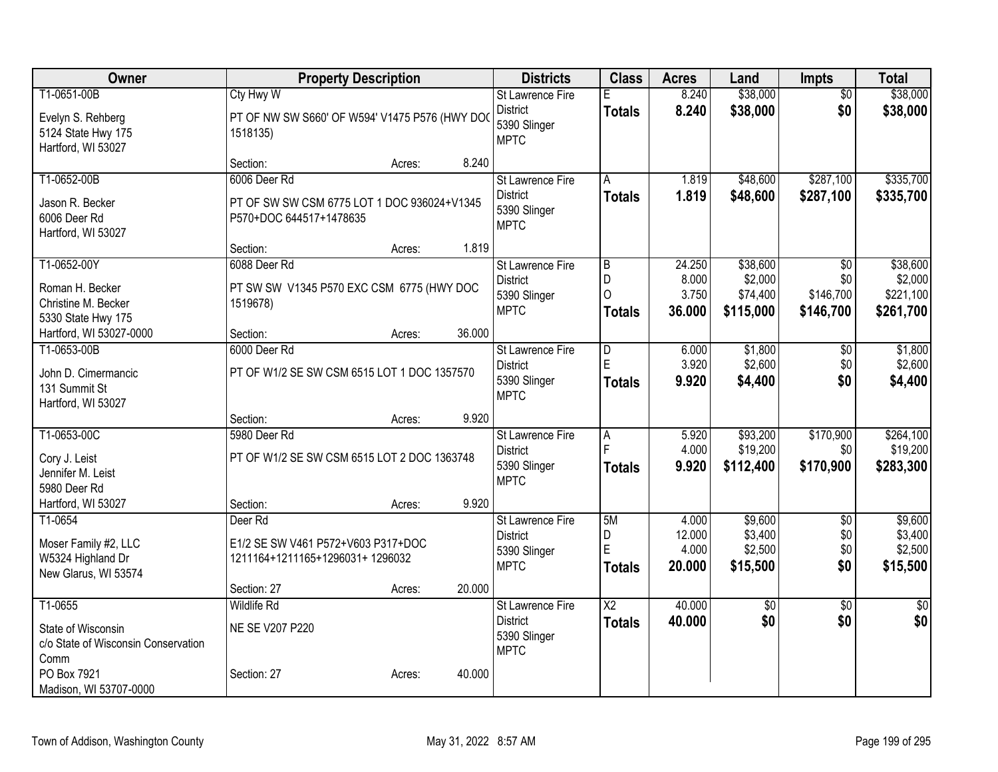| Owner                                  |                                                       | <b>Property Description</b> |        | <b>Districts</b>                    | <b>Class</b>    | <b>Acres</b>    | Land               | <b>Impts</b>           | <b>Total</b>       |
|----------------------------------------|-------------------------------------------------------|-----------------------------|--------|-------------------------------------|-----------------|-----------------|--------------------|------------------------|--------------------|
| T1-0651-00B                            | Cty Hwy W                                             |                             |        | St Lawrence Fire                    | Е               | 8.240           | \$38,000           | $\overline{50}$        | \$38,000           |
| Evelyn S. Rehberg                      | PT OF NW SW S660' OF W594' V1475 P576 (HWY DOC        |                             |        | <b>District</b>                     | <b>Totals</b>   | 8.240           | \$38,000           | \$0                    | \$38,000           |
| 5124 State Hwy 175                     | 1518135)                                              |                             |        | 5390 Slinger                        |                 |                 |                    |                        |                    |
| Hartford, WI 53027                     |                                                       |                             |        | <b>MPTC</b>                         |                 |                 |                    |                        |                    |
|                                        | Section:                                              | Acres:                      | 8.240  |                                     |                 |                 |                    |                        |                    |
| T1-0652-00B                            | 6006 Deer Rd                                          |                             |        | <b>St Lawrence Fire</b>             | A               | 1.819           | \$48,600           | \$287,100              | \$335,700          |
| Jason R. Becker                        | PT OF SW SW CSM 6775 LOT 1 DOC 936024+V1345           |                             |        | <b>District</b>                     | <b>Totals</b>   | 1.819           | \$48,600           | \$287,100              | \$335,700          |
| 6006 Deer Rd                           | P570+DOC 644517+1478635                               |                             |        | 5390 Slinger                        |                 |                 |                    |                        |                    |
| Hartford, WI 53027                     |                                                       |                             |        | <b>MPTC</b>                         |                 |                 |                    |                        |                    |
|                                        | Section:                                              | Acres:                      | 1.819  |                                     |                 |                 |                    |                        |                    |
| T1-0652-00Y                            | 6088 Deer Rd                                          |                             |        | St Lawrence Fire                    | $\overline{B}$  | 24.250          | \$38,600           | \$0                    | \$38,600           |
|                                        |                                                       |                             |        | <b>District</b>                     | D               | 8.000           | \$2,000            | \$0                    | \$2,000            |
| Roman H. Becker<br>Christine M. Becker | PT SW SW V1345 P570 EXC CSM 6775 (HWY DOC<br>1519678) |                             |        | 5390 Slinger                        | $\mathcal{O}$   | 3.750           | \$74,400           | \$146,700              | \$221,100          |
| 5330 State Hwy 175                     |                                                       |                             |        | <b>MPTC</b>                         | <b>Totals</b>   | 36.000          | \$115,000          | \$146,700              | \$261,700          |
| Hartford, WI 53027-0000                | Section:                                              | Acres:                      | 36.000 |                                     |                 |                 |                    |                        |                    |
| T1-0653-00B                            | 6000 Deer Rd                                          |                             |        | St Lawrence Fire                    | D               | 6.000           | \$1,800            | $\sqrt{6}$             | \$1,800            |
|                                        |                                                       |                             |        | <b>District</b>                     | E               | 3.920           | \$2,600            | \$0                    | \$2,600            |
| John D. Cimermancic                    | PT OF W1/2 SE SW CSM 6515 LOT 1 DOC 1357570           |                             |        | 5390 Slinger                        | Totals          | 9.920           | \$4,400            | \$0                    | \$4,400            |
| 131 Summit St                          |                                                       |                             |        | <b>MPTC</b>                         |                 |                 |                    |                        |                    |
| Hartford, WI 53027                     | Section:                                              | Acres:                      | 9.920  |                                     |                 |                 |                    |                        |                    |
| T1-0653-00C                            | 5980 Deer Rd                                          |                             |        | St Lawrence Fire                    | $\overline{A}$  | 5.920           | \$93,200           | \$170,900              | \$264,100          |
|                                        |                                                       |                             |        | <b>District</b>                     |                 | 4.000           | \$19,200           | \$0                    | \$19,200           |
| Cory J. Leist                          | PT OF W1/2 SE SW CSM 6515 LOT 2 DOC 1363748           |                             |        | 5390 Slinger                        | Totals          | 9.920           | \$112,400          | \$170,900              | \$283,300          |
| Jennifer M. Leist                      |                                                       |                             |        | <b>MPTC</b>                         |                 |                 |                    |                        |                    |
| 5980 Deer Rd                           |                                                       |                             |        |                                     |                 |                 |                    |                        |                    |
| Hartford, WI 53027                     | Section:                                              | Acres:                      | 9.920  |                                     |                 |                 |                    |                        |                    |
| T1-0654                                | Deer Rd                                               |                             |        | St Lawrence Fire<br><b>District</b> | 5M<br>D         | 4.000<br>12.000 | \$9,600<br>\$3,400 | $\overline{50}$<br>\$0 | \$9,600<br>\$3,400 |
| Moser Family #2, LLC                   | E1/2 SE SW V461 P572+V603 P317+DOC                    |                             |        | 5390 Slinger                        | E               | 4.000           | \$2,500            | \$0                    | \$2,500            |
| W5324 Highland Dr                      | 1211164+1211165+1296031+1296032                       |                             |        | <b>MPTC</b>                         | Totals          | 20.000          | \$15,500           | \$0                    | \$15,500           |
| New Glarus, WI 53574                   |                                                       |                             |        |                                     |                 |                 |                    |                        |                    |
|                                        | Section: 27                                           | Acres:                      | 20.000 |                                     |                 |                 |                    |                        |                    |
| T1-0655                                | <b>Wildlife Rd</b>                                    |                             |        | <b>St Lawrence Fire</b>             | $\overline{X2}$ | 40.000          | $\overline{60}$    | $\overline{50}$        | $\sqrt{30}$        |
| State of Wisconsin                     | NE SE V207 P220                                       |                             |        | <b>District</b>                     | <b>Totals</b>   | 40.000          | \$0                | \$0                    | \$0                |
| c/o State of Wisconsin Conservation    |                                                       |                             |        | 5390 Slinger                        |                 |                 |                    |                        |                    |
| Comm                                   |                                                       |                             |        | <b>MPTC</b>                         |                 |                 |                    |                        |                    |
| PO Box 7921                            | Section: 27                                           | Acres:                      | 40.000 |                                     |                 |                 |                    |                        |                    |
| Madison, WI 53707-0000                 |                                                       |                             |        |                                     |                 |                 |                    |                        |                    |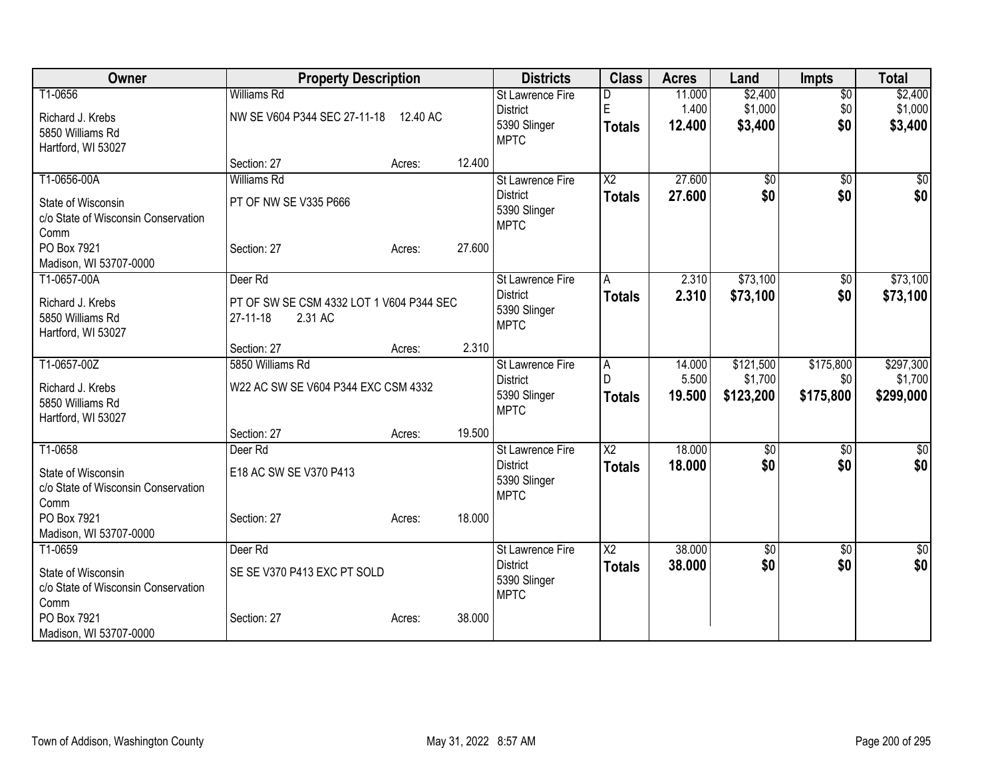| Owner                                 | <b>Property Description</b>              |                  | <b>Districts</b>                | <b>Class</b>           | <b>Acres</b>    | Land            | <b>Impts</b>     | <b>Total</b>         |
|---------------------------------------|------------------------------------------|------------------|---------------------------------|------------------------|-----------------|-----------------|------------------|----------------------|
| T1-0656                               | <b>Williams Rd</b>                       |                  | <b>St Lawrence Fire</b>         | D                      | 11.000          | \$2,400         | $\overline{50}$  | \$2,400              |
| Richard J. Krebs                      | NW SE V604 P344 SEC 27-11-18             | 12.40 AC         | <b>District</b>                 | E                      | 1.400           | \$1,000         | \$0              | \$1,000              |
| 5850 Williams Rd                      |                                          |                  | 5390 Slinger                    | <b>Totals</b>          | 12.400          | \$3,400         | \$0              | \$3,400              |
| Hartford, WI 53027                    |                                          |                  | <b>MPTC</b>                     |                        |                 |                 |                  |                      |
|                                       | Section: 27                              | 12.400<br>Acres: |                                 |                        |                 |                 |                  |                      |
| T1-0656-00A                           | <b>Williams Rd</b>                       |                  | <b>St Lawrence Fire</b>         | $\overline{\text{X2}}$ | 27.600          | $\overline{60}$ | \$0              | \$0                  |
| State of Wisconsin                    | PT OF NW SE V335 P666                    |                  | <b>District</b>                 | <b>Totals</b>          | 27,600          | \$0             | \$0              | \$0                  |
| c/o State of Wisconsin Conservation   |                                          |                  | 5390 Slinger<br><b>MPTC</b>     |                        |                 |                 |                  |                      |
| Comm                                  |                                          |                  |                                 |                        |                 |                 |                  |                      |
| PO Box 7921                           | Section: 27                              | 27.600<br>Acres: |                                 |                        |                 |                 |                  |                      |
| Madison, WI 53707-0000                |                                          |                  |                                 |                        |                 |                 |                  |                      |
| T1-0657-00A                           | Deer Rd                                  |                  | <b>St Lawrence Fire</b>         | A                      | 2.310           | \$73,100        | \$0              | \$73,100             |
| Richard J. Krebs                      | PT OF SW SE CSM 4332 LOT 1 V604 P344 SEC |                  | <b>District</b><br>5390 Slinger | <b>Totals</b>          | 2.310           | \$73,100        | \$0              | \$73,100             |
| 5850 Williams Rd                      | $27-11-18$<br>2.31 AC                    |                  | <b>MPTC</b>                     |                        |                 |                 |                  |                      |
| Hartford, WI 53027                    |                                          |                  |                                 |                        |                 |                 |                  |                      |
|                                       | Section: 27                              | Acres:           | 2.310                           |                        |                 |                 |                  |                      |
| T1-0657-00Z                           | 5850 Williams Rd                         |                  | St Lawrence Fire                | Α<br>D                 | 14.000          | \$121,500       | \$175,800        | \$297,300            |
| Richard J. Krebs                      | W22 AC SW SE V604 P344 EXC CSM 4332      |                  | <b>District</b><br>5390 Slinger |                        | 5.500<br>19.500 | \$1,700         | \$0<br>\$175,800 | \$1,700<br>\$299,000 |
| 5850 Williams Rd                      |                                          |                  | <b>MPTC</b>                     | <b>Totals</b>          |                 | \$123,200       |                  |                      |
| Hartford, WI 53027                    |                                          |                  |                                 |                        |                 |                 |                  |                      |
|                                       | Section: 27                              | 19.500<br>Acres: |                                 |                        |                 |                 |                  |                      |
| T1-0658                               | Deer Rd                                  |                  | <b>St Lawrence Fire</b>         | $\overline{\text{X2}}$ | 18.000          | \$0             | \$0              | $\overline{50}$      |
| State of Wisconsin                    | E18 AC SW SE V370 P413                   |                  | <b>District</b><br>5390 Slinger | <b>Totals</b>          | 18.000          | \$0             | \$0              | \$0                  |
| c/o State of Wisconsin Conservation   |                                          |                  | <b>MPTC</b>                     |                        |                 |                 |                  |                      |
| Comm                                  |                                          |                  |                                 |                        |                 |                 |                  |                      |
| PO Box 7921                           | Section: 27                              | 18.000<br>Acres: |                                 |                        |                 |                 |                  |                      |
| Madison, WI 53707-0000<br>T1-0659     | Deer Rd                                  |                  | St Lawrence Fire                | $\overline{\text{X2}}$ | 38.000          | $\overline{50}$ | $\overline{50}$  | $\overline{50}$      |
|                                       |                                          |                  | <b>District</b>                 |                        | 38.000          | \$0             | \$0              | \$0                  |
| State of Wisconsin                    | SE SE V370 P413 EXC PT SOLD              |                  | 5390 Slinger                    | <b>Totals</b>          |                 |                 |                  |                      |
| c/o State of Wisconsin Conservation   |                                          |                  | <b>MPTC</b>                     |                        |                 |                 |                  |                      |
| Comm                                  |                                          |                  |                                 |                        |                 |                 |                  |                      |
| PO Box 7921<br>Madison, WI 53707-0000 | Section: 27                              | 38.000<br>Acres: |                                 |                        |                 |                 |                  |                      |
|                                       |                                          |                  |                                 |                        |                 |                 |                  |                      |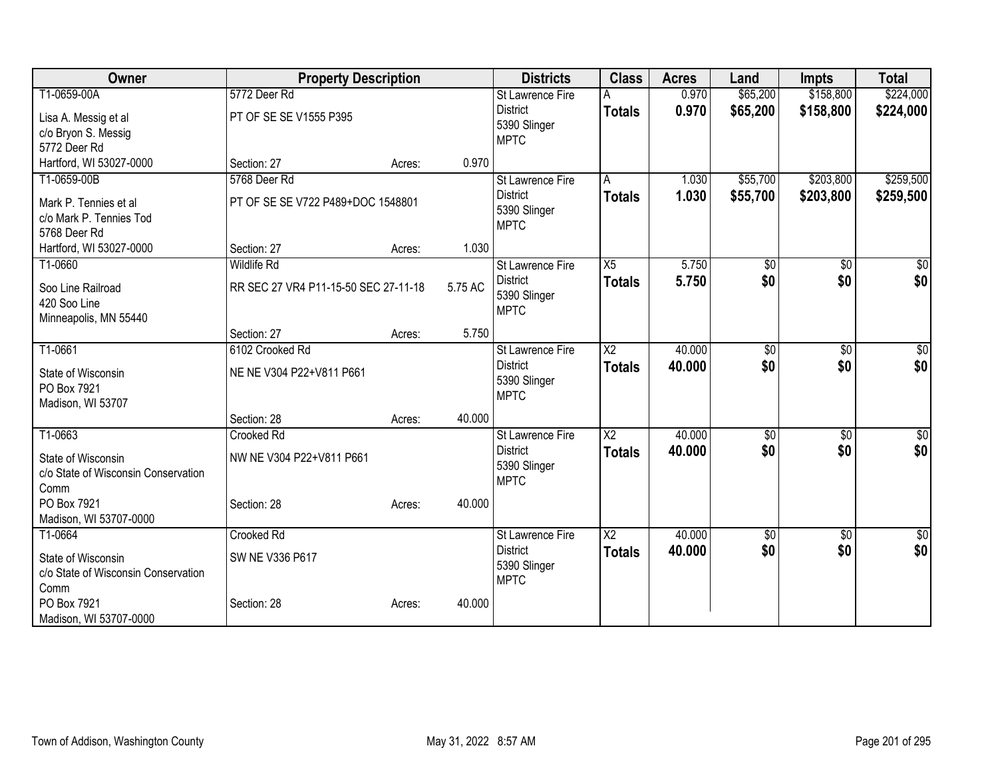| <b>Owner</b>                                                      | <b>Property Description</b>          |        |         | <b>Districts</b>                               | <b>Class</b>           | <b>Acres</b>   | Land                 | <b>Impts</b>           | <b>Total</b>           |
|-------------------------------------------------------------------|--------------------------------------|--------|---------|------------------------------------------------|------------------------|----------------|----------------------|------------------------|------------------------|
| T1-0659-00A                                                       | 5772 Deer Rd                         |        |         | <b>St Lawrence Fire</b><br><b>District</b>     | <b>Totals</b>          | 0.970<br>0.970 | \$65,200<br>\$65,200 | \$158,800<br>\$158,800 | \$224,000<br>\$224,000 |
| Lisa A. Messig et al                                              | PT OF SE SE V1555 P395               |        |         | 5390 Slinger                                   |                        |                |                      |                        |                        |
| c/o Bryon S. Messig<br>5772 Deer Rd                               |                                      |        |         | <b>MPTC</b>                                    |                        |                |                      |                        |                        |
| Hartford, WI 53027-0000                                           | Section: 27                          | Acres: | 0.970   |                                                |                        |                |                      |                        |                        |
| T1-0659-00B                                                       | 5768 Deer Rd                         |        |         | <b>St Lawrence Fire</b>                        | A                      | 1.030          | \$55,700             | \$203,800              | \$259,500              |
| Mark P. Tennies et al<br>c/o Mark P. Tennies Tod<br>5768 Deer Rd  | PT OF SE SE V722 P489+DOC 1548801    |        |         | <b>District</b><br>5390 Slinger<br><b>MPTC</b> | <b>Totals</b>          | 1.030          | \$55,700             | \$203,800              | \$259,500              |
| Hartford, WI 53027-0000                                           | Section: 27                          | Acres: | 1.030   |                                                |                        |                |                      |                        |                        |
| T1-0660                                                           | <b>Wildlife Rd</b>                   |        |         | St Lawrence Fire                               | X5                     | 5.750          | \$0                  | \$0                    | $\sqrt{50}$            |
| Soo Line Railroad<br>420 Soo Line<br>Minneapolis, MN 55440        | RR SEC 27 VR4 P11-15-50 SEC 27-11-18 |        | 5.75 AC | <b>District</b><br>5390 Slinger<br><b>MPTC</b> | <b>Totals</b>          | 5.750          | \$0                  | \$0                    | \$0                    |
|                                                                   | Section: 27                          | Acres: | 5.750   |                                                |                        |                |                      |                        |                        |
| T1-0661                                                           | 6102 Crooked Rd                      |        |         | St Lawrence Fire                               | $\overline{\text{X2}}$ | 40.000         | $\overline{30}$      | $\overline{50}$        | $\sqrt{50}$            |
| State of Wisconsin<br>PO Box 7921<br>Madison, WI 53707            | NE NE V304 P22+V811 P661             |        |         | <b>District</b><br>5390 Slinger<br><b>MPTC</b> | <b>Totals</b>          | 40.000         | \$0                  | \$0                    | \$0                    |
|                                                                   | Section: 28                          | Acres: | 40.000  |                                                |                        |                |                      |                        |                        |
| T1-0663                                                           | Crooked Rd                           |        |         | St Lawrence Fire                               | $\overline{X2}$        | 40.000         | $\overline{50}$      | $\overline{50}$        | $\sqrt{50}$            |
| State of Wisconsin<br>c/o State of Wisconsin Conservation<br>Comm | NW NE V304 P22+V811 P661             |        |         | <b>District</b><br>5390 Slinger<br><b>MPTC</b> | <b>Totals</b>          | 40.000         | \$0                  | \$0                    | \$0                    |
| PO Box 7921                                                       | Section: 28                          | Acres: | 40.000  |                                                |                        |                |                      |                        |                        |
| Madison, WI 53707-0000                                            |                                      |        |         |                                                |                        |                |                      |                        |                        |
| T1-0664                                                           | <b>Crooked Rd</b>                    |        |         | St Lawrence Fire                               | $\overline{\text{X2}}$ | 40.000         | $\overline{60}$      | $\sqrt{6}$             | \$0                    |
| State of Wisconsin<br>c/o State of Wisconsin Conservation<br>Comm | SW NE V336 P617                      |        |         | <b>District</b><br>5390 Slinger<br><b>MPTC</b> | <b>Totals</b>          | 40.000         | \$0                  | \$0                    | \$0                    |
| PO Box 7921<br>Madison, WI 53707-0000                             | Section: 28                          | Acres: | 40.000  |                                                |                        |                |                      |                        |                        |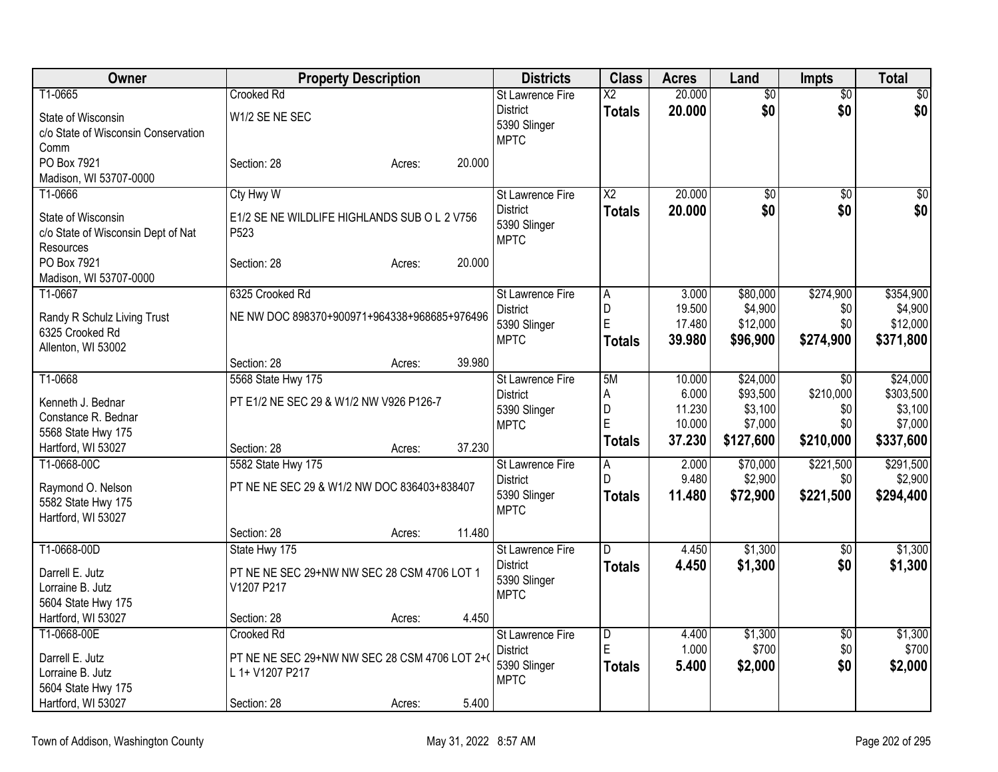| Owner                               | <b>Property Description</b>                   | <b>Districts</b>            | <b>Class</b>           | <b>Acres</b> | Land            | <b>Impts</b>    | <b>Total</b>    |
|-------------------------------------|-----------------------------------------------|-----------------------------|------------------------|--------------|-----------------|-----------------|-----------------|
| T1-0665                             | <b>Crooked Rd</b>                             | <b>St Lawrence Fire</b>     | $\overline{\text{X2}}$ | 20.000       | $\overline{50}$ | $\overline{60}$ | $\overline{50}$ |
| State of Wisconsin                  | W1/2 SE NE SEC                                | <b>District</b>             | <b>Totals</b>          | 20,000       | \$0             | \$0             | \$0             |
| c/o State of Wisconsin Conservation |                                               | 5390 Slinger<br><b>MPTC</b> |                        |              |                 |                 |                 |
| Comm                                |                                               |                             |                        |              |                 |                 |                 |
| PO Box 7921                         | 20.000<br>Section: 28<br>Acres:               |                             |                        |              |                 |                 |                 |
| Madison, WI 53707-0000              |                                               |                             |                        |              |                 |                 |                 |
| T1-0666                             | Cty Hwy W                                     | <b>St Lawrence Fire</b>     | $\overline{X2}$        | 20.000       | $\overline{50}$ | $\overline{50}$ | \$0             |
| State of Wisconsin                  | E1/2 SE NE WILDLIFE HIGHLANDS SUB O L 2 V756  | <b>District</b>             | <b>Totals</b>          | 20,000       | \$0             | \$0             | \$0             |
| c/o State of Wisconsin Dept of Nat  | P <sub>523</sub>                              | 5390 Slinger                |                        |              |                 |                 |                 |
| Resources                           |                                               | <b>MPTC</b>                 |                        |              |                 |                 |                 |
| PO Box 7921                         | 20.000<br>Section: 28<br>Acres:               |                             |                        |              |                 |                 |                 |
| Madison, WI 53707-0000              |                                               |                             |                        |              |                 |                 |                 |
| T1-0667                             | 6325 Crooked Rd                               | St Lawrence Fire            | A                      | 3.000        | \$80,000        | \$274,900       | \$354,900       |
| Randy R Schulz Living Trust         | NE NW DOC 898370+900971+964338+968685+976496  | <b>District</b>             | D                      | 19.500       | \$4,900         | \$0             | \$4,900         |
| 6325 Crooked Rd                     |                                               | 5390 Slinger                | E                      | 17.480       | \$12,000        | \$0             | \$12,000        |
| Allenton, WI 53002                  |                                               | <b>MPTC</b>                 | <b>Totals</b>          | 39.980       | \$96,900        | \$274,900       | \$371,800       |
|                                     | 39.980<br>Section: 28<br>Acres:               |                             |                        |              |                 |                 |                 |
| T1-0668                             | 5568 State Hwy 175                            | St Lawrence Fire            | 5M                     | 10.000       | \$24,000        | \$0             | \$24,000        |
| Kenneth J. Bednar                   | PT E1/2 NE SEC 29 & W1/2 NW V926 P126-7       | <b>District</b>             | A                      | 6.000        | \$93,500        | \$210,000       | \$303,500       |
| Constance R. Bednar                 |                                               | 5390 Slinger                | D                      | 11.230       | \$3,100         | \$0             | \$3,100         |
| 5568 State Hwy 175                  |                                               | <b>MPTC</b>                 | E                      | 10.000       | \$7,000         | \$0             | \$7,000         |
| Hartford, WI 53027                  | 37.230<br>Section: 28<br>Acres:               |                             | Totals                 | 37.230       | \$127,600       | \$210,000       | \$337,600       |
| T1-0668-00C                         | 5582 State Hwy 175                            | St Lawrence Fire            | A                      | 2.000        | \$70,000        | \$221,500       | \$291,500       |
| Raymond O. Nelson                   | PT NE NE SEC 29 & W1/2 NW DOC 836403+838407   | <b>District</b>             | $\mathsf{D}$           | 9.480        | \$2,900         | \$0             | \$2,900         |
| 5582 State Hwy 175                  |                                               | 5390 Slinger                | <b>Totals</b>          | 11.480       | \$72,900        | \$221,500       | \$294,400       |
| Hartford, WI 53027                  |                                               | <b>MPTC</b>                 |                        |              |                 |                 |                 |
|                                     | 11.480<br>Section: 28<br>Acres:               |                             |                        |              |                 |                 |                 |
| T1-0668-00D                         | State Hwy 175                                 | St Lawrence Fire            | D.                     | 4.450        | \$1,300         | $\sqrt{6}$      | \$1,300         |
| Darrell E. Jutz                     | PT NE NE SEC 29+NW NW SEC 28 CSM 4706 LOT 1   | <b>District</b>             | <b>Totals</b>          | 4.450        | \$1,300         | \$0             | \$1,300         |
| Lorraine B. Jutz                    | V1207 P217                                    | 5390 Slinger                |                        |              |                 |                 |                 |
| 5604 State Hwy 175                  |                                               | <b>MPTC</b>                 |                        |              |                 |                 |                 |
| Hartford, WI 53027                  | 4.450<br>Section: 28<br>Acres:                |                             |                        |              |                 |                 |                 |
| T1-0668-00E                         | <b>Crooked Rd</b>                             | <b>St Lawrence Fire</b>     | $\overline{D}$         | 4.400        | \$1,300         | $\overline{50}$ | \$1,300         |
| Darrell E. Jutz                     | PT NE NE SEC 29+NW NW SEC 28 CSM 4706 LOT 2+( | <b>District</b>             | E                      | 1.000        | \$700           | \$0             | \$700           |
| Lorraine B. Jutz                    | L 1+ V1207 P217                               | 5390 Slinger                | <b>Totals</b>          | 5.400        | \$2,000         | \$0             | \$2,000         |
| 5604 State Hwy 175                  |                                               | <b>MPTC</b>                 |                        |              |                 |                 |                 |
| Hartford, WI 53027                  | 5.400<br>Section: 28<br>Acres:                |                             |                        |              |                 |                 |                 |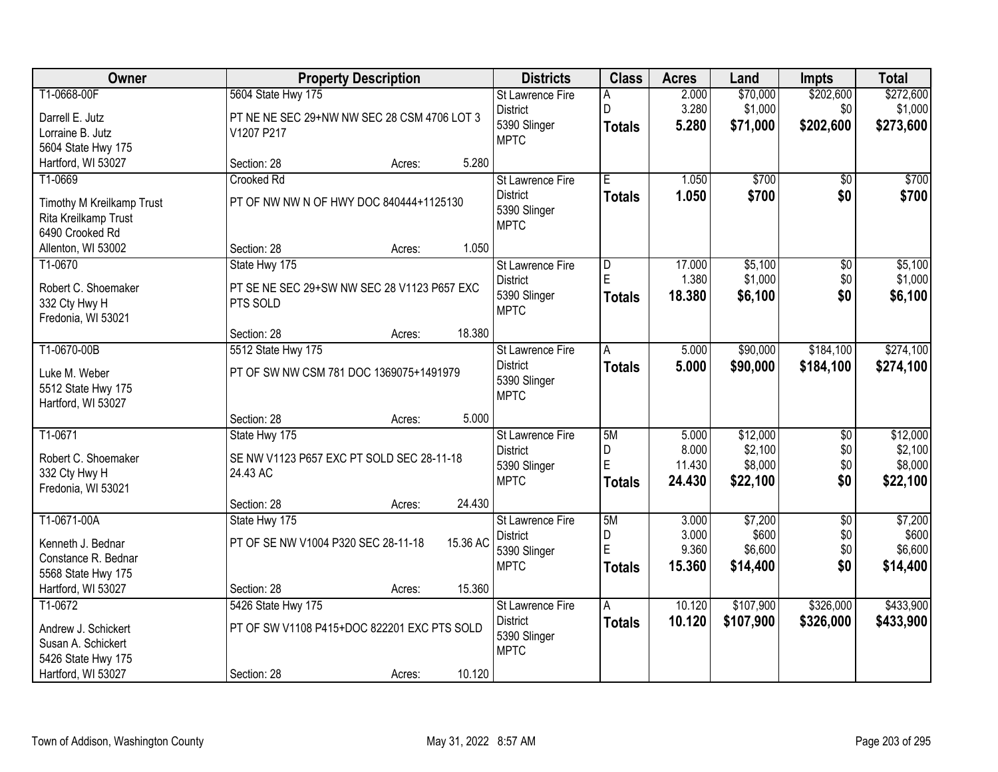| Owner                     |                                             | <b>Property Description</b> |          | <b>Districts</b>        | <b>Class</b>  | <b>Acres</b> | Land      | <b>Impts</b>    | <b>Total</b> |
|---------------------------|---------------------------------------------|-----------------------------|----------|-------------------------|---------------|--------------|-----------|-----------------|--------------|
| T1-0668-00F               | 5604 State Hwy 175                          |                             |          | <b>St Lawrence Fire</b> | A             | 2.000        | \$70,000  | \$202,600       | \$272,600    |
| Darrell E. Jutz           | PT NE NE SEC 29+NW NW SEC 28 CSM 4706 LOT 3 |                             |          | <b>District</b>         | ln.           | 3.280        | \$1,000   | \$0             | \$1,000      |
| Lorraine B. Jutz          | V1207 P217                                  |                             |          | 5390 Slinger            | <b>Totals</b> | 5.280        | \$71,000  | \$202,600       | \$273,600    |
| 5604 State Hwy 175        |                                             |                             |          | <b>MPTC</b>             |               |              |           |                 |              |
| Hartford, WI 53027        | Section: 28                                 | Acres:                      | 5.280    |                         |               |              |           |                 |              |
| T1-0669                   | Crooked Rd                                  |                             |          | St Lawrence Fire        | Έ             | 1.050        | \$700     | $\overline{50}$ | \$700        |
| Timothy M Kreilkamp Trust | PT OF NW NW N OF HWY DOC 840444+1125130     |                             |          | <b>District</b>         | <b>Totals</b> | 1.050        | \$700     | \$0             | \$700        |
| Rita Kreilkamp Trust      |                                             |                             |          | 5390 Slinger            |               |              |           |                 |              |
| 6490 Crooked Rd           |                                             |                             |          | <b>MPTC</b>             |               |              |           |                 |              |
| Allenton, WI 53002        | Section: 28                                 | Acres:                      | 1.050    |                         |               |              |           |                 |              |
| T1-0670                   | State Hwy 175                               |                             |          | St Lawrence Fire        | D             | 17.000       | \$5,100   | \$0             | \$5,100      |
| Robert C. Shoemaker       | PT SE NE SEC 29+SW NW SEC 28 V1123 P657 EXC |                             |          | <b>District</b>         | E             | 1.380        | \$1,000   | \$0             | \$1,000      |
| 332 Cty Hwy H             | PTS SOLD                                    |                             |          | 5390 Slinger            | <b>Totals</b> | 18.380       | \$6,100   | \$0             | \$6,100      |
| Fredonia, WI 53021        |                                             |                             |          | <b>MPTC</b>             |               |              |           |                 |              |
|                           | Section: 28                                 | Acres:                      | 18.380   |                         |               |              |           |                 |              |
| T1-0670-00B               | 5512 State Hwy 175                          |                             |          | St Lawrence Fire        | A             | 5.000        | \$90,000  | \$184,100       | \$274,100    |
| Luke M. Weber             | PT OF SW NW CSM 781 DOC 1369075+1491979     |                             |          | <b>District</b>         | <b>Totals</b> | 5.000        | \$90,000  | \$184,100       | \$274,100    |
| 5512 State Hwy 175        |                                             |                             |          | 5390 Slinger            |               |              |           |                 |              |
| Hartford, WI 53027        |                                             |                             |          | <b>MPTC</b>             |               |              |           |                 |              |
|                           | Section: 28                                 | Acres:                      | 5.000    |                         |               |              |           |                 |              |
| T1-0671                   | State Hwy 175                               |                             |          | St Lawrence Fire        | 5M            | 5.000        | \$12,000  | $\overline{30}$ | \$12,000     |
| Robert C. Shoemaker       | SE NW V1123 P657 EXC PT SOLD SEC 28-11-18   |                             |          | <b>District</b>         | D             | 8.000        | \$2,100   | \$0             | \$2,100      |
| 332 Cty Hwy H             | 24.43 AC                                    |                             |          | 5390 Slinger            | E             | 11.430       | \$8,000   | \$0             | \$8,000      |
| Fredonia, WI 53021        |                                             |                             |          | <b>MPTC</b>             | Totals        | 24.430       | \$22,100  | \$0             | \$22,100     |
|                           | Section: 28                                 | Acres:                      | 24.430   |                         |               |              |           |                 |              |
| T1-0671-00A               | State Hwy 175                               |                             |          | St Lawrence Fire        | 5M            | 3.000        | \$7,200   | $\overline{30}$ | \$7,200      |
| Kenneth J. Bednar         | PT OF SE NW V1004 P320 SEC 28-11-18         |                             | 15.36 AC | <b>District</b>         | D             | 3.000        | \$600     | \$0             | \$600        |
| Constance R. Bednar       |                                             |                             |          | 5390 Slinger            | E             | 9.360        | \$6,600   | \$0             | \$6,600      |
| 5568 State Hwy 175        |                                             |                             |          | <b>MPTC</b>             | Totals        | 15.360       | \$14,400  | \$0             | \$14,400     |
| Hartford, WI 53027        | Section: 28                                 | Acres:                      | 15.360   |                         |               |              |           |                 |              |
| T1-0672                   | 5426 State Hwy 175                          |                             |          | St Lawrence Fire        | A             | 10.120       | \$107,900 | \$326,000       | \$433,900    |
| Andrew J. Schickert       | PT OF SW V1108 P415+DOC 822201 EXC PTS SOLD |                             |          | <b>District</b>         | Totals        | 10.120       | \$107,900 | \$326,000       | \$433,900    |
| Susan A. Schickert        |                                             |                             |          | 5390 Slinger            |               |              |           |                 |              |
| 5426 State Hwy 175        |                                             |                             |          | <b>MPTC</b>             |               |              |           |                 |              |
| Hartford, WI 53027        | Section: 28                                 | Acres:                      | 10.120   |                         |               |              |           |                 |              |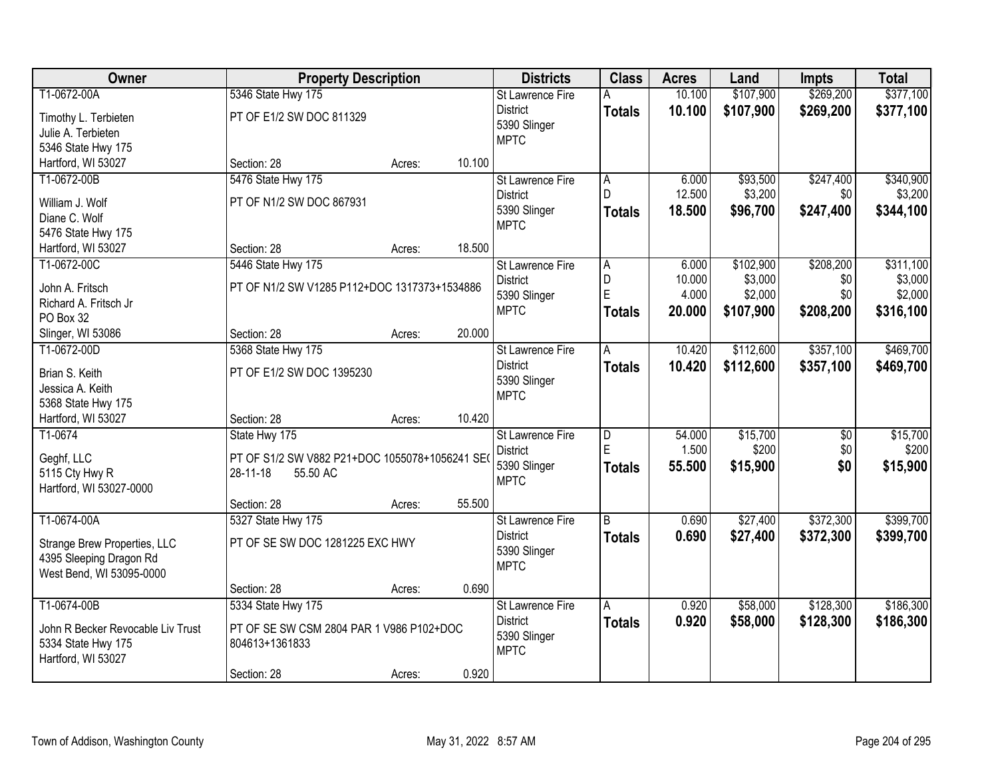| Owner                             |                                                                       | <b>Property Description</b> |        | <b>Districts</b>        | <b>Class</b>            | <b>Acres</b> | Land      | <b>Impts</b>    | <b>Total</b> |
|-----------------------------------|-----------------------------------------------------------------------|-----------------------------|--------|-------------------------|-------------------------|--------------|-----------|-----------------|--------------|
| T1-0672-00A                       | 5346 State Hwy 175                                                    |                             |        | St Lawrence Fire        | A                       | 10.100       | \$107,900 | \$269,200       | \$377,100    |
| Timothy L. Terbieten              | PT OF E1/2 SW DOC 811329                                              |                             |        | <b>District</b>         | <b>Totals</b>           | 10.100       | \$107,900 | \$269,200       | \$377,100    |
| Julie A. Terbieten                |                                                                       |                             |        | 5390 Slinger            |                         |              |           |                 |              |
| 5346 State Hwy 175                |                                                                       |                             |        | <b>MPTC</b>             |                         |              |           |                 |              |
| Hartford, WI 53027                | Section: 28                                                           | Acres:                      | 10.100 |                         |                         |              |           |                 |              |
| T1-0672-00B                       | 5476 State Hwy 175                                                    |                             |        | St Lawrence Fire        | A                       | 6.000        | \$93,500  | \$247,400       | \$340,900    |
| William J. Wolf                   | PT OF N1/2 SW DOC 867931                                              |                             |        | <b>District</b>         | D                       | 12.500       | \$3,200   | \$0             | \$3,200      |
| Diane C. Wolf                     |                                                                       |                             |        | 5390 Slinger            | <b>Totals</b>           | 18.500       | \$96,700  | \$247,400       | \$344,100    |
| 5476 State Hwy 175                |                                                                       |                             |        | <b>MPTC</b>             |                         |              |           |                 |              |
| Hartford, WI 53027                | Section: 28                                                           | Acres:                      | 18.500 |                         |                         |              |           |                 |              |
| T1-0672-00C                       | 5446 State Hwy 175                                                    |                             |        | St Lawrence Fire        | A                       | 6.000        | \$102,900 | \$208,200       | \$311,100    |
| John A. Fritsch                   | PT OF N1/2 SW V1285 P112+DOC 1317373+1534886                          |                             |        | <b>District</b>         | D                       | 10.000       | \$3,000   | \$0             | \$3,000      |
| Richard A. Fritsch Jr             |                                                                       |                             |        | 5390 Slinger            | E                       | 4.000        | \$2,000   | \$0             | \$2,000      |
| PO Box 32                         |                                                                       |                             |        | <b>MPTC</b>             | <b>Totals</b>           | 20.000       | \$107,900 | \$208,200       | \$316,100    |
| Slinger, WI 53086                 | Section: 28                                                           | Acres:                      | 20.000 |                         |                         |              |           |                 |              |
| T1-0672-00D                       | 5368 State Hwy 175                                                    |                             |        | <b>St Lawrence Fire</b> | A                       | 10.420       | \$112,600 | \$357,100       | \$469,700    |
| Brian S. Keith                    | PT OF E1/2 SW DOC 1395230                                             |                             |        | <b>District</b>         | <b>Totals</b>           | 10.420       | \$112,600 | \$357,100       | \$469,700    |
| Jessica A. Keith                  |                                                                       |                             |        | 5390 Slinger            |                         |              |           |                 |              |
| 5368 State Hwy 175                |                                                                       |                             |        | <b>MPTC</b>             |                         |              |           |                 |              |
| Hartford, WI 53027                | Section: 28                                                           | Acres:                      | 10.420 |                         |                         |              |           |                 |              |
| T1-0674                           | State Hwy 175                                                         |                             |        | St Lawrence Fire        | $\overline{\mathsf{D}}$ | 54.000       | \$15,700  | $\overline{50}$ | \$15,700     |
|                                   |                                                                       |                             |        | <b>District</b>         | E                       | 1.500        | \$200     | \$0             | \$200        |
| Geghf, LLC<br>5115 Cty Hwy R      | PT OF S1/2 SW V882 P21+DOC 1055078+1056241 SE<br>28-11-18<br>55.50 AC |                             |        | 5390 Slinger            | <b>Totals</b>           | 55.500       | \$15,900  | \$0             | \$15,900     |
| Hartford, WI 53027-0000           |                                                                       |                             |        | <b>MPTC</b>             |                         |              |           |                 |              |
|                                   | Section: 28                                                           | Acres:                      | 55.500 |                         |                         |              |           |                 |              |
| T1-0674-00A                       | 5327 State Hwy 175                                                    |                             |        | St Lawrence Fire        | $\overline{B}$          | 0.690        | \$27,400  | \$372,300       | \$399,700    |
| Strange Brew Properties, LLC      | PT OF SE SW DOC 1281225 EXC HWY                                       |                             |        | <b>District</b>         | <b>Totals</b>           | 0.690        | \$27,400  | \$372,300       | \$399,700    |
| 4395 Sleeping Dragon Rd           |                                                                       |                             |        | 5390 Slinger            |                         |              |           |                 |              |
| West Bend, WI 53095-0000          |                                                                       |                             |        | <b>MPTC</b>             |                         |              |           |                 |              |
|                                   | Section: 28                                                           | Acres:                      | 0.690  |                         |                         |              |           |                 |              |
| T1-0674-00B                       | 5334 State Hwy 175                                                    |                             |        | <b>St Lawrence Fire</b> | Α                       | 0.920        | \$58,000  | \$128,300       | \$186,300    |
| John R Becker Revocable Liv Trust | PT OF SE SW CSM 2804 PAR 1 V986 P102+DOC                              |                             |        | <b>District</b>         | <b>Totals</b>           | 0.920        | \$58,000  | \$128,300       | \$186,300    |
| 5334 State Hwy 175                | 804613+1361833                                                        |                             |        | 5390 Slinger            |                         |              |           |                 |              |
| Hartford, WI 53027                |                                                                       |                             |        | <b>MPTC</b>             |                         |              |           |                 |              |
|                                   | Section: 28                                                           | Acres:                      | 0.920  |                         |                         |              |           |                 |              |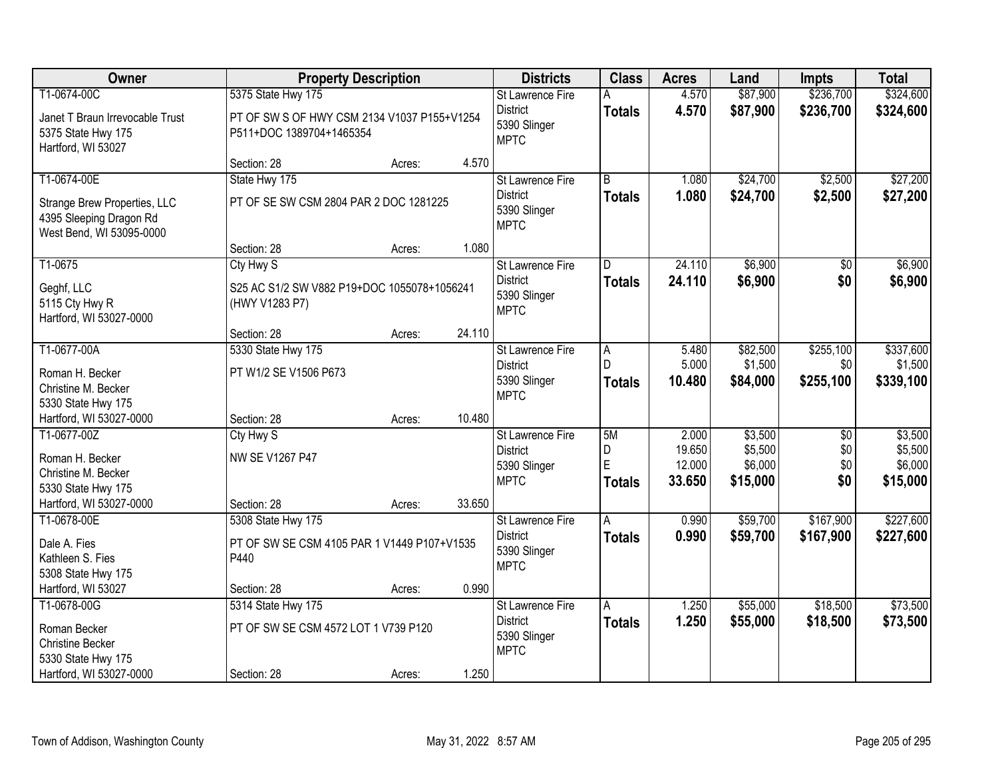| Owner                                                                                                  |                                                                                               | <b>Property Description</b> |        | <b>Districts</b>                                                          | <b>Class</b>                       | <b>Acres</b>                        | Land                                      | <b>Impts</b>                         | <b>Total</b>                              |
|--------------------------------------------------------------------------------------------------------|-----------------------------------------------------------------------------------------------|-----------------------------|--------|---------------------------------------------------------------------------|------------------------------------|-------------------------------------|-------------------------------------------|--------------------------------------|-------------------------------------------|
| T1-0674-00C<br>Janet T Braun Irrevocable Trust<br>5375 State Hwy 175<br>Hartford, WI 53027             | 5375 State Hwy 175<br>PT OF SW S OF HWY CSM 2134 V1037 P155+V1254<br>P511+DOC 1389704+1465354 |                             |        | St Lawrence Fire<br><b>District</b><br>5390 Slinger<br><b>MPTC</b>        | A<br><b>Totals</b>                 | 4.570<br>4.570                      | \$87,900<br>\$87,900                      | \$236,700<br>\$236,700               | \$324,600<br>\$324,600                    |
|                                                                                                        | Section: 28                                                                                   | Acres:                      | 4.570  |                                                                           |                                    |                                     |                                           |                                      |                                           |
| T1-0674-00E<br>Strange Brew Properties, LLC<br>4395 Sleeping Dragon Rd<br>West Bend, WI 53095-0000     | State Hwy 175<br>PT OF SE SW CSM 2804 PAR 2 DOC 1281225                                       |                             |        | <b>St Lawrence Fire</b><br><b>District</b><br>5390 Slinger<br><b>MPTC</b> | $\overline{B}$<br><b>Totals</b>    | 1.080<br>1.080                      | \$24,700<br>\$24,700                      | \$2,500<br>\$2,500                   | \$27,200<br>\$27,200                      |
|                                                                                                        | Section: 28                                                                                   | Acres:                      | 1.080  |                                                                           |                                    |                                     |                                           |                                      |                                           |
| T1-0675<br>Geghf, LLC<br>5115 Cty Hwy R<br>Hartford, WI 53027-0000                                     | Cty Hwy S<br>S25 AC S1/2 SW V882 P19+DOC 1055078+1056241<br>(HWY V1283 P7)                    |                             |        | St Lawrence Fire<br><b>District</b><br>5390 Slinger<br><b>MPTC</b>        | D<br><b>Totals</b>                 | 24.110<br>24.110                    | \$6,900<br>\$6,900                        | \$0<br>\$0                           | \$6,900<br>\$6,900                        |
|                                                                                                        | Section: 28                                                                                   | Acres:                      | 24.110 |                                                                           |                                    |                                     |                                           |                                      |                                           |
| T1-0677-00A<br>Roman H. Becker<br>Christine M. Becker<br>5330 State Hwy 175                            | 5330 State Hwy 175<br>PT W1/2 SE V1506 P673                                                   |                             |        | St Lawrence Fire<br><b>District</b><br>5390 Slinger<br><b>MPTC</b>        | A<br>$\mathsf{D}$<br><b>Totals</b> | 5.480<br>5.000<br>10.480            | \$82,500<br>\$1,500<br>\$84,000           | \$255,100<br>\$0<br>\$255,100        | \$337,600<br>\$1,500<br>\$339,100         |
| Hartford, WI 53027-0000                                                                                | Section: 28                                                                                   | Acres:                      | 10.480 |                                                                           |                                    |                                     |                                           |                                      |                                           |
| T1-0677-00Z<br>Roman H. Becker<br>Christine M. Becker<br>5330 State Hwy 175<br>Hartford, WI 53027-0000 | Cty Hwy S<br>NW SE V1267 P47<br>Section: 28                                                   | Acres:                      | 33.650 | St Lawrence Fire<br><b>District</b><br>5390 Slinger<br><b>MPTC</b>        | 5M<br>D<br>E<br><b>Totals</b>      | 2.000<br>19.650<br>12.000<br>33.650 | \$3,500<br>\$5,500<br>\$6,000<br>\$15,000 | $\overline{50}$<br>\$0<br>\$0<br>\$0 | \$3,500<br>\$5,500<br>\$6,000<br>\$15,000 |
| T1-0678-00E                                                                                            | 5308 State Hwy 175                                                                            |                             |        | St Lawrence Fire                                                          | A                                  | 0.990                               | \$59,700                                  | \$167,900                            | \$227,600                                 |
| Dale A. Fies<br>Kathleen S. Fies<br>5308 State Hwy 175                                                 | PT OF SW SE CSM 4105 PAR 1 V1449 P107+V1535<br>P440                                           |                             |        | <b>District</b><br>5390 Slinger<br><b>MPTC</b>                            | <b>Totals</b>                      | 0.990                               | \$59,700                                  | \$167,900                            | \$227,600                                 |
| Hartford, WI 53027                                                                                     | Section: 28                                                                                   | Acres:                      | 0.990  |                                                                           |                                    |                                     |                                           |                                      |                                           |
| T1-0678-00G<br>Roman Becker<br><b>Christine Becker</b><br>5330 State Hwy 175                           | 5314 State Hwy 175<br>PT OF SW SE CSM 4572 LOT 1 V739 P120                                    |                             |        | St Lawrence Fire<br><b>District</b><br>5390 Slinger<br><b>MPTC</b>        | A<br><b>Totals</b>                 | 1.250<br>1.250                      | \$55,000<br>\$55,000                      | \$18,500<br>\$18,500                 | \$73,500<br>\$73,500                      |
| Hartford, WI 53027-0000                                                                                | Section: 28                                                                                   | Acres:                      | 1.250  |                                                                           |                                    |                                     |                                           |                                      |                                           |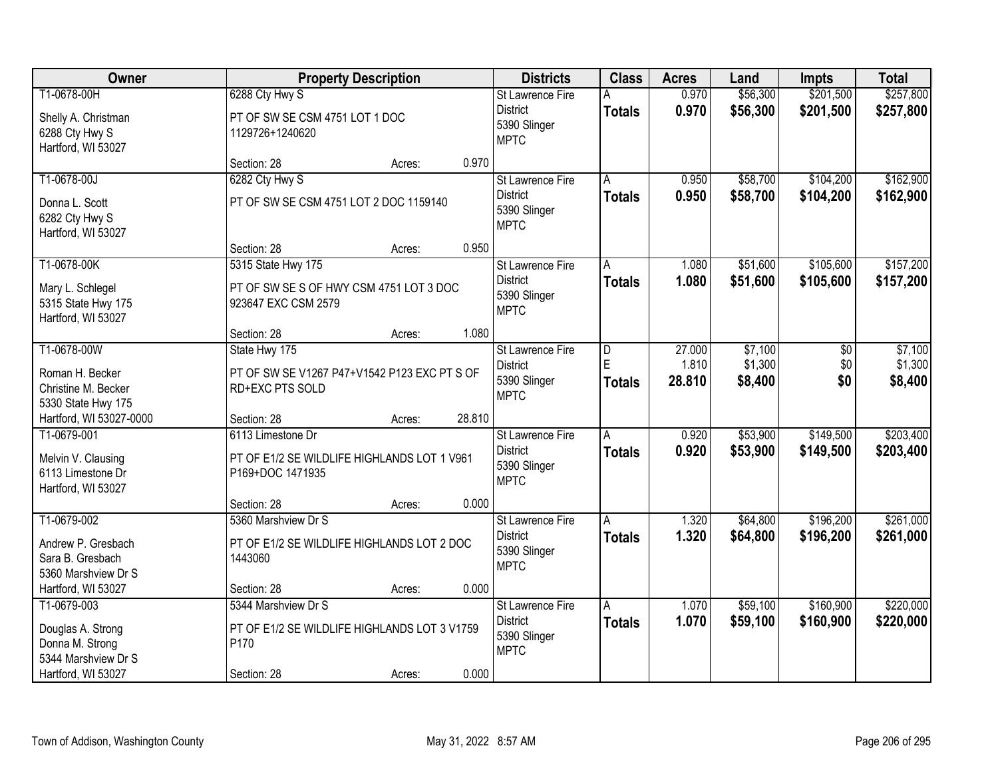| Owner                                                         |                                                                 | <b>Property Description</b> |        | <b>Districts</b>                               | <b>Class</b>       | <b>Acres</b>    | Land               | <b>Impts</b> | <b>Total</b>       |
|---------------------------------------------------------------|-----------------------------------------------------------------|-----------------------------|--------|------------------------------------------------|--------------------|-----------------|--------------------|--------------|--------------------|
| T1-0678-00H                                                   | 6288 Cty Hwy S                                                  |                             |        | St Lawrence Fire                               | А                  | 0.970           | \$56,300           | \$201,500    | \$257,800          |
| Shelly A. Christman<br>6288 Cty Hwy S<br>Hartford, WI 53027   | PT OF SW SE CSM 4751 LOT 1 DOC<br>1129726+1240620               |                             |        | <b>District</b><br>5390 Slinger<br><b>MPTC</b> | <b>Totals</b>      | 0.970           | \$56,300           | \$201,500    | \$257,800          |
|                                                               | Section: 28                                                     | Acres:                      | 0.970  |                                                |                    |                 |                    |              |                    |
| T1-0678-00J                                                   | 6282 Cty Hwy S                                                  |                             |        | St Lawrence Fire                               | A                  | 0.950           | \$58,700           | \$104,200    | \$162,900          |
| Donna L. Scott<br>6282 Cty Hwy S<br>Hartford, WI 53027        | PT OF SW SE CSM 4751 LOT 2 DOC 1159140                          |                             |        | <b>District</b><br>5390 Slinger<br><b>MPTC</b> | <b>Totals</b>      | 0.950           | \$58,700           | \$104,200    | \$162,900          |
|                                                               | Section: 28                                                     | Acres:                      | 0.950  |                                                |                    |                 |                    |              |                    |
| T1-0678-00K                                                   | 5315 State Hwy 175                                              |                             |        | St Lawrence Fire                               | А                  | 1.080           | \$51,600           | \$105,600    | \$157,200          |
| Mary L. Schlegel<br>5315 State Hwy 175<br>Hartford, WI 53027  | PT OF SW SE S OF HWY CSM 4751 LOT 3 DOC<br>923647 EXC CSM 2579  |                             |        | <b>District</b><br>5390 Slinger<br><b>MPTC</b> | <b>Totals</b>      | 1.080           | \$51,600           | \$105,600    | \$157,200          |
|                                                               | Section: 28                                                     | Acres:                      | 1.080  |                                                |                    |                 |                    |              |                    |
| T1-0678-00W                                                   | State Hwy 175                                                   |                             |        | St Lawrence Fire                               | D                  | 27.000          | \$7,100            | \$0          | \$7,100            |
| Roman H. Becker<br>Christine M. Becker<br>5330 State Hwy 175  | PT OF SW SE V1267 P47+V1542 P123 EXC PT S OF<br>RD+EXC PTS SOLD |                             |        | <b>District</b><br>5390 Slinger<br><b>MPTC</b> | E<br><b>Totals</b> | 1.810<br>28.810 | \$1,300<br>\$8,400 | \$0<br>\$0   | \$1,300<br>\$8,400 |
| Hartford, WI 53027-0000                                       | Section: 28                                                     | Acres:                      | 28.810 |                                                |                    |                 |                    |              |                    |
| T1-0679-001                                                   | 6113 Limestone Dr                                               |                             |        | St Lawrence Fire                               | $\overline{A}$     | 0.920           | \$53,900           | \$149,500    | \$203,400          |
| Melvin V. Clausing<br>6113 Limestone Dr<br>Hartford, WI 53027 | PT OF E1/2 SE WILDLIFE HIGHLANDS LOT 1 V961<br>P169+DOC 1471935 |                             |        | <b>District</b><br>5390 Slinger<br><b>MPTC</b> | <b>Totals</b>      | 0.920           | \$53,900           | \$149,500    | \$203,400          |
|                                                               | Section: 28                                                     | Acres:                      | 0.000  |                                                |                    |                 |                    |              |                    |
| T1-0679-002                                                   | 5360 Marshview Dr S                                             |                             |        | St Lawrence Fire                               | A                  | 1.320           | \$64,800           | \$196,200    | \$261,000          |
| Andrew P. Gresbach<br>Sara B. Gresbach<br>5360 Marshview Dr S | PT OF E1/2 SE WILDLIFE HIGHLANDS LOT 2 DOC<br>1443060           |                             |        | <b>District</b><br>5390 Slinger<br><b>MPTC</b> | <b>Totals</b>      | 1.320           | \$64,800           | \$196,200    | \$261,000          |
| Hartford, WI 53027                                            | Section: 28                                                     | Acres:                      | 0.000  |                                                |                    |                 |                    |              |                    |
| T1-0679-003                                                   | 5344 Marshview Dr S                                             |                             |        | <b>St Lawrence Fire</b>                        | Α                  | 1.070           | \$59,100           | \$160,900    | \$220,000          |
| Douglas A. Strong<br>Donna M. Strong<br>5344 Marshview Dr S   | PT OF E1/2 SE WILDLIFE HIGHLANDS LOT 3 V1759<br>P170            |                             |        | <b>District</b><br>5390 Slinger<br><b>MPTC</b> | <b>Totals</b>      | 1.070           | \$59,100           | \$160,900    | \$220,000          |
| Hartford, WI 53027                                            | Section: 28                                                     | Acres:                      | 0.000  |                                                |                    |                 |                    |              |                    |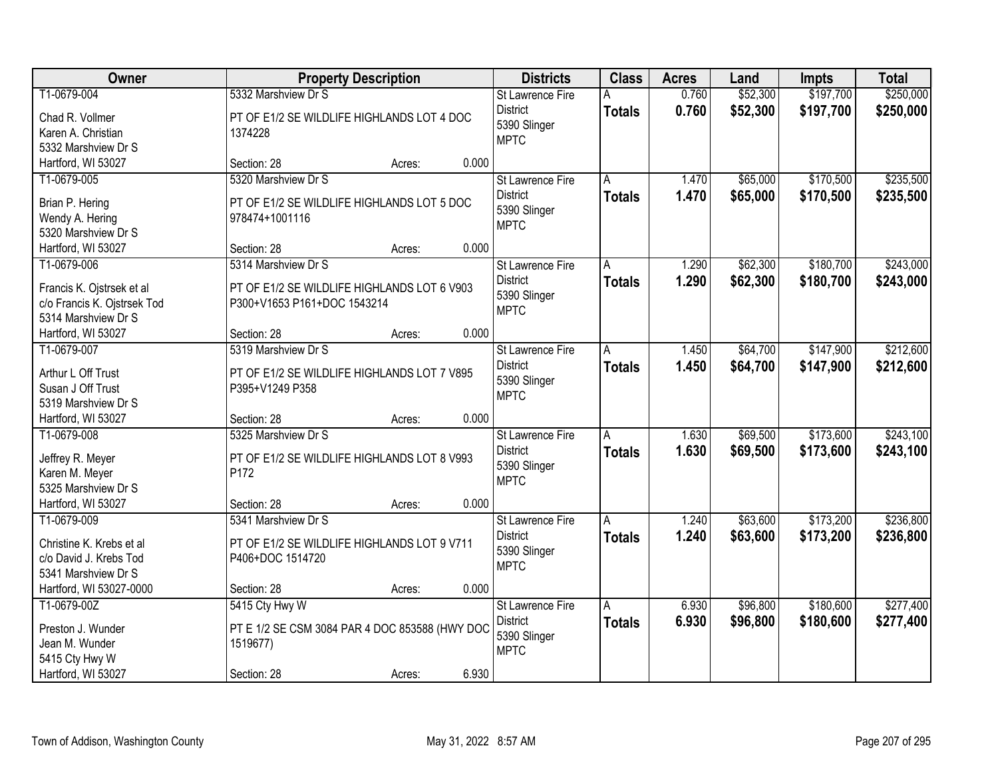| Owner                                  |                                                | <b>Property Description</b> |       | <b>Districts</b>        | <b>Class</b>  | <b>Acres</b> | Land     | <b>Impts</b> | <b>Total</b> |
|----------------------------------------|------------------------------------------------|-----------------------------|-------|-------------------------|---------------|--------------|----------|--------------|--------------|
| T1-0679-004                            | 5332 Marshview Dr S                            |                             |       | St Lawrence Fire        | А             | 0.760        | \$52,300 | \$197,700    | \$250,000    |
| Chad R. Vollmer                        | PT OF E1/2 SE WILDLIFE HIGHLANDS LOT 4 DOC     |                             |       | <b>District</b>         | <b>Totals</b> | 0.760        | \$52,300 | \$197,700    | \$250,000    |
| Karen A. Christian                     | 1374228                                        |                             |       | 5390 Slinger            |               |              |          |              |              |
| 5332 Marshview Dr S                    |                                                |                             |       | <b>MPTC</b>             |               |              |          |              |              |
| Hartford, WI 53027                     | Section: 28                                    | Acres:                      | 0.000 |                         |               |              |          |              |              |
| T1-0679-005                            | 5320 Marshview Dr S                            |                             |       | St Lawrence Fire        | A             | 1.470        | \$65,000 | \$170,500    | \$235,500    |
|                                        |                                                |                             |       | <b>District</b>         | <b>Totals</b> | 1.470        | \$65,000 | \$170,500    | \$235,500    |
| Brian P. Hering                        | PT OF E1/2 SE WILDLIFE HIGHLANDS LOT 5 DOC     |                             |       | 5390 Slinger            |               |              |          |              |              |
| Wendy A. Hering<br>5320 Marshview Dr S | 978474+1001116                                 |                             |       | <b>MPTC</b>             |               |              |          |              |              |
| Hartford, WI 53027                     | Section: 28                                    | Acres:                      | 0.000 |                         |               |              |          |              |              |
| T1-0679-006                            | 5314 Marshview Dr S                            |                             |       | St Lawrence Fire        |               | 1.290        | \$62,300 | \$180,700    | \$243,000    |
|                                        |                                                |                             |       | <b>District</b>         | А             |              |          |              |              |
| Francis K. Ojstrsek et al              | PT OF E1/2 SE WILDLIFE HIGHLANDS LOT 6 V903    |                             |       | 5390 Slinger            | <b>Totals</b> | 1.290        | \$62,300 | \$180,700    | \$243,000    |
| c/o Francis K. Ojstrsek Tod            | P300+V1653 P161+DOC 1543214                    |                             |       | <b>MPTC</b>             |               |              |          |              |              |
| 5314 Marshview Dr S                    |                                                |                             |       |                         |               |              |          |              |              |
| Hartford, WI 53027                     | Section: 28                                    | Acres:                      | 0.000 |                         |               |              |          |              |              |
| T1-0679-007                            | 5319 Marshview Dr S                            |                             |       | St Lawrence Fire        | A             | 1.450        | \$64,700 | \$147,900    | \$212,600    |
| Arthur L Off Trust                     | PT OF E1/2 SE WILDLIFE HIGHLANDS LOT 7 V895    |                             |       | <b>District</b>         | <b>Totals</b> | 1.450        | \$64,700 | \$147,900    | \$212,600    |
| Susan J Off Trust                      | P395+V1249 P358                                |                             |       | 5390 Slinger            |               |              |          |              |              |
| 5319 Marshview Dr S                    |                                                |                             |       | <b>MPTC</b>             |               |              |          |              |              |
| Hartford, WI 53027                     | Section: 28                                    | Acres:                      | 0.000 |                         |               |              |          |              |              |
| T1-0679-008                            | 5325 Marshview Dr S                            |                             |       | St Lawrence Fire        | A             | 1.630        | \$69,500 | \$173,600    | \$243,100    |
|                                        |                                                |                             |       | <b>District</b>         |               | 1.630        |          |              |              |
| Jeffrey R. Meyer                       | PT OF E1/2 SE WILDLIFE HIGHLANDS LOT 8 V993    |                             |       | 5390 Slinger            | <b>Totals</b> |              | \$69,500 | \$173,600    | \$243,100    |
| Karen M. Meyer                         | P172                                           |                             |       | <b>MPTC</b>             |               |              |          |              |              |
| 5325 Marshview Dr S                    |                                                |                             |       |                         |               |              |          |              |              |
| Hartford, WI 53027                     | Section: 28                                    | Acres:                      | 0.000 |                         |               |              |          |              |              |
| T1-0679-009                            | 5341 Marshview Dr S                            |                             |       | St Lawrence Fire        | A             | 1.240        | \$63,600 | \$173,200    | \$236,800    |
| Christine K. Krebs et al               | PT OF E1/2 SE WILDLIFE HIGHLANDS LOT 9 V711    |                             |       | <b>District</b>         | <b>Totals</b> | 1.240        | \$63,600 | \$173,200    | \$236,800    |
| c/o David J. Krebs Tod                 | P406+DOC 1514720                               |                             |       | 5390 Slinger            |               |              |          |              |              |
| 5341 Marshview Dr S                    |                                                |                             |       | <b>MPTC</b>             |               |              |          |              |              |
| Hartford, WI 53027-0000                | Section: 28                                    | Acres:                      | 0.000 |                         |               |              |          |              |              |
| T1-0679-00Z                            | 5415 Cty Hwy W                                 |                             |       | <b>St Lawrence Fire</b> | Α             | 6.930        | \$96,800 | \$180,600    | \$277,400    |
|                                        |                                                |                             |       | <b>District</b>         | <b>Totals</b> | 6.930        | \$96,800 | \$180,600    | \$277,400    |
| Preston J. Wunder                      | PT E 1/2 SE CSM 3084 PAR 4 DOC 853588 (HWY DOC |                             |       | 5390 Slinger            |               |              |          |              |              |
| Jean M. Wunder                         | 1519677)                                       |                             |       | <b>MPTC</b>             |               |              |          |              |              |
| 5415 Cty Hwy W                         |                                                |                             |       |                         |               |              |          |              |              |
| Hartford, WI 53027                     | Section: 28                                    | Acres:                      | 6.930 |                         |               |              |          |              |              |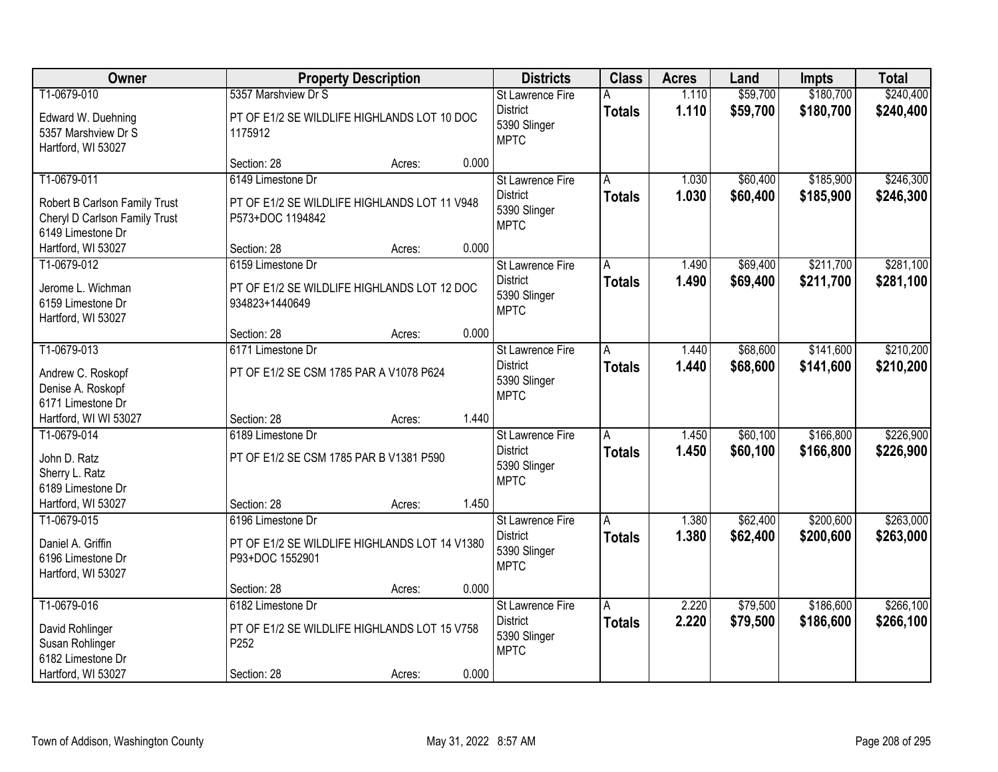| Owner                                                                               |                                                                           | <b>Property Description</b> |       | <b>Districts</b>                                                          | <b>Class</b>       | <b>Acres</b>   | Land                 | <b>Impts</b>           | <b>Total</b>           |
|-------------------------------------------------------------------------------------|---------------------------------------------------------------------------|-----------------------------|-------|---------------------------------------------------------------------------|--------------------|----------------|----------------------|------------------------|------------------------|
| T1-0679-010                                                                         | 5357 Marshview Dr S                                                       |                             |       | St Lawrence Fire                                                          | А                  | 1.110          | \$59,700             | \$180,700              | \$240,400              |
| Edward W. Duehning<br>5357 Marshview Dr S<br>Hartford, WI 53027                     | PT OF E1/2 SE WILDLIFE HIGHLANDS LOT 10 DOC<br>1175912                    |                             |       | <b>District</b><br>5390 Slinger<br><b>MPTC</b>                            | <b>Totals</b>      | 1.110          | \$59,700             | \$180,700              | \$240,400              |
|                                                                                     | Section: 28                                                               | Acres:                      | 0.000 |                                                                           |                    |                |                      |                        |                        |
| T1-0679-011                                                                         | 6149 Limestone Dr                                                         |                             |       | St Lawrence Fire                                                          | A                  | 1.030          | \$60,400             | \$185,900              | \$246,300              |
| Robert B Carlson Family Trust<br>Cheryl D Carlson Family Trust<br>6149 Limestone Dr | PT OF E1/2 SE WILDLIFE HIGHLANDS LOT 11 V948<br>P573+DOC 1194842          |                             |       | <b>District</b><br>5390 Slinger<br><b>MPTC</b>                            | <b>Totals</b>      | 1.030          | \$60,400             | \$185,900              | \$246,300              |
| Hartford, WI 53027                                                                  | Section: 28                                                               | Acres:                      | 0.000 |                                                                           |                    |                |                      |                        |                        |
| T1-0679-012                                                                         | 6159 Limestone Dr                                                         |                             |       | St Lawrence Fire                                                          | А                  | 1.490          | \$69,400             | \$211,700              | \$281,100              |
| Jerome L. Wichman<br>6159 Limestone Dr<br>Hartford, WI 53027                        | PT OF E1/2 SE WILDLIFE HIGHLANDS LOT 12 DOC<br>934823+1440649             |                             |       | <b>District</b><br>5390 Slinger<br><b>MPTC</b>                            | <b>Totals</b>      | 1.490          | \$69,400             | \$211,700              | \$281,100              |
|                                                                                     | Section: 28                                                               | Acres:                      | 0.000 |                                                                           |                    |                |                      |                        |                        |
| T1-0679-013                                                                         | 6171 Limestone Dr                                                         |                             |       | St Lawrence Fire                                                          | A                  | 1.440          | \$68,600             | \$141,600              | \$210,200              |
| Andrew C. Roskopf<br>Denise A. Roskopf<br>6171 Limestone Dr                         | PT OF E1/2 SE CSM 1785 PAR A V1078 P624                                   |                             |       | <b>District</b><br>5390 Slinger<br><b>MPTC</b>                            | <b>Totals</b>      | 1.440          | \$68,600             | \$141,600              | \$210,200              |
| Hartford, WI WI 53027                                                               | Section: 28                                                               | Acres:                      | 1.440 |                                                                           |                    |                |                      |                        |                        |
| T1-0679-014<br>John D. Ratz<br>Sherry L. Ratz<br>6189 Limestone Dr                  | 6189 Limestone Dr<br>PT OF E1/2 SE CSM 1785 PAR B V1381 P590              |                             |       | St Lawrence Fire<br><b>District</b><br>5390 Slinger<br><b>MPTC</b>        | Ā<br><b>Totals</b> | 1.450<br>1.450 | \$60,100<br>\$60,100 | \$166,800<br>\$166,800 | \$226,900<br>\$226,900 |
| Hartford, WI 53027                                                                  | Section: 28                                                               | Acres:                      | 1.450 |                                                                           |                    |                |                      |                        |                        |
| T1-0679-015                                                                         | 6196 Limestone Dr                                                         |                             |       | St Lawrence Fire                                                          | A                  | 1.380          | \$62,400             | \$200,600              | \$263,000              |
| Daniel A. Griffin<br>6196 Limestone Dr<br>Hartford, WI 53027                        | PT OF E1/2 SE WILDLIFE HIGHLANDS LOT 14 V1380<br>P93+DOC 1552901          |                             |       | <b>District</b><br>5390 Slinger<br><b>MPTC</b>                            | <b>Totals</b>      | 1.380          | \$62,400             | \$200,600              | \$263,000              |
|                                                                                     | Section: 28                                                               | Acres:                      | 0.000 |                                                                           |                    |                |                      |                        |                        |
| T1-0679-016<br>David Rohlinger<br>Susan Rohlinger<br>6182 Limestone Dr              | 6182 Limestone Dr<br>PT OF E1/2 SE WILDLIFE HIGHLANDS LOT 15 V758<br>P252 |                             |       | <b>St Lawrence Fire</b><br><b>District</b><br>5390 Slinger<br><b>MPTC</b> | A<br><b>Totals</b> | 2.220<br>2.220 | \$79,500<br>\$79,500 | \$186,600<br>\$186,600 | \$266,100<br>\$266,100 |
| Hartford, WI 53027                                                                  | Section: 28                                                               | Acres:                      | 0.000 |                                                                           |                    |                |                      |                        |                        |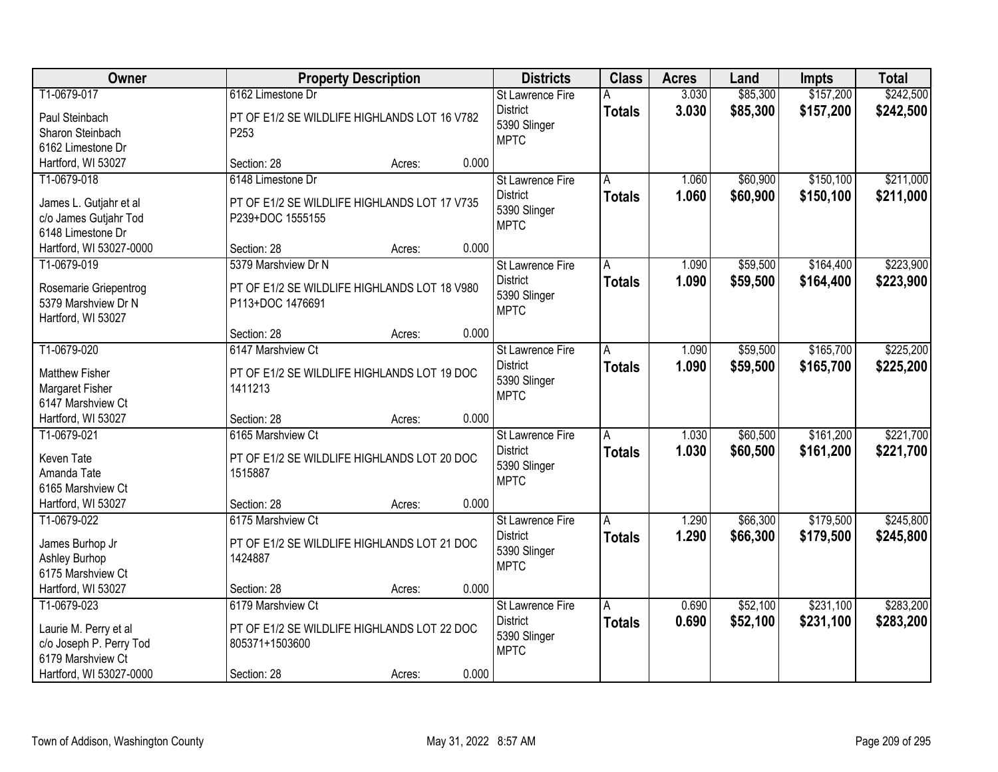| Owner                   |                                              | <b>Property Description</b> |       | <b>Districts</b>                           | <b>Class</b>  | <b>Acres</b> | Land     | <b>Impts</b> | <b>Total</b> |
|-------------------------|----------------------------------------------|-----------------------------|-------|--------------------------------------------|---------------|--------------|----------|--------------|--------------|
| T1-0679-017             | 6162 Limestone Dr                            |                             |       | St Lawrence Fire                           | А             | 3.030        | \$85,300 | \$157,200    | \$242,500    |
| Paul Steinbach          | PT OF E1/2 SE WILDLIFE HIGHLANDS LOT 16 V782 |                             |       | <b>District</b>                            | <b>Totals</b> | 3.030        | \$85,300 | \$157,200    | \$242,500    |
| Sharon Steinbach        | P253                                         |                             |       | 5390 Slinger                               |               |              |          |              |              |
| 6162 Limestone Dr       |                                              |                             |       | <b>MPTC</b>                                |               |              |          |              |              |
| Hartford, WI 53027      | Section: 28                                  | Acres:                      | 0.000 |                                            |               |              |          |              |              |
| T1-0679-018             | 6148 Limestone Dr                            |                             |       | St Lawrence Fire                           | A             | 1.060        | \$60,900 | \$150,100    | \$211,000    |
| James L. Gutjahr et al  | PT OF E1/2 SE WILDLIFE HIGHLANDS LOT 17 V735 |                             |       | <b>District</b>                            | <b>Totals</b> | 1.060        | \$60,900 | \$150,100    | \$211,000    |
| c/o James Gutjahr Tod   | P239+DOC 1555155                             |                             |       | 5390 Slinger                               |               |              |          |              |              |
| 6148 Limestone Dr       |                                              |                             |       | <b>MPTC</b>                                |               |              |          |              |              |
| Hartford, WI 53027-0000 | Section: 28                                  | Acres:                      | 0.000 |                                            |               |              |          |              |              |
| T1-0679-019             | 5379 Marshview Dr N                          |                             |       | St Lawrence Fire                           | А             | 1.090        | \$59,500 | \$164,400    | \$223,900    |
|                         |                                              |                             |       | <b>District</b>                            | <b>Totals</b> | 1.090        | \$59,500 | \$164,400    | \$223,900    |
| Rosemarie Griepentrog   | PT OF E1/2 SE WILDLIFE HIGHLANDS LOT 18 V980 |                             |       | 5390 Slinger                               |               |              |          |              |              |
| 5379 Marshview Dr N     | P113+DOC 1476691                             |                             |       | <b>MPTC</b>                                |               |              |          |              |              |
| Hartford, WI 53027      |                                              |                             |       |                                            |               |              |          |              |              |
|                         | Section: 28<br>6147 Marshview Ct             | Acres:                      | 0.000 |                                            |               |              |          |              |              |
| T1-0679-020             |                                              |                             |       | <b>St Lawrence Fire</b><br><b>District</b> | A             | 1.090        | \$59,500 | \$165,700    | \$225,200    |
| Matthew Fisher          | PT OF E1/2 SE WILDLIFE HIGHLANDS LOT 19 DOC  |                             |       | 5390 Slinger                               | <b>Totals</b> | 1.090        | \$59,500 | \$165,700    | \$225,200    |
| Margaret Fisher         | 1411213                                      |                             |       | <b>MPTC</b>                                |               |              |          |              |              |
| 6147 Marshview Ct       |                                              |                             |       |                                            |               |              |          |              |              |
| Hartford, WI 53027      | Section: 28                                  | Acres:                      | 0.000 |                                            |               |              |          |              |              |
| T1-0679-021             | 6165 Marshview Ct                            |                             |       | St Lawrence Fire                           | A             | 1.030        | \$60,500 | \$161,200    | \$221,700    |
| Keven Tate              | PT OF E1/2 SE WILDLIFE HIGHLANDS LOT 20 DOC  |                             |       | <b>District</b>                            | <b>Totals</b> | 1.030        | \$60,500 | \$161,200    | \$221,700    |
| Amanda Tate             | 1515887                                      |                             |       | 5390 Slinger                               |               |              |          |              |              |
| 6165 Marshview Ct       |                                              |                             |       | <b>MPTC</b>                                |               |              |          |              |              |
| Hartford, WI 53027      | Section: 28                                  | Acres:                      | 0.000 |                                            |               |              |          |              |              |
| T1-0679-022             | 6175 Marshview Ct                            |                             |       | St Lawrence Fire                           | A             | 1.290        | \$66,300 | \$179,500    | \$245,800    |
| James Burhop Jr         | PT OF E1/2 SE WILDLIFE HIGHLANDS LOT 21 DOC  |                             |       | <b>District</b>                            | <b>Totals</b> | 1.290        | \$66,300 | \$179,500    | \$245,800    |
| Ashley Burhop           | 1424887                                      |                             |       | 5390 Slinger                               |               |              |          |              |              |
| 6175 Marshview Ct       |                                              |                             |       | <b>MPTC</b>                                |               |              |          |              |              |
| Hartford, WI 53027      | Section: 28                                  | Acres:                      | 0.000 |                                            |               |              |          |              |              |
| T1-0679-023             | 6179 Marshview Ct                            |                             |       | <b>St Lawrence Fire</b>                    | A             | 0.690        | \$52,100 | \$231,100    | \$283,200    |
|                         |                                              |                             |       | <b>District</b>                            | <b>Totals</b> | 0.690        | \$52,100 | \$231,100    | \$283,200    |
| Laurie M. Perry et al   | PT OF E1/2 SE WILDLIFE HIGHLANDS LOT 22 DOC  |                             |       | 5390 Slinger                               |               |              |          |              |              |
| c/o Joseph P. Perry Tod | 805371+1503600                               |                             |       | <b>MPTC</b>                                |               |              |          |              |              |
| 6179 Marshview Ct       |                                              |                             |       |                                            |               |              |          |              |              |
| Hartford, WI 53027-0000 | Section: 28                                  | Acres:                      | 0.000 |                                            |               |              |          |              |              |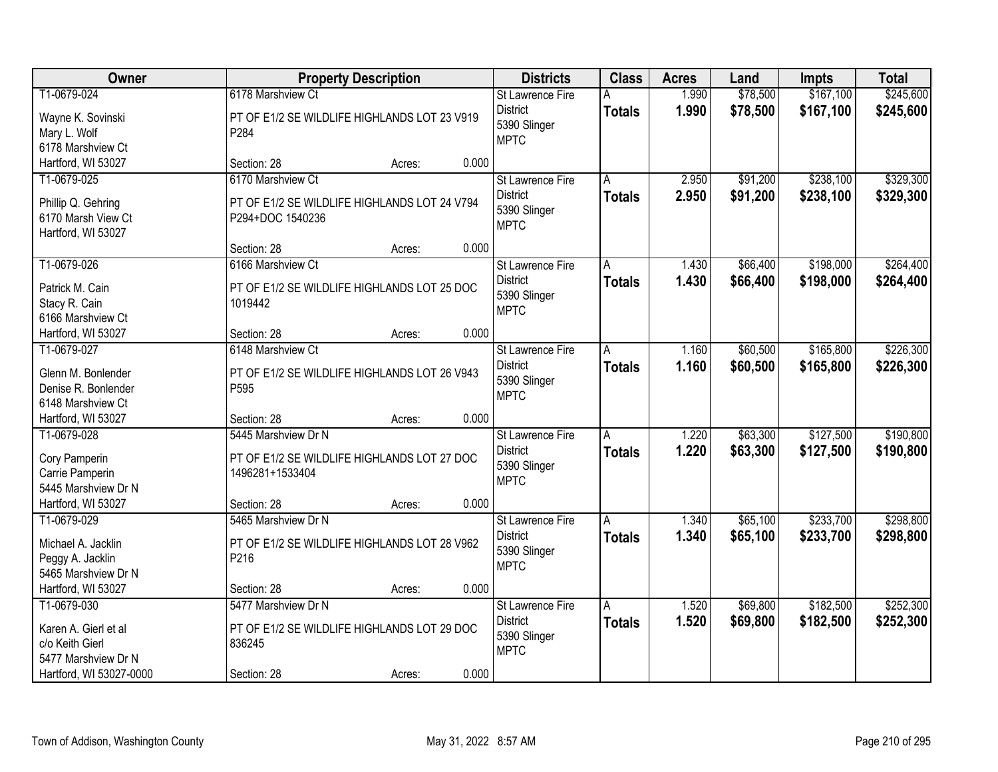| Owner                                    |                                                      | <b>Property Description</b> |       | <b>Districts</b>            | <b>Class</b>  | <b>Acres</b> | Land     | Impts     | <b>Total</b> |
|------------------------------------------|------------------------------------------------------|-----------------------------|-------|-----------------------------|---------------|--------------|----------|-----------|--------------|
| T1-0679-024                              | 6178 Marshview Ct                                    |                             |       | St Lawrence Fire            | А             | 1.990        | \$78,500 | \$167,100 | \$245,600    |
| Wayne K. Sovinski                        | PT OF E1/2 SE WILDLIFE HIGHLANDS LOT 23 V919         |                             |       | <b>District</b>             | <b>Totals</b> | 1.990        | \$78,500 | \$167,100 | \$245,600    |
| Mary L. Wolf                             | P284                                                 |                             |       | 5390 Slinger                |               |              |          |           |              |
| 6178 Marshview Ct                        |                                                      |                             |       | <b>MPTC</b>                 |               |              |          |           |              |
| Hartford, WI 53027                       | Section: 28                                          | Acres:                      | 0.000 |                             |               |              |          |           |              |
| T1-0679-025                              | 6170 Marshview Ct                                    |                             |       | <b>St Lawrence Fire</b>     | A             | 2.950        | \$91,200 | \$238,100 | \$329,300    |
| Phillip Q. Gehring                       | PT OF E1/2 SE WILDLIFE HIGHLANDS LOT 24 V794         |                             |       | <b>District</b>             | <b>Totals</b> | 2.950        | \$91,200 | \$238,100 | \$329,300    |
| 6170 Marsh View Ct                       | P294+DOC 1540236                                     |                             |       | 5390 Slinger                |               |              |          |           |              |
| Hartford, WI 53027                       |                                                      |                             |       | <b>MPTC</b>                 |               |              |          |           |              |
|                                          | Section: 28                                          | Acres:                      | 0.000 |                             |               |              |          |           |              |
| T1-0679-026                              | 6166 Marshview Ct                                    |                             |       | St Lawrence Fire            | А             | 1.430        | \$66,400 | \$198,000 | \$264,400    |
| Patrick M. Cain                          | PT OF E1/2 SE WILDLIFE HIGHLANDS LOT 25 DOC          |                             |       | <b>District</b>             | <b>Totals</b> | 1.430        | \$66,400 | \$198,000 | \$264,400    |
| Stacy R. Cain                            | 1019442                                              |                             |       | 5390 Slinger                |               |              |          |           |              |
| 6166 Marshview Ct                        |                                                      |                             |       | <b>MPTC</b>                 |               |              |          |           |              |
| Hartford, WI 53027                       | Section: 28                                          | Acres:                      | 0.000 |                             |               |              |          |           |              |
| T1-0679-027                              | 6148 Marshview Ct                                    |                             |       | St Lawrence Fire            | A             | 1.160        | \$60,500 | \$165,800 | \$226,300    |
|                                          |                                                      |                             |       | <b>District</b>             | <b>Totals</b> | 1.160        | \$60,500 | \$165,800 | \$226,300    |
| Glenn M. Bonlender                       | PT OF E1/2 SE WILDLIFE HIGHLANDS LOT 26 V943<br>P595 |                             |       | 5390 Slinger                |               |              |          |           |              |
| Denise R. Bonlender<br>6148 Marshview Ct |                                                      |                             |       | <b>MPTC</b>                 |               |              |          |           |              |
| Hartford, WI 53027                       | Section: 28                                          | Acres:                      | 0.000 |                             |               |              |          |           |              |
| T1-0679-028                              | 5445 Marshview Dr N                                  |                             |       | St Lawrence Fire            | A             | 1.220        | \$63,300 | \$127,500 | \$190,800    |
|                                          |                                                      |                             |       | <b>District</b>             | <b>Totals</b> | 1.220        | \$63,300 | \$127,500 | \$190,800    |
| Cory Pamperin                            | PT OF E1/2 SE WILDLIFE HIGHLANDS LOT 27 DOC          |                             |       | 5390 Slinger                |               |              |          |           |              |
| Carrie Pamperin                          | 1496281+1533404                                      |                             |       | <b>MPTC</b>                 |               |              |          |           |              |
| 5445 Marshview Dr N                      |                                                      |                             |       |                             |               |              |          |           |              |
| Hartford, WI 53027                       | Section: 28                                          | Acres:                      | 0.000 |                             |               |              |          |           |              |
| T1-0679-029                              | 5465 Marshview Dr N                                  |                             |       | St Lawrence Fire            | A             | 1.340        | \$65,100 | \$233,700 | \$298,800    |
| Michael A. Jacklin                       | PT OF E1/2 SE WILDLIFE HIGHLANDS LOT 28 V962         |                             |       | <b>District</b>             | <b>Totals</b> | 1.340        | \$65,100 | \$233,700 | \$298,800    |
| Peggy A. Jacklin                         | P216                                                 |                             |       | 5390 Slinger<br><b>MPTC</b> |               |              |          |           |              |
| 5465 Marshview Dr N                      |                                                      |                             |       |                             |               |              |          |           |              |
| Hartford, WI 53027                       | Section: 28                                          | Acres:                      | 0.000 |                             |               |              |          |           |              |
| T1-0679-030                              | 5477 Marshview Dr N                                  |                             |       | <b>St Lawrence Fire</b>     | A             | 1.520        | \$69,800 | \$182,500 | \$252,300    |
| Karen A. Gierl et al                     | PT OF E1/2 SE WILDLIFE HIGHLANDS LOT 29 DOC          |                             |       | <b>District</b>             | <b>Totals</b> | 1.520        | \$69,800 | \$182,500 | \$252,300    |
| c/o Keith Gierl                          | 836245                                               |                             |       | 5390 Slinger                |               |              |          |           |              |
| 5477 Marshview Dr N                      |                                                      |                             |       | <b>MPTC</b>                 |               |              |          |           |              |
| Hartford, WI 53027-0000                  | Section: 28                                          | Acres:                      | 0.000 |                             |               |              |          |           |              |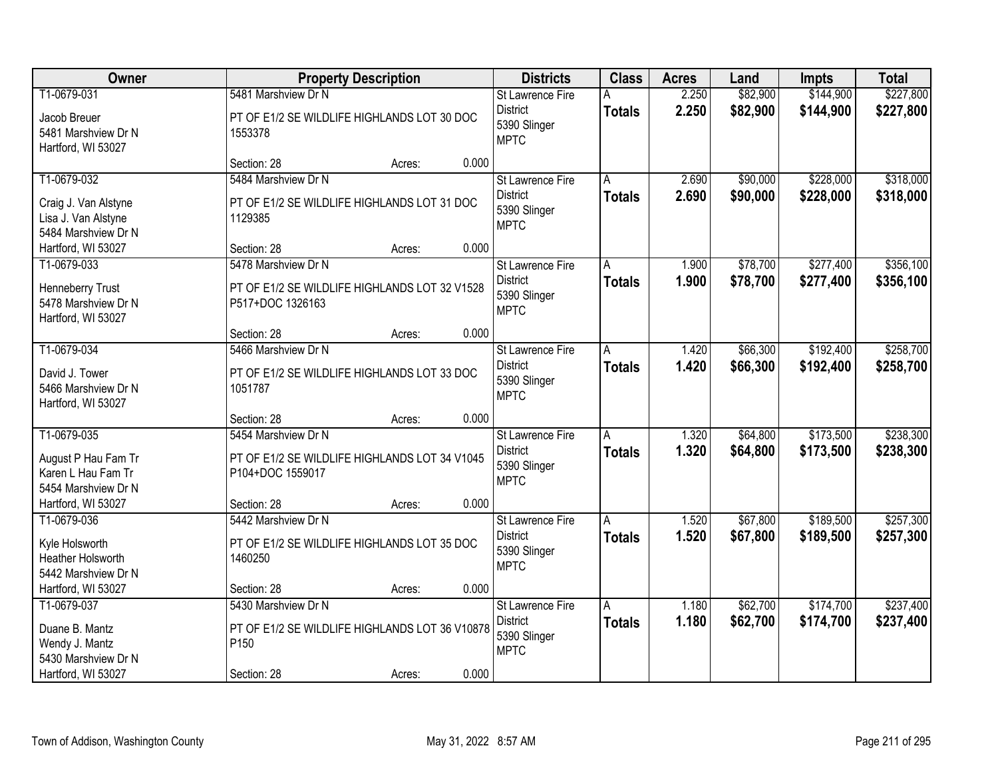| Owner                                                                                        | <b>Property Description</b>                                                                           | <b>Districts</b>                                                          | <b>Class</b>       | <b>Acres</b>   | Land                 | Impts                  | <b>Total</b>           |
|----------------------------------------------------------------------------------------------|-------------------------------------------------------------------------------------------------------|---------------------------------------------------------------------------|--------------------|----------------|----------------------|------------------------|------------------------|
| T1-0679-031<br>Jacob Breuer<br>5481 Marshview Dr N<br>Hartford, WI 53027                     | 5481 Marshview Dr N<br>PT OF E1/2 SE WILDLIFE HIGHLANDS LOT 30 DOC<br>1553378                         | St Lawrence Fire<br><b>District</b><br>5390 Slinger<br><b>MPTC</b>        | А<br><b>Totals</b> | 2.250<br>2.250 | \$82,900<br>\$82,900 | \$144,900<br>\$144,900 | \$227,800<br>\$227,800 |
|                                                                                              | 0.000<br>Section: 28<br>Acres:                                                                        |                                                                           |                    |                |                      |                        |                        |
| T1-0679-032<br>Craig J. Van Alstyne<br>Lisa J. Van Alstyne<br>5484 Marshview Dr N            | 5484 Marshview Dr N<br>PT OF E1/2 SE WILDLIFE HIGHLANDS LOT 31 DOC<br>1129385                         | <b>St Lawrence Fire</b><br><b>District</b><br>5390 Slinger<br><b>MPTC</b> | A<br><b>Totals</b> | 2.690<br>2.690 | \$90,000<br>\$90,000 | \$228,000<br>\$228,000 | \$318,000<br>\$318,000 |
| Hartford, WI 53027                                                                           | 0.000<br>Section: 28<br>Acres:                                                                        |                                                                           |                    |                |                      |                        |                        |
| T1-0679-033<br>Henneberry Trust<br>5478 Marshview Dr N<br>Hartford, WI 53027                 | 5478 Marshview Dr N<br>PT OF E1/2 SE WILDLIFE HIGHLANDS LOT 32 V1528<br>P517+DOC 1326163              | St Lawrence Fire<br><b>District</b><br>5390 Slinger<br><b>MPTC</b>        | Α<br><b>Totals</b> | 1.900<br>1.900 | \$78,700<br>\$78,700 | \$277,400<br>\$277,400 | \$356,100<br>\$356,100 |
|                                                                                              | 0.000<br>Section: 28<br>Acres:                                                                        |                                                                           |                    |                |                      |                        |                        |
| T1-0679-034<br>David J. Tower<br>5466 Marshview Dr N<br>Hartford, WI 53027                   | 5466 Marshview Dr N<br>PT OF E1/2 SE WILDLIFE HIGHLANDS LOT 33 DOC<br>1051787                         | St Lawrence Fire<br><b>District</b><br>5390 Slinger<br><b>MPTC</b>        | A<br><b>Totals</b> | 1.420<br>1.420 | \$66,300<br>\$66,300 | \$192,400<br>\$192,400 | \$258,700<br>\$258,700 |
|                                                                                              | 0.000<br>Section: 28<br>Acres:                                                                        |                                                                           |                    |                |                      |                        |                        |
| T1-0679-035<br>August P Hau Fam Tr<br>Karen L Hau Fam Tr<br>5454 Marshview Dr N              | 5454 Marshview Dr N<br>PT OF E1/2 SE WILDLIFE HIGHLANDS LOT 34 V1045<br>P104+DOC 1559017              | St Lawrence Fire<br><b>District</b><br>5390 Slinger<br><b>MPTC</b>        | A<br><b>Totals</b> | 1.320<br>1.320 | \$64,800<br>\$64,800 | \$173,500<br>\$173,500 | \$238,300<br>\$238,300 |
| Hartford, WI 53027                                                                           | 0.000<br>Section: 28<br>Acres:                                                                        |                                                                           |                    |                |                      |                        |                        |
| T1-0679-036<br>Kyle Holsworth<br>Heather Holsworth<br>5442 Marshview Dr N                    | 5442 Marshview Dr N<br>PT OF E1/2 SE WILDLIFE HIGHLANDS LOT 35 DOC<br>1460250                         | St Lawrence Fire<br><b>District</b><br>5390 Slinger<br><b>MPTC</b>        | A<br><b>Totals</b> | 1.520<br>1.520 | \$67,800<br>\$67,800 | \$189,500<br>\$189,500 | \$257,300<br>\$257,300 |
| Hartford, WI 53027                                                                           | 0.000<br>Section: 28<br>Acres:                                                                        |                                                                           |                    |                |                      |                        |                        |
| T1-0679-037<br>Duane B. Mantz<br>Wendy J. Mantz<br>5430 Marshview Dr N<br>Hartford, WI 53027 | 5430 Marshview Dr N<br>PT OF E1/2 SE WILDLIFE HIGHLANDS LOT 36 V10878<br>P150<br>0.000<br>Section: 28 | <b>St Lawrence Fire</b><br><b>District</b><br>5390 Slinger<br><b>MPTC</b> | Α<br><b>Totals</b> | 1.180<br>1.180 | \$62,700<br>\$62,700 | \$174,700<br>\$174,700 | \$237,400<br>\$237,400 |
|                                                                                              | Acres:                                                                                                |                                                                           |                    |                |                      |                        |                        |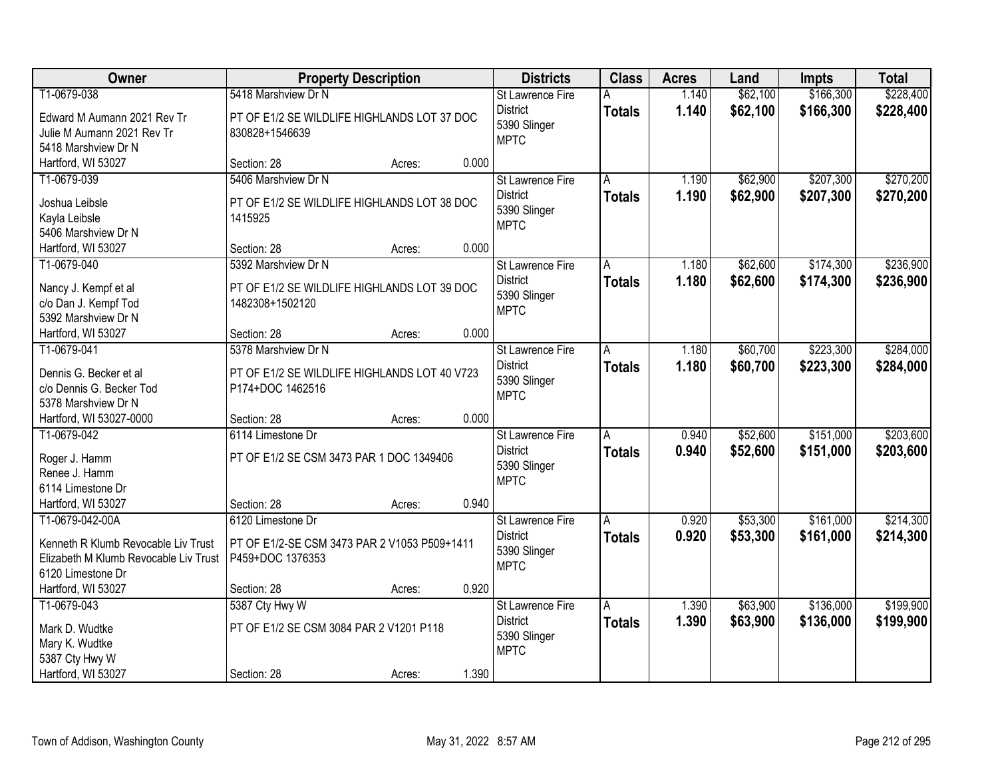| Owner                                                                                                                | <b>Property Description</b>                                                           |                 | <b>Districts</b>                                                          | <b>Class</b>       | <b>Acres</b>   | Land                 | <b>Impts</b>           | <b>Total</b>           |
|----------------------------------------------------------------------------------------------------------------------|---------------------------------------------------------------------------------------|-----------------|---------------------------------------------------------------------------|--------------------|----------------|----------------------|------------------------|------------------------|
| T1-0679-038                                                                                                          | 5418 Marshview Dr N                                                                   |                 | <b>St Lawrence Fire</b>                                                   | А                  | 1.140          | \$62,100             | \$166,300              | \$228,400              |
| Edward M Aumann 2021 Rev Tr<br>Julie M Aumann 2021 Rev Tr<br>5418 Marshview Dr N                                     | PT OF E1/2 SE WILDLIFE HIGHLANDS LOT 37 DOC<br>830828+1546639                         |                 | <b>District</b><br>5390 Slinger<br><b>MPTC</b>                            | <b>Totals</b>      | 1.140          | \$62,100             | \$166,300              | \$228,400              |
| Hartford, WI 53027                                                                                                   | Section: 28                                                                           | 0.000<br>Acres: |                                                                           |                    |                |                      |                        |                        |
| T1-0679-039<br>Joshua Leibsle<br>Kayla Leibsle                                                                       | 5406 Marshview Dr N<br>PT OF E1/2 SE WILDLIFE HIGHLANDS LOT 38 DOC<br>1415925         |                 | <b>St Lawrence Fire</b><br><b>District</b><br>5390 Slinger<br><b>MPTC</b> | A<br><b>Totals</b> | 1.190<br>1.190 | \$62,900<br>\$62,900 | \$207,300<br>\$207,300 | \$270,200<br>\$270,200 |
| 5406 Marshview Dr N<br>Hartford, WI 53027                                                                            | Section: 28                                                                           | 0.000           |                                                                           |                    |                |                      |                        |                        |
| T1-0679-040                                                                                                          | 5392 Marshview Dr N                                                                   | Acres:          | St Lawrence Fire                                                          | A                  | 1.180          | \$62,600             | \$174,300              | \$236,900              |
| Nancy J. Kempf et al<br>c/o Dan J. Kempf Tod<br>5392 Marshview Dr N                                                  | PT OF E1/2 SE WILDLIFE HIGHLANDS LOT 39 DOC<br>1482308+1502120                        |                 | <b>District</b><br>5390 Slinger<br><b>MPTC</b>                            | <b>Totals</b>      | 1.180          | \$62,600             | \$174,300              | \$236,900              |
| Hartford, WI 53027                                                                                                   | Section: 28                                                                           | 0.000<br>Acres: |                                                                           |                    |                |                      |                        |                        |
| T1-0679-041<br>Dennis G. Becker et al                                                                                | 5378 Marshview Dr N<br>PT OF E1/2 SE WILDLIFE HIGHLANDS LOT 40 V723                   |                 | St Lawrence Fire<br><b>District</b><br>5390 Slinger                       | A<br><b>Totals</b> | 1.180<br>1.180 | \$60,700<br>\$60,700 | \$223,300<br>\$223,300 | \$284,000<br>\$284,000 |
| c/o Dennis G. Becker Tod<br>5378 Marshview Dr N                                                                      | P174+DOC 1462516                                                                      |                 | <b>MPTC</b>                                                               |                    |                |                      |                        |                        |
| Hartford, WI 53027-0000                                                                                              | Section: 28                                                                           | 0.000<br>Acres: |                                                                           |                    |                |                      |                        |                        |
| T1-0679-042<br>Roger J. Hamm<br>Renee J. Hamm<br>6114 Limestone Dr                                                   | 6114 Limestone Dr<br>PT OF E1/2 SE CSM 3473 PAR 1 DOC 1349406                         |                 | St Lawrence Fire<br><b>District</b><br>5390 Slinger<br><b>MPTC</b>        | A<br><b>Totals</b> | 0.940<br>0.940 | \$52,600<br>\$52,600 | \$151,000<br>\$151,000 | \$203,600<br>\$203,600 |
| Hartford, WI 53027                                                                                                   | Section: 28                                                                           | 0.940<br>Acres: |                                                                           |                    |                |                      |                        |                        |
| T1-0679-042-00A<br>Kenneth R Klumb Revocable Liv Trust<br>Elizabeth M Klumb Revocable Liv Trust<br>6120 Limestone Dr | 6120 Limestone Dr<br>PT OF E1/2-SE CSM 3473 PAR 2 V1053 P509+1411<br>P459+DOC 1376353 |                 | <b>St Lawrence Fire</b><br><b>District</b><br>5390 Slinger<br><b>MPTC</b> | A<br><b>Totals</b> | 0.920<br>0.920 | \$53,300<br>\$53,300 | \$161,000<br>\$161,000 | \$214,300<br>\$214,300 |
| Hartford, WI 53027                                                                                                   | Section: 28                                                                           | 0.920<br>Acres: |                                                                           |                    |                |                      |                        |                        |
| T1-0679-043<br>Mark D. Wudtke<br>Mary K. Wudtke<br>5387 Cty Hwy W                                                    | 5387 Cty Hwy W<br>PT OF E1/2 SE CSM 3084 PAR 2 V1201 P118                             |                 | St Lawrence Fire<br><b>District</b><br>5390 Slinger<br><b>MPTC</b>        | A<br><b>Totals</b> | 1.390<br>1.390 | \$63,900<br>\$63,900 | \$136,000<br>\$136,000 | \$199,900<br>\$199,900 |
| Hartford, WI 53027                                                                                                   | Section: 28                                                                           | 1.390<br>Acres: |                                                                           |                    |                |                      |                        |                        |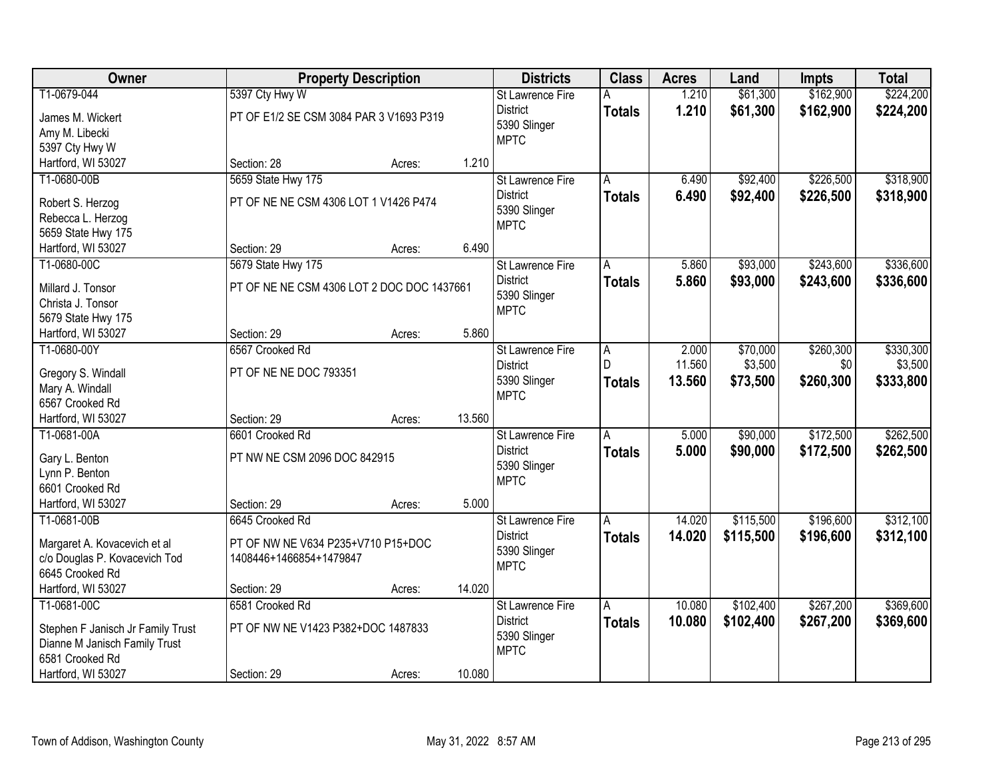| Owner                             |                                            | <b>Property Description</b> |        | <b>Districts</b>        | <b>Class</b>   | <b>Acres</b> | Land      | <b>Impts</b> | <b>Total</b> |
|-----------------------------------|--------------------------------------------|-----------------------------|--------|-------------------------|----------------|--------------|-----------|--------------|--------------|
| T1-0679-044                       | 5397 Cty Hwy W                             |                             |        | St Lawrence Fire        | Α              | 1.210        | \$61,300  | \$162,900    | \$224,200    |
| James M. Wickert                  | PT OF E1/2 SE CSM 3084 PAR 3 V1693 P319    |                             |        | <b>District</b>         | <b>Totals</b>  | 1.210        | \$61,300  | \$162,900    | \$224,200    |
| Amy M. Libecki                    |                                            |                             |        | 5390 Slinger            |                |              |           |              |              |
| 5397 Cty Hwy W                    |                                            |                             |        | <b>MPTC</b>             |                |              |           |              |              |
| Hartford, WI 53027                | Section: 28                                | Acres:                      | 1.210  |                         |                |              |           |              |              |
| T1-0680-00B                       | 5659 State Hwy 175                         |                             |        | <b>St Lawrence Fire</b> | A              | 6.490        | \$92,400  | \$226,500    | \$318,900    |
|                                   |                                            |                             |        | <b>District</b>         | <b>Totals</b>  | 6.490        | \$92,400  | \$226,500    | \$318,900    |
| Robert S. Herzog                  | PT OF NE NE CSM 4306 LOT 1 V1426 P474      |                             |        | 5390 Slinger            |                |              |           |              |              |
| Rebecca L. Herzog                 |                                            |                             |        | <b>MPTC</b>             |                |              |           |              |              |
| 5659 State Hwy 175                |                                            |                             |        |                         |                |              |           |              |              |
| Hartford, WI 53027                | Section: 29                                | Acres:                      | 6.490  |                         |                |              |           |              |              |
| T1-0680-00C                       | 5679 State Hwy 175                         |                             |        | St Lawrence Fire        | A              | 5.860        | \$93,000  | \$243,600    | \$336,600    |
| Millard J. Tonsor                 | PT OF NE NE CSM 4306 LOT 2 DOC DOC 1437661 |                             |        | <b>District</b>         | <b>Totals</b>  | 5.860        | \$93,000  | \$243,600    | \$336,600    |
| Christa J. Tonsor                 |                                            |                             |        | 5390 Slinger            |                |              |           |              |              |
| 5679 State Hwy 175                |                                            |                             |        | <b>MPTC</b>             |                |              |           |              |              |
| Hartford, WI 53027                | Section: 29                                | Acres:                      | 5.860  |                         |                |              |           |              |              |
| T1-0680-00Y                       | 6567 Crooked Rd                            |                             |        | St Lawrence Fire        | $\overline{A}$ | 2.000        | \$70,000  | \$260,300    | \$330,300    |
|                                   |                                            |                             |        | <b>District</b>         | D.             | 11.560       | \$3,500   | \$0          | \$3,500      |
| Gregory S. Windall                | PT OF NE NE DOC 793351                     |                             |        | 5390 Slinger            | <b>Totals</b>  | 13.560       | \$73,500  | \$260,300    | \$333,800    |
| Mary A. Windall                   |                                            |                             |        | <b>MPTC</b>             |                |              |           |              |              |
| 6567 Crooked Rd                   |                                            |                             |        |                         |                |              |           |              |              |
| Hartford, WI 53027                | Section: 29                                | Acres:                      | 13.560 |                         |                |              |           |              |              |
| T1-0681-00A                       | 6601 Crooked Rd                            |                             |        | St Lawrence Fire        | $\overline{A}$ | 5.000        | \$90,000  | \$172,500    | \$262,500    |
| Gary L. Benton                    | PT NW NE CSM 2096 DOC 842915               |                             |        | <b>District</b>         | <b>Totals</b>  | 5.000        | \$90,000  | \$172,500    | \$262,500    |
| Lynn P. Benton                    |                                            |                             |        | 5390 Slinger            |                |              |           |              |              |
| 6601 Crooked Rd                   |                                            |                             |        | <b>MPTC</b>             |                |              |           |              |              |
| Hartford, WI 53027                | Section: 29                                | Acres:                      | 5.000  |                         |                |              |           |              |              |
| T1-0681-00B                       | 6645 Crooked Rd                            |                             |        | St Lawrence Fire        | A              | 14.020       | \$115,500 | \$196,600    | \$312,100    |
|                                   |                                            |                             |        | <b>District</b>         | <b>Totals</b>  | 14.020       | \$115,500 | \$196,600    | \$312,100    |
| Margaret A. Kovacevich et al      | PT OF NW NE V634 P235+V710 P15+DOC         |                             |        | 5390 Slinger            |                |              |           |              |              |
| c/o Douglas P. Kovacevich Tod     | 1408446+1466854+1479847                    |                             |        | <b>MPTC</b>             |                |              |           |              |              |
| 6645 Crooked Rd                   |                                            |                             | 14.020 |                         |                |              |           |              |              |
| Hartford, WI 53027                | Section: 29                                | Acres:                      |        |                         |                |              |           |              |              |
| T1-0681-00C                       | 6581 Crooked Rd                            |                             |        | <b>St Lawrence Fire</b> | Α              | 10.080       | \$102,400 | \$267,200    | \$369,600    |
| Stephen F Janisch Jr Family Trust | PT OF NW NE V1423 P382+DOC 1487833         |                             |        | <b>District</b>         | <b>Totals</b>  | 10.080       | \$102,400 | \$267,200    | \$369,600    |
| Dianne M Janisch Family Trust     |                                            |                             |        | 5390 Slinger            |                |              |           |              |              |
| 6581 Crooked Rd                   |                                            |                             |        | <b>MPTC</b>             |                |              |           |              |              |
| Hartford, WI 53027                | Section: 29                                | Acres:                      | 10.080 |                         |                |              |           |              |              |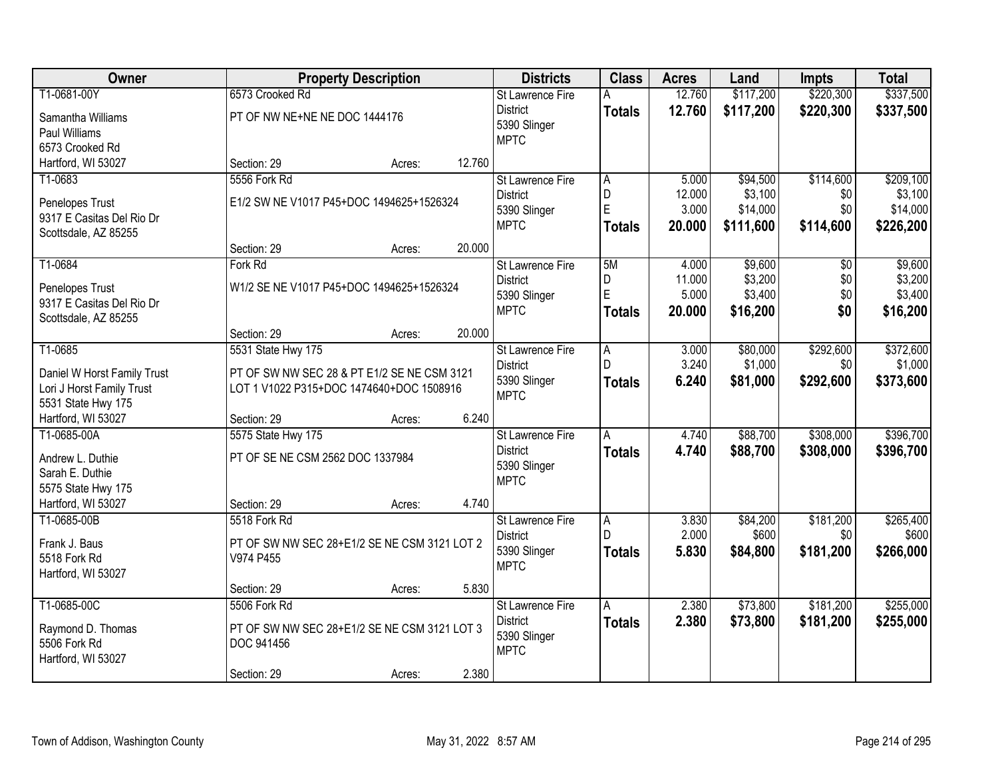| Owner                       |                                              | <b>Property Description</b> |        | <b>Districts</b>        | <b>Class</b>   | <b>Acres</b> | Land      | <b>Impts</b>    | <b>Total</b> |
|-----------------------------|----------------------------------------------|-----------------------------|--------|-------------------------|----------------|--------------|-----------|-----------------|--------------|
| T1-0681-00Y                 | 6573 Crooked Rd                              |                             |        | St Lawrence Fire        | A              | 12.760       | \$117,200 | \$220,300       | \$337,500    |
| Samantha Williams           | PT OF NW NE+NE NE DOC 1444176                |                             |        | <b>District</b>         | <b>Totals</b>  | 12.760       | \$117,200 | \$220,300       | \$337,500    |
| Paul Williams               |                                              |                             |        | 5390 Slinger            |                |              |           |                 |              |
| 6573 Crooked Rd             |                                              |                             |        | <b>MPTC</b>             |                |              |           |                 |              |
| Hartford, WI 53027          | Section: 29                                  | Acres:                      | 12.760 |                         |                |              |           |                 |              |
| T1-0683                     | 5556 Fork Rd                                 |                             |        | <b>St Lawrence Fire</b> | A              | 5.000        | \$94,500  | \$114,600       | \$209,100    |
| Penelopes Trust             | E1/2 SW NE V1017 P45+DOC 1494625+1526324     |                             |        | <b>District</b>         | D              | 12.000       | \$3,100   | \$0             | \$3,100      |
| 9317 E Casitas Del Rio Dr   |                                              |                             |        | 5390 Slinger            | E              | 3.000        | \$14,000  | \$0             | \$14,000     |
| Scottsdale, AZ 85255        |                                              |                             |        | <b>MPTC</b>             | <b>Totals</b>  | 20.000       | \$111,600 | \$114,600       | \$226,200    |
|                             | Section: 29                                  | Acres:                      | 20.000 |                         |                |              |           |                 |              |
| T1-0684                     | Fork Rd                                      |                             |        | St Lawrence Fire        | 5M             | 4.000        | \$9,600   | $\overline{50}$ | \$9,600      |
| Penelopes Trust             | W1/2 SE NE V1017 P45+DOC 1494625+1526324     |                             |        | <b>District</b>         | D              | 11.000       | \$3,200   | \$0             | \$3,200      |
| 9317 E Casitas Del Rio Dr   |                                              |                             |        | 5390 Slinger            | E              | 5.000        | \$3,400   | \$0             | \$3,400      |
| Scottsdale, AZ 85255        |                                              |                             |        | <b>MPTC</b>             | <b>Totals</b>  | 20.000       | \$16,200  | \$0             | \$16,200     |
|                             | Section: 29                                  | Acres:                      | 20.000 |                         |                |              |           |                 |              |
| T1-0685                     | 5531 State Hwy 175                           |                             |        | St Lawrence Fire        | $\overline{A}$ | 3.000        | \$80,000  | \$292,600       | \$372,600    |
| Daniel W Horst Family Trust | PT OF SW NW SEC 28 & PT E1/2 SE NE CSM 3121  |                             |        | <b>District</b>         | $\mathsf{D}$   | 3.240        | \$1,000   | \$0             | \$1,000      |
| Lori J Horst Family Trust   | LOT 1 V1022 P315+DOC 1474640+DOC 1508916     |                             |        | 5390 Slinger            | <b>Totals</b>  | 6.240        | \$81,000  | \$292,600       | \$373,600    |
| 5531 State Hwy 175          |                                              |                             |        | <b>MPTC</b>             |                |              |           |                 |              |
| Hartford, WI 53027          | Section: 29                                  | Acres:                      | 6.240  |                         |                |              |           |                 |              |
| T1-0685-00A                 | 5575 State Hwy 175                           |                             |        | St Lawrence Fire        | $\overline{A}$ | 4.740        | \$88,700  | \$308,000       | \$396,700    |
| Andrew L. Duthie            | PT OF SE NE CSM 2562 DOC 1337984             |                             |        | <b>District</b>         | <b>Totals</b>  | 4.740        | \$88,700  | \$308,000       | \$396,700    |
| Sarah E. Duthie             |                                              |                             |        | 5390 Slinger            |                |              |           |                 |              |
| 5575 State Hwy 175          |                                              |                             |        | <b>MPTC</b>             |                |              |           |                 |              |
| Hartford, WI 53027          | Section: 29                                  | Acres:                      | 4.740  |                         |                |              |           |                 |              |
| T1-0685-00B                 | 5518 Fork Rd                                 |                             |        | St Lawrence Fire        | A              | 3.830        | \$84,200  | \$181,200       | \$265,400    |
| Frank J. Baus               | PT OF SW NW SEC 28+E1/2 SE NE CSM 3121 LOT 2 |                             |        | <b>District</b>         |                | 2.000        | \$600     | \$0             | \$600        |
| 5518 Fork Rd                | V974 P455                                    |                             |        | 5390 Slinger            | <b>Totals</b>  | 5.830        | \$84,800  | \$181,200       | \$266,000    |
| Hartford, WI 53027          |                                              |                             |        | <b>MPTC</b>             |                |              |           |                 |              |
|                             | Section: 29                                  | Acres:                      | 5.830  |                         |                |              |           |                 |              |
| T1-0685-00C                 | 5506 Fork Rd                                 |                             |        | St Lawrence Fire        | A              | 2.380        | \$73,800  | \$181,200       | \$255,000    |
| Raymond D. Thomas           | PT OF SW NW SEC 28+E1/2 SE NE CSM 3121 LOT 3 |                             |        | <b>District</b>         | <b>Totals</b>  | 2.380        | \$73,800  | \$181,200       | \$255,000    |
| 5506 Fork Rd                | DOC 941456                                   |                             |        | 5390 Slinger            |                |              |           |                 |              |
| Hartford, WI 53027          |                                              |                             |        | <b>MPTC</b>             |                |              |           |                 |              |
|                             | Section: 29                                  | Acres:                      | 2.380  |                         |                |              |           |                 |              |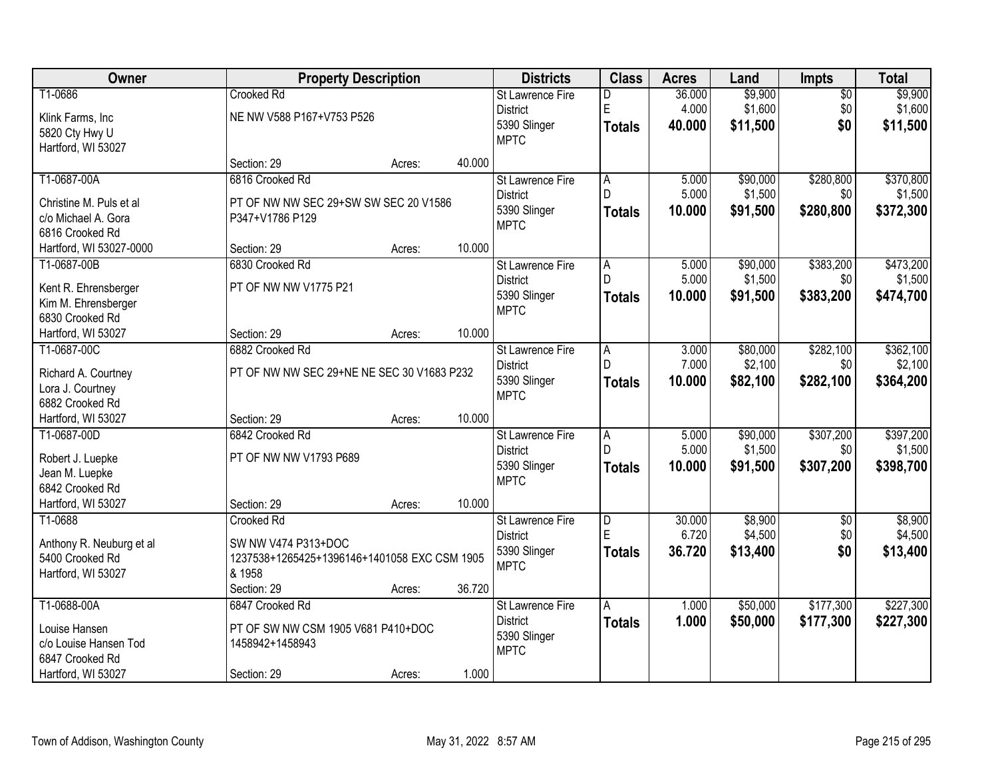| Owner                                          | <b>Property Description</b>                  |        |        | <b>Districts</b>            | <b>Class</b>        | <b>Acres</b> | Land     | <b>Impts</b>    | <b>Total</b> |
|------------------------------------------------|----------------------------------------------|--------|--------|-----------------------------|---------------------|--------------|----------|-----------------|--------------|
| T1-0686                                        | <b>Crooked Rd</b>                            |        |        | <b>St Lawrence Fire</b>     | D                   | 36.000       | \$9,900  | $\overline{50}$ | \$9,900      |
| Klink Farms, Inc                               | NE NW V588 P167+V753 P526                    |        |        | <b>District</b>             | E                   | 4.000        | \$1,600  | \$0             | \$1,600      |
| 5820 Cty Hwy U                                 |                                              |        |        | 5390 Slinger                | Totals              | 40.000       | \$11,500 | \$0             | \$11,500     |
| Hartford, WI 53027                             |                                              |        |        | <b>MPTC</b>                 |                     |              |          |                 |              |
|                                                | Section: 29                                  | Acres: | 40.000 |                             |                     |              |          |                 |              |
| T1-0687-00A                                    | 6816 Crooked Rd                              |        |        | St Lawrence Fire            | $\overline{A}$      | 5.000        | \$90,000 | \$280,800       | \$370,800    |
|                                                |                                              |        |        | <b>District</b>             | D                   | 5.000        | \$1,500  | \$0             | \$1,500      |
| Christine M. Puls et al<br>c/o Michael A. Gora | PT OF NW NW SEC 29+SW SW SEC 20 V1586        |        |        | 5390 Slinger                | <b>Totals</b>       | 10.000       | \$91,500 | \$280,800       | \$372,300    |
| 6816 Crooked Rd                                | P347+V1786 P129                              |        |        | <b>MPTC</b>                 |                     |              |          |                 |              |
|                                                | Section: 29                                  |        | 10.000 |                             |                     |              |          |                 |              |
| Hartford, WI 53027-0000                        |                                              | Acres: |        |                             |                     |              |          |                 |              |
| T1-0687-00B                                    | 6830 Crooked Rd                              |        |        | <b>St Lawrence Fire</b>     | A<br>D              | 5.000        | \$90,000 | \$383,200       | \$473,200    |
| Kent R. Ehrensberger                           | PT OF NW NW V1775 P21                        |        |        | <b>District</b>             |                     | 5.000        | \$1,500  | \$0             | \$1,500      |
| Kim M. Ehrensberger                            |                                              |        |        | 5390 Slinger                | Totals              | 10.000       | \$91,500 | \$383,200       | \$474,700    |
| 6830 Crooked Rd                                |                                              |        |        | <b>MPTC</b>                 |                     |              |          |                 |              |
| Hartford, WI 53027                             | Section: 29                                  | Acres: | 10.000 |                             |                     |              |          |                 |              |
| T1-0687-00C                                    | 6882 Crooked Rd                              |        |        | St Lawrence Fire            | A                   | 3.000        | \$80,000 | \$282,100       | \$362,100    |
|                                                |                                              |        |        | <b>District</b>             | $\mathsf{D}$        | 7.000        | \$2,100  | \$0             | \$2,100      |
| Richard A. Courtney                            | PT OF NW NW SEC 29+NE NE SEC 30 V1683 P232   |        |        | 5390 Slinger                | <b>Totals</b>       | 10.000       | \$82,100 | \$282,100       | \$364,200    |
| Lora J. Courtney                               |                                              |        |        | <b>MPTC</b>                 |                     |              |          |                 |              |
| 6882 Crooked Rd                                |                                              |        | 10.000 |                             |                     |              |          |                 |              |
| Hartford, WI 53027                             | Section: 29                                  | Acres: |        |                             |                     |              |          |                 |              |
| T1-0687-00D                                    | 6842 Crooked Rd                              |        |        | <b>St Lawrence Fire</b>     | $\overline{A}$<br>D | 5.000        | \$90,000 | \$307,200       | \$397,200    |
| Robert J. Luepke                               | PT OF NW NW V1793 P689                       |        |        | <b>District</b>             |                     | 5.000        | \$1,500  | \$0             | \$1,500      |
| Jean M. Luepke                                 |                                              |        |        | 5390 Slinger<br><b>MPTC</b> | Totals              | 10.000       | \$91,500 | \$307,200       | \$398,700    |
| 6842 Crooked Rd                                |                                              |        |        |                             |                     |              |          |                 |              |
| Hartford, WI 53027                             | Section: 29                                  | Acres: | 10.000 |                             |                     |              |          |                 |              |
| T1-0688                                        | Crooked Rd                                   |        |        | <b>St Lawrence Fire</b>     | $\overline{D}$      | 30.000       | \$8,900  | $\overline{60}$ | \$8,900      |
| Anthony R. Neuburg et al                       | SW NW V474 P313+DOC                          |        |        | <b>District</b>             | E                   | 6.720        | \$4,500  | \$0             | \$4,500      |
| 5400 Crooked Rd                                | 1237538+1265425+1396146+1401058 EXC CSM 1905 |        |        | 5390 Slinger                | <b>Totals</b>       | 36.720       | \$13,400 | \$0             | \$13,400     |
| Hartford, WI 53027                             | & 1958                                       |        |        | <b>MPTC</b>                 |                     |              |          |                 |              |
|                                                | Section: 29                                  | Acres: | 36.720 |                             |                     |              |          |                 |              |
| T1-0688-00A                                    | 6847 Crooked Rd                              |        |        | <b>St Lawrence Fire</b>     | A                   | 1.000        | \$50,000 | \$177,300       | \$227,300    |
|                                                |                                              |        |        | <b>District</b>             | <b>Totals</b>       | 1.000        | \$50,000 | \$177,300       | \$227,300    |
| Louise Hansen                                  | PT OF SW NW CSM 1905 V681 P410+DOC           |        |        | 5390 Slinger                |                     |              |          |                 |              |
| c/o Louise Hansen Tod                          | 1458942+1458943                              |        |        | <b>MPTC</b>                 |                     |              |          |                 |              |
| 6847 Crooked Rd                                |                                              |        |        |                             |                     |              |          |                 |              |
| Hartford, WI 53027                             | Section: 29                                  | Acres: | 1.000  |                             |                     |              |          |                 |              |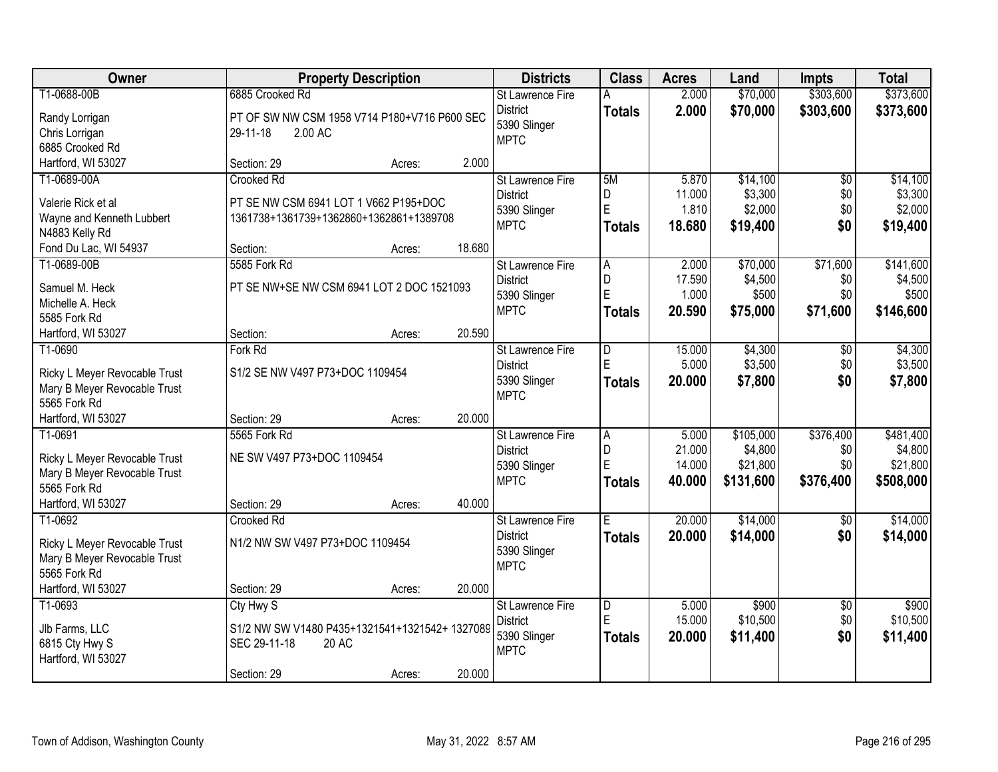| Owner                                   |                                                | <b>Property Description</b> |        | <b>Districts</b>            | <b>Class</b>            | <b>Acres</b> | Land      | <b>Impts</b>    | <b>Total</b> |
|-----------------------------------------|------------------------------------------------|-----------------------------|--------|-----------------------------|-------------------------|--------------|-----------|-----------------|--------------|
| T1-0688-00B                             | 6885 Crooked Rd                                |                             |        | <b>St Lawrence Fire</b>     | A                       | 2.000        | \$70,000  | \$303,600       | \$373,600    |
| Randy Lorrigan                          | PT OF SW NW CSM 1958 V714 P180+V716 P600 SEC   |                             |        | <b>District</b>             | <b>Totals</b>           | 2.000        | \$70,000  | \$303,600       | \$373,600    |
| Chris Lorrigan                          | 2.00 AC<br>29-11-18                            |                             |        | 5390 Slinger                |                         |              |           |                 |              |
| 6885 Crooked Rd                         |                                                |                             |        | <b>MPTC</b>                 |                         |              |           |                 |              |
| Hartford, WI 53027                      | Section: 29                                    | Acres:                      | 2.000  |                             |                         |              |           |                 |              |
| T1-0689-00A                             | Crooked Rd                                     |                             |        | <b>St Lawrence Fire</b>     | 5M                      | 5.870        | \$14,100  | $\overline{50}$ | \$14,100     |
|                                         |                                                |                             |        | <b>District</b>             | D                       | 11.000       | \$3,300   | \$0             | \$3,300      |
| Valerie Rick et al                      | PT SE NW CSM 6941 LOT 1 V662 P195+DOC          |                             |        | 5390 Slinger                | E                       | 1.810        | \$2,000   | \$0             | \$2,000      |
| Wayne and Kenneth Lubbert               | 1361738+1361739+1362860+1362861+1389708        |                             |        | <b>MPTC</b>                 | <b>Totals</b>           | 18.680       | \$19,400  | \$0             | \$19,400     |
| N4883 Kelly Rd<br>Fond Du Lac, WI 54937 | Section:                                       | Acres:                      | 18.680 |                             |                         |              |           |                 |              |
| T1-0689-00B                             | 5585 Fork Rd                                   |                             |        | St Lawrence Fire            | A                       | 2.000        | \$70,000  | \$71,600        | \$141,600    |
|                                         |                                                |                             |        | <b>District</b>             | D                       | 17.590       | \$4,500   | \$0             | \$4,500      |
| Samuel M. Heck                          | PT SE NW+SE NW CSM 6941 LOT 2 DOC 1521093      |                             |        | 5390 Slinger                | E                       | 1.000        | \$500     | \$0             | \$500        |
| Michelle A. Heck                        |                                                |                             |        | <b>MPTC</b>                 | <b>Totals</b>           | 20.590       | \$75,000  | \$71,600        | \$146,600    |
| 5585 Fork Rd                            |                                                |                             |        |                             |                         |              |           |                 |              |
| Hartford, WI 53027                      | Section:                                       | Acres:                      | 20.590 |                             |                         |              |           |                 |              |
| T1-0690                                 | Fork Rd                                        |                             |        | St Lawrence Fire            | $\overline{D}$          | 15.000       | \$4,300   | \$0             | \$4,300      |
| Ricky L Meyer Revocable Trust           | S1/2 SE NW V497 P73+DOC 1109454                |                             |        | <b>District</b>             | E                       | 5.000        | \$3,500   | \$0             | \$3,500      |
| Mary B Meyer Revocable Trust            |                                                |                             |        | 5390 Slinger                | <b>Totals</b>           | 20.000       | \$7,800   | \$0             | \$7,800      |
| 5565 Fork Rd                            |                                                |                             |        | <b>MPTC</b>                 |                         |              |           |                 |              |
| Hartford, WI 53027                      | Section: 29                                    | Acres:                      | 20.000 |                             |                         |              |           |                 |              |
| T1-0691                                 | 5565 Fork Rd                                   |                             |        | St Lawrence Fire            | $\overline{A}$          | 5.000        | \$105,000 | \$376,400       | \$481,400    |
|                                         |                                                |                             |        | <b>District</b>             | l D                     | 21.000       | \$4,800   | \$0             | \$4,800      |
| Ricky L Meyer Revocable Trust           | NE SW V497 P73+DOC 1109454                     |                             |        | 5390 Slinger                | E                       | 14.000       | \$21,800  | \$0             | \$21,800     |
| Mary B Meyer Revocable Trust            |                                                |                             |        | <b>MPTC</b>                 | <b>Totals</b>           | 40.000       | \$131,600 | \$376,400       | \$508,000    |
| 5565 Fork Rd                            |                                                |                             | 40.000 |                             |                         |              |           |                 |              |
| Hartford, WI 53027                      | Section: 29                                    | Acres:                      |        |                             |                         |              |           |                 |              |
| T1-0692                                 | Crooked Rd                                     |                             |        | St Lawrence Fire            | E                       | 20.000       | \$14,000  | \$0             | \$14,000     |
| Ricky L Meyer Revocable Trust           | N1/2 NW SW V497 P73+DOC 1109454                |                             |        | <b>District</b>             | <b>Totals</b>           | 20.000       | \$14,000  | \$0             | \$14,000     |
| Mary B Meyer Revocable Trust            |                                                |                             |        | 5390 Slinger<br><b>MPTC</b> |                         |              |           |                 |              |
| 5565 Fork Rd                            |                                                |                             |        |                             |                         |              |           |                 |              |
| Hartford, WI 53027                      | Section: 29                                    | Acres:                      | 20.000 |                             |                         |              |           |                 |              |
| T1-0693                                 | Cty Hwy S                                      |                             |        | St Lawrence Fire            | $\overline{\mathsf{D}}$ | 5.000        | \$900     | $\overline{30}$ | \$900        |
| Jlb Farms, LLC                          | S1/2 NW SW V1480 P435+1321541+1321542+ 1327089 |                             |        | <b>District</b>             | E                       | 15.000       | \$10,500  | \$0             | \$10,500     |
| 6815 Cty Hwy S                          | SEC 29-11-18<br>20 AC                          |                             |        | 5390 Slinger                | <b>Totals</b>           | 20.000       | \$11,400  | \$0             | \$11,400     |
| Hartford, WI 53027                      |                                                |                             |        | <b>MPTC</b>                 |                         |              |           |                 |              |
|                                         | Section: 29                                    | Acres:                      | 20.000 |                             |                         |              |           |                 |              |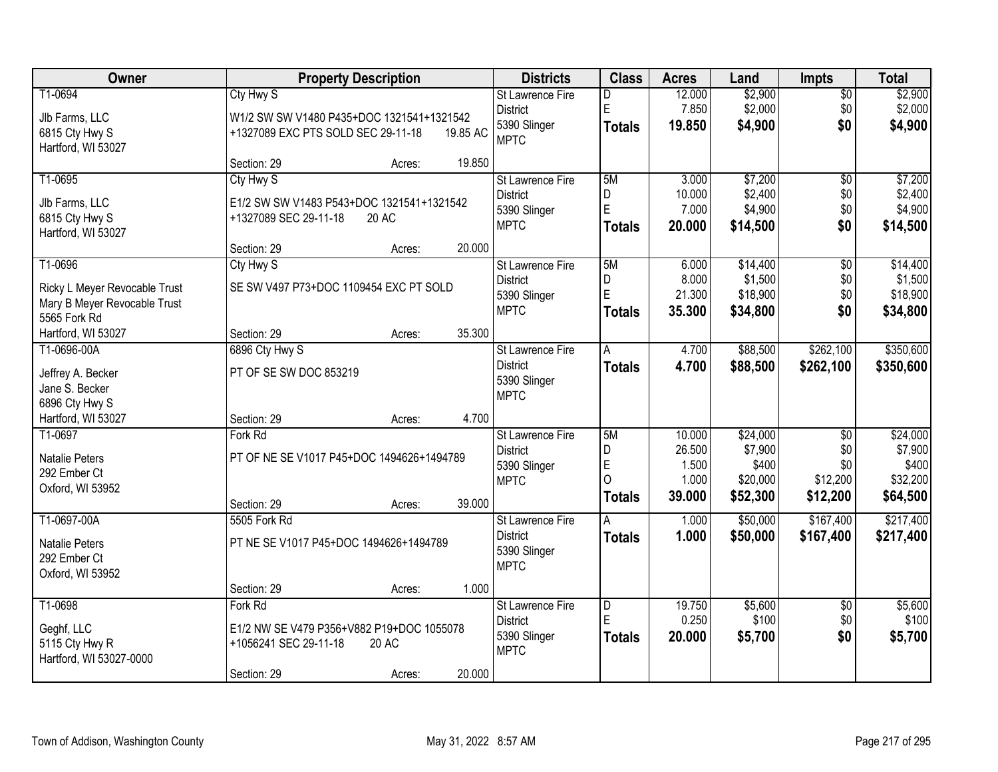| Owner                         |                                           | <b>Property Description</b> |          | <b>Districts</b>        | <b>Class</b>            | <b>Acres</b> | Land     | <b>Impts</b>    | <b>Total</b> |
|-------------------------------|-------------------------------------------|-----------------------------|----------|-------------------------|-------------------------|--------------|----------|-----------------|--------------|
| T1-0694                       | Cty Hwy S                                 |                             |          | <b>St Lawrence Fire</b> | D                       | 12.000       | \$2,900  | $\overline{50}$ | \$2,900      |
| Jlb Farms, LLC                | W1/2 SW SW V1480 P435+DOC 1321541+1321542 |                             |          | <b>District</b>         | ΙE                      | 7.850        | \$2,000  | \$0             | \$2,000      |
| 6815 Cty Hwy S                | +1327089 EXC PTS SOLD SEC 29-11-18        |                             | 19.85 AC | 5390 Slinger            | <b>Totals</b>           | 19.850       | \$4,900  | \$0             | \$4,900      |
| Hartford, WI 53027            |                                           |                             |          | <b>MPTC</b>             |                         |              |          |                 |              |
|                               | Section: 29                               | Acres:                      | 19.850   |                         |                         |              |          |                 |              |
| T1-0695                       | Cty Hwy S                                 |                             |          | St Lawrence Fire        | 5M                      | 3.000        | \$7,200  | $\overline{50}$ | \$7,200      |
| Jlb Farms, LLC                | E1/2 SW SW V1483 P543+DOC 1321541+1321542 |                             |          | <b>District</b>         | D                       | 10.000       | \$2,400  | \$0             | \$2,400      |
| 6815 Cty Hwy S                | +1327089 SEC 29-11-18                     | 20 AC                       |          | 5390 Slinger            | E                       | 7.000        | \$4,900  | \$0             | \$4,900      |
| Hartford, WI 53027            |                                           |                             |          | <b>MPTC</b>             | <b>Totals</b>           | 20.000       | \$14,500 | \$0             | \$14,500     |
|                               | Section: 29                               | Acres:                      | 20.000   |                         |                         |              |          |                 |              |
| T1-0696                       | Cty Hwy S                                 |                             |          | St Lawrence Fire        | 5M                      | 6.000        | \$14,400 | \$0             | \$14,400     |
| Ricky L Meyer Revocable Trust | SE SW V497 P73+DOC 1109454 EXC PT SOLD    |                             |          | <b>District</b>         | D                       | 8.000        | \$1,500  | \$0             | \$1,500      |
| Mary B Meyer Revocable Trust  |                                           |                             |          | 5390 Slinger            | E                       | 21.300       | \$18,900 | \$0             | \$18,900     |
| 5565 Fork Rd                  |                                           |                             |          | <b>MPTC</b>             | <b>Totals</b>           | 35.300       | \$34,800 | \$0             | \$34,800     |
| Hartford, WI 53027            | Section: 29                               | Acres:                      | 35.300   |                         |                         |              |          |                 |              |
| T1-0696-00A                   | 6896 Cty Hwy S                            |                             |          | St Lawrence Fire        | A                       | 4.700        | \$88,500 | \$262,100       | \$350,600    |
| Jeffrey A. Becker             | PT OF SE SW DOC 853219                    |                             |          | <b>District</b>         | <b>Totals</b>           | 4.700        | \$88,500 | \$262,100       | \$350,600    |
| Jane S. Becker                |                                           |                             |          | 5390 Slinger            |                         |              |          |                 |              |
| 6896 Cty Hwy S                |                                           |                             |          | <b>MPTC</b>             |                         |              |          |                 |              |
| Hartford, WI 53027            | Section: 29                               | Acres:                      | 4.700    |                         |                         |              |          |                 |              |
| T1-0697                       | Fork Rd                                   |                             |          | St Lawrence Fire        | 5M                      | 10.000       | \$24,000 | $\overline{50}$ | \$24,000     |
| Natalie Peters                | PT OF NE SE V1017 P45+DOC 1494626+1494789 |                             |          | <b>District</b>         | D                       | 26.500       | \$7,900  | \$0             | \$7,900      |
| 292 Ember Ct                  |                                           |                             |          | 5390 Slinger            | E                       | 1.500        | \$400    | \$0             | \$400        |
| Oxford, WI 53952              |                                           |                             |          | <b>MPTC</b>             | $\overline{O}$          | 1.000        | \$20,000 | \$12,200        | \$32,200     |
|                               | Section: 29                               | Acres:                      | 39.000   |                         | Totals                  | 39.000       | \$52,300 | \$12,200        | \$64,500     |
| T1-0697-00A                   | 5505 Fork Rd                              |                             |          | St Lawrence Fire        | Α                       | 1.000        | \$50,000 | \$167,400       | \$217,400    |
| <b>Natalie Peters</b>         | PT NE SE V1017 P45+DOC 1494626+1494789    |                             |          | <b>District</b>         | <b>Totals</b>           | 1.000        | \$50,000 | \$167,400       | \$217,400    |
| 292 Ember Ct                  |                                           |                             |          | 5390 Slinger            |                         |              |          |                 |              |
| Oxford, WI 53952              |                                           |                             |          | <b>MPTC</b>             |                         |              |          |                 |              |
|                               | Section: 29                               | Acres:                      | 1.000    |                         |                         |              |          |                 |              |
| T1-0698                       | Fork Rd                                   |                             |          | <b>St Lawrence Fire</b> | $\overline{\mathsf{D}}$ | 19.750       | \$5,600  | $\overline{50}$ | \$5,600      |
| Geghf, LLC                    | E1/2 NW SE V479 P356+V882 P19+DOC 1055078 |                             |          | <b>District</b>         | E                       | 0.250        | \$100    | \$0             | \$100        |
| 5115 Cty Hwy R                | +1056241 SEC 29-11-18                     | 20 AC                       |          | 5390 Slinger            | <b>Totals</b>           | 20.000       | \$5,700  | \$0             | \$5,700      |
| Hartford, WI 53027-0000       |                                           |                             |          | <b>MPTC</b>             |                         |              |          |                 |              |
|                               | Section: 29                               | Acres:                      | 20.000   |                         |                         |              |          |                 |              |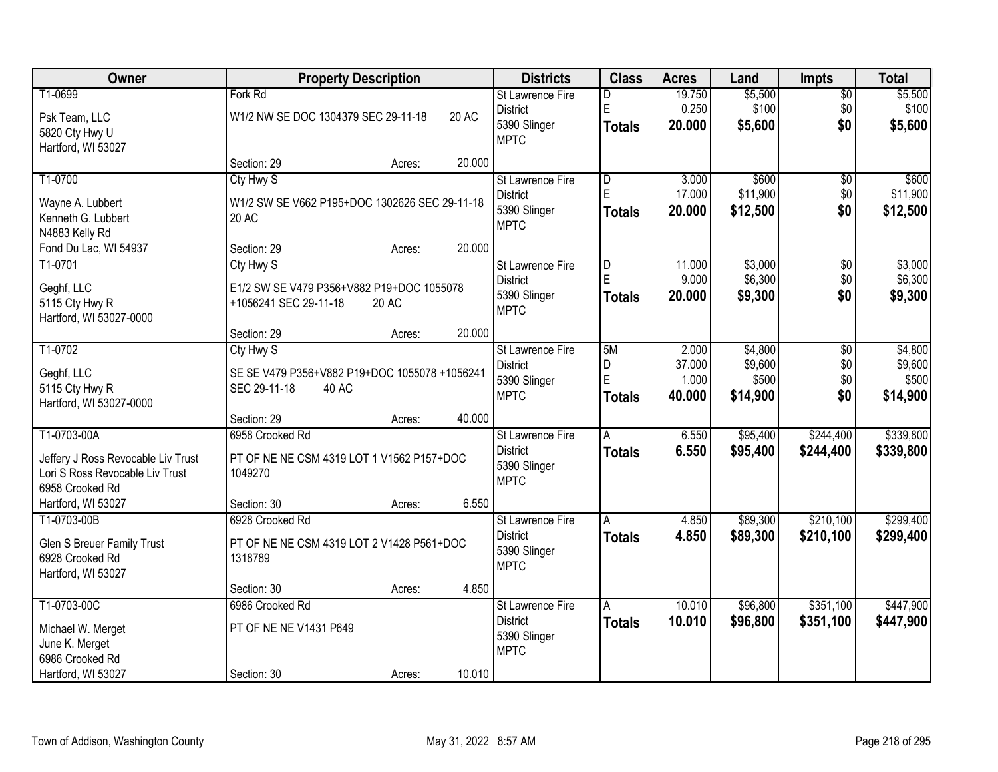| Owner                              | <b>Property Description</b>                   |        |        | <b>Districts</b>        | <b>Class</b>            | <b>Acres</b> | Land     | <b>Impts</b>    | <b>Total</b> |
|------------------------------------|-----------------------------------------------|--------|--------|-------------------------|-------------------------|--------------|----------|-----------------|--------------|
| T1-0699                            | Fork Rd                                       |        |        | <b>St Lawrence Fire</b> | D                       | 19.750       | \$5,500  | $\overline{50}$ | \$5,500      |
| Psk Team, LLC                      | W1/2 NW SE DOC 1304379 SEC 29-11-18           |        | 20 AC  | <b>District</b>         | E                       | 0.250        | \$100    | \$0             | \$100        |
| 5820 Cty Hwy U                     |                                               |        |        | 5390 Slinger            | <b>Totals</b>           | 20.000       | \$5,600  | \$0             | \$5,600      |
| Hartford, WI 53027                 |                                               |        |        | <b>MPTC</b>             |                         |              |          |                 |              |
|                                    | Section: 29                                   | Acres: | 20.000 |                         |                         |              |          |                 |              |
| T1-0700                            | Cty Hwy S                                     |        |        | <b>St Lawrence Fire</b> | $\overline{\mathsf{D}}$ | 3.000        | \$600    | \$0             | \$600        |
| Wayne A. Lubbert                   | W1/2 SW SE V662 P195+DOC 1302626 SEC 29-11-18 |        |        | <b>District</b>         | E                       | 17.000       | \$11,900 | \$0             | \$11,900     |
| Kenneth G. Lubbert                 | 20 AC                                         |        |        | 5390 Slinger            | <b>Totals</b>           | 20.000       | \$12,500 | \$0             | \$12,500     |
| N4883 Kelly Rd                     |                                               |        |        | <b>MPTC</b>             |                         |              |          |                 |              |
| Fond Du Lac, WI 54937              | Section: 29                                   | Acres: | 20.000 |                         |                         |              |          |                 |              |
| T1-0701                            | Cty Hwy S                                     |        |        | St Lawrence Fire        | D                       | 11.000       | \$3,000  | \$0             | \$3,000      |
| Geghf, LLC                         | E1/2 SW SE V479 P356+V882 P19+DOC 1055078     |        |        | <b>District</b>         | E                       | 9.000        | \$6,300  | \$0             | \$6,300      |
| 5115 Cty Hwy R                     | +1056241 SEC 29-11-18                         | 20 AC  |        | 5390 Slinger            | <b>Totals</b>           | 20,000       | \$9,300  | \$0             | \$9,300      |
| Hartford, WI 53027-0000            |                                               |        |        | <b>MPTC</b>             |                         |              |          |                 |              |
|                                    | Section: 29                                   | Acres: | 20.000 |                         |                         |              |          |                 |              |
| T1-0702                            | Cty Hwy S                                     |        |        | St Lawrence Fire        | 5M                      | 2.000        | \$4,800  | \$0             | \$4,800      |
| Geghf, LLC                         | SE SE V479 P356+V882 P19+DOC 1055078 +1056241 |        |        | <b>District</b>         | D                       | 37.000       | \$9,600  | \$0             | \$9,600      |
| 5115 Cty Hwy R                     | SEC 29-11-18<br>40 AC                         |        |        | 5390 Slinger            | E                       | 1.000        | \$500    | \$0             | \$500        |
| Hartford, WI 53027-0000            |                                               |        |        | <b>MPTC</b>             | <b>Totals</b>           | 40.000       | \$14,900 | \$0             | \$14,900     |
|                                    | Section: 29                                   | Acres: | 40.000 |                         |                         |              |          |                 |              |
| T1-0703-00A                        | 6958 Crooked Rd                               |        |        | St Lawrence Fire        | A                       | 6.550        | \$95,400 | \$244,400       | \$339,800    |
| Jeffery J Ross Revocable Liv Trust | PT OF NE NE CSM 4319 LOT 1 V1562 P157+DOC     |        |        | <b>District</b>         | <b>Totals</b>           | 6.550        | \$95,400 | \$244,400       | \$339,800    |
| Lori S Ross Revocable Liv Trust    | 1049270                                       |        |        | 5390 Slinger            |                         |              |          |                 |              |
| 6958 Crooked Rd                    |                                               |        |        | <b>MPTC</b>             |                         |              |          |                 |              |
| Hartford, WI 53027                 | Section: 30                                   | Acres: | 6.550  |                         |                         |              |          |                 |              |
| T1-0703-00B                        | 6928 Crooked Rd                               |        |        | St Lawrence Fire        | A                       | 4.850        | \$89,300 | \$210,100       | \$299,400    |
| Glen S Breuer Family Trust         | PT OF NE NE CSM 4319 LOT 2 V1428 P561+DOC     |        |        | <b>District</b>         | <b>Totals</b>           | 4.850        | \$89,300 | \$210,100       | \$299,400    |
| 6928 Crooked Rd                    | 1318789                                       |        |        | 5390 Slinger            |                         |              |          |                 |              |
| Hartford, WI 53027                 |                                               |        |        | <b>MPTC</b>             |                         |              |          |                 |              |
|                                    | Section: 30                                   | Acres: | 4.850  |                         |                         |              |          |                 |              |
| T1-0703-00C                        | 6986 Crooked Rd                               |        |        | <b>St Lawrence Fire</b> | A                       | 10.010       | \$96,800 | \$351,100       | \$447,900    |
| Michael W. Merget                  | PT OF NE NE V1431 P649                        |        |        | <b>District</b>         | <b>Totals</b>           | 10.010       | \$96,800 | \$351,100       | \$447,900    |
| June K. Merget                     |                                               |        |        | 5390 Slinger            |                         |              |          |                 |              |
| 6986 Crooked Rd                    |                                               |        |        | <b>MPTC</b>             |                         |              |          |                 |              |
| Hartford, WI 53027                 | Section: 30                                   | Acres: | 10.010 |                         |                         |              |          |                 |              |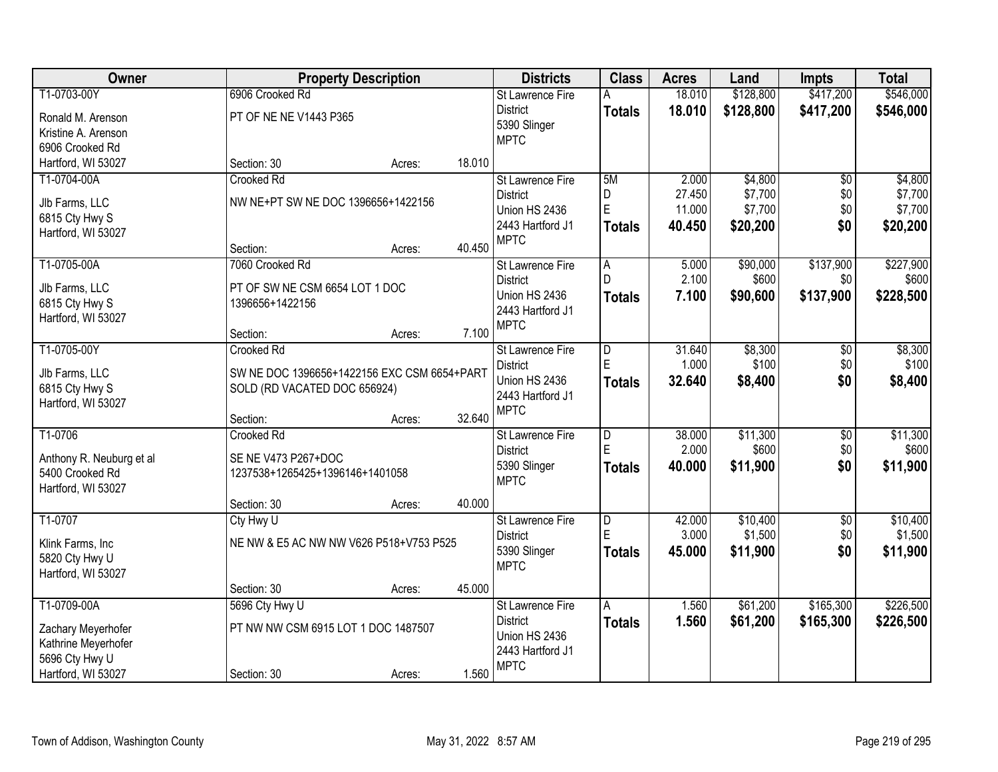| Owner                                | <b>Property Description</b>                 |        |        | <b>Districts</b>        | <b>Class</b>   | <b>Acres</b> | Land      | <b>Impts</b>    | <b>Total</b> |
|--------------------------------------|---------------------------------------------|--------|--------|-------------------------|----------------|--------------|-----------|-----------------|--------------|
| T1-0703-00Y                          | 6906 Crooked Rd                             |        |        | <b>St Lawrence Fire</b> | Α              | 18.010       | \$128,800 | \$417,200       | \$546,000    |
| Ronald M. Arenson                    | PT OF NE NE V1443 P365                      |        |        | <b>District</b>         | <b>Totals</b>  | 18.010       | \$128,800 | \$417,200       | \$546,000    |
| Kristine A. Arenson                  |                                             |        |        | 5390 Slinger            |                |              |           |                 |              |
| 6906 Crooked Rd                      |                                             |        |        | <b>MPTC</b>             |                |              |           |                 |              |
| Hartford, WI 53027                   | Section: 30                                 | Acres: | 18.010 |                         |                |              |           |                 |              |
| T1-0704-00A                          | <b>Crooked Rd</b>                           |        |        | <b>St Lawrence Fire</b> | 5M             | 2.000        | \$4,800   | $\overline{50}$ | \$4,800      |
|                                      | NW NE+PT SW NE DOC 1396656+1422156          |        |        | <b>District</b>         | D              | 27.450       | \$7,700   | \$0             | \$7,700      |
| Jlb Farms, LLC                       |                                             |        |        | Union HS 2436           | $\mathsf E$    | 11.000       | \$7,700   | \$0             | \$7,700      |
| 6815 Cty Hwy S<br>Hartford, WI 53027 |                                             |        |        | 2443 Hartford J1        | <b>Totals</b>  | 40.450       | \$20,200  | \$0             | \$20,200     |
|                                      | Section:                                    | Acres: | 40.450 | <b>MPTC</b>             |                |              |           |                 |              |
| T1-0705-00A                          | 7060 Crooked Rd                             |        |        | St Lawrence Fire        | A              | 5.000        | \$90,000  | \$137,900       | \$227,900    |
|                                      |                                             |        |        | <b>District</b>         |                | 2.100        | \$600     | \$0             | \$600        |
| Jlb Farms, LLC                       | PT OF SW NE CSM 6654 LOT 1 DOC              |        |        | Union HS 2436           | <b>Totals</b>  | 7.100        | \$90,600  | \$137,900       | \$228,500    |
| 6815 Cty Hwy S                       | 1396656+1422156                             |        |        | 2443 Hartford J1        |                |              |           |                 |              |
| Hartford, WI 53027                   |                                             |        |        | <b>MPTC</b>             |                |              |           |                 |              |
|                                      | Section:                                    | Acres: | 7.100  |                         |                |              |           |                 |              |
| T1-0705-00Y                          | Crooked Rd                                  |        |        | St Lawrence Fire        | D              | 31.640       | \$8,300   | $\sqrt[6]{3}$   | \$8,300      |
| Jlb Farms, LLC                       | SW NE DOC 1396656+1422156 EXC CSM 6654+PART |        |        | <b>District</b>         | E              | 1.000        | \$100     | \$0             | \$100        |
| 6815 Cty Hwy S                       | SOLD (RD VACATED DOC 656924)                |        |        | Union HS 2436           | <b>Totals</b>  | 32.640       | \$8,400   | \$0             | \$8,400      |
| Hartford, WI 53027                   |                                             |        |        | 2443 Hartford J1        |                |              |           |                 |              |
|                                      | Section:                                    | Acres: | 32.640 | <b>MPTC</b>             |                |              |           |                 |              |
| T1-0706                              | <b>Crooked Rd</b>                           |        |        | St Lawrence Fire        | $\overline{D}$ | 38.000       | \$11,300  | $\overline{50}$ | \$11,300     |
| Anthony R. Neuburg et al             | SE NE V473 P267+DOC                         |        |        | <b>District</b>         | E              | 2.000        | \$600     | \$0             | \$600        |
| 5400 Crooked Rd                      | 1237538+1265425+1396146+1401058             |        |        | 5390 Slinger            | <b>Totals</b>  | 40.000       | \$11,900  | \$0             | \$11,900     |
| Hartford, WI 53027                   |                                             |        |        | <b>MPTC</b>             |                |              |           |                 |              |
|                                      | Section: 30                                 | Acres: | 40.000 |                         |                |              |           |                 |              |
| T1-0707                              | Cty Hwy U                                   |        |        | <b>St Lawrence Fire</b> | $\overline{D}$ | 42.000       | \$10,400  | $\overline{50}$ | \$10,400     |
|                                      | NE NW & E5 AC NW NW V626 P518+V753 P525     |        |        | <b>District</b>         | E              | 3.000        | \$1,500   | \$0             | \$1,500      |
| Klink Farms, Inc<br>5820 Cty Hwy U   |                                             |        |        | 5390 Slinger            | <b>Totals</b>  | 45.000       | \$11,900  | \$0             | \$11,900     |
| Hartford, WI 53027                   |                                             |        |        | <b>MPTC</b>             |                |              |           |                 |              |
|                                      | Section: 30                                 | Acres: | 45.000 |                         |                |              |           |                 |              |
| T1-0709-00A                          | 5696 Cty Hwy U                              |        |        | St Lawrence Fire        | A              | 1.560        | \$61,200  | \$165,300       | \$226,500    |
|                                      |                                             |        |        | <b>District</b>         |                | 1.560        | \$61,200  | \$165,300       | \$226,500    |
| Zachary Meyerhofer                   | PT NW NW CSM 6915 LOT 1 DOC 1487507         |        |        | Union HS 2436           | <b>Totals</b>  |              |           |                 |              |
| Kathrine Meyerhofer                  |                                             |        |        | 2443 Hartford J1        |                |              |           |                 |              |
| 5696 Cty Hwy U                       |                                             |        |        | <b>MPTC</b>             |                |              |           |                 |              |
| Hartford, WI 53027                   | Section: 30                                 | Acres: | 1.560  |                         |                |              |           |                 |              |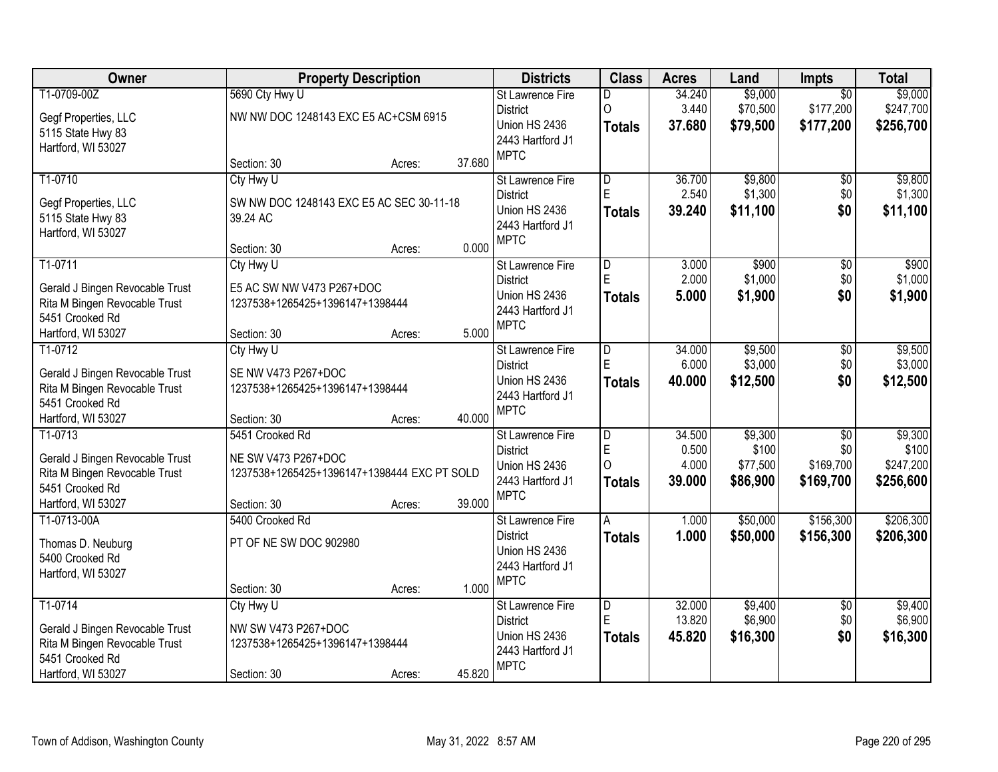| Owner                                                                                                                |                                                                                                      | <b>Property Description</b> |        | <b>Districts</b>                                                                               | <b>Class</b>                                                    | <b>Acres</b>                       | Land                                     | <b>Impts</b>                                     | <b>Total</b>                               |
|----------------------------------------------------------------------------------------------------------------------|------------------------------------------------------------------------------------------------------|-----------------------------|--------|------------------------------------------------------------------------------------------------|-----------------------------------------------------------------|------------------------------------|------------------------------------------|--------------------------------------------------|--------------------------------------------|
| T1-0709-00Z<br>Gegf Properties, LLC<br>5115 State Hwy 83<br>Hartford, WI 53027                                       | 5690 Cty Hwy U<br>NW NW DOC 1248143 EXC E5 AC+CSM 6915                                               |                             |        | <b>St Lawrence Fire</b><br><b>District</b><br>Union HS 2436<br>2443 Hartford J1<br><b>MPTC</b> | D<br>$\circ$<br><b>Totals</b>                                   | 34.240<br>3.440<br>37.680          | \$9,000<br>\$70,500<br>\$79,500          | $\overline{50}$<br>\$177,200<br>\$177,200        | \$9,000<br>\$247,700<br>\$256,700          |
|                                                                                                                      | Section: 30                                                                                          | Acres:                      | 37.680 |                                                                                                |                                                                 |                                    |                                          |                                                  |                                            |
| T1-0710<br>Gegf Properties, LLC<br>5115 State Hwy 83<br>Hartford, WI 53027                                           | Cty Hwy U<br>SW NW DOC 1248143 EXC E5 AC SEC 30-11-18<br>39.24 AC<br>Section: 30                     | Acres:                      | 0.000  | <b>St Lawrence Fire</b><br><b>District</b><br>Union HS 2436<br>2443 Hartford J1<br><b>MPTC</b> | $\overline{\mathsf{D}}$<br>E<br><b>Totals</b>                   | 36.700<br>2.540<br>39.240          | \$9,800<br>\$1,300<br>\$11,100           | \$0<br>\$0<br>\$0                                | \$9,800<br>\$1,300<br>\$11,100             |
| T1-0711<br>Gerald J Bingen Revocable Trust<br>Rita M Bingen Revocable Trust<br>5451 Crooked Rd<br>Hartford, WI 53027 | Cty Hwy U<br>E5 AC SW NW V473 P267+DOC<br>1237538+1265425+1396147+1398444<br>Section: 30             | Acres:                      | 5.000  | St Lawrence Fire<br><b>District</b><br>Union HS 2436<br>2443 Hartford J1<br><b>MPTC</b>        | D<br>E<br><b>Totals</b>                                         | 3.000<br>2.000<br>5.000            | \$900<br>\$1,000<br>\$1,900              | \$0<br>\$0<br>\$0                                | \$900<br>\$1,000<br>\$1,900                |
| T1-0712<br>Gerald J Bingen Revocable Trust<br>Rita M Bingen Revocable Trust<br>5451 Crooked Rd<br>Hartford, WI 53027 | Cty Hwy U<br>SE NW V473 P267+DOC<br>1237538+1265425+1396147+1398444<br>Section: 30                   | Acres:                      | 40.000 | <b>St Lawrence Fire</b><br><b>District</b><br>Union HS 2436<br>2443 Hartford J1<br><b>MPTC</b> | $\overline{D}$<br>E<br><b>Totals</b>                            | 34.000<br>6.000<br>40.000          | \$9,500<br>\$3,000<br>\$12,500           | \$0<br>\$0<br>\$0                                | \$9,500<br>\$3,000<br>\$12,500             |
| T1-0713<br>Gerald J Bingen Revocable Trust<br>Rita M Bingen Revocable Trust<br>5451 Crooked Rd<br>Hartford, WI 53027 | 5451 Crooked Rd<br>NE SW V473 P267+DOC<br>1237538+1265425+1396147+1398444 EXC PT SOLD<br>Section: 30 | Acres:                      | 39.000 | <b>St Lawrence Fire</b><br><b>District</b><br>Union HS 2436<br>2443 Hartford J1<br><b>MPTC</b> | $\overline{\mathsf{D}}$<br>$\mathsf E$<br>$\mathbf 0$<br>Totals | 34.500<br>0.500<br>4.000<br>39.000 | \$9,300<br>\$100<br>\$77,500<br>\$86,900 | $\overline{50}$<br>\$0<br>\$169,700<br>\$169,700 | \$9,300<br>\$100<br>\$247,200<br>\$256,600 |
| T1-0713-00A<br>Thomas D. Neuburg<br>5400 Crooked Rd<br>Hartford, WI 53027                                            | 5400 Crooked Rd<br>PT OF NE SW DOC 902980<br>Section: 30                                             | Acres:                      | 1.000  | St Lawrence Fire<br><b>District</b><br>Union HS 2436<br>2443 Hartford J1<br><b>MPTC</b>        | A<br><b>Totals</b>                                              | 1.000<br>1.000                     | \$50,000<br>\$50,000                     | \$156,300<br>\$156,300                           | \$206,300<br>\$206,300                     |
| T1-0714<br>Gerald J Bingen Revocable Trust<br>Rita M Bingen Revocable Trust<br>5451 Crooked Rd<br>Hartford, WI 53027 | Cty Hwy U<br>NW SW V473 P267+DOC<br>1237538+1265425+1396147+1398444<br>Section: 30                   | Acres:                      | 45.820 | St Lawrence Fire<br><b>District</b><br>Union HS 2436<br>2443 Hartford J1<br><b>MPTC</b>        | $\overline{\mathsf{D}}$<br>E<br>Totals                          | 32.000<br>13.820<br>45.820         | \$9,400<br>\$6,900<br>\$16,300           | $\overline{50}$<br>\$0<br>\$0                    | \$9,400<br>\$6,900<br>\$16,300             |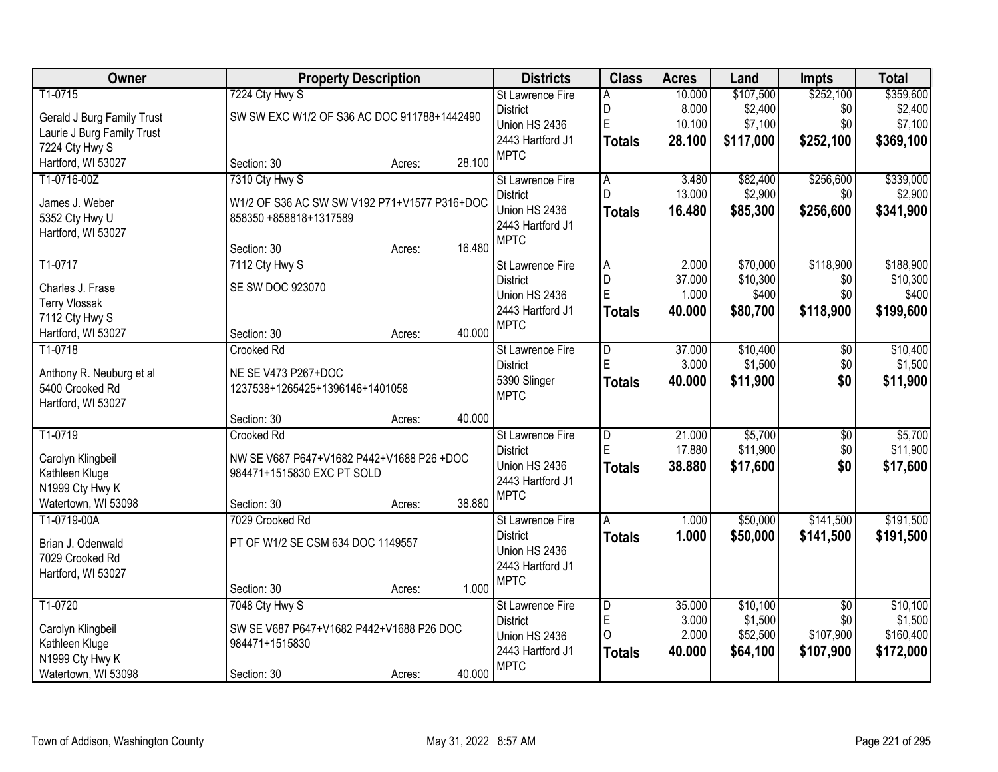| Owner                                       | <b>Property Description</b>                  |        |        | <b>Districts</b>                | <b>Class</b>            | <b>Acres</b> | Land      | <b>Impts</b>    | <b>Total</b> |
|---------------------------------------------|----------------------------------------------|--------|--------|---------------------------------|-------------------------|--------------|-----------|-----------------|--------------|
| T1-0715                                     | 7224 Cty Hwy S                               |        |        | St Lawrence Fire                | A                       | 10.000       | \$107,500 | \$252,100       | \$359,600    |
| Gerald J Burg Family Trust                  | SW SW EXC W1/2 OF S36 AC DOC 911788+1442490  |        |        | <b>District</b>                 | D                       | 8.000        | \$2,400   | \$0             | \$2,400      |
| Laurie J Burg Family Trust                  |                                              |        |        | Union HS 2436                   | E                       | 10.100       | \$7,100   | \$0             | \$7,100      |
| 7224 Cty Hwy S                              |                                              |        |        | 2443 Hartford J1                | <b>Totals</b>           | 28.100       | \$117,000 | \$252,100       | \$369,100    |
| Hartford, WI 53027                          | Section: 30                                  | Acres: | 28.100 | <b>MPTC</b>                     |                         |              |           |                 |              |
| T1-0716-00Z                                 | 7310 Cty Hwy S                               |        |        | St Lawrence Fire                | $\overline{A}$          | 3.480        | \$82,400  | \$256,600       | \$339,000    |
|                                             |                                              |        |        | <b>District</b>                 | D                       | 13.000       | \$2,900   | \$0             | \$2,900      |
| James J. Weber                              | W1/2 OF S36 AC SW SW V192 P71+V1577 P316+DOC |        |        | Union HS 2436                   | <b>Totals</b>           | 16.480       | \$85,300  | \$256,600       | \$341,900    |
| 5352 Cty Hwy U                              | 858350 +858818+1317589                       |        |        | 2443 Hartford J1                |                         |              |           |                 |              |
| Hartford, WI 53027                          |                                              |        |        | <b>MPTC</b>                     |                         |              |           |                 |              |
|                                             | Section: 30                                  | Acres: | 16.480 |                                 |                         |              |           |                 |              |
| T1-0717                                     | 7112 Cty Hwy S                               |        |        | St Lawrence Fire                | A                       | 2.000        | \$70,000  | \$118,900       | \$188,900    |
| Charles J. Frase                            | SE SW DOC 923070                             |        |        | <b>District</b>                 | D<br>E                  | 37.000       | \$10,300  | \$0             | \$10,300     |
| <b>Terry Vlossak</b>                        |                                              |        |        | Union HS 2436                   |                         | 1.000        | \$400     | \$0             | \$400        |
| 7112 Cty Hwy S                              |                                              |        |        | 2443 Hartford J1<br><b>MPTC</b> | <b>Totals</b>           | 40.000       | \$80,700  | \$118,900       | \$199,600    |
| Hartford, WI 53027                          | Section: 30                                  | Acres: | 40.000 |                                 |                         |              |           |                 |              |
| T1-0718                                     | <b>Crooked Rd</b>                            |        |        | St Lawrence Fire                | D                       | 37.000       | \$10,400  | $\frac{1}{20}$  | \$10,400     |
|                                             | NE SE V473 P267+DOC                          |        |        | <b>District</b>                 | E                       | 3.000        | \$1,500   | \$0             | \$1,500      |
| Anthony R. Neuburg et al<br>5400 Crooked Rd | 1237538+1265425+1396146+1401058              |        |        | 5390 Slinger                    | <b>Totals</b>           | 40.000       | \$11,900  | \$0             | \$11,900     |
| Hartford, WI 53027                          |                                              |        |        | <b>MPTC</b>                     |                         |              |           |                 |              |
|                                             | Section: 30                                  | Acres: | 40.000 |                                 |                         |              |           |                 |              |
| T1-0719                                     | <b>Crooked Rd</b>                            |        |        | St Lawrence Fire                | $\overline{\mathsf{D}}$ | 21.000       | \$5,700   | $\overline{50}$ | \$5,700      |
|                                             |                                              |        |        | <b>District</b>                 | Ė                       | 17.880       | \$11,900  | \$0             | \$11,900     |
| Carolyn Klingbeil                           | NW SE V687 P647+V1682 P442+V1688 P26 +DOC    |        |        | Union HS 2436                   | <b>Totals</b>           | 38.880       | \$17,600  | \$0             | \$17,600     |
| Kathleen Kluge                              | 984471+1515830 EXC PT SOLD                   |        |        | 2443 Hartford J1                |                         |              |           |                 |              |
| N1999 Cty Hwy K                             |                                              |        |        | <b>MPTC</b>                     |                         |              |           |                 |              |
| Watertown, WI 53098                         | Section: 30                                  | Acres: | 38.880 |                                 |                         |              |           |                 |              |
| T1-0719-00A                                 | 7029 Crooked Rd                              |        |        | St Lawrence Fire                | А                       | 1.000        | \$50,000  | \$141,500       | \$191,500    |
| Brian J. Odenwald                           | PT OF W1/2 SE CSM 634 DOC 1149557            |        |        | <b>District</b>                 | <b>Totals</b>           | 1.000        | \$50,000  | \$141,500       | \$191,500    |
| 7029 Crooked Rd                             |                                              |        |        | Union HS 2436                   |                         |              |           |                 |              |
| Hartford, WI 53027                          |                                              |        |        | 2443 Hartford J1<br><b>MPTC</b> |                         |              |           |                 |              |
|                                             | Section: 30                                  | Acres: | 1.000  |                                 |                         |              |           |                 |              |
| T1-0720                                     | 7048 Cty Hwy S                               |        |        | St Lawrence Fire                | $\overline{\mathsf{D}}$ | 35.000       | \$10,100  | $\overline{30}$ | \$10,100     |
| Carolyn Klingbeil                           | SW SE V687 P647+V1682 P442+V1688 P26 DOC     |        |        | <b>District</b>                 | E                       | 3.000        | \$1,500   | \$0             | \$1,500      |
| Kathleen Kluge                              | 984471+1515830                               |        |        | Union HS 2436                   | $\circ$                 | 2.000        | \$52,500  | \$107,900       | \$160,400    |
| N1999 Cty Hwy K                             |                                              |        |        | 2443 Hartford J1                | <b>Totals</b>           | 40.000       | \$64,100  | \$107,900       | \$172,000    |
| Watertown, WI 53098                         | Section: 30                                  | Acres: | 40.000 | <b>MPTC</b>                     |                         |              |           |                 |              |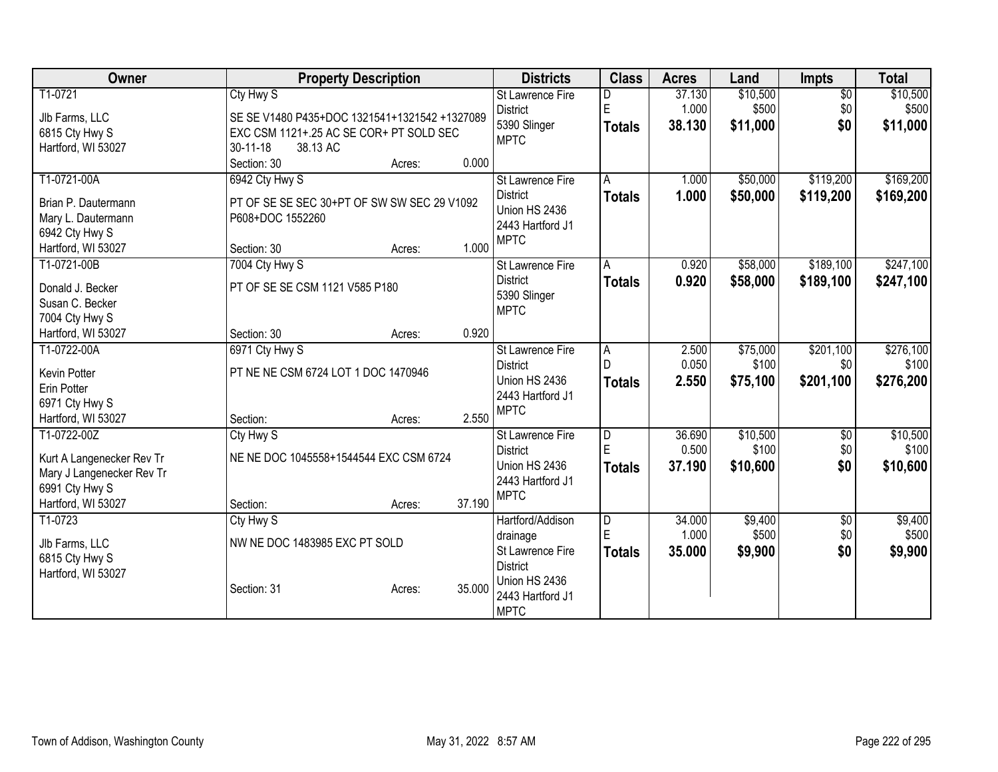| <b>Owner</b>                        |                                               | <b>Property Description</b> |        | <b>Districts</b>                    | <b>Class</b>            | <b>Acres</b> | Land     | <b>Impts</b>    | <b>Total</b> |
|-------------------------------------|-----------------------------------------------|-----------------------------|--------|-------------------------------------|-------------------------|--------------|----------|-----------------|--------------|
| T1-0721                             | Cty Hwy S                                     |                             |        | <b>St Lawrence Fire</b>             | D                       | 37.130       | \$10,500 | $\overline{50}$ | \$10,500     |
| Jlb Farms, LLC                      | SE SE V1480 P435+DOC 1321541+1321542 +1327089 |                             |        | <b>District</b>                     | E                       | 1.000        | \$500    | \$0             | \$500        |
| 6815 Cty Hwy S                      | EXC CSM 1121+.25 AC SE COR+ PT SOLD SEC       |                             |        | 5390 Slinger                        | Totals                  | 38.130       | \$11,000 | \$0             | \$11,000     |
| Hartford, WI 53027                  | 30-11-18<br>38.13 AC                          |                             |        | <b>MPTC</b>                         |                         |              |          |                 |              |
|                                     | Section: 30                                   | Acres:                      | 0.000  |                                     |                         |              |          |                 |              |
| T1-0721-00A                         | 6942 Cty Hwy S                                |                             |        | <b>St Lawrence Fire</b>             | Α                       | 1.000        | \$50,000 | \$119,200       | \$169,200    |
| Brian P. Dautermann                 | PT OF SE SE SEC 30+PT OF SW SW SEC 29 V1092   |                             |        | <b>District</b>                     | <b>Totals</b>           | 1.000        | \$50,000 | \$119,200       | \$169,200    |
| Mary L. Dautermann                  | P608+DOC 1552260                              |                             |        | Union HS 2436                       |                         |              |          |                 |              |
| 6942 Cty Hwy S                      |                                               |                             |        | 2443 Hartford J1                    |                         |              |          |                 |              |
| Hartford, WI 53027                  | Section: 30                                   | Acres:                      | 1.000  | <b>MPTC</b>                         |                         |              |          |                 |              |
| T1-0721-00B                         | 7004 Cty Hwy S                                |                             |        | St Lawrence Fire                    | A                       | 0.920        | \$58,000 | \$189,100       | \$247,100    |
|                                     |                                               |                             |        | <b>District</b>                     | <b>Totals</b>           | 0.920        | \$58,000 | \$189,100       | \$247,100    |
| Donald J. Becker<br>Susan C. Becker | PT OF SE SE CSM 1121 V585 P180                |                             |        | 5390 Slinger                        |                         |              |          |                 |              |
| 7004 Cty Hwy S                      |                                               |                             |        | <b>MPTC</b>                         |                         |              |          |                 |              |
| Hartford, WI 53027                  | Section: 30                                   | Acres:                      | 0.920  |                                     |                         |              |          |                 |              |
| T1-0722-00A                         | 6971 Cty Hwy S                                |                             |        | <b>St Lawrence Fire</b>             | A                       | 2.500        | \$75,000 | \$201,100       | \$276,100    |
|                                     |                                               |                             |        | <b>District</b>                     | D                       | 0.050        | \$100    | \$0             | \$100        |
| Kevin Potter                        | PT NE NE CSM 6724 LOT 1 DOC 1470946           |                             |        | Union HS 2436                       | <b>Totals</b>           | 2.550        | \$75,100 | \$201,100       | \$276,200    |
| Erin Potter                         |                                               |                             |        | 2443 Hartford J1                    |                         |              |          |                 |              |
| 6971 Cty Hwy S                      |                                               |                             | 2.550  | <b>MPTC</b>                         |                         |              |          |                 |              |
| Hartford, WI 53027<br>T1-0722-00Z   | Section:<br>Cty Hwy S                         | Acres:                      |        |                                     | $\overline{\mathsf{D}}$ | 36.690       | \$10,500 |                 | \$10,500     |
|                                     |                                               |                             |        | St Lawrence Fire<br><b>District</b> | E                       | 0.500        | \$100    | \$0<br>\$0      | \$100        |
| Kurt A Langenecker Rev Tr           | NE NE DOC 1045558+1544544 EXC CSM 6724        |                             |        | Union HS 2436                       | <b>Totals</b>           | 37.190       | \$10,600 | \$0             | \$10,600     |
| Mary J Langenecker Rev Tr           |                                               |                             |        | 2443 Hartford J1                    |                         |              |          |                 |              |
| 6991 Cty Hwy S                      |                                               |                             |        | <b>MPTC</b>                         |                         |              |          |                 |              |
| Hartford, WI 53027                  | Section:                                      | Acres:                      | 37.190 |                                     |                         |              |          |                 |              |
| T1-0723                             | Cty Hwy S                                     |                             |        | Hartford/Addison                    | $\overline{D}$          | 34.000       | \$9,400  | $\sqrt{6}$      | \$9,400      |
| Jlb Farms, LLC                      | NW NE DOC 1483985 EXC PT SOLD                 |                             |        | drainage                            | E                       | 1.000        | \$500    | \$0             | \$500        |
| 6815 Cty Hwy S                      |                                               |                             |        | St Lawrence Fire                    | Totals                  | 35.000       | \$9,900  | \$0             | \$9,900      |
| Hartford, WI 53027                  |                                               |                             |        | <b>District</b><br>Union HS 2436    |                         |              |          |                 |              |
|                                     | Section: 31                                   | Acres:                      | 35.000 | 2443 Hartford J1                    |                         |              |          |                 |              |
|                                     |                                               |                             |        | <b>MPTC</b>                         |                         |              |          |                 |              |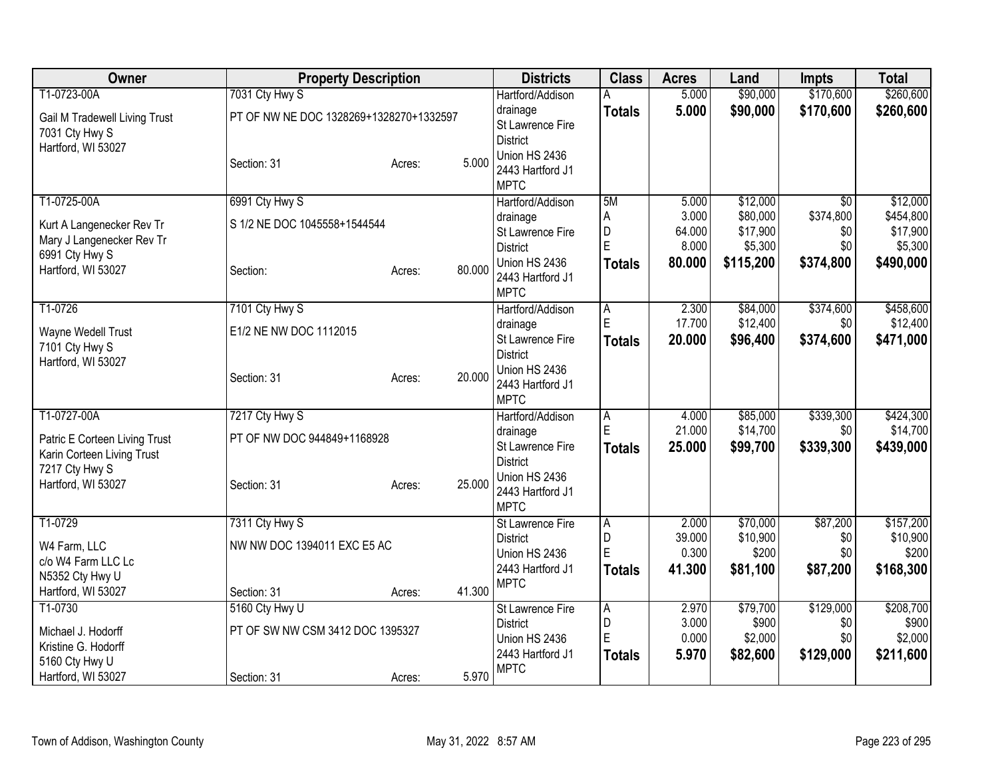| Owner                                                  | <b>Property Description</b>             |        |        | <b>Districts</b>                 | <b>Class</b>   | <b>Acres</b> | Land      | <b>Impts</b>    | <b>Total</b> |
|--------------------------------------------------------|-----------------------------------------|--------|--------|----------------------------------|----------------|--------------|-----------|-----------------|--------------|
| T1-0723-00A                                            | 7031 Cty Hwy S                          |        |        | Hartford/Addison                 | А              | 5.000        | \$90,000  | \$170,600       | \$260,600    |
| Gail M Tradewell Living Trust                          | PT OF NW NE DOC 1328269+1328270+1332597 |        |        | drainage                         | <b>Totals</b>  | 5.000        | \$90,000  | \$170,600       | \$260,600    |
| 7031 Cty Hwy S                                         |                                         |        |        | St Lawrence Fire                 |                |              |           |                 |              |
| Hartford, WI 53027                                     |                                         |        |        | <b>District</b><br>Union HS 2436 |                |              |           |                 |              |
|                                                        | Section: 31                             | Acres: | 5.000  | 2443 Hartford J1                 |                |              |           |                 |              |
|                                                        |                                         |        |        | <b>MPTC</b>                      |                |              |           |                 |              |
| T1-0725-00A                                            | 6991 Cty Hwy S                          |        |        | Hartford/Addison                 | 5M             | 5.000        | \$12,000  | $\overline{30}$ | \$12,000     |
|                                                        | S 1/2 NE DOC 1045558+1544544            |        |        | drainage                         | A              | 3.000        | \$80,000  | \$374,800       | \$454,800    |
| Kurt A Langenecker Rev Tr<br>Mary J Langenecker Rev Tr |                                         |        |        | St Lawrence Fire                 | D              | 64.000       | \$17,900  | \$0             | \$17,900     |
| 6991 Cty Hwy S                                         |                                         |        |        | <b>District</b>                  | Ė              | 8.000        | \$5,300   | \$0             | \$5,300      |
| Hartford, WI 53027                                     | Section:                                | Acres: | 80.000 | Union HS 2436                    | <b>Totals</b>  | 80.000       | \$115,200 | \$374,800       | \$490,000    |
|                                                        |                                         |        |        | 2443 Hartford J1                 |                |              |           |                 |              |
| T1-0726                                                | 7101 Cty Hwy S                          |        |        | <b>MPTC</b><br>Hartford/Addison  |                | 2.300        | \$84,000  | \$374,600       | \$458,600    |
|                                                        |                                         |        |        | drainage                         | A<br>E         | 17.700       | \$12,400  | \$0             | \$12,400     |
| Wayne Wedell Trust                                     | E1/2 NE NW DOC 1112015                  |        |        | St Lawrence Fire                 | <b>Totals</b>  | 20.000       | \$96,400  | \$374,600       | \$471,000    |
| 7101 Cty Hwy S                                         |                                         |        |        | <b>District</b>                  |                |              |           |                 |              |
| Hartford, WI 53027                                     |                                         |        |        | Union HS 2436                    |                |              |           |                 |              |
|                                                        | Section: 31                             | Acres: | 20.000 | 2443 Hartford J1                 |                |              |           |                 |              |
|                                                        |                                         |        |        | <b>MPTC</b>                      |                |              |           |                 |              |
| T1-0727-00A                                            | 7217 Cty Hwy S                          |        |        | Hartford/Addison                 | A              | 4.000        | \$85,000  | \$339,300       | \$424,300    |
| Patric E Corteen Living Trust                          | PT OF NW DOC 944849+1168928             |        |        | drainage                         | E              | 21.000       | \$14,700  | \$0             | \$14,700     |
| Karin Corteen Living Trust                             |                                         |        |        | St Lawrence Fire                 | <b>Totals</b>  | 25.000       | \$99,700  | \$339,300       | \$439,000    |
| 7217 Cty Hwy S                                         |                                         |        |        | <b>District</b><br>Union HS 2436 |                |              |           |                 |              |
| Hartford, WI 53027                                     | Section: 31                             | Acres: | 25.000 | 2443 Hartford J1                 |                |              |           |                 |              |
|                                                        |                                         |        |        | <b>MPTC</b>                      |                |              |           |                 |              |
| T1-0729                                                | 7311 Cty Hwy S                          |        |        | St Lawrence Fire                 | $\overline{A}$ | 2.000        | \$70,000  | \$87,200        | \$157,200    |
| W4 Farm, LLC                                           | NW NW DOC 1394011 EXC E5 AC             |        |        | <b>District</b>                  | D              | 39.000       | \$10,900  | \$0             | \$10,900     |
| c/o W4 Farm LLC Lc                                     |                                         |        |        | Union HS 2436                    | E              | 0.300        | \$200     | \$0             | \$200        |
| N5352 Cty Hwy U                                        |                                         |        |        | 2443 Hartford J1                 | <b>Totals</b>  | 41.300       | \$81,100  | \$87,200        | \$168,300    |
| Hartford, WI 53027                                     | Section: 31                             | Acres: | 41.300 | <b>MPTC</b>                      |                |              |           |                 |              |
| T1-0730                                                | 5160 Cty Hwy U                          |        |        | <b>St Lawrence Fire</b>          | $\overline{A}$ | 2.970        | \$79,700  | \$129,000       | \$208,700    |
| Michael J. Hodorff                                     | PT OF SW NW CSM 3412 DOC 1395327        |        |        | <b>District</b>                  | D              | 3.000        | \$900     | \$0             | \$900        |
| Kristine G. Hodorff                                    |                                         |        |        | Union HS 2436                    | $\mathsf E$    | 0.000        | \$2,000   | \$0             | \$2,000      |
| 5160 Cty Hwy U                                         |                                         |        |        | 2443 Hartford J1                 | <b>Totals</b>  | 5.970        | \$82,600  | \$129,000       | \$211,600    |
| Hartford, WI 53027                                     | Section: 31                             | Acres: | 5.970  | <b>MPTC</b>                      |                |              |           |                 |              |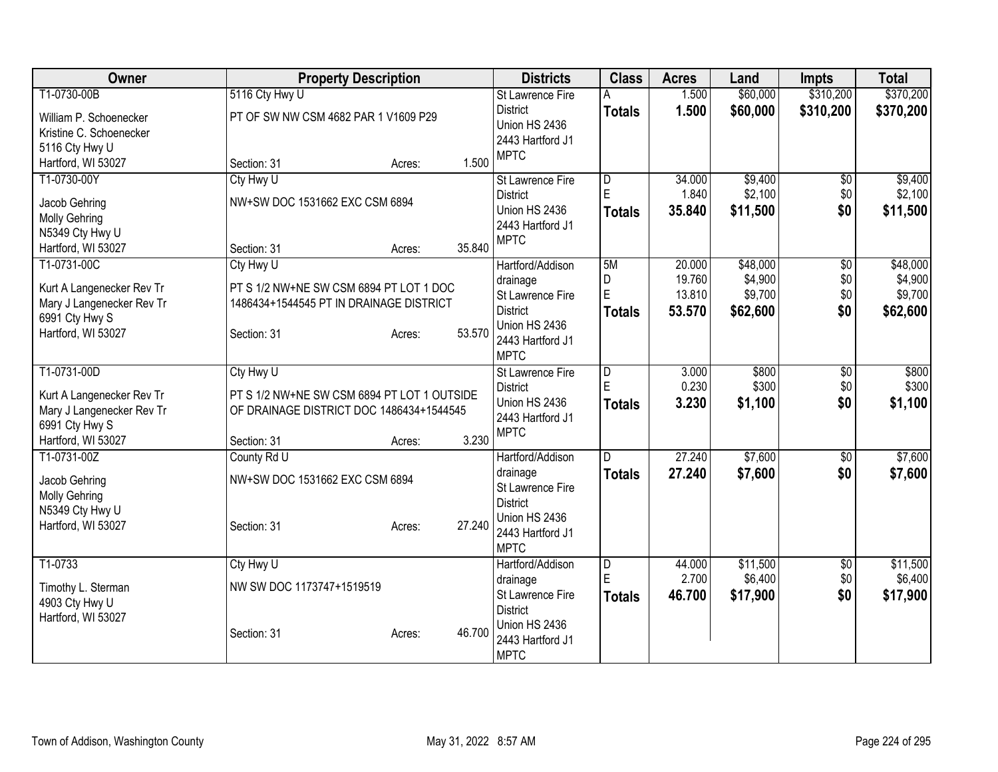| \$310,200<br>\$370,200<br>T1-0730-00B<br>5116 Cty Hwy U<br>\$60,000<br>1.500<br><b>St Lawrence Fire</b><br>1.500<br>\$310,200<br><b>District</b><br>\$60,000<br>\$370,200<br>Totals<br>PT OF SW NW CSM 4682 PAR 1 V1609 P29<br>William P. Schoenecker<br>Union HS 2436<br>Kristine C. Schoenecker<br>2443 Hartford J1<br>5116 Cty Hwy U<br><b>MPTC</b><br>1.500<br>Hartford, WI 53027<br>Section: 31<br>Acres:<br>T1-0730-00Y<br>\$9,400<br>Cty Hwy U<br>34.000<br>\$0<br><b>St Lawrence Fire</b><br>D<br>$\mathsf E$<br>\$2,100<br>\$0<br>1.840<br><b>District</b><br>NW+SW DOC 1531662 EXC CSM 6894<br>Jacob Gehring<br>\$0<br>Union HS 2436<br>\$11,500<br>Totals<br>35.840<br><b>Molly Gehring</b><br>2443 Hartford J1<br>N5349 Cty Hwy U<br><b>MPTC</b><br>35.840<br>Hartford, WI 53027<br>Section: 31<br>Acres:<br>T1-0731-00C<br>5M<br>\$48,000<br>\$48,000<br>20.000<br>$\overline{50}$<br>Cty Hwy U<br>Hartford/Addison<br>D<br>19.760<br>\$4,900<br>\$0<br>drainage<br>PT S 1/2 NW+NE SW CSM 6894 PT LOT 1 DOC<br>Kurt A Langenecker Rev Tr<br>$\overline{E}$<br>13.810<br>\$9,700<br>\$0<br>St Lawrence Fire<br>Mary J Langenecker Rev Tr<br>1486434+1544545 PT IN DRAINAGE DISTRICT<br><b>District</b><br>\$0<br>\$62,600<br>53.570<br>\$62,600<br>Totals<br>6991 Cty Hwy S<br>Union HS 2436<br>53.570<br>Hartford, WI 53027<br>Section: 31<br>Acres:<br>2443 Hartford J1<br><b>MPTC</b><br>T1-0731-00D<br>\$800<br>Cty Hwy U<br><b>St Lawrence Fire</b><br>$\overline{D}$<br>3.000<br>$\overline{50}$<br>E<br>0.230<br>\$300<br>\$0<br><b>District</b><br>PT S 1/2 NW+NE SW CSM 6894 PT LOT 1 OUTSIDE<br>Kurt A Langenecker Rev Tr<br>Union HS 2436<br>3.230<br>\$0<br>\$1,100<br><b>Totals</b><br>\$1,100<br>OF DRAINAGE DISTRICT DOC 1486434+1544545<br>Mary J Langenecker Rev Tr<br>2443 Hartford J1<br>6991 Cty Hwy S<br><b>MPTC</b><br>3.230<br>Hartford, WI 53027<br>Section: 31<br>Acres:<br>27.240<br>\$7,600<br>T1-0731-00Z<br>County Rd U<br>$\overline{60}$<br>Hartford/Addison<br>D<br>27.240<br>\$7,600<br>\$0<br>\$7,600<br>drainage<br><b>Totals</b><br>NW+SW DOC 1531662 EXC CSM 6894<br>Jacob Gehring<br>St Lawrence Fire<br>Molly Gehring<br><b>District</b><br>N5349 Cty Hwy U<br>Union HS 2436<br>27.240<br>Hartford, WI 53027<br>Section: 31<br>Acres:<br>2443 Hartford J1<br><b>MPTC</b><br>T1-0733<br>\$11,500<br>Cty Hwy U<br>$\overline{\mathsf{D}}$<br>44.000<br>$\overline{50}$<br>Hartford/Addison<br>E<br>\$6,400<br>2.700<br>\$0<br>drainage<br>NW SW DOC 1173747+1519519<br>Timothy L. Sterman<br>\$0<br>St Lawrence Fire<br>46.700<br>\$17,900<br>\$17,900<br>Totals<br>4903 Cty Hwy U<br><b>District</b><br>Hartford, WI 53027<br>Union HS 2436<br>46.700<br>Section: 31<br>Acres:<br>2443 Hartford J1 | Owner | <b>Property Description</b> | <b>Districts</b> | <b>Class</b> | <b>Acres</b> | Land | <b>Impts</b> | <b>Total</b> |
|------------------------------------------------------------------------------------------------------------------------------------------------------------------------------------------------------------------------------------------------------------------------------------------------------------------------------------------------------------------------------------------------------------------------------------------------------------------------------------------------------------------------------------------------------------------------------------------------------------------------------------------------------------------------------------------------------------------------------------------------------------------------------------------------------------------------------------------------------------------------------------------------------------------------------------------------------------------------------------------------------------------------------------------------------------------------------------------------------------------------------------------------------------------------------------------------------------------------------------------------------------------------------------------------------------------------------------------------------------------------------------------------------------------------------------------------------------------------------------------------------------------------------------------------------------------------------------------------------------------------------------------------------------------------------------------------------------------------------------------------------------------------------------------------------------------------------------------------------------------------------------------------------------------------------------------------------------------------------------------------------------------------------------------------------------------------------------------------------------------------------------------------------------------------------------------------------------------------------------------------------------------------------------------------------------------------------------------------------------------------------------------------------------------------------------------------------------------------------------------------------------------------------------------------------------------------------------------------------------------------------------------------------------------------------------------------------------------------------------------------------|-------|-----------------------------|------------------|--------------|--------------|------|--------------|--------------|
|                                                                                                                                                                                                                                                                                                                                                                                                                                                                                                                                                                                                                                                                                                                                                                                                                                                                                                                                                                                                                                                                                                                                                                                                                                                                                                                                                                                                                                                                                                                                                                                                                                                                                                                                                                                                                                                                                                                                                                                                                                                                                                                                                                                                                                                                                                                                                                                                                                                                                                                                                                                                                                                                                                                                                      |       |                             |                  |              |              |      |              |              |
|                                                                                                                                                                                                                                                                                                                                                                                                                                                                                                                                                                                                                                                                                                                                                                                                                                                                                                                                                                                                                                                                                                                                                                                                                                                                                                                                                                                                                                                                                                                                                                                                                                                                                                                                                                                                                                                                                                                                                                                                                                                                                                                                                                                                                                                                                                                                                                                                                                                                                                                                                                                                                                                                                                                                                      |       |                             |                  |              |              |      |              |              |
|                                                                                                                                                                                                                                                                                                                                                                                                                                                                                                                                                                                                                                                                                                                                                                                                                                                                                                                                                                                                                                                                                                                                                                                                                                                                                                                                                                                                                                                                                                                                                                                                                                                                                                                                                                                                                                                                                                                                                                                                                                                                                                                                                                                                                                                                                                                                                                                                                                                                                                                                                                                                                                                                                                                                                      |       |                             |                  |              |              |      |              |              |
|                                                                                                                                                                                                                                                                                                                                                                                                                                                                                                                                                                                                                                                                                                                                                                                                                                                                                                                                                                                                                                                                                                                                                                                                                                                                                                                                                                                                                                                                                                                                                                                                                                                                                                                                                                                                                                                                                                                                                                                                                                                                                                                                                                                                                                                                                                                                                                                                                                                                                                                                                                                                                                                                                                                                                      |       |                             |                  |              |              |      |              |              |
| \$9,400<br>\$2,100<br>\$11,500<br>\$4,900<br>\$800<br>\$300<br>\$7,600<br>\$11,500<br>\$6,400                                                                                                                                                                                                                                                                                                                                                                                                                                                                                                                                                                                                                                                                                                                                                                                                                                                                                                                                                                                                                                                                                                                                                                                                                                                                                                                                                                                                                                                                                                                                                                                                                                                                                                                                                                                                                                                                                                                                                                                                                                                                                                                                                                                                                                                                                                                                                                                                                                                                                                                                                                                                                                                        |       |                             |                  |              |              |      |              |              |
|                                                                                                                                                                                                                                                                                                                                                                                                                                                                                                                                                                                                                                                                                                                                                                                                                                                                                                                                                                                                                                                                                                                                                                                                                                                                                                                                                                                                                                                                                                                                                                                                                                                                                                                                                                                                                                                                                                                                                                                                                                                                                                                                                                                                                                                                                                                                                                                                                                                                                                                                                                                                                                                                                                                                                      |       |                             |                  |              |              |      |              |              |
|                                                                                                                                                                                                                                                                                                                                                                                                                                                                                                                                                                                                                                                                                                                                                                                                                                                                                                                                                                                                                                                                                                                                                                                                                                                                                                                                                                                                                                                                                                                                                                                                                                                                                                                                                                                                                                                                                                                                                                                                                                                                                                                                                                                                                                                                                                                                                                                                                                                                                                                                                                                                                                                                                                                                                      |       |                             |                  |              |              |      |              |              |
|                                                                                                                                                                                                                                                                                                                                                                                                                                                                                                                                                                                                                                                                                                                                                                                                                                                                                                                                                                                                                                                                                                                                                                                                                                                                                                                                                                                                                                                                                                                                                                                                                                                                                                                                                                                                                                                                                                                                                                                                                                                                                                                                                                                                                                                                                                                                                                                                                                                                                                                                                                                                                                                                                                                                                      |       |                             |                  |              |              |      |              |              |
|                                                                                                                                                                                                                                                                                                                                                                                                                                                                                                                                                                                                                                                                                                                                                                                                                                                                                                                                                                                                                                                                                                                                                                                                                                                                                                                                                                                                                                                                                                                                                                                                                                                                                                                                                                                                                                                                                                                                                                                                                                                                                                                                                                                                                                                                                                                                                                                                                                                                                                                                                                                                                                                                                                                                                      |       |                             |                  |              |              |      |              |              |
| \$9,700                                                                                                                                                                                                                                                                                                                                                                                                                                                                                                                                                                                                                                                                                                                                                                                                                                                                                                                                                                                                                                                                                                                                                                                                                                                                                                                                                                                                                                                                                                                                                                                                                                                                                                                                                                                                                                                                                                                                                                                                                                                                                                                                                                                                                                                                                                                                                                                                                                                                                                                                                                                                                                                                                                                                              |       |                             |                  |              |              |      |              |              |
|                                                                                                                                                                                                                                                                                                                                                                                                                                                                                                                                                                                                                                                                                                                                                                                                                                                                                                                                                                                                                                                                                                                                                                                                                                                                                                                                                                                                                                                                                                                                                                                                                                                                                                                                                                                                                                                                                                                                                                                                                                                                                                                                                                                                                                                                                                                                                                                                                                                                                                                                                                                                                                                                                                                                                      |       |                             |                  |              |              |      |              |              |
|                                                                                                                                                                                                                                                                                                                                                                                                                                                                                                                                                                                                                                                                                                                                                                                                                                                                                                                                                                                                                                                                                                                                                                                                                                                                                                                                                                                                                                                                                                                                                                                                                                                                                                                                                                                                                                                                                                                                                                                                                                                                                                                                                                                                                                                                                                                                                                                                                                                                                                                                                                                                                                                                                                                                                      |       |                             |                  |              |              |      |              |              |
|                                                                                                                                                                                                                                                                                                                                                                                                                                                                                                                                                                                                                                                                                                                                                                                                                                                                                                                                                                                                                                                                                                                                                                                                                                                                                                                                                                                                                                                                                                                                                                                                                                                                                                                                                                                                                                                                                                                                                                                                                                                                                                                                                                                                                                                                                                                                                                                                                                                                                                                                                                                                                                                                                                                                                      |       |                             |                  |              |              |      |              |              |
|                                                                                                                                                                                                                                                                                                                                                                                                                                                                                                                                                                                                                                                                                                                                                                                                                                                                                                                                                                                                                                                                                                                                                                                                                                                                                                                                                                                                                                                                                                                                                                                                                                                                                                                                                                                                                                                                                                                                                                                                                                                                                                                                                                                                                                                                                                                                                                                                                                                                                                                                                                                                                                                                                                                                                      |       |                             |                  |              |              |      |              |              |
|                                                                                                                                                                                                                                                                                                                                                                                                                                                                                                                                                                                                                                                                                                                                                                                                                                                                                                                                                                                                                                                                                                                                                                                                                                                                                                                                                                                                                                                                                                                                                                                                                                                                                                                                                                                                                                                                                                                                                                                                                                                                                                                                                                                                                                                                                                                                                                                                                                                                                                                                                                                                                                                                                                                                                      |       |                             |                  |              |              |      |              |              |
|                                                                                                                                                                                                                                                                                                                                                                                                                                                                                                                                                                                                                                                                                                                                                                                                                                                                                                                                                                                                                                                                                                                                                                                                                                                                                                                                                                                                                                                                                                                                                                                                                                                                                                                                                                                                                                                                                                                                                                                                                                                                                                                                                                                                                                                                                                                                                                                                                                                                                                                                                                                                                                                                                                                                                      |       |                             |                  |              |              |      |              |              |
|                                                                                                                                                                                                                                                                                                                                                                                                                                                                                                                                                                                                                                                                                                                                                                                                                                                                                                                                                                                                                                                                                                                                                                                                                                                                                                                                                                                                                                                                                                                                                                                                                                                                                                                                                                                                                                                                                                                                                                                                                                                                                                                                                                                                                                                                                                                                                                                                                                                                                                                                                                                                                                                                                                                                                      |       |                             |                  |              |              |      |              |              |
|                                                                                                                                                                                                                                                                                                                                                                                                                                                                                                                                                                                                                                                                                                                                                                                                                                                                                                                                                                                                                                                                                                                                                                                                                                                                                                                                                                                                                                                                                                                                                                                                                                                                                                                                                                                                                                                                                                                                                                                                                                                                                                                                                                                                                                                                                                                                                                                                                                                                                                                                                                                                                                                                                                                                                      |       |                             |                  |              |              |      |              |              |
|                                                                                                                                                                                                                                                                                                                                                                                                                                                                                                                                                                                                                                                                                                                                                                                                                                                                                                                                                                                                                                                                                                                                                                                                                                                                                                                                                                                                                                                                                                                                                                                                                                                                                                                                                                                                                                                                                                                                                                                                                                                                                                                                                                                                                                                                                                                                                                                                                                                                                                                                                                                                                                                                                                                                                      |       |                             |                  |              |              |      |              |              |
|                                                                                                                                                                                                                                                                                                                                                                                                                                                                                                                                                                                                                                                                                                                                                                                                                                                                                                                                                                                                                                                                                                                                                                                                                                                                                                                                                                                                                                                                                                                                                                                                                                                                                                                                                                                                                                                                                                                                                                                                                                                                                                                                                                                                                                                                                                                                                                                                                                                                                                                                                                                                                                                                                                                                                      |       |                             |                  |              |              |      |              |              |
|                                                                                                                                                                                                                                                                                                                                                                                                                                                                                                                                                                                                                                                                                                                                                                                                                                                                                                                                                                                                                                                                                                                                                                                                                                                                                                                                                                                                                                                                                                                                                                                                                                                                                                                                                                                                                                                                                                                                                                                                                                                                                                                                                                                                                                                                                                                                                                                                                                                                                                                                                                                                                                                                                                                                                      |       |                             |                  |              |              |      |              |              |
|                                                                                                                                                                                                                                                                                                                                                                                                                                                                                                                                                                                                                                                                                                                                                                                                                                                                                                                                                                                                                                                                                                                                                                                                                                                                                                                                                                                                                                                                                                                                                                                                                                                                                                                                                                                                                                                                                                                                                                                                                                                                                                                                                                                                                                                                                                                                                                                                                                                                                                                                                                                                                                                                                                                                                      |       |                             |                  |              |              |      |              |              |
|                                                                                                                                                                                                                                                                                                                                                                                                                                                                                                                                                                                                                                                                                                                                                                                                                                                                                                                                                                                                                                                                                                                                                                                                                                                                                                                                                                                                                                                                                                                                                                                                                                                                                                                                                                                                                                                                                                                                                                                                                                                                                                                                                                                                                                                                                                                                                                                                                                                                                                                                                                                                                                                                                                                                                      |       |                             |                  |              |              |      |              |              |
|                                                                                                                                                                                                                                                                                                                                                                                                                                                                                                                                                                                                                                                                                                                                                                                                                                                                                                                                                                                                                                                                                                                                                                                                                                                                                                                                                                                                                                                                                                                                                                                                                                                                                                                                                                                                                                                                                                                                                                                                                                                                                                                                                                                                                                                                                                                                                                                                                                                                                                                                                                                                                                                                                                                                                      |       |                             |                  |              |              |      |              |              |
|                                                                                                                                                                                                                                                                                                                                                                                                                                                                                                                                                                                                                                                                                                                                                                                                                                                                                                                                                                                                                                                                                                                                                                                                                                                                                                                                                                                                                                                                                                                                                                                                                                                                                                                                                                                                                                                                                                                                                                                                                                                                                                                                                                                                                                                                                                                                                                                                                                                                                                                                                                                                                                                                                                                                                      |       |                             |                  |              |              |      |              |              |
|                                                                                                                                                                                                                                                                                                                                                                                                                                                                                                                                                                                                                                                                                                                                                                                                                                                                                                                                                                                                                                                                                                                                                                                                                                                                                                                                                                                                                                                                                                                                                                                                                                                                                                                                                                                                                                                                                                                                                                                                                                                                                                                                                                                                                                                                                                                                                                                                                                                                                                                                                                                                                                                                                                                                                      |       |                             |                  |              |              |      |              |              |
|                                                                                                                                                                                                                                                                                                                                                                                                                                                                                                                                                                                                                                                                                                                                                                                                                                                                                                                                                                                                                                                                                                                                                                                                                                                                                                                                                                                                                                                                                                                                                                                                                                                                                                                                                                                                                                                                                                                                                                                                                                                                                                                                                                                                                                                                                                                                                                                                                                                                                                                                                                                                                                                                                                                                                      |       |                             |                  |              |              |      |              |              |
|                                                                                                                                                                                                                                                                                                                                                                                                                                                                                                                                                                                                                                                                                                                                                                                                                                                                                                                                                                                                                                                                                                                                                                                                                                                                                                                                                                                                                                                                                                                                                                                                                                                                                                                                                                                                                                                                                                                                                                                                                                                                                                                                                                                                                                                                                                                                                                                                                                                                                                                                                                                                                                                                                                                                                      |       |                             |                  |              |              |      |              |              |
|                                                                                                                                                                                                                                                                                                                                                                                                                                                                                                                                                                                                                                                                                                                                                                                                                                                                                                                                                                                                                                                                                                                                                                                                                                                                                                                                                                                                                                                                                                                                                                                                                                                                                                                                                                                                                                                                                                                                                                                                                                                                                                                                                                                                                                                                                                                                                                                                                                                                                                                                                                                                                                                                                                                                                      |       |                             |                  |              |              |      |              |              |
|                                                                                                                                                                                                                                                                                                                                                                                                                                                                                                                                                                                                                                                                                                                                                                                                                                                                                                                                                                                                                                                                                                                                                                                                                                                                                                                                                                                                                                                                                                                                                                                                                                                                                                                                                                                                                                                                                                                                                                                                                                                                                                                                                                                                                                                                                                                                                                                                                                                                                                                                                                                                                                                                                                                                                      |       |                             |                  |              |              |      |              |              |
|                                                                                                                                                                                                                                                                                                                                                                                                                                                                                                                                                                                                                                                                                                                                                                                                                                                                                                                                                                                                                                                                                                                                                                                                                                                                                                                                                                                                                                                                                                                                                                                                                                                                                                                                                                                                                                                                                                                                                                                                                                                                                                                                                                                                                                                                                                                                                                                                                                                                                                                                                                                                                                                                                                                                                      |       |                             |                  |              |              |      |              |              |
|                                                                                                                                                                                                                                                                                                                                                                                                                                                                                                                                                                                                                                                                                                                                                                                                                                                                                                                                                                                                                                                                                                                                                                                                                                                                                                                                                                                                                                                                                                                                                                                                                                                                                                                                                                                                                                                                                                                                                                                                                                                                                                                                                                                                                                                                                                                                                                                                                                                                                                                                                                                                                                                                                                                                                      |       |                             |                  |              |              |      |              |              |
|                                                                                                                                                                                                                                                                                                                                                                                                                                                                                                                                                                                                                                                                                                                                                                                                                                                                                                                                                                                                                                                                                                                                                                                                                                                                                                                                                                                                                                                                                                                                                                                                                                                                                                                                                                                                                                                                                                                                                                                                                                                                                                                                                                                                                                                                                                                                                                                                                                                                                                                                                                                                                                                                                                                                                      |       |                             |                  |              |              |      |              |              |
|                                                                                                                                                                                                                                                                                                                                                                                                                                                                                                                                                                                                                                                                                                                                                                                                                                                                                                                                                                                                                                                                                                                                                                                                                                                                                                                                                                                                                                                                                                                                                                                                                                                                                                                                                                                                                                                                                                                                                                                                                                                                                                                                                                                                                                                                                                                                                                                                                                                                                                                                                                                                                                                                                                                                                      |       |                             | <b>MPTC</b>      |              |              |      |              |              |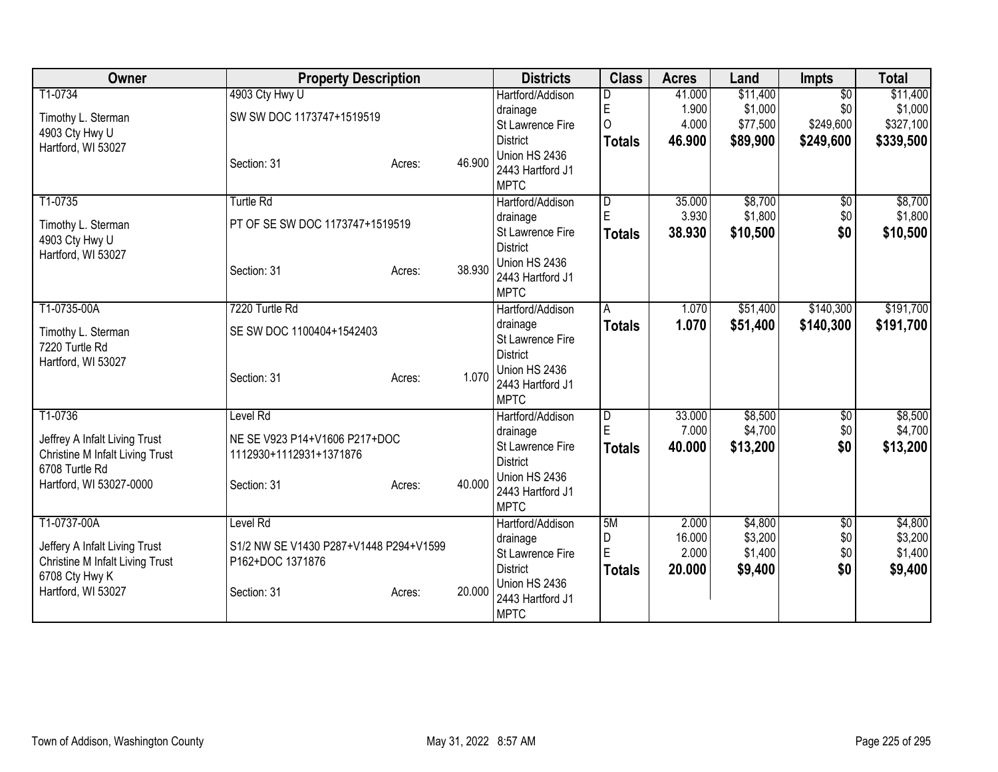| Owner                                             | <b>Property Description</b>            |        |        | <b>Districts</b>                  | <b>Class</b>  | <b>Acres</b> | Land     | <b>Impts</b>    | <b>Total</b> |
|---------------------------------------------------|----------------------------------------|--------|--------|-----------------------------------|---------------|--------------|----------|-----------------|--------------|
| T1-0734                                           | 4903 Cty Hwy U                         |        |        | Hartford/Addison                  | D             | 41.000       | \$11,400 | $\overline{30}$ | \$11,400     |
| Timothy L. Sterman                                | SW SW DOC 1173747+1519519              |        |        | drainage                          | E             | 1.900        | \$1,000  | \$0             | \$1,000      |
| 4903 Cty Hwy U                                    |                                        |        |        | St Lawrence Fire                  | $\Omega$      | 4.000        | \$77,500 | \$249,600       | \$327,100    |
| Hartford, WI 53027                                |                                        |        |        | <b>District</b>                   | <b>Totals</b> | 46.900       | \$89,900 | \$249,600       | \$339,500    |
|                                                   | Section: 31                            | Acres: | 46.900 | Union HS 2436<br>2443 Hartford J1 |               |              |          |                 |              |
|                                                   |                                        |        |        | <b>MPTC</b>                       |               |              |          |                 |              |
| T1-0735                                           | <b>Turtle Rd</b>                       |        |        | Hartford/Addison                  | D             | 35.000       | \$8,700  | $\overline{50}$ | \$8,700      |
|                                                   |                                        |        |        | drainage                          | E             | 3.930        | \$1,800  | \$0             | \$1,800      |
| Timothy L. Sterman                                | PT OF SE SW DOC 1173747+1519519        |        |        | St Lawrence Fire                  | <b>Totals</b> | 38.930       | \$10,500 | \$0             | \$10,500     |
| 4903 Cty Hwy U<br>Hartford, WI 53027              |                                        |        |        | <b>District</b>                   |               |              |          |                 |              |
|                                                   | Section: 31                            | Acres: | 38.930 | Union HS 2436                     |               |              |          |                 |              |
|                                                   |                                        |        |        | 2443 Hartford J1                  |               |              |          |                 |              |
|                                                   |                                        |        |        | <b>MPTC</b>                       |               |              |          |                 |              |
| T1-0735-00A                                       | 7220 Turtle Rd                         |        |        | Hartford/Addison                  | A             | 1.070        | \$51,400 | \$140,300       | \$191,700    |
| Timothy L. Sterman                                | SE SW DOC 1100404+1542403              |        |        | drainage<br>St Lawrence Fire      | Totals        | 1.070        | \$51,400 | \$140,300       | \$191,700    |
| 7220 Turtle Rd                                    |                                        |        |        | <b>District</b>                   |               |              |          |                 |              |
| Hartford, WI 53027                                |                                        |        |        | Union HS 2436                     |               |              |          |                 |              |
|                                                   | Section: 31                            | Acres: | 1.070  | 2443 Hartford J1                  |               |              |          |                 |              |
|                                                   |                                        |        |        | <b>MPTC</b>                       |               |              |          |                 |              |
| T1-0736                                           | Level Rd                               |        |        | Hartford/Addison                  | D             | 33.000       | \$8,500  | $\overline{50}$ | \$8,500      |
| Jeffrey A Infalt Living Trust                     | NE SE V923 P14+V1606 P217+DOC          |        |        | drainage                          | E             | 7.000        | \$4,700  | \$0             | \$4,700      |
| Christine M Infalt Living Trust                   | 1112930+1112931+1371876                |        |        | St Lawrence Fire                  | <b>Totals</b> | 40.000       | \$13,200 | \$0             | \$13,200     |
| 6708 Turtle Rd                                    |                                        |        |        | <b>District</b>                   |               |              |          |                 |              |
| Hartford, WI 53027-0000                           | Section: 31                            | Acres: | 40.000 | Union HS 2436<br>2443 Hartford J1 |               |              |          |                 |              |
|                                                   |                                        |        |        | <b>MPTC</b>                       |               |              |          |                 |              |
| T1-0737-00A                                       | Level Rd                               |        |        | Hartford/Addison                  | 5M            | 2.000        | \$4,800  | \$0             | \$4,800      |
|                                                   |                                        |        |        | drainage                          | D             | 16.000       | \$3,200  | \$0             | \$3,200      |
| Jeffery A Infalt Living Trust                     | S1/2 NW SE V1430 P287+V1448 P294+V1599 |        |        | St Lawrence Fire                  | E             | 2.000        | \$1,400  | \$0             | \$1,400      |
| Christine M Infalt Living Trust<br>6708 Cty Hwy K | P162+DOC 1371876                       |        |        | <b>District</b>                   | Totals        | 20,000       | \$9,400  | \$0             | \$9,400      |
| Hartford, WI 53027                                | Section: 31                            | Acres: | 20.000 | Union HS 2436                     |               |              |          |                 |              |
|                                                   |                                        |        |        | 2443 Hartford J1                  |               |              |          |                 |              |
|                                                   |                                        |        |        | <b>MPTC</b>                       |               |              |          |                 |              |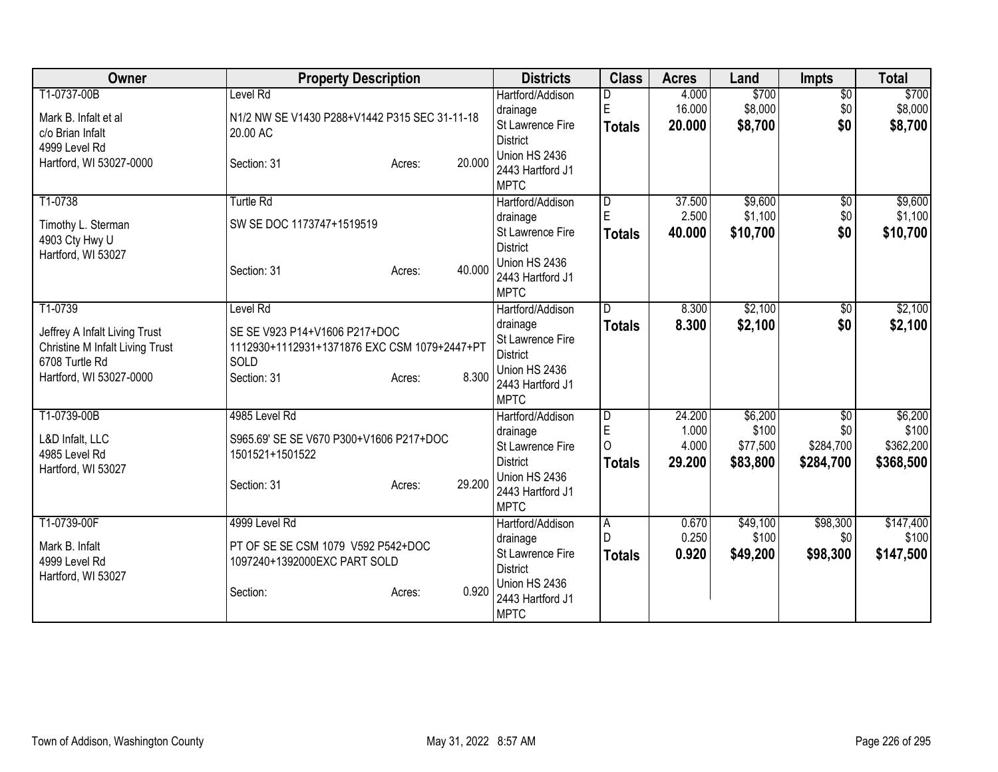| Owner                                                                                                                           | <b>Property Description</b>                                                                                                         | <b>Districts</b>                                                                                                        | <b>Class</b>                                     | <b>Acres</b>                       | Land                                     | <b>Impts</b>                                     | <b>Total</b>                               |
|---------------------------------------------------------------------------------------------------------------------------------|-------------------------------------------------------------------------------------------------------------------------------------|-------------------------------------------------------------------------------------------------------------------------|--------------------------------------------------|------------------------------------|------------------------------------------|--------------------------------------------------|--------------------------------------------|
| T1-0737-00B<br>Mark B. Infalt et al<br>c/o Brian Infalt<br>4999 Level Rd                                                        | Level Rd<br>N1/2 NW SE V1430 P288+V1442 P315 SEC 31-11-18<br>20.00 AC                                                               | Hartford/Addison<br>drainage<br>St Lawrence Fire<br><b>District</b>                                                     | E<br><b>Totals</b>                               | 4.000<br>16.000<br>20.000          | \$700<br>\$8,000<br>\$8,700              | $\overline{50}$<br>\$0<br>\$0                    | \$700<br>\$8,000<br>\$8,700                |
| Hartford, WI 53027-0000                                                                                                         | 20.000<br>Section: 31<br>Acres:                                                                                                     | Union HS 2436<br>2443 Hartford J1<br><b>MPTC</b>                                                                        |                                                  |                                    |                                          |                                                  |                                            |
| T1-0738<br>Timothy L. Sterman<br>4903 Cty Hwy U<br>Hartford, WI 53027                                                           | <b>Turtle Rd</b><br>SW SE DOC 1173747+1519519<br>40.000<br>Section: 31<br>Acres:                                                    | Hartford/Addison<br>drainage<br>St Lawrence Fire<br><b>District</b><br>Union HS 2436<br>2443 Hartford J1<br><b>MPTC</b> | $\overline{D}$<br>E<br><b>Totals</b>             | 37.500<br>2.500<br>40.000          | \$9,600<br>\$1,100<br>\$10,700           | $\overline{50}$<br>\$0<br>\$0                    | \$9,600<br>\$1,100<br>\$10,700             |
| T1-0739<br>Jeffrey A Infalt Living Trust<br><b>Christine M Infalt Living Trust</b><br>6708 Turtle Rd<br>Hartford, WI 53027-0000 | Level Rd<br>SE SE V923 P14+V1606 P217+DOC<br>1112930+1112931+1371876 EXC CSM 1079+2447+PT<br>SOLD<br>8.300<br>Section: 31<br>Acres: | Hartford/Addison<br>drainage<br>St Lawrence Fire<br><b>District</b><br>Union HS 2436<br>2443 Hartford J1<br><b>MPTC</b> | D.<br><b>Totals</b>                              | 8.300<br>8.300                     | \$2,100<br>\$2,100                       | \$0<br>\$0                                       | \$2,100<br>\$2,100                         |
| T1-0739-00B<br>L&D Infalt, LLC<br>4985 Level Rd<br>Hartford, WI 53027                                                           | 4985 Level Rd<br>S965.69' SE SE V670 P300+V1606 P217+DOC<br>1501521+1501522<br>29.200<br>Section: 31<br>Acres:                      | Hartford/Addison<br>drainage<br>St Lawrence Fire<br><b>District</b><br>Union HS 2436<br>2443 Hartford J1<br><b>MPTC</b> | $\overline{D}$<br>E<br>$\Omega$<br><b>Totals</b> | 24.200<br>1.000<br>4.000<br>29.200 | \$6,200<br>\$100<br>\$77,500<br>\$83,800 | $\overline{50}$<br>\$0<br>\$284,700<br>\$284,700 | \$6,200<br>\$100<br>\$362,200<br>\$368,500 |
| T1-0739-00F<br>Mark B. Infalt<br>4999 Level Rd<br>Hartford, WI 53027                                                            | 4999 Level Rd<br>PT OF SE SE CSM 1079 V592 P542+DOC<br>1097240+1392000EXC PART SOLD<br>0.920<br>Section:<br>Acres:                  | Hartford/Addison<br>drainage<br>St Lawrence Fire<br><b>District</b><br>Union HS 2436<br>2443 Hartford J1<br><b>MPTC</b> | A<br>D<br><b>Totals</b>                          | 0.670<br>0.250<br>0.920            | \$49,100<br>\$100<br>\$49,200            | \$98,300<br>\$0<br>\$98,300                      | \$147,400<br>\$100<br>\$147,500            |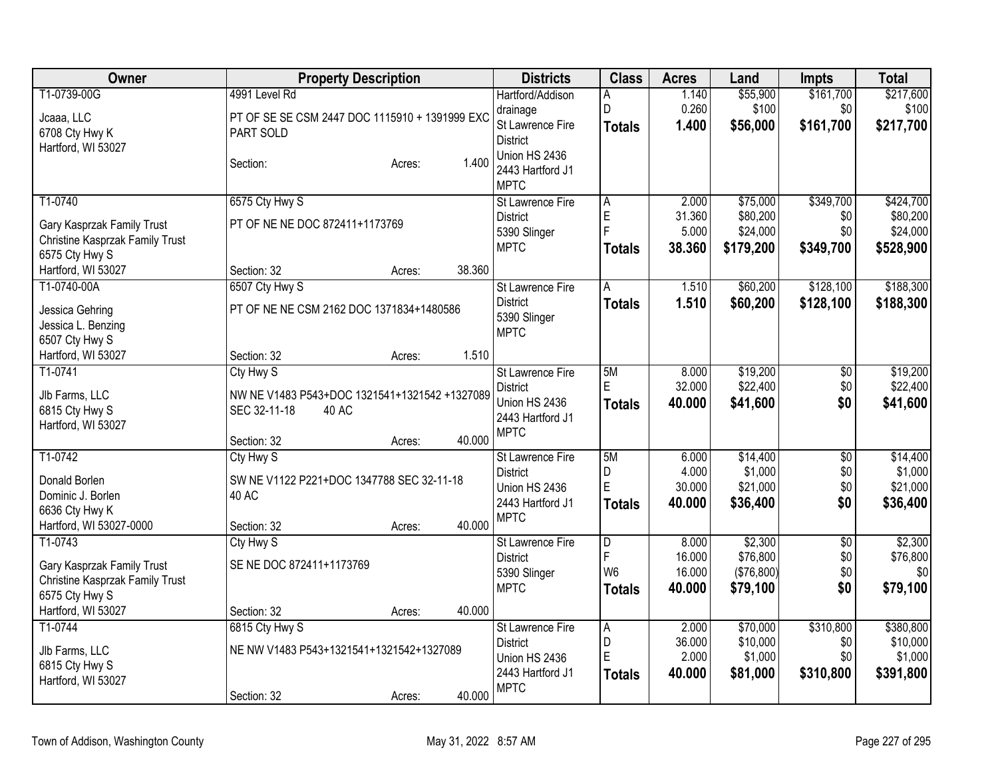| Owner                           | <b>Property Description</b>                    |        |        | <b>Districts</b>                 | <b>Class</b>   | <b>Acres</b> | Land       | <b>Impts</b>    | <b>Total</b> |
|---------------------------------|------------------------------------------------|--------|--------|----------------------------------|----------------|--------------|------------|-----------------|--------------|
| T1-0739-00G                     | 4991 Level Rd                                  |        |        | Hartford/Addison                 | A              | 1.140        | \$55,900   | \$161,700       | \$217,600    |
| Jcaaa, LLC                      | PT OF SE SE CSM 2447 DOC 1115910 + 1391999 EXC |        |        | drainage                         | D              | 0.260        | \$100      | \$0             | \$100        |
| 6708 Cty Hwy K                  | PART SOLD                                      |        |        | St Lawrence Fire                 | <b>Totals</b>  | 1.400        | \$56,000   | \$161,700       | \$217,700    |
| Hartford, WI 53027              |                                                |        |        | <b>District</b><br>Union HS 2436 |                |              |            |                 |              |
|                                 | Section:                                       | Acres: | 1.400  | 2443 Hartford J1                 |                |              |            |                 |              |
|                                 |                                                |        |        | <b>MPTC</b>                      |                |              |            |                 |              |
| T1-0740                         | 6575 Cty Hwy S                                 |        |        | St Lawrence Fire                 | A              | 2.000        | \$75,000   | \$349,700       | \$424,700    |
| Gary Kasprzak Family Trust      | PT OF NE NE DOC 872411+1173769                 |        |        | <b>District</b>                  | E              | 31.360       | \$80,200   | \$0             | \$80,200     |
| Christine Kasprzak Family Trust |                                                |        |        | 5390 Slinger                     | $\overline{F}$ | 5.000        | \$24,000   | \$0             | \$24,000     |
| 6575 Cty Hwy S                  |                                                |        |        | <b>MPTC</b>                      | <b>Totals</b>  | 38.360       | \$179,200  | \$349,700       | \$528,900    |
| Hartford, WI 53027              | Section: 32                                    | Acres: | 38.360 |                                  |                |              |            |                 |              |
| T1-0740-00A                     | 6507 Cty Hwy S                                 |        |        | <b>St Lawrence Fire</b>          | A              | 1.510        | \$60,200   | \$128,100       | \$188,300    |
| Jessica Gehring                 | PT OF NE NE CSM 2162 DOC 1371834+1480586       |        |        | <b>District</b>                  | <b>Totals</b>  | 1.510        | \$60,200   | \$128,100       | \$188,300    |
| Jessica L. Benzing              |                                                |        |        | 5390 Slinger                     |                |              |            |                 |              |
| 6507 Cty Hwy S                  |                                                |        |        | <b>MPTC</b>                      |                |              |            |                 |              |
| Hartford, WI 53027              | Section: 32                                    | Acres: | 1.510  |                                  |                |              |            |                 |              |
| T1-0741                         | Cty Hwy S                                      |        |        | <b>St Lawrence Fire</b>          | 5M             | 8.000        | \$19,200   | $\overline{50}$ | \$19,200     |
| Jlb Farms, LLC                  | NW NE V1483 P543+DOC 1321541+1321542 +1327089  |        |        | <b>District</b>                  | E              | 32.000       | \$22,400   | \$0             | \$22,400     |
| 6815 Cty Hwy S                  | SEC 32-11-18<br>40 AC                          |        |        | Union HS 2436                    | <b>Totals</b>  | 40.000       | \$41,600   | \$0             | \$41,600     |
| Hartford, WI 53027              |                                                |        |        | 2443 Hartford J1                 |                |              |            |                 |              |
|                                 | Section: 32                                    | Acres: | 40.000 | <b>MPTC</b>                      |                |              |            |                 |              |
| T1-0742                         | Cty Hwy S                                      |        |        | <b>St Lawrence Fire</b>          | 5M             | 6.000        | \$14,400   | $\overline{50}$ | \$14,400     |
| Donald Borlen                   | SW NE V1122 P221+DOC 1347788 SEC 32-11-18      |        |        | <b>District</b>                  | D              | 4.000        | \$1,000    | \$0             | \$1,000      |
| Dominic J. Borlen               | 40 AC                                          |        |        | Union HS 2436                    | E              | 30.000       | \$21,000   | \$0             | \$21,000     |
| 6636 Cty Hwy K                  |                                                |        |        | 2443 Hartford J1                 | <b>Totals</b>  | 40.000       | \$36,400   | \$0             | \$36,400     |
| Hartford, WI 53027-0000         | Section: 32                                    | Acres: | 40.000 | <b>MPTC</b>                      |                |              |            |                 |              |
| T1-0743                         | Cty Hwy S                                      |        |        | <b>St Lawrence Fire</b>          | $\overline{D}$ | 8.000        | \$2,300    | $\overline{50}$ | \$2,300      |
| Gary Kasprzak Family Trust      | SE NE DOC 872411+1173769                       |        |        | <b>District</b>                  | F              | 16.000       | \$76,800   | \$0             | \$76,800     |
| Christine Kasprzak Family Trust |                                                |        |        | 5390 Slinger                     | W <sub>6</sub> | 16.000       | (\$76,800) | \$0             | \$0          |
| 6575 Cty Hwy S                  |                                                |        |        | <b>MPTC</b>                      | <b>Totals</b>  | 40.000       | \$79,100   | \$0             | \$79,100     |
| Hartford, WI 53027              | Section: 32                                    | Acres: | 40.000 |                                  |                |              |            |                 |              |
| T1-0744                         | 6815 Cty Hwy S                                 |        |        | St Lawrence Fire                 | $\overline{A}$ | 2.000        | \$70,000   | \$310,800       | \$380,800    |
| Jlb Farms, LLC                  | NE NW V1483 P543+1321541+1321542+1327089       |        |        | <b>District</b>                  | D              | 36.000       | \$10,000   | \$0             | \$10,000     |
| 6815 Cty Hwy S                  |                                                |        |        | Union HS 2436                    | E              | 2.000        | \$1,000    | \$0             | \$1,000      |
| Hartford, WI 53027              |                                                |        |        | 2443 Hartford J1                 | <b>Totals</b>  | 40.000       | \$81,000   | \$310,800       | \$391,800    |
|                                 | Section: 32                                    | Acres: | 40.000 | <b>MPTC</b>                      |                |              |            |                 |              |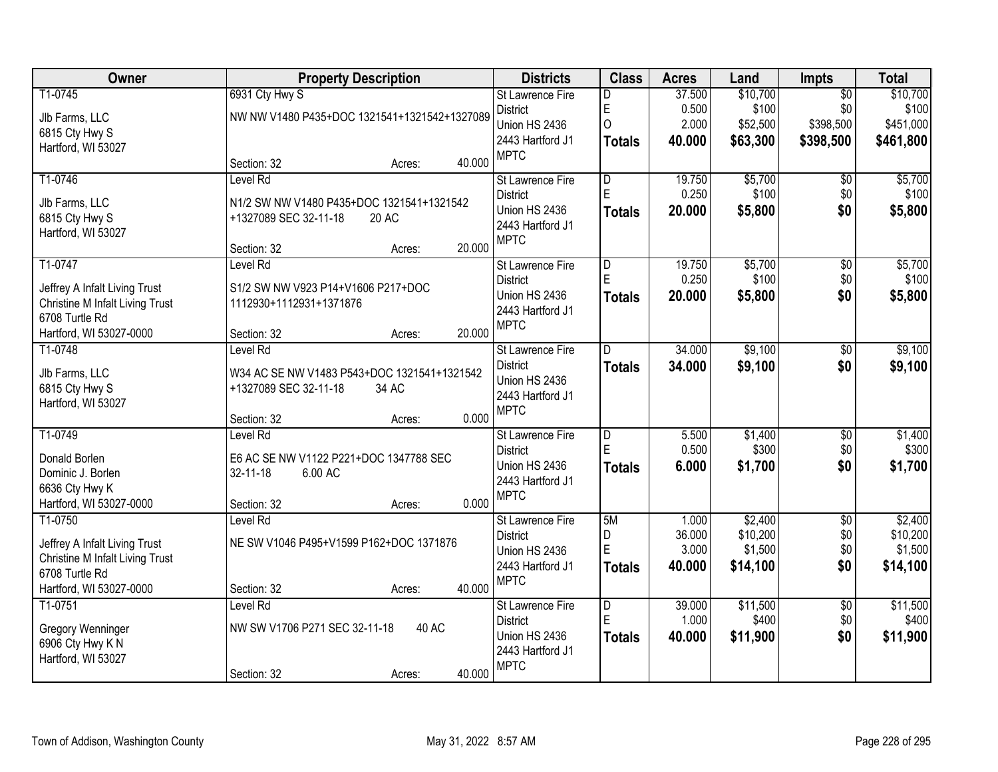| Owner                                                                                                                           | <b>Property Description</b>                                                                                        |        | <b>Districts</b>                                                                               | <b>Class</b>                                   | <b>Acres</b>                       | Land                                       | Impts                                            | <b>Total</b>                                |
|---------------------------------------------------------------------------------------------------------------------------------|--------------------------------------------------------------------------------------------------------------------|--------|------------------------------------------------------------------------------------------------|------------------------------------------------|------------------------------------|--------------------------------------------|--------------------------------------------------|---------------------------------------------|
| T1-0745<br>Jlb Farms, LLC<br>6815 Cty Hwy S<br>Hartford, WI 53027                                                               | 6931 Cty Hwy S<br>NW NW V1480 P435+DOC 1321541+1321542+1327089                                                     |        | St Lawrence Fire<br><b>District</b><br>Union HS 2436<br>2443 Hartford J1<br><b>MPTC</b>        | D<br>E<br>$\overline{O}$<br><b>Totals</b>      | 37.500<br>0.500<br>2.000<br>40.000 | \$10,700<br>\$100<br>\$52,500<br>\$63,300  | $\overline{50}$<br>\$0<br>\$398,500<br>\$398,500 | \$10,700<br>\$100<br>\$451,000<br>\$461,800 |
|                                                                                                                                 | Section: 32<br>Acres:                                                                                              | 40.000 |                                                                                                |                                                |                                    |                                            |                                                  |                                             |
| T1-0746<br>Jlb Farms, LLC<br>6815 Cty Hwy S<br>Hartford, WI 53027                                                               | Level Rd<br>N1/2 SW NW V1480 P435+DOC 1321541+1321542<br>+1327089 SEC 32-11-18<br>20 AC<br>Section: 32<br>Acres:   | 20.000 | <b>St Lawrence Fire</b><br><b>District</b><br>Union HS 2436<br>2443 Hartford J1<br><b>MPTC</b> | $\overline{\mathsf{D}}$<br>E.<br><b>Totals</b> | 19.750<br>0.250<br>20.000          | \$5,700<br>\$100<br>\$5,800                | \$0<br>\$0<br>\$0                                | \$5,700<br>\$100<br>\$5,800                 |
| T1-0747<br>Jeffrey A Infalt Living Trust<br><b>Christine M Infalt Living Trust</b><br>6708 Turtle Rd<br>Hartford, WI 53027-0000 | Level Rd<br>S1/2 SW NW V923 P14+V1606 P217+DOC<br>1112930+1112931+1371876<br>Section: 32<br>Acres:                 | 20.000 | St Lawrence Fire<br><b>District</b><br>Union HS 2436<br>2443 Hartford J1<br><b>MPTC</b>        | D<br>E.<br><b>Totals</b>                       | 19.750<br>0.250<br>20,000          | \$5,700<br>\$100<br>\$5,800                | $\overline{50}$<br>\$0<br>\$0                    | \$5,700<br>\$100<br>\$5,800                 |
| T1-0748<br>Jlb Farms, LLC<br>6815 Cty Hwy S<br>Hartford, WI 53027                                                               | Level Rd<br>W34 AC SE NW V1483 P543+DOC 1321541+1321542<br>+1327089 SEC 32-11-18<br>34 AC<br>Section: 32<br>Acres: | 0.000  | St Lawrence Fire<br><b>District</b><br>Union HS 2436<br>2443 Hartford J1<br><b>MPTC</b>        | D<br><b>Totals</b>                             | 34.000<br>34.000                   | \$9,100<br>\$9,100                         | \$0<br>\$0                                       | \$9,100<br>\$9,100                          |
| T1-0749<br>Donald Borlen<br>Dominic J. Borlen<br>6636 Cty Hwy K<br>Hartford, WI 53027-0000                                      | Level Rd<br>E6 AC SE NW V1122 P221+DOC 1347788 SEC<br>6.00 AC<br>32-11-18<br>Section: 32<br>Acres:                 | 0.000  | St Lawrence Fire<br><b>District</b><br>Union HS 2436<br>2443 Hartford J1<br><b>MPTC</b>        | $\overline{\mathsf{D}}$<br>E<br><b>Totals</b>  | 5.500<br>0.500<br>6.000            | \$1,400<br>\$300<br>\$1,700                | $\overline{50}$<br>\$0<br>\$0                    | \$1,400<br>\$300<br>\$1,700                 |
| T1-0750<br>Jeffrey A Infalt Living Trust<br><b>Christine M Infalt Living Trust</b><br>6708 Turtle Rd<br>Hartford, WI 53027-0000 | Level Rd<br>NE SW V1046 P495+V1599 P162+DOC 1371876<br>Section: 32<br>Acres:                                       | 40.000 | St Lawrence Fire<br><b>District</b><br>Union HS 2436<br>2443 Hartford J1<br><b>MPTC</b>        | 5M<br>D<br>E<br><b>Totals</b>                  | 1.000<br>36.000<br>3.000<br>40.000 | \$2,400<br>\$10,200<br>\$1,500<br>\$14,100 | $\overline{60}$<br>\$0<br>\$0<br>\$0             | \$2,400<br>\$10,200<br>\$1,500<br>\$14,100  |
| T1-0751<br>Gregory Wenninger<br>6906 Cty Hwy KN<br>Hartford, WI 53027                                                           | Level Rd<br>NW SW V1706 P271 SEC 32-11-18<br>40 AC<br>Section: 32<br>Acres:                                        | 40.000 | <b>St Lawrence Fire</b><br><b>District</b><br>Union HS 2436<br>2443 Hartford J1<br><b>MPTC</b> | $\overline{D}$<br>E<br><b>Totals</b>           | 39.000<br>1.000<br>40.000          | \$11,500<br>\$400<br>\$11,900              | $\overline{50}$<br>\$0<br>\$0                    | \$11,500<br>\$400<br>\$11,900               |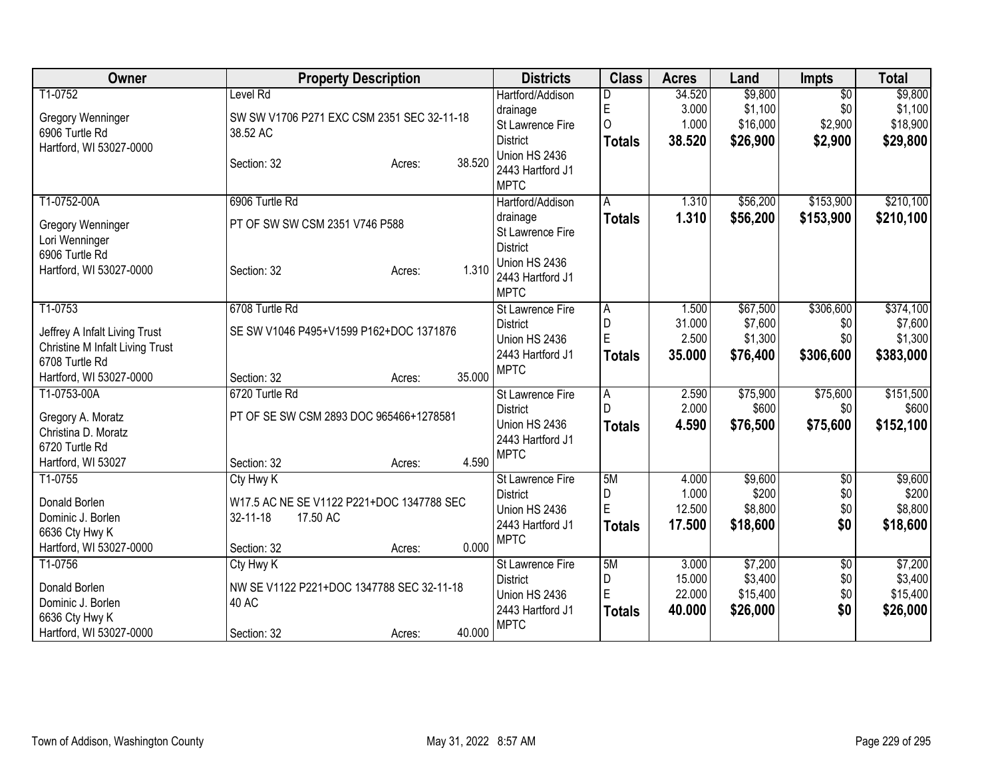| Owner                                  | <b>Property Description</b>                        | <b>Districts</b>                           | <b>Class</b>                   | <b>Acres</b>   | Land              | <b>Impts</b>    | <b>Total</b>       |
|----------------------------------------|----------------------------------------------------|--------------------------------------------|--------------------------------|----------------|-------------------|-----------------|--------------------|
| T1-0752                                | Level Rd                                           | Hartford/Addison                           | D                              | 34.520         | \$9,800           | $\overline{50}$ | \$9,800            |
| <b>Gregory Wenninger</b>               | SW SW V1706 P271 EXC CSM 2351 SEC 32-11-18         | drainage                                   | $\mathsf E$                    | 3.000          | \$1,100           | \$0             | \$1,100            |
| 6906 Turtle Rd                         | 38.52 AC                                           | St Lawrence Fire                           | $\overline{O}$                 | 1.000          | \$16,000          | \$2,900         | \$18,900           |
| Hartford, WI 53027-0000                |                                                    | <b>District</b>                            | <b>Totals</b>                  | 38.520         | \$26,900          | \$2,900         | \$29,800           |
|                                        | 38.520<br>Section: 32<br>Acres:                    | Union HS 2436                              |                                |                |                   |                 |                    |
|                                        |                                                    | 2443 Hartford J1                           |                                |                |                   |                 |                    |
|                                        |                                                    | <b>MPTC</b>                                |                                |                |                   |                 |                    |
| T1-0752-00A                            | 6906 Turtle Rd                                     | Hartford/Addison                           | A                              | 1.310          | \$56,200          | \$153,900       | \$210,100          |
| Gregory Wenninger                      | PT OF SW SW CSM 2351 V746 P588                     | drainage<br>St Lawrence Fire               | <b>Totals</b>                  | 1.310          | \$56,200          | \$153,900       | \$210,100          |
| Lori Wenninger                         |                                                    | <b>District</b>                            |                                |                |                   |                 |                    |
| 6906 Turtle Rd                         |                                                    | Union HS 2436                              |                                |                |                   |                 |                    |
| Hartford, WI 53027-0000                | 1.310<br>Section: 32<br>Acres:                     | 2443 Hartford J1                           |                                |                |                   |                 |                    |
|                                        |                                                    | <b>MPTC</b>                                |                                |                |                   |                 |                    |
| T1-0753                                | 6708 Turtle Rd                                     | St Lawrence Fire                           | ΙA                             | 1.500          | \$67,500          | \$306,600       | \$374,100          |
|                                        |                                                    | <b>District</b>                            | D                              | 31.000         | \$7,600           | \$0             | \$7,600            |
| Jeffrey A Infalt Living Trust          | SE SW V1046 P495+V1599 P162+DOC 1371876            | Union HS 2436                              | E                              | 2.500          | \$1,300           | \$0             | \$1,300            |
| <b>Christine M Infalt Living Trust</b> |                                                    | 2443 Hartford J1                           | <b>Totals</b>                  | 35.000         | \$76,400          | \$306,600       | \$383,000          |
| 6708 Turtle Rd                         | 35.000                                             | <b>MPTC</b>                                |                                |                |                   |                 |                    |
| Hartford, WI 53027-0000                | Section: 32<br>Acres:<br>6720 Turtle Rd            |                                            |                                |                |                   |                 |                    |
| T1-0753-00A                            |                                                    | <b>St Lawrence Fire</b><br><b>District</b> | $\overline{A}$<br>$\mathsf{D}$ | 2.590<br>2.000 | \$75,900<br>\$600 | \$75,600<br>\$0 | \$151,500<br>\$600 |
| Gregory A. Moratz                      | PT OF SE SW CSM 2893 DOC 965466+1278581            | Union HS 2436                              |                                | 4.590          |                   |                 |                    |
| Christina D. Moratz                    |                                                    | 2443 Hartford J1                           | Totals                         |                | \$76,500          | \$75,600        | \$152,100          |
| 6720 Turtle Rd                         |                                                    | <b>MPTC</b>                                |                                |                |                   |                 |                    |
| Hartford, WI 53027                     | 4.590<br>Section: 32<br>Acres:                     |                                            |                                |                |                   |                 |                    |
| T1-0755                                | Cty Hwy K                                          | St Lawrence Fire                           | 5M                             | 4.000          | \$9,600           | $\overline{50}$ | \$9,600            |
| Donald Borlen                          | W17.5 AC NE SE V1122 P221+DOC 1347788 SEC          | <b>District</b>                            | D                              | 1.000          | \$200             | \$0             | \$200              |
| Dominic J. Borlen                      | 32-11-18<br>17.50 AC                               | Union HS 2436                              | $\mathsf{E}$                   | 12.500         | \$8,800           | \$0             | \$8,800            |
| 6636 Cty Hwy K                         |                                                    | 2443 Hartford J1                           | Totals                         | 17.500         | \$18,600          | \$0             | \$18,600           |
| Hartford, WI 53027-0000                | 0.000<br>Section: 32<br>Acres:                     | <b>MPTC</b>                                |                                |                |                   |                 |                    |
| T1-0756                                | Cty Hwy K                                          | St Lawrence Fire                           | 5M                             | 3.000          | \$7,200           | $\overline{50}$ | \$7,200            |
|                                        |                                                    | <b>District</b>                            | D                              | 15.000         | \$3,400           | \$0             | \$3,400            |
| Donald Borlen<br>Dominic J. Borlen     | NW SE V1122 P221+DOC 1347788 SEC 32-11-18<br>40 AC | Union HS 2436                              | $\mathsf E$                    | 22.000         | \$15,400          | \$0             | \$15,400           |
| 6636 Cty Hwy K                         |                                                    | 2443 Hartford J1                           | <b>Totals</b>                  | 40.000         | \$26,000          | \$0             | \$26,000           |
| Hartford, WI 53027-0000                | 40.000<br>Section: 32<br>Acres:                    | <b>MPTC</b>                                |                                |                |                   |                 |                    |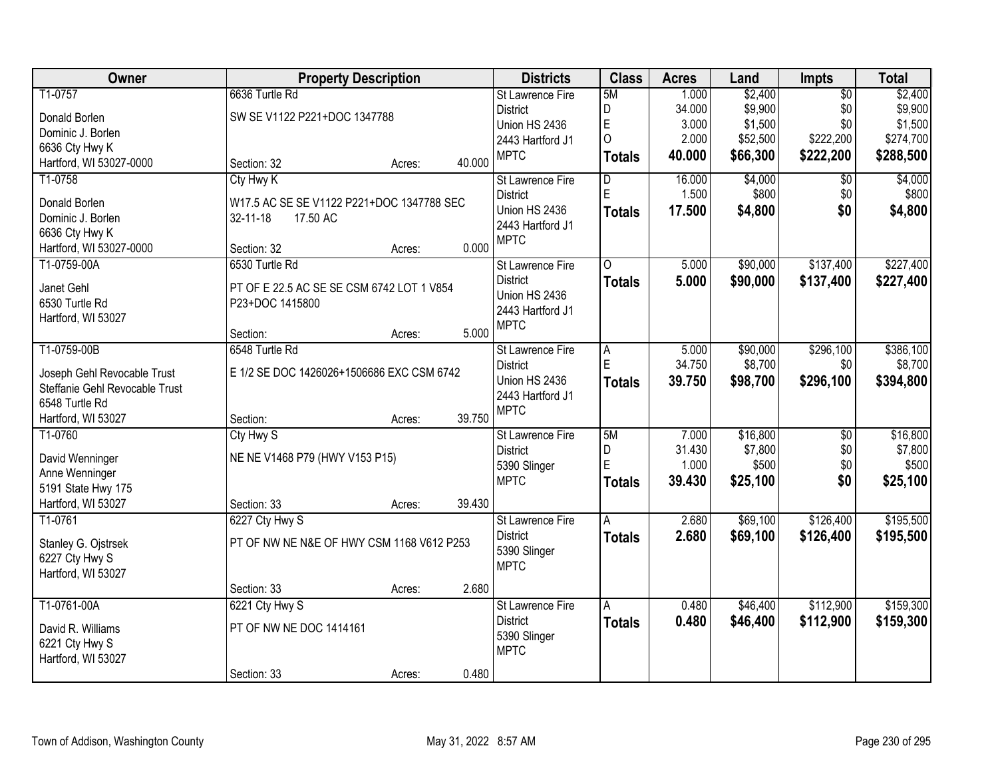| Owner                          | <b>Property Description</b>               |        |        | <b>Districts</b>                | <b>Class</b>            | <b>Acres</b> | Land     | Impts           | <b>Total</b> |
|--------------------------------|-------------------------------------------|--------|--------|---------------------------------|-------------------------|--------------|----------|-----------------|--------------|
| T1-0757                        | 6636 Turtle Rd                            |        |        | <b>St Lawrence Fire</b>         | 5M                      | 1.000        | \$2,400  | $\overline{50}$ | \$2,400      |
| Donald Borlen                  | SW SE V1122 P221+DOC 1347788              |        |        | <b>District</b>                 | D                       | 34.000       | \$9,900  | \$0             | \$9,900      |
| Dominic J. Borlen              |                                           |        |        | Union HS 2436                   | E                       | 3.000        | \$1,500  | \$0             | \$1,500      |
| 6636 Cty Hwy K                 |                                           |        |        | 2443 Hartford J1                | $\overline{O}$          | 2.000        | \$52,500 | \$222,200       | \$274,700    |
| Hartford, WI 53027-0000        | Section: 32                               | Acres: | 40.000 | <b>MPTC</b>                     | <b>Totals</b>           | 40.000       | \$66,300 | \$222,200       | \$288,500    |
| T1-0758                        | Cty Hwy K                                 |        |        | St Lawrence Fire                | $\overline{\mathsf{D}}$ | 16.000       | \$4,000  | \$0             | \$4,000      |
| Donald Borlen                  | W17.5 AC SE SE V1122 P221+DOC 1347788 SEC |        |        | <b>District</b>                 | E                       | 1.500        | \$800    | \$0             | \$800        |
| Dominic J. Borlen              | $32 - 11 - 18$<br>17.50 AC                |        |        | Union HS 2436                   | <b>Totals</b>           | 17.500       | \$4,800  | \$0             | \$4,800      |
| 6636 Cty Hwy K                 |                                           |        |        | 2443 Hartford J1                |                         |              |          |                 |              |
| Hartford, WI 53027-0000        | Section: 32                               | Acres: | 0.000  | <b>MPTC</b>                     |                         |              |          |                 |              |
| T1-0759-00A                    | 6530 Turtle Rd                            |        |        | St Lawrence Fire                | 0                       | 5.000        | \$90,000 | \$137,400       | \$227,400    |
|                                |                                           |        |        | <b>District</b>                 | <b>Totals</b>           | 5.000        | \$90,000 | \$137,400       | \$227,400    |
| Janet Gehl                     | PT OF E 22.5 AC SE SE CSM 6742 LOT 1 V854 |        |        | Union HS 2436                   |                         |              |          |                 |              |
| 6530 Turtle Rd                 | P23+DOC 1415800                           |        |        | 2443 Hartford J1                |                         |              |          |                 |              |
| Hartford, WI 53027             |                                           |        |        | <b>MPTC</b>                     |                         |              |          |                 |              |
|                                | Section:                                  | Acres: | 5.000  |                                 |                         |              |          |                 |              |
| T1-0759-00B                    | 6548 Turtle Rd                            |        |        | St Lawrence Fire                | A                       | 5.000        | \$90,000 | \$296,100       | \$386,100    |
| Joseph Gehl Revocable Trust    | E 1/2 SE DOC 1426026+1506686 EXC CSM 6742 |        |        | <b>District</b>                 | E                       | 34.750       | \$8,700  | \$0             | \$8,700      |
| Steffanie Gehl Revocable Trust |                                           |        |        | Union HS 2436                   | <b>Totals</b>           | 39.750       | \$98,700 | \$296,100       | \$394,800    |
| 6548 Turtle Rd                 |                                           |        |        | 2443 Hartford J1<br><b>MPTC</b> |                         |              |          |                 |              |
| Hartford, WI 53027             | Section:                                  | Acres: | 39.750 |                                 |                         |              |          |                 |              |
| T1-0760                        | Cty Hwy S                                 |        |        | St Lawrence Fire                | 5M                      | 7.000        | \$16,800 | $\overline{30}$ | \$16,800     |
| David Wenninger                | NE NE V1468 P79 (HWY V153 P15)            |        |        | <b>District</b>                 | D                       | 31.430       | \$7,800  | \$0             | \$7,800      |
| Anne Wenninger                 |                                           |        |        | 5390 Slinger                    | Ė                       | 1.000        | \$500    | \$0             | \$500        |
| 5191 State Hwy 175             |                                           |        |        | <b>MPTC</b>                     | <b>Totals</b>           | 39.430       | \$25,100 | \$0             | \$25,100     |
| Hartford, WI 53027             | Section: 33                               | Acres: | 39.430 |                                 |                         |              |          |                 |              |
| T1-0761                        | 6227 Cty Hwy S                            |        |        | <b>St Lawrence Fire</b>         | A                       | 2.680        | \$69,100 | \$126,400       | \$195,500    |
| Stanley G. Ojstrsek            | PT OF NW NE N&E OF HWY CSM 1168 V612 P253 |        |        | <b>District</b>                 | <b>Totals</b>           | 2.680        | \$69,100 | \$126,400       | \$195,500    |
| 6227 Cty Hwy S                 |                                           |        |        | 5390 Slinger                    |                         |              |          |                 |              |
| Hartford, WI 53027             |                                           |        |        | <b>MPTC</b>                     |                         |              |          |                 |              |
|                                | Section: 33                               | Acres: | 2.680  |                                 |                         |              |          |                 |              |
| T1-0761-00A                    | 6221 Cty Hwy S                            |        |        | St Lawrence Fire                | A                       | 0.480        | \$46,400 | \$112,900       | \$159,300    |
|                                |                                           |        |        | <b>District</b>                 | <b>Totals</b>           | 0.480        | \$46,400 | \$112,900       | \$159,300    |
| David R. Williams              | PT OF NW NE DOC 1414161                   |        |        | 5390 Slinger                    |                         |              |          |                 |              |
| 6221 Cty Hwy S                 |                                           |        |        | <b>MPTC</b>                     |                         |              |          |                 |              |
| Hartford, WI 53027             |                                           |        |        |                                 |                         |              |          |                 |              |
|                                | Section: 33                               | Acres: | 0.480  |                                 |                         |              |          |                 |              |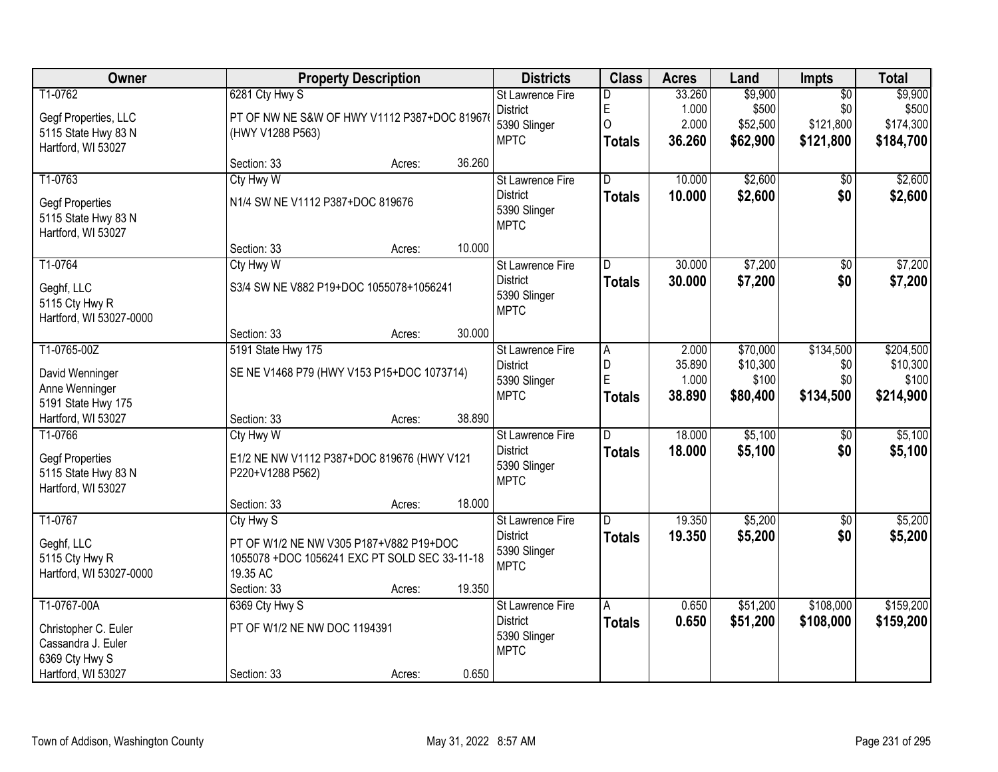| Owner                                                                          |                                                                                                                                  | <b>Property Description</b> |        | <b>Districts</b>                                                          | <b>Class</b>                              | <b>Acres</b>                       | Land                                      | Impts                                            | <b>Total</b>                                |
|--------------------------------------------------------------------------------|----------------------------------------------------------------------------------------------------------------------------------|-----------------------------|--------|---------------------------------------------------------------------------|-------------------------------------------|------------------------------------|-------------------------------------------|--------------------------------------------------|---------------------------------------------|
| T1-0762<br>Gegf Properties, LLC<br>5115 State Hwy 83 N<br>Hartford, WI 53027   | 6281 Cty Hwy S<br>PT OF NW NE S&W OF HWY V1112 P387+DOC 81967<br>(HWY V1288 P563)                                                |                             |        | <b>St Lawrence Fire</b><br><b>District</b><br>5390 Slinger<br><b>MPTC</b> | D<br>E<br>$\overline{O}$<br><b>Totals</b> | 33.260<br>1.000<br>2.000<br>36.260 | \$9,900<br>\$500<br>\$52,500<br>\$62,900  | $\overline{50}$<br>\$0<br>\$121,800<br>\$121,800 | \$9,900<br>\$500<br>\$174,300<br>\$184,700  |
|                                                                                | Section: 33                                                                                                                      | Acres:                      | 36.260 |                                                                           |                                           |                                    |                                           |                                                  |                                             |
| T1-0763<br><b>Gegf Properties</b><br>5115 State Hwy 83 N<br>Hartford, WI 53027 | Cty Hwy W<br>N1/4 SW NE V1112 P387+DOC 819676                                                                                    |                             |        | St Lawrence Fire<br><b>District</b><br>5390 Slinger<br><b>MPTC</b>        | $\overline{D}$<br><b>Totals</b>           | 10.000<br>10.000                   | \$2,600<br>\$2,600                        | \$0<br>\$0                                       | \$2,600<br>\$2,600                          |
|                                                                                | Section: 33                                                                                                                      | Acres:                      | 10.000 |                                                                           |                                           |                                    |                                           |                                                  |                                             |
| T1-0764<br>Geghf, LLC<br>5115 Cty Hwy R<br>Hartford, WI 53027-0000             | Cty Hwy W<br>S3/4 SW NE V882 P19+DOC 1055078+1056241                                                                             |                             |        | St Lawrence Fire<br><b>District</b><br>5390 Slinger<br><b>MPTC</b>        | D<br><b>Totals</b>                        | 30.000<br>30.000                   | \$7,200<br>\$7,200                        | \$0<br>\$0                                       | \$7,200<br>\$7,200                          |
|                                                                                | Section: 33                                                                                                                      | Acres:                      | 30.000 |                                                                           |                                           |                                    |                                           |                                                  |                                             |
| T1-0765-00Z<br>David Wenninger<br>Anne Wenninger<br>5191 State Hwy 175         | 5191 State Hwy 175<br>SE NE V1468 P79 (HWY V153 P15+DOC 1073714)                                                                 |                             |        | <b>St Lawrence Fire</b><br><b>District</b><br>5390 Slinger<br><b>MPTC</b> | $\overline{A}$<br>D<br>E<br><b>Totals</b> | 2.000<br>35.890<br>1.000<br>38.890 | \$70,000<br>\$10,300<br>\$100<br>\$80,400 | \$134,500<br>\$0<br>\$0<br>\$134,500             | \$204,500<br>\$10,300<br>\$100<br>\$214,900 |
| Hartford, WI 53027                                                             | Section: 33                                                                                                                      | Acres:                      | 38.890 |                                                                           |                                           |                                    |                                           |                                                  |                                             |
| T1-0766<br><b>Gegf Properties</b><br>5115 State Hwy 83 N<br>Hartford, WI 53027 | Cty Hwy W<br>E1/2 NE NW V1112 P387+DOC 819676 (HWY V121<br>P220+V1288 P562)                                                      |                             |        | St Lawrence Fire<br><b>District</b><br>5390 Slinger<br><b>MPTC</b>        | D<br><b>Totals</b>                        | 18.000<br>18.000                   | \$5,100<br>\$5,100                        | $\overline{50}$<br>\$0                           | \$5,100<br>\$5,100                          |
|                                                                                | Section: 33                                                                                                                      | Acres:                      | 18.000 |                                                                           |                                           |                                    |                                           |                                                  |                                             |
| T1-0767<br>Geghf, LLC<br>5115 Cty Hwy R<br>Hartford, WI 53027-0000             | Cty Hwy S<br>PT OF W1/2 NE NW V305 P187+V882 P19+DOC<br>1055078 +DOC 1056241 EXC PT SOLD SEC 33-11-18<br>19.35 AC<br>Section: 33 | Acres:                      | 19.350 | <b>St Lawrence Fire</b><br><b>District</b><br>5390 Slinger<br><b>MPTC</b> | D.<br><b>Totals</b>                       | 19.350<br>19.350                   | \$5,200<br>\$5,200                        | $\overline{50}$<br>\$0                           | \$5,200<br>\$5,200                          |
| T1-0767-00A                                                                    | 6369 Cty Hwy S                                                                                                                   |                             |        | <b>St Lawrence Fire</b>                                                   | A                                         | 0.650                              | \$51,200                                  | \$108,000                                        | \$159,200                                   |
| Christopher C. Euler<br>Cassandra J. Euler<br>6369 Cty Hwy S                   | PT OF W1/2 NE NW DOC 1194391                                                                                                     |                             |        | <b>District</b><br>5390 Slinger<br><b>MPTC</b>                            | <b>Totals</b>                             | 0.650                              | \$51,200                                  | \$108,000                                        | \$159,200                                   |
| Hartford, WI 53027                                                             | Section: 33                                                                                                                      | Acres:                      | 0.650  |                                                                           |                                           |                                    |                                           |                                                  |                                             |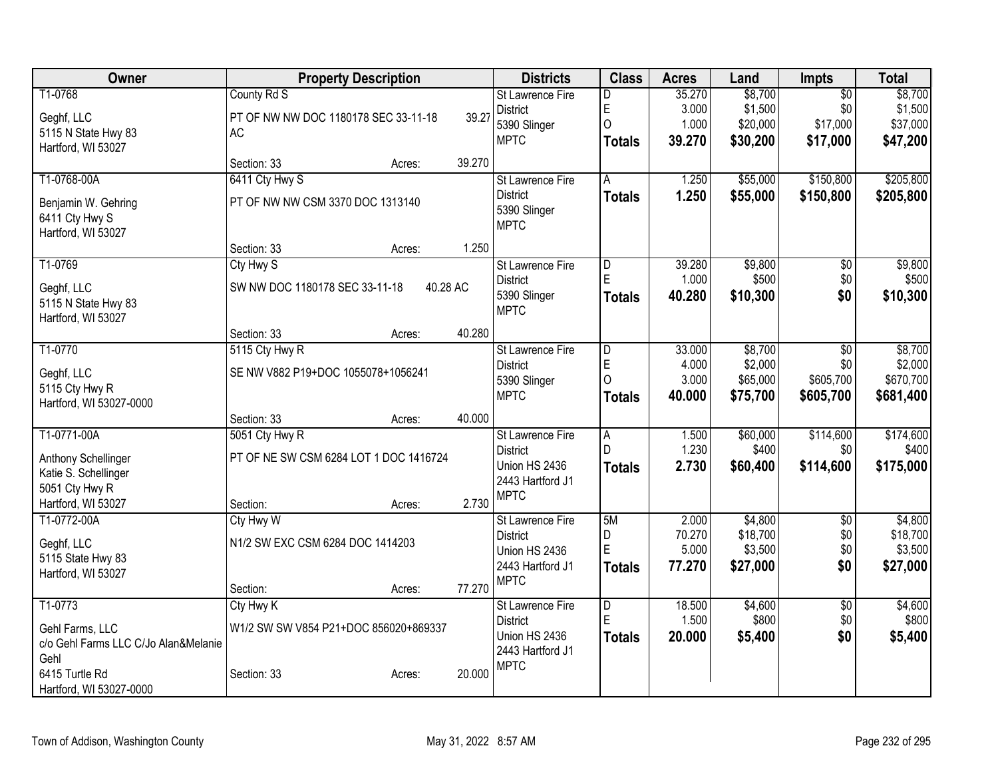| Owner                                                   | <b>Property Description</b>            |          | <b>Districts</b>        | <b>Class</b>            | <b>Acres</b> | Land     | <b>Impts</b>    | <b>Total</b> |
|---------------------------------------------------------|----------------------------------------|----------|-------------------------|-------------------------|--------------|----------|-----------------|--------------|
| T1-0768                                                 | County Rd S                            |          | <b>St Lawrence Fire</b> | D                       | 35.270       | \$8,700  | $\overline{50}$ | \$8,700      |
| Geghf, LLC                                              | PT OF NW NW DOC 1180178 SEC 33-11-18   | 39.27    | <b>District</b>         | E                       | 3.000        | \$1,500  | \$0             | \$1,500      |
| 5115 N State Hwy 83                                     | <b>AC</b>                              |          | 5390 Slinger            | 0                       | 1.000        | \$20,000 | \$17,000        | \$37,000     |
| Hartford, WI 53027                                      |                                        |          | <b>MPTC</b>             | <b>Totals</b>           | 39.270       | \$30,200 | \$17,000        | \$47,200     |
|                                                         | Section: 33<br>Acres:                  | 39.270   |                         |                         |              |          |                 |              |
| T1-0768-00A                                             | 6411 Cty Hwy S                         |          | St Lawrence Fire        | A                       | 1.250        | \$55,000 | \$150,800       | \$205,800    |
| Benjamin W. Gehring                                     | PT OF NW NW CSM 3370 DOC 1313140       |          | <b>District</b>         | <b>Totals</b>           | 1.250        | \$55,000 | \$150,800       | \$205,800    |
| 6411 Cty Hwy S                                          |                                        |          | 5390 Slinger            |                         |              |          |                 |              |
| Hartford, WI 53027                                      |                                        |          | <b>MPTC</b>             |                         |              |          |                 |              |
|                                                         | Section: 33<br>Acres:                  | 1.250    |                         |                         |              |          |                 |              |
| T1-0769                                                 | Cty Hwy S                              |          | St Lawrence Fire        | D                       | 39.280       | \$9,800  | \$0             | \$9,800      |
| Geghf, LLC                                              | SW NW DOC 1180178 SEC 33-11-18         | 40.28 AC | <b>District</b>         | E                       | 1.000        | \$500    | \$0             | \$500        |
| 5115 N State Hwy 83                                     |                                        |          | 5390 Slinger            | <b>Totals</b>           | 40.280       | \$10,300 | \$0             | \$10,300     |
| Hartford, WI 53027                                      |                                        |          | <b>MPTC</b>             |                         |              |          |                 |              |
|                                                         | Section: 33<br>Acres:                  | 40.280   |                         |                         |              |          |                 |              |
| T1-0770                                                 | 5115 Cty Hwy R                         |          | <b>St Lawrence Fire</b> | $\overline{D}$          | 33.000       | \$8,700  | $\overline{50}$ | \$8,700      |
| Geghf, LLC                                              | SE NW V882 P19+DOC 1055078+1056241     |          | <b>District</b>         | E                       | 4.000        | \$2,000  | \$0             | \$2,000      |
| 5115 Cty Hwy R                                          |                                        |          | 5390 Slinger            | 0                       | 3.000        | \$65,000 | \$605,700       | \$670,700    |
| Hartford, WI 53027-0000                                 |                                        |          | <b>MPTC</b>             | <b>Totals</b>           | 40.000       | \$75,700 | \$605,700       | \$681,400    |
|                                                         | Section: 33<br>Acres:                  | 40.000   |                         |                         |              |          |                 |              |
| T1-0771-00A                                             | 5051 Cty Hwy R                         |          | St Lawrence Fire        | $\overline{A}$          | 1.500        | \$60,000 | \$114,600       | \$174,600    |
| Anthony Schellinger                                     | PT OF NE SW CSM 6284 LOT 1 DOC 1416724 |          | <b>District</b>         | D                       | 1.230        | \$400    | \$0             | \$400        |
| Katie S. Schellinger                                    |                                        |          | Union HS 2436           | <b>Totals</b>           | 2.730        | \$60,400 | \$114,600       | \$175,000    |
| 5051 Cty Hwy R                                          |                                        |          | 2443 Hartford J1        |                         |              |          |                 |              |
| Hartford, WI 53027                                      | Section:<br>Acres:                     | 2.730    | <b>MPTC</b>             |                         |              |          |                 |              |
| T1-0772-00A                                             | Cty Hwy W                              |          | <b>St Lawrence Fire</b> | 5M                      | 2.000        | \$4,800  | $\overline{50}$ | \$4,800      |
|                                                         | N1/2 SW EXC CSM 6284 DOC 1414203       |          | <b>District</b>         | D                       | 70.270       | \$18,700 | \$0             | \$18,700     |
| Geghf, LLC<br>5115 State Hwy 83                         |                                        |          | Union HS 2436           | E                       | 5.000        | \$3,500  | \$0             | \$3,500      |
| Hartford, WI 53027                                      |                                        |          | 2443 Hartford J1        | <b>Totals</b>           | 77.270       | \$27,000 | \$0             | \$27,000     |
|                                                         | Section:<br>Acres:                     | 77.270   | <b>MPTC</b>             |                         |              |          |                 |              |
| T1-0773                                                 | Cty Hwy K                              |          | St Lawrence Fire        | $\overline{\mathsf{D}}$ | 18.500       | \$4,600  | $\overline{50}$ | \$4,600      |
|                                                         |                                        |          | <b>District</b>         | Ė                       | 1.500        | \$800    | \$0             | \$800        |
| Gehl Farms, LLC<br>c/o Gehl Farms LLC C/Jo Alan&Melanie | W1/2 SW SW V854 P21+DOC 856020+869337  |          | Union HS 2436           | <b>Totals</b>           | 20.000       | \$5,400  | \$0             | \$5,400      |
| Gehl                                                    |                                        |          | 2443 Hartford J1        |                         |              |          |                 |              |
| 6415 Turtle Rd                                          | Section: 33<br>Acres:                  | 20.000   | <b>MPTC</b>             |                         |              |          |                 |              |
| Hartford, WI 53027-0000                                 |                                        |          |                         |                         |              |          |                 |              |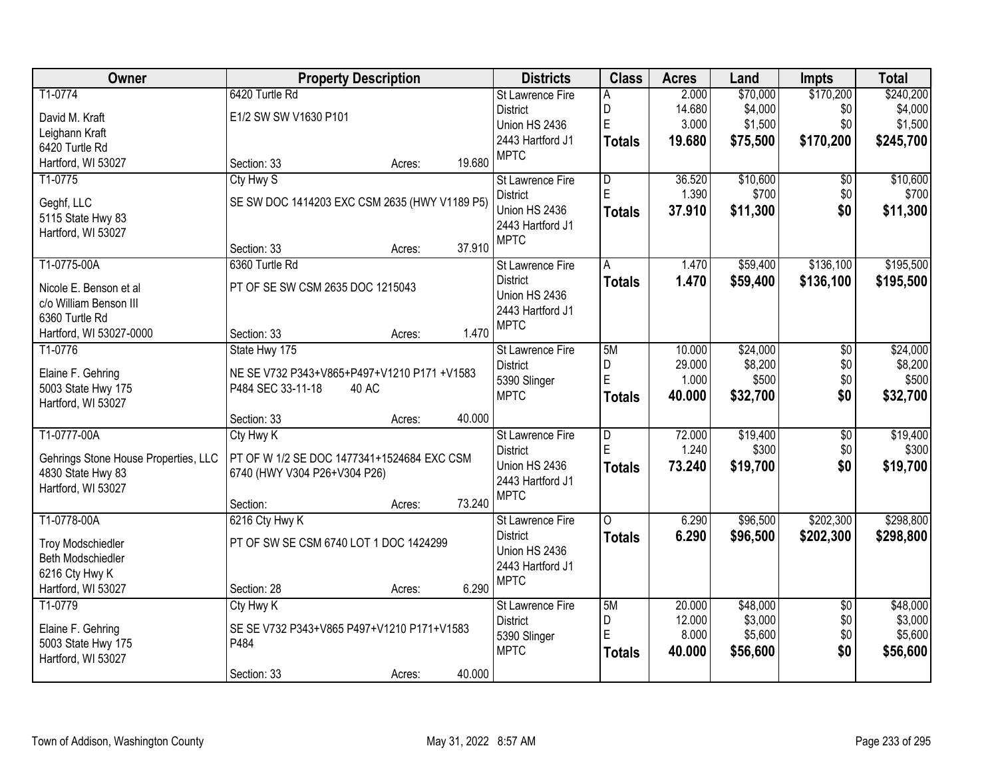| Owner                                | <b>Property Description</b>                   |        |        | <b>Districts</b>                    | <b>Class</b>            | <b>Acres</b> | Land     | <b>Impts</b>    | <b>Total</b> |
|--------------------------------------|-----------------------------------------------|--------|--------|-------------------------------------|-------------------------|--------------|----------|-----------------|--------------|
| T1-0774                              | 6420 Turtle Rd                                |        |        | St Lawrence Fire                    | A                       | 2.000        | \$70,000 | \$170,200       | \$240,200    |
| David M. Kraft                       | E1/2 SW SW V1630 P101                         |        |        | <b>District</b>                     | D                       | 14.680       | \$4,000  | \$0             | \$4,000      |
| Leighann Kraft                       |                                               |        |        | Union HS 2436                       | E                       | 3.000        | \$1,500  | \$0             | \$1,500      |
| 6420 Turtle Rd                       |                                               |        |        | 2443 Hartford J1                    | <b>Totals</b>           | 19.680       | \$75,500 | \$170,200       | \$245,700    |
| Hartford, WI 53027                   | Section: 33                                   | Acres: | 19.680 | <b>MPTC</b>                         |                         |              |          |                 |              |
| T1-0775                              | Cty Hwy S                                     |        |        | St Lawrence Fire                    | $\overline{D}$          | 36.520       | \$10,600 | \$0             | \$10,600     |
|                                      |                                               |        |        | <b>District</b>                     | E                       | 1.390        | \$700    | \$0             | \$700        |
| Geghf, LLC                           | SE SW DOC 1414203 EXC CSM 2635 (HWY V1189 P5) |        |        | Union HS 2436                       | <b>Totals</b>           | 37.910       | \$11,300 | \$0             | \$11,300     |
| 5115 State Hwy 83                    |                                               |        |        | 2443 Hartford J1                    |                         |              |          |                 |              |
| Hartford, WI 53027                   |                                               |        |        | <b>MPTC</b>                         |                         |              |          |                 |              |
|                                      | Section: 33                                   | Acres: | 37.910 |                                     |                         |              |          |                 |              |
| T1-0775-00A                          | 6360 Turtle Rd                                |        |        | St Lawrence Fire                    | A                       | 1.470        | \$59,400 | \$136,100       | \$195,500    |
| Nicole E. Benson et al               | PT OF SE SW CSM 2635 DOC 1215043              |        |        | <b>District</b><br>Union HS 2436    | <b>Totals</b>           | 1.470        | \$59,400 | \$136,100       | \$195,500    |
| c/o William Benson III               |                                               |        |        | 2443 Hartford J1                    |                         |              |          |                 |              |
| 6360 Turtle Rd                       |                                               |        |        | <b>MPTC</b>                         |                         |              |          |                 |              |
| Hartford, WI 53027-0000              | Section: 33                                   | Acres: | 1.470  |                                     |                         |              |          |                 |              |
| T1-0776                              | State Hwy 175                                 |        |        | St Lawrence Fire                    | 5M                      | 10.000       | \$24,000 | \$0             | \$24,000     |
| Elaine F. Gehring                    | NE SE V732 P343+V865+P497+V1210 P171 +V1583   |        |        | <b>District</b>                     | D                       | 29.000       | \$8,200  | \$0             | \$8,200      |
| 5003 State Hwy 175                   | P484 SEC 33-11-18<br>40 AC                    |        |        | 5390 Slinger                        | E                       | 1.000        | \$500    | \$0             | \$500        |
| Hartford, WI 53027                   |                                               |        |        | <b>MPTC</b>                         | <b>Totals</b>           | 40.000       | \$32,700 | \$0             | \$32,700     |
|                                      | Section: 33                                   | Acres: | 40.000 |                                     |                         |              |          |                 |              |
| T1-0777-00A                          | Cty Hwy K                                     |        |        | St Lawrence Fire                    | $\overline{\mathsf{D}}$ | 72.000       | \$19,400 | $\overline{50}$ | \$19,400     |
|                                      |                                               |        |        | <b>District</b>                     | Ė                       | 1.240        | \$300    | \$0             | \$300        |
| Gehrings Stone House Properties, LLC | PT OF W 1/2 SE DOC 1477341+1524684 EXC CSM    |        |        | Union HS 2436                       | <b>Totals</b>           | 73.240       | \$19,700 | \$0             | \$19,700     |
| 4830 State Hwy 83                    | 6740 (HWY V304 P26+V304 P26)                  |        |        | 2443 Hartford J1                    |                         |              |          |                 |              |
| Hartford, WI 53027                   |                                               |        | 73.240 | <b>MPTC</b>                         |                         |              |          |                 |              |
| T1-0778-00A                          | Section:                                      | Acres: |        |                                     | $\Omega$                | 6.290        | \$96,500 |                 | \$298,800    |
|                                      | 6216 Cty Hwy K                                |        |        | St Lawrence Fire<br><b>District</b> |                         |              |          | \$202,300       |              |
| <b>Troy Modschiedler</b>             | PT OF SW SE CSM 6740 LOT 1 DOC 1424299        |        |        | Union HS 2436                       | <b>Totals</b>           | 6.290        | \$96,500 | \$202,300       | \$298,800    |
| Beth Modschiedler                    |                                               |        |        | 2443 Hartford J1                    |                         |              |          |                 |              |
| 6216 Cty Hwy K                       |                                               |        |        | <b>MPTC</b>                         |                         |              |          |                 |              |
| Hartford, WI 53027                   | Section: 28                                   | Acres: | 6.290  |                                     |                         |              |          |                 |              |
| T1-0779                              | Cty Hwy K                                     |        |        | <b>St Lawrence Fire</b>             | 5M                      | 20.000       | \$48,000 | $\overline{30}$ | \$48,000     |
| Elaine F. Gehring                    | SE SE V732 P343+V865 P497+V1210 P171+V1583    |        |        | <b>District</b>                     | D                       | 12.000       | \$3,000  | \$0             | \$3,000      |
| 5003 State Hwy 175                   | P484                                          |        |        | 5390 Slinger                        | E                       | 8.000        | \$5,600  | \$0             | \$5,600      |
| Hartford, WI 53027                   |                                               |        |        | <b>MPTC</b>                         | <b>Totals</b>           | 40.000       | \$56,600 | \$0             | \$56,600     |
|                                      | Section: 33                                   | Acres: | 40.000 |                                     |                         |              |          |                 |              |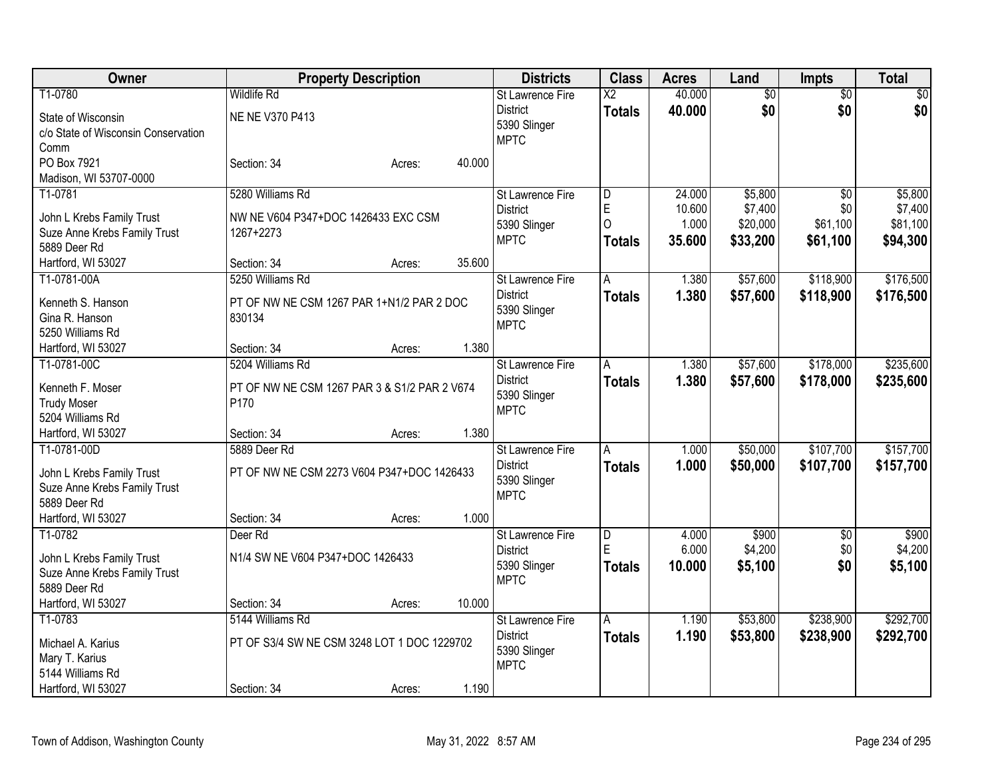| Owner                               |                                              | <b>Property Description</b> |        | <b>Districts</b>            | <b>Class</b>           | <b>Acres</b> | Land            | <b>Impts</b>    | Total           |
|-------------------------------------|----------------------------------------------|-----------------------------|--------|-----------------------------|------------------------|--------------|-----------------|-----------------|-----------------|
| T1-0780                             | <b>Wildlife Rd</b>                           |                             |        | <b>St Lawrence Fire</b>     | $\overline{\text{X2}}$ | 40.000       | $\overline{50}$ | $\overline{50}$ | $\overline{50}$ |
| State of Wisconsin                  | NE NE V370 P413                              |                             |        | <b>District</b>             | Totals                 | 40.000       | \$0             | \$0             | \$0             |
| c/o State of Wisconsin Conservation |                                              |                             |        | 5390 Slinger                |                        |              |                 |                 |                 |
| Comm                                |                                              |                             |        | <b>MPTC</b>                 |                        |              |                 |                 |                 |
| PO Box 7921                         | Section: 34                                  | Acres:                      | 40.000 |                             |                        |              |                 |                 |                 |
| Madison, WI 53707-0000              |                                              |                             |        |                             |                        |              |                 |                 |                 |
| T1-0781                             | 5280 Williams Rd                             |                             |        | St Lawrence Fire            | $\overline{D}$         | 24.000       | \$5,800         | $\overline{50}$ | \$5,800         |
| John L Krebs Family Trust           | NW NE V604 P347+DOC 1426433 EXC CSM          |                             |        | <b>District</b>             | E                      | 10.600       | \$7,400         | \$0             | \$7,400         |
| Suze Anne Krebs Family Trust        | 1267+2273                                    |                             |        | 5390 Slinger                | $\overline{O}$         | 1.000        | \$20,000        | \$61,100        | \$81,100        |
| 5889 Deer Rd                        |                                              |                             |        | <b>MPTC</b>                 | Totals                 | 35.600       | \$33,200        | \$61,100        | \$94,300        |
| Hartford, WI 53027                  | Section: 34                                  | Acres:                      | 35.600 |                             |                        |              |                 |                 |                 |
| T1-0781-00A                         | 5250 Williams Rd                             |                             |        | <b>St Lawrence Fire</b>     | A                      | 1.380        | \$57,600        | \$118,900       | \$176,500       |
|                                     |                                              |                             |        | <b>District</b>             | <b>Totals</b>          | 1.380        | \$57,600        | \$118,900       | \$176,500       |
| Kenneth S. Hanson                   | PT OF NW NE CSM 1267 PAR 1+N1/2 PAR 2 DOC    |                             |        | 5390 Slinger                |                        |              |                 |                 |                 |
| Gina R. Hanson<br>5250 Williams Rd  | 830134                                       |                             |        | <b>MPTC</b>                 |                        |              |                 |                 |                 |
| Hartford, WI 53027                  | Section: 34                                  | Acres:                      | 1.380  |                             |                        |              |                 |                 |                 |
| T1-0781-00C                         | 5204 Williams Rd                             |                             |        | St Lawrence Fire            | A                      | 1.380        | \$57,600        | \$178,000       | \$235,600       |
|                                     |                                              |                             |        | <b>District</b>             | <b>Totals</b>          | 1.380        | \$57,600        | \$178,000       | \$235,600       |
| Kenneth F. Moser                    | PT OF NW NE CSM 1267 PAR 3 & S1/2 PAR 2 V674 |                             |        | 5390 Slinger                |                        |              |                 |                 |                 |
| <b>Trudy Moser</b>                  | P170                                         |                             |        | <b>MPTC</b>                 |                        |              |                 |                 |                 |
| 5204 Williams Rd                    |                                              |                             |        |                             |                        |              |                 |                 |                 |
| Hartford, WI 53027                  | Section: 34                                  | Acres:                      | 1.380  |                             |                        |              |                 |                 |                 |
| T1-0781-00D                         | 5889 Deer Rd                                 |                             |        | St Lawrence Fire            | Α                      | 1.000        | \$50,000        | \$107,700       | \$157,700       |
| John L Krebs Family Trust           | PT OF NW NE CSM 2273 V604 P347+DOC 1426433   |                             |        | <b>District</b>             | <b>Totals</b>          | 1.000        | \$50,000        | \$107,700       | \$157,700       |
| Suze Anne Krebs Family Trust        |                                              |                             |        | 5390 Slinger<br><b>MPTC</b> |                        |              |                 |                 |                 |
| 5889 Deer Rd                        |                                              |                             |        |                             |                        |              |                 |                 |                 |
| Hartford, WI 53027                  | Section: 34                                  | Acres:                      | 1.000  |                             |                        |              |                 |                 |                 |
| T1-0782                             | Deer Rd                                      |                             |        | St Lawrence Fire            | D                      | 4.000        | \$900           | $\overline{50}$ | \$900           |
| John L Krebs Family Trust           | N1/4 SW NE V604 P347+DOC 1426433             |                             |        | <b>District</b>             | E                      | 6.000        | \$4,200         | \$0             | \$4,200         |
| Suze Anne Krebs Family Trust        |                                              |                             |        | 5390 Slinger                | <b>Totals</b>          | 10.000       | \$5,100         | \$0             | \$5,100         |
| 5889 Deer Rd                        |                                              |                             |        | <b>MPTC</b>                 |                        |              |                 |                 |                 |
| Hartford, WI 53027                  | Section: 34                                  | Acres:                      | 10.000 |                             |                        |              |                 |                 |                 |
| T1-0783                             | 5144 Williams Rd                             |                             |        | St Lawrence Fire            | A                      | 1.190        | \$53,800        | \$238,900       | \$292,700       |
|                                     |                                              |                             |        | <b>District</b>             | <b>Totals</b>          | 1.190        | \$53,800        | \$238,900       | \$292,700       |
| Michael A. Karius<br>Mary T. Karius | PT OF S3/4 SW NE CSM 3248 LOT 1 DOC 1229702  |                             |        | 5390 Slinger                |                        |              |                 |                 |                 |
| 5144 Williams Rd                    |                                              |                             |        | <b>MPTC</b>                 |                        |              |                 |                 |                 |
| Hartford, WI 53027                  | Section: 34                                  | Acres:                      | 1.190  |                             |                        |              |                 |                 |                 |
|                                     |                                              |                             |        |                             |                        |              |                 |                 |                 |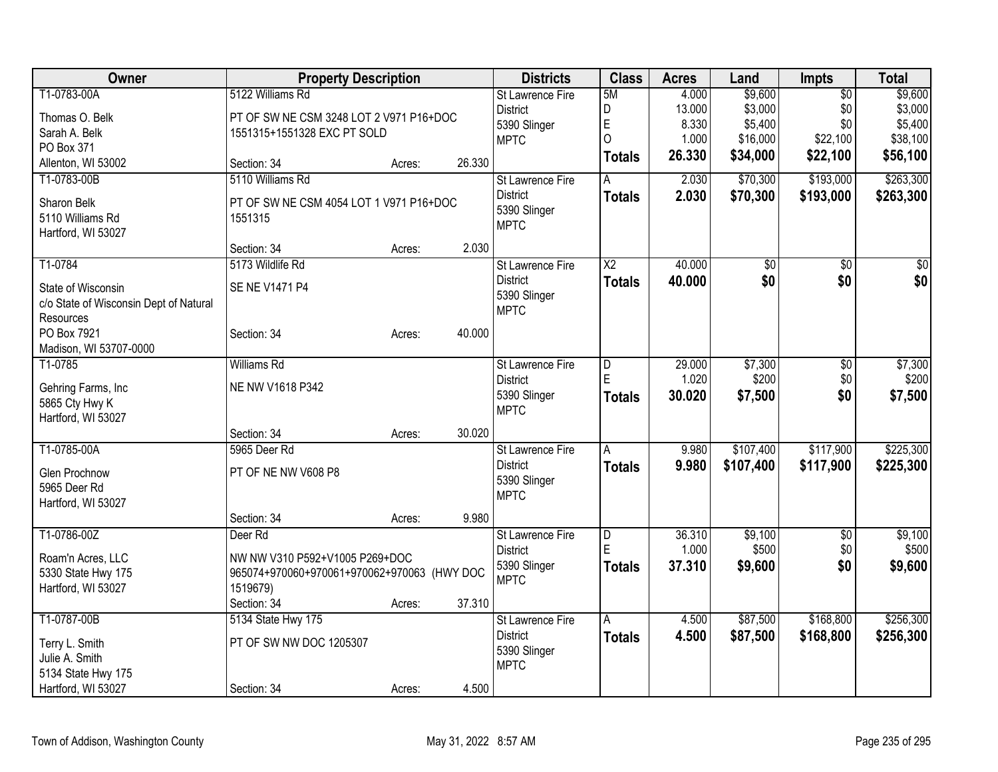| <b>Owner</b>                                                 | <b>Property Description</b>                 |        |        | <b>Districts</b>            | <b>Class</b>           | <b>Acres</b> | Land            | <b>Impts</b>    | <b>Total</b> |
|--------------------------------------------------------------|---------------------------------------------|--------|--------|-----------------------------|------------------------|--------------|-----------------|-----------------|--------------|
| T1-0783-00A                                                  | 5122 Williams Rd                            |        |        | <b>St Lawrence Fire</b>     | 5M                     | 4.000        | \$9,600         | $\overline{50}$ | \$9,600      |
| Thomas O. Belk                                               | PT OF SW NE CSM 3248 LOT 2 V971 P16+DOC     |        |        | <b>District</b>             | D                      | 13.000       | \$3,000         | \$0             | \$3,000      |
| Sarah A. Belk                                                | 1551315+1551328 EXC PT SOLD                 |        |        | 5390 Slinger                | E                      | 8.330        | \$5,400         | \$0             | \$5,400      |
| PO Box 371                                                   |                                             |        |        | <b>MPTC</b>                 | $\overline{O}$         | 1.000        | \$16,000        | \$22,100        | \$38,100     |
| Allenton, WI 53002                                           | Section: 34                                 | Acres: | 26.330 |                             | <b>Totals</b>          | 26.330       | \$34,000        | \$22,100        | \$56,100     |
| T1-0783-00B                                                  | 5110 Williams Rd                            |        |        | <b>St Lawrence Fire</b>     | A                      | 2.030        | \$70,300        | \$193,000       | \$263,300    |
| Sharon Belk                                                  | PT OF SW NE CSM 4054 LOT 1 V971 P16+DOC     |        |        | <b>District</b>             | <b>Totals</b>          | 2.030        | \$70,300        | \$193,000       | \$263,300    |
| 5110 Williams Rd                                             | 1551315                                     |        |        | 5390 Slinger                |                        |              |                 |                 |              |
| Hartford, WI 53027                                           |                                             |        |        | <b>MPTC</b>                 |                        |              |                 |                 |              |
|                                                              | Section: 34                                 | Acres: | 2.030  |                             |                        |              |                 |                 |              |
| T1-0784                                                      | 5173 Wildlife Rd                            |        |        | St Lawrence Fire            | $\overline{\text{X2}}$ | 40.000       | $\overline{50}$ | $\overline{50}$ | $\sqrt{50}$  |
|                                                              | SE NE V1471 P4                              |        |        | <b>District</b>             | <b>Totals</b>          | 40.000       | \$0             | \$0             | \$0          |
| State of Wisconsin<br>c/o State of Wisconsin Dept of Natural |                                             |        |        | 5390 Slinger                |                        |              |                 |                 |              |
| Resources                                                    |                                             |        |        | <b>MPTC</b>                 |                        |              |                 |                 |              |
| PO Box 7921                                                  | Section: 34                                 | Acres: | 40.000 |                             |                        |              |                 |                 |              |
| Madison, WI 53707-0000                                       |                                             |        |        |                             |                        |              |                 |                 |              |
| T1-0785                                                      | <b>Williams Rd</b>                          |        |        | St Lawrence Fire            | $\overline{D}$         | 29.000       | \$7,300         | \$0             | \$7,300      |
|                                                              |                                             |        |        | <b>District</b>             | E                      | 1.020        | \$200           | \$0             | \$200        |
| Gehring Farms, Inc                                           | NE NW V1618 P342                            |        |        | 5390 Slinger                | <b>Totals</b>          | 30.020       | \$7,500         | \$0             | \$7,500      |
| 5865 Cty Hwy K<br>Hartford, WI 53027                         |                                             |        |        | <b>MPTC</b>                 |                        |              |                 |                 |              |
|                                                              | Section: 34                                 | Acres: | 30.020 |                             |                        |              |                 |                 |              |
| T1-0785-00A                                                  | 5965 Deer Rd                                |        |        | <b>St Lawrence Fire</b>     | A                      | 9.980        | \$107,400       | \$117,900       | \$225,300    |
|                                                              |                                             |        |        | <b>District</b>             | <b>Totals</b>          | 9.980        | \$107,400       | \$117,900       | \$225,300    |
| Glen Prochnow                                                | PT OF NE NW V608 P8                         |        |        | 5390 Slinger                |                        |              |                 |                 |              |
| 5965 Deer Rd                                                 |                                             |        |        | <b>MPTC</b>                 |                        |              |                 |                 |              |
| Hartford, WI 53027                                           |                                             |        |        |                             |                        |              |                 |                 |              |
| T1-0786-00Z                                                  | Section: 34<br>Deer <sub>Rd</sub>           | Acres: | 9.980  | St Lawrence Fire            |                        | 36.310       | \$9,100         | $\overline{50}$ | \$9,100      |
|                                                              |                                             |        |        | <b>District</b>             | $\overline{D}$<br>ΙE   | 1.000        | \$500           | \$0             | \$500        |
| Roam'n Acres, LLC                                            | NW NW V310 P592+V1005 P269+DOC              |        |        | 5390 Slinger                | <b>Totals</b>          | 37.310       | \$9,600         | \$0             | \$9,600      |
| 5330 State Hwy 175                                           | 965074+970060+970061+970062+970063 (HWY DOC |        |        | <b>MPTC</b>                 |                        |              |                 |                 |              |
| Hartford, WI 53027                                           | 1519679)                                    |        |        |                             |                        |              |                 |                 |              |
|                                                              | Section: 34                                 | Acres: | 37.310 |                             |                        |              |                 |                 |              |
| T1-0787-00B                                                  | 5134 State Hwy 175                          |        |        | St Lawrence Fire            | A                      | 4.500        | \$87,500        | \$168,800       | \$256,300    |
| Terry L. Smith                                               | PT OF SW NW DOC 1205307                     |        |        | <b>District</b>             | <b>Totals</b>          | 4.500        | \$87,500        | \$168,800       | \$256,300    |
| Julie A. Smith                                               |                                             |        |        | 5390 Slinger<br><b>MPTC</b> |                        |              |                 |                 |              |
| 5134 State Hwy 175                                           |                                             |        |        |                             |                        |              |                 |                 |              |
| Hartford, WI 53027                                           | Section: 34                                 | Acres: | 4.500  |                             |                        |              |                 |                 |              |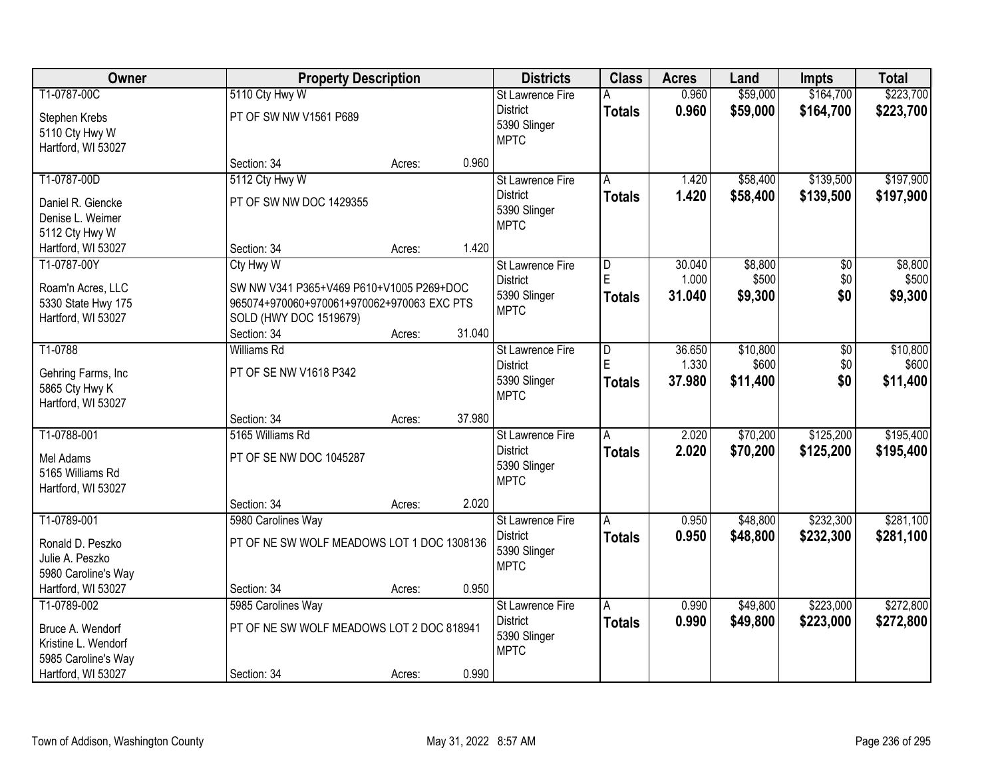| Owner                                                                         |                                                                                                                                              | <b>Property Description</b> |        |                                                                           | <b>Class</b>                             | <b>Acres</b>              | Land                        | <b>Impts</b>                  | <b>Total</b>                |
|-------------------------------------------------------------------------------|----------------------------------------------------------------------------------------------------------------------------------------------|-----------------------------|--------|---------------------------------------------------------------------------|------------------------------------------|---------------------------|-----------------------------|-------------------------------|-----------------------------|
| T1-0787-00C                                                                   | 5110 Cty Hwy W                                                                                                                               |                             |        | <b>St Lawrence Fire</b>                                                   |                                          | 0.960                     | \$59,000                    | \$164,700                     | \$223,700                   |
| Stephen Krebs<br>5110 Cty Hwy W<br>Hartford, WI 53027                         | PT OF SW NW V1561 P689                                                                                                                       |                             |        | <b>District</b><br>5390 Slinger<br><b>MPTC</b>                            | <b>Totals</b>                            | 0.960                     | \$59,000                    | \$164,700                     | \$223,700                   |
|                                                                               | Section: 34                                                                                                                                  | Acres:                      | 0.960  |                                                                           |                                          |                           |                             |                               |                             |
| T1-0787-00D<br>Daniel R. Giencke<br>Denise L. Weimer                          | 5112 Cty Hwy W<br>PT OF SW NW DOC 1429355                                                                                                    |                             |        | <b>St Lawrence Fire</b><br><b>District</b><br>5390 Slinger<br><b>MPTC</b> | A<br><b>Totals</b>                       | 1.420<br>1.420            | \$58,400<br>\$58,400        | \$139,500<br>\$139,500        | \$197,900<br>\$197,900      |
| 5112 Cty Hwy W                                                                |                                                                                                                                              |                             |        |                                                                           |                                          |                           |                             |                               |                             |
| Hartford, WI 53027                                                            | Section: 34                                                                                                                                  | Acres:                      | 1.420  |                                                                           |                                          |                           |                             |                               |                             |
| T1-0787-00Y<br>Roam'n Acres, LLC<br>5330 State Hwy 175<br>Hartford, WI 53027  | Cty Hwy W<br>SW NW V341 P365+V469 P610+V1005 P269+DOC<br>965074+970060+970061+970062+970063 EXC PTS<br>SOLD (HWY DOC 1519679)<br>Section: 34 | Acres:                      | 31.040 | St Lawrence Fire<br><b>District</b><br>5390 Slinger<br><b>MPTC</b>        | $\overline{D}$<br>E<br><b>Totals</b>     | 30.040<br>1.000<br>31.040 | \$8,800<br>\$500<br>\$9,300 | $\overline{50}$<br>\$0<br>\$0 | \$8,800<br>\$500<br>\$9,300 |
| T1-0788                                                                       | <b>Williams Rd</b>                                                                                                                           |                             |        | <b>St Lawrence Fire</b>                                                   | $\overline{D}$                           | 36.650                    | \$10,800                    | $\overline{50}$               | \$10,800                    |
| Gehring Farms, Inc.<br>5865 Cty Hwy K<br>Hartford, WI 53027                   | PT OF SE NW V1618 P342                                                                                                                       |                             |        | <b>District</b><br>5390 Slinger<br><b>MPTC</b>                            | F<br><b>Totals</b>                       | 1.330<br>37.980           | \$600<br>\$11,400           | \$0<br>\$0                    | \$600<br>\$11,400           |
|                                                                               | Section: 34                                                                                                                                  | Acres:                      | 37.980 |                                                                           |                                          |                           |                             |                               |                             |
| T1-0788-001<br>Mel Adams<br>5165 Williams Rd<br>Hartford, WI 53027            | 5165 Williams Rd<br>PT OF SE NW DOC 1045287                                                                                                  |                             |        | St Lawrence Fire<br><b>District</b><br>5390 Slinger<br><b>MPTC</b>        | A<br><b>Totals</b>                       | 2.020<br>2.020            | \$70,200<br>\$70,200        | \$125,200<br>\$125,200        | \$195,400<br>\$195,400      |
|                                                                               | Section: 34                                                                                                                                  | Acres:                      | 2.020  |                                                                           |                                          |                           |                             |                               |                             |
| T1-0789-001<br>Ronald D. Peszko<br>Julie A. Peszko<br>5980 Caroline's Way     | 5980 Carolines Way<br>PT OF NE SW WOLF MEADOWS LOT 1 DOC 1308136                                                                             |                             |        | <b>St Lawrence Fire</b><br><b>District</b><br>5390 Slinger<br><b>MPTC</b> | $\overline{\mathsf{A}}$<br><b>Totals</b> | 0.950<br>0.950            | \$48,800<br>\$48,800        | \$232,300<br>\$232,300        | \$281,100<br>\$281,100      |
| Hartford, WI 53027                                                            | Section: 34                                                                                                                                  | Acres:                      | 0.950  |                                                                           |                                          |                           |                             |                               |                             |
| T1-0789-002<br>Bruce A. Wendorf<br>Kristine L. Wendorf<br>5985 Caroline's Way | 5985 Carolines Way<br>PT OF NE SW WOLF MEADOWS LOT 2 DOC 818941                                                                              |                             |        | St Lawrence Fire<br><b>District</b><br>5390 Slinger<br><b>MPTC</b>        | A<br><b>Totals</b>                       | 0.990<br>0.990            | \$49,800<br>\$49,800        | \$223,000<br>\$223,000        | \$272,800<br>\$272,800      |
| Hartford, WI 53027                                                            | Section: 34                                                                                                                                  | Acres:                      | 0.990  |                                                                           |                                          |                           |                             |                               |                             |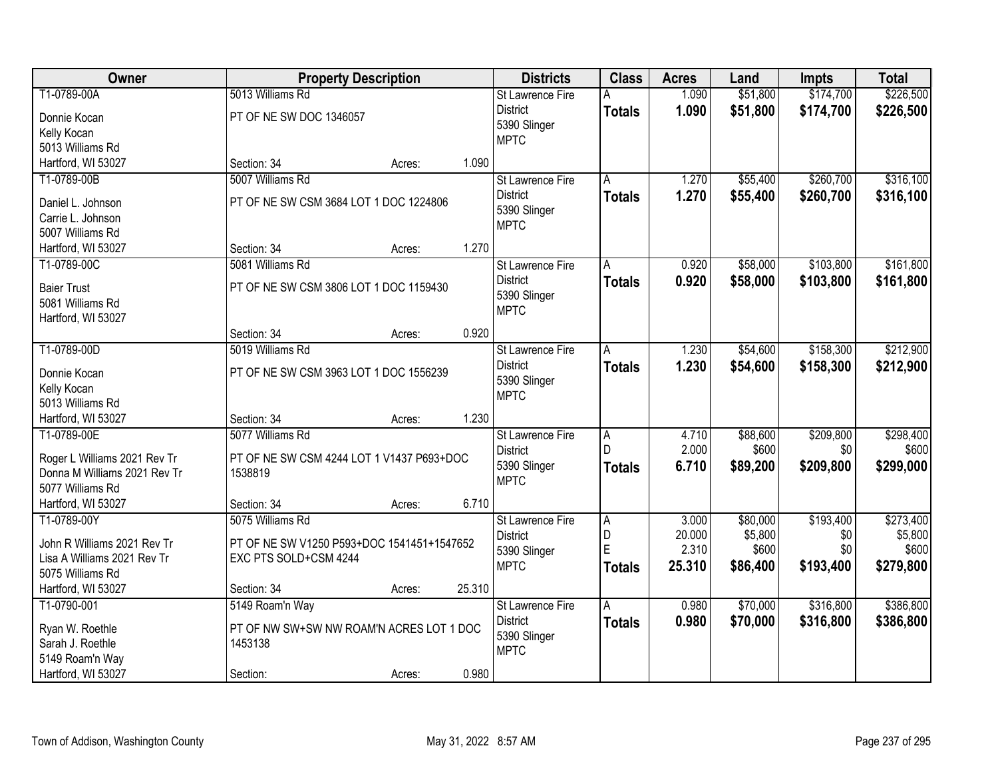| Owner                        |                                            | <b>Property Description</b> |        |                             | <b>Class</b>   | <b>Acres</b> | Land     | <b>Impts</b> | <b>Total</b> |
|------------------------------|--------------------------------------------|-----------------------------|--------|-----------------------------|----------------|--------------|----------|--------------|--------------|
| T1-0789-00A                  | 5013 Williams Rd                           |                             |        | St Lawrence Fire            | А              | 1.090        | \$51,800 | \$174,700    | \$226,500    |
| Donnie Kocan                 | PT OF NE SW DOC 1346057                    |                             |        | <b>District</b>             | <b>Totals</b>  | 1.090        | \$51,800 | \$174,700    | \$226,500    |
| Kelly Kocan                  |                                            |                             |        | 5390 Slinger                |                |              |          |              |              |
| 5013 Williams Rd             |                                            |                             |        | <b>MPTC</b>                 |                |              |          |              |              |
| Hartford, WI 53027           | Section: 34                                | Acres:                      | 1.090  |                             |                |              |          |              |              |
| T1-0789-00B                  | 5007 Williams Rd                           |                             |        | St Lawrence Fire            | A              | 1.270        | \$55,400 | \$260,700    | \$316,100    |
|                              |                                            |                             |        | <b>District</b>             | <b>Totals</b>  | 1.270        | \$55,400 | \$260,700    | \$316,100    |
| Daniel L. Johnson            | PT OF NE SW CSM 3684 LOT 1 DOC 1224806     |                             |        | 5390 Slinger                |                |              |          |              |              |
| Carrie L. Johnson            |                                            |                             |        | <b>MPTC</b>                 |                |              |          |              |              |
| 5007 Williams Rd             |                                            |                             | 1.270  |                             |                |              |          |              |              |
| Hartford, WI 53027           | Section: 34                                | Acres:                      |        |                             |                |              |          |              |              |
| T1-0789-00C                  | 5081 Williams Rd                           |                             |        | St Lawrence Fire            | A              | 0.920        | \$58,000 | \$103,800    | \$161,800    |
| <b>Baier Trust</b>           | PT OF NE SW CSM 3806 LOT 1 DOC 1159430     |                             |        | <b>District</b>             | <b>Totals</b>  | 0.920        | \$58,000 | \$103,800    | \$161,800    |
| 5081 Williams Rd             |                                            |                             |        | 5390 Slinger<br><b>MPTC</b> |                |              |          |              |              |
| Hartford, WI 53027           |                                            |                             |        |                             |                |              |          |              |              |
|                              | Section: 34                                | Acres:                      | 0.920  |                             |                |              |          |              |              |
| T1-0789-00D                  | 5019 Williams Rd                           |                             |        | St Lawrence Fire            | Ā              | 1.230        | \$54,600 | \$158,300    | \$212,900    |
| Donnie Kocan                 | PT OF NE SW CSM 3963 LOT 1 DOC 1556239     |                             |        | <b>District</b>             | <b>Totals</b>  | 1.230        | \$54,600 | \$158,300    | \$212,900    |
| Kelly Kocan                  |                                            |                             |        | 5390 Slinger                |                |              |          |              |              |
| 5013 Williams Rd             |                                            |                             |        | <b>MPTC</b>                 |                |              |          |              |              |
| Hartford, WI 53027           | Section: 34                                | Acres:                      | 1.230  |                             |                |              |          |              |              |
| T1-0789-00E                  | 5077 Williams Rd                           |                             |        | St Lawrence Fire            | $\overline{A}$ | 4.710        | \$88,600 | \$209,800    | \$298,400    |
|                              |                                            |                             |        | <b>District</b>             | D              | 2.000        | \$600    | \$0          | \$600        |
| Roger L Williams 2021 Rev Tr | PT OF NE SW CSM 4244 LOT 1 V1437 P693+DOC  |                             |        | 5390 Slinger                |                | 6.710        | \$89,200 | \$209,800    | \$299,000    |
| Donna M Williams 2021 Rev Tr | 1538819                                    |                             |        | <b>MPTC</b>                 | <b>Totals</b>  |              |          |              |              |
| 5077 Williams Rd             |                                            |                             |        |                             |                |              |          |              |              |
| Hartford, WI 53027           | Section: 34                                | Acres:                      | 6.710  |                             |                |              |          |              |              |
| T1-0789-00Y                  | 5075 Williams Rd                           |                             |        | St Lawrence Fire            | A              | 3.000        | \$80,000 | \$193,400    | \$273,400    |
| John R Williams 2021 Rev Tr  | PT OF NE SW V1250 P593+DOC 1541451+1547652 |                             |        | <b>District</b>             | D              | 20.000       | \$5,800  | \$0          | \$5,800      |
| Lisa A Williams 2021 Rev Tr  | EXC PTS SOLD+CSM 4244                      |                             |        | 5390 Slinger                | E              | 2.310        | \$600    | \$0          | \$600        |
| 5075 Williams Rd             |                                            |                             |        | <b>MPTC</b>                 | <b>Totals</b>  | 25.310       | \$86,400 | \$193,400    | \$279,800    |
| Hartford, WI 53027           | Section: 34                                | Acres:                      | 25.310 |                             |                |              |          |              |              |
| T1-0790-001                  | 5149 Roam'n Way                            |                             |        | <b>St Lawrence Fire</b>     | A              | 0.980        | \$70,000 | \$316,800    | \$386,800    |
|                              |                                            |                             |        | <b>District</b>             | <b>Totals</b>  | 0.980        | \$70,000 | \$316,800    | \$386,800    |
| Ryan W. Roethle              | PT OF NW SW+SW NW ROAM'N ACRES LOT 1 DOC   |                             |        | 5390 Slinger                |                |              |          |              |              |
| Sarah J. Roethle             | 1453138                                    |                             |        | <b>MPTC</b>                 |                |              |          |              |              |
| 5149 Roam'n Way              |                                            |                             |        |                             |                |              |          |              |              |
| Hartford, WI 53027           | Section:                                   | Acres:                      | 0.980  |                             |                |              |          |              |              |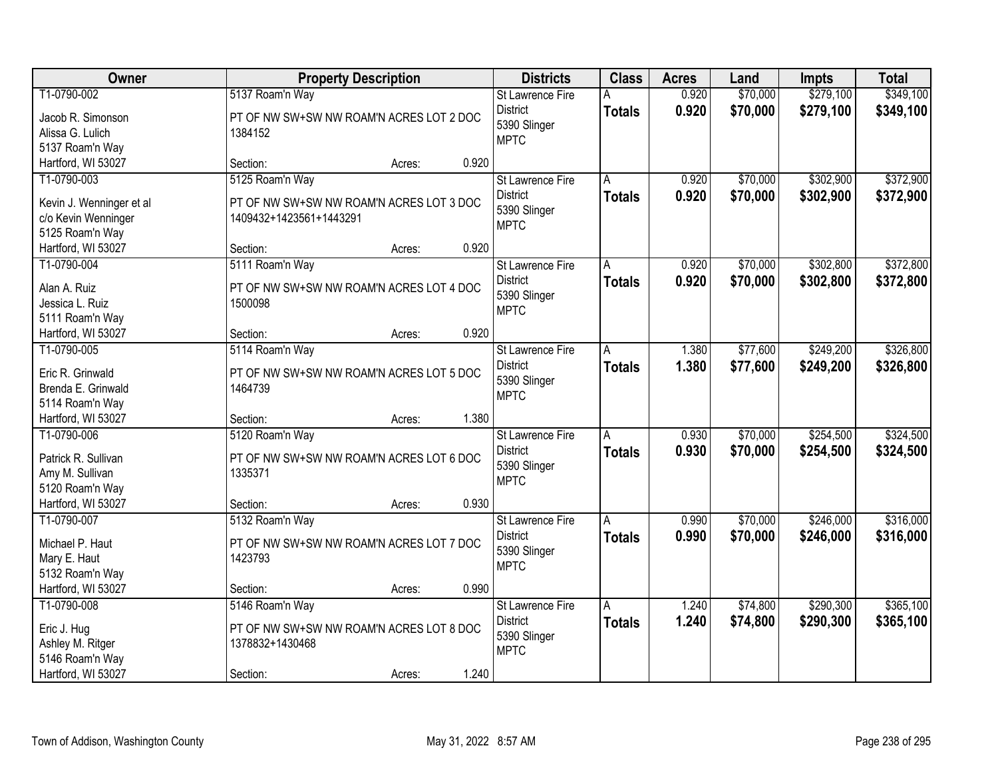| Owner                                           | <b>Property Description</b>                                         |        |       | <b>Districts</b>        | <b>Class</b>  | <b>Acres</b> | Land     | <b>Impts</b> | <b>Total</b> |
|-------------------------------------------------|---------------------------------------------------------------------|--------|-------|-------------------------|---------------|--------------|----------|--------------|--------------|
| T1-0790-002                                     | 5137 Roam'n Way                                                     |        |       | St Lawrence Fire        | А             | 0.920        | \$70,000 | \$279,100    | \$349,100    |
| Jacob R. Simonson                               | PT OF NW SW+SW NW ROAM'N ACRES LOT 2 DOC                            |        |       | <b>District</b>         | <b>Totals</b> | 0.920        | \$70,000 | \$279,100    | \$349,100    |
| Alissa G. Lulich                                | 1384152                                                             |        |       | 5390 Slinger            |               |              |          |              |              |
| 5137 Roam'n Way                                 |                                                                     |        |       | <b>MPTC</b>             |               |              |          |              |              |
| Hartford, WI 53027                              | Section:                                                            | Acres: | 0.920 |                         |               |              |          |              |              |
| T1-0790-003                                     | 5125 Roam'n Way                                                     |        |       | St Lawrence Fire        | A             | 0.920        | \$70,000 | \$302,900    | \$372,900    |
|                                                 |                                                                     |        |       | <b>District</b>         | <b>Totals</b> | 0.920        | \$70,000 | \$302,900    | \$372,900    |
| Kevin J. Wenninger et al<br>c/o Kevin Wenninger | PT OF NW SW+SW NW ROAM'N ACRES LOT 3 DOC<br>1409432+1423561+1443291 |        |       | 5390 Slinger            |               |              |          |              |              |
| 5125 Roam'n Way                                 |                                                                     |        |       | <b>MPTC</b>             |               |              |          |              |              |
| Hartford, WI 53027                              | Section:                                                            | Acres: | 0.920 |                         |               |              |          |              |              |
| T1-0790-004                                     | 5111 Roam'n Way                                                     |        |       | St Lawrence Fire        | А             | 0.920        | \$70,000 | \$302,800    | \$372,800    |
|                                                 |                                                                     |        |       | <b>District</b>         | <b>Totals</b> | 0.920        | \$70,000 | \$302,800    | \$372,800    |
| Alan A. Ruiz                                    | PT OF NW SW+SW NW ROAM'N ACRES LOT 4 DOC                            |        |       | 5390 Slinger            |               |              |          |              |              |
| Jessica L. Ruiz                                 | 1500098                                                             |        |       | <b>MPTC</b>             |               |              |          |              |              |
| 5111 Roam'n Way                                 |                                                                     |        |       |                         |               |              |          |              |              |
| Hartford, WI 53027                              | Section:                                                            | Acres: | 0.920 |                         |               |              |          |              |              |
| T1-0790-005                                     | 5114 Roam'n Way                                                     |        |       | <b>St Lawrence Fire</b> | A             | 1.380        | \$77,600 | \$249,200    | \$326,800    |
| Eric R. Grinwald                                | PT OF NW SW+SW NW ROAM'N ACRES LOT 5 DOC                            |        |       | <b>District</b>         | <b>Totals</b> | 1.380        | \$77,600 | \$249,200    | \$326,800    |
| Brenda E. Grinwald                              | 1464739                                                             |        |       | 5390 Slinger            |               |              |          |              |              |
| 5114 Roam'n Way                                 |                                                                     |        |       | <b>MPTC</b>             |               |              |          |              |              |
| Hartford, WI 53027                              | Section:                                                            | Acres: | 1.380 |                         |               |              |          |              |              |
| T1-0790-006                                     | 5120 Roam'n Way                                                     |        |       | St Lawrence Fire        | Ā             | 0.930        | \$70,000 | \$254,500    | \$324,500    |
|                                                 |                                                                     |        |       | <b>District</b>         | <b>Totals</b> | 0.930        | \$70,000 | \$254,500    | \$324,500    |
| Patrick R. Sullivan                             | PT OF NW SW+SW NW ROAM'N ACRES LOT 6 DOC<br>1335371                 |        |       | 5390 Slinger            |               |              |          |              |              |
| Amy M. Sullivan<br>5120 Roam'n Way              |                                                                     |        |       | <b>MPTC</b>             |               |              |          |              |              |
| Hartford, WI 53027                              | Section:                                                            | Acres: | 0.930 |                         |               |              |          |              |              |
| T1-0790-007                                     | 5132 Roam'n Way                                                     |        |       | St Lawrence Fire        | A             | 0.990        | \$70,000 | \$246,000    | \$316,000    |
|                                                 |                                                                     |        |       | <b>District</b>         |               | 0.990        | \$70,000 | \$246,000    | \$316,000    |
| Michael P. Haut                                 | PT OF NW SW+SW NW ROAM'N ACRES LOT 7 DOC                            |        |       | 5390 Slinger            | <b>Totals</b> |              |          |              |              |
| Mary E. Haut                                    | 1423793                                                             |        |       | <b>MPTC</b>             |               |              |          |              |              |
| 5132 Roam'n Way                                 |                                                                     |        |       |                         |               |              |          |              |              |
| Hartford, WI 53027                              | Section:                                                            | Acres: | 0.990 |                         |               |              |          |              |              |
| T1-0790-008                                     | 5146 Roam'n Way                                                     |        |       | St Lawrence Fire        | A             | 1.240        | \$74,800 | \$290,300    | \$365,100    |
| Eric J. Hug                                     | PT OF NW SW+SW NW ROAM'N ACRES LOT 8 DOC                            |        |       | <b>District</b>         | <b>Totals</b> | 1.240        | \$74,800 | \$290,300    | \$365,100    |
| Ashley M. Ritger                                | 1378832+1430468                                                     |        |       | 5390 Slinger            |               |              |          |              |              |
| 5146 Roam'n Way                                 |                                                                     |        |       | <b>MPTC</b>             |               |              |          |              |              |
| Hartford, WI 53027                              | Section:                                                            | Acres: | 1.240 |                         |               |              |          |              |              |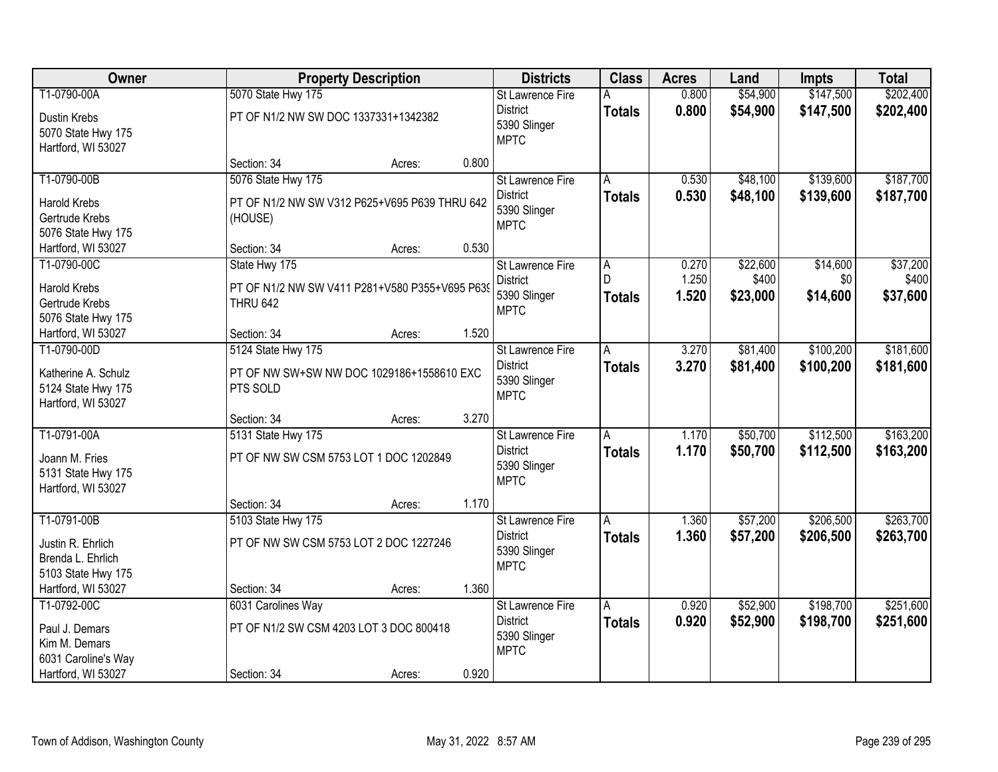| Owner                                                                      |                                                                                    | <b>Property Description</b> |       |                                                                    | <b>Class</b>            | <b>Acres</b>            | Land                          | <b>Impts</b>                | <b>Total</b>                  |
|----------------------------------------------------------------------------|------------------------------------------------------------------------------------|-----------------------------|-------|--------------------------------------------------------------------|-------------------------|-------------------------|-------------------------------|-----------------------------|-------------------------------|
| T1-0790-00A                                                                | 5070 State Hwy 175                                                                 |                             |       | St Lawrence Fire                                                   | Α                       | 0.800                   | \$54,900                      | \$147,500                   | \$202,400                     |
| Dustin Krebs<br>5070 State Hwy 175<br>Hartford, WI 53027                   | PT OF N1/2 NW SW DOC 1337331+1342382                                               |                             |       | <b>District</b><br>5390 Slinger<br><b>MPTC</b>                     | <b>Totals</b>           | 0.800                   | \$54,900                      | \$147,500                   | \$202,400                     |
|                                                                            | Section: 34                                                                        | Acres:                      | 0.800 |                                                                    |                         |                         |                               |                             |                               |
| T1-0790-00B                                                                | 5076 State Hwy 175                                                                 |                             |       | St Lawrence Fire                                                   | A                       | 0.530                   | \$48,100                      | \$139,600                   | \$187,700                     |
| <b>Harold Krebs</b><br>Gertrude Krebs<br>5076 State Hwy 175                | PT OF N1/2 NW SW V312 P625+V695 P639 THRU 642<br>(HOUSE)                           |                             |       | <b>District</b><br>5390 Slinger<br><b>MPTC</b>                     | <b>Totals</b>           | 0.530                   | \$48,100                      | \$139,600                   | \$187,700                     |
| Hartford, WI 53027                                                         | Section: 34                                                                        | Acres:                      | 0.530 |                                                                    |                         |                         |                               |                             |                               |
| T1-0790-00C<br><b>Harold Krebs</b><br>Gertrude Krebs<br>5076 State Hwy 175 | State Hwy 175<br>PT OF N1/2 NW SW V411 P281+V580 P355+V695 P639<br><b>THRU 642</b> |                             |       | St Lawrence Fire<br><b>District</b><br>5390 Slinger<br><b>MPTC</b> | A<br>D<br><b>Totals</b> | 0.270<br>1.250<br>1.520 | \$22,600<br>\$400<br>\$23,000 | \$14,600<br>\$0<br>\$14,600 | \$37,200<br>\$400<br>\$37,600 |
| Hartford, WI 53027                                                         | Section: 34                                                                        | Acres:                      | 1.520 |                                                                    |                         |                         |                               |                             |                               |
| T1-0790-00D                                                                | 5124 State Hwy 175                                                                 |                             |       | St Lawrence Fire<br><b>District</b>                                | Α<br><b>Totals</b>      | 3.270<br>3.270          | \$81,400<br>\$81,400          | \$100,200<br>\$100,200      | \$181,600<br>\$181,600        |
| Katherine A. Schulz<br>5124 State Hwy 175<br>Hartford, WI 53027            | PT OF NW SW+SW NW DOC 1029186+1558610 EXC<br>PTS SOLD                              |                             |       | 5390 Slinger<br><b>MPTC</b>                                        |                         |                         |                               |                             |                               |
|                                                                            | Section: 34                                                                        | Acres:                      | 3.270 |                                                                    |                         |                         |                               |                             |                               |
| T1-0791-00A                                                                | 5131 State Hwy 175                                                                 |                             |       | St Lawrence Fire                                                   | A                       | 1.170                   | \$50,700                      | \$112,500                   | \$163,200                     |
| Joann M. Fries<br>5131 State Hwy 175<br>Hartford, WI 53027                 | PT OF NW SW CSM 5753 LOT 1 DOC 1202849                                             |                             |       | <b>District</b><br>5390 Slinger<br><b>MPTC</b>                     | <b>Totals</b>           | 1.170                   | \$50,700                      | \$112,500                   | \$163,200                     |
|                                                                            | Section: 34                                                                        | Acres:                      | 1.170 |                                                                    |                         |                         |                               |                             |                               |
| T1-0791-00B                                                                | 5103 State Hwy 175                                                                 |                             |       | St Lawrence Fire                                                   | Α                       | 1.360                   | \$57,200                      | \$206,500                   | \$263,700                     |
| Justin R. Ehrlich<br>Brenda L. Ehrlich<br>5103 State Hwy 175               | PT OF NW SW CSM 5753 LOT 2 DOC 1227246                                             |                             |       | <b>District</b><br>5390 Slinger<br><b>MPTC</b>                     | <b>Totals</b>           | 1.360                   | \$57,200                      | \$206,500                   | \$263,700                     |
| Hartford, WI 53027                                                         | Section: 34                                                                        | Acres:                      | 1.360 |                                                                    |                         |                         |                               |                             |                               |
| T1-0792-00C                                                                | 6031 Carolines Way                                                                 |                             |       | St Lawrence Fire                                                   | A                       | 0.920                   | \$52,900                      | \$198,700                   | \$251,600                     |
| Paul J. Demars<br>Kim M. Demars<br>6031 Caroline's Way                     | PT OF N1/2 SW CSM 4203 LOT 3 DOC 800418                                            |                             |       | <b>District</b><br>5390 Slinger<br><b>MPTC</b>                     | <b>Totals</b>           | 0.920                   | \$52,900                      | \$198,700                   | \$251,600                     |
| Hartford, WI 53027                                                         | Section: 34                                                                        | Acres:                      | 0.920 |                                                                    |                         |                         |                               |                             |                               |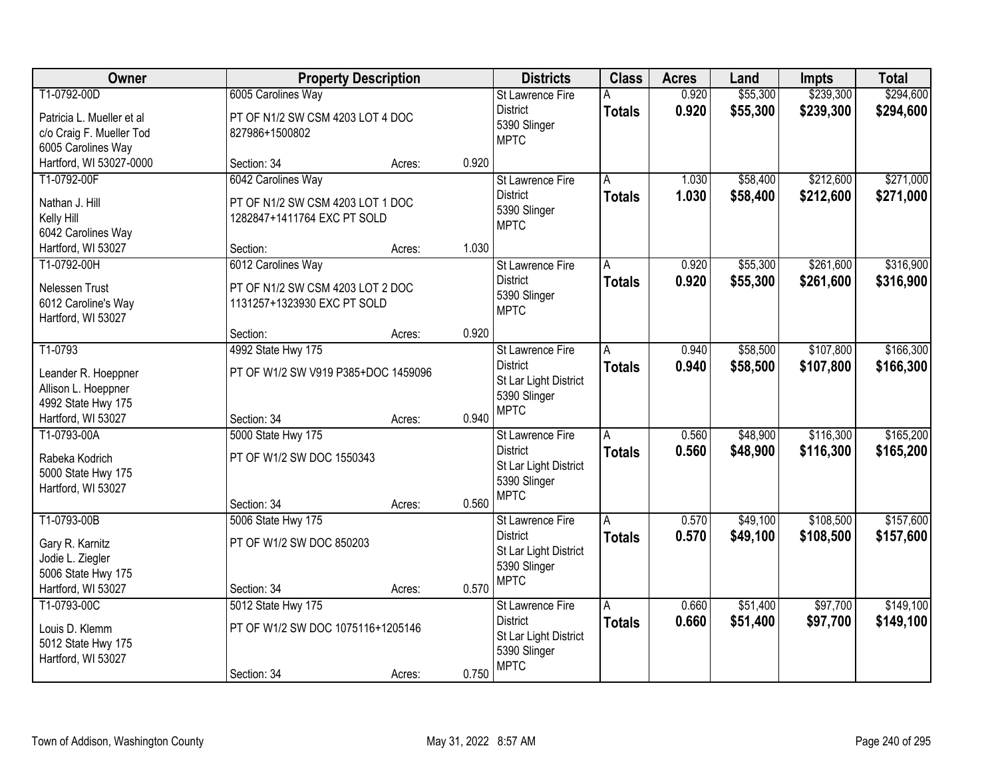| Owner                                                                                          |                                                                                       | <b>Property Description</b> |       | <b>Districts</b>                                                                                   | <b>Class</b>       | <b>Acres</b>   | Land                 | <b>Impts</b>           | <b>Total</b>           |
|------------------------------------------------------------------------------------------------|---------------------------------------------------------------------------------------|-----------------------------|-------|----------------------------------------------------------------------------------------------------|--------------------|----------------|----------------------|------------------------|------------------------|
| T1-0792-00D<br>Patricia L. Mueller et al<br>c/o Craig F. Mueller Tod<br>6005 Carolines Way     | 6005 Carolines Way<br>PT OF N1/2 SW CSM 4203 LOT 4 DOC<br>827986+1500802              |                             |       | <b>St Lawrence Fire</b><br><b>District</b><br>5390 Slinger<br><b>MPTC</b>                          | A<br><b>Totals</b> | 0.920<br>0.920 | \$55,300<br>\$55,300 | \$239,300<br>\$239,300 | \$294,600<br>\$294,600 |
| Hartford, WI 53027-0000                                                                        | Section: 34                                                                           | Acres:                      | 0.920 |                                                                                                    |                    |                |                      |                        |                        |
| T1-0792-00F<br>Nathan J. Hill<br>Kelly Hill<br>6042 Carolines Way                              | 6042 Carolines Way<br>PT OF N1/2 SW CSM 4203 LOT 1 DOC<br>1282847+1411764 EXC PT SOLD |                             |       | <b>St Lawrence Fire</b><br><b>District</b><br>5390 Slinger<br><b>MPTC</b>                          | A<br><b>Totals</b> | 1.030<br>1.030 | \$58,400<br>\$58,400 | \$212,600<br>\$212,600 | \$271,000<br>\$271,000 |
| Hartford, WI 53027                                                                             | Section:                                                                              | Acres:                      | 1.030 |                                                                                                    |                    |                |                      |                        |                        |
| T1-0792-00H<br>Nelessen Trust<br>6012 Caroline's Way<br>Hartford, WI 53027                     | 6012 Carolines Way<br>PT OF N1/2 SW CSM 4203 LOT 2 DOC<br>1131257+1323930 EXC PT SOLD |                             |       | St Lawrence Fire<br><b>District</b><br>5390 Slinger<br><b>MPTC</b>                                 | Α<br><b>Totals</b> | 0.920<br>0.920 | \$55,300<br>\$55,300 | \$261,600<br>\$261,600 | \$316,900<br>\$316,900 |
|                                                                                                | Section:                                                                              | Acres:                      | 0.920 |                                                                                                    |                    |                |                      |                        |                        |
| T1-0793<br>Leander R. Hoeppner<br>Allison L. Hoeppner<br>4992 State Hwy 175                    | 4992 State Hwy 175<br>PT OF W1/2 SW V919 P385+DOC 1459096                             |                             |       | St Lawrence Fire<br><b>District</b><br>St Lar Light District<br>5390 Slinger<br><b>MPTC</b>        | A<br><b>Totals</b> | 0.940<br>0.940 | \$58,500<br>\$58,500 | \$107,800<br>\$107,800 | \$166,300<br>\$166,300 |
| Hartford, WI 53027                                                                             | Section: 34                                                                           | Acres:                      | 0.940 |                                                                                                    |                    |                |                      |                        |                        |
| T1-0793-00A<br>Rabeka Kodrich<br>5000 State Hwy 175<br>Hartford, WI 53027                      | 5000 State Hwy 175<br>PT OF W1/2 SW DOC 1550343<br>Section: 34                        | Acres:                      | 0.560 | St Lawrence Fire<br><b>District</b><br>St Lar Light District<br>5390 Slinger<br><b>MPTC</b>        | Ā<br><b>Totals</b> | 0.560<br>0.560 | \$48,900<br>\$48,900 | \$116,300<br>\$116,300 | \$165,200<br>\$165,200 |
| T1-0793-00B<br>Gary R. Karnitz<br>Jodie L. Ziegler<br>5006 State Hwy 175<br>Hartford, WI 53027 | 5006 State Hwy 175<br>PT OF W1/2 SW DOC 850203<br>Section: 34                         | Acres:                      | 0.570 | St Lawrence Fire<br><b>District</b><br>St Lar Light District<br>5390 Slinger<br><b>MPTC</b>        | A<br><b>Totals</b> | 0.570<br>0.570 | \$49,100<br>\$49,100 | \$108,500<br>\$108,500 | \$157,600<br>\$157,600 |
| T1-0793-00C<br>Louis D. Klemm<br>5012 State Hwy 175<br>Hartford, WI 53027                      | 5012 State Hwy 175<br>PT OF W1/2 SW DOC 1075116+1205146<br>Section: 34                | Acres:                      | 0.750 | <b>St Lawrence Fire</b><br><b>District</b><br>St Lar Light District<br>5390 Slinger<br><b>MPTC</b> | A<br><b>Totals</b> | 0.660<br>0.660 | \$51,400<br>\$51,400 | \$97,700<br>\$97,700   | \$149,100<br>\$149,100 |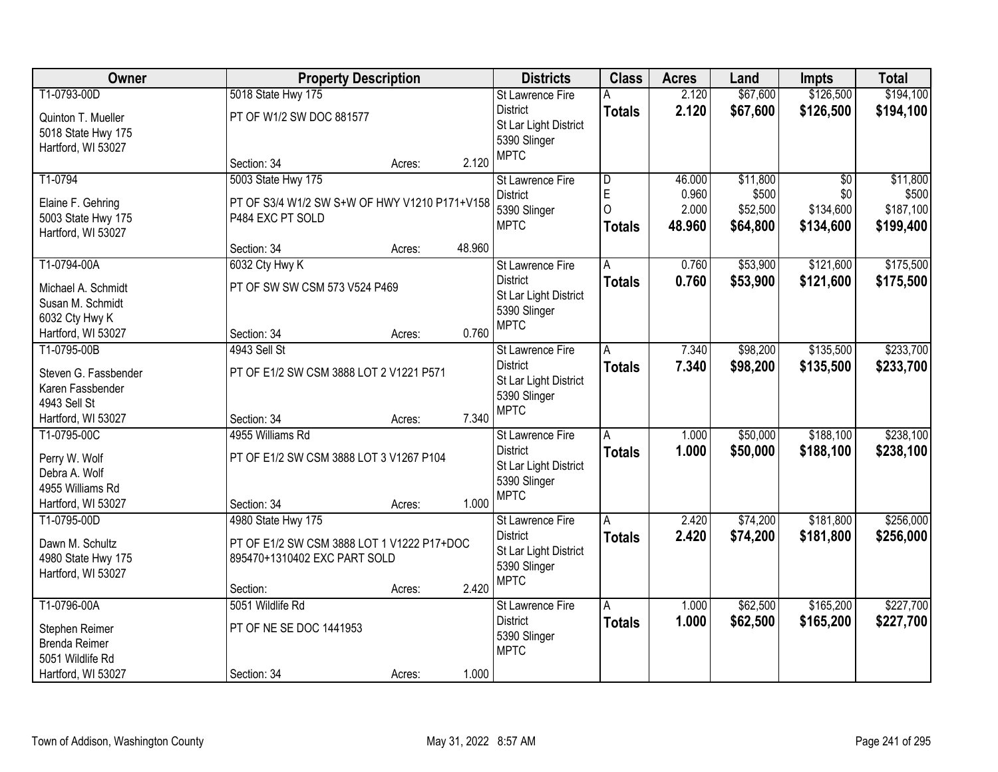| Owner                          | <b>Property Description</b>                   |        |        | <b>Districts</b>            | <b>Class</b>            | <b>Acres</b> | Land     | <b>Impts</b>    | <b>Total</b> |
|--------------------------------|-----------------------------------------------|--------|--------|-----------------------------|-------------------------|--------------|----------|-----------------|--------------|
| T1-0793-00D                    | 5018 State Hwy 175                            |        |        | <b>St Lawrence Fire</b>     | Α                       | 2.120        | \$67,600 | \$126,500       | \$194,100    |
| Quinton T. Mueller             | PT OF W1/2 SW DOC 881577                      |        |        | <b>District</b>             | <b>Totals</b>           | 2.120        | \$67,600 | \$126,500       | \$194,100    |
| 5018 State Hwy 175             |                                               |        |        | St Lar Light District       |                         |              |          |                 |              |
| Hartford, WI 53027             |                                               |        |        | 5390 Slinger<br><b>MPTC</b> |                         |              |          |                 |              |
|                                | Section: 34                                   | Acres: | 2.120  |                             |                         |              |          |                 |              |
| T1-0794                        | 5003 State Hwy 175                            |        |        | St Lawrence Fire            | $\overline{\mathsf{D}}$ | 46.000       | \$11,800 | $\overline{50}$ | \$11,800     |
| Elaine F. Gehring              | PT OF S3/4 W1/2 SW S+W OF HWY V1210 P171+V158 |        |        | <b>District</b>             | E                       | 0.960        | \$500    | \$0             | \$500        |
| 5003 State Hwy 175             | P484 EXC PT SOLD                              |        |        | 5390 Slinger                | $\Omega$                | 2.000        | \$52,500 | \$134,600       | \$187,100    |
| Hartford, WI 53027             |                                               |        |        | <b>MPTC</b>                 | <b>Totals</b>           | 48.960       | \$64,800 | \$134,600       | \$199,400    |
|                                | Section: 34                                   | Acres: | 48.960 |                             |                         |              |          |                 |              |
| T1-0794-00A                    | 6032 Cty Hwy K                                |        |        | St Lawrence Fire            | Α                       | 0.760        | \$53,900 | \$121,600       | \$175,500    |
| Michael A. Schmidt             | PT OF SW SW CSM 573 V524 P469                 |        |        | <b>District</b>             | <b>Totals</b>           | 0.760        | \$53,900 | \$121,600       | \$175,500    |
| Susan M. Schmidt               |                                               |        |        | St Lar Light District       |                         |              |          |                 |              |
| 6032 Cty Hwy K                 |                                               |        |        | 5390 Slinger                |                         |              |          |                 |              |
| Hartford, WI 53027             | Section: 34                                   | Acres: | 0.760  | <b>MPTC</b>                 |                         |              |          |                 |              |
| T1-0795-00B                    | 4943 Sell St                                  |        |        | <b>St Lawrence Fire</b>     | A                       | 7.340        | \$98,200 | \$135,500       | \$233,700    |
| Steven G. Fassbender           | PT OF E1/2 SW CSM 3888 LOT 2 V1221 P571       |        |        | <b>District</b>             | <b>Totals</b>           | 7.340        | \$98,200 | \$135,500       | \$233,700    |
| Karen Fassbender               |                                               |        |        | St Lar Light District       |                         |              |          |                 |              |
| 4943 Sell St                   |                                               |        |        | 5390 Slinger                |                         |              |          |                 |              |
| Hartford, WI 53027             | Section: 34                                   | Acres: | 7.340  | <b>MPTC</b>                 |                         |              |          |                 |              |
| T1-0795-00C                    | 4955 Williams Rd                              |        |        | St Lawrence Fire            | A                       | 1.000        | \$50,000 | \$188,100       | \$238,100    |
|                                |                                               |        |        | <b>District</b>             | <b>Totals</b>           | 1.000        | \$50,000 | \$188,100       | \$238,100    |
| Perry W. Wolf<br>Debra A. Wolf | PT OF E1/2 SW CSM 3888 LOT 3 V1267 P104       |        |        | St Lar Light District       |                         |              |          |                 |              |
| 4955 Williams Rd               |                                               |        |        | 5390 Slinger                |                         |              |          |                 |              |
| Hartford, WI 53027             | Section: 34                                   | Acres: | 1.000  | <b>MPTC</b>                 |                         |              |          |                 |              |
| T1-0795-00D                    | 4980 State Hwy 175                            |        |        | St Lawrence Fire            | A                       | 2.420        | \$74,200 | \$181,800       | \$256,000    |
|                                |                                               |        |        | <b>District</b>             | <b>Totals</b>           | 2.420        | \$74,200 | \$181,800       | \$256,000    |
| Dawn M. Schultz                | PT OF E1/2 SW CSM 3888 LOT 1 V1222 P17+DOC    |        |        | St Lar Light District       |                         |              |          |                 |              |
| 4980 State Hwy 175             | 895470+1310402 EXC PART SOLD                  |        |        | 5390 Slinger                |                         |              |          |                 |              |
| Hartford, WI 53027             |                                               |        |        | <b>MPTC</b>                 |                         |              |          |                 |              |
|                                | Section:                                      | Acres: | 2.420  |                             |                         |              |          |                 |              |
| T1-0796-00A                    | 5051 Wildlife Rd                              |        |        | St Lawrence Fire            | A                       | 1.000        | \$62,500 | \$165,200       | \$227,700    |
| Stephen Reimer                 | PT OF NE SE DOC 1441953                       |        |        | <b>District</b>             | <b>Totals</b>           | 1.000        | \$62,500 | \$165,200       | \$227,700    |
| <b>Brenda Reimer</b>           |                                               |        |        | 5390 Slinger                |                         |              |          |                 |              |
| 5051 Wildlife Rd               |                                               |        |        | <b>MPTC</b>                 |                         |              |          |                 |              |
| Hartford, WI 53027             | Section: 34                                   | Acres: | 1.000  |                             |                         |              |          |                 |              |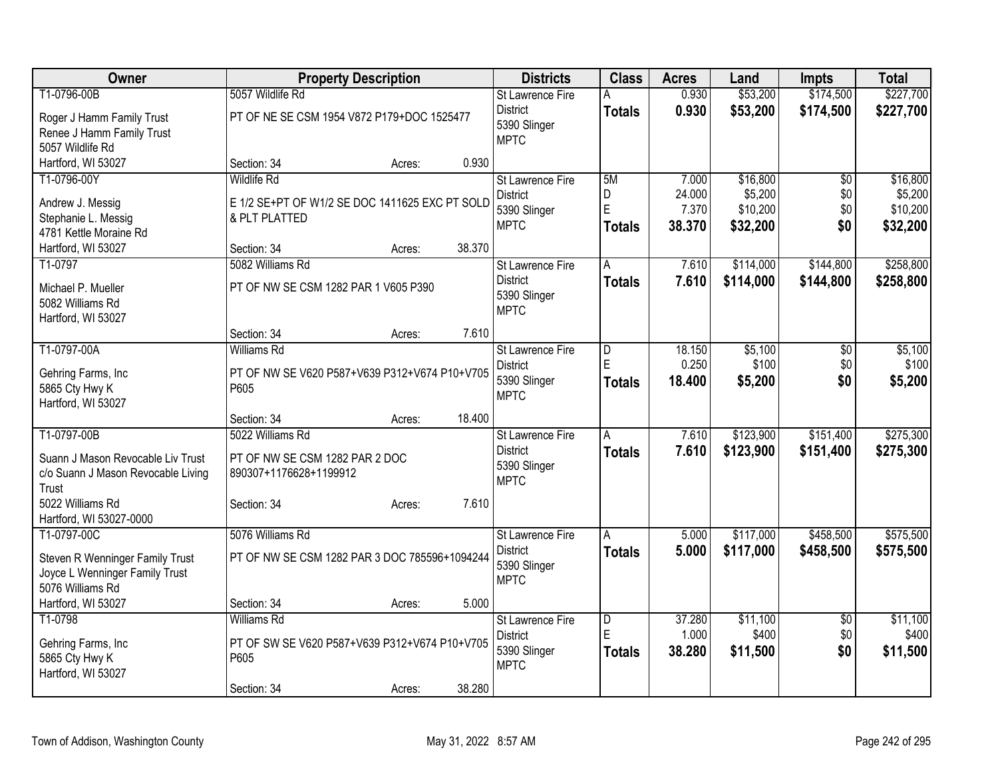| \$174,500<br>\$227,700<br>0.930<br>\$53,200<br>T1-0796-00B<br>5057 Wildlife Rd<br><b>St Lawrence Fire</b><br>Α<br>0.930<br>\$53,200<br>\$174,500<br>\$227,700<br><b>District</b><br><b>Totals</b><br>PT OF NE SE CSM 1954 V872 P179+DOC 1525477<br>Roger J Hamm Family Trust<br>5390 Slinger<br>Renee J Hamm Family Trust<br><b>MPTC</b><br>5057 Wildlife Rd<br>0.930<br>Hartford, WI 53027<br>Section: 34<br>Acres:<br>T1-0796-00Y<br><b>Wildlife Rd</b><br>5M<br>\$16,800<br>\$16,800<br>St Lawrence Fire<br>7.000<br>\$0<br>\$5,200<br>D<br>\$0<br>\$5,200<br><b>District</b><br>24.000<br>E 1/2 SE+PT OF W1/2 SE DOC 1411625 EXC PT SOLD<br>Andrew J. Messig<br>E<br>\$10,200<br>\$0<br>\$10,200<br>7.370<br>5390 Slinger<br>& PLT PLATTED<br>Stephanie L. Messig<br><b>MPTC</b><br>38.370<br>\$32,200<br>\$0<br>\$32,200<br><b>Totals</b><br>4781 Kettle Moraine Rd |
|--------------------------------------------------------------------------------------------------------------------------------------------------------------------------------------------------------------------------------------------------------------------------------------------------------------------------------------------------------------------------------------------------------------------------------------------------------------------------------------------------------------------------------------------------------------------------------------------------------------------------------------------------------------------------------------------------------------------------------------------------------------------------------------------------------------------------------------------------------------------------|
|                                                                                                                                                                                                                                                                                                                                                                                                                                                                                                                                                                                                                                                                                                                                                                                                                                                                          |
|                                                                                                                                                                                                                                                                                                                                                                                                                                                                                                                                                                                                                                                                                                                                                                                                                                                                          |
|                                                                                                                                                                                                                                                                                                                                                                                                                                                                                                                                                                                                                                                                                                                                                                                                                                                                          |
|                                                                                                                                                                                                                                                                                                                                                                                                                                                                                                                                                                                                                                                                                                                                                                                                                                                                          |
|                                                                                                                                                                                                                                                                                                                                                                                                                                                                                                                                                                                                                                                                                                                                                                                                                                                                          |
|                                                                                                                                                                                                                                                                                                                                                                                                                                                                                                                                                                                                                                                                                                                                                                                                                                                                          |
|                                                                                                                                                                                                                                                                                                                                                                                                                                                                                                                                                                                                                                                                                                                                                                                                                                                                          |
|                                                                                                                                                                                                                                                                                                                                                                                                                                                                                                                                                                                                                                                                                                                                                                                                                                                                          |
|                                                                                                                                                                                                                                                                                                                                                                                                                                                                                                                                                                                                                                                                                                                                                                                                                                                                          |
| 38.370<br>Hartford, WI 53027<br>Section: 34<br>Acres:                                                                                                                                                                                                                                                                                                                                                                                                                                                                                                                                                                                                                                                                                                                                                                                                                    |
| 5082 Williams Rd<br>\$258,800<br>\$114,000<br>\$144,800<br>T1-0797<br><b>St Lawrence Fire</b><br>7.610<br>A                                                                                                                                                                                                                                                                                                                                                                                                                                                                                                                                                                                                                                                                                                                                                              |
| <b>District</b><br>7.610<br>\$114,000<br>\$258,800<br>\$144,800<br><b>Totals</b>                                                                                                                                                                                                                                                                                                                                                                                                                                                                                                                                                                                                                                                                                                                                                                                         |
| PT OF NW SE CSM 1282 PAR 1 V605 P390<br>Michael P. Mueller<br>5390 Slinger                                                                                                                                                                                                                                                                                                                                                                                                                                                                                                                                                                                                                                                                                                                                                                                               |
| 5082 Williams Rd<br><b>MPTC</b>                                                                                                                                                                                                                                                                                                                                                                                                                                                                                                                                                                                                                                                                                                                                                                                                                                          |
| Hartford, WI 53027<br>7.610<br>Section: 34                                                                                                                                                                                                                                                                                                                                                                                                                                                                                                                                                                                                                                                                                                                                                                                                                               |
| Acres:<br>T1-0797-00A<br><b>Williams Rd</b><br>\$5,100<br>\$5,100<br>18.150<br>\$0<br><b>St Lawrence Fire</b><br>$\overline{D}$                                                                                                                                                                                                                                                                                                                                                                                                                                                                                                                                                                                                                                                                                                                                          |
| E<br>0.250<br>\$100<br>\$100<br>\$0<br><b>District</b>                                                                                                                                                                                                                                                                                                                                                                                                                                                                                                                                                                                                                                                                                                                                                                                                                   |
| Gehring Farms, Inc<br>PT OF NW SE V620 P587+V639 P312+V674 P10+V705<br>5390 Slinger<br>18.400<br>\$0<br>\$5,200<br>\$5,200<br>Totals                                                                                                                                                                                                                                                                                                                                                                                                                                                                                                                                                                                                                                                                                                                                     |
| 5865 Cty Hwy K<br>P605<br><b>MPTC</b>                                                                                                                                                                                                                                                                                                                                                                                                                                                                                                                                                                                                                                                                                                                                                                                                                                    |
| Hartford, WI 53027                                                                                                                                                                                                                                                                                                                                                                                                                                                                                                                                                                                                                                                                                                                                                                                                                                                       |
| 18.400<br>Section: 34<br>Acres:                                                                                                                                                                                                                                                                                                                                                                                                                                                                                                                                                                                                                                                                                                                                                                                                                                          |
| T1-0797-00B<br>5022 Williams Rd<br>\$123,900<br>\$151,400<br>\$275,300<br>7.610<br>St Lawrence Fire<br>A                                                                                                                                                                                                                                                                                                                                                                                                                                                                                                                                                                                                                                                                                                                                                                 |
| <b>District</b><br>7.610<br>\$123,900<br>\$151,400<br>\$275,300<br><b>Totals</b><br>PT OF NW SE CSM 1282 PAR 2 DOC<br>Suann J Mason Revocable Liv Trust                                                                                                                                                                                                                                                                                                                                                                                                                                                                                                                                                                                                                                                                                                                  |
| 5390 Slinger<br>c/o Suann J Mason Revocable Living<br>890307+1176628+1199912<br><b>MPTC</b>                                                                                                                                                                                                                                                                                                                                                                                                                                                                                                                                                                                                                                                                                                                                                                              |
| Trust                                                                                                                                                                                                                                                                                                                                                                                                                                                                                                                                                                                                                                                                                                                                                                                                                                                                    |
| 5022 Williams Rd<br>7.610<br>Section: 34<br>Acres:                                                                                                                                                                                                                                                                                                                                                                                                                                                                                                                                                                                                                                                                                                                                                                                                                       |
| Hartford, WI 53027-0000                                                                                                                                                                                                                                                                                                                                                                                                                                                                                                                                                                                                                                                                                                                                                                                                                                                  |
| 5076 Williams Rd<br>\$117,000<br>\$458,500<br>\$575,500<br>T1-0797-00C<br>5.000<br>St Lawrence Fire<br>A                                                                                                                                                                                                                                                                                                                                                                                                                                                                                                                                                                                                                                                                                                                                                                 |
| 5.000<br><b>District</b><br>\$117,000<br>\$458,500<br>\$575,500<br><b>Totals</b><br>PT OF NW SE CSM 1282 PAR 3 DOC 785596+1094244<br>Steven R Wenninger Family Trust                                                                                                                                                                                                                                                                                                                                                                                                                                                                                                                                                                                                                                                                                                     |
| 5390 Slinger<br>Joyce L Wenninger Family Trust                                                                                                                                                                                                                                                                                                                                                                                                                                                                                                                                                                                                                                                                                                                                                                                                                           |
| <b>MPTC</b><br>5076 Williams Rd                                                                                                                                                                                                                                                                                                                                                                                                                                                                                                                                                                                                                                                                                                                                                                                                                                          |
| Hartford, WI 53027<br>5.000<br>Section: 34<br>Acres:                                                                                                                                                                                                                                                                                                                                                                                                                                                                                                                                                                                                                                                                                                                                                                                                                     |
| \$11,100<br>\$11,100<br>T1-0798<br><b>Williams Rd</b><br>37.280<br>St Lawrence Fire<br>D<br>\$0                                                                                                                                                                                                                                                                                                                                                                                                                                                                                                                                                                                                                                                                                                                                                                          |
| ΙE<br>1.000<br>\$400<br>\$0<br>\$400<br><b>District</b><br>PT OF SW SE V620 P587+V639 P312+V674 P10+V705<br>Gehring Farms, Inc.                                                                                                                                                                                                                                                                                                                                                                                                                                                                                                                                                                                                                                                                                                                                          |
| 5390 Slinger<br>\$0<br>\$11,500<br>38.280<br>\$11,500<br><b>Totals</b><br>5865 Cty Hwy K<br>P605                                                                                                                                                                                                                                                                                                                                                                                                                                                                                                                                                                                                                                                                                                                                                                         |
| <b>MPTC</b><br>Hartford, WI 53027                                                                                                                                                                                                                                                                                                                                                                                                                                                                                                                                                                                                                                                                                                                                                                                                                                        |
| 38.280<br>Section: 34<br>Acres:                                                                                                                                                                                                                                                                                                                                                                                                                                                                                                                                                                                                                                                                                                                                                                                                                                          |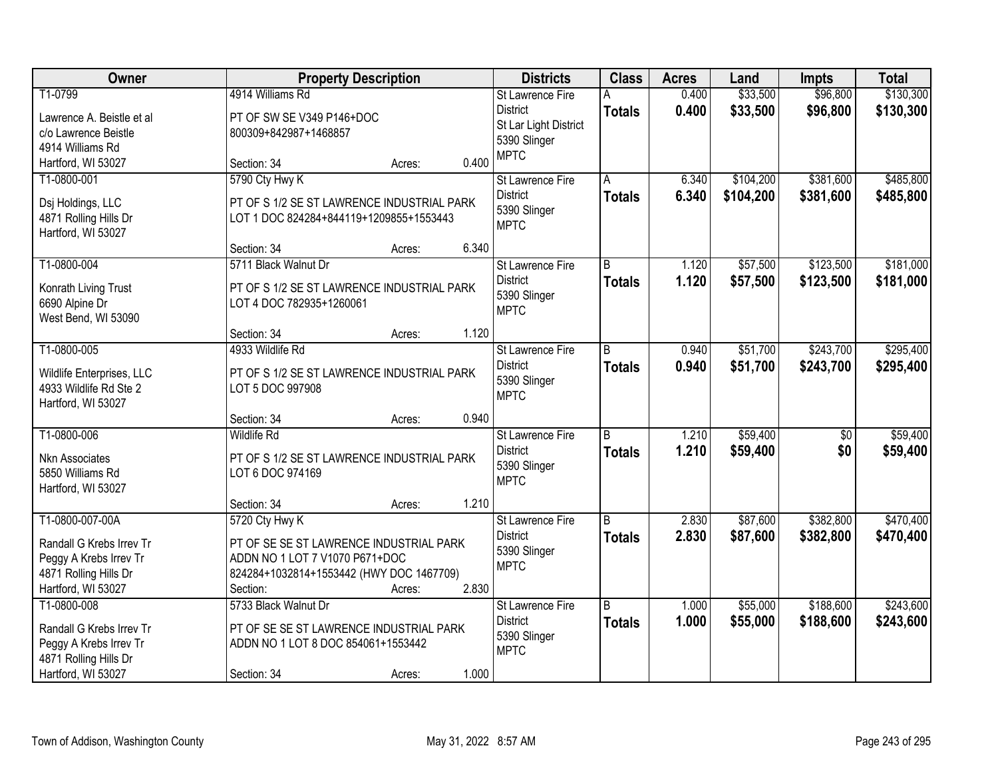| Owner                     | <b>Property Description</b>                |                 | <b>Districts</b>            | <b>Class</b>   | <b>Acres</b> | Land      | <b>Impts</b>    | <b>Total</b> |
|---------------------------|--------------------------------------------|-----------------|-----------------------------|----------------|--------------|-----------|-----------------|--------------|
| T1-0799                   | 4914 Williams Rd                           |                 | <b>St Lawrence Fire</b>     | А              | 0.400        | \$33,500  | \$96,800        | \$130,300    |
| Lawrence A. Beistle et al | PT OF SW SE V349 P146+DOC                  |                 | <b>District</b>             | <b>Totals</b>  | 0.400        | \$33,500  | \$96,800        | \$130,300    |
| c/o Lawrence Beistle      | 800309+842987+1468857                      |                 | St Lar Light District       |                |              |           |                 |              |
| 4914 Williams Rd          |                                            |                 | 5390 Slinger<br><b>MPTC</b> |                |              |           |                 |              |
| Hartford, WI 53027        | Section: 34                                | 0.400<br>Acres: |                             |                |              |           |                 |              |
| T1-0800-001               | 5790 Cty Hwy K                             |                 | St Lawrence Fire            | A              | 6.340        | \$104,200 | \$381,600       | \$485,800    |
| Dsj Holdings, LLC         | PT OF S 1/2 SE ST LAWRENCE INDUSTRIAL PARK |                 | <b>District</b>             | <b>Totals</b>  | 6.340        | \$104,200 | \$381,600       | \$485,800    |
| 4871 Rolling Hills Dr     | LOT 1 DOC 824284+844119+1209855+1553443    |                 | 5390 Slinger                |                |              |           |                 |              |
| Hartford, WI 53027        |                                            |                 | <b>MPTC</b>                 |                |              |           |                 |              |
|                           | Section: 34                                | 6.340<br>Acres: |                             |                |              |           |                 |              |
| T1-0800-004               | 5711 Black Walnut Dr                       |                 | St Lawrence Fire            | B              | 1.120        | \$57,500  | \$123,500       | \$181,000    |
| Konrath Living Trust      | PT OF S 1/2 SE ST LAWRENCE INDUSTRIAL PARK |                 | <b>District</b>             | <b>Totals</b>  | 1.120        | \$57,500  | \$123,500       | \$181,000    |
| 6690 Alpine Dr            | LOT 4 DOC 782935+1260061                   |                 | 5390 Slinger                |                |              |           |                 |              |
| West Bend, WI 53090       |                                            |                 | <b>MPTC</b>                 |                |              |           |                 |              |
|                           | Section: 34                                | 1.120<br>Acres: |                             |                |              |           |                 |              |
| T1-0800-005               | 4933 Wildlife Rd                           |                 | St Lawrence Fire            | B              | 0.940        | \$51,700  | \$243,700       | \$295,400    |
| Wildlife Enterprises, LLC | PT OF S 1/2 SE ST LAWRENCE INDUSTRIAL PARK |                 | <b>District</b>             | <b>Totals</b>  | 0.940        | \$51,700  | \$243,700       | \$295,400    |
| 4933 Wildlife Rd Ste 2    | LOT 5 DOC 997908                           |                 | 5390 Slinger                |                |              |           |                 |              |
| Hartford, WI 53027        |                                            |                 | <b>MPTC</b>                 |                |              |           |                 |              |
|                           | Section: 34                                | 0.940<br>Acres: |                             |                |              |           |                 |              |
| T1-0800-006               | <b>Wildlife Rd</b>                         |                 | St Lawrence Fire            | $\overline{B}$ | 1.210        | \$59,400  | $\overline{50}$ | \$59,400     |
| Nkn Associates            | PT OF S 1/2 SE ST LAWRENCE INDUSTRIAL PARK |                 | <b>District</b>             | <b>Totals</b>  | 1.210        | \$59,400  | \$0             | \$59,400     |
| 5850 Williams Rd          | LOT 6 DOC 974169                           |                 | 5390 Slinger                |                |              |           |                 |              |
| Hartford, WI 53027        |                                            |                 | <b>MPTC</b>                 |                |              |           |                 |              |
|                           | Section: 34                                | 1.210<br>Acres: |                             |                |              |           |                 |              |
| T1-0800-007-00A           | 5720 Cty Hwy K                             |                 | <b>St Lawrence Fire</b>     | B              | 2.830        | \$87,600  | \$382,800       | \$470,400    |
| Randall G Krebs Irrev Tr  | PT OF SE SE ST LAWRENCE INDUSTRIAL PARK    |                 | <b>District</b>             | <b>Totals</b>  | 2.830        | \$87,600  | \$382,800       | \$470,400    |
| Peggy A Krebs Irrev Tr    | ADDN NO 1 LOT 7 V1070 P671+DOC             |                 | 5390 Slinger                |                |              |           |                 |              |
| 4871 Rolling Hills Dr     | 824284+1032814+1553442 (HWY DOC 1467709)   |                 | <b>MPTC</b>                 |                |              |           |                 |              |
| Hartford, WI 53027        | Section:                                   | 2.830<br>Acres: |                             |                |              |           |                 |              |
| T1-0800-008               | 5733 Black Walnut Dr                       |                 | St Lawrence Fire            | B              | 1.000        | \$55,000  | \$188,600       | \$243,600    |
| Randall G Krebs Irrev Tr  | PT OF SE SE ST LAWRENCE INDUSTRIAL PARK    |                 | <b>District</b>             | <b>Totals</b>  | 1.000        | \$55,000  | \$188,600       | \$243,600    |
| Peggy A Krebs Irrev Tr    | ADDN NO 1 LOT 8 DOC 854061+1553442         |                 | 5390 Slinger                |                |              |           |                 |              |
| 4871 Rolling Hills Dr     |                                            |                 | <b>MPTC</b>                 |                |              |           |                 |              |
| Hartford, WI 53027        | Section: 34                                | 1.000<br>Acres: |                             |                |              |           |                 |              |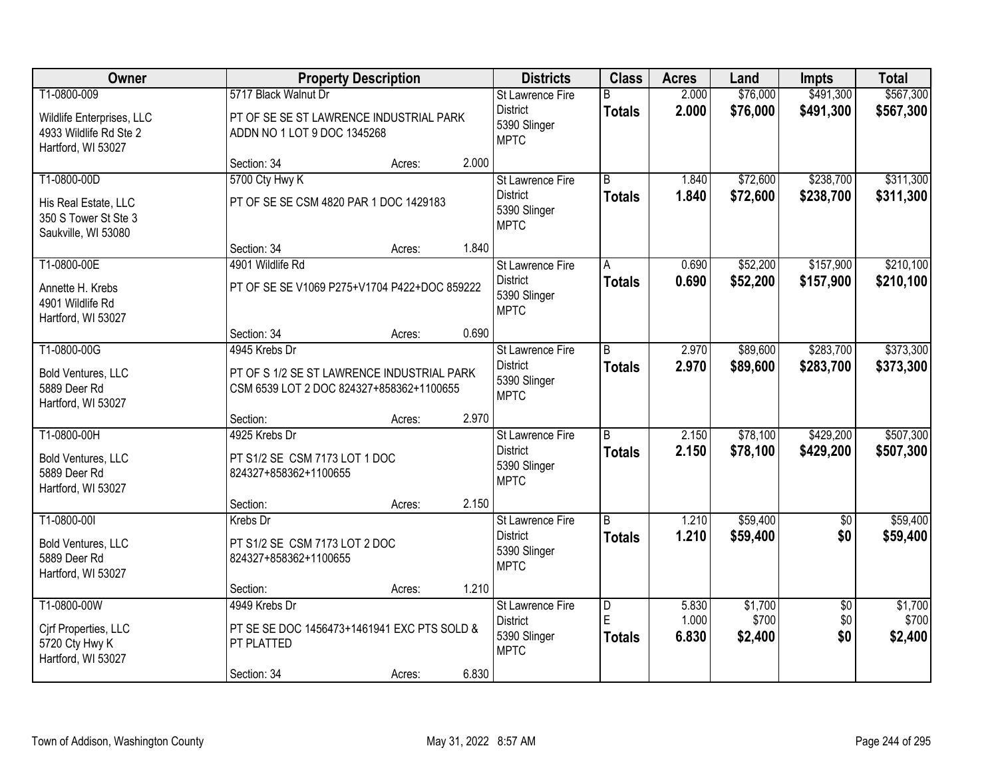| Owner                                                                          |                                                                                        | <b>Property Description</b> |       | <b>Districts</b>                                                   | <b>Class</b>                         | <b>Acres</b>            | Land                        | <b>Impts</b>                  | <b>Total</b>                |
|--------------------------------------------------------------------------------|----------------------------------------------------------------------------------------|-----------------------------|-------|--------------------------------------------------------------------|--------------------------------------|-------------------------|-----------------------------|-------------------------------|-----------------------------|
| T1-0800-009                                                                    | 5717 Black Walnut Dr                                                                   |                             |       | St Lawrence Fire                                                   | B                                    | 2.000                   | \$76,000                    | \$491,300                     | \$567,300                   |
| Wildlife Enterprises, LLC<br>4933 Wildlife Rd Ste 2<br>Hartford, WI 53027      | PT OF SE SE ST LAWRENCE INDUSTRIAL PARK<br>ADDN NO 1 LOT 9 DOC 1345268                 |                             |       | <b>District</b><br>5390 Slinger<br><b>MPTC</b>                     | <b>Totals</b>                        | 2.000                   | \$76,000                    | \$491,300                     | \$567,300                   |
|                                                                                | Section: 34                                                                            | Acres:                      | 2.000 |                                                                    |                                      |                         |                             |                               |                             |
| T1-0800-00D                                                                    | 5700 Cty Hwy K                                                                         |                             |       | St Lawrence Fire                                                   | $\overline{R}$                       | 1.840                   | \$72,600                    | \$238,700                     | \$311,300                   |
| His Real Estate, LLC<br>350 S Tower St Ste 3<br>Saukville, WI 53080            | PT OF SE SE CSM 4820 PAR 1 DOC 1429183                                                 |                             |       | <b>District</b><br>5390 Slinger<br><b>MPTC</b>                     | <b>Totals</b>                        | 1.840                   | \$72,600                    | \$238,700                     | \$311,300                   |
|                                                                                | Section: 34                                                                            | Acres:                      | 1.840 |                                                                    |                                      |                         |                             |                               |                             |
| T1-0800-00E                                                                    | 4901 Wildlife Rd                                                                       |                             |       | St Lawrence Fire                                                   | Α                                    | 0.690                   | \$52,200                    | \$157,900                     | \$210,100                   |
| Annette H. Krebs<br>4901 Wildlife Rd<br>Hartford, WI 53027                     | PT OF SE SE V1069 P275+V1704 P422+DOC 859222                                           |                             |       | <b>District</b><br>5390 Slinger<br><b>MPTC</b>                     | <b>Totals</b>                        | 0.690                   | \$52,200                    | \$157,900                     | \$210,100                   |
|                                                                                | Section: 34                                                                            | Acres:                      | 0.690 |                                                                    |                                      |                         |                             |                               |                             |
| T1-0800-00G                                                                    | 4945 Krebs Dr                                                                          |                             |       | St Lawrence Fire                                                   | B                                    | 2.970                   | \$89,600                    | \$283,700                     | \$373,300                   |
| <b>Bold Ventures, LLC</b><br>5889 Deer Rd<br>Hartford, WI 53027                | PT OF S 1/2 SE ST LAWRENCE INDUSTRIAL PARK<br>CSM 6539 LOT 2 DOC 824327+858362+1100655 |                             |       | <b>District</b><br>5390 Slinger<br><b>MPTC</b>                     | <b>Totals</b>                        | 2.970                   | \$89,600                    | \$283,700                     | \$373,300                   |
|                                                                                | Section:                                                                               | Acres:                      | 2.970 |                                                                    |                                      |                         |                             |                               |                             |
| T1-0800-00H<br><b>Bold Ventures, LLC</b><br>5889 Deer Rd<br>Hartford, WI 53027 | 4925 Krebs Dr<br>PT S1/2 SE CSM 7173 LOT 1 DOC<br>824327+858362+1100655                |                             |       | St Lawrence Fire<br><b>District</b><br>5390 Slinger<br><b>MPTC</b> | $\overline{B}$<br><b>Totals</b>      | 2.150<br>2.150          | \$78,100<br>\$78,100        | \$429,200<br>\$429,200        | \$507,300<br>\$507,300      |
|                                                                                | Section:                                                                               | Acres:                      | 2.150 |                                                                    |                                      |                         |                             |                               |                             |
| T1-0800-00I                                                                    | Krebs Dr                                                                               |                             |       | St Lawrence Fire                                                   | $\overline{B}$                       | 1.210                   | \$59,400                    | $\sqrt{6}$                    | \$59,400                    |
| <b>Bold Ventures, LLC</b><br>5889 Deer Rd<br>Hartford, WI 53027                | PT S1/2 SE CSM 7173 LOT 2 DOC<br>824327+858362+1100655                                 |                             |       | <b>District</b><br>5390 Slinger<br><b>MPTC</b>                     | <b>Totals</b>                        | 1.210                   | \$59,400                    | \$0                           | \$59,400                    |
|                                                                                | Section:                                                                               | Acres:                      | 1.210 |                                                                    |                                      |                         |                             |                               |                             |
| T1-0800-00W<br>Cirf Properties, LLC<br>5720 Cty Hwy K<br>Hartford, WI 53027    | 4949 Krebs Dr<br>PT SE SE DOC 1456473+1461941 EXC PTS SOLD &<br>PT PLATTED             |                             |       | St Lawrence Fire<br><b>District</b><br>5390 Slinger<br><b>MPTC</b> | $\overline{D}$<br>E<br><b>Totals</b> | 5.830<br>1.000<br>6.830 | \$1,700<br>\$700<br>\$2,400 | $\overline{50}$<br>\$0<br>\$0 | \$1,700<br>\$700<br>\$2,400 |
|                                                                                | Section: 34                                                                            | Acres:                      | 6.830 |                                                                    |                                      |                         |                             |                               |                             |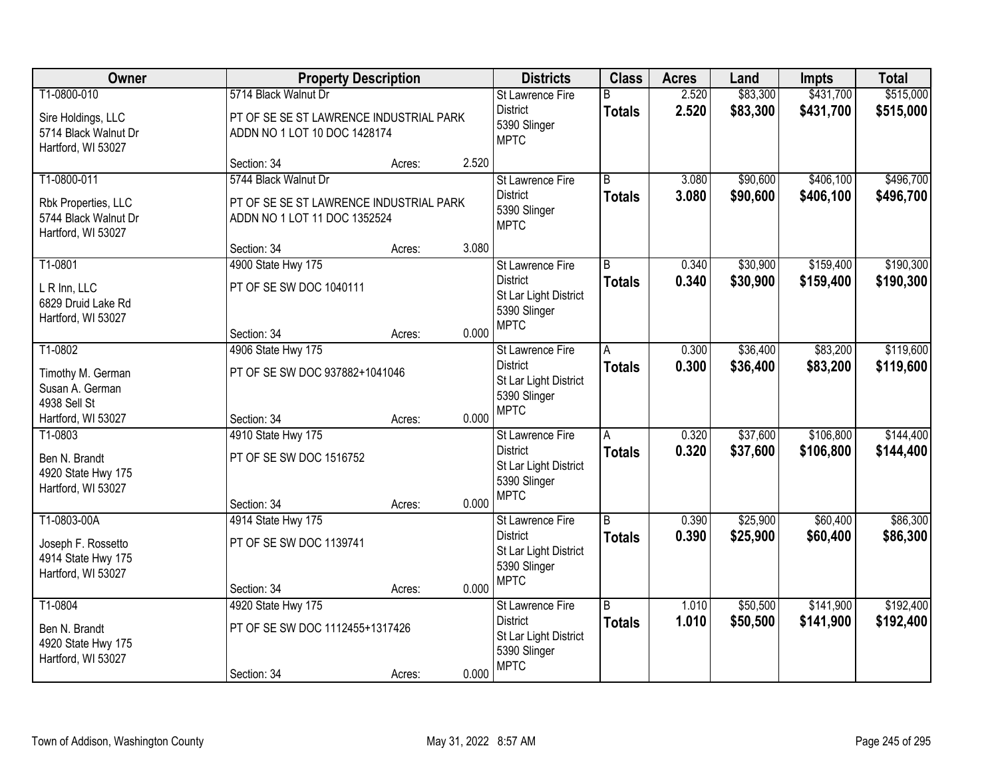| Owner                                                                | <b>Property Description</b>                                             |        |       | <b>Districts</b>                                                                                   | <b>Class</b>       | <b>Acres</b>   | Land                 | <b>Impts</b>           | <b>Total</b>           |
|----------------------------------------------------------------------|-------------------------------------------------------------------------|--------|-------|----------------------------------------------------------------------------------------------------|--------------------|----------------|----------------------|------------------------|------------------------|
| T1-0800-010                                                          | 5714 Black Walnut Dr                                                    |        |       | St Lawrence Fire                                                                                   | R                  | 2.520          | \$83,300             | \$431,700              | \$515,000              |
| Sire Holdings, LLC<br>5714 Black Walnut Dr<br>Hartford, WI 53027     | PT OF SE SE ST LAWRENCE INDUSTRIAL PARK<br>ADDN NO 1 LOT 10 DOC 1428174 |        |       | <b>District</b><br>5390 Slinger<br><b>MPTC</b>                                                     | <b>Totals</b>      | 2.520          | \$83,300             | \$431,700              | \$515,000              |
|                                                                      | Section: 34                                                             | Acres: | 2.520 |                                                                                                    |                    |                |                      |                        |                        |
| T1-0800-011                                                          | 5744 Black Walnut Dr                                                    |        |       | St Lawrence Fire                                                                                   | $\overline{B}$     | 3.080          | \$90,600             | \$406,100              | \$496,700              |
| Rbk Properties, LLC<br>5744 Black Walnut Dr<br>Hartford, WI 53027    | PT OF SE SE ST LAWRENCE INDUSTRIAL PARK<br>ADDN NO 1 LOT 11 DOC 1352524 |        |       | <b>District</b><br>5390 Slinger<br><b>MPTC</b>                                                     | <b>Totals</b>      | 3.080          | \$90,600             | \$406,100              | \$496,700              |
|                                                                      | Section: 34                                                             | Acres: | 3.080 |                                                                                                    |                    |                |                      |                        |                        |
| T1-0801                                                              | 4900 State Hwy 175                                                      |        |       | St Lawrence Fire                                                                                   | B                  | 0.340          | \$30,900             | \$159,400              | \$190,300              |
| L R Inn, LLC<br>6829 Druid Lake Rd<br>Hartford, WI 53027             | PT OF SE SW DOC 1040111                                                 |        |       | <b>District</b><br>St Lar Light District<br>5390 Slinger                                           | <b>Totals</b>      | 0.340          | \$30,900             | \$159,400              | \$190,300              |
|                                                                      | Section: 34                                                             | Acres: | 0.000 | <b>MPTC</b>                                                                                        |                    |                |                      |                        |                        |
| T1-0802                                                              | 4906 State Hwy 175                                                      |        |       | St Lawrence Fire                                                                                   | A                  | 0.300          | \$36,400             | \$83,200               | \$119,600              |
| Timothy M. German<br>Susan A. German<br>4938 Sell St                 | PT OF SE SW DOC 937882+1041046                                          |        |       | <b>District</b><br>St Lar Light District<br>5390 Slinger                                           | <b>Totals</b>      | 0.300          | \$36,400             | \$83,200               | \$119,600              |
| Hartford, WI 53027                                                   | Section: 34                                                             | Acres: | 0.000 | <b>MPTC</b>                                                                                        |                    |                |                      |                        |                        |
| T1-0803                                                              | 4910 State Hwy 175                                                      |        |       | St Lawrence Fire                                                                                   | A                  | 0.320          | \$37,600             | \$106,800              | \$144,400              |
| Ben N. Brandt<br>4920 State Hwy 175<br>Hartford, WI 53027            | PT OF SE SW DOC 1516752<br>Section: 34                                  | Acres: | 0.000 | <b>District</b><br>St Lar Light District<br>5390 Slinger<br><b>MPTC</b>                            | <b>Totals</b>      | 0.320          | \$37,600             | \$106,800              | \$144,400              |
| T1-0803-00A                                                          | 4914 State Hwy 175                                                      |        |       | St Lawrence Fire                                                                                   | $\overline{B}$     | 0.390          | \$25,900             | \$60,400               | \$86,300               |
| Joseph F. Rossetto<br>4914 State Hwy 175<br>Hartford, WI 53027       | PT OF SE SW DOC 1139741                                                 |        |       | <b>District</b><br>St Lar Light District<br>5390 Slinger<br><b>MPTC</b>                            | <b>Totals</b>      | 0.390          | \$25,900             | \$60,400               | \$86,300               |
|                                                                      | Section: 34                                                             | Acres: | 0.000 |                                                                                                    |                    |                |                      |                        |                        |
| T1-0804<br>Ben N. Brandt<br>4920 State Hwy 175<br>Hartford, WI 53027 | 4920 State Hwy 175<br>PT OF SE SW DOC 1112455+1317426<br>Section: 34    | Acres: | 0.000 | <b>St Lawrence Fire</b><br><b>District</b><br>St Lar Light District<br>5390 Slinger<br><b>MPTC</b> | B<br><b>Totals</b> | 1.010<br>1.010 | \$50,500<br>\$50,500 | \$141,900<br>\$141,900 | \$192,400<br>\$192,400 |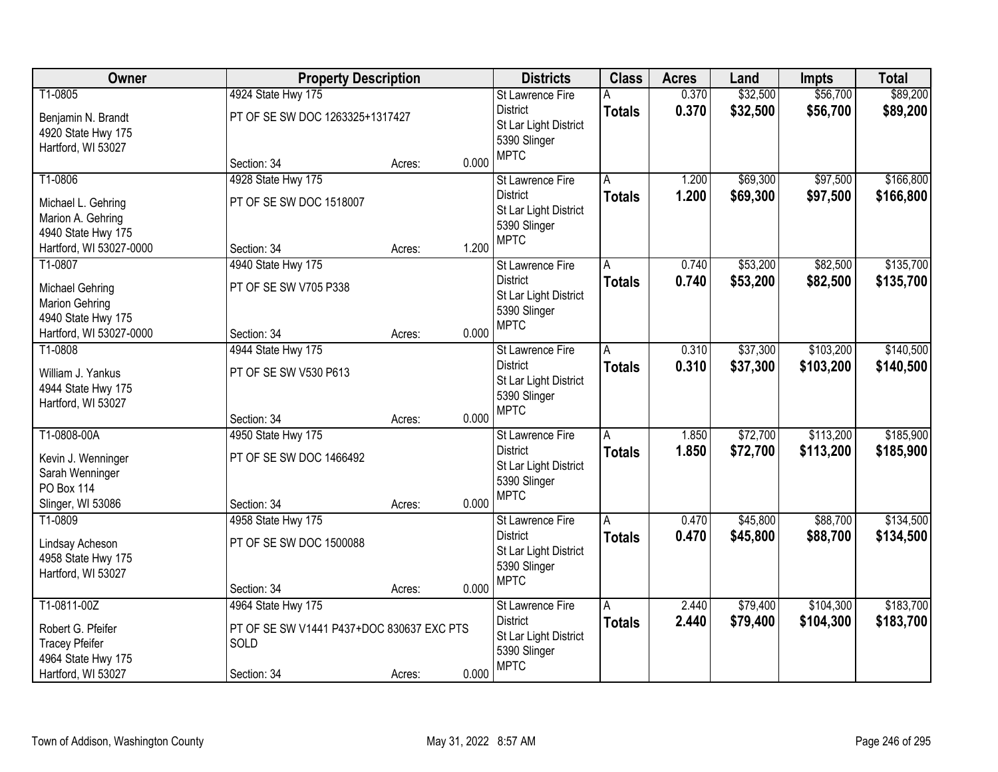| Owner                                                                                                       | <b>Property Description</b>                                                            |                  |                | <b>Districts</b>                                                                                   | <b>Class</b>       | <b>Acres</b>   | Land                 | <b>Impts</b>           | <b>Total</b>           |
|-------------------------------------------------------------------------------------------------------------|----------------------------------------------------------------------------------------|------------------|----------------|----------------------------------------------------------------------------------------------------|--------------------|----------------|----------------------|------------------------|------------------------|
| T1-0805<br>Benjamin N. Brandt<br>4920 State Hwy 175<br>Hartford, WI 53027                                   | 4924 State Hwy 175<br>PT OF SE SW DOC 1263325+1317427                                  |                  |                | <b>St Lawrence Fire</b><br><b>District</b><br>St Lar Light District<br>5390 Slinger<br><b>MPTC</b> | А<br><b>Totals</b> | 0.370<br>0.370 | \$32,500<br>\$32,500 | \$56,700<br>\$56,700   | \$89,200<br>\$89,200   |
|                                                                                                             | Section: 34                                                                            | Acres:           | 0.000          |                                                                                                    |                    |                |                      |                        |                        |
| T1-0806<br>Michael L. Gehring<br>Marion A. Gehring<br>4940 State Hwy 175<br>Hartford, WI 53027-0000         | 4928 State Hwy 175<br>PT OF SE SW DOC 1518007<br>Section: 34                           | Acres:           | 1.200          | St Lawrence Fire<br><b>District</b><br>St Lar Light District<br>5390 Slinger<br><b>MPTC</b>        | Α<br><b>Totals</b> | 1.200<br>1.200 | \$69,300<br>\$69,300 | \$97,500<br>\$97,500   | \$166,800<br>\$166,800 |
| T1-0807<br><b>Michael Gehring</b><br><b>Marion Gehring</b><br>4940 State Hwy 175<br>Hartford, WI 53027-0000 | 4940 State Hwy 175<br>PT OF SE SW V705 P338<br>Section: 34                             | Acres:           | 0.000          | St Lawrence Fire<br><b>District</b><br>St Lar Light District<br>5390 Slinger<br><b>MPTC</b>        | A<br><b>Totals</b> | 0.740<br>0.740 | \$53,200<br>\$53,200 | \$82,500<br>\$82,500   | \$135,700<br>\$135,700 |
| T1-0808<br>William J. Yankus<br>4944 State Hwy 175<br>Hartford, WI 53027                                    | 4944 State Hwy 175<br>PT OF SE SW V530 P613                                            |                  |                | St Lawrence Fire<br><b>District</b><br>St Lar Light District<br>5390 Slinger<br><b>MPTC</b>        | A<br><b>Totals</b> | 0.310<br>0.310 | \$37,300<br>\$37,300 | \$103,200<br>\$103,200 | \$140,500<br>\$140,500 |
| T1-0808-00A<br>Kevin J. Wenninger<br>Sarah Wenninger<br>PO Box 114<br>Slinger, WI 53086                     | Section: 34<br>4950 State Hwy 175<br>PT OF SE SW DOC 1466492<br>Section: 34            | Acres:<br>Acres: | 0.000<br>0.000 | St Lawrence Fire<br><b>District</b><br>St Lar Light District<br>5390 Slinger<br><b>MPTC</b>        | A<br><b>Totals</b> | 1.850<br>1.850 | \$72,700<br>\$72,700 | \$113,200<br>\$113,200 | \$185,900<br>\$185,900 |
| T1-0809<br>Lindsay Acheson<br>4958 State Hwy 175<br>Hartford, WI 53027                                      | 4958 State Hwy 175<br>PT OF SE SW DOC 1500088<br>Section: 34                           | Acres:           | 0.000          | St Lawrence Fire<br><b>District</b><br>St Lar Light District<br>5390 Slinger<br><b>MPTC</b>        | A<br><b>Totals</b> | 0.470<br>0.470 | \$45,800<br>\$45,800 | \$88,700<br>\$88,700   | \$134,500<br>\$134,500 |
| T1-0811-00Z<br>Robert G. Pfeifer<br><b>Tracey Pfeifer</b><br>4964 State Hwy 175<br>Hartford, WI 53027       | 4964 State Hwy 175<br>PT OF SE SW V1441 P437+DOC 830637 EXC PTS<br>SOLD<br>Section: 34 | Acres:           | 0.000          | St Lawrence Fire<br><b>District</b><br>St Lar Light District<br>5390 Slinger<br><b>MPTC</b>        | A<br><b>Totals</b> | 2.440<br>2.440 | \$79,400<br>\$79,400 | \$104,300<br>\$104,300 | \$183,700<br>\$183,700 |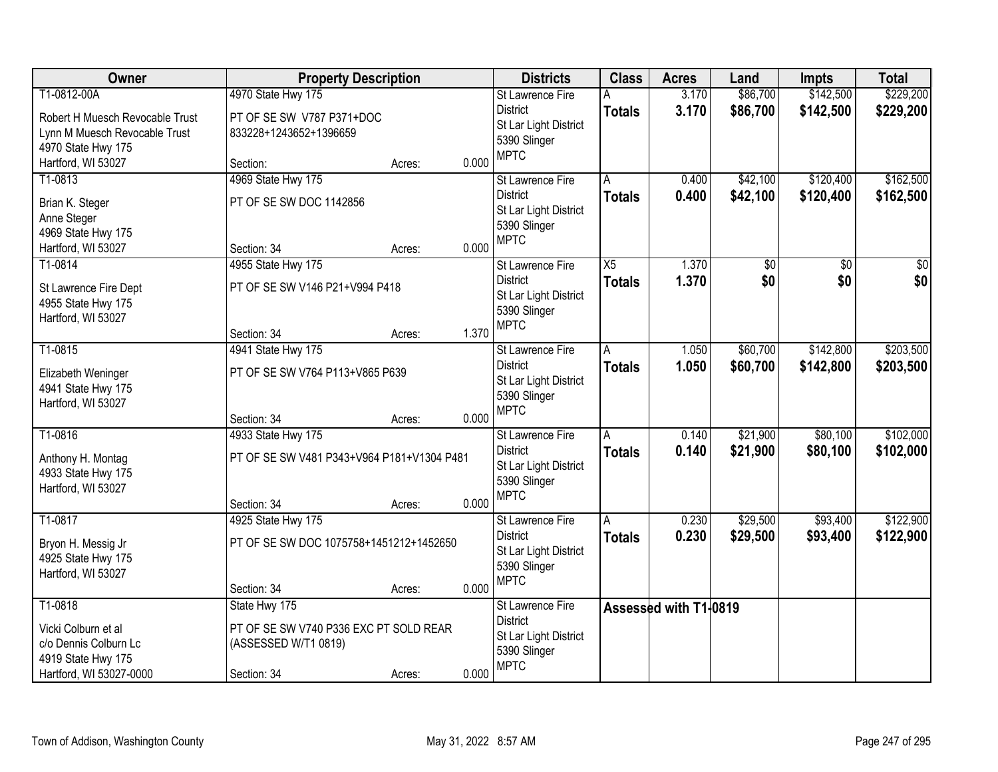| Owner                           | <b>Property Description</b>                |        |       | <b>Districts</b>                         | <b>Class</b>  | <b>Acres</b>          | Land     | <b>Impts</b> | <b>Total</b>   |
|---------------------------------|--------------------------------------------|--------|-------|------------------------------------------|---------------|-----------------------|----------|--------------|----------------|
| T1-0812-00A                     | 4970 State Hwy 175                         |        |       | <b>St Lawrence Fire</b>                  | А             | 3.170                 | \$86,700 | \$142,500    | \$229,200      |
| Robert H Muesch Revocable Trust | PT OF SE SW V787 P371+DOC                  |        |       | <b>District</b>                          | <b>Totals</b> | 3.170                 | \$86,700 | \$142,500    | \$229,200      |
| Lynn M Muesch Revocable Trust   | 833228+1243652+1396659                     |        |       | St Lar Light District                    |               |                       |          |              |                |
| 4970 State Hwy 175              |                                            |        |       | 5390 Slinger<br><b>MPTC</b>              |               |                       |          |              |                |
| Hartford, WI 53027              | Section:                                   | Acres: | 0.000 |                                          |               |                       |          |              |                |
| T1-0813                         | 4969 State Hwy 175                         |        |       | St Lawrence Fire                         | A             | 0.400                 | \$42,100 | \$120,400    | \$162,500      |
| Brian K. Steger                 | PT OF SE SW DOC 1142856                    |        |       | <b>District</b>                          | <b>Totals</b> | 0.400                 | \$42,100 | \$120,400    | \$162,500      |
| Anne Steger                     |                                            |        |       | St Lar Light District                    |               |                       |          |              |                |
| 4969 State Hwy 175              |                                            |        |       | 5390 Slinger<br><b>MPTC</b>              |               |                       |          |              |                |
| Hartford, WI 53027              | Section: 34                                | Acres: | 0.000 |                                          |               |                       |          |              |                |
| T1-0814                         | 4955 State Hwy 175                         |        |       | St Lawrence Fire                         | X5            | 1.370                 | \$0      | \$0          | \$0            |
| St Lawrence Fire Dept           | PT OF SE SW V146 P21+V994 P418             |        |       | <b>District</b>                          | <b>Totals</b> | 1.370                 | \$0      | \$0          | s <sub>0</sub> |
| 4955 State Hwy 175              |                                            |        |       | St Lar Light District<br>5390 Slinger    |               |                       |          |              |                |
| Hartford, WI 53027              |                                            |        |       | <b>MPTC</b>                              |               |                       |          |              |                |
|                                 | Section: 34                                | Acres: | 1.370 |                                          |               |                       |          |              |                |
| T1-0815                         | 4941 State Hwy 175                         |        |       | St Lawrence Fire                         | A             | 1.050                 | \$60,700 | \$142,800    | \$203,500      |
| Elizabeth Weninger              | PT OF SE SW V764 P113+V865 P639            |        |       | <b>District</b>                          | <b>Totals</b> | 1.050                 | \$60,700 | \$142,800    | \$203,500      |
| 4941 State Hwy 175              |                                            |        |       | St Lar Light District<br>5390 Slinger    |               |                       |          |              |                |
| Hartford, WI 53027              |                                            |        |       | <b>MPTC</b>                              |               |                       |          |              |                |
|                                 | Section: 34                                | Acres: | 0.000 |                                          |               |                       |          |              |                |
| T1-0816                         | 4933 State Hwy 175                         |        |       | St Lawrence Fire                         | A             | 0.140                 | \$21,900 | \$80,100     | \$102,000      |
| Anthony H. Montag               | PT OF SE SW V481 P343+V964 P181+V1304 P481 |        |       | <b>District</b><br>St Lar Light District | Totals        | 0.140                 | \$21,900 | \$80,100     | \$102,000      |
| 4933 State Hwy 175              |                                            |        |       | 5390 Slinger                             |               |                       |          |              |                |
| Hartford, WI 53027              |                                            |        |       | <b>MPTC</b>                              |               |                       |          |              |                |
|                                 | Section: 34                                | Acres: | 0.000 |                                          |               |                       |          |              |                |
| T1-0817                         | 4925 State Hwy 175                         |        |       | St Lawrence Fire                         | A             | 0.230                 | \$29,500 | \$93,400     | \$122,900      |
| Bryon H. Messig Jr              | PT OF SE SW DOC 1075758+1451212+1452650    |        |       | <b>District</b><br>St Lar Light District | <b>Totals</b> | 0.230                 | \$29,500 | \$93,400     | \$122,900      |
| 4925 State Hwy 175              |                                            |        |       | 5390 Slinger                             |               |                       |          |              |                |
| Hartford, WI 53027              |                                            |        |       | <b>MPTC</b>                              |               |                       |          |              |                |
|                                 | Section: 34                                | Acres: | 0.000 |                                          |               |                       |          |              |                |
| T1-0818                         | State Hwy 175                              |        |       | <b>St Lawrence Fire</b>                  |               | Assessed with T1-0819 |          |              |                |
| Vicki Colburn et al             | PT OF SE SW V740 P336 EXC PT SOLD REAR     |        |       | <b>District</b><br>St Lar Light District |               |                       |          |              |                |
| c/o Dennis Colburn Lc           | (ASSESSED W/T1 0819)                       |        |       | 5390 Slinger                             |               |                       |          |              |                |
| 4919 State Hwy 175              |                                            |        |       | <b>MPTC</b>                              |               |                       |          |              |                |
| Hartford, WI 53027-0000         | Section: 34                                | Acres: | 0.000 |                                          |               |                       |          |              |                |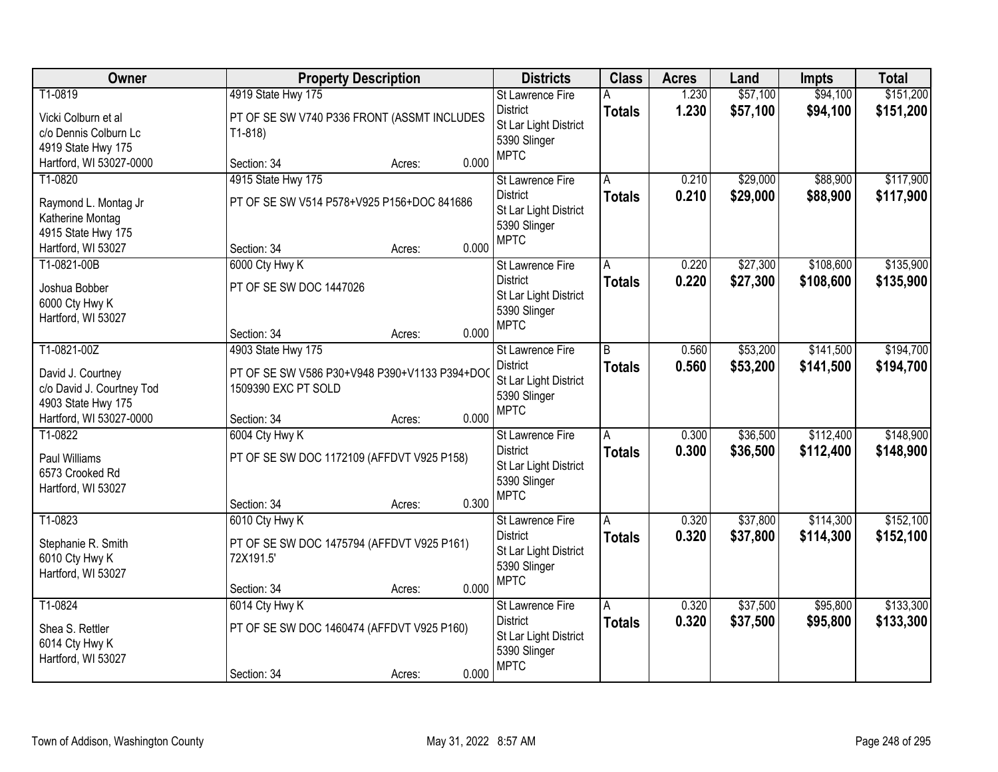| Owner                                                                                                          | <b>Property Description</b>                                                                                         | <b>Districts</b>                                                                                            | <b>Class</b>             | <b>Acres</b>   | Land                 | <b>Impts</b>           | <b>Total</b>           |
|----------------------------------------------------------------------------------------------------------------|---------------------------------------------------------------------------------------------------------------------|-------------------------------------------------------------------------------------------------------------|--------------------------|----------------|----------------------|------------------------|------------------------|
| T1-0819<br>Vicki Colburn et al<br>c/o Dennis Colburn Lc<br>4919 State Hwy 175                                  | 4919 State Hwy 175<br>PT OF SE SW V740 P336 FRONT (ASSMT INCLUDES<br>$T1-818$                                       | St Lawrence Fire<br><b>District</b><br>St Lar Light District<br>5390 Slinger<br><b>MPTC</b>                 | A<br><b>Totals</b>       | 1.230<br>1.230 | \$57,100<br>\$57,100 | \$94,100<br>\$94,100   | \$151,200<br>\$151,200 |
| Hartford, WI 53027-0000                                                                                        | Section: 34<br>Acres:                                                                                               | 0.000                                                                                                       |                          |                |                      |                        |                        |
| T1-0820<br>Raymond L. Montag Jr<br>Katherine Montag<br>4915 State Hwy 175<br>Hartford, WI 53027                | 4915 State Hwy 175<br>PT OF SE SW V514 P578+V925 P156+DOC 841686<br>Section: 34<br>Acres:                           | <b>St Lawrence Fire</b><br><b>District</b><br>St Lar Light District<br>5390 Slinger<br><b>MPTC</b><br>0.000 | A<br><b>Totals</b>       | 0.210<br>0.210 | \$29,000<br>\$29,000 | \$88,900<br>\$88,900   | \$117,900<br>\$117,900 |
| T1-0821-00B<br>Joshua Bobber<br>6000 Cty Hwy K<br>Hartford, WI 53027                                           | 6000 Cty Hwy K<br>PT OF SE SW DOC 1447026<br>Section: 34<br>Acres:                                                  | St Lawrence Fire<br><b>District</b><br>St Lar Light District<br>5390 Slinger<br><b>MPTC</b><br>0.000        | A<br><b>Totals</b>       | 0.220<br>0.220 | \$27,300<br>\$27,300 | \$108,600<br>\$108,600 | \$135,900<br>\$135,900 |
| T1-0821-00Z<br>David J. Courtney<br>c/o David J. Courtney Tod<br>4903 State Hwy 175<br>Hartford, WI 53027-0000 | 4903 State Hwy 175<br>PT OF SE SW V586 P30+V948 P390+V1133 P394+DOC<br>1509390 EXC PT SOLD<br>Section: 34<br>Acres: | St Lawrence Fire<br><b>District</b><br>St Lar Light District<br>5390 Slinger<br><b>MPTC</b><br>0.000        | B<br><b>Totals</b>       | 0.560<br>0.560 | \$53,200<br>\$53,200 | \$141,500<br>\$141,500 | \$194,700<br>\$194,700 |
| T1-0822<br>Paul Williams<br>6573 Crooked Rd<br>Hartford, WI 53027                                              | 6004 Cty Hwy K<br>PT OF SE SW DOC 1172109 (AFFDVT V925 P158)<br>Section: 34<br>Acres:                               | St Lawrence Fire<br><b>District</b><br>St Lar Light District<br>5390 Slinger<br><b>MPTC</b><br>0.300        | $\overline{A}$<br>Totals | 0.300<br>0.300 | \$36,500<br>\$36,500 | \$112,400<br>\$112,400 | \$148,900<br>\$148,900 |
| T1-0823<br>Stephanie R. Smith<br>6010 Cty Hwy K<br>Hartford, WI 53027                                          | 6010 Cty Hwy K<br>PT OF SE SW DOC 1475794 (AFFDVT V925 P161)<br>72X191.5'<br>Section: 34<br>Acres:                  | St Lawrence Fire<br><b>District</b><br>St Lar Light District<br>5390 Slinger<br><b>MPTC</b><br>0.000        | A<br><b>Totals</b>       | 0.320<br>0.320 | \$37,800<br>\$37,800 | \$114,300<br>\$114,300 | \$152,100<br>\$152,100 |
| T1-0824<br>Shea S. Rettler<br>6014 Cty Hwy K<br>Hartford, WI 53027                                             | 6014 Cty Hwy K<br>PT OF SE SW DOC 1460474 (AFFDVT V925 P160)<br>Section: 34<br>Acres:                               | <b>St Lawrence Fire</b><br><b>District</b><br>St Lar Light District<br>5390 Slinger<br><b>MPTC</b><br>0.000 | A<br><b>Totals</b>       | 0.320<br>0.320 | \$37,500<br>\$37,500 | \$95,800<br>\$95,800   | \$133,300<br>\$133,300 |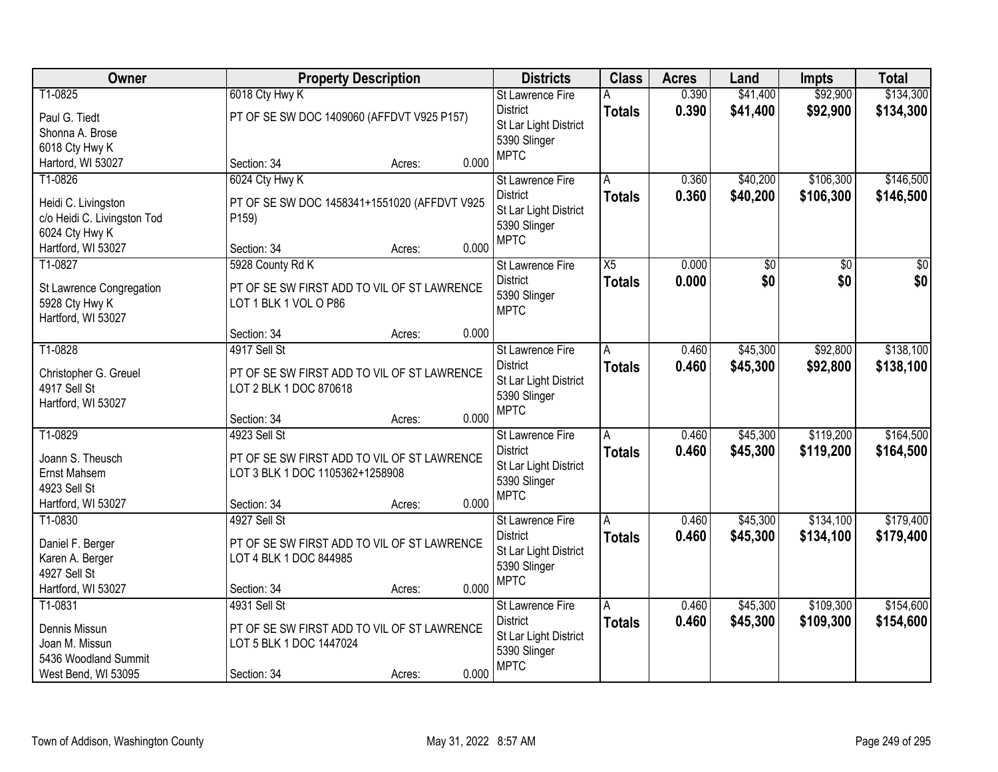| Owner                                                                                                                      |                                                                               | <b>Property Description</b>                                      |                | <b>Districts</b>                                                                                   | <b>Class</b>                    | <b>Acres</b>   | Land                   | Impts                  | <b>Total</b>           |
|----------------------------------------------------------------------------------------------------------------------------|-------------------------------------------------------------------------------|------------------------------------------------------------------|----------------|----------------------------------------------------------------------------------------------------|---------------------------------|----------------|------------------------|------------------------|------------------------|
| T1-0825<br>Paul G. Tiedt<br>Shonna A. Brose<br>6018 Cty Hwy K                                                              | 6018 Cty Hwy K                                                                | PT OF SE SW DOC 1409060 (AFFDVT V925 P157)                       |                | <b>St Lawrence Fire</b><br><b>District</b><br>St Lar Light District<br>5390 Slinger<br><b>MPTC</b> | A<br><b>Totals</b>              | 0.390<br>0.390 | \$41,400<br>\$41,400   | \$92,900<br>\$92,900   | \$134,300<br>\$134,300 |
| Hartord, WI 53027<br>T1-0826<br>Heidi C. Livingston<br>c/o Heidi C. Livingston Tod<br>6024 Cty Hwy K<br>Hartford, WI 53027 | Section: 34<br>6024 Cty Hwy K<br>P159)<br>Section: 34                         | Acres:<br>PT OF SE SW DOC 1458341+1551020 (AFFDVT V925<br>Acres: | 0.000<br>0.000 | St Lawrence Fire<br><b>District</b><br>St Lar Light District<br>5390 Slinger<br><b>MPTC</b>        | A<br><b>Totals</b>              | 0.360<br>0.360 | \$40,200<br>\$40,200   | \$106,300<br>\$106,300 | \$146,500<br>\$146,500 |
| T1-0827<br>St Lawrence Congregation<br>5928 Cty Hwy K<br>Hartford, WI 53027                                                | 5928 County Rd K<br>LOT 1 BLK 1 VOL O P86<br>Section: 34                      | PT OF SE SW FIRST ADD TO VIL OF ST LAWRENCE<br>Acres:            | 0.000          | St Lawrence Fire<br><b>District</b><br>5390 Slinger<br><b>MPTC</b>                                 | X5<br><b>Totals</b>             | 0.000<br>0.000 | $\overline{50}$<br>\$0 | $\overline{50}$<br>\$0 | $\overline{50}$<br>\$0 |
| T1-0828<br>Christopher G. Greuel<br>4917 Sell St<br>Hartford, WI 53027                                                     | 4917 Sell St<br>LOT 2 BLK 1 DOC 870618                                        | PT OF SE SW FIRST ADD TO VIL OF ST LAWRENCE                      |                | St Lawrence Fire<br><b>District</b><br>St Lar Light District<br>5390 Slinger<br><b>MPTC</b>        | $\overline{A}$<br><b>Totals</b> | 0.460<br>0.460 | \$45,300<br>\$45,300   | \$92,800<br>\$92,800   | \$138,100<br>\$138,100 |
| T1-0829<br>Joann S. Theusch<br>Ernst Mahsem<br>4923 Sell St<br>Hartford, WI 53027                                          | Section: 34<br>4923 Sell St<br>LOT 3 BLK 1 DOC 1105362+1258908<br>Section: 34 | Acres:<br>PT OF SE SW FIRST ADD TO VIL OF ST LAWRENCE<br>Acres:  | 0.000<br>0.000 | St Lawrence Fire<br><b>District</b><br>St Lar Light District<br>5390 Slinger<br><b>MPTC</b>        | A<br><b>Totals</b>              | 0.460<br>0.460 | \$45,300<br>\$45,300   | \$119,200<br>\$119,200 | \$164,500<br>\$164,500 |
| T1-0830<br>Daniel F. Berger<br>Karen A. Berger<br>4927 Sell St<br>Hartford, WI 53027                                       | 4927 Sell St<br>LOT 4 BLK 1 DOC 844985<br>Section: 34                         | PT OF SE SW FIRST ADD TO VIL OF ST LAWRENCE<br>Acres:            | 0.000          | St Lawrence Fire<br><b>District</b><br>St Lar Light District<br>5390 Slinger<br><b>MPTC</b>        | Α<br><b>Totals</b>              | 0.460<br>0.460 | \$45,300<br>\$45,300   | \$134,100<br>\$134,100 | \$179,400<br>\$179,400 |
| T1-0831<br>Dennis Missun<br>Joan M. Missun<br>5436 Woodland Summit<br>West Bend, WI 53095                                  | 4931 Sell St<br>LOT 5 BLK 1 DOC 1447024<br>Section: 34                        | PT OF SE SW FIRST ADD TO VIL OF ST LAWRENCE<br>Acres:            | 0.000          | St Lawrence Fire<br><b>District</b><br>St Lar Light District<br>5390 Slinger<br><b>MPTC</b>        | A<br><b>Totals</b>              | 0.460<br>0.460 | \$45,300<br>\$45,300   | \$109,300<br>\$109,300 | \$154,600<br>\$154,600 |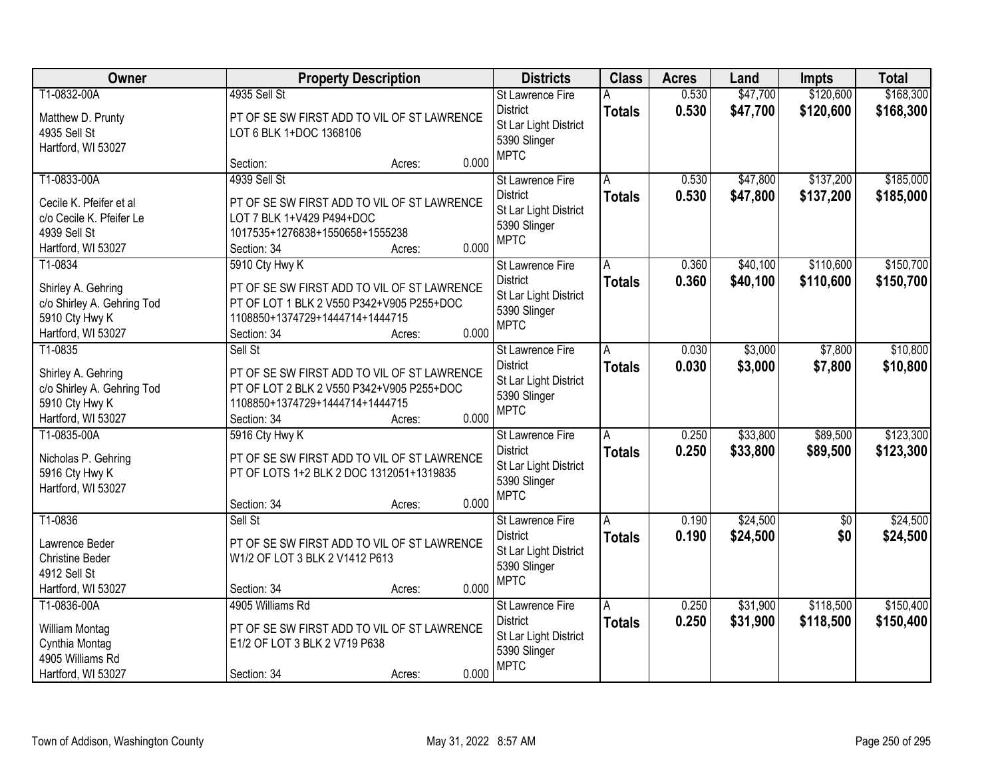| Owner                      | <b>Property Description</b>                 |                 | <b>Districts</b>                         | <b>Class</b>  | <b>Acres</b> | Land     | <b>Impts</b>    | <b>Total</b> |
|----------------------------|---------------------------------------------|-----------------|------------------------------------------|---------------|--------------|----------|-----------------|--------------|
| T1-0832-00A                | 4935 Sell St                                |                 | St Lawrence Fire                         |               | 0.530        | \$47,700 | \$120,600       | \$168,300    |
| Matthew D. Prunty          | PT OF SE SW FIRST ADD TO VIL OF ST LAWRENCE |                 | <b>District</b><br>St Lar Light District | <b>Totals</b> | 0.530        | \$47,700 | \$120,600       | \$168,300    |
| 4935 Sell St               | LOT 6 BLK 1+DOC 1368106                     |                 | 5390 Slinger                             |               |              |          |                 |              |
| Hartford, WI 53027         | Section:                                    | 0.000<br>Acres: | <b>MPTC</b>                              |               |              |          |                 |              |
| T1-0833-00A                | 4939 Sell St                                |                 | <b>St Lawrence Fire</b>                  | A             | 0.530        | \$47,800 | \$137,200       | \$185,000    |
| Cecile K. Pfeifer et al    | PT OF SE SW FIRST ADD TO VIL OF ST LAWRENCE |                 | <b>District</b>                          | <b>Totals</b> | 0.530        | \$47,800 | \$137,200       | \$185,000    |
| c/o Cecile K. Pfeifer Le   | LOT 7 BLK 1+V429 P494+DOC                   |                 | St Lar Light District                    |               |              |          |                 |              |
| 4939 Sell St               | 1017535+1276838+1550658+1555238             |                 | 5390 Slinger                             |               |              |          |                 |              |
| Hartford, WI 53027         | Section: 34                                 | 0.000<br>Acres: | <b>MPTC</b>                              |               |              |          |                 |              |
| T1-0834                    | 5910 Cty Hwy K                              |                 | St Lawrence Fire                         | Α             | 0.360        | \$40,100 | \$110,600       | \$150,700    |
| Shirley A. Gehring         | PT OF SE SW FIRST ADD TO VIL OF ST LAWRENCE |                 | <b>District</b>                          | <b>Totals</b> | 0.360        | \$40,100 | \$110,600       | \$150,700    |
| c/o Shirley A. Gehring Tod | PT OF LOT 1 BLK 2 V550 P342+V905 P255+DOC   |                 | St Lar Light District                    |               |              |          |                 |              |
| 5910 Cty Hwy K             | 1108850+1374729+1444714+1444715             |                 | 5390 Slinger                             |               |              |          |                 |              |
| Hartford, WI 53027         | Section: 34                                 | 0.000<br>Acres: | <b>MPTC</b>                              |               |              |          |                 |              |
| T1-0835                    | Sell St                                     |                 | St Lawrence Fire                         | A             | 0.030        | \$3,000  | \$7,800         | \$10,800     |
| Shirley A. Gehring         | PT OF SE SW FIRST ADD TO VIL OF ST LAWRENCE |                 | <b>District</b>                          | <b>Totals</b> | 0.030        | \$3,000  | \$7,800         | \$10,800     |
| c/o Shirley A. Gehring Tod | PT OF LOT 2 BLK 2 V550 P342+V905 P255+DOC   |                 | St Lar Light District                    |               |              |          |                 |              |
| 5910 Cty Hwy K             | 1108850+1374729+1444714+1444715             |                 | 5390 Slinger<br><b>MPTC</b>              |               |              |          |                 |              |
| Hartford, WI 53027         | Section: 34                                 | 0.000<br>Acres: |                                          |               |              |          |                 |              |
| T1-0835-00A                | 5916 Cty Hwy K                              |                 | St Lawrence Fire                         | A             | 0.250        | \$33,800 | \$89,500        | \$123,300    |
| Nicholas P. Gehring        | PT OF SE SW FIRST ADD TO VIL OF ST LAWRENCE |                 | <b>District</b>                          | <b>Totals</b> | 0.250        | \$33,800 | \$89,500        | \$123,300    |
| 5916 Cty Hwy K             | PT OF LOTS 1+2 BLK 2 DOC 1312051+1319835    |                 | St Lar Light District                    |               |              |          |                 |              |
| Hartford, WI 53027         |                                             |                 | 5390 Slinger<br><b>MPTC</b>              |               |              |          |                 |              |
|                            | Section: 34                                 | 0.000<br>Acres: |                                          |               |              |          |                 |              |
| T1-0836                    | Sell St                                     |                 | St Lawrence Fire                         | A             | 0.190        | \$24,500 | $\overline{50}$ | \$24,500     |
| Lawrence Beder             | PT OF SE SW FIRST ADD TO VIL OF ST LAWRENCE |                 | <b>District</b>                          | <b>Totals</b> | 0.190        | \$24,500 | \$0             | \$24,500     |
| <b>Christine Beder</b>     | W1/2 OF LOT 3 BLK 2 V1412 P613              |                 | St Lar Light District                    |               |              |          |                 |              |
| 4912 Sell St               |                                             |                 | 5390 Slinger<br><b>MPTC</b>              |               |              |          |                 |              |
| Hartford, WI 53027         | Section: 34                                 | 0.000<br>Acres: |                                          |               |              |          |                 |              |
| T1-0836-00A                | 4905 Williams Rd                            |                 | <b>St Lawrence Fire</b>                  | A             | 0.250        | \$31,900 | \$118,500       | \$150,400    |
| William Montag             | PT OF SE SW FIRST ADD TO VIL OF ST LAWRENCE |                 | <b>District</b>                          | <b>Totals</b> | 0.250        | \$31,900 | \$118,500       | \$150,400    |
| Cynthia Montag             | E1/2 OF LOT 3 BLK 2 V719 P638               |                 | St Lar Light District                    |               |              |          |                 |              |
| 4905 Williams Rd           |                                             |                 | 5390 Slinger<br><b>MPTC</b>              |               |              |          |                 |              |
| Hartford, WI 53027         | Section: 34                                 | 0.000<br>Acres: |                                          |               |              |          |                 |              |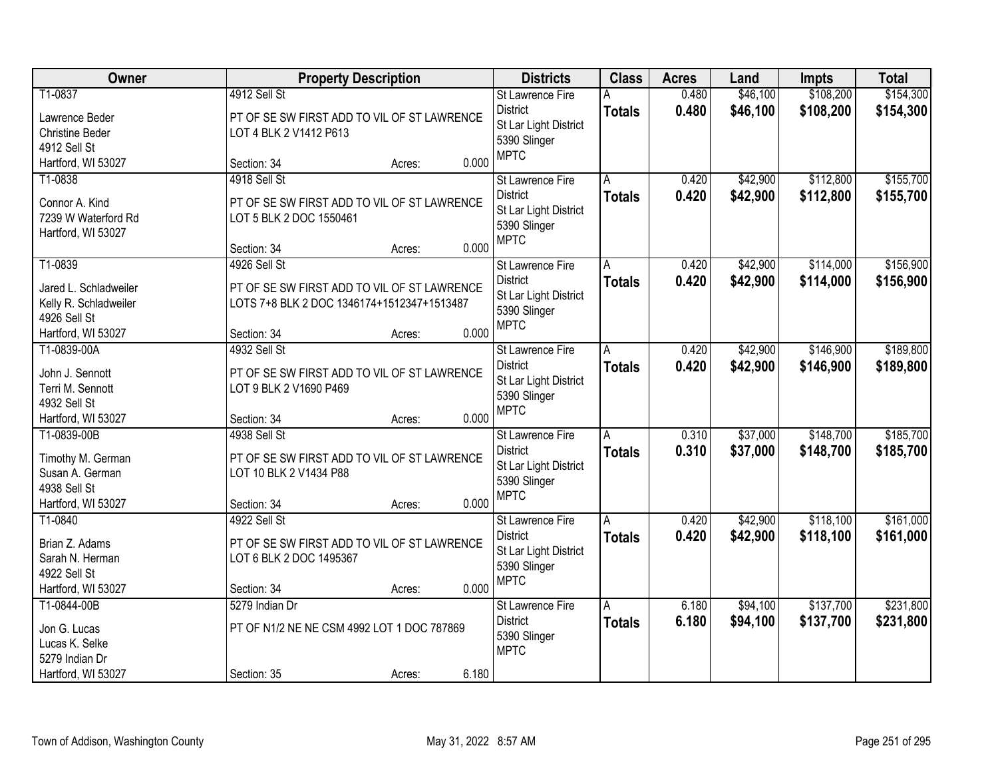| Owner                                                                                           |                                                                                                                          | <b>Property Description</b> |       | <b>Districts</b>                                                                                   | <b>Class</b>       | <b>Acres</b>   | Land                 | <b>Impts</b>           | <b>Total</b>           |
|-------------------------------------------------------------------------------------------------|--------------------------------------------------------------------------------------------------------------------------|-----------------------------|-------|----------------------------------------------------------------------------------------------------|--------------------|----------------|----------------------|------------------------|------------------------|
| T1-0837<br>Lawrence Beder<br><b>Christine Beder</b><br>4912 Sell St                             | 4912 Sell St<br>PT OF SE SW FIRST ADD TO VIL OF ST LAWRENCE<br>LOT 4 BLK 2 V1412 P613                                    |                             |       | <b>St Lawrence Fire</b><br><b>District</b><br>St Lar Light District<br>5390 Slinger<br><b>MPTC</b> | Α<br><b>Totals</b> | 0.480<br>0.480 | \$46,100<br>\$46,100 | \$108,200<br>\$108,200 | \$154,300<br>\$154,300 |
| Hartford, WI 53027                                                                              | Section: 34                                                                                                              | Acres:                      | 0.000 |                                                                                                    |                    |                |                      |                        |                        |
| T1-0838<br>Connor A. Kind<br>7239 W Waterford Rd<br>Hartford, WI 53027                          | 4918 Sell St<br>PT OF SE SW FIRST ADD TO VIL OF ST LAWRENCE<br>LOT 5 BLK 2 DOC 1550461<br>Section: 34                    | Acres:                      | 0.000 | St Lawrence Fire<br><b>District</b><br>St Lar Light District<br>5390 Slinger<br><b>MPTC</b>        | A<br><b>Totals</b> | 0.420<br>0.420 | \$42,900<br>\$42,900 | \$112,800<br>\$112,800 | \$155,700<br>\$155,700 |
| T1-0839<br>Jared L. Schladweiler<br>Kelly R. Schladweiler<br>4926 Sell St<br>Hartford, WI 53027 | 4926 Sell St<br>PT OF SE SW FIRST ADD TO VIL OF ST LAWRENCE<br>LOTS 7+8 BLK 2 DOC 1346174+1512347+1513487<br>Section: 34 | Acres:                      | 0.000 | St Lawrence Fire<br><b>District</b><br>St Lar Light District<br>5390 Slinger<br><b>MPTC</b>        | A<br><b>Totals</b> | 0.420<br>0.420 | \$42,900<br>\$42,900 | \$114,000<br>\$114,000 | \$156,900<br>\$156,900 |
| T1-0839-00A<br>John J. Sennott<br>Terri M. Sennott<br>4932 Sell St<br>Hartford, WI 53027        | 4932 Sell St<br>PT OF SE SW FIRST ADD TO VIL OF ST LAWRENCE<br>LOT 9 BLK 2 V1690 P469<br>Section: 34                     | Acres:                      | 0.000 | St Lawrence Fire<br><b>District</b><br>St Lar Light District<br>5390 Slinger<br><b>MPTC</b>        | Α<br><b>Totals</b> | 0.420<br>0.420 | \$42,900<br>\$42,900 | \$146,900<br>\$146,900 | \$189,800<br>\$189,800 |
| T1-0839-00B<br>Timothy M. German<br>Susan A. German<br>4938 Sell St<br>Hartford, WI 53027       | 4938 Sell St<br>PT OF SE SW FIRST ADD TO VIL OF ST LAWRENCE<br>LOT 10 BLK 2 V1434 P88<br>Section: 34                     | Acres:                      | 0.000 | St Lawrence Fire<br><b>District</b><br>St Lar Light District<br>5390 Slinger<br><b>MPTC</b>        | A<br><b>Totals</b> | 0.310<br>0.310 | \$37,000<br>\$37,000 | \$148,700<br>\$148,700 | \$185,700<br>\$185,700 |
| T1-0840<br>Brian Z. Adams<br>Sarah N. Herman<br>4922 Sell St<br>Hartford, WI 53027              | 4922 Sell St<br>PT OF SE SW FIRST ADD TO VIL OF ST LAWRENCE<br>LOT 6 BLK 2 DOC 1495367<br>Section: 34                    | Acres:                      | 0.000 | St Lawrence Fire<br><b>District</b><br>St Lar Light District<br>5390 Slinger<br><b>MPTC</b>        | A<br><b>Totals</b> | 0.420<br>0.420 | \$42,900<br>\$42,900 | \$118,100<br>\$118,100 | \$161,000<br>\$161,000 |
| T1-0844-00B<br>Jon G. Lucas<br>Lucas K. Selke<br>5279 Indian Dr<br>Hartford, WI 53027           | 5279 Indian Dr<br>PT OF N1/2 NE NE CSM 4992 LOT 1 DOC 787869<br>Section: 35                                              | Acres:                      | 6.180 | <b>St Lawrence Fire</b><br><b>District</b><br>5390 Slinger<br><b>MPTC</b>                          | A<br><b>Totals</b> | 6.180<br>6.180 | \$94,100<br>\$94,100 | \$137,700<br>\$137,700 | \$231,800<br>\$231,800 |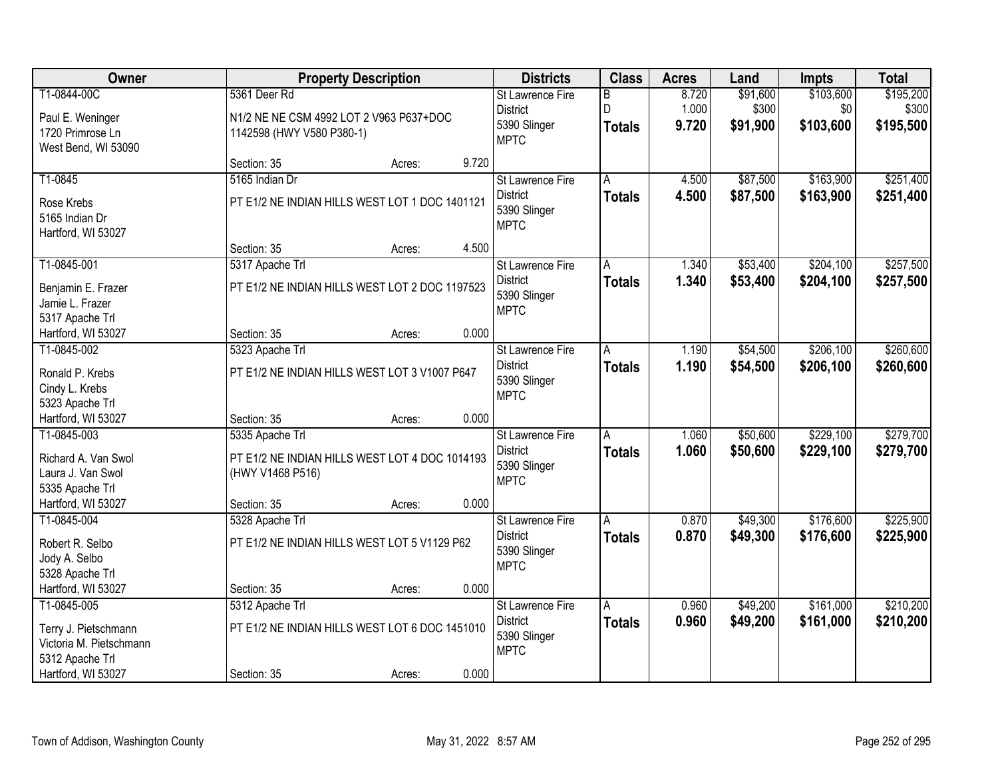| Owner                            |                                                                    | <b>Property Description</b> |       | <b>Districts</b> | <b>Class</b>            | <b>Acres</b> | Land     | <b>Impts</b> | <b>Total</b> |
|----------------------------------|--------------------------------------------------------------------|-----------------------------|-------|------------------|-------------------------|--------------|----------|--------------|--------------|
| T1-0844-00C                      | 5361 Deer Rd                                                       |                             |       | St Lawrence Fire | $\overline{\mathsf{B}}$ | 8.720        | \$91,600 | \$103,600    | \$195,200    |
| Paul E. Weninger                 | N1/2 NE NE CSM 4992 LOT 2 V963 P637+DOC                            |                             |       | <b>District</b>  | D                       | 1.000        | \$300    | \$0          | \$300        |
| 1720 Primrose Ln                 | 1142598 (HWY V580 P380-1)                                          |                             |       | 5390 Slinger     | <b>Totals</b>           | 9.720        | \$91,900 | \$103,600    | \$195,500    |
| West Bend, WI 53090              |                                                                    |                             |       | <b>MPTC</b>      |                         |              |          |              |              |
|                                  | Section: 35                                                        | Acres:                      | 9.720 |                  |                         |              |          |              |              |
| T1-0845                          | 5165 Indian Dr                                                     |                             |       | St Lawrence Fire | A                       | 4.500        | \$87,500 | \$163,900    | \$251,400    |
| Rose Krebs                       | PT E1/2 NE INDIAN HILLS WEST LOT 1 DOC 1401121                     |                             |       | <b>District</b>  | <b>Totals</b>           | 4.500        | \$87,500 | \$163,900    | \$251,400    |
| 5165 Indian Dr                   |                                                                    |                             |       | 5390 Slinger     |                         |              |          |              |              |
| Hartford, WI 53027               |                                                                    |                             |       | <b>MPTC</b>      |                         |              |          |              |              |
|                                  | Section: 35                                                        | Acres:                      | 4.500 |                  |                         |              |          |              |              |
| T1-0845-001                      | 5317 Apache Trl                                                    |                             |       | St Lawrence Fire | Α                       | 1.340        | \$53,400 | \$204,100    | \$257,500    |
| Benjamin E. Frazer               | PT E1/2 NE INDIAN HILLS WEST LOT 2 DOC 1197523                     |                             |       | <b>District</b>  | <b>Totals</b>           | 1.340        | \$53,400 | \$204,100    | \$257,500    |
| Jamie L. Frazer                  |                                                                    |                             |       | 5390 Slinger     |                         |              |          |              |              |
| 5317 Apache Trl                  |                                                                    |                             |       | <b>MPTC</b>      |                         |              |          |              |              |
| Hartford, WI 53027               | Section: 35                                                        | Acres:                      | 0.000 |                  |                         |              |          |              |              |
| T1-0845-002                      | 5323 Apache Trl                                                    |                             |       | St Lawrence Fire | A                       | 1.190        | \$54,500 | \$206,100    | \$260,600    |
| Ronald P. Krebs                  | PT E1/2 NE INDIAN HILLS WEST LOT 3 V1007 P647                      |                             |       | <b>District</b>  | <b>Totals</b>           | 1.190        | \$54,500 | \$206,100    | \$260,600    |
| Cindy L. Krebs                   |                                                                    |                             |       | 5390 Slinger     |                         |              |          |              |              |
| 5323 Apache Trl                  |                                                                    |                             |       | <b>MPTC</b>      |                         |              |          |              |              |
| Hartford, WI 53027               | Section: 35                                                        | Acres:                      | 0.000 |                  |                         |              |          |              |              |
| T1-0845-003                      | 5335 Apache Trl                                                    |                             |       | St Lawrence Fire | A                       | 1.060        | \$50,600 | \$229,100    | \$279,700    |
| Richard A. Van Swol              |                                                                    |                             |       | <b>District</b>  | <b>Totals</b>           | 1.060        | \$50,600 | \$229,100    | \$279,700    |
| Laura J. Van Swol                | PT E1/2 NE INDIAN HILLS WEST LOT 4 DOC 1014193<br>(HWY V1468 P516) |                             |       | 5390 Slinger     |                         |              |          |              |              |
| 5335 Apache Trl                  |                                                                    |                             |       | <b>MPTC</b>      |                         |              |          |              |              |
| Hartford, WI 53027               | Section: 35                                                        | Acres:                      | 0.000 |                  |                         |              |          |              |              |
| T1-0845-004                      | 5328 Apache Trl                                                    |                             |       | St Lawrence Fire | A                       | 0.870        | \$49,300 | \$176,600    | \$225,900    |
|                                  |                                                                    |                             |       | <b>District</b>  | <b>Totals</b>           | 0.870        | \$49,300 | \$176,600    | \$225,900    |
| Robert R. Selbo                  | PT E1/2 NE INDIAN HILLS WEST LOT 5 V1129 P62                       |                             |       | 5390 Slinger     |                         |              |          |              |              |
| Jody A. Selbo<br>5328 Apache Trl |                                                                    |                             |       | <b>MPTC</b>      |                         |              |          |              |              |
| Hartford, WI 53027               | Section: 35                                                        | Acres:                      | 0.000 |                  |                         |              |          |              |              |
| T1-0845-005                      | 5312 Apache Trl                                                    |                             |       | St Lawrence Fire | A                       | 0.960        | \$49,200 | \$161,000    | \$210,200    |
|                                  |                                                                    |                             |       | <b>District</b>  | <b>Totals</b>           | 0.960        | \$49,200 | \$161,000    | \$210,200    |
| Terry J. Pietschmann             | PT E1/2 NE INDIAN HILLS WEST LOT 6 DOC 1451010                     |                             |       | 5390 Slinger     |                         |              |          |              |              |
| Victoria M. Pietschmann          |                                                                    |                             |       | <b>MPTC</b>      |                         |              |          |              |              |
| 5312 Apache Trl                  | Section: 35                                                        |                             | 0.000 |                  |                         |              |          |              |              |
| Hartford, WI 53027               |                                                                    | Acres:                      |       |                  |                         |              |          |              |              |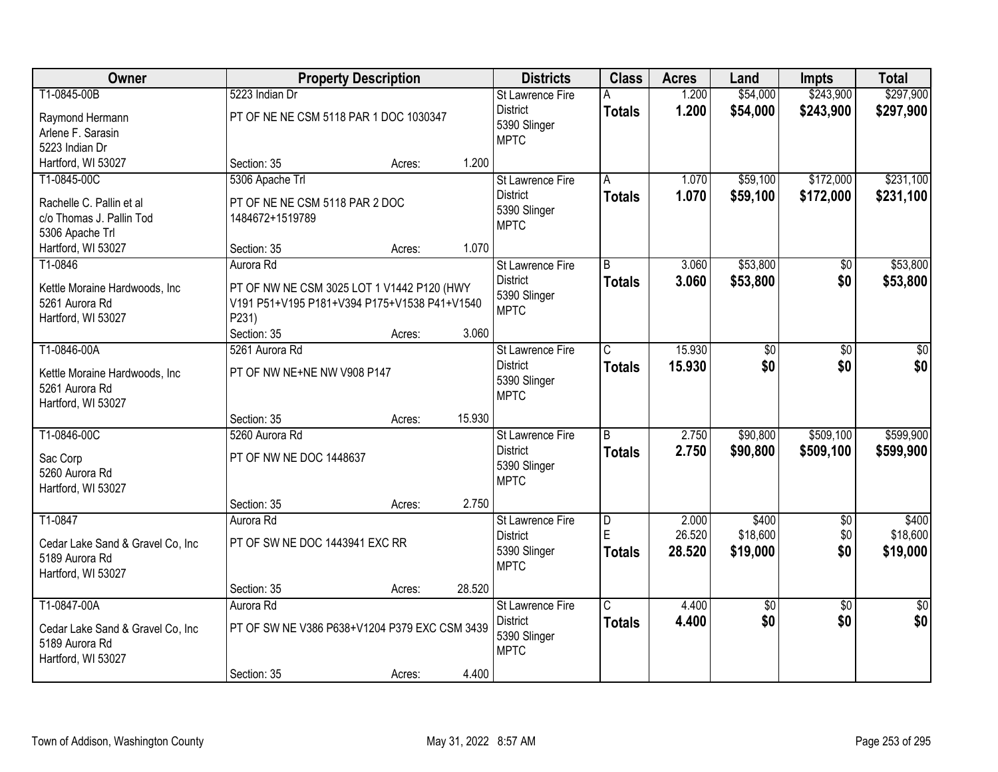| Owner                                 |                                                       | <b>Property Description</b> |        | <b>Districts</b>                    | <b>Class</b>            | <b>Acres</b>   | Land                 | <b>Impts</b>           | <b>Total</b>           |
|---------------------------------------|-------------------------------------------------------|-----------------------------|--------|-------------------------------------|-------------------------|----------------|----------------------|------------------------|------------------------|
| T1-0845-00B                           | 5223 Indian Dr                                        |                             |        | St Lawrence Fire<br><b>District</b> | А<br><b>Totals</b>      | 1.200<br>1.200 | \$54,000<br>\$54,000 | \$243,900<br>\$243,900 | \$297,900<br>\$297,900 |
| Raymond Hermann                       | PT OF NE NE CSM 5118 PAR 1 DOC 1030347                |                             |        | 5390 Slinger                        |                         |                |                      |                        |                        |
| Arlene F. Sarasin                     |                                                       |                             |        | <b>MPTC</b>                         |                         |                |                      |                        |                        |
| 5223 Indian Dr<br>Hartford, WI 53027  | Section: 35                                           | Acres:                      | 1.200  |                                     |                         |                |                      |                        |                        |
| T1-0845-00C                           | 5306 Apache Trl                                       |                             |        | <b>St Lawrence Fire</b>             | A                       | 1.070          | \$59,100             | \$172,000              | \$231,100              |
|                                       |                                                       |                             |        | <b>District</b>                     | <b>Totals</b>           | 1.070          | \$59,100             | \$172,000              | \$231,100              |
| Rachelle C. Pallin et al              | PT OF NE NE CSM 5118 PAR 2 DOC                        |                             |        | 5390 Slinger                        |                         |                |                      |                        |                        |
| c/o Thomas J. Pallin Tod              | 1484672+1519789                                       |                             |        | <b>MPTC</b>                         |                         |                |                      |                        |                        |
| 5306 Apache Trl<br>Hartford, WI 53027 | Section: 35                                           | Acres:                      | 1.070  |                                     |                         |                |                      |                        |                        |
| T1-0846                               | Aurora Rd                                             |                             |        | St Lawrence Fire                    | $\overline{B}$          | 3.060          | \$53,800             | $\overline{50}$        | \$53,800               |
|                                       |                                                       |                             |        | <b>District</b>                     | <b>Totals</b>           | 3.060          | \$53,800             | \$0                    | \$53,800               |
| Kettle Moraine Hardwoods, Inc         | PT OF NW NE CSM 3025 LOT 1 V1442 P120 (HWY            |                             |        | 5390 Slinger                        |                         |                |                      |                        |                        |
| 5261 Aurora Rd<br>Hartford, WI 53027  | V191 P51+V195 P181+V394 P175+V1538 P41+V1540<br>P231) |                             |        | <b>MPTC</b>                         |                         |                |                      |                        |                        |
|                                       | Section: 35                                           | Acres:                      | 3.060  |                                     |                         |                |                      |                        |                        |
| T1-0846-00A                           | 5261 Aurora Rd                                        |                             |        | St Lawrence Fire                    | C                       | 15.930         | \$0                  | \$0                    | \$0                    |
|                                       |                                                       |                             |        | <b>District</b>                     | <b>Totals</b>           | 15.930         | \$0                  | \$0                    | \$0                    |
| Kettle Moraine Hardwoods, Inc.        | PT OF NW NE+NE NW V908 P147                           |                             |        | 5390 Slinger                        |                         |                |                      |                        |                        |
| 5261 Aurora Rd<br>Hartford, WI 53027  |                                                       |                             |        | <b>MPTC</b>                         |                         |                |                      |                        |                        |
|                                       | Section: 35                                           | Acres:                      | 15.930 |                                     |                         |                |                      |                        |                        |
| T1-0846-00C                           | 5260 Aurora Rd                                        |                             |        | St Lawrence Fire                    | $\overline{B}$          | 2.750          | \$90,800             | \$509,100              | \$599,900              |
|                                       |                                                       |                             |        | <b>District</b>                     | <b>Totals</b>           | 2.750          | \$90,800             | \$509,100              | \$599,900              |
| Sac Corp<br>5260 Aurora Rd            | PT OF NW NE DOC 1448637                               |                             |        | 5390 Slinger                        |                         |                |                      |                        |                        |
| Hartford, WI 53027                    |                                                       |                             |        | <b>MPTC</b>                         |                         |                |                      |                        |                        |
|                                       | Section: 35                                           | Acres:                      | 2.750  |                                     |                         |                |                      |                        |                        |
| T1-0847                               | Aurora Rd                                             |                             |        | St Lawrence Fire                    | D                       | 2.000          | \$400                | $\sqrt{6}$             | \$400                  |
| Cedar Lake Sand & Gravel Co, Inc      | PT OF SW NE DOC 1443941 EXC RR                        |                             |        | <b>District</b>                     | E.                      | 26.520         | \$18,600             | \$0                    | \$18,600               |
| 5189 Aurora Rd                        |                                                       |                             |        | 5390 Slinger                        | <b>Totals</b>           | 28.520         | \$19,000             | \$0                    | \$19,000               |
| Hartford, WI 53027                    |                                                       |                             |        | <b>MPTC</b>                         |                         |                |                      |                        |                        |
|                                       | Section: 35                                           | Acres:                      | 28.520 |                                     |                         |                |                      |                        |                        |
| T1-0847-00A                           | Aurora Rd                                             |                             |        | <b>St Lawrence Fire</b>             | $\overline{\mathsf{C}}$ | 4.400          | \$0                  | $\overline{30}$        | $\overline{50}$        |
| Cedar Lake Sand & Gravel Co, Inc      | PT OF SW NE V386 P638+V1204 P379 EXC CSM 3439         |                             |        | <b>District</b>                     | <b>Totals</b>           | 4.400          | \$0                  | \$0                    | \$0                    |
| 5189 Aurora Rd                        |                                                       |                             |        | 5390 Slinger                        |                         |                |                      |                        |                        |
| Hartford, WI 53027                    |                                                       |                             |        | <b>MPTC</b>                         |                         |                |                      |                        |                        |
|                                       | Section: 35                                           | Acres:                      | 4.400  |                                     |                         |                |                      |                        |                        |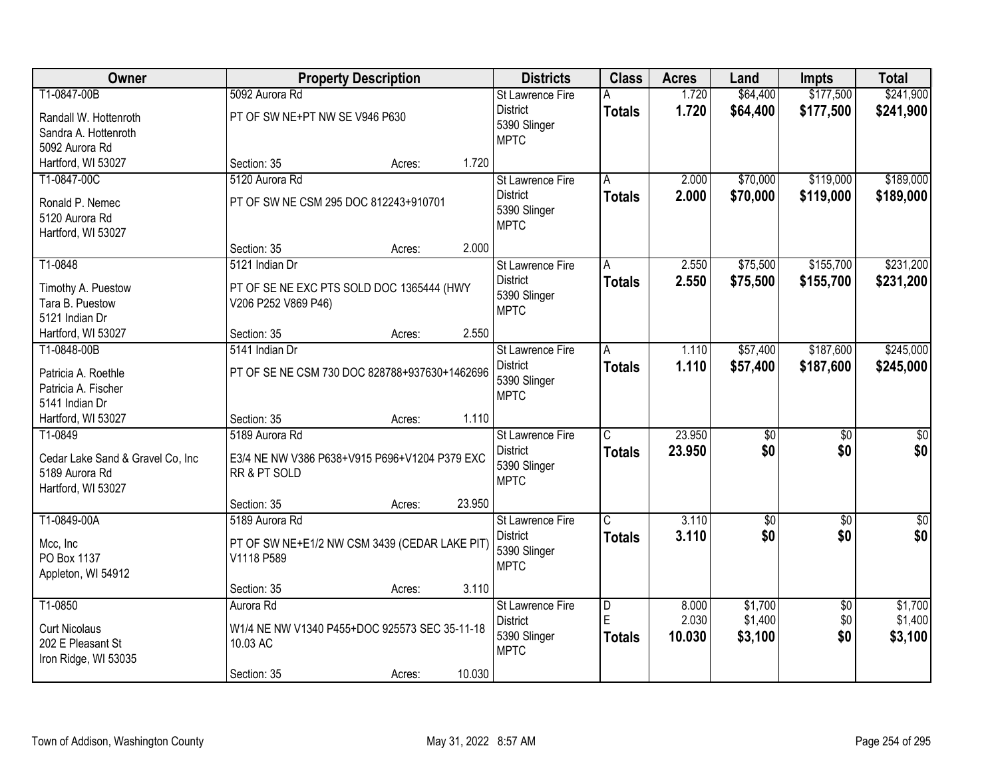| Owner                                      |                                               | <b>Property Description</b> |        |                             | <b>Class</b>                 | <b>Acres</b> | Land            | <b>Impts</b>    | <b>Total</b>     |
|--------------------------------------------|-----------------------------------------------|-----------------------------|--------|-----------------------------|------------------------------|--------------|-----------------|-----------------|------------------|
| T1-0847-00B                                | 5092 Aurora Rd                                |                             |        | <b>St Lawrence Fire</b>     | A                            | 1.720        | \$64,400        | \$177,500       | \$241,900        |
| Randall W. Hottenroth                      | PT OF SW NE+PT NW SE V946 P630                |                             |        | <b>District</b>             | <b>Totals</b>                | 1.720        | \$64,400        | \$177,500       | \$241,900        |
| Sandra A. Hottenroth                       |                                               |                             |        | 5390 Slinger<br><b>MPTC</b> |                              |              |                 |                 |                  |
| 5092 Aurora Rd                             |                                               |                             |        |                             |                              |              |                 |                 |                  |
| Hartford, WI 53027                         | Section: 35                                   | Acres:                      | 1.720  |                             |                              |              |                 |                 |                  |
| T1-0847-00C                                | 5120 Aurora Rd                                |                             |        | <b>St Lawrence Fire</b>     | A                            | 2.000        | \$70,000        | \$119,000       | \$189,000        |
| Ronald P. Nemec                            | PT OF SW NE CSM 295 DOC 812243+910701         |                             |        | <b>District</b>             | <b>Totals</b>                | 2.000        | \$70,000        | \$119,000       | \$189,000        |
| 5120 Aurora Rd                             |                                               |                             |        | 5390 Slinger                |                              |              |                 |                 |                  |
| Hartford, WI 53027                         |                                               |                             |        | <b>MPTC</b>                 |                              |              |                 |                 |                  |
|                                            | Section: 35                                   | Acres:                      | 2.000  |                             |                              |              |                 |                 |                  |
| T1-0848                                    | 5121 Indian Dr                                |                             |        | St Lawrence Fire            | Α                            | 2.550        | \$75,500        | \$155,700       | \$231,200        |
| Timothy A. Puestow                         | PT OF SE NE EXC PTS SOLD DOC 1365444 (HWY     |                             |        | <b>District</b>             | <b>Totals</b>                | 2.550        | \$75,500        | \$155,700       | \$231,200        |
| Tara B. Puestow                            | V206 P252 V869 P46)                           |                             |        | 5390 Slinger                |                              |              |                 |                 |                  |
| 5121 Indian Dr                             |                                               |                             |        | <b>MPTC</b>                 |                              |              |                 |                 |                  |
| Hartford, WI 53027                         | Section: 35                                   | Acres:                      | 2.550  |                             |                              |              |                 |                 |                  |
| T1-0848-00B                                | 5141 Indian Dr                                |                             |        | St Lawrence Fire            | A                            | 1.110        | \$57,400        | \$187,600       | \$245,000        |
|                                            |                                               |                             |        | <b>District</b>             | <b>Totals</b>                | 1.110        | \$57,400        | \$187,600       | \$245,000        |
| Patricia A. Roethle<br>Patricia A. Fischer | PT OF SE NE CSM 730 DOC 828788+937630+1462696 |                             |        | 5390 Slinger                |                              |              |                 |                 |                  |
| 5141 Indian Dr                             |                                               |                             |        | <b>MPTC</b>                 |                              |              |                 |                 |                  |
| Hartford, WI 53027                         | Section: 35                                   | Acres:                      | 1.110  |                             |                              |              |                 |                 |                  |
| T1-0849                                    | 5189 Aurora Rd                                |                             |        | St Lawrence Fire            | $\overline{\text{C}}$        | 23.950       | $\overline{50}$ | $\overline{50}$ | $\overline{\$0}$ |
|                                            |                                               |                             |        | <b>District</b>             | <b>Totals</b>                | 23.950       | \$0             | \$0             | \$0              |
| Cedar Lake Sand & Gravel Co, Inc           | E3/4 NE NW V386 P638+V915 P696+V1204 P379 EXC |                             |        | 5390 Slinger                |                              |              |                 |                 |                  |
| 5189 Aurora Rd                             | RR & PT SOLD                                  |                             |        | <b>MPTC</b>                 |                              |              |                 |                 |                  |
| Hartford, WI 53027                         |                                               |                             | 23.950 |                             |                              |              |                 |                 |                  |
| T1-0849-00A                                | Section: 35<br>5189 Aurora Rd                 | Acres:                      |        | St Lawrence Fire            | $\overline{\mathsf{C}}$      | 3.110        | $\sqrt{50}$     | $\overline{50}$ | $\sqrt{30}$      |
|                                            |                                               |                             |        | <b>District</b>             | <b>Totals</b>                | 3.110        | \$0             | \$0             | \$0              |
| Mcc, Inc                                   | PT OF SW NE+E1/2 NW CSM 3439 (CEDAR LAKE PIT) |                             |        | 5390 Slinger                |                              |              |                 |                 |                  |
| PO Box 1137                                | V1118 P589                                    |                             |        | <b>MPTC</b>                 |                              |              |                 |                 |                  |
| Appleton, WI 54912                         |                                               |                             |        |                             |                              |              |                 |                 |                  |
|                                            | Section: 35                                   | Acres:                      | 3.110  |                             |                              |              |                 |                 |                  |
| T1-0850                                    | Aurora Rd                                     |                             |        | St Lawrence Fire            | $\overline{\mathsf{D}}$<br>E | 8.000        | \$1,700         | $\overline{50}$ | \$1,700          |
| <b>Curt Nicolaus</b>                       | W1/4 NE NW V1340 P455+DOC 925573 SEC 35-11-18 |                             |        | <b>District</b>             |                              | 2.030        | \$1,400         | \$0             | \$1,400          |
| 202 E Pleasant St                          | 10.03 AC                                      |                             |        | 5390 Slinger<br><b>MPTC</b> | <b>Totals</b>                | 10.030       | \$3,100         | \$0             | \$3,100          |
| Iron Ridge, WI 53035                       |                                               |                             |        |                             |                              |              |                 |                 |                  |
|                                            | Section: 35                                   | Acres:                      | 10.030 |                             |                              |              |                 |                 |                  |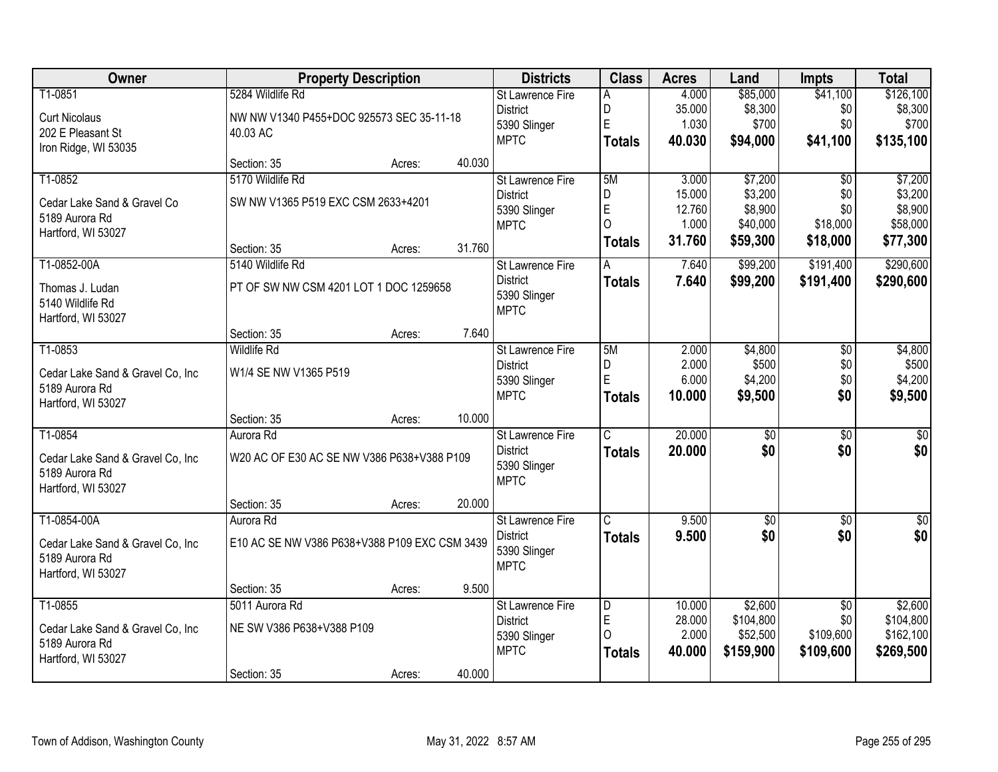| Owner                            | <b>Property Description</b>                   |        |        | <b>Districts</b>        | <b>Class</b>            | <b>Acres</b> | Land            | <b>Impts</b>    | <b>Total</b>    |
|----------------------------------|-----------------------------------------------|--------|--------|-------------------------|-------------------------|--------------|-----------------|-----------------|-----------------|
| T1-0851                          | 5284 Wildlife Rd                              |        |        | <b>St Lawrence Fire</b> | A                       | 4.000        | \$85,000        | \$41,100        | \$126,100       |
| <b>Curt Nicolaus</b>             | NW NW V1340 P455+DOC 925573 SEC 35-11-18      |        |        | <b>District</b>         | D                       | 35.000       | \$8,300         | \$0             | \$8,300         |
| 202 E Pleasant St                | 40.03 AC                                      |        |        | 5390 Slinger            | $\mathsf E$             | 1.030        | \$700           | \$0             | \$700           |
| Iron Ridge, WI 53035             |                                               |        |        | <b>MPTC</b>             | <b>Totals</b>           | 40.030       | \$94,000        | \$41,100        | \$135,100       |
|                                  | Section: 35                                   | Acres: | 40.030 |                         |                         |              |                 |                 |                 |
| T1-0852                          | 5170 Wildlife Rd                              |        |        | <b>St Lawrence Fire</b> | 5M                      | 3.000        | \$7,200         | $\overline{50}$ | \$7,200         |
| Cedar Lake Sand & Gravel Co      | SW NW V1365 P519 EXC CSM 2633+4201            |        |        | <b>District</b>         | D                       | 15.000       | \$3,200         | \$0             | \$3,200         |
| 5189 Aurora Rd                   |                                               |        |        | 5390 Slinger            | E                       | 12.760       | \$8,900         | \$0             | \$8,900         |
| Hartford, WI 53027               |                                               |        |        | <b>MPTC</b>             | $\overline{O}$          | 1.000        | \$40,000        | \$18,000        | \$58,000        |
|                                  | Section: 35                                   | Acres: | 31.760 |                         | <b>Totals</b>           | 31.760       | \$59,300        | \$18,000        | \$77,300        |
| T1-0852-00A                      | 5140 Wildlife Rd                              |        |        | St Lawrence Fire        | A                       | 7.640        | \$99,200        | \$191,400       | \$290,600       |
| Thomas J. Ludan                  | PT OF SW NW CSM 4201 LOT 1 DOC 1259658        |        |        | <b>District</b>         | <b>Totals</b>           | 7.640        | \$99,200        | \$191,400       | \$290,600       |
| 5140 Wildlife Rd                 |                                               |        |        | 5390 Slinger            |                         |              |                 |                 |                 |
| Hartford, WI 53027               |                                               |        |        | <b>MPTC</b>             |                         |              |                 |                 |                 |
|                                  | Section: 35                                   | Acres: | 7.640  |                         |                         |              |                 |                 |                 |
| T1-0853                          | <b>Wildlife Rd</b>                            |        |        | St Lawrence Fire        | 5M                      | 2.000        | \$4,800         | \$0             | \$4,800         |
| Cedar Lake Sand & Gravel Co, Inc | W1/4 SE NW V1365 P519                         |        |        | <b>District</b>         | $\mathsf D$             | 2.000        | \$500           | \$0             | \$500           |
| 5189 Aurora Rd                   |                                               |        |        | 5390 Slinger            | E                       | 6.000        | \$4,200         | \$0             | \$4,200         |
| Hartford, WI 53027               |                                               |        |        | <b>MPTC</b>             | Totals                  | 10.000       | \$9,500         | \$0             | \$9,500         |
|                                  | Section: 35                                   | Acres: | 10.000 |                         |                         |              |                 |                 |                 |
| T1-0854                          | Aurora Rd                                     |        |        | St Lawrence Fire        | $\overline{C}$          | 20.000       | $\overline{50}$ | $\overline{50}$ | \$0             |
| Cedar Lake Sand & Gravel Co, Inc | W20 AC OF E30 AC SE NW V386 P638+V388 P109    |        |        | <b>District</b>         | <b>Totals</b>           | 20,000       | \$0             | \$0             | \$0             |
| 5189 Aurora Rd                   |                                               |        |        | 5390 Slinger            |                         |              |                 |                 |                 |
| Hartford, WI 53027               |                                               |        |        | <b>MPTC</b>             |                         |              |                 |                 |                 |
|                                  | Section: 35                                   | Acres: | 20.000 |                         |                         |              |                 |                 |                 |
| T1-0854-00A                      | Aurora Rd                                     |        |        | St Lawrence Fire        | $\overline{\mathsf{c}}$ | 9.500        | $\sqrt{50}$     | $\sqrt{$0}$     | $\overline{50}$ |
| Cedar Lake Sand & Gravel Co, Inc | E10 AC SE NW V386 P638+V388 P109 EXC CSM 3439 |        |        | <b>District</b>         | <b>Totals</b>           | 9.500        | \$0             | \$0             | \$0             |
| 5189 Aurora Rd                   |                                               |        |        | 5390 Slinger            |                         |              |                 |                 |                 |
| Hartford, WI 53027               |                                               |        |        | <b>MPTC</b>             |                         |              |                 |                 |                 |
|                                  | Section: 35                                   | Acres: | 9.500  |                         |                         |              |                 |                 |                 |
| T1-0855                          | 5011 Aurora Rd                                |        |        | St Lawrence Fire        | $\overline{\mathsf{D}}$ | 10.000       | \$2,600         | $\overline{50}$ | \$2,600         |
| Cedar Lake Sand & Gravel Co, Inc | NE SW V386 P638+V388 P109                     |        |        | <b>District</b>         | E                       | 28.000       | \$104,800       | \$0             | \$104,800       |
| 5189 Aurora Rd                   |                                               |        |        | 5390 Slinger            | $\Omega$                | 2.000        | \$52,500        | \$109,600       | \$162,100       |
| Hartford, WI 53027               |                                               |        |        | <b>MPTC</b>             | <b>Totals</b>           | 40.000       | \$159,900       | \$109,600       | \$269,500       |
|                                  | Section: 35                                   | Acres: | 40.000 |                         |                         |              |                 |                 |                 |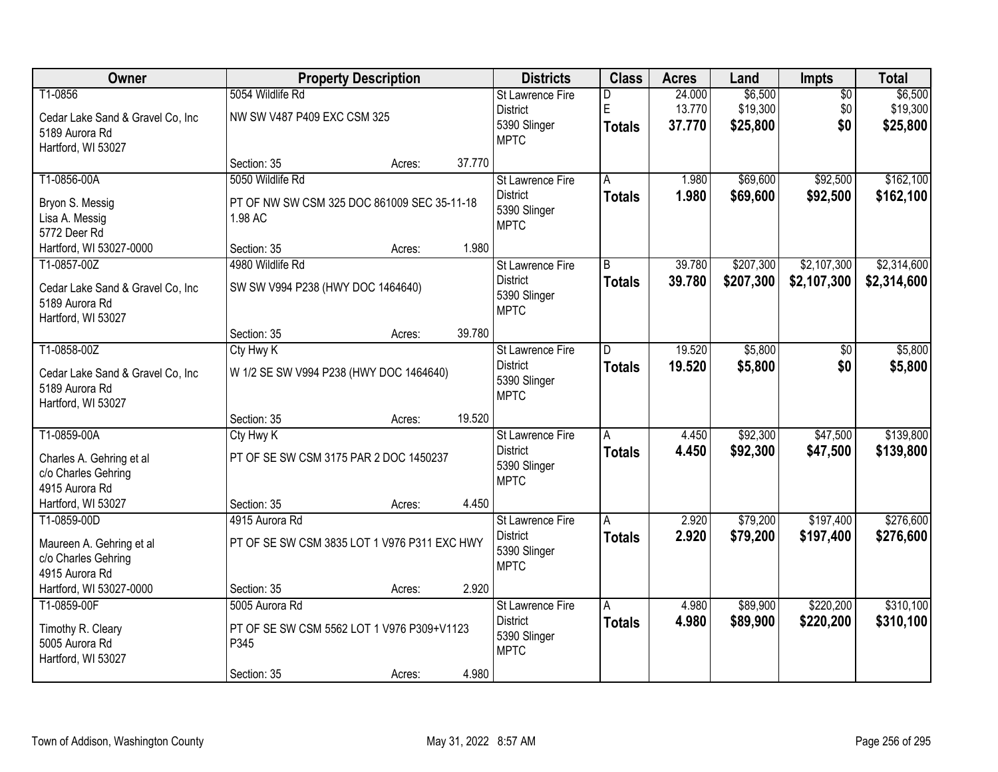| Owner                            | <b>Property Description</b>                  |        |        | <b>Districts</b>        | <b>Class</b>  | <b>Acres</b> | Land      | Impts           | <b>Total</b> |
|----------------------------------|----------------------------------------------|--------|--------|-------------------------|---------------|--------------|-----------|-----------------|--------------|
| T1-0856                          | 5054 Wildlife Rd                             |        |        | <b>St Lawrence Fire</b> | D             | 24.000       | \$6,500   | $\overline{50}$ | \$6,500      |
| Cedar Lake Sand & Gravel Co, Inc | NW SW V487 P409 EXC CSM 325                  |        |        | <b>District</b>         | E             | 13.770       | \$19,300  | \$0             | \$19,300     |
| 5189 Aurora Rd                   |                                              |        |        | 5390 Slinger            | <b>Totals</b> | 37.770       | \$25,800  | \$0             | \$25,800     |
| Hartford, WI 53027               |                                              |        |        | <b>MPTC</b>             |               |              |           |                 |              |
|                                  | Section: 35                                  | Acres: | 37.770 |                         |               |              |           |                 |              |
| T1-0856-00A                      | 5050 Wildlife Rd                             |        |        | St Lawrence Fire        | A             | 1.980        | \$69,600  | \$92,500        | \$162,100    |
| Bryon S. Messig                  | PT OF NW SW CSM 325 DOC 861009 SEC 35-11-18  |        |        | <b>District</b>         | <b>Totals</b> | 1.980        | \$69,600  | \$92,500        | \$162,100    |
| Lisa A. Messig                   | 1.98 AC                                      |        |        | 5390 Slinger            |               |              |           |                 |              |
| 5772 Deer Rd                     |                                              |        |        | <b>MPTC</b>             |               |              |           |                 |              |
| Hartford, WI 53027-0000          | Section: 35                                  | Acres: | 1.980  |                         |               |              |           |                 |              |
| T1-0857-00Z                      | 4980 Wildlife Rd                             |        |        | St Lawrence Fire        | B             | 39.780       | \$207,300 | \$2,107,300     | \$2,314,600  |
| Cedar Lake Sand & Gravel Co, Inc | SW SW V994 P238 (HWY DOC 1464640)            |        |        | <b>District</b>         | <b>Totals</b> | 39.780       | \$207,300 | \$2,107,300     | \$2,314,600  |
| 5189 Aurora Rd                   |                                              |        |        | 5390 Slinger            |               |              |           |                 |              |
| Hartford, WI 53027               |                                              |        |        | <b>MPTC</b>             |               |              |           |                 |              |
|                                  | Section: 35                                  | Acres: | 39.780 |                         |               |              |           |                 |              |
| T1-0858-00Z                      | Cty Hwy K                                    |        |        | St Lawrence Fire        | D             | 19.520       | \$5,800   | \$0             | \$5,800      |
| Cedar Lake Sand & Gravel Co, Inc | W 1/2 SE SW V994 P238 (HWY DOC 1464640)      |        |        | <b>District</b>         | <b>Totals</b> | 19.520       | \$5,800   | \$0             | \$5,800      |
| 5189 Aurora Rd                   |                                              |        |        | 5390 Slinger            |               |              |           |                 |              |
| Hartford, WI 53027               |                                              |        |        | <b>MPTC</b>             |               |              |           |                 |              |
|                                  | Section: 35                                  | Acres: | 19.520 |                         |               |              |           |                 |              |
| T1-0859-00A                      | Cty Hwy K                                    |        |        | St Lawrence Fire        | A             | 4.450        | \$92,300  | \$47,500        | \$139,800    |
| Charles A. Gehring et al         | PT OF SE SW CSM 3175 PAR 2 DOC 1450237       |        |        | <b>District</b>         | <b>Totals</b> | 4.450        | \$92,300  | \$47,500        | \$139,800    |
| c/o Charles Gehring              |                                              |        |        | 5390 Slinger            |               |              |           |                 |              |
| 4915 Aurora Rd                   |                                              |        |        | <b>MPTC</b>             |               |              |           |                 |              |
| Hartford, WI 53027               | Section: 35                                  | Acres: | 4.450  |                         |               |              |           |                 |              |
| T1-0859-00D                      | 4915 Aurora Rd                               |        |        | St Lawrence Fire        | Α             | 2.920        | \$79,200  | \$197,400       | \$276,600    |
| Maureen A. Gehring et al         | PT OF SE SW CSM 3835 LOT 1 V976 P311 EXC HWY |        |        | <b>District</b>         | <b>Totals</b> | 2.920        | \$79,200  | \$197,400       | \$276,600    |
| c/o Charles Gehring              |                                              |        |        | 5390 Slinger            |               |              |           |                 |              |
| 4915 Aurora Rd                   |                                              |        |        | <b>MPTC</b>             |               |              |           |                 |              |
| Hartford, WI 53027-0000          | Section: 35                                  | Acres: | 2.920  |                         |               |              |           |                 |              |
| T1-0859-00F                      | 5005 Aurora Rd                               |        |        | St Lawrence Fire        | A             | 4.980        | \$89,900  | \$220,200       | \$310,100    |
| Timothy R. Cleary                | PT OF SE SW CSM 5562 LOT 1 V976 P309+V1123   |        |        | <b>District</b>         | <b>Totals</b> | 4.980        | \$89,900  | \$220,200       | \$310,100    |
| 5005 Aurora Rd                   | P345                                         |        |        | 5390 Slinger            |               |              |           |                 |              |
| Hartford, WI 53027               |                                              |        |        | <b>MPTC</b>             |               |              |           |                 |              |
|                                  | Section: 35                                  | Acres: | 4.980  |                         |               |              |           |                 |              |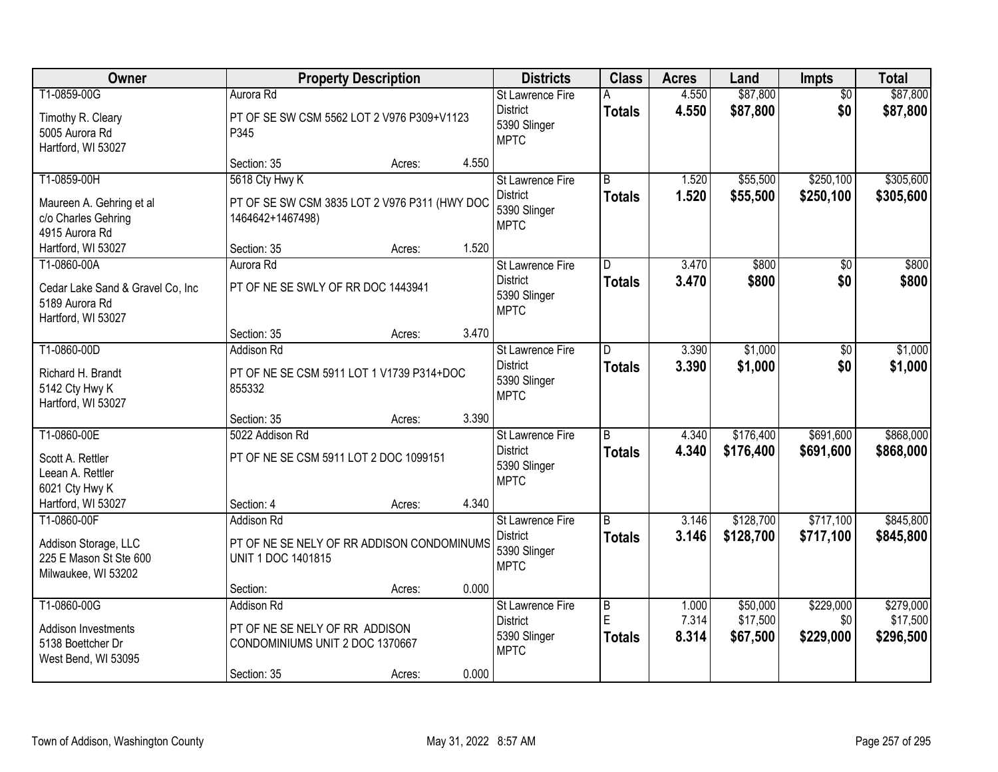| Owner                                          | <b>Property Description</b>        |                                               |       | <b>Districts</b>                    | <b>Class</b>        | <b>Acres</b>   | Land                 | <b>Impts</b>           | <b>Total</b>          |
|------------------------------------------------|------------------------------------|-----------------------------------------------|-------|-------------------------------------|---------------------|----------------|----------------------|------------------------|-----------------------|
| T1-0859-00G                                    | Aurora Rd                          |                                               |       | St Lawrence Fire<br><b>District</b> | A<br><b>Totals</b>  | 4.550<br>4.550 | \$87,800<br>\$87,800 | $\overline{50}$<br>\$0 | \$87,800<br>\$87,800  |
| Timothy R. Cleary                              | P345                               | PT OF SE SW CSM 5562 LOT 2 V976 P309+V1123    |       | 5390 Slinger                        |                     |                |                      |                        |                       |
| 5005 Aurora Rd<br>Hartford, WI 53027           |                                    |                                               |       | <b>MPTC</b>                         |                     |                |                      |                        |                       |
|                                                | Section: 35                        | Acres:                                        | 4.550 |                                     |                     |                |                      |                        |                       |
| T1-0859-00H                                    | 5618 Cty Hwy K                     |                                               |       | <b>St Lawrence Fire</b>             | $\overline{B}$      | 1.520          | \$55,500             | \$250,100              | \$305,600             |
| Maureen A. Gehring et al                       |                                    | PT OF SE SW CSM 3835 LOT 2 V976 P311 (HWY DOC |       | <b>District</b><br>5390 Slinger     | <b>Totals</b>       | 1.520          | \$55,500             | \$250,100              | \$305,600             |
| c/o Charles Gehring                            | 1464642+1467498)                   |                                               |       | <b>MPTC</b>                         |                     |                |                      |                        |                       |
| 4915 Aurora Rd<br>Hartford, WI 53027           | Section: 35                        | Acres:                                        | 1.520 |                                     |                     |                |                      |                        |                       |
| T1-0860-00A                                    | Aurora Rd                          |                                               |       | <b>St Lawrence Fire</b>             | D                   | 3.470          | \$800                | $\overline{50}$        | \$800                 |
| Cedar Lake Sand & Gravel Co, Inc               | PT OF NE SE SWLY OF RR DOC 1443941 |                                               |       | <b>District</b>                     | <b>Totals</b>       | 3.470          | \$800                | \$0                    | \$800                 |
| 5189 Aurora Rd                                 |                                    |                                               |       | 5390 Slinger                        |                     |                |                      |                        |                       |
| Hartford, WI 53027                             |                                    |                                               |       | <b>MPTC</b>                         |                     |                |                      |                        |                       |
|                                                | Section: 35                        | Acres:                                        | 3.470 |                                     |                     |                |                      |                        |                       |
| T1-0860-00D                                    | <b>Addison Rd</b>                  |                                               |       | St Lawrence Fire<br><b>District</b> | D                   | 3.390<br>3.390 | \$1,000              | $\sqrt[6]{}$<br>\$0    | \$1,000               |
| Richard H. Brandt                              |                                    | PT OF NE SE CSM 5911 LOT 1 V1739 P314+DOC     |       | 5390 Slinger                        | <b>Totals</b>       |                | \$1,000              |                        | \$1,000               |
| 5142 Cty Hwy K<br>Hartford, WI 53027           | 855332                             |                                               |       | <b>MPTC</b>                         |                     |                |                      |                        |                       |
|                                                | Section: 35                        | Acres:                                        | 3.390 |                                     |                     |                |                      |                        |                       |
| T1-0860-00E                                    | 5022 Addison Rd                    |                                               |       | St Lawrence Fire                    | $\overline{B}$      | 4.340          | \$176,400            | \$691,600              | \$868,000             |
| Scott A. Rettler                               |                                    | PT OF NE SE CSM 5911 LOT 2 DOC 1099151        |       | <b>District</b>                     | <b>Totals</b>       | 4.340          | \$176,400            | \$691,600              | \$868,000             |
| Leean A. Rettler                               |                                    |                                               |       | 5390 Slinger<br><b>MPTC</b>         |                     |                |                      |                        |                       |
| 6021 Cty Hwy K                                 |                                    |                                               | 4.340 |                                     |                     |                |                      |                        |                       |
| Hartford, WI 53027<br>T1-0860-00F              | Section: 4<br><b>Addison Rd</b>    | Acres:                                        |       | St Lawrence Fire                    | $\overline{B}$      | 3.146          | \$128,700            | \$717,100              | \$845,800             |
|                                                |                                    |                                               |       | <b>District</b>                     | <b>Totals</b>       | 3.146          | \$128,700            | \$717,100              | \$845,800             |
| Addison Storage, LLC<br>225 E Mason St Ste 600 | <b>UNIT 1 DOC 1401815</b>          | PT OF NE SE NELY OF RR ADDISON CONDOMINUMS    |       | 5390 Slinger                        |                     |                |                      |                        |                       |
| Milwaukee, WI 53202                            |                                    |                                               |       | <b>MPTC</b>                         |                     |                |                      |                        |                       |
|                                                | Section:                           | Acres:                                        | 0.000 |                                     |                     |                |                      |                        |                       |
| T1-0860-00G                                    | <b>Addison Rd</b>                  |                                               |       | St Lawrence Fire                    | $\overline{B}$<br>E | 1.000<br>7.314 | \$50,000<br>\$17,500 | \$229,000<br>\$0       | \$279,000<br>\$17,500 |
| Addison Investments                            | PT OF NE SE NELY OF RR ADDISON     |                                               |       | <b>District</b><br>5390 Slinger     | <b>Totals</b>       | 8.314          | \$67,500             | \$229,000              | \$296,500             |
| 5138 Boettcher Dr<br>West Bend, WI 53095       | CONDOMINIUMS UNIT 2 DOC 1370667    |                                               |       | <b>MPTC</b>                         |                     |                |                      |                        |                       |
|                                                | Section: 35                        | Acres:                                        | 0.000 |                                     |                     |                |                      |                        |                       |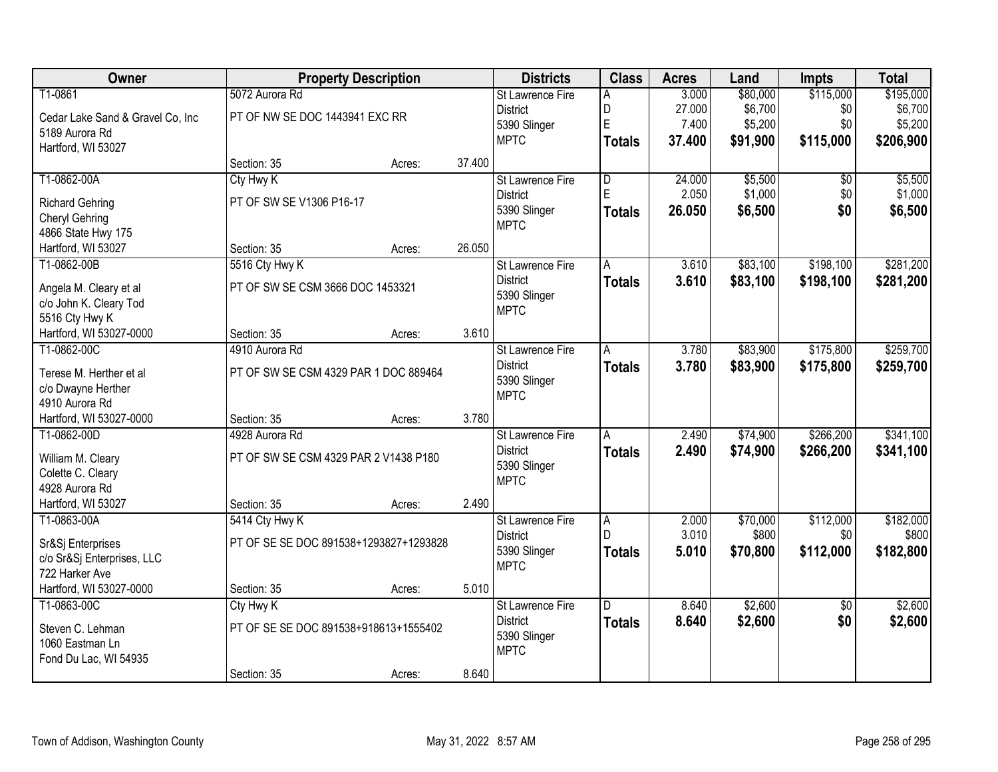| \$115,000<br>T1-0861<br>5072 Aurora Rd<br>3.000<br>\$80,000<br><b>St Lawrence Fire</b><br>A<br>D<br>\$6,700<br><b>District</b><br>27.000<br>\$0<br>PT OF NW SE DOC 1443941 EXC RR<br>Cedar Lake Sand & Gravel Co, Inc<br>E<br>7.400<br>\$5,200<br>\$0<br>5390 Slinger | \$195,000<br>\$6,700 |
|-----------------------------------------------------------------------------------------------------------------------------------------------------------------------------------------------------------------------------------------------------------------------|----------------------|
|                                                                                                                                                                                                                                                                       |                      |
|                                                                                                                                                                                                                                                                       |                      |
| 5189 Aurora Rd                                                                                                                                                                                                                                                        | \$5,200              |
| <b>MPTC</b><br>37.400<br>\$91,900<br>\$115,000<br><b>Totals</b><br>Hartford, WI 53027                                                                                                                                                                                 | \$206,900            |
| 37.400<br>Section: 35<br>Acres:                                                                                                                                                                                                                                       |                      |
| T1-0862-00A<br>24.000<br>\$5,500<br>Cty Hwy K<br>$\overline{\mathsf{D}}$<br>$\overline{50}$<br><b>St Lawrence Fire</b>                                                                                                                                                | \$5,500              |
| E<br>2.050<br>\$1,000<br>\$0<br><b>District</b><br>PT OF SW SE V1306 P16-17<br><b>Richard Gehring</b>                                                                                                                                                                 | \$1,000              |
| \$0<br>5390 Slinger<br>26.050<br>\$6,500<br><b>Totals</b><br><b>Cheryl Gehring</b>                                                                                                                                                                                    | \$6,500              |
| <b>MPTC</b><br>4866 State Hwy 175                                                                                                                                                                                                                                     |                      |
| 26.050<br>Hartford, WI 53027<br>Section: 35<br>Acres:                                                                                                                                                                                                                 |                      |
| T1-0862-00B<br>\$83,100<br>\$198,100<br>3.610<br>5516 Cty Hwy K<br>St Lawrence Fire<br>Α                                                                                                                                                                              | \$281,200            |
| <b>District</b><br>3.610<br>\$83,100<br>\$198,100<br><b>Totals</b><br>PT OF SW SE CSM 3666 DOC 1453321<br>Angela M. Cleary et al                                                                                                                                      | \$281,200            |
| 5390 Slinger<br>c/o John K. Cleary Tod                                                                                                                                                                                                                                |                      |
| <b>MPTC</b><br>5516 Cty Hwy K                                                                                                                                                                                                                                         |                      |
| 3.610<br>Hartford, WI 53027-0000<br>Section: 35<br>Acres:                                                                                                                                                                                                             |                      |
| T1-0862-00C<br>3.780<br>\$83,900<br>\$175,800<br>4910 Aurora Rd<br>St Lawrence Fire<br>Α                                                                                                                                                                              | \$259,700            |
| <b>District</b><br>3.780<br>\$83,900<br>\$175,800<br><b>Totals</b><br>PT OF SW SE CSM 4329 PAR 1 DOC 889464<br>Terese M. Herther et al                                                                                                                                | \$259,700            |
| 5390 Slinger<br>c/o Dwayne Herther                                                                                                                                                                                                                                    |                      |
| <b>MPTC</b><br>4910 Aurora Rd                                                                                                                                                                                                                                         |                      |
| Hartford, WI 53027-0000<br>3.780<br>Section: 35<br>Acres:                                                                                                                                                                                                             |                      |
| 4928 Aurora Rd<br>\$266,200<br>T1-0862-00D<br>2.490<br>\$74,900<br>$\overline{A}$<br>St Lawrence Fire                                                                                                                                                                 | \$341,100            |
| 2.490<br><b>District</b><br>\$74,900<br>\$266,200<br><b>Totals</b><br>PT OF SW SE CSM 4329 PAR 2 V1438 P180<br>William M. Cleary                                                                                                                                      | \$341,100            |
| 5390 Slinger<br>Colette C. Cleary                                                                                                                                                                                                                                     |                      |
| <b>MPTC</b><br>4928 Aurora Rd                                                                                                                                                                                                                                         |                      |
| Hartford, WI 53027<br>2.490<br>Section: 35<br>Acres:                                                                                                                                                                                                                  |                      |
| \$70,000<br>\$112,000<br>T1-0863-00A<br>2.000<br>5414 Cty Hwy K<br><b>St Lawrence Fire</b><br>A                                                                                                                                                                       | \$182,000            |
| D<br>3.010<br>\$800<br>\$0<br><b>District</b>                                                                                                                                                                                                                         | \$800                |
| PT OF SE SE DOC 891538+1293827+1293828<br>Sr&Sj Enterprises<br>5390 Slinger<br>\$112,000<br>5.010<br>\$70,800<br><b>Totals</b><br>c/o Sr&Sj Enterprises, LLC                                                                                                          | \$182,800            |
| <b>MPTC</b><br>722 Harker Ave                                                                                                                                                                                                                                         |                      |
| Hartford, WI 53027-0000<br>5.010<br>Section: 35<br>Acres:                                                                                                                                                                                                             |                      |
| \$2,600<br>T1-0863-00C<br>8.640<br>Cty Hwy K<br>D.<br>$\overline{50}$<br>St Lawrence Fire                                                                                                                                                                             | \$2,600              |
| 8.640<br>\$0<br><b>District</b><br>\$2,600<br><b>Totals</b>                                                                                                                                                                                                           | \$2,600              |
| PT OF SE SE DOC 891538+918613+1555402<br>Steven C. Lehman<br>5390 Slinger                                                                                                                                                                                             |                      |
| 1060 Eastman Ln<br><b>MPTC</b><br>Fond Du Lac, WI 54935                                                                                                                                                                                                               |                      |
| 8.640<br>Section: 35<br>Acres:                                                                                                                                                                                                                                        |                      |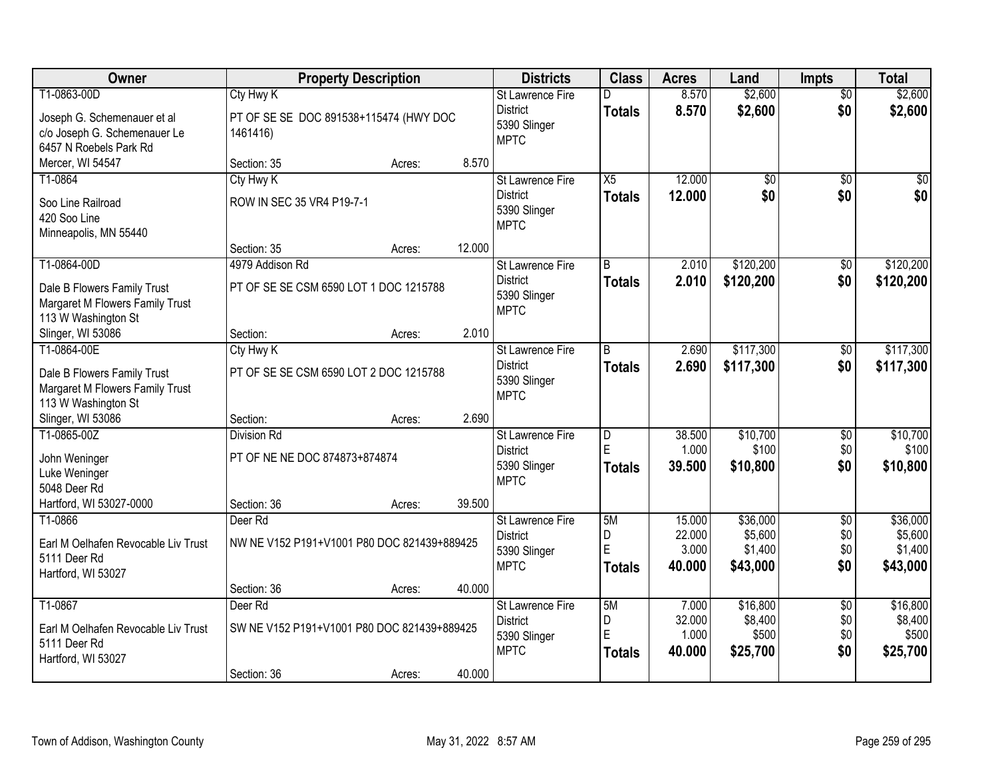| Owner                                                                                                | <b>Property Description</b>                                           |        |        | <b>Districts</b>                                                          | <b>Class</b>                    | <b>Acres</b>                        | Land                                       | <b>Impts</b>                         | <b>Total</b>                               |
|------------------------------------------------------------------------------------------------------|-----------------------------------------------------------------------|--------|--------|---------------------------------------------------------------------------|---------------------------------|-------------------------------------|--------------------------------------------|--------------------------------------|--------------------------------------------|
| T1-0863-00D<br>Joseph G. Schemenauer et al<br>c/o Joseph G. Schemenauer Le<br>6457 N Roebels Park Rd | Cty Hwy K<br>PT OF SE SE DOC 891538+115474 (HWY DOC<br>1461416)       |        |        | <b>St Lawrence Fire</b><br><b>District</b><br>5390 Slinger<br><b>MPTC</b> | D<br><b>Totals</b>              | 8.570<br>8.570                      | \$2,600<br>\$2,600                         | $\overline{50}$<br>\$0               | \$2,600<br>\$2,600                         |
| Mercer, WI 54547                                                                                     | Section: 35                                                           | Acres: | 8.570  |                                                                           |                                 |                                     |                                            |                                      |                                            |
| T1-0864<br>Soo Line Railroad<br>420 Soo Line<br>Minneapolis, MN 55440                                | Cty Hwy K<br>ROW IN SEC 35 VR4 P19-7-1                                |        |        | <b>St Lawrence Fire</b><br><b>District</b><br>5390 Slinger<br><b>MPTC</b> | X5<br><b>Totals</b>             | 12.000<br>12.000                    | $\overline{50}$<br>\$0                     | $\overline{50}$<br>\$0               | $\overline{50}$<br>\$0                     |
|                                                                                                      | Section: 35                                                           | Acres: | 12.000 |                                                                           |                                 |                                     |                                            |                                      |                                            |
| T1-0864-00D<br>Dale B Flowers Family Trust<br>Margaret M Flowers Family Trust<br>113 W Washington St | 4979 Addison Rd<br>PT OF SE SE CSM 6590 LOT 1 DOC 1215788             |        |        | St Lawrence Fire<br><b>District</b><br>5390 Slinger<br><b>MPTC</b>        | $\overline{B}$<br><b>Totals</b> | 2.010<br>2.010                      | \$120,200<br>\$120,200                     | \$0<br>\$0                           | \$120,200<br>\$120,200                     |
| Slinger, WI 53086                                                                                    | Section:                                                              | Acres: | 2.010  |                                                                           |                                 |                                     |                                            |                                      |                                            |
| T1-0864-00E<br>Dale B Flowers Family Trust<br>Margaret M Flowers Family Trust<br>113 W Washington St | Cty Hwy K<br>PT OF SE SE CSM 6590 LOT 2 DOC 1215788                   |        |        | St Lawrence Fire<br><b>District</b><br>5390 Slinger<br><b>MPTC</b>        | B<br><b>Totals</b>              | 2.690<br>2.690                      | \$117,300<br>\$117,300                     | $\sqrt[6]{3}$<br>\$0                 | \$117,300<br>\$117,300                     |
| Slinger, WI 53086                                                                                    | Section:                                                              | Acres: | 2.690  |                                                                           |                                 |                                     |                                            |                                      |                                            |
| T1-0865-00Z<br>John Weninger<br>Luke Weninger<br>5048 Deer Rd                                        | <b>Division Rd</b><br>PT OF NE NE DOC 874873+874874                   |        |        | St Lawrence Fire<br><b>District</b><br>5390 Slinger<br><b>MPTC</b>        | $\overline{D}$<br>E<br>Totals   | 38.500<br>1.000<br>39.500           | \$10,700<br>\$100<br>\$10,800              | $\overline{30}$<br>\$0<br>\$0        | \$10,700<br>\$100<br>\$10,800              |
| Hartford, WI 53027-0000                                                                              | Section: 36                                                           | Acres: | 39.500 |                                                                           |                                 |                                     |                                            |                                      |                                            |
| T1-0866<br>Earl M Oelhafen Revocable Liv Trust<br>5111 Deer Rd<br>Hartford, WI 53027                 | Deer Rd<br>NW NE V152 P191+V1001 P80 DOC 821439+889425<br>Section: 36 | Acres: | 40.000 | St Lawrence Fire<br><b>District</b><br>5390 Slinger<br><b>MPTC</b>        | 5M<br>D<br>E<br><b>Totals</b>   | 15.000<br>22.000<br>3.000<br>40,000 | \$36,000<br>\$5,600<br>\$1,400<br>\$43,000 | $\overline{50}$<br>\$0<br>\$0<br>\$0 | \$36,000<br>\$5,600<br>\$1,400<br>\$43,000 |
| T1-0867<br>Earl M Oelhafen Revocable Liv Trust<br>5111 Deer Rd<br>Hartford, WI 53027                 | Deer Rd<br>SW NE V152 P191+V1001 P80 DOC 821439+889425<br>Section: 36 | Acres: | 40.000 | St Lawrence Fire<br><b>District</b><br>5390 Slinger<br><b>MPTC</b>        | 5M<br>D<br>E<br><b>Totals</b>   | 7.000<br>32.000<br>1.000<br>40.000  | \$16,800<br>\$8,400<br>\$500<br>\$25,700   | $\overline{50}$<br>\$0<br>\$0<br>\$0 | \$16,800<br>\$8,400<br>\$500<br>\$25,700   |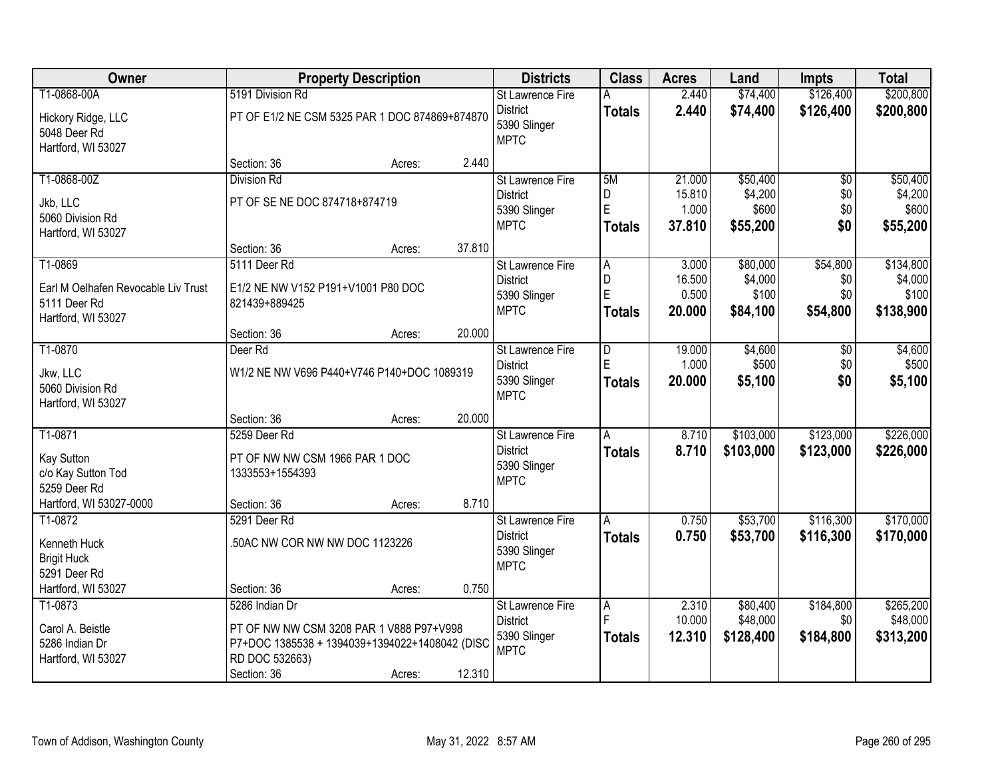| Owner                               |                                                | <b>Property Description</b> |        | <b>Districts</b>                               | <b>Class</b>  | <b>Acres</b> | Land      | <b>Impts</b>    | <b>Total</b> |
|-------------------------------------|------------------------------------------------|-----------------------------|--------|------------------------------------------------|---------------|--------------|-----------|-----------------|--------------|
| T1-0868-00A                         | 5191 Division Rd                               |                             |        | <b>St Lawrence Fire</b>                        | A             | 2.440        | \$74,400  | \$126,400       | \$200,800    |
| Hickory Ridge, LLC<br>5048 Deer Rd  | PT OF E1/2 NE CSM 5325 PAR 1 DOC 874869+874870 |                             |        | <b>District</b><br>5390 Slinger<br><b>MPTC</b> | <b>Totals</b> | 2.440        | \$74,400  | \$126,400       | \$200,800    |
| Hartford, WI 53027                  | Section: 36                                    | Acres:                      | 2.440  |                                                |               |              |           |                 |              |
| T1-0868-00Z                         | <b>Division Rd</b>                             |                             |        | St Lawrence Fire                               | 5M            | 21.000       | \$50,400  | $\overline{50}$ | \$50,400     |
|                                     |                                                |                             |        | <b>District</b>                                | D             | 15.810       | \$4,200   | \$0             | \$4,200      |
| Jkb, LLC<br>5060 Division Rd        | PT OF SE NE DOC 874718+874719                  |                             |        | 5390 Slinger                                   | E             | 1.000        | \$600     | \$0             | \$600        |
| Hartford, WI 53027                  |                                                |                             |        | <b>MPTC</b>                                    | <b>Totals</b> | 37.810       | \$55,200  | \$0             | \$55,200     |
|                                     | Section: 36                                    | Acres:                      | 37.810 |                                                |               |              |           |                 |              |
| T1-0869                             | 5111 Deer Rd                                   |                             |        | St Lawrence Fire                               | A             | 3.000        | \$80,000  | \$54,800        | \$134,800    |
| Earl M Oelhafen Revocable Liv Trust | E1/2 NE NW V152 P191+V1001 P80 DOC             |                             |        | <b>District</b>                                | D             | 16.500       | \$4,000   | \$0             | \$4,000      |
| 5111 Deer Rd                        | 821439+889425                                  |                             |        | 5390 Slinger                                   | E             | 0.500        | \$100     | \$0             | \$100        |
| Hartford, WI 53027                  |                                                |                             |        | <b>MPTC</b>                                    | <b>Totals</b> | 20,000       | \$84,100  | \$54,800        | \$138,900    |
|                                     | Section: 36                                    | Acres:                      | 20.000 |                                                |               |              |           |                 |              |
| T1-0870                             | Deer Rd                                        |                             |        | St Lawrence Fire                               | D             | 19.000       | \$4,600   | \$0             | \$4,600      |
| Jkw, LLC                            | W1/2 NE NW V696 P440+V746 P140+DOC 1089319     |                             |        | <b>District</b>                                | E             | 1.000        | \$500     | \$0             | \$500        |
| 5060 Division Rd                    |                                                |                             |        | 5390 Slinger                                   | <b>Totals</b> | 20,000       | \$5,100   | \$0             | \$5,100      |
| Hartford, WI 53027                  |                                                |                             |        | <b>MPTC</b>                                    |               |              |           |                 |              |
|                                     | Section: 36                                    | Acres:                      | 20.000 |                                                |               |              |           |                 |              |
| T1-0871                             | 5259 Deer Rd                                   |                             |        | St Lawrence Fire                               | A             | 8.710        | \$103,000 | \$123,000       | \$226,000    |
| Kay Sutton                          | PT OF NW NW CSM 1966 PAR 1 DOC                 |                             |        | <b>District</b>                                | <b>Totals</b> | 8.710        | \$103,000 | \$123,000       | \$226,000    |
| c/o Kay Sutton Tod                  | 1333553+1554393                                |                             |        | 5390 Slinger                                   |               |              |           |                 |              |
| 5259 Deer Rd                        |                                                |                             |        | <b>MPTC</b>                                    |               |              |           |                 |              |
| Hartford, WI 53027-0000             | Section: 36                                    | Acres:                      | 8.710  |                                                |               |              |           |                 |              |
| T1-0872                             | 5291 Deer Rd                                   |                             |        | <b>St Lawrence Fire</b>                        | A             | 0.750        | \$53,700  | \$116,300       | \$170,000    |
| Kenneth Huck                        | .50AC NW COR NW NW DOC 1123226                 |                             |        | <b>District</b>                                | <b>Totals</b> | 0.750        | \$53,700  | \$116,300       | \$170,000    |
| <b>Brigit Huck</b>                  |                                                |                             |        | 5390 Slinger                                   |               |              |           |                 |              |
| 5291 Deer Rd                        |                                                |                             |        | <b>MPTC</b>                                    |               |              |           |                 |              |
| Hartford, WI 53027                  | Section: 36                                    | Acres:                      | 0.750  |                                                |               |              |           |                 |              |
| T1-0873                             | 5286 Indian Dr                                 |                             |        | St Lawrence Fire                               | A             | 2.310        | \$80,400  | \$184,800       | \$265,200    |
| Carol A. Beistle                    | PT OF NW NW CSM 3208 PAR 1 V888 P97+V998       |                             |        | <b>District</b>                                | E             | 10.000       | \$48,000  | \$0             | \$48,000     |
| 5286 Indian Dr                      | P7+DOC 1385538 + 1394039+1394022+1408042 (DISC |                             |        | 5390 Slinger                                   | <b>Totals</b> | 12.310       | \$128,400 | \$184,800       | \$313,200    |
| Hartford, WI 53027                  | RD DOC 532663)                                 |                             |        | <b>MPTC</b>                                    |               |              |           |                 |              |
|                                     | Section: 36                                    | Acres:                      | 12.310 |                                                |               |              |           |                 |              |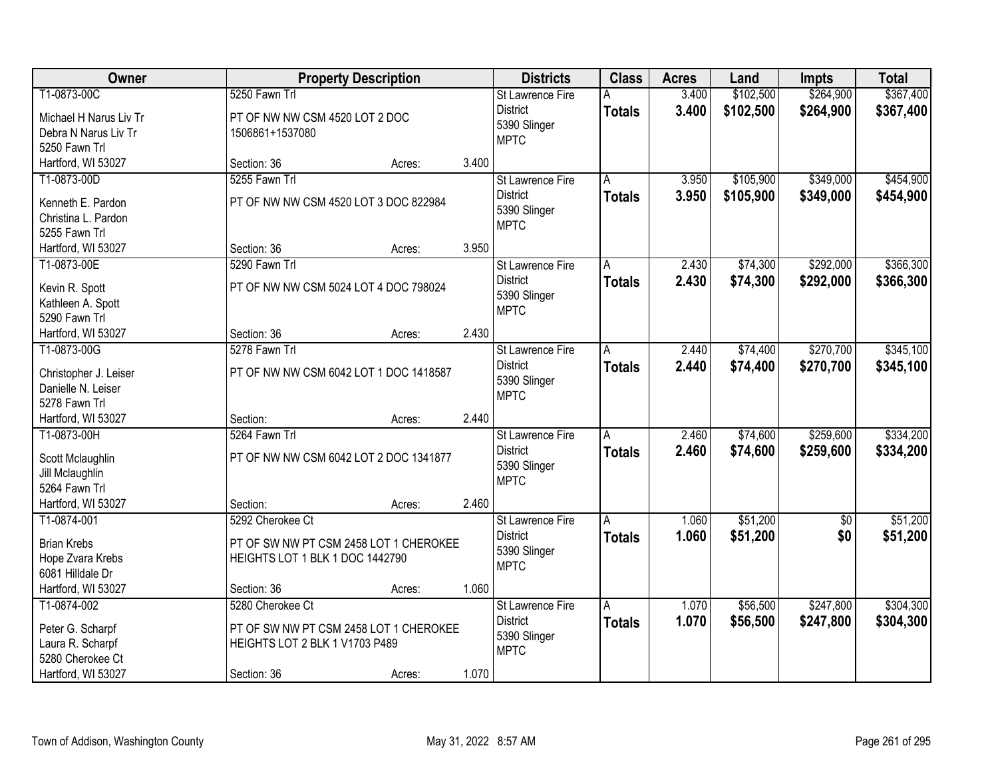| Owner                  |                                        | <b>Property Description</b> |       | <b>Districts</b>            | <b>Class</b>   | <b>Acres</b> | Land      | <b>Impts</b> | <b>Total</b> |
|------------------------|----------------------------------------|-----------------------------|-------|-----------------------------|----------------|--------------|-----------|--------------|--------------|
| T1-0873-00C            | 5250 Fawn Trl                          |                             |       | <b>St Lawrence Fire</b>     | A              | 3.400        | \$102,500 | \$264,900    | \$367,400    |
| Michael H Narus Liv Tr | PT OF NW NW CSM 4520 LOT 2 DOC         |                             |       | <b>District</b>             | <b>Totals</b>  | 3.400        | \$102,500 | \$264,900    | \$367,400    |
| Debra N Narus Liv Tr   | 1506861+1537080                        |                             |       | 5390 Slinger                |                |              |           |              |              |
| 5250 Fawn Trl          |                                        |                             |       | <b>MPTC</b>                 |                |              |           |              |              |
| Hartford, WI 53027     | Section: 36                            | Acres:                      | 3.400 |                             |                |              |           |              |              |
| T1-0873-00D            | 5255 Fawn Trl                          |                             |       | <b>St Lawrence Fire</b>     | A              | 3.950        | \$105,900 | \$349,000    | \$454,900    |
|                        | PT OF NW NW CSM 4520 LOT 3 DOC 822984  |                             |       | <b>District</b>             | <b>Totals</b>  | 3.950        | \$105,900 | \$349,000    | \$454,900    |
| Kenneth E. Pardon      |                                        |                             |       | 5390 Slinger                |                |              |           |              |              |
| Christina L. Pardon    |                                        |                             |       | <b>MPTC</b>                 |                |              |           |              |              |
| 5255 Fawn Trl          |                                        |                             | 3.950 |                             |                |              |           |              |              |
| Hartford, WI 53027     | Section: 36                            | Acres:                      |       |                             |                |              |           |              | \$366,300    |
| T1-0873-00E            | 5290 Fawn Trl                          |                             |       | St Lawrence Fire            | A              | 2.430        | \$74,300  | \$292,000    |              |
| Kevin R. Spott         | PT OF NW NW CSM 5024 LOT 4 DOC 798024  |                             |       | <b>District</b>             | <b>Totals</b>  | 2.430        | \$74,300  | \$292,000    | \$366,300    |
| Kathleen A. Spott      |                                        |                             |       | 5390 Slinger<br><b>MPTC</b> |                |              |           |              |              |
| 5290 Fawn Trl          |                                        |                             |       |                             |                |              |           |              |              |
| Hartford, WI 53027     | Section: 36                            | Acres:                      | 2.430 |                             |                |              |           |              |              |
| T1-0873-00G            | 5278 Fawn Trl                          |                             |       | St Lawrence Fire            | $\overline{A}$ | 2.440        | \$74,400  | \$270,700    | \$345,100    |
|                        |                                        |                             |       | <b>District</b>             | <b>Totals</b>  | 2.440        | \$74,400  | \$270,700    | \$345,100    |
| Christopher J. Leiser  | PT OF NW NW CSM 6042 LOT 1 DOC 1418587 |                             |       | 5390 Slinger                |                |              |           |              |              |
| Danielle N. Leiser     |                                        |                             |       | <b>MPTC</b>                 |                |              |           |              |              |
| 5278 Fawn Trl          |                                        |                             | 2.440 |                             |                |              |           |              |              |
| Hartford, WI 53027     | Section:<br>5264 Fawn Trl              | Acres:                      |       |                             |                |              |           |              | \$334,200    |
| T1-0873-00H            |                                        |                             |       | St Lawrence Fire            | A              | 2.460        | \$74,600  | \$259,600    |              |
| Scott Mclaughlin       | PT OF NW NW CSM 6042 LOT 2 DOC 1341877 |                             |       | <b>District</b>             | <b>Totals</b>  | 2.460        | \$74,600  | \$259,600    | \$334,200    |
| Jill Mclaughlin        |                                        |                             |       | 5390 Slinger<br><b>MPTC</b> |                |              |           |              |              |
| 5264 Fawn Trl          |                                        |                             |       |                             |                |              |           |              |              |
| Hartford, WI 53027     | Section:                               | Acres:                      | 2.460 |                             |                |              |           |              |              |
| T1-0874-001            | 5292 Cherokee Ct                       |                             |       | <b>St Lawrence Fire</b>     | A              | 1.060        | \$51,200  | $\sqrt{$0}$  | \$51,200     |
| <b>Brian Krebs</b>     | PT OF SW NW PT CSM 2458 LOT 1 CHEROKEE |                             |       | <b>District</b>             | <b>Totals</b>  | 1.060        | \$51,200  | \$0          | \$51,200     |
| Hope Zvara Krebs       | HEIGHTS LOT 1 BLK 1 DOC 1442790        |                             |       | 5390 Slinger                |                |              |           |              |              |
| 6081 Hilldale Dr       |                                        |                             |       | <b>MPTC</b>                 |                |              |           |              |              |
| Hartford, WI 53027     | Section: 36                            | Acres:                      | 1.060 |                             |                |              |           |              |              |
| T1-0874-002            | 5280 Cherokee Ct                       |                             |       | <b>St Lawrence Fire</b>     | A              | 1.070        | \$56,500  | \$247,800    | \$304,300    |
|                        |                                        |                             |       | <b>District</b>             |                | 1.070        | \$56,500  |              |              |
| Peter G. Scharpf       | PT OF SW NW PT CSM 2458 LOT 1 CHEROKEE |                             |       | 5390 Slinger                | <b>Totals</b>  |              |           | \$247,800    | \$304,300    |
| Laura R. Scharpf       | HEIGHTS LOT 2 BLK 1 V1703 P489         |                             |       | <b>MPTC</b>                 |                |              |           |              |              |
| 5280 Cherokee Ct       |                                        |                             |       |                             |                |              |           |              |              |
| Hartford, WI 53027     | Section: 36                            | Acres:                      | 1.070 |                             |                |              |           |              |              |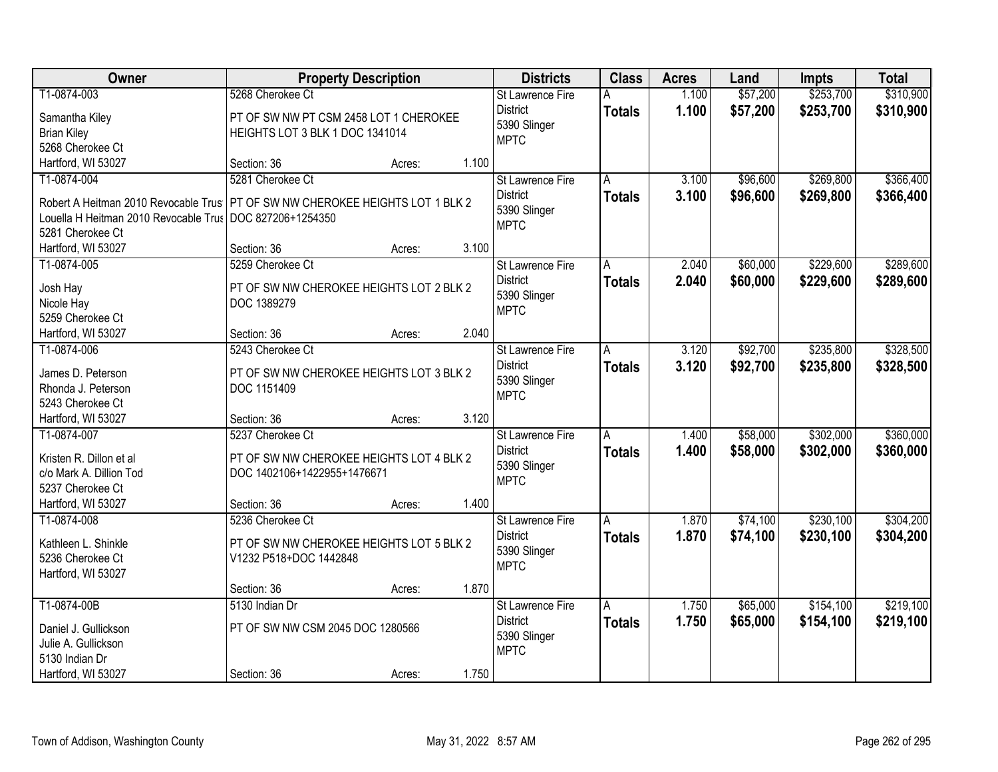| Owner                                   | <b>Property Description</b>                             |        |       | <b>Districts</b>        | <b>Class</b>  | <b>Acres</b> | Land     | <b>Impts</b> | <b>Total</b> |
|-----------------------------------------|---------------------------------------------------------|--------|-------|-------------------------|---------------|--------------|----------|--------------|--------------|
| T1-0874-003                             | 5268 Cherokee Ct                                        |        |       | St Lawrence Fire        | Α             | 1.100        | \$57,200 | \$253,700    | \$310,900    |
| Samantha Kiley                          | PT OF SW NW PT CSM 2458 LOT 1 CHEROKEE                  |        |       | <b>District</b>         | <b>Totals</b> | 1.100        | \$57,200 | \$253,700    | \$310,900    |
| <b>Brian Kiley</b>                      | HEIGHTS LOT 3 BLK 1 DOC 1341014                         |        |       | 5390 Slinger            |               |              |          |              |              |
| 5268 Cherokee Ct                        |                                                         |        |       | <b>MPTC</b>             |               |              |          |              |              |
| Hartford, WI 53027                      | Section: 36                                             | Acres: | 1.100 |                         |               |              |          |              |              |
| T1-0874-004                             | 5281 Cherokee Ct                                        |        |       | <b>St Lawrence Fire</b> | A             | 3.100        | \$96,600 | \$269,800    | \$366,400    |
|                                         |                                                         |        |       | <b>District</b>         | <b>Totals</b> | 3.100        | \$96,600 | \$269,800    | \$366,400    |
| Robert A Heitman 2010 Revocable Trus    | PT OF SW NW CHEROKEE HEIGHTS LOT 1 BLK 2                |        |       | 5390 Slinger            |               |              |          |              |              |
| Louella H Heitman 2010 Revocable Trus   | DOC 827206+1254350                                      |        |       | <b>MPTC</b>             |               |              |          |              |              |
| 5281 Cherokee Ct                        |                                                         |        |       |                         |               |              |          |              |              |
| Hartford, WI 53027                      | Section: 36                                             | Acres: | 3.100 |                         |               |              |          |              |              |
| T1-0874-005                             | 5259 Cherokee Ct                                        |        |       | St Lawrence Fire        | A             | 2.040        | \$60,000 | \$229,600    | \$289,600    |
| Josh Hay                                | PT OF SW NW CHEROKEE HEIGHTS LOT 2 BLK 2                |        |       | <b>District</b>         | <b>Totals</b> | 2.040        | \$60,000 | \$229,600    | \$289,600    |
| Nicole Hay                              | DOC 1389279                                             |        |       | 5390 Slinger            |               |              |          |              |              |
| 5259 Cherokee Ct                        |                                                         |        |       | <b>MPTC</b>             |               |              |          |              |              |
| Hartford, WI 53027                      | Section: 36                                             | Acres: | 2.040 |                         |               |              |          |              |              |
| T1-0874-006                             | 5243 Cherokee Ct                                        |        |       | St Lawrence Fire        | A             | 3.120        | \$92,700 | \$235,800    | \$328,500    |
|                                         |                                                         |        |       | <b>District</b>         | <b>Totals</b> | 3.120        | \$92,700 | \$235,800    | \$328,500    |
| James D. Peterson<br>Rhonda J. Peterson | PT OF SW NW CHEROKEE HEIGHTS LOT 3 BLK 2<br>DOC 1151409 |        |       | 5390 Slinger            |               |              |          |              |              |
| 5243 Cherokee Ct                        |                                                         |        |       | <b>MPTC</b>             |               |              |          |              |              |
| Hartford, WI 53027                      | Section: 36                                             | Acres: | 3.120 |                         |               |              |          |              |              |
| T1-0874-007                             | 5237 Cherokee Ct                                        |        |       | St Lawrence Fire        | A             | 1.400        | \$58,000 | \$302,000    | \$360,000    |
|                                         |                                                         |        |       | <b>District</b>         |               |              |          |              |              |
| Kristen R. Dillon et al                 | PT OF SW NW CHEROKEE HEIGHTS LOT 4 BLK 2                |        |       | 5390 Slinger            | <b>Totals</b> | 1.400        | \$58,000 | \$302,000    | \$360,000    |
| c/o Mark A. Dillion Tod                 | DOC 1402106+1422955+1476671                             |        |       | <b>MPTC</b>             |               |              |          |              |              |
| 5237 Cherokee Ct                        |                                                         |        |       |                         |               |              |          |              |              |
| Hartford, WI 53027                      | Section: 36                                             | Acres: | 1.400 |                         |               |              |          |              |              |
| T1-0874-008                             | 5236 Cherokee Ct                                        |        |       | <b>St Lawrence Fire</b> | A             | 1.870        | \$74,100 | \$230,100    | \$304,200    |
| Kathleen L. Shinkle                     | PT OF SW NW CHEROKEE HEIGHTS LOT 5 BLK 2                |        |       | <b>District</b>         | <b>Totals</b> | 1.870        | \$74,100 | \$230,100    | \$304,200    |
| 5236 Cherokee Ct                        | V1232 P518+DOC 1442848                                  |        |       | 5390 Slinger            |               |              |          |              |              |
| Hartford, WI 53027                      |                                                         |        |       | <b>MPTC</b>             |               |              |          |              |              |
|                                         | Section: 36                                             | Acres: | 1.870 |                         |               |              |          |              |              |
| T1-0874-00B                             | 5130 Indian Dr                                          |        |       | St Lawrence Fire        | A             | 1.750        | \$65,000 | \$154,100    | \$219,100    |
|                                         |                                                         |        |       | <b>District</b>         | <b>Totals</b> | 1.750        | \$65,000 | \$154,100    | \$219,100    |
| Daniel J. Gullickson                    | PT OF SW NW CSM 2045 DOC 1280566                        |        |       | 5390 Slinger            |               |              |          |              |              |
| Julie A. Gullickson                     |                                                         |        |       | <b>MPTC</b>             |               |              |          |              |              |
| 5130 Indian Dr                          |                                                         |        |       |                         |               |              |          |              |              |
| Hartford, WI 53027                      | Section: 36                                             | Acres: | 1.750 |                         |               |              |          |              |              |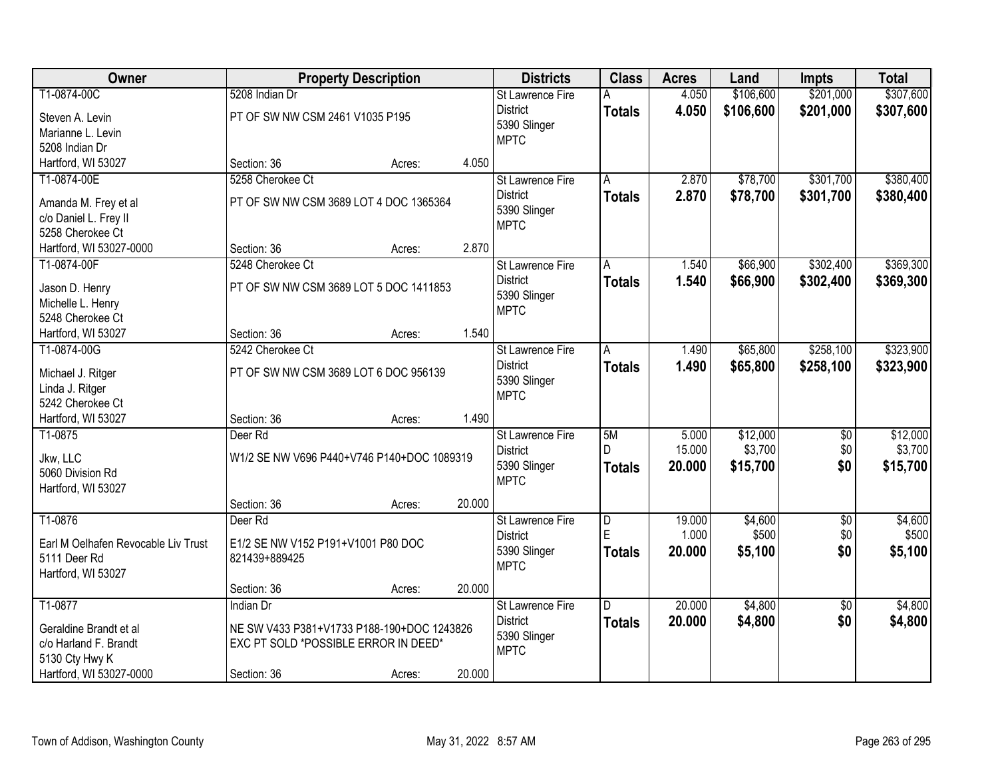| Owner                                       | <b>Property Description</b>                |        |        | <b>Districts</b>            | <b>Class</b>   | <b>Acres</b> | Land      | <b>Impts</b>    | <b>Total</b> |
|---------------------------------------------|--------------------------------------------|--------|--------|-----------------------------|----------------|--------------|-----------|-----------------|--------------|
| T1-0874-00C                                 | 5208 Indian Dr                             |        |        | St Lawrence Fire            | А              | 4.050        | \$106,600 | \$201,000       | \$307,600    |
| Steven A. Levin                             | PT OF SW NW CSM 2461 V1035 P195            |        |        | <b>District</b>             | <b>Totals</b>  | 4.050        | \$106,600 | \$201,000       | \$307,600    |
| Marianne L. Levin                           |                                            |        |        | 5390 Slinger                |                |              |           |                 |              |
| 5208 Indian Dr                              |                                            |        |        | <b>MPTC</b>                 |                |              |           |                 |              |
| Hartford, WI 53027                          | Section: 36                                | Acres: | 4.050  |                             |                |              |           |                 |              |
| T1-0874-00E                                 | 5258 Cherokee Ct                           |        |        | <b>St Lawrence Fire</b>     | A              | 2.870        | \$78,700  | \$301,700       | \$380,400    |
|                                             |                                            |        |        | <b>District</b>             | <b>Totals</b>  | 2.870        | \$78,700  | \$301,700       | \$380,400    |
| Amanda M. Frey et al                        | PT OF SW NW CSM 3689 LOT 4 DOC 1365364     |        |        | 5390 Slinger                |                |              |           |                 |              |
| c/o Daniel L. Frey II                       |                                            |        |        | <b>MPTC</b>                 |                |              |           |                 |              |
| 5258 Cherokee Ct<br>Hartford, WI 53027-0000 |                                            |        | 2.870  |                             |                |              |           |                 |              |
| T1-0874-00F                                 | Section: 36<br>5248 Cherokee Ct            | Acres: |        |                             |                | 1.540        | \$66,900  | \$302,400       | \$369,300    |
|                                             |                                            |        |        | St Lawrence Fire            | А              |              |           |                 |              |
| Jason D. Henry                              | PT OF SW NW CSM 3689 LOT 5 DOC 1411853     |        |        | <b>District</b>             | <b>Totals</b>  | 1.540        | \$66,900  | \$302,400       | \$369,300    |
| Michelle L. Henry                           |                                            |        |        | 5390 Slinger<br><b>MPTC</b> |                |              |           |                 |              |
| 5248 Cherokee Ct                            |                                            |        |        |                             |                |              |           |                 |              |
| Hartford, WI 53027                          | Section: 36                                | Acres: | 1.540  |                             |                |              |           |                 |              |
| T1-0874-00G                                 | 5242 Cherokee Ct                           |        |        | St Lawrence Fire            | A              | 1.490        | \$65,800  | \$258,100       | \$323,900    |
| Michael J. Ritger                           | PT OF SW NW CSM 3689 LOT 6 DOC 956139      |        |        | <b>District</b>             | <b>Totals</b>  | 1.490        | \$65,800  | \$258,100       | \$323,900    |
| Linda J. Ritger                             |                                            |        |        | 5390 Slinger                |                |              |           |                 |              |
| 5242 Cherokee Ct                            |                                            |        |        | <b>MPTC</b>                 |                |              |           |                 |              |
| Hartford, WI 53027                          | Section: 36                                | Acres: | 1.490  |                             |                |              |           |                 |              |
| T1-0875                                     | Deer Rd                                    |        |        | St Lawrence Fire            | 5M             | 5.000        | \$12,000  | $\overline{50}$ | \$12,000     |
|                                             |                                            |        |        | <b>District</b>             | D.             | 15.000       | \$3,700   | \$0             | \$3,700      |
| Jkw, LLC                                    | W1/2 SE NW V696 P440+V746 P140+DOC 1089319 |        |        | 5390 Slinger                | <b>Totals</b>  | 20,000       | \$15,700  | \$0             | \$15,700     |
| 5060 Division Rd                            |                                            |        |        | <b>MPTC</b>                 |                |              |           |                 |              |
| Hartford, WI 53027                          |                                            |        |        |                             |                |              |           |                 |              |
|                                             | Section: 36                                | Acres: | 20.000 |                             |                |              |           |                 |              |
| T1-0876                                     | Deer Rd                                    |        |        | St Lawrence Fire            | $\overline{D}$ | 19.000       | \$4,600   | $\overline{60}$ | \$4,600      |
| Earl M Oelhafen Revocable Liv Trust         | E1/2 SE NW V152 P191+V1001 P80 DOC         |        |        | <b>District</b>             | Ė              | 1.000        | \$500     | \$0             | \$500        |
| 5111 Deer Rd                                | 821439+889425                              |        |        | 5390 Slinger                | <b>Totals</b>  | 20.000       | \$5,100   | \$0             | \$5,100      |
| Hartford, WI 53027                          |                                            |        |        | <b>MPTC</b>                 |                |              |           |                 |              |
|                                             | Section: 36                                | Acres: | 20.000 |                             |                |              |           |                 |              |
| T1-0877                                     | Indian Dr                                  |        |        | <b>St Lawrence Fire</b>     | D              | 20.000       | \$4,800   | $\overline{50}$ | \$4,800      |
|                                             |                                            |        |        | <b>District</b>             | <b>Totals</b>  | 20.000       | \$4,800   | \$0             | \$4,800      |
| Geraldine Brandt et al                      | NE SW V433 P381+V1733 P188-190+DOC 1243826 |        |        | 5390 Slinger                |                |              |           |                 |              |
| c/o Harland F. Brandt                       | EXC PT SOLD *POSSIBLE ERROR IN DEED*       |        |        | <b>MPTC</b>                 |                |              |           |                 |              |
| 5130 Cty Hwy K                              |                                            |        |        |                             |                |              |           |                 |              |
| Hartford, WI 53027-0000                     | Section: 36                                | Acres: | 20.000 |                             |                |              |           |                 |              |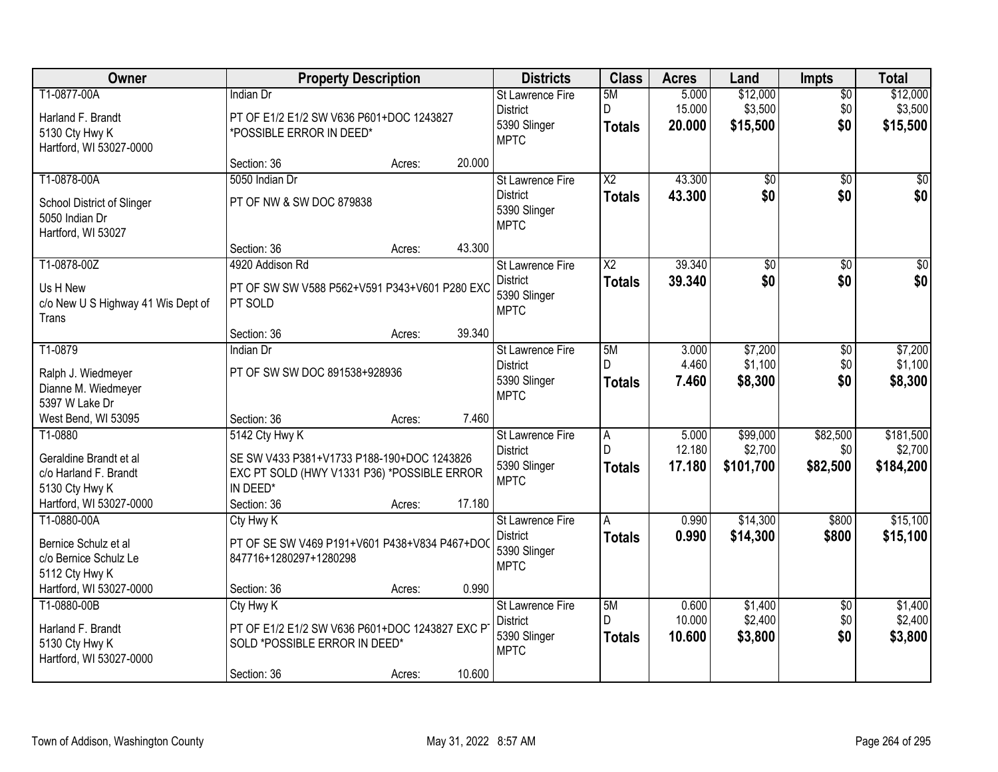| Owner                                          | <b>Property Description</b>                              |        |        | <b>Districts</b>                           | <b>Class</b>           | <b>Acres</b>    | Land                | <b>Impts</b>       | <b>Total</b>        |
|------------------------------------------------|----------------------------------------------------------|--------|--------|--------------------------------------------|------------------------|-----------------|---------------------|--------------------|---------------------|
| T1-0877-00A                                    | <b>Indian Dr</b>                                         |        |        | <b>St Lawrence Fire</b><br><b>District</b> | 5M<br>D                | 5.000<br>15.000 | \$12,000<br>\$3,500 | $\sqrt{$0}$<br>\$0 | \$12,000<br>\$3,500 |
| Harland F. Brandt                              | PT OF E1/2 E1/2 SW V636 P601+DOC 1243827                 |        |        | 5390 Slinger                               | <b>Totals</b>          | 20.000          | \$15,500            | \$0                | \$15,500            |
| 5130 Cty Hwy K<br>Hartford, WI 53027-0000      | *POSSIBLE ERROR IN DEED*                                 |        |        | <b>MPTC</b>                                |                        |                 |                     |                    |                     |
|                                                | Section: 36                                              | Acres: | 20.000 |                                            |                        |                 |                     |                    |                     |
| T1-0878-00A                                    | 5050 Indian Dr                                           |        |        | St Lawrence Fire                           | $\overline{\text{X2}}$ | 43.300          | $\overline{50}$     | $\overline{50}$    | \$0                 |
| School District of Slinger                     | PT OF NW & SW DOC 879838                                 |        |        | <b>District</b>                            | <b>Totals</b>          | 43.300          | \$0                 | \$0                | \$0                 |
| 5050 Indian Dr                                 |                                                          |        |        | 5390 Slinger<br><b>MPTC</b>                |                        |                 |                     |                    |                     |
| Hartford, WI 53027                             |                                                          |        |        |                                            |                        |                 |                     |                    |                     |
| T1-0878-00Z                                    | Section: 36<br>4920 Addison Rd                           | Acres: | 43.300 | St Lawrence Fire                           | $\overline{\text{X2}}$ | 39.340          | $\overline{50}$     | \$0                | $\overline{\$0}$    |
|                                                |                                                          |        |        | <b>District</b>                            | <b>Totals</b>          | 39.340          | \$0                 | \$0                | \$0                 |
| Us H New<br>c/o New U S Highway 41 Wis Dept of | PT OF SW SW V588 P562+V591 P343+V601 P280 EXC<br>PT SOLD |        |        | 5390 Slinger                               |                        |                 |                     |                    |                     |
| <b>Trans</b>                                   |                                                          |        |        | <b>MPTC</b>                                |                        |                 |                     |                    |                     |
|                                                | Section: 36                                              | Acres: | 39.340 |                                            |                        |                 |                     |                    |                     |
| T1-0879                                        | Indian Dr                                                |        |        | St Lawrence Fire                           | 5M                     | 3.000           | \$7,200             | \$0                | \$7,200             |
| Ralph J. Wiedmeyer                             | PT OF SW SW DOC 891538+928936                            |        |        | <b>District</b><br>5390 Slinger            | D.<br><b>Totals</b>    | 4.460<br>7.460  | \$1,100<br>\$8,300  | \$0<br>\$0         | \$1,100<br>\$8,300  |
| Dianne M. Wiedmeyer                            |                                                          |        |        | <b>MPTC</b>                                |                        |                 |                     |                    |                     |
| 5397 W Lake Dr<br>West Bend, WI 53095          | Section: 36                                              | Acres: | 7.460  |                                            |                        |                 |                     |                    |                     |
| T1-0880                                        | 5142 Cty Hwy K                                           |        |        | St Lawrence Fire                           | $\overline{A}$         | 5.000           | \$99,000            | \$82,500           | \$181,500           |
| Geraldine Brandt et al                         | SE SW V433 P381+V1733 P188-190+DOC 1243826               |        |        | <b>District</b>                            | $\mathsf{D}$           | 12.180          | \$2,700             | \$0                | \$2,700             |
| c/o Harland F. Brandt                          | EXC PT SOLD (HWY V1331 P36) *POSSIBLE ERROR              |        |        | 5390 Slinger                               | <b>Totals</b>          | 17.180          | \$101,700           | \$82,500           | \$184,200           |
| 5130 Cty Hwy K                                 | IN DEED*                                                 |        |        | <b>MPTC</b>                                |                        |                 |                     |                    |                     |
| Hartford, WI 53027-0000                        | Section: 36                                              | Acres: | 17.180 |                                            |                        |                 |                     |                    |                     |
| T1-0880-00A                                    | Cty Hwy K                                                |        |        | St Lawrence Fire<br><b>District</b>        | A                      | 0.990           | \$14,300            | \$800              | \$15,100            |
| Bernice Schulz et al                           | PT OF SE SW V469 P191+V601 P438+V834 P467+DO             |        |        | 5390 Slinger                               | <b>Totals</b>          | 0.990           | \$14,300            | \$800              | \$15,100            |
| c/o Bernice Schulz Le<br>5112 Cty Hwy K        | 847716+1280297+1280298                                   |        |        | <b>MPTC</b>                                |                        |                 |                     |                    |                     |
| Hartford, WI 53027-0000                        | Section: 36                                              | Acres: | 0.990  |                                            |                        |                 |                     |                    |                     |
| T1-0880-00B                                    | Cty Hwy K                                                |        |        | St Lawrence Fire                           | 5M                     | 0.600           | \$1,400             | $\overline{50}$    | \$1,400             |
| Harland F. Brandt                              | PT OF E1/2 E1/2 SW V636 P601+DOC 1243827 EXC P           |        |        | <b>District</b>                            | D.                     | 10.000          | \$2,400             | \$0                | \$2,400             |
| 5130 Cty Hwy K                                 | SOLD *POSSIBLE ERROR IN DEED*                            |        |        | 5390 Slinger<br><b>MPTC</b>                | <b>Totals</b>          | 10.600          | \$3,800             | \$0                | \$3,800             |
| Hartford, WI 53027-0000                        |                                                          |        |        |                                            |                        |                 |                     |                    |                     |
|                                                | Section: 36                                              | Acres: | 10.600 |                                            |                        |                 |                     |                    |                     |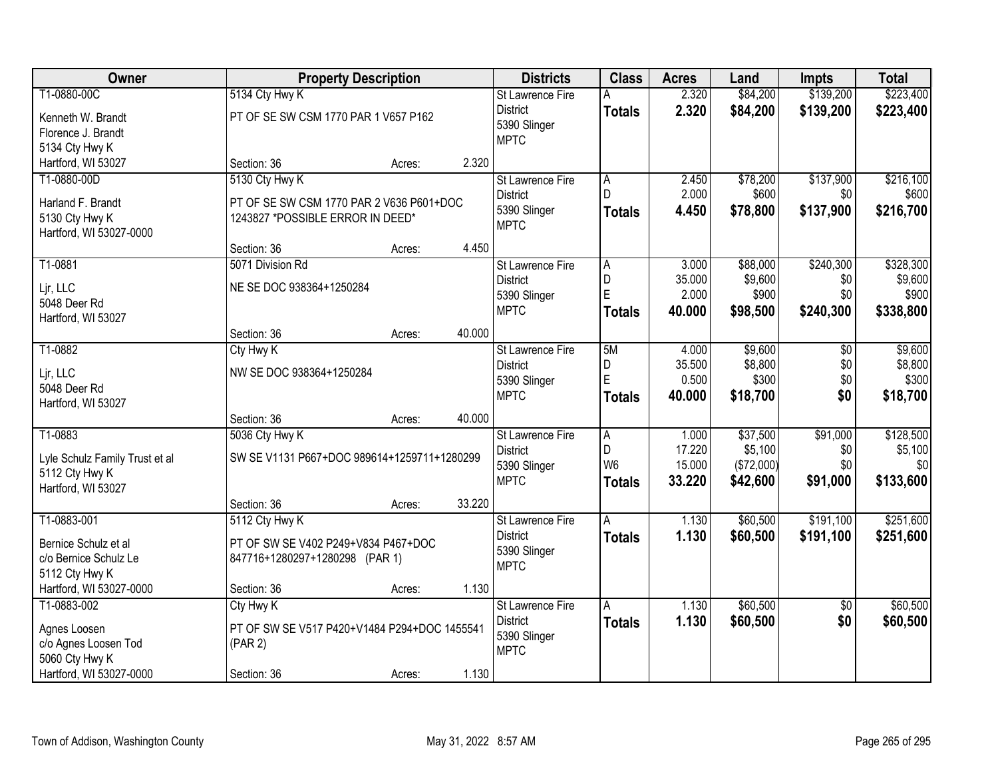| Owner                                         |                                      | <b>Property Description</b>                  |        | <b>Districts</b>            | <b>Class</b>   | <b>Acres</b>    | Land             | <b>Impts</b> | <b>Total</b>     |
|-----------------------------------------------|--------------------------------------|----------------------------------------------|--------|-----------------------------|----------------|-----------------|------------------|--------------|------------------|
| T1-0880-00C                                   | 5134 Cty Hwy K                       |                                              |        | <b>St Lawrence Fire</b>     | A              | 2.320           | \$84,200         | \$139,200    | \$223,400        |
| Kenneth W. Brandt                             | PT OF SE SW CSM 1770 PAR 1 V657 P162 |                                              |        | <b>District</b>             | <b>Totals</b>  | 2.320           | \$84,200         | \$139,200    | \$223,400        |
| Florence J. Brandt                            |                                      |                                              |        | 5390 Slinger                |                |                 |                  |              |                  |
| 5134 Cty Hwy K                                |                                      |                                              |        | <b>MPTC</b>                 |                |                 |                  |              |                  |
| Hartford, WI 53027                            | Section: 36                          | Acres:                                       | 2.320  |                             |                |                 |                  |              |                  |
| T1-0880-00D                                   | 5130 Cty Hwy K                       |                                              |        | St Lawrence Fire            | A              | 2.450           | \$78,200         | \$137,900    | \$216,100        |
|                                               |                                      |                                              |        | <b>District</b>             | D              | 2.000           | \$600            | \$0          | \$600            |
| Harland F. Brandt                             | 1243827 *POSSIBLE ERROR IN DEED*     | PT OF SE SW CSM 1770 PAR 2 V636 P601+DOC     |        | 5390 Slinger                | <b>Totals</b>  | 4.450           | \$78,800         | \$137,900    | \$216,700        |
| 5130 Cty Hwy K<br>Hartford, WI 53027-0000     |                                      |                                              |        | <b>MPTC</b>                 |                |                 |                  |              |                  |
|                                               | Section: 36                          | Acres:                                       | 4.450  |                             |                |                 |                  |              |                  |
| T1-0881                                       | 5071 Division Rd                     |                                              |        | St Lawrence Fire            | A              | 3.000           | \$88,000         | \$240,300    | \$328,300        |
|                                               |                                      |                                              |        | <b>District</b>             | D              | 35.000          | \$9,600          | \$0          | \$9,600          |
| Lir, LLC                                      | NE SE DOC 938364+1250284             |                                              |        | 5390 Slinger                | E              | 2.000           | \$900            | \$0          | \$900            |
| 5048 Deer Rd                                  |                                      |                                              |        | <b>MPTC</b>                 | <b>Totals</b>  | 40.000          | \$98,500         | \$240,300    | \$338,800        |
| Hartford, WI 53027                            |                                      |                                              |        |                             |                |                 |                  |              |                  |
|                                               | Section: 36                          | Acres:                                       | 40.000 |                             |                |                 |                  |              |                  |
| T1-0882                                       | Cty Hwy K                            |                                              |        | <b>St Lawrence Fire</b>     | 5M             | 4.000           | \$9,600          | \$0          | \$9,600          |
| Ljr, LLC                                      | NW SE DOC 938364+1250284             |                                              |        | <b>District</b>             | D<br>E         | 35.500<br>0.500 | \$8,800<br>\$300 | \$0<br>\$0   | \$8,800<br>\$300 |
| 5048 Deer Rd                                  |                                      |                                              |        | 5390 Slinger<br><b>MPTC</b> |                |                 |                  | \$0          |                  |
| Hartford, WI 53027                            |                                      |                                              |        |                             | <b>Totals</b>  | 40.000          | \$18,700         |              | \$18,700         |
|                                               | Section: 36                          | Acres:                                       | 40.000 |                             |                |                 |                  |              |                  |
| T1-0883                                       | 5036 Cty Hwy K                       |                                              |        | <b>St Lawrence Fire</b>     | $\overline{A}$ | 1.000           | \$37,500         | \$91,000     | \$128,500        |
| Lyle Schulz Family Trust et al                |                                      | SW SE V1131 P667+DOC 989614+1259711+1280299  |        | <b>District</b>             | D              | 17.220          | \$5,100          | \$0          | \$5,100          |
| 5112 Cty Hwy K                                |                                      |                                              |        | 5390 Slinger                | W <sub>6</sub> | 15.000          | (\$72,000)       | \$0          | \$0              |
| Hartford, WI 53027                            |                                      |                                              |        | <b>MPTC</b>                 | <b>Totals</b>  | 33.220          | \$42,600         | \$91,000     | \$133,600        |
|                                               | Section: 36                          | Acres:                                       | 33.220 |                             |                |                 |                  |              |                  |
| T1-0883-001                                   | 5112 Cty Hwy K                       |                                              |        | <b>St Lawrence Fire</b>     | Α              | 1.130           | \$60,500         | \$191,100    | \$251,600        |
|                                               |                                      | PT OF SW SE V402 P249+V834 P467+DOC          |        | <b>District</b>             | <b>Totals</b>  | 1.130           | \$60,500         | \$191,100    | \$251,600        |
| Bernice Schulz et al<br>c/o Bernice Schulz Le | 847716+1280297+1280298 (PAR 1)       |                                              |        | 5390 Slinger                |                |                 |                  |              |                  |
| 5112 Cty Hwy K                                |                                      |                                              |        | <b>MPTC</b>                 |                |                 |                  |              |                  |
| Hartford, WI 53027-0000                       | Section: 36                          | Acres:                                       | 1.130  |                             |                |                 |                  |              |                  |
| T1-0883-002                                   | Cty Hwy K                            |                                              |        | St Lawrence Fire            | A              | 1.130           | \$60,500         | $\sqrt{6}$   | \$60,500         |
|                                               |                                      |                                              |        | <b>District</b>             | <b>Totals</b>  | 1.130           | \$60,500         | \$0          | \$60,500         |
| Agnes Loosen                                  |                                      | PT OF SW SE V517 P420+V1484 P294+DOC 1455541 |        | 5390 Slinger                |                |                 |                  |              |                  |
| c/o Agnes Loosen Tod                          | (PAR 2)                              |                                              |        | <b>MPTC</b>                 |                |                 |                  |              |                  |
| 5060 Cty Hwy K                                |                                      |                                              |        |                             |                |                 |                  |              |                  |
| Hartford, WI 53027-0000                       | Section: 36                          | Acres:                                       | 1.130  |                             |                |                 |                  |              |                  |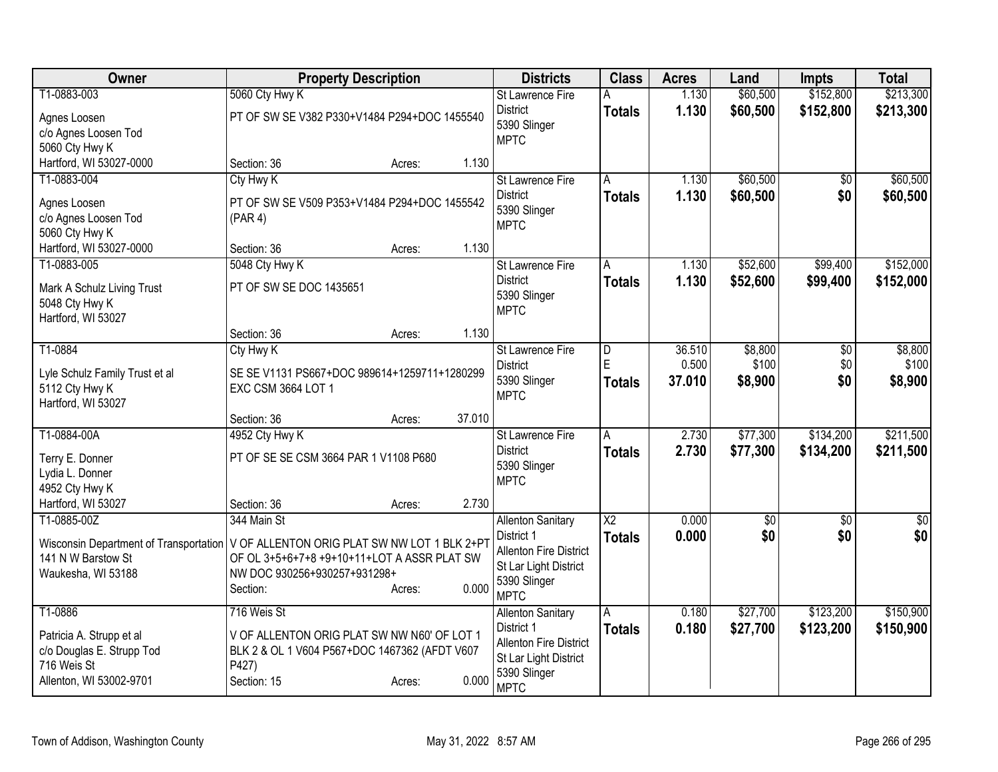| Owner                                  | <b>Property Description</b>                   |        | <b>Districts</b>                      | <b>Class</b>            | <b>Acres</b> | Land        | <b>Impts</b>    | <b>Total</b>    |
|----------------------------------------|-----------------------------------------------|--------|---------------------------------------|-------------------------|--------------|-------------|-----------------|-----------------|
| T1-0883-003                            | 5060 Cty Hwy K                                |        | St Lawrence Fire                      |                         | 1.130        | \$60,500    | \$152,800       | \$213,300       |
| Agnes Loosen                           | PT OF SW SE V382 P330+V1484 P294+DOC 1455540  |        | <b>District</b>                       | <b>Totals</b>           | 1.130        | \$60,500    | \$152,800       | \$213,300       |
| c/o Agnes Loosen Tod                   |                                               |        | 5390 Slinger<br><b>MPTC</b>           |                         |              |             |                 |                 |
| 5060 Cty Hwy K                         |                                               |        |                                       |                         |              |             |                 |                 |
| Hartford, WI 53027-0000                | Section: 36<br>Acres:                         | 1.130  |                                       |                         |              |             |                 |                 |
| T1-0883-004                            | Cty Hwy K                                     |        | St Lawrence Fire                      | A                       | 1.130        | \$60,500    | \$0             | \$60,500        |
| Agnes Loosen                           | PT OF SW SE V509 P353+V1484 P294+DOC 1455542  |        | <b>District</b>                       | <b>Totals</b>           | 1.130        | \$60,500    | \$0             | \$60,500        |
| c/o Agnes Loosen Tod                   | (PAR 4)                                       |        | 5390 Slinger<br><b>MPTC</b>           |                         |              |             |                 |                 |
| 5060 Cty Hwy K                         |                                               |        |                                       |                         |              |             |                 |                 |
| Hartford, WI 53027-0000                | Section: 36<br>Acres:                         | 1.130  |                                       |                         |              |             |                 |                 |
| T1-0883-005                            | 5048 Cty Hwy K                                |        | St Lawrence Fire                      | A                       | 1.130        | \$52,600    | \$99,400        | \$152,000       |
| Mark A Schulz Living Trust             | PT OF SW SE DOC 1435651                       |        | <b>District</b>                       | <b>Totals</b>           | 1.130        | \$52,600    | \$99,400        | \$152,000       |
| 5048 Cty Hwy K                         |                                               |        | 5390 Slinger                          |                         |              |             |                 |                 |
| Hartford, WI 53027                     |                                               |        | <b>MPTC</b>                           |                         |              |             |                 |                 |
|                                        | Section: 36<br>Acres:                         | 1.130  |                                       |                         |              |             |                 |                 |
| T1-0884                                | Cty Hwy K                                     |        | <b>St Lawrence Fire</b>               | $\overline{\mathsf{D}}$ | 36.510       | \$8,800     | $\overline{50}$ | \$8,800         |
| Lyle Schulz Family Trust et al         | SE SE V1131 PS667+DOC 989614+1259711+1280299  |        | <b>District</b>                       | E                       | 0.500        | \$100       | \$0             | \$100           |
| 5112 Cty Hwy K                         | EXC CSM 3664 LOT 1                            |        | 5390 Slinger<br><b>MPTC</b>           | <b>Totals</b>           | 37.010       | \$8,900     | \$0             | \$8,900         |
| Hartford, WI 53027                     |                                               |        |                                       |                         |              |             |                 |                 |
|                                        | Section: 36<br>Acres:                         | 37.010 |                                       |                         |              |             |                 |                 |
| T1-0884-00A                            | 4952 Cty Hwy K                                |        | St Lawrence Fire                      | Α                       | 2.730        | \$77,300    | \$134,200       | \$211,500       |
| Terry E. Donner                        | PT OF SE SE CSM 3664 PAR 1 V1108 P680         |        | <b>District</b>                       | <b>Totals</b>           | 2.730        | \$77,300    | \$134,200       | \$211,500       |
| Lydia L. Donner                        |                                               |        | 5390 Slinger                          |                         |              |             |                 |                 |
| 4952 Cty Hwy K                         |                                               |        | <b>MPTC</b>                           |                         |              |             |                 |                 |
| Hartford, WI 53027                     | Section: 36<br>Acres:                         | 2.730  |                                       |                         |              |             |                 |                 |
| T1-0885-00Z                            | 344 Main St                                   |        | <b>Allenton Sanitary</b>              | $\overline{X2}$         | 0.000        | $\sqrt{50}$ | $\sqrt{6}$      | $\overline{50}$ |
| Wisconsin Department of Transportation | V OF ALLENTON ORIG PLAT SW NW LOT 1 BLK 2+PT  |        | District 1                            | <b>Totals</b>           | 0.000        | \$0         | \$0             | \$0             |
| 141 N W Barstow St                     | OF OL 3+5+6+7+8 +9+10+11+LOT A ASSR PLAT SW   |        | <b>Allenton Fire District</b>         |                         |              |             |                 |                 |
| Waukesha, WI 53188                     | NW DOC 930256+930257+931298+                  |        | St Lar Light District<br>5390 Slinger |                         |              |             |                 |                 |
|                                        | Section:<br>Acres:                            | 0.000  | <b>MPTC</b>                           |                         |              |             |                 |                 |
| T1-0886                                | 716 Weis St                                   |        | <b>Allenton Sanitary</b>              | A                       | 0.180        | \$27,700    | \$123,200       | \$150,900       |
| Patricia A. Strupp et al               | V OF ALLENTON ORIG PLAT SW NW N60' OF LOT 1   |        | District 1                            | <b>Totals</b>           | 0.180        | \$27,700    | \$123,200       | \$150,900       |
| c/o Douglas E. Strupp Tod              | BLK 2 & OL 1 V604 P567+DOC 1467362 (AFDT V607 |        | Allenton Fire District                |                         |              |             |                 |                 |
| 716 Weis St                            | P427)                                         |        | St Lar Light District                 |                         |              |             |                 |                 |
| Allenton, WI 53002-9701                | Section: 15<br>Acres:                         | 0.000  | 5390 Slinger                          |                         |              |             |                 |                 |
|                                        |                                               |        | <b>MPTC</b>                           |                         |              |             |                 |                 |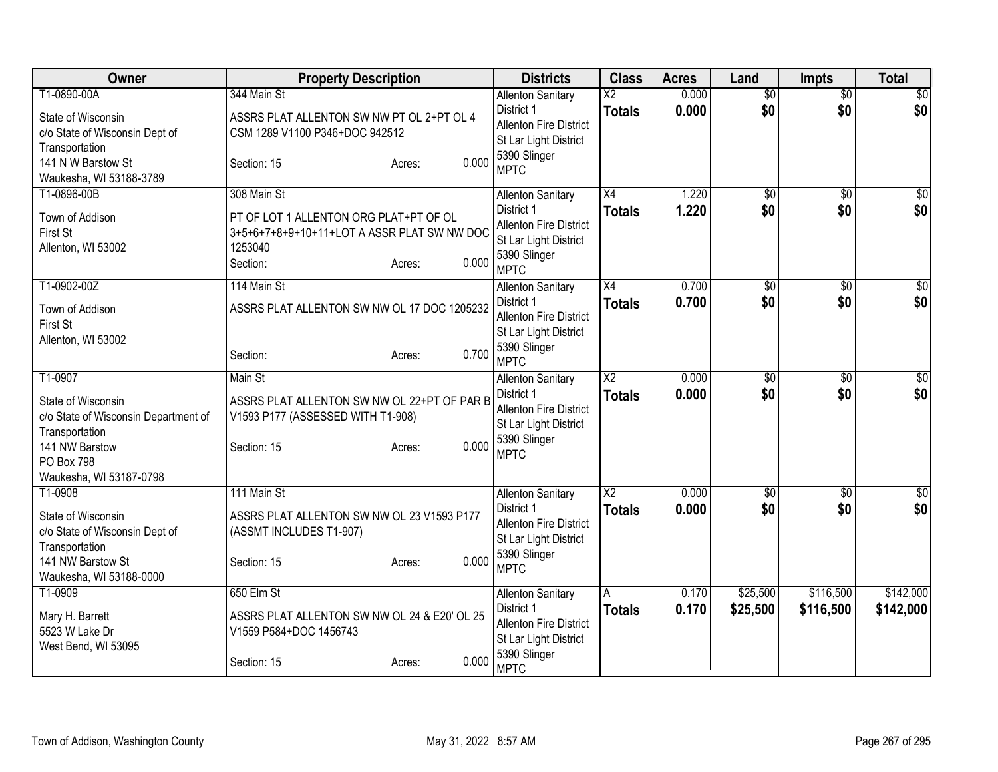| Owner                                                                                                                                                     | <b>Property Description</b>                                                                                                                    | <b>Districts</b>                                                                                                                | <b>Class</b>                     | <b>Acres</b>   | Land                   | <b>Impts</b>           | <b>Total</b>           |
|-----------------------------------------------------------------------------------------------------------------------------------------------------------|------------------------------------------------------------------------------------------------------------------------------------------------|---------------------------------------------------------------------------------------------------------------------------------|----------------------------------|----------------|------------------------|------------------------|------------------------|
| T1-0890-00A<br>State of Wisconsin<br>c/o State of Wisconsin Dept of<br>Transportation<br>141 N W Barstow St<br>Waukesha, WI 53188-3789                    | 344 Main St<br>ASSRS PLAT ALLENTON SW NW PT OL 2+PT OL 4<br>CSM 1289 V1100 P346+DOC 942512<br>0.000<br>Section: 15<br>Acres:                   | <b>Allenton Sanitary</b><br>District 1<br><b>Allenton Fire District</b><br>St Lar Light District<br>5390 Slinger<br><b>MPTC</b> | $\overline{X2}$<br><b>Totals</b> | 0.000<br>0.000 | $\overline{50}$<br>\$0 | $\overline{50}$<br>\$0 | $\sqrt{30}$<br>\$0     |
| T1-0896-00B<br>Town of Addison<br>First St<br>Allenton, WI 53002                                                                                          | 308 Main St<br>PT OF LOT 1 ALLENTON ORG PLAT+PT OF OL<br>3+5+6+7+8+9+10+11+LOT A ASSR PLAT SW NW DOC<br>1253040<br>0.000<br>Section:<br>Acres: | <b>Allenton Sanitary</b><br>District 1<br>Allenton Fire District<br>St Lar Light District<br>5390 Slinger<br><b>MPTC</b>        | $\overline{X4}$<br><b>Totals</b> | 1.220<br>1.220 | $\overline{50}$<br>\$0 | $\overline{30}$<br>\$0 | \$0<br>\$0             |
| T1-0902-00Z<br>Town of Addison<br>First St<br>Allenton, WI 53002                                                                                          | 114 Main St<br>ASSRS PLAT ALLENTON SW NW OL 17 DOC 1205232<br>0.700<br>Section:<br>Acres:                                                      | <b>Allenton Sanitary</b><br>District 1<br>Allenton Fire District<br>St Lar Light District<br>5390 Slinger<br><b>MPTC</b>        | $\overline{X4}$<br><b>Totals</b> | 0.700<br>0.700 | $\overline{50}$<br>\$0 | $\overline{50}$<br>\$0 | $\sqrt{30}$<br>\$0     |
| T1-0907<br>State of Wisconsin<br>c/o State of Wisconsin Department of<br>Transportation<br>141 NW Barstow<br><b>PO Box 798</b><br>Waukesha, WI 53187-0798 | Main St<br>ASSRS PLAT ALLENTON SW NW OL 22+PT OF PAR B<br>V1593 P177 (ASSESSED WITH T1-908)<br>0.000<br>Section: 15<br>Acres:                  | <b>Allenton Sanitary</b><br>District 1<br><b>Allenton Fire District</b><br>St Lar Light District<br>5390 Slinger<br><b>MPTC</b> | $\overline{X2}$<br><b>Totals</b> | 0.000<br>0.000 | $\overline{60}$<br>\$0 | \$0<br>\$0             | $\sqrt{50}$<br>\$0     |
| T1-0908<br>State of Wisconsin<br>c/o State of Wisconsin Dept of<br>Transportation<br>141 NW Barstow St<br>Waukesha, WI 53188-0000                         | 111 Main St<br>ASSRS PLAT ALLENTON SW NW OL 23 V1593 P177<br>(ASSMT INCLUDES T1-907)<br>0.000<br>Section: 15<br>Acres:                         | <b>Allenton Sanitary</b><br>District 1<br><b>Allenton Fire District</b><br>St Lar Light District<br>5390 Slinger<br><b>MPTC</b> | $\overline{X2}$<br><b>Totals</b> | 0.000<br>0.000 | \$0<br>\$0             | \$0<br>\$0             | $\overline{30}$<br>\$0 |
| T1-0909<br>Mary H. Barrett<br>5523 W Lake Dr<br>West Bend, WI 53095                                                                                       | 650 Elm St<br>ASSRS PLAT ALLENTON SW NW OL 24 & E20' OL 25<br>V1559 P584+DOC 1456743<br>0.000<br>Section: 15<br>Acres:                         | <b>Allenton Sanitary</b><br>District 1<br><b>Allenton Fire District</b><br>St Lar Light District<br>5390 Slinger<br><b>MPTC</b> | A<br><b>Totals</b>               | 0.170<br>0.170 | \$25,500<br>\$25,500   | \$116,500<br>\$116,500 | \$142,000<br>\$142,000 |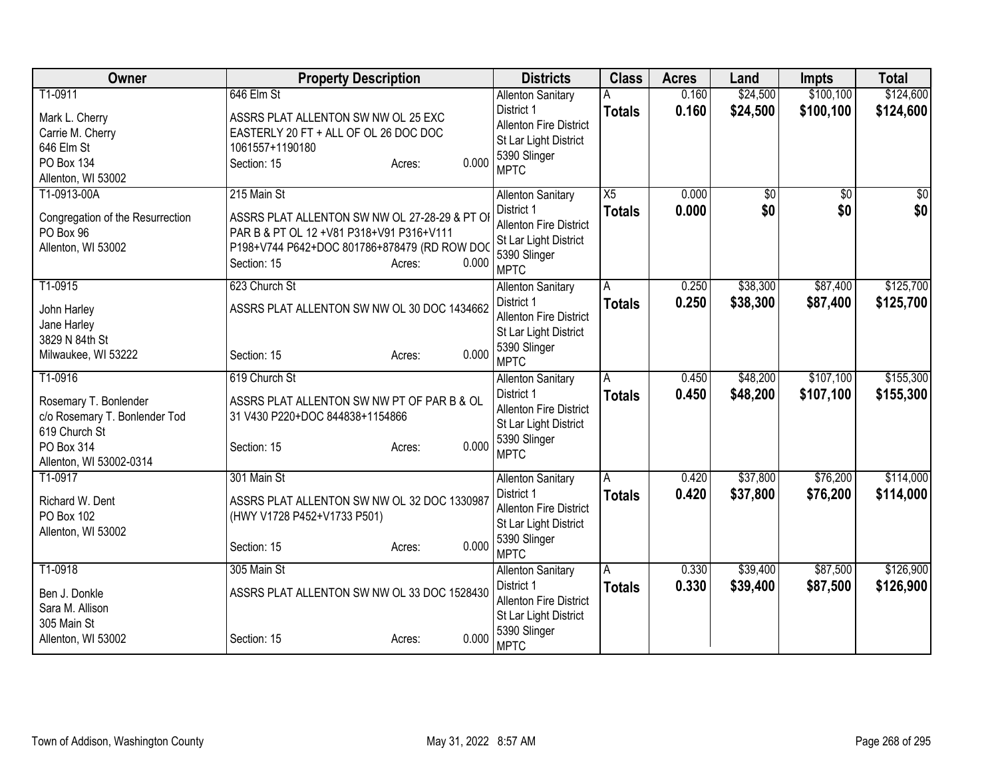| Owner                                                                                                                              | <b>Property Description</b>                                                                                                                                                                 | <b>Districts</b>                                                                                                                | <b>Class</b>        | <b>Acres</b>   | Land                 | <b>Impts</b>           | <b>Total</b>           |
|------------------------------------------------------------------------------------------------------------------------------------|---------------------------------------------------------------------------------------------------------------------------------------------------------------------------------------------|---------------------------------------------------------------------------------------------------------------------------------|---------------------|----------------|----------------------|------------------------|------------------------|
| T1-0911<br>Mark L. Cherry<br>Carrie M. Cherry<br>646 Elm St<br><b>PO Box 134</b><br>Allenton, WI 53002                             | 646 Elm St<br>ASSRS PLAT ALLENTON SW NW OL 25 EXC<br>EASTERLY 20 FT + ALL OF OL 26 DOC DOC<br>1061557+1190180<br>0.000<br>Section: 15<br>Acres:                                             | <b>Allenton Sanitary</b><br>District 1<br><b>Allenton Fire District</b><br>St Lar Light District<br>5390 Slinger<br><b>MPTC</b> | Α<br><b>Totals</b>  | 0.160<br>0.160 | \$24,500<br>\$24,500 | \$100,100<br>\$100,100 | \$124,600<br>\$124,600 |
| T1-0913-00A<br>Congregation of the Resurrection<br>PO Box 96<br>Allenton, WI 53002                                                 | 215 Main St<br>ASSRS PLAT ALLENTON SW NW OL 27-28-29 & PT OI<br>PAR B & PT OL 12 + V81 P318+V91 P316+V111<br>P198+V744 P642+DOC 801786+878479 (RD ROW DOO<br>0.000<br>Section: 15<br>Acres: | <b>Allenton Sanitary</b><br>District 1<br><b>Allenton Fire District</b><br>St Lar Light District<br>5390 Slinger<br><b>MPTC</b> | X5<br><b>Totals</b> | 0.000<br>0.000 | \$0<br>\$0           | \$0<br>\$0             | \$0<br>\$0             |
| T1-0915<br>John Harley<br>Jane Harley<br>3829 N 84th St<br>Milwaukee, WI 53222                                                     | 623 Church St<br>ASSRS PLAT ALLENTON SW NW OL 30 DOC 1434662<br>0.000<br>Section: 15<br>Acres:                                                                                              | <b>Allenton Sanitary</b><br>District 1<br>Allenton Fire District<br>St Lar Light District<br>5390 Slinger<br><b>MPTC</b>        | Α<br><b>Totals</b>  | 0.250<br>0.250 | \$38,300<br>\$38,300 | \$87,400<br>\$87,400   | \$125,700<br>\$125,700 |
| T1-0916<br>Rosemary T. Bonlender<br>c/o Rosemary T. Bonlender Tod<br>619 Church St<br><b>PO Box 314</b><br>Allenton, WI 53002-0314 | 619 Church St<br>ASSRS PLAT ALLENTON SW NW PT OF PAR B & OL<br>31 V430 P220+DOC 844838+1154866<br>0.000<br>Section: 15<br>Acres:                                                            | <b>Allenton Sanitary</b><br>District 1<br><b>Allenton Fire District</b><br>St Lar Light District<br>5390 Slinger<br><b>MPTC</b> | A<br><b>Totals</b>  | 0.450<br>0.450 | \$48,200<br>\$48,200 | \$107,100<br>\$107,100 | \$155,300<br>\$155,300 |
| T1-0917<br>Richard W. Dent<br>PO Box 102<br>Allenton, WI 53002                                                                     | 301 Main St<br>ASSRS PLAT ALLENTON SW NW OL 32 DOC 1330987<br>(HWY V1728 P452+V1733 P501)<br>0.000<br>Section: 15<br>Acres:                                                                 | <b>Allenton Sanitary</b><br>District 1<br>Allenton Fire District<br>St Lar Light District<br>5390 Slinger<br><b>MPTC</b>        | A<br><b>Totals</b>  | 0.420<br>0.420 | \$37,800<br>\$37,800 | \$76,200<br>\$76,200   | \$114,000<br>\$114,000 |
| T1-0918<br>Ben J. Donkle<br>Sara M. Allison<br>305 Main St<br>Allenton, WI 53002                                                   | 305 Main St<br>ASSRS PLAT ALLENTON SW NW OL 33 DOC 1528430<br>0.000<br>Section: 15<br>Acres:                                                                                                | <b>Allenton Sanitary</b><br>District 1<br>Allenton Fire District<br>St Lar Light District<br>5390 Slinger<br><b>MPTC</b>        | A<br><b>Totals</b>  | 0.330<br>0.330 | \$39,400<br>\$39,400 | \$87,500<br>\$87,500   | \$126,900<br>\$126,900 |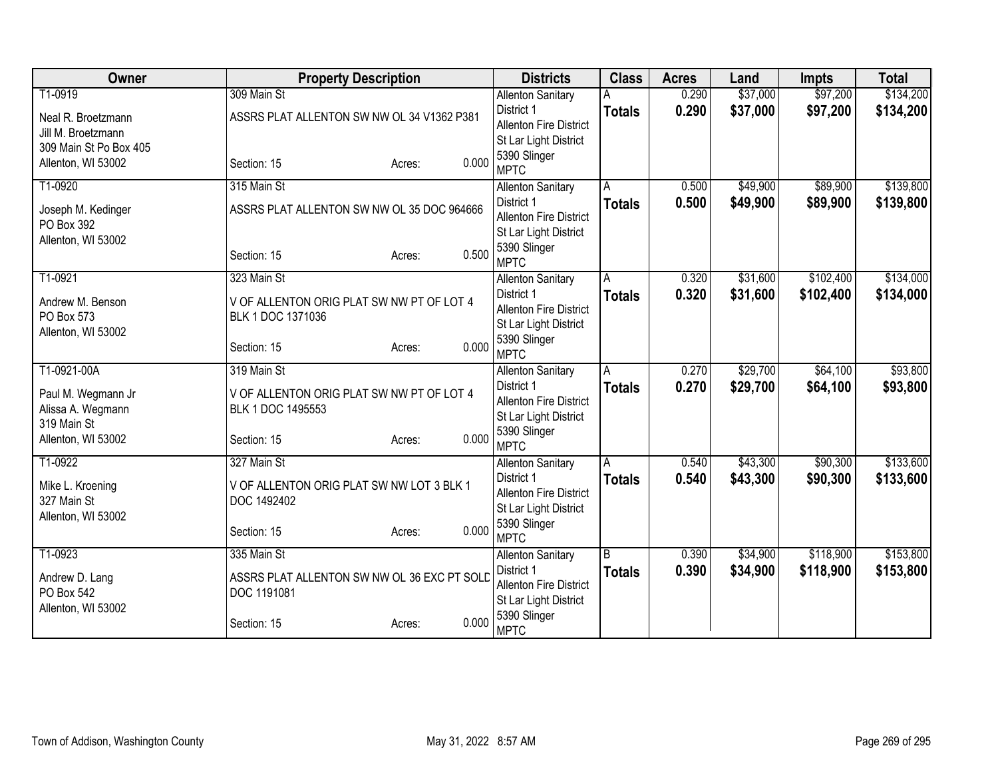| Owner                            | <b>Property Description</b>                 |                 | <b>Districts</b>                       | <b>Class</b>  | <b>Acres</b> | Land     | <b>Impts</b> | <b>Total</b> |
|----------------------------------|---------------------------------------------|-----------------|----------------------------------------|---------------|--------------|----------|--------------|--------------|
| T1-0919                          | 309 Main St                                 |                 | <b>Allenton Sanitary</b>               |               | 0.290        | \$37,000 | \$97,200     | \$134,200    |
| Neal R. Broetzmann               | ASSRS PLAT ALLENTON SW NW OL 34 V1362 P381  |                 | District 1                             | <b>Totals</b> | 0.290        | \$37,000 | \$97,200     | \$134,200    |
| Jill M. Broetzmann               |                                             |                 | <b>Allenton Fire District</b>          |               |              |          |              |              |
| 309 Main St Po Box 405           |                                             |                 | St Lar Light District                  |               |              |          |              |              |
| Allenton, WI 53002               | Section: 15                                 | 0.000<br>Acres: | 5390 Slinger<br><b>MPTC</b>            |               |              |          |              |              |
| T1-0920                          | 315 Main St                                 |                 | <b>Allenton Sanitary</b>               | A             | 0.500        | \$49,900 | \$89,900     | \$139,800    |
|                                  | ASSRS PLAT ALLENTON SW NW OL 35 DOC 964666  |                 | District 1                             | <b>Totals</b> | 0.500        | \$49,900 | \$89,900     | \$139,800    |
| Joseph M. Kedinger<br>PO Box 392 |                                             |                 | <b>Allenton Fire District</b>          |               |              |          |              |              |
| Allenton, WI 53002               |                                             |                 | St Lar Light District                  |               |              |          |              |              |
|                                  | Section: 15                                 | 0.500<br>Acres: | 5390 Slinger<br><b>MPTC</b>            |               |              |          |              |              |
| T1-0921                          | 323 Main St                                 |                 | <b>Allenton Sanitary</b>               | A             | 0.320        | \$31,600 | \$102,400    | \$134,000    |
|                                  |                                             |                 | District 1                             | <b>Totals</b> | 0.320        | \$31,600 | \$102,400    | \$134,000    |
| Andrew M. Benson                 | V OF ALLENTON ORIG PLAT SW NW PT OF LOT 4   |                 | <b>Allenton Fire District</b>          |               |              |          |              |              |
| PO Box 573                       | BLK 1 DOC 1371036                           |                 | St Lar Light District                  |               |              |          |              |              |
| Allenton, WI 53002               |                                             |                 | 5390 Slinger                           |               |              |          |              |              |
|                                  | Section: 15                                 | 0.000<br>Acres: | <b>MPTC</b>                            |               |              |          |              |              |
| T1-0921-00A                      | 319 Main St                                 |                 | <b>Allenton Sanitary</b>               | A             | 0.270        | \$29,700 | \$64,100     | \$93,800     |
| Paul M. Wegmann Jr               | V OF ALLENTON ORIG PLAT SW NW PT OF LOT 4   |                 | District 1                             | <b>Totals</b> | 0.270        | \$29,700 | \$64,100     | \$93,800     |
| Alissa A. Wegmann                | BLK 1 DOC 1495553                           |                 | <b>Allenton Fire District</b>          |               |              |          |              |              |
| 319 Main St                      |                                             |                 | St Lar Light District                  |               |              |          |              |              |
| Allenton, WI 53002               | Section: 15                                 | 0.000<br>Acres: | 5390 Slinger                           |               |              |          |              |              |
| T1-0922                          | 327 Main St                                 |                 | <b>MPTC</b>                            | A             | 0.540        | \$43,300 | \$90,300     | \$133,600    |
|                                  |                                             |                 | <b>Allenton Sanitary</b><br>District 1 | <b>Totals</b> | 0.540        | \$43,300 | \$90,300     | \$133,600    |
| Mike L. Kroening                 | V OF ALLENTON ORIG PLAT SW NW LOT 3 BLK 1   |                 | <b>Allenton Fire District</b>          |               |              |          |              |              |
| 327 Main St                      | DOC 1492402                                 |                 | St Lar Light District                  |               |              |          |              |              |
| Allenton, WI 53002               |                                             |                 | 5390 Slinger                           |               |              |          |              |              |
|                                  | Section: 15                                 | 0.000<br>Acres: | <b>MPTC</b>                            |               |              |          |              |              |
| T1-0923                          | 335 Main St                                 |                 | <b>Allenton Sanitary</b>               | B             | 0.390        | \$34,900 | \$118,900    | \$153,800    |
| Andrew D. Lang                   | ASSRS PLAT ALLENTON SW NW OL 36 EXC PT SOLD |                 | District 1                             | <b>Totals</b> | 0.390        | \$34,900 | \$118,900    | \$153,800    |
| PO Box 542                       | DOC 1191081                                 |                 | Allenton Fire District                 |               |              |          |              |              |
| Allenton, WI 53002               |                                             |                 | St Lar Light District                  |               |              |          |              |              |
|                                  | Section: 15                                 | 0.000<br>Acres: | 5390 Slinger<br><b>MPTC</b>            |               |              |          |              |              |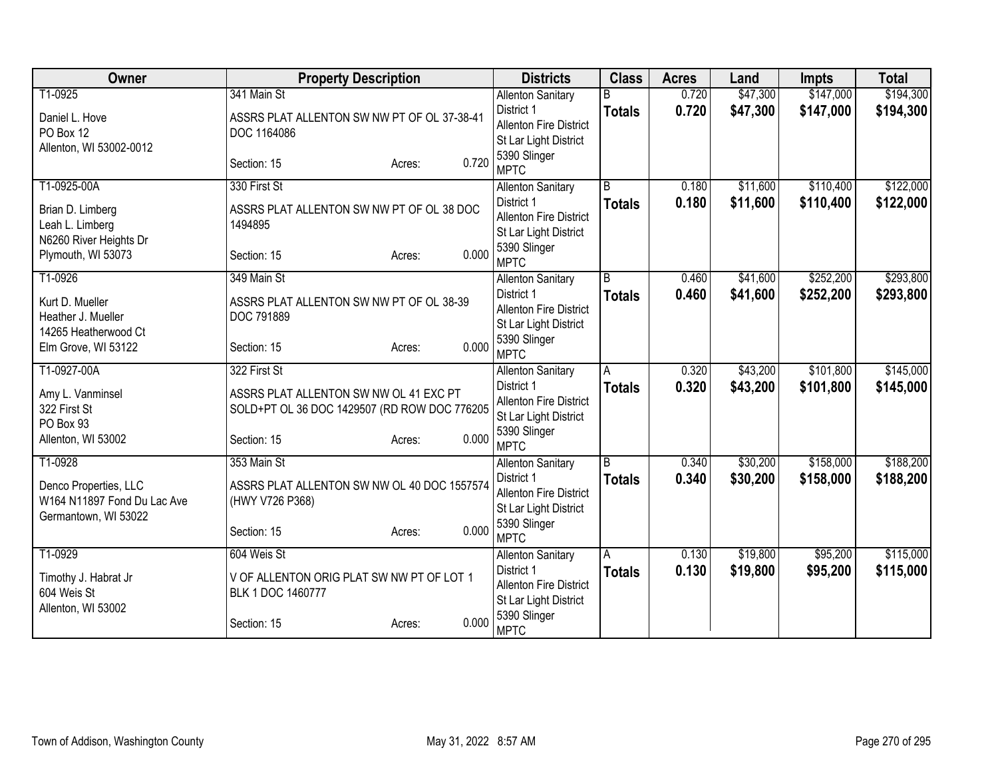| Owner                                               | <b>Property Description</b>                  | <b>Districts</b>                            | <b>Class</b>   | <b>Acres</b> | Land     | <b>Impts</b> | <b>Total</b> |
|-----------------------------------------------------|----------------------------------------------|---------------------------------------------|----------------|--------------|----------|--------------|--------------|
| T1-0925                                             | 341 Main St                                  | <b>Allenton Sanitary</b>                    |                | 0.720        | \$47,300 | \$147,000    | \$194,300    |
| Daniel L. Hove                                      | ASSRS PLAT ALLENTON SW NW PT OF OL 37-38-41  | District 1                                  | <b>Totals</b>  | 0.720        | \$47,300 | \$147,000    | \$194,300    |
| PO Box 12                                           | DOC 1164086                                  | <b>Allenton Fire District</b>               |                |              |          |              |              |
| Allenton, WI 53002-0012                             |                                              | St Lar Light District<br>5390 Slinger       |                |              |          |              |              |
|                                                     | 0.720<br>Section: 15<br>Acres:               | <b>MPTC</b>                                 |                |              |          |              |              |
| T1-0925-00A                                         | 330 First St                                 | <b>Allenton Sanitary</b>                    | $\overline{B}$ | 0.180        | \$11,600 | \$110,400    | \$122,000    |
| Brian D. Limberg                                    | ASSRS PLAT ALLENTON SW NW PT OF OL 38 DOC    | District 1                                  | <b>Totals</b>  | 0.180        | \$11,600 | \$110,400    | \$122,000    |
| Leah L. Limberg                                     | 1494895                                      | <b>Allenton Fire District</b>               |                |              |          |              |              |
| N6260 River Heights Dr                              |                                              | St Lar Light District                       |                |              |          |              |              |
| Plymouth, WI 53073                                  | 0.000<br>Section: 15<br>Acres:               | 5390 Slinger<br><b>MPTC</b>                 |                |              |          |              |              |
| T1-0926                                             | 349 Main St                                  | <b>Allenton Sanitary</b>                    | $\overline{B}$ | 0.460        | \$41,600 | \$252,200    | \$293,800    |
| Kurt D. Mueller                                     | ASSRS PLAT ALLENTON SW NW PT OF OL 38-39     | District 1                                  | <b>Totals</b>  | 0.460        | \$41,600 | \$252,200    | \$293,800    |
| Heather J. Mueller                                  | DOC 791889                                   | Allenton Fire District                      |                |              |          |              |              |
| 14265 Heatherwood Ct                                |                                              | St Lar Light District<br>5390 Slinger       |                |              |          |              |              |
| Elm Grove, WI 53122                                 | 0.000<br>Section: 15<br>Acres:               | <b>MPTC</b>                                 |                |              |          |              |              |
| T1-0927-00A                                         | 322 First St                                 | <b>Allenton Sanitary</b>                    | A              | 0.320        | \$43,200 | \$101,800    | \$145,000    |
| Amy L. Vanminsel                                    | ASSRS PLAT ALLENTON SW NW OL 41 EXC PT       | District 1                                  | <b>Totals</b>  | 0.320        | \$43,200 | \$101,800    | \$145,000    |
| 322 First St                                        | SOLD+PT OL 36 DOC 1429507 (RD ROW DOC 776205 | Allenton Fire District                      |                |              |          |              |              |
| PO Box 93                                           |                                              | St Lar Light District                       |                |              |          |              |              |
| Allenton, WI 53002                                  | 0.000<br>Section: 15<br>Acres:               | 5390 Slinger<br><b>MPTC</b>                 |                |              |          |              |              |
| T1-0928                                             | 353 Main St                                  | <b>Allenton Sanitary</b>                    | B              | 0.340        | \$30,200 | \$158,000    | \$188,200    |
|                                                     |                                              | District 1                                  | <b>Totals</b>  | 0.340        | \$30,200 | \$158,000    | \$188,200    |
| Denco Properties, LLC                               | ASSRS PLAT ALLENTON SW NW OL 40 DOC 1557574  | Allenton Fire District                      |                |              |          |              |              |
| W164 N11897 Fond Du Lac Ave<br>Germantown, WI 53022 | (HWY V726 P368)                              | St Lar Light District                       |                |              |          |              |              |
|                                                     | 0.000<br>Section: 15<br>Acres:               | 5390 Slinger                                |                |              |          |              |              |
|                                                     |                                              | <b>MPTC</b>                                 |                |              |          |              |              |
| T1-0929                                             | 604 Weis St                                  | <b>Allenton Sanitary</b>                    | A              | 0.130        | \$19,800 | \$95,200     | \$115,000    |
| Timothy J. Habrat Jr                                | V OF ALLENTON ORIG PLAT SW NW PT OF LOT 1    | District 1<br><b>Allenton Fire District</b> | <b>Totals</b>  | 0.130        | \$19,800 | \$95,200     | \$115,000    |
| 604 Weis St                                         | BLK 1 DOC 1460777                            | St Lar Light District                       |                |              |          |              |              |
| Allenton, WI 53002                                  |                                              | 5390 Slinger                                |                |              |          |              |              |
|                                                     | 0.000<br>Section: 15<br>Acres:               | <b>MPTC</b>                                 |                |              |          |              |              |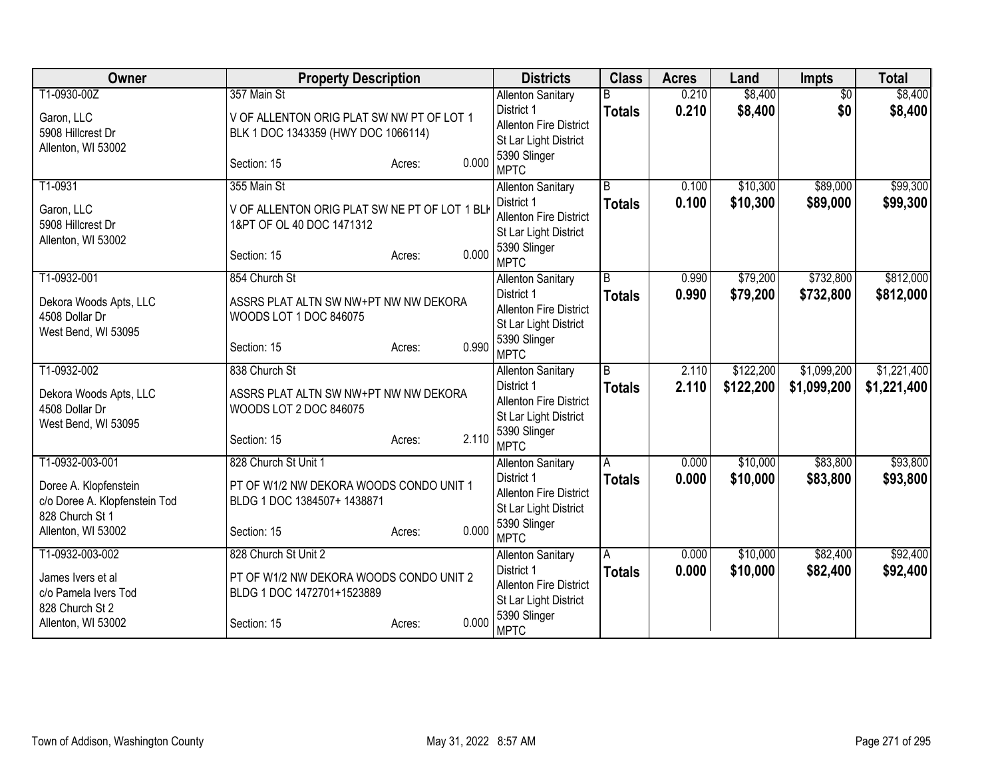| Owner                                                  | <b>Property Description</b>                                            |                 | <b>Districts</b>                     | <b>Class</b>  | <b>Acres</b> | Land      | <b>Impts</b>    | <b>Total</b> |
|--------------------------------------------------------|------------------------------------------------------------------------|-----------------|--------------------------------------|---------------|--------------|-----------|-----------------|--------------|
| T1-0930-00Z                                            | 357 Main St                                                            |                 | <b>Allenton Sanitary</b>             |               | 0.210        | \$8,400   | $\overline{30}$ | \$8,400      |
| Garon, LLC                                             | V OF ALLENTON ORIG PLAT SW NW PT OF LOT 1                              |                 | District 1                           | <b>Totals</b> | 0.210        | \$8,400   | \$0             | \$8,400      |
| 5908 Hillcrest Dr                                      | BLK 1 DOC 1343359 (HWY DOC 1066114)                                    |                 | <b>Allenton Fire District</b>        |               |              |           |                 |              |
| Allenton, WI 53002                                     |                                                                        |                 | St Lar Light District                |               |              |           |                 |              |
|                                                        | Section: 15                                                            | 0.000<br>Acres: | 5390 Slinger<br><b>MPTC</b>          |               |              |           |                 |              |
| T1-0931                                                | 355 Main St                                                            |                 | <b>Allenton Sanitary</b>             | B             | 0.100        | \$10,300  | \$89,000        | \$99,300     |
| Garon, LLC                                             | V OF ALLENTON ORIG PLAT SW NE PT OF LOT 1 BLK                          |                 | District 1                           | <b>Totals</b> | 0.100        | \$10,300  | \$89,000        | \$99,300     |
| 5908 Hillcrest Dr                                      | 1&PT OF OL 40 DOC 1471312                                              |                 | <b>Allenton Fire District</b>        |               |              |           |                 |              |
| Allenton, WI 53002                                     |                                                                        |                 | St Lar Light District                |               |              |           |                 |              |
|                                                        | Section: 15                                                            | 0.000<br>Acres: | 5390 Slinger                         |               |              |           |                 |              |
|                                                        |                                                                        |                 | <b>MPTC</b>                          |               |              |           |                 |              |
| T1-0932-001                                            | 854 Church St                                                          |                 | <b>Allenton Sanitary</b>             | B             | 0.990        | \$79,200  | \$732,800       | \$812,000    |
| Dekora Woods Apts, LLC                                 | ASSRS PLAT ALTN SW NW+PT NW NW DEKORA                                  |                 | District 1                           | <b>Totals</b> | 0.990        | \$79,200  | \$732,800       | \$812,000    |
| 4508 Dollar Dr                                         | WOODS LOT 1 DOC 846075                                                 |                 | <b>Allenton Fire District</b>        |               |              |           |                 |              |
| West Bend, WI 53095                                    |                                                                        |                 | St Lar Light District                |               |              |           |                 |              |
|                                                        | Section: 15                                                            | 0.990<br>Acres: | 5390 Slinger                         |               |              |           |                 |              |
|                                                        |                                                                        |                 | <b>MPTC</b>                          |               |              |           |                 |              |
| T1-0932-002                                            | 838 Church St                                                          |                 | <b>Allenton Sanitary</b>             | B             | 2.110        | \$122,200 | \$1,099,200     | \$1,221,400  |
| Dekora Woods Apts, LLC                                 | ASSRS PLAT ALTN SW NW+PT NW NW DEKORA                                  |                 | District 1<br>Allenton Fire District | <b>Totals</b> | 2.110        | \$122,200 | \$1,099,200     | \$1,221,400  |
| 4508 Dollar Dr                                         | WOODS LOT 2 DOC 846075                                                 |                 | St Lar Light District                |               |              |           |                 |              |
| West Bend, WI 53095                                    |                                                                        |                 | 5390 Slinger                         |               |              |           |                 |              |
|                                                        | Section: 15                                                            | 2.110<br>Acres: | <b>MPTC</b>                          |               |              |           |                 |              |
| T1-0932-003-001                                        | 828 Church St Unit 1                                                   |                 | <b>Allenton Sanitary</b>             | A             | 0.000        | \$10,000  | \$83,800        | \$93,800     |
|                                                        |                                                                        |                 | District 1                           | <b>Totals</b> | 0.000        | \$10,000  | \$83,800        | \$93,800     |
| Doree A. Klopfenstein<br>c/o Doree A. Klopfenstein Tod | PT OF W1/2 NW DEKORA WOODS CONDO UNIT 1<br>BLDG 1 DOC 1384507+ 1438871 |                 | Allenton Fire District               |               |              |           |                 |              |
| 828 Church St 1                                        |                                                                        |                 | St Lar Light District                |               |              |           |                 |              |
| Allenton, WI 53002                                     | Section: 15                                                            | 0.000<br>Acres: | 5390 Slinger                         |               |              |           |                 |              |
|                                                        |                                                                        |                 | <b>MPTC</b>                          |               |              |           |                 |              |
| T1-0932-003-002                                        | 828 Church St Unit 2                                                   |                 | <b>Allenton Sanitary</b>             | A             | 0.000        | \$10,000  | \$82,400        | \$92,400     |
| James Ivers et al                                      | PT OF W1/2 NW DEKORA WOODS CONDO UNIT 2                                |                 | District 1                           | <b>Totals</b> | 0.000        | \$10,000  | \$82,400        | \$92,400     |
| c/o Pamela Ivers Tod                                   | BLDG 1 DOC 1472701+1523889                                             |                 | <b>Allenton Fire District</b>        |               |              |           |                 |              |
| 828 Church St 2                                        |                                                                        |                 | St Lar Light District                |               |              |           |                 |              |
| Allenton, WI 53002                                     | Section: 15                                                            | 0.000<br>Acres: | 5390 Slinger<br><b>MPTC</b>          |               |              |           |                 |              |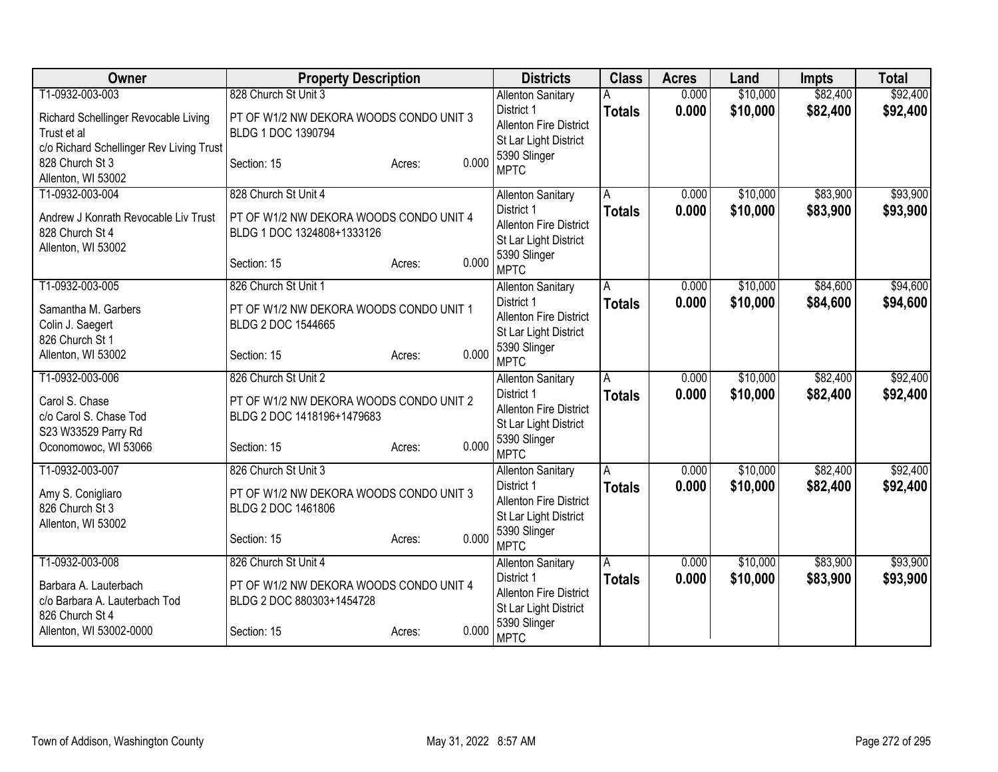| Owner                                                                                                                   | <b>Property Description</b>                                                                                  |                 | <b>Districts</b>                                                                                                                | <b>Class</b>       | <b>Acres</b>   | Land                 | Impts                | <b>Total</b>         |
|-------------------------------------------------------------------------------------------------------------------------|--------------------------------------------------------------------------------------------------------------|-----------------|---------------------------------------------------------------------------------------------------------------------------------|--------------------|----------------|----------------------|----------------------|----------------------|
| T1-0932-003-003                                                                                                         | 828 Church St Unit 3                                                                                         |                 | <b>Allenton Sanitary</b>                                                                                                        |                    | 0.000          | \$10,000             | \$82,400             | \$92,400             |
| Richard Schellinger Revocable Living<br>Trust et al<br>c/o Richard Schellinger Rev Living Trust                         | PT OF W1/2 NW DEKORA WOODS CONDO UNIT 3<br>BLDG 1 DOC 1390794                                                |                 | District 1<br><b>Allenton Fire District</b><br>St Lar Light District                                                            | <b>Totals</b>      | 0.000          | \$10,000             | \$82,400             | \$92,400             |
| 828 Church St 3<br>Allenton, WI 53002                                                                                   | Section: 15                                                                                                  | 0.000<br>Acres: | 5390 Slinger<br><b>MPTC</b>                                                                                                     |                    |                |                      |                      |                      |
| T1-0932-003-004<br>Andrew J Konrath Revocable Liv Trust<br>828 Church St 4<br>Allenton, WI 53002                        | 828 Church St Unit 4<br>PT OF W1/2 NW DEKORA WOODS CONDO UNIT 4<br>BLDG 1 DOC 1324808+1333126<br>Section: 15 | 0.000<br>Acres: | <b>Allenton Sanitary</b><br>District 1<br><b>Allenton Fire District</b><br>St Lar Light District<br>5390 Slinger<br><b>MPTC</b> | A<br><b>Totals</b> | 0.000<br>0.000 | \$10,000<br>\$10,000 | \$83,900<br>\$83,900 | \$93,900<br>\$93,900 |
| T1-0932-003-005<br>Samantha M. Garbers<br>Colin J. Saegert<br>826 Church St 1<br>Allenton, WI 53002                     | 826 Church St Unit 1<br>PT OF W1/2 NW DEKORA WOODS CONDO UNIT 1<br>BLDG 2 DOC 1544665<br>Section: 15         | 0.000<br>Acres: | <b>Allenton Sanitary</b><br>District 1<br><b>Allenton Fire District</b><br>St Lar Light District<br>5390 Slinger<br><b>MPTC</b> | Α<br><b>Totals</b> | 0.000<br>0.000 | \$10,000<br>\$10,000 | \$84,600<br>\$84,600 | \$94,600<br>\$94,600 |
| T1-0932-003-006<br>Carol S. Chase<br>c/o Carol S. Chase Tod<br>S23 W33529 Parry Rd<br>Oconomowoc, WI 53066              | 826 Church St Unit 2<br>PT OF W1/2 NW DEKORA WOODS CONDO UNIT 2<br>BLDG 2 DOC 1418196+1479683<br>Section: 15 | 0.000<br>Acres: | <b>Allenton Sanitary</b><br>District 1<br><b>Allenton Fire District</b><br>St Lar Light District<br>5390 Slinger<br><b>MPTC</b> | A<br><b>Totals</b> | 0.000<br>0.000 | \$10,000<br>\$10,000 | \$82,400<br>\$82,400 | \$92,400<br>\$92,400 |
| T1-0932-003-007<br>Amy S. Conigliaro<br>826 Church St 3<br>Allenton, WI 53002                                           | 826 Church St Unit 3<br>PT OF W1/2 NW DEKORA WOODS CONDO UNIT 3<br>BLDG 2 DOC 1461806<br>Section: 15         | 0.000<br>Acres: | <b>Allenton Sanitary</b><br>District 1<br><b>Allenton Fire District</b><br>St Lar Light District<br>5390 Slinger<br><b>MPTC</b> | A<br><b>Totals</b> | 0.000<br>0.000 | \$10,000<br>\$10,000 | \$82,400<br>\$82,400 | \$92,400<br>\$92,400 |
| T1-0932-003-008<br>Barbara A. Lauterbach<br>c/o Barbara A. Lauterbach Tod<br>826 Church St 4<br>Allenton, WI 53002-0000 | 826 Church St Unit 4<br>PT OF W1/2 NW DEKORA WOODS CONDO UNIT 4<br>BLDG 2 DOC 880303+1454728<br>Section: 15  | 0.000<br>Acres: | <b>Allenton Sanitary</b><br>District 1<br><b>Allenton Fire District</b><br>St Lar Light District<br>5390 Slinger<br><b>MPTC</b> | Α<br><b>Totals</b> | 0.000<br>0.000 | \$10,000<br>\$10,000 | \$83,900<br>\$83,900 | \$93,900<br>\$93,900 |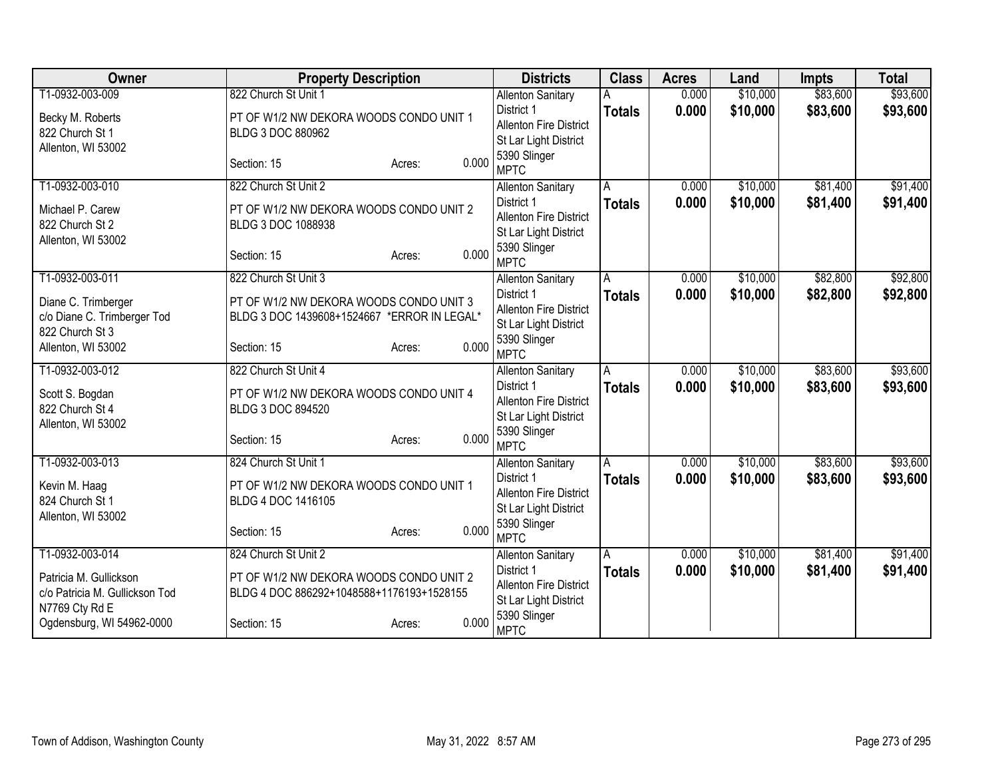| Owner                          | <b>Property Description</b>                 |                 | <b>Districts</b>                      | <b>Class</b>            | <b>Acres</b> | Land     | <b>Impts</b> | <b>Total</b> |
|--------------------------------|---------------------------------------------|-----------------|---------------------------------------|-------------------------|--------------|----------|--------------|--------------|
| T1-0932-003-009                | 822 Church St Unit 1                        |                 | <b>Allenton Sanitary</b>              |                         | 0.000        | \$10,000 | \$83,600     | \$93,600     |
| Becky M. Roberts               | PT OF W1/2 NW DEKORA WOODS CONDO UNIT 1     |                 | District 1                            | <b>Totals</b>           | 0.000        | \$10,000 | \$83,600     | \$93,600     |
| 822 Church St 1                | BLDG 3 DOC 880962                           |                 | <b>Allenton Fire District</b>         |                         |              |          |              |              |
| Allenton, WI 53002             |                                             |                 | St Lar Light District                 |                         |              |          |              |              |
|                                | Section: 15                                 | 0.000<br>Acres: | 5390 Slinger<br><b>MPTC</b>           |                         |              |          |              |              |
| T1-0932-003-010                | 822 Church St Unit 2                        |                 | <b>Allenton Sanitary</b>              | A                       | 0.000        | \$10,000 | \$81,400     | \$91,400     |
| Michael P. Carew               | PT OF W1/2 NW DEKORA WOODS CONDO UNIT 2     |                 | District 1                            | <b>Totals</b>           | 0.000        | \$10,000 | \$81,400     | \$91,400     |
| 822 Church St 2                | BLDG 3 DOC 1088938                          |                 | <b>Allenton Fire District</b>         |                         |              |          |              |              |
| Allenton, WI 53002             |                                             |                 | St Lar Light District                 |                         |              |          |              |              |
|                                | Section: 15                                 | 0.000<br>Acres: | 5390 Slinger<br><b>MPTC</b>           |                         |              |          |              |              |
| T1-0932-003-011                | 822 Church St Unit 3                        |                 | <b>Allenton Sanitary</b>              | A                       | 0.000        | \$10,000 | \$82,800     | \$92,800     |
| Diane C. Trimberger            | PT OF W1/2 NW DEKORA WOODS CONDO UNIT 3     |                 | District 1                            | <b>Totals</b>           | 0.000        | \$10,000 | \$82,800     | \$92,800     |
| c/o Diane C. Trimberger Tod    | BLDG 3 DOC 1439608+1524667 *ERROR IN LEGAL* |                 | <b>Allenton Fire District</b>         |                         |              |          |              |              |
| 822 Church St 3                |                                             |                 | St Lar Light District                 |                         |              |          |              |              |
| Allenton, WI 53002             | Section: 15                                 | 0.000<br>Acres: | 5390 Slinger<br><b>MPTC</b>           |                         |              |          |              |              |
| T1-0932-003-012                | 822 Church St Unit 4                        |                 | <b>Allenton Sanitary</b>              | $\overline{\mathsf{A}}$ | 0.000        | \$10,000 | \$83,600     | \$93,600     |
| Scott S. Bogdan                | PT OF W1/2 NW DEKORA WOODS CONDO UNIT 4     |                 | District 1                            | <b>Totals</b>           | 0.000        | \$10,000 | \$83,600     | \$93,600     |
| 822 Church St 4                | BLDG 3 DOC 894520                           |                 | Allenton Fire District                |                         |              |          |              |              |
| Allenton, WI 53002             |                                             |                 | St Lar Light District                 |                         |              |          |              |              |
|                                | Section: 15                                 | 0.000<br>Acres: | 5390 Slinger<br><b>MPTC</b>           |                         |              |          |              |              |
| T1-0932-003-013                | 824 Church St Unit 1                        |                 | <b>Allenton Sanitary</b>              | A                       | 0.000        | \$10,000 | \$83,600     | \$93,600     |
|                                |                                             |                 | District 1                            | <b>Totals</b>           | 0.000        | \$10,000 | \$83,600     | \$93,600     |
| Kevin M. Haag                  | PT OF W1/2 NW DEKORA WOODS CONDO UNIT 1     |                 | <b>Allenton Fire District</b>         |                         |              |          |              |              |
| 824 Church St 1                | BLDG 4 DOC 1416105                          |                 | St Lar Light District                 |                         |              |          |              |              |
| Allenton, WI 53002             |                                             | 0.000           | 5390 Slinger                          |                         |              |          |              |              |
|                                | Section: 15                                 | Acres:          | <b>MPTC</b>                           |                         |              |          |              |              |
| T1-0932-003-014                | 824 Church St Unit 2                        |                 | <b>Allenton Sanitary</b>              | А                       | 0.000        | \$10,000 | \$81,400     | \$91,400     |
| Patricia M. Gullickson         | PT OF W1/2 NW DEKORA WOODS CONDO UNIT 2     |                 | District 1                            | <b>Totals</b>           | 0.000        | \$10,000 | \$81,400     | \$91,400     |
| c/o Patricia M. Gullickson Tod | BLDG 4 DOC 886292+1048588+1176193+1528155   |                 | <b>Allenton Fire District</b>         |                         |              |          |              |              |
| N7769 Cty Rd E                 |                                             |                 | St Lar Light District<br>5390 Slinger |                         |              |          |              |              |
| Ogdensburg, WI 54962-0000      | Section: 15                                 | 0.000<br>Acres: | <b>MPTC</b>                           |                         |              |          |              |              |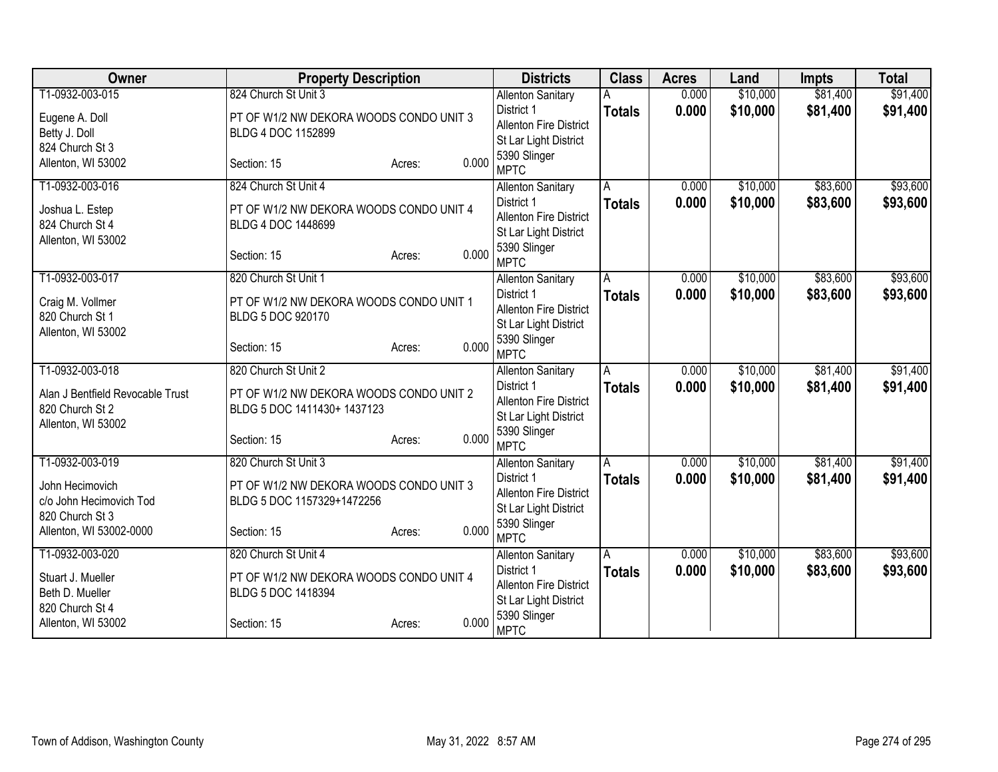| Owner                            | <b>Property Description</b>             |                 | <b>Districts</b>                       | <b>Class</b>            | <b>Acres</b> | Land     | <b>Impts</b> | <b>Total</b> |
|----------------------------------|-----------------------------------------|-----------------|----------------------------------------|-------------------------|--------------|----------|--------------|--------------|
| T1-0932-003-015                  | 824 Church St Unit 3                    |                 | <b>Allenton Sanitary</b>               |                         | 0.000        | \$10,000 | \$81,400     | \$91,400     |
| Eugene A. Doll                   | PT OF W1/2 NW DEKORA WOODS CONDO UNIT 3 |                 | District 1                             | <b>Totals</b>           | 0.000        | \$10,000 | \$81,400     | \$91,400     |
| Betty J. Doll                    | BLDG 4 DOC 1152899                      |                 | <b>Allenton Fire District</b>          |                         |              |          |              |              |
| 824 Church St 3                  |                                         |                 | St Lar Light District                  |                         |              |          |              |              |
| Allenton, WI 53002               | Section: 15                             | 0.000<br>Acres: | 5390 Slinger<br><b>MPTC</b>            |                         |              |          |              |              |
| T1-0932-003-016                  | 824 Church St Unit 4                    |                 | <b>Allenton Sanitary</b>               | A                       | 0.000        | \$10,000 | \$83,600     | \$93,600     |
| Joshua L. Estep                  | PT OF W1/2 NW DEKORA WOODS CONDO UNIT 4 |                 | District 1                             | <b>Totals</b>           | 0.000        | \$10,000 | \$83,600     | \$93,600     |
| 824 Church St 4                  | BLDG 4 DOC 1448699                      |                 | <b>Allenton Fire District</b>          |                         |              |          |              |              |
| Allenton, WI 53002               |                                         |                 | St Lar Light District                  |                         |              |          |              |              |
|                                  | Section: 15                             | 0.000<br>Acres: | 5390 Slinger<br><b>MPTC</b>            |                         |              |          |              |              |
| T1-0932-003-017                  | 820 Church St Unit 1                    |                 | <b>Allenton Sanitary</b>               | A                       | 0.000        | \$10,000 | \$83,600     | \$93,600     |
| Craig M. Vollmer                 | PT OF W1/2 NW DEKORA WOODS CONDO UNIT 1 |                 | District 1                             | <b>Totals</b>           | 0.000        | \$10,000 | \$83,600     | \$93,600     |
| 820 Church St 1                  | BLDG 5 DOC 920170                       |                 | <b>Allenton Fire District</b>          |                         |              |          |              |              |
| Allenton, WI 53002               |                                         |                 | St Lar Light District                  |                         |              |          |              |              |
|                                  | Section: 15                             | 0.000<br>Acres: | 5390 Slinger<br><b>MPTC</b>            |                         |              |          |              |              |
| T1-0932-003-018                  | 820 Church St Unit 2                    |                 | <b>Allenton Sanitary</b>               | $\overline{\mathsf{A}}$ | 0.000        | \$10,000 | \$81,400     | \$91,400     |
| Alan J Bentfield Revocable Trust | PT OF W1/2 NW DEKORA WOODS CONDO UNIT 2 |                 | District 1                             | <b>Totals</b>           | 0.000        | \$10,000 | \$81,400     | \$91,400     |
| 820 Church St 2                  | BLDG 5 DOC 1411430+ 1437123             |                 | <b>Allenton Fire District</b>          |                         |              |          |              |              |
| Allenton, WI 53002               |                                         |                 | St Lar Light District                  |                         |              |          |              |              |
|                                  | Section: 15                             | 0.000<br>Acres: | 5390 Slinger                           |                         |              |          |              |              |
|                                  |                                         |                 | <b>MPTC</b>                            |                         |              |          |              |              |
| T1-0932-003-019                  | 820 Church St Unit 3                    |                 | <b>Allenton Sanitary</b><br>District 1 | A                       | 0.000        | \$10,000 | \$81,400     | \$91,400     |
| John Hecimovich                  | PT OF W1/2 NW DEKORA WOODS CONDO UNIT 3 |                 | <b>Allenton Fire District</b>          | <b>Totals</b>           | 0.000        | \$10,000 | \$81,400     | \$91,400     |
| c/o John Hecimovich Tod          | BLDG 5 DOC 1157329+1472256              |                 | St Lar Light District                  |                         |              |          |              |              |
| 820 Church St 3                  |                                         |                 | 5390 Slinger                           |                         |              |          |              |              |
| Allenton, WI 53002-0000          | Section: 15                             | 0.000<br>Acres: | <b>MPTC</b>                            |                         |              |          |              |              |
| T1-0932-003-020                  | 820 Church St Unit 4                    |                 | <b>Allenton Sanitary</b>               | Α                       | 0.000        | \$10,000 | \$83,600     | \$93,600     |
| Stuart J. Mueller                | PT OF W1/2 NW DEKORA WOODS CONDO UNIT 4 |                 | District 1                             | <b>Totals</b>           | 0.000        | \$10,000 | \$83,600     | \$93,600     |
| Beth D. Mueller                  | BLDG 5 DOC 1418394                      |                 | <b>Allenton Fire District</b>          |                         |              |          |              |              |
| 820 Church St 4                  |                                         |                 | St Lar Light District<br>5390 Slinger  |                         |              |          |              |              |
| Allenton, WI 53002               | Section: 15                             | 0.000<br>Acres: | <b>MPTC</b>                            |                         |              |          |              |              |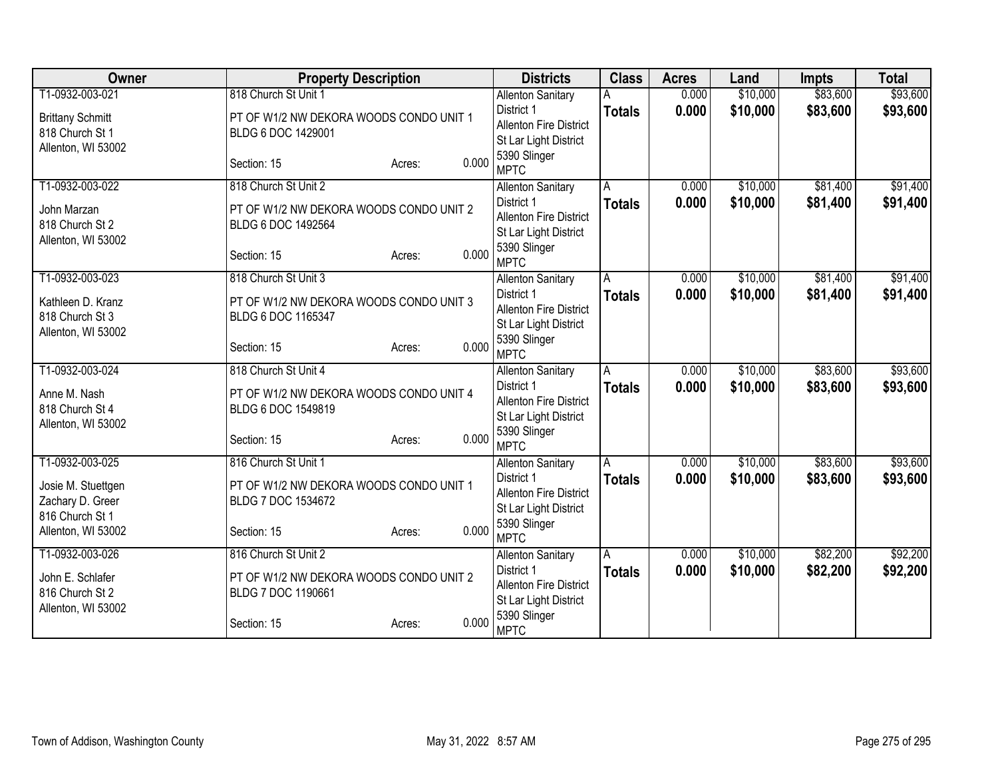| Owner                   | <b>Property Description</b>             |                 | <b>Districts</b>                       | <b>Class</b>            | <b>Acres</b> | Land     | <b>Impts</b> | <b>Total</b> |
|-------------------------|-----------------------------------------|-----------------|----------------------------------------|-------------------------|--------------|----------|--------------|--------------|
| T1-0932-003-021         | 818 Church St Unit 1                    |                 | <b>Allenton Sanitary</b>               |                         | 0.000        | \$10,000 | \$83,600     | \$93,600     |
| <b>Brittany Schmitt</b> | PT OF W1/2 NW DEKORA WOODS CONDO UNIT 1 |                 | District 1                             | <b>Totals</b>           | 0.000        | \$10,000 | \$83,600     | \$93,600     |
| 818 Church St 1         | BLDG 6 DOC 1429001                      |                 | <b>Allenton Fire District</b>          |                         |              |          |              |              |
| Allenton, WI 53002      |                                         |                 | St Lar Light District                  |                         |              |          |              |              |
|                         | Section: 15                             | 0.000<br>Acres: | 5390 Slinger<br><b>MPTC</b>            |                         |              |          |              |              |
| T1-0932-003-022         | 818 Church St Unit 2                    |                 | <b>Allenton Sanitary</b>               | A                       | 0.000        | \$10,000 | \$81,400     | \$91,400     |
| John Marzan             | PT OF W1/2 NW DEKORA WOODS CONDO UNIT 2 |                 | District 1                             | <b>Totals</b>           | 0.000        | \$10,000 | \$81,400     | \$91,400     |
| 818 Church St 2         | BLDG 6 DOC 1492564                      |                 | <b>Allenton Fire District</b>          |                         |              |          |              |              |
| Allenton, WI 53002      |                                         |                 | St Lar Light District                  |                         |              |          |              |              |
|                         | Section: 15                             | 0.000<br>Acres: | 5390 Slinger<br><b>MPTC</b>            |                         |              |          |              |              |
| T1-0932-003-023         | 818 Church St Unit 3                    |                 | <b>Allenton Sanitary</b>               | A                       | 0.000        | \$10,000 | \$81,400     | \$91,400     |
| Kathleen D. Kranz       | PT OF W1/2 NW DEKORA WOODS CONDO UNIT 3 |                 | District 1                             | <b>Totals</b>           | 0.000        | \$10,000 | \$81,400     | \$91,400     |
| 818 Church St 3         | BLDG 6 DOC 1165347                      |                 | <b>Allenton Fire District</b>          |                         |              |          |              |              |
| Allenton, WI 53002      |                                         |                 | St Lar Light District                  |                         |              |          |              |              |
|                         | Section: 15                             | 0.000<br>Acres: | 5390 Slinger<br><b>MPTC</b>            |                         |              |          |              |              |
| T1-0932-003-024         | 818 Church St Unit 4                    |                 | <b>Allenton Sanitary</b>               | $\overline{\mathsf{A}}$ | 0.000        | \$10,000 | \$83,600     | \$93,600     |
|                         |                                         |                 | District 1                             | <b>Totals</b>           | 0.000        | \$10,000 | \$83,600     | \$93,600     |
| Anne M. Nash            | PT OF W1/2 NW DEKORA WOODS CONDO UNIT 4 |                 | <b>Allenton Fire District</b>          |                         |              |          |              |              |
| 818 Church St 4         | BLDG 6 DOC 1549819                      |                 | St Lar Light District                  |                         |              |          |              |              |
| Allenton, WI 53002      |                                         |                 | 5390 Slinger                           |                         |              |          |              |              |
|                         | Section: 15                             | 0.000<br>Acres: | <b>MPTC</b>                            |                         |              |          |              |              |
| T1-0932-003-025         | 816 Church St Unit 1                    |                 | <b>Allenton Sanitary</b>               | A                       | 0.000        | \$10,000 | \$83,600     | \$93,600     |
| Josie M. Stuettgen      | PT OF W1/2 NW DEKORA WOODS CONDO UNIT 1 |                 | District 1                             | <b>Totals</b>           | 0.000        | \$10,000 | \$83,600     | \$93,600     |
| Zachary D. Greer        | BLDG 7 DOC 1534672                      |                 | <b>Allenton Fire District</b>          |                         |              |          |              |              |
| 816 Church St 1         |                                         |                 | St Lar Light District                  |                         |              |          |              |              |
| Allenton, WI 53002      | Section: 15                             | 0.000<br>Acres: | 5390 Slinger<br><b>MPTC</b>            |                         |              |          |              |              |
| T1-0932-003-026         | 816 Church St Unit 2                    |                 |                                        | Α                       | 0.000        | \$10,000 | \$82,200     | \$92,200     |
|                         |                                         |                 | <b>Allenton Sanitary</b><br>District 1 | <b>Totals</b>           | 0.000        | \$10,000 | \$82,200     | \$92,200     |
| John E. Schlafer        | PT OF W1/2 NW DEKORA WOODS CONDO UNIT 2 |                 | <b>Allenton Fire District</b>          |                         |              |          |              |              |
| 816 Church St 2         | BLDG 7 DOC 1190661                      |                 | St Lar Light District                  |                         |              |          |              |              |
| Allenton, WI 53002      |                                         |                 | 5390 Slinger                           |                         |              |          |              |              |
|                         | Section: 15                             | 0.000<br>Acres: | <b>MPTC</b>                            |                         |              |          |              |              |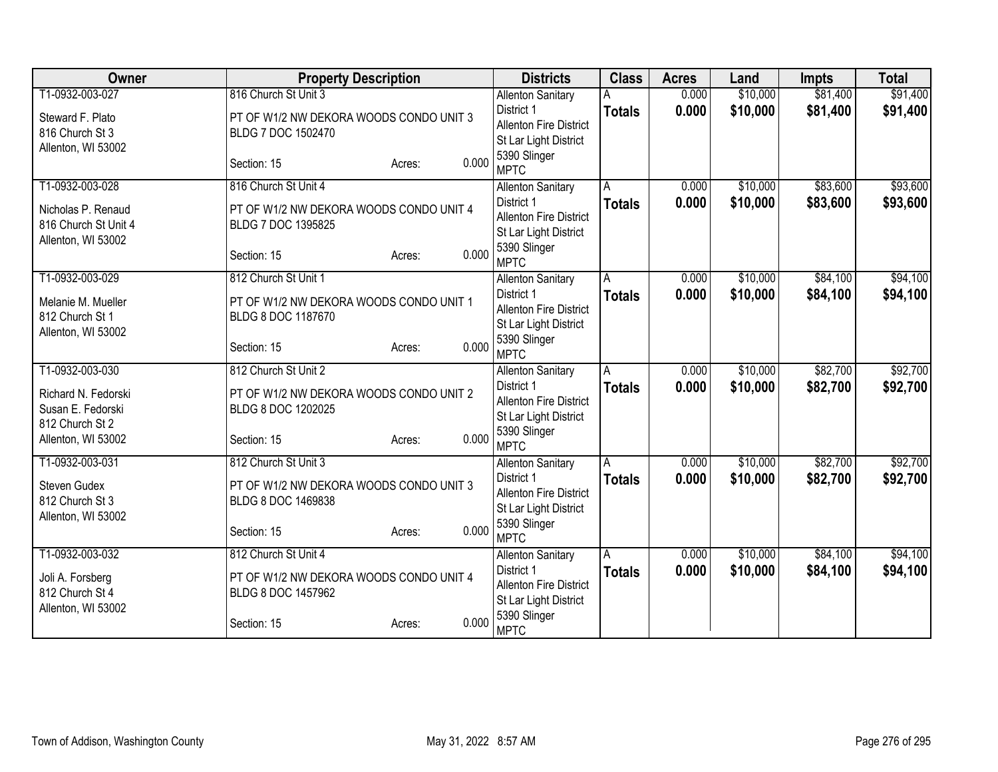| Owner                | <b>Property Description</b>             |                 | <b>Districts</b>                            | <b>Class</b>   | <b>Acres</b> | Land     | <b>Impts</b> | <b>Total</b> |
|----------------------|-----------------------------------------|-----------------|---------------------------------------------|----------------|--------------|----------|--------------|--------------|
| T1-0932-003-027      | 816 Church St Unit 3                    |                 | <b>Allenton Sanitary</b>                    |                | 0.000        | \$10,000 | \$81,400     | \$91,400     |
| Steward F. Plato     | PT OF W1/2 NW DEKORA WOODS CONDO UNIT 3 |                 | District 1                                  | <b>Totals</b>  | 0.000        | \$10,000 | \$81,400     | \$91,400     |
| 816 Church St 3      | BLDG 7 DOC 1502470                      |                 | <b>Allenton Fire District</b>               |                |              |          |              |              |
| Allenton, WI 53002   |                                         |                 | St Lar Light District                       |                |              |          |              |              |
|                      | Section: 15                             | 0.000<br>Acres: | 5390 Slinger<br><b>MPTC</b>                 |                |              |          |              |              |
| T1-0932-003-028      | 816 Church St Unit 4                    |                 | <b>Allenton Sanitary</b>                    | A              | 0.000        | \$10,000 | \$83,600     | \$93,600     |
| Nicholas P. Renaud   | PT OF W1/2 NW DEKORA WOODS CONDO UNIT 4 |                 | District 1                                  | <b>Totals</b>  | 0.000        | \$10,000 | \$83,600     | \$93,600     |
| 816 Church St Unit 4 | BLDG 7 DOC 1395825                      |                 | <b>Allenton Fire District</b>               |                |              |          |              |              |
| Allenton, WI 53002   |                                         |                 | St Lar Light District                       |                |              |          |              |              |
|                      | Section: 15                             | 0.000<br>Acres: | 5390 Slinger<br><b>MPTC</b>                 |                |              |          |              |              |
| T1-0932-003-029      | 812 Church St Unit 1                    |                 | <b>Allenton Sanitary</b>                    | A              | 0.000        | \$10,000 | \$84,100     | \$94,100     |
| Melanie M. Mueller   | PT OF W1/2 NW DEKORA WOODS CONDO UNIT 1 |                 | District 1                                  | <b>Totals</b>  | 0.000        | \$10,000 | \$84,100     | \$94,100     |
| 812 Church St 1      | BLDG 8 DOC 1187670                      |                 | <b>Allenton Fire District</b>               |                |              |          |              |              |
| Allenton, WI 53002   |                                         |                 | St Lar Light District                       |                |              |          |              |              |
|                      | Section: 15                             | 0.000<br>Acres: | 5390 Slinger                                |                |              |          |              |              |
|                      |                                         |                 | <b>MPTC</b>                                 |                |              |          |              |              |
| T1-0932-003-030      | 812 Church St Unit 2                    |                 | <b>Allenton Sanitary</b><br>District 1      | $\overline{A}$ | 0.000        | \$10,000 | \$82,700     | \$92,700     |
| Richard N. Fedorski  | PT OF W1/2 NW DEKORA WOODS CONDO UNIT 2 |                 | <b>Allenton Fire District</b>               | <b>Totals</b>  | 0.000        | \$10,000 | \$82,700     | \$92,700     |
| Susan E. Fedorski    | BLDG 8 DOC 1202025                      |                 | St Lar Light District                       |                |              |          |              |              |
| 812 Church St 2      |                                         |                 | 5390 Slinger                                |                |              |          |              |              |
| Allenton, WI 53002   | Section: 15                             | 0.000<br>Acres: | <b>MPTC</b>                                 |                |              |          |              |              |
| T1-0932-003-031      | 812 Church St Unit 3                    |                 | <b>Allenton Sanitary</b>                    | $\overline{A}$ | 0.000        | \$10,000 | \$82,700     | \$92,700     |
| Steven Gudex         | PT OF W1/2 NW DEKORA WOODS CONDO UNIT 3 |                 | District 1                                  | <b>Totals</b>  | 0.000        | \$10,000 | \$82,700     | \$92,700     |
| 812 Church St 3      | BLDG 8 DOC 1469838                      |                 | <b>Allenton Fire District</b>               |                |              |          |              |              |
| Allenton, WI 53002   |                                         |                 | St Lar Light District                       |                |              |          |              |              |
|                      | Section: 15                             | 0.000<br>Acres: | 5390 Slinger                                |                |              |          |              |              |
|                      |                                         |                 | <b>MPTC</b>                                 |                |              |          |              |              |
| T1-0932-003-032      | 812 Church St Unit 4                    |                 | <b>Allenton Sanitary</b>                    | A              | 0.000        | \$10,000 | \$84,100     | \$94,100     |
| Joli A. Forsberg     | PT OF W1/2 NW DEKORA WOODS CONDO UNIT 4 |                 | District 1<br><b>Allenton Fire District</b> | <b>Totals</b>  | 0.000        | \$10,000 | \$84,100     | \$94,100     |
| 812 Church St 4      | BLDG 8 DOC 1457962                      |                 | St Lar Light District                       |                |              |          |              |              |
| Allenton, WI 53002   |                                         |                 | 5390 Slinger                                |                |              |          |              |              |
|                      | Section: 15                             | 0.000<br>Acres: | <b>MPTC</b>                                 |                |              |          |              |              |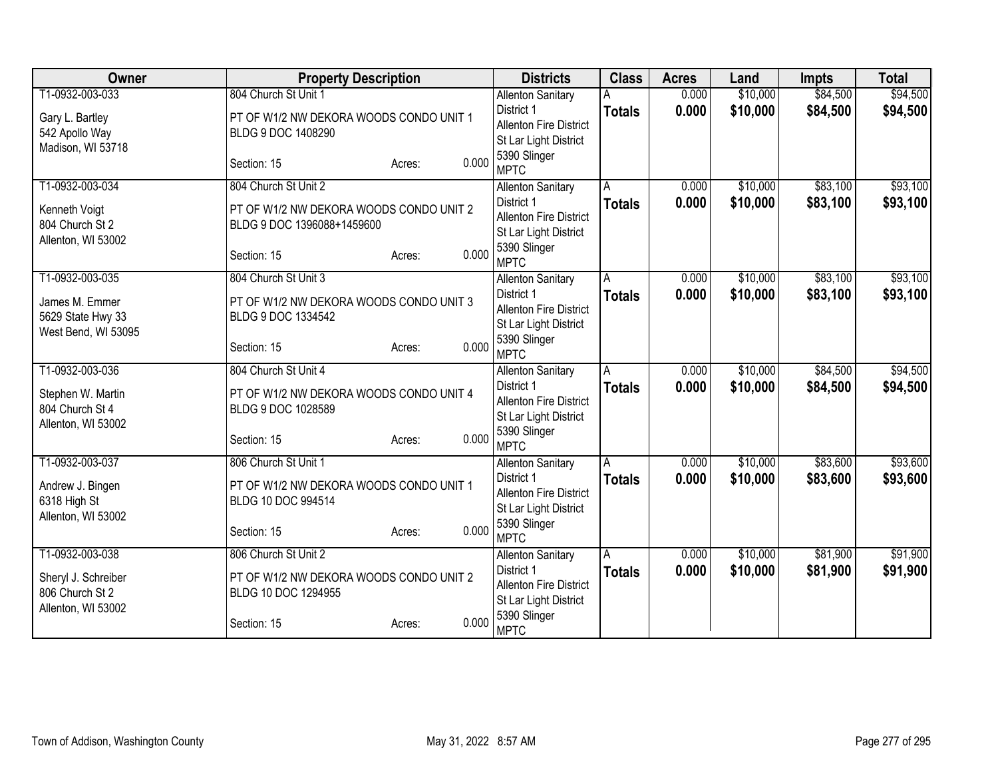| <b>Owner</b>        | <b>Property Description</b>             |                 | <b>Districts</b>              | <b>Class</b>  | <b>Acres</b> | Land     | <b>Impts</b> | <b>Total</b> |
|---------------------|-----------------------------------------|-----------------|-------------------------------|---------------|--------------|----------|--------------|--------------|
| T1-0932-003-033     | 804 Church St Unit 1                    |                 | <b>Allenton Sanitary</b>      |               | 0.000        | \$10,000 | \$84,500     | \$94,500     |
| Gary L. Bartley     | PT OF W1/2 NW DEKORA WOODS CONDO UNIT 1 |                 | District 1                    | <b>Totals</b> | 0.000        | \$10,000 | \$84,500     | \$94,500     |
| 542 Apollo Way      | BLDG 9 DOC 1408290                      |                 | <b>Allenton Fire District</b> |               |              |          |              |              |
| Madison, WI 53718   |                                         |                 | St Lar Light District         |               |              |          |              |              |
|                     | Section: 15                             | 0.000<br>Acres: | 5390 Slinger<br><b>MPTC</b>   |               |              |          |              |              |
| T1-0932-003-034     | 804 Church St Unit 2                    |                 | <b>Allenton Sanitary</b>      | A             | 0.000        | \$10,000 | \$83,100     | \$93,100     |
| Kenneth Voigt       | PT OF W1/2 NW DEKORA WOODS CONDO UNIT 2 |                 | District 1                    | <b>Totals</b> | 0.000        | \$10,000 | \$83,100     | \$93,100     |
| 804 Church St 2     | BLDG 9 DOC 1396088+1459600              |                 | <b>Allenton Fire District</b> |               |              |          |              |              |
| Allenton, WI 53002  |                                         |                 | St Lar Light District         |               |              |          |              |              |
|                     | Section: 15                             | 0.000<br>Acres: | 5390 Slinger<br><b>MPTC</b>   |               |              |          |              |              |
| T1-0932-003-035     | 804 Church St Unit 3                    |                 | <b>Allenton Sanitary</b>      | A             | 0.000        | \$10,000 | \$83,100     | \$93,100     |
| James M. Emmer      | PT OF W1/2 NW DEKORA WOODS CONDO UNIT 3 |                 | District 1                    | <b>Totals</b> | 0.000        | \$10,000 | \$83,100     | \$93,100     |
| 5629 State Hwy 33   | BLDG 9 DOC 1334542                      |                 | <b>Allenton Fire District</b> |               |              |          |              |              |
| West Bend, WI 53095 |                                         |                 | St Lar Light District         |               |              |          |              |              |
|                     | Section: 15                             | 0.000<br>Acres: | 5390 Slinger<br><b>MPTC</b>   |               |              |          |              |              |
| T1-0932-003-036     | 804 Church St Unit 4                    |                 | <b>Allenton Sanitary</b>      | А             | 0.000        | \$10,000 | \$84,500     | \$94,500     |
|                     |                                         |                 | District 1                    | <b>Totals</b> | 0.000        | \$10,000 | \$84,500     | \$94,500     |
| Stephen W. Martin   | PT OF W1/2 NW DEKORA WOODS CONDO UNIT 4 |                 | <b>Allenton Fire District</b> |               |              |          |              |              |
| 804 Church St 4     | BLDG 9 DOC 1028589                      |                 | St Lar Light District         |               |              |          |              |              |
| Allenton, WI 53002  | Section: 15                             | 0.000           | 5390 Slinger                  |               |              |          |              |              |
|                     |                                         | Acres:          | <b>MPTC</b>                   |               |              |          |              |              |
| T1-0932-003-037     | 806 Church St Unit 1                    |                 | <b>Allenton Sanitary</b>      | A             | 0.000        | \$10,000 | \$83,600     | \$93,600     |
| Andrew J. Bingen    | PT OF W1/2 NW DEKORA WOODS CONDO UNIT 1 |                 | District 1                    | <b>Totals</b> | 0.000        | \$10,000 | \$83,600     | \$93,600     |
| 6318 High St        | BLDG 10 DOC 994514                      |                 | <b>Allenton Fire District</b> |               |              |          |              |              |
| Allenton, WI 53002  |                                         |                 | St Lar Light District         |               |              |          |              |              |
|                     | Section: 15                             | 0.000<br>Acres: | 5390 Slinger<br><b>MPTC</b>   |               |              |          |              |              |
| T1-0932-003-038     | 806 Church St Unit 2                    |                 | <b>Allenton Sanitary</b>      | A             | 0.000        | \$10,000 | \$81,900     | \$91,900     |
|                     |                                         |                 | District 1                    | <b>Totals</b> | 0.000        | \$10,000 | \$81,900     | \$91,900     |
| Sheryl J. Schreiber | PT OF W1/2 NW DEKORA WOODS CONDO UNIT 2 |                 | <b>Allenton Fire District</b> |               |              |          |              |              |
| 806 Church St 2     | BLDG 10 DOC 1294955                     |                 | St Lar Light District         |               |              |          |              |              |
| Allenton, WI 53002  |                                         |                 | 5390 Slinger                  |               |              |          |              |              |
|                     | Section: 15                             | 0.000<br>Acres: | <b>MPTC</b>                   |               |              |          |              |              |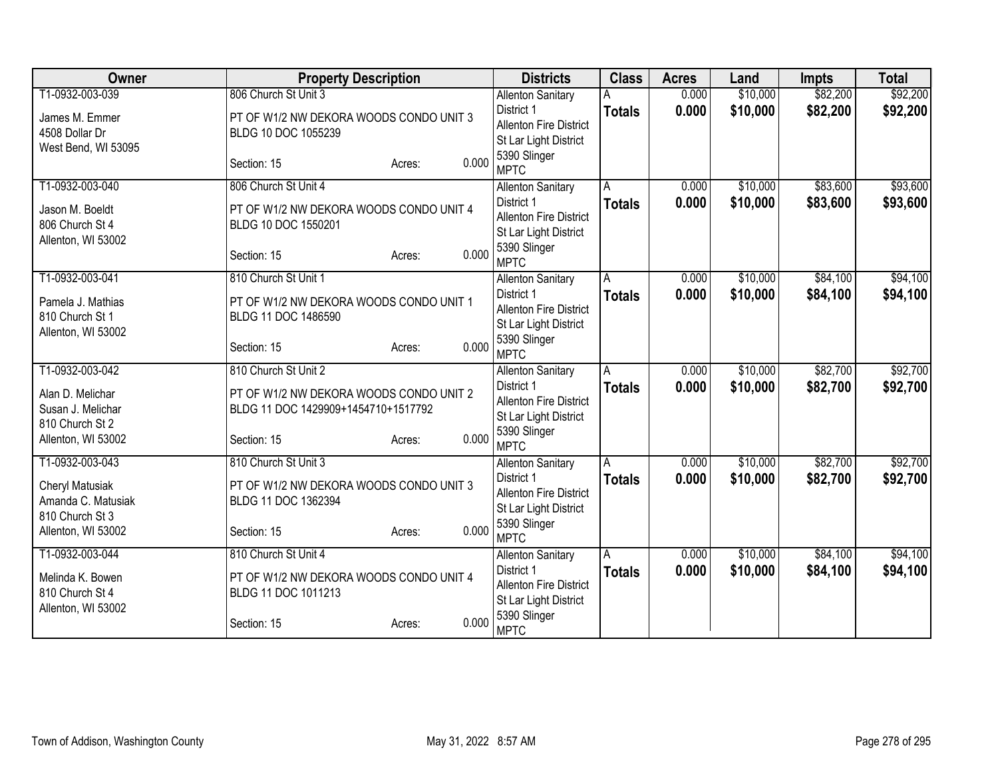| Owner               | <b>Property Description</b>             |                 | <b>Districts</b>                            | <b>Class</b>  | <b>Acres</b> | Land     | <b>Impts</b> | <b>Total</b> |
|---------------------|-----------------------------------------|-----------------|---------------------------------------------|---------------|--------------|----------|--------------|--------------|
| T1-0932-003-039     | 806 Church St Unit 3                    |                 | <b>Allenton Sanitary</b>                    |               | 0.000        | \$10,000 | \$82,200     | \$92,200     |
| James M. Emmer      | PT OF W1/2 NW DEKORA WOODS CONDO UNIT 3 |                 | District 1                                  | <b>Totals</b> | 0.000        | \$10,000 | \$82,200     | \$92,200     |
| 4508 Dollar Dr      | BLDG 10 DOC 1055239                     |                 | <b>Allenton Fire District</b>               |               |              |          |              |              |
| West Bend, WI 53095 |                                         |                 | St Lar Light District                       |               |              |          |              |              |
|                     | Section: 15                             | 0.000<br>Acres: | 5390 Slinger                                |               |              |          |              |              |
| T1-0932-003-040     | 806 Church St Unit 4                    |                 | <b>MPTC</b>                                 |               |              |          | \$83,600     |              |
|                     |                                         |                 | <b>Allenton Sanitary</b><br>District 1      | A             | 0.000        | \$10,000 |              | \$93,600     |
| Jason M. Boeldt     | PT OF W1/2 NW DEKORA WOODS CONDO UNIT 4 |                 | <b>Allenton Fire District</b>               | <b>Totals</b> | 0.000        | \$10,000 | \$83,600     | \$93,600     |
| 806 Church St 4     | BLDG 10 DOC 1550201                     |                 | St Lar Light District                       |               |              |          |              |              |
| Allenton, WI 53002  |                                         |                 | 5390 Slinger                                |               |              |          |              |              |
|                     | Section: 15                             | 0.000<br>Acres: | <b>MPTC</b>                                 |               |              |          |              |              |
| T1-0932-003-041     | 810 Church St Unit 1                    |                 | <b>Allenton Sanitary</b>                    | A             | 0.000        | \$10,000 | \$84,100     | \$94,100     |
| Pamela J. Mathias   | PT OF W1/2 NW DEKORA WOODS CONDO UNIT 1 |                 | District 1                                  | <b>Totals</b> | 0.000        | \$10,000 | \$84,100     | \$94,100     |
| 810 Church St 1     | BLDG 11 DOC 1486590                     |                 | <b>Allenton Fire District</b>               |               |              |          |              |              |
| Allenton, WI 53002  |                                         |                 | St Lar Light District                       |               |              |          |              |              |
|                     | Section: 15                             | 0.000<br>Acres: | 5390 Slinger                                |               |              |          |              |              |
|                     |                                         |                 | <b>MPTC</b>                                 |               |              |          |              |              |
| T1-0932-003-042     | 810 Church St Unit 2                    |                 | <b>Allenton Sanitary</b>                    | A             | 0.000        | \$10,000 | \$82,700     | \$92,700     |
| Alan D. Melichar    | PT OF W1/2 NW DEKORA WOODS CONDO UNIT 2 |                 | District 1<br><b>Allenton Fire District</b> | <b>Totals</b> | 0.000        | \$10,000 | \$82,700     | \$92,700     |
| Susan J. Melichar   | BLDG 11 DOC 1429909+1454710+1517792     |                 | St Lar Light District                       |               |              |          |              |              |
| 810 Church St 2     |                                         |                 | 5390 Slinger                                |               |              |          |              |              |
| Allenton, WI 53002  | Section: 15                             | 0.000<br>Acres: | <b>MPTC</b>                                 |               |              |          |              |              |
| T1-0932-003-043     | 810 Church St Unit 3                    |                 | <b>Allenton Sanitary</b>                    | A             | 0.000        | \$10,000 | \$82,700     | \$92,700     |
| Cheryl Matusiak     | PT OF W1/2 NW DEKORA WOODS CONDO UNIT 3 |                 | District 1                                  | <b>Totals</b> | 0.000        | \$10,000 | \$82,700     | \$92,700     |
| Amanda C. Matusiak  | BLDG 11 DOC 1362394                     |                 | <b>Allenton Fire District</b>               |               |              |          |              |              |
| 810 Church St 3     |                                         |                 | St Lar Light District                       |               |              |          |              |              |
| Allenton, WI 53002  | Section: 15                             | 0.000<br>Acres: | 5390 Slinger                                |               |              |          |              |              |
|                     |                                         |                 | <b>MPTC</b>                                 |               |              |          |              |              |
| T1-0932-003-044     | 810 Church St Unit 4                    |                 | <b>Allenton Sanitary</b>                    | Α             | 0.000        | \$10,000 | \$84,100     | \$94,100     |
| Melinda K. Bowen    | PT OF W1/2 NW DEKORA WOODS CONDO UNIT 4 |                 | District 1<br><b>Allenton Fire District</b> | <b>Totals</b> | 0.000        | \$10,000 | \$84,100     | \$94,100     |
| 810 Church St 4     | BLDG 11 DOC 1011213                     |                 | St Lar Light District                       |               |              |          |              |              |
| Allenton, WI 53002  |                                         |                 | 5390 Slinger                                |               |              |          |              |              |
|                     | Section: 15                             | 0.000<br>Acres: | <b>MPTC</b>                                 |               |              |          |              |              |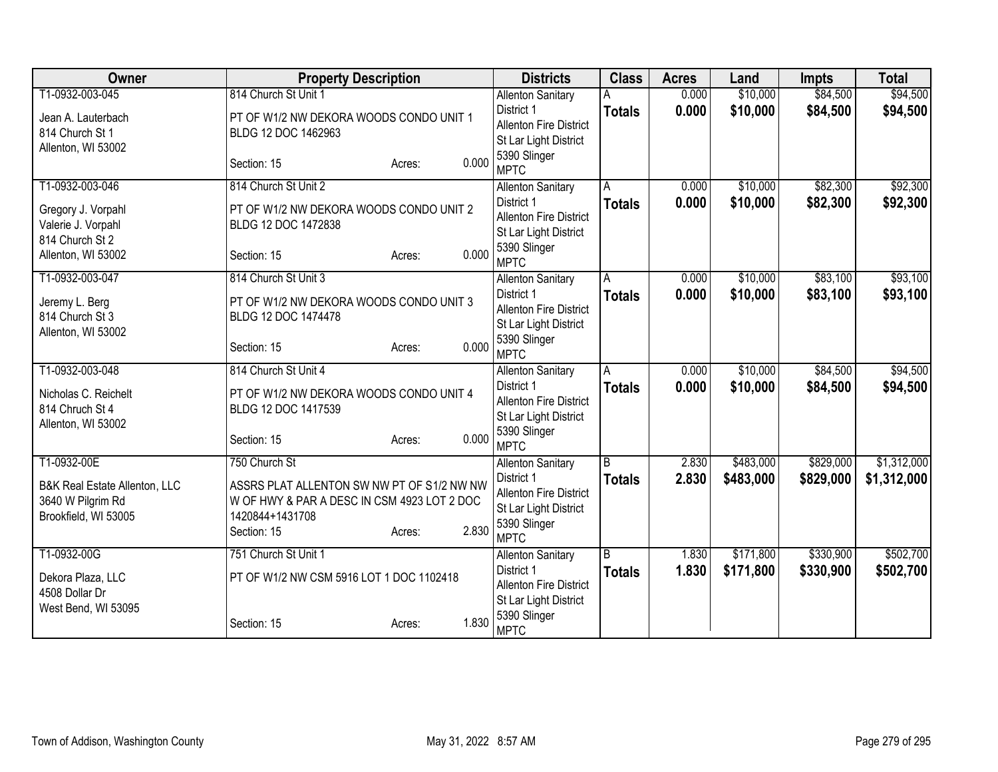| Owner                         | <b>Property Description</b>                 |                 | <b>Districts</b>                       | <b>Class</b>   | <b>Acres</b>   | Land                 | <b>Impts</b> | <b>Total</b> |
|-------------------------------|---------------------------------------------|-----------------|----------------------------------------|----------------|----------------|----------------------|--------------|--------------|
| T1-0932-003-045               | 814 Church St Unit 1                        |                 | <b>Allenton Sanitary</b>               |                | 0.000          | \$10,000             | \$84,500     | \$94,500     |
| Jean A. Lauterbach            | PT OF W1/2 NW DEKORA WOODS CONDO UNIT 1     |                 | District 1                             | <b>Totals</b>  | 0.000          | \$10,000             | \$84,500     | \$94,500     |
| 814 Church St 1               | BLDG 12 DOC 1462963                         |                 | <b>Allenton Fire District</b>          |                |                |                      |              |              |
| Allenton, WI 53002            |                                             |                 | St Lar Light District                  |                |                |                      |              |              |
|                               | Section: 15                                 | 0.000<br>Acres: | 5390 Slinger<br><b>MPTC</b>            |                |                |                      |              |              |
| T1-0932-003-046               | 814 Church St Unit 2                        |                 | <b>Allenton Sanitary</b>               | A              | 0.000          | \$10,000             | \$82,300     | \$92,300     |
| Gregory J. Vorpahl            | PT OF W1/2 NW DEKORA WOODS CONDO UNIT 2     |                 | District 1                             | <b>Totals</b>  | 0.000          | \$10,000             | \$82,300     | \$92,300     |
| Valerie J. Vorpahl            | BLDG 12 DOC 1472838                         |                 | <b>Allenton Fire District</b>          |                |                |                      |              |              |
| 814 Church St 2               |                                             |                 | St Lar Light District                  |                |                |                      |              |              |
| Allenton, WI 53002            | Section: 15                                 | 0.000<br>Acres: | 5390 Slinger<br><b>MPTC</b>            |                |                |                      |              |              |
| T1-0932-003-047               | 814 Church St Unit 3                        |                 | <b>Allenton Sanitary</b>               | A              | 0.000          | \$10,000             | \$83,100     | \$93,100     |
| Jeremy L. Berg                | PT OF W1/2 NW DEKORA WOODS CONDO UNIT 3     |                 | District 1                             | <b>Totals</b>  | 0.000          | \$10,000             | \$83,100     | \$93,100     |
| 814 Church St 3               | BLDG 12 DOC 1474478                         |                 | <b>Allenton Fire District</b>          |                |                |                      |              |              |
| Allenton, WI 53002            |                                             |                 | St Lar Light District                  |                |                |                      |              |              |
|                               | Section: 15                                 | 0.000<br>Acres: | 5390 Slinger                           |                |                |                      |              |              |
|                               |                                             |                 | <b>MPTC</b>                            |                |                |                      |              |              |
| T1-0932-003-048               | 814 Church St Unit 4                        |                 | <b>Allenton Sanitary</b><br>District 1 | A              | 0.000<br>0.000 | \$10,000<br>\$10,000 | \$84,500     | \$94,500     |
| Nicholas C. Reichelt          | PT OF W1/2 NW DEKORA WOODS CONDO UNIT 4     |                 | <b>Allenton Fire District</b>          | <b>Totals</b>  |                |                      | \$84,500     | \$94,500     |
| 814 Chruch St 4               | BLDG 12 DOC 1417539                         |                 | St Lar Light District                  |                |                |                      |              |              |
| Allenton, WI 53002            |                                             |                 | 5390 Slinger                           |                |                |                      |              |              |
|                               | Section: 15                                 | 0.000<br>Acres: | <b>MPTC</b>                            |                |                |                      |              |              |
| T1-0932-00E                   | 750 Church St                               |                 | <b>Allenton Sanitary</b>               | $\overline{B}$ | 2.830          | \$483,000            | \$829,000    | \$1,312,000  |
| B&K Real Estate Allenton, LLC | ASSRS PLAT ALLENTON SW NW PT OF S1/2 NW NW  |                 | District 1                             | <b>Totals</b>  | 2.830          | \$483,000            | \$829,000    | \$1,312,000  |
| 3640 W Pilgrim Rd             | W OF HWY & PAR A DESC IN CSM 4923 LOT 2 DOC |                 | Allenton Fire District                 |                |                |                      |              |              |
| Brookfield, WI 53005          | 1420844+1431708                             |                 | St Lar Light District                  |                |                |                      |              |              |
|                               | Section: 15                                 | 2.830<br>Acres: | 5390 Slinger                           |                |                |                      |              |              |
|                               |                                             |                 | <b>MPTC</b>                            |                |                |                      |              |              |
| T1-0932-00G                   | 751 Church St Unit 1                        |                 | <b>Allenton Sanitary</b><br>District 1 | B              | 1.830          | \$171,800            | \$330,900    | \$502,700    |
| Dekora Plaza, LLC             | PT OF W1/2 NW CSM 5916 LOT 1 DOC 1102418    |                 | <b>Allenton Fire District</b>          | <b>Totals</b>  | 1.830          | \$171,800            | \$330,900    | \$502,700    |
| 4508 Dollar Dr                |                                             |                 | St Lar Light District                  |                |                |                      |              |              |
| West Bend, WI 53095           |                                             |                 | 5390 Slinger                           |                |                |                      |              |              |
|                               | Section: 15                                 | 1.830<br>Acres: | <b>MPTC</b>                            |                |                |                      |              |              |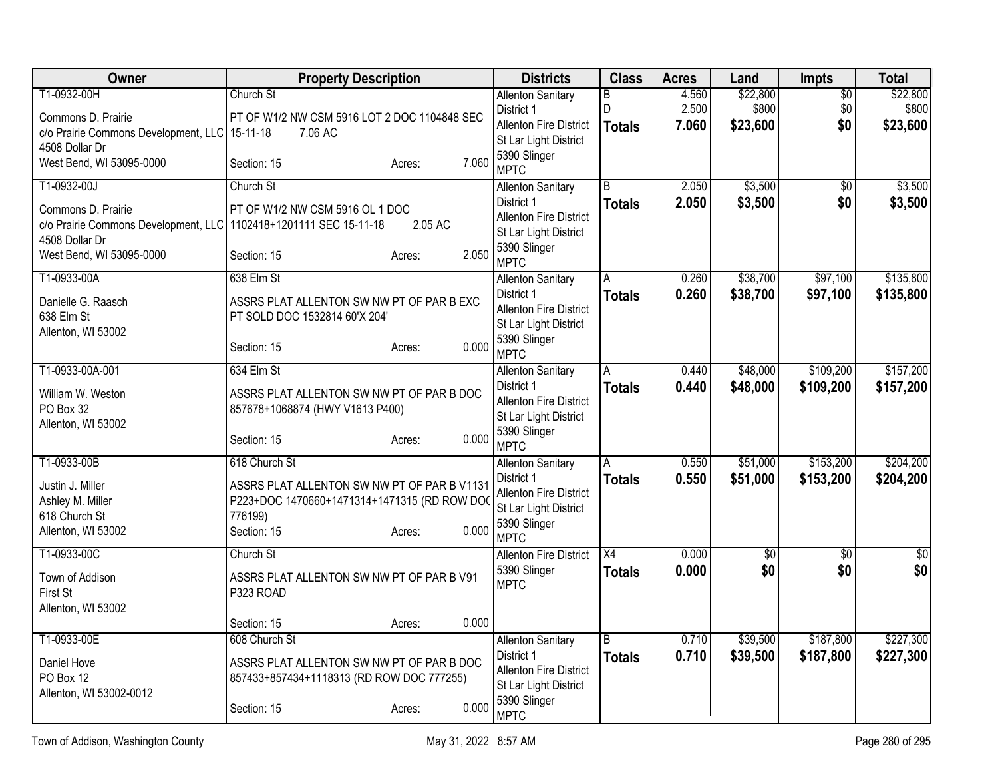| <b>Owner</b>                                                                                                                                         | <b>Property Description</b>                                                                                                                              | <b>Districts</b>                                                                                                                | <b>Class</b>                     | <b>Acres</b>            | Land                          | Impts                         | <b>Total</b>                  |
|------------------------------------------------------------------------------------------------------------------------------------------------------|----------------------------------------------------------------------------------------------------------------------------------------------------------|---------------------------------------------------------------------------------------------------------------------------------|----------------------------------|-------------------------|-------------------------------|-------------------------------|-------------------------------|
| T1-0932-00H<br>Commons D. Prairie<br>c/o Prairie Commons Development, LLC   15-11-18                                                                 | Church St<br>PT OF W1/2 NW CSM 5916 LOT 2 DOC 1104848 SEC<br>7.06 AC                                                                                     | <b>Allenton Sanitary</b><br>District 1<br><b>Allenton Fire District</b>                                                         | В<br>D<br><b>Totals</b>          | 4.560<br>2.500<br>7.060 | \$22,800<br>\$800<br>\$23,600 | $\overline{50}$<br>\$0<br>\$0 | \$22,800<br>\$800<br>\$23,600 |
| 4508 Dollar Dr<br>West Bend, WI 53095-0000                                                                                                           | 7.060<br>Section: 15<br>Acres:                                                                                                                           | St Lar Light District<br>5390 Slinger<br><b>MPTC</b>                                                                            |                                  |                         |                               |                               |                               |
| T1-0932-00J<br>Commons D. Prairie<br>c/o Prairie Commons Development, LLC 1102418+1201111 SEC 15-11-18<br>4508 Dollar Dr<br>West Bend, WI 53095-0000 | Church St<br>PT OF W1/2 NW CSM 5916 OL 1 DOC<br>2.05 AC<br>2.050<br>Section: 15<br>Acres:                                                                | <b>Allenton Sanitary</b><br>District 1<br><b>Allenton Fire District</b><br>St Lar Light District<br>5390 Slinger<br><b>MPTC</b> | $\overline{B}$<br><b>Totals</b>  | 2.050<br>2.050          | \$3,500<br>\$3,500            | $\overline{50}$<br>\$0        | \$3,500<br>\$3,500            |
| T1-0933-00A<br>Danielle G. Raasch<br>638 Elm St<br>Allenton, WI 53002                                                                                | 638 Elm St<br>ASSRS PLAT ALLENTON SW NW PT OF PAR B EXC<br>PT SOLD DOC 1532814 60'X 204'<br>0.000<br>Section: 15<br>Acres:                               | <b>Allenton Sanitary</b><br>District 1<br><b>Allenton Fire District</b><br>St Lar Light District<br>5390 Slinger<br><b>MPTC</b> | A<br><b>Totals</b>               | 0.260<br>0.260          | \$38,700<br>\$38,700          | \$97,100<br>\$97,100          | \$135,800<br>\$135,800        |
| T1-0933-00A-001<br>William W. Weston<br>PO Box 32<br>Allenton, WI 53002                                                                              | 634 Elm St<br>ASSRS PLAT ALLENTON SW NW PT OF PAR B DOC<br>857678+1068874 (HWY V1613 P400)<br>0.000<br>Section: 15<br>Acres:                             | <b>Allenton Sanitary</b><br>District 1<br><b>Allenton Fire District</b><br>St Lar Light District<br>5390 Slinger<br><b>MPTC</b> | A<br><b>Totals</b>               | 0.440<br>0.440          | \$48,000<br>\$48,000          | \$109,200<br>\$109,200        | \$157,200<br>\$157,200        |
| T1-0933-00B<br>Justin J. Miller<br>Ashley M. Miller<br>618 Church St<br>Allenton, WI 53002                                                           | 618 Church St<br>ASSRS PLAT ALLENTON SW NW PT OF PAR B V1131<br>P223+DOC 1470660+1471314+1471315 (RD ROW DO<br>776199)<br>0.000<br>Section: 15<br>Acres: | <b>Allenton Sanitary</b><br>District 1<br>Allenton Fire District<br>St Lar Light District<br>5390 Slinger<br><b>MPTC</b>        | A<br><b>Totals</b>               | 0.550<br>0.550          | \$51,000<br>\$51,000          | \$153,200<br>\$153,200        | \$204,200<br>\$204,200        |
| T1-0933-00C<br>Town of Addison<br>First St<br>Allenton, WI 53002                                                                                     | Church St<br>ASSRS PLAT ALLENTON SW NW PT OF PAR B V91<br>P323 ROAD<br>0.000<br>Acres:                                                                   | <b>Allenton Fire District</b><br>5390 Slinger<br><b>MPTC</b>                                                                    | $\overline{X4}$<br><b>Totals</b> | 0.000<br>0.000          | $\overline{50}$<br>\$0        | $\overline{50}$<br>\$0        | $\overline{50}$<br>\$0        |
| T1-0933-00E<br>Daniel Hove<br>PO Box 12<br>Allenton, WI 53002-0012                                                                                   | Section: 15<br>608 Church St<br>ASSRS PLAT ALLENTON SW NW PT OF PAR B DOC<br>857433+857434+1118313 (RD ROW DOC 777255)<br>0.000<br>Section: 15<br>Acres: | <b>Allenton Sanitary</b><br>District 1<br><b>Allenton Fire District</b><br>St Lar Light District<br>5390 Slinger<br><b>MPTC</b> | B<br><b>Totals</b>               | 0.710<br>0.710          | \$39,500<br>\$39,500          | \$187,800<br>\$187,800        | \$227,300<br>\$227,300        |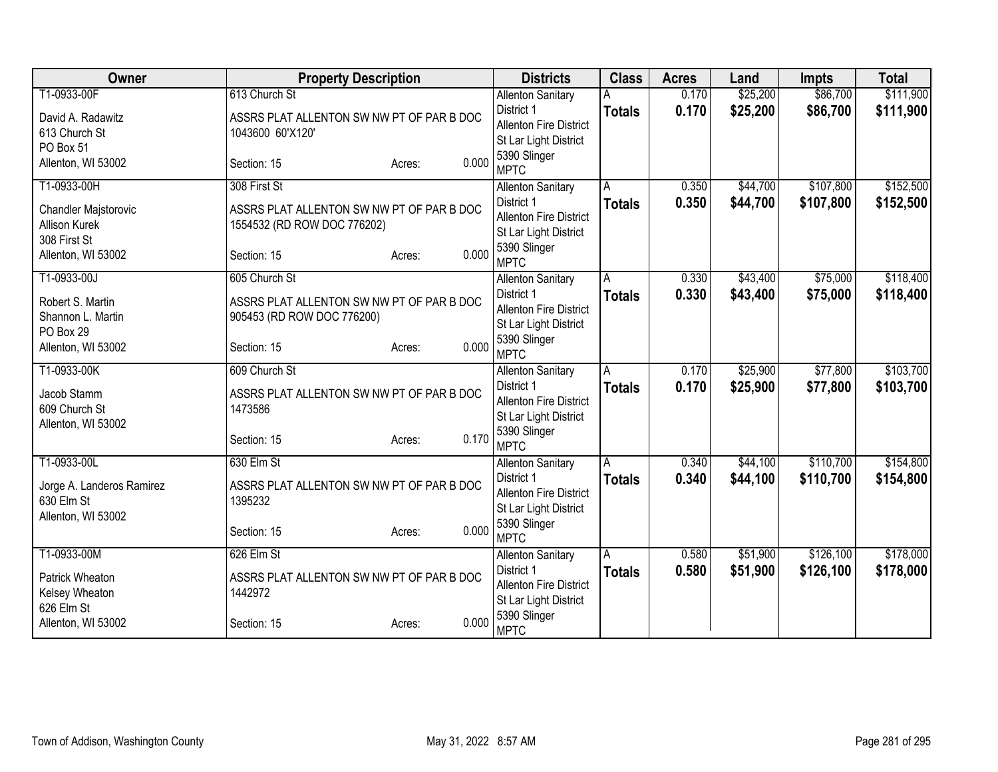| Owner                          | <b>Property Description</b>               | <b>Districts</b>                     | <b>Class</b>  | <b>Acres</b> | Land     | <b>Impts</b> | <b>Total</b> |
|--------------------------------|-------------------------------------------|--------------------------------------|---------------|--------------|----------|--------------|--------------|
| T1-0933-00F                    | 613 Church St                             | <b>Allenton Sanitary</b>             |               | 0.170        | \$25,200 | \$86,700     | \$111,900    |
| David A. Radawitz              | ASSRS PLAT ALLENTON SW NW PT OF PAR B DOC | District 1                           | <b>Totals</b> | 0.170        | \$25,200 | \$86,700     | \$111,900    |
| 613 Church St                  | 1043600 60'X120'                          | <b>Allenton Fire District</b>        |               |              |          |              |              |
| PO Box 51                      |                                           | St Lar Light District                |               |              |          |              |              |
| Allenton, WI 53002             | Section: 15<br>Acres:                     | 5390 Slinger<br>0.000<br><b>MPTC</b> |               |              |          |              |              |
| T1-0933-00H                    | 308 First St                              | <b>Allenton Sanitary</b>             | A             | 0.350        | \$44,700 | \$107,800    | \$152,500    |
| <b>Chandler Majstorovic</b>    | ASSRS PLAT ALLENTON SW NW PT OF PAR B DOC | District 1                           | <b>Totals</b> | 0.350        | \$44,700 | \$107,800    | \$152,500    |
| Allison Kurek                  | 1554532 (RD ROW DOC 776202)               | <b>Allenton Fire District</b>        |               |              |          |              |              |
| 308 First St                   |                                           | St Lar Light District                |               |              |          |              |              |
| Allenton, WI 53002             | Section: 15<br>Acres:                     | 5390 Slinger<br>0.000<br><b>MPTC</b> |               |              |          |              |              |
| T1-0933-00J                    | 605 Church St                             | <b>Allenton Sanitary</b>             | A             | 0.330        | \$43,400 | \$75,000     | \$118,400    |
|                                |                                           | District 1                           | <b>Totals</b> | 0.330        | \$43,400 | \$75,000     | \$118,400    |
| Robert S. Martin               | ASSRS PLAT ALLENTON SW NW PT OF PAR B DOC | <b>Allenton Fire District</b>        |               |              |          |              |              |
| Shannon L. Martin<br>PO Box 29 | 905453 (RD ROW DOC 776200)                | St Lar Light District                |               |              |          |              |              |
| Allenton, WI 53002             | Section: 15<br>Acres:                     | 5390 Slinger<br>0.000                |               |              |          |              |              |
|                                |                                           | <b>MPTC</b>                          |               |              |          |              |              |
| T1-0933-00K                    | 609 Church St                             | <b>Allenton Sanitary</b>             | A             | 0.170        | \$25,900 | \$77,800     | \$103,700    |
| Jacob Stamm                    | ASSRS PLAT ALLENTON SW NW PT OF PAR B DOC | District 1                           | <b>Totals</b> | 0.170        | \$25,900 | \$77,800     | \$103,700    |
| 609 Church St                  | 1473586                                   | <b>Allenton Fire District</b>        |               |              |          |              |              |
| Allenton, WI 53002             |                                           | St Lar Light District                |               |              |          |              |              |
|                                | Section: 15<br>Acres:                     | 5390 Slinger<br>0.170<br><b>MPTC</b> |               |              |          |              |              |
| T1-0933-00L                    | 630 Elm St                                | <b>Allenton Sanitary</b>             | A             | 0.340        | \$44,100 | \$110,700    | \$154,800    |
|                                |                                           | District 1                           | <b>Totals</b> | 0.340        | \$44,100 | \$110,700    | \$154,800    |
| Jorge A. Landeros Ramirez      | ASSRS PLAT ALLENTON SW NW PT OF PAR B DOC | <b>Allenton Fire District</b>        |               |              |          |              |              |
| 630 Elm St                     | 1395232                                   | St Lar Light District                |               |              |          |              |              |
| Allenton, WI 53002             | Section: 15<br>Acres:                     | 5390 Slinger<br>0.000                |               |              |          |              |              |
|                                |                                           | <b>MPTC</b>                          |               |              |          |              |              |
| T1-0933-00M                    | 626 Elm St                                | <b>Allenton Sanitary</b>             | A             | 0.580        | \$51,900 | \$126,100    | \$178,000    |
| Patrick Wheaton                | ASSRS PLAT ALLENTON SW NW PT OF PAR B DOC | District 1                           | <b>Totals</b> | 0.580        | \$51,900 | \$126,100    | \$178,000    |
| Kelsey Wheaton                 | 1442972                                   | Allenton Fire District               |               |              |          |              |              |
| 626 Elm St                     |                                           | St Lar Light District                |               |              |          |              |              |
| Allenton, WI 53002             | Section: 15<br>Acres:                     | 5390 Slinger<br>0.000<br><b>MPTC</b> |               |              |          |              |              |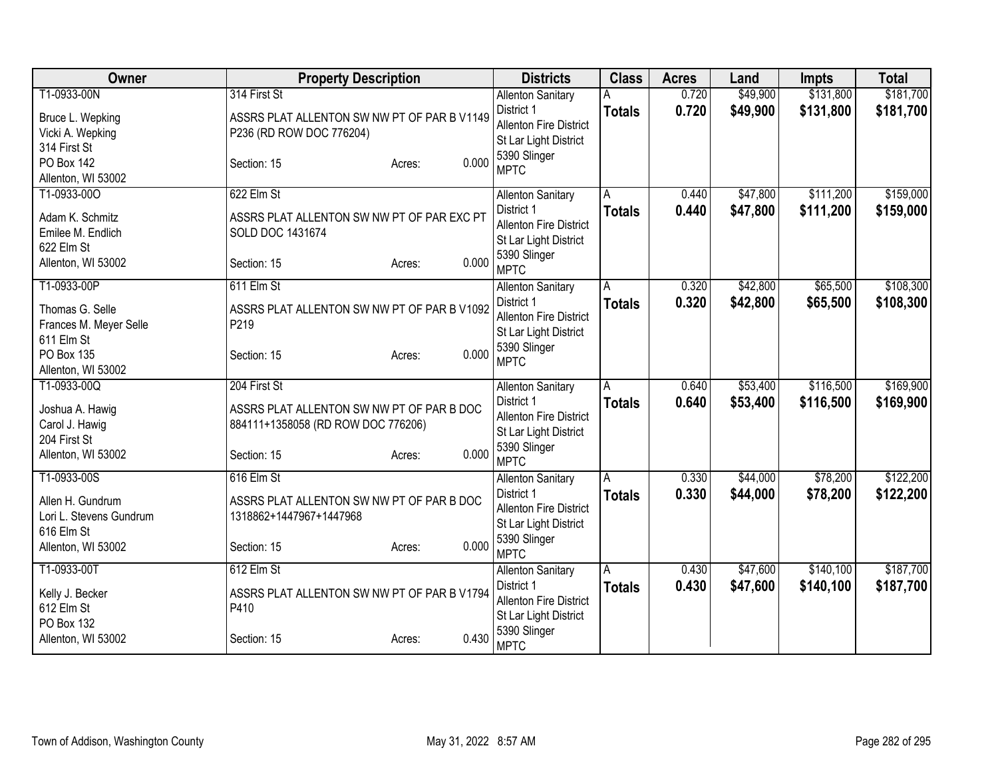| Owner                                                     | <b>Property Description</b>                                                     | <b>Districts</b>                                                     | <b>Class</b>  | <b>Acres</b>   | Land                 | Impts                  | <b>Total</b>           |
|-----------------------------------------------------------|---------------------------------------------------------------------------------|----------------------------------------------------------------------|---------------|----------------|----------------------|------------------------|------------------------|
| T1-0933-00N<br>Bruce L. Wepking                           | 314 First St<br>ASSRS PLAT ALLENTON SW NW PT OF PAR B V1149                     | <b>Allenton Sanitary</b><br>District 1                               | <b>Totals</b> | 0.720<br>0.720 | \$49,900<br>\$49,900 | \$131,800<br>\$131,800 | \$181,700<br>\$181,700 |
| Vicki A. Wepking<br>314 First St                          | P236 (RD ROW DOC 776204)                                                        | Allenton Fire District<br>St Lar Light District                      |               |                |                      |                        |                        |
| <b>PO Box 142</b><br>Allenton, WI 53002                   | 0.000<br>Section: 15<br>Acres:                                                  | 5390 Slinger<br><b>MPTC</b>                                          |               |                |                      |                        |                        |
| T1-0933-00O                                               | 622 Elm St                                                                      | <b>Allenton Sanitary</b>                                             | A             | 0.440          | \$47,800             | \$111,200              | \$159,000              |
| Adam K. Schmitz<br>Emilee M. Endlich<br>622 Elm St        | ASSRS PLAT ALLENTON SW NW PT OF PAR EXC PT<br>SOLD DOC 1431674                  | District 1<br><b>Allenton Fire District</b><br>St Lar Light District | <b>Totals</b> | 0.440          | \$47,800             | \$111,200              | \$159,000              |
| Allenton, WI 53002                                        | 0.000<br>Section: 15<br>Acres:                                                  | 5390 Slinger<br><b>MPTC</b>                                          |               |                |                      |                        |                        |
| T1-0933-00P                                               | 611 Elm St                                                                      | <b>Allenton Sanitary</b>                                             | Α             | 0.320          | \$42,800             | \$65,500               | \$108,300              |
| Thomas G. Selle<br>Frances M. Meyer Selle<br>611 Elm St   | ASSRS PLAT ALLENTON SW NW PT OF PAR B V1092<br>P219                             | District 1<br>Allenton Fire District<br>St Lar Light District        | <b>Totals</b> | 0.320          | \$42,800             | \$65,500               | \$108,300              |
| <b>PO Box 135</b><br>Allenton, WI 53002                   | 0.000<br>Section: 15<br>Acres:                                                  | 5390 Slinger<br><b>MPTC</b>                                          |               |                |                      |                        |                        |
| T1-0933-00Q                                               | 204 First St                                                                    | <b>Allenton Sanitary</b>                                             | Α             | 0.640          | \$53,400             | \$116,500              | \$169,900              |
| Joshua A. Hawig<br>Carol J. Hawig<br>204 First St         | ASSRS PLAT ALLENTON SW NW PT OF PAR B DOC<br>884111+1358058 (RD ROW DOC 776206) | District 1<br><b>Allenton Fire District</b><br>St Lar Light District | <b>Totals</b> | 0.640          | \$53,400             | \$116,500              | \$169,900              |
| Allenton, WI 53002                                        | 0.000<br>Section: 15<br>Acres:                                                  | 5390 Slinger<br><b>MPTC</b>                                          |               |                |                      |                        |                        |
| T1-0933-00S                                               | 616 Elm St                                                                      | <b>Allenton Sanitary</b>                                             | A             | 0.330          | \$44,000             | \$78,200               | \$122,200              |
| Allen H. Gundrum<br>Lori L. Stevens Gundrum<br>616 Elm St | ASSRS PLAT ALLENTON SW NW PT OF PAR B DOC<br>1318862+1447967+1447968            | District 1<br><b>Allenton Fire District</b><br>St Lar Light District | <b>Totals</b> | 0.330          | \$44,000             | \$78,200               | \$122,200              |
| Allenton, WI 53002                                        | 0.000<br>Section: 15<br>Acres:                                                  | 5390 Slinger<br><b>MPTC</b>                                          |               |                |                      |                        |                        |
| T1-0933-00T                                               | 612 Elm St                                                                      | <b>Allenton Sanitary</b>                                             | A             | 0.430          | \$47,600             | \$140,100              | \$187,700              |
| Kelly J. Becker<br>612 Elm St                             | ASSRS PLAT ALLENTON SW NW PT OF PAR B V1794<br>P410                             | District 1<br>Allenton Fire District<br>St Lar Light District        | <b>Totals</b> | 0.430          | \$47,600             | \$140,100              | \$187,700              |
| PO Box 132<br>Allenton, WI 53002                          | 0.430<br>Section: 15<br>Acres:                                                  | 5390 Slinger<br><b>MPTC</b>                                          |               |                |                      |                        |                        |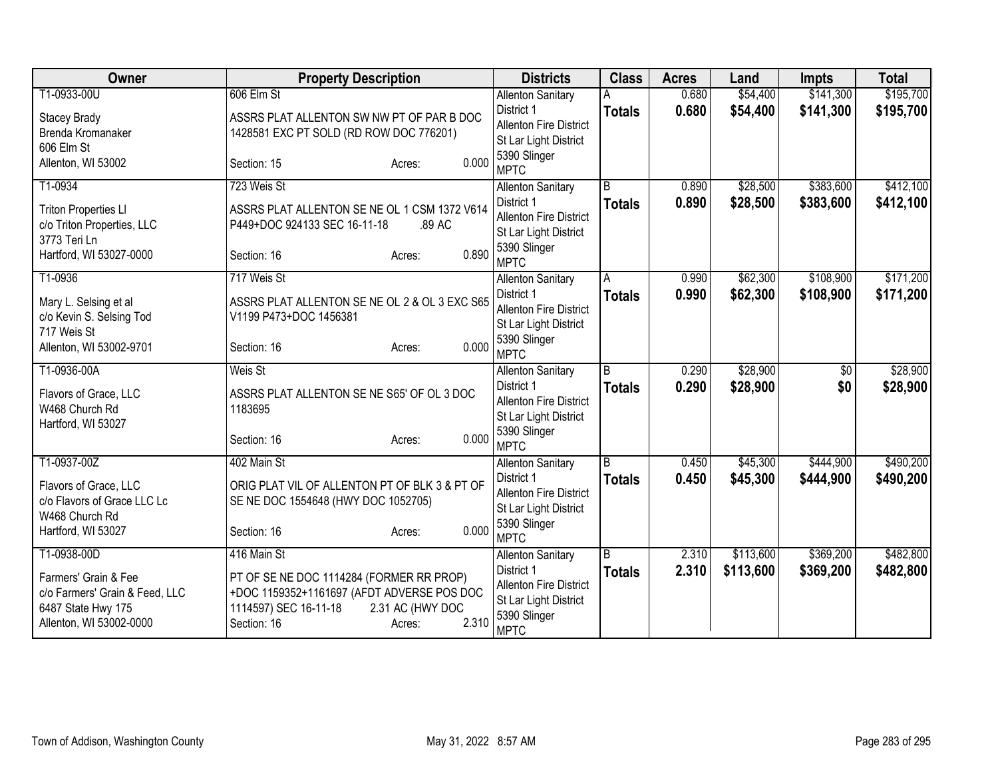| Owner                                                | <b>Property Description</b>                                                             | <b>Districts</b>              | <b>Class</b>            | <b>Acres</b> | Land      | <b>Impts</b>    | <b>Total</b> |
|------------------------------------------------------|-----------------------------------------------------------------------------------------|-------------------------------|-------------------------|--------------|-----------|-----------------|--------------|
| T1-0933-00U                                          | 606 Elm St                                                                              | <b>Allenton Sanitary</b>      |                         | 0.680        | \$54,400  | \$141,300       | \$195,700    |
| Stacey Brady                                         | ASSRS PLAT ALLENTON SW NW PT OF PAR B DOC                                               | District 1                    | <b>Totals</b>           | 0.680        | \$54,400  | \$141,300       | \$195,700    |
| Brenda Kromanaker                                    | 1428581 EXC PT SOLD (RD ROW DOC 776201)                                                 | <b>Allenton Fire District</b> |                         |              |           |                 |              |
| 606 Elm St                                           |                                                                                         | St Lar Light District         |                         |              |           |                 |              |
| Allenton, WI 53002                                   | 0.000<br>Section: 15<br>Acres:                                                          | 5390 Slinger<br><b>MPTC</b>   |                         |              |           |                 |              |
| T1-0934                                              | 723 Weis St                                                                             | <b>Allenton Sanitary</b>      | $\overline{B}$          | 0.890        | \$28,500  | \$383,600       | \$412,100    |
| <b>Triton Properties LI</b>                          | ASSRS PLAT ALLENTON SE NE OL 1 CSM 1372 V614                                            | District 1                    | <b>Totals</b>           | 0.890        | \$28,500  | \$383,600       | \$412,100    |
| c/o Triton Properties, LLC                           | P449+DOC 924133 SEC 16-11-18<br>.89 AC                                                  | Allenton Fire District        |                         |              |           |                 |              |
| 3773 Teri Ln                                         |                                                                                         | St Lar Light District         |                         |              |           |                 |              |
| Hartford, WI 53027-0000                              | 0.890<br>Section: 16<br>Acres:                                                          | 5390 Slinger<br><b>MPTC</b>   |                         |              |           |                 |              |
| T1-0936                                              | 717 Weis St                                                                             | <b>Allenton Sanitary</b>      | $\overline{A}$          | 0.990        | \$62,300  | \$108,900       | \$171,200    |
| Mary L. Selsing et al                                | ASSRS PLAT ALLENTON SE NE OL 2 & OL 3 EXC S65                                           | District 1                    | <b>Totals</b>           | 0.990        | \$62,300  | \$108,900       | \$171,200    |
| c/o Kevin S. Selsing Tod                             | V1199 P473+DOC 1456381                                                                  | <b>Allenton Fire District</b> |                         |              |           |                 |              |
| 717 Weis St                                          |                                                                                         | St Lar Light District         |                         |              |           |                 |              |
| Allenton, WI 53002-9701                              | 0.000<br>Section: 16<br>Acres:                                                          | 5390 Slinger<br><b>MPTC</b>   |                         |              |           |                 |              |
| T1-0936-00A                                          | Weis St                                                                                 | <b>Allenton Sanitary</b>      | $\overline{\mathsf{B}}$ | 0.290        | \$28,900  | $\overline{50}$ | \$28,900     |
|                                                      |                                                                                         | District 1                    | <b>Totals</b>           | 0.290        | \$28,900  | \$0             | \$28,900     |
| Flavors of Grace, LLC                                | ASSRS PLAT ALLENTON SE NE S65' OF OL 3 DOC                                              | Allenton Fire District        |                         |              |           |                 |              |
| W468 Church Rd                                       | 1183695                                                                                 | St Lar Light District         |                         |              |           |                 |              |
| Hartford, WI 53027                                   | 0.000<br>Section: 16                                                                    | 5390 Slinger                  |                         |              |           |                 |              |
|                                                      | Acres:                                                                                  | <b>MPTC</b>                   |                         |              |           |                 |              |
| T1-0937-00Z                                          | 402 Main St                                                                             | <b>Allenton Sanitary</b>      | $\overline{B}$          | 0.450        | \$45,300  | \$444,900       | \$490,200    |
| Flavors of Grace, LLC                                | ORIG PLAT VIL OF ALLENTON PT OF BLK 3 & PT OF                                           | District 1                    | <b>Totals</b>           | 0.450        | \$45,300  | \$444,900       | \$490,200    |
| c/o Flavors of Grace LLC Lc                          | SE NE DOC 1554648 (HWY DOC 1052705)                                                     | <b>Allenton Fire District</b> |                         |              |           |                 |              |
| W468 Church Rd                                       |                                                                                         | St Lar Light District         |                         |              |           |                 |              |
| Hartford, WI 53027                                   | 0.000<br>Section: 16<br>Acres:                                                          | 5390 Slinger<br><b>MPTC</b>   |                         |              |           |                 |              |
| T1-0938-00D                                          | 416 Main St                                                                             | <b>Allenton Sanitary</b>      | B                       | 2.310        | \$113,600 | \$369,200       | \$482,800    |
|                                                      |                                                                                         | District 1                    | <b>Totals</b>           | 2.310        | \$113,600 | \$369,200       | \$482,800    |
| Farmers' Grain & Fee                                 | PT OF SE NE DOC 1114284 (FORMER RR PROP)                                                | <b>Allenton Fire District</b> |                         |              |           |                 |              |
| c/o Farmers' Grain & Feed, LLC<br>6487 State Hwy 175 | +DOC 1159352+1161697 (AFDT ADVERSE POS DOC<br>1114597) SEC 16-11-18<br>2.31 AC (HWY DOC | St Lar Light District         |                         |              |           |                 |              |
| Allenton, WI 53002-0000                              | 2.310<br>Section: 16<br>Acres:                                                          | 5390 Slinger                  |                         |              |           |                 |              |
|                                                      |                                                                                         | <b>MPTC</b>                   |                         |              |           |                 |              |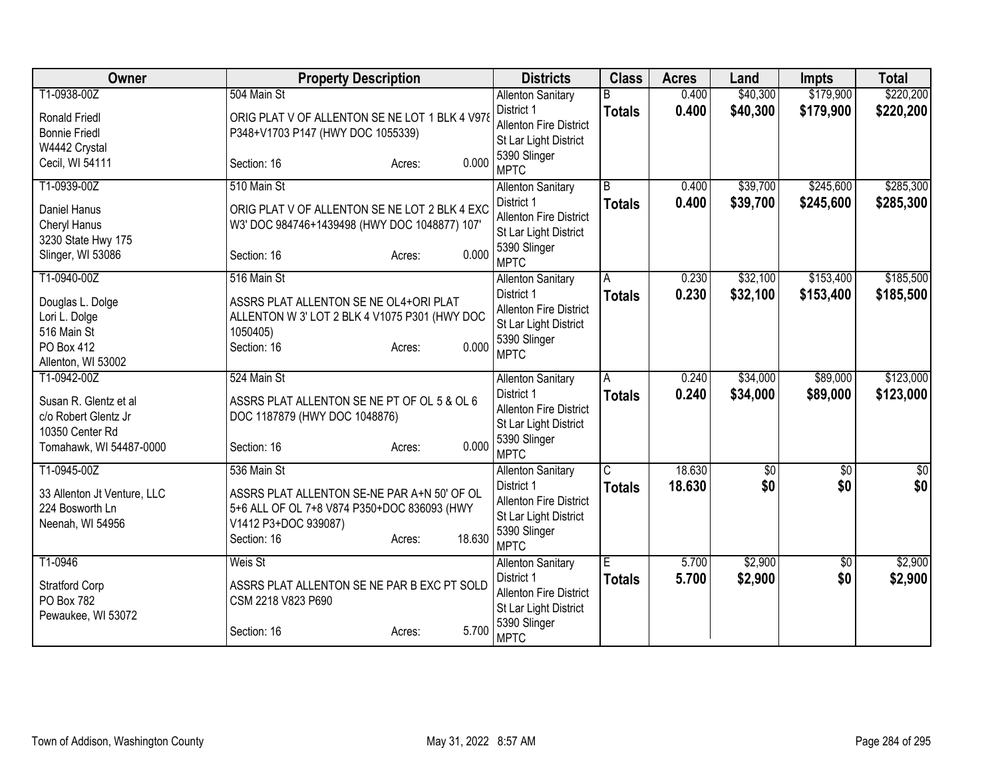| Owner                       | <b>Property Description</b>                    | <b>Districts</b>                                       | <b>Class</b>            | <b>Acres</b> | Land            | Impts           | <b>Total</b> |
|-----------------------------|------------------------------------------------|--------------------------------------------------------|-------------------------|--------------|-----------------|-----------------|--------------|
| T1-0938-00Z                 | 504 Main St                                    | <b>Allenton Sanitary</b>                               | B                       | 0.400        | \$40,300        | \$179,900       | \$220,200    |
| <b>Ronald Friedl</b>        | ORIG PLAT V OF ALLENTON SE NE LOT 1 BLK 4 V978 | District 1                                             | <b>Totals</b>           | 0.400        | \$40,300        | \$179,900       | \$220,200    |
| <b>Bonnie Friedl</b>        | P348+V1703 P147 (HWY DOC 1055339)              | <b>Allenton Fire District</b>                          |                         |              |                 |                 |              |
| W4442 Crystal               |                                                | St Lar Light District                                  |                         |              |                 |                 |              |
| Cecil, WI 54111             | 0.000<br>Section: 16<br>Acres:                 | 5390 Slinger<br><b>MPTC</b>                            |                         |              |                 |                 |              |
| T1-0939-00Z                 | 510 Main St                                    | <b>Allenton Sanitary</b>                               | B                       | 0.400        | \$39,700        | \$245,600       | \$285,300    |
| Daniel Hanus                | ORIG PLAT V OF ALLENTON SE NE LOT 2 BLK 4 EXC  | District 1                                             | <b>Totals</b>           | 0.400        | \$39,700        | \$245,600       | \$285,300    |
| Cheryl Hanus                | W3' DOC 984746+1439498 (HWY DOC 1048877) 107'  | <b>Allenton Fire District</b>                          |                         |              |                 |                 |              |
| 3230 State Hwy 175          |                                                | St Lar Light District                                  |                         |              |                 |                 |              |
| Slinger, WI 53086           | 0.000<br>Section: 16<br>Acres:                 | 5390 Slinger                                           |                         |              |                 |                 |              |
|                             |                                                | <b>MPTC</b>                                            |                         |              |                 |                 |              |
| T1-0940-00Z                 | 516 Main St                                    | <b>Allenton Sanitary</b>                               | A                       | 0.230        | \$32,100        | \$153,400       | \$185,500    |
| Douglas L. Dolge            | ASSRS PLAT ALLENTON SE NE OL4+ORI PLAT         | District 1                                             | <b>Totals</b>           | 0.230        | \$32,100        | \$153,400       | \$185,500    |
| Lori L. Dolge               | ALLENTON W 3' LOT 2 BLK 4 V1075 P301 (HWY DOC  | <b>Allenton Fire District</b>                          |                         |              |                 |                 |              |
| 516 Main St                 | 1050405)                                       | St Lar Light District<br>5390 Slinger                  |                         |              |                 |                 |              |
| <b>PO Box 412</b>           | 0.000<br>Section: 16<br>Acres:                 | <b>MPTC</b>                                            |                         |              |                 |                 |              |
| Allenton, WI 53002          |                                                |                                                        |                         |              |                 |                 |              |
| T1-0942-00Z                 | 524 Main St                                    | <b>Allenton Sanitary</b>                               | A                       | 0.240        | \$34,000        | \$89,000        | \$123,000    |
| Susan R. Glentz et al       | ASSRS PLAT ALLENTON SE NE PT OF OL 5 & OL 6    | District 1                                             | <b>Totals</b>           | 0.240        | \$34,000        | \$89,000        | \$123,000    |
| c/o Robert Glentz Jr        | DOC 1187879 (HWY DOC 1048876)                  | <b>Allenton Fire District</b>                          |                         |              |                 |                 |              |
| 10350 Center Rd             |                                                | St Lar Light District                                  |                         |              |                 |                 |              |
| Tomahawk, WI 54487-0000     | 0.000<br>Section: 16<br>Acres:                 | 5390 Slinger                                           |                         |              |                 |                 |              |
|                             |                                                | <b>MPTC</b>                                            |                         |              |                 |                 |              |
| T1-0945-00Z                 | 536 Main St                                    | <b>Allenton Sanitary</b>                               | $\overline{\mathsf{C}}$ | 18.630       | $\overline{60}$ | $\overline{50}$ | $\sqrt{50}$  |
| 33 Allenton Jt Venture, LLC | ASSRS PLAT ALLENTON SE-NE PAR A+N 50' OF OL    | District 1                                             | <b>Totals</b>           | 18.630       | \$0             | \$0             | \$0          |
| 224 Bosworth Ln             | 5+6 ALL OF OL 7+8 V874 P350+DOC 836093 (HWY    | <b>Allenton Fire District</b><br>St Lar Light District |                         |              |                 |                 |              |
| Neenah, WI 54956            | V1412 P3+DOC 939087)                           | 5390 Slinger                                           |                         |              |                 |                 |              |
|                             | 18.630<br>Section: 16<br>Acres:                | <b>MPTC</b>                                            |                         |              |                 |                 |              |
| T1-0946                     | Weis St                                        | <b>Allenton Sanitary</b>                               | Έ                       | 5.700        | \$2,900         | $\overline{60}$ | \$2,900      |
| <b>Stratford Corp</b>       | ASSRS PLAT ALLENTON SE NE PAR B EXC PT SOLD    | District 1                                             | <b>Totals</b>           | 5.700        | \$2,900         | \$0             | \$2,900      |
| PO Box 782                  | CSM 2218 V823 P690                             | <b>Allenton Fire District</b>                          |                         |              |                 |                 |              |
| Pewaukee, WI 53072          |                                                | St Lar Light District                                  |                         |              |                 |                 |              |
|                             | 5.700<br>Section: 16<br>Acres:                 | 5390 Slinger<br><b>MPTC</b>                            |                         |              |                 |                 |              |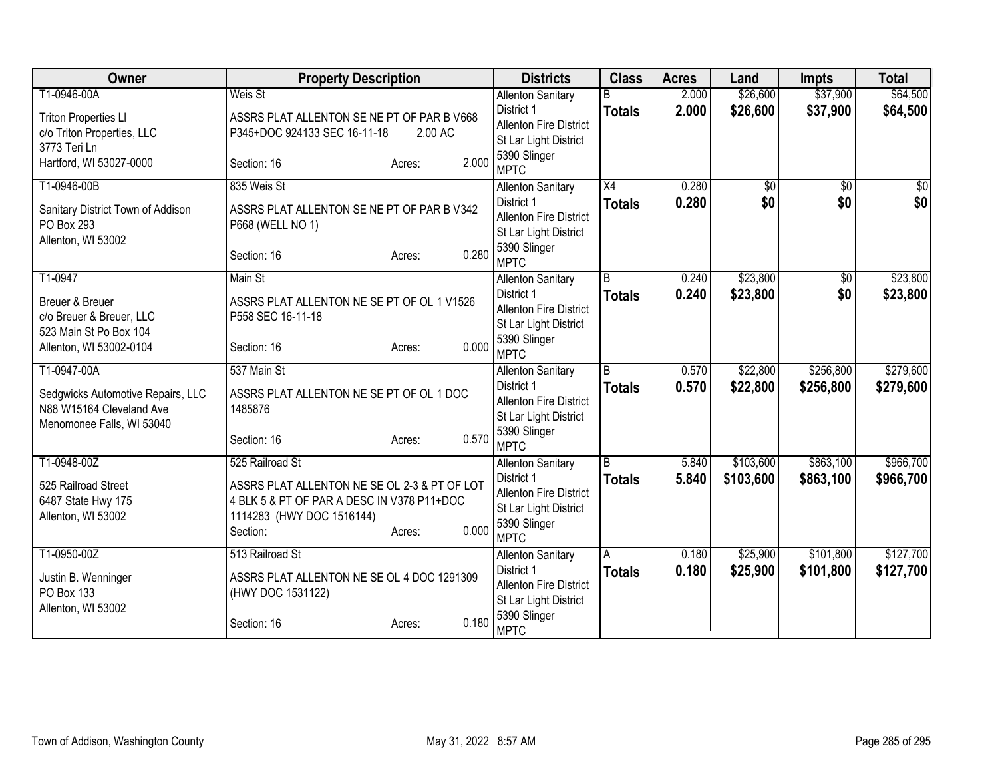| Owner                                     | <b>Property Description</b>                                                                |                 | <b>Districts</b>                       | <b>Class</b>       | <b>Acres</b> | Land            | <b>Impts</b>    | <b>Total</b>  |
|-------------------------------------------|--------------------------------------------------------------------------------------------|-----------------|----------------------------------------|--------------------|--------------|-----------------|-----------------|---------------|
| T1-0946-00A                               | Weis St                                                                                    |                 | <b>Allenton Sanitary</b>               |                    | 2.000        | \$26,600        | \$37,900        | \$64,500      |
| <b>Triton Properties LI</b>               | ASSRS PLAT ALLENTON SE NE PT OF PAR B V668                                                 |                 | District 1                             | <b>Totals</b>      | 2.000        | \$26,600        | \$37,900        | \$64,500      |
| c/o Triton Properties, LLC                | P345+DOC 924133 SEC 16-11-18                                                               | 2.00 AC         | <b>Allenton Fire District</b>          |                    |              |                 |                 |               |
| 3773 Teri Ln                              |                                                                                            |                 | St Lar Light District<br>5390 Slinger  |                    |              |                 |                 |               |
| Hartford, WI 53027-0000                   | Section: 16                                                                                | 2.000<br>Acres: | <b>MPTC</b>                            |                    |              |                 |                 |               |
| T1-0946-00B                               | 835 Weis St                                                                                |                 | <b>Allenton Sanitary</b>               | X4                 | 0.280        | $\overline{50}$ | $\overline{30}$ | $\frac{1}{2}$ |
| Sanitary District Town of Addison         | ASSRS PLAT ALLENTON SE NE PT OF PAR B V342                                                 |                 | District 1                             | <b>Totals</b>      | 0.280        | \$0             | \$0             | \$0           |
| PO Box 293                                | P668 (WELL NO 1)                                                                           |                 | <b>Allenton Fire District</b>          |                    |              |                 |                 |               |
| Allenton, WI 53002                        |                                                                                            |                 | St Lar Light District                  |                    |              |                 |                 |               |
|                                           | Section: 16                                                                                | 0.280<br>Acres: | 5390 Slinger<br><b>MPTC</b>            |                    |              |                 |                 |               |
| T1-0947                                   | Main St                                                                                    |                 | <b>Allenton Sanitary</b>               | B                  | 0.240        | \$23,800        | \$0             | \$23,800      |
| Breuer & Breuer                           | ASSRS PLAT ALLENTON NE SE PT OF OL 1 V1526                                                 |                 | District 1                             | <b>Totals</b>      | 0.240        | \$23,800        | \$0             | \$23,800      |
| c/o Breuer & Breuer, LLC                  | P558 SEC 16-11-18                                                                          |                 | <b>Allenton Fire District</b>          |                    |              |                 |                 |               |
| 523 Main St Po Box 104                    |                                                                                            |                 | St Lar Light District                  |                    |              |                 |                 |               |
| Allenton, WI 53002-0104                   | Section: 16                                                                                | 0.000<br>Acres: | 5390 Slinger<br><b>MPTC</b>            |                    |              |                 |                 |               |
| T1-0947-00A                               | 537 Main St                                                                                |                 | <b>Allenton Sanitary</b>               | B                  | 0.570        | \$22,800        | \$256,800       | \$279,600     |
| Sedgwicks Automotive Repairs, LLC         | ASSRS PLAT ALLENTON NE SE PT OF OL 1 DOC                                                   |                 | District 1                             | <b>Totals</b>      | 0.570        | \$22,800        | \$256,800       | \$279,600     |
| N88 W15164 Cleveland Ave                  | 1485876                                                                                    |                 | <b>Allenton Fire District</b>          |                    |              |                 |                 |               |
| Menomonee Falls, WI 53040                 |                                                                                            |                 | St Lar Light District                  |                    |              |                 |                 |               |
|                                           | Section: 16                                                                                | 0.570<br>Acres: | 5390 Slinger<br><b>MPTC</b>            |                    |              |                 |                 |               |
| T1-0948-00Z                               | 525 Railroad St                                                                            |                 | <b>Allenton Sanitary</b>               | B                  | 5.840        | \$103,600       | \$863,100       | \$966,700     |
|                                           |                                                                                            |                 | District 1                             | <b>Totals</b>      | 5.840        | \$103,600       | \$863,100       | \$966,700     |
| 525 Railroad Street<br>6487 State Hwy 175 | ASSRS PLAT ALLENTON NE SE OL 2-3 & PT OF LOT<br>4 BLK 5 & PT OF PAR A DESC IN V378 P11+DOC |                 | <b>Allenton Fire District</b>          |                    |              |                 |                 |               |
| Allenton, WI 53002                        | 1114283 (HWY DOC 1516144)                                                                  |                 | St Lar Light District                  |                    |              |                 |                 |               |
|                                           | Section:                                                                                   | 0.000<br>Acres: | 5390 Slinger                           |                    |              |                 |                 |               |
| T1-0950-00Z                               | 513 Railroad St                                                                            |                 | <b>MPTC</b>                            |                    | 0.180        | \$25,900        | \$101,800       | \$127,700     |
|                                           |                                                                                            |                 | <b>Allenton Sanitary</b><br>District 1 | A<br><b>Totals</b> | 0.180        | \$25,900        | \$101,800       | \$127,700     |
| Justin B. Wenninger                       | ASSRS PLAT ALLENTON NE SE OL 4 DOC 1291309                                                 |                 | <b>Allenton Fire District</b>          |                    |              |                 |                 |               |
| PO Box 133                                | (HWY DOC 1531122)                                                                          |                 | St Lar Light District                  |                    |              |                 |                 |               |
| Allenton, WI 53002                        |                                                                                            | 0.180           | 5390 Slinger                           |                    |              |                 |                 |               |
|                                           | Section: 16                                                                                | Acres:          | <b>MPTC</b>                            |                    |              |                 |                 |               |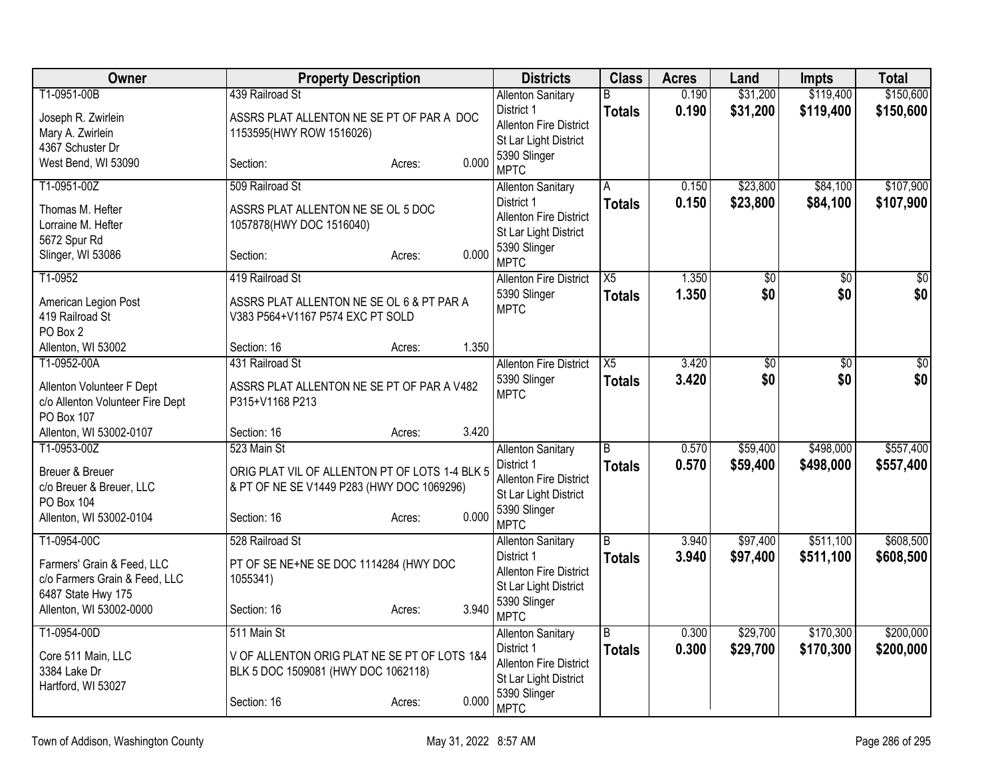| Owner                                                                                                                       | <b>Property Description</b>                                                                                                                   | <b>Districts</b>                                                                                                                | <b>Class</b>                    | <b>Acres</b>   | Land                 | Impts                  | <b>Total</b>           |
|-----------------------------------------------------------------------------------------------------------------------------|-----------------------------------------------------------------------------------------------------------------------------------------------|---------------------------------------------------------------------------------------------------------------------------------|---------------------------------|----------------|----------------------|------------------------|------------------------|
| T1-0951-00B                                                                                                                 | 439 Railroad St                                                                                                                               | <b>Allenton Sanitary</b>                                                                                                        | R.                              | 0.190          | \$31,200             | \$119,400              | \$150,600              |
| Joseph R. Zwirlein<br>Mary A. Zwirlein<br>4367 Schuster Dr                                                                  | ASSRS PLAT ALLENTON NE SE PT OF PAR A DOC<br>1153595(HWY ROW 1516026)                                                                         | District 1<br><b>Allenton Fire District</b><br>St Lar Light District<br>5390 Slinger                                            | <b>Totals</b>                   | 0.190          | \$31,200             | \$119,400              | \$150,600              |
| West Bend, WI 53090                                                                                                         | 0.000<br>Section:<br>Acres:                                                                                                                   | <b>MPTC</b>                                                                                                                     |                                 |                |                      |                        |                        |
| T1-0951-00Z<br>Thomas M. Hefter<br>Lorraine M. Hefter<br>5672 Spur Rd                                                       | 509 Railroad St<br>ASSRS PLAT ALLENTON NE SE OL 5 DOC<br>1057878(HWY DOC 1516040)                                                             | <b>Allenton Sanitary</b><br>District 1<br><b>Allenton Fire District</b><br>St Lar Light District                                | A<br><b>Totals</b>              | 0.150<br>0.150 | \$23,800<br>\$23,800 | \$84,100<br>\$84,100   | \$107,900<br>\$107,900 |
| Slinger, WI 53086                                                                                                           | 0.000<br>Section:<br>Acres:                                                                                                                   | 5390 Slinger<br><b>MPTC</b>                                                                                                     |                                 |                |                      |                        |                        |
| T1-0952                                                                                                                     | 419 Railroad St                                                                                                                               | <b>Allenton Fire District</b>                                                                                                   | X5                              | 1.350          | \$0                  | \$0                    | \$0                    |
| American Legion Post<br>419 Railroad St<br>PO Box 2                                                                         | ASSRS PLAT ALLENTON NE SE OL 6 & PT PAR A<br>V383 P564+V1167 P574 EXC PT SOLD                                                                 | 5390 Slinger<br><b>MPTC</b>                                                                                                     | <b>Totals</b>                   | 1.350          | \$0                  | \$0                    | \$0                    |
| Allenton, WI 53002                                                                                                          | 1.350<br>Section: 16<br>Acres:                                                                                                                |                                                                                                                                 |                                 |                |                      |                        |                        |
| T1-0952-00A<br>Allenton Volunteer F Dept<br>c/o Allenton Volunteer Fire Dept<br>PO Box 107                                  | 431 Railroad St<br>ASSRS PLAT ALLENTON NE SE PT OF PAR A V482<br>P315+V1168 P213                                                              | <b>Allenton Fire District</b><br>5390 Slinger<br><b>MPTC</b>                                                                    | X5<br><b>Totals</b>             | 3.420<br>3.420 | \$0<br>\$0           | \$0<br>\$0             | $\overline{50}$<br>\$0 |
| Allenton, WI 53002-0107                                                                                                     | 3.420<br>Section: 16<br>Acres:                                                                                                                |                                                                                                                                 |                                 |                |                      |                        |                        |
| T1-0953-00Z<br>Breuer & Breuer<br>c/o Breuer & Breuer, LLC<br>PO Box 104<br>Allenton, WI 53002-0104                         | 523 Main St<br>ORIG PLAT VIL OF ALLENTON PT OF LOTS 1-4 BLK 5<br>& PT OF NE SE V1449 P283 (HWY DOC 1069296)<br>0.000<br>Section: 16<br>Acres: | <b>Allenton Sanitary</b><br>District 1<br><b>Allenton Fire District</b><br>St Lar Light District<br>5390 Slinger<br><b>MPTC</b> | $\overline{B}$<br><b>Totals</b> | 0.570<br>0.570 | \$59,400<br>\$59,400 | \$498,000<br>\$498,000 | \$557,400<br>\$557,400 |
| T1-0954-00C<br>Farmers' Grain & Feed, LLC<br>c/o Farmers Grain & Feed, LLC<br>6487 State Hwy 175<br>Allenton, WI 53002-0000 | 528 Railroad St<br>PT OF SE NE+NE SE DOC 1114284 (HWY DOC<br>1055341)<br>3.940<br>Section: 16<br>Acres:                                       | <b>Allenton Sanitary</b><br>District 1<br>Allenton Fire District<br>St Lar Light District<br>5390 Slinger<br><b>MPTC</b>        | $\overline{B}$<br><b>Totals</b> | 3.940<br>3.940 | \$97,400<br>\$97,400 | \$511,100<br>\$511,100 | \$608,500<br>\$608,500 |
| T1-0954-00D<br>Core 511 Main, LLC<br>3384 Lake Dr<br>Hartford, WI 53027                                                     | 511 Main St<br>V OF ALLENTON ORIG PLAT NE SE PT OF LOTS 1&4<br>BLK 5 DOC 1509081 (HWY DOC 1062118)<br>0.000<br>Section: 16<br>Acres:          | <b>Allenton Sanitary</b><br>District 1<br><b>Allenton Fire District</b><br>St Lar Light District<br>5390 Slinger<br><b>MPTC</b> | B<br><b>Totals</b>              | 0.300<br>0.300 | \$29,700<br>\$29,700 | \$170,300<br>\$170,300 | \$200,000<br>\$200,000 |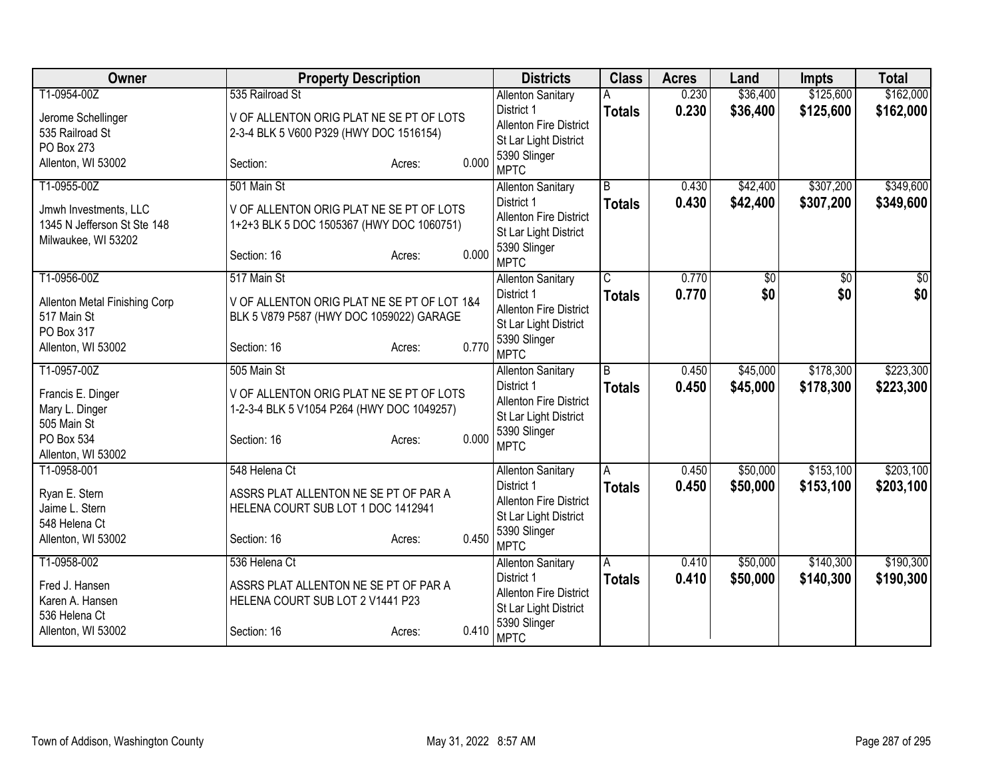| Owner                           | <b>Property Description</b>                                                 |                 | <b>Districts</b>              | <b>Class</b>   | <b>Acres</b> | Land     | <b>Impts</b> | <b>Total</b> |
|---------------------------------|-----------------------------------------------------------------------------|-----------------|-------------------------------|----------------|--------------|----------|--------------|--------------|
| T1-0954-00Z                     | 535 Railroad St                                                             |                 | <b>Allenton Sanitary</b>      |                | 0.230        | \$36,400 | \$125,600    | \$162,000    |
| Jerome Schellinger              | V OF ALLENTON ORIG PLAT NE SE PT OF LOTS                                    |                 | District 1                    | <b>Totals</b>  | 0.230        | \$36,400 | \$125,600    | \$162,000    |
| 535 Railroad St                 | 2-3-4 BLK 5 V600 P329 (HWY DOC 1516154)                                     |                 | <b>Allenton Fire District</b> |                |              |          |              |              |
| PO Box 273                      |                                                                             |                 | St Lar Light District         |                |              |          |              |              |
| Allenton, WI 53002              | Section:                                                                    | 0.000<br>Acres: | 5390 Slinger<br><b>MPTC</b>   |                |              |          |              |              |
| T1-0955-00Z                     | 501 Main St                                                                 |                 | <b>Allenton Sanitary</b>      | B              | 0.430        | \$42,400 | \$307,200    | \$349,600    |
| Jmwh Investments, LLC           | V OF ALLENTON ORIG PLAT NE SE PT OF LOTS                                    |                 | District 1                    | <b>Totals</b>  | 0.430        | \$42,400 | \$307,200    | \$349,600    |
| 1345 N Jefferson St Ste 148     | 1+2+3 BLK 5 DOC 1505367 (HWY DOC 1060751)                                   |                 | <b>Allenton Fire District</b> |                |              |          |              |              |
| Milwaukee, WI 53202             |                                                                             |                 | St Lar Light District         |                |              |          |              |              |
|                                 | Section: 16                                                                 | 0.000<br>Acres: | 5390 Slinger                  |                |              |          |              |              |
|                                 |                                                                             |                 | <b>MPTC</b>                   |                |              |          |              |              |
| T1-0956-00Z                     | 517 Main St                                                                 |                 | <b>Allenton Sanitary</b>      | C              | 0.770        | \$0      | \$0          | $\sqrt{50}$  |
| Allenton Metal Finishing Corp   | V OF ALLENTON ORIG PLAT NE SE PT OF LOT 1&4                                 |                 | District 1                    | <b>Totals</b>  | 0.770        | \$0      | \$0          | \$0          |
| 517 Main St                     | BLK 5 V879 P587 (HWY DOC 1059022) GARAGE                                    |                 | <b>Allenton Fire District</b> |                |              |          |              |              |
| PO Box 317                      |                                                                             |                 | St Lar Light District         |                |              |          |              |              |
| Allenton, WI 53002              | Section: 16                                                                 | 0.770<br>Acres: | 5390 Slinger<br><b>MPTC</b>   |                |              |          |              |              |
| T1-0957-00Z                     | 505 Main St                                                                 |                 | <b>Allenton Sanitary</b>      | $\overline{B}$ | 0.450        | \$45,000 | \$178,300    | \$223,300    |
| Francis E. Dinger               | V OF ALLENTON ORIG PLAT NE SE PT OF LOTS                                    |                 | District 1                    | <b>Totals</b>  | 0.450        | \$45,000 | \$178,300    | \$223,300    |
| Mary L. Dinger                  | 1-2-3-4 BLK 5 V1054 P264 (HWY DOC 1049257)                                  |                 | <b>Allenton Fire District</b> |                |              |          |              |              |
| 505 Main St                     |                                                                             |                 | St Lar Light District         |                |              |          |              |              |
| PO Box 534                      | Section: 16                                                                 | 0.000<br>Acres: | 5390 Slinger                  |                |              |          |              |              |
| Allenton, WI 53002              |                                                                             |                 | <b>MPTC</b>                   |                |              |          |              |              |
| T1-0958-001                     | 548 Helena Ct                                                               |                 | <b>Allenton Sanitary</b>      | A              | 0.450        | \$50,000 | \$153,100    | \$203,100    |
|                                 |                                                                             |                 | District 1                    | <b>Totals</b>  | 0.450        | \$50,000 | \$153,100    | \$203,100    |
| Ryan E. Stern<br>Jaime L. Stern | ASSRS PLAT ALLENTON NE SE PT OF PAR A<br>HELENA COURT SUB LOT 1 DOC 1412941 |                 | <b>Allenton Fire District</b> |                |              |          |              |              |
| 548 Helena Ct                   |                                                                             |                 | St Lar Light District         |                |              |          |              |              |
| Allenton, WI 53002              | Section: 16                                                                 | 0.450<br>Acres: | 5390 Slinger                  |                |              |          |              |              |
|                                 |                                                                             |                 | <b>MPTC</b>                   |                |              |          |              |              |
| T1-0958-002                     | 536 Helena Ct                                                               |                 | <b>Allenton Sanitary</b>      | Α              | 0.410        | \$50,000 | \$140,300    | \$190,300    |
| Fred J. Hansen                  | ASSRS PLAT ALLENTON NE SE PT OF PAR A                                       |                 | District 1                    | <b>Totals</b>  | 0.410        | \$50,000 | \$140,300    | \$190,300    |
| Karen A. Hansen                 | HELENA COURT SUB LOT 2 V1441 P23                                            |                 | <b>Allenton Fire District</b> |                |              |          |              |              |
| 536 Helena Ct                   |                                                                             |                 | St Lar Light District         |                |              |          |              |              |
| Allenton, WI 53002              | Section: 16                                                                 | 0.410<br>Acres: | 5390 Slinger<br><b>MPTC</b>   |                |              |          |              |              |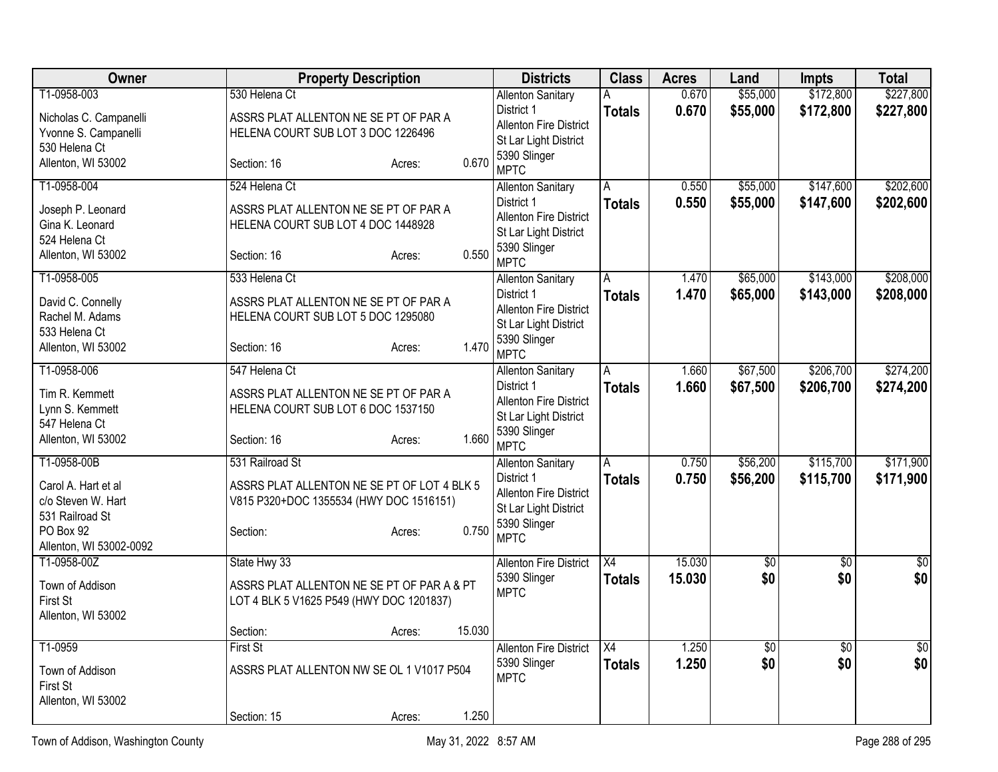| <b>Owner</b>                                                                                                        | <b>Property Description</b>                                                                                                              | <b>Districts</b>                                                                                                                | <b>Class</b>                     | <b>Acres</b>     | Land                   | Impts                  | <b>Total</b>           |
|---------------------------------------------------------------------------------------------------------------------|------------------------------------------------------------------------------------------------------------------------------------------|---------------------------------------------------------------------------------------------------------------------------------|----------------------------------|------------------|------------------------|------------------------|------------------------|
| T1-0958-003<br>Nicholas C. Campanelli<br>Yvonne S. Campanelli                                                       | 530 Helena Ct<br>ASSRS PLAT ALLENTON NE SE PT OF PAR A<br>HELENA COURT SUB LOT 3 DOC 1226496                                             | <b>Allenton Sanitary</b><br>District 1<br><b>Allenton Fire District</b>                                                         | A<br><b>Totals</b>               | 0.670<br>0.670   | \$55,000<br>\$55,000   | \$172,800<br>\$172,800 | \$227,800<br>\$227,800 |
| 530 Helena Ct<br>Allenton, WI 53002                                                                                 | 0.670<br>Section: 16<br>Acres:                                                                                                           | St Lar Light District<br>5390 Slinger<br><b>MPTC</b>                                                                            |                                  |                  |                        |                        |                        |
| T1-0958-004<br>Joseph P. Leonard<br>Gina K. Leonard<br>524 Helena Ct<br>Allenton, WI 53002                          | 524 Helena Ct<br>ASSRS PLAT ALLENTON NE SE PT OF PAR A<br>HELENA COURT SUB LOT 4 DOC 1448928<br>0.550<br>Section: 16<br>Acres:           | <b>Allenton Sanitary</b><br>District 1<br><b>Allenton Fire District</b><br>St Lar Light District<br>5390 Slinger<br><b>MPTC</b> | A<br><b>Totals</b>               | 0.550<br>0.550   | \$55,000<br>\$55,000   | \$147,600<br>\$147,600 | \$202,600<br>\$202,600 |
| T1-0958-005<br>David C. Connelly<br>Rachel M. Adams<br>533 Helena Ct<br>Allenton, WI 53002                          | 533 Helena Ct<br>ASSRS PLAT ALLENTON NE SE PT OF PAR A<br>HELENA COURT SUB LOT 5 DOC 1295080<br>1.470<br>Section: 16<br>Acres:           | <b>Allenton Sanitary</b><br>District 1<br><b>Allenton Fire District</b><br>St Lar Light District<br>5390 Slinger<br><b>MPTC</b> | A<br><b>Totals</b>               | 1.470<br>1.470   | \$65,000<br>\$65,000   | \$143,000<br>\$143,000 | \$208,000<br>\$208,000 |
| T1-0958-006<br>Tim R. Kemmett<br>Lynn S. Kemmett<br>547 Helena Ct<br>Allenton, WI 53002                             | 547 Helena Ct<br>ASSRS PLAT ALLENTON NE SE PT OF PAR A<br>HELENA COURT SUB LOT 6 DOC 1537150<br>1.660<br>Section: 16<br>Acres:           | <b>Allenton Sanitary</b><br>District 1<br><b>Allenton Fire District</b><br>St Lar Light District<br>5390 Slinger<br><b>MPTC</b> | A<br><b>Totals</b>               | 1.660<br>1.660   | \$67,500<br>\$67,500   | \$206,700<br>\$206,700 | \$274,200<br>\$274,200 |
| T1-0958-00B<br>Carol A. Hart et al<br>c/o Steven W. Hart<br>531 Railroad St<br>PO Box 92<br>Allenton, WI 53002-0092 | 531 Railroad St<br>ASSRS PLAT ALLENTON NE SE PT OF LOT 4 BLK 5<br>V815 P320+DOC 1355534 (HWY DOC 1516151)<br>0.750<br>Section:<br>Acres: | <b>Allenton Sanitary</b><br>District 1<br><b>Allenton Fire District</b><br>St Lar Light District<br>5390 Slinger<br><b>MPTC</b> | A<br><b>Totals</b>               | 0.750<br>0.750   | \$56,200<br>\$56,200   | \$115,700<br>\$115,700 | \$171,900<br>\$171,900 |
| T1-0958-00Z<br>Town of Addison<br>First St<br>Allenton, WI 53002                                                    | State Hwy 33<br>ASSRS PLAT ALLENTON NE SE PT OF PAR A & PT<br>LOT 4 BLK 5 V1625 P549 (HWY DOC 1201837)<br>15.030<br>Section:<br>Acres:   | <b>Allenton Fire District</b><br>5390 Slinger<br><b>MPTC</b>                                                                    | $\overline{X4}$<br><b>Totals</b> | 15.030<br>15.030 | $\overline{60}$<br>\$0 | $\overline{30}$<br>\$0 | $\overline{50}$<br>\$0 |
| T1-0959<br>Town of Addison<br>First St<br>Allenton, WI 53002                                                        | <b>First St</b><br>ASSRS PLAT ALLENTON NW SE OL 1 V1017 P504<br>1.250<br>Section: 15<br>Acres:                                           | <b>Allenton Fire District</b><br>5390 Slinger<br><b>MPTC</b>                                                                    | X4<br><b>Totals</b>              | 1.250<br>1.250   | \$0<br>\$0             | $\sqrt{6}$<br>\$0      | \$0<br>s <sub>0</sub>  |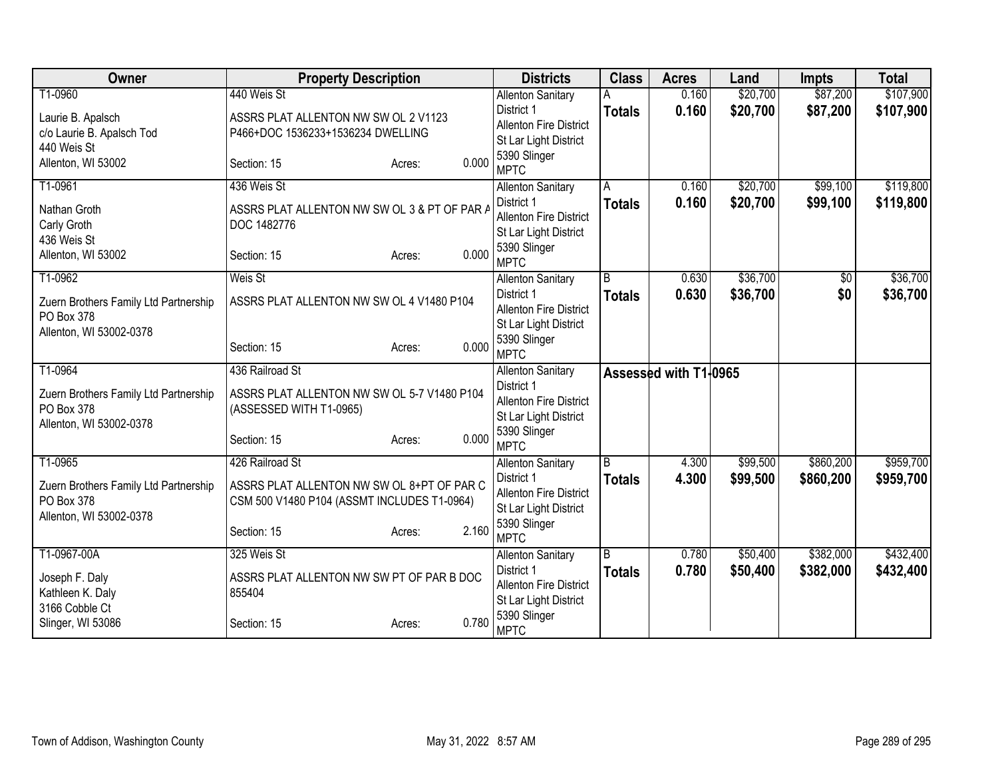| Owner                                               | <b>Property Description</b>                  |                 | <b>Districts</b>                       | <b>Class</b>   | <b>Acres</b>          | Land     | <b>Impts</b> | <b>Total</b> |
|-----------------------------------------------------|----------------------------------------------|-----------------|----------------------------------------|----------------|-----------------------|----------|--------------|--------------|
| T1-0960                                             | 440 Weis St                                  |                 | <b>Allenton Sanitary</b>               |                | 0.160                 | \$20,700 | \$87,200     | \$107,900    |
| Laurie B. Apalsch                                   | ASSRS PLAT ALLENTON NW SW OL 2 V1123         |                 | District 1                             | <b>Totals</b>  | 0.160                 | \$20,700 | \$87,200     | \$107,900    |
| c/o Laurie B. Apalsch Tod                           | P466+DOC 1536233+1536234 DWELLING            |                 | <b>Allenton Fire District</b>          |                |                       |          |              |              |
| 440 Weis St                                         |                                              |                 | St Lar Light District                  |                |                       |          |              |              |
| Allenton, WI 53002                                  | Section: 15                                  | 0.000<br>Acres: | 5390 Slinger<br><b>MPTC</b>            |                |                       |          |              |              |
| T1-0961                                             | 436 Weis St                                  |                 | <b>Allenton Sanitary</b>               | A              | 0.160                 | \$20,700 | \$99,100     | \$119,800    |
| Nathan Groth                                        | ASSRS PLAT ALLENTON NW SW OL 3 & PT OF PAR A |                 | District 1                             | <b>Totals</b>  | 0.160                 | \$20,700 | \$99,100     | \$119,800    |
| Carly Groth                                         | DOC 1482776                                  |                 | <b>Allenton Fire District</b>          |                |                       |          |              |              |
| 436 Weis St                                         |                                              |                 | St Lar Light District                  |                |                       |          |              |              |
| Allenton, WI 53002                                  | Section: 15                                  | 0.000<br>Acres: | 5390 Slinger                           |                |                       |          |              |              |
|                                                     |                                              |                 | <b>MPTC</b>                            |                |                       |          |              |              |
| T1-0962                                             | Weis St                                      |                 | <b>Allenton Sanitary</b>               | $\overline{B}$ | 0.630                 | \$36,700 | \$0          | \$36,700     |
| Zuern Brothers Family Ltd Partnership               | ASSRS PLAT ALLENTON NW SW OL 4 V1480 P104    |                 | District 1                             | <b>Totals</b>  | 0.630                 | \$36,700 | \$0          | \$36,700     |
| PO Box 378                                          |                                              |                 | <b>Allenton Fire District</b>          |                |                       |          |              |              |
| Allenton, WI 53002-0378                             |                                              |                 | St Lar Light District                  |                |                       |          |              |              |
|                                                     | Section: 15                                  | 0.000<br>Acres: | 5390 Slinger                           |                |                       |          |              |              |
| T1-0964                                             | 436 Railroad St                              |                 | <b>MPTC</b>                            |                |                       |          |              |              |
|                                                     |                                              |                 | <b>Allenton Sanitary</b><br>District 1 |                | Assessed with T1+0965 |          |              |              |
| Zuern Brothers Family Ltd Partnership               | ASSRS PLAT ALLENTON NW SW OL 5-7 V1480 P104  |                 | <b>Allenton Fire District</b>          |                |                       |          |              |              |
| PO Box 378                                          | (ASSESSED WITH T1-0965)                      |                 | St Lar Light District                  |                |                       |          |              |              |
| Allenton, WI 53002-0378                             |                                              |                 | 5390 Slinger                           |                |                       |          |              |              |
|                                                     | Section: 15                                  | 0.000<br>Acres: | <b>MPTC</b>                            |                |                       |          |              |              |
| T1-0965                                             | 426 Railroad St                              |                 | <b>Allenton Sanitary</b>               | B              | 4.300                 | \$99,500 | \$860,200    | \$959,700    |
|                                                     |                                              |                 | District 1                             | <b>Totals</b>  | 4.300                 | \$99,500 | \$860,200    | \$959,700    |
| Zuern Brothers Family Ltd Partnership<br>PO Box 378 | ASSRS PLAT ALLENTON NW SW OL 8+PT OF PAR C   |                 | <b>Allenton Fire District</b>          |                |                       |          |              |              |
| Allenton, WI 53002-0378                             | CSM 500 V1480 P104 (ASSMT INCLUDES T1-0964)  |                 | St Lar Light District                  |                |                       |          |              |              |
|                                                     | Section: 15                                  | 2.160<br>Acres: | 5390 Slinger                           |                |                       |          |              |              |
|                                                     |                                              |                 | <b>MPTC</b>                            |                |                       |          |              |              |
| T1-0967-00A                                         | 325 Weis St                                  |                 | <b>Allenton Sanitary</b>               | $\overline{B}$ | 0.780                 | \$50,400 | \$382,000    | \$432,400    |
| Joseph F. Daly                                      | ASSRS PLAT ALLENTON NW SW PT OF PAR B DOC    |                 | District 1                             | <b>Totals</b>  | 0.780                 | \$50,400 | \$382,000    | \$432,400    |
| Kathleen K. Daly                                    | 855404                                       |                 | Allenton Fire District                 |                |                       |          |              |              |
| 3166 Cobble Ct                                      |                                              |                 | St Lar Light District                  |                |                       |          |              |              |
| Slinger, WI 53086                                   | Section: 15                                  | 0.780<br>Acres: | 5390 Slinger<br><b>MPTC</b>            |                |                       |          |              |              |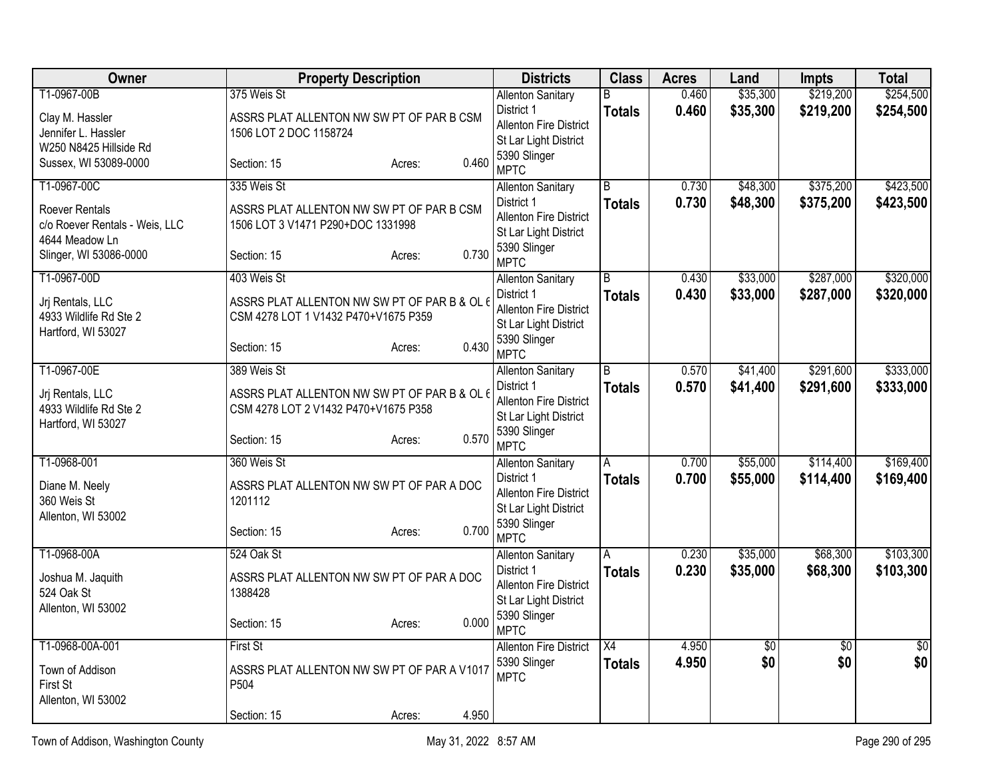| Owner                          | <b>Property Description</b>                  | <b>Districts</b>                                       | <b>Class</b>   | <b>Acres</b> | Land     | <b>Impts</b>    | <b>Total</b> |
|--------------------------------|----------------------------------------------|--------------------------------------------------------|----------------|--------------|----------|-----------------|--------------|
| T1-0967-00B                    | 375 Weis St                                  | <b>Allenton Sanitary</b>                               | B              | 0.460        | \$35,300 | \$219,200       | \$254,500    |
| Clay M. Hassler                | ASSRS PLAT ALLENTON NW SW PT OF PAR B CSM    | District 1                                             | <b>Totals</b>  | 0.460        | \$35,300 | \$219,200       | \$254,500    |
| Jennifer L. Hassler            | 1506 LOT 2 DOC 1158724                       | Allenton Fire District<br>St Lar Light District        |                |              |          |                 |              |
| W250 N8425 Hillside Rd         |                                              | 5390 Slinger                                           |                |              |          |                 |              |
| Sussex, WI 53089-0000          | 0.460<br>Section: 15<br>Acres:               | <b>MPTC</b>                                            |                |              |          |                 |              |
| T1-0967-00C                    | 335 Weis St                                  | <b>Allenton Sanitary</b>                               | $\overline{B}$ | 0.730        | \$48,300 | \$375,200       | \$423,500    |
| Roever Rentals                 | ASSRS PLAT ALLENTON NW SW PT OF PAR B CSM    | District 1                                             | <b>Totals</b>  | 0.730        | \$48,300 | \$375,200       | \$423,500    |
| c/o Roever Rentals - Weis, LLC | 1506 LOT 3 V1471 P290+DOC 1331998            | <b>Allenton Fire District</b>                          |                |              |          |                 |              |
| 4644 Meadow Ln                 |                                              | St Lar Light District<br>5390 Slinger                  |                |              |          |                 |              |
| Slinger, WI 53086-0000         | 0.730<br>Section: 15<br>Acres:               | <b>MPTC</b>                                            |                |              |          |                 |              |
| T1-0967-00D                    | 403 Weis St                                  | <b>Allenton Sanitary</b>                               | $\overline{B}$ | 0.430        | \$33,000 | \$287,000       | \$320,000    |
| Jrj Rentals, LLC               | ASSRS PLAT ALLENTON NW SW PT OF PAR B & OL 6 | District 1                                             | <b>Totals</b>  | 0.430        | \$33,000 | \$287,000       | \$320,000    |
| 4933 Wildlife Rd Ste 2         | CSM 4278 LOT 1 V1432 P470+V1675 P359         | Allenton Fire District<br>St Lar Light District        |                |              |          |                 |              |
| Hartford, WI 53027             |                                              | 5390 Slinger                                           |                |              |          |                 |              |
|                                | 0.430<br>Section: 15<br>Acres:               | <b>MPTC</b>                                            |                |              |          |                 |              |
| T1-0967-00E                    | 389 Weis St                                  | <b>Allenton Sanitary</b>                               | $\overline{B}$ | 0.570        | \$41,400 | \$291,600       | \$333,000    |
| Jrj Rentals, LLC               | ASSRS PLAT ALLENTON NW SW PT OF PAR B & OL 6 | District 1                                             | <b>Totals</b>  | 0.570        | \$41,400 | \$291,600       | \$333,000    |
| 4933 Wildlife Rd Ste 2         | CSM 4278 LOT 2 V1432 P470+V1675 P358         | <b>Allenton Fire District</b><br>St Lar Light District |                |              |          |                 |              |
| Hartford, WI 53027             |                                              | 5390 Slinger                                           |                |              |          |                 |              |
|                                | 0.570<br>Section: 15<br>Acres:               | <b>MPTC</b>                                            |                |              |          |                 |              |
| T1-0968-001                    | 360 Weis St                                  | <b>Allenton Sanitary</b>                               | A              | 0.700        | \$55,000 | \$114,400       | \$169,400    |
| Diane M. Neely                 | ASSRS PLAT ALLENTON NW SW PT OF PAR A DOC    | District 1                                             | <b>Totals</b>  | 0.700        | \$55,000 | \$114,400       | \$169,400    |
| 360 Weis St                    | 1201112                                      | <b>Allenton Fire District</b><br>St Lar Light District |                |              |          |                 |              |
| Allenton, WI 53002             |                                              | 5390 Slinger                                           |                |              |          |                 |              |
|                                | 0.700<br>Section: 15<br>Acres:               | <b>MPTC</b>                                            |                |              |          |                 |              |
| T1-0968-00A                    | 524 Oak St                                   | <b>Allenton Sanitary</b>                               | Α              | 0.230        | \$35,000 | \$68,300        | \$103,300    |
| Joshua M. Jaquith              | ASSRS PLAT ALLENTON NW SW PT OF PAR A DOC    | District 1                                             | <b>Totals</b>  | 0.230        | \$35,000 | \$68,300        | \$103,300    |
| 524 Oak St                     | 1388428                                      | Allenton Fire District<br>St Lar Light District        |                |              |          |                 |              |
| Allenton, WI 53002             |                                              | 5390 Slinger                                           |                |              |          |                 |              |
|                                | 0.000<br>Section: 15<br>Acres:               | <b>MPTC</b>                                            |                |              |          |                 |              |
| T1-0968-00A-001                | <b>First St</b>                              | <b>Allenton Fire District</b>                          | X4             | 4.950        | \$0      | $\overline{50}$ | \$0          |
| Town of Addison                | ASSRS PLAT ALLENTON NW SW PT OF PAR A V1017  | 5390 Slinger                                           | <b>Totals</b>  | 4.950        | \$0      | \$0             | \$0          |
| First St                       | P504                                         | <b>MPTC</b>                                            |                |              |          |                 |              |
| Allenton, WI 53002             |                                              |                                                        |                |              |          |                 |              |
|                                | 4.950<br>Section: 15<br>Acres:               |                                                        |                |              |          |                 |              |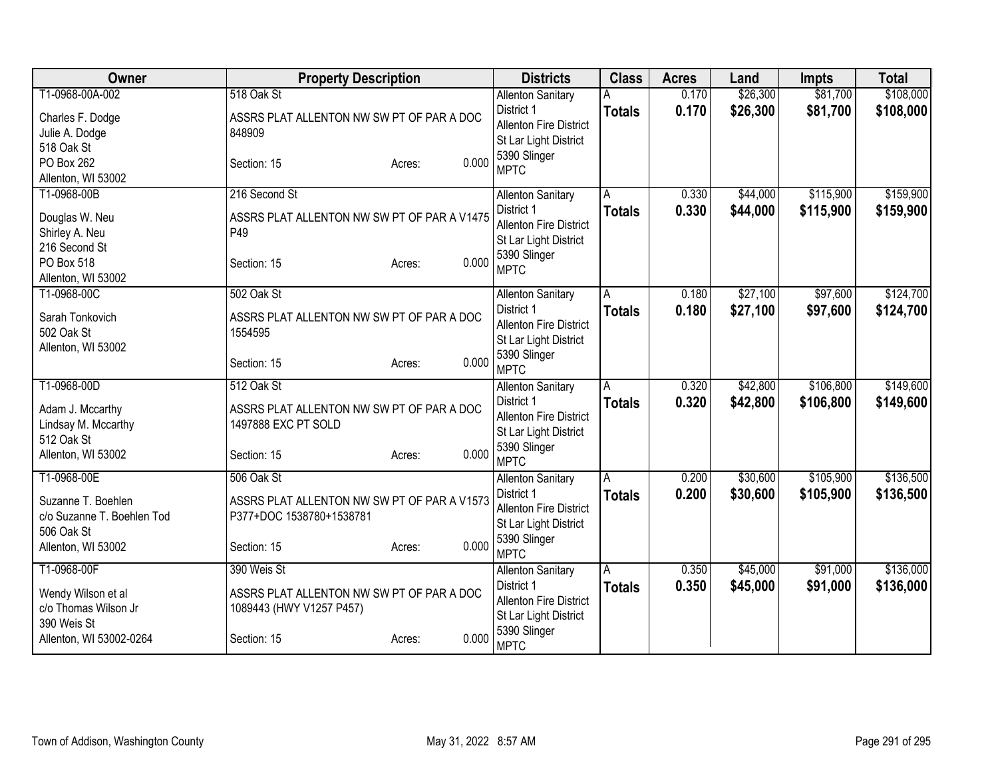| Owner                      | <b>Property Description</b>                 | <b>Districts</b>                                       | <b>Class</b>  | <b>Acres</b> | Land     | <b>Impts</b> | <b>Total</b> |
|----------------------------|---------------------------------------------|--------------------------------------------------------|---------------|--------------|----------|--------------|--------------|
| T1-0968-00A-002            | 518 Oak St                                  | <b>Allenton Sanitary</b>                               |               | 0.170        | \$26,300 | \$81,700     | \$108,000    |
| Charles F. Dodge           | ASSRS PLAT ALLENTON NW SW PT OF PAR A DOC   | District 1                                             | <b>Totals</b> | 0.170        | \$26,300 | \$81,700     | \$108,000    |
| Julie A. Dodge             | 848909                                      | <b>Allenton Fire District</b>                          |               |              |          |              |              |
| 518 Oak St                 |                                             | St Lar Light District<br>5390 Slinger                  |               |              |          |              |              |
| PO Box 262                 | 0.000<br>Section: 15<br>Acres:              | <b>MPTC</b>                                            |               |              |          |              |              |
| Allenton, WI 53002         |                                             |                                                        |               |              |          |              |              |
| T1-0968-00B                | 216 Second St                               | <b>Allenton Sanitary</b>                               | Α             | 0.330        | \$44,000 | \$115,900    | \$159,900    |
| Douglas W. Neu             | ASSRS PLAT ALLENTON NW SW PT OF PAR A V1475 | District 1                                             | <b>Totals</b> | 0.330        | \$44,000 | \$115,900    | \$159,900    |
| Shirley A. Neu             | P49                                         | <b>Allenton Fire District</b><br>St Lar Light District |               |              |          |              |              |
| 216 Second St              |                                             | 5390 Slinger                                           |               |              |          |              |              |
| PO Box 518                 | 0.000<br>Section: 15<br>Acres:              | <b>MPTC</b>                                            |               |              |          |              |              |
| Allenton, WI 53002         |                                             |                                                        |               |              |          |              |              |
| T1-0968-00C                | 502 Oak St                                  | <b>Allenton Sanitary</b>                               | A             | 0.180        | \$27,100 | \$97,600     | \$124,700    |
| Sarah Tonkovich            | ASSRS PLAT ALLENTON NW SW PT OF PAR A DOC   | District 1<br><b>Allenton Fire District</b>            | <b>Totals</b> | 0.180        | \$27,100 | \$97,600     | \$124,700    |
| 502 Oak St                 | 1554595                                     | St Lar Light District                                  |               |              |          |              |              |
| Allenton, WI 53002         |                                             | 5390 Slinger                                           |               |              |          |              |              |
|                            | 0.000<br>Section: 15<br>Acres:              | <b>MPTC</b>                                            |               |              |          |              |              |
| T1-0968-00D                | 512 Oak St                                  | <b>Allenton Sanitary</b>                               | A             | 0.320        | \$42,800 | \$106,800    | \$149,600    |
| Adam J. Mccarthy           | ASSRS PLAT ALLENTON NW SW PT OF PAR A DOC   | District 1                                             | <b>Totals</b> | 0.320        | \$42,800 | \$106,800    | \$149,600    |
| Lindsay M. Mccarthy        | 1497888 EXC PT SOLD                         | <b>Allenton Fire District</b>                          |               |              |          |              |              |
| 512 Oak St                 |                                             | St Lar Light District                                  |               |              |          |              |              |
| Allenton, WI 53002         | 0.000<br>Section: 15<br>Acres:              | 5390 Slinger                                           |               |              |          |              |              |
| T1-0968-00E                | 506 Oak St                                  | <b>MPTC</b><br><b>Allenton Sanitary</b>                | A             | 0.200        | \$30,600 | \$105,900    | \$136,500    |
|                            |                                             | District 1                                             | <b>Totals</b> | 0.200        | \$30,600 | \$105,900    | \$136,500    |
| Suzanne T. Boehlen         | ASSRS PLAT ALLENTON NW SW PT OF PAR A V1573 | <b>Allenton Fire District</b>                          |               |              |          |              |              |
| c/o Suzanne T. Boehlen Tod | P377+DOC 1538780+1538781                    | St Lar Light District                                  |               |              |          |              |              |
| 506 Oak St                 |                                             | 5390 Slinger                                           |               |              |          |              |              |
| Allenton, WI 53002         | 0.000<br>Section: 15<br>Acres:              | <b>MPTC</b>                                            |               |              |          |              |              |
| T1-0968-00F                | 390 Weis St                                 | <b>Allenton Sanitary</b>                               | A             | 0.350        | \$45,000 | \$91,000     | \$136,000    |
| Wendy Wilson et al         | ASSRS PLAT ALLENTON NW SW PT OF PAR A DOC   | District 1                                             | <b>Totals</b> | 0.350        | \$45,000 | \$91,000     | \$136,000    |
| c/o Thomas Wilson Jr       | 1089443 (HWY V1257 P457)                    | Allenton Fire District                                 |               |              |          |              |              |
| 390 Weis St                |                                             | St Lar Light District                                  |               |              |          |              |              |
| Allenton, WI 53002-0264    | 0.000<br>Section: 15<br>Acres:              | 5390 Slinger<br><b>MPTC</b>                            |               |              |          |              |              |
|                            |                                             |                                                        |               |              |          |              |              |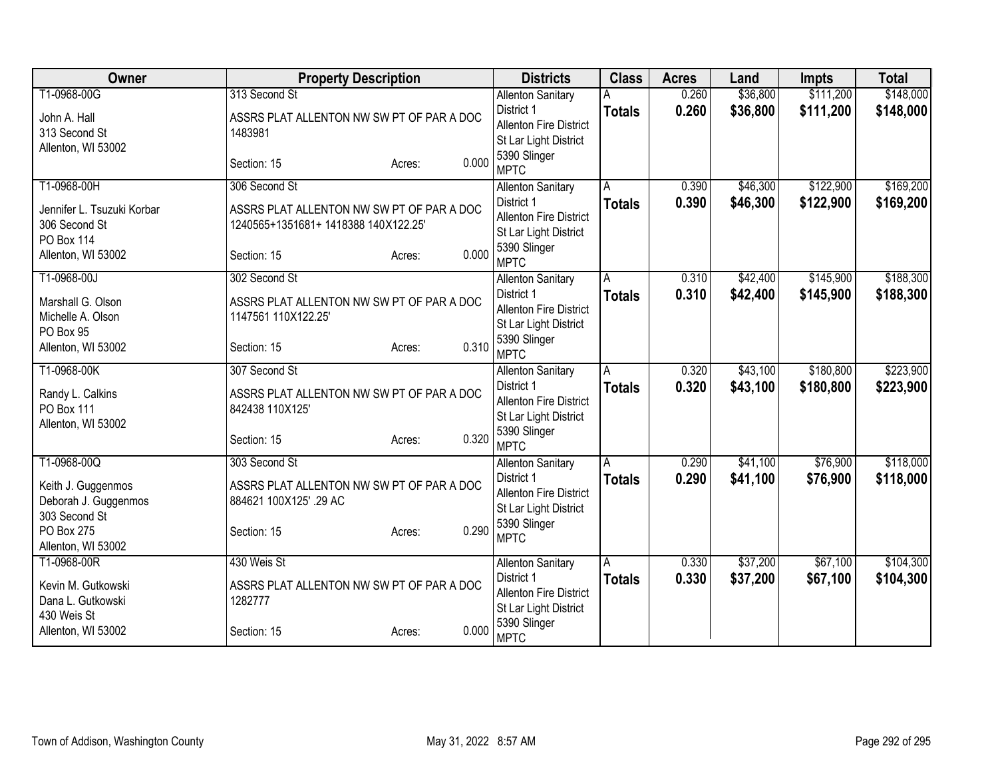| Owner                          | <b>Property Description</b>               | <b>Districts</b>                            | <b>Class</b>            | <b>Acres</b> | Land     | <b>Impts</b> | <b>Total</b> |
|--------------------------------|-------------------------------------------|---------------------------------------------|-------------------------|--------------|----------|--------------|--------------|
| T1-0968-00G                    | 313 Second St                             | <b>Allenton Sanitary</b>                    |                         | 0.260        | \$36,800 | \$111,200    | \$148,000    |
| John A. Hall                   | ASSRS PLAT ALLENTON NW SW PT OF PAR A DOC | District 1                                  | <b>Totals</b>           | 0.260        | \$36,800 | \$111,200    | \$148,000    |
| 313 Second St                  | 1483981                                   | <b>Allenton Fire District</b>               |                         |              |          |              |              |
| Allenton, WI 53002             |                                           | St Lar Light District<br>5390 Slinger       |                         |              |          |              |              |
|                                | 0.000<br>Section: 15<br>Acres:            | <b>MPTC</b>                                 |                         |              |          |              |              |
| T1-0968-00H                    | 306 Second St                             | <b>Allenton Sanitary</b>                    | A                       | 0.390        | \$46,300 | \$122,900    | \$169,200    |
| Jennifer L. Tsuzuki Korbar     | ASSRS PLAT ALLENTON NW SW PT OF PAR A DOC | District 1                                  | <b>Totals</b>           | 0.390        | \$46,300 | \$122,900    | \$169,200    |
| 306 Second St                  | 1240565+1351681+1418388140X122.25'        | <b>Allenton Fire District</b>               |                         |              |          |              |              |
| <b>PO Box 114</b>              |                                           | St Lar Light District                       |                         |              |          |              |              |
| Allenton, WI 53002             | 0.000<br>Section: 15<br>Acres:            | 5390 Slinger<br><b>MPTC</b>                 |                         |              |          |              |              |
| T1-0968-00J                    | 302 Second St                             | <b>Allenton Sanitary</b>                    | Α                       | 0.310        | \$42,400 | \$145,900    | \$188,300    |
|                                |                                           | District 1                                  | <b>Totals</b>           | 0.310        | \$42,400 | \$145,900    | \$188,300    |
| Marshall G. Olson              | ASSRS PLAT ALLENTON NW SW PT OF PAR A DOC | <b>Allenton Fire District</b>               |                         |              |          |              |              |
| Michelle A. Olson<br>PO Box 95 | 1147561 110X122.25'                       | St Lar Light District                       |                         |              |          |              |              |
| Allenton, WI 53002             | 0.310<br>Section: 15<br>Acres:            | 5390 Slinger                                |                         |              |          |              |              |
|                                |                                           | <b>MPTC</b>                                 |                         |              |          |              |              |
| T1-0968-00K                    | 307 Second St                             | <b>Allenton Sanitary</b><br>District 1      | Α                       | 0.320        | \$43,100 | \$180,800    | \$223,900    |
| Randy L. Calkins               | ASSRS PLAT ALLENTON NW SW PT OF PAR A DOC | <b>Allenton Fire District</b>               | <b>Totals</b>           | 0.320        | \$43,100 | \$180,800    | \$223,900    |
| PO Box 111                     | 842438 110X125'                           | St Lar Light District                       |                         |              |          |              |              |
| Allenton, WI 53002             |                                           | 5390 Slinger                                |                         |              |          |              |              |
|                                | 0.320<br>Section: 15<br>Acres:            | <b>MPTC</b>                                 |                         |              |          |              |              |
| T1-0968-00Q                    | 303 Second St                             | <b>Allenton Sanitary</b>                    | A                       | 0.290        | \$41,100 | \$76,900     | \$118,000    |
| Keith J. Guggenmos             | ASSRS PLAT ALLENTON NW SW PT OF PAR A DOC | District 1                                  | <b>Totals</b>           | 0.290        | \$41,100 | \$76,900     | \$118,000    |
| Deborah J. Guggenmos           | 884621 100X125' .29 AC                    | Allenton Fire District                      |                         |              |          |              |              |
| 303 Second St                  |                                           | St Lar Light District<br>5390 Slinger       |                         |              |          |              |              |
| PO Box 275                     | 0.290<br>Section: 15<br>Acres:            | <b>MPTC</b>                                 |                         |              |          |              |              |
| Allenton, WI 53002             |                                           |                                             |                         |              |          |              |              |
| T1-0968-00R                    | 430 Weis St                               | <b>Allenton Sanitary</b>                    | $\overline{\mathsf{A}}$ | 0.330        | \$37,200 | \$67,100     | \$104,300    |
| Kevin M. Gutkowski             | ASSRS PLAT ALLENTON NW SW PT OF PAR A DOC | District 1<br><b>Allenton Fire District</b> | <b>Totals</b>           | 0.330        | \$37,200 | \$67,100     | \$104,300    |
| Dana L. Gutkowski              | 1282777                                   | St Lar Light District                       |                         |              |          |              |              |
| 430 Weis St                    |                                           | 5390 Slinger                                |                         |              |          |              |              |
| Allenton, WI 53002             | 0.000<br>Section: 15<br>Acres:            | <b>MPTC</b>                                 |                         |              |          |              |              |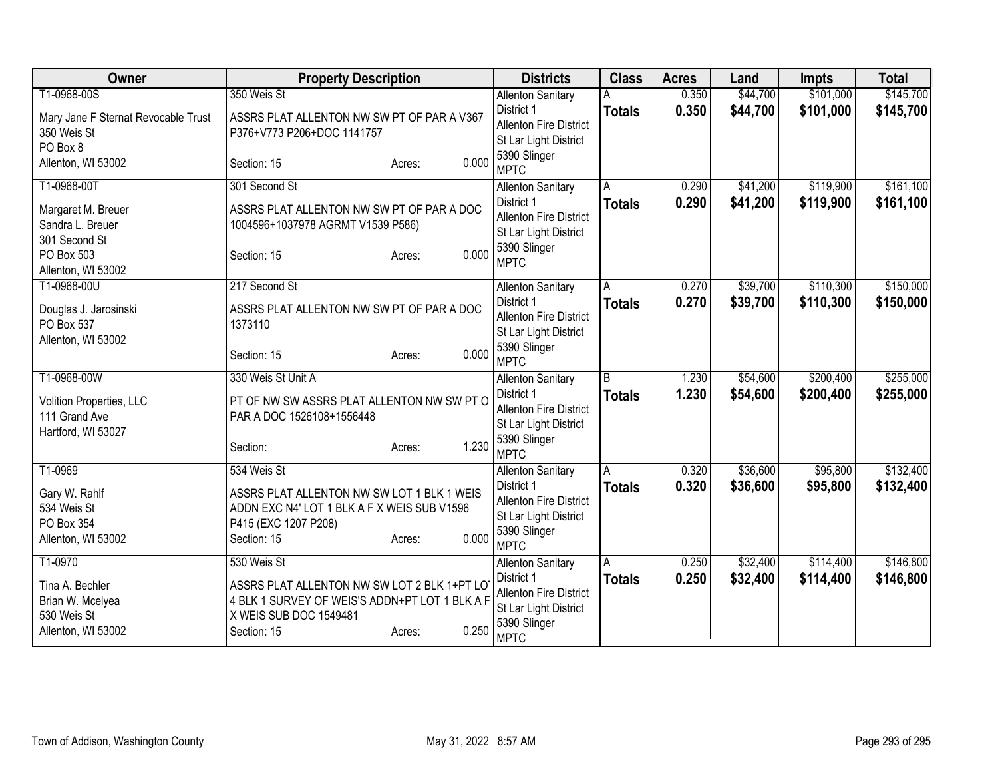| Owner                                                                    | <b>Property Description</b>                                                                                                                               | <b>Districts</b>                                                                                    | <b>Class</b>       | <b>Acres</b>   | Land                 | <b>Impts</b>           | <b>Total</b>           |
|--------------------------------------------------------------------------|-----------------------------------------------------------------------------------------------------------------------------------------------------------|-----------------------------------------------------------------------------------------------------|--------------------|----------------|----------------------|------------------------|------------------------|
| T1-0968-00S                                                              | 350 Weis St                                                                                                                                               | <b>Allenton Sanitary</b>                                                                            |                    | 0.350          | \$44,700             | \$101,000              | \$145,700              |
| Mary Jane F Sternat Revocable Trust<br>350 Weis St<br>PO Box 8           | ASSRS PLAT ALLENTON NW SW PT OF PAR A V367<br>P376+V773 P206+DOC 1141757                                                                                  | District 1<br><b>Allenton Fire District</b><br>St Lar Light District                                | <b>Totals</b>      | 0.350          | \$44,700             | \$101,000              | \$145,700              |
| Allenton, WI 53002                                                       | 0.000<br>Section: 15<br>Acres:                                                                                                                            | 5390 Slinger<br><b>MPTC</b>                                                                         |                    |                |                      |                        |                        |
| T1-0968-00T                                                              | 301 Second St                                                                                                                                             | <b>Allenton Sanitary</b>                                                                            | A                  | 0.290          | \$41,200             | \$119,900              | \$161,100              |
| Margaret M. Breuer<br>Sandra L. Breuer<br>301 Second St<br>PO Box 503    | ASSRS PLAT ALLENTON NW SW PT OF PAR A DOC<br>1004596+1037978 AGRMT V1539 P586)<br>0.000<br>Section: 15<br>Acres:                                          | District 1<br><b>Allenton Fire District</b><br>St Lar Light District<br>5390 Slinger                | <b>Totals</b>      | 0.290          | \$41,200             | \$119,900              | \$161,100              |
| Allenton, WI 53002                                                       |                                                                                                                                                           | <b>MPTC</b>                                                                                         |                    |                |                      |                        |                        |
| T1-0968-00U                                                              | 217 Second St                                                                                                                                             | <b>Allenton Sanitary</b><br>District 1                                                              | A<br><b>Totals</b> | 0.270<br>0.270 | \$39,700<br>\$39,700 | \$110,300<br>\$110,300 | \$150,000<br>\$150,000 |
| Douglas J. Jarosinski<br>PO Box 537<br>Allenton, WI 53002                | ASSRS PLAT ALLENTON NW SW PT OF PAR A DOC<br>1373110                                                                                                      | <b>Allenton Fire District</b><br>St Lar Light District                                              |                    |                |                      |                        |                        |
|                                                                          | 0.000<br>Section: 15<br>Acres:                                                                                                                            | 5390 Slinger<br><b>MPTC</b>                                                                         |                    |                |                      |                        |                        |
| T1-0968-00W                                                              | 330 Weis St Unit A                                                                                                                                        | <b>Allenton Sanitary</b>                                                                            | $\overline{B}$     | 1.230          | \$54,600             | \$200,400              | \$255,000              |
| Volition Properties, LLC<br>111 Grand Ave<br>Hartford, WI 53027          | PT OF NW SW ASSRS PLAT ALLENTON NW SW PT O<br>PAR A DOC 1526108+1556448                                                                                   | District 1<br><b>Allenton Fire District</b><br>St Lar Light District<br>5390 Slinger                | <b>Totals</b>      | 1.230          | \$54,600             | \$200,400              | \$255,000              |
|                                                                          | 1.230<br>Section:<br>Acres:                                                                                                                               | <b>MPTC</b>                                                                                         |                    |                |                      |                        |                        |
| T1-0969                                                                  | 534 Weis St                                                                                                                                               | <b>Allenton Sanitary</b><br>District 1                                                              | A                  | 0.320<br>0.320 | \$36,600<br>\$36,600 | \$95,800<br>\$95,800   | \$132,400<br>\$132,400 |
| Gary W. Rahlf<br>534 Weis St<br>PO Box 354<br>Allenton, WI 53002         | ASSRS PLAT ALLENTON NW SW LOT 1 BLK 1 WEIS<br>ADDN EXC N4' LOT 1 BLK A F X WEIS SUB V1596<br>P415 (EXC 1207 P208)<br>0.000<br>Section: 15<br>Acres:       | <b>Allenton Fire District</b><br>St Lar Light District<br>5390 Slinger<br><b>MPTC</b>               | <b>Totals</b>      |                |                      |                        |                        |
| T1-0970                                                                  | 530 Weis St                                                                                                                                               | <b>Allenton Sanitary</b>                                                                            | A                  | 0.250          | \$32,400             | \$114,400              | \$146,800              |
| Tina A. Bechler<br>Brian W. Mcelyea<br>530 Weis St<br>Allenton, WI 53002 | ASSRS PLAT ALLENTON NW SW LOT 2 BLK 1+PT LO<br>4 BLK 1 SURVEY OF WEIS'S ADDN+PT LOT 1 BLK A F<br>X WEIS SUB DOC 1549481<br>0.250<br>Section: 15<br>Acres: | District 1<br><b>Allenton Fire District</b><br>St Lar Light District<br>5390 Slinger<br><b>MPTC</b> | <b>Totals</b>      | 0.250          | \$32,400             | \$114,400              | \$146,800              |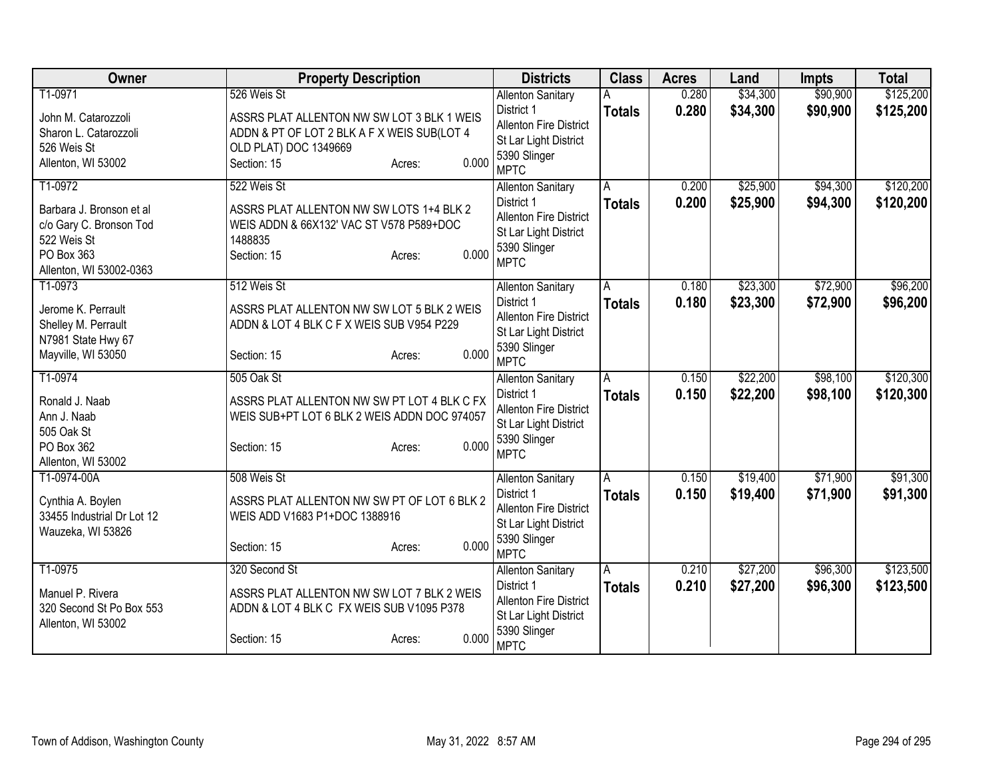| Owner                                                                                                                  | <b>Property Description</b>                                                                                                                                         | <b>Districts</b>                                                                                                                | <b>Class</b>       | <b>Acres</b>   | Land                 | Impts                | <b>Total</b>           |
|------------------------------------------------------------------------------------------------------------------------|---------------------------------------------------------------------------------------------------------------------------------------------------------------------|---------------------------------------------------------------------------------------------------------------------------------|--------------------|----------------|----------------------|----------------------|------------------------|
| T1-0971<br>John M. Catarozzoli<br>Sharon L. Catarozzoli<br>526 Weis St<br>Allenton, WI 53002                           | 526 Weis St<br>ASSRS PLAT ALLENTON NW SW LOT 3 BLK 1 WEIS<br>ADDN & PT OF LOT 2 BLK A F X WEIS SUB(LOT 4<br>OLD PLAT) DOC 1349669<br>0.000<br>Section: 15<br>Acres: | <b>Allenton Sanitary</b><br>District 1<br><b>Allenton Fire District</b><br>St Lar Light District<br>5390 Slinger<br><b>MPTC</b> | <b>Totals</b>      | 0.280<br>0.280 | \$34,300<br>\$34,300 | \$90,900<br>\$90,900 | \$125,200<br>\$125,200 |
| T1-0972<br>Barbara J. Bronson et al<br>c/o Gary C. Bronson Tod<br>522 Weis St<br>PO Box 363<br>Allenton, WI 53002-0363 | 522 Weis St<br>ASSRS PLAT ALLENTON NW SW LOTS 1+4 BLK 2<br>WEIS ADDN & 66X132' VAC ST V578 P589+DOC<br>1488835<br>0.000<br>Section: 15<br>Acres:                    | <b>Allenton Sanitary</b><br>District 1<br>Allenton Fire District<br>St Lar Light District<br>5390 Slinger<br><b>MPTC</b>        | A<br><b>Totals</b> | 0.200<br>0.200 | \$25,900<br>\$25,900 | \$94,300<br>\$94,300 | \$120,200<br>\$120,200 |
| T1-0973<br>Jerome K. Perrault<br>Shelley M. Perrault<br>N7981 State Hwy 67<br>Mayville, WI 53050                       | 512 Weis St<br>ASSRS PLAT ALLENTON NW SW LOT 5 BLK 2 WEIS<br>ADDN & LOT 4 BLK C F X WEIS SUB V954 P229<br>0.000<br>Section: 15<br>Acres:                            | <b>Allenton Sanitary</b><br>District 1<br><b>Allenton Fire District</b><br>St Lar Light District<br>5390 Slinger<br><b>MPTC</b> | A<br><b>Totals</b> | 0.180<br>0.180 | \$23,300<br>\$23,300 | \$72,900<br>\$72,900 | \$96,200<br>\$96,200   |
| T1-0974<br>Ronald J. Naab<br>Ann J. Naab<br>505 Oak St<br>PO Box 362<br>Allenton, WI 53002                             | 505 Oak St<br>ASSRS PLAT ALLENTON NW SW PT LOT 4 BLK C FX<br>WEIS SUB+PT LOT 6 BLK 2 WEIS ADDN DOC 974057<br>0.000<br>Section: 15<br>Acres:                         | <b>Allenton Sanitary</b><br>District 1<br><b>Allenton Fire District</b><br>St Lar Light District<br>5390 Slinger<br><b>MPTC</b> | A<br><b>Totals</b> | 0.150<br>0.150 | \$22,200<br>\$22,200 | \$98,100<br>\$98,100 | \$120,300<br>\$120,300 |
| T1-0974-00A<br>Cynthia A. Boylen<br>33455 Industrial Dr Lot 12<br>Wauzeka, WI 53826                                    | 508 Weis St<br>ASSRS PLAT ALLENTON NW SW PT OF LOT 6 BLK 2<br>WEIS ADD V1683 P1+DOC 1388916<br>0.000<br>Section: 15<br>Acres:                                       | <b>Allenton Sanitary</b><br>District 1<br><b>Allenton Fire District</b><br>St Lar Light District<br>5390 Slinger<br><b>MPTC</b> | A<br><b>Totals</b> | 0.150<br>0.150 | \$19,400<br>\$19,400 | \$71,900<br>\$71,900 | \$91,300<br>\$91,300   |
| T1-0975<br>Manuel P. Rivera<br>320 Second St Po Box 553<br>Allenton, WI 53002                                          | 320 Second St<br>ASSRS PLAT ALLENTON NW SW LOT 7 BLK 2 WEIS<br>ADDN & LOT 4 BLK C FX WEIS SUB V1095 P378<br>0.000<br>Section: 15<br>Acres:                          | <b>Allenton Sanitary</b><br>District 1<br>Allenton Fire District<br>St Lar Light District<br>5390 Slinger<br><b>MPTC</b>        | A<br><b>Totals</b> | 0.210<br>0.210 | \$27,200<br>\$27,200 | \$96,300<br>\$96,300 | \$123,500<br>\$123,500 |